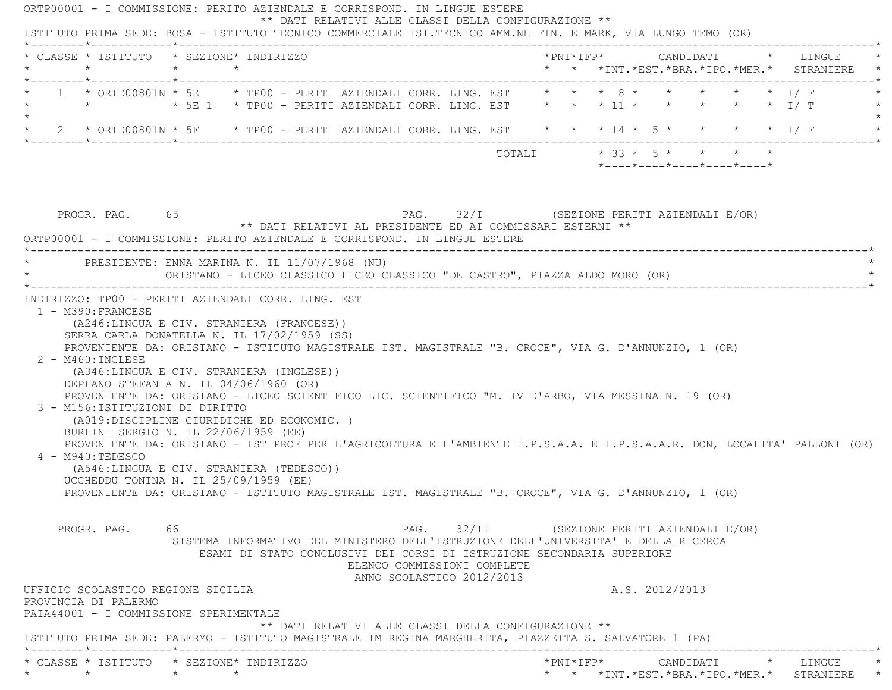| * CLASSE * ISTITUTO * SEZIONE* INDIRIZZO<br>$\star$                                                    |                                                                                                                             |                                                                                                                                                                                                                                                                             |                             |                                            |  |  |                |                                                                             |                                                                                    |
|--------------------------------------------------------------------------------------------------------|-----------------------------------------------------------------------------------------------------------------------------|-----------------------------------------------------------------------------------------------------------------------------------------------------------------------------------------------------------------------------------------------------------------------------|-----------------------------|--------------------------------------------|--|--|----------------|-----------------------------------------------------------------------------|------------------------------------------------------------------------------------|
|                                                                                                        | $\star$ $\star$                                                                                                             |                                                                                                                                                                                                                                                                             |                             |                                            |  |  |                |                                                                             | *PNI*IFP*      CANDIDATI    *   LINGUE<br>* * *INT.*EST.*BRA.*IPO.*MER.* STRANIERE |
|                                                                                                        |                                                                                                                             | 1 * ORTD00801N * 5E * TP00 - PERITI AZIENDALI CORR. LING. EST * * * 8 * * * * * * * * I/ F                                                                                                                                                                                  |                             |                                            |  |  |                |                                                                             |                                                                                    |
| * 2 * ORTD00801N * 5F * TP00 - PERITI AZIENDALI CORR. LING. EST * * * 14 * 5 * * * * * * 1/ F          |                                                                                                                             |                                                                                                                                                                                                                                                                             |                             |                                            |  |  |                |                                                                             |                                                                                    |
|                                                                                                        |                                                                                                                             |                                                                                                                                                                                                                                                                             |                             |                                            |  |  |                | TOTALI * 33 * 5 * * * *<br>$*$ ---- $*$ ---- $*$ ---- $*$ ---- $*$ ---- $*$ |                                                                                    |
| PROGR. PAG. 65<br>ORTP00001 - I COMMISSIONE: PERITO AZIENDALE E CORRISPOND. IN LINGUE ESTERE           |                                                                                                                             | ** DATI RELATIVI AL PRESIDENTE ED AI COMMISSARI ESTERNI **                                                                                                                                                                                                                  |                             | PAG. 32/I (SEZIONE PERITI AZIENDALI E/OR)  |  |  |                |                                                                             |                                                                                    |
|                                                                                                        |                                                                                                                             | PRESIDENTE: ENNA MARINA N. IL 11/07/1968 (NU)<br>ORISTANO - LICEO CLASSICO LICEO CLASSICO "DE CASTRO", PIAZZA ALDO MORO (OR)                                                                                                                                                |                             |                                            |  |  |                |                                                                             |                                                                                    |
| 3 - M156: ISTITUZIONI DI DIRITTO                                                                       | DEPLANO STEFANIA N. IL 04/06/1960 (OR)<br>(A019:DISCIPLINE GIURIDICHE ED ECONOMIC.)<br>BURLINI SERGIO N. IL 22/06/1959 (EE) | PROVENIENTE DA: ORISTANO - LICEO SCIENTIFICO LIC. SCIENTIFICO "M. IV D'ARBO, VIA MESSINA N. 19 (OR)<br>PROVENIENTE DA: ORISTANO - IST PROF PER L'AGRICOLTURA E L'AMBIENTE I.P.S.A.A. E I.P.S.A.A.R. DON, LOCALITA' PALLONI (OR)<br>(A546:LINGUA E CIV. STRANIERA (TEDESCO)) |                             |                                            |  |  |                |                                                                             |                                                                                    |
| $4 - M940: TEDESCO$                                                                                    | UCCHEDDU TONINA N. IL 25/09/1959 (EE)                                                                                       | PROVENIENTE DA: ORISTANO - ISTITUTO MAGISTRALE IST. MAGISTRALE "B. CROCE", VIA G. D'ANNUNZIO, 1 (OR)                                                                                                                                                                        |                             |                                            |  |  |                |                                                                             |                                                                                    |
| PROGR, PAG, 66                                                                                         |                                                                                                                             | SISTEMA INFORMATIVO DEL MINISTERO DELL'ISTRUZIONE DELL'UNIVERSITA' E DELLA RICERCA<br>ESAMI DI STATO CONCLUSIVI DEI CORSI DI ISTRUZIONE SECONDARIA SUPERIORE                                                                                                                | ELENCO COMMISSIONI COMPLETE | PAG. 32/II (SEZIONE PERITI AZIENDALI E/OR) |  |  |                |                                                                             |                                                                                    |
| UFFICIO SCOLASTICO REGIONE SICILIA<br>PROVINCIA DI PALERMO<br>PAIA44001 - I COMMISSIONE SPERIMENTALE   |                                                                                                                             |                                                                                                                                                                                                                                                                             | ANNO SCOLASTICO 2012/2013   |                                            |  |  | A.S. 2012/2013 |                                                                             |                                                                                    |
| ISTITUTO PRIMA SEDE: PALERMO - ISTITUTO MAGISTRALE IM REGINA MARGHERITA, PIAZZETTA S. SALVATORE 1 (PA) |                                                                                                                             | ** DATI RELATIVI ALLE CLASSI DELLA CONFIGURAZIONE **                                                                                                                                                                                                                        |                             |                                            |  |  |                |                                                                             |                                                                                    |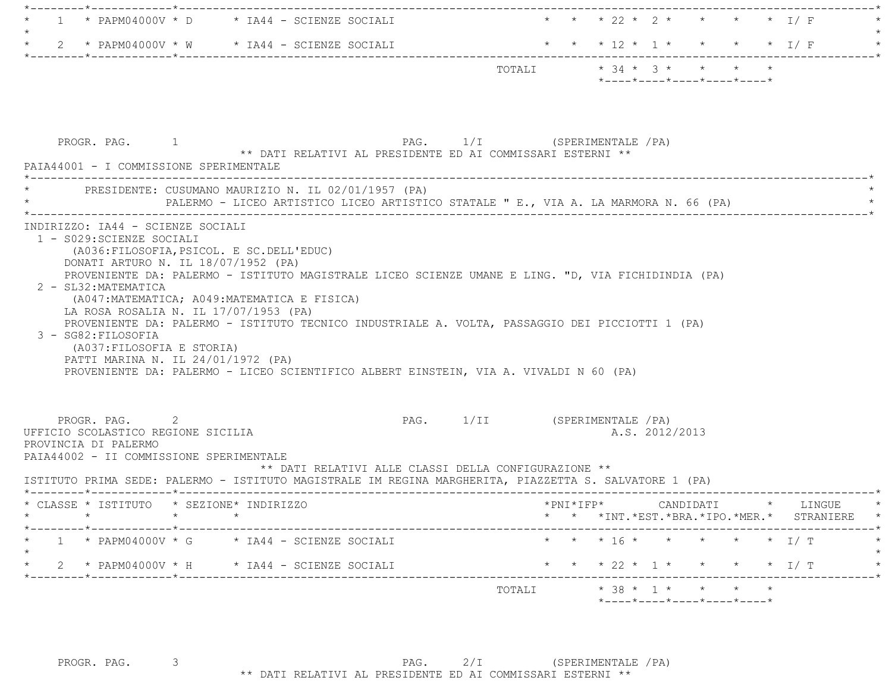| * * * 22 * 2 * * * * * I/F                                                                                                                                                                                                                                                                     |
|------------------------------------------------------------------------------------------------------------------------------------------------------------------------------------------------------------------------------------------------------------------------------------------------|
| * * * 12 * 1 * * * * * I/ F                                                                                                                                                                                                                                                                    |
| $*$ ---- $*$ ---- $*$ ---- $*$ ---- $*$ ---- $*$                                                                                                                                                                                                                                               |
| PAG. 1/I (SPERIMENTALE / PA)<br>** DATI RELATIVI AL PRESIDENTE ED AI COMMISSARI ESTERNI **                                                                                                                                                                                                     |
| PALERMO - LICEO ARTISTICO LICEO ARTISTICO STATALE " E., VIA A. LA MARMORA N. 66 (PA)                                                                                                                                                                                                           |
| PROVENIENTE DA: PALERMO - ISTITUTO MAGISTRALE LICEO SCIENZE UMANE E LING. "D, VIA FICHIDINDIA (PA)<br>PROVENIENTE DA: PALERMO - ISTITUTO TECNICO INDUSTRIALE A. VOLTA, PASSAGGIO DEI PICCIOTTI 1 (PA)<br>PROVENIENTE DA: PALERMO - LICEO SCIENTIFICO ALBERT EINSTEIN, VIA A. VIVALDI N 60 (PA) |
| PAG. 1/II (SPERIMENTALE / PA)<br>A.S. 2012/2013<br>** DATI RELATIVI ALLE CLASSI DELLA CONFIGURAZIONE **<br>ISTITUTO PRIMA SEDE: PALERMO - ISTITUTO MAGISTRALE IM REGINA MARGHERITA, PIAZZETTA S. SALVATORE 1 (PA)                                                                              |
| $*$ PNI $*$ IFP $*$<br>CANDIDATI<br>* LINGUE<br>* * *INT. *EST. *BRA. *IPO. *MER. * STRANIERE *                                                                                                                                                                                                |
| * * * 16 * * * * * * 1/ T                                                                                                                                                                                                                                                                      |
|                                                                                                                                                                                                                                                                                                |
| * * * 22 * 1 * * * * * I/ T                                                                                                                                                                                                                                                                    |
|                                                                                                                                                                                                                                                                                                |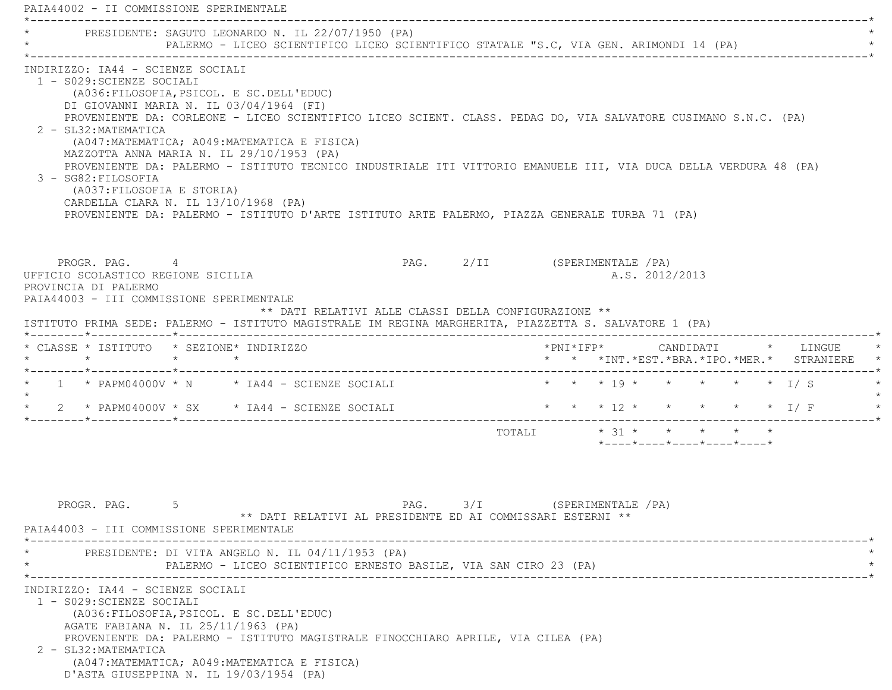PAIA44002 - II COMMISSIONE SPERIMENTALE \*----------------------------------------------------------------------------------------------------------------------------\*PRESIDENTE: SAGUTO LEONARDO N. IL 22/07/1950 (PA) PALERMO - LICEO SCIENTIFICO LICEO SCIENTIFICO STATALE "S.C, VIA GEN. ARIMONDI 14 (PA) \*----------------------------------------------------------------------------------------------------------------------------\* INDIRIZZO: IA44 - SCIENZE SOCIALI 1 - S029:SCIENZE SOCIALI (A036:FILOSOFIA,PSICOL. E SC.DELL'EDUC) DI GIOVANNI MARIA N. IL 03/04/1964 (FI) PROVENIENTE DA: CORLEONE - LICEO SCIENTIFICO LICEO SCIENT. CLASS. PEDAG DO, VIA SALVATORE CUSIMANO S.N.C. (PA) 2 - SL32:MATEMATICA (A047:MATEMATICA; A049:MATEMATICA E FISICA) MAZZOTTA ANNA MARIA N. IL 29/10/1953 (PA) PROVENIENTE DA: PALERMO - ISTITUTO TECNICO INDUSTRIALE ITI VITTORIO EMANUELE III, VIA DUCA DELLA VERDURA 48 (PA) 3 - SG82:FILOSOFIA (A037:FILOSOFIA E STORIA) CARDELLA CLARA N. IL 13/10/1968 (PA) PROVENIENTE DA: PALERMO - ISTITUTO D'ARTE ISTITUTO ARTE PALERMO, PIAZZA GENERALE TURBA 71 (PA) PROGR. PAG. 4 4 PAG. 2/II (SPERIMENTALE /PA) UFFICIO SCOLASTICO REGIONE SICILIA A.S. 2012/2013 PROVINCIA DI PALERMO PAIA44003 - III COMMISSIONE SPERIMENTALE \*\* DATI RELATIVI ALLE CLASSI DELLA CONFIGURAZIONE \*\* ISTITUTO PRIMA SEDE: PALERMO - ISTITUTO MAGISTRALE IM REGINA MARGHERITA, PIAZZETTA S. SALVATORE 1 (PA) \*--------\*------------\*-------------------------------------------------------------------------------------------------------\* \* CLASSE \* ISTITUTO \* SEZIONE\* INDIRIZZO \*PNI\*IFP\* CANDIDATI \* LINGUE \* \* \* \* \* \* \* \*INT.\*EST.\*BRA.\*IPO.\*MER.\* STRANIERE \* \*--------\*------------\*-------------------------------------------------------------------------------------------------------\*1 \* PAPM04000V \* N \* IA44 - SCIENZE SOCIALI \* \* \* \* 19 \* \* \* \* \* \* \* I/ S  $\star$ 2 \* PAPM04000V \* SX \* IA44 - SCIENZE SOCIALI \* \* \* \* 12 \* \* \* \* \* \* \* I/ F \*--------\*------------\*-------------------------------------------------------------------------------------------------------\*TOTALI  $* 31 * * * * * * * * * *$  \*----\*----\*----\*----\*----\*PROGR. PAG. 5 5 2 2 3/I (SPERIMENTALE 2A) \*\* DATI RELATIVI AL PRESIDENTE ED AI COMMISSARI ESTERNI \*\* PAIA44003 - III COMMISSIONE SPERIMENTALE \*----------------------------------------------------------------------------------------------------------------------------\*PRESIDENTE: DI VITA ANGELO N. IL 04/11/1953 (PA) PALERMO - LICEO SCIENTIFICO ERNESTO BASILE, VIA SAN CIRO 23 (PA) \*----------------------------------------------------------------------------------------------------------------------------\* INDIRIZZO: IA44 - SCIENZE SOCIALI 1 - S029:SCIENZE SOCIALI (A036:FILOSOFIA,PSICOL. E SC.DELL'EDUC) AGATE FABIANA N. IL 25/11/1963 (PA) PROVENIENTE DA: PALERMO - ISTITUTO MAGISTRALE FINOCCHIARO APRILE, VIA CILEA (PA) 2 - SL32:MATEMATICA (A047:MATEMATICA; A049:MATEMATICA E FISICA) D'ASTA GIUSEPPINA N. IL 19/03/1954 (PA)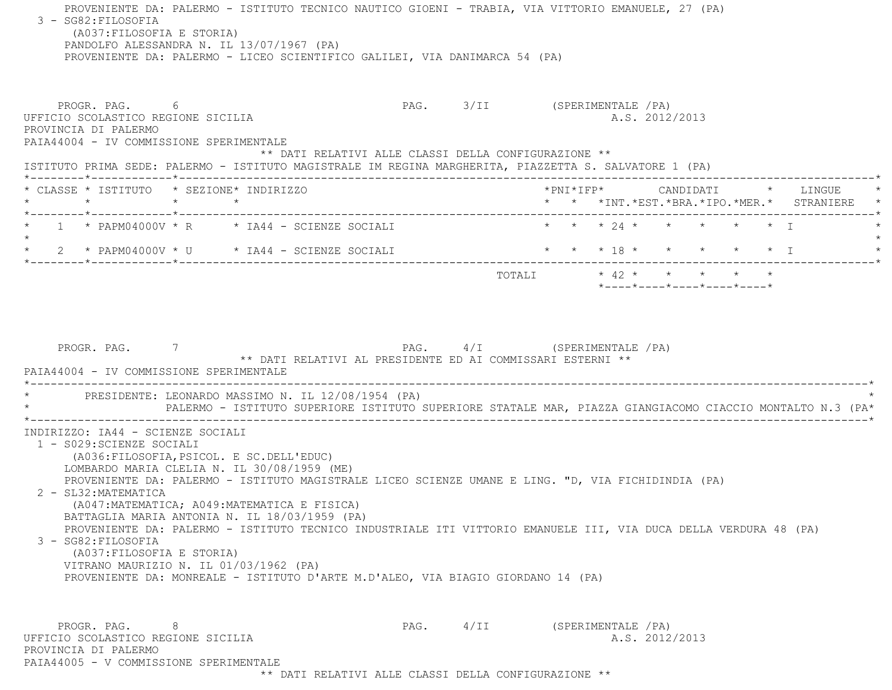PROVENIENTE DA: PALERMO - ISTITUTO TECNICO NAUTICO GIOENI - TRABIA, VIA VITTORIO EMANUELE, 27 (PA) 3 - SG82:FILOSOFIA (A037:FILOSOFIA E STORIA) PANDOLFO ALESSANDRA N. IL 13/07/1967 (PA) PROVENIENTE DA: PALERMO - LICEO SCIENTIFICO GALILEI, VIA DANIMARCA 54 (PA) PROGR. PAG. 6 PAG. 3/II (SPERIMENTALE /PA) UFFICIO SCOLASTICO REGIONE SICILIA A.S. 2012/2013 PROVINCIA DI PALERMO PAIA44004 - IV COMMISSIONE SPERIMENTALE \*\* DATI RELATIVI ALLE CLASSI DELLA CONFIGURAZIONE \*\* ISTITUTO PRIMA SEDE: PALERMO - ISTITUTO MAGISTRALE IM REGINA MARGHERITA, PIAZZETTA S. SALVATORE 1 (PA) \*--------\*------------\*-------------------------------------------------------------------------------------------------------\* \* CLASSE \* ISTITUTO \* SEZIONE\* INDIRIZZO \*PNI\*IFP\* CANDIDATI \* LINGUE \* \* \* \* \* \* \* \*INT.\*EST.\*BRA.\*IPO.\*MER.\* STRANIERE \* \*--------\*------------\*-------------------------------------------------------------------------------------------------------\* $1 \times$  PAPM04000V \* R  $\qquad$  \* IA44 - SCIENZE SOCIALI  $\qquad$  \* \* \* 24 \* \* \* \* \* \* \* I  $\star$  \* 2 \* PAPM04000V \* U \* IA44 - SCIENZE SOCIALI \* \* \* 18 \* \* \* \* \* I \* \*--------\*------------\*-------------------------------------------------------------------------------------------------------\*TOTALI  $* 42 * * * * * * * * * *$  \*----\*----\*----\*----\*----\*PROGR. PAG. 7 7 PAG. PAG. 4/I (SPERIMENTALE /PA) \*\* DATI RELATIVI AL PRESIDENTE ED AI COMMISSARI ESTERNI \*\* PAIA44004 - IV COMMISSIONE SPERIMENTALE \*----------------------------------------------------------------------------------------------------------------------------\*PRESIDENTE: LEONARDO MASSIMO N. IL 12/08/1954 (PA) \* PALERMO - ISTITUTO SUPERIORE ISTITUTO SUPERIORE STATALE MAR, PIAZZA GIANGIACOMO CIACCIO MONTALTO N.3 (PA\* \*----------------------------------------------------------------------------------------------------------------------------\* INDIRIZZO: IA44 - SCIENZE SOCIALI 1 - S029:SCIENZE SOCIALI (A036:FILOSOFIA,PSICOL. E SC.DELL'EDUC) LOMBARDO MARIA CLELIA N. IL 30/08/1959 (ME) PROVENIENTE DA: PALERMO - ISTITUTO MAGISTRALE LICEO SCIENZE UMANE E LING. "D, VIA FICHIDINDIA (PA) 2 - SL32:MATEMATICA (A047:MATEMATICA; A049:MATEMATICA E FISICA) BATTAGLIA MARIA ANTONIA N. IL 18/03/1959 (PA) PROVENIENTE DA: PALERMO - ISTITUTO TECNICO INDUSTRIALE ITI VITTORIO EMANUELE III, VIA DUCA DELLA VERDURA 48 (PA) 3 - SG82:FILOSOFIA (A037:FILOSOFIA E STORIA) VITRANO MAURIZIO N. IL 01/03/1962 (PA) PROVENIENTE DA: MONREALE - ISTITUTO D'ARTE M.D'ALEO, VIA BIAGIO GIORDANO 14 (PA) PROGR. PAG. 8 PAG. 4/II (SPERIMENTALE /PA) UFFICIO SCOLASTICO REGIONE SICILIA A.S. 2012/2013 PROVINCIA DI PALERMOPAIA44005 - V COMMISSIONE SPERIMENTALE

\*\* DATI RELATIVI ALLE CLASSI DELLA CONFIGURAZIONE \*\*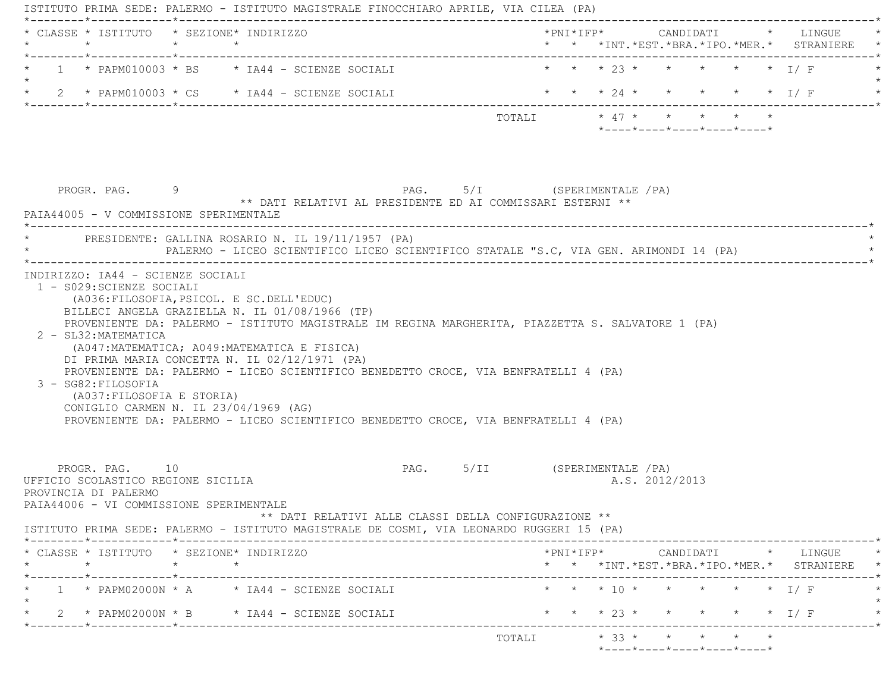| * CLASSE * ISTITUTO * SEZIONE* INDIRIZZO                                                                                |         |                                                                                                                                                                                                                                                                              |                          |                                    |                                         |  |  |                                                                                                                                                          |
|-------------------------------------------------------------------------------------------------------------------------|---------|------------------------------------------------------------------------------------------------------------------------------------------------------------------------------------------------------------------------------------------------------------------------------|--------------------------|------------------------------------|-----------------------------------------|--|--|----------------------------------------------------------------------------------------------------------------------------------------------------------|
|                                                                                                                         |         |                                                                                                                                                                                                                                                                              | * * * 23 * * * * * * I/F |                                    |                                         |  |  |                                                                                                                                                          |
|                                                                                                                         |         | * 2 * PAPM010003 * CS * IA44 - SCIENZE SOCIALI                                                                                                                                                                                                                               |                          |                                    |                                         |  |  | * * * 24 * * * * * * I/F                                                                                                                                 |
|                                                                                                                         |         |                                                                                                                                                                                                                                                                              | TOTALI * 47 * * * * * *  |                                    | $*$ ---- $*$ ---- $*$ ---- $*$ ---- $*$ |  |  |                                                                                                                                                          |
| PROGR. PAG. 9<br>PAIA44005 - V COMMISSIONE SPERIMENTALE                                                                 |         | PAG. 5/I (SPERIMENTALE / PA)<br>** DATI RELATIVI AL PRESIDENTE ED AI COMMISSARI ESTERNI **                                                                                                                                                                                   |                          |                                    |                                         |  |  |                                                                                                                                                          |
|                                                                                                                         |         | * PRESIDENTE: GALLINA ROSARIO N. IL 19/11/1957 (PA)<br>PALERMO - LICEO SCIENTIFICO LICEO SCIENTIFICO STATALE "S.C, VIA GEN. ARIMONDI 14 (PA)                                                                                                                                 |                          |                                    |                                         |  |  |                                                                                                                                                          |
| 2 - SL32: MATEMATICA                                                                                                    |         | BILLECI ANGELA GRAZIELLA N. IL 01/08/1966 (TP)<br>PROVENIENTE DA: PALERMO - ISTITUTO MAGISTRALE IM REGINA MARGHERITA, PIAZZETTA S. SALVATORE 1 (PA)                                                                                                                          |                          |                                    |                                         |  |  |                                                                                                                                                          |
| 3 - SG82: FILOSOFIA<br>(A037: FILOSOFIA E STORIA)<br>CONIGLIO CARMEN N. IL 23/04/1969 (AG)                              |         | (A047: MATEMATICA; A049: MATEMATICA E FISICA)<br>DI PRIMA MARIA CONCETTA N. IL 02/12/1971 (PA)<br>PROVENIENTE DA: PALERMO - LICEO SCIENTIFICO BENEDETTO CROCE, VIA BENFRATELLI 4 (PA)<br>PROVENIENTE DA: PALERMO - LICEO SCIENTIFICO BENEDETTO CROCE, VIA BENFRATELLI 4 (PA) |                          |                                    |                                         |  |  |                                                                                                                                                          |
| PROGR. PAG. 10<br>UFFICIO SCOLASTICO REGIONE SICILIA<br>PROVINCIA DI PALERMO<br>PAIA44006 - VI COMMISSIONE SPERIMENTALE |         | PAG. 5/II (SPERIMENTALE / PA)<br>** DATI RELATIVI ALLE CLASSI DELLA CONFIGURAZIONE **                                                                                                                                                                                        |                          |                                    | A.S. 2012/2013                          |  |  |                                                                                                                                                          |
|                                                                                                                         |         | ISTITUTO PRIMA SEDE: PALERMO - ISTITUTO MAGISTRALE DE COSMI, VIA LEONARDO RUGGERI 15 (PA)                                                                                                                                                                                    |                          |                                    |                                         |  |  |                                                                                                                                                          |
| * CLASSE * ISTITUTO * SEZIONE* INDIRIZZO<br>$\star$                                                                     | $\star$ |                                                                                                                                                                                                                                                                              |                          |                                    |                                         |  |  |                                                                                                                                                          |
|                                                                                                                         |         | $1 * PAPM02000N * A * IA44 - SCIENTZ E SOLALI$                                                                                                                                                                                                                               |                          | * * * $10$ *                       |                                         |  |  | $*PNI*IFP* \qquad \qquad \text{CANDIDATI} \qquad \qquad * \qquad \text{LINGUE} \qquad \qquad *$<br>* * *INT.*EST.*BRA.*IPO.*MER.* STRANIERE *<br>* * I/F |
| *--------*------------*---------                                                                                        |         | 2 * PAPM02000N * B * IA44 - SCIENZE SOCIALI                                                                                                                                                                                                                                  |                          | $\star$ $\star$ $\star$ 23 $\star$ |                                         |  |  | $\star$ $\star$ $\perp$ $\perp$ $\perp$                                                                                                                  |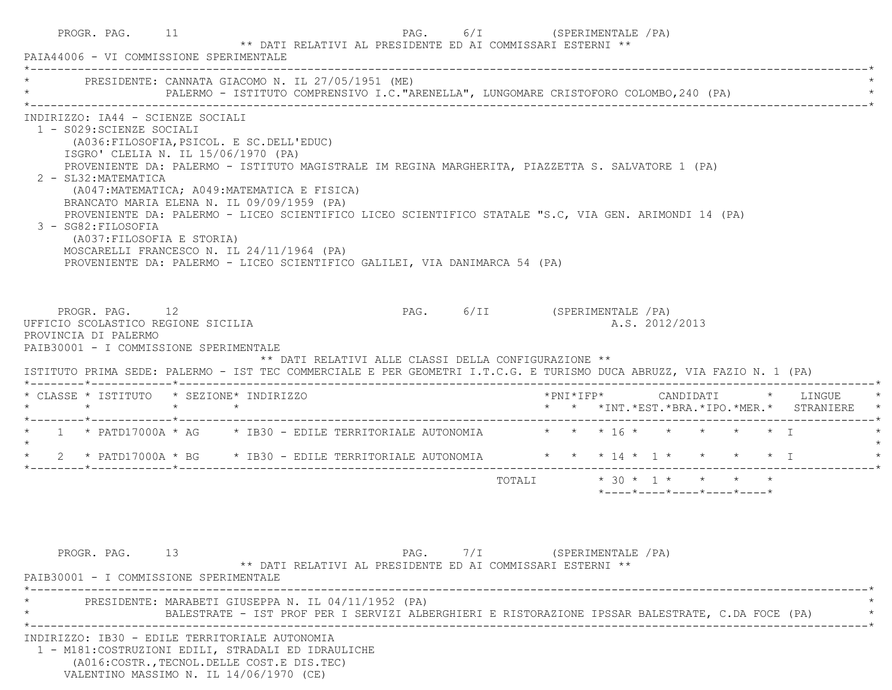| PROGR. PAG. 11<br>PAIA44006 - VI COMMISSIONE SPERIMENTALE                                                                                                                                                                                       |                                                                                                                                                                                                                                                                                                                                                                                                                                                                                                                                                         |                                                                                                  |                                                      | ** DATI RELATIVI AL PRESIDENTE ED AI COMMISSARI ESTERNI ** |  |  | PAG. 6/I (SPERIMENTALE / PA) |  |  |  |                |                                         |                                                                                   |  |
|-------------------------------------------------------------------------------------------------------------------------------------------------------------------------------------------------------------------------------------------------|---------------------------------------------------------------------------------------------------------------------------------------------------------------------------------------------------------------------------------------------------------------------------------------------------------------------------------------------------------------------------------------------------------------------------------------------------------------------------------------------------------------------------------------------------------|--------------------------------------------------------------------------------------------------|------------------------------------------------------|------------------------------------------------------------|--|--|------------------------------|--|--|--|----------------|-----------------------------------------|-----------------------------------------------------------------------------------|--|
| * PRESIDENTE: CANNATA GIACOMO N. IL 27/05/1951 (ME)                                                                                                                                                                                             |                                                                                                                                                                                                                                                                                                                                                                                                                                                                                                                                                         | PALERMO - ISTITUTO COMPRENSIVO I.C. "ARENELLA", LUNGOMARE CRISTOFORO COLOMBO, 240 (PA)           |                                                      |                                                            |  |  |                              |  |  |  |                |                                         |                                                                                   |  |
| INDIRIZZO: IA44 - SCIENZE SOCIALI<br>1 - S029: SCIENZE SOCIALI<br>2 - SL32: MATEMATICA<br>3 - SG82: FILOSOFIA                                                                                                                                   | (A036: FILOSOFIA, PSICOL. E SC. DELL'EDUC)<br>ISGRO' CLELIA N. IL 15/06/1970 (PA)<br>PROVENIENTE DA: PALERMO - ISTITUTO MAGISTRALE IM REGINA MARGHERITA, PIAZZETTA S. SALVATORE 1 (PA)<br>(A047: MATEMATICA; A049: MATEMATICA E FISICA)<br>BRANCATO MARIA ELENA N. IL 09/09/1959 (PA)<br>PROVENIENTE DA: PALERMO - LICEO SCIENTIFICO LICEO SCIENTIFICO STATALE "S.C, VIA GEN. ARIMONDI 14 (PA)<br>(A037:FILOSOFIA E STORIA)<br>MOSCARELLI FRANCESCO N. IL 24/11/1964 (PA)<br>PROVENIENTE DA: PALERMO - LICEO SCIENTIFICO GALILEI, VIA DANIMARCA 54 (PA) |                                                                                                  |                                                      |                                                            |  |  |                              |  |  |  |                |                                         |                                                                                   |  |
| PROGR. PAG. 12<br>UFFICIO SCOLASTICO REGIONE SICILIA<br>PROVINCIA DI PALERMO<br>PAIB30001 - I COMMISSIONE SPERIMENTALE<br>ISTITUTO PRIMA SEDE: PALERMO - IST TEC COMMERCIALE E PER GEOMETRI I.T.C.G. E TURISMO DUCA ABRUZZ, VIA FAZIO N. 1 (PA) |                                                                                                                                                                                                                                                                                                                                                                                                                                                                                                                                                         |                                                                                                  | ** DATI RELATIVI ALLE CLASSI DELLA CONFIGURAZIONE ** |                                                            |  |  | PAG. 6/II (SPERIMENTALE /PA) |  |  |  | A.S. 2012/2013 |                                         |                                                                                   |  |
| * CLASSE * ISTITUTO * SEZIONE* INDIRIZZO                                                                                                                                                                                                        |                                                                                                                                                                                                                                                                                                                                                                                                                                                                                                                                                         |                                                                                                  |                                                      |                                                            |  |  |                              |  |  |  |                |                                         | *PNI*IFP*     CANDIDATI    *   LINGUE<br>* * *INT.*EST.*BRA.*IPO.*MER.* STRANIERE |  |
| * 1 * PATD17000A * AG * IB30 - EDILE TERRITORIALE AUTONOMIA * * * * 16 * * * * * * * T<br>$\star$                                                                                                                                               |                                                                                                                                                                                                                                                                                                                                                                                                                                                                                                                                                         |                                                                                                  |                                                      |                                                            |  |  |                              |  |  |  |                |                                         |                                                                                   |  |
| * 2 * PATD17000A * BG * IB30 - EDILE TERRITORIALE AUTONOMIA * * * 14 * 1 * * * * * * I                                                                                                                                                          |                                                                                                                                                                                                                                                                                                                                                                                                                                                                                                                                                         |                                                                                                  |                                                      |                                                            |  |  |                              |  |  |  |                |                                         |                                                                                   |  |
|                                                                                                                                                                                                                                                 |                                                                                                                                                                                                                                                                                                                                                                                                                                                                                                                                                         |                                                                                                  |                                                      |                                                            |  |  |                              |  |  |  |                | $*$ ---- $*$ ---- $*$ ---- $*$ ---- $*$ |                                                                                   |  |
| PROGR. PAG. 13<br>PAIB30001 - I COMMISSIONE SPERIMENTALE                                                                                                                                                                                        |                                                                                                                                                                                                                                                                                                                                                                                                                                                                                                                                                         |                                                                                                  |                                                      | ** DATI RELATIVI AL PRESIDENTE ED AI COMMISSARI ESTERNI ** |  |  | PAG. 7/I (SPERIMENTALE / PA) |  |  |  |                |                                         |                                                                                   |  |
|                                                                                                                                                                                                                                                 | PRESIDENTE: MARABETI GIUSEPPA N. IL 04/11/1952 (PA)                                                                                                                                                                                                                                                                                                                                                                                                                                                                                                     | BALESTRATE - IST PROF PER I SERVIZI ALBERGHIERI E RISTORAZIONE IPSSAR BALESTRATE, C.DA FOCE (PA) |                                                      |                                                            |  |  |                              |  |  |  |                |                                         |                                                                                   |  |
| INDIRIZZO: IB30 - EDILE TERRITORIALE AUTONOMIA<br>1 - M181: COSTRUZIONI EDILI, STRADALI ED IDRAULICHE<br>(A016: COSTR., TECNOL. DELLE COST. E DIS. TEC)                                                                                         |                                                                                                                                                                                                                                                                                                                                                                                                                                                                                                                                                         |                                                                                                  |                                                      |                                                            |  |  |                              |  |  |  |                |                                         |                                                                                   |  |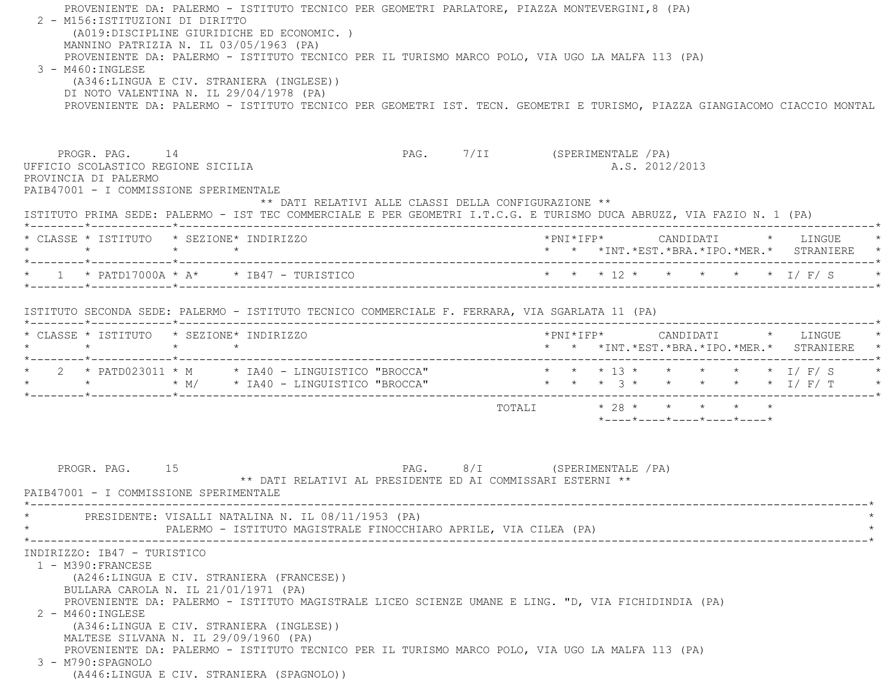PROVENIENTE DA: PALERMO - ISTITUTO TECNICO PER GEOMETRI PARLATORE, PIAZZA MONTEVERGINI,8 (PA) 2 - M156:ISTITUZIONI DI DIRITTO (A019:DISCIPLINE GIURIDICHE ED ECONOMIC. ) MANNINO PATRIZIA N. IL 03/05/1963 (PA) PROVENIENTE DA: PALERMO - ISTITUTO TECNICO PER IL TURISMO MARCO POLO, VIA UGO LA MALFA 113 (PA) 3 - M460:INGLESE (A346:LINGUA E CIV. STRANIERA (INGLESE)) DI NOTO VALENTINA N. IL 29/04/1978 (PA) PROVENIENTE DA: PALERMO - ISTITUTO TECNICO PER GEOMETRI IST. TECN. GEOMETRI E TURISMO, PIAZZA GIANGIACOMO CIACCIO MONTAL PROGR. PAG. 14 14 PAG. 7/II (SPERIMENTALE /PA) UFFICIO SCOLASTICO REGIONE SICILIA A.S. 2012/2013 PROVINCIA DI PALERMO PAIB47001 - I COMMISSIONE SPERIMENTALE \*\* DATI RELATIVI ALLE CLASSI DELLA CONFIGURAZIONE \*\* ISTITUTO PRIMA SEDE: PALERMO - IST TEC COMMERCIALE E PER GEOMETRI I.T.C.G. E TURISMO DUCA ABRUZZ, VIA FAZIO N. 1 (PA) \*--------\*------------\*-------------------------------------------------------------------------------------------------------\* \* CLASSE \* ISTITUTO \* SEZIONE\* INDIRIZZO \*PNI\*IFP\* CANDIDATI \* LINGUE \* \* \* \* \* \* \* \*INT.\*EST.\*BRA.\*IPO.\*MER.\* STRANIERE \* \*--------\*------------\*-------------------------------------------------------------------------------------------------------\* \* 1 \* PATD17000A \* A\* \* IB47 - TURISTICO \* \* \* 12 \* \* \* \* \* I/ F/ S \* \*--------\*------------\*-------------------------------------------------------------------------------------------------------\* ISTITUTO SECONDA SEDE: PALERMO - ISTITUTO TECNICO COMMERCIALE F. FERRARA, VIA SGARLATA 11 (PA) \*--------\*------------\*-------------------------------------------------------------------------------------------------------\* \* CLASSE \* ISTITUTO \* SEZIONE\* INDIRIZZO \*PNI\*IFP\* CANDIDATI \* LINGUE \* \* \* \* \* \* \* \*INT.\*EST.\*BRA.\*IPO.\*MER.\* STRANIERE \* \*--------\*------------\*-------------------------------------------------------------------------------------------------------\*\* 2 \* PATD023011 \* M \* IA40 - LINGUISTICO "BROCCA" \* \* \* 13 \* \* \* \* \* \* \* I/ F/ S \* \* \* \* M/ \* IA40 - LINGUISTICO "BROCCA" \* \* \* 3 \* \* \* \* \* I/ F/ T \* \*--------\*------------\*-------------------------------------------------------------------------------------------------------\* $\texttt{TOTALI} \qquad \qquad \star \quad 28 \; \star \qquad \star \qquad \star \qquad \star \qquad \star \qquad \star$  \*----\*----\*----\*----\*----\*PROGR. PAG. 15 15 PAG. 8/I (SPERIMENTALE /PA) \*\* DATI RELATIVI AL PRESIDENTE ED AI COMMISSARI ESTERNI \*\*PAIR47001 - I COMMISSIONE SPERIMENTALE \*----------------------------------------------------------------------------------------------------------------------------\*PRESIDENTE: VISALLI NATALINA N. IL 08/11/1953 (PA) PALERMO - ISTITUTO MAGISTRALE FINOCCHIARO APRILE, VIA CILEA (PA) \*----------------------------------------------------------------------------------------------------------------------------\* INDIRIZZO: IB47 - TURISTICO 1 - M390:FRANCESE (A246:LINGUA E CIV. STRANIERA (FRANCESE)) BULLARA CAROLA N. IL 21/01/1971 (PA) PROVENIENTE DA: PALERMO - ISTITUTO MAGISTRALE LICEO SCIENZE UMANE E LING. "D, VIA FICHIDINDIA (PA) 2 - M460:INGLESE (A346:LINGUA E CIV. STRANIERA (INGLESE)) MALTESE SILVANA N. IL 29/09/1960 (PA) PROVENIENTE DA: PALERMO - ISTITUTO TECNICO PER IL TURISMO MARCO POLO, VIA UGO LA MALFA 113 (PA) 3 - M790:SPAGNOLO(A446:LINGUA E CIV. STRANIERA (SPAGNOLO))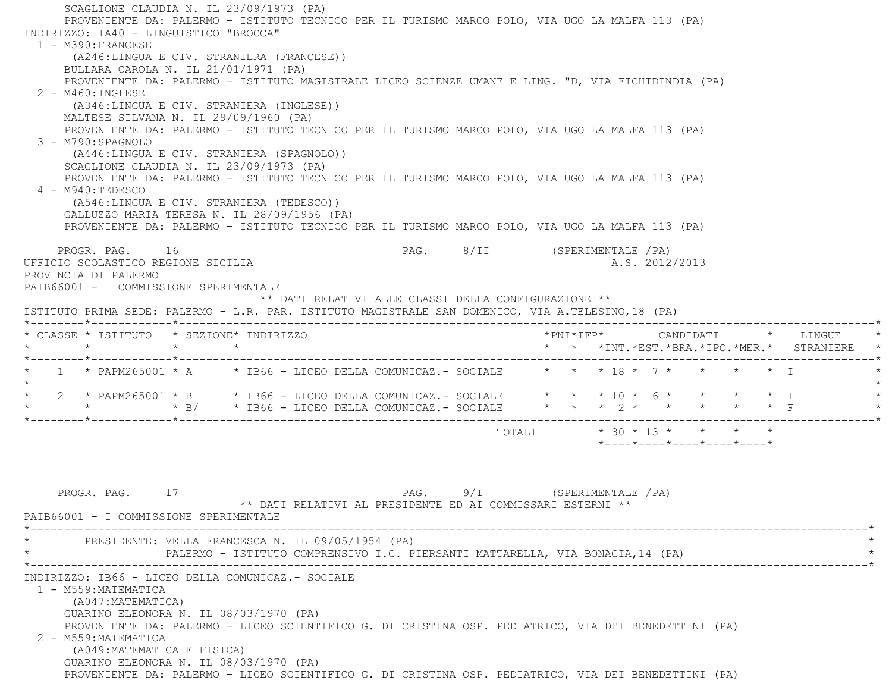SCAGLIONE CLAUDIA N. IL 23/09/1973 (PA) PROVENIENTE DA: PALERMO - ISTITUTO TECNICO PER IL TURISMO MARCO POLO, VIA UGO LA MALFA 113 (PA) INDIRIZZO: IA40 - LINGUISTICO "BROCCA" 1 - M390:FRANCESE (A246:LINGUA E CIV. STRANIERA (FRANCESE)) BULLARA CAROLA N. IL 21/01/1971 (PA) PROVENIENTE DA: PALERMO - ISTITUTO MAGISTRALE LICEO SCIENZE UMANE E LING. "D, VIA FICHIDINDIA (PA) 2 - M460:INGLESE (A346:LINGUA E CIV. STRANIERA (INGLESE)) MALTESE SILVANA N. IL 29/09/1960 (PA) PROVENIENTE DA: PALERMO - ISTITUTO TECNICO PER IL TURISMO MARCO POLO, VIA UGO LA MALFA 113 (PA) 3 - M790:SPAGNOLO (A446:LINGUA E CIV. STRANIERA (SPAGNOLO)) SCAGLIONE CLAUDIA N. IL 23/09/1973 (PA) PROVENIENTE DA: PALERMO - ISTITUTO TECNICO PER IL TURISMO MARCO POLO, VIA UGO LA MALFA 113 (PA) 4 - M940:TEDESCO (A546:LINGUA E CIV. STRANIERA (TEDESCO)) GALLUZZO MARIA TERESA N. IL 28/09/1956 (PA) PROVENIENTE DA: PALERMO - ISTITUTO TECNICO PER IL TURISMO MARCO POLO, VIA UGO LA MALFA 113 (PA) PROGR. PAG. 16 PAG. 8/II (SPERIMENTALE /PA) UFFICIO SCOLASTICO REGIONE SICILIA A.S. 2012/2013 PROVINCIA DI PALERMO PAIB66001 - I COMMISSIONE SPERIMENTALE \*\* DATI RELATIVI ALLE CLASSI DELLA CONFIGURAZIONE \*\* ISTITUTO PRIMA SEDE: PALERMO - L.R. PAR. ISTITUTO MAGISTRALE SAN DOMENICO, VIA A.TELESINO,18 (PA) \*--------\*------------\*-------------------------------------------------------------------------------------------------------\* $\texttt{Chasse}\;$ \* ISTITUTO \* SEZIONE\* INDIRIZZO \*PNI\*IFP\* \* PNI\*IFP\* CANDIDATI \* LINGUE \* \* \* \* \* \* \*INT.\*EST.\*BRA.\*IPO.\*MER.\* STRANIERE \* \*--------\*------------\*-------------------------------------------------------------------------------------------------------\*1 \* PAPM265001 \* A \* IB66 - LICEO DELLA COMUNICAZ.- SOCIALE \* \* \* 18 \* 7 \* \* \* \* \* \* I  $\star$ 2 \* PAPM265001 \* B \* IB66 - LICEO DELLA COMUNICAZ.- SOCIALE \* \* \* 10 \* 6 \* \* \* \* \* \* I \* \* \* B/ \* IB66 - LICEO DELLA COMUNICAZ.- SOCIALE \* \* \* 2 \* \* \* \* \* F \* \*--------\*------------\*-------------------------------------------------------------------------------------------------------\* TOTALI \* 30 \* 13 \* \* \* \* \*----\*----\*----\*----\*----\*PROGR. PAG. 17 17 2000 12 PAG. 9/I (SPERIMENTALE /PA) \*\* DATI RELATIVI AL PRESIDENTE ED AI COMMISSARI ESTERNI \*\* PAIB66001 - I COMMISSIONE SPERIMENTALE \*----------------------------------------------------------------------------------------------------------------------------\*PRESIDENTE: VELLA FRANCESCA N. IL 09/05/1954 (PA) PALERMO - ISTITUTO COMPRENSIVO I.C. PIERSANTI MATTARELLA, VIA BONAGIA,14 (PA) \*----------------------------------------------------------------------------------------------------------------------------\* INDIRIZZO: IB66 - LICEO DELLA COMUNICAZ.- SOCIALE 1 - M559:MATEMATICA (A047:MATEMATICA) GUARINO ELEONORA N. IL 08/03/1970 (PA) PROVENIENTE DA: PALERMO - LICEO SCIENTIFICO G. DI CRISTINA OSP. PEDIATRICO, VIA DEI BENEDETTINI (PA) 2 - M559:MATEMATICA (A049:MATEMATICA E FISICA) GUARINO ELEONORA N. IL 08/03/1970 (PA) PROVENIENTE DA: PALERMO - LICEO SCIENTIFICO G. DI CRISTINA OSP. PEDIATRICO, VIA DEI BENEDETTINI (PA)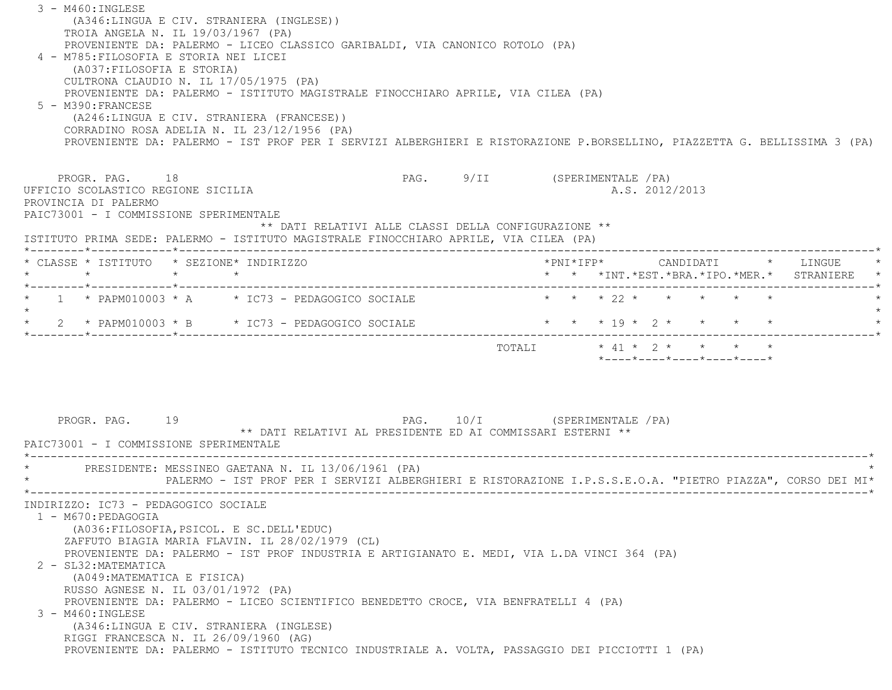3 - M460:INGLESE (A346:LINGUA E CIV. STRANIERA (INGLESE)) TROIA ANGELA N. IL 19/03/1967 (PA) PROVENIENTE DA: PALERMO - LICEO CLASSICO GARIBALDI, VIA CANONICO ROTOLO (PA) 4 - M785:FILOSOFIA E STORIA NEI LICEI (A037:FILOSOFIA E STORIA) CULTRONA CLAUDIO N. IL 17/05/1975 (PA) PROVENIENTE DA: PALERMO - ISTITUTO MAGISTRALE FINOCCHIARO APRILE, VIA CILEA (PA) 5 - M390:FRANCESE (A246:LINGUA E CIV. STRANIERA (FRANCESE)) CORRADINO ROSA ADELIA N. IL 23/12/1956 (PA) PROVENIENTE DA: PALERMO - IST PROF PER I SERVIZI ALBERGHIERI E RISTORAZIONE P.BORSELLINO, PIAZZETTA G. BELLISSIMA 3 (PA) PROGR. PAG. 18 18 PAG. PAG. 9/II (SPERIMENTALE / PA) UFFICIO SCOLASTICO REGIONE SICILIA A.S. 2012/2013 PROVINCIA DI PALERMO PAIC73001 - I COMMISSIONE SPERIMENTALE \*\* DATI RELATIVI ALLE CLASSI DELLA CONFIGURAZIONE \*\* ISTITUTO PRIMA SEDE: PALERMO - ISTITUTO MAGISTRALE FINOCCHIARO APRILE, VIA CILEA (PA) \*--------\*------------\*-------------------------------------------------------------------------------------------------------\* \* CLASSE \* ISTITUTO \* SEZIONE\* INDIRIZZO \*PNI\*IFP\* CANDIDATI \* LINGUE \* \* \* \* \* \* \* \*INT.\*EST.\*BRA.\*IPO.\*MER.\* STRANIERE \* \*--------\*------------\*-------------------------------------------------------------------------------------------------------\*\* 1 \* PAPM010003 \* A \* IC73 - PEDAGOGICO SOCIALE \* \* \* \* 22 \* \* \* \* \* \* \*  $\star$ \* 2 \* PAPM010003 \* B \* IC73 - PEDAGOGICO SOCIALE \* \* \* \* 19 \* 2 \* \* \* \* \* \* \*--------\*------------\*-------------------------------------------------------------------------------------------------------\*TOTALI  $* 41 * 2 * * * * * * * *$  \*----\*----\*----\*----\*----\* PROGR. PAG. 19 PAG. 10/I (SPERIMENTALE /PA) \*\* DATI RELATIVI AL PRESIDENTE ED AI COMMISSARI ESTERNI \*\* PAIC73001 - I COMMISSIONE SPERIMENTALE \*----------------------------------------------------------------------------------------------------------------------------\*PRESIDENTE: MESSINEO GAETANA N. IL 13/06/1961 (PA) \* PALERMO - IST PROF PER I SERVIZI ALBERGHIERI E RISTORAZIONE I.P.S.S.E.O.A. "PIETRO PIAZZA", CORSO DEI MI\* \*----------------------------------------------------------------------------------------------------------------------------\* INDIRIZZO: IC73 - PEDAGOGICO SOCIALE 1 - M670:PEDAGOGIA (A036:FILOSOFIA,PSICOL. E SC.DELL'EDUC) ZAFFUTO BIAGIA MARIA FLAVIN. IL 28/02/1979 (CL) PROVENIENTE DA: PALERMO - IST PROF INDUSTRIA E ARTIGIANATO E. MEDI, VIA L.DA VINCI 364 (PA) 2 - SL32:MATEMATICA (A049:MATEMATICA E FISICA) RUSSO AGNESE N. IL 03/01/1972 (PA) PROVENIENTE DA: PALERMO - LICEO SCIENTIFICO BENEDETTO CROCE, VIA BENFRATELLI 4 (PA) 3 - M460:INGLESE (A346:LINGUA E CIV. STRANIERA (INGLESE) RIGGI FRANCESCA N. IL 26/09/1960 (AG) PROVENIENTE DA: PALERMO - ISTITUTO TECNICO INDUSTRIALE A. VOLTA, PASSAGGIO DEI PICCIOTTI 1 (PA)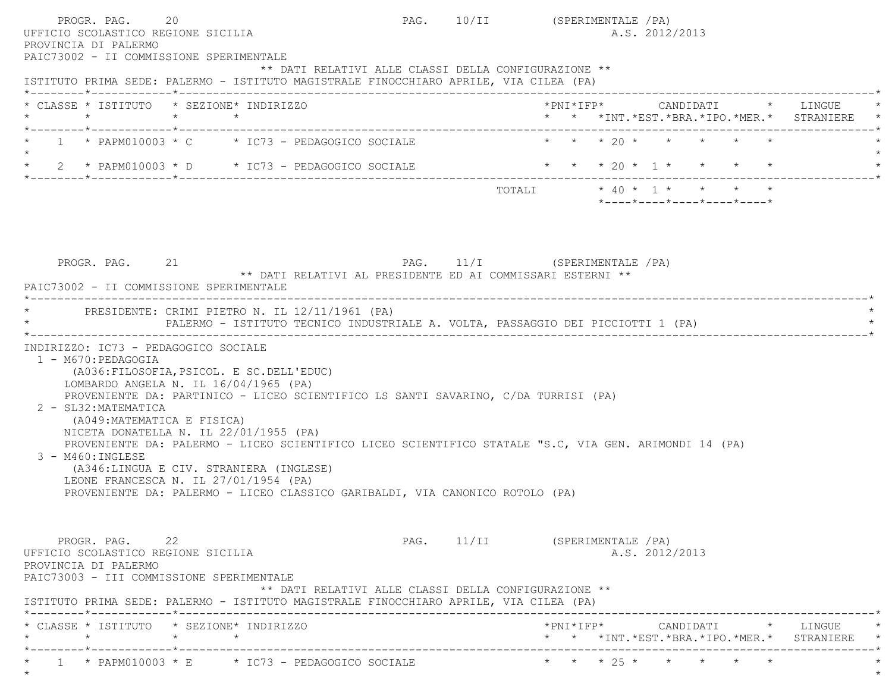| PROGR. PAG.<br>UFFICIO SCOLASTICO REGIONE SICILIA<br>PROVINCIA DI PALERMO<br>PAIC73002 - II COMMISSIONE SPERIMENTALE     | 20                                                                                                                                                                                                                                                                                                                                                                                                                                                                                                 |                       | PAG. 10/II (SPERIMENTALE / PA) |  | A.S. 2012/2013 |                                                                          |                                                                               |
|--------------------------------------------------------------------------------------------------------------------------|----------------------------------------------------------------------------------------------------------------------------------------------------------------------------------------------------------------------------------------------------------------------------------------------------------------------------------------------------------------------------------------------------------------------------------------------------------------------------------------------------|-----------------------|--------------------------------|--|----------------|--------------------------------------------------------------------------|-------------------------------------------------------------------------------|
|                                                                                                                          | ** DATI RELATIVI ALLE CLASSI DELLA CONFIGURAZIONE **<br>ISTITUTO PRIMA SEDE: PALERMO - ISTITUTO MAGISTRALE FINOCCHIARO APRILE, VIA CILEA (PA)                                                                                                                                                                                                                                                                                                                                                      |                       |                                |  |                |                                                                          |                                                                               |
| $\star$<br>*--------*------------*------------                                                                           | * CLASSE * ISTITUTO * SEZIONE* INDIRIZZO<br>$\star$ $\star$                                                                                                                                                                                                                                                                                                                                                                                                                                        |                       |                                |  |                |                                                                          | *PNI*IFP* CANDIDATI * LINGUE<br>* * *INT. *EST. *BRA. *IPO. *MER. * STRANIERE |
|                                                                                                                          | $1 * PAPM010003 * C * IC73 - PEDAGOGICO SOCIALE$                                                                                                                                                                                                                                                                                                                                                                                                                                                   |                       |                                |  |                | $\star$ $\star$ $\star$ $\gamma$ $\star$ $\star$ $\star$ $\star$ $\star$ |                                                                               |
|                                                                                                                          | 2 * PAPM010003 * D * IC73 - PEDAGOGICO SOCIALE                                                                                                                                                                                                                                                                                                                                                                                                                                                     |                       |                                |  |                | * * * 20 * 1 * * * * *                                                   |                                                                               |
|                                                                                                                          |                                                                                                                                                                                                                                                                                                                                                                                                                                                                                                    |                       |                                |  |                | $*$ ---- $*$ ---- $*$ ---- $*$ ---- $*$ ---- $*$                         |                                                                               |
| PROGR. PAG. 21<br>PAIC73002 - II COMMISSIONE SPERIMENTALE                                                                | ** DATI RELATIVI AL PRESIDENTE ED AI COMMISSARI ESTERNI **                                                                                                                                                                                                                                                                                                                                                                                                                                         |                       | PAG. 11/I (SPERIMENTALE / PA)  |  |                |                                                                          |                                                                               |
|                                                                                                                          | PRESIDENTE: CRIMI PIETRO N. IL 12/11/1961 (PA)<br>PALERMO - ISTITUTO TECNICO INDUSTRIALE A. VOLTA, PASSAGGIO DEI PICCIOTTI 1 (PA)                                                                                                                                                                                                                                                                                                                                                                  | _____________________ |                                |  |                |                                                                          |                                                                               |
| 1 - M670: PEDAGOGIA<br>2 - SL32: MATEMATICA<br>(A049: MATEMATICA E FISICA)<br>3 - M460: INGLESE                          | (A036: FILOSOFIA, PSICOL. E SC. DELL'EDUC)<br>LOMBARDO ANGELA N. IL $16/04/1965$ (PA)<br>PROVENIENTE DA: PARTINICO - LICEO SCIENTIFICO LS SANTI SAVARINO, C/DA TURRISI (PA)<br>NICETA DONATELLA N. IL 22/01/1955 (PA)<br>PROVENIENTE DA: PALERMO - LICEO SCIENTIFICO LICEO SCIENTIFICO STATALE "S.C, VIA GEN. ARIMONDI 14 (PA)<br>(A346:LINGUA E CIV. STRANIERA (INGLESE)<br>LEONE FRANCESCA N. IL 27/01/1954 (PA)<br>PROVENIENTE DA: PALERMO - LICEO CLASSICO GARIBALDI, VIA CANONICO ROTOLO (PA) |                       |                                |  |                |                                                                          |                                                                               |
| PROGR. PAG. 22<br>UFFICIO SCOLASTICO REGIONE SICILIA<br>PROVINCIA DI PALERMO<br>PAIC73003 - III COMMISSIONE SPERIMENTALE | ** DATI RELATIVI ALLE CLASSI DELLA CONFIGURAZIONE **<br>ISTITUTO PRIMA SEDE: PALERMO - ISTITUTO MAGISTRALE FINOCCHIARO APRILE, VIA CILEA (PA)                                                                                                                                                                                                                                                                                                                                                      |                       | PAG. 11/II (SPERIMENTALE / PA) |  | A.S. 2012/2013 |                                                                          |                                                                               |
| $\star$                                                                                                                  | * CLASSE * ISTITUTO * SEZIONE* INDIRIZZO<br>$\star$<br>$\star$                                                                                                                                                                                                                                                                                                                                                                                                                                     |                       |                                |  |                |                                                                          | * * *INT. *EST. *BRA. *IPO. *MER. * STRANIERE                                 |
| ________*____________*__________                                                                                         | $1 *$ PAPM010003 * E $*$ IC73 - PEDAGOGICO SOCIALE                                                                                                                                                                                                                                                                                                                                                                                                                                                 |                       | -----------------------------  |  |                | * * * 25 * * * * * *                                                     |                                                                               |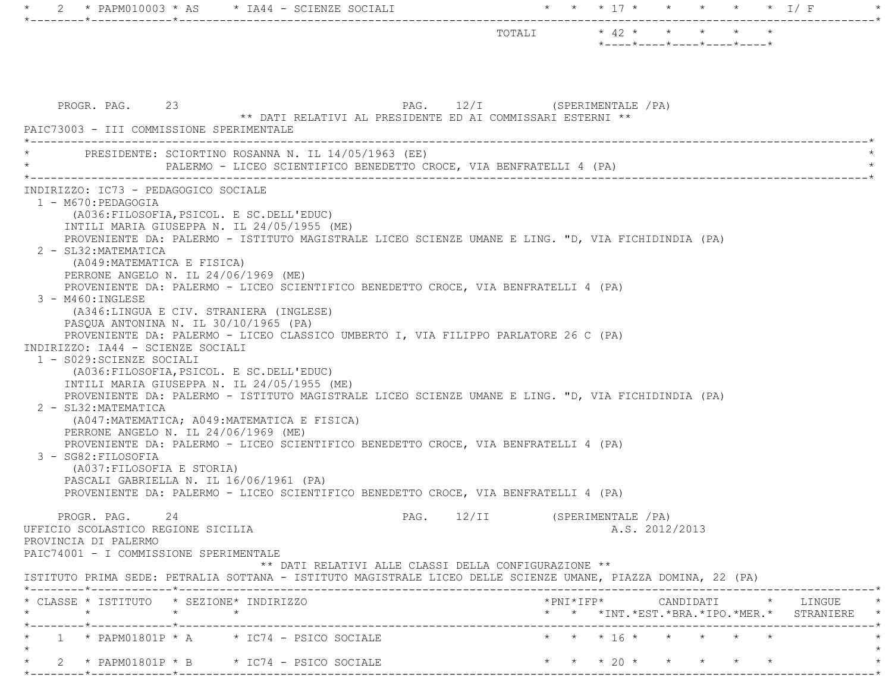| 2 * PAPM010003 * AS * IA44 - SCIENZE SOCIALI<br>-*---------                                                                                                                                                                                                                                                                                                                                                                                                                                                                                                                                                                                                                                                                                                                                                                                                                                                                                                                                                                                                                                                                                                                                                                                                                                                                                   | * * * 17 * * * * * * I/F                                                        |  |
|-----------------------------------------------------------------------------------------------------------------------------------------------------------------------------------------------------------------------------------------------------------------------------------------------------------------------------------------------------------------------------------------------------------------------------------------------------------------------------------------------------------------------------------------------------------------------------------------------------------------------------------------------------------------------------------------------------------------------------------------------------------------------------------------------------------------------------------------------------------------------------------------------------------------------------------------------------------------------------------------------------------------------------------------------------------------------------------------------------------------------------------------------------------------------------------------------------------------------------------------------------------------------------------------------------------------------------------------------|---------------------------------------------------------------------------------|--|
|                                                                                                                                                                                                                                                                                                                                                                                                                                                                                                                                                                                                                                                                                                                                                                                                                                                                                                                                                                                                                                                                                                                                                                                                                                                                                                                                               | $*$ ---- $*$ ---- $*$ ---- $*$ ---- $*$ ---- $*$                                |  |
| PROGR. PAG. 23<br>** DATI RELATIVI AL PRESIDENTE ED AI COMMISSARI ESTERNI **<br>PAIC73003 - III COMMISSIONE SPERIMENTALE                                                                                                                                                                                                                                                                                                                                                                                                                                                                                                                                                                                                                                                                                                                                                                                                                                                                                                                                                                                                                                                                                                                                                                                                                      | PAG. 12/I (SPERIMENTALE / PA)                                                   |  |
| PRESIDENTE: SCIORTINO ROSANNA N. IL 14/05/1963 (EE)<br>PALERMO - LICEO SCIENTIFICO BENEDETTO CROCE, VIA BENFRATELLI 4 (PA)                                                                                                                                                                                                                                                                                                                                                                                                                                                                                                                                                                                                                                                                                                                                                                                                                                                                                                                                                                                                                                                                                                                                                                                                                    |                                                                                 |  |
| INDIRIZZO: IC73 - PEDAGOGICO SOCIALE<br>1 - M670: PEDAGOGIA<br>(A036: FILOSOFIA, PSICOL. E SC. DELL'EDUC)<br>INTILI MARIA GIUSEPPA N. IL 24/05/1955 (ME)<br>PROVENIENTE DA: PALERMO - ISTITUTO MAGISTRALE LICEO SCIENZE UMANE E LING. "D, VIA FICHIDINDIA (PA)<br>2 - SL32: MATEMATICA<br>(A049: MATEMATICA E FISICA)<br>PERRONE ANGELO N. IL 24/06/1969 (ME)<br>PROVENIENTE DA: PALERMO - LICEO SCIENTIFICO BENEDETTO CROCE, VIA BENFRATELLI 4 (PA)<br>$3 - M460$ : INGLESE<br>(A346:LINGUA E CIV. STRANIERA (INGLESE)<br>PASQUA ANTONINA N. IL 30/10/1965 (PA)<br>PROVENIENTE DA: PALERMO - LICEO CLASSICO UMBERTO I, VIA FILIPPO PARLATORE 26 C (PA)<br>INDIRIZZO: IA44 - SCIENZE SOCIALI<br>1 - S029: SCIENZE SOCIALI<br>(A036: FILOSOFIA, PSICOL. E SC. DELL'EDUC)<br>INTILI MARIA GIUSEPPA N. IL 24/05/1955 (ME)<br>PROVENIENTE DA: PALERMO - ISTITUTO MAGISTRALE LICEO SCIENZE UMANE E LING. "D, VIA FICHIDINDIA (PA)<br>2 - SL32: MATEMATICA<br>(A047: MATEMATICA; A049: MATEMATICA E FISICA)<br>PERRONE ANGELO N. IL 24/06/1969 (ME)<br>PROVENIENTE DA: PALERMO - LICEO SCIENTIFICO BENEDETTO CROCE, VIA BENFRATELLI 4 (PA)<br>3 - SG82: FILOSOFIA<br>(A037: FILOSOFIA E STORIA)<br>PASCALI GABRIELLA N. IL 16/06/1961 (PA)<br>PROVENIENTE DA: PALERMO - LICEO SCIENTIFICO BENEDETTO CROCE, VIA BENFRATELLI 4 (PA)<br>PROGR. PAG. 24 | PAG. 12/II (SPERIMENTALE / PA)                                                  |  |
| UFFICIO SCOLASTICO REGIONE SICILIA<br>PROVINCIA DI PALERMO<br>PAIC74001 - I COMMISSIONE SPERIMENTALE                                                                                                                                                                                                                                                                                                                                                                                                                                                                                                                                                                                                                                                                                                                                                                                                                                                                                                                                                                                                                                                                                                                                                                                                                                          | A.S. 2012/2013                                                                  |  |
| ** DATI RELATIVI ALLE CLASSI DELLA CONFIGURAZIONE **<br>ISTITUTO PRIMA SEDE: PETRALIA SOTTANA - ISTITUTO MAGISTRALE LICEO DELLE SCIENZE UMANE, PIAZZA DOMINA, 22 (PA)                                                                                                                                                                                                                                                                                                                                                                                                                                                                                                                                                                                                                                                                                                                                                                                                                                                                                                                                                                                                                                                                                                                                                                         |                                                                                 |  |
| * CLASSE * ISTITUTO * SEZIONE* INDIRIZZO                                                                                                                                                                                                                                                                                                                                                                                                                                                                                                                                                                                                                                                                                                                                                                                                                                                                                                                                                                                                                                                                                                                                                                                                                                                                                                      | *PNI*IFP* CANDIDATI * LINGUE<br>* * *INT. *EST. *BRA. *IPO. *MER. * STRANIERE * |  |
| _________*____________*_________<br>$1 * PAPM01801P * A * IC74 - PSICO SOLALE$                                                                                                                                                                                                                                                                                                                                                                                                                                                                                                                                                                                                                                                                                                                                                                                                                                                                                                                                                                                                                                                                                                                                                                                                                                                                | * * * 16 * * * * * *                                                            |  |
| 2 * PAPM01801P * B $*$ IC74 - PSICO SOCIALE<br>$\star$                                                                                                                                                                                                                                                                                                                                                                                                                                                                                                                                                                                                                                                                                                                                                                                                                                                                                                                                                                                                                                                                                                                                                                                                                                                                                        | $\star$ $\star$ $\star$ $20$ $\star$ $\star$ $\star$ $\star$ $\star$            |  |
|                                                                                                                                                                                                                                                                                                                                                                                                                                                                                                                                                                                                                                                                                                                                                                                                                                                                                                                                                                                                                                                                                                                                                                                                                                                                                                                                               |                                                                                 |  |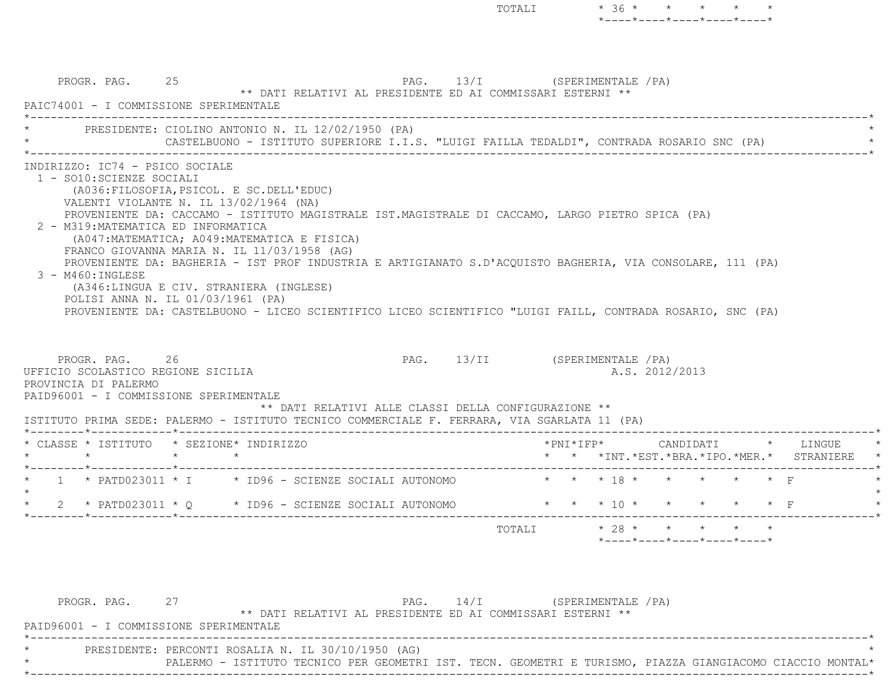PROGR. PAG. 25 25 PAG. 13/I (SPERIMENTALE /PA) \*\* DATI RELATIVI AL PRESIDENTE ED AI COMMISSARI ESTERNI \*\* PAIC74001 - I COMMISSIONE SPERIMENTALE \*----------------------------------------------------------------------------------------------------------------------------\*PRESIDENTE: CIOLINO ANTONIO N. IL 12/02/1950 (PA) CASTELBUONO - ISTITUTO SUPERIORE I.I.S. "LUIGI FAILLA TEDALDI", CONTRADA ROSARIO SNC (PA) \*----------------------------------------------------------------------------------------------------------------------------\* INDIRIZZO: IC74 - PSICO SOCIALE 1 - SO10:SCIENZE SOCIALI (A036:FILOSOFIA,PSICOL. E SC.DELL'EDUC) VALENTI VIOLANTE N. IL 13/02/1964 (NA) PROVENIENTE DA: CACCAMO - ISTITUTO MAGISTRALE IST.MAGISTRALE DI CACCAMO, LARGO PIETRO SPICA (PA) 2 - M319:MATEMATICA ED INFORMATICA (A047:MATEMATICA; A049:MATEMATICA E FISICA) FRANCO GIOVANNA MARIA N. IL 11/03/1958 (AG) PROVENIENTE DA: BAGHERIA - IST PROF INDUSTRIA E ARTIGIANATO S.D'ACQUISTO BAGHERIA, VIA CONSOLARE, 111 (PA) 3 - M460:INGLESE (A346:LINGUA E CIV. STRANIERA (INGLESE) POLISI ANNA N. IL 01/03/1961 (PA) PROVENIENTE DA: CASTELBUONO - LICEO SCIENTIFICO LICEO SCIENTIFICO "LUIGI FAILL, CONTRADA ROSARIO, SNC (PA) PROGR. PAG. 26 26 PAG. PAG. 13/II (SPERIMENTALE /PA) UFFICIO SCOLASTICO REGIONE SICILIA A.S. 2012/2013 PROVINCIA DI PALERMO PAID96001 - I COMMISSIONE SPERIMENTALE \*\* DATI RELATIVI ALLE CLASSI DELLA CONFIGURAZIONE \*\* ISTITUTO PRIMA SEDE: PALERMO - ISTITUTO TECNICO COMMERCIALE F. FERRARA, VIA SGARLATA 11 (PA) \*--------\*------------\*-------------------------------------------------------------------------------------------------------\* \* CLASSE \* ISTITUTO \* SEZIONE\* INDIRIZZO \*PNI\*IFP\* CANDIDATI \* LINGUE \* \* \* \* \* \* \* \*INT.\*EST.\*BRA.\*IPO.\*MER.\* STRANIERE \* \*--------\*------------\*-------------------------------------------------------------------------------------------------------\* $1 \times$  PATD023011  $\star$  I  $\phantom{1}$   $\star$  ID96 - SCIENZE SOCIALI AUTONOMO  $\phantom{1}$   $\star$   $\phantom{1}$   $\star$   $\phantom{1}$   $\star$   $\phantom{1}$   $\star$   $\phantom{1}$   $\star$   $\phantom{1}$   $\star$   $\phantom{1}$   $\star$   $\phantom{1}$   $\star$   $\phantom{1}$   $\star$   $\phantom{1}$   $\star$   $\phantom{1}$   $\$  $\star$ 2 \* PATD023011 \* Q \* ID96 - SCIENZE SOCIALI AUTONOMO \* \* \* \* 10 \* \* \* \* \* \* \* F \*--------\*------------\*-------------------------------------------------------------------------------------------------------\*TOTALI  $* 28 * * * * * * * * *$ \*----\*----\*----\*----\*----\*

TOTALI \* 36 \* \* \* \* \*

\*----\*----\*----\*----\*----\*

PROGR. PAG. 27 27 PAG. 14/I (SPERIMENTALE /PA) \*\* DATI RELATIVI AL PRESIDENTE ED AI COMMISSARI ESTERNI \*\* PAID96001 - I COMMISSIONE SPERIMENTALE \*----------------------------------------------------------------------------------------------------------------------------\*PRESIDENTE: PERCONTI ROSALIA N. IL 30/10/1950 (AG) \* PALERMO - ISTITUTO TECNICO PER GEOMETRI IST. TECN. GEOMETRI E TURISMO, PIAZZA GIANGIACOMO CIACCIO MONTAL\* \*----------------------------------------------------------------------------------------------------------------------------\*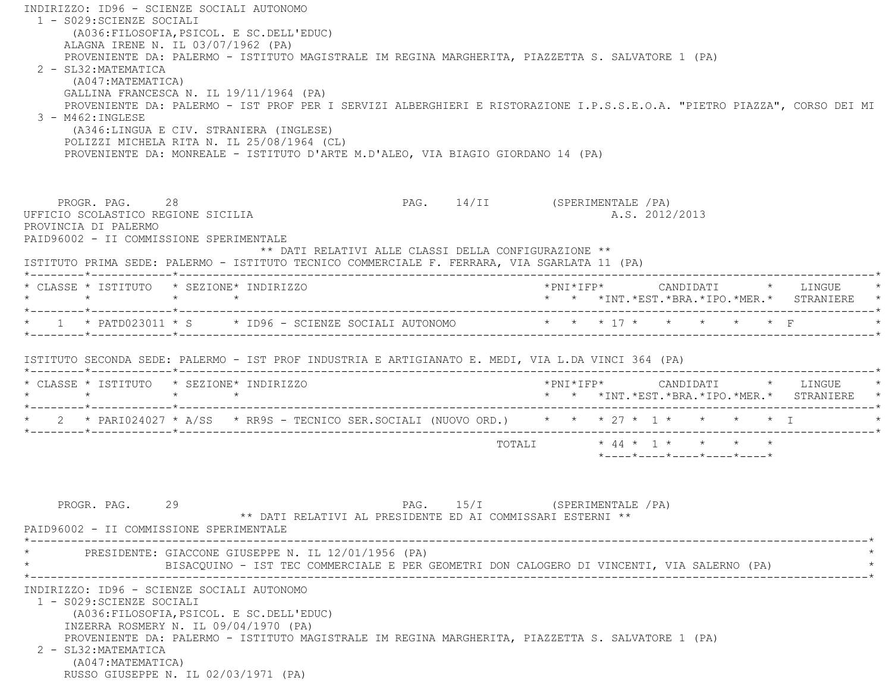INDIRIZZO: ID96 - SCIENZE SOCIALI AUTONOMO 1 - S029:SCIENZE SOCIALI (A036:FILOSOFIA,PSICOL. E SC.DELL'EDUC) ALAGNA IRENE N. IL 03/07/1962 (PA) PROVENIENTE DA: PALERMO - ISTITUTO MAGISTRALE IM REGINA MARGHERITA, PIAZZETTA S. SALVATORE 1 (PA) 2 - SL32:MATEMATICA (A047:MATEMATICA) GALLINA FRANCESCA N. IL 19/11/1964 (PA) PROVENIENTE DA: PALERMO - IST PROF PER I SERVIZI ALBERGHIERI E RISTORAZIONE I.P.S.S.E.O.A. "PIETRO PIAZZA", CORSO DEI MI  $3 - M462 \cdot INGIERSE$  (A346:LINGUA E CIV. STRANIERA (INGLESE) POLIZZI MICHELA RITA N. IL 25/08/1964 (CL) PROVENIENTE DA: MONREALE - ISTITUTO D'ARTE M.D'ALEO, VIA BIAGIO GIORDANO 14 (PA) PROGR. PAG. 28 28 PAG. 14/II (SPERIMENTALE /PA) UFFICIO SCOLASTICO REGIONE SICILIA A.S. 2012/2013 PROVINCIA DI PALERMO PAID96002 - II COMMISSIONE SPERIMENTALE \*\* DATI RELATIVI ALLE CLASSI DELLA CONFIGURAZIONE \*\* ISTITUTO PRIMA SEDE: PALERMO - ISTITUTO TECNICO COMMERCIALE F. FERRARA, VIA SGARLATA 11 (PA) \*--------\*------------\*-------------------------------------------------------------------------------------------------------\* \* CLASSE \* ISTITUTO \* SEZIONE\* INDIRIZZO \*PNI\*IFP\* CANDIDATI \* LINGUE \* \* \* \* \* \* \* \*INT.\*EST.\*BRA.\*IPO.\*MER.\* STRANIERE \* \*--------\*------------\*-------------------------------------------------------------------------------------------------------\* $*$  1  $*$  PATD023011  $*$  S  $*$  ID96 - SCIENZE SOCIALI AUTONOMO \*--------\*------------\*-------------------------------------------------------------------------------------------------------\* ISTITUTO SECONDA SEDE: PALERMO - IST PROF INDUSTRIA E ARTIGIANATO E. MEDI, VIA L.DA VINCI 364 (PA) \*--------\*------------\*-------------------------------------------------------------------------------------------------------\* \* CLASSE \* ISTITUTO \* SEZIONE\* INDIRIZZO \*PNI\*IFP\* CANDIDATI \* LINGUE \* \* \* \* \* \* \* \*INT.\*EST.\*BRA.\*IPO.\*MER.\* STRANIERE \* \*--------\*------------\*-------------------------------------------------------------------------------------------------------\* \* 2 \* PARI024027 \* A/SS \* RR9S - TECNICO SER.SOCIALI (NUOVO ORD.) \* \* \* 27 \* 1 \* \* \* \* I \* \*--------\*------------\*-------------------------------------------------------------------------------------------------------\* TOTALI \* 44 \* 1 \* \* \* \* \*----\*----\*----\*----\*----\*PROGR. PAG. 29 29 PAG. 15/I (SPERIMENTALE /PA) \*\* DATI RELATIVI AL PRESIDENTE ED AI COMMISSARI ESTERNI \*\*PAID96002 - II COMMISSIONE SPERIMENTALE \*----------------------------------------------------------------------------------------------------------------------------\*PRESIDENTE: GIACCONE GIUSEPPE N. IL 12/01/1956 (PA) \* BISACQUINO - IST TEC COMMERCIALE E PER GEOMETRI DON CALOGERO DI VINCENTI, VIA SALERNO (PA) \* \*----------------------------------------------------------------------------------------------------------------------------\* INDIRIZZO: ID96 - SCIENZE SOCIALI AUTONOMO 1 - S029:SCIENZE SOCIALI (A036:FILOSOFIA,PSICOL. E SC.DELL'EDUC) INZERRA ROSMERY N. IL 09/04/1970 (PA) PROVENIENTE DA: PALERMO - ISTITUTO MAGISTRALE IM REGINA MARGHERITA, PIAZZETTA S. SALVATORE 1 (PA) 2 - SL32:MATEMATICA (A047:MATEMATICA) RUSSO GIUSEPPE N. IL 02/03/1971 (PA)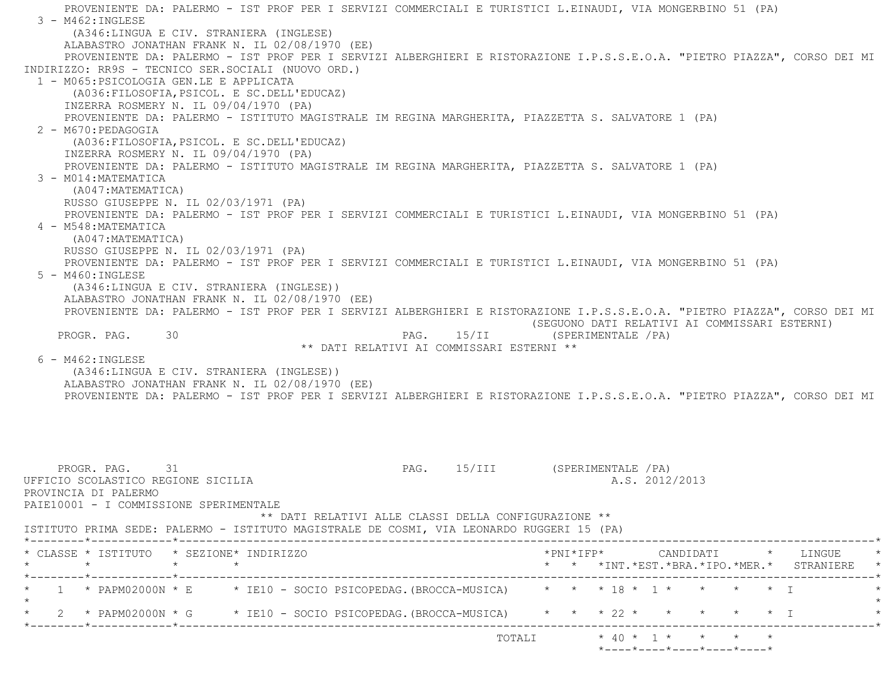PROVENIENTE DA: PALERMO - IST PROF PER I SERVIZI COMMERCIALI E TURISTICI L.EINAUDI, VIA MONGERBINO 51 (PA)  $3 - M462$ : INGLESE (A346:LINGUA E CIV. STRANIERA (INGLESE) ALABASTRO JONATHAN FRANK N. IL 02/08/1970 (EE) PROVENIENTE DA: PALERMO - IST PROF PER I SERVIZI ALBERGHIERI E RISTORAZIONE I.P.S.S.E.O.A. "PIETRO PIAZZA", CORSO DEI MI INDIRIZZO: RR9S - TECNICO SER.SOCIALI (NUOVO ORD.) 1 - M065:PSICOLOGIA GEN.LE E APPLICATA (A036:FILOSOFIA,PSICOL. E SC.DELL'EDUCAZ) INZERRA ROSMERY N. IL 09/04/1970 (PA) PROVENIENTE DA: PALERMO - ISTITUTO MAGISTRALE IM REGINA MARGHERITA, PIAZZETTA S. SALVATORE 1 (PA) 2 - M670:PEDAGOGIA (A036:FILOSOFIA,PSICOL. E SC.DELL'EDUCAZ) INZERRA ROSMERY N. IL 09/04/1970 (PA) PROVENIENTE DA: PALERMO - ISTITUTO MAGISTRALE IM REGINA MARGHERITA, PIAZZETTA S. SALVATORE 1 (PA) 3 - M014:MATEMATICA (A047:MATEMATICA) RUSSO GIUSEPPE N. IL 02/03/1971 (PA) PROVENIENTE DA: PALERMO - IST PROF PER I SERVIZI COMMERCIALI E TURISTICI L.EINAUDI, VIA MONGERBINO 51 (PA) 4 - M548:MATEMATICA (A047:MATEMATICA) RUSSO GIUSEPPE N. IL 02/03/1971 (PA) PROVENIENTE DA: PALERMO - IST PROF PER I SERVIZI COMMERCIALI E TURISTICI L.EINAUDI, VIA MONGERBINO 51 (PA) 5 - M460:INGLESE (A346:LINGUA E CIV. STRANIERA (INGLESE)) ALABASTRO JONATHAN FRANK N. IL 02/08/1970 (EE) PROVENIENTE DA: PALERMO - IST PROF PER I SERVIZI ALBERGHIERI E RISTORAZIONE I.P.S.S.E.O.A. "PIETRO PIAZZA", CORSO DEI MI (SEGUONO DATI RELATIVI AI COMMISSARI ESTERNI) PROGR. PAG. 30 30 PAG. 15/II (SPERIMENTALE /PA) \*\* DATI RELATIVI AI COMMISSARI ESTERNI \*\* 6 - M462:INGLESE (A346:LINGUA E CIV. STRANIERA (INGLESE)) ALABASTRO JONATHAN FRANK N. IL 02/08/1970 (EE) PROVENIENTE DA: PALERMO - IST PROF PER I SERVIZI ALBERGHIERI E RISTORAZIONE I.P.S.S.E.O.A. "PIETRO PIAZZA", CORSO DEI MI PROGR. PAG. 31 2009 2009 2009 21 21 22 23 24 25/III (SPERIMENTALE / PA) UFFICIO SCOLASTICO REGIONE SICILIA A.S. 2012/2013 PROVINCIA DI PALERMO PAIE10001 - I COMMISSIONE SPERIMENTALE \*\* DATI RELATIVI ALLE CLASSI DELLA CONFIGURAZIONE \*\* ISTITUTO PRIMA SEDE: PALERMO - ISTITUTO MAGISTRALE DE COSMI, VIA LEONARDO RUGGERI 15 (PA) \*--------\*------------\*-------------------------------------------------------------------------------------------------------\* \* CLASSE \* ISTITUTO \* SEZIONE\* INDIRIZZO \*PNI\*IFP\* CANDIDATI \* LINGUE \* \* \* \* \* \* \* \*INT.\*EST.\*BRA.\*IPO.\*MER.\* STRANIERE \* \*--------\*------------\*-------------------------------------------------------------------------------------------------------\*1 \* PAPM02000N \* E \* IE10 - SOCIO PSICOPEDAG.(BROCCA-MUSICA) \* \* \* 18 \* 1 \* \* \* \* \* \* I  $\star$  \* 2 \* PAPM02000N \* G \* IE10 - SOCIO PSICOPEDAG.(BROCCA-MUSICA) \* \* \* 22 \* \* \* \* \* I \* \*--------\*------------\*-------------------------------------------------------------------------------------------------------\*

TOTALI  $\star$  40  $\star$  1  $\star$   $\star$   $\star$   $\star$ 

\*----\*----\*----\*----\*----\*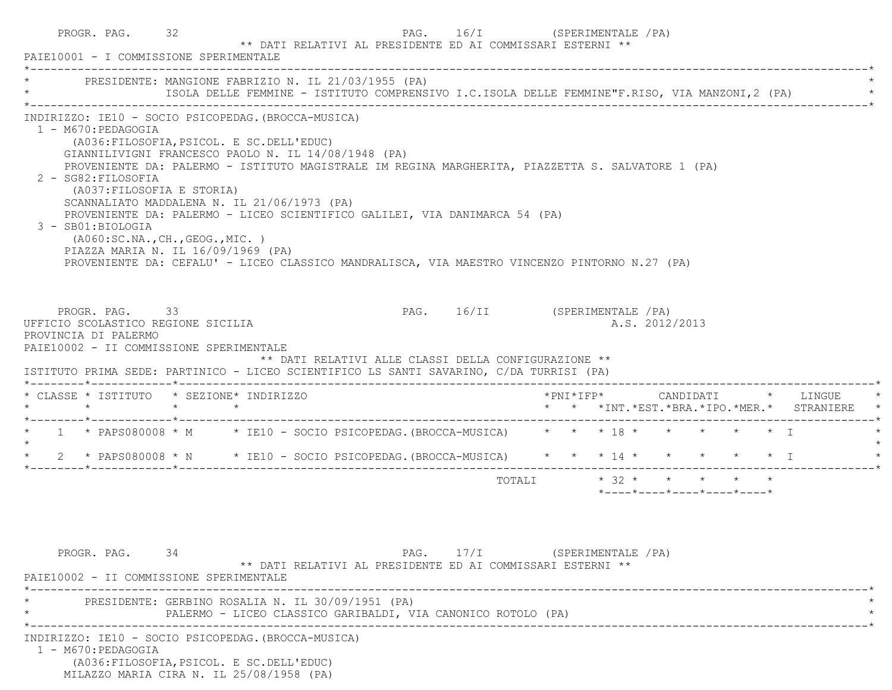|  | PROGR. PAG. 32<br>PAIE10001 - I COMMISSIONE SPERIMENTALE                                                                                                                                                                                                                                                                                                                          |  | ** DATI RELATIVI AL PRESIDENTE ED AI COMMISSARI ESTERNI **                                                                                                                                                                                                                       | PAG. 16/I (SPERIMENTALE / PA) |                       |  |  |                |                            |  |                                          |  |
|--|-----------------------------------------------------------------------------------------------------------------------------------------------------------------------------------------------------------------------------------------------------------------------------------------------------------------------------------------------------------------------------------|--|----------------------------------------------------------------------------------------------------------------------------------------------------------------------------------------------------------------------------------------------------------------------------------|-------------------------------|-----------------------|--|--|----------------|----------------------------|--|------------------------------------------|--|
|  |                                                                                                                                                                                                                                                                                                                                                                                   |  | * PRESIDENTE: MANGIONE FABRIZIO N. IL 21/03/1955 (PA)<br>ISOLA DELLE FEMMINE - ISTITUTO COMPRENSIVO I.C.ISOLA DELLE FEMMINE"F.RISO, VIA MANZONI, 2 (PA)                                                                                                                          |                               |                       |  |  |                |                            |  |                                          |  |
|  | INDIRIZZO: IE10 - SOCIO PSICOPEDAG. (BROCCA-MUSICA)<br>1 - M670:PEDAGOGIA<br>(A036: FILOSOFIA, PSICOL. E SC. DELL'EDUC)<br>GIANNILIVIGNI FRANCESCO PAOLO N. IL 14/08/1948 (PA)<br>2 - SG82: FILOSOFIA<br>(A037:FILOSOFIA E STORIA)<br>SCANNALIATO MADDALENA N. IL 21/06/1973 (PA)<br>3 - SB01:BIOLOGIA<br>( A060:SC.NA., CH., GEOG., MIC. )<br>PIAZZA MARIA N. IL 16/09/1969 (PA) |  | PROVENIENTE DA: PALERMO - ISTITUTO MAGISTRALE IM REGINA MARGHERITA, PIAZZETTA S. SALVATORE 1 (PA)<br>PROVENIENTE DA: PALERMO - LICEO SCIENTIFICO GALILEI, VIA DANIMARCA 54 (PA)<br>PROVENIENTE DA: CEFALU' - LICEO CLASSICO MANDRALISCA, VIA MAESTRO VINCENZO PINTORNO N.27 (PA) |                               |                       |  |  |                |                            |  |                                          |  |
|  | PROGR. PAG. 33<br>UFFICIO SCOLASTICO REGIONE SICILIA<br>PROVINCIA DI PALERMO<br>PAIE10002 - II COMMISSIONE SPERIMENTALE                                                                                                                                                                                                                                                           |  |                                                                                                                                                                                                                                                                                  | PAG. 16/II (SPERIMENTALE /PA) |                       |  |  | A.S. 2012/2013 |                            |  |                                          |  |
|  |                                                                                                                                                                                                                                                                                                                                                                                   |  | ** DATI RELATIVI ALLE CLASSI DELLA CONFIGURAZIONE **<br>ISTITUTO PRIMA SEDE: PARTINICO - LICEO SCIENTIFICO LS SANTI SAVARINO, C/DA TURRISI (PA)                                                                                                                                  |                               |                       |  |  |                |                            |  |                                          |  |
|  | * CLASSE * ISTITUTO * SEZIONE* INDIRIZZO                                                                                                                                                                                                                                                                                                                                          |  |                                                                                                                                                                                                                                                                                  |                               |                       |  |  |                |                            |  | * * *INT.*EST.*BRA.*IPO.*MER.* STRANIERE |  |
|  |                                                                                                                                                                                                                                                                                                                                                                                   |  | * 1 * PAPS080008 * M * IE10 - SOCIO PSICOPEDAG. (BROCCA-MUSICA) * * * 18 * * * * * * * I                                                                                                                                                                                         |                               |                       |  |  |                |                            |  |                                          |  |
|  |                                                                                                                                                                                                                                                                                                                                                                                   |  | * 2 * PAPS080008 * N * IE10 - SOCIO PSICOPEDAG. (BROCCA-MUSICA) * * * 14 * * * * * * * I                                                                                                                                                                                         |                               |                       |  |  |                |                            |  |                                          |  |
|  |                                                                                                                                                                                                                                                                                                                                                                                   |  |                                                                                                                                                                                                                                                                                  |                               | TOTALI * 32 * * * * * |  |  |                | *----*----*----*----*----* |  |                                          |  |
|  | PROGR. PAG. 34<br>PAIE10002 - II COMMISSIONE SPERIMENTALE                                                                                                                                                                                                                                                                                                                         |  | ** DATI RELATIVI AL PRESIDENTE ED AI COMMISSARI ESTERNI **                                                                                                                                                                                                                       | PAG. 17/I (SPERIMENTALE / PA) |                       |  |  |                |                            |  |                                          |  |
|  |                                                                                                                                                                                                                                                                                                                                                                                   |  | PRESIDENTE: GERBINO ROSALIA N. IL 30/09/1951 (PA)<br>PALERMO - LICEO CLASSICO GARIBALDI, VIA CANONICO ROTOLO (PA)                                                                                                                                                                |                               |                       |  |  |                |                            |  |                                          |  |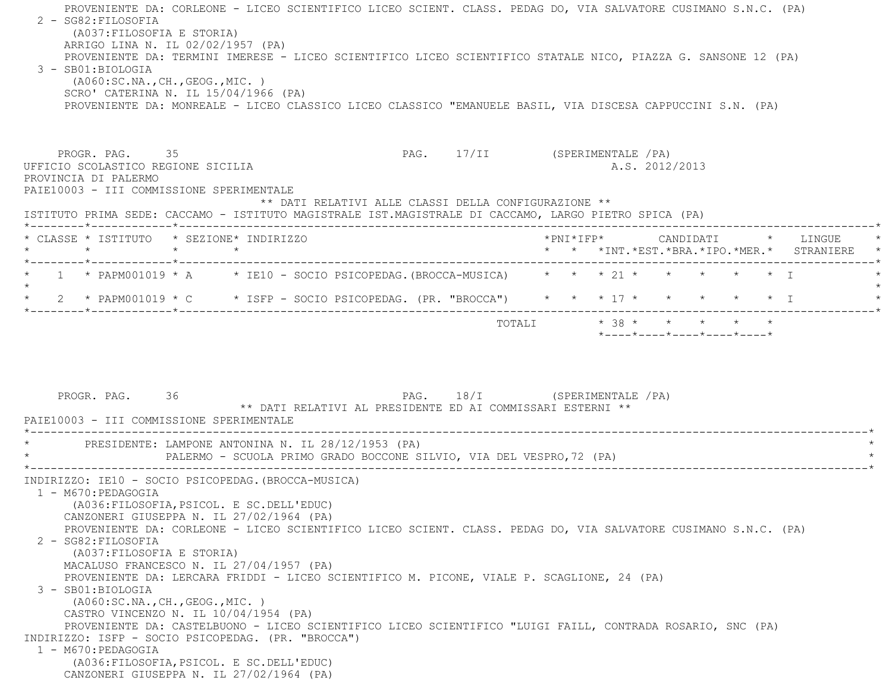PROVENIENTE DA: CORLEONE - LICEO SCIENTIFICO LICEO SCIENT. CLASS. PEDAG DO, VIA SALVATORE CUSIMANO S.N.C. (PA) 2 - SG82:FILOSOFIA (A037:FILOSOFIA E STORIA) ARRIGO LINA N. IL 02/02/1957 (PA) PROVENIENTE DA: TERMINI IMERESE - LICEO SCIENTIFICO LICEO SCIENTIFICO STATALE NICO, PIAZZA G. SANSONE 12 (PA) 3 - SB01:BIOLOGIA (A060:SC.NA.,CH.,GEOG.,MIC. ) SCRO' CATERINA N. IL 15/04/1966 (PA) PROVENIENTE DA: MONREALE - LICEO CLASSICO LICEO CLASSICO "EMANUELE BASIL, VIA DISCESA CAPPUCCINI S.N. (PA) PROGR. PAG. 35 35 PAG. 17/II (SPERIMENTALE /PA) UFFICIO SCOLASTICO REGIONE SICILIA A.S. 2012/2013 PROVINCIA DI PALERMO PAIE10003 - III COMMISSIONE SPERIMENTALE \*\* DATI RELATIVI ALLE CLASSI DELLA CONFIGURAZIONE \*\* ISTITUTO PRIMA SEDE: CACCAMO - ISTITUTO MAGISTRALE IST.MAGISTRALE DI CACCAMO, LARGO PIETRO SPICA (PA) \*--------\*------------\*-------------------------------------------------------------------------------------------------------\* \* CLASSE \* ISTITUTO \* SEZIONE\* INDIRIZZO \*PNI\*IFP\* CANDIDATI \* LINGUE \* \* \* \* \* \* \* \*INT.\*EST.\*BRA.\*IPO.\*MER.\* STRANIERE \* \*--------\*------------\*-------------------------------------------------------------------------------------------------------\*\* 1 \* PAPM001019 \* A \* IE10 - SOCIO PSICOPEDAG.(BROCCA-MUSICA) \* \* \* 21 \* \* \* \* \* \* \* I  $\star$ \* 2 \* PAPM001019 \* C \* ISFP - SOCIO PSICOPEDAG. (PR. "BROCCA") \* \* \* 17 \* \* \* \* \* \* \* I \*--------\*------------\*-------------------------------------------------------------------------------------------------------\*TOTALI  $* 38 * * * * * * * * * *$  \*----\*----\*----\*----\*----\*PROGR. PAG. 36 36 PAG. 18/I (SPERIMENTALE /PA) \*\* DATI RELATIVI AL PRESIDENTE ED AI COMMISSARI ESTERNI \*\* PAIE10003 - III COMMISSIONE SPERIMENTALE \*----------------------------------------------------------------------------------------------------------------------------\*PRESIDENTE: LAMPONE ANTONINA N. IL 28/12/1953 (PA) PALERMO - SCUOLA PRIMO GRADO BOCCONE SILVIO, VIA DEL VESPRO,72 (PA) \*----------------------------------------------------------------------------------------------------------------------------\* INDIRIZZO: IE10 - SOCIO PSICOPEDAG.(BROCCA-MUSICA) 1 - M670:PEDAGOGIA (A036:FILOSOFIA,PSICOL. E SC.DELL'EDUC) CANZONERI GIUSEPPA N. IL 27/02/1964 (PA) PROVENIENTE DA: CORLEONE - LICEO SCIENTIFICO LICEO SCIENT. CLASS. PEDAG DO, VIA SALVATORE CUSIMANO S.N.C. (PA) 2 - SG82:FILOSOFIA (A037:FILOSOFIA E STORIA) MACALUSO FRANCESCO N. IL 27/04/1957 (PA) PROVENIENTE DA: LERCARA FRIDDI - LICEO SCIENTIFICO M. PICONE, VIALE P. SCAGLIONE, 24 (PA) 3 - SB01:BIOLOGIA (A060:SC.NA.,CH.,GEOG.,MIC. ) CASTRO VINCENZO N. IL 10/04/1954 (PA) PROVENIENTE DA: CASTELBUONO - LICEO SCIENTIFICO LICEO SCIENTIFICO "LUIGI FAILL, CONTRADA ROSARIO, SNC (PA) INDIRIZZO: ISFP - SOCIO PSICOPEDAG. (PR. "BROCCA") 1 - M670:PEDAGOGIA (A036:FILOSOFIA,PSICOL. E SC.DELL'EDUC) CANZONERI GIUSEPPA N. IL 27/02/1964 (PA)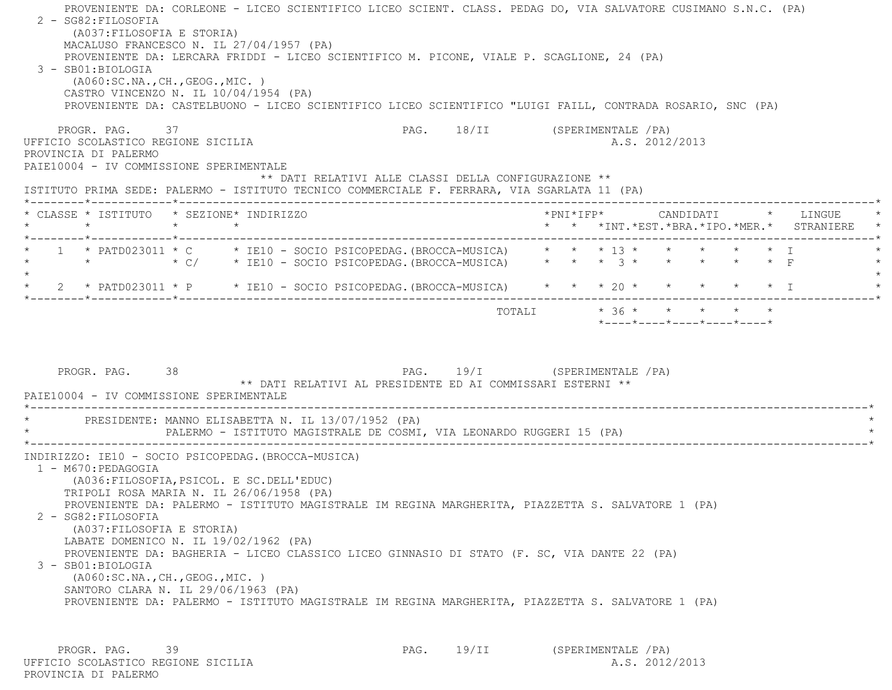|         | PROGR. PAG. 37<br>UFFICIO SCOLASTICO REGIONE SICILIA<br>PROVINCIA DI PALERMO<br>PAIE10004 - IV COMMISSIONE SPERIMENTALE | ** DATI RELATIVI ALLE CLASSI DELLA CONFIGURAZIONE **<br>ISTITUTO PRIMA SEDE: PALERMO - ISTITUTO TECNICO COMMERCIALE F. FERRARA, VIA SGARLATA 11 (PA)                                | PAG. 18/II (SPERIMENTALE /PA) |  |  | A.S. 2012/2013 |                                                                 |  |                                                 |
|---------|-------------------------------------------------------------------------------------------------------------------------|-------------------------------------------------------------------------------------------------------------------------------------------------------------------------------------|-------------------------------|--|--|----------------|-----------------------------------------------------------------|--|-------------------------------------------------|
|         |                                                                                                                         | * CLASSE * ISTITUTO * SEZIONE* INDIRIZZO                                                                                                                                            |                               |  |  |                |                                                                 |  | * * *INT. *EST. *BRA. *IPO. *MER. * STRANIERE * |
| $\star$ |                                                                                                                         | * 1 * PATD023011 * C * IE10 - SOCIO PSICOPEDAG. (BROCCA-MUSICA) * * * 13 * * * * * * * I<br>* * * * $\sqrt{C}$ * IE10 - SOCIO PSICOPEDAG. (BROCCA-MUSICA) * * * 3 * * * * * * F     |                               |  |  |                |                                                                 |  |                                                 |
|         |                                                                                                                         | 2 * PATD023011 * P * IE10 - SOCIO PSICOPEDAG. (BROCCA-MUSICA) * * * 20 * * * * * * * I                                                                                              |                               |  |  |                |                                                                 |  |                                                 |
|         |                                                                                                                         |                                                                                                                                                                                     |                               |  |  |                | $*$ _ _ _ _ $*$ _ _ _ _ $*$ _ _ _ _ $*$ _ _ _ _ $*$ _ _ _ _ $*$ |  |                                                 |
|         | PROGR. PAG. 38<br>PAIE10004 - IV COMMISSIONE SPERIMENTALE                                                               | PAG. 19/I (SPERIMENTALE /PA)<br>** DATI RELATIVI AL PRESIDENTE ED AI COMMISSARI ESTERNI **                                                                                          |                               |  |  |                |                                                                 |  |                                                 |
|         | 1 - M670: PEDAGOGIA                                                                                                     | * PRESIDENTE: MANNO ELISABETTA N. IL 13/07/1952 (PA)<br>PALERMO - ISTITUTO MAGISTRALE DE COSMI, VIA LEONARDO RUGGERI 15 (PA)<br>INDIRIZZO: IE10 - SOCIO PSICOPEDAG. (BROCCA-MUSICA) |                               |  |  |                |                                                                 |  |                                                 |

PROGR. PAG. 39 39 PAG. 19/II (SPERIMENTALE /PA)<br>2012/2013 PAG. 19/II (SPERIMENTALE /PA) UFFICIO SCOLASTICO REGIONE SICILIA PROVINCIA DI PALERMO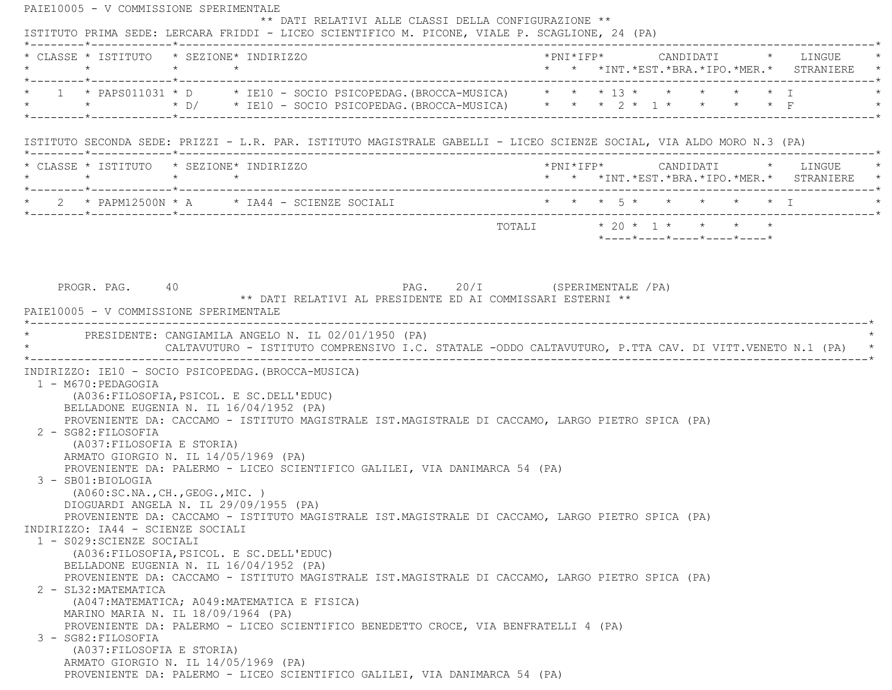PAIE10005 - V COMMISSIONE SPERIMENTALE \*\* DATI RELATIVI ALLE CLASSI DELLA CONFIGURAZIONE \*\* ISTITUTO PRIMA SEDE: LERCARA FRIDDI - LICEO SCIENTIFICO M. PICONE, VIALE P. SCAGLIONE, 24 (PA) \*--------\*------------\*-------------------------------------------------------------------------------------------------------\* \* CLASSE \* ISTITUTO \* SEZIONE\* INDIRIZZO \*PNI\*IFP\* CANDIDATI \* LINGUE \* \* \* \* \* \* \* \*INT.\*EST.\*BRA.\*IPO.\*MER.\* STRANIERE \* \*--------\*------------\*-------------------------------------------------------------------------------------------------------\* \* 1 \* PAPS011031 \* D \* IE10 - SOCIO PSICOPEDAG.(BROCCA-MUSICA) \* \* \* 13 \* \* \* \* \* I \* \* \* \* D/ \* IE10 - SOCIO PSICOPEDAG.(BROCCA-MUSICA) \* \* \* 2 \* 1 \* \* \* \* F \* \*--------\*------------\*-------------------------------------------------------------------------------------------------------\* ISTITUTO SECONDA SEDE: PRIZZI - L.R. PAR. ISTITUTO MAGISTRALE GABELLI - LICEO SCIENZE SOCIAL, VIA ALDO MORO N.3 (PA) \*--------\*------------\*-------------------------------------------------------------------------------------------------------\* \* CLASSE \* ISTITUTO \* SEZIONE\* INDIRIZZO \*PNI\*IFP\* CANDIDATI \* LINGUE \* \* \* \* \* \* \* \*INT.\*EST.\*BRA.\*IPO.\*MER.\* STRANIERE \* \*--------\*------------\*-------------------------------------------------------------------------------------------------------\*2 \* PAPM12500N \* A \* IA44 - SCIENZE SOCIALI \* \* \* \* 5 \* \* \* \* \* \* \* \* I \*--------\*------------\*-------------------------------------------------------------------------------------------------------\*TOTALI  $* 20 * 1 * * * * * * *$  \*----\*----\*----\*----\*----\*PROGR. PAG. 40 40 PAG. 20/I (SPERIMENTALE /PA) \*\* DATI RELATIVI AL PRESIDENTE ED AI COMMISSARI ESTERNI \*\* PAIE10005 - V COMMISSIONE SPERIMENTALE \*----------------------------------------------------------------------------------------------------------------------------\*PRESIDENTE: CANGIAMILA ANGELO N. IL 02/01/1950 (PA) CALTAVUTURO - ISTITUTO COMPRENSIVO I.C. STATALE -ODDO CALTAVUTURO, P.TTA CAV. DI VITT.VENETO N.1 (PA) \*----------------------------------------------------------------------------------------------------------------------------\* INDIRIZZO: IE10 - SOCIO PSICOPEDAG.(BROCCA-MUSICA) 1 - M670:PEDAGOGIA (A036:FILOSOFIA,PSICOL. E SC.DELL'EDUC) BELLADONE EUGENIA N. IL 16/04/1952 (PA) PROVENIENTE DA: CACCAMO - ISTITUTO MAGISTRALE IST.MAGISTRALE DI CACCAMO, LARGO PIETRO SPICA (PA) 2 - SG82:FILOSOFIA (A037:FILOSOFIA E STORIA) ARMATO GIORGIO N. IL 14/05/1969 (PA) PROVENIENTE DA: PALERMO - LICEO SCIENTIFICO GALILEI, VIA DANIMARCA 54 (PA) 3 - SB01:BIOLOGIA (A060:SC.NA.,CH.,GEOG.,MIC. ) DIOGUARDI ANGELA N. IL 29/09/1955 (PA) PROVENIENTE DA: CACCAMO - ISTITUTO MAGISTRALE IST.MAGISTRALE DI CACCAMO, LARGO PIETRO SPICA (PA) INDIRIZZO: IA44 - SCIENZE SOCIALI 1 - S029:SCIENZE SOCIALI (A036:FILOSOFIA,PSICOL. E SC.DELL'EDUC) BELLADONE EUGENIA N. IL 16/04/1952 (PA) PROVENIENTE DA: CACCAMO - ISTITUTO MAGISTRALE IST.MAGISTRALE DI CACCAMO, LARGO PIETRO SPICA (PA) 2 - SL32:MATEMATICA (A047:MATEMATICA; A049:MATEMATICA E FISICA) MARINO MARIA N. IL 18/09/1964 (PA) PROVENIENTE DA: PALERMO - LICEO SCIENTIFICO BENEDETTO CROCE, VIA BENFRATELLI 4 (PA) 3 - SG82:FILOSOFIA (A037:FILOSOFIA E STORIA) ARMATO GIORGIO N. IL 14/05/1969 (PA) PROVENIENTE DA: PALERMO - LICEO SCIENTIFICO GALILEI, VIA DANIMARCA 54 (PA)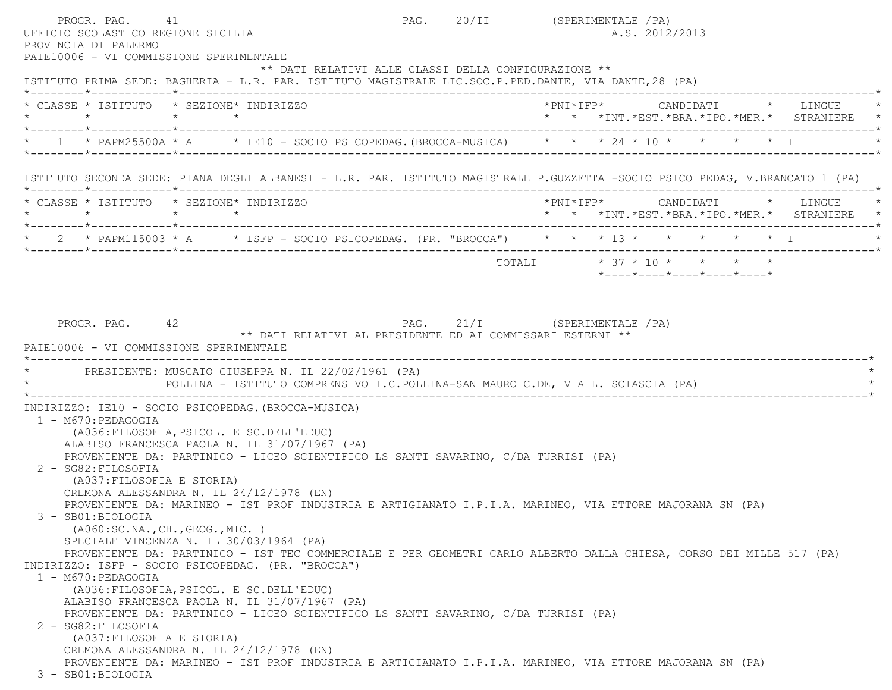PROGR. PAG. 41 CHARGE 41 PAG. 20/II (SPERIMENTALE /PA) UFFICIO SCOLASTICO REGIONE SICILIA A.S. 2012/2013 PROVINCIA DI PALERMO PAIE10006 - VI COMMISSIONE SPERIMENTALE \*\* DATI RELATIVI ALLE CLASSI DELLA CONFIGURAZIONE \*\* ISTITUTO PRIMA SEDE: BAGHERIA - L.R. PAR. ISTITUTO MAGISTRALE LIC.SOC.P.PED.DANTE, VIA DANTE,28 (PA) \*--------\*------------\*-------------------------------------------------------------------------------------------------------\* \* CLASSE \* ISTITUTO \* SEZIONE\* INDIRIZZO \*PNI\*IFP\* CANDIDATI \* LINGUE \* \* \* \* \* \* \* \*INT.\*EST.\*BRA.\*IPO.\*MER.\* STRANIERE \* \*--------\*------------\*-------------------------------------------------------------------------------------------------------\* $1 \times$  PAPM25500A \* A  $\longrightarrow$  IE10 - SOCIO PSICOPEDAG.(BROCCA-MUSICA)  $\longrightarrow$  \* \*  $24 \times 10 \times$  \* \* \* \* I \*--------\*------------\*-------------------------------------------------------------------------------------------------------\* ISTITUTO SECONDA SEDE: PIANA DEGLI ALBANESI - L.R. PAR. ISTITUTO MAGISTRALE P.GUZZETTA -SOCIO PSICO PEDAG, V.BRANCATO 1 (PA) \*--------\*------------\*-------------------------------------------------------------------------------------------------------\* \* CLASSE \* ISTITUTO \* SEZIONE\* INDIRIZZO \*PNI\*IFP\* CANDIDATI \* LINGUE \* \* \* \* \* \* \* \*INT.\*EST.\*BRA.\*IPO.\*MER.\* STRANIERE \* \*--------\*------------\*-------------------------------------------------------------------------------------------------------\*2 \* PAPM115003 \* A \* ISFP - SOCIO PSICOPEDAG. (PR. "BROCCA") \* \* \* 13 \* \* \* \* \* \* \* I \*--------\*------------\*-------------------------------------------------------------------------------------------------------\*TOTALI \* 37 \* 10 \* \* \* \* \* \*----\*----\*----\*----\*----\*PROGR. PAG. 42 42 PAG. 21/I (SPERIMENTALE /PA) \*\* DATI RELATIVI AL PRESIDENTE ED AI COMMISSARI ESTERNI \*\* PAIE10006 - VI COMMISSIONE SPERIMENTALE \*----------------------------------------------------------------------------------------------------------------------------\*PRESIDENTE: MUSCATO GIUSEPPA N. IL 22/02/1961 (PA) \* POLLINA - ISTITUTO COMPRENSIVO I.C.POLLINA-SAN MAURO C.DE, VIA L. SCIASCIA (PA) \* \*----------------------------------------------------------------------------------------------------------------------------\* INDIRIZZO: IE10 - SOCIO PSICOPEDAG.(BROCCA-MUSICA) 1 - M670:PEDAGOGIA (A036:FILOSOFIA,PSICOL. E SC.DELL'EDUC) ALABISO FRANCESCA PAOLA N. IL 31/07/1967 (PA) PROVENIENTE DA: PARTINICO - LICEO SCIENTIFICO LS SANTI SAVARINO, C/DA TURRISI (PA) 2 - SG82:FILOSOFIA (A037:FILOSOFIA E STORIA) CREMONA ALESSANDRA N. IL 24/12/1978 (EN) PROVENIENTE DA: MARINEO - IST PROF INDUSTRIA E ARTIGIANATO I.P.I.A. MARINEO, VIA ETTORE MAJORANA SN (PA) 3 - SB01:BIOLOGIA (A060:SC.NA.,CH.,GEOG.,MIC. ) SPECIALE VINCENZA N. IL 30/03/1964 (PA) PROVENIENTE DA: PARTINICO - IST TEC COMMERCIALE E PER GEOMETRI CARLO ALBERTO DALLA CHIESA, CORSO DEI MILLE 517 (PA) INDIRIZZO: ISFP - SOCIO PSICOPEDAG. (PR. "BROCCA") 1 - M670:PEDAGOGIA (A036:FILOSOFIA,PSICOL. E SC.DELL'EDUC) ALABISO FRANCESCA PAOLA N. IL 31/07/1967 (PA) PROVENIENTE DA: PARTINICO - LICEO SCIENTIFICO LS SANTI SAVARINO, C/DA TURRISI (PA) 2 - SG82:FILOSOFIA (A037:FILOSOFIA E STORIA) CREMONA ALESSANDRA N. IL 24/12/1978 (EN) PROVENIENTE DA: MARINEO - IST PROF INDUSTRIA E ARTIGIANATO I.P.I.A. MARINEO, VIA ETTORE MAJORANA SN (PA) 3 - SB01:BIOLOGIA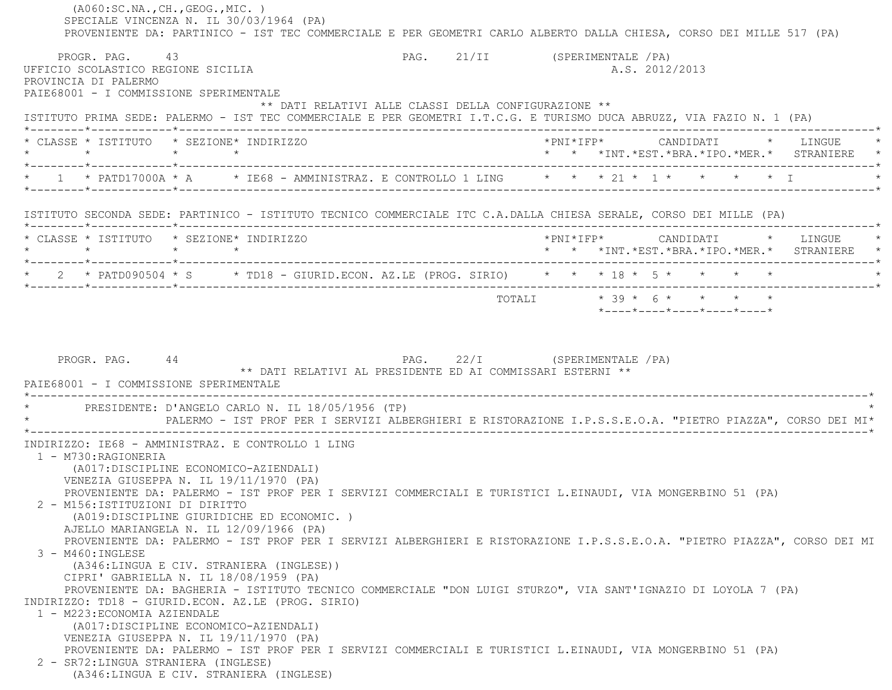|                                                                              | ( A060:SC.NA., CH., GEOG., MIC. )<br>SPECIALE VINCENZA N. IL 30/03/1964 (PA)                                               | PROVENIENTE DA: PARTINICO - IST TEC COMMERCIALE E PER GEOMETRI CARLO ALBERTO DALLA CHIESA, CORSO DEI MILLE 517 (PA)                                                                                                                                                                                                                                                                  |                                |  |  |                |  |                                            |  |
|------------------------------------------------------------------------------|----------------------------------------------------------------------------------------------------------------------------|--------------------------------------------------------------------------------------------------------------------------------------------------------------------------------------------------------------------------------------------------------------------------------------------------------------------------------------------------------------------------------------|--------------------------------|--|--|----------------|--|--------------------------------------------|--|
| PROGR. PAG. 43<br>PROVINCIA DI PALERMO                                       | UFFICIO SCOLASTICO REGIONE SICILIA                                                                                         |                                                                                                                                                                                                                                                                                                                                                                                      | PAG. 21/II (SPERIMENTALE / PA) |  |  | A.S. 2012/2013 |  |                                            |  |
|                                                                              | PAIE68001 - I COMMISSIONE SPERIMENTALE                                                                                     | ** DATI RELATIVI ALLE CLASSI DELLA CONFIGURAZIONE **<br>ISTITUTO PRIMA SEDE: PALERMO - IST TEC COMMERCIALE E PER GEOMETRI I.T.C.G. E TURISMO DUCA ABRUZZ, VIA FAZIO N. 1 (PA)                                                                                                                                                                                                        |                                |  |  |                |  |                                            |  |
|                                                                              | * CLASSE * ISTITUTO * SEZIONE* INDIRIZZO                                                                                   |                                                                                                                                                                                                                                                                                                                                                                                      |                                |  |  |                |  |                                            |  |
|                                                                              |                                                                                                                            | * 1 * PATD17000A * A * IE68 - AMMINISTRAZ. E CONTROLLO 1 LING * * * 21 * 1 * * * * * * I                                                                                                                                                                                                                                                                                             |                                |  |  |                |  |                                            |  |
|                                                                              |                                                                                                                            | ISTITUTO SECONDA SEDE: PARTINICO - ISTITUTO TECNICO COMMERCIALE ITC C.A.DALLA CHIESA SERALE, CORSO DEI MILLE (PA)                                                                                                                                                                                                                                                                    |                                |  |  |                |  |                                            |  |
|                                                                              | * CLASSE * ISTITUTO * SEZIONE* INDIRIZZO                                                                                   |                                                                                                                                                                                                                                                                                                                                                                                      |                                |  |  |                |  | * * *INT.*EST.*BRA.*IPO.*MER.* STRANIERE * |  |
|                                                                              |                                                                                                                            | * 2 * PATD090504 * S * TD18 - GIURID.ECON. AZ.LE (PROG. SIRIO) * * * 18 * 5 * * * * *                                                                                                                                                                                                                                                                                                |                                |  |  |                |  |                                            |  |
|                                                                              |                                                                                                                            |                                                                                                                                                                                                                                                                                                                                                                                      |                                |  |  |                |  |                                            |  |
|                                                                              | PAIE68001 - I COMMISSIONE SPERIMENTALE                                                                                     |                                                                                                                                                                                                                                                                                                                                                                                      |                                |  |  |                |  |                                            |  |
|                                                                              |                                                                                                                            | * PRESIDENTE: D'ANGELO CARLO N. IL 18/05/1956 (TP)<br>PALERMO - IST PROF PER I SERVIZI ALBERGHIERI E RISTORAZIONE I.P.S.S.E.O.A. "PIETRO PIAZZA", CORSO DEI MI*                                                                                                                                                                                                                      |                                |  |  |                |  |                                            |  |
| 1 - M730:RAGIONERIA<br>2 - M156: ISTITUZIONI DI DIRITTO<br>3 - M460: INGLESE | (A017:DISCIPLINE ECONOMICO-AZIENDALI)<br>VENEZIA GIUSEPPA N. IL 19/11/1970 (PA)<br>AJELLO MARIANGELA N. IL 12/09/1966 (PA) | INDIRIZZO: IE68 - AMMINISTRAZ. E CONTROLLO 1 LING<br>PROVENIENTE DA: PALERMO - IST PROF PER I SERVIZI COMMERCIALI E TURISTICI L.EINAUDI, VIA MONGERBINO 51 (PA)<br>(A019:DISCIPLINE GIURIDICHE ED ECONOMIC.)<br>PROVENIENTE DA: PALERMO - IST PROF PER I SERVIZI ALBERGHIERI E RISTORAZIONE I.P.S.S.E.O.A. "PIETRO PIAZZA", CORSO DEI MI<br>(A346:LINGUA E CIV. STRANIERA (INGLESE)) |                                |  |  |                |  |                                            |  |
| 1 - M223: ECONOMIA AZIENDALE                                                 | CIPRI' GABRIELLA N. IL 18/08/1959 (PA)                                                                                     | PROVENIENTE DA: BAGHERIA - ISTITUTO TECNICO COMMERCIALE "DON LUIGI STURZO", VIA SANT'IGNAZIO DI LOYOLA 7 (PA)<br>INDIRIZZO: TD18 - GIURID.ECON. AZ.LE (PROG. SIRIO)                                                                                                                                                                                                                  |                                |  |  |                |  |                                            |  |
|                                                                              | (A017: DISCIPLINE ECONOMICO-AZIENDALI)<br>VENEZIA GIUSEPPA N. IL 19/11/1970 (PA)                                           | PROVENIENTE DA: PALERMO - IST PROF PER I SERVIZI COMMERCIALI E TURISTICI L.EINAUDI, VIA MONGERBINO 51 (PA)                                                                                                                                                                                                                                                                           |                                |  |  |                |  |                                            |  |
|                                                                              | 2 - SR72: LINGUA STRANIERA (INGLESE)<br>(A346:LINGUA E CIV. STRANIERA (INGLESE)                                            |                                                                                                                                                                                                                                                                                                                                                                                      |                                |  |  |                |  |                                            |  |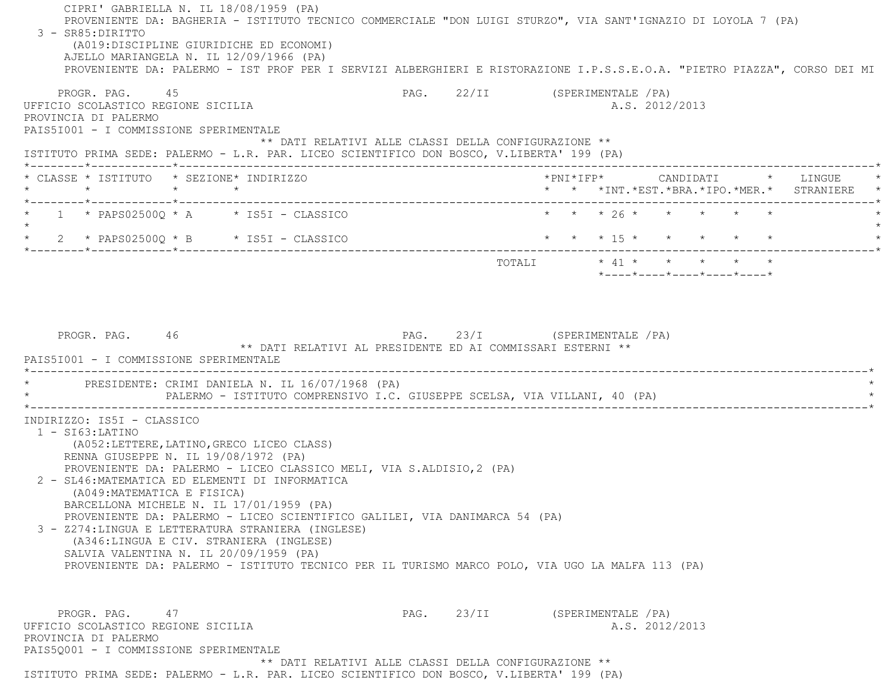CIPRI' GABRIELLA N. IL 18/08/1959 (PA) PROVENIENTE DA: BAGHERIA - ISTITUTO TECNICO COMMERCIALE "DON LUIGI STURZO", VIA SANT'IGNAZIO DI LOYOLA 7 (PA) 3 - SR85:DIRITTO (A019:DISCIPLINE GIURIDICHE ED ECONOMI) AJELLO MARIANGELA N. IL 12/09/1966 (PA) PROVENIENTE DA: PALERMO - IST PROF PER I SERVIZI ALBERGHIERI E RISTORAZIONE I.P.S.S.E.O.A. "PIETRO PIAZZA", CORSO DEI MI PROGR. PAG. 45 And a PAG. 22/II (SPERIMENTALE /PA) UFFICIO SCOLASTICO REGIONE SICILIA A.S. 2012/2013 PROVINCIA DI PALERMO PAIS5I001 - I COMMISSIONE SPERIMENTALE \*\* DATI RELATIVI ALLE CLASSI DELLA CONFIGURAZIONE \*\* ISTITUTO PRIMA SEDE: PALERMO - L.R. PAR. LICEO SCIENTIFICO DON BOSCO, V.LIBERTA' 199 (PA) \*--------\*------------\*-------------------------------------------------------------------------------------------------------\* \* CLASSE \* ISTITUTO \* SEZIONE\* INDIRIZZO \*PNI\*IFP\* CANDIDATI \* LINGUE \* \* \* \* \* \* \* \*INT.\*EST.\*BRA.\*IPO.\*MER.\* STRANIERE \* \*--------\*------------\*-------------------------------------------------------------------------------------------------------\*1 \* PAPS02500Q \* A \* IS5I - CLASSICO \* \* \* \* \* \* 26 \* \* \* \* \* \* \* \*  $\star$  \* 2 \* PAPS02500Q \* B \* IS5I - CLASSICO \* \* \* 15 \* \* \* \* \* \* \*--------\*------------\*-------------------------------------------------------------------------------------------------------\* $\texttt{TOTAL} \qquad \qquad \star \quad 41 \; \star \qquad \star \qquad \star \qquad \star \qquad \star \qquad \star$  \*----\*----\*----\*----\*----\*PROGR. PAG. 46 46 PAG. 23/I (SPERIMENTALE /PA) \*\* DATI RELATIVI AL PRESIDENTE ED AI COMMISSARI ESTERNI \*\* PAIS5I001 - I COMMISSIONE SPERIMENTALE \*----------------------------------------------------------------------------------------------------------------------------\*PRESIDENTE: CRIMI DANIELA N. IL 16/07/1968 (PA) PALERMO - ISTITUTO COMPRENSIVO I.C. GIUSEPPE SCELSA, VIA VILLANI, 40 (PA) \*----------------------------------------------------------------------------------------------------------------------------\* INDIRIZZO: IS5I - CLASSICO 1 - SI63:LATINO (A052:LETTERE,LATINO,GRECO LICEO CLASS) RENNA GIUSEPPE N. IL 19/08/1972 (PA) PROVENIENTE DA: PALERMO - LICEO CLASSICO MELI, VIA S.ALDISIO,2 (PA) 2 - SL46:MATEMATICA ED ELEMENTI DI INFORMATICA (A049:MATEMATICA E FISICA) BARCELLONA MICHELE N. IL 17/01/1959 (PA) PROVENIENTE DA: PALERMO - LICEO SCIENTIFICO GALILEI, VIA DANIMARCA 54 (PA) 3 - Z274:LINGUA E LETTERATURA STRANIERA (INGLESE) (A346:LINGUA E CIV. STRANIERA (INGLESE) SALVIA VALENTINA N. IL 20/09/1959 (PA) PROVENIENTE DA: PALERMO - ISTITUTO TECNICO PER IL TURISMO MARCO POLO, VIA UGO LA MALFA 113 (PA) PROGR. PAG. 47 CHARGE 23/II (SPERIMENTALE /PA) UFFICIO SCOLASTICO REGIONE SICILIA A.S. 2012/2013 PROVINCIA DI PALERMO PAIS5Q001 - I COMMISSIONE SPERIMENTALE \*\* DATI RELATIVI ALLE CLASSI DELLA CONFIGURAZIONE \*\*ISTITUTO PRIMA SEDE: PALERMO - L.R. PAR. LICEO SCIENTIFICO DON BOSCO, V.LIBERTA' 199 (PA)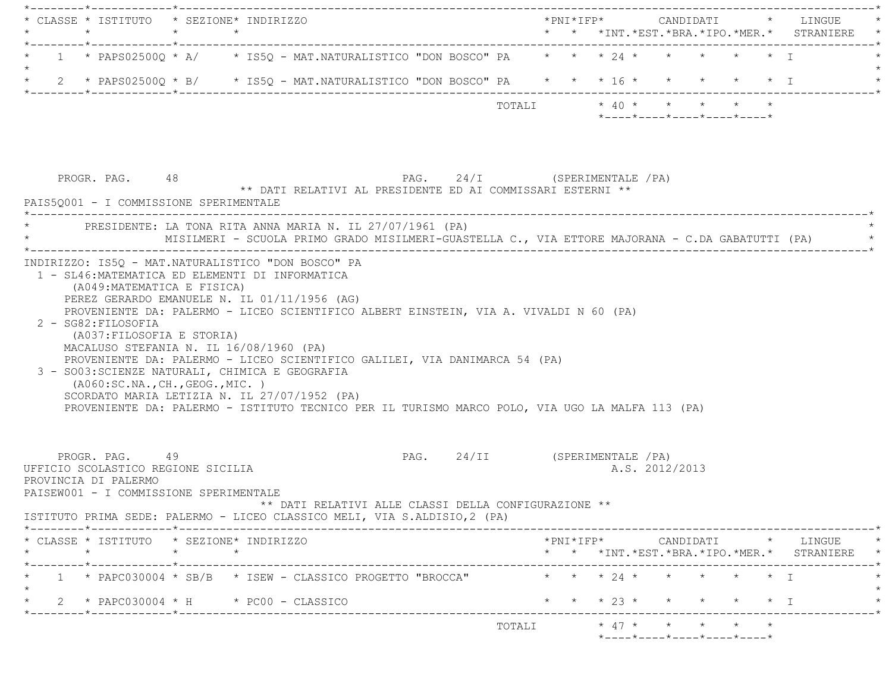| * CLASSE * ISTITUTO * SEZIONE* INDIRIZZO                                                                                                                                                                                                                                                                                                                                                                                                                                                                    |         |         |                                                            |                               |                         |  |  |                |                                                  |  |                                                                                                     |
|-------------------------------------------------------------------------------------------------------------------------------------------------------------------------------------------------------------------------------------------------------------------------------------------------------------------------------------------------------------------------------------------------------------------------------------------------------------------------------------------------------------|---------|---------|------------------------------------------------------------|-------------------------------|-------------------------|--|--|----------------|--------------------------------------------------|--|-----------------------------------------------------------------------------------------------------|
| 1 * PAPS02500Q * A/ * IS5Q - MAT.NATURALISTICO "DON BOSCO" PA * * * 24 * * * * * * * * I                                                                                                                                                                                                                                                                                                                                                                                                                    |         |         |                                                            |                               |                         |  |  |                |                                                  |  |                                                                                                     |
| * 2 * PAPS02500Q * B/ * IS5Q - MAT.NATURALISTICO "DON BOSCO" PA * * * 16 * * * * * * * I                                                                                                                                                                                                                                                                                                                                                                                                                    |         |         |                                                            |                               |                         |  |  |                |                                                  |  |                                                                                                     |
|                                                                                                                                                                                                                                                                                                                                                                                                                                                                                                             |         |         |                                                            |                               | TOTALI * 40 * * * * * * |  |  |                | $*$ ---- $*$ ---- $*$ ---- $*$ ---- $*$ ---- $*$ |  |                                                                                                     |
| PROGR. PAG. 48<br>PAIS50001 - I COMMISSIONE SPERIMENTALE                                                                                                                                                                                                                                                                                                                                                                                                                                                    |         |         | ** DATI RELATIVI AL PRESIDENTE ED AI COMMISSARI ESTERNI ** | PAG. 24/I (SPERIMENTALE /PA)  |                         |  |  |                |                                                  |  |                                                                                                     |
| PRESIDENTE: LA TONA RITA ANNA MARIA N. IL 27/07/1961 (PA)                                                                                                                                                                                                                                                                                                                                                                                                                                                   |         |         |                                                            |                               |                         |  |  |                |                                                  |  | MISILMERI - SCUOLA PRIMO GRADO MISILMERI-GUASTELLA C., VIA ETTORE MAJORANA - C.DA GABATUTTI (PA) ** |
| PROVENIENTE DA: PALERMO - LICEO SCIENTIFICO ALBERT EINSTEIN, VIA A. VIVALDI N 60 (PA)<br>2 - SG82: FILOSOFIA<br>(A037:FILOSOFIA E STORIA)<br>MACALUSO STEFANIA N. IL 16/08/1960 (PA)<br>PROVENIENTE DA: PALERMO - LICEO SCIENTIFICO GALILEI, VIA DANIMARCA 54 (PA)<br>3 - SO03: SCIENZE NATURALI, CHIMICA E GEOGRAFIA<br>(A060:SC.NA., CH., GEOG., MIC.)<br>SCORDATO MARIA LETIZIA N. IL 27/07/1952 (PA)<br>PROVENIENTE DA: PALERMO - ISTITUTO TECNICO PER IL TURISMO MARCO POLO, VIA UGO LA MALFA 113 (PA) |         |         |                                                            |                               |                         |  |  |                |                                                  |  |                                                                                                     |
|                                                                                                                                                                                                                                                                                                                                                                                                                                                                                                             |         |         |                                                            |                               |                         |  |  |                |                                                  |  |                                                                                                     |
| PROGR. PAG. 49<br>UFFICIO SCOLASTICO REGIONE SICILIA<br>PROVINCIA DI PALERMO<br>PAISEW001 - I COMMISSIONE SPERIMENTALE                                                                                                                                                                                                                                                                                                                                                                                      |         |         | ** DATI RELATIVI ALLE CLASSI DELLA CONFIGURAZIONE **       | PAG. 24/II (SPERIMENTALE /PA) |                         |  |  | A.S. 2012/2013 |                                                  |  |                                                                                                     |
| ISTITUTO PRIMA SEDE: PALERMO - LICEO CLASSICO MELI, VIA S.ALDISIO, 2 (PA)                                                                                                                                                                                                                                                                                                                                                                                                                                   |         |         |                                                            |                               |                         |  |  |                |                                                  |  |                                                                                                     |
| * CLASSE * ISTITUTO * SEZIONE* INDIRIZZO<br>$\star$                                                                                                                                                                                                                                                                                                                                                                                                                                                         | $\star$ | $\star$ |                                                            |                               |                         |  |  |                |                                                  |  |                                                                                                     |
| $1 \rightarrow$ PAPC030004 * SB/B $\rightarrow$ ISEW - CLASSICO PROGETTO "BROCCA"                                                                                                                                                                                                                                                                                                                                                                                                                           |         |         |                                                            |                               |                         |  |  |                | * * * 24 * * * * * * T                           |  | $*$ PNI $*$ IFP $*$ CANDIDATI $*$ LINGUE $*$<br>* * *INT. *EST. *BRA. *IPO. *MER. * STRANIERE *     |
| 2 * PAPC030004 * H * PC00 - CLASSICO                                                                                                                                                                                                                                                                                                                                                                                                                                                                        |         |         |                                                            |                               |                         |  |  |                | * * * 23 * * * * * * I                           |  |                                                                                                     |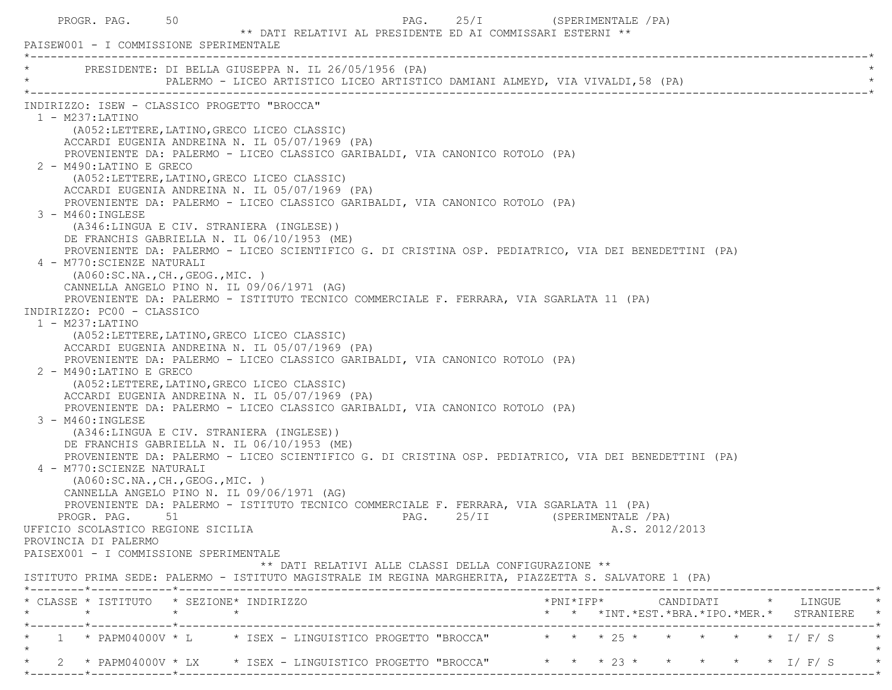| PROGR. PAG. 50                                                                                                                                                                                                                                                                                    | PAISEW001 - I COMMISSIONE SPERIMENTALE                                                                                                                                                                                                                                                                                                                                                                                                                                                                                                                                                                                                                                                                                                                                                                                                                                                                                                                                                                                                                                                                                                                                                                                                                                                                                                                                                                                                                                                                                                                                                                                                                  | ** DATI RELATIVI AL PRESIDENTE ED AI COMMISSARI ESTERNI ** | PAG. 25/I (SPERIMENTALE / PA) |  |                |  |                                              |
|---------------------------------------------------------------------------------------------------------------------------------------------------------------------------------------------------------------------------------------------------------------------------------------------------|---------------------------------------------------------------------------------------------------------------------------------------------------------------------------------------------------------------------------------------------------------------------------------------------------------------------------------------------------------------------------------------------------------------------------------------------------------------------------------------------------------------------------------------------------------------------------------------------------------------------------------------------------------------------------------------------------------------------------------------------------------------------------------------------------------------------------------------------------------------------------------------------------------------------------------------------------------------------------------------------------------------------------------------------------------------------------------------------------------------------------------------------------------------------------------------------------------------------------------------------------------------------------------------------------------------------------------------------------------------------------------------------------------------------------------------------------------------------------------------------------------------------------------------------------------------------------------------------------------------------------------------------------------|------------------------------------------------------------|-------------------------------|--|----------------|--|----------------------------------------------|
|                                                                                                                                                                                                                                                                                                   | PRESIDENTE: DI BELLA GIUSEPPA N. IL 26/05/1956 (PA)<br>PALERMO - LICEO ARTISTICO LICEO ARTISTICO DAMIANI ALMEYD, VIA VIVALDI,58 (PA)                                                                                                                                                                                                                                                                                                                                                                                                                                                                                                                                                                                                                                                                                                                                                                                                                                                                                                                                                                                                                                                                                                                                                                                                                                                                                                                                                                                                                                                                                                                    |                                                            |                               |  |                |  |                                              |
| $1 - M237$ :LATINO<br>2 - M490:LATINO E GRECO<br>3 - M460: INGLESE<br>4 - M770: SCIENZE NATURALI<br>INDIRIZZO: PC00 - CLASSICO<br>$1 - M237$ :LATINO<br>2 - M490: LATINO E GRECO<br>3 - M460: INGLESE<br>4 - M770: SCIENZE NATURALI<br>UFFICIO SCOLASTICO REGIONE SICILIA<br>PROVINCIA DI PALERMO | INDIRIZZO: ISEW - CLASSICO PROGETTO "BROCCA"<br>(A052:LETTERE, LATINO, GRECO LICEO CLASSIC)<br>ACCARDI EUGENIA ANDREINA N. IL 05/07/1969 (PA)<br>PROVENIENTE DA: PALERMO - LICEO CLASSICO GARIBALDI, VIA CANONICO ROTOLO (PA)<br>(A052:LETTERE, LATINO, GRECO LICEO CLASSIC)<br>ACCARDI EUGENIA ANDREINA N. IL 05/07/1969 (PA)<br>PROVENIENTE DA: PALERMO - LICEO CLASSICO GARIBALDI, VIA CANONICO ROTOLO (PA)<br>(A346:LINGUA E CIV. STRANIERA (INGLESE))<br>DE FRANCHIS GABRIELLA N. IL 06/10/1953 (ME)<br>PROVENIENTE DA: PALERMO - LICEO SCIENTIFICO G. DI CRISTINA OSP. PEDIATRICO, VIA DEI BENEDETTINI (PA)<br>( A060:SC.NA., CH., GEOG., MIC. )<br>CANNELLA ANGELO PINO N. IL 09/06/1971 (AG)<br>PROVENIENTE DA: PALERMO - ISTITUTO TECNICO COMMERCIALE F. FERRARA, VIA SGARLATA 11 (PA)<br>(A052:LETTERE, LATINO, GRECO LICEO CLASSIC)<br>ACCARDI EUGENIA ANDREINA N. IL 05/07/1969 (PA)<br>PROVENIENTE DA: PALERMO - LICEO CLASSICO GARIBALDI, VIA CANONICO ROTOLO (PA)<br>(A052:LETTERE, LATINO, GRECO LICEO CLASSIC)<br>ACCARDI EUGENIA ANDREINA N. IL 05/07/1969 (PA)<br>PROVENIENTE DA: PALERMO - LICEO CLASSICO GARIBALDI, VIA CANONICO ROTOLO (PA)<br>(A346:LINGUA E CIV. STRANIERA (INGLESE))<br>DE FRANCHIS GABRIELLA N. IL 06/10/1953 (ME)<br>PROVENIENTE DA: PALERMO - LICEO SCIENTIFICO G. DI CRISTINA OSP. PEDIATRICO, VIA DEI BENEDETTINI (PA)<br>( A060:SC.NA., CH., GEOG., MIC. )<br>CANNELLA ANGELO PINO N. IL 09/06/1971 (AG)<br>PROVENIENTE DA: PALERMO - ISTITUTO TECNICO COMMERCIALE F. FERRARA, VIA SGARLATA 11 (PA)<br>PROGR. PAG. 51 51 DROGR. PAG. 25/II (SPERIMENTALE / PA)<br>PAISEX001 - I COMMISSIONE SPERIMENTALE | ** DATI RELATIVI ALLE CLASSI DELLA CONFIGURAZIONE **       |                               |  | A.S. 2012/2013 |  |                                              |
| $\star$                                                                                                                                                                                                                                                                                           | ISTITUTO PRIMA SEDE: PALERMO - ISTITUTO MAGISTRALE IM REGINA MARGHERITA, PIAZZETTA S. SALVATORE 1 (PA)<br>* CLASSE * ISTITUTO * SEZIONE* INDIRIZZO<br>$\star$ $\star$                                                                                                                                                                                                                                                                                                                                                                                                                                                                                                                                                                                                                                                                                                                                                                                                                                                                                                                                                                                                                                                                                                                                                                                                                                                                                                                                                                                                                                                                                   |                                                            |                               |  |                |  | $*$ PNI $*$ IFP $*$ CANDIDATI $*$ LINGUE $*$ |
|                                                                                                                                                                                                                                                                                                   | 1 * PAPM04000V * L * ISEX - LINGUISTICO PROGETTO "BROCCA" * * * 25 * * * * * * * I/F/S                                                                                                                                                                                                                                                                                                                                                                                                                                                                                                                                                                                                                                                                                                                                                                                                                                                                                                                                                                                                                                                                                                                                                                                                                                                                                                                                                                                                                                                                                                                                                                  |                                                            |                               |  |                |  | * * *INT.*EST.*BRA.*IPO.*MER.* STRANIERE *   |
|                                                                                                                                                                                                                                                                                                   | 2 * PAPM04000V * LX * ISEX - LINGUISTICO PROGETTO "BROCCA" * * * 23 * * * * * * * I/ F/ S *                                                                                                                                                                                                                                                                                                                                                                                                                                                                                                                                                                                                                                                                                                                                                                                                                                                                                                                                                                                                                                                                                                                                                                                                                                                                                                                                                                                                                                                                                                                                                             |                                                            |                               |  |                |  |                                              |

\*--------\*------------\*-------------------------------------------------------------------------------------------------------\*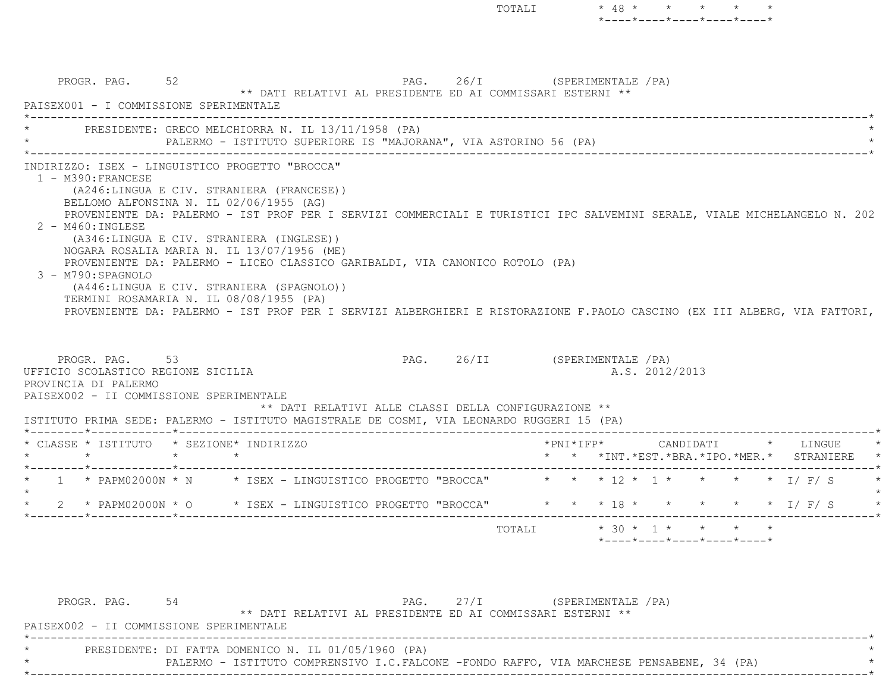PROGR. PAG. 52 52 PAG. 26/I (SPERIMENTALE / PA) \*\* DATI RELATIVI AL PRESIDENTE ED AI COMMISSARI ESTERNI \*\* PAISEX001 - I COMMISSIONE SPERIMENTALE \*----------------------------------------------------------------------------------------------------------------------------\*PRESIDENTE: GRECO MELCHIORRA N. IL 13/11/1958 (PA) PALERMO - ISTITUTO SUPERIORE IS "MAJORANA", VIA ASTORINO 56 (PA) \*----------------------------------------------------------------------------------------------------------------------------\* INDIRIZZO: ISEX - LINGUISTICO PROGETTO "BROCCA" 1 - M390:FRANCESE (A246:LINGUA E CIV. STRANIERA (FRANCESE)) BELLOMO ALFONSINA N. IL 02/06/1955 (AG) PROVENIENTE DA: PALERMO - IST PROF PER I SERVIZI COMMERCIALI E TURISTICI IPC SALVEMINI SERALE, VIALE MICHELANGELO N. 202 2 - M460:INGLESE (A346:LINGUA E CIV. STRANIERA (INGLESE)) NOGARA ROSALIA MARIA N. IL 13/07/1956 (ME) PROVENIENTE DA: PALERMO - LICEO CLASSICO GARIBALDI, VIA CANONICO ROTOLO (PA) 3 - M790:SPAGNOLO (A446:LINGUA E CIV. STRANIERA (SPAGNOLO)) TERMINI ROSAMARIA N. IL 08/08/1955 (PA) PROVENIENTE DA: PALERMO - IST PROF PER I SERVIZI ALBERGHIERI E RISTORAZIONE F.PAOLO CASCINO (EX III ALBERG, VIA FATTORI, PROGR. PAG. 53 53 PAG. 26/II (SPERIMENTALE /PA) UFFICIO SCOLASTICO REGIONE SICILIA A.S. 2012/2013 PROVINCIA DI PALERMO PAISEX002 - II COMMISSIONE SPERIMENTALE \*\* DATI RELATIVI ALLE CLASSI DELLA CONFIGURAZIONE \*\* ISTITUTO PRIMA SEDE: PALERMO - ISTITUTO MAGISTRALE DE COSMI, VIA LEONARDO RUGGERI 15 (PA) \*--------\*------------\*-------------------------------------------------------------------------------------------------------\* \* CLASSE \* ISTITUTO \* SEZIONE\* INDIRIZZO \*PNI\*IFP\* CANDIDATI \* LINGUE \* \* \* \* \* \* \* \*INT.\*EST.\*BRA.\*IPO.\*MER.\* STRANIERE \* \*--------\*------------\*-------------------------------------------------------------------------------------------------------\*1 \* PAPM02000N \* N \* ISEX - LINGUISTICO PROGETTO "BROCCA" \* \* \* 12 \* 1 \* \* \* \* \* 1/ F/ S  $\star$ 

\*----\*----\*----\*----\*----\*

TOTALI  $* 30 * 1 * * * * * *$ 

TOTALI \* 48 \* \* \* \* \*

\*----\*----\*----\*----\*----\*

PROGR. PAG. 54 54 PAG. 27/I (SPERIMENTALE /PA) \*\* DATI RELATIVI AL PRESIDENTE ED AI COMMISSARI ESTERNI \*\* PAISEX002 - II COMMISSIONE SPERIMENTALE \*----------------------------------------------------------------------------------------------------------------------------\*PRESIDENTE: DI FATTA DOMENICO N. IL 01/05/1960 (PA) PALERMO - ISTITUTO COMPRENSIVO I.C.FALCONE -FONDO RAFFO, VIA MARCHESE PENSABENE, 34 (PA) \*----------------------------------------------------------------------------------------------------------------------------\*

2 \* PAPM02000N \* O \* ISEX - LINGUISTICO PROGETTO "BROCCA" \* \* \* 18 \* \* \* \* \* \* \* I/ F/ S

\*--------\*------------\*-------------------------------------------------------------------------------------------------------\*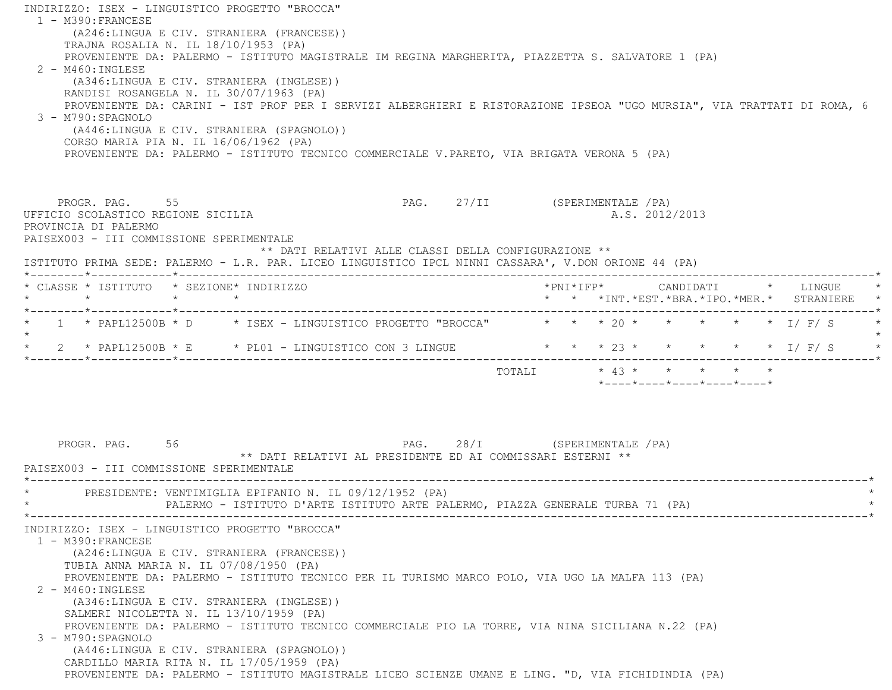INDIRIZZO: ISEX - LINGUISTICO PROGETTO "BROCCA" 1 - M390:FRANCESE (A246:LINGUA E CIV. STRANIERA (FRANCESE)) TRAJNA ROSALIA N. IL 18/10/1953 (PA) PROVENIENTE DA: PALERMO - ISTITUTO MAGISTRALE IM REGINA MARGHERITA, PIAZZETTA S. SALVATORE 1 (PA) 2 - M460:INGLESE (A346:LINGUA E CIV. STRANIERA (INGLESE)) RANDISI ROSANGELA N. IL 30/07/1963 (PA) PROVENIENTE DA: CARINI - IST PROF PER I SERVIZI ALBERGHIERI E RISTORAZIONE IPSEOA "UGO MURSIA", VIA TRATTATI DI ROMA, 6 3 - M790:SPAGNOLO (A446:LINGUA E CIV. STRANIERA (SPAGNOLO)) CORSO MARIA PIA N. IL 16/06/1962 (PA) PROVENIENTE DA: PALERMO - ISTITUTO TECNICO COMMERCIALE V.PARETO, VIA BRIGATA VERONA 5 (PA) PROGR. PAG. 55 **PROGR. PAG. 27/II** (SPERIMENTALE /PA) UFFICIO SCOLASTICO REGIONE SICILIA A.S. 2012/2013 PROVINCIA DI PALERMO PAISEX003 - III COMMISSIONE SPERIMENTALE \*\* DATI RELATIVI ALLE CLASSI DELLA CONFIGURAZIONE \*\* ISTITUTO PRIMA SEDE: PALERMO - L.R. PAR. LICEO LINGUISTICO IPCL NINNI CASSARA', V.DON ORIONE 44 (PA) \*--------\*------------\*-------------------------------------------------------------------------------------------------------\* \* CLASSE \* ISTITUTO \* SEZIONE\* INDIRIZZO \*PNI\*IFP\* CANDIDATI \* LINGUE \* \* \* \* \* \* \* \*INT.\*EST.\*BRA.\*IPO.\*MER.\* STRANIERE \* \*--------\*------------\*-------------------------------------------------------------------------------------------------------\* $1$  \*  $\texttt{PAPL12500B}$  \*  $\texttt{D}$  \*  $\texttt{ISEX}$  - LINGUISTICO PROGETTO "BROCCA" \* \* \* 20 \* \* \* \* \* \* \*  $\texttt{I}/\texttt{F}/\texttt{S}$  $\star$ \* 2 \* PAPL12500B \* E \* PL01 - LINGUISTICO CON 3 LINGUE \* \* \* \* 23 \* \* \* \* \* \* \* I/ F/ S \* \*--------\*------------\*-------------------------------------------------------------------------------------------------------\* TOTALI \* 43 \* \* \* \* \* \*----\*----\*----\*----\*----\*PROGR. PAG. 56 56 PAG. 28/I (SPERIMENTALE /PA) \*\* DATI RELATIVI AL PRESIDENTE ED AI COMMISSARI ESTERNI \*\* PAISEX003 - III COMMISSIONE SPERIMENTALE \*----------------------------------------------------------------------------------------------------------------------------\*PRESIDENTE: VENTIMIGLIA EPIFANIO N. IL 09/12/1952 (PA) PALERMO - ISTITUTO D'ARTE ISTITUTO ARTE PALERMO, PIAZZA GENERALE TURBA 71 (PA) \*----------------------------------------------------------------------------------------------------------------------------\* INDIRIZZO: ISEX - LINGUISTICO PROGETTO "BROCCA" 1 - M390:FRANCESE (A246:LINGUA E CIV. STRANIERA (FRANCESE)) TUBIA ANNA MARIA N. IL 07/08/1950 (PA) PROVENIENTE DA: PALERMO - ISTITUTO TECNICO PER IL TURISMO MARCO POLO, VIA UGO LA MALFA 113 (PA) 2 - M460:INGLESE (A346:LINGUA E CIV. STRANIERA (INGLESE)) SALMERI NICOLETTA N. IL 13/10/1959 (PA) PROVENIENTE DA: PALERMO - ISTITUTO TECNICO COMMERCIALE PIO LA TORRE, VIA NINA SICILIANA N.22 (PA) 3 - M790:SPAGNOLO (A446:LINGUA E CIV. STRANIERA (SPAGNOLO)) CARDILLO MARIA RITA N. IL 17/05/1959 (PA) PROVENIENTE DA: PALERMO - ISTITUTO MAGISTRALE LICEO SCIENZE UMANE E LING. "D, VIA FICHIDINDIA (PA)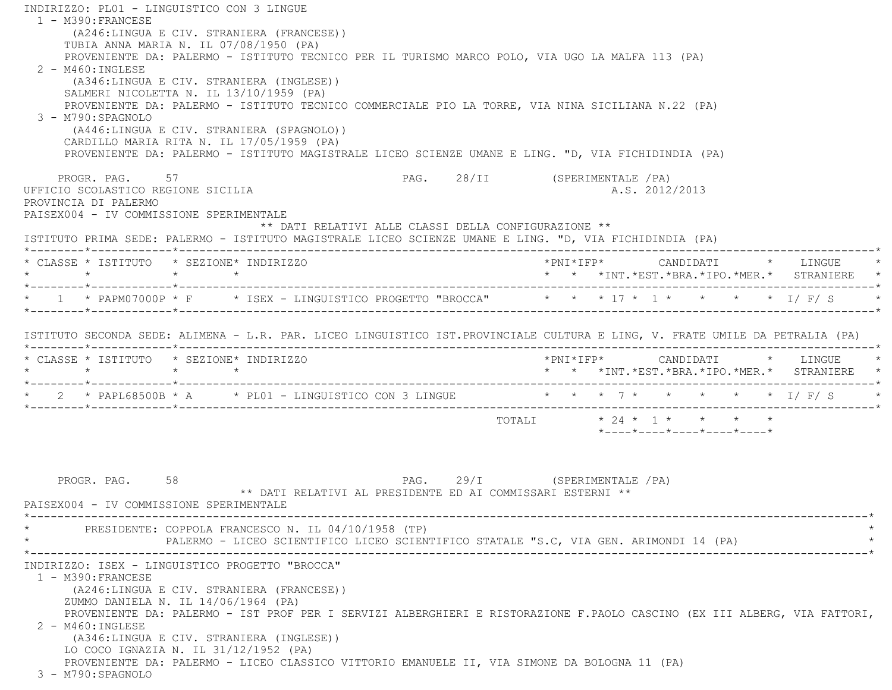INDIRIZZO: PL01 - LINGUISTICO CON 3 LINGUE 1 - M390:FRANCESE (A246:LINGUA E CIV. STRANIERA (FRANCESE)) TUBIA ANNA MARIA N. IL 07/08/1950 (PA) PROVENIENTE DA: PALERMO - ISTITUTO TECNICO PER IL TURISMO MARCO POLO, VIA UGO LA MALFA 113 (PA) 2 - M460:INGLESE (A346:LINGUA E CIV. STRANIERA (INGLESE)) SALMERI NICOLETTA N. IL 13/10/1959 (PA) PROVENIENTE DA: PALERMO - ISTITUTO TECNICO COMMERCIALE PIO LA TORRE, VIA NINA SICILIANA N.22 (PA) 3 - M790:SPAGNOLO (A446:LINGUA E CIV. STRANIERA (SPAGNOLO)) CARDILLO MARIA RITA N. IL 17/05/1959 (PA) PROVENIENTE DA: PALERMO - ISTITUTO MAGISTRALE LICEO SCIENZE UMANE E LING. "D, VIA FICHIDINDIA (PA) PROGR. PAG. 57 SPERIMENTALE (PA) UFFICIO SCOLASTICO REGIONE SICILIA A.S. 2012/2013 PROVINCIA DI PALERMO PAISEX004 - IV COMMISSIONE SPERIMENTALE \*\* DATI RELATIVI ALLE CLASSI DELLA CONFIGURAZIONE \*\* ISTITUTO PRIMA SEDE: PALERMO - ISTITUTO MAGISTRALE LICEO SCIENZE UMANE E LING. "D, VIA FICHIDINDIA (PA) \*--------\*------------\*-------------------------------------------------------------------------------------------------------\* \* CLASSE \* ISTITUTO \* SEZIONE\* INDIRIZZO \*PNI\*IFP\* CANDIDATI \* LINGUE \* \* \* \* \* \* \* \*INT.\*EST.\*BRA.\*IPO.\*MER.\* STRANIERE \* \*--------\*------------\*-------------------------------------------------------------------------------------------------------\* \* 1 \* PAPM07000P \* F \* ISEX - LINGUISTICO PROGETTO "BROCCA" \* \* \* 17 \* 1 \* \* \* \* I/ F/ S \* \*--------\*------------\*-------------------------------------------------------------------------------------------------------\* ISTITUTO SECONDA SEDE: ALIMENA - L.R. PAR. LICEO LINGUISTICO IST.PROVINCIALE CULTURA E LING, V. FRATE UMILE DA PETRALIA (PA) \*--------\*------------\*-------------------------------------------------------------------------------------------------------\* \* CLASSE \* ISTITUTO \* SEZIONE\* INDIRIZZO \*PNI\*IFP\* CANDIDATI \* LINGUE \* \* \* \* \* \* \* \*INT.\*EST.\*BRA.\*IPO.\*MER.\* STRANIERE \* \*--------\*------------\*-------------------------------------------------------------------------------------------------------\*\* 2 \* PAPL68500B \* A \* \* PL01 - LINGUISTICO CON 3 LINGUE \* \* \* \* 7 \* \* \* \* \* \* \* \* I/ F/ S \*--------\*------------\*-------------------------------------------------------------------------------------------------------\*TOTALI  $* 24 * 1 * * * * * * *$  \*----\*----\*----\*----\*----\*PROGR. PAG. 58 58 PAG. 29/I (SPERIMENTALE /PA) \*\* DATI RELATIVI AL PRESIDENTE ED AI COMMISSARI ESTERNI \*\* PAISEX004 - IV COMMISSIONE SPERIMENTALE \*----------------------------------------------------------------------------------------------------------------------------\*PRESIDENTE: COPPOLA FRANCESCO N. IL 04/10/1958 (TP) PALERMO - LICEO SCIENTIFICO LICEO SCIENTIFICO STATALE "S.C, VIA GEN. ARIMONDI 14 (PA) \*----------------------------------------------------------------------------------------------------------------------------\* INDIRIZZO: ISEX - LINGUISTICO PROGETTO "BROCCA" 1 - M390:FRANCESE (A246:LINGUA E CIV. STRANIERA (FRANCESE)) ZUMMO DANIELA N. IL 14/06/1964 (PA) PROVENIENTE DA: PALERMO - IST PROF PER I SERVIZI ALBERGHIERI E RISTORAZIONE F.PAOLO CASCINO (EX III ALBERG, VIA FATTORI, 2 - M460:INGLESE (A346:LINGUA E CIV. STRANIERA (INGLESE)) LO COCO IGNAZIA N. IL 31/12/1952 (PA) PROVENIENTE DA: PALERMO - LICEO CLASSICO VITTORIO EMANUELE II, VIA SIMONE DA BOLOGNA 11 (PA) 3 - M790:SPAGNOLO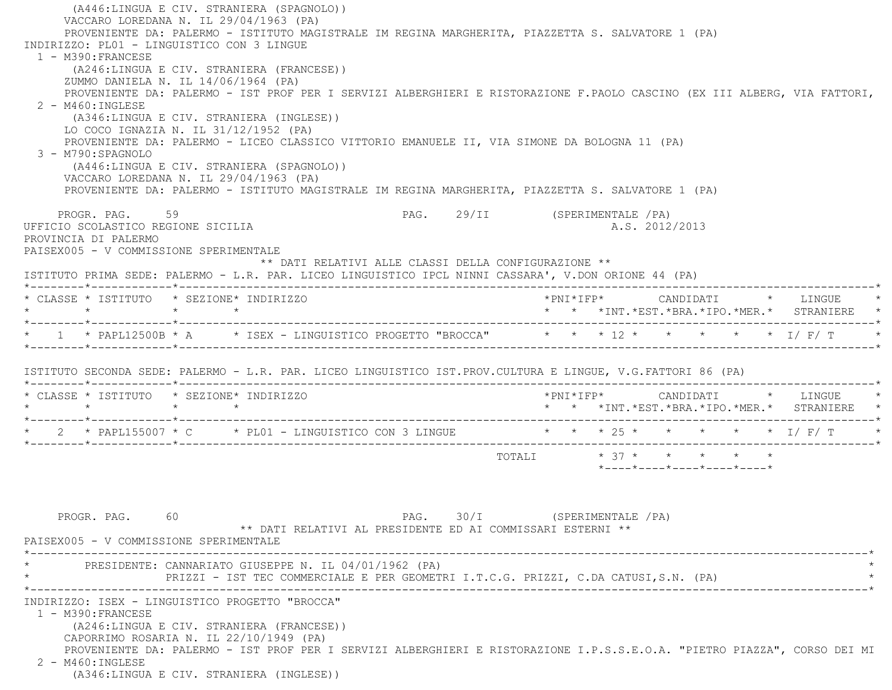(A446:LINGUA E CIV. STRANIERA (SPAGNOLO)) VACCARO LOREDANA N. IL 29/04/1963 (PA) PROVENIENTE DA: PALERMO - ISTITUTO MAGISTRALE IM REGINA MARGHERITA, PIAZZETTA S. SALVATORE 1 (PA) INDIRIZZO: PL01 - LINGUISTICO CON 3 LINGUE 1 - M390:FRANCESE (A246:LINGUA E CIV. STRANIERA (FRANCESE)) ZUMMO DANIELA N. IL 14/06/1964 (PA) PROVENIENTE DA: PALERMO - IST PROF PER I SERVIZI ALBERGHIERI E RISTORAZIONE F.PAOLO CASCINO (EX III ALBERG, VIA FATTORI, 2 - M460:INGLESE (A346:LINGUA E CIV. STRANIERA (INGLESE)) LO COCO IGNAZIA N. IL 31/12/1952 (PA) PROVENIENTE DA: PALERMO - LICEO CLASSICO VITTORIO EMANUELE II, VIA SIMONE DA BOLOGNA 11 (PA) 3 - M790:SPAGNOLO (A446:LINGUA E CIV. STRANIERA (SPAGNOLO)) VACCARO LOREDANA N. IL 29/04/1963 (PA) PROVENIENTE DA: PALERMO - ISTITUTO MAGISTRALE IM REGINA MARGHERITA, PIAZZETTA S. SALVATORE 1 (PA) PROGR. PAG. 59 59 PAG. 29/II (SPERIMENTALE /PA) UFFICIO SCOLASTICO REGIONE SICILIA A.S. 2012/2013 PROVINCIA DI PALERMO PAISEX005 - V COMMISSIONE SPERIMENTALE \*\* DATI RELATIVI ALLE CLASSI DELLA CONFIGURAZIONE \*\* ISTITUTO PRIMA SEDE: PALERMO - L.R. PAR. LICEO LINGUISTICO IPCL NINNI CASSARA', V.DON ORIONE 44 (PA) \*--------\*------------\*-------------------------------------------------------------------------------------------------------\* \* CLASSE \* ISTITUTO \* SEZIONE\* INDIRIZZO \*PNI\*IFP\* CANDIDATI \* LINGUE \* \* \* \* \* \* \* \*INT.\*EST.\*BRA.\*IPO.\*MER.\* STRANIERE \* \*--------\*------------\*-------------------------------------------------------------------------------------------------------\*\* 1 \* PAPL12500B \* A \* ISEX - LINGUISTICO PROGETTO "BROCCA" \* \* \* 12 \* \* \* \* \* \* \* 1/ F/ T  $\star$  ISTITUTO SECONDA SEDE: PALERMO - L.R. PAR. LICEO LINGUISTICO IST.PROV.CULTURA E LINGUE, V.G.FATTORI 86 (PA) \*--------\*------------\*-------------------------------------------------------------------------------------------------------\* \* CLASSE \* ISTITUTO \* SEZIONE\* INDIRIZZO \*PNI\*IFP\* CANDIDATI \* LINGUE \* \* \* \* \* \* \* \*INT.\*EST.\*BRA.\*IPO.\*MER.\* STRANIERE \* \*--------\*------------\*-------------------------------------------------------------------------------------------------------\* $2$  \* PAPL155007 \* C  $*$  PL01 - LINGUISTICO CON 3 LINGUE \*--------\*------------\*-------------------------------------------------------------------------------------------------------\* $\texttt{TOTAL} \qquad \qquad \star \quad 37 \; \star \qquad \star \qquad \star \qquad \star \qquad \star \qquad \star$  \*----\*----\*----\*----\*----\*PROGR. PAG. 60 60 PAG. 30/I (SPERIMENTALE /PA) \*\* DATI RELATIVI AL PRESIDENTE ED AI COMMISSARI ESTERNI \*\* PAISEX005 - V COMMISSIONE SPERIMENTALE \*----------------------------------------------------------------------------------------------------------------------------\*PRESIDENTE: CANNARIATO GIUSEPPE N. IL 04/01/1962 (PA) PRIZZI - IST TEC COMMERCIALE E PER GEOMETRI I.T.C.G. PRIZZI, C.DA CATUSI,S.N. (PA) \*----------------------------------------------------------------------------------------------------------------------------\* INDIRIZZO: ISEX - LINGUISTICO PROGETTO "BROCCA" 1 - M390:FRANCESE (A246:LINGUA E CIV. STRANIERA (FRANCESE)) CAPORRIMO ROSARIA N. IL 22/10/1949 (PA) PROVENIENTE DA: PALERMO - IST PROF PER I SERVIZI ALBERGHIERI E RISTORAZIONE I.P.S.S.E.O.A. "PIETRO PIAZZA", CORSO DEI MI 2 - M460:INGLESE(A346:LINGUA E CIV. STRANIERA (INGLESE))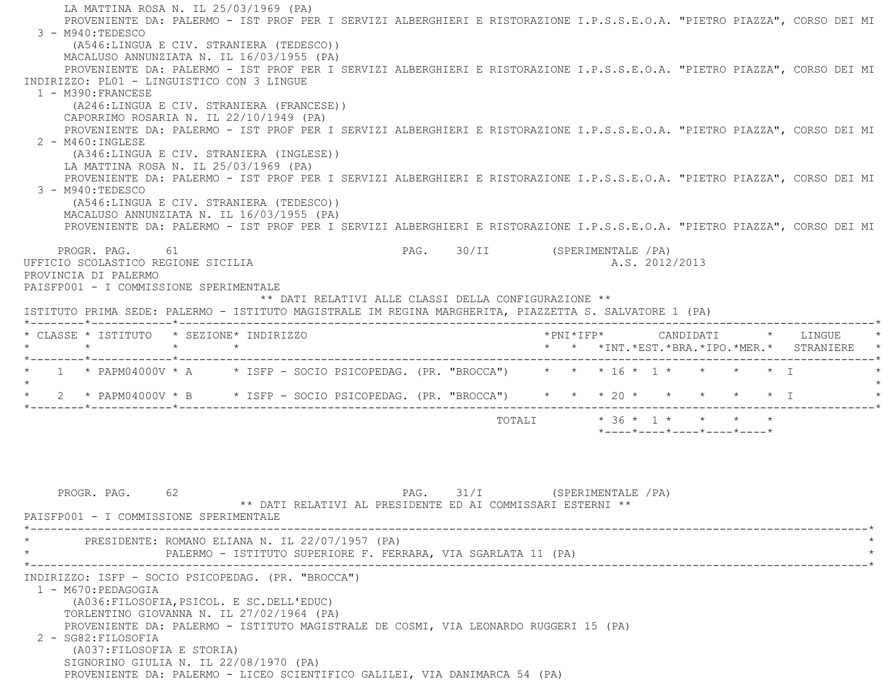LA MATTINA ROSA N. IL 25/03/1969 (PA) PROVENIENTE DA: PALERMO - IST PROF PER I SERVIZI ALBERGHIERI E RISTORAZIONE I.P.S.S.E.O.A. "PIETRO PIAZZA", CORSO DEI MI 3 - M940:TEDESCO (A546:LINGUA E CIV. STRANIERA (TEDESCO)) MACALUSO ANNUNZIATA N. IL 16/03/1955 (PA) PROVENIENTE DA: PALERMO - IST PROF PER I SERVIZI ALBERGHIERI E RISTORAZIONE I.P.S.S.E.O.A. "PIETRO PIAZZA", CORSO DEI MI INDIRIZZO: PL01 - LINGUISTICO CON 3 LINGUE 1 - M390:FRANCESE (A246:LINGUA E CIV. STRANIERA (FRANCESE)) CAPORRIMO ROSARIA N. IL 22/10/1949 (PA) PROVENIENTE DA: PALERMO - IST PROF PER I SERVIZI ALBERGHIERI E RISTORAZIONE I.P.S.S.E.O.A. "PIETRO PIAZZA", CORSO DEI MI 2 - M460:INGLESE (A346:LINGUA E CIV. STRANIERA (INGLESE)) LA MATTINA ROSA N. IL 25/03/1969 (PA) PROVENIENTE DA: PALERMO - IST PROF PER I SERVIZI ALBERGHIERI E RISTORAZIONE I.P.S.S.E.O.A. "PIETRO PIAZZA", CORSO DEI MI 3 - M940:TEDESCO (A546:LINGUA E CIV. STRANIERA (TEDESCO)) MACALUSO ANNUNZIATA N. IL 16/03/1955 (PA) PROVENIENTE DA: PALERMO - IST PROF PER I SERVIZI ALBERGHIERI E RISTORAZIONE I.P.S.S.E.O.A. "PIETRO PIAZZA", CORSO DEI MI PROGR. PAG. 61 61 PAG. PAG. 30/II (SPERIMENTALE /PA) UFFICIO SCOLASTICO REGIONE SICILIA A.S. 2012/2013 PROVINCIA DI PALERMO PAISFP001 - I COMMISSIONE SPERIMENTALE \*\* DATI RELATIVI ALLE CLASSI DELLA CONFIGURAZIONE \*\* ISTITUTO PRIMA SEDE: PALERMO - ISTITUTO MAGISTRALE IM REGINA MARGHERITA, PIAZZETTA S. SALVATORE 1 (PA) \*--------\*------------\*-------------------------------------------------------------------------------------------------------\* \* CLASSE \* ISTITUTO \* SEZIONE\* INDIRIZZO \*PNI\*IFP\* CANDIDATI \* LINGUE \* \* \* \* \* \* \* \*INT.\*EST.\*BRA.\*IPO.\*MER.\* STRANIERE \* \*--------\*------------\*-------------------------------------------------------------------------------------------------------\*\* 1 \* PAPM04000V \* A \* ISFP - SOCIO PSICOPEDAG. (PR. "BROCCA") \* \* \* 16 \* 1 \* \* \* \* \* \* I  $\star$  \* 2 \* PAPM04000V \* B \* ISFP - SOCIO PSICOPEDAG. (PR. "BROCCA") \* \* \* 20 \* \* \* \* \* I \* \*--------\*------------\*-------------------------------------------------------------------------------------------------------\*TOTALI  $* 36 * 1 * * * * * * *$ \*----\*----\*----\*----\*----\*

PROGR. PAG. 62 62 PAG. 31/I (SPERIMENTALE /PA) \*\* DATI RELATIVI AL PRESIDENTE ED AI COMMISSARI ESTERNI \*\* PAISFP001 - I COMMISSIONE SPERIMENTALE \*----------------------------------------------------------------------------------------------------------------------------\*PRESIDENTE: ROMANO ELIANA N. IL 22/07/1957 (PA) PALERMO - ISTITUTO SUPERIORE F. FERRARA, VIA SGARLATA 11 (PA) \*----------------------------------------------------------------------------------------------------------------------------\* INDIRIZZO: ISFP - SOCIO PSICOPEDAG. (PR. "BROCCA") 1 - M670:PEDAGOGIA (A036:FILOSOFIA,PSICOL. E SC.DELL'EDUC) TORLENTINO GIOVANNA N. IL 27/02/1964 (PA) PROVENIENTE DA: PALERMO - ISTITUTO MAGISTRALE DE COSMI, VIA LEONARDO RUGGERI 15 (PA) 2 - SG82:FILOSOFIA (A037:FILOSOFIA E STORIA) SIGNORINO GIULIA N. IL 22/08/1970 (PA) PROVENIENTE DA: PALERMO - LICEO SCIENTIFICO GALILEI, VIA DANIMARCA 54 (PA)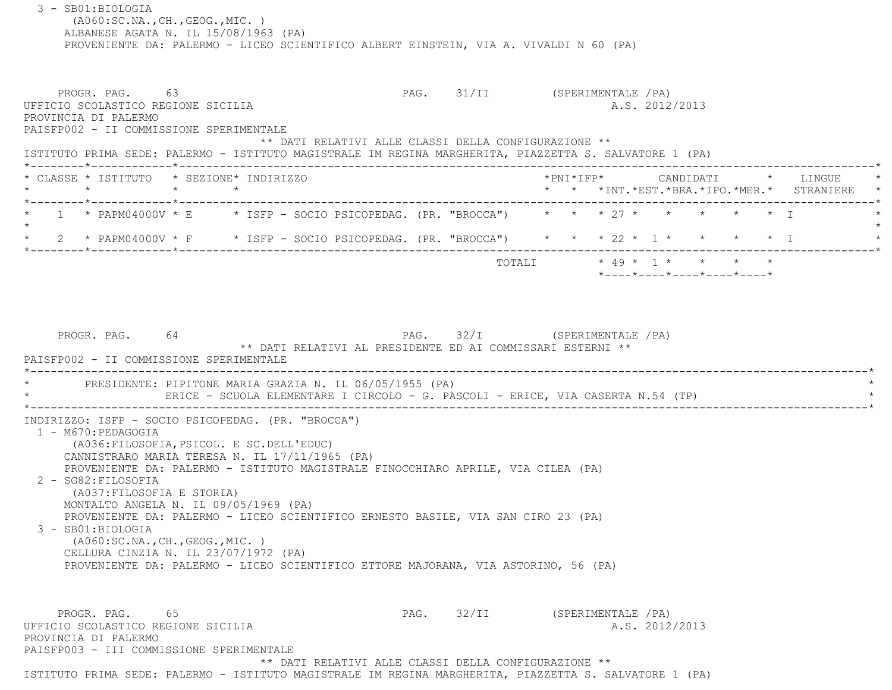3 - SB01:BIOLOGIA (A060:SC.NA.,CH.,GEOG.,MIC. ) ALBANESE AGATA N. IL 15/08/1963 (PA) PROVENIENTE DA: PALERMO - LICEO SCIENTIFICO ALBERT EINSTEIN, VIA A. VIVALDI N 60 (PA) PROGR. PAG. 63 63 PAG. 91/II (SPERIMENTALE /PA) UFFICIO SCOLASTICO REGIONE SICILIA A.S. 2012/2013 PROVINCIA DI PALERMO PAISFP002 - II COMMISSIONE SPERIMENTALE \*\* DATI RELATIVI ALLE CLASSI DELLA CONFIGURAZIONE \*\* ISTITUTO PRIMA SEDE: PALERMO - ISTITUTO MAGISTRALE IM REGINA MARGHERITA, PIAZZETTA S. SALVATORE 1 (PA) \*--------\*------------\*-------------------------------------------------------------------------------------------------------\* \* CLASSE \* ISTITUTO \* SEZIONE\* INDIRIZZO \*PNI\*IFP\* CANDIDATI \* LINGUE \* \* \* \* \* \* \* \*INT.\*EST.\*BRA.\*IPO.\*MER.\* STRANIERE \* \*--------\*------------\*-------------------------------------------------------------------------------------------------------\* $1 *$  PAPM04000V \* E  $*$  ISFP - SOCIO PSICOPEDAG. (PR. "BROCCA")  $* * * 27 * * * * * * * * 1$  $\star$ 2 \* PAPM04000V \* F \* ISFP - SOCIO PSICOPEDAG. (PR. "BROCCA") \* \* \* 22 \* 1 \* \* \* \* \* \* I \*--------\*------------\*-------------------------------------------------------------------------------------------------------\* TOTALI \* 49 \* 1 \* \* \* \* \*----\*----\*----\*----\*----\*PROGR. PAG. 64 64 PAG. 32/I (SPERIMENTALE /PA) \*\* DATI RELATIVI AL PRESIDENTE ED AI COMMISSARI ESTERNI \*\* PAISFP002 - II COMMISSIONE SPERIMENTALE \*----------------------------------------------------------------------------------------------------------------------------\*PRESIDENTE: PIPITONE MARIA GRAZIA N. IL 06/05/1955 (PA) ERICE - SCUOLA ELEMENTARE I CIRCOLO - G. PASCOLI - ERICE, VIA CASERTA N.54 (TP) \*----------------------------------------------------------------------------------------------------------------------------\* INDIRIZZO: ISFP - SOCIO PSICOPEDAG. (PR. "BROCCA") 1 - M670:PEDAGOGIA (A036:FILOSOFIA,PSICOL. E SC.DELL'EDUC) CANNISTRARO MARIA TERESA N. IL 17/11/1965 (PA) PROVENIENTE DA: PALERMO - ISTITUTO MAGISTRALE FINOCCHIARO APRILE, VIA CILEA (PA) 2 - SG82:FILOSOFIA (A037:FILOSOFIA E STORIA) MONTALTO ANGELA N. IL 09/05/1969 (PA) PROVENIENTE DA: PALERMO - LICEO SCIENTIFICO ERNESTO BASILE, VIA SAN CIRO 23 (PA) 3 - SB01:BIOLOGIA (A060:SC.NA.,CH.,GEOG.,MIC. ) CELLURA CINZIA N. IL 23/07/1972 (PA) PROVENIENTE DA: PALERMO - LICEO SCIENTIFICO ETTORE MAJORANA, VIA ASTORINO, 56 (PA) PROGR. PAG. 65 65 PAG. 32/II (SPERIMENTALE /PA) UFFICIO SCOLASTICO REGIONE SICILIA A.S. 2012/2013 PROVINCIA DI PALERMO PAISFP003 - III COMMISSIONE SPERIMENTALE \*\* DATI RELATIVI ALLE CLASSI DELLA CONFIGURAZIONE \*\* ISTITUTO PRIMA SEDE: PALERMO - ISTITUTO MAGISTRALE IM REGINA MARGHERITA, PIAZZETTA S. SALVATORE 1 (PA)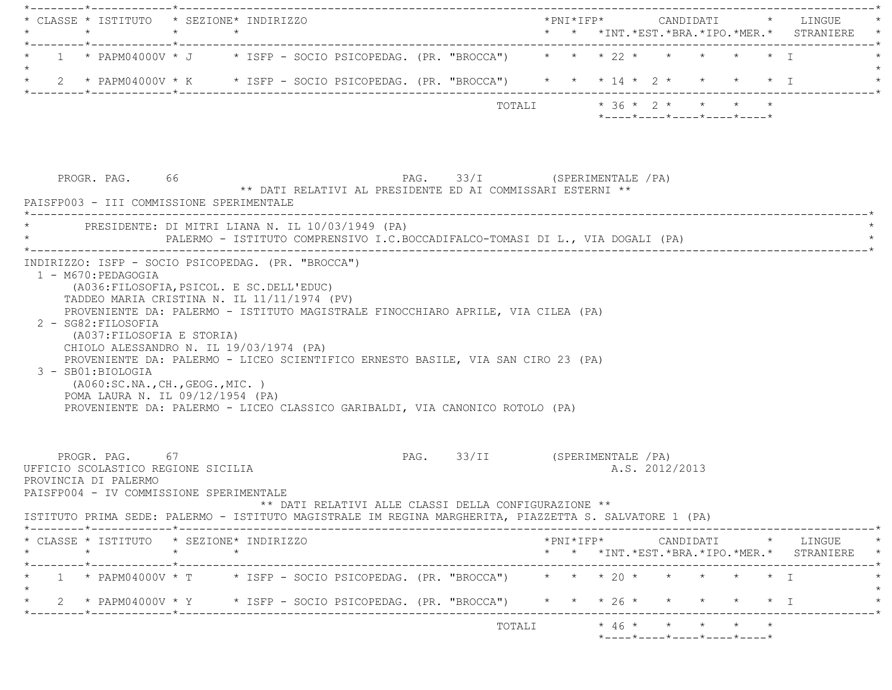| 1 * PAPM04000V * J * ISFP - SOCIO PSICOPEDAG. (PR. "BROCCA") * * * 22 * * * * * * * T                                                                                                                                                                                                                                                                                                                                                                          |                                |                                                                                                               |  |
|----------------------------------------------------------------------------------------------------------------------------------------------------------------------------------------------------------------------------------------------------------------------------------------------------------------------------------------------------------------------------------------------------------------------------------------------------------------|--------------------------------|---------------------------------------------------------------------------------------------------------------|--|
| 2 * PAPM04000V * K * ISFP - SOCIO PSICOPEDAG. (PR. "BROCCA") * * * 14 * 2 * * * * * * I<br>$\star$                                                                                                                                                                                                                                                                                                                                                             |                                |                                                                                                               |  |
|                                                                                                                                                                                                                                                                                                                                                                                                                                                                | TOTALI * 36 * 2 * * * * *      | $*$ ---- $*$ ---- $*$ ---- $*$ ---- $*$ ---- $*$                                                              |  |
| PROGR. PAG. 66<br>** DATI RELATIVI AL PRESIDENTE ED AI COMMISSARI ESTERNI **<br>PAISFP003 - III COMMISSIONE SPERIMENTALE                                                                                                                                                                                                                                                                                                                                       | PAG. 33/I (SPERIMENTALE / PA)  |                                                                                                               |  |
| * PRESIDENTE: DI MITRI LIANA N. IL 10/03/1949 (PA)<br>PALERMO - ISTITUTO COMPRENSIVO I.C.BOCCADIFALCO-TOMASI DI L., VIA DOGALI (PA)                                                                                                                                                                                                                                                                                                                            |                                |                                                                                                               |  |
| (A036: FILOSOFIA, PSICOL. E SC. DELL'EDUC)<br>TADDEO MARIA CRISTINA N. IL 11/11/1974 (PV)<br>PROVENIENTE DA: PALERMO - ISTITUTO MAGISTRALE FINOCCHIARO APRILE, VIA CILEA (PA)<br>2 - SG82: FILOSOFIA<br>(A037:FILOSOFIA E STORIA)<br>CHIOLO ALESSANDRO N. IL 19/03/1974 (PA)<br>PROVENIENTE DA: PALERMO - LICEO SCIENTIFICO ERNESTO BASILE, VIA SAN CIRO 23 (PA)<br>3 - SB01:BIOLOGIA<br>( A060:SC.NA., CH., GEOG., MIC. )<br>POMA LAURA N. IL 09/12/1954 (PA) |                                |                                                                                                               |  |
| PROVENIENTE DA: PALERMO - LICEO CLASSICO GARIBALDI, VIA CANONICO ROTOLO (PA)                                                                                                                                                                                                                                                                                                                                                                                   |                                |                                                                                                               |  |
| PROGR. PAG. 67<br>** DATI RELATIVI ALLE CLASSI DELLA CONFIGURAZIONE **                                                                                                                                                                                                                                                                                                                                                                                         | PAG. 33/II (SPERIMENTALE / PA) | A.S. 2012/2013                                                                                                |  |
| $\star$<br>$\star$<br>$\star$                                                                                                                                                                                                                                                                                                                                                                                                                                  |                                | $* \texttt{PNI*IFP*} \qquad \qquad \texttt{CANDIDATI} \qquad \qquad * \qquad \texttt{LINGUE} \qquad \qquad *$ |  |
| UFFICIO SCOLASTICO REGIONE SICILIA<br>PROVINCIA DI PALERMO<br>PAISFP004 - IV COMMISSIONE SPERIMENTALE<br>ISTITUTO PRIMA SEDE: PALERMO - ISTITUTO MAGISTRALE IM REGINA MARGHERITA, PIAZZETTA S. SALVATORE 1 (PA)<br>* CLASSE * ISTITUTO * SEZIONE* INDIRIZZO                                                                                                                                                                                                    |                                | * * *INT. *EST. *BRA. *IPO. *MER. * STRANIERE *                                                               |  |
| 1 * PAPM04000V * T * ISFP - SOCIO PSICOPEDAG. (PR. "BROCCA") * * * 20 * * * * * * * I<br>2 * PAPM04000V * Y * ISFP - SOCIO PSICOPEDAG. (PR. "BROCCA") * * * 26 * * * * * * * I                                                                                                                                                                                                                                                                                 |                                |                                                                                                               |  |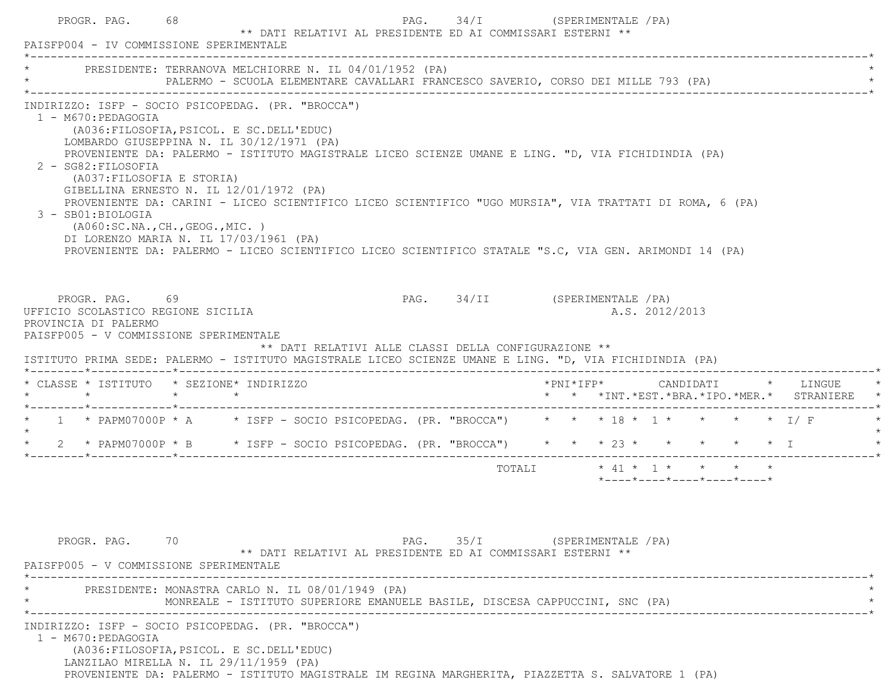|  | PROGR. PAG.<br>PAISFP004 - IV COMMISSIONE SPERIMENTALE                                                                                                                                                                                                                                                                                                                                                                                                                                                                                                                                                                                                                                               | 68 |  | ** DATI RELATIVI AL PRESIDENTE ED AI COMMISSARI ESTERNI **                        | PAG. 34/I (SPERIMENTALE /PA)  |                           |  |                |                                         |                                                                                        |
|--|------------------------------------------------------------------------------------------------------------------------------------------------------------------------------------------------------------------------------------------------------------------------------------------------------------------------------------------------------------------------------------------------------------------------------------------------------------------------------------------------------------------------------------------------------------------------------------------------------------------------------------------------------------------------------------------------------|----|--|-----------------------------------------------------------------------------------|-------------------------------|---------------------------|--|----------------|-----------------------------------------|----------------------------------------------------------------------------------------|
|  | PRESIDENTE: TERRANOVA MELCHIORRE N. IL 04/01/1952 (PA)                                                                                                                                                                                                                                                                                                                                                                                                                                                                                                                                                                                                                                               |    |  | PALERMO - SCUOLA ELEMENTARE CAVALLARI FRANCESCO SAVERIO, CORSO DEI MILLE 793 (PA) |                               |                           |  |                |                                         |                                                                                        |
|  | INDIRIZZO: ISFP - SOCIO PSICOPEDAG. (PR. "BROCCA")<br>1 - M670: PEDAGOGIA<br>(A036: FILOSOFIA, PSICOL. E SC. DELL'EDUC)<br>LOMBARDO GIUSEPPINA N. IL 30/12/1971 (PA)<br>PROVENIENTE DA: PALERMO - ISTITUTO MAGISTRALE LICEO SCIENZE UMANE E LING. "D, VIA FICHIDINDIA (PA)<br>2 - SG82: FILOSOFIA<br>(A037: FILOSOFIA E STORIA)<br>GIBELLINA ERNESTO N. IL 12/01/1972 (PA)<br>PROVENIENTE DA: CARINI - LICEO SCIENTIFICO LICEO SCIENTIFICO "UGO MURSIA", VIA TRATTATI DI ROMA, 6 (PA)<br>3 - SB01:BIOLOGIA<br>( A060 : SC.NA., CH., GEOG., MIC. )<br>DI LORENZO MARIA N. IL 17/03/1961 (PA)<br>PROVENIENTE DA: PALERMO - LICEO SCIENTIFICO LICEO SCIENTIFICO STATALE "S.C, VIA GEN. ARIMONDI 14 (PA) |    |  |                                                                                   |                               |                           |  |                |                                         |                                                                                        |
|  | PROGR. PAG. 69<br>UFFICIO SCOLASTICO REGIONE SICILIA<br>PROVINCIA DI PALERMO<br>PAISFP005 - V COMMISSIONE SPERIMENTALE                                                                                                                                                                                                                                                                                                                                                                                                                                                                                                                                                                               |    |  | ** DATI RELATIVI ALLE CLASSI DELLA CONFIGURAZIONE **                              | PAG. 34/II (SPERIMENTALE /PA) |                           |  | A.S. 2012/2013 |                                         |                                                                                        |
|  | ISTITUTO PRIMA SEDE: PALERMO - ISTITUTO MAGISTRALE LICEO SCIENZE UMANE E LING. "D, VIA FICHIDINDIA (PA)                                                                                                                                                                                                                                                                                                                                                                                                                                                                                                                                                                                              |    |  |                                                                                   |                               |                           |  |                |                                         |                                                                                        |
|  | * CLASSE * ISTITUTO * SEZIONE* INDIRIZZO                                                                                                                                                                                                                                                                                                                                                                                                                                                                                                                                                                                                                                                             |    |  |                                                                                   |                               |                           |  |                |                                         | *PNI*IFP*     CANDIDATI    *   LINGUE<br>* * *INT. *EST. *BRA. *IPO. *MER. * STRANIERE |
|  | * 1 * PAPM07000P * A * ISFP - SOCIO PSICOPEDAG. (PR. "BROCCA") * * * 18 * 1 * * * * * I/F                                                                                                                                                                                                                                                                                                                                                                                                                                                                                                                                                                                                            |    |  |                                                                                   |                               |                           |  |                |                                         |                                                                                        |
|  | * 2 * PAPM07000P * B * ISFP - SOCIO PSICOPEDAG. (PR. "BROCCA") * * * * 23 * * * * * * * I                                                                                                                                                                                                                                                                                                                                                                                                                                                                                                                                                                                                            |    |  |                                                                                   |                               |                           |  |                |                                         |                                                                                        |
|  |                                                                                                                                                                                                                                                                                                                                                                                                                                                                                                                                                                                                                                                                                                      |    |  |                                                                                   |                               | TOTALI * 41 * 1 * * * * * |  |                | $*$ ---- $*$ ---- $*$ ---- $*$ ---- $*$ |                                                                                        |
|  | PROGR. PAG. 70<br>PAISFP005 - V COMMISSIONE SPERIMENTALE                                                                                                                                                                                                                                                                                                                                                                                                                                                                                                                                                                                                                                             |    |  | ** DATI RELATIVI AL PRESIDENTE ED AI COMMISSARI ESTERNI **                        | PAG. 35/I (SPERIMENTALE / PA) |                           |  |                |                                         |                                                                                        |
|  | PRESIDENTE: MONASTRA CARLO N. IL 08/01/1949 (PA)                                                                                                                                                                                                                                                                                                                                                                                                                                                                                                                                                                                                                                                     |    |  | MONREALE - ISTITUTO SUPERIORE EMANUELE BASILE, DISCESA CAPPUCCINI, SNC (PA)       |                               |                           |  |                |                                         |                                                                                        |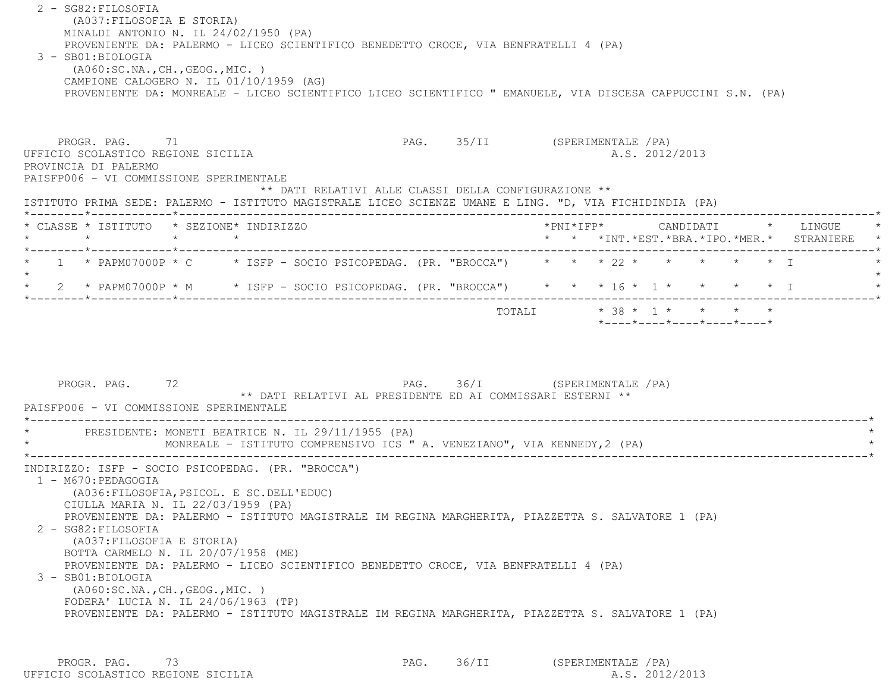2 - SG82:FILOSOFIA (A037:FILOSOFIA E STORIA) MINALDI ANTONIO N. IL 24/02/1950 (PA) PROVENIENTE DA: PALERMO - LICEO SCIENTIFICO BENEDETTO CROCE, VIA BENFRATELLI 4 (PA) 3 - SB01:BIOLOGIA (A060:SC.NA.,CH.,GEOG.,MIC. ) CAMPIONE CALOGERO N. IL 01/10/1959 (AG) PROVENIENTE DA: MONREALE - LICEO SCIENTIFICO LICEO SCIENTIFICO " EMANUELE, VIA DISCESA CAPPUCCINI S.N. (PA) PROGR. PAG. 71 2009 PAG. 25/II (SPERIMENTALE / PA) UFFICIO SCOLASTICO REGIONE SICILIA A.S. 2012/2013 PROVINCIA DI PALERMO PAISFP006 - VI COMMISSIONE SPERIMENTALE \*\* DATI RELATIVI ALLE CLASSI DELLA CONFIGURAZIONE \*\* ISTITUTO PRIMA SEDE: PALERMO - ISTITUTO MAGISTRALE LICEO SCIENZE UMANE E LING. "D, VIA FICHIDINDIA (PA) \*--------\*------------\*-------------------------------------------------------------------------------------------------------\* \* CLASSE \* ISTITUTO \* SEZIONE\* INDIRIZZO \*PNI\*IFP\* CANDIDATI \* LINGUE \* \* \* \* \* \* \* \*INT.\*EST.\*BRA.\*IPO.\*MER.\* STRANIERE \* \*--------\*------------\*-------------------------------------------------------------------------------------------------------\* $1$  \* PAPM07000P \* C \* ISFP - SOCIO PSICOPEDAG. (PR. "BROCCA")  $*$  \* \*  $*$  22 \*  $*$  \* \* \* \* \* I  $\star$ \* 2 \* PAPM07000P \* M \* ISFP - SOCIO PSICOPEDAG. (PR. "BROCCA") \* \* \* 16 \* 1 \* \* \* \* \* \* I \*--------\*------------\*-------------------------------------------------------------------------------------------------------\*TOTALI \* 38 \* 1 \* \* \* \* \* \*----\*----\*----\*----\*----\*PROGR. PAG. 72 72 PAG. 36/I (SPERIMENTALE /PA) \*\* DATI RELATIVI AL PRESIDENTE ED AI COMMISSARI ESTERNI \*\* PAISFP006 - VI COMMISSIONE SPERIMENTALE \*----------------------------------------------------------------------------------------------------------------------------\*PRESIDENTE: MONETI BEATRICE N. IL 29/11/1955 (PA) MONREALE - ISTITUTO COMPRENSIVO ICS " A. VENEZIANO", VIA KENNEDY,2 (PA) \*----------------------------------------------------------------------------------------------------------------------------\* INDIRIZZO: ISFP - SOCIO PSICOPEDAG. (PR. "BROCCA") 1 - M670:PEDAGOGIA (A036:FILOSOFIA,PSICOL. E SC.DELL'EDUC) CIULLA MARIA N. IL 22/03/1959 (PA) PROVENIENTE DA: PALERMO - ISTITUTO MAGISTRALE IM REGINA MARGHERITA, PIAZZETTA S. SALVATORE 1 (PA) 2 - SG82:FILOSOFIA (A037:FILOSOFIA E STORIA) BOTTA CARMELO N. IL 20/07/1958 (ME) PROVENIENTE DA: PALERMO - LICEO SCIENTIFICO BENEDETTO CROCE, VIA BENFRATELLI 4 (PA) 3 - SB01:BIOLOGIA (A060:SC.NA.,CH.,GEOG.,MIC. ) FODERA' LUCIA N. IL 24/06/1963 (TP) PROVENIENTE DA: PALERMO - ISTITUTO MAGISTRALE IM REGINA MARGHERITA, PIAZZETTA S. SALVATORE 1 (PA)

PROGR. PAG. 73 **PAG.** PAG. 36/II (SPERIMENTALE /PA) UFFICIO SCOLASTICO REGIONE SICILIA A.S. 2012/2013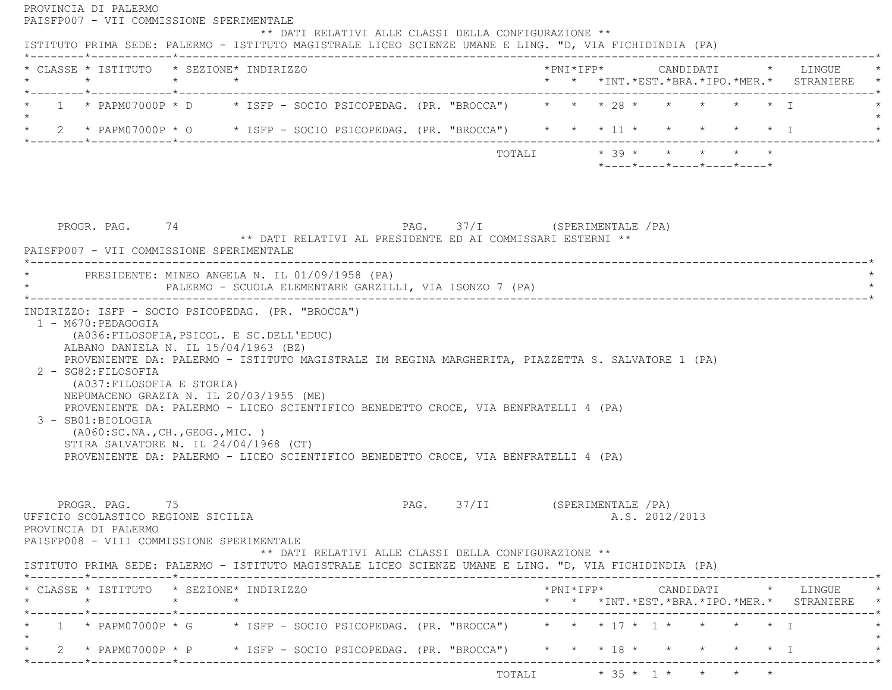| 1 * PAPM07000P * D * ISFP - SOCIO PSICOPEDAG. (PR. "BROCCA") * * * 28 * * * * * * * I<br>* 2 * PAPM07000P * 0 * ISFP - SOCIO PSICOPEDAG. (PR. "BROCCA") * * * 11 * * * * * * * I<br>TOTALI $* 39 * * * * * * * * *$<br>$*$ ---- $*$ ---- $*$ ---- $*$ ---- $*$ ---- $*$<br>PAG. 37/I (SPERIMENTALE / PA)<br>PROGR. PAG. 74<br>** DATI RELATIVI AL PRESIDENTE ED AI COMMISSARI ESTERNI **<br>PAISFP007 - VII COMMISSIONE SPERIMENTALE<br>PRESIDENTE: MINEO ANGELA N. IL 01/09/1958 (PA)<br>PALERMO - SCUOLA ELEMENTARE GARZILLI, VIA ISONZO 7 (PA)<br>INDIRIZZO: ISFP - SOCIO PSICOPEDAG. (PR. "BROCCA")<br>1 - M670: PEDAGOGIA<br>(A036: FILOSOFIA, PSICOL. E SC. DELL'EDUC)<br>ALBANO DANIELA N. IL 15/04/1963 (BZ)<br>PROVENIENTE DA: PALERMO - ISTITUTO MAGISTRALE IM REGINA MARGHERITA, PIAZZETTA S. SALVATORE 1 (PA)<br>2 - SG82: FILOSOFIA<br>(A037: FILOSOFIA E STORIA)<br>NEPUMACENO GRAZIA N. IL 20/03/1955 (ME)<br>PROVENIENTE DA: PALERMO - LICEO SCIENTIFICO BENEDETTO CROCE, VIA BENFRATELLI 4 (PA)<br>3 - SB01:BIOLOGIA<br>( A060:SC.NA., CH., GEOG., MIC. )<br>STIRA SALVATORE N. IL 24/04/1968 (CT)<br>PROVENIENTE DA: PALERMO - LICEO SCIENTIFICO BENEDETTO CROCE, VIA BENFRATELLI 4 (PA)<br>PROGR. PAG.<br>PAG. 37/II<br>(SPERIMENTALE / PA)<br>75<br>A.S. 2012/2013<br>UFFICIO SCOLASTICO REGIONE SICILIA<br>PROVINCIA DI PALERMO<br>PAISFP008 - VIII COMMISSIONE SPERIMENTALE<br>** DATI RELATIVI ALLE CLASSI DELLA CONFIGURAZIONE **<br>ISTITUTO PRIMA SEDE: PALERMO - ISTITUTO MAGISTRALE LICEO SCIENZE UMANE E LING. "D, VIA FICHIDINDIA (PA) |  |
|----------------------------------------------------------------------------------------------------------------------------------------------------------------------------------------------------------------------------------------------------------------------------------------------------------------------------------------------------------------------------------------------------------------------------------------------------------------------------------------------------------------------------------------------------------------------------------------------------------------------------------------------------------------------------------------------------------------------------------------------------------------------------------------------------------------------------------------------------------------------------------------------------------------------------------------------------------------------------------------------------------------------------------------------------------------------------------------------------------------------------------------------------------------------------------------------------------------------------------------------------------------------------------------------------------------------------------------------------------------------------------------------------------------------------------------------------------------------------------------------------------------------------------------------------------------------|--|
|                                                                                                                                                                                                                                                                                                                                                                                                                                                                                                                                                                                                                                                                                                                                                                                                                                                                                                                                                                                                                                                                                                                                                                                                                                                                                                                                                                                                                                                                                                                                                                      |  |
|                                                                                                                                                                                                                                                                                                                                                                                                                                                                                                                                                                                                                                                                                                                                                                                                                                                                                                                                                                                                                                                                                                                                                                                                                                                                                                                                                                                                                                                                                                                                                                      |  |
|                                                                                                                                                                                                                                                                                                                                                                                                                                                                                                                                                                                                                                                                                                                                                                                                                                                                                                                                                                                                                                                                                                                                                                                                                                                                                                                                                                                                                                                                                                                                                                      |  |
|                                                                                                                                                                                                                                                                                                                                                                                                                                                                                                                                                                                                                                                                                                                                                                                                                                                                                                                                                                                                                                                                                                                                                                                                                                                                                                                                                                                                                                                                                                                                                                      |  |
|                                                                                                                                                                                                                                                                                                                                                                                                                                                                                                                                                                                                                                                                                                                                                                                                                                                                                                                                                                                                                                                                                                                                                                                                                                                                                                                                                                                                                                                                                                                                                                      |  |
|                                                                                                                                                                                                                                                                                                                                                                                                                                                                                                                                                                                                                                                                                                                                                                                                                                                                                                                                                                                                                                                                                                                                                                                                                                                                                                                                                                                                                                                                                                                                                                      |  |
|                                                                                                                                                                                                                                                                                                                                                                                                                                                                                                                                                                                                                                                                                                                                                                                                                                                                                                                                                                                                                                                                                                                                                                                                                                                                                                                                                                                                                                                                                                                                                                      |  |
|                                                                                                                                                                                                                                                                                                                                                                                                                                                                                                                                                                                                                                                                                                                                                                                                                                                                                                                                                                                                                                                                                                                                                                                                                                                                                                                                                                                                                                                                                                                                                                      |  |
| * CLASSE * ISTITUTO * SEZIONE* INDIRIZZO<br>*PNI*IFP*     CANDIDATI    *   LINGUE                                                                                                                                                                                                                                                                                                                                                                                                                                                                                                                                                                                                                                                                                                                                                                                                                                                                                                                                                                                                                                                                                                                                                                                                                                                                                                                                                                                                                                                                                    |  |
| $\star$<br>$\star$ $\star$<br>* * *INT. *EST. *BRA. *IPO. *MER. * STRANIERE *<br>_______*____________*_________                                                                                                                                                                                                                                                                                                                                                                                                                                                                                                                                                                                                                                                                                                                                                                                                                                                                                                                                                                                                                                                                                                                                                                                                                                                                                                                                                                                                                                                      |  |
| 1 * PAPM07000P * G * ISFP - SOCIO PSICOPEDAG. (PR. "BROCCA") * * * 17 * 1 * * * * * 1                                                                                                                                                                                                                                                                                                                                                                                                                                                                                                                                                                                                                                                                                                                                                                                                                                                                                                                                                                                                                                                                                                                                                                                                                                                                                                                                                                                                                                                                                |  |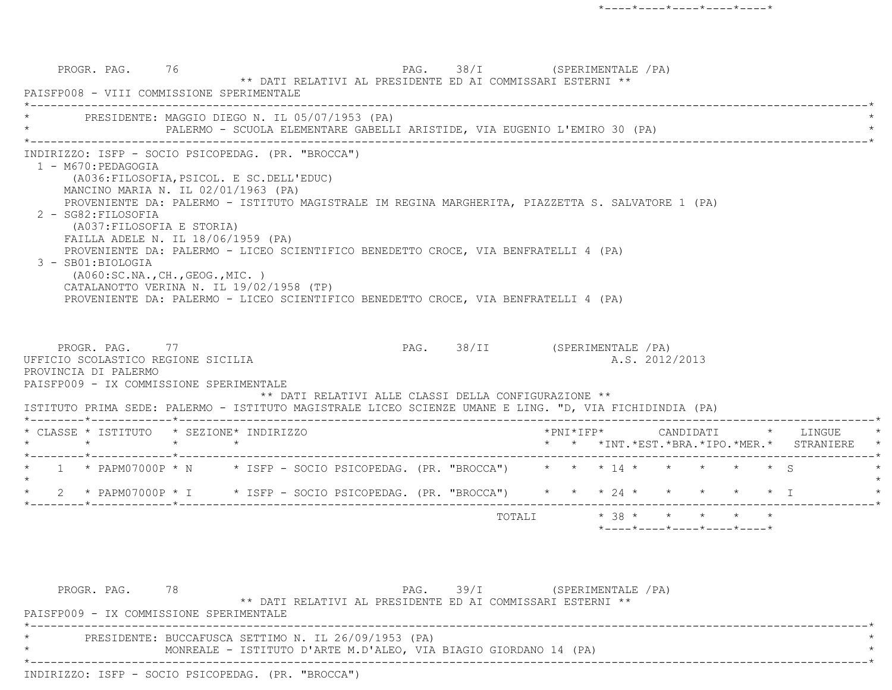PROGR. PAG. 76 76 PAG. 38/I (SPERIMENTALE /PA) \*\* DATI RELATIVI AL PRESIDENTE ED AI COMMISSARI ESTERNI \*\* PAISFP008 - VIII COMMISSIONE SPERIMENTALE \*----------------------------------------------------------------------------------------------------------------------------\*PRESIDENTE: MAGGIO DIEGO N. IL 05/07/1953 (PA) PALERMO - SCUOLA ELEMENTARE GABELLI ARISTIDE, VIA EUGENIO L'EMIRO 30 (PA) \*----------------------------------------------------------------------------------------------------------------------------\* INDIRIZZO: ISFP - SOCIO PSICOPEDAG. (PR. "BROCCA") 1 - M670:PEDAGOGIA (A036:FILOSOFIA,PSICOL. E SC.DELL'EDUC) MANCINO MARIA N. IL 02/01/1963 (PA) PROVENIENTE DA: PALERMO - ISTITUTO MAGISTRALE IM REGINA MARGHERITA, PIAZZETTA S. SALVATORE 1 (PA) 2 - SG82:FILOSOFIA (A037:FILOSOFIA E STORIA) FAILLA ADELE N. IL 18/06/1959 (PA) PROVENIENTE DA: PALERMO - LICEO SCIENTIFICO BENEDETTO CROCE, VIA BENFRATELLI 4 (PA) 3 - SB01:BIOLOGIA (A060:SC.NA.,CH.,GEOG.,MIC. ) CATALANOTTO VERINA N. IL 19/02/1958 (TP) PROVENIENTE DA: PALERMO - LICEO SCIENTIFICO BENEDETTO CROCE, VIA BENFRATELLI 4 (PA) PROGR. PAG. 77 PAG. PAG. 38/II (SPERIMENTALE /PA) UFFICIO SCOLASTICO REGIONE SICILIA A.S. 2012/2013 PROVINCIA DI PALERMO PAISFP009 - IX COMMISSIONE SPERIMENTALE \*\* DATI RELATIVI ALLE CLASSI DELLA CONFIGURAZIONE \*\* ISTITUTO PRIMA SEDE: PALERMO - ISTITUTO MAGISTRALE LICEO SCIENZE UMANE E LING. "D, VIA FICHIDINDIA (PA) \*--------\*------------\*-------------------------------------------------------------------------------------------------------\* \* CLASSE \* ISTITUTO \* SEZIONE\* INDIRIZZO \*PNI\*IFP\* CANDIDATI \* LINGUE \* \* \* \* \* \* \* \*INT.\*EST.\*BRA.\*IPO.\*MER.\* STRANIERE \* \*--------\*------------\*-------------------------------------------------------------------------------------------------------\*1 \* PAPM07000P \* N \* ISFP - SOCIO PSICOPEDAG. (PR. "BROCCA") \* \* \* 14 \* \* \* \* \* \* \* \$ S  $\star$  \* 2 \* PAPM07000P \* I \* ISFP - SOCIO PSICOPEDAG. (PR. "BROCCA") \* \* \* 24 \* \* \* \* \* I \* \*--------\*------------\*-------------------------------------------------------------------------------------------------------\*TOTALI  $* 38 * * * * * * * * *$ \*----\*----\*----\*----\*----\*

PROGR. PAG. 78 78 PAG. 39/I (SPERIMENTALE /PA) \*\* DATI RELATIVI AL PRESIDENTE ED AI COMMISSARI ESTERNI \*\* PAISFP009 - IX COMMISSIONE SPERIMENTALE \*----------------------------------------------------------------------------------------------------------------------------\*PRESIDENTE: BUCCAFUSCA SETTIMO N. IL 26/09/1953 (PA) MONREALE - ISTITUTO D'ARTE M.D'ALEO, VIA BIAGIO GIORDANO 14 (PA) \*----------------------------------------------------------------------------------------------------------------------------\*INDIRIZZO: ISFP - SOCIO PSICOPEDAG. (PR. "BROCCA")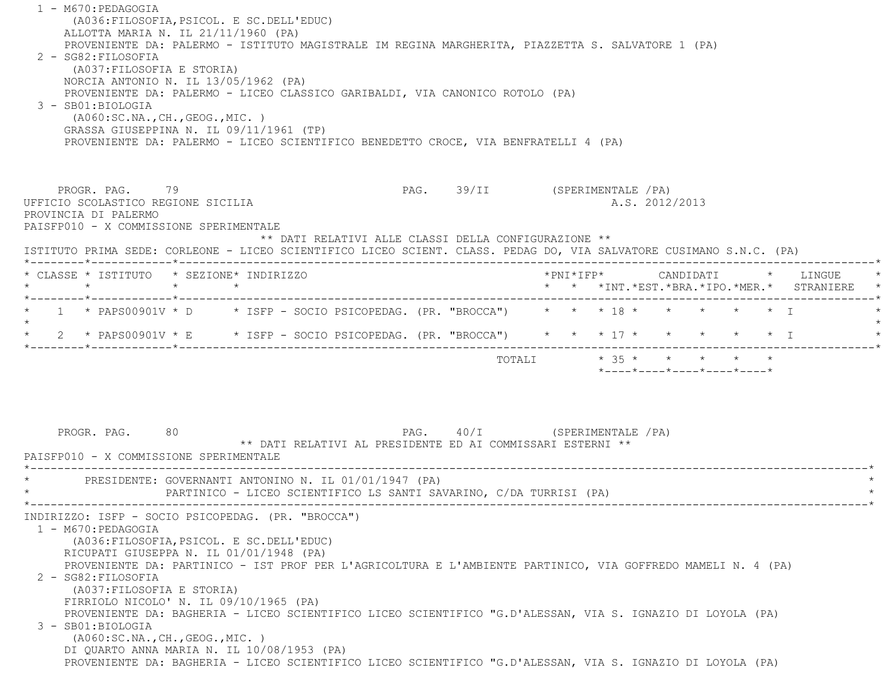1 - M670:PEDAGOGIA (A036:FILOSOFIA,PSICOL. E SC.DELL'EDUC) ALLOTTA MARIA N. IL 21/11/1960 (PA) PROVENIENTE DA: PALERMO - ISTITUTO MAGISTRALE IM REGINA MARGHERITA, PIAZZETTA S. SALVATORE 1 (PA) 2 - SG82:FILOSOFIA (A037:FILOSOFIA E STORIA) NORCIA ANTONIO N. IL 13/05/1962 (PA) PROVENIENTE DA: PALERMO - LICEO CLASSICO GARIBALDI, VIA CANONICO ROTOLO (PA) 3 - SB01:BIOLOGIA (A060:SC.NA.,CH.,GEOG.,MIC. ) GRASSA GIUSEPPINA N. IL 09/11/1961 (TP) PROVENIENTE DA: PALERMO - LICEO SCIENTIFICO BENEDETTO CROCE, VIA BENFRATELLI 4 (PA) PROGR. PAG. 79 PAG. 39/II (SPERIMENTALE /PA) UFFICIO SCOLASTICO REGIONE SICILIA A.S. 2012/2013 PROVINCIA DI PALERMO PAISFP010 - X COMMISSIONE SPERIMENTALE \*\* DATI RELATIVI ALLE CLASSI DELLA CONFIGURAZIONE \*\* ISTITUTO PRIMA SEDE: CORLEONE - LICEO SCIENTIFICO LICEO SCIENT. CLASS. PEDAG DO, VIA SALVATORE CUSIMANO S.N.C. (PA) \*--------\*------------\*-------------------------------------------------------------------------------------------------------\* \* CLASSE \* ISTITUTO \* SEZIONE\* INDIRIZZO \*PNI\*IFP\* CANDIDATI \* LINGUE \* \* \* \* \* \* \* \*INT.\*EST.\*BRA.\*IPO.\*MER.\* STRANIERE \* \*--------\*------------\*-------------------------------------------------------------------------------------------------------\*1 \* PAPS00901V \* D \* ISFP - SOCIO PSICOPEDAG. (PR. "BROCCA") \* \* \* 18 \* \* \* \* \* \* \* \* I  $\star$  \* 2 \* PAPS00901V \* E \* ISFP - SOCIO PSICOPEDAG. (PR. "BROCCA") \* \* \* 17 \* \* \* \* \* I \* \*--------\*------------\*-------------------------------------------------------------------------------------------------------\*TOTALI  $* 35 * * * * * * * * *$  \*----\*----\*----\*----\*----\*PROGR. PAG. 80 80 PAG. PAG. 40/I (SPERIMENTALE /PA) \*\* DATI RELATIVI AL PRESIDENTE ED AI COMMISSARI ESTERNI \*\* PAISFP010 - X COMMISSIONE SPERIMENTALE \*----------------------------------------------------------------------------------------------------------------------------\*PRESIDENTE: GOVERNANTI ANTONINO N. IL 01/01/1947 (PA) PARTINICO - LICEO SCIENTIFICO LS SANTI SAVARINO, C/DA TURRISI (PA) \*----------------------------------------------------------------------------------------------------------------------------\* INDIRIZZO: ISFP - SOCIO PSICOPEDAG. (PR. "BROCCA") 1 - M670:PEDAGOGIA (A036:FILOSOFIA,PSICOL. E SC.DELL'EDUC) RICUPATI GIUSEPPA N. IL 01/01/1948 (PA) PROVENIENTE DA: PARTINICO - IST PROF PER L'AGRICOLTURA E L'AMBIENTE PARTINICO, VIA GOFFREDO MAMELI N. 4 (PA) 2 - SG82:FILOSOFIA (A037:FILOSOFIA E STORIA) FIRRIOLO NICOLO' N. IL 09/10/1965 (PA) PROVENIENTE DA: BAGHERIA - LICEO SCIENTIFICO LICEO SCIENTIFICO "G.D'ALESSAN, VIA S. IGNAZIO DI LOYOLA (PA) 3 - SB01:BIOLOGIA (A060:SC.NA.,CH.,GEOG.,MIC. ) DI QUARTO ANNA MARIA N. IL 10/08/1953 (PA) PROVENIENTE DA: BAGHERIA - LICEO SCIENTIFICO LICEO SCIENTIFICO "G.D'ALESSAN, VIA S. IGNAZIO DI LOYOLA (PA)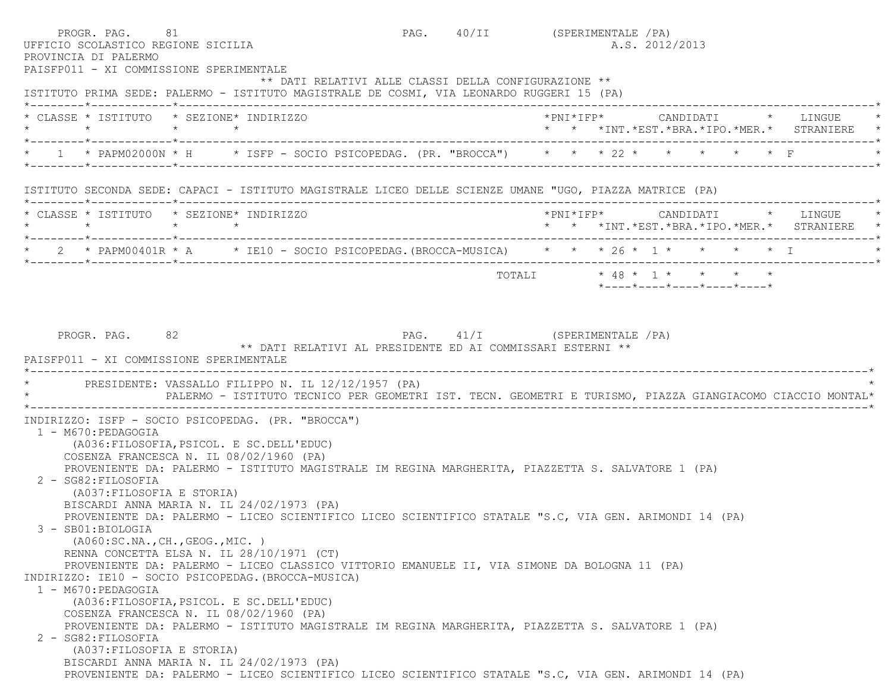| UFFICIO SCOLASTICO REGIONE SICILIA<br>PROVINCIA DI PALERMO<br>PAISFP011 - XI COMMISSIONE SPERIMENTALE | PROGR. PAG. 81                                                                                                                                    |  | PAG. 40/II (SPERIMENTALE / PA)<br>A.S. 2012/2013                                                          |
|-------------------------------------------------------------------------------------------------------|---------------------------------------------------------------------------------------------------------------------------------------------------|--|-----------------------------------------------------------------------------------------------------------|
|                                                                                                       | ** DATI RELATIVI ALLE CLASSI DELLA CONFIGURAZIONE **<br>ISTITUTO PRIMA SEDE: PALERMO - ISTITUTO MAGISTRALE DE COSMI, VIA LEONARDO RUGGERI 15 (PA) |  |                                                                                                           |
| * CLASSE * ISTITUTO * SEZIONE* INDIRIZZO                                                              |                                                                                                                                                   |  | * * *INT.*EST.*BRA.*IPO.*MER.* STRANIERE                                                                  |
|                                                                                                       |                                                                                                                                                   |  | * PAPM02000N * H * ISFP - SOCIO PSICOPEDAG. (PR. "BROCCA") * * * 22 * * * * * * * F                       |
|                                                                                                       | ISTITUTO SECONDA SEDE: CAPACI - ISTITUTO MAGISTRALE LICEO DELLE SCIENZE UMANE "UGO, PIAZZA MATRICE (PA)                                           |  |                                                                                                           |
| * CLASSE * ISTITUTO * SEZIONE* INDIRIZZO                                                              |                                                                                                                                                   |  | *PNI*IFP* CANDIDATI * LINGUE<br>* * *INT. *EST. *BRA. *IPO. *MER. * STRANIERE *                           |
|                                                                                                       |                                                                                                                                                   |  | * 2 * PAPM00401R * A * IE10 - SOCIO PSICOPEDAG.(BROCCA-MUSICA) * * * 26 * 1 * * * * * * I                 |
|                                                                                                       |                                                                                                                                                   |  | *----*----*----*----*----*                                                                                |
| PROGR. PAG. 82<br>PAISFP011 - XI COMMISSIONE SPERIMENTALE                                             | PAG. 41/I (SPERIMENTALE / PA)<br>** DATI RELATIVI AL PRESIDENTE ED AI COMMISSARI ESTERNI **                                                       |  |                                                                                                           |
|                                                                                                       | PRESIDENTE: VASSALLO FILIPPO N. IL 12/12/1957 (PA)                                                                                                |  | PALERMO - ISTITUTO TECNICO PER GEOMETRI IST. TECN. GEOMETRI E TURISMO, PIAZZA GIANGIACOMO CIACCIO MONTAL* |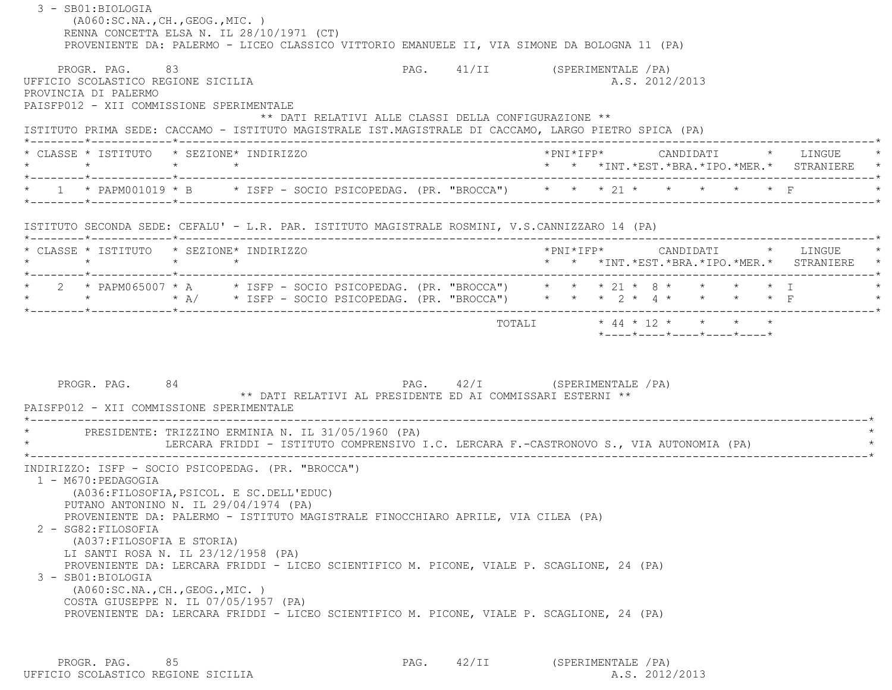| PROVENIENTE DA: PALERMO - LICEO CLASSICO VITTORIO EMANUELE II, VIA SIMONE DA BOLOGNA 11 (PA) |                                                                                                                                                                             |                 |  |  |                                                                                         |  |  |                |                            |  |                                                                                          |
|----------------------------------------------------------------------------------------------|-----------------------------------------------------------------------------------------------------------------------------------------------------------------------------|-----------------|--|--|-----------------------------------------------------------------------------------------|--|--|----------------|----------------------------|--|------------------------------------------------------------------------------------------|
|                                                                                              | PROGR. PAG. 83<br>UFFICIO SCOLASTICO REGIONE SICILIA<br>PROVINCIA DI PALERMO                                                                                                |                 |  |  | PAG. 41/II (SPERIMENTALE / PA)                                                          |  |  | A.S. 2012/2013 |                            |  |                                                                                          |
|                                                                                              | PAISFP012 - XII COMMISSIONE SPERIMENTALE                                                                                                                                    |                 |  |  |                                                                                         |  |  |                |                            |  |                                                                                          |
|                                                                                              | ISTITUTO PRIMA SEDE: CACCAMO - ISTITUTO MAGISTRALE IST.MAGISTRALE DI CACCAMO, LARGO PIETRO SPICA (PA)                                                                       |                 |  |  | ** DATI RELATIVI ALLE CLASSI DELLA CONFIGURAZIONE **                                    |  |  |                |                            |  |                                                                                          |
|                                                                                              | * CLASSE * ISTITUTO * SEZIONE* INDIRIZZO<br>$\star$                                                                                                                         | $\star$ $\star$ |  |  |                                                                                         |  |  |                |                            |  | *PNI*IFP*     CANDIDATI    *   LINGUE<br>* * *INT. *EST. *BRA. *IPO. *MER. * STRANIERE * |
|                                                                                              | * 1 * PAPM001019 * B * ISFP - SOCIO PSICOPEDAG. (PR. "BROCCA") * * * 21 * * * * * * * F                                                                                     |                 |  |  |                                                                                         |  |  |                |                            |  |                                                                                          |
|                                                                                              | ISTITUTO SECONDA SEDE: CEFALU' - L.R. PAR. ISTITUTO MAGISTRALE ROSMINI, V.S.CANNIZZARO 14 (PA)                                                                              |                 |  |  |                                                                                         |  |  |                |                            |  |                                                                                          |
|                                                                                              | * CLASSE * ISTITUTO * SEZIONE* INDIRIZZO<br>$\star$ $\star$                                                                                                                 | $\star$ $\star$ |  |  |                                                                                         |  |  |                |                            |  | * * *INT.*EST.*BRA.*IPO.*MER.* STRANIERE *                                               |
|                                                                                              | * 2 * PAPM065007 * A * ISFP - SOCIO PSICOPEDAG. (PR. "BROCCA") * * * 21 * 8 * * * * * * I<br>* * * * * A/ * ISFP - SOCIO PSICOPEDAG. (PR. "BROCCA") * * * 2 * 4 * * * * * F |                 |  |  |                                                                                         |  |  |                |                            |  |                                                                                          |
|                                                                                              |                                                                                                                                                                             |                 |  |  |                                                                                         |  |  |                |                            |  |                                                                                          |
|                                                                                              | PROGR. PAG. 84                                                                                                                                                              |                 |  |  | PAG. 42/I (SPERIMENTALE / PA)                                                           |  |  |                | *----*----*----*----*----* |  |                                                                                          |
|                                                                                              | PAISFP012 - XII COMMISSIONE SPERIMENTALE                                                                                                                                    |                 |  |  | ** DATI RELATIVI AL PRESIDENTE ED AI COMMISSARI ESTERNI **                              |  |  |                |                            |  |                                                                                          |
|                                                                                              |                                                                                                                                                                             |                 |  |  | LERCARA FRIDDI - ISTITUTO COMPRENSIVO I.C. LERCARA F.-CASTRONOVO S., VIA AUTONOMIA (PA) |  |  |                |                            |  |                                                                                          |

PROGR. PAG. 85 85 PROGR. PAG. 42/II (SPERIMENTALE /PA)<br>210 SCOLASTICO REGIONE SICILIA UFFICIO SCOLASTICO REGIONE SICILIA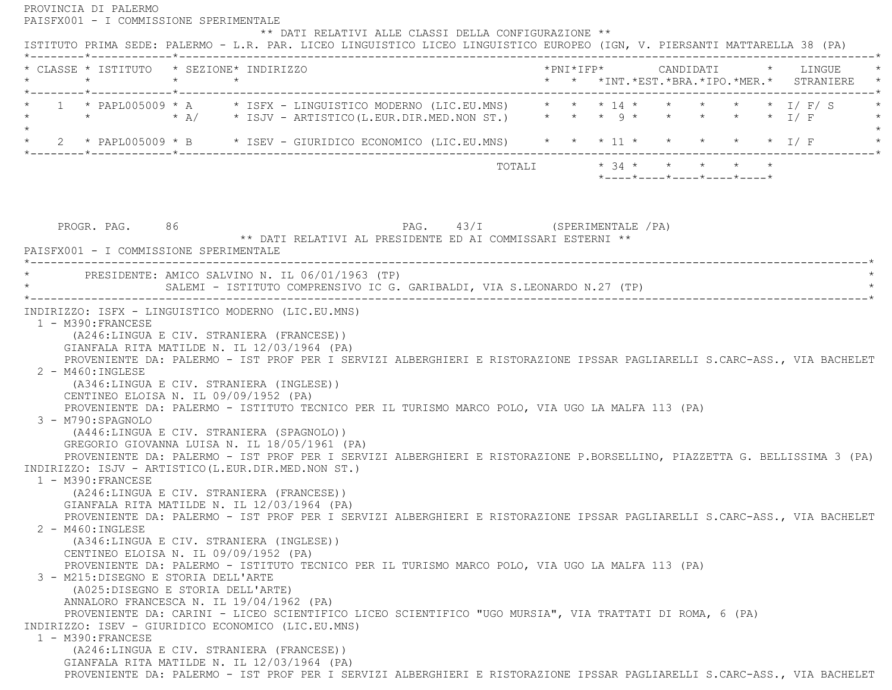PROVINCIA DI PALERMO PAISFX001 - I COMMISSIONE SPERIMENTALE \*\* DATI RELATIVI ALLE CLASSI DELLA CONFIGURAZIONE \*\* ISTITUTO PRIMA SEDE: PALERMO - L.R. PAR. LICEO LINGUISTICO LICEO LINGUISTICO EUROPEO (IGN, V. PIERSANTI MATTARELLA 38 (PA) \*--------\*------------\*-------------------------------------------------------------------------------------------------------\* \* CLASSE \* ISTITUTO \* SEZIONE\* INDIRIZZO \*PNI\*IFP\* CANDIDATI \* LINGUE \* \* \* \* \* \* \* \*INT.\*EST.\*BRA.\*IPO.\*MER.\* STRANIERE \* \*--------\*------------\*-------------------------------------------------------------------------------------------------------\* \* 1 \* PAPL005009 \* A \* ISFX - LINGUISTICO MODERNO (LIC.EU.MNS) \* \* \* 14 \* \* \* \* \* I/ F/ S \* \* \* \* A/ \* ISJV - ARTISTICO(L.EUR.DIR.MED.NON ST.) \* \* \* 9 \* \* \* \* \* I/ F \*  $\star$ \* 2 \* PAPL005009 \* B \* ISEV - GIURIDICO ECONOMICO (LIC.EU.MNS) \* \* \* 11 \* \* \* \* \* \* \* I/ F \* \* \*--------\*------------\*-------------------------------------------------------------------------------------------------------\* TOTALI \* 34 \* \* \* \* \* \*----\*----\*----\*----\*----\*PROGR. PAG. 86 86 PAG. 43/I (SPERIMENTALE /PA) \*\* DATI RELATIVI AL PRESIDENTE ED AI COMMISSARI ESTERNI \*\* PAISFX001 - I COMMISSIONE SPERIMENTALE------------------------------------- \* PRESIDENTE: AMICO SALVINO N. IL 06/01/1963 (TP) \* SALEMI - ISTITUTO COMPRENSIVO IC G. GARIBALDI, VIA S.LEONARDO N.27 (TP) \*----------------------------------------------------------------------------------------------------------------------------\* INDIRIZZO: ISFX - LINGUISTICO MODERNO (LIC.EU.MNS) 1 - M390:FRANCESE (A246:LINGUA E CIV. STRANIERA (FRANCESE)) GIANFALA RITA MATILDE N. IL 12/03/1964 (PA) PROVENIENTE DA: PALERMO - IST PROF PER I SERVIZI ALBERGHIERI E RISTORAZIONE IPSSAR PAGLIARELLI S.CARC-ASS., VIA BACHELET 2 - M460:INGLESE (A346:LINGUA E CIV. STRANIERA (INGLESE)) CENTINEO ELOISA N. IL 09/09/1952 (PA) PROVENIENTE DA: PALERMO - ISTITUTO TECNICO PER IL TURISMO MARCO POLO, VIA UGO LA MALFA 113 (PA) 3 - M790:SPAGNOLO (A446:LINGUA E CIV. STRANIERA (SPAGNOLO)) GREGORIO GIOVANNA LUISA N. IL 18/05/1961 (PA) PROVENIENTE DA: PALERMO - IST PROF PER I SERVIZI ALBERGHIERI E RISTORAZIONE P.BORSELLINO, PIAZZETTA G. BELLISSIMA 3 (PA) INDIRIZZO: ISJV - ARTISTICO(L.EUR.DIR.MED.NON ST.) 1 - M390:FRANCESE (A246:LINGUA E CIV. STRANIERA (FRANCESE)) GIANFALA RITA MATILDE N. IL 12/03/1964 (PA) PROVENIENTE DA: PALERMO - IST PROF PER I SERVIZI ALBERGHIERI E RISTORAZIONE IPSSAR PAGLIARELLI S.CARC-ASS., VIA BACHELET 2 - M460:INGLESE (A346:LINGUA E CIV. STRANIERA (INGLESE)) CENTINEO ELOISA N. IL 09/09/1952 (PA) PROVENIENTE DA: PALERMO - ISTITUTO TECNICO PER IL TURISMO MARCO POLO, VIA UGO LA MALFA 113 (PA) 3 - M215:DISEGNO E STORIA DELL'ARTE (A025:DISEGNO E STORIA DELL'ARTE) ANNALORO FRANCESCA N. IL 19/04/1962 (PA) PROVENIENTE DA: CARINI - LICEO SCIENTIFICO LICEO SCIENTIFICO "UGO MURSIA", VIA TRATTATI DI ROMA, 6 (PA) INDIRIZZO: ISEV - GIURIDICO ECONOMICO (LIC.EU.MNS) 1 - M390:FRANCESE (A246:LINGUA E CIV. STRANIERA (FRANCESE)) GIANFALA RITA MATILDE N. IL 12/03/1964 (PA) PROVENIENTE DA: PALERMO - IST PROF PER I SERVIZI ALBERGHIERI E RISTORAZIONE IPSSAR PAGLIARELLI S.CARC-ASS., VIA BACHELET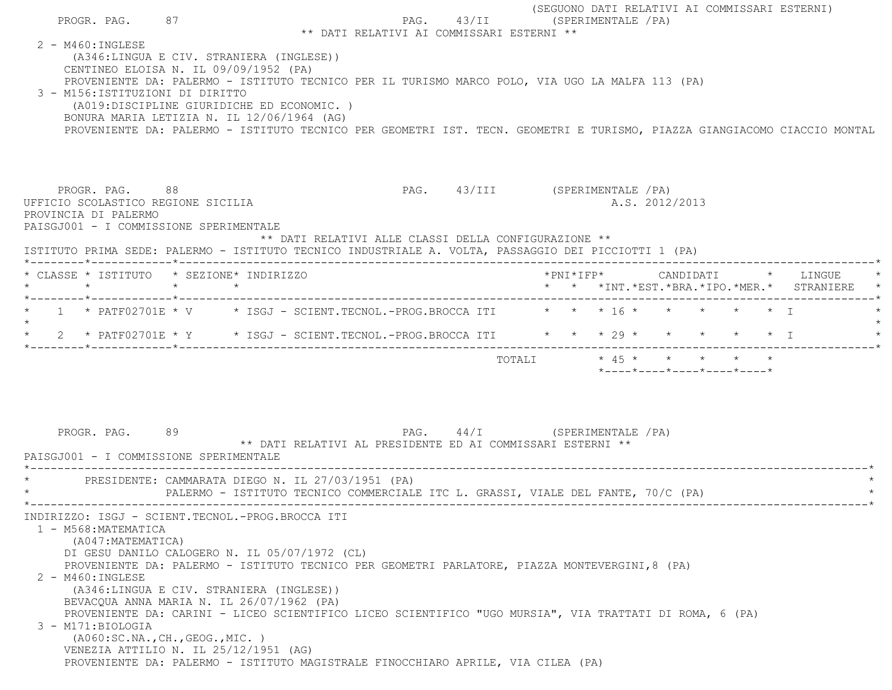|                   |         | PROGR. PAG.                                                                                                                                                                                                                                                                                                                                  | 87      |         |  |  | ** DATI RELATIVI AI COMMISSARI ESTERNI **                                                                                                                                                                                                                                                     | PAG. 43/II (SPERIMENTALE / PA)  |        |  |                       |  |                                                                                                       |                           | (SEGUONO DATI RELATIVI AI COMMISSARI ESTERNI)                  |                                                                                                                          |
|-------------------|---------|----------------------------------------------------------------------------------------------------------------------------------------------------------------------------------------------------------------------------------------------------------------------------------------------------------------------------------------------|---------|---------|--|--|-----------------------------------------------------------------------------------------------------------------------------------------------------------------------------------------------------------------------------------------------------------------------------------------------|---------------------------------|--------|--|-----------------------|--|-------------------------------------------------------------------------------------------------------|---------------------------|----------------------------------------------------------------|--------------------------------------------------------------------------------------------------------------------------|
| 2 - M460: INGLESE |         | (A346:LINGUA E CIV. STRANIERA (INGLESE))<br>CENTINEO ELOISA N. IL 09/09/1952 (PA)<br>3 - M156: ISTITUZIONI DI DIRITTO<br>(A019:DISCIPLINE GIURIDICHE ED ECONOMIC.)<br>BONURA MARIA LETIZIA N. IL 12/06/1964 (AG)                                                                                                                             |         |         |  |  | PROVENIENTE DA: PALERMO - ISTITUTO TECNICO PER IL TURISMO MARCO POLO, VIA UGO LA MALFA 113 (PA)                                                                                                                                                                                               |                                 |        |  |                       |  |                                                                                                       |                           |                                                                | PROVENIENTE DA: PALERMO - ISTITUTO TECNICO PER GEOMETRI IST. TECN. GEOMETRI E TURISMO, PIAZZA GIANGIACOMO CIACCIO MONTAL |
|                   |         | PROGR. PAG. 88<br>UFFICIO SCOLASTICO REGIONE SICILIA<br>PROVINCIA DI PALERMO<br>PAISGJ001 - I COMMISSIONE SPERIMENTALE                                                                                                                                                                                                                       |         |         |  |  | ** DATI RELATIVI ALLE CLASSI DELLA CONFIGURAZIONE **<br>ISTITUTO PRIMA SEDE: PALERMO - ISTITUTO TECNICO INDUSTRIALE A. VOLTA, PASSAGGIO DEI PICCIOTTI 1 (PA)                                                                                                                                  | PAG. 43/III (SPERIMENTALE / PA) |        |  | A.S. 2012/2013        |  |                                                                                                       |                           |                                                                |                                                                                                                          |
|                   | $\star$ | * CLASSE * ISTITUTO * SEZIONE* INDIRIZZO                                                                                                                                                                                                                                                                                                     | $\star$ | $\star$ |  |  |                                                                                                                                                                                                                                                                                               |                                 |        |  | $*$ PNI $*$ I F P $*$ |  |                                                                                                       |                           | CANDIDATI * LINGUE<br>* * *INT.*EST.*BRA.*IPO.*MER.* STRANIERE |                                                                                                                          |
|                   |         |                                                                                                                                                                                                                                                                                                                                              |         |         |  |  | 1 * PATF02701E * V * ISGJ - SCIENT.TECNOL.-PROG.BROCCA ITI * * * 16 * * * * * * * I<br>2 * PATF02701E * Y * ISGJ - SCIENT.TECNOL.-PROG.BROCCA ITI * * * * 29 * *                                                                                                                              |                                 |        |  |                       |  |                                                                                                       | $\star$ $\star$ $\star$ T |                                                                |                                                                                                                          |
|                   |         | PROGR. PAG.<br>PAISGJ001 - I COMMISSIONE SPERIMENTALE                                                                                                                                                                                                                                                                                        | 89      |         |  |  | PAG. 44/I (SPERIMENTALE /PA)<br>** DATI RELATIVI AL PRESIDENTE ED AI COMMISSARI ESTERNI **                                                                                                                                                                                                    |                                 | TOTALI |  |                       |  | $\star$ 45 $\star$ $\star$ $\star$<br>$*$ - - - - $*$ - - - - $*$ - - - - $*$ - - - - $*$ - - - - $*$ |                           |                                                                |                                                                                                                          |
|                   |         | PRESIDENTE: CAMMARATA DIEGO N. IL 27/03/1951 (PA)                                                                                                                                                                                                                                                                                            |         |         |  |  | PALERMO - ISTITUTO TECNICO COMMERCIALE ITC L. GRASSI, VIALE DEL FANTE, 70/C (PA)                                                                                                                                                                                                              |                                 |        |  |                       |  |                                                                                                       |                           |                                                                |                                                                                                                          |
| 2 - M460: INGLESE |         | INDIRIZZO: ISGJ - SCIENT.TECNOL.-PROG.BROCCA ITI<br>1 - M568: MATEMATICA<br>(A047: MATEMATICA)<br>DI GESU DANILO CALOGERO N. IL 05/07/1972 (CL)<br>(A346:LINGUA E CIV. STRANIERA (INGLESE))<br>BEVACQUA ANNA MARIA N. IL 26/07/1962 (PA)<br>3 - M171: BIOLOGIA<br>( A060:SC.NA., CH., GEOG., MIC. )<br>VENEZIA ATTILIO N. IL 25/12/1951 (AG) |         |         |  |  | PROVENIENTE DA: PALERMO - ISTITUTO TECNICO PER GEOMETRI PARLATORE, PIAZZA MONTEVERGINI, 8 (PA)<br>PROVENIENTE DA: CARINI - LICEO SCIENTIFICO LICEO SCIENTIFICO "UGO MURSIA", VIA TRATTATI DI ROMA, 6 (PA)<br>PROVENIENTE DA: PALERMO - ISTITUTO MAGISTRALE FINOCCHIARO APRILE, VIA CILEA (PA) |                                 |        |  |                       |  |                                                                                                       |                           |                                                                |                                                                                                                          |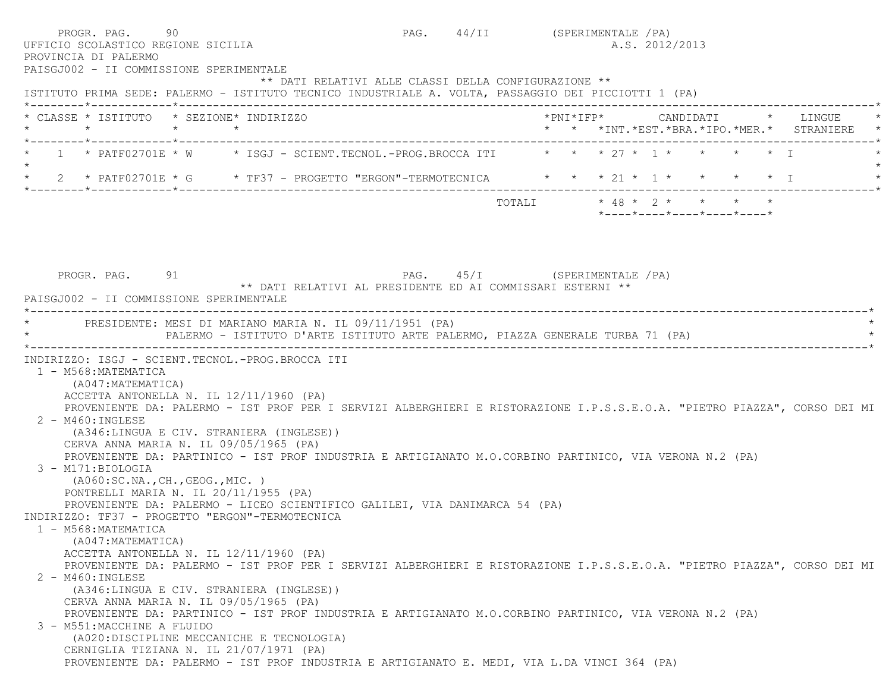| PROVINCIA DI PALERMO<br>PAISGJ002 - II COMMISSIONE SPERIMENTALE                     | PROGR. PAG. 90<br>UFFICIO SCOLASTICO REGIONE SICILIA                                                                                                                                                                                                                                                                                                                                                                                                                                                                                                                                | PAG. 44/II (SPERIMENTALE / PA) |  | A.S. 2012/2013                                   |  |                                                                               |
|-------------------------------------------------------------------------------------|-------------------------------------------------------------------------------------------------------------------------------------------------------------------------------------------------------------------------------------------------------------------------------------------------------------------------------------------------------------------------------------------------------------------------------------------------------------------------------------------------------------------------------------------------------------------------------------|--------------------------------|--|--------------------------------------------------|--|-------------------------------------------------------------------------------|
|                                                                                     | ** DATI RELATIVI ALLE CLASSI DELLA CONFIGURAZIONE **<br>ISTITUTO PRIMA SEDE: PALERMO - ISTITUTO TECNICO INDUSTRIALE A. VOLTA, PASSAGGIO DEI PICCIOTTI 1 (PA)                                                                                                                                                                                                                                                                                                                                                                                                                        |                                |  |                                                  |  |                                                                               |
| $\star$                                                                             | * CLASSE * ISTITUTO * SEZIONE* INDIRIZZO<br>$\star$ $\star$                                                                                                                                                                                                                                                                                                                                                                                                                                                                                                                         |                                |  |                                                  |  | *PNI*IFP* CANDIDATI * LINGUE<br>* * *INT. *EST. *BRA. *IPO. *MER. * STRANIERE |
|                                                                                     | 1 * PATF02701E * W * ISGJ - SCIENT.TECNOL.-PROG.BROCCA ITI * * * 27 * 1 * * * * * * T                                                                                                                                                                                                                                                                                                                                                                                                                                                                                               |                                |  |                                                  |  |                                                                               |
|                                                                                     | * 2 * PATF02701E * G * TF37 - PROGETTO "ERGON"-TERMOTECNICA * * * 21 * 1 * * * * * I                                                                                                                                                                                                                                                                                                                                                                                                                                                                                                |                                |  |                                                  |  |                                                                               |
|                                                                                     |                                                                                                                                                                                                                                                                                                                                                                                                                                                                                                                                                                                     |                                |  | $*$ ---- $*$ ---- $*$ ---- $*$ ---- $*$ ---- $*$ |  |                                                                               |
|                                                                                     |                                                                                                                                                                                                                                                                                                                                                                                                                                                                                                                                                                                     |                                |  |                                                  |  |                                                                               |
| PROGR. PAG. 91<br>PAISGJ002 - II COMMISSIONE SPERIMENTALE                           | ** DATI RELATIVI AL PRESIDENTE ED AI COMMISSARI ESTERNI **                                                                                                                                                                                                                                                                                                                                                                                                                                                                                                                          | PAG. 45/I (SPERIMENTALE / PA)  |  |                                                  |  |                                                                               |
|                                                                                     | PRESIDENTE: MESI DI MARIANO MARIA N. IL 09/11/1951 (PA)<br>PALERMO - ISTITUTO D'ARTE ISTITUTO ARTE PALERMO, PIAZZA GENERALE TURBA 71 (PA)                                                                                                                                                                                                                                                                                                                                                                                                                                           |                                |  |                                                  |  |                                                                               |
| 1 - M568: MATEMATICA<br>(A047:MATEMATICA)<br>2 - M460: INGLESE<br>3 - M171:BIOLOGIA | INDIRIZZO: ISGJ - SCIENT.TECNOL.-PROG.BROCCA ITI<br>ACCETTA ANTONELLA N. IL 12/11/1960 (PA)<br>PROVENIENTE DA: PALERMO - IST PROF PER I SERVIZI ALBERGHIERI E RISTORAZIONE I.P.S.S.E.O.A. "PIETRO PIAZZA", CORSO DEI MI<br>(A346:LINGUA E CIV. STRANIERA (INGLESE))<br>CERVA ANNA MARIA N. IL 09/05/1965 (PA)<br>PROVENIENTE DA: PARTINICO - IST PROF INDUSTRIA E ARTIGIANATO M.O.CORBINO PARTINICO, VIA VERONA N.2 (PA)<br>(AO60:SC.NA., CH., GEOG., MIC. )<br>PONTRELLI MARIA N. IL 20/11/1955 (PA)<br>PROVENIENTE DA: PALERMO - LICEO SCIENTIFICO GALILEI, VIA DANIMARCA 54 (PA) |                                |  |                                                  |  |                                                                               |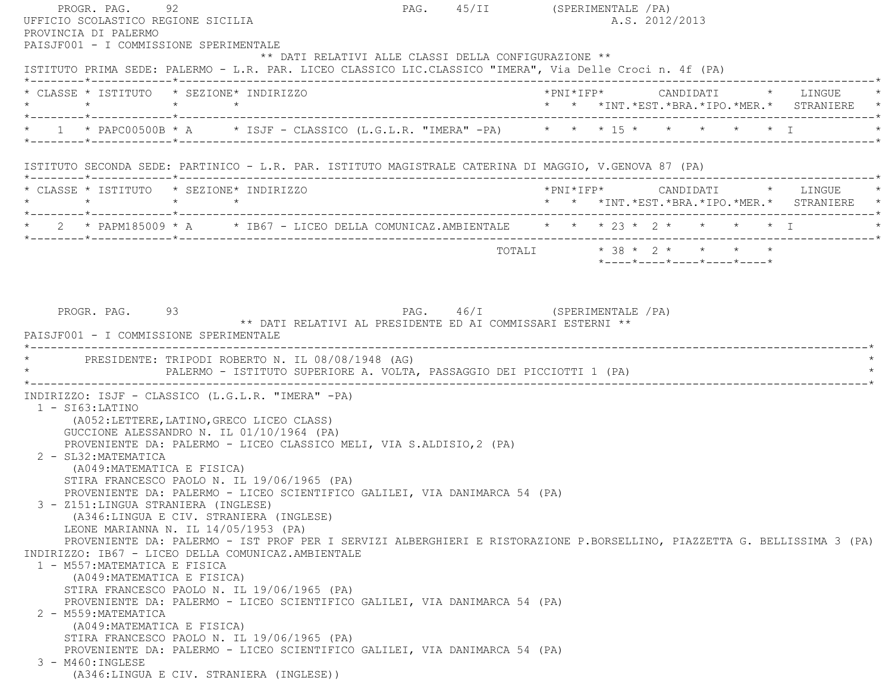PROGR. PAG. 92 92 PAG. 45/II (SPERIMENTALE /PA) UFFICIO SCOLASTICO REGIONE SICILIA A.S. 2012/2013 PROVINCIA DI PALERMO PAISJF001 - I COMMISSIONE SPERIMENTALE \*\* DATI RELATIVI ALLE CLASSI DELLA CONFIGURAZIONE \*\* ISTITUTO PRIMA SEDE: PALERMO - L.R. PAR. LICEO CLASSICO LIC.CLASSICO "IMERA", Via Delle Croci n. 4f (PA) \*--------\*------------\*-------------------------------------------------------------------------------------------------------\* \* CLASSE \* ISTITUTO \* SEZIONE\* INDIRIZZO \*PNI\*IFP\* CANDIDATI \* LINGUE \* \* \* \* \* \* \* \*INT.\*EST.\*BRA.\*IPO.\*MER.\* STRANIERE \* \*--------\*------------\*-------------------------------------------------------------------------------------------------------\*\* 1 \* PAPC00500B \* A \* ISJF - CLASSICO (L.G.L.R. "IMERA" -PA) \* \* \* \* 15 \* \* \* \* \* \* \* I \*--------\*------------\*-------------------------------------------------------------------------------------------------------\* ISTITUTO SECONDA SEDE: PARTINICO - L.R. PAR. ISTITUTO MAGISTRALE CATERINA DI MAGGIO, V.GENOVA 87 (PA) \*--------\*------------\*-------------------------------------------------------------------------------------------------------\* \* CLASSE \* ISTITUTO \* SEZIONE\* INDIRIZZO \*PNI\*IFP\* CANDIDATI \* LINGUE \* \* \* \* \* \* \* \*INT.\*EST.\*BRA.\*IPO.\*MER.\* STRANIERE \* \*--------\*------------\*-------------------------------------------------------------------------------------------------------\*2 \* PAPM185009 \* A \* IB67 - LICEO DELLA COMUNICAZ.AMBIENTALE \* \* \* 23 \* 2 \* \* \* \* \* \* T \*--------\*------------\*-------------------------------------------------------------------------------------------------------\*TOTALI \* 38 \* 2 \* \* \* \* \* \*----\*----\*----\*----\*----\*PROGR. PAG. 93 93 PAG. 46/I (SPERIMENTALE / PA) \*\* DATI RELATIVI AL PRESIDENTE ED AI COMMISSARI ESTERNI \*\* PAISJF001 - I COMMISSIONE SPERIMENTALE---------------------------------PRESIDENTE: TRIPODI ROBERTO N. IL 08/08/1948 (AG) \* PALERMO - ISTITUTO SUPERIORE A. VOLTA, PASSAGGIO DEI PICCIOTTI 1 (PA) \* \*----------------------------------------------------------------------------------------------------------------------------\* INDIRIZZO: ISJF - CLASSICO (L.G.L.R. "IMERA" -PA) 1 - SI63:LATINO (A052:LETTERE,LATINO,GRECO LICEO CLASS) GUCCIONE ALESSANDRO N. IL 01/10/1964 (PA) PROVENIENTE DA: PALERMO - LICEO CLASSICO MELI, VIA S.ALDISIO,2 (PA) 2 - SL32:MATEMATICA (A049:MATEMATICA E FISICA) STIRA FRANCESCO PAOLO N. IL 19/06/1965 (PA) PROVENIENTE DA: PALERMO - LICEO SCIENTIFICO GALILEI, VIA DANIMARCA 54 (PA) 3 - Z151:LINGUA STRANIERA (INGLESE) (A346:LINGUA E CIV. STRANIERA (INGLESE) LEONE MARIANNA N. IL 14/05/1953 (PA) PROVENIENTE DA: PALERMO - IST PROF PER I SERVIZI ALBERGHIERI E RISTORAZIONE P.BORSELLINO, PIAZZETTA G. BELLISSIMA 3 (PA) INDIRIZZO: IB67 - LICEO DELLA COMUNICAZ.AMBIENTALE 1 - M557:MATEMATICA E FISICA (A049:MATEMATICA E FISICA) STIRA FRANCESCO PAOLO N. IL 19/06/1965 (PA) PROVENIENTE DA: PALERMO - LICEO SCIENTIFICO GALILEI, VIA DANIMARCA 54 (PA) 2 - M559:MATEMATICA (A049:MATEMATICA E FISICA) STIRA FRANCESCO PAOLO N. IL 19/06/1965 (PA) PROVENIENTE DA: PALERMO - LICEO SCIENTIFICO GALILEI, VIA DANIMARCA 54 (PA) 3 - M460:INGLESE(A346:LINGUA E CIV. STRANIERA (INGLESE))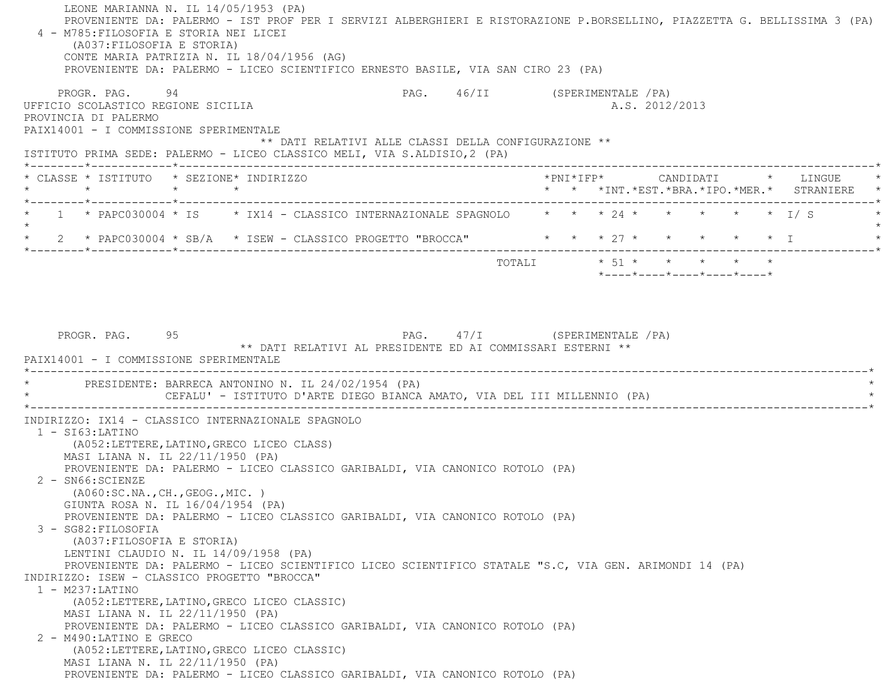LEONE MARIANNA N. IL 14/05/1953 (PA) PROVENIENTE DA: PALERMO - IST PROF PER I SERVIZI ALBERGHIERI E RISTORAZIONE P.BORSELLINO, PIAZZETTA G. BELLISSIMA 3 (PA) 4 - M785:FILOSOFIA E STORIA NEI LICEI (A037:FILOSOFIA E STORIA) CONTE MARIA PATRIZIA N. IL 18/04/1956 (AG) PROVENIENTE DA: PALERMO - LICEO SCIENTIFICO ERNESTO BASILE, VIA SAN CIRO 23 (PA) PROGR. PAG. 94 94 PAG. PAG. 46/II (SPERIMENTALE /PA) UFFICIO SCOLASTICO REGIONE SICILIA A.S. 2012/2013 PROVINCIA DI PALERMO PAIX14001 - I COMMISSIONE SPERIMENTALE \*\* DATI RELATIVI ALLE CLASSI DELLA CONFIGURAZIONE \*\* ISTITUTO PRIMA SEDE: PALERMO - LICEO CLASSICO MELI, VIA S.ALDISIO,2 (PA) \*--------\*------------\*-------------------------------------------------------------------------------------------------------\* \* CLASSE \* ISTITUTO \* SEZIONE\* INDIRIZZO \*PNI\*IFP\* CANDIDATI \* LINGUE \* \* \* \* \* \* \* \*INT.\*EST.\*BRA.\*IPO.\*MER.\* STRANIERE \* \*--------\*------------\*-------------------------------------------------------------------------------------------------------\*1 \* PAPC030004 \* IS \* IX14 - CLASSICO INTERNAZIONALE SPAGNOLO \* \* \* 24 \* \* \* \* \* \* \* \* I/ S  $\star$ 2 \* PAPC030004 \* SB/A \* ISEW - CLASSICO PROGETTO "BROCCA" \* \* \* \* 27 \* \* \* \* \* \* \* I \*--------\*------------\*-------------------------------------------------------------------------------------------------------\*TOTALI  $* 51 * * * * * * * * * *$  \*----\*----\*----\*----\*----\*PROGR. PAG. 95 95 PAG. 47/I (SPERIMENTALE /PA) \*\* DATI RELATIVI AL PRESIDENTE ED AI COMMISSARI ESTERNI \*\* PAIX14001 - I COMMISSIONE SPERIMENTALE \*----------------------------------------------------------------------------------------------------------------------------\*PRESIDENTE: BARRECA ANTONINO N. IL 24/02/1954 (PA) CEFALU' - ISTITUTO D'ARTE DIEGO BIANCA AMATO, VIA DEL III MILLENNIO (PA) \*----------------------------------------------------------------------------------------------------------------------------\* INDIRIZZO: IX14 - CLASSICO INTERNAZIONALE SPAGNOLO 1 - SI63:LATINO (A052:LETTERE,LATINO,GRECO LICEO CLASS) MASI LIANA N. IL 22/11/1950 (PA) PROVENIENTE DA: PALERMO - LICEO CLASSICO GARIBALDI, VIA CANONICO ROTOLO (PA) 2 - SN66:SCIENZE (A060:SC.NA.,CH.,GEOG.,MIC. ) GIUNTA ROSA N. IL 16/04/1954 (PA) PROVENIENTE DA: PALERMO - LICEO CLASSICO GARIBALDI, VIA CANONICO ROTOLO (PA) 3 - SG82:FILOSOFIA (A037:FILOSOFIA E STORIA) LENTINI CLAUDIO N. IL 14/09/1958 (PA) PROVENIENTE DA: PALERMO - LICEO SCIENTIFICO LICEO SCIENTIFICO STATALE "S.C, VIA GEN. ARIMONDI 14 (PA) INDIRIZZO: ISEW - CLASSICO PROGETTO "BROCCA" 1 - M237:LATINO (A052:LETTERE,LATINO,GRECO LICEO CLASSIC) MASI LIANA N. IL 22/11/1950 (PA) PROVENIENTE DA: PALERMO - LICEO CLASSICO GARIBALDI, VIA CANONICO ROTOLO (PA) 2 - M490:LATINO E GRECO (A052:LETTERE,LATINO,GRECO LICEO CLASSIC) MASI LIANA N. IL 22/11/1950 (PA) PROVENIENTE DA: PALERMO - LICEO CLASSICO GARIBALDI, VIA CANONICO ROTOLO (PA)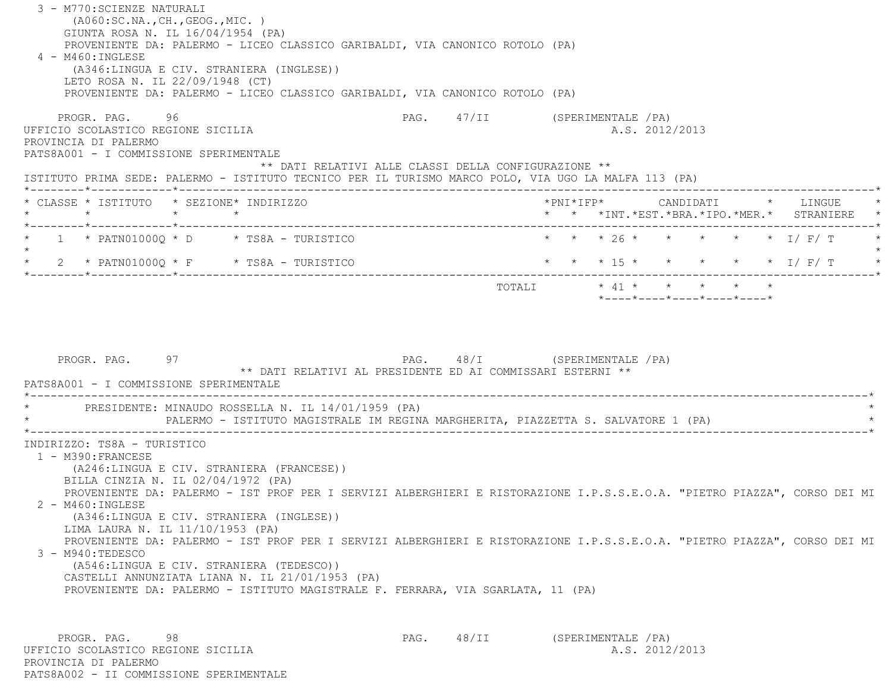3 - M770:SCIENZE NATURALI (A060:SC.NA.,CH.,GEOG.,MIC. ) GIUNTA ROSA N. IL 16/04/1954 (PA) PROVENIENTE DA: PALERMO - LICEO CLASSICO GARIBALDI, VIA CANONICO ROTOLO (PA) 4 - M460:INGLESE (A346:LINGUA E CIV. STRANIERA (INGLESE)) LETO ROSA N. IL 22/09/1948 (CT) PROVENIENTE DA: PALERMO - LICEO CLASSICO GARIBALDI, VIA CANONICO ROTOLO (PA) PROGR. PAG. 96 96 PAG. PAG. 47/II (SPERIMENTALE /PA) UFFICIO SCOLASTICO REGIONE SICILIA A.S. 2012/2013 PROVINCIA DI PALERMO PATS8A001 - I COMMISSIONE SPERIMENTALE \*\* DATI RELATIVI ALLE CLASSI DELLA CONFIGURAZIONE \*\* ISTITUTO PRIMA SEDE: PALERMO - ISTITUTO TECNICO PER IL TURISMO MARCO POLO, VIA UGO LA MALFA 113 (PA) \*--------\*------------\*-------------------------------------------------------------------------------------------------------\* \* CLASSE \* ISTITUTO \* SEZIONE\* INDIRIZZO \*PNI\*IFP\* CANDIDATI \* LINGUE \* \* \* \* \* \* \* \*INT.\*EST.\*BRA.\*IPO.\*MER.\* STRANIERE \* \*--------\*------------\*-------------------------------------------------------------------------------------------------------\* \* 1 \* PATN01000Q \* D \* TS8A - TURISTICO \* \* \* 26 \* \* \* \* \* I/ F/ T \*  $\star$ 2 \* PATN01000Q \* F \* TS8A - TURISTICO \* \* \* \* \* 15 \* \* \* \* \* \* \* \* \* I/ F/ T \* \* \*--------\*------------\*-------------------------------------------------------------------------------------------------------\* TOTALI \* 41 \* \* \* \* \* \*----\*----\*----\*----\*----\*PROGR. PAG. 97 97 PAG. 48/I (SPERIMENTALE / PA) \*\* DATI RELATIVI AL PRESIDENTE ED AI COMMISSARI ESTERNI \*\* PATS8A001 - I COMMISSIONE SPERIMENTALE \*----------------------------------------------------------------------------------------------------------------------------\*PRESIDENTE: MINAUDO ROSSELLA N. IL 14/01/1959 (PA) PALERMO - ISTITUTO MAGISTRALE IM REGINA MARGHERITA, PIAZZETTA S. SALVATORE 1 (PA) \*----------------------------------------------------------------------------------------------------------------------------\* INDIRIZZO: TS8A - TURISTICO 1 - M390:FRANCESE (A246:LINGUA E CIV. STRANIERA (FRANCESE)) BILLA CINZIA N. IL 02/04/1972 (PA) PROVENIENTE DA: PALERMO - IST PROF PER I SERVIZI ALBERGHIERI E RISTORAZIONE I.P.S.S.E.O.A. "PIETRO PIAZZA", CORSO DEI MI 2 - M460:INGLESE (A346:LINGUA E CIV. STRANIERA (INGLESE)) LIMA LAURA N. IL 11/10/1953 (PA) PROVENIENTE DA: PALERMO - IST PROF PER I SERVIZI ALBERGHIERI E RISTORAZIONE I.P.S.S.E.O.A. "PIETRO PIAZZA", CORSO DEI MI 3 - M940:TEDESCO (A546:LINGUA E CIV. STRANIERA (TEDESCO)) CASTELLI ANNUNZIATA LIANA N. IL 21/01/1953 (PA) PROVENIENTE DA: PALERMO - ISTITUTO MAGISTRALE F. FERRARA, VIA SGARLATA, 11 (PA) PROGR. PAG. 98 98 PAG. 48/II (SPERIMENTALE /PA) UFFICIO SCOLASTICO REGIONE SICILIA A.S. 2012/2013

PATS8A002 - II COMMISSIONE SPERIMENTALE

PROVINCIA DI PALERMO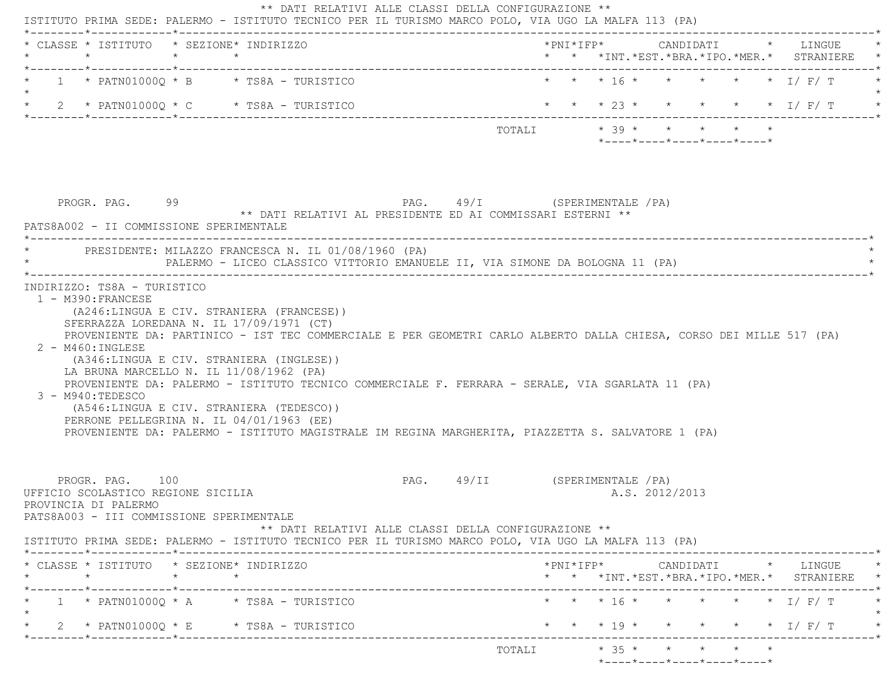| * * * 16 * * * * * * I/ F/ T<br>$1 * PATN01000Q * B * TS8A - TURISTICO$<br>* * * 23 * * * * * * I/ F/ T<br>$\star$ 2 $\star$ PATN01000Q $\star$ C $\star$ TS8A - TURISTICO<br>TOTALI $* 39 * * * * * * * *$<br>$*$ ---- $*$ ---- $*$ ---- $*$ ---- $*$<br>PAG. 49/I (SPERIMENTALE /PA)<br>PROGR. PAG. 99<br>** DATI RELATIVI AL PRESIDENTE ED AI COMMISSARI ESTERNI **<br>PATS8A002 - II COMMISSIONE SPERIMENTALE<br>PRESIDENTE: MILAZZO FRANCESCA N. IL 01/08/1960 (PA)<br>PALERMO - LICEO CLASSICO VITTORIO EMANUELE II, VIA SIMONE DA BOLOGNA 11 (PA)<br>INDIRIZZO: TS8A - TURISTICO<br>1 - M390: FRANCESE<br>(A246:LINGUA E CIV. STRANIERA (FRANCESE))<br>SFERRAZZA LOREDANA N. IL 17/09/1971 (CT)<br>PROVENIENTE DA: PARTINICO - IST TEC COMMERCIALE E PER GEOMETRI CARLO ALBERTO DALLA CHIESA, CORSO DEI MILLE 517 (PA)<br>$2 - M460$ : INGLESE<br>(A346:LINGUA E CIV. STRANIERA (INGLESE))<br>LA BRUNA MARCELLO N. IL 11/08/1962 (PA)<br>PROVENIENTE DA: PALERMO - ISTITUTO TECNICO COMMERCIALE F. FERRARA - SERALE, VIA SGARLATA 11 (PA)<br>$3 - M940:TEDESCO$<br>(A546:LINGUA E CIV. STRANIERA (TEDESCO))<br>PERRONE PELLEGRINA N. IL 04/01/1963 (EE)<br>PROVENIENTE DA: PALERMO - ISTITUTO MAGISTRALE IM REGINA MARGHERITA, PIAZZETTA S. SALVATORE 1 (PA)<br>PROGR. PAG. 100<br>PAG. 49/II (SPERIMENTALE / PA)<br>UFFICIO SCOLASTICO REGIONE SICILIA<br>A.S. 2012/2013<br>PROVINCIA DI PALERMO<br>PATS8A003 - III COMMISSIONE SPERIMENTALE<br>** DATI RELATIVI ALLE CLASSI DELLA CONFIGURAZIONE **<br>ISTITUTO PRIMA SEDE: PALERMO - ISTITUTO TECNICO PER IL TURISMO MARCO POLO, VIA UGO LA MALFA 113 (PA)<br>* CLASSE * ISTITUTO * SEZIONE* INDIRIZZO<br>$*$ PNI $*$ IFP $*$ CANDIDATI $*$ LINGUE $*$<br>$\star$ $\star$<br>$\star$<br>* * *INT.*EST.*BRA.*IPO.*MER.* STRANIERE *<br>* * * 16 * * * * * * 1/ F/ T<br>$1 * PATN01000Q * A * TSSA - TURISTICO$<br>* * * 19 * * * * * * I/ F/ T<br>2 * PATN01000 $Q$ * E * TS8A - TURISTICO | * CLASSE * ISTITUTO * SEZIONE* INDIRIZZO<br>$\star$ | $\star$ $\star$ |  |  |  |  |  | * * *INT.*EST.*BRA.*IPO.*MER.* STRANIERE |
|-----------------------------------------------------------------------------------------------------------------------------------------------------------------------------------------------------------------------------------------------------------------------------------------------------------------------------------------------------------------------------------------------------------------------------------------------------------------------------------------------------------------------------------------------------------------------------------------------------------------------------------------------------------------------------------------------------------------------------------------------------------------------------------------------------------------------------------------------------------------------------------------------------------------------------------------------------------------------------------------------------------------------------------------------------------------------------------------------------------------------------------------------------------------------------------------------------------------------------------------------------------------------------------------------------------------------------------------------------------------------------------------------------------------------------------------------------------------------------------------------------------------------------------------------------------------------------------------------------------------------------------------------------------------------------------------------------------------------------------------------------------------------------------------------------------------------------------------------------------------------------------------------------------------------------------------------------|-----------------------------------------------------|-----------------|--|--|--|--|--|------------------------------------------|
|                                                                                                                                                                                                                                                                                                                                                                                                                                                                                                                                                                                                                                                                                                                                                                                                                                                                                                                                                                                                                                                                                                                                                                                                                                                                                                                                                                                                                                                                                                                                                                                                                                                                                                                                                                                                                                                                                                                                                     |                                                     |                 |  |  |  |  |  |                                          |
|                                                                                                                                                                                                                                                                                                                                                                                                                                                                                                                                                                                                                                                                                                                                                                                                                                                                                                                                                                                                                                                                                                                                                                                                                                                                                                                                                                                                                                                                                                                                                                                                                                                                                                                                                                                                                                                                                                                                                     |                                                     |                 |  |  |  |  |  |                                          |
|                                                                                                                                                                                                                                                                                                                                                                                                                                                                                                                                                                                                                                                                                                                                                                                                                                                                                                                                                                                                                                                                                                                                                                                                                                                                                                                                                                                                                                                                                                                                                                                                                                                                                                                                                                                                                                                                                                                                                     |                                                     |                 |  |  |  |  |  |                                          |
|                                                                                                                                                                                                                                                                                                                                                                                                                                                                                                                                                                                                                                                                                                                                                                                                                                                                                                                                                                                                                                                                                                                                                                                                                                                                                                                                                                                                                                                                                                                                                                                                                                                                                                                                                                                                                                                                                                                                                     |                                                     |                 |  |  |  |  |  |                                          |
|                                                                                                                                                                                                                                                                                                                                                                                                                                                                                                                                                                                                                                                                                                                                                                                                                                                                                                                                                                                                                                                                                                                                                                                                                                                                                                                                                                                                                                                                                                                                                                                                                                                                                                                                                                                                                                                                                                                                                     |                                                     |                 |  |  |  |  |  |                                          |
|                                                                                                                                                                                                                                                                                                                                                                                                                                                                                                                                                                                                                                                                                                                                                                                                                                                                                                                                                                                                                                                                                                                                                                                                                                                                                                                                                                                                                                                                                                                                                                                                                                                                                                                                                                                                                                                                                                                                                     |                                                     |                 |  |  |  |  |  |                                          |
|                                                                                                                                                                                                                                                                                                                                                                                                                                                                                                                                                                                                                                                                                                                                                                                                                                                                                                                                                                                                                                                                                                                                                                                                                                                                                                                                                                                                                                                                                                                                                                                                                                                                                                                                                                                                                                                                                                                                                     |                                                     |                 |  |  |  |  |  |                                          |
|                                                                                                                                                                                                                                                                                                                                                                                                                                                                                                                                                                                                                                                                                                                                                                                                                                                                                                                                                                                                                                                                                                                                                                                                                                                                                                                                                                                                                                                                                                                                                                                                                                                                                                                                                                                                                                                                                                                                                     |                                                     |                 |  |  |  |  |  |                                          |
|                                                                                                                                                                                                                                                                                                                                                                                                                                                                                                                                                                                                                                                                                                                                                                                                                                                                                                                                                                                                                                                                                                                                                                                                                                                                                                                                                                                                                                                                                                                                                                                                                                                                                                                                                                                                                                                                                                                                                     |                                                     |                 |  |  |  |  |  |                                          |
|                                                                                                                                                                                                                                                                                                                                                                                                                                                                                                                                                                                                                                                                                                                                                                                                                                                                                                                                                                                                                                                                                                                                                                                                                                                                                                                                                                                                                                                                                                                                                                                                                                                                                                                                                                                                                                                                                                                                                     |                                                     |                 |  |  |  |  |  |                                          |
|                                                                                                                                                                                                                                                                                                                                                                                                                                                                                                                                                                                                                                                                                                                                                                                                                                                                                                                                                                                                                                                                                                                                                                                                                                                                                                                                                                                                                                                                                                                                                                                                                                                                                                                                                                                                                                                                                                                                                     |                                                     |                 |  |  |  |  |  |                                          |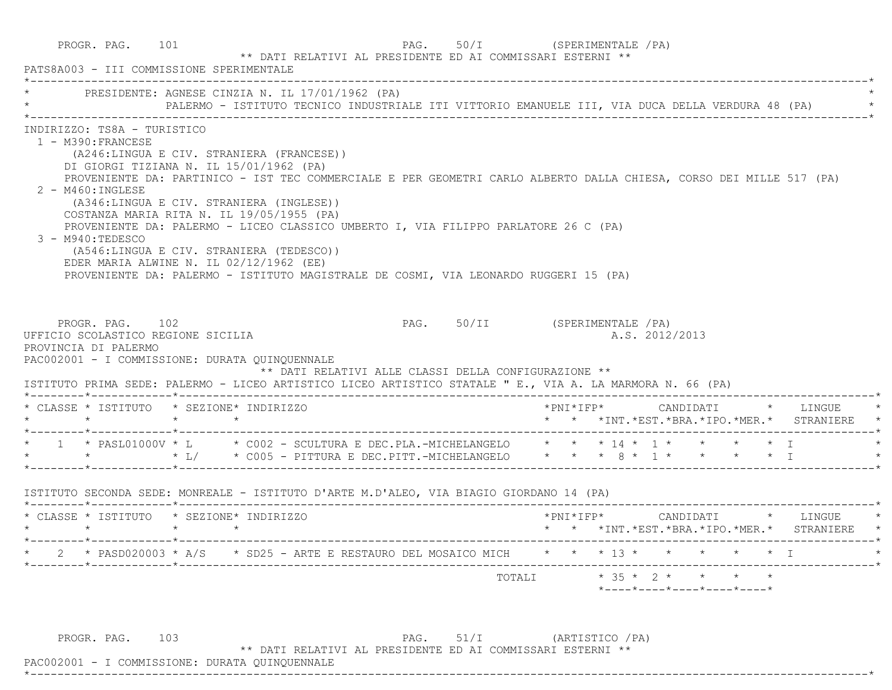|                                                               | PRESIDENTE: AGNESE CINZIA N. IL 17/01/1962 (PA)                                                                                                                                                                                                                                                                                                                                                                                                                                                                                                                                                           |  |  |                                                                                       |  |  |  |                |                        |  |                                                 |
|---------------------------------------------------------------|-----------------------------------------------------------------------------------------------------------------------------------------------------------------------------------------------------------------------------------------------------------------------------------------------------------------------------------------------------------------------------------------------------------------------------------------------------------------------------------------------------------------------------------------------------------------------------------------------------------|--|--|---------------------------------------------------------------------------------------|--|--|--|----------------|------------------------|--|-------------------------------------------------|
| 1 - M390: FRANCESE<br>$2 - M460: INGLESE$<br>3 - M940:TEDESCO | INDIRIZZO: TS8A - TURISTICO<br>(A246:LINGUA E CIV. STRANIERA (FRANCESE))<br>DI GIORGI TIZIANA N. IL 15/01/1962 (PA)<br>PROVENIENTE DA: PARTINICO - IST TEC COMMERCIALE E PER GEOMETRI CARLO ALBERTO DALLA CHIESA, CORSO DEI MILLE 517 (PA)<br>(A346:LINGUA E CIV. STRANIERA (INGLESE))<br>COSTANZA MARIA RITA N. IL 19/05/1955 (PA)<br>PROVENIENTE DA: PALERMO - LICEO CLASSICO UMBERTO I, VIA FILIPPO PARLATORE 26 C (PA)<br>(A546:LINGUA E CIV. STRANIERA (TEDESCO))<br>EDER MARIA ALWINE N. IL 02/12/1962 (EE)<br>PROVENIENTE DA: PALERMO - ISTITUTO MAGISTRALE DE COSMI, VIA LEONARDO RUGGERI 15 (PA) |  |  |                                                                                       |  |  |  |                |                        |  |                                                 |
| PROVINCIA DI PALERMO                                          | PROGR. PAG. 102<br>UFFICIO SCOLASTICO REGIONE SICILIA<br>PAC002001 - I COMMISSIONE: DURATA QUINQUENNALE                                                                                                                                                                                                                                                                                                                                                                                                                                                                                                   |  |  | PAG. 50/II (SPERIMENTALE /PA)<br>** DATI RELATIVI ALLE CLASSI DELLA CONFIGURAZIONE ** |  |  |  | A.S. 2012/2013 |                        |  |                                                 |
|                                                               | ISTITUTO PRIMA SEDE: PALERMO - LICEO ARTISTICO LICEO ARTISTICO STATALE " E., VIA A. LA MARMORA N. 66 (PA)<br>* CLASSE * ISTITUTO * SEZIONE* INDIRIZZO                                                                                                                                                                                                                                                                                                                                                                                                                                                     |  |  |                                                                                       |  |  |  |                |                        |  |                                                 |
|                                                               | * 1 * PASL01000V * L * C002 - SCULTURA E DEC.PLA.-MICHELANGELO * * * 14 * 1 * * * * * I<br>* * * * * L/ * C005 - PITTURA E DEC.PITT.-MICHELANGELO * * * 8 * 1 * * * * * I                                                                                                                                                                                                                                                                                                                                                                                                                                 |  |  |                                                                                       |  |  |  |                |                        |  | * * *INT.*EST.*BRA.*IPO.*MER.* STRANIERE *      |
|                                                               |                                                                                                                                                                                                                                                                                                                                                                                                                                                                                                                                                                                                           |  |  |                                                                                       |  |  |  |                |                        |  |                                                 |
|                                                               | * CLASSE * ISTITUTO * SEZIONE* INDIRIZZO                                                                                                                                                                                                                                                                                                                                                                                                                                                                                                                                                                  |  |  |                                                                                       |  |  |  |                |                        |  | * * *INT. *EST. *BRA. *IPO. *MER. * STRANIERE * |
|                                                               | * PASD020003 * A/S * SD25 - ARTE E RESTAURO DEL MOSAICO MICH                                                                                                                                                                                                                                                                                                                                                                                                                                                                                                                                              |  |  |                                                                                       |  |  |  |                | * * * 13 * * * * * * I |  |                                                 |

 PAC002001 - I COMMISSIONE: DURATA QUINQUENNALE \*----------------------------------------------------------------------------------------------------------------------------\*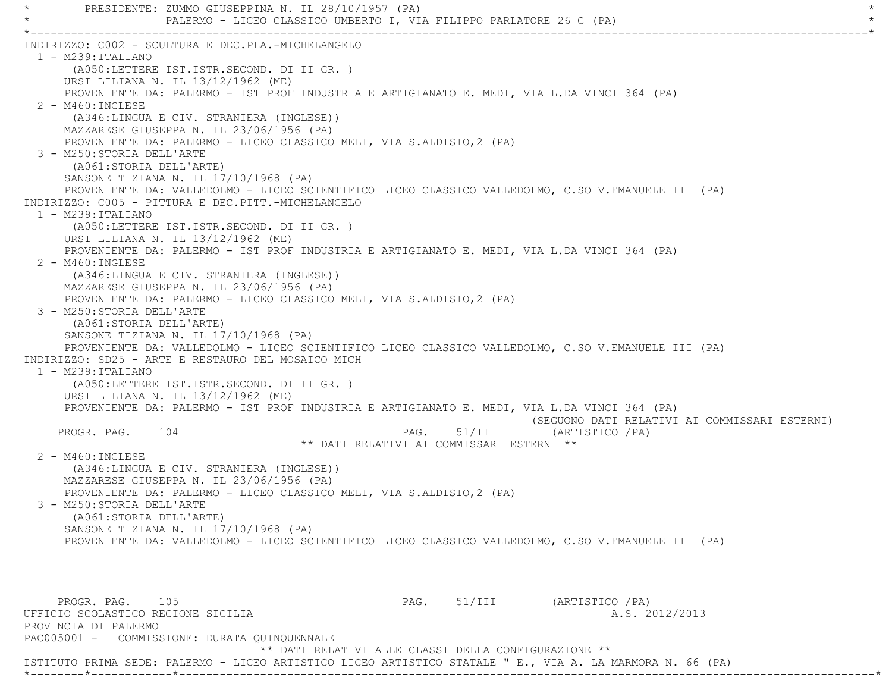PRESIDENTE: ZUMMO GIUSEPPINA N. IL 28/10/1957 (PA) PALERMO - LICEO CLASSICO UMBERTO I, VIA FILIPPO PARLATORE 26 C (PA) \*----------------------------------------------------------------------------------------------------------------------------\* INDIRIZZO: C002 - SCULTURA E DEC.PLA.-MICHELANGELO 1 - M239:ITALIANO (A050:LETTERE IST.ISTR.SECOND. DI II GR. ) URSI LILIANA N. IL 13/12/1962 (ME) PROVENIENTE DA: PALERMO - IST PROF INDUSTRIA E ARTIGIANATO E. MEDI, VIA L.DA VINCI 364 (PA) 2 - M460:INGLESE (A346:LINGUA E CIV. STRANIERA (INGLESE)) MAZZARESE GIUSEPPA N. IL 23/06/1956 (PA) PROVENIENTE DA: PALERMO - LICEO CLASSICO MELI, VIA S.ALDISIO,2 (PA) 3 - M250:STORIA DELL'ARTE (A061:STORIA DELL'ARTE) SANSONE TIZIANA N. IL 17/10/1968 (PA) PROVENIENTE DA: VALLEDOLMO - LICEO SCIENTIFICO LICEO CLASSICO VALLEDOLMO, C.SO V.EMANUELE III (PA) INDIRIZZO: C005 - PITTURA E DEC.PITT.-MICHELANGELO 1 - M239:ITALIANO (A050:LETTERE IST.ISTR.SECOND. DI II GR. ) URSI LILIANA N. IL 13/12/1962 (ME) PROVENIENTE DA: PALERMO - IST PROF INDUSTRIA E ARTIGIANATO E. MEDI, VIA L.DA VINCI 364 (PA) 2 - M460:INGLESE (A346:LINGUA E CIV. STRANIERA (INGLESE)) MAZZARESE GIUSEPPA N. IL 23/06/1956 (PA) PROVENIENTE DA: PALERMO - LICEO CLASSICO MELI, VIA S.ALDISIO,2 (PA) 3 - M250:STORIA DELL'ARTE (A061:STORIA DELL'ARTE) SANSONE TIZIANA N. IL 17/10/1968 (PA) PROVENIENTE DA: VALLEDOLMO - LICEO SCIENTIFICO LICEO CLASSICO VALLEDOLMO, C.SO V.EMANUELE III (PA) INDIRIZZO: SD25 - ARTE E RESTAURO DEL MOSAICO MICH 1 - M239:ITALIANO (A050:LETTERE IST.ISTR.SECOND. DI II GR. ) URSI LILIANA N. IL 13/12/1962 (ME) PROVENIENTE DA: PALERMO - IST PROF INDUSTRIA E ARTIGIANATO E. MEDI, VIA L.DA VINCI 364 (PA) (SEGUONO DATI RELATIVI AI COMMISSARI ESTERNI) PROGR. PAG. 104 PAG. 51/II (ARTISTICO /PA) \*\* DATI RELATIVI AI COMMISSARI ESTERNI \*\* 2 - M460:INGLESE (A346:LINGUA E CIV. STRANIERA (INGLESE)) MAZZARESE GIUSEPPA N. IL 23/06/1956 (PA) PROVENIENTE DA: PALERMO - LICEO CLASSICO MELI, VIA S.ALDISIO,2 (PA) 3 - M250:STORIA DELL'ARTE (A061:STORIA DELL'ARTE) SANSONE TIZIANA N. IL 17/10/1968 (PA) PROVENIENTE DA: VALLEDOLMO - LICEO SCIENTIFICO LICEO CLASSICO VALLEDOLMO, C.SO V.EMANUELE III (PA) PROGR. PAG. 105 PAG. S1/III (ARTISTICO /PA) UFFICIO SCOLASTICO REGIONE SICILIA A.S. 2012/2013 PROVINCIA DI PALERMO PAC005001 - I COMMISSIONE: DURATA QUINQUENNALE \*\* DATI RELATIVI ALLE CLASSI DELLA CONFIGURAZIONE \*\*

ISTITUTO PRIMA SEDE: PALERMO - LICEO ARTISTICO LICEO ARTISTICO STATALE " E., VIA A. LA MARMORA N. 66 (PA)

\*--------\*------------\*-------------------------------------------------------------------------------------------------------\*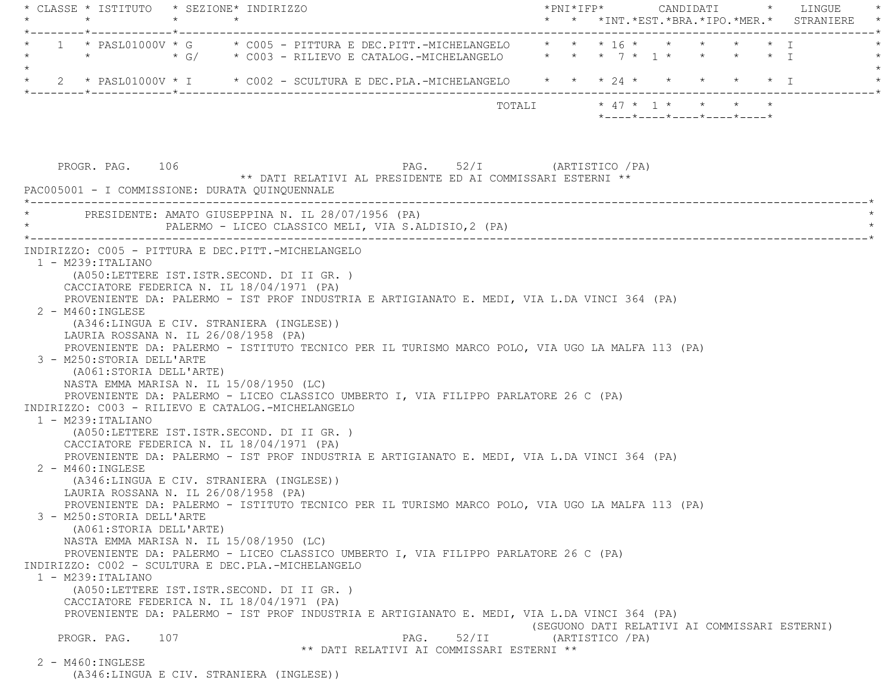|                   | * CLASSE * ISTITUTO * SEZIONE* INDIRIZZO                                                |  |                                                    |                                                                                                 |       |  |                  |  |                                                                 |  | $\text{\tt *PNI*IFP*} \qquad \qquad \text{CANDIDATI} \qquad \text{\tt *} \qquad \text{LINGUE} \qquad \text{\tt *}$<br>* * *INT.*EST.*BRA.*IPO.*MER.* STRANIERE * |
|-------------------|-----------------------------------------------------------------------------------------|--|----------------------------------------------------|-------------------------------------------------------------------------------------------------|-------|--|------------------|--|-----------------------------------------------------------------|--|------------------------------------------------------------------------------------------------------------------------------------------------------------------|
|                   | -------*------------*-------------                                                      |  |                                                    | 1 * PASL01000V * G * C005 - PITTURA E DEC.PITT.-MICHELANGELO * * * 16 * * * * * * * I           |       |  |                  |  |                                                                 |  |                                                                                                                                                                  |
|                   |                                                                                         |  |                                                    |                                                                                                 |       |  |                  |  |                                                                 |  |                                                                                                                                                                  |
|                   |                                                                                         |  |                                                    |                                                                                                 |       |  |                  |  |                                                                 |  |                                                                                                                                                                  |
|                   |                                                                                         |  |                                                    |                                                                                                 |       |  |                  |  | $*$ - - - - $*$ - - - - $*$ - - - - $*$ - - - - $*$ - - - - $*$ |  |                                                                                                                                                                  |
|                   | PROGR. PAG. 106                                                                         |  |                                                    | PAG. 52/I (ARTISTICO / PA)                                                                      |       |  |                  |  |                                                                 |  |                                                                                                                                                                  |
|                   | PAC005001 - I COMMISSIONE: DURATA QUINQUENNALE                                          |  |                                                    | ** DATI RELATIVI AL PRESIDENTE ED AI COMMISSARI ESTERNI **                                      |       |  |                  |  |                                                                 |  |                                                                                                                                                                  |
|                   |                                                                                         |  | PRESIDENTE: AMATO GIUSEPPINA N. IL 28/07/1956 (PA) | PALERMO - LICEO CLASSICO MELI, VIA S.ALDISIO, 2 (PA)                                            |       |  |                  |  |                                                                 |  |                                                                                                                                                                  |
|                   | INDIRIZZO: C005 - PITTURA E DEC.PITT.-MICHELANGELO                                      |  |                                                    |                                                                                                 |       |  |                  |  |                                                                 |  |                                                                                                                                                                  |
|                   | $1 - M239:ITALIANO$                                                                     |  |                                                    |                                                                                                 |       |  |                  |  |                                                                 |  |                                                                                                                                                                  |
|                   | (A050:LETTERE IST.ISTR.SECOND. DI II GR. )                                              |  |                                                    |                                                                                                 |       |  |                  |  |                                                                 |  |                                                                                                                                                                  |
|                   | CACCIATORE FEDERICA N. IL 18/04/1971 (PA)                                               |  |                                                    |                                                                                                 |       |  |                  |  |                                                                 |  |                                                                                                                                                                  |
|                   |                                                                                         |  |                                                    | PROVENIENTE DA: PALERMO - IST PROF INDUSTRIA E ARTIGIANATO E. MEDI, VIA L.DA VINCI 364 (PA)     |       |  |                  |  |                                                                 |  |                                                                                                                                                                  |
|                   | 2 - M460: INGLESE                                                                       |  |                                                    |                                                                                                 |       |  |                  |  |                                                                 |  |                                                                                                                                                                  |
|                   | (A346:LINGUA E CIV. STRANIERA (INGLESE))                                                |  |                                                    |                                                                                                 |       |  |                  |  |                                                                 |  |                                                                                                                                                                  |
|                   | LAURIA ROSSANA N. IL 26/08/1958 (PA)                                                    |  |                                                    |                                                                                                 |       |  |                  |  |                                                                 |  |                                                                                                                                                                  |
|                   |                                                                                         |  |                                                    | PROVENIENTE DA: PALERMO - ISTITUTO TECNICO PER IL TURISMO MARCO POLO, VIA UGO LA MALFA 113 (PA) |       |  |                  |  |                                                                 |  |                                                                                                                                                                  |
|                   | 3 - M250: STORIA DELL'ARTE                                                              |  |                                                    |                                                                                                 |       |  |                  |  |                                                                 |  |                                                                                                                                                                  |
|                   | (A061:STORIA DELL'ARTE)                                                                 |  |                                                    |                                                                                                 |       |  |                  |  |                                                                 |  |                                                                                                                                                                  |
|                   | NASTA EMMA MARISA N. IL 15/08/1950 (LC)                                                 |  |                                                    |                                                                                                 |       |  |                  |  |                                                                 |  |                                                                                                                                                                  |
|                   |                                                                                         |  |                                                    | PROVENIENTE DA: PALERMO - LICEO CLASSICO UMBERTO I, VIA FILIPPO PARLATORE 26 C (PA)             |       |  |                  |  |                                                                 |  |                                                                                                                                                                  |
|                   | INDIRIZZO: C003 - RILIEVO E CATALOG.-MICHELANGELO<br>$1 - M239:ITALIANO$                |  |                                                    |                                                                                                 |       |  |                  |  |                                                                 |  |                                                                                                                                                                  |
|                   | (A050:LETTERE IST.ISTR.SECOND. DI II GR. )                                              |  |                                                    |                                                                                                 |       |  |                  |  |                                                                 |  |                                                                                                                                                                  |
|                   | CACCIATORE FEDERICA N. IL 18/04/1971 (PA)                                               |  |                                                    |                                                                                                 |       |  |                  |  |                                                                 |  |                                                                                                                                                                  |
|                   |                                                                                         |  |                                                    | PROVENIENTE DA: PALERMO - IST PROF INDUSTRIA E ARTIGIANATO E. MEDI, VIA L.DA VINCI 364 (PA)     |       |  |                  |  |                                                                 |  |                                                                                                                                                                  |
|                   | 2 - M460: INGLESE                                                                       |  |                                                    |                                                                                                 |       |  |                  |  |                                                                 |  |                                                                                                                                                                  |
|                   | (A346:LINGUA E CIV. STRANIERA (INGLESE))                                                |  |                                                    |                                                                                                 |       |  |                  |  |                                                                 |  |                                                                                                                                                                  |
|                   | LAURIA ROSSANA N. IL 26/08/1958 (PA)                                                    |  |                                                    |                                                                                                 |       |  |                  |  |                                                                 |  |                                                                                                                                                                  |
|                   |                                                                                         |  |                                                    | PROVENIENTE DA: PALERMO - ISTITUTO TECNICO PER IL TURISMO MARCO POLO, VIA UGO LA MALFA 113 (PA) |       |  |                  |  |                                                                 |  |                                                                                                                                                                  |
|                   | 3 - M250:STORIA DELL'ARTE                                                               |  |                                                    |                                                                                                 |       |  |                  |  |                                                                 |  |                                                                                                                                                                  |
|                   | (A061:STORIA DELL'ARTE)                                                                 |  |                                                    |                                                                                                 |       |  |                  |  |                                                                 |  |                                                                                                                                                                  |
|                   | NASTA EMMA MARISA N. IL 15/08/1950 (LC)                                                 |  |                                                    |                                                                                                 |       |  |                  |  |                                                                 |  |                                                                                                                                                                  |
|                   |                                                                                         |  |                                                    | PROVENIENTE DA: PALERMO - LICEO CLASSICO UMBERTO I, VIA FILIPPO PARLATORE 26 C (PA)             |       |  |                  |  |                                                                 |  |                                                                                                                                                                  |
|                   | INDIRIZZO: C002 - SCULTURA E DEC.PLA.-MICHELANGELO                                      |  |                                                    |                                                                                                 |       |  |                  |  |                                                                 |  |                                                                                                                                                                  |
|                   | $1 - M239$ : ITALIANO                                                                   |  |                                                    |                                                                                                 |       |  |                  |  |                                                                 |  |                                                                                                                                                                  |
|                   | (A050:LETTERE IST.ISTR.SECOND. DI II GR. )<br>CACCIATORE FEDERICA N. IL 18/04/1971 (PA) |  |                                                    |                                                                                                 |       |  |                  |  |                                                                 |  |                                                                                                                                                                  |
|                   |                                                                                         |  |                                                    | PROVENIENTE DA: PALERMO - IST PROF INDUSTRIA E ARTIGIANATO E. MEDI, VIA L.DA VINCI 364 (PA)     |       |  |                  |  |                                                                 |  |                                                                                                                                                                  |
|                   |                                                                                         |  |                                                    |                                                                                                 |       |  |                  |  |                                                                 |  | (SEGUONO DATI RELATIVI AI COMMISSARI ESTERNI)                                                                                                                    |
|                   | PROGR. PAG.<br>107                                                                      |  |                                                    | PAG.                                                                                            | 52/II |  | (ARTISTICO / PA) |  |                                                                 |  |                                                                                                                                                                  |
|                   |                                                                                         |  |                                                    | ** DATI RELATIVI AI COMMISSARI ESTERNI **                                                       |       |  |                  |  |                                                                 |  |                                                                                                                                                                  |
| 2 - M460: INGLESE |                                                                                         |  |                                                    |                                                                                                 |       |  |                  |  |                                                                 |  |                                                                                                                                                                  |
|                   | (A346:LINGUA E CIV. STRANIERA (INGLESE))                                                |  |                                                    |                                                                                                 |       |  |                  |  |                                                                 |  |                                                                                                                                                                  |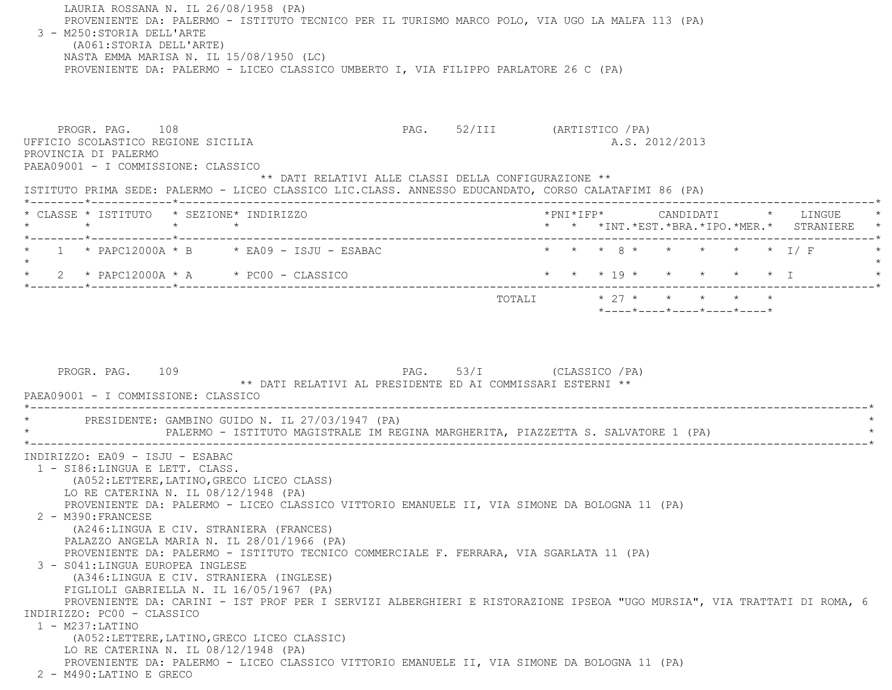LAURIA ROSSANA N. IL 26/08/1958 (PA) PROVENIENTE DA: PALERMO - ISTITUTO TECNICO PER IL TURISMO MARCO POLO, VIA UGO LA MALFA 113 (PA) 3 - M250:STORIA DELL'ARTE (A061:STORIA DELL'ARTE) NASTA EMMA MARISA N. IL 15/08/1950 (LC) PROVENIENTE DA: PALERMO - LICEO CLASSICO UMBERTO I, VIA FILIPPO PARLATORE 26 C (PA) PROGR. PAG. 108 PAG. 52/III (ARTISTICO /PA) UFFICIO SCOLASTICO REGIONE SICILIA A.S. 2012/2013 PROVINCIA DI PALERMO PAEA09001 - I COMMISSIONE: CLASSICO \*\* DATI RELATIVI ALLE CLASSI DELLA CONFIGURAZIONE \*\* ISTITUTO PRIMA SEDE: PALERMO - LICEO CLASSICO LIC.CLASS. ANNESSO EDUCANDATO, CORSO CALATAFIMI 86 (PA) \*--------\*------------\*-------------------------------------------------------------------------------------------------------\* \* CLASSE \* ISTITUTO \* SEZIONE\* INDIRIZZO \*PNI\*IFP\* CANDIDATI \* LINGUE \* \* \* \* \* \* \* \*INT.\*EST.\*BRA.\*IPO.\*MER.\* STRANIERE \* \*--------\*------------\*-------------------------------------------------------------------------------------------------------\*1 \* PAPC12000A \* B \* EA09 - ISJU - ESABAC \* \* \* \* \* 8 \* \* \* \* \* \* \* 1/ F  $\star$ \* 2 \* PAPC12000A \* A \* PC00 - CLASSICO \* \* \* \* 19 \* \* \* \* \* \* \* \* I \*--------\*------------\*-------------------------------------------------------------------------------------------------------\*TOTALI  $* 27 * * * * * * * * * *$  \*----\*----\*----\*----\*----\*PROGR. PAG. 109 PAG. 53/I (CLASSICO /PA) \*\* DATI RELATIVI AL PRESIDENTE ED AI COMMISSARI ESTERNI \*\* PAEA09001 - I COMMISSIONE: CLASSICO -----------------------------PRESIDENTE: GAMBINO GUIDO N. IL 27/03/1947 (PA) PALERMO - ISTITUTO MAGISTRALE IM REGINA MARGHERITA, PIAZZETTA S. SALVATORE 1 (PA) \*----------------------------------------------------------------------------------------------------------------------------\* INDIRIZZO: EA09 - ISJU - ESABAC 1 - SI86:LINGUA E LETT. CLASS. (A052:LETTERE,LATINO,GRECO LICEO CLASS) LO RE CATERINA N. IL 08/12/1948 (PA) PROVENIENTE DA: PALERMO - LICEO CLASSICO VITTORIO EMANUELE II, VIA SIMONE DA BOLOGNA 11 (PA) 2 - M390:FRANCESE (A246:LINGUA E CIV. STRANIERA (FRANCES) PALAZZO ANGELA MARIA N. IL 28/01/1966 (PA) PROVENIENTE DA: PALERMO - ISTITUTO TECNICO COMMERCIALE F. FERRARA, VIA SGARLATA 11 (PA) 3 - S041:LINGUA EUROPEA INGLESE (A346:LINGUA E CIV. STRANIERA (INGLESE) FIGLIOLI GABRIELLA N. IL 16/05/1967 (PA) PROVENIENTE DA: CARINI - IST PROF PER I SERVIZI ALBERGHIERI E RISTORAZIONE IPSEOA "UGO MURSIA", VIA TRATTATI DI ROMA, 6 INDIRIZZO: PC00 - CLASSICO 1 - M237:LATINO (A052:LETTERE,LATINO,GRECO LICEO CLASSIC) LO RE CATERINA N. IL 08/12/1948 (PA) PROVENIENTE DA: PALERMO - LICEO CLASSICO VITTORIO EMANUELE II, VIA SIMONE DA BOLOGNA 11 (PA)

2 - M490:LATINO E GRECO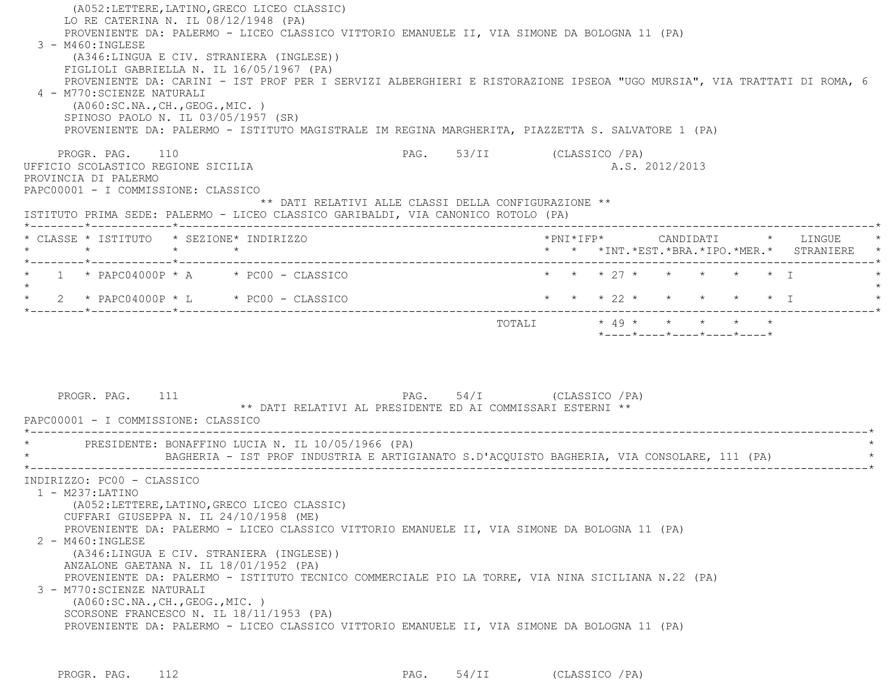(A052:LETTERE,LATINO,GRECO LICEO CLASSIC) LO RE CATERINA N. IL 08/12/1948 (PA) PROVENIENTE DA: PALERMO - LICEO CLASSICO VITTORIO EMANUELE II, VIA SIMONE DA BOLOGNA 11 (PA) 3 - M460:INGLESE (A346:LINGUA E CIV. STRANIERA (INGLESE)) FIGLIOLI GABRIELLA N. IL 16/05/1967 (PA) PROVENIENTE DA: CARINI - IST PROF PER I SERVIZI ALBERGHIERI E RISTORAZIONE IPSEOA "UGO MURSIA", VIA TRATTATI DI ROMA, 6 4 - M770:SCIENZE NATURALI (A060:SC.NA.,CH.,GEOG.,MIC. ) SPINOSO PAOLO N. IL 03/05/1957 (SR) PROVENIENTE DA: PALERMO - ISTITUTO MAGISTRALE IM REGINA MARGHERITA, PIAZZETTA S. SALVATORE 1 (PA) PROGR. PAG. 110 **PAG.** 53/II (CLASSICO /PA) UFFICIO SCOLASTICO REGIONE SICILIA A.S. 2012/2013 PROVINCIA DI PALERMO PAPC00001 - I COMMISSIONE: CLASSICO \*\* DATI RELATIVI ALLE CLASSI DELLA CONFIGURAZIONE \*\* ISTITUTO PRIMA SEDE: PALERMO - LICEO CLASSICO GARIBALDI, VIA CANONICO ROTOLO (PA) \*--------\*------------\*-------------------------------------------------------------------------------------------------------\* \* CLASSE \* ISTITUTO \* SEZIONE\* INDIRIZZO \*PNI\*IFP\* CANDIDATI \* LINGUE \* \* \* \* \* \* \* \*INT.\*EST.\*BRA.\*IPO.\*MER.\* STRANIERE \* \*--------\*------------\*-------------------------------------------------------------------------------------------------------\*1 \* PAPC04000P \* A \* PC00 - CLASSICO \* \* \* \* \* 27 \* \* \* \* \* \* \* \* I  $\star$ \* 2 \* PAPC04000P \* L \* PC00 - CLASSICO \* \* \* \* 22 \* \* \* \* \* \* \* I \*--------\*------------\*-------------------------------------------------------------------------------------------------------\* $\text{TOTAT}$ .  $\text{+}$  49 \* \* \* \* \* \* \*----\*----\*----\*----\*----\*PROGR. PAG. 111 **PAG.** 54/I (CLASSICO /PA) \*\* DATI RELATIVI AL PRESIDENTE ED AI COMMISSARI ESTERNI \*\* PAPC00001 - I COMMISSIONE: CLASSICO \*----------------------------------------------------------------------------------------------------------------------------\*PRESIDENTE: BONAFFINO LUCIA N. IL 10/05/1966 (PA) BAGHERIA - IST PROF INDUSTRIA E ARTIGIANATO S.D'ACOUISTO BAGHERIA, VIA CONSOLARE, 111 (PA) \*----------------------------------------------------------------------------------------------------------------------------\* INDIRIZZO: PC00 - CLASSICO 1 - M237:LATINO (A052:LETTERE,LATINO,GRECO LICEO CLASSIC) CUFFARI GIUSEPPA N. IL 24/10/1958 (ME) PROVENIENTE DA: PALERMO - LICEO CLASSICO VITTORIO EMANUELE II, VIA SIMONE DA BOLOGNA 11 (PA) 2 - M460:INGLESE (A346:LINGUA E CIV. STRANIERA (INGLESE)) ANZALONE GAETANA N. IL 18/01/1952 (PA) PROVENIENTE DA: PALERMO - ISTITUTO TECNICO COMMERCIALE PIO LA TORRE, VIA NINA SICILIANA N.22 (PA) 3 - M770:SCIENZE NATURALI (A060:SC.NA.,CH.,GEOG.,MIC. ) SCORSONE FRANCESCO N. IL 18/11/1953 (PA) PROVENIENTE DA: PALERMO - LICEO CLASSICO VITTORIO EMANUELE II, VIA SIMONE DA BOLOGNA 11 (PA)

PROGR. PAG. 112 **PAG.** 54/II (CLASSICO /PA)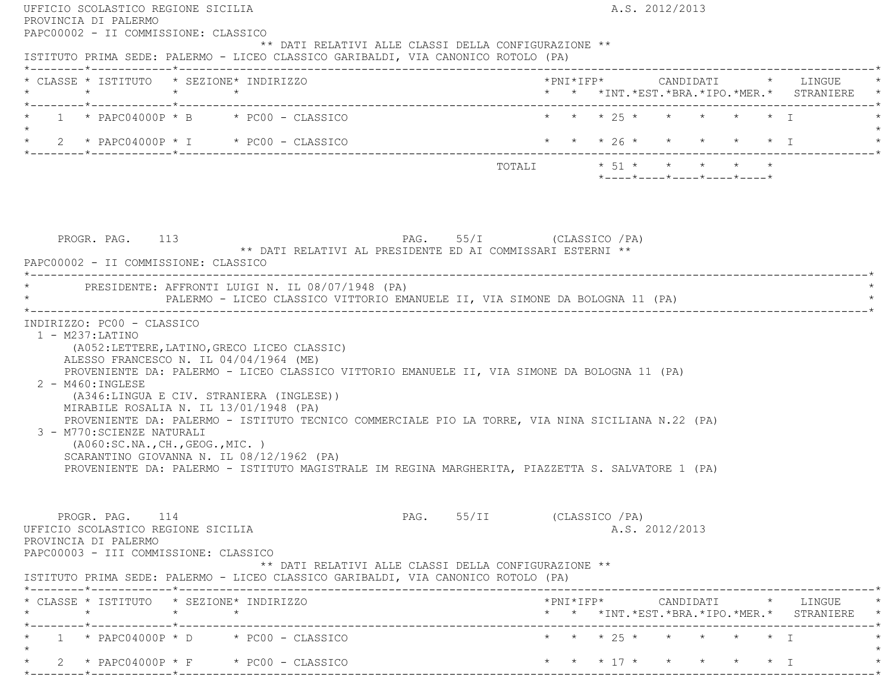| PAPC00002 - II COMMISSIONE: CLASSICO                                                                                                                                                                                                                                                                                                                                                                                                                                                                                                |                                                                                                 |
|-------------------------------------------------------------------------------------------------------------------------------------------------------------------------------------------------------------------------------------------------------------------------------------------------------------------------------------------------------------------------------------------------------------------------------------------------------------------------------------------------------------------------------------|-------------------------------------------------------------------------------------------------|
| ** DATI RELATIVI ALLE CLASSI DELLA CONFIGURAZIONE **<br>ISTITUTO PRIMA SEDE: PALERMO - LICEO CLASSICO GARIBALDI, VIA CANONICO ROTOLO (PA)                                                                                                                                                                                                                                                                                                                                                                                           |                                                                                                 |
| * CLASSE * ISTITUTO * SEZIONE* INDIRIZZO                                                                                                                                                                                                                                                                                                                                                                                                                                                                                            | * * *INT. *EST. *BRA. *IPO. *MER. * STRANIERE *                                                 |
| $*$ 1 $*$ PAPC04000P $*$ B $*$ PC00 - CLASSICO<br>$\star$                                                                                                                                                                                                                                                                                                                                                                                                                                                                           | * * * 25 * * * * * * I                                                                          |
| * 2 * PAPC04000P * I * PC00 - CLASSICO                                                                                                                                                                                                                                                                                                                                                                                                                                                                                              | * * * 26 * * * * * * I                                                                          |
|                                                                                                                                                                                                                                                                                                                                                                                                                                                                                                                                     | $*$ ---- $*$ ---- $*$ ---- $*$ ---- $*$ ---- $*$                                                |
| PROGR. PAG. 113 PAG. 55/I (CLASSICO / PA)<br>** DATI RELATIVI AL PRESIDENTE ED AI COMMISSARI ESTERNI **<br>PAPC00002 - II COMMISSIONE: CLASSICO                                                                                                                                                                                                                                                                                                                                                                                     |                                                                                                 |
| * PRESIDENTE: AFFRONTI LUIGI N. IL 08/07/1948 (PA)<br>PALERMO - LICEO CLASSICO VITTORIO EMANUELE II, VIA SIMONE DA BOLOGNA 11 (PA)                                                                                                                                                                                                                                                                                                                                                                                                  |                                                                                                 |
| $1 - M237: LATINO$<br>(A052:LETTERE, LATINO, GRECO LICEO CLASSIC)<br>ALESSO FRANCESCO N. IL 04/04/1964 (ME)                                                                                                                                                                                                                                                                                                                                                                                                                         |                                                                                                 |
| PROVENIENTE DA: PALERMO - LICEO CLASSICO VITTORIO EMANUELE II, VIA SIMONE DA BOLOGNA 11 (PA)<br>$2 - M460$ : INGLESE<br>(A346:LINGUA E CIV. STRANIERA (INGLESE))<br>MIRABILE ROSALIA N. IL 13/01/1948 (PA)<br>PROVENIENTE DA: PALERMO - ISTITUTO TECNICO COMMERCIALE PIO LA TORRE, VIA NINA SICILIANA N.22 (PA)<br>3 - M770: SCIENZE NATURALI<br>(AO60:SC.NA., CH., GEOG., MIC. )<br>SCARANTINO GIOVANNA N. IL 08/12/1962 (PA)<br>PROVENIENTE DA: PALERMO - ISTITUTO MAGISTRALE IM REGINA MARGHERITA, PIAZZETTA S. SALVATORE 1 (PA) |                                                                                                 |
| PROGR. PAG. 114<br>UFFICIO SCOLASTICO REGIONE SICILIA<br>PROVINCIA DI PALERMO<br>PAPC00003 - III COMMISSIONE: CLASSICO<br>** DATI RELATIVI ALLE CLASSI DELLA CONFIGURAZIONE **                                                                                                                                                                                                                                                                                                                                                      | PAG. 55/II (CLASSICO / PA)<br>A.S. 2012/2013                                                    |
|                                                                                                                                                                                                                                                                                                                                                                                                                                                                                                                                     |                                                                                                 |
|                                                                                                                                                                                                                                                                                                                                                                                                                                                                                                                                     | $*$ PNI $*$ IFP $*$ CANDIDATI $*$ LINGUE $*$<br>* * *INT. *EST. *BRA. *IPO. *MER. * STRANIERE * |
| ISTITUTO PRIMA SEDE: PALERMO - LICEO CLASSICO GARIBALDI, VIA CANONICO ROTOLO (PA)<br>* CLASSE * ISTITUTO * SEZIONE* INDIRIZZO<br>$1 * PAPCO4000P * D * PC00 - CLASSICO$                                                                                                                                                                                                                                                                                                                                                             | * * * 25 * * * * * * I                                                                          |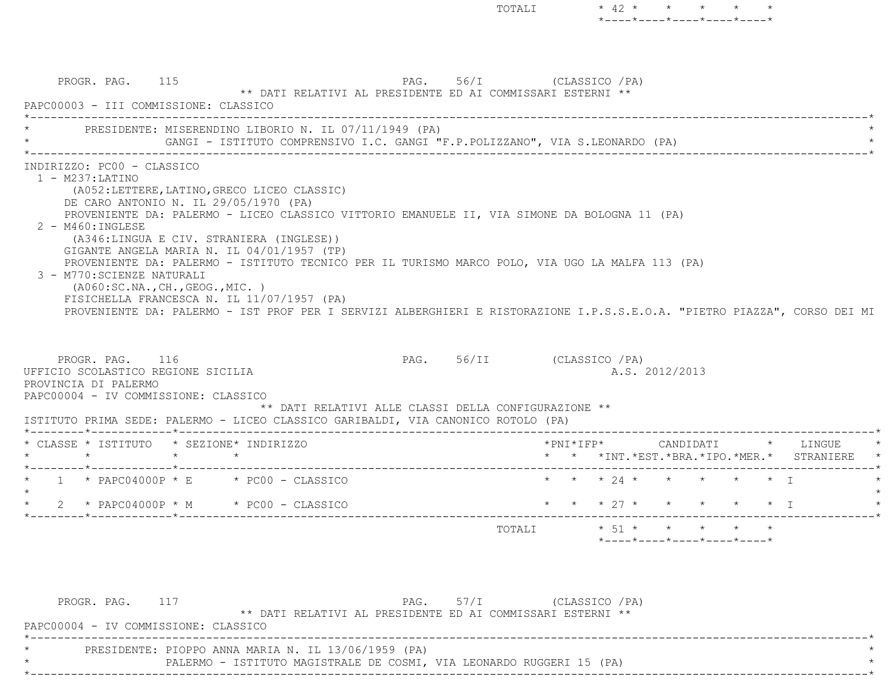PROGR. PAG. 115 PAG. 56/I (CLASSICO /PA) \*\* DATI RELATIVI AL PRESIDENTE ED AI COMMISSARI ESTERNI \*\* PAPC00003 - III COMMISSIONE: CLASSICO \*----------------------------------------------------------------------------------------------------------------------------\*PRESIDENTE: MISERENDINO LIBORIO N. IL 07/11/1949 (PA) GANGI - ISTITUTO COMPRENSIVO I.C. GANGI "F.P.POLIZZANO", VIA S.LEONARDO (PA) \*----------------------------------------------------------------------------------------------------------------------------\* INDIRIZZO: PC00 - CLASSICO 1 - M237:LATINO (A052:LETTERE,LATINO,GRECO LICEO CLASSIC) DE CARO ANTONIO N. IL 29/05/1970 (PA) PROVENIENTE DA: PALERMO - LICEO CLASSICO VITTORIO EMANUELE II, VIA SIMONE DA BOLOGNA 11 (PA) 2 - M460:INGLESE (A346:LINGUA E CIV. STRANIERA (INGLESE)) GIGANTE ANGELA MARIA N. IL 04/01/1957 (TP) PROVENIENTE DA: PALERMO - ISTITUTO TECNICO PER IL TURISMO MARCO POLO, VIA UGO LA MALFA 113 (PA) 3 - M770:SCIENZE NATURALI (A060:SC.NA.,CH.,GEOG.,MIC. ) FISICHELLA FRANCESCA N. IL 11/07/1957 (PA) PROVENIENTE DA: PALERMO - IST PROF PER I SERVIZI ALBERGHIERI E RISTORAZIONE I.P.S.S.E.O.A. "PIETRO PIAZZA", CORSO DEI MI PROGR. PAG. 116 PAG. 56/II (CLASSICO /PA) UFFICIO SCOLASTICO REGIONE SICILIA A.S. 2012/2013 PROVINCIA DI PALERMO PAPC00004 - IV COMMISSIONE: CLASSICO \*\* DATI RELATIVI ALLE CLASSI DELLA CONFIGURAZIONE \*\* ISTITUTO PRIMA SEDE: PALERMO - LICEO CLASSICO GARIBALDI, VIA CANONICO ROTOLO (PA) \*--------\*------------\*-------------------------------------------------------------------------------------------------------\* \* CLASSE \* ISTITUTO \* SEZIONE\* INDIRIZZO \*PNI\*IFP\* CANDIDATI \* LINGUE \* \* \* \* \* \* \* \*INT.\*EST.\*BRA.\*IPO.\*MER.\* STRANIERE \* \*--------\*------------\*-------------------------------------------------------------------------------------------------------\*\* 1 \* PAPC04000P \* E \* PC00 - CLASSICO \* \* \* \* 24 \* \* \* \* \* \* \* \* I  $\star$  \* 2 \* PAPC04000P \* M \* PC00 - CLASSICO \* \* \* 27 \* \* \* \* \* I \* \*--------\*------------\*-------------------------------------------------------------------------------------------------------\*TOTALI  $* 51 * * * * * * * * *$ \*----\*----\*----\*----\*----\*

TOTALI  $* 42 * * * * * * * * *$ 

\*----\*----\*----\*----\*----\*

| PROGR. PAG.                          |                                                                      |                                                            | $PAG.$ 57/I | (CLASSICO / PA) |  |  |
|--------------------------------------|----------------------------------------------------------------------|------------------------------------------------------------|-------------|-----------------|--|--|
|                                      |                                                                      | ** DATI RELATIVI AL PRESIDENTE ED AI COMMISSARI ESTERNI ** |             |                 |  |  |
| PAPC00004 - IV COMMISSIONE: CLASSICO |                                                                      |                                                            |             |                 |  |  |
|                                      |                                                                      |                                                            |             |                 |  |  |
|                                      | PRESIDENTE: PIOPPO ANNA MARIA N. IL 13/06/1959 (PA)                  |                                                            |             |                 |  |  |
|                                      | PALERMO - ISTITUTO MAGISTRALE DE COSMI, VIA LEONARDO RUGGERI 15 (PA) |                                                            |             |                 |  |  |
|                                      |                                                                      |                                                            |             |                 |  |  |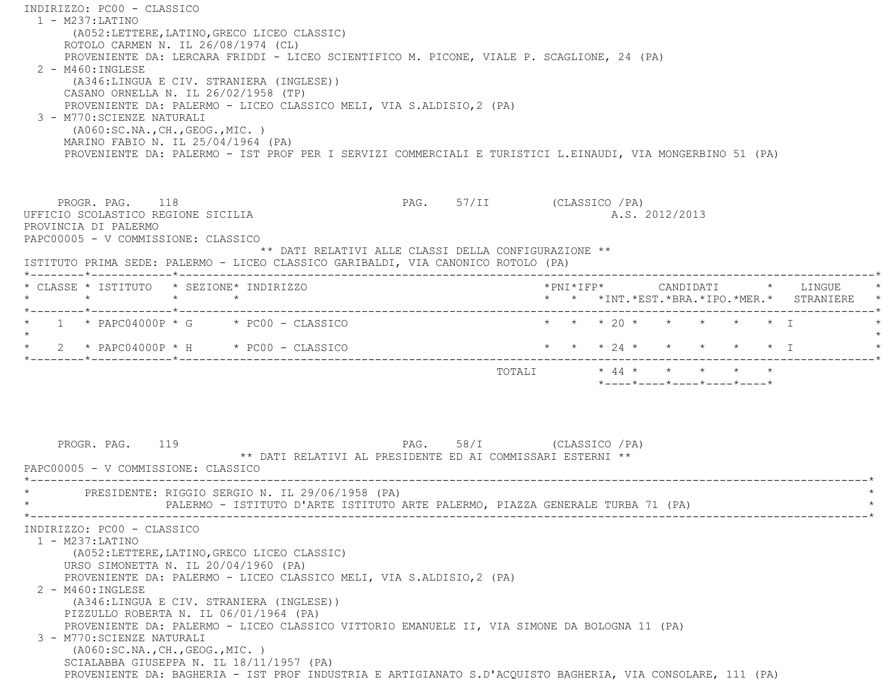INDIRIZZO: PC00 - CLASSICO 1 - M237:LATINO (A052:LETTERE,LATINO,GRECO LICEO CLASSIC) ROTOLO CARMEN N. IL 26/08/1974 (CL) PROVENIENTE DA: LERCARA FRIDDI - LICEO SCIENTIFICO M. PICONE, VIALE P. SCAGLIONE, 24 (PA) 2 - M460:INGLESE (A346:LINGUA E CIV. STRANIERA (INGLESE)) CASANO ORNELLA N. IL 26/02/1958 (TP) PROVENIENTE DA: PALERMO - LICEO CLASSICO MELI, VIA S.ALDISIO,2 (PA) 3 - M770:SCIENZE NATURALI (A060:SC.NA.,CH.,GEOG.,MIC. ) MARINO FABIO N. IL 25/04/1964 (PA) PROVENIENTE DA: PALERMO - IST PROF PER I SERVIZI COMMERCIALI E TURISTICI L.EINAUDI, VIA MONGERBINO 51 (PA) PROGR. PAG. 118 PAG. 57/II (CLASSICO /PA) UFFICIO SCOLASTICO REGIONE SICILIA A.S. 2012/2013 PROVINCIA DI PALERMO PAPC00005 - V COMMISSIONE: CLASSICO \*\* DATI RELATIVI ALLE CLASSI DELLA CONFIGURAZIONE \*\* ISTITUTO PRIMA SEDE: PALERMO - LICEO CLASSICO GARIBALDI, VIA CANONICO ROTOLO (PA) \*--------\*------------\*-------------------------------------------------------------------------------------------------------\* \* CLASSE \* ISTITUTO \* SEZIONE\* INDIRIZZO \*PNI\*IFP\* CANDIDATI \* LINGUE \* \* \* \* \* \* \* \*INT.\*EST.\*BRA.\*IPO.\*MER.\* STRANIERE \* \*--------\*------------\*-------------------------------------------------------------------------------------------------------\*1 \* PAPC04000P \* G \* PC00 - CLASSICO \* \* \* \* 20 \* \* \* \* \* \* \* I  $\star$ \* 2 \* PAPC04000P \* H \* PC00 - CLASSICO \* \* \* \* 24 \* \* \* \* \* \* \* T \*--------\*------------\*-------------------------------------------------------------------------------------------------------\* TOTALI \* 44 \* \* \* \* \* \*----\*----\*----\*----\*----\*PROGR. PAG. 119 **PAG.** 58/I (CLASSICO /PA) \*\* DATI RELATIVI AL PRESIDENTE ED AI COMMISSARI ESTERNI \*\* PAPC00005 - V COMMISSIONE: CLASSICO \*----------------------------------------------------------------------------------------------------------------------------\*PRESIDENTE: RIGGIO SERGIO N. IL 29/06/1958 (PA) PALERMO - ISTITUTO D'ARTE ISTITUTO ARTE PALERMO, PIAZZA GENERALE TURBA 71 (PA) \*----------------------------------------------------------------------------------------------------------------------------\* INDIRIZZO: PC00 - CLASSICO 1 - M237:LATINO (A052:LETTERE,LATINO,GRECO LICEO CLASSIC) URSO SIMONETTA N. IL 20/04/1960 (PA) PROVENIENTE DA: PALERMO - LICEO CLASSICO MELI, VIA S.ALDISIO,2 (PA) 2 - M460:INGLESE (A346:LINGUA E CIV. STRANIERA (INGLESE)) PIZZULLO ROBERTA N. IL 06/01/1964 (PA) PROVENIENTE DA: PALERMO - LICEO CLASSICO VITTORIO EMANUELE II, VIA SIMONE DA BOLOGNA 11 (PA) 3 - M770:SCIENZE NATURALI (A060:SC.NA.,CH.,GEOG.,MIC. ) SCIALABBA GIUSEPPA N. IL 18/11/1957 (PA) PROVENIENTE DA: BAGHERIA - IST PROF INDUSTRIA E ARTIGIANATO S.D'ACQUISTO BAGHERIA, VIA CONSOLARE, 111 (PA)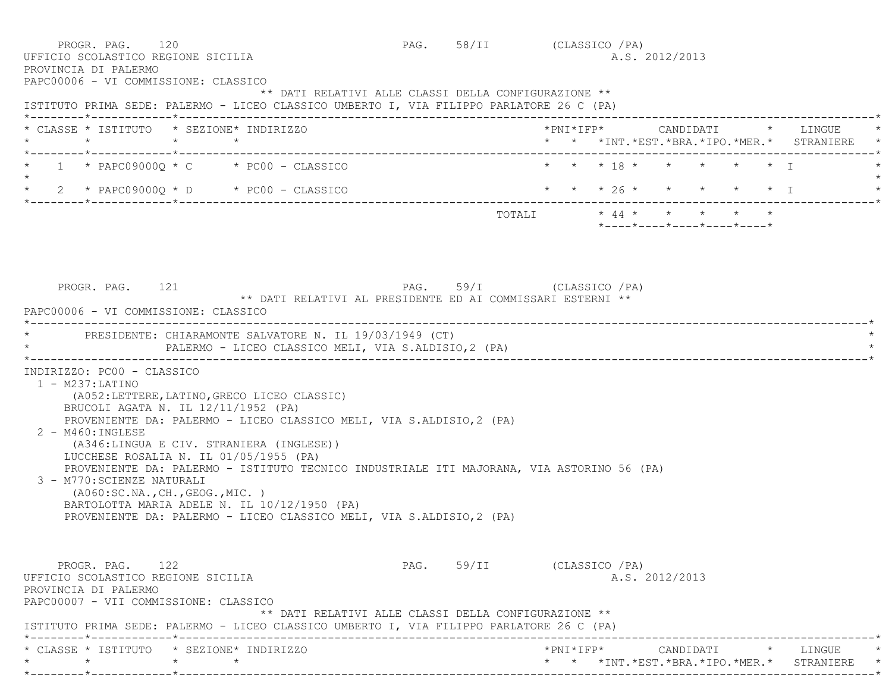PROGR. PAG. 120 PAG. 58/II (CLASSICO /PA) UFFICIO SCOLASTICO REGIONE SICILIA A.S. 2012/2013 PROVINCIA DI PALERMO PAPC00006 - VI COMMISSIONE: CLASSICO \*\* DATI RELATIVI ALLE CLASSI DELLA CONFIGURAZIONE \*\* ISTITUTO PRIMA SEDE: PALERMO - LICEO CLASSICO UMBERTO I, VIA FILIPPO PARLATORE 26 C (PA) \*--------\*------------\*-------------------------------------------------------------------------------------------------------\* \* CLASSE \* ISTITUTO \* SEZIONE\* INDIRIZZO \*PNI\*IFP\* CANDIDATI \* LINGUE \* \* \* \* \* \* \* \*INT.\*EST.\*BRA.\*IPO.\*MER.\* STRANIERE \* \*--------\*------------\*-------------------------------------------------------------------------------------------------------\* \* 1 \* PAPC09000Q \* C \* PC00 - CLASSICO \* \* \* 18 \* \* \* \* \* I \*  $\star$  \* 2 \* PAPC09000Q \* D \* PC00 - CLASSICO \* \* \* 26 \* \* \* \* \* I \* \*--------\*------------\*-------------------------------------------------------------------------------------------------------\* ${\tt TOTALI} \qquad \qquad * \quad 44 \; * \qquad * \qquad * \qquad * \qquad *$  \*----\*----\*----\*----\*----\* PROGR. PAG. 121 PAG. 59/I (CLASSICO /PA) \*\* DATI RELATIVI AL PRESIDENTE ED AI COMMISSARI ESTERNI \*\* PAPC00006 - VI COMMISSIONE: CLASSICO \*----------------------------------------------------------------------------------------------------------------------------\*PRESIDENTE: CHIARAMONTE SALVATORE N. IL 19/03/1949 (CT) PALERMO - LICEO CLASSICO MELI, VIA S.ALDISIO,2 (PA) \*----------------------------------------------------------------------------------------------------------------------------\* INDIRIZZO: PC00 - CLASSICO 1 - M237:LATINO (A052:LETTERE,LATINO,GRECO LICEO CLASSIC) BRUCOLI AGATA N. IL 12/11/1952 (PA) PROVENIENTE DA: PALERMO - LICEO CLASSICO MELI, VIA S.ALDISIO,2 (PA) 2 - M460:INGLESE (A346:LINGUA E CIV. STRANIERA (INGLESE)) LUCCHESE ROSALIA N. IL 01/05/1955 (PA) PROVENIENTE DA: PALERMO - ISTITUTO TECNICO INDUSTRIALE ITI MAJORANA, VIA ASTORINO 56 (PA) 3 - M770:SCIENZE NATURALI (A060:SC.NA.,CH.,GEOG.,MIC. ) BARTOLOTTA MARIA ADELE N. IL 10/12/1950 (PA) PROVENIENTE DA: PALERMO - LICEO CLASSICO MELI, VIA S.ALDISIO,2 (PA) PROGR. PAG. 122 PAG. 59/II (CLASSICO /PA) UFFICIO SCOLASTICO REGIONE SICILIA A.S. 2012/2013 PROVINCIA DI PALERMO PAPC00007 - VII COMMISSIONE: CLASSICO \*\* DATI RELATIVI ALLE CLASSI DELLA CONFIGURAZIONE \*\* ISTITUTO PRIMA SEDE: PALERMO - LICEO CLASSICO UMBERTO I, VIA FILIPPO PARLATORE 26 C (PA) \*--------\*------------\*-------------------------------------------------------------------------------------------------------\* \* CLASSE \* ISTITUTO \* SEZIONE\* INDIRIZZO \*PNI\*IFP\* CANDIDATI \* LINGUE \* \* \* \* \* \* \* \*INT.\*EST.\*BRA.\*IPO.\*MER.\* STRANIERE \*\*--------\*------------\*-------------------------------------------------------------------------------------------------------\*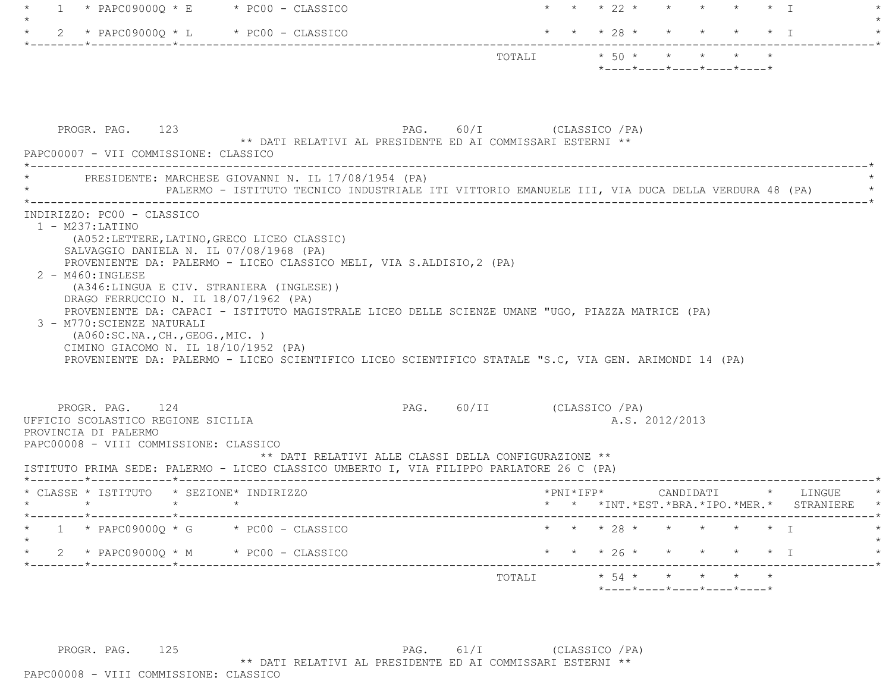| $1 \quad$                                                                                                                                                                                                                                                       | $*$ PAPC09000Q $*$ E $*$ PC00 - CLASSICO                                                                                                                                                                                                                                          |                            |                     |                | * * 22 * * * * * * I                                                                                          |                           |                                          |
|-----------------------------------------------------------------------------------------------------------------------------------------------------------------------------------------------------------------------------------------------------------------|-----------------------------------------------------------------------------------------------------------------------------------------------------------------------------------------------------------------------------------------------------------------------------------|----------------------------|---------------------|----------------|---------------------------------------------------------------------------------------------------------------|---------------------------|------------------------------------------|
| 2 * PAPC09000Q * L * PC00 - CLASSICO                                                                                                                                                                                                                            |                                                                                                                                                                                                                                                                                   |                            |                     | * * * $28$ * * |                                                                                                               | $\star$ $\star$ $\star$ T |                                          |
|                                                                                                                                                                                                                                                                 |                                                                                                                                                                                                                                                                                   |                            |                     |                | TOTALI $* 50 * * * * *$<br>$*$ ---- $*$ ---- $*$ ---- $*$ ---- $*$                                            |                           |                                          |
| PROGR. PAG. 123<br>PAPC00007 - VII COMMISSIONE: CLASSICO                                                                                                                                                                                                        | ** DATI RELATIVI AL PRESIDENTE ED AI COMMISSARI ESTERNI **                                                                                                                                                                                                                        | PAG. 60/I (CLASSICO / PA)  |                     |                |                                                                                                               |                           |                                          |
|                                                                                                                                                                                                                                                                 | PRESIDENTE: MARCHESE GIOVANNI N. IL 17/08/1954 (PA)<br>PALERMO - ISTITUTO TECNICO INDUSTRIALE ITI VITTORIO EMANUELE III, VIA DUCA DELLA VERDURA 48 (PA)                                                                                                                           |                            |                     |                |                                                                                                               |                           |                                          |
| SALVAGGIO DANIELA N. IL 07/08/1968 (PA)<br>$2 - M460$ : INGLESE<br>(A346:LINGUA E CIV. STRANIERA (INGLESE))<br>DRAGO FERRUCCIO N. IL 18/07/1962 (PA)<br>3 - M770: SCIENZE NATURALI<br>( A060:SC.NA., CH., GEOG., MIC. )<br>CIMINO GIACOMO N. IL 18/10/1952 (PA) | PROVENIENTE DA: PALERMO - LICEO CLASSICO MELI, VIA S.ALDISIO, 2 (PA)<br>PROVENIENTE DA: CAPACI - ISTITUTO MAGISTRALE LICEO DELLE SCIENZE UMANE "UGO, PIAZZA MATRICE (PA)<br>PROVENIENTE DA: PALERMO - LICEO SCIENTIFICO LICEO SCIENTIFICO STATALE "S.C, VIA GEN. ARIMONDI 14 (PA) |                            |                     |                |                                                                                                               |                           |                                          |
| PROGR. PAG. 124<br>UFFICIO SCOLASTICO REGIONE SICILIA<br>PROVINCIA DI PALERMO<br>PAPC00008 - VIII COMMISSIONE: CLASSICO                                                                                                                                         | ** DATI RELATIVI ALLE CLASSI DELLA CONFIGURAZIONE **<br>ISTITUTO PRIMA SEDE: PALERMO - LICEO CLASSICO UMBERTO I, VIA FILIPPO PARLATORE 26 C (PA)                                                                                                                                  | PAG. 60/II (CLASSICO / PA) |                     |                | A.S. 2012/2013                                                                                                |                           |                                          |
| * CLASSE * ISTITUTO * SEZIONE* INDIRIZZO<br>$\star$ $\star$<br>$\star$                                                                                                                                                                                          |                                                                                                                                                                                                                                                                                   |                            | $*$ PNI $*$ IFP $*$ |                | CANDIDATI * LINGUE                                                                                            |                           | * * *INT.*EST.*BRA.*IPO.*MER.* STRANIERE |
| $1 * PAPCO9000Q * G * PO00 - CLASSICO$                                                                                                                                                                                                                          |                                                                                                                                                                                                                                                                                   |                            |                     |                | * * 28 * * * * * * I                                                                                          |                           |                                          |
| 2 * PAPC09000Q * M * PC00 - CLASSICO                                                                                                                                                                                                                            |                                                                                                                                                                                                                                                                                   |                            |                     |                | * * * 26 * * * * * * I                                                                                        |                           |                                          |
|                                                                                                                                                                                                                                                                 |                                                                                                                                                                                                                                                                                   |                            | TOTALI              |                | $\star$ 54 $\star$ $\star$ $\star$ $\star$<br>$*$ - - - - $*$ - - - - $*$ - - - - $*$ - - - - $*$ - - - - $*$ |                           |                                          |

PROGR. PAG. 125 PAG. 61/I (CLASSICO /PA) \*\* DATI RELATIVI AL PRESIDENTE ED AI COMMISSARI ESTERNI \*\*

PAPC00008 - VIII COMMISSIONE: CLASSICO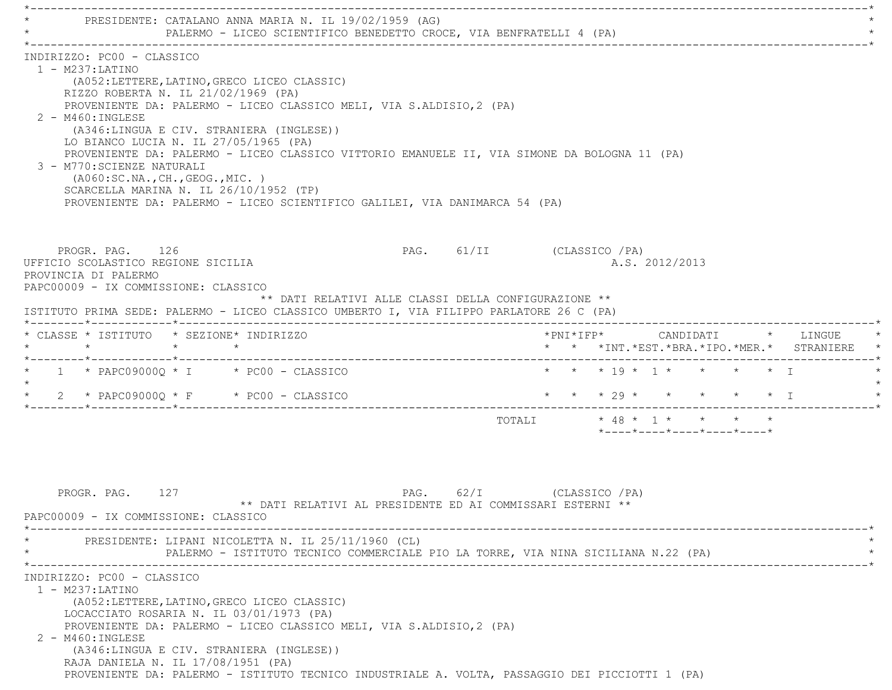PRESIDENTE: CATALANO ANNA MARIA N. IL 19/02/1959 (AG) PALERMO - LICEO SCIENTIFICO BENEDETTO CROCE, VIA BENFRATELLI 4 (PA) \*----------------------------------------------------------------------------------------------------------------------------\* INDIRIZZO: PC00 - CLASSICO 1 - M237:LATINO (A052:LETTERE,LATINO,GRECO LICEO CLASSIC) RIZZO ROBERTA N. IL 21/02/1969 (PA) PROVENIENTE DA: PALERMO - LICEO CLASSICO MELI, VIA S.ALDISIO,2 (PA) 2 - M460:INGLESE (A346:LINGUA E CIV. STRANIERA (INGLESE)) LO BIANCO LUCIA N. IL 27/05/1965 (PA) PROVENIENTE DA: PALERMO - LICEO CLASSICO VITTORIO EMANUELE II, VIA SIMONE DA BOLOGNA 11 (PA) 3 - M770:SCIENZE NATURALI (A060:SC.NA.,CH.,GEOG.,MIC. ) SCARCELLA MARINA N. IL 26/10/1952 (TP) PROVENIENTE DA: PALERMO - LICEO SCIENTIFICO GALILEI, VIA DANIMARCA 54 (PA) PROGR. PAG. 126 PAG. PAG. 61/II (CLASSICO /PA) UFFICIO SCOLASTICO REGIONE SICILIA A.S. 2012/2013 PROVINCIA DI PALERMO PAPC00009 - IX COMMISSIONE: CLASSICO \*\* DATI RELATIVI ALLE CLASSI DELLA CONFIGURAZIONE \*\* ISTITUTO PRIMA SEDE: PALERMO - LICEO CLASSICO UMBERTO I, VIA FILIPPO PARLATORE 26 C (PA) \*--------\*------------\*-------------------------------------------------------------------------------------------------------\* \* CLASSE \* ISTITUTO \* SEZIONE\* INDIRIZZO \*PNI\*IFP\* CANDIDATI \* LINGUE \* \* \* \* \* \* \* \*INT.\*EST.\*BRA.\*IPO.\*MER.\* STRANIERE \* \*--------\*------------\*-------------------------------------------------------------------------------------------------------\* \* 1 \* PAPC09000Q \* I \* PC00 - CLASSICO \* \* \* 19 \* 1 \* \* \* \* I \*  $\star$ 2 \* PAPC09000Q \* F \* PC00 - CLASSICO \* \* \* \* \* 29 \* \* \* \* \* \* \* \* I \*--------\*------------\*-------------------------------------------------------------------------------------------------------\*TOTALI  $\star$  48 \* 1 \* \* \* \* \*----\*----\*----\*----\*----\*PROGR. PAG. 127 CLASSICO / PAG. 62/I (CLASSICO / PA) \*\* DATI RELATIVI AL PRESIDENTE ED AI COMMISSARI ESTERNI \*\* PAPC00009 - IX COMMISSIONE: CLASSICO \*----------------------------------------------------------------------------------------------------------------------------\*PRESIDENTE: LIPANI NICOLETTA N. IL 25/11/1960 (CL) PALERMO - ISTITUTO TECNICO COMMERCIALE PIO LA TORRE, VIA NINA SICILIANA N.22 (PA) \*----------------------------------------------------------------------------------------------------------------------------\* INDIRIZZO: PC00 - CLASSICO 1 - M237:LATINO (A052:LETTERE,LATINO,GRECO LICEO CLASSIC) LOCACCIATO ROSARIA N. IL 03/01/1973 (PA) PROVENIENTE DA: PALERMO - LICEO CLASSICO MELI, VIA S.ALDISIO,2 (PA) 2 - M460:INGLESE (A346:LINGUA E CIV. STRANIERA (INGLESE)) RAJA DANIELA N. IL 17/08/1951 (PA) PROVENIENTE DA: PALERMO - ISTITUTO TECNICO INDUSTRIALE A. VOLTA, PASSAGGIO DEI PICCIOTTI 1 (PA)

 $\mathcal{L}^{\mathcal{L}}$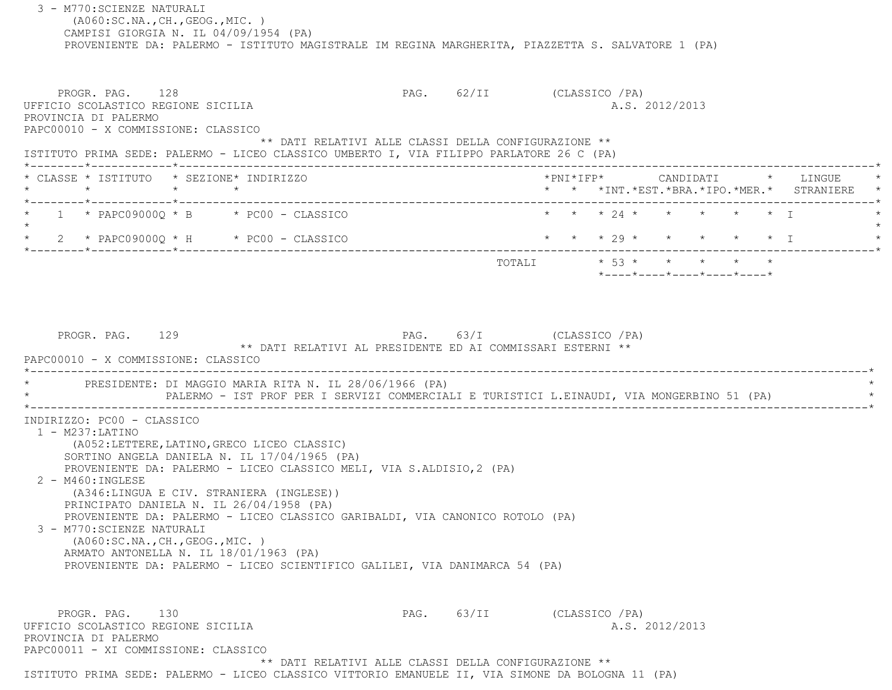3 - M770:SCIENZE NATURALI (A060:SC.NA.,CH.,GEOG.,MIC. ) CAMPISI GIORGIA N. IL 04/09/1954 (PA) PROVENIENTE DA: PALERMO - ISTITUTO MAGISTRALE IM REGINA MARGHERITA, PIAZZETTA S. SALVATORE 1 (PA) PROGR. PAG. 128 PAG. 62/II (CLASSICO /PA) UFFICIO SCOLASTICO REGIONE SICILIA A.S. 2012/2013 PROVINCIA DI PALERMO PAPC00010 - X COMMISSIONE: CLASSICO \*\* DATI RELATIVI ALLE CLASSI DELLA CONFIGURAZIONE \*\* ISTITUTO PRIMA SEDE: PALERMO - LICEO CLASSICO UMBERTO I, VIA FILIPPO PARLATORE 26 C (PA) \*--------\*------------\*-------------------------------------------------------------------------------------------------------\* \* CLASSE \* ISTITUTO \* SEZIONE\* INDIRIZZO \*PNI\*IFP\* CANDIDATI \* LINGUE \* \* \* \* \* \* \* \*INT.\*EST.\*BRA.\*IPO.\*MER.\* STRANIERE \* \*--------\*------------\*-------------------------------------------------------------------------------------------------------\*1 \* PAPC09000Q \* B \* PC00 - CLASSICO \* \* \* \* \* 24 \* \* \* \* \* \* \* \* \* I  $\star$ 2 \* PAPC09000Q \* H \* PC00 - CLASSICO \* \* \* \* \* 29 \* \* \* \* \* \* \* \* I \*--------\*------------\*-------------------------------------------------------------------------------------------------------\*TOTALI  $* 53 * * * * * * * * * *$  \*----\*----\*----\*----\*----\*PROGR. PAG. 129 PAG. 63/I (CLASSICO /PA) \*\* DATI RELATIVI AL PRESIDENTE ED AI COMMISSARI ESTERNI \*\* PAPC00010 - X COMMISSIONE: CLASSICO.------------------------------PRESIDENTE: DI MAGGIO MARIA RITA N. IL 28/06/1966 (PA) PALERMO - IST PROF PER I SERVIZI COMMERCIALI E TURISTICI L.EINAUDI, VIA MONGERBINO 51 (PA) \*----------------------------------------------------------------------------------------------------------------------------\* INDIRIZZO: PC00 - CLASSICO 1 - M237:LATINO (A052:LETTERE,LATINO,GRECO LICEO CLASSIC) SORTINO ANGELA DANIELA N. IL 17/04/1965 (PA) PROVENIENTE DA: PALERMO - LICEO CLASSICO MELI, VIA S.ALDISIO,2 (PA) 2 - M460:INGLESE (A346:LINGUA E CIV. STRANIERA (INGLESE)) PRINCIPATO DANIELA N. IL 26/04/1958 (PA) PROVENIENTE DA: PALERMO - LICEO CLASSICO GARIBALDI, VIA CANONICO ROTOLO (PA) 3 - M770:SCIENZE NATURALI (A060:SC.NA.,CH.,GEOG.,MIC. ) ARMATO ANTONELLA N. IL 18/01/1963 (PA) PROVENIENTE DA: PALERMO - LICEO SCIENTIFICO GALILEI, VIA DANIMARCA 54 (PA) PROGR. PAG. 130 PAG. 63/II (CLASSICO /PA) UFFICIO SCOLASTICO REGIONE SICILIA A.S. 2012/2013 PROVINCIA DI PALERMO PAPC00011 - XI COMMISSIONE: CLASSICO\*\* DATI RELATIVI ALLE CLASSI DELLA CONFIGURAZIONE \*\*

ISTITUTO PRIMA SEDE: PALERMO - LICEO CLASSICO VITTORIO EMANUELE II, VIA SIMONE DA BOLOGNA 11 (PA)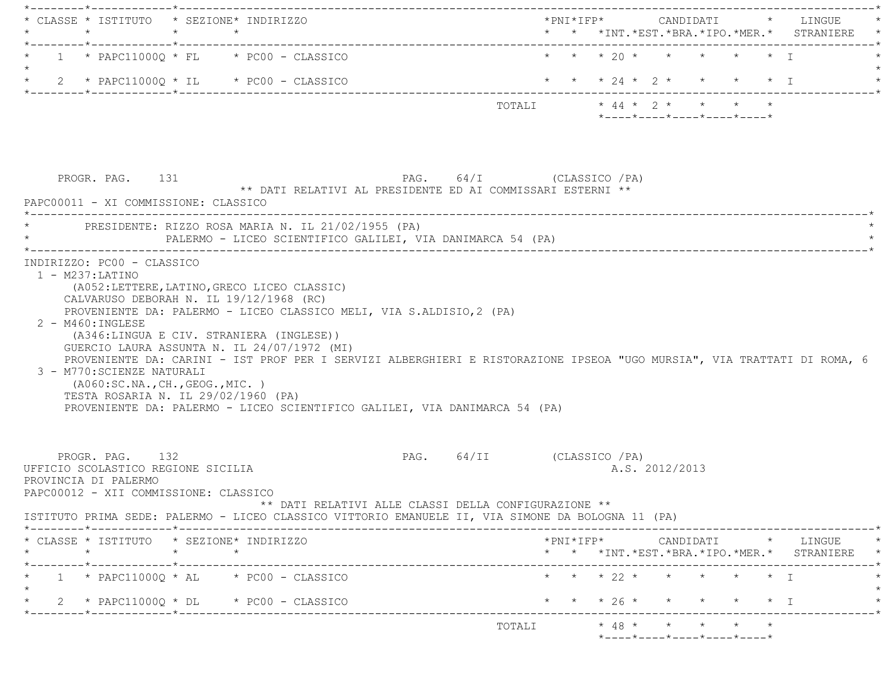| * CLASSE * ISTITUTO * SEZIONE* INDIRIZZO | $\star$                                                                                                                | $\star$ $\star$ |                                                                                                                                |                                                    |                      |                                                                                                                                                                                                       |        |            |                 |                                                                                                                         |                   |           | *PNI*IFP*     CANDIDATI    *   LINGUE<br>* * *INT. *EST. *BRA. *IPO. *MER. * STRANIERE * |
|------------------------------------------|------------------------------------------------------------------------------------------------------------------------|-----------------|--------------------------------------------------------------------------------------------------------------------------------|----------------------------------------------------|----------------------|-------------------------------------------------------------------------------------------------------------------------------------------------------------------------------------------------------|--------|------------|-----------------|-------------------------------------------------------------------------------------------------------------------------|-------------------|-----------|------------------------------------------------------------------------------------------|
|                                          |                                                                                                                        |                 | $1 * PAPC11000Q * FL * PC00 - CLASSICO$                                                                                        |                                                    |                      |                                                                                                                                                                                                       |        |            |                 | * * * 20 * * * * * * I                                                                                                  |                   |           |                                                                                          |
|                                          |                                                                                                                        |                 | $\star$ 2 $\star$ PAPC11000Q $\star$ IL $\star$ PC00 - CLASSICO                                                                |                                                    |                      |                                                                                                                                                                                                       |        |            |                 |                                                                                                                         |                   |           | * * * 24 * 2 * * * * * I                                                                 |
|                                          |                                                                                                                        |                 |                                                                                                                                |                                                    |                      |                                                                                                                                                                                                       | TOTALI |            |                 | $\star$ 44 $\star$ 2 $\star$ $\star$ $\star$ $\star$<br>$*$ - - - - $*$ - - - - $*$ - - - - $*$ - - - - $*$ - - - - $*$ |                   |           |                                                                                          |
|                                          |                                                                                                                        |                 |                                                                                                                                |                                                    |                      |                                                                                                                                                                                                       |        |            |                 |                                                                                                                         |                   |           |                                                                                          |
|                                          | PROGR. PAG. 131<br>PAPC00011 - XI COMMISSIONE: CLASSICO                                                                |                 |                                                                                                                                |                                                    |                      | PAG. 64/I (CLASSICO / PA)<br>** DATI RELATIVI AL PRESIDENTE ED AI COMMISSARI ESTERNI **                                                                                                               |        |            |                 |                                                                                                                         |                   |           |                                                                                          |
|                                          |                                                                                                                        |                 |                                                                                                                                | PRESIDENTE: RIZZO ROSA MARIA N. IL 21/02/1955 (PA) |                      | PALERMO - LICEO SCIENTIFICO GALILEI, VIA DANIMARCA 54 (PA)                                                                                                                                            |        |            |                 |                                                                                                                         |                   |           |                                                                                          |
|                                          | 2 - M460: INGLESE                                                                                                      |                 | (A052:LETTERE, LATINO, GRECO LICEO CLASSIC)<br>CALVARUSO DEBORAH N. IL 19/12/1968 (RC)                                         |                                                    |                      | PROVENIENTE DA: PALERMO - LICEO CLASSICO MELI, VIA S.ALDISIO, 2 (PA)                                                                                                                                  |        |            |                 |                                                                                                                         |                   |           |                                                                                          |
|                                          | 3 - M770: SCIENZE NATURALI<br>( A060:SC.NA., CH., GEOG., MIC. )                                                        |                 | (A346:LINGUA E CIV. STRANIERA (INGLESE))<br>GUERCIO LAURA ASSUNTA N. IL 24/07/1972 (MI)<br>TESTA ROSARIA N. IL 29/02/1960 (PA) |                                                    |                      | PROVENIENTE DA: CARINI - IST PROF PER I SERVIZI ALBERGHIERI E RISTORAZIONE IPSEOA "UGO MURSIA", VIA TRATTATI DI ROMA, 6<br>PROVENIENTE DA: PALERMO - LICEO SCIENTIFICO GALILEI, VIA DANIMARCA 54 (PA) |        |            |                 |                                                                                                                         |                   |           |                                                                                          |
|                                          | PROGR. PAG. 132<br>UFFICIO SCOLASTICO REGIONE SICILIA<br>PROVINCIA DI PALERMO<br>PAPC00012 - XII COMMISSIONE: CLASSICO |                 |                                                                                                                                |                                                    |                      | PAG. 64/II (CLASSICO / PA)                                                                                                                                                                            |        |            | A.S. 2012/2013  |                                                                                                                         |                   |           |                                                                                          |
|                                          |                                                                                                                        |                 |                                                                                                                                |                                                    |                      | ** DATI RELATIVI ALLE CLASSI DELLA CONFIGURAZIONE **<br>ISTITUTO PRIMA SEDE: PALERMO - LICEO CLASSICO VITTORIO EMANUELE II, VIA SIMONE DA BOLOGNA 11 (PA)                                             |        |            |                 |                                                                                                                         |                   |           |                                                                                          |
|                                          | $\star$                                                                                                                | $\star$         | * CLASSE * ISTITUTO * SEZIONE* INDIRIZZO<br>$\star$                                                                            |                                                    |                      |                                                                                                                                                                                                       |        |            |                 |                                                                                                                         |                   |           | * * *INT. *EST. *BRA. *IPO. *MER. * STRANIERE                                            |
|                                          |                                                                                                                        |                 | $1 * PAPC11000Q * AL * PC00 - CLASSICO$                                                                                        |                                                    |                      |                                                                                                                                                                                                       |        | * * * 22 * | $\star$ $\star$ |                                                                                                                         | $\star$ $\star$ T |           | *PNI*IFP* CANDIDATI * LINGUE                                                             |
|                                          |                                                                                                                        |                 | 2 * PAPC11000Q * DL * PC00 - CLASSICO                                                                                          |                                                    | ____________________ |                                                                                                                                                                                                       |        | $* 26 *$   |                 |                                                                                                                         |                   | $\star$ T |                                                                                          |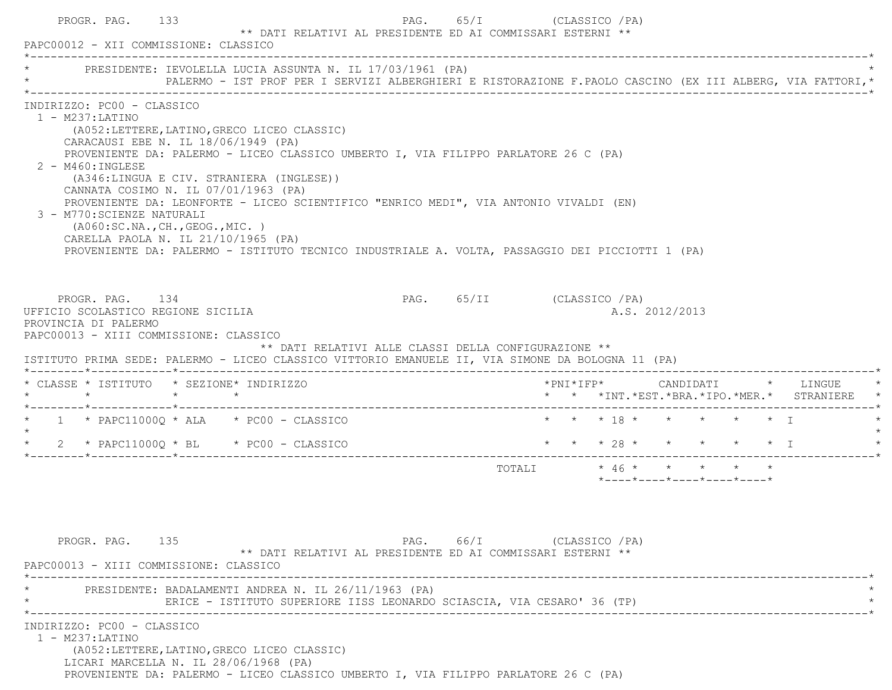| PRESIDENTE: IEVOLELLA LUCIA ASSUNTA N. IL 17/03/1961 (PA)                                                                                                                                                                                                        |                                                                                                                                                                                                                                                                                                                                                                            |                            |                         |  |                |                                         |  |                                               |  |
|------------------------------------------------------------------------------------------------------------------------------------------------------------------------------------------------------------------------------------------------------------------|----------------------------------------------------------------------------------------------------------------------------------------------------------------------------------------------------------------------------------------------------------------------------------------------------------------------------------------------------------------------------|----------------------------|-------------------------|--|----------------|-----------------------------------------|--|-----------------------------------------------|--|
|                                                                                                                                                                                                                                                                  | PALERMO - IST PROF PER I SERVIZI ALBERGHIERI E RISTORAZIONE F.PAOLO CASCINO (EX III ALBERG, VIA FATTORI, *                                                                                                                                                                                                                                                                 |                            |                         |  |                |                                         |  |                                               |  |
| INDIRIZZO: PC00 - CLASSICO<br>$1 - M237: LATINO$<br>CARACAUSI EBE N. IL 18/06/1949 (PA)<br>$2 - M460$ : INGLESE<br>CANNATA COSIMO N. IL 07/01/1963 (PA)<br>3 - M770: SCIENZE NATURALI<br>(AO60:SC.NA., CH., GEOG., MIC. )<br>CARELLA PAOLA N. IL 21/10/1965 (PA) | (A052:LETTERE, LATINO, GRECO LICEO CLASSIC)<br>PROVENIENTE DA: PALERMO - LICEO CLASSICO UMBERTO I, VIA FILIPPO PARLATORE 26 C (PA)<br>(A346:LINGUA E CIV. STRANIERA (INGLESE))<br>PROVENIENTE DA: LEONFORTE - LICEO SCIENTIFICO "ENRICO MEDI", VIA ANTONIO VIVALDI (EN)<br>PROVENIENTE DA: PALERMO - ISTITUTO TECNICO INDUSTRIALE A. VOLTA, PASSAGGIO DEI PICCIOTTI 1 (PA) |                            |                         |  |                |                                         |  |                                               |  |
| PROGR. PAG. 134<br>UFFICIO SCOLASTICO REGIONE SICILIA<br>PROVINCIA DI PALERMO<br>PAPC00013 - XIII COMMISSIONE: CLASSICO<br>ISTITUTO PRIMA SEDE: PALERMO - LICEO CLASSICO VITTORIO EMANUELE II, VIA SIMONE DA BOLOGNA 11 (PA)                                     | ** DATI RELATIVI ALLE CLASSI DELLA CONFIGURAZIONE **                                                                                                                                                                                                                                                                                                                       | PAG. 65/II (CLASSICO / PA) |                         |  | A.S. 2012/2013 |                                         |  |                                               |  |
|                                                                                                                                                                                                                                                                  |                                                                                                                                                                                                                                                                                                                                                                            |                            |                         |  |                |                                         |  |                                               |  |
| * CLASSE * ISTITUTO * SEZIONE* INDIRIZZO                                                                                                                                                                                                                         |                                                                                                                                                                                                                                                                                                                                                                            |                            |                         |  |                |                                         |  | * * *INT. *EST. *BRA. *IPO. *MER. * STRANIERE |  |
| $\star$ 1 $\star$ PAPC11000Q $\star$ ALA $\star$ PC00 - CLASSICO                                                                                                                                                                                                 |                                                                                                                                                                                                                                                                                                                                                                            |                            | * * * 18 * * * * * * I  |  |                |                                         |  |                                               |  |
| $\star$<br>$\star$ 2 $\star$ PAPC11000Q $\star$ BL $\star$ PC00 - CLASSICO                                                                                                                                                                                       |                                                                                                                                                                                                                                                                                                                                                                            |                            | * * * 28 * * * * * * I  |  |                |                                         |  |                                               |  |
|                                                                                                                                                                                                                                                                  |                                                                                                                                                                                                                                                                                                                                                                            |                            | TOTALI * 46 * * * * * * |  |                |                                         |  |                                               |  |
| PROGR. PAG. 135<br>PAPC00013 - XIII COMMISSIONE: CLASSICO                                                                                                                                                                                                        | ** DATI RELATIVI AL PRESIDENTE ED AI COMMISSARI ESTERNI **                                                                                                                                                                                                                                                                                                                 | PAG. 66/I (CLASSICO / PA)  |                         |  |                | $*$ ---- $*$ ---- $*$ ---- $*$ ---- $*$ |  |                                               |  |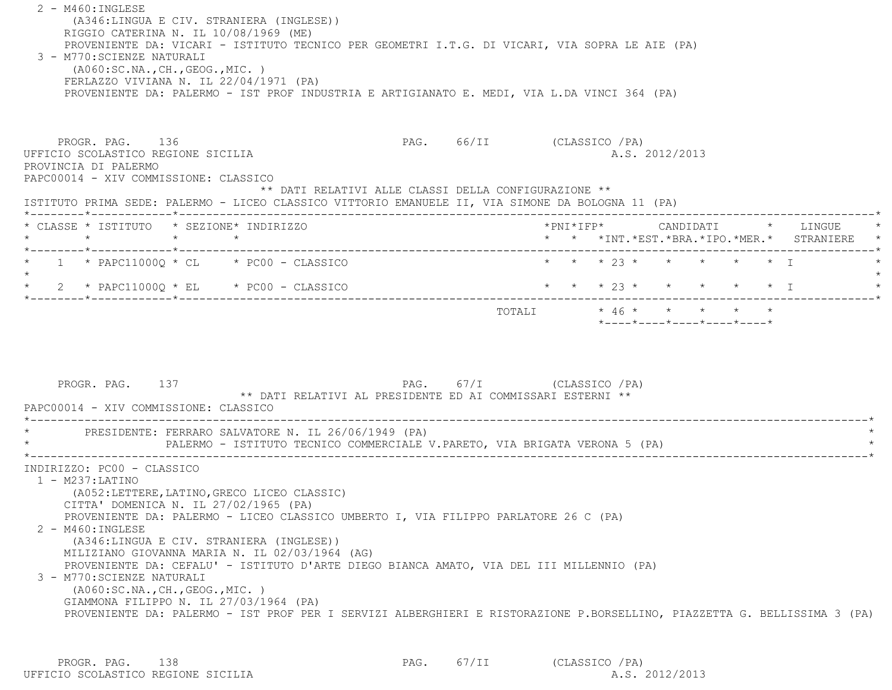2 - M460:INGLESE (A346:LINGUA E CIV. STRANIERA (INGLESE)) RIGGIO CATERINA N. IL 10/08/1969 (ME) PROVENIENTE DA: VICARI - ISTITUTO TECNICO PER GEOMETRI I.T.G. DI VICARI, VIA SOPRA LE AIE (PA) 3 - M770:SCIENZE NATURALI (A060:SC.NA.,CH.,GEOG.,MIC. ) FERLAZZO VIVIANA N. IL 22/04/1971 (PA) PROVENIENTE DA: PALERMO - IST PROF INDUSTRIA E ARTIGIANATO E. MEDI, VIA L.DA VINCI 364 (PA) PROGR. PAG. 136 PAG. 66/II (CLASSICO /PA) UFFICIO SCOLASTICO REGIONE SICILIA A.S. 2012/2013 PROVINCIA DI PALERMO PAPC00014 - XIV COMMISSIONE: CLASSICO \*\* DATI RELATIVI ALLE CLASSI DELLA CONFIGURAZIONE \*\* ISTITUTO PRIMA SEDE: PALERMO - LICEO CLASSICO VITTORIO EMANUELE II, VIA SIMONE DA BOLOGNA 11 (PA) \*--------\*------------\*-------------------------------------------------------------------------------------------------------\* \* CLASSE \* ISTITUTO \* SEZIONE\* INDIRIZZO \*PNI\*IFP\* CANDIDATI \* LINGUE \* \* \* \* \* \* \* \*INT.\*EST.\*BRA.\*IPO.\*MER.\* STRANIERE \* \*--------\*------------\*-------------------------------------------------------------------------------------------------------\* \* 1 \* PAPC11000Q \* CL \* PC00 - CLASSICO \* \* \* 23 \* \* \* \* \* I \*  $\star$ \* 2 \* PAPC11000Q \* EL \* PC00 - CLASSICO \* \* \* \* 23 \* \* \* \* \* \* \* I \*--------\*------------\*-------------------------------------------------------------------------------------------------------\* $\texttt{TOTALI} \qquad \qquad \star \; \; 46 \; \star \qquad \star \qquad \star \qquad \star \qquad \star \qquad \star$  \*----\*----\*----\*----\*----\*PROGR. PAG. 137 PAG. 67/I (CLASSICO /PA) \*\* DATI RELATIVI AL PRESIDENTE ED AI COMMISSARI ESTERNI \*\* PAPC00014 - XIV COMMISSIONE: CLASSICO \*----------------------------------------------------------------------------------------------------------------------------\*PRESIDENTE: FERRARO SALVATORE N. IL 26/06/1949 (PA) PALERMO - ISTITUTO TECNICO COMMERCIALE V.PARETO, VIA BRIGATA VERONA 5 (PA) \*----------------------------------------------------------------------------------------------------------------------------\* INDIRIZZO: PC00 - CLASSICO 1 - M237:LATINO (A052:LETTERE,LATINO,GRECO LICEO CLASSIC) CITTA' DOMENICA N. IL 27/02/1965 (PA) PROVENIENTE DA: PALERMO - LICEO CLASSICO UMBERTO I, VIA FILIPPO PARLATORE 26 C (PA) 2 - M460:INGLESE (A346:LINGUA E CIV. STRANIERA (INGLESE)) MILIZIANO GIOVANNA MARIA N. IL 02/03/1964 (AG) PROVENIENTE DA: CEFALU' - ISTITUTO D'ARTE DIEGO BIANCA AMATO, VIA DEL III MILLENNIO (PA) 3 - M770:SCIENZE NATURALI (A060:SC.NA.,CH.,GEOG.,MIC. ) GIAMMONA FILIPPO N. IL 27/03/1964 (PA) PROVENIENTE DA: PALERMO - IST PROF PER I SERVIZI ALBERGHIERI E RISTORAZIONE P.BORSELLINO, PIAZZETTA G. BELLISSIMA 3 (PA)

PROGR. PAG. 138 PAG. 67/II (CLASSICO /PA) UFFICIO SCOLASTICO REGIONE SICILIA A.S. 2012/2013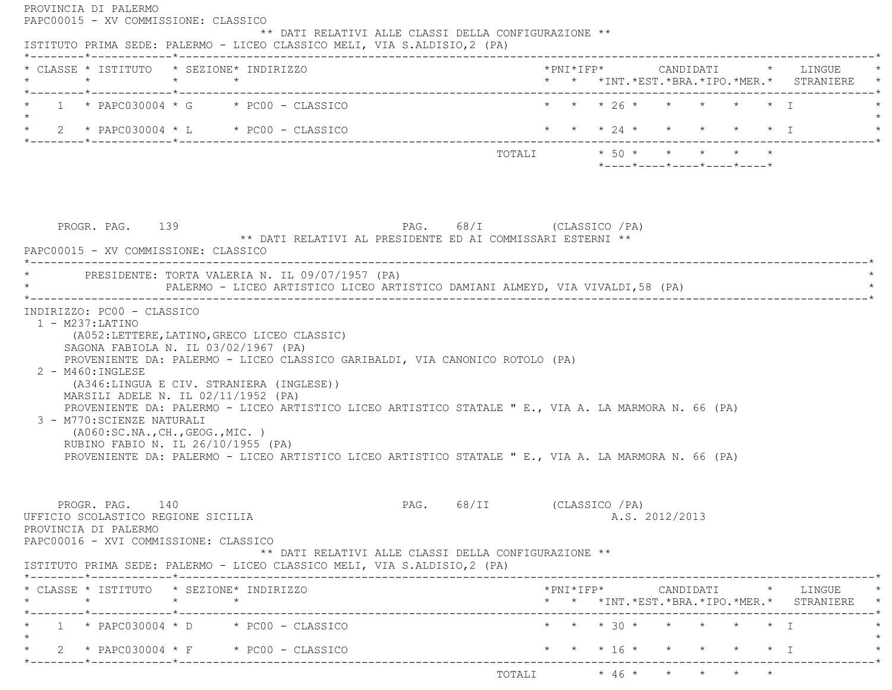| * CLASSE * ISTITUTO * SEZIONE* INDIRIZZO<br>$\star$<br>$\star$<br>$\star$                                                                                                                                                                                                                                                                                                  | * * *INT. *EST. *BRA. *IPO. *MER. * STRANIERE                                                |  |
|----------------------------------------------------------------------------------------------------------------------------------------------------------------------------------------------------------------------------------------------------------------------------------------------------------------------------------------------------------------------------|----------------------------------------------------------------------------------------------|--|
| *--------*------------*-------------<br>$1 * PAPCO30004 * G * PC00 - CLASSICO$                                                                                                                                                                                                                                                                                             | * * * 26 * * * * * * I                                                                       |  |
| $\star$ 2 $\star$ PAPC030004 $\star$ L $\star$ PC00 - CLASSICO                                                                                                                                                                                                                                                                                                             | * * * 24 * * * * * * I                                                                       |  |
|                                                                                                                                                                                                                                                                                                                                                                            | TOTALI * 50 * * * * * *                                                                      |  |
|                                                                                                                                                                                                                                                                                                                                                                            | $*$ ---- $*$ ---- $*$ ---- $*$ ---- $*$ ---- $*$                                             |  |
|                                                                                                                                                                                                                                                                                                                                                                            |                                                                                              |  |
| PAG. 68/I (CLASSICO / PA)                                                                                                                                                                                                                                                                                                                                                  |                                                                                              |  |
| PROGR. PAG. 139<br>** DATI RELATIVI AL PRESIDENTE ED AI COMMISSARI ESTERNI **                                                                                                                                                                                                                                                                                              |                                                                                              |  |
| PAPC00015 - XV COMMISSIONE: CLASSICO                                                                                                                                                                                                                                                                                                                                       |                                                                                              |  |
| * PRESIDENTE: TORTA VALERIA N. IL 09/07/1957 (PA)                                                                                                                                                                                                                                                                                                                          |                                                                                              |  |
| PALERMO - LICEO ARTISTICO LICEO ARTISTICO DAMIANI ALMEYD, VIA VIVALDI, 58 (PA)                                                                                                                                                                                                                                                                                             |                                                                                              |  |
| (A052:LETTERE, LATINO, GRECO LICEO CLASSIC)<br>SAGONA FABIOLA N. IL 03/02/1967 (PA)<br>PROVENIENTE DA: PALERMO - LICEO CLASSICO GARIBALDI, VIA CANONICO ROTOLO (PA)                                                                                                                                                                                                        |                                                                                              |  |
| (A346:LINGUA E CIV. STRANIERA (INGLESE))<br>MARSILI ADELE N. IL 02/11/1952 (PA)<br>PROVENIENTE DA: PALERMO - LICEO ARTISTICO LICEO ARTISTICO STATALE " E., VIA A. LA MARMORA N. 66 (PA)<br>( A060:SC.NA., CH., GEOG., MIC. )<br>RUBINO FABIO N. IL 26/10/1955 (PA)<br>PROVENIENTE DA: PALERMO - LICEO ARTISTICO LICEO ARTISTICO STATALE " E., VIA A. LA MARMORA N. 66 (PA) |                                                                                              |  |
| $1 - M237: LATINO$<br>2 - M460: INGLESE<br>3 - M770:SCIENZE NATURALI<br>PAG. 68/II<br>PROGR. PAG. 140<br>UFFICIO SCOLASTICO REGIONE SICILIA                                                                                                                                                                                                                                | (CLASSICO /PA)<br>A.S. 2012/2013                                                             |  |
| ** DATI RELATIVI ALLE CLASSI DELLA CONFIGURAZIONE **                                                                                                                                                                                                                                                                                                                       |                                                                                              |  |
| $\star$ $\star$ $\star$                                                                                                                                                                                                                                                                                                                                                    | $*$ PNI $*$ IFP $*$<br>CANDIDATI * LINGUE<br>* * *INT. *EST. *BRA. *IPO. *MER. * STRANIERE * |  |
| PROVINCIA DI PALERMO<br>PAPC00016 - XVI COMMISSIONE: CLASSICO<br>ISTITUTO PRIMA SEDE: PALERMO - LICEO CLASSICO MELI, VIA S.ALDISIO, 2 (PA)<br>* CLASSE * ISTITUTO * SEZIONE* INDIRIZZO<br>----------------------------<br>$1 * PAPCO30004 * D * PC00 - CLASSICO$                                                                                                           | * * * 30 * * * * * * I                                                                       |  |
| $2 * PAPCO30004 * F * PC00 - CLASSICO$                                                                                                                                                                                                                                                                                                                                     | $\star$ $\star$ $\star$ 16 $\star$<br>$\star$ T                                              |  |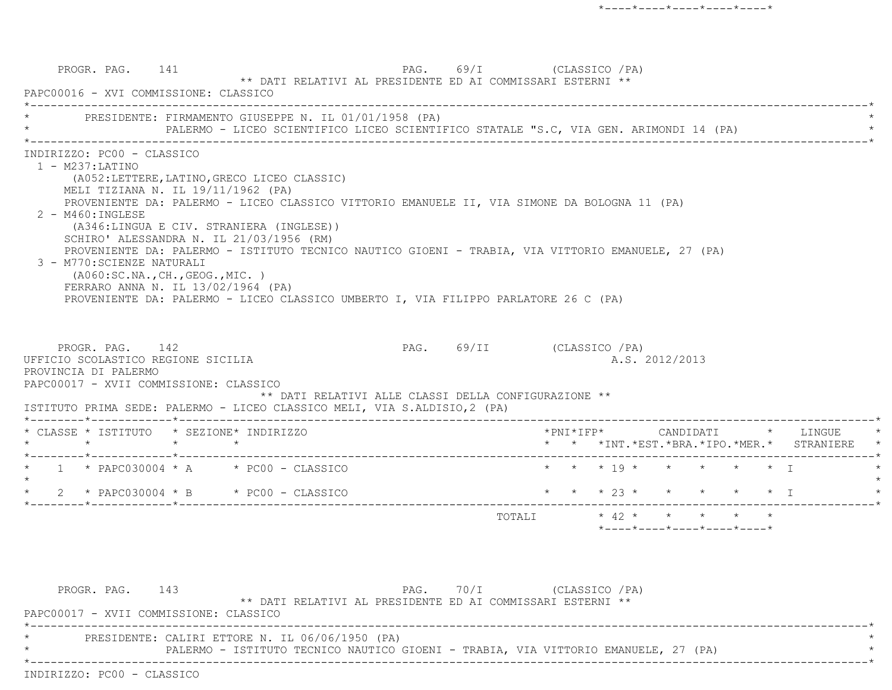|                                                                                                                                                                                                                                |                                                                                                                                                                                                                                                                                                                                                                                                                                                                                                                                                                                                                                | PALERMO - LICEO SCIENTIFICO LICEO SCIENTIFICO STATALE "S.C, VIA GEN. ARIMONDI 14 (PA) |                                               |  |
|--------------------------------------------------------------------------------------------------------------------------------------------------------------------------------------------------------------------------------|--------------------------------------------------------------------------------------------------------------------------------------------------------------------------------------------------------------------------------------------------------------------------------------------------------------------------------------------------------------------------------------------------------------------------------------------------------------------------------------------------------------------------------------------------------------------------------------------------------------------------------|---------------------------------------------------------------------------------------|-----------------------------------------------|--|
| INDIRIZZO: PC00 - CLASSICO<br>$1 - M237: LATINO$<br>2 - M460: INGLESE<br>3 - M770: SCIENZE NATURALI<br>PROGR. PAG. 142<br>UFFICIO SCOLASTICO REGIONE SICILIA<br>PROVINCIA DI PALERMO<br>PAPC00017 - XVII COMMISSIONE: CLASSICO | (A052:LETTERE, LATINO, GRECO LICEO CLASSIC)<br>MELI TIZIANA N. IL 19/11/1962 (PA)<br>PROVENIENTE DA: PALERMO - LICEO CLASSICO VITTORIO EMANUELE II, VIA SIMONE DA BOLOGNA 11 (PA)<br>(A346:LINGUA E CIV. STRANIERA (INGLESE))<br>SCHIRO' ALESSANDRA N. IL 21/03/1956 (RM)<br>PROVENIENTE DA: PALERMO - ISTITUTO TECNICO NAUTICO GIOENI - TRABIA, VIA VITTORIO EMANUELE, 27 (PA)<br>( A060:SC.NA., CH., GEOG., MIC. )<br>FERRARO ANNA N. IL 13/02/1964 (PA)<br>PROVENIENTE DA: PALERMO - LICEO CLASSICO UMBERTO I, VIA FILIPPO PARLATORE 26 C (PA)<br>ISTITUTO PRIMA SEDE: PALERMO - LICEO CLASSICO MELI, VIA S.ALDISIO, 2 (PA) | PAG. 69/II (CLASSICO / PA)<br>** DATI RELATIVI ALLE CLASSI DELLA CONFIGURAZIONE **    | A.S. 2012/2013                                |  |
| $\star$                                                                                                                                                                                                                        | * CLASSE * ISTITUTO * SEZIONE* INDIRIZZO<br>$\star$ $\qquad$ $\star$                                                                                                                                                                                                                                                                                                                                                                                                                                                                                                                                                           |                                                                                       | * * *INT. *EST. *BRA. *IPO. *MER. * STRANIERE |  |
|                                                                                                                                                                                                                                |                                                                                                                                                                                                                                                                                                                                                                                                                                                                                                                                                                                                                                |                                                                                       | * * * 19 * * * * * * T                        |  |
| $1 * PAPCO30004 * A * PC00 - CLASSICO$                                                                                                                                                                                         |                                                                                                                                                                                                                                                                                                                                                                                                                                                                                                                                                                                                                                |                                                                                       |                                               |  |

PROGR. PAG. 143 PAG. 70/I (CLASSICO /PA) \*\* DATI RELATIVI AL PRESIDENTE ED AI COMMISSARI ESTERNI \*\* PAPC00017 - XVII COMMISSIONE: CLASSICO \*----------------------------------------------------------------------------------------------------------------------------\*PRESIDENTE: CALIRI ETTORE N. IL 06/06/1950 (PA) \* PALERMO - ISTITUTO TECNICO NAUTICO GIOENI - TRABIA, VIA VITTORIO EMANUELE, 27 (PA) \* \*----------------------------------------------------------------------------------------------------------------------------\*INDIRIZZO: PC00 - CLASSICO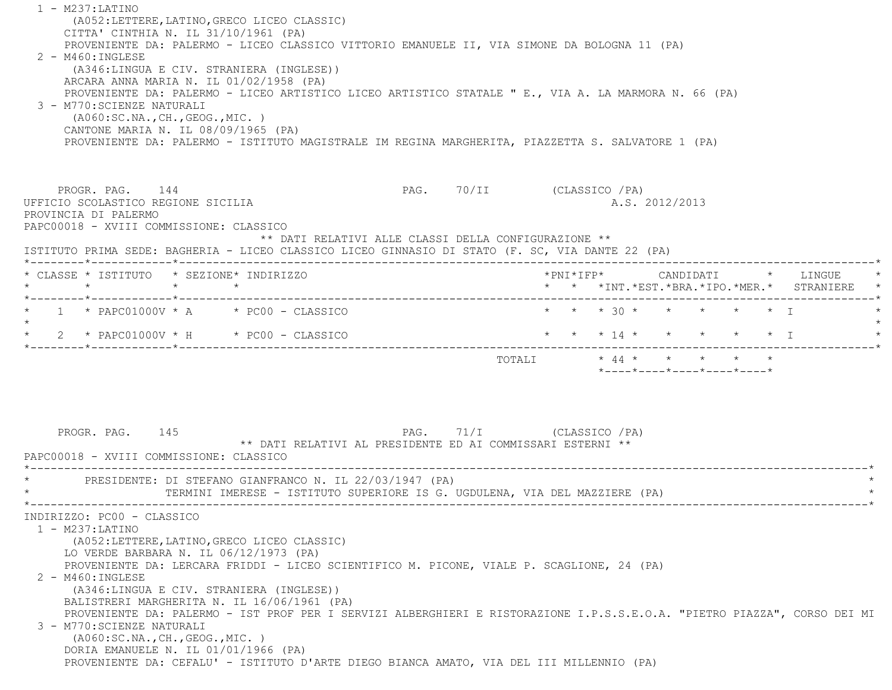1 - M237:LATINO (A052:LETTERE,LATINO,GRECO LICEO CLASSIC) CITTA' CINTHIA N. IL 31/10/1961 (PA) PROVENIENTE DA: PALERMO - LICEO CLASSICO VITTORIO EMANUELE II, VIA SIMONE DA BOLOGNA 11 (PA) 2 - M460:INGLESE (A346:LINGUA E CIV. STRANIERA (INGLESE)) ARCARA ANNA MARIA N. IL 01/02/1958 (PA) PROVENIENTE DA: PALERMO - LICEO ARTISTICO LICEO ARTISTICO STATALE " E., VIA A. LA MARMORA N. 66 (PA) 3 - M770:SCIENZE NATURALI (A060:SC.NA.,CH.,GEOG.,MIC. ) CANTONE MARIA N. IL 08/09/1965 (PA) PROVENIENTE DA: PALERMO - ISTITUTO MAGISTRALE IM REGINA MARGHERITA, PIAZZETTA S. SALVATORE 1 (PA) PROGR. PAG. 144 PAG. 70/II (CLASSICO /PA) UFFICIO SCOLASTICO REGIONE SICILIA A.S. 2012/2013 PROVINCIA DI PALERMO PAPC00018 - XVIII COMMISSIONE: CLASSICO \*\* DATI RELATIVI ALLE CLASSI DELLA CONFIGURAZIONE \*\* ISTITUTO PRIMA SEDE: BAGHERIA - LICEO CLASSICO LICEO GINNASIO DI STATO (F. SC, VIA DANTE 22 (PA) \*--------\*------------\*-------------------------------------------------------------------------------------------------------\* \* CLASSE \* ISTITUTO \* SEZIONE\* INDIRIZZO \*PNI\*IFP\* CANDIDATI \* LINGUE \* \* \* \* \* \* \* \*INT.\*EST.\*BRA.\*IPO.\*MER.\* STRANIERE \* \*--------\*------------\*-------------------------------------------------------------------------------------------------------\*\* 1 \* PAPC01000V \* A \* PC00 - CLASSICO \* \* \* \* 30 \* \* \* \* \* \* \* I  $\star$ \* 2 \* PAPC01000V \* H \* PC00 - CLASSICO \* \* \* \* \* 14 \* \* \* \* \* \* \* \* I \*--------\*------------\*-------------------------------------------------------------------------------------------------------\*TOTALI  $\star$  44  $\star$   $\star$   $\star$   $\star$   $\star$  $*$ ---- $*$ ---- $*$ ---- $*$ ---- $*$ ---- $*$ PROGR. PAG. 145 PAG. 71/I (CLASSICO /PA) \*\* DATI RELATIVI AL PRESIDENTE ED AI COMMISSARI ESTERNI \*\* PAPC00018 - XVIII COMMISSIONE: CLASSICO \*----------------------------------------------------------------------------------------------------------------------------\*PRESIDENTE: DI STEFANO GIANFRANCO N. IL 22/03/1947 (PA) TERMINI IMERESE - ISTITUTO SUPERIORE IS G. UGDULENA, VIA DEL MAZZIERE (PA) \*----------------------------------------------------------------------------------------------------------------------------\* INDIRIZZO: PC00 - CLASSICO 1 - M237:LATINO (A052:LETTERE,LATINO,GRECO LICEO CLASSIC) LO VERDE BARBARA N. IL 06/12/1973 (PA) PROVENIENTE DA: LERCARA FRIDDI - LICEO SCIENTIFICO M. PICONE, VIALE P. SCAGLIONE, 24 (PA) 2 - M460:INGLESE (A346:LINGUA E CIV. STRANIERA (INGLESE)) BALISTRERI MARGHERITA N. IL 16/06/1961 (PA) PROVENIENTE DA: PALERMO - IST PROF PER I SERVIZI ALBERGHIERI E RISTORAZIONE I.P.S.S.E.O.A. "PIETRO PIAZZA", CORSO DEI MI 3 - M770:SCIENZE NATURALI (A060:SC.NA.,CH.,GEOG.,MIC. ) DORIA EMANUELE N. IL 01/01/1966 (PA) PROVENIENTE DA: CEFALU' - ISTITUTO D'ARTE DIEGO BIANCA AMATO, VIA DEL III MILLENNIO (PA)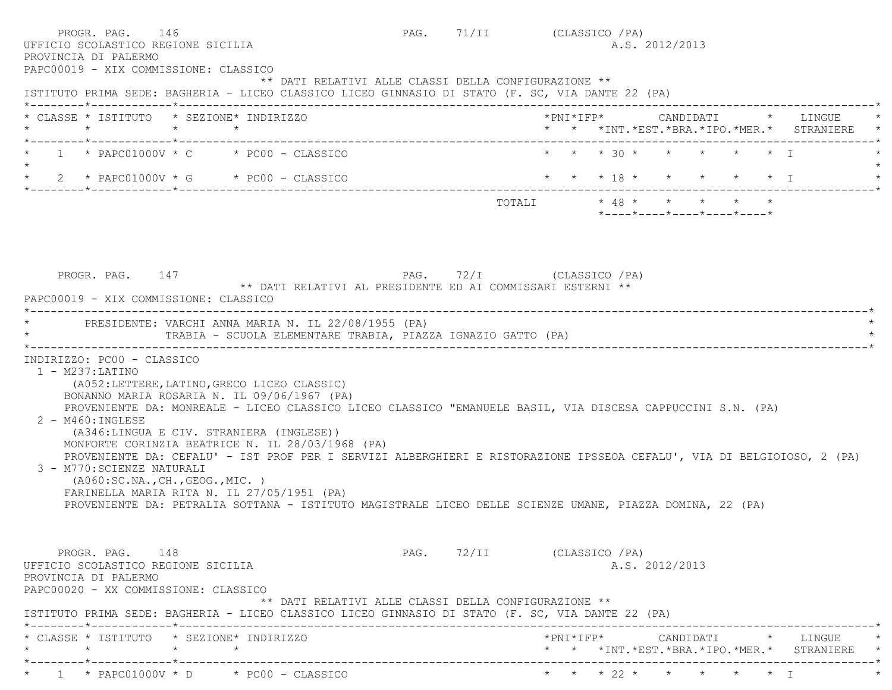| PROGR. PAG. 146<br>UFFICIO SCOLASTICO REGIONE SICILIA<br>PROVINCIA DI PALERMO<br>PAPC00019 - XIX COMMISSIONE: CLASSICO                                                                                                                                                                                                                                                                                                                                                                                                                                                                                                                                                                                                                      | PAG. 71/II (CLASSICO / PA) |  |                                                  | A.S. 2012/2013 |  |                                               |
|---------------------------------------------------------------------------------------------------------------------------------------------------------------------------------------------------------------------------------------------------------------------------------------------------------------------------------------------------------------------------------------------------------------------------------------------------------------------------------------------------------------------------------------------------------------------------------------------------------------------------------------------------------------------------------------------------------------------------------------------|----------------------------|--|--------------------------------------------------|----------------|--|-----------------------------------------------|
| ** DATI RELATIVI ALLE CLASSI DELLA CONFIGURAZIONE **<br>ISTITUTO PRIMA SEDE: BAGHERIA - LICEO CLASSICO LICEO GINNASIO DI STATO (F. SC, VIA DANTE 22 (PA)                                                                                                                                                                                                                                                                                                                                                                                                                                                                                                                                                                                    |                            |  |                                                  |                |  |                                               |
| * CLASSE * ISTITUTO * SEZIONE* INDIRIZZO<br>$\star$<br>$\star$ $\star$                                                                                                                                                                                                                                                                                                                                                                                                                                                                                                                                                                                                                                                                      |                            |  |                                                  |                |  | * * *INT. *EST. *BRA. *IPO. *MER. * STRANIERE |
| $1 * PAPCO1000V * C * PCO0 - CLASSICO$                                                                                                                                                                                                                                                                                                                                                                                                                                                                                                                                                                                                                                                                                                      |                            |  | * * * 30 * * * * * * I                           |                |  |                                               |
| $\star$ 2 $\star$ PAPC01000V $\star$ G $\star$ PC00 - CLASSICO                                                                                                                                                                                                                                                                                                                                                                                                                                                                                                                                                                                                                                                                              |                            |  | * * * 18 * * * * * * I                           |                |  |                                               |
|                                                                                                                                                                                                                                                                                                                                                                                                                                                                                                                                                                                                                                                                                                                                             |                            |  | $*$ ---- $*$ ---- $*$ ---- $*$ ---- $*$ ---- $*$ |                |  |                                               |
| ** DATI RELATIVI AL PRESIDENTE ED AI COMMISSARI ESTERNI **<br>PAPC00019 - XIX COMMISSIONE: CLASSICO<br>* PRESIDENTE: VARCHI ANNA MARIA N. IL 22/08/1955 (PA)                                                                                                                                                                                                                                                                                                                                                                                                                                                                                                                                                                                |                            |  |                                                  |                |  |                                               |
| TRABIA - SCUOLA ELEMENTARE TRABIA, PIAZZA IGNAZIO GATTO (PA)                                                                                                                                                                                                                                                                                                                                                                                                                                                                                                                                                                                                                                                                                |                            |  |                                                  |                |  |                                               |
| INDIRIZZO: PC00 - CLASSICO<br>$1 - M237: LATINO$<br>(A052:LETTERE, LATINO, GRECO LICEO CLASSIC)<br>BONANNO MARIA ROSARIA N. IL 09/06/1967 (PA)<br>PROVENIENTE DA: MONREALE - LICEO CLASSICO LICEO CLASSICO "EMANUELE BASIL, VIA DISCESA CAPPUCCINI S.N. (PA)<br>$2 - M460$ : INGLESE<br>(A346:LINGUA E CIV. STRANIERA (INGLESE))<br>MONFORTE CORINZIA BEATRICE N. IL 28/03/1968 (PA)<br>PROVENIENTE DA: CEFALU' - IST PROF PER I SERVIZI ALBERGHIERI E RISTORAZIONE IPSSEOA CEFALU', VIA DI BELGIOIOSO, 2 (PA)<br>3 - M770: SCIENZE NATURALI<br>( A060:SC.NA., CH., GEOG., MIC. )<br>FARINELLA MARIA RITA N. IL 27/05/1951 (PA)<br>PROVENIENTE DA: PETRALIA SOTTANA - ISTITUTO MAGISTRALE LICEO DELLE SCIENZE UMANE, PIAZZA DOMINA, 22 (PA) |                            |  |                                                  |                |  |                                               |
| PROGR. PAG. 148<br>UFFICIO SCOLASTICO REGIONE SICILIA<br>PROVINCIA DI PALERMO<br>PAPC00020 - XX COMMISSIONE: CLASSICO<br>** DATI RELATIVI ALLE CLASSI DELLA CONFIGURAZIONE **<br>ISTITUTO PRIMA SEDE: BAGHERIA - LICEO CLASSICO LICEO GINNASIO DI STATO (F. SC, VIA DANTE 22 (PA)                                                                                                                                                                                                                                                                                                                                                                                                                                                           | PAG. 72/II (CLASSICO / PA) |  |                                                  | A.S. 2012/2013 |  |                                               |
| * CLASSE * ISTITUTO * SEZIONE* INDIRIZZO<br>$\star$<br>$\star$<br>$\star$                                                                                                                                                                                                                                                                                                                                                                                                                                                                                                                                                                                                                                                                   |                            |  |                                                  |                |  | * * *INT. *EST. *BRA. *IPO. *MER. * STRANIERE |
| *--------*-----------*---------<br>$\star$ 1 $\star$ PAPC01000V $\star$ D $\star$ PC00 - CLASSICO                                                                                                                                                                                                                                                                                                                                                                                                                                                                                                                                                                                                                                           |                            |  | * * * 22 * * * * *                               |                |  |                                               |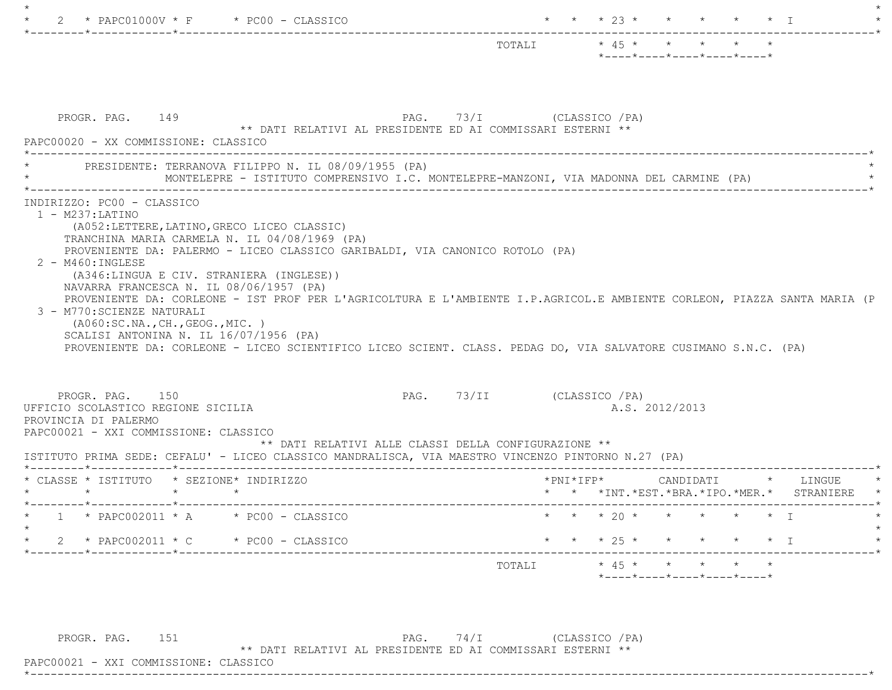|                                                                                                                                                                                                                                                                                                                                                                                                                                                                                                                                                                                                                                                        | TOTALI                     | $\star$ 45 $\star$ $\star$ $\star$ $\star$ | $*$ - - - - $*$ - - - - $*$ - - - - $*$ - - - - $*$ - - - - $*$ |                                              |  |                                               |
|--------------------------------------------------------------------------------------------------------------------------------------------------------------------------------------------------------------------------------------------------------------------------------------------------------------------------------------------------------------------------------------------------------------------------------------------------------------------------------------------------------------------------------------------------------------------------------------------------------------------------------------------------------|----------------------------|--------------------------------------------|-----------------------------------------------------------------|----------------------------------------------|--|-----------------------------------------------|
| PROGR. PAG. 149<br>PAG. 73/I (CLASSICO / PA)<br>** DATI RELATIVI AL PRESIDENTE ED AI COMMISSARI ESTERNI **<br>PAPC00020 - XX COMMISSIONE: CLASSICO                                                                                                                                                                                                                                                                                                                                                                                                                                                                                                     |                            |                                            |                                                                 |                                              |  |                                               |
| PRESIDENTE: TERRANOVA FILIPPO N. IL 08/09/1955 (PA)<br>MONTELEPRE - ISTITUTO COMPRENSIVO I.C. MONTELEPRE-MANZONI, VIA MADONNA DEL CARMINE (PA)                                                                                                                                                                                                                                                                                                                                                                                                                                                                                                         |                            |                                            |                                                                 |                                              |  |                                               |
| (A052:LETTERE, LATINO, GRECO LICEO CLASSIC)<br>TRANCHINA MARIA CARMELA N. IL 04/08/1969 (PA)<br>PROVENIENTE DA: PALERMO - LICEO CLASSICO GARIBALDI, VIA CANONICO ROTOLO (PA)<br>$2 - M460$ : INGLESE<br>(A346:LINGUA E CIV. STRANIERA (INGLESE))<br>NAVARRA FRANCESCA N. IL 08/06/1957 (PA)<br>PROVENIENTE DA: CORLEONE - IST PROF PER L'AGRICOLTURA E L'AMBIENTE I.P.AGRICOL.E AMBIENTE CORLEON, PIAZZA SANTA MARIA (P<br>3 - M770: SCIENZE NATURALI<br>( A060:SC.NA., CH., GEOG., MIC. )<br>SCALISI ANTONINA N. IL 16/07/1956 (PA)<br>PROVENIENTE DA: CORLEONE - LICEO SCIENTIFICO LICEO SCIENT. CLASS. PEDAG DO, VIA SALVATORE CUSIMANO S.N.C. (PA) |                            |                                            |                                                                 |                                              |  |                                               |
|                                                                                                                                                                                                                                                                                                                                                                                                                                                                                                                                                                                                                                                        |                            |                                            |                                                                 |                                              |  |                                               |
| PROGR. PAG. 150<br>UFFICIO SCOLASTICO REGIONE SICILIA<br>PROVINCIA DI PALERMO<br>PAPC00021 - XXI COMMISSIONE: CLASSICO<br>** DATI RELATIVI ALLE CLASSI DELLA CONFIGURAZIONE **                                                                                                                                                                                                                                                                                                                                                                                                                                                                         | PAG. 73/II (CLASSICO / PA) | A.S. 2012/2013                             |                                                                 |                                              |  |                                               |
|                                                                                                                                                                                                                                                                                                                                                                                                                                                                                                                                                                                                                                                        |                            |                                            |                                                                 |                                              |  | $*$ PNI $*$ IFP $*$ CANDIDATI $*$ LINGUE      |
| ISTITUTO PRIMA SEDE: CEFALU' - LICEO CLASSICO MANDRALISCA, VIA MAESTRO VINCENZO PINTORNO N.27 (PA)<br>* CLASSE * ISTITUTO * SEZIONE* INDIRIZZO<br>$\star$ $\star$<br>$1 * PAPCOO2011 * A * PC00 - CLASSICO$                                                                                                                                                                                                                                                                                                                                                                                                                                            |                            | * * * 20 * * * * * * T                     |                                                                 |                                              |  | * * *INT. *EST. *BRA. *IPO. *MER. * STRANIERE |
| 2 * PAPC002011 * C * PC00 - CLASSICO                                                                                                                                                                                                                                                                                                                                                                                                                                                                                                                                                                                                                   |                            | $\star$ $\star$ $\star$ 25 $\star$         |                                                                 | $\star$ $\star$ $\star$ $\star$ $\downarrow$ |  |                                               |

PROGR. PAG.  $151$  PAG.  $74/I$  (CLASSICO /PA) \*\* DATI RELATIVI AL PRESIDENTE ED AI COMMISSARI ESTERNI \*\*

 PAPC00021 - XXI COMMISSIONE: CLASSICO \*----------------------------------------------------------------------------------------------------------------------------\*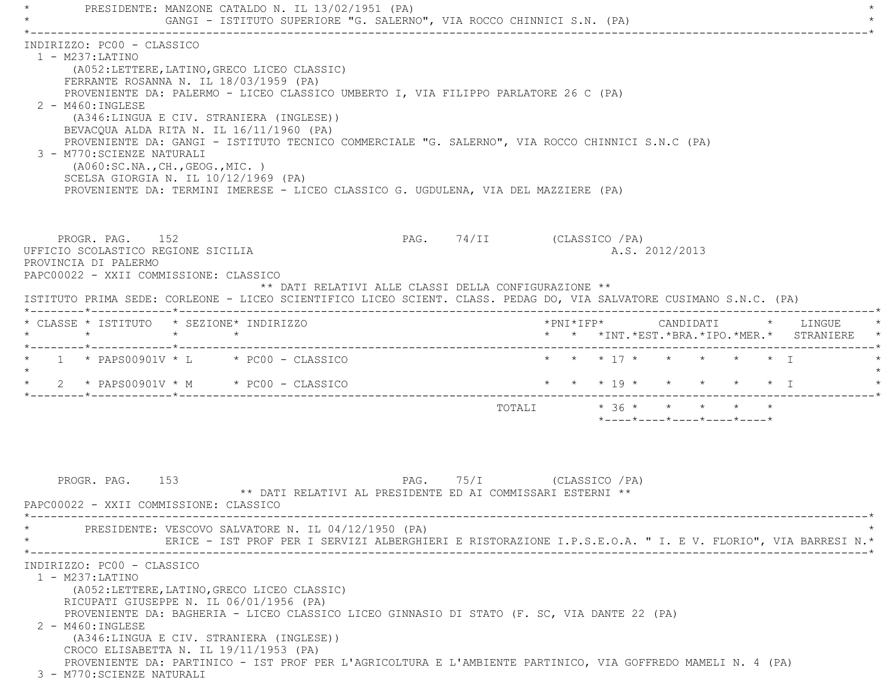PRESIDENTE: MANZONE CATALDO N. IL 13/02/1951 (PA) GANGI - ISTITUTO SUPERIORE "G. SALERNO", VIA ROCCO CHINNICI S.N. (PA) \*----------------------------------------------------------------------------------------------------------------------------\* INDIRIZZO: PC00 - CLASSICO 1 - M237:LATINO (A052:LETTERE,LATINO,GRECO LICEO CLASSIC) FERRANTE ROSANNA N. IL 18/03/1959 (PA) PROVENIENTE DA: PALERMO - LICEO CLASSICO UMBERTO I, VIA FILIPPO PARLATORE 26 C (PA) 2 - M460:INGLESE (A346:LINGUA E CIV. STRANIERA (INGLESE)) BEVACQUA ALDA RITA N. IL 16/11/1960 (PA) PROVENIENTE DA: GANGI - ISTITUTO TECNICO COMMERCIALE "G. SALERNO", VIA ROCCO CHINNICI S.N.C (PA) 3 - M770:SCIENZE NATURALI (A060:SC.NA.,CH.,GEOG.,MIC. ) SCELSA GIORGIA N. IL 10/12/1969 (PA) PROVENIENTE DA: TERMINI IMERESE - LICEO CLASSICO G. UGDULENA, VIA DEL MAZZIERE (PA) PROGR. PAG. 152 PAG. 74/II (CLASSICO /PA) UFFICIO SCOLASTICO REGIONE SICILIA A.S. 2012/2013 PROVINCIA DI PALERMO PAPC00022 - XXII COMMISSIONE: CLASSICO \*\* DATI RELATIVI ALLE CLASSI DELLA CONFIGURAZIONE \*\* ISTITUTO PRIMA SEDE: CORLEONE - LICEO SCIENTIFICO LICEO SCIENT. CLASS. PEDAG DO, VIA SALVATORE CUSIMANO S.N.C. (PA) \*--------\*------------\*-------------------------------------------------------------------------------------------------------\* \* CLASSE \* ISTITUTO \* SEZIONE\* INDIRIZZO \*PNI\*IFP\* CANDIDATI \* LINGUE \* \* \* \* \* \* \* \*INT.\*EST.\*BRA.\*IPO.\*MER.\* STRANIERE \* \*--------\*------------\*-------------------------------------------------------------------------------------------------------\*1 \* PAPS00901V \* L \* PC00 - CLASSICO \* \* \* \* 17 \* \* \* \* \* \* \* I  $\star$  \* 2 \* PAPS00901V \* M \* PC00 - CLASSICO \* \* \* 19 \* \* \* \* \* I \* \*--------\*------------\*-------------------------------------------------------------------------------------------------------\*TOTALI  $* 36 * * * * * * * * *$  \*----\*----\*----\*----\*----\*PROGR. PAG. 153 PAG. 75/I (CLASSICO /PA) \*\* DATI RELATIVI AL PRESIDENTE ED AI COMMISSARI ESTERNI \*\* PAPC00022 - XXII COMMISSIONE: CLASSICO \*----------------------------------------------------------------------------------------------------------------------------\*PRESIDENTE: VESCOVO SALVATORE N. IL 04/12/1950 (PA) \* ERICE - IST PROF PER I SERVIZI ALBERGHIERI E RISTORAZIONE I.P.S.E.O.A. " I. E V. FLORIO", VIA BARRESI N.\* \*----------------------------------------------------------------------------------------------------------------------------\* INDIRIZZO: PC00 - CLASSICO 1 - M237:LATINO (A052:LETTERE,LATINO,GRECO LICEO CLASSIC) RICUPATI GIUSEPPE N. IL 06/01/1956 (PA) PROVENIENTE DA: BAGHERIA - LICEO CLASSICO LICEO GINNASIO DI STATO (F. SC, VIA DANTE 22 (PA) 2 - M460:INGLESE (A346:LINGUA E CIV. STRANIERA (INGLESE)) CROCO ELISABETTA N. IL 19/11/1953 (PA) PROVENIENTE DA: PARTINICO - IST PROF PER L'AGRICOLTURA E L'AMBIENTE PARTINICO, VIA GOFFREDO MAMELI N. 4 (PA)

3 - M770:SCIENZE NATURALI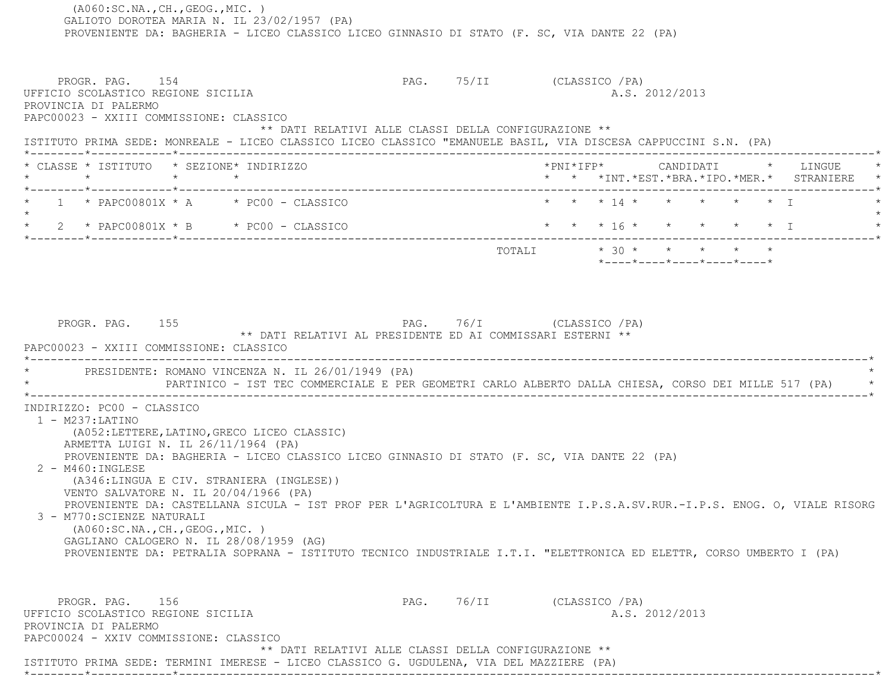(A060:SC.NA.,CH.,GEOG.,MIC. ) GALIOTO DOROTEA MARIA N. IL 23/02/1957 (PA) PROVENIENTE DA: BAGHERIA - LICEO CLASSICO LICEO GINNASIO DI STATO (F. SC, VIA DANTE 22 (PA) PROGR. PAG. 154 PAG. 75/II (CLASSICO /PA) UFFICIO SCOLASTICO REGIONE SICILIA A.S. 2012/2013 PROVINCIA DI PALERMO PAPC00023 - XXIII COMMISSIONE: CLASSICO \*\* DATI RELATIVI ALLE CLASSI DELLA CONFIGURAZIONE \*\* ISTITUTO PRIMA SEDE: MONREALE - LICEO CLASSICO LICEO CLASSICO "EMANUELE BASIL, VIA DISCESA CAPPUCCINI S.N. (PA) \*--------\*------------\*-------------------------------------------------------------------------------------------------------\* \* CLASSE \* ISTITUTO \* SEZIONE\* INDIRIZZO \*PNI\*IFP\* CANDIDATI \* LINGUE \* \* \* \* \* \* \* \*INT.\*EST.\*BRA.\*IPO.\*MER.\* STRANIERE \* \*--------\*------------\*-------------------------------------------------------------------------------------------------------\*1 \* PAPC00801X \* A \* \* PC00 - CLASSICO \* \* \* \* 14 \* \* \* \* \* \* \* \* I  $\star$  \* 2 \* PAPC00801X \* B \* PC00 - CLASSICO \* \* \* 16 \* \* \* \* \* I \* \*--------\*------------\*-------------------------------------------------------------------------------------------------------\*TOTALI  $* 30 * * * * * * * * *$  \*----\*----\*----\*----\*----\* PROGR. PAG. 155 PAG. 76/I (CLASSICO /PA) \*\* DATI RELATIVI AL PRESIDENTE ED AI COMMISSARI ESTERNI \*\* PAPC00023 - XXIII COMMISSIONE: CLASSICO \*----------------------------------------------------------------------------------------------------------------------------\*PRESIDENTE: ROMANO VINCENZA N. IL 26/01/1949 (PA) \* PARTINICO - IST TEC COMMERCIALE E PER GEOMETRI CARLO ALBERTO DALLA CHIESA, CORSO DEI MILLE 517 (PA) \* \*----------------------------------------------------------------------------------------------------------------------------\* INDIRIZZO: PC00 - CLASSICO 1 - M237:LATINO (A052:LETTERE,LATINO,GRECO LICEO CLASSIC) ARMETTA LUIGI N. IL 26/11/1964 (PA) PROVENIENTE DA: BAGHERIA - LICEO CLASSICO LICEO GINNASIO DI STATO (F. SC, VIA DANTE 22 (PA) 2 - M460:INGLESE (A346:LINGUA E CIV. STRANIERA (INGLESE)) VENTO SALVATORE N. IL 20/04/1966 (PA) PROVENIENTE DA: CASTELLANA SICULA - IST PROF PER L'AGRICOLTURA E L'AMBIENTE I.P.S.A.SV.RUR.-I.P.S. ENOG. O, VIALE RISORG 3 - M770:SCIENZE NATURALI (A060:SC.NA.,CH.,GEOG.,MIC. ) GAGLIANO CALOGERO N. IL 28/08/1959 (AG) PROVENIENTE DA: PETRALIA SOPRANA - ISTITUTO TECNICO INDUSTRIALE I.T.I. "ELETTRONICA ED ELETTR, CORSO UMBERTO I (PA) PROGR. PAG. 156 PAG. PAG. 76/II (CLASSICO /PA) UFFICIO SCOLASTICO REGIONE SICILIA A.S. 2012/2013 PROVINCIA DI PALERMO PAPC00024 - XXIV COMMISSIONE: CLASSICO \*\* DATI RELATIVI ALLE CLASSI DELLA CONFIGURAZIONE \*\*ISTITUTO PRIMA SEDE: TERMINI IMERESE - LICEO CLASSICO G. UGDULENA, VIA DEL MAZZIERE (PA)

\*--------\*------------\*-------------------------------------------------------------------------------------------------------\*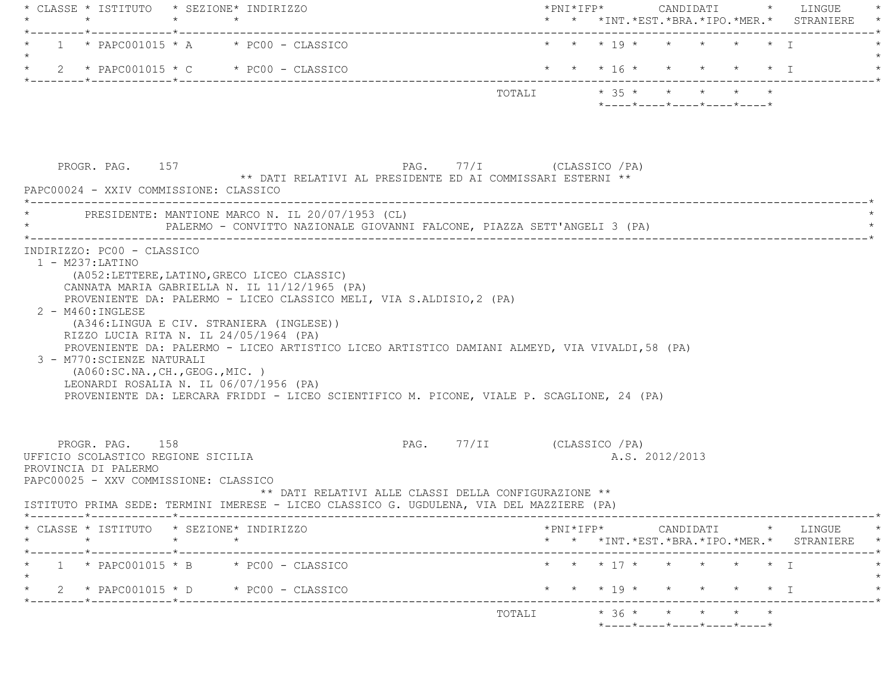|                      | * CLASSE * ISTITUTO * SEZIONE* INDIRIZZO<br>$\star$<br>.______*____________*________                                   |         |                                                                                                                                                                                                                                                                                                                             | __________________________________ |  |  |                |                                                                 | * * *INT. *EST. *BRA. *IPO. *MER. * STRANIERE                        |
|----------------------|------------------------------------------------------------------------------------------------------------------------|---------|-----------------------------------------------------------------------------------------------------------------------------------------------------------------------------------------------------------------------------------------------------------------------------------------------------------------------------|------------------------------------|--|--|----------------|-----------------------------------------------------------------|----------------------------------------------------------------------|
|                      |                                                                                                                        |         | $1 * PAPCO01015 * A * PC00 - CLASSICO$                                                                                                                                                                                                                                                                                      |                                    |  |  |                | * * * 19 * * * * * * I                                          |                                                                      |
|                      |                                                                                                                        |         | 2 * PAPC001015 * C * PC00 - CLASSICO                                                                                                                                                                                                                                                                                        |                                    |  |  |                |                                                                 | * * * 16 * * * * * * I                                               |
|                      |                                                                                                                        |         |                                                                                                                                                                                                                                                                                                                             | TOTALI * 35 * * * * * *            |  |  |                | $*$ - - - - $*$ - - - - $*$ - - - - $*$ - - - - $*$ - - - - $*$ |                                                                      |
|                      | PROGR. PAG. 157                                                                                                        |         | ** DATI RELATIVI AL PRESIDENTE ED AI COMMISSARI ESTERNI **                                                                                                                                                                                                                                                                  | PAG. 77/I (CLASSICO / PA)          |  |  |                |                                                                 |                                                                      |
|                      | PAPC00024 - XXIV COMMISSIONE: CLASSICO                                                                                 |         | PRESIDENTE: MANTIONE MARCO N. IL 20/07/1953 (CL)<br>PALERMO - CONVITTO NAZIONALE GIOVANNI FALCONE, PIAZZA SETT'ANGELI 3 (PA)                                                                                                                                                                                                |                                    |  |  |                |                                                                 |                                                                      |
| $2 - M460$ : INGLESE | 3 - M770: SCIENZE NATURALI<br>( A060:SC.NA., CH., GEOG., MIC. )                                                        |         | (A346:LINGUA E CIV. STRANIERA (INGLESE))<br>RIZZO LUCIA RITA N. IL 24/05/1964 (PA)<br>PROVENIENTE DA: PALERMO - LICEO ARTISTICO LICEO ARTISTICO DAMIANI ALMEYD, VIA VIVALDI, 58 (PA)<br>LEONARDI ROSALIA N. IL 06/07/1956 (PA)<br>PROVENIENTE DA: LERCARA FRIDDI - LICEO SCIENTIFICO M. PICONE, VIALE P. SCAGLIONE, 24 (PA) |                                    |  |  |                |                                                                 |                                                                      |
|                      |                                                                                                                        |         |                                                                                                                                                                                                                                                                                                                             |                                    |  |  |                |                                                                 |                                                                      |
|                      | PROGR. PAG. 158<br>UFFICIO SCOLASTICO REGIONE SICILIA<br>PROVINCIA DI PALERMO<br>PAPC00025 - XXV COMMISSIONE: CLASSICO |         | ** DATI RELATIVI ALLE CLASSI DELLA CONFIGURAZIONE **<br>ISTITUTO PRIMA SEDE: TERMINI IMERESE - LICEO CLASSICO G. UGDULENA, VIA DEL MAZZIERE (PA)                                                                                                                                                                            | PAG. 77/II (CLASSICO / PA)         |  |  | A.S. 2012/2013 |                                                                 |                                                                      |
| $\star$              | * CLASSE * ISTITUTO * SEZIONE* INDIRIZZO                                                                               | $\star$ |                                                                                                                                                                                                                                                                                                                             |                                    |  |  |                |                                                                 |                                                                      |
|                      |                                                                                                                        |         | $1 * PAPCO01015 * B * PC00 - CLASSICO$                                                                                                                                                                                                                                                                                      |                                    |  |  |                | * * * 17 * * * * * * I                                          |                                                                      |
|                      |                                                                                                                        |         | $\star$ 2 $\star$ PAPC001015 $\star$ D $\star$ PC00 - CLASSICO                                                                                                                                                                                                                                                              |                                    |  |  |                |                                                                 | * * *INT.*EST.*BRA.*IPO.*MER.* STRANIERE *<br>* * * 19 * * * * * * I |
|                      |                                                                                                                        |         |                                                                                                                                                                                                                                                                                                                             | TOTALI * 36 * * * * * *            |  |  |                | *----*----*----*----*----*                                      |                                                                      |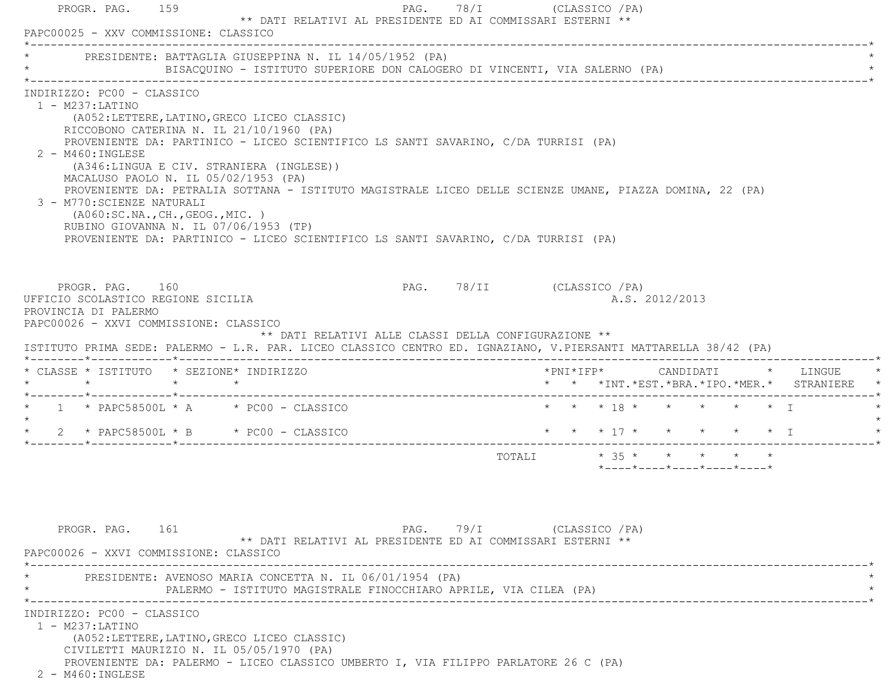|                                                                                                                                                             |                                                                                                                   | * PRESIDENTE: BATTAGLIA GIUSEPPINA N. IL 14/05/1952 (PA)<br>BISACQUINO - ISTITUTO SUPERIORE DON CALOGERO DI VINCENTI, VIA SALERNO (PA)                                                                                                                                                                                                                                                                                      |                            |  |  |                |                                                                             |  |                                               |
|-------------------------------------------------------------------------------------------------------------------------------------------------------------|-------------------------------------------------------------------------------------------------------------------|-----------------------------------------------------------------------------------------------------------------------------------------------------------------------------------------------------------------------------------------------------------------------------------------------------------------------------------------------------------------------------------------------------------------------------|----------------------------|--|--|----------------|-----------------------------------------------------------------------------|--|-----------------------------------------------|
| INDIRIZZO: PC00 - CLASSICO<br>$1 - M237: LATINO$<br>$2 - M460$ : INGLESE<br>3 - M770: SCIENZE NATURALI                                                      | MACALUSO PAOLO N. IL 05/02/1953 (PA)<br>(AO60:SC.NA., CH., GEOG., MIC. )<br>RUBINO GIOVANNA N. IL 07/06/1953 (TP) | (A052:LETTERE, LATINO, GRECO LICEO CLASSIC)<br>RICCOBONO CATERINA N. IL 21/10/1960 (PA)<br>PROVENIENTE DA: PARTINICO - LICEO SCIENTIFICO LS SANTI SAVARINO, C/DA TURRISI (PA)<br>(A346:LINGUA E CIV. STRANIERA (INGLESE))<br>PROVENIENTE DA: PETRALIA SOTTANA - ISTITUTO MAGISTRALE LICEO DELLE SCIENZE UMANE, PIAZZA DOMINA, 22 (PA)<br>PROVENIENTE DA: PARTINICO - LICEO SCIENTIFICO LS SANTI SAVARINO, C/DA TURRISI (PA) |                            |  |  |                |                                                                             |  |                                               |
| PROGR. PAG. 160<br>UFFICIO SCOLASTICO REGIONE SICILIA<br>PROVINCIA DI PALERMO<br>PAPC00026 - XXVI COMMISSIONE: CLASSICO                                     |                                                                                                                   | ** DATI RELATIVI ALLE CLASSI DELLA CONFIGURAZIONE **<br>ISTITUTO PRIMA SEDE: PALERMO - L.R. PAR. LICEO CLASSICO CENTRO ED. IGNAZIANO, V.PIERSANTI MATTARELLA 38/42 (PA)                                                                                                                                                                                                                                                     | PAG. 78/II (CLASSICO / PA) |  |  | A.S. 2012/2013 |                                                                             |  |                                               |
|                                                                                                                                                             |                                                                                                                   |                                                                                                                                                                                                                                                                                                                                                                                                                             |                            |  |  |                |                                                                             |  |                                               |
|                                                                                                                                                             |                                                                                                                   |                                                                                                                                                                                                                                                                                                                                                                                                                             |                            |  |  |                |                                                                             |  | * * *INT. *EST. *BRA. *IPO. *MER. * STRANIERE |
|                                                                                                                                                             |                                                                                                                   | * $1$ * PAPC58500L * A * PC00 - CLASSICO                                                                                                                                                                                                                                                                                                                                                                                    |                            |  |  |                | * * * 18 * * * * * * I                                                      |  |                                               |
|                                                                                                                                                             |                                                                                                                   | 2 * PAPC58500L * B * PC00 - CLASSICO                                                                                                                                                                                                                                                                                                                                                                                        |                            |  |  |                |                                                                             |  | * * * 17 * * * * * * I                        |
|                                                                                                                                                             |                                                                                                                   |                                                                                                                                                                                                                                                                                                                                                                                                                             |                            |  |  |                | TOTALI * 35 * * * * * *<br>$*$ ---- $*$ ---- $*$ ---- $*$ ---- $*$ ---- $*$ |  |                                               |
| * CLASSE * ISTITUTO * SEZIONE* INDIRIZZO<br>$\star$ $\star$ $\star$ $\star$ $\star$<br>$\star$<br>PROGR. PAG. 161<br>PAPC00026 - XXVI COMMISSIONE: CLASSICO |                                                                                                                   | ** DATI RELATIVI AL PRESIDENTE ED AI COMMISSARI ESTERNI **                                                                                                                                                                                                                                                                                                                                                                  | PAG. 79/I (CLASSICO / PA)  |  |  |                |                                                                             |  |                                               |
|                                                                                                                                                             |                                                                                                                   | PRESIDENTE: AVENOSO MARIA CONCETTA N. IL 06/01/1954 (PA)<br>PALERMO - ISTITUTO MAGISTRALE FINOCCHIARO APRILE, VIA CILEA (PA)                                                                                                                                                                                                                                                                                                |                            |  |  |                |                                                                             |  |                                               |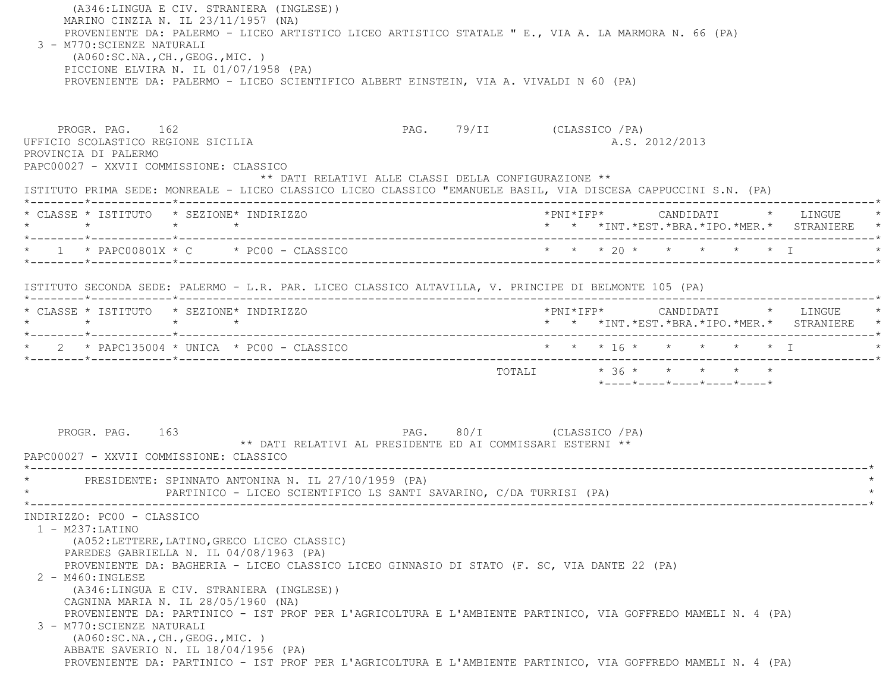(A346:LINGUA E CIV. STRANIERA (INGLESE)) MARINO CINZIA N. IL 23/11/1957 (NA) PROVENIENTE DA: PALERMO - LICEO ARTISTICO LICEO ARTISTICO STATALE " E., VIA A. LA MARMORA N. 66 (PA) 3 - M770:SCIENZE NATURALI (A060:SC.NA.,CH.,GEOG.,MIC. ) PICCIONE ELVIRA N. IL 01/07/1958 (PA) PROVENIENTE DA: PALERMO - LICEO SCIENTIFICO ALBERT EINSTEIN, VIA A. VIVALDI N 60 (PA) PROGR. PAG. 162 PAG. 79/II (CLASSICO /PA) UFFICIO SCOLASTICO REGIONE SICILIA A.S. 2012/2013 PROVINCIA DI PALERMO PAPC00027 - XXVII COMMISSIONE: CLASSICO \*\* DATI RELATIVI ALLE CLASSI DELLA CONFIGURAZIONE \*\* ISTITUTO PRIMA SEDE: MONREALE - LICEO CLASSICO LICEO CLASSICO "EMANUELE BASIL, VIA DISCESA CAPPUCCINI S.N. (PA) \*--------\*------------\*-------------------------------------------------------------------------------------------------------\* \* CLASSE \* ISTITUTO \* SEZIONE\* INDIRIZZO \*PNI\*IFP\* CANDIDATI \* LINGUE \* \* \* \* \* \* \* \*INT.\*EST.\*BRA.\*IPO.\*MER.\* STRANIERE \* \*--------\*------------\*-------------------------------------------------------------------------------------------------------\* \* 1 \* PAPC00801X \* C \* PC00 - CLASSICO \* \* \* 20 \* \* \* \* \* I \* \*--------\*------------\*-------------------------------------------------------------------------------------------------------\* ISTITUTO SECONDA SEDE: PALERMO - L.R. PAR. LICEO CLASSICO ALTAVILLA, V. PRINCIPE DI BELMONTE 105 (PA) \*--------\*------------\*-------------------------------------------------------------------------------------------------------\* \* CLASSE \* ISTITUTO \* SEZIONE\* INDIRIZZO \*PNI\*IFP\* CANDIDATI \* LINGUE \* \* \* \* \* \* \* \*INT.\*EST.\*BRA.\*IPO.\*MER.\* STRANIERE \* \*--------\*------------\*-------------------------------------------------------------------------------------------------------\* \* 2 \* PAPC135004 \* UNICA \* PC00 - CLASSICO \* \* \* 16 \* \* \* \* \* I \* \*--------\*------------\*-------------------------------------------------------------------------------------------------------\*TOTALI  $* 36 * * * * * * * * * *$  \*----\*----\*----\*----\*----\*PROGR. PAG. 163 PAG. 80/I (CLASSICO /PA) \*\* DATI RELATIVI AL PRESIDENTE ED AI COMMISSARI ESTERNI \*\* PAPC00027 - XXVII COMMISSIONE: CLASSICO \*----------------------------------------------------------------------------------------------------------------------------\*PRESIDENTE: SPINNATO ANTONINA N. IL 27/10/1959 (PA) PARTINICO - LICEO SCIENTIFICO LS SANTI SAVARINO, C/DA TURRISI (PA) \*----------------------------------------------------------------------------------------------------------------------------\* INDIRIZZO: PC00 - CLASSICO 1 - M237:LATINO (A052:LETTERE,LATINO,GRECO LICEO CLASSIC) PAREDES GABRIELLA N. IL 04/08/1963 (PA) PROVENIENTE DA: BAGHERIA - LICEO CLASSICO LICEO GINNASIO DI STATO (F. SC, VIA DANTE 22 (PA) 2 - M460:INGLESE (A346:LINGUA E CIV. STRANIERA (INGLESE)) CAGNINA MARIA N. IL 28/05/1960 (NA) PROVENIENTE DA: PARTINICO - IST PROF PER L'AGRICOLTURA E L'AMBIENTE PARTINICO, VIA GOFFREDO MAMELI N. 4 (PA) 3 - M770:SCIENZE NATURALI (A060:SC.NA.,CH.,GEOG.,MIC. ) ABBATE SAVERIO N. IL 18/04/1956 (PA) PROVENIENTE DA: PARTINICO - IST PROF PER L'AGRICOLTURA E L'AMBIENTE PARTINICO, VIA GOFFREDO MAMELI N. 4 (PA)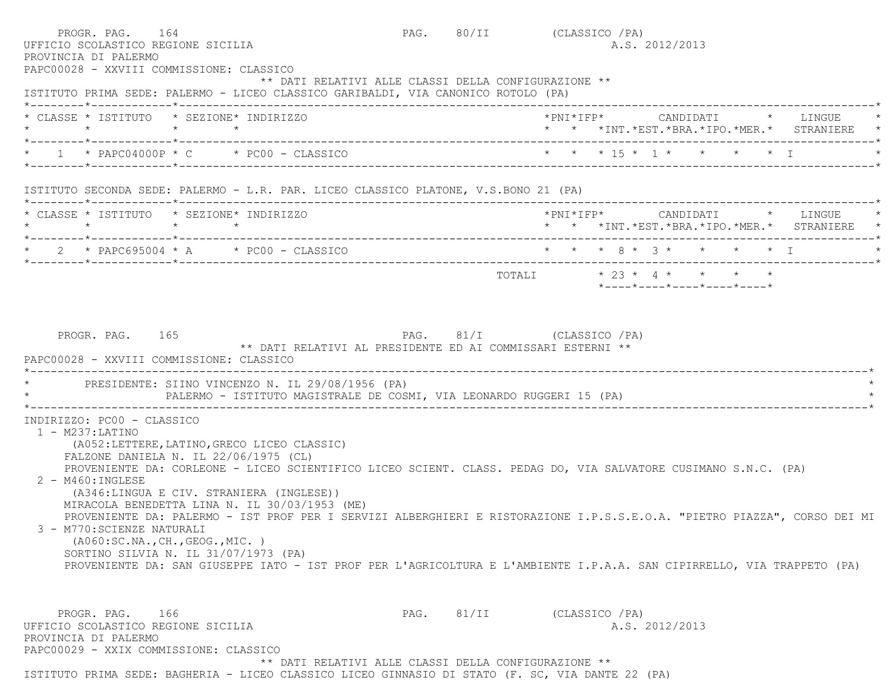PROGR. PAG. 164 PAG. 80/II (CLASSICO /PA) UFFICIO SCOLASTICO REGIONE SICILIA A.S. 2012/2013 PROVINCIA DI PALERMO PAPC00028 - XXVIII COMMISSIONE: CLASSICO \*\* DATI RELATIVI ALLE CLASSI DELLA CONFIGURAZIONE \*\* ISTITUTO PRIMA SEDE: PALERMO - LICEO CLASSICO GARIBALDI, VIA CANONICO ROTOLO (PA) \*--------\*------------\*-------------------------------------------------------------------------------------------------------\* \* CLASSE \* ISTITUTO \* SEZIONE\* INDIRIZZO \*PNI\*IFP\* CANDIDATI \* LINGUE \* \* \* \* \* \* \* \*INT.\*EST.\*BRA.\*IPO.\*MER.\* STRANIERE \* \*--------\*------------\*-------------------------------------------------------------------------------------------------------\*1 \* PAPC04000P \* C \* PC00 - CLASSICO \* \* \* \* \* 15 \* 1 \* \* \* \* \* T \*--------\*------------\*-------------------------------------------------------------------------------------------------------\* ISTITUTO SECONDA SEDE: PALERMO - L.R. PAR. LICEO CLASSICO PLATONE, V.S.BONO 21 (PA) \*--------\*------------\*-------------------------------------------------------------------------------------------------------\* \* CLASSE \* ISTITUTO \* SEZIONE\* INDIRIZZO \*PNI\*IFP\* CANDIDATI \* LINGUE \* \* \* \* \* \* \* \*INT.\*EST.\*BRA.\*IPO.\*MER.\* STRANIERE \* \*--------\*------------\*-------------------------------------------------------------------------------------------------------\*2 \* PAPC695004 \* A \* PC00 - CLASSICO \* \* \* \* \* 8 \* 3 \* \* \* \* \* \* I \*--------\*------------\*-------------------------------------------------------------------------------------------------------\*TOTALI  $* 23 * 4 * * * * * *$  \*----\*----\*----\*----\*----\*PROGR. PAG. 165 PAG. 81/I (CLASSICO /PA) \*\* DATI RELATIVI AL PRESIDENTE ED AI COMMISSARI ESTERNI \*\* PAPC00028 - XXVIII COMMISSIONE: CLASSICO--------------------------------------PRESIDENTE: SIINO VINCENZO N. IL 29/08/1956 (PA) PALERMO - ISTITUTO MAGISTRALE DE COSMI, VIA LEONARDO RUGGERI 15 (PA) \*----------------------------------------------------------------------------------------------------------------------------\* INDIRIZZO: PC00 - CLASSICO 1 - M237:LATINO (A052:LETTERE,LATINO,GRECO LICEO CLASSIC) FALZONE DANIELA N. IL 22/06/1975 (CL) PROVENIENTE DA: CORLEONE - LICEO SCIENTIFICO LICEO SCIENT. CLASS. PEDAG DO, VIA SALVATORE CUSIMANO S.N.C. (PA) 2 - M460:INGLESE (A346:LINGUA E CIV. STRANIERA (INGLESE)) MIRACOLA BENEDETTA LINA N. IL 30/03/1953 (ME) PROVENIENTE DA: PALERMO - IST PROF PER I SERVIZI ALBERGHIERI E RISTORAZIONE I.P.S.S.E.O.A. "PIETRO PIAZZA", CORSO DEI MI 3 - M770:SCIENZE NATURALI (A060:SC.NA.,CH.,GEOG.,MIC. ) SORTINO SILVIA N. IL 31/07/1973 (PA) PROVENIENTE DA: SAN GIUSEPPE IATO - IST PROF PER L'AGRICOLTURA E L'AMBIENTE I.P.A.A. SAN CIPIRRELLO, VIA TRAPPETO (PA) PROGR. PAG. 166 PAG. B1/II (CLASSICO /PA) UFFICIO SCOLASTICO REGIONE SICILIA A.S. 2012/2013 PROVINCIA DI PALERMO PAPC00029 - XXIX COMMISSIONE: CLASSICO\*\* DATI RELATIVI ALLE CLASSI DELLA CONFIGURAZIONE \*\*

ISTITUTO PRIMA SEDE: BAGHERIA - LICEO CLASSICO LICEO GINNASIO DI STATO (F. SC, VIA DANTE 22 (PA)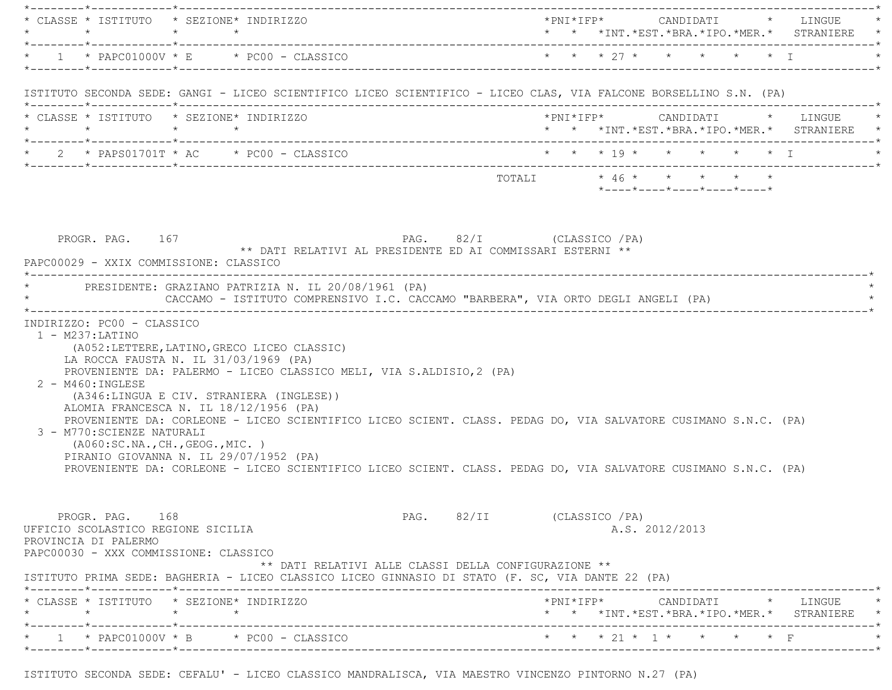|         | $\star$                                                                       | * CLASSE * ISTITUTO * SEZIONE* INDIRIZZO<br>$\star$ $\star$                                                                                                                                                                                                                                                                                                                                          |  | *PNI*IFP*     CANDIDATI    *   LINGUE   *<br>* * *INT.*EST.*BRA.*IPO.*MER.* STRANIERE * |  |
|---------|-------------------------------------------------------------------------------|------------------------------------------------------------------------------------------------------------------------------------------------------------------------------------------------------------------------------------------------------------------------------------------------------------------------------------------------------------------------------------------------------|--|-----------------------------------------------------------------------------------------|--|
|         |                                                                               | $*$ 1 $*$ PAPC01000V $*$ E $*$ PC00 - CLASSICO                                                                                                                                                                                                                                                                                                                                                       |  | * * * 27 * * * * * * I                                                                  |  |
|         |                                                                               | ISTITUTO SECONDA SEDE: GANGI - LICEO SCIENTIFICO LICEO SCIENTIFICO - LICEO CLAS, VIA FALCONE BORSELLINO S.N. (PA)                                                                                                                                                                                                                                                                                    |  |                                                                                         |  |
|         |                                                                               | * CLASSE * ISTITUTO * SEZIONE* INDIRIZZO<br>$\star \qquad \qquad \star \qquad \qquad \star \qquad \qquad \star$                                                                                                                                                                                                                                                                                      |  | *PNI*IFP*     CANDIDATI    *   LINGUE   *<br>* * *INT.*EST.*BRA.*IPO.*MER.* STRANIERE * |  |
|         |                                                                               |                                                                                                                                                                                                                                                                                                                                                                                                      |  |                                                                                         |  |
|         |                                                                               |                                                                                                                                                                                                                                                                                                                                                                                                      |  | TOTALI * 46 * * * * * *<br>*----*----*----*----*----*                                   |  |
|         |                                                                               | ** DATI RELATIVI AL PRESIDENTE ED AI COMMISSARI ESTERNI **<br>PAPC00029 - XXIX COMMISSIONE: CLASSICO<br>* PRESIDENTE: GRAZIANO PATRIZIA N. IL 20/08/1961 (PA)<br>CACCAMO - ISTITUTO COMPRENSIVO I.C. CACCAMO "BARBERA", VIA ORTO DEGLI ANGELI (PA)                                                                                                                                                   |  |                                                                                         |  |
|         | $1 - M237: LATINO$                                                            | (A052:LETTERE, LATINO, GRECO LICEO CLASSIC)<br>LA ROCCA FAUSTA N. IL 31/03/1969 (PA)<br>PROVENIENTE DA: PALERMO - LICEO CLASSICO MELI, VIA S.ALDISIO, 2 (PA)                                                                                                                                                                                                                                         |  |                                                                                         |  |
|         | $2 - M460$ : INGLESE<br>3 - M770: SCIENZE NATURALI                            | (A346:LINGUA E CIV. STRANIERA (INGLESE))<br>ALOMIA FRANCESCA N. IL 18/12/1956 (PA)<br>PROVENIENTE DA: CORLEONE - LICEO SCIENTIFICO LICEO SCIENT. CLASS. PEDAG DO, VIA SALVATORE CUSIMANO S.N.C. (PA)<br>(AO60:SC.NA., CH., GEOG., MIC. )<br>PIRANIO GIOVANNA N. IL 29/07/1952 (PA)<br>PROVENIENTE DA: CORLEONE - LICEO SCIENTIFICO LICEO SCIENT. CLASS. PEDAG DO, VIA SALVATORE CUSIMANO S.N.C. (PA) |  |                                                                                         |  |
|         | PROGR. PAG. 168<br>UFFICIO SCOLASTICO REGIONE SICILIA<br>PROVINCIA DI PALERMO | PAG. 82/II (CLASSICO / PA)<br>PAPC00030 - XXX COMMISSIONE: CLASSICO<br>** DATI RELATIVI ALLE CLASSI DELLA CONFIGURAZIONE **<br>ISTITUTO PRIMA SEDE: BAGHERIA - LICEO CLASSICO LICEO GINNASIO DI STATO (F. SC, VIA DANTE 22 (PA)                                                                                                                                                                      |  | A.S. 2012/2013                                                                          |  |
| $\star$ | *--------*------------*----------                                             | * CLASSE * ISTITUTO * SEZIONE* INDIRIZZO<br>$\star$ $\star$                                                                                                                                                                                                                                                                                                                                          |  | *PNI*IFP* CANDIDATI * LINGUE<br>* * *INT. *EST. *BRA. *IPO. *MER. * STRANIERE *         |  |

ISTITUTO SECONDA SEDE: CEFALU' - LICEO CLASSICO MANDRALISCA, VIA MAESTRO VINCENZO PINTORNO N.27 (PA)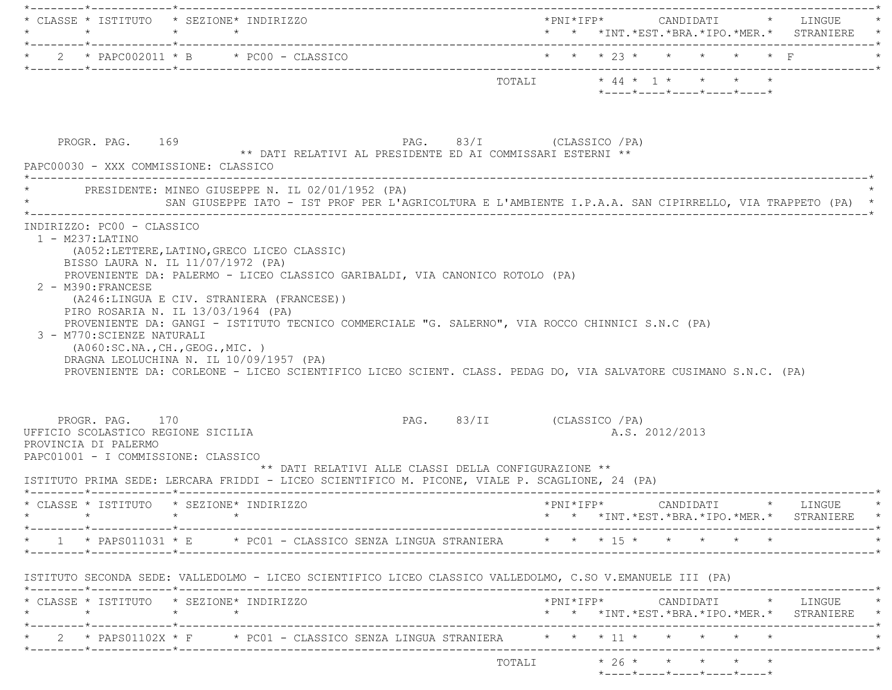|                 | $\star$                                                                       | * CLASSE * ISTITUTO * SEZIONE* INDIRIZZO<br>$\star$ $\star$                                                                                                                                                                                                                                                                                                                                                                                                                                               | * * *INT.*EST.*BRA.*IPO.*MER.* STRANIERE *                                                   |
|-----------------|-------------------------------------------------------------------------------|-----------------------------------------------------------------------------------------------------------------------------------------------------------------------------------------------------------------------------------------------------------------------------------------------------------------------------------------------------------------------------------------------------------------------------------------------------------------------------------------------------------|----------------------------------------------------------------------------------------------|
|                 |                                                                               | * $2$ * PAPC002011 * B * PC00 - CLASSICO                                                                                                                                                                                                                                                                                                                                                                                                                                                                  | * * * 23 * * * * * * F                                                                       |
|                 |                                                                               |                                                                                                                                                                                                                                                                                                                                                                                                                                                                                                           | TOTALI * 44 * 1 * * * * *<br>$*$ - - - - $*$ - - - - $*$ - - - - $*$ - - - - $*$ - - - - $*$ |
|                 | PROGR. PAG. 169                                                               | PAG. 83/I (CLASSICO / PA)<br>** DATI RELATIVI AL PRESIDENTE ED AI COMMISSARI ESTERNI **<br>PAPC00030 - XXX COMMISSIONE: CLASSICO                                                                                                                                                                                                                                                                                                                                                                          |                                                                                              |
|                 |                                                                               | PRESIDENTE: MINEO GIUSEPPE N. IL 02/01/1952 (PA)<br>SAN GIUSEPPE IATO - IST PROF PER L'AGRICOLTURA E L'AMBIENTE I.P.A.A. SAN CIPIRRELLO, VIA TRAPPETO (PA) *                                                                                                                                                                                                                                                                                                                                              |                                                                                              |
|                 | 2 - M390: FRANCESE<br>3 - M770: SCIENZE NATURALI                              | BISSO LAURA N. IL 11/07/1972 (PA)<br>PROVENIENTE DA: PALERMO - LICEO CLASSICO GARIBALDI, VIA CANONICO ROTOLO (PA)<br>(A246:LINGUA E CIV. STRANIERA (FRANCESE))<br>PIRO ROSARIA N. IL 13/03/1964 (PA)<br>PROVENIENTE DA: GANGI - ISTITUTO TECNICO COMMERCIALE "G. SALERNO", VIA ROCCO CHINNICI S.N.C (PA)<br>(AO60:SC.NA., CH., GEOG., MIC. )<br>DRAGNA LEOLUCHINA N. IL 10/09/1957 (PA)<br>PROVENIENTE DA: CORLEONE - LICEO SCIENTIFICO LICEO SCIENT. CLASS. PEDAG DO, VIA SALVATORE CUSIMANO S.N.C. (PA) |                                                                                              |
|                 | PROGR. PAG. 170<br>UFFICIO SCOLASTICO REGIONE SICILIA<br>PROVINCIA DI PALERMO | PAG. 83/II (CLASSICO / PA)<br>PAPC01001 - I COMMISSIONE: CLASSICO<br>** DATI RELATIVI ALLE CLASSI DELLA CONFIGURAZIONE **<br>ISTITUTO PRIMA SEDE: LERCARA FRIDDI - LICEO SCIENTIFICO M. PICONE, VIALE P. SCAGLIONE, 24 (PA)                                                                                                                                                                                                                                                                               | A.S. 2012/2013                                                                               |
|                 |                                                                               | * CLASSE * ISTITUTO * SEZIONE* INDIRIZZO                                                                                                                                                                                                                                                                                                                                                                                                                                                                  | *PNI*IFP* CANDIDATI * LINGUE<br>* * *INT.*EST.*BRA.*IPO.*MER.* STRANIERE *                   |
|                 |                                                                               | * 1 * PAPS011031 * E * PC01 - CLASSICO SENZA LINGUA STRANIERA * * * * 15 * * * * * *                                                                                                                                                                                                                                                                                                                                                                                                                      |                                                                                              |
| $\star$ $\star$ | $\star$                                                                       | ISTITUTO SECONDA SEDE: VALLEDOLMO - LICEO SCIENTIFICO LICEO CLASSICO VALLEDOLMO, C.SO V.EMANUELE III (PA)<br>* CLASSE * ISTITUTO * SEZIONE* INDIRIZZO                                                                                                                                                                                                                                                                                                                                                     | *PNI*IFP*     CANDIDATI    *  LINGUE<br>* * *INT. *EST. *BRA. *IPO. *MER. * STRANIERE *      |
|                 |                                                                               | * 2 * PAPS01102X * F * PC01 - CLASSICO SENZA LINGUA STRANIERA * * * 11 * * * * * *                                                                                                                                                                                                                                                                                                                                                                                                                        |                                                                                              |
|                 |                                                                               |                                                                                                                                                                                                                                                                                                                                                                                                                                                                                                           | *----*----*----*----*----*                                                                   |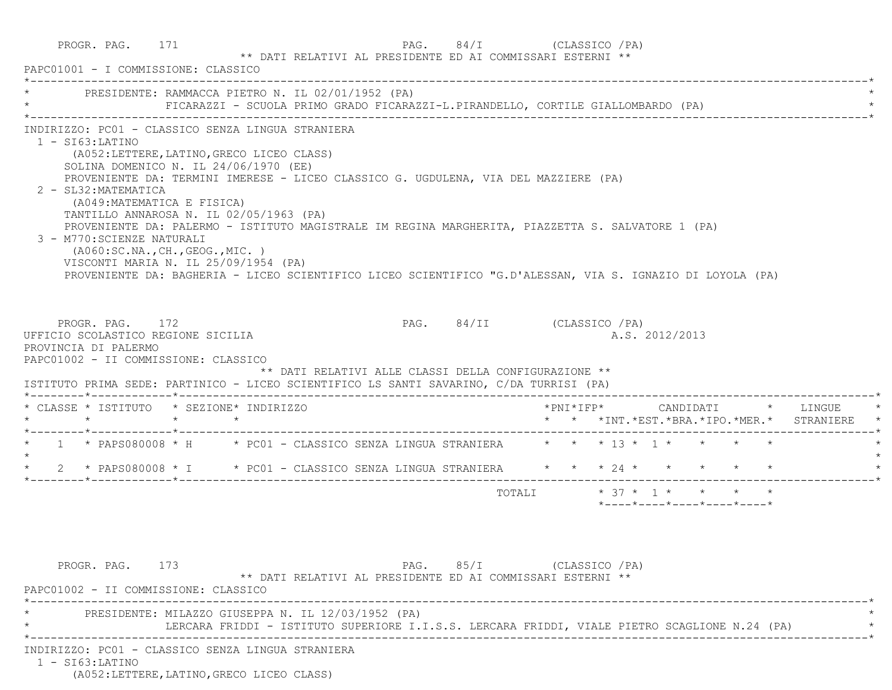|         | PROGR. PAG. 171<br>PAPC01001 - I COMMISSIONE: CLASSICO                                                                                                                                                                                                                                                                  |  |                                                     |      | PAG. 84/I (CLASSICO / PA)<br>** DATI RELATIVI AL PRESIDENTE ED AI COMMISSARI ESTERNI **                                                                                                                                                                                                                |  |                 |                                                  |  |                                                                                           |  |
|---------|-------------------------------------------------------------------------------------------------------------------------------------------------------------------------------------------------------------------------------------------------------------------------------------------------------------------------|--|-----------------------------------------------------|------|--------------------------------------------------------------------------------------------------------------------------------------------------------------------------------------------------------------------------------------------------------------------------------------------------------|--|-----------------|--------------------------------------------------|--|-------------------------------------------------------------------------------------------|--|
|         |                                                                                                                                                                                                                                                                                                                         |  | * PRESIDENTE: RAMMACCA PIETRO N. IL 02/01/1952 (PA) |      | FICARAZZI - SCUOLA PRIMO GRADO FICARAZZI-L.PIRANDELLO, CORTILE GIALLOMBARDO (PA)                                                                                                                                                                                                                       |  |                 |                                                  |  |                                                                                           |  |
|         | $1 - SI63$ : LATINO<br>(A052:LETTERE, LATINO, GRECO LICEO CLASS)<br>SOLINA DOMENICO N. IL $24/06/1970$ (EE)<br>2 - SL32: MATEMATICA<br>(A049: MATEMATICA E FISICA)<br>TANTILLO ANNAROSA N. IL 02/05/1963 (PA)<br>3 - M770: SCIENZE NATURALI<br>(AO60:SC.NA., CH., GEOG., MIC. )<br>VISCONTI MARIA N. IL 25/09/1954 (PA) |  | INDIRIZZO: PC01 - CLASSICO SENZA LINGUA STRANIERA   |      | PROVENIENTE DA: TERMINI IMERESE - LICEO CLASSICO G. UGDULENA, VIA DEL MAZZIERE (PA)<br>PROVENIENTE DA: PALERMO - ISTITUTO MAGISTRALE IM REGINA MARGHERITA, PIAZZETTA S. SALVATORE 1 (PA)<br>PROVENIENTE DA: BAGHERIA - LICEO SCIENTIFICO LICEO SCIENTIFICO "G.D'ALESSAN, VIA S. IGNAZIO DI LOYOLA (PA) |  |                 |                                                  |  |                                                                                           |  |
|         | PROGR. PAG. 172<br>UFFICIO SCOLASTICO REGIONE SICILIA<br>PROVINCIA DI PALERMO                                                                                                                                                                                                                                           |  |                                                     |      | PAG. 84/II (CLASSICO / PA)                                                                                                                                                                                                                                                                             |  |                 | A.S. 2012/2013                                   |  |                                                                                           |  |
|         | PAPC01002 - II COMMISSIONE: CLASSICO                                                                                                                                                                                                                                                                                    |  |                                                     |      | ** DATI RELATIVI ALLE CLASSI DELLA CONFIGURAZIONE **<br>ISTITUTO PRIMA SEDE: PARTINICO - LICEO SCIENTIFICO LS SANTI SAVARINO, C/DA TURRISI (PA)                                                                                                                                                        |  |                 |                                                  |  |                                                                                           |  |
|         | * CLASSE * ISTITUTO * SEZIONE* INDIRIZZO                                                                                                                                                                                                                                                                                |  |                                                     |      |                                                                                                                                                                                                                                                                                                        |  |                 |                                                  |  | $*$ PNI $*$ IFP $*$ CANDIDATI $*$ LINGUE<br>* * *INT. *EST. *BRA. *IPO. *MER. * STRANIERE |  |
|         |                                                                                                                                                                                                                                                                                                                         |  |                                                     |      | * 1 * PAPS080008 * H * PC01 - CLASSICO SENZA LINGUA STRANIERA * * * 13 * 1 * * * * *                                                                                                                                                                                                                   |  |                 |                                                  |  |                                                                                           |  |
| $\star$ |                                                                                                                                                                                                                                                                                                                         |  |                                                     |      | 2 * PAPS080008 * I * PC01 - CLASSICO SENZA LINGUA STRANIERA * * * 24 * * * * * * *                                                                                                                                                                                                                     |  |                 |                                                  |  |                                                                                           |  |
|         |                                                                                                                                                                                                                                                                                                                         |  |                                                     |      |                                                                                                                                                                                                                                                                                                        |  |                 | $*$ ---- $*$ ---- $*$ ---- $*$ ---- $*$ ---- $*$ |  |                                                                                           |  |
|         | PROGR. PAG. 173<br>PAPC01002 - II COMMISSIONE: CLASSICO                                                                                                                                                                                                                                                                 |  | PRESIDENTE: MILAZZO GIUSEPPA N. IL 12/03/1952 (PA)  | PAG. | 85/I<br>** DATI RELATIVI AL PRESIDENTE ED AI COMMISSARI ESTERNI **<br>LERCARA FRIDDI - ISTITUTO SUPERIORE I.I.S.S. LERCARA FRIDDI, VIALE PIETRO SCAGLIONE N.24 (PA)                                                                                                                                    |  | (CLASSICO / PA) |                                                  |  |                                                                                           |  |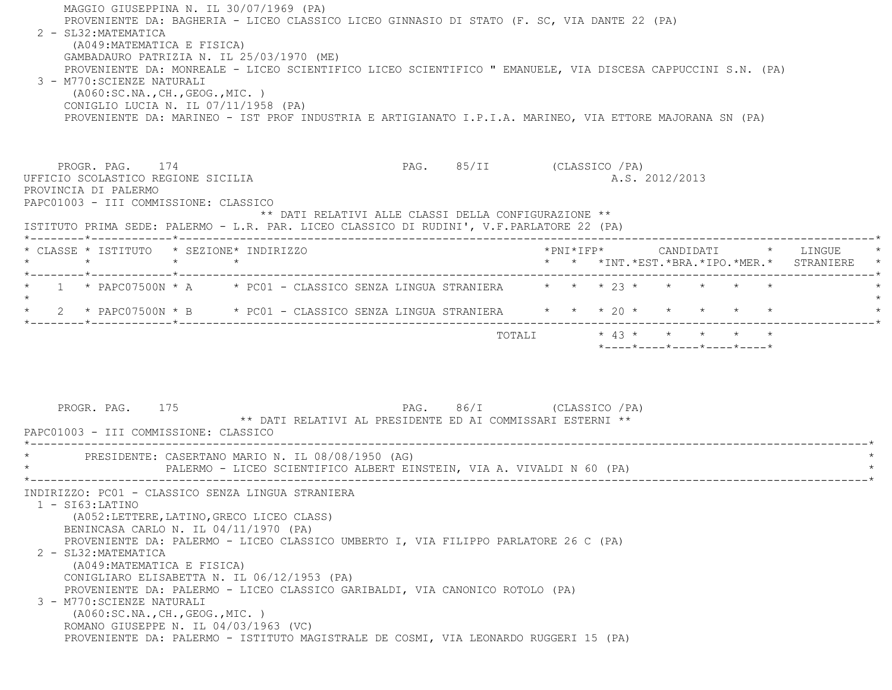| MAGGIO GIUSEPPINA N. IL 30/07/1969 (PA)<br>PROVENIENTE DA: BAGHERIA - LICEO CLASSICO LICEO GINNASIO DI STATO (F. SC, VIA DANTE 22 (PA)<br>2 - SL32: MATEMATICA<br>(A049: MATEMATICA E FISICA)<br>GAMBADAURO PATRIZIA N. IL 25/03/1970 (ME)<br>PROVENIENTE DA: MONREALE - LICEO SCIENTIFICO LICEO SCIENTIFICO " EMANUELE, VIA DISCESA CAPPUCCINI S.N. (PA)<br>3 - M770:SCIENZE NATURALI<br>( A060:SC.NA., CH., GEOG., MIC. )<br>CONIGLIO LUCIA N. IL 07/11/1958 (PA)<br>PROVENIENTE DA: MARINEO - IST PROF INDUSTRIA E ARTIGIANATO I.P.I.A. MARINEO, VIA ETTORE MAJORANA SN (PA) |                                                                                    |  |                                                                 |                                                                                     |  |
|---------------------------------------------------------------------------------------------------------------------------------------------------------------------------------------------------------------------------------------------------------------------------------------------------------------------------------------------------------------------------------------------------------------------------------------------------------------------------------------------------------------------------------------------------------------------------------|------------------------------------------------------------------------------------|--|-----------------------------------------------------------------|-------------------------------------------------------------------------------------|--|
| PROGR. PAG. 174<br>UFFICIO SCOLASTICO REGIONE SICILIA<br>PROVINCIA DI PALERMO<br>PAPC01003 - III COMMISSIONE: CLASSICO<br>ISTITUTO PRIMA SEDE: PALERMO - L.R. PAR. LICEO CLASSICO DI RUDINI', V.F. PARLATORE 22 (PA)                                                                                                                                                                                                                                                                                                                                                            | PAG. 85/II (CLASSICO / PA)<br>** DATI RELATIVI ALLE CLASSI DELLA CONFIGURAZIONE ** |  | A.S. 2012/2013                                                  |                                                                                     |  |
|                                                                                                                                                                                                                                                                                                                                                                                                                                                                                                                                                                                 |                                                                                    |  |                                                                 |                                                                                     |  |
| * CLASSE * ISTITUTO * SEZIONE* INDIRIZZO<br>$\star$ $\star$ $\star$                                                                                                                                                                                                                                                                                                                                                                                                                                                                                                             |                                                                                    |  |                                                                 | *PNI*IFP*     CANDIDATI    *   LINGUE<br>* * *INT.*EST.*BRA.*IPO.*MER.* STRANIERE * |  |
| * 1 * PAPC07500N * A * PC01 - CLASSICO SENZA LINGUA STRANIERA * * * 23 * * *                                                                                                                                                                                                                                                                                                                                                                                                                                                                                                    |                                                                                    |  |                                                                 |                                                                                     |  |
| $\star$<br>2 * PAPC07500N * B * PC01 - CLASSICO SENZA LINGUA STRANIERA * * * 20 * * * * * *                                                                                                                                                                                                                                                                                                                                                                                                                                                                                     |                                                                                    |  |                                                                 |                                                                                     |  |
|                                                                                                                                                                                                                                                                                                                                                                                                                                                                                                                                                                                 |                                                                                    |  | $*$ - - - - $*$ - - - - $*$ - - - - $*$ - - - - $*$ - - - - $*$ |                                                                                     |  |
| PAG. 86/I (CLASSICO / PA)<br>PROGR. PAG. 175<br>** DATI RELATIVI AL PRESIDENTE ED AI COMMISSARI ESTERNI **<br>PAPC01003 - III COMMISSIONE: CLASSICO<br>PRESIDENTE: CASERTANO MARIO N. IL 08/08/1950 (AG)                                                                                                                                                                                                                                                                                                                                                                        |                                                                                    |  |                                                                 |                                                                                     |  |
| PALERMO - LICEO SCIENTIFICO ALBERT EINSTEIN, VIA A. VIVALDI N 60 (PA)                                                                                                                                                                                                                                                                                                                                                                                                                                                                                                           |                                                                                    |  |                                                                 |                                                                                     |  |
| INDIRIZZO: PC01 - CLASSICO SENZA LINGUA STRANIERA<br>1 - SI63:LATINO<br>(A052: LETTERE, LATINO, GRECO LICEO CLASS)<br>BENINCASA CARLO N. IL 04/11/1970 (PA)<br>PROVENIENTE DA: PALERMO - LICEO CLASSICO UMBERTO I, VIA FILIPPO PARLATORE 26 C (PA)<br>2 - SL32: MATEMATICA<br>(A049: MATEMATICA E FISICA)<br>CONIGLIARO ELISABETTA N. IL 06/12/1953 (PA)<br>PROVENIENTE DA: PALERMO - LICEO CLASSICO GARIBALDI, VIA CANONICO ROTOLO (PA)<br>3 - M770: SCIENZE NATURALI<br>( A060:SC.NA., CH., GEOG., MIC. )<br>ROMANO GIUSEPPE N. IL 04/03/1963 (VC)                            |                                                                                    |  |                                                                 |                                                                                     |  |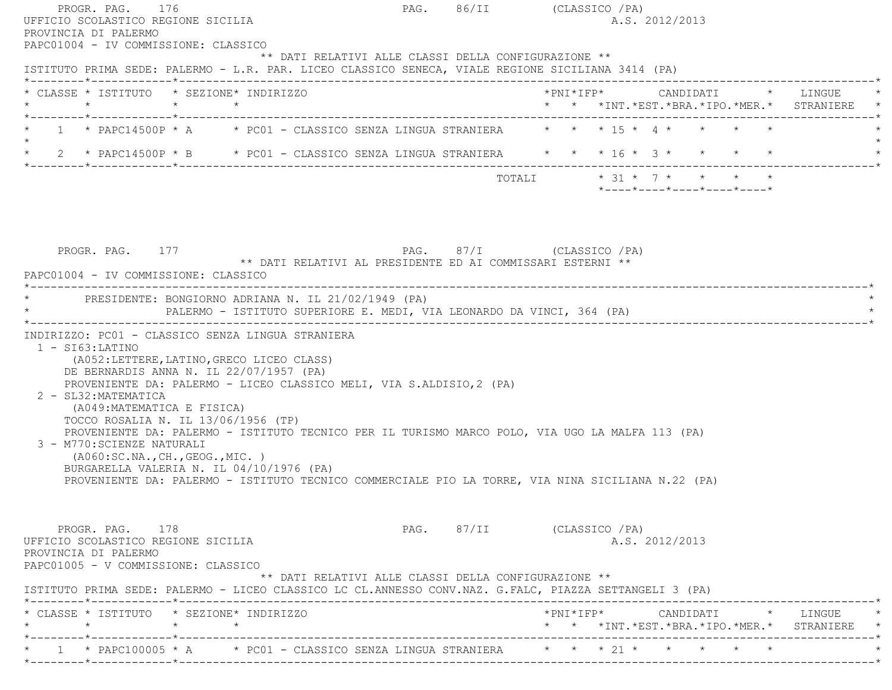| PROGR. PAG. 176<br>UFFICIO SCOLASTICO REGIONE SICILIA<br>PROVINCIA DI PALERMO<br>PAPC01004 - IV COMMISSIONE: CLASSICO                                                                                                                                                                                                                                                                                                                                                                                                                                 | PAG. 86/II (CLASSICO / PA) |                           |                                          | A.S. 2012/2013 |  |                                               |  |
|-------------------------------------------------------------------------------------------------------------------------------------------------------------------------------------------------------------------------------------------------------------------------------------------------------------------------------------------------------------------------------------------------------------------------------------------------------------------------------------------------------------------------------------------------------|----------------------------|---------------------------|------------------------------------------|----------------|--|-----------------------------------------------|--|
| ** DATI RELATIVI ALLE CLASSI DELLA CONFIGURAZIONE **<br>ISTITUTO PRIMA SEDE: PALERMO - L.R. PAR. LICEO CLASSICO SENECA, VIALE REGIONE SICILIANA 3414 (PA)                                                                                                                                                                                                                                                                                                                                                                                             |                            |                           |                                          |                |  |                                               |  |
| * CLASSE * ISTITUTO * SEZIONE* INDIRIZZO<br>$\star$<br>$\star$<br>$\star$                                                                                                                                                                                                                                                                                                                                                                                                                                                                             |                            |                           |                                          |                |  | * * *INT. *EST. *BRA. *IPO. *MER. * STRANIERE |  |
| 1 * PAPC14500P * A * PC01 - CLASSICO SENZA LINGUA STRANIERA * * * 15 * 4 * * * * *                                                                                                                                                                                                                                                                                                                                                                                                                                                                    |                            |                           |                                          |                |  |                                               |  |
| * 2 * PAPC14500P * B * PC01 - CLASSICO SENZA LINGUA STRANIERA * * * 16 * 3 * * * * *                                                                                                                                                                                                                                                                                                                                                                                                                                                                  |                            |                           |                                          |                |  |                                               |  |
|                                                                                                                                                                                                                                                                                                                                                                                                                                                                                                                                                       |                            | TOTALI * 31 * 7 * * * * * | *----*----*----*----*----*               |                |  |                                               |  |
| PROGR. PAG. 177<br>** DATI RELATIVI AL PRESIDENTE ED AI COMMISSARI ESTERNI **<br>PAPC01004 - IV COMMISSIONE: CLASSICO<br>PRESIDENTE: BONGIORNO ADRIANA N. IL 21/02/1949 (PA)<br>PALERMO - ISTITUTO SUPERIORE E. MEDI, VIA LEONARDO DA VINCI, 364 (PA)                                                                                                                                                                                                                                                                                                 | PAG. 87/I (CLASSICO / PA)  |                           |                                          |                |  |                                               |  |
| INDIRIZZO: PC01 - CLASSICO SENZA LINGUA STRANIERA<br>$1 - SI63:LATINO$<br>(A052:LETTERE, LATINO, GRECO LICEO CLASS)<br>DE BERNARDIS ANNA N. IL 22/07/1957 (PA)<br>PROVENIENTE DA: PALERMO - LICEO CLASSICO MELI, VIA S.ALDISIO, 2 (PA)<br>2 - SL32: MATEMATICA<br>(A049: MATEMATICA E FISICA)<br>TOCCO ROSALIA N. IL 13/06/1956 (TP)<br>PROVENIENTE DA: PALERMO - ISTITUTO TECNICO PER IL TURISMO MARCO POLO, VIA UGO LA MALFA 113 (PA)<br>3 - M770: SCIENZE NATURALI<br>(AO60:SC.NA., CH., GEOG., MIC. )<br>BURGARELLA VALERIA N. IL 04/10/1976 (PA) |                            |                           |                                          |                |  |                                               |  |
| PROVENIENTE DA: PALERMO - ISTITUTO TECNICO COMMERCIALE PIO LA TORRE, VIA NINA SICILIANA N.22 (PA)<br>PROGR. PAG. 178<br>UFFICIO SCOLASTICO REGIONE SICILIA                                                                                                                                                                                                                                                                                                                                                                                            | PAG. 87/II (CLASSICO / PA) |                           |                                          | A.S. 2012/2013 |  |                                               |  |
| PROVINCIA DI PALERMO<br>PAPC01005 - V COMMISSIONE: CLASSICO<br>** DATI RELATIVI ALLE CLASSI DELLA CONFIGURAZIONE **<br>ISTITUTO PRIMA SEDE: PALERMO - LICEO CLASSICO LC CL.ANNESSO CONV.NAZ. G.FALC, PIAZZA SETTANGELI 3 (PA)                                                                                                                                                                                                                                                                                                                         |                            |                           |                                          |                |  |                                               |  |
| * CLASSE * ISTITUTO * SEZIONE* INDIRIZZO<br>$\star$<br>$\star$ $\sim$<br>________*____________*________                                                                                                                                                                                                                                                                                                                                                                                                                                               |                            | __________.               | * * * INT. * EST. * BRA. * IPO. * MER. * |                |  | *PNI*IFP* CANDIDATI * LINGUE<br>STRANIERE     |  |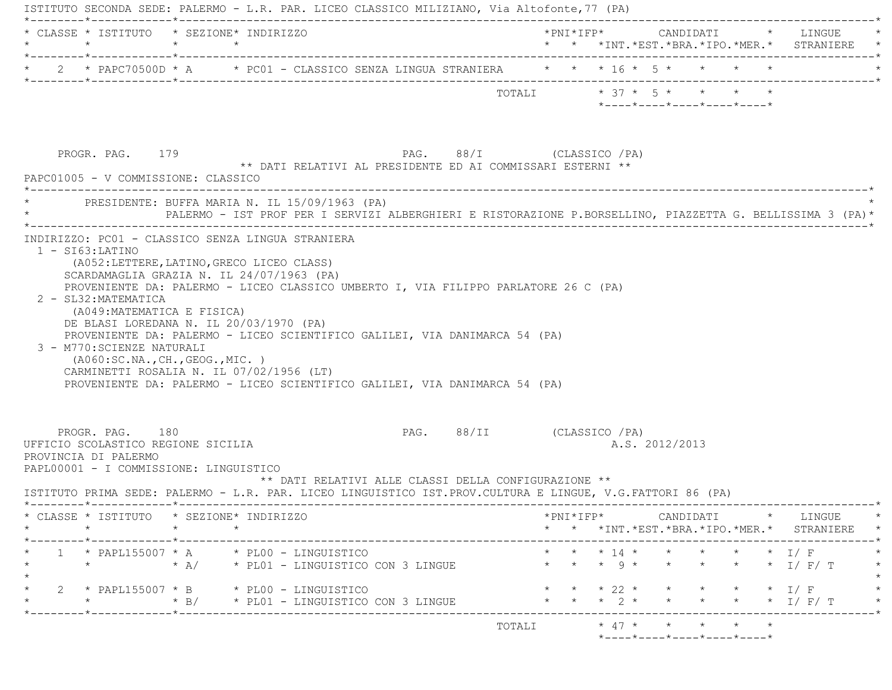| $\star$                                                                                                                 | $\star$ $\star$             | * CLASSE * ISTITUTO * SEZIONE* INDIRIZZO                                                                                                                                                                                                        |                            |  |  |                                                                 |                                                                 |  | * * *INT.*EST.*BRA.*IPO.*MER.* STRANIERE                                 |  |
|-------------------------------------------------------------------------------------------------------------------------|-----------------------------|-------------------------------------------------------------------------------------------------------------------------------------------------------------------------------------------------------------------------------------------------|----------------------------|--|--|-----------------------------------------------------------------|-----------------------------------------------------------------|--|--------------------------------------------------------------------------|--|
|                                                                                                                         |                             | * 2 * PAPC70500D * A * PC01 - CLASSICO SENZA LINGUA STRANIERA * * * 16 * 5 * * * * *                                                                                                                                                            |                            |  |  |                                                                 |                                                                 |  |                                                                          |  |
|                                                                                                                         |                             |                                                                                                                                                                                                                                                 | TOTALI * 37 * 5 * * * * *  |  |  |                                                                 | $*$ - - - - $*$ - - - - $*$ - - - - $*$ - - - - $*$ - - - - $*$ |  |                                                                          |  |
| PROGR. PAG. 179<br>PAPC01005 - V COMMISSIONE: CLASSICO                                                                  |                             | ** DATI RELATIVI AL PRESIDENTE ED AI COMMISSARI ESTERNI **                                                                                                                                                                                      | PAG. 88/I (CLASSICO / PA)  |  |  |                                                                 |                                                                 |  |                                                                          |  |
|                                                                                                                         |                             | PRESIDENTE: BUFFA MARIA N. IL 15/09/1963 (PA)<br>PALERMO - IST PROF PER I SERVIZI ALBERGHIERI E RISTORAZIONE P.BORSELLINO, PIAZZETTA G. BELLISSIMA 3 (PA)*                                                                                      |                            |  |  |                                                                 |                                                                 |  |                                                                          |  |
| 2 - SL32: MATEMATICA                                                                                                    |                             | SCARDAMAGLIA GRAZIA N. IL 24/07/1963 (PA)<br>PROVENIENTE DA: PALERMO - LICEO CLASSICO UMBERTO I, VIA FILIPPO PARLATORE 26 C (PA)                                                                                                                |                            |  |  |                                                                 |                                                                 |  |                                                                          |  |
| 3 - M770: SCIENZE NATURALI<br>(AO60:SC.NA., CH., GEOG., MIC. )<br>PROGR. PAG. 180<br>UFFICIO SCOLASTICO REGIONE SICILIA | (A049: MATEMATICA E FISICA) | DE BLASI LOREDANA N. IL 20/03/1970 (PA)<br>PROVENIENTE DA: PALERMO - LICEO SCIENTIFICO GALILEI, VIA DANIMARCA 54 (PA)<br>CARMINETTI ROSALIA N. IL 07/02/1956 (LT)<br>PROVENIENTE DA: PALERMO - LICEO SCIENTIFICO GALILEI, VIA DANIMARCA 54 (PA) | PAG. 88/II (CLASSICO / PA) |  |  | A.S. 2012/2013                                                  |                                                                 |  |                                                                          |  |
| PROVINCIA DI PALERMO<br>PAPL00001 - I COMMISSIONE: LINGUISTICO                                                          |                             | ** DATI RELATIVI ALLE CLASSI DELLA CONFIGURAZIONE **<br>ISTITUTO PRIMA SEDE: PALERMO - L.R. PAR. LICEO LINGUISTICO IST. PROV. CULTURA E LINGUE, V.G. FATTORI 86 (PA)                                                                            |                            |  |  |                                                                 |                                                                 |  |                                                                          |  |
| * CLASSE * ISTITUTO * SEZIONE* INDIRIZZO<br>$\star$                                                                     |                             | $\star$                                                                                                                                                                                                                                         |                            |  |  |                                                                 |                                                                 |  | *PNI*IFP* CANDIDATI * LINGUE<br>* * *INT.*EST.*BRA.*IPO.*MER.* STRANIERE |  |
|                                                                                                                         |                             | 1 * PAPL155007 * A * PL00 - LINGUISTICO<br>* * A/ * PL01 - LINGUISTICO CON 3 LINGUE                                                                                                                                                             |                            |  |  |                                                                 |                                                                 |  | * * * 14 * * * * * * I/F<br>* * 9 * * * * * * I/F/T                      |  |
| $\star$                                                                                                                 |                             | $2 \times$ PAPL155007 * B $\times$ PL00 - LINGUISTICO<br>* B/ * PL01 - LINGUISTICO CON 3 LINGUE                                                                                                                                                 |                            |  |  | $\star$ $\star$ 22 $\star$ $\star$<br>$\star$ 2 $\star$ $\star$ |                                                                 |  | $\star$ $\star$ $\perp$ $\perp$ $\perp$<br>* * $I / F / T$               |  |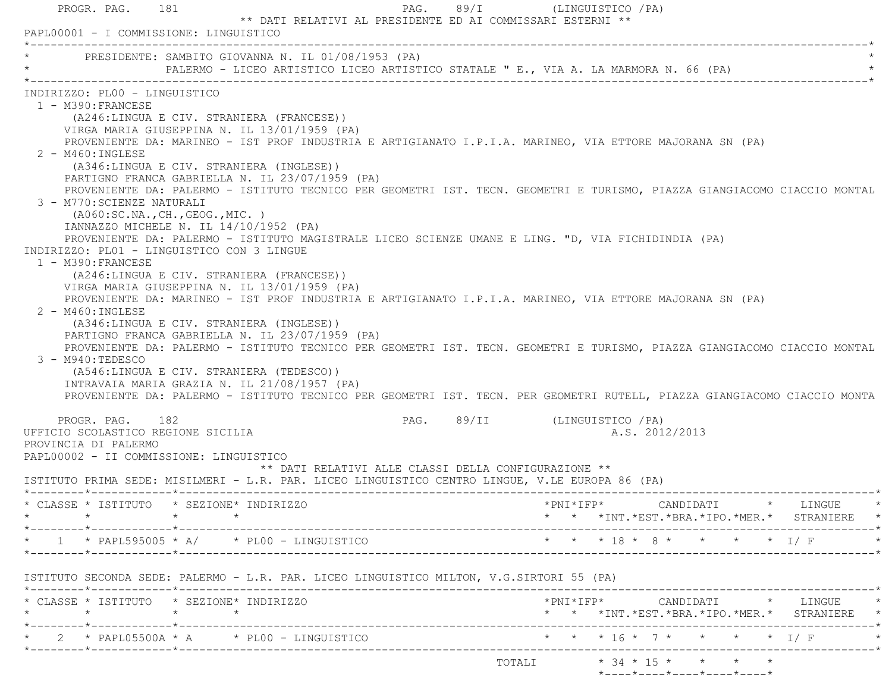|         | PAPL00001 - I COMMISSIONE: LINGUISTICO                                                                                                                                                                                                                                                                |                      | ** DATI RELATIVI AL PRESIDENTE ED AI COMMISSARI ESTERNI **                                                                                                                                                                                                                                                                                                                                                                                                                                                                                                                                                                                                                                                                                                                                                                                                                                                                                                                                                             |                                     |                     | PAG. 89/I (LINGUISTICO / PA) |                |                             |                                                                                     |
|---------|-------------------------------------------------------------------------------------------------------------------------------------------------------------------------------------------------------------------------------------------------------------------------------------------------------|----------------------|------------------------------------------------------------------------------------------------------------------------------------------------------------------------------------------------------------------------------------------------------------------------------------------------------------------------------------------------------------------------------------------------------------------------------------------------------------------------------------------------------------------------------------------------------------------------------------------------------------------------------------------------------------------------------------------------------------------------------------------------------------------------------------------------------------------------------------------------------------------------------------------------------------------------------------------------------------------------------------------------------------------------|-------------------------------------|---------------------|------------------------------|----------------|-----------------------------|-------------------------------------------------------------------------------------|
|         |                                                                                                                                                                                                                                                                                                       |                      | PRESIDENTE: SAMBITO GIOVANNA N. IL 01/08/1953 (PA)<br>PALERMO - LICEO ARTISTICO LICEO ARTISTICO STATALE " E., VIA A. LA MARMORA N. 66 (PA)                                                                                                                                                                                                                                                                                                                                                                                                                                                                                                                                                                                                                                                                                                                                                                                                                                                                             |                                     |                     |                              |                |                             |                                                                                     |
|         | INDIRIZZO: PL00 - LINGUISTICO<br>1 - M390: FRANCESE<br>$2 - M460$ : INGLESE<br>3 - M770: SCIENZE NATURALI<br>( A060:SC.NA., CH., GEOG., MIC. )<br>IANNAZZO MICHELE N. IL 14/10/1952 (PA)<br>INDIRIZZO: PL01 - LINGUISTICO CON 3 LINGUE<br>1 - M390: FRANCESE<br>2 - M460: INGLESE<br>3 - M940:TEDESCO |                      | (A246:LINGUA E CIV. STRANIERA (FRANCESE))<br>VIRGA MARIA GIUSEPPINA N. IL 13/01/1959 (PA)<br>PROVENIENTE DA: MARINEO - IST PROF INDUSTRIA E ARTIGIANATO I.P.I.A. MARINEO, VIA ETTORE MAJORANA SN (PA)<br>(A346:LINGUA E CIV. STRANIERA (INGLESE))<br>PARTIGNO FRANCA GABRIELLA N. IL 23/07/1959 (PA)<br>PROVENIENTE DA: PALERMO - ISTITUTO TECNICO PER GEOMETRI IST. TECN. GEOMETRI E TURISMO, PIAZZA GIANGIACOMO CIACCIO MONTAL<br>PROVENIENTE DA: PALERMO - ISTITUTO MAGISTRALE LICEO SCIENZE UMANE E LING. "D, VIA FICHIDINDIA (PA)<br>(A246:LINGUA E CIV. STRANIERA (FRANCESE))<br>VIRGA MARIA GIUSEPPINA N. IL 13/01/1959 (PA)<br>PROVENIENTE DA: MARINEO - IST PROF INDUSTRIA E ARTIGIANATO I.P.I.A. MARINEO, VIA ETTORE MAJORANA SN (PA)<br>(A346:LINGUA E CIV. STRANIERA (INGLESE))<br>PARTIGNO FRANCA GABRIELLA N. IL 23/07/1959 (PA)<br>PROVENIENTE DA: PALERMO - ISTITUTO TECNICO PER GEOMETRI IST. TECN. GEOMETRI E TURISMO, PIAZZA GIANGIACOMO CIACCIO MONTAL<br>(A546:LINGUA E CIV. STRANIERA (TEDESCO)) |                                     |                     |                              |                |                             |                                                                                     |
|         |                                                                                                                                                                                                                                                                                                       |                      | INTRAVAIA MARIA GRAZIA N. IL 21/08/1957 (PA)<br>PROVENIENTE DA: PALERMO - ISTITUTO TECNICO PER GEOMETRI IST. TECN. PER GEOMETRI RUTELL, PIAZZA GIANGIACOMO CIACCIO MONTA                                                                                                                                                                                                                                                                                                                                                                                                                                                                                                                                                                                                                                                                                                                                                                                                                                               |                                     |                     |                              |                |                             |                                                                                     |
|         | PROGR. PAG. 182<br>UFFICIO SCOLASTICO REGIONE SICILIA<br>PROVINCIA DI PALERMO<br>PAPL00002 - II COMMISSIONE: LINGUISTICO                                                                                                                                                                              |                      | ** DATI RELATIVI ALLE CLASSI DELLA CONFIGURAZIONE **                                                                                                                                                                                                                                                                                                                                                                                                                                                                                                                                                                                                                                                                                                                                                                                                                                                                                                                                                                   | PAG. 89/II (LINGUISTICO /PA)        |                     |                              | A.S. 2012/2013 |                             |                                                                                     |
|         | * CLASSE * ISTITUTO * SEZIONE* INDIRIZZO                                                                                                                                                                                                                                                              |                      | ISTITUTO PRIMA SEDE: MISILMERI - L.R. PAR. LICEO LINGUISTICO CENTRO LINGUE, V.LE EUROPA 86 (PA)                                                                                                                                                                                                                                                                                                                                                                                                                                                                                                                                                                                                                                                                                                                                                                                                                                                                                                                        |                                     | $*$ PNI $*$ IFP $*$ |                              |                |                             | CANDIDATI * LINGUE<br>* *INT.*EST.*BRA.*IPO.*MER.* STRANIERE                        |
|         |                                                                                                                                                                                                                                                                                                       |                      | $1 \times$ PAPL595005 * A/ $\times$ PL00 - LINGUISTICO                                                                                                                                                                                                                                                                                                                                                                                                                                                                                                                                                                                                                                                                                                                                                                                                                                                                                                                                                                 | ___________________________         |                     |                              |                | * * * 18 * 8 * * * * * I/ F |                                                                                     |
|         |                                                                                                                                                                                                                                                                                                       |                      | ISTITUTO SECONDA SEDE: PALERMO - L.R. PAR. LICEO LINGUISTICO MILTON, V.G.SIRTORI 55 (PA)                                                                                                                                                                                                                                                                                                                                                                                                                                                                                                                                                                                                                                                                                                                                                                                                                                                                                                                               |                                     |                     |                              |                |                             |                                                                                     |
| $\star$ | CLASSE * ISTITUTO                                                                                                                                                                                                                                                                                     | * SEZIONE* INDIRIZZO |                                                                                                                                                                                                                                                                                                                                                                                                                                                                                                                                                                                                                                                                                                                                                                                                                                                                                                                                                                                                                        |                                     |                     |                              |                |                             | *PNI*IFP*     CANDIDATI    *   LINGUE<br>* * *INT.*EST.*BRA.*IPO.*MER.* STRANIERE * |
|         | *--------*------------*----------                                                                                                                                                                                                                                                                     |                      | 2 * PAPL05500A * A * PL00 - LINGUISTICO                                                                                                                                                                                                                                                                                                                                                                                                                                                                                                                                                                                                                                                                                                                                                                                                                                                                                                                                                                                | ----------------------------------- |                     |                              |                | * * * 16 * 7 * * * * * I/ F |                                                                                     |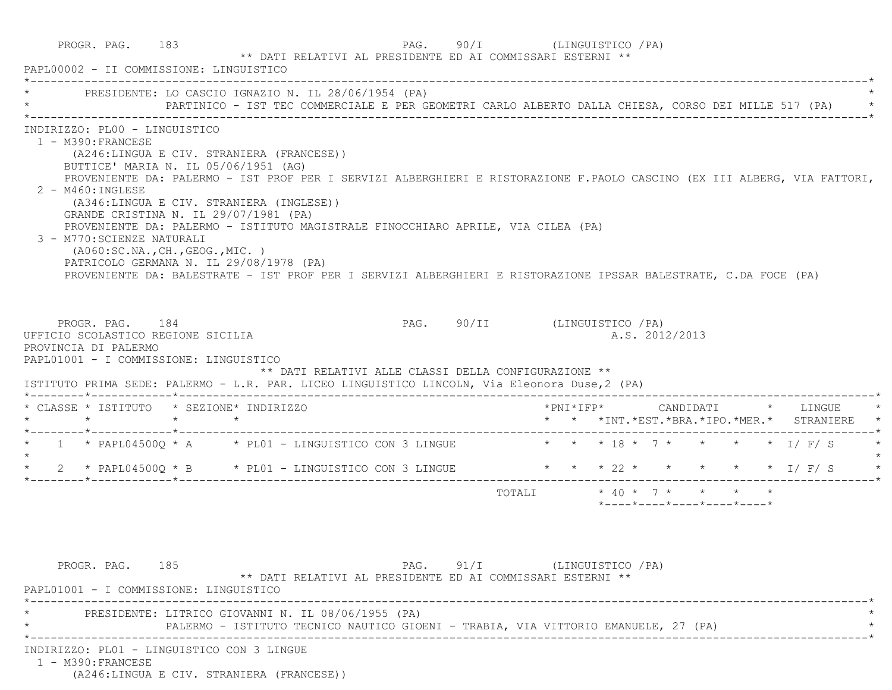| PROGR. PAG. 183<br>PAPL00002 - II COMMISSIONE: LINGUISTICO                                                                                                                                                                                                                                                                                                                                                                                                                                                                                                                                                                                                                                              | ** DATI RELATIVI AL PRESIDENTE ED AI COMMISSARI ESTERNI ** |                                                                                                     |                               |                           |  |                                               |  |  |  |
|---------------------------------------------------------------------------------------------------------------------------------------------------------------------------------------------------------------------------------------------------------------------------------------------------------------------------------------------------------------------------------------------------------------------------------------------------------------------------------------------------------------------------------------------------------------------------------------------------------------------------------------------------------------------------------------------------------|------------------------------------------------------------|-----------------------------------------------------------------------------------------------------|-------------------------------|---------------------------|--|-----------------------------------------------|--|--|--|
| PRESIDENTE: LO CASCIO IGNAZIO N. IL 28/06/1954 (PA)                                                                                                                                                                                                                                                                                                                                                                                                                                                                                                                                                                                                                                                     |                                                            | PARTINICO - IST TEC COMMERCIALE E PER GEOMETRI CARLO ALBERTO DALLA CHIESA, CORSO DEI MILLE 517 (PA) |                               |                           |  |                                               |  |  |  |
| INDIRIZZO: PL00 - LINGUISTICO<br>1 - M390: FRANCESE<br>(A246:LINGUA E CIV. STRANIERA (FRANCESE))<br>BUTTICE' MARIA N. IL 05/06/1951 (AG)<br>PROVENIENTE DA: PALERMO - IST PROF PER I SERVIZI ALBERGHIERI E RISTORAZIONE F.PAOLO CASCINO (EX III ALBERG, VIA FATTORI,<br>$2 - M460$ : INGLESE<br>(A346:LINGUA E CIV. STRANIERA (INGLESE))<br>GRANDE CRISTINA N. IL 29/07/1981 (PA)<br>PROVENIENTE DA: PALERMO - ISTITUTO MAGISTRALE FINOCCHIARO APRILE, VIA CILEA (PA)<br>3 - M770: SCIENZE NATURALI<br>( A060:SC.NA., CH., GEOG., MIC. )<br>PATRICOLO GERMANA N. IL 29/08/1978 (PA)<br>PROVENIENTE DA: BALESTRATE - IST PROF PER I SERVIZI ALBERGHIERI E RISTORAZIONE IPSSAR BALESTRATE, C.DA FOCE (PA) |                                                            |                                                                                                     |                               |                           |  |                                               |  |  |  |
|                                                                                                                                                                                                                                                                                                                                                                                                                                                                                                                                                                                                                                                                                                         |                                                            |                                                                                                     |                               |                           |  |                                               |  |  |  |
| PROGR. PAG. 184<br>UFFICIO SCOLASTICO REGIONE SICILIA<br>PROVINCIA DI PALERMO<br>PAPL01001 - I COMMISSIONE: LINGUISTICO<br>ISTITUTO PRIMA SEDE: PALERMO - L.R. PAR. LICEO LINGUISTICO LINCOLN, Via Eleonora Duse, 2 (PA)                                                                                                                                                                                                                                                                                                                                                                                                                                                                                |                                                            | ** DATI RELATIVI ALLE CLASSI DELLA CONFIGURAZIONE **                                                | PAG. 90/II (LINGUISTICO / PA) |                           |  | A.S. 2012/2013                                |  |  |  |
|                                                                                                                                                                                                                                                                                                                                                                                                                                                                                                                                                                                                                                                                                                         |                                                            |                                                                                                     |                               |                           |  | * * *INT. *EST. *BRA. *IPO. *MER. * STRANIERE |  |  |  |
|                                                                                                                                                                                                                                                                                                                                                                                                                                                                                                                                                                                                                                                                                                         |                                                            |                                                                                                     |                               |                           |  |                                               |  |  |  |
|                                                                                                                                                                                                                                                                                                                                                                                                                                                                                                                                                                                                                                                                                                         |                                                            |                                                                                                     |                               |                           |  |                                               |  |  |  |
| * CLASSE * ISTITUTO * SEZIONE* INDIRIZZO<br>$\star \qquad \qquad \star \qquad \qquad \star \qquad \qquad \star$<br>* 1 * PAPL04500Q * A * PL01 - LINGUISTICO CON 3 LINGUE * * * 18 * 7 * * * * * 1/ F/ S<br>* 2 * PAPL04500Q * B * PL01 - LINGUISTICO CON 3 LINGUE * * * 22 * * * * * * * I/ F/ S                                                                                                                                                                                                                                                                                                                                                                                                       |                                                            |                                                                                                     |                               | TOTALI * 40 * 7 * * * * * |  | $*$ ---- $*$ ---- $*$ ---- $*$ ---- $*$       |  |  |  |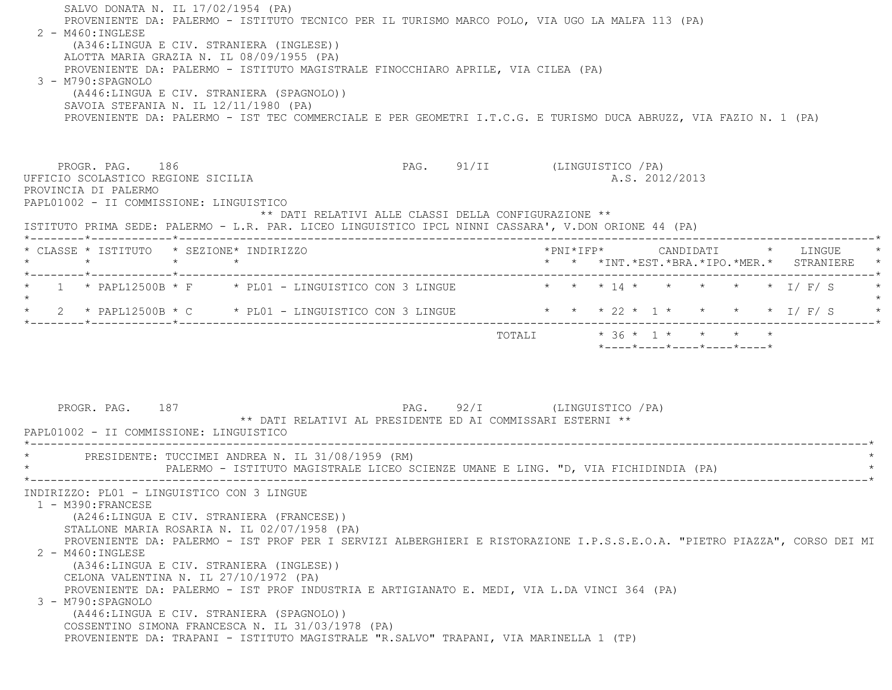SALVO DONATA N. IL 17/02/1954 (PA) PROVENIENTE DA: PALERMO - ISTITUTO TECNICO PER IL TURISMO MARCO POLO, VIA UGO LA MALFA 113 (PA) 2 - M460:INGLESE (A346:LINGUA E CIV. STRANIERA (INGLESE)) ALOTTA MARIA GRAZIA N. IL 08/09/1955 (PA) PROVENIENTE DA: PALERMO - ISTITUTO MAGISTRALE FINOCCHIARO APRILE, VIA CILEA (PA) 3 - M790:SPAGNOLO (A446:LINGUA E CIV. STRANIERA (SPAGNOLO)) SAVOIA STEFANIA N. IL 12/11/1980 (PA) PROVENIENTE DA: PALERMO - IST TEC COMMERCIALE E PER GEOMETRI I.T.C.G. E TURISMO DUCA ABRUZZ, VIA FAZIO N. 1 (PA) PROGR. PAG. 186 PAG. PAG. 91/II (LINGUISTICO / PA) UFFICIO SCOLASTICO REGIONE SICILIA A.S. 2012/2013 PROVINCIA DI PALERMO PAPL01002 - II COMMISSIONE: LINGUISTICO \*\* DATI RELATIVI ALLE CLASSI DELLA CONFIGURAZIONE \*\* ISTITUTO PRIMA SEDE: PALERMO - L.R. PAR. LICEO LINGUISTICO IPCL NINNI CASSARA', V.DON ORIONE 44 (PA) \*--------\*------------\*-------------------------------------------------------------------------------------------------------\* \* CLASSE \* ISTITUTO \* SEZIONE\* INDIRIZZO \*PNI\*IFP\* CANDIDATI \* LINGUE \* \* \* \* \* \* \* \*INT.\*EST.\*BRA.\*IPO.\*MER.\* STRANIERE \* \*--------\*------------\*-------------------------------------------------------------------------------------------------------\*1 \* PAPL12500B \* F \* PL01 - LINGUISTICO CON 3 LINGUE \* \* \* \* 14 \* \* \* \* \* \* \* \* I/ F/ S  $\star$ \* 2 \* PAPL12500B \* C \* PL01 - LINGUISTICO CON 3 LINGUE \* \* \* 22 \* 1 \* \* \* \* \* \* I/ F/ S \*--------\*------------\*-------------------------------------------------------------------------------------------------------\*TOTALI  $* 36 * 1 * * * * * * * *$  \*----\*----\*----\*----\*----\*PROGR. PAG. 187 PAG. 92/I (LINGUISTICO /PA) \*\* DATI RELATIVI AL PRESIDENTE ED AI COMMISSARI ESTERNI \*\* PAPL01002 - II COMMISSIONE: LINGUISTICO \*----------------------------------------------------------------------------------------------------------------------------\*PRESIDENTE: TUCCIMEI ANDREA N. IL 31/08/1959 (RM) PALERMO - ISTITUTO MAGISTRALE LICEO SCIENZE UMANE E LING. "D, VIA FICHIDINDIA (PA) \*----------------------------------------------------------------------------------------------------------------------------\* INDIRIZZO: PL01 - LINGUISTICO CON 3 LINGUE 1 - M390:FRANCESE (A246:LINGUA E CIV. STRANIERA (FRANCESE)) STALLONE MARIA ROSARIA N. IL 02/07/1958 (PA) PROVENIENTE DA: PALERMO - IST PROF PER I SERVIZI ALBERGHIERI E RISTORAZIONE I.P.S.S.E.O.A. "PIETRO PIAZZA", CORSO DEI MI 2 - M460:INGLESE (A346:LINGUA E CIV. STRANIERA (INGLESE)) CELONA VALENTINA N. IL 27/10/1972 (PA) PROVENIENTE DA: PALERMO - IST PROF INDUSTRIA E ARTIGIANATO E. MEDI, VIA L.DA VINCI 364 (PA) 3 - M790:SPAGNOLO (A446:LINGUA E CIV. STRANIERA (SPAGNOLO)) COSSENTINO SIMONA FRANCESCA N. IL 31/03/1978 (PA) PROVENIENTE DA: TRAPANI - ISTITUTO MAGISTRALE "R.SALVO" TRAPANI, VIA MARINELLA 1 (TP)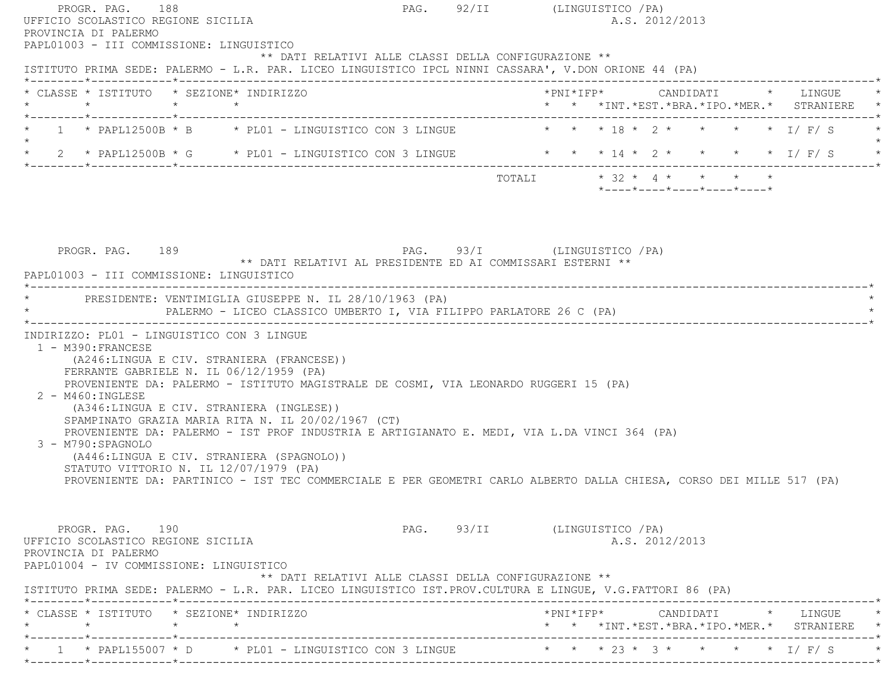| PROGR. PAG. 188<br>UFFICIO SCOLASTICO REGIONE SICILIA<br>PROVINCIA DI PALERMO<br>PAPL01003 - III COMMISSIONE: LINGUISTICO |                                                                                                                                                                                                                                                                                                                                                                                                                                                                                                                    | PAG. 92/II (LINGUISTICO / PA) | A.S. 2012/2013                                                                                                      |
|---------------------------------------------------------------------------------------------------------------------------|--------------------------------------------------------------------------------------------------------------------------------------------------------------------------------------------------------------------------------------------------------------------------------------------------------------------------------------------------------------------------------------------------------------------------------------------------------------------------------------------------------------------|-------------------------------|---------------------------------------------------------------------------------------------------------------------|
|                                                                                                                           | ** DATI RELATIVI ALLE CLASSI DELLA CONFIGURAZIONE **<br>ISTITUTO PRIMA SEDE: PALERMO - L.R. PAR. LICEO LINGUISTICO IPCL NINNI CASSARA', V.DON ORIONE 44 (PA)                                                                                                                                                                                                                                                                                                                                                       |                               |                                                                                                                     |
| $\star$                                                                                                                   | * CLASSE * ISTITUTO * SEZIONE* INDIRIZZO<br>$\star$ $\star$                                                                                                                                                                                                                                                                                                                                                                                                                                                        |                               | *PNI*IFP*     CANDIDATI    *  LINGUE<br>* * *INT. *EST. *BRA. *IPO. *MER. * STRANIERE *                             |
|                                                                                                                           |                                                                                                                                                                                                                                                                                                                                                                                                                                                                                                                    |                               | 1 * PAPL12500B * B * PL01 - LINGUISTICO CON 3 LINGUE * * * 18 * 2 * * * * * I/ F/ S                                 |
|                                                                                                                           | * 2 * PAPL12500B * G * PL01 - LINGUISTICO CON 3 LINGUE                                                                                                                                                                                                                                                                                                                                                                                                                                                             |                               | * * * 14 * 2 * * * * * 1/ F/ S                                                                                      |
|                                                                                                                           |                                                                                                                                                                                                                                                                                                                                                                                                                                                                                                                    |                               | TOTALI * 32 * 4 * * * * *<br>$*$ - - - - $*$ - - - - $*$ - - - - $*$ - - - - $*$ - - - - $*$                        |
| PROGR. PAG. 189<br>PAPL01003 - III COMMISSIONE: LINGUISTICO                                                               | PAG. 93/I (LINGUISTICO / PA)<br>** DATI RELATIVI AL PRESIDENTE ED AI COMMISSARI ESTERNI **<br>* PRESIDENTE: VENTIMIGLIA GIUSEPPE N. IL 28/10/1963 (PA)                                                                                                                                                                                                                                                                                                                                                             |                               |                                                                                                                     |
| 1 - M390: FRANCESE<br>2 - M460: INGLESE<br>3 - M790: SPAGNOLO                                                             | INDIRIZZO: PL01 - LINGUISTICO CON 3 LINGUE<br>(A246:LINGUA E CIV. STRANIERA (FRANCESE))<br>FERRANTE GABRIELE N. IL 06/12/1959 (PA)<br>PROVENIENTE DA: PALERMO - ISTITUTO MAGISTRALE DE COSMI, VIA LEONARDO RUGGERI 15 (PA)<br>(A346:LINGUA E CIV. STRANIERA (INGLESE))<br>SPAMPINATO GRAZIA MARIA RITA N. IL 20/02/1967 (CT)<br>PROVENIENTE DA: PALERMO - IST PROF INDUSTRIA E ARTIGIANATO E. MEDI, VIA L.DA VINCI 364 (PA)<br>(A446:LINGUA E CIV. STRANIERA (SPAGNOLO))<br>STATUTO VITTORIO N. IL 12/07/1979 (PA) |                               | PROVENIENTE DA: PARTINICO - IST TEC COMMERCIALE E PER GEOMETRI CARLO ALBERTO DALLA CHIESA, CORSO DEI MILLE 517 (PA) |
| PROGR. PAG. 190<br>UFFICIO SCOLASTICO REGIONE SICILIA<br>PROVINCIA DI PALERMO<br>PAPL01004 - IV COMMISSIONE: LINGUISTICO  | ** DATI RELATIVI ALLE CLASSI DELLA CONFIGURAZIONE **<br>ISTITUTO PRIMA SEDE: PALERMO - L.R. PAR. LICEO LINGUISTICO IST. PROV. CULTURA E LINGUE, V.G. FATTORI 86 (PA)                                                                                                                                                                                                                                                                                                                                               | PAG. 93/II (LINGUISTICO / PA) | A.S. 2012/2013                                                                                                      |
|                                                                                                                           |                                                                                                                                                                                                                                                                                                                                                                                                                                                                                                                    |                               |                                                                                                                     |
| $\star$<br>*--------*------------*--------                                                                                | * CLASSE * ISTITUTO * SEZIONE* INDIRIZZO<br>$\star$ $\star$                                                                                                                                                                                                                                                                                                                                                                                                                                                        |                               | * * *INT. *EST. *BRA. *IPO. *MER. * STRANIERE                                                                       |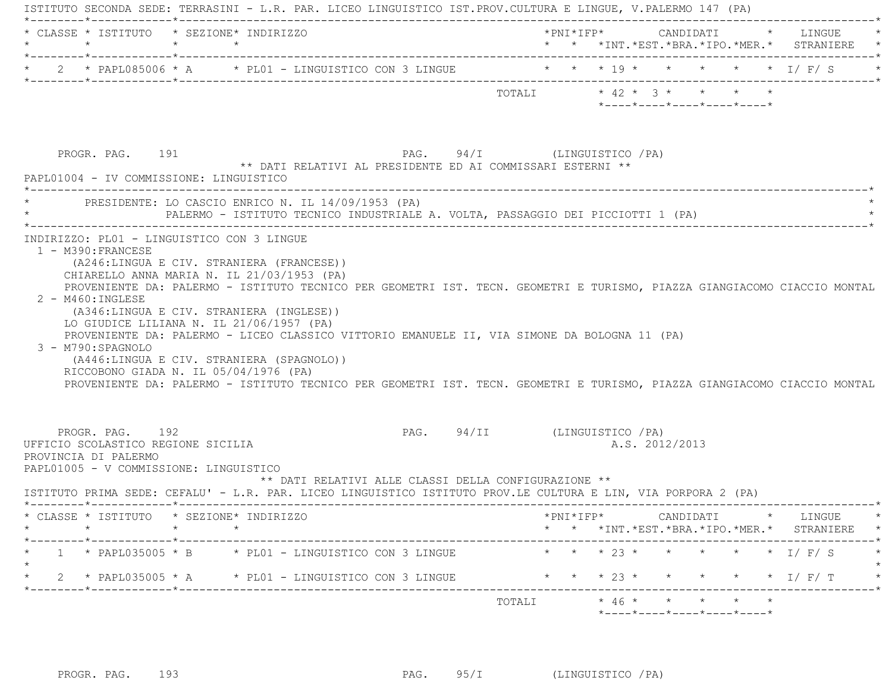| $\star$                                                                                                                 | $\star$ $\star$ | * CLASSE * ISTITUTO * SEZIONE* INDIRIZZO                                                                                                                                                                                                                                                                                                                                                                                                                 |                               |  |  |                |                                                                 |  | *PNI*IFP* CANDIDATI * LINGUE<br>* * *INT.*EST.*BRA.*IPO.*MER.* STRANIERE *                 |
|-------------------------------------------------------------------------------------------------------------------------|-----------------|----------------------------------------------------------------------------------------------------------------------------------------------------------------------------------------------------------------------------------------------------------------------------------------------------------------------------------------------------------------------------------------------------------------------------------------------------------|-------------------------------|--|--|----------------|-----------------------------------------------------------------|--|--------------------------------------------------------------------------------------------|
|                                                                                                                         |                 | * 2 * PAPL085006 * A * PL01 - LINGUISTICO CON 3 LINGUE * * * * 19 * * * * * * * I/ F/ S                                                                                                                                                                                                                                                                                                                                                                  |                               |  |  |                |                                                                 |  |                                                                                            |
|                                                                                                                         |                 |                                                                                                                                                                                                                                                                                                                                                                                                                                                          | TOTALI * 42 * 3 * * * * *     |  |  |                | $*$ - - - - $*$ - - - - $*$ - - - - $*$ - - - - $*$ - - - - $*$ |  |                                                                                            |
| PROGR. PAG. 191<br>PAPL01004 - IV COMMISSIONE: LINGUISTICO                                                              |                 | PAG. 94/I (LINGUISTICO / PA)<br>** DATI RELATIVI AL PRESIDENTE ED AI COMMISSARI ESTERNI **                                                                                                                                                                                                                                                                                                                                                               |                               |  |  |                |                                                                 |  |                                                                                            |
|                                                                                                                         |                 | PRESIDENTE: LO CASCIO ENRICO N. IL 14/09/1953 (PA)<br>PALERMO - ISTITUTO TECNICO INDUSTRIALE A. VOLTA, PASSAGGIO DEI PICCIOTTI 1 (PA)                                                                                                                                                                                                                                                                                                                    |                               |  |  |                |                                                                 |  |                                                                                            |
| 2 - M460: INGLESE<br>3 - M790: SPAGNOLO                                                                                 |                 | (A246:LINGUA E CIV. STRANIERA (FRANCESE))<br>CHIARELLO ANNA MARIA N. IL 21/03/1953 (PA)<br>PROVENIENTE DA: PALERMO - ISTITUTO TECNICO PER GEOMETRI IST. TECN. GEOMETRI E TURISMO, PIAZZA GIANGIACOMO CIACCIO MONTAL<br>(A346:LINGUA E CIV. STRANIERA (INGLESE))<br>LO GIUDICE LILIANA N. IL 21/06/1957 (PA)<br>PROVENIENTE DA: PALERMO - LICEO CLASSICO VITTORIO EMANUELE II, VIA SIMONE DA BOLOGNA 11 (PA)<br>(A446:LINGUA E CIV. STRANIERA (SPAGNOLO)) |                               |  |  |                |                                                                 |  |                                                                                            |
| RICCOBONO GIADA N. IL 05/04/1976 (PA)                                                                                   |                 | PROVENIENTE DA: PALERMO - ISTITUTO TECNICO PER GEOMETRI IST. TECN. GEOMETRI E TURISMO, PIAZZA GIANGIACOMO CIACCIO MONTAL                                                                                                                                                                                                                                                                                                                                 |                               |  |  |                |                                                                 |  |                                                                                            |
| PROGR. PAG. 192<br>UFFICIO SCOLASTICO REGIONE SICILIA<br>PROVINCIA DI PALERMO<br>PAPL01005 - V COMMISSIONE: LINGUISTICO |                 | ** DATI RELATIVI ALLE CLASSI DELLA CONFIGURAZIONE **<br>ISTITUTO PRIMA SEDE: CEFALU' - L.R. PAR. LICEO LINGUISTICO ISTITUTO PROV.LE CULTURA E LIN, VIA PORPORA 2 (PA)                                                                                                                                                                                                                                                                                    | PAG. 94/II (LINGUISTICO / PA) |  |  | A.S. 2012/2013 |                                                                 |  |                                                                                            |
| * CLASSE * ISTITUTO * SEZIONE* INDIRIZZO<br>$\star$ $\star$                                                             |                 | $\star$                                                                                                                                                                                                                                                                                                                                                                                                                                                  |                               |  |  |                |                                                                 |  | $*$ PNI $*$ IFP $*$ CANDIDATI $*$ LINGUE<br>* * * INT. *EST. *BRA. *IPO. *MER. * STRANIERE |
| -----*------------*------------                                                                                         |                 | 1 * PAPL035005 * B * PL01 - LINGUISTICO CON 3 LINGUE                                                                                                                                                                                                                                                                                                                                                                                                     |                               |  |  |                |                                                                 |  | * * * 23 * * * * * * I/ F/ S                                                               |
| *--------*------------*----------                                                                                       |                 | 2 * PAPL035005 * A * PL01 - LINGUISTICO CON 3 LINGUE                                                                                                                                                                                                                                                                                                                                                                                                     |                               |  |  |                |                                                                 |  | * * * 23 * * * * * * I/F/T                                                                 |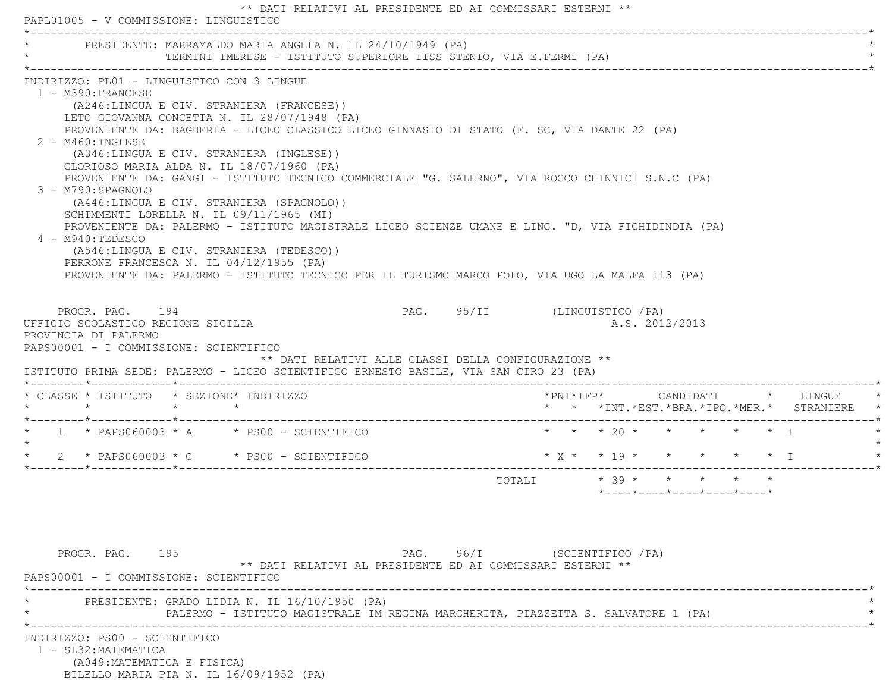| PRESIDENTE: MARRAMALDO MARIA ANGELA N. IL 24/10/1949 (PA)                                                                                                                                                                                                                                                                                                                                                                                                                                                                                                                                                                                                                                                                                                                                                                                                                                                         |  | TERMINI IMERESE - ISTITUTO SUPERIORE IISS STENIO, VIA E.FERMI (PA)                |                               |  |                     |                                                                                          |  |                                                                     |
|-------------------------------------------------------------------------------------------------------------------------------------------------------------------------------------------------------------------------------------------------------------------------------------------------------------------------------------------------------------------------------------------------------------------------------------------------------------------------------------------------------------------------------------------------------------------------------------------------------------------------------------------------------------------------------------------------------------------------------------------------------------------------------------------------------------------------------------------------------------------------------------------------------------------|--|-----------------------------------------------------------------------------------|-------------------------------|--|---------------------|------------------------------------------------------------------------------------------|--|---------------------------------------------------------------------|
| INDIRIZZO: PL01 - LINGUISTICO CON 3 LINGUE<br>1 - M390: FRANCESE<br>(A246:LINGUA E CIV. STRANIERA (FRANCESE))<br>LETO GIOVANNA CONCETTA N. IL 28/07/1948 (PA)<br>PROVENIENTE DA: BAGHERIA - LICEO CLASSICO LICEO GINNASIO DI STATO (F. SC, VIA DANTE 22 (PA)<br>2 - M460: INGLESE<br>(A346:LINGUA E CIV. STRANIERA (INGLESE))<br>GLORIOSO MARIA ALDA N. IL 18/07/1960 (PA)<br>PROVENIENTE DA: GANGI - ISTITUTO TECNICO COMMERCIALE "G. SALERNO", VIA ROCCO CHINNICI S.N.C (PA)<br>3 - M790: SPAGNOLO<br>(A446:LINGUA E CIV. STRANIERA (SPAGNOLO))<br>SCHIMMENTI LORELLA N. IL 09/11/1965 (MI)<br>PROVENIENTE DA: PALERMO - ISTITUTO MAGISTRALE LICEO SCIENZE UMANE E LING. "D, VIA FICHIDINDIA (PA)<br>4 - M940:TEDESCO<br>(A546:LINGUA E CIV. STRANIERA (TEDESCO))<br>PERRONE FRANCESCA N. IL 04/12/1955 (PA)<br>PROVENIENTE DA: PALERMO - ISTITUTO TECNICO PER IL TURISMO MARCO POLO, VIA UGO LA MALFA 113 (PA) |  |                                                                                   |                               |  |                     |                                                                                          |  |                                                                     |
| PROGR. PAG. 194<br>UFFICIO SCOLASTICO REGIONE SICILIA<br>PROVINCIA DI PALERMO<br>PAPS00001 - I COMMISSIONE: SCIENTIFICO<br>ISTITUTO PRIMA SEDE: PALERMO - LICEO SCIENTIFICO ERNESTO BASILE, VIA SAN CIRO 23 (PA)                                                                                                                                                                                                                                                                                                                                                                                                                                                                                                                                                                                                                                                                                                  |  | ** DATI RELATIVI ALLE CLASSI DELLA CONFIGURAZIONE **                              | PAG. 95/II (LINGUISTICO / PA) |  |                     | A.S. 2012/2013                                                                           |  |                                                                     |
|                                                                                                                                                                                                                                                                                                                                                                                                                                                                                                                                                                                                                                                                                                                                                                                                                                                                                                                   |  |                                                                                   |                               |  |                     |                                                                                          |  |                                                                     |
| * CLASSE * ISTITUTO * SEZIONE* INDIRIZZO                                                                                                                                                                                                                                                                                                                                                                                                                                                                                                                                                                                                                                                                                                                                                                                                                                                                          |  |                                                                                   |                               |  | $*$ PNI $*$ IFP $*$ |                                                                                          |  | CANDIDATI * LINGUE<br>* * *INT. *EST. *BRA. *IPO. *MER. * STRANIERE |
| * $1$ * PAPS060003 * A * PS00 - SCIENTIFICO                                                                                                                                                                                                                                                                                                                                                                                                                                                                                                                                                                                                                                                                                                                                                                                                                                                                       |  |                                                                                   |                               |  |                     | * * * 20 * * * * * * I                                                                   |  |                                                                     |
| $\star$ 2 $\star$ PAPS060003 $\star$ C $\star$ PS00 - SCIENTIFICO                                                                                                                                                                                                                                                                                                                                                                                                                                                                                                                                                                                                                                                                                                                                                                                                                                                 |  |                                                                                   |                               |  |                     |                                                                                          |  | $* x * * 19 * * * * * * * 1$                                        |
|                                                                                                                                                                                                                                                                                                                                                                                                                                                                                                                                                                                                                                                                                                                                                                                                                                                                                                                   |  |                                                                                   |                               |  |                     | TOTALI * 39 * * * * *<br>$*$ - - - - $*$ - - - - $*$ - - - - $*$ - - - - $*$ - - - - $*$ |  |                                                                     |
| PROGR. PAG. 195<br>PAPS00001 - I COMMISSIONE: SCIENTIFICO                                                                                                                                                                                                                                                                                                                                                                                                                                                                                                                                                                                                                                                                                                                                                                                                                                                         |  | ** DATI RELATIVI AL PRESIDENTE ED AI COMMISSARI ESTERNI **                        | PAG. 96/I (SCIENTIFICO / PA)  |  |                     |                                                                                          |  |                                                                     |
| PRESIDENTE: GRADO LIDIA N. IL 16/10/1950 (PA)                                                                                                                                                                                                                                                                                                                                                                                                                                                                                                                                                                                                                                                                                                                                                                                                                                                                     |  | PALERMO - ISTITUTO MAGISTRALE IM REGINA MARGHERITA, PIAZZETTA S. SALVATORE 1 (PA) |                               |  |                     |                                                                                          |  |                                                                     |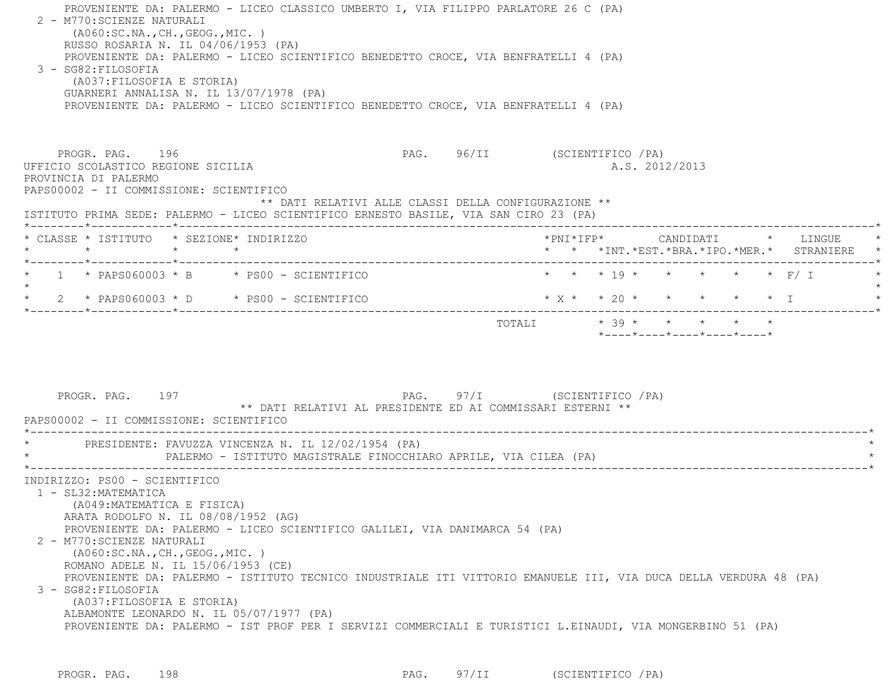| RUSSO ROSARIA N. IL 04/06/1953 (PA)<br>PROVENIENTE DA: PALERMO - LICEO SCIENTIFICO BENEDETTO CROCE, VIA BENFRATELLI 4 (PA)<br>$3 - SG82: FILOSOFIA$<br>(A037: FILOSOFIA E STORIA)<br>GUARNERI ANNALISA N. IL 13/07/1978 (PA)<br>PROVENIENTE DA: PALERMO - LICEO SCIENTIFICO BENEDETTO CROCE, VIA BENFRATELLI 4 (PA) |                                                                                           |                                          |                 |           |
|---------------------------------------------------------------------------------------------------------------------------------------------------------------------------------------------------------------------------------------------------------------------------------------------------------------------|-------------------------------------------------------------------------------------------|------------------------------------------|-----------------|-----------|
| PROGR. PAG. 196<br>UFFICIO SCOLASTICO REGIONE SICILIA<br>PROVINCIA DI PALERMO<br>PAPS00002 - II COMMISSIONE: SCIENTIFICO<br>ISTITUTO PRIMA SEDE: PALERMO - LICEO SCIENTIFICO ERNESTO BASILE, VIA SAN CIRO 23 (PA)                                                                                                   | PAG. 96/II (SCIENTIFICO / PA)<br>** DATI RELATIVI ALLE CLASSI DELLA CONFIGURAZIONE **     | A.S. 2012/2013                           |                 |           |
| * CLASSE * ISTITUTO * SEZIONE* INDIRIZZO<br>$\star$ $\star$<br>$\star$                                                                                                                                                                                                                                              |                                                                                           | * * *INT.*EST.*BRA.*IPO.*MER.* STRANIERE |                 |           |
| $1 *$ PAPS060003 * B $*$ PS00 - SCIENTIFICO                                                                                                                                                                                                                                                                         |                                                                                           | * * * 19 * * * * * * F/ I                |                 |           |
| 2 * PAPS060003 * D * PS00 - SCIENTIFICO                                                                                                                                                                                                                                                                             |                                                                                           | $*$ X $*$ $*$ 20 $*$                     | $\star$ $\star$ | $\star$ T |
|                                                                                                                                                                                                                                                                                                                     |                                                                                           |                                          |                 |           |
| PROGR. PAG. 197                                                                                                                                                                                                                                                                                                     | PAG. 97/I (SCIENTIFICO /PA)<br>** DATI RELATIVI AL PRESIDENTE ED AI COMMISSARI ESTERNI ** |                                          |                 |           |
| PAPS00002 - II COMMISSIONE: SCIENTIFICO<br>PRESIDENTE: FAVUZZA VINCENZA N. IL 12/02/1954 (PA)<br>PALERMO - ISTITUTO MAGISTRALE FINOCCHIARO APRILE, VIA CILEA (PA)                                                                                                                                                   |                                                                                           |                                          |                 |           |

PROGR. PAG. 198 PAG. 97/II (SCIENTIFICO /PA)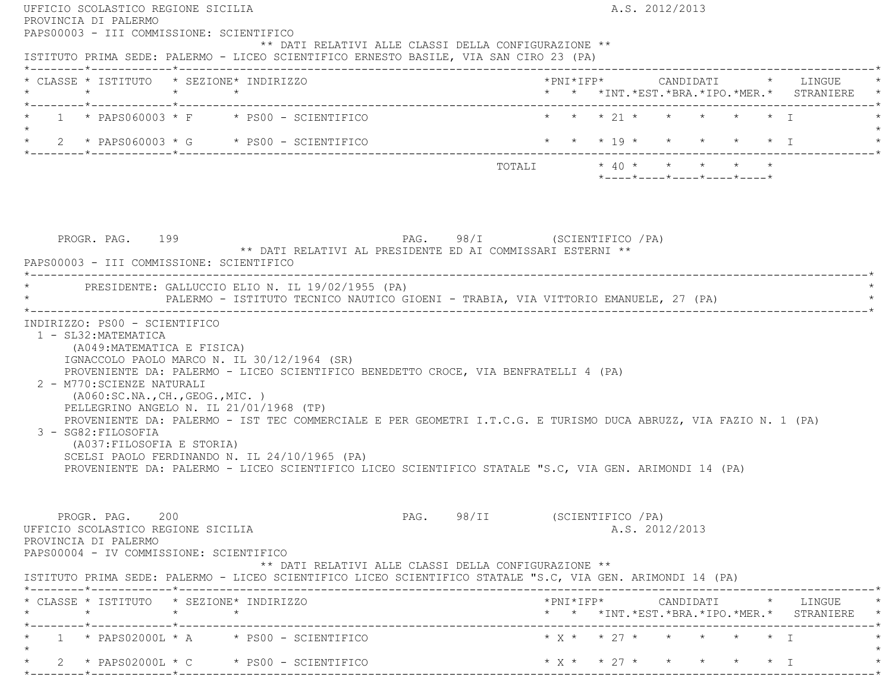|         | PROVINCIA DI PALERMO                                                                                                                               |                                                                                                                                                                                                                                                                                                                                                                                                                                                             |                               |                         |  | A.S. 2012/2013 |                            |  |                                                                                                                                                                       |
|---------|----------------------------------------------------------------------------------------------------------------------------------------------------|-------------------------------------------------------------------------------------------------------------------------------------------------------------------------------------------------------------------------------------------------------------------------------------------------------------------------------------------------------------------------------------------------------------------------------------------------------------|-------------------------------|-------------------------|--|----------------|----------------------------|--|-----------------------------------------------------------------------------------------------------------------------------------------------------------------------|
|         | PAPS00003 - III COMMISSIONE: SCIENTIFICO                                                                                                           | ** DATI RELATIVI ALLE CLASSI DELLA CONFIGURAZIONE **<br>ISTITUTO PRIMA SEDE: PALERMO - LICEO SCIENTIFICO ERNESTO BASILE, VIA SAN CIRO 23 (PA)                                                                                                                                                                                                                                                                                                               |                               |                         |  |                |                            |  |                                                                                                                                                                       |
|         |                                                                                                                                                    | * CLASSE * ISTITUTO * SEZIONE* INDIRIZZO                                                                                                                                                                                                                                                                                                                                                                                                                    |                               |                         |  |                |                            |  | *PNI*IFP* CANDIDATI * LINGUE<br>* * *INT. *EST. *BRA. *IPO. *MER. * STRANIERE *                                                                                       |
| $\star$ |                                                                                                                                                    | $\star$ 1 $\star$ PAPS060003 $\star$ F $\star$ PS00 - SCIENTIFICO                                                                                                                                                                                                                                                                                                                                                                                           | * * * 21 * * * * * * I        |                         |  |                |                            |  |                                                                                                                                                                       |
|         |                                                                                                                                                    | * $2$ * PAPS060003 * G * PS00 - SCIENTIFICO                                                                                                                                                                                                                                                                                                                                                                                                                 |                               | * * * 19 * * * * * * I  |  |                |                            |  |                                                                                                                                                                       |
|         |                                                                                                                                                    |                                                                                                                                                                                                                                                                                                                                                                                                                                                             |                               | TOTALI * 40 * * * * * * |  |                | *----*----*----*----*----* |  |                                                                                                                                                                       |
|         | PROGR. PAG. 199<br>PAPS00003 - III COMMISSIONE: SCIENTIFICO                                                                                        | PAG. 98/I (SCIENTIFICO / PA)<br>** DATI RELATIVI AL PRESIDENTE ED AI COMMISSARI ESTERNI **                                                                                                                                                                                                                                                                                                                                                                  |                               |                         |  |                |                            |  |                                                                                                                                                                       |
|         |                                                                                                                                                    | * PRESIDENTE: GALLUCCIO ELIO N. IL 19/02/1955 (PA)<br>PALERMO - ISTITUTO TECNICO NAUTICO GIOENI - TRABIA, VIA VITTORIO EMANUELE, 27 (PA)                                                                                                                                                                                                                                                                                                                    |                               |                         |  |                |                            |  |                                                                                                                                                                       |
|         | 1 - SL32: MATEMATICA                                                                                                                               |                                                                                                                                                                                                                                                                                                                                                                                                                                                             |                               |                         |  |                |                            |  |                                                                                                                                                                       |
|         | (A049: MATEMATICA E FISICA)<br>2 - M770: SCIENZE NATURALI<br>(AO60:SC.NA., CH., GEOG., MIC. )<br>3 - SG82: FILOSOFIA<br>(A037: FILOSOFIA E STORIA) | IGNACCOLO PAOLO MARCO N. IL 30/12/1964 (SR)<br>PROVENIENTE DA: PALERMO - LICEO SCIENTIFICO BENEDETTO CROCE, VIA BENFRATELLI 4 (PA)<br>PELLEGRINO ANGELO N. IL 21/01/1968 (TP)<br>PROVENIENTE DA: PALERMO - IST TEC COMMERCIALE E PER GEOMETRI I.T.C.G. E TURISMO DUCA ABRUZZ, VIA FAZIO N. 1 (PA)<br>SCELSI PAOLO FERDINANDO N. IL 24/10/1965 (PA)<br>PROVENIENTE DA: PALERMO - LICEO SCIENTIFICO LICEO SCIENTIFICO STATALE "S.C, VIA GEN. ARIMONDI 14 (PA) |                               |                         |  |                |                            |  |                                                                                                                                                                       |
|         | PROGR. PAG. 200<br>UFFICIO SCOLASTICO REGIONE SICILIA<br>PROVINCIA DI PALERMO<br>PAPS00004 - IV COMMISSIONE: SCIENTIFICO                           | ** DATI RELATIVI ALLE CLASSI DELLA CONFIGURAZIONE **                                                                                                                                                                                                                                                                                                                                                                                                        | PAG. 98/II (SCIENTIFICO / PA) |                         |  | A.S. 2012/2013 |                            |  |                                                                                                                                                                       |
|         |                                                                                                                                                    | ISTITUTO PRIMA SEDE: PALERMO - LICEO SCIENTIFICO LICEO SCIENTIFICO STATALE "S.C, VIA GEN. ARIMONDI 14 (PA)                                                                                                                                                                                                                                                                                                                                                  |                               |                         |  |                |                            |  |                                                                                                                                                                       |
|         |                                                                                                                                                    | * CLASSE * ISTITUTO * SEZIONE* INDIRIZZO                                                                                                                                                                                                                                                                                                                                                                                                                    |                               |                         |  |                |                            |  | $\text{\tt *PNI*IFP*} \qquad \qquad \text{CANDIDATI} \qquad \text{\tt *} \qquad \text{LINGUE} \qquad \text{\tt *}$<br>* * *INT. *EST. *BRA. *IPO. *MER. * STRANIERE * |
|         |                                                                                                                                                    | $1 * PAPS02000L * A * PS00 - SCIENTIFICO$                                                                                                                                                                                                                                                                                                                                                                                                                   | $* x * * 27 * * * * * * * 1$  |                         |  |                |                            |  |                                                                                                                                                                       |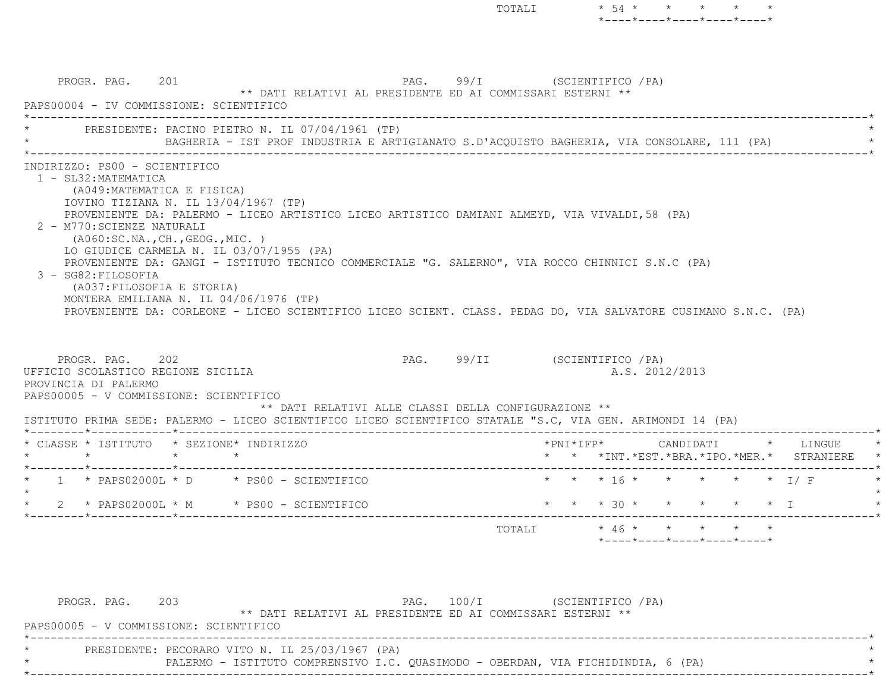PROGR. PAG. 201 201 PAG. 99/I (SCIENTIFICO / PA) \*\* DATI RELATIVI AL PRESIDENTE ED AI COMMISSARI ESTERNI \*\* PAPS00004 - IV COMMISSIONE: SCIENTIFICO $\mathcal{L}^{\mathcal{L}}(\mathcal{L}^{\mathcal{L}}(\mathcal{L}^{\mathcal{L}}(\mathcal{L}^{\mathcal{L}}(\mathcal{L}^{\mathcal{L}}(\mathcal{L}^{\mathcal{L}}(\mathcal{L}^{\mathcal{L}}(\mathcal{L}^{\mathcal{L}}(\mathcal{L}^{\mathcal{L}}(\mathcal{L}^{\mathcal{L}}(\mathcal{L}^{\mathcal{L}}(\mathcal{L}^{\mathcal{L}}(\mathcal{L}^{\mathcal{L}}(\mathcal{L}^{\mathcal{L}}(\mathcal{L}^{\mathcal{L}}(\mathcal{L}^{\mathcal{L}}(\mathcal{L}^{\mathcal{L$ PRESIDENTE: PACINO PIETRO N. IL 07/04/1961 (TP) \* BAGHERIA - IST PROF INDUSTRIA E ARTIGIANATO S.D'ACQUISTO BAGHERIA, VIA CONSOLARE, 111 (PA) \* \*----------------------------------------------------------------------------------------------------------------------------\* INDIRIZZO: PS00 - SCIENTIFICO 1 - SL32:MATEMATICA (A049:MATEMATICA E FISICA) IOVINO TIZIANA N. IL 13/04/1967 (TP) PROVENIENTE DA: PALERMO - LICEO ARTISTICO LICEO ARTISTICO DAMIANI ALMEYD, VIA VIVALDI,58 (PA) 2 - M770:SCIENZE NATURALI (A060:SC.NA.,CH.,GEOG.,MIC. ) LO GIUDICE CARMELA N. IL 03/07/1955 (PA) PROVENIENTE DA: GANGI - ISTITUTO TECNICO COMMERCIALE "G. SALERNO", VIA ROCCO CHINNICI S.N.C (PA) 3 - SG82:FILOSOFIA (A037:FILOSOFIA E STORIA) MONTERA EMILIANA N. IL 04/06/1976 (TP) PROVENIENTE DA: CORLEONE - LICEO SCIENTIFICO LICEO SCIENT. CLASS. PEDAG DO, VIA SALVATORE CUSIMANO S.N.C. (PA) PROGR. PAG. 202 202 PAG. 99/II (SCIENTIFICO / PA) UFFICIO SCOLASTICO REGIONE SICILIA A.S. 2012/2013 PROVINCIA DI PALERMO PAPS00005 - V COMMISSIONE: SCIENTIFICO \*\* DATI RELATIVI ALLE CLASSI DELLA CONFIGURAZIONE \*\* ISTITUTO PRIMA SEDE: PALERMO - LICEO SCIENTIFICO LICEO SCIENTIFICO STATALE "S.C, VIA GEN. ARIMONDI 14 (PA) \*--------\*------------\*-------------------------------------------------------------------------------------------------------\* \* CLASSE \* ISTITUTO \* SEZIONE\* INDIRIZZO \*PNI\*IFP\* CANDIDATI \* LINGUE \* \* \* \* \* \* \* \*INT.\*EST.\*BRA.\*IPO.\*MER.\* STRANIERE \* \*--------\*------------\*-------------------------------------------------------------------------------------------------------\* \* 1 \* PAPS02000L \* D \* PS00 - SCIENTIFICO \* \* \* 16 \* \* \* \* \* I/ F \*  $\star$  \* 2 \* PAPS02000L \* M \* PS00 - SCIENTIFICO \* \* \* 30 \* \* \* \* \* I \* \*--------\*------------\*-------------------------------------------------------------------------------------------------------\*TOTALI  $* 46 * * * * * * * * *$ \*----\*----\*----\*----\*----\*

TOTALI  $\star$  54  $\star$   $\star$   $\star$   $\star$ 

\*----\*----\*----\*----\*----\*

| PROGR. PAG.                                     | 203 |                                                                                  | PAG. 100/I |  | (SCIENTIFICO / PA) |  |  |  |
|-------------------------------------------------|-----|----------------------------------------------------------------------------------|------------|--|--------------------|--|--|--|
|                                                 |     | ** DATI RELATIVI AL PRESIDENTE ED AI COMMISSARI ESTERNI **                       |            |  |                    |  |  |  |
| PAPS00005 - V COMMISSIONE: SCIENTIFICO          |     |                                                                                  |            |  |                    |  |  |  |
|                                                 |     |                                                                                  |            |  |                    |  |  |  |
| PRESIDENTE: PECORARO VITO N. IL 25/03/1967 (PA) |     |                                                                                  |            |  |                    |  |  |  |
|                                                 |     | PALERMO - ISTITUTO COMPRENSIVO I.C. OUASIMODO - OBERDAN, VIA FICHIDINDIA, 6 (PA) |            |  |                    |  |  |  |
|                                                 |     |                                                                                  |            |  |                    |  |  |  |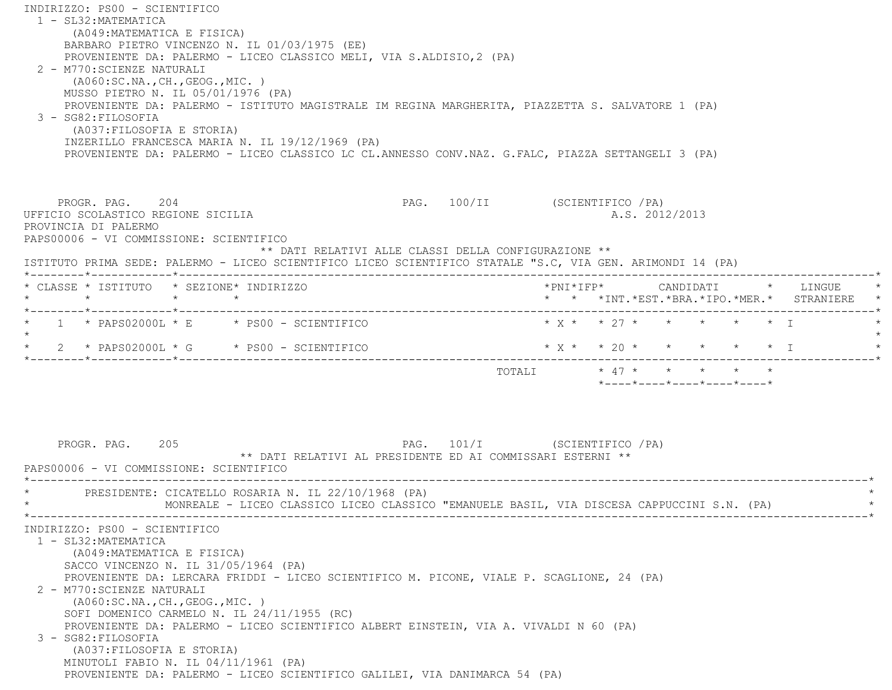INDIRIZZO: PS00 - SCIENTIFICO 1 - SL32:MATEMATICA (A049:MATEMATICA E FISICA) BARBARO PIETRO VINCENZO N. IL 01/03/1975 (EE) PROVENIENTE DA: PALERMO - LICEO CLASSICO MELI, VIA S.ALDISIO,2 (PA) 2 - M770:SCIENZE NATURALI (A060:SC.NA.,CH.,GEOG.,MIC. ) MUSSO PIETRO N. IL 05/01/1976 (PA) PROVENIENTE DA: PALERMO - ISTITUTO MAGISTRALE IM REGINA MARGHERITA, PIAZZETTA S. SALVATORE 1 (PA) 3 - SG82:FILOSOFIA (A037:FILOSOFIA E STORIA) INZERILLO FRANCESCA MARIA N. IL 19/12/1969 (PA) PROVENIENTE DA: PALERMO - LICEO CLASSICO LC CL.ANNESSO CONV.NAZ. G.FALC, PIAZZA SETTANGELI 3 (PA) PROGR. PAG. 204 204 PAG. 100/II (SCIENTIFICO /PA) UFFICIO SCOLASTICO REGIONE SICILIA A.S. 2012/2013 PROVINCIA DI PALERMO PAPS00006 - VI COMMISSIONE: SCIENTIFICO \*\* DATI RELATIVI ALLE CLASSI DELLA CONFIGURAZIONE \*\* ISTITUTO PRIMA SEDE: PALERMO - LICEO SCIENTIFICO LICEO SCIENTIFICO STATALE "S.C, VIA GEN. ARIMONDI 14 (PA) \*--------\*------------\*-------------------------------------------------------------------------------------------------------\* \* CLASSE \* ISTITUTO \* SEZIONE\* INDIRIZZO \*PNI\*IFP\* CANDIDATI \* LINGUE \* \* \* \* \* \* \* \*INT.\*EST.\*BRA.\*IPO.\*MER.\* STRANIERE \* \*--------\*------------\*-------------------------------------------------------------------------------------------------------\*1 \* PAPS02000L \* E \* PS00 - SCIENTIFICO \* \* \* \* \* \* \* \* \* \* \* \* \* I  $\star$ \* 2 \* PAPS02000L \* G \* PS00 - SCIENTIFICO \* \* \* \* \* \* \* \* \* \* \* \* I \*--------\*------------\*-------------------------------------------------------------------------------------------------------\* TOTALI \* 47 \* \* \* \* \* \*----\*----\*----\*----\*----\*PROGR. PAG. 205 205 PAG. 101/I (SCIENTIFICO / PA) \*\* DATI RELATIVI AL PRESIDENTE ED AI COMMISSARI ESTERNI \*\* PAPS00006 - VI COMMISSIONE: SCIENTIFICO \*----------------------------------------------------------------------------------------------------------------------------\*PRESIDENTE: CICATELLO ROSARIA N. IL 22/10/1968 (PA) MONREALE - LICEO CLASSICO LICEO CLASSICO "EMANUELE BASIL, VIA DISCESA CAPPUCCINI S.N. (PA) \*----------------------------------------------------------------------------------------------------------------------------\* INDIRIZZO: PS00 - SCIENTIFICO 1 - SL32:MATEMATICA (A049:MATEMATICA E FISICA) SACCO VINCENZO N. IL 31/05/1964 (PA) PROVENIENTE DA: LERCARA FRIDDI - LICEO SCIENTIFICO M. PICONE, VIALE P. SCAGLIONE, 24 (PA) 2 - M770:SCIENZE NATURALI (A060:SC.NA.,CH.,GEOG.,MIC. ) SOFI DOMENICO CARMELO N. IL 24/11/1955 (RC) PROVENIENTE DA: PALERMO - LICEO SCIENTIFICO ALBERT EINSTEIN, VIA A. VIVALDI N 60 (PA) 3 - SG82:FILOSOFIA (A037:FILOSOFIA E STORIA) MINUTOLI FABIO N. IL 04/11/1961 (PA) PROVENIENTE DA: PALERMO - LICEO SCIENTIFICO GALILEI, VIA DANIMARCA 54 (PA)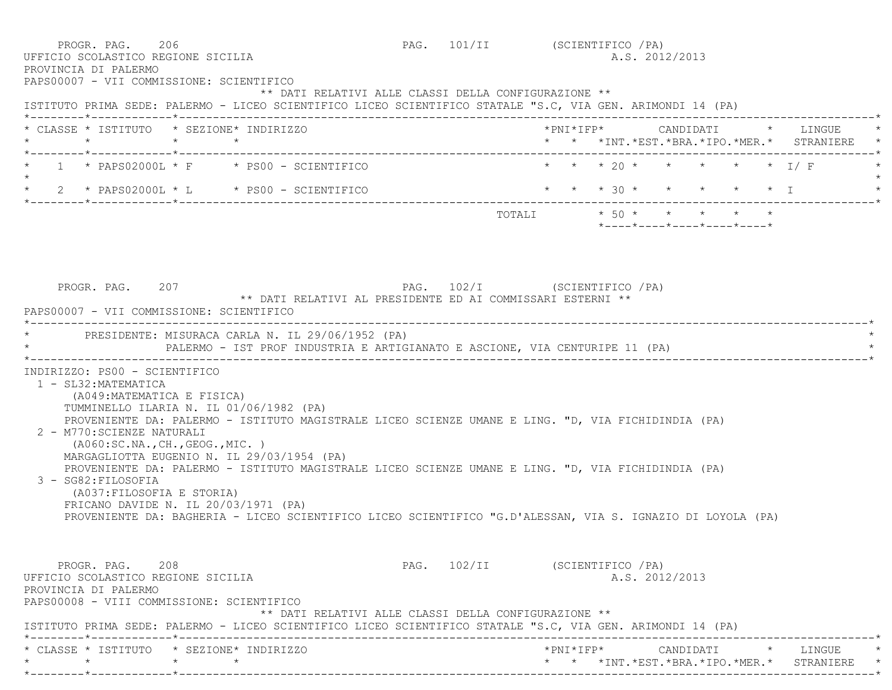PROGR. PAG. 206 206 PAG. 101/II (SCIENTIFICO / PA) UFFICIO SCOLASTICO REGIONE SICILIA A.S. 2012/2013 PROVINCIA DI PALERMO PAPS00007 - VII COMMISSIONE: SCIENTIFICO \*\* DATI RELATIVI ALLE CLASSI DELLA CONFIGURAZIONE \*\* ISTITUTO PRIMA SEDE: PALERMO - LICEO SCIENTIFICO LICEO SCIENTIFICO STATALE "S.C, VIA GEN. ARIMONDI 14 (PA) \*--------\*------------\*-------------------------------------------------------------------------------------------------------\* \* CLASSE \* ISTITUTO \* SEZIONE\* INDIRIZZO \*PNI\*IFP\* CANDIDATI \* LINGUE \* \* \* \* \* \* \* \*INT.\*EST.\*BRA.\*IPO.\*MER.\* STRANIERE \* \*--------\*------------\*-------------------------------------------------------------------------------------------------------\*1 \* PAPS02000L \* F \* PS00 - SCIENTIFICO \* \* \* \* 20 \* \* \* \* \* \* \* I/ F  $\star$  \* 2 \* PAPS02000L \* L \* PS00 - SCIENTIFICO \* \* \* 30 \* \* \* \* \* I \* \*--------\*------------\*-------------------------------------------------------------------------------------------------------\* $\texttt{TOTAL} \qquad \qquad \star\quad 50\;\star\qquad \star\qquad \star\qquad \star\qquad \star\qquad \star$  \*----\*----\*----\*----\*----\* PROGR. PAG. 207 PAG. 102/I (SCIENTIFICO /PA) \*\* DATI RELATIVI AL PRESIDENTE ED AI COMMISSARI ESTERNI \*\* PAPS00007 - VII COMMISSIONE: SCIENTIFICO \*----------------------------------------------------------------------------------------------------------------------------\*PRESIDENTE: MISURACA CARLA N. IL 29/06/1952 (PA) PALERMO - IST PROF INDUSTRIA E ARTIGIANATO E ASCIONE, VIA CENTURIPE 11 (PA) \*----------------------------------------------------------------------------------------------------------------------------\* INDIRIZZO: PS00 - SCIENTIFICO 1 - SL32:MATEMATICA (A049:MATEMATICA E FISICA) TUMMINELLO ILARIA N. IL 01/06/1982 (PA) PROVENIENTE DA: PALERMO - ISTITUTO MAGISTRALE LICEO SCIENZE UMANE E LING. "D, VIA FICHIDINDIA (PA) 2 - M770:SCIENZE NATURALI (A060:SC.NA.,CH.,GEOG.,MIC. ) MARGAGLIOTTA EUGENIO N. IL 29/03/1954 (PA) PROVENIENTE DA: PALERMO - ISTITUTO MAGISTRALE LICEO SCIENZE UMANE E LING. "D, VIA FICHIDINDIA (PA) 3 - SG82:FILOSOFIA (A037:FILOSOFIA E STORIA) FRICANO DAVIDE N. IL 20/03/1971 (PA) PROVENIENTE DA: BAGHERIA - LICEO SCIENTIFICO LICEO SCIENTIFICO "G.D'ALESSAN, VIA S. IGNAZIO DI LOYOLA (PA) PROGR. PAG. 208 208 PAG. 102/II (SCIENTIFICO /PA) UFFICIO SCOLASTICO REGIONE SICILIA A.S. 2012/2013 PROVINCIA DI PALERMO PAPS00008 - VIII COMMISSIONE: SCIENTIFICO \*\* DATI RELATIVI ALLE CLASSI DELLA CONFIGURAZIONE \*\* ISTITUTO PRIMA SEDE: PALERMO - LICEO SCIENTIFICO LICEO SCIENTIFICO STATALE "S.C, VIA GEN. ARIMONDI 14 (PA) \*--------\*------------\*-------------------------------------------------------------------------------------------------------\* \* CLASSE \* ISTITUTO \* SEZIONE\* INDIRIZZO \*PNI\*IFP\* CANDIDATI \* LINGUE \*\* \* \* \* \* \* \*INT.\*EST.\*BRA.\*IPO.\*MER.\* STRANIERE \*

\*--------\*------------\*-------------------------------------------------------------------------------------------------------\*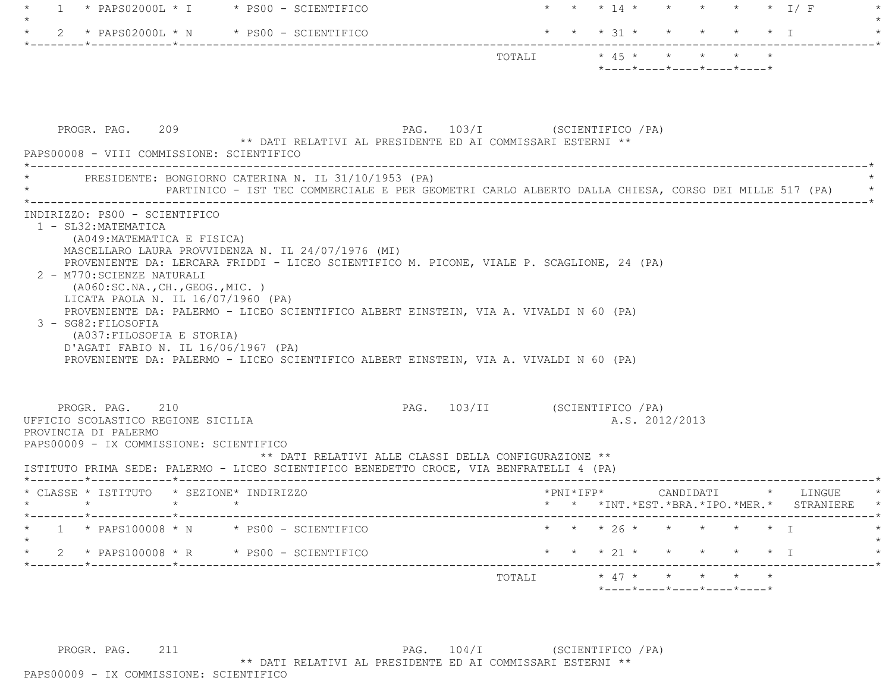| -1 |                                                                                                                                                                                                    | $*$ PAPS02000L $*$ I $*$ PS00 - SCIENTIFICO        |                                                                                                                                                                                                                                                                             |                               |                       |           |  |                |                                                  |                        | * * * 14 * * * * * * * I/ F                                         |
|----|----------------------------------------------------------------------------------------------------------------------------------------------------------------------------------------------------|----------------------------------------------------|-----------------------------------------------------------------------------------------------------------------------------------------------------------------------------------------------------------------------------------------------------------------------------|-------------------------------|-----------------------|-----------|--|----------------|--------------------------------------------------|------------------------|---------------------------------------------------------------------|
|    |                                                                                                                                                                                                    | 2 * PAPS02000L * N * PS00 - SCIENTIFICO            |                                                                                                                                                                                                                                                                             |                               |                       |           |  |                | * * * 31 * * * * * * I                           |                        |                                                                     |
|    |                                                                                                                                                                                                    |                                                    |                                                                                                                                                                                                                                                                             |                               | TOTALI * 45 * * * * * |           |  |                | $*$ ---- $*$ ---- $*$ ---- $*$ ---- $*$ ---- $*$ |                        |                                                                     |
|    | PROGR. PAG. 209<br>PAPS00008 - VIII COMMISSIONE: SCIENTIFICO                                                                                                                                       |                                                    | PAG. 103/I (SCIENTIFICO / PA)<br>** DATI RELATIVI AL PRESIDENTE ED AI COMMISSARI ESTERNI **                                                                                                                                                                                 |                               |                       |           |  |                |                                                  |                        |                                                                     |
|    |                                                                                                                                                                                                    |                                                    | PRESIDENTE: BONGIORNO CATERINA N. IL 31/10/1953 (PA)<br>PARTINICO - IST TEC COMMERCIALE E PER GEOMETRI CARLO ALBERTO DALLA CHIESA, CORSO DEI MILLE 517 (PA)                                                                                                                 |                               |                       |           |  |                |                                                  |                        |                                                                     |
|    | 2 - M770: SCIENZE NATURALI<br>(AO60:SC.NA., CH., GEOG., MIC. )<br>LICATA PAOLA N. IL $16/07/1960$ (PA)<br>3 - SG82: FILOSOFIA<br>(A037: FILOSOFIA E STORIA)<br>D'AGATI FABIO N. IL 16/06/1967 (PA) | MASCELLARO LAURA PROVVIDENZA N. IL 24/07/1976 (MI) | PROVENIENTE DA: LERCARA FRIDDI - LICEO SCIENTIFICO M. PICONE, VIALE P. SCAGLIONE, 24 (PA)<br>PROVENIENTE DA: PALERMO - LICEO SCIENTIFICO ALBERT EINSTEIN, VIA A. VIVALDI N 60 (PA)<br>PROVENIENTE DA: PALERMO - LICEO SCIENTIFICO ALBERT EINSTEIN, VIA A. VIVALDI N 60 (PA) |                               |                       |           |  |                |                                                  |                        |                                                                     |
|    | PROGR. PAG. 210<br>UFFICIO SCOLASTICO REGIONE SICILIA<br>PROVINCIA DI PALERMO<br>PAPS00009 - IX COMMISSIONE: SCIENTIFICO                                                                           |                                                    | ** DATI RELATIVI ALLE CLASSI DELLA CONFIGURAZIONE **<br>ISTITUTO PRIMA SEDE: PALERMO - LICEO SCIENTIFICO BENEDETTO CROCE, VIA BENFRATELLI 4 (PA)                                                                                                                            | PAG. 103/II (SCIENTIFICO /PA) |                       |           |  | A.S. 2012/2013 |                                                  |                        |                                                                     |
|    | * CLASSE * ISTITUTO * SEZIONE* INDIRIZZO<br>$\star$ $\star$<br>$\star$                                                                                                                             |                                                    |                                                                                                                                                                                                                                                                             |                               |                       | *PNI*IFP* |  |                |                                                  |                        | CANDIDATI * LINGUE<br>* * *INT. *EST. *BRA. *IPO. *MER. * STRANIERE |
|    |                                                                                                                                                                                                    | $*$ PAPS100008 $*$ N $*$ PS00 - SCIENTIFICO        |                                                                                                                                                                                                                                                                             |                               |                       |           |  |                | * * 26 * * * * * * I                             |                        |                                                                     |
|    |                                                                                                                                                                                                    | 2 * PAPS100008 * R * PS00 - SCIENTIFICO            |                                                                                                                                                                                                                                                                             |                               |                       |           |  |                |                                                  |                        |                                                                     |
|    |                                                                                                                                                                                                    |                                                    |                                                                                                                                                                                                                                                                             |                               |                       |           |  |                |                                                  | * * * 21 * * * * * * I |                                                                     |

PROGR. PAG. 211 211 PAG. 104/I (SCIENTIFICO /PA) \*\* DATI RELATIVI AL PRESIDENTE ED AI COMMISSARI ESTERNI \*\*

PAPS00009 - IX COMMISSIONE: SCIENTIFICO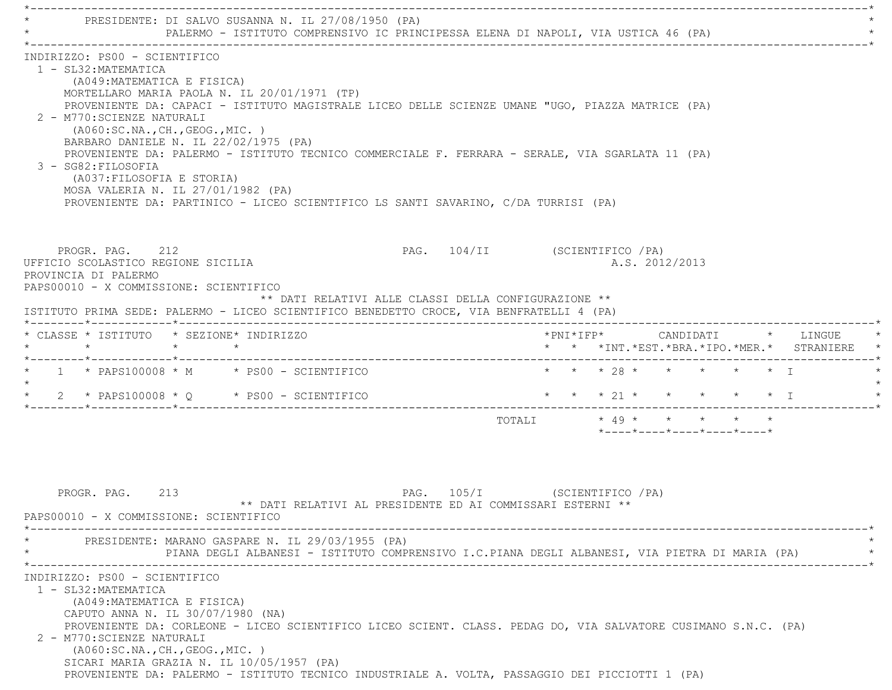\*----------------------------------------------------------------------------------------------------------------------------\*PRESIDENTE: DI SALVO SUSANNA N. IL 27/08/1950 (PA) PALERMO - ISTITUTO COMPRENSIVO IC PRINCIPESSA ELENA DI NAPOLI, VIA USTICA 46 (PA) \*----------------------------------------------------------------------------------------------------------------------------\* INDIRIZZO: PS00 - SCIENTIFICO 1 - SL32:MATEMATICA (A049:MATEMATICA E FISICA) MORTELLARO MARIA PAOLA N. IL 20/01/1971 (TP) PROVENIENTE DA: CAPACI - ISTITUTO MAGISTRALE LICEO DELLE SCIENZE UMANE "UGO, PIAZZA MATRICE (PA) 2 - M770:SCIENZE NATURALI (A060:SC.NA.,CH.,GEOG.,MIC. ) BARBARO DANIELE N. IL 22/02/1975 (PA) PROVENIENTE DA: PALERMO - ISTITUTO TECNICO COMMERCIALE F. FERRARA - SERALE, VIA SGARLATA 11 (PA) 3 - SG82:FILOSOFIA (A037:FILOSOFIA E STORIA) MOSA VALERIA N. IL 27/01/1982 (PA) PROVENIENTE DA: PARTINICO - LICEO SCIENTIFICO LS SANTI SAVARINO, C/DA TURRISI (PA) PROGR. PAG. 212 PAG. 104/II (SCIENTIFICO /PA) UFFICIO SCOLASTICO REGIONE SICILIA A.S. 2012/2013 PROVINCIA DI PALERMO PAPS00010 - X COMMISSIONE: SCIENTIFICO \*\* DATI RELATIVI ALLE CLASSI DELLA CONFIGURAZIONE \*\* ISTITUTO PRIMA SEDE: PALERMO - LICEO SCIENTIFICO BENEDETTO CROCE, VIA BENFRATELLI 4 (PA) \*--------\*------------\*-------------------------------------------------------------------------------------------------------\* \* CLASSE \* ISTITUTO \* SEZIONE\* INDIRIZZO \*PNI\*IFP\* CANDIDATI \* LINGUE \* \* \* \* \* \* \* \*INT.\*EST.\*BRA.\*IPO.\*MER.\* STRANIERE \* \*--------\*------------\*-------------------------------------------------------------------------------------------------------\* \* 1 \* PAPS100008 \* M \* PS00 - SCIENTIFICO \* \* \* 28 \* \* \* \* \* I \* $\star$  \* 2 \* PAPS100008 \* Q \* PS00 - SCIENTIFICO \* \* \* 21 \* \* \* \* \* I \* \*--------\*------------\*-------------------------------------------------------------------------------------------------------\* TOTALI \* 49 \* \* \* \* \* \*----\*----\*----\*----\*----\*PROGR. PAG. 213 2009 PAG. 105/I (SCIENTIFICO / PA) \*\* DATI RELATIVI AL PRESIDENTE ED AI COMMISSARI ESTERNI \*\* PAPS00010 - X COMMISSIONE: SCIENTIFICO \*----------------------------------------------------------------------------------------------------------------------------\*PRESIDENTE: MARANO GASPARE N. IL 29/03/1955 (PA) \* PIANA DEGLI ALBANESI - ISTITUTO COMPRENSIVO I.C.PIANA DEGLI ALBANESI, VIA PIETRA DI MARIA (PA) \* \*----------------------------------------------------------------------------------------------------------------------------\* INDIRIZZO: PS00 - SCIENTIFICO 1 - SL32:MATEMATICA (A049:MATEMATICA E FISICA) CAPUTO ANNA N. IL 30/07/1980 (NA) PROVENIENTE DA: CORLEONE - LICEO SCIENTIFICO LICEO SCIENT. CLASS. PEDAG DO, VIA SALVATORE CUSIMANO S.N.C. (PA) 2 - M770:SCIENZE NATURALI (A060:SC.NA.,CH.,GEOG.,MIC. ) SICARI MARIA GRAZIA N. IL 10/05/1957 (PA) PROVENIENTE DA: PALERMO - ISTITUTO TECNICO INDUSTRIALE A. VOLTA, PASSAGGIO DEI PICCIOTTI 1 (PA)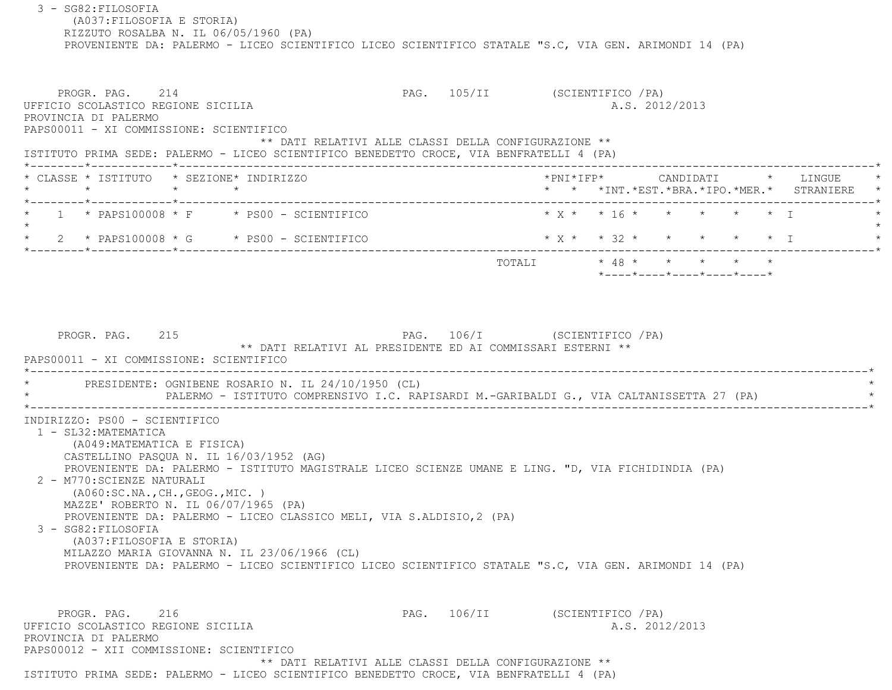3 - SG82:FILOSOFIA (A037:FILOSOFIA E STORIA) RIZZUTO ROSALBA N. IL 06/05/1960 (PA) PROVENIENTE DA: PALERMO - LICEO SCIENTIFICO LICEO SCIENTIFICO STATALE "S.C, VIA GEN. ARIMONDI 14 (PA) PROGR. PAG. 214 CHARGE 214 PAG. 105/II (SCIENTIFICO / PA) UFFICIO SCOLASTICO REGIONE SICILIA A.S. 2012/2013 PROVINCIA DI PALERMO PAPS00011 - XI COMMISSIONE: SCIENTIFICO \*\* DATI RELATIVI ALLE CLASSI DELLA CONFIGURAZIONE \*\* ISTITUTO PRIMA SEDE: PALERMO - LICEO SCIENTIFICO BENEDETTO CROCE, VIA BENFRATELLI 4 (PA) \*--------\*------------\*-------------------------------------------------------------------------------------------------------\* \* CLASSE \* ISTITUTO \* SEZIONE\* INDIRIZZO \*PNI\*IFP\* CANDIDATI \* LINGUE \* \* \* \* \* \* \* \*INT.\*EST.\*BRA.\*IPO.\*MER.\* STRANIERE \* \*--------\*------------\*-------------------------------------------------------------------------------------------------------\* \* 1 \* PAPS100008 \* F \* PS00 - SCIENTIFICO \* X \* \* 16 \* \* \* \* \* I \* $\star$ 2 \* PAPS100008 \* G \* PS00 - SCIENTIFICO \* \* X \* \* 32 \* \* \* \* \* \* \* I \*--------\*------------\*-------------------------------------------------------------------------------------------------------\* TOTALI \* 48 \* \* \* \* \* \*----\*----\*----\*----\*----\*PROGR. PAG. 215 2009 2009 2009 215 2215 2216 2316 232 233 246. 2215 232 233 246. 232 233 234 234 235 236 237 23 \*\* DATI RELATIVI AL PRESIDENTE ED AI COMMISSARI ESTERNI \*\* PAPS00011 - XI COMMISSIONE: SCIENTIFICO \*----------------------------------------------------------------------------------------------------------------------------\*PRESIDENTE: OGNIBENE ROSARIO N. IL 24/10/1950 (CL) PALERMO - ISTITUTO COMPRENSIVO I.C. RAPISARDI M.-GARIBALDI G., VIA CALTANISSETTA 27 (PA) \*----------------------------------------------------------------------------------------------------------------------------\* INDIRIZZO: PS00 - SCIENTIFICO 1 - SL32:MATEMATICA (A049:MATEMATICA E FISICA) CASTELLINO PASQUA N. IL 16/03/1952 (AG) PROVENIENTE DA: PALERMO - ISTITUTO MAGISTRALE LICEO SCIENZE UMANE E LING. "D, VIA FICHIDINDIA (PA) 2 - M770:SCIENZE NATURALI (A060:SC.NA.,CH.,GEOG.,MIC. ) MAZZE' ROBERTO N. IL 06/07/1965 (PA) PROVENIENTE DA: PALERMO - LICEO CLASSICO MELI, VIA S.ALDISIO,2 (PA) 3 - SG82:FILOSOFIA (A037:FILOSOFIA E STORIA) MILAZZO MARIA GIOVANNA N. IL 23/06/1966 (CL) PROVENIENTE DA: PALERMO - LICEO SCIENTIFICO LICEO SCIENTIFICO STATALE "S.C, VIA GEN. ARIMONDI 14 (PA) PROGR. PAG. 216 CHARGE 216 PAG. 106/II (SCIENTIFICO / PA) UFFICIO SCOLASTICO REGIONE SICILIA A.S. 2012/2013 PROVINCIA DI PALERMO PAPS00012 - XII COMMISSIONE: SCIENTIFICO\*\* DATI RELATIVI ALLE CLASSI DELLA CONFIGURAZIONE \*\*

ISTITUTO PRIMA SEDE: PALERMO - LICEO SCIENTIFICO BENEDETTO CROCE, VIA BENFRATELLI 4 (PA)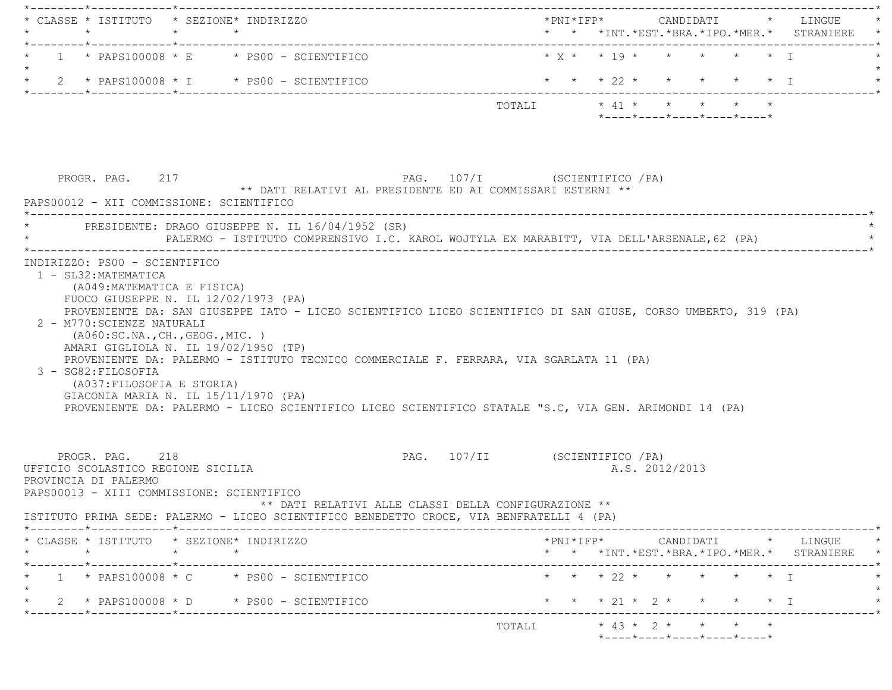|         |                                                                                                                                                                                                     |         | * CLASSE * ISTITUTO * SEZIONE* INDIRIZZO                                                                                                                                                                                                                                                                          |                                                      |                                |        |  |  |                |                                                                                        |  |                                                                                                 |  |
|---------|-----------------------------------------------------------------------------------------------------------------------------------------------------------------------------------------------------|---------|-------------------------------------------------------------------------------------------------------------------------------------------------------------------------------------------------------------------------------------------------------------------------------------------------------------------|------------------------------------------------------|--------------------------------|--------|--|--|----------------|----------------------------------------------------------------------------------------|--|-------------------------------------------------------------------------------------------------|--|
|         |                                                                                                                                                                                                     |         | $1 \times$ PAPS100008 $\times$ E $\times$ PS00 - SCIENTIFICO                                                                                                                                                                                                                                                      |                                                      |                                |        |  |  |                | $\star$ y $\star$ $\star$ 19 $\star$ $\star$ $\star$ $\star$ $\star$ $\star$ $\star$ T |  |                                                                                                 |  |
| $\star$ |                                                                                                                                                                                                     |         | 2 * PAPS100008 * I * PS00 - SCIENTIFICO                                                                                                                                                                                                                                                                           |                                                      |                                |        |  |  |                |                                                                                        |  | * * * 22 * * * * * * I                                                                          |  |
|         |                                                                                                                                                                                                     |         |                                                                                                                                                                                                                                                                                                                   |                                                      |                                |        |  |  |                | $*$ ---- $*$ ---- $*$ ---- $*$ ---- $*$ ---- $*$                                       |  |                                                                                                 |  |
|         | PROGR. PAG. 217<br>PAPS00012 - XII COMMISSIONE: SCIENTIFICO                                                                                                                                         |         | ** DATI RELATIVI AL PRESIDENTE ED AI COMMISSARI ESTERNI **                                                                                                                                                                                                                                                        |                                                      | PAG. 107/I (SCIENTIFICO / PA)  |        |  |  |                |                                                                                        |  |                                                                                                 |  |
|         |                                                                                                                                                                                                     |         | PRESIDENTE: DRAGO GIUSEPPE N. IL 16/04/1952 (SR)<br>PALERMO - ISTITUTO COMPRENSIVO I.C. KAROL WOJTYLA EX MARABITT, VIA DELL'ARSENALE, 62 (PA)                                                                                                                                                                     |                                                      |                                |        |  |  |                |                                                                                        |  |                                                                                                 |  |
|         | 2 - M770: SCIENZE NATURALI<br>( A060:SC.NA., CH., GEOG., MIC. )<br>AMARI GIGLIOLA N. IL 19/02/1950 (TP)<br>3 - SG82: FILOSOFIA<br>(A037:FILOSOFIA E STORIA)<br>GIACONIA MARIA N. IL 15/11/1970 (PA) |         | PROVENIENTE DA: SAN GIUSEPPE IATO - LICEO SCIENTIFICO LICEO SCIENTIFICO DI SAN GIUSE, CORSO UMBERTO, 319 (PA)<br>PROVENIENTE DA: PALERMO - ISTITUTO TECNICO COMMERCIALE F. FERRARA, VIA SGARLATA 11 (PA)<br>PROVENIENTE DA: PALERMO - LICEO SCIENTIFICO LICEO SCIENTIFICO STATALE "S.C, VIA GEN. ARIMONDI 14 (PA) |                                                      |                                |        |  |  |                |                                                                                        |  |                                                                                                 |  |
|         | PROGR. PAG. 218<br>UFFICIO SCOLASTICO REGIONE SICILIA<br>PROVINCIA DI PALERMO<br>PAPS00013 - XIII COMMISSIONE: SCIENTIFICO                                                                          |         | ISTITUTO PRIMA SEDE: PALERMO - LICEO SCIENTIFICO BENEDETTO CROCE, VIA BENFRATELLI 4 (PA)                                                                                                                                                                                                                          | ** DATI RELATIVI ALLE CLASSI DELLA CONFIGURAZIONE ** | PAG. 107/II (SCIENTIFICO / PA) |        |  |  | A.S. 2012/2013 |                                                                                        |  |                                                                                                 |  |
|         | * CLASSE * ISTITUTO * SEZIONE* INDIRIZZO                                                                                                                                                            |         |                                                                                                                                                                                                                                                                                                                   |                                                      |                                |        |  |  |                |                                                                                        |  | $*PNI*IFP* \qquad \qquad \text{CANDIDATI} \qquad \qquad * \qquad \text{LINGUE} \qquad \qquad *$ |  |
|         | $\star$                                                                                                                                                                                             | $\star$ | $\star$                                                                                                                                                                                                                                                                                                           |                                                      |                                |        |  |  |                |                                                                                        |  | * * *INT. *EST. *BRA. *IPO. *MER. * STRANIERE *                                                 |  |
|         |                                                                                                                                                                                                     |         | $1 \times$ PAPS100008 $\times$ C $\times$ PS00 - SCIENTIFICO                                                                                                                                                                                                                                                      |                                                      |                                |        |  |  |                | * * * 22 * * * * * * I                                                                 |  |                                                                                                 |  |
|         |                                                                                                                                                                                                     |         | 2 * PAPS100008 * D * PS00 - SCIENTIFICO                                                                                                                                                                                                                                                                           |                                                      |                                |        |  |  |                | * * * 21 * 2 * * * * * I                                                               |  |                                                                                                 |  |
|         |                                                                                                                                                                                                     |         |                                                                                                                                                                                                                                                                                                                   |                                                      |                                | TOTALI |  |  |                | $* 43 * 2 * * * * * *$<br>*----*----*----*----*----*                                   |  |                                                                                                 |  |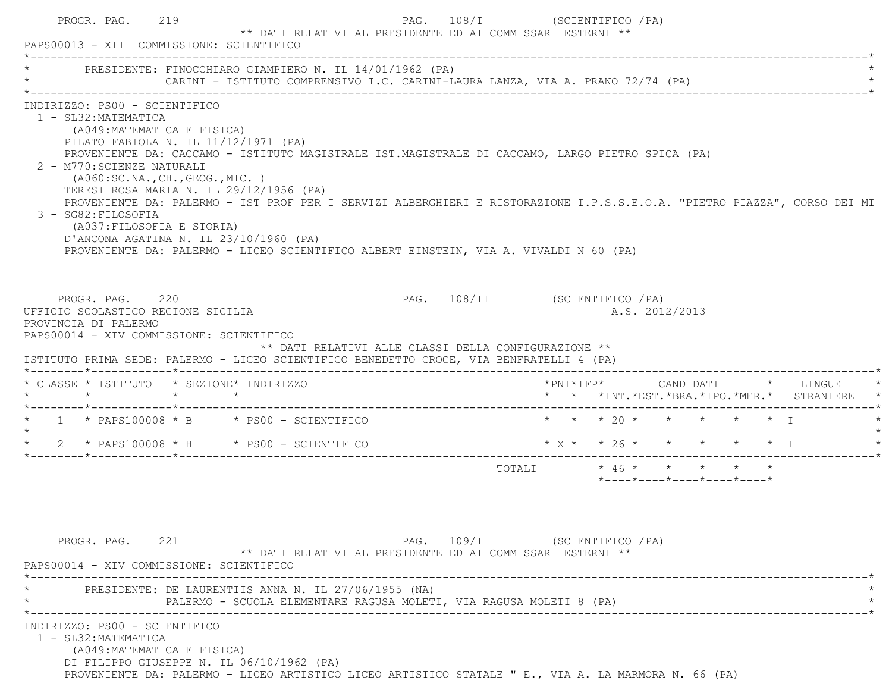|                                                            |                                                                           | PROGR. PAG. 219 |                                                                                                                               | PAPS00013 - XIII COMMISSIONE: SCIENTIFICO                                                                                 | ** DATI RELATIVI AL PRESIDENTE ED AI COMMISSARI ESTERNI **                                                                                                                                |                                                                                | PAG. 108/I (SCIENTIFICO / PA) |  |  |                |                                                                 |  |                                                                                                                          |
|------------------------------------------------------------|---------------------------------------------------------------------------|-----------------|-------------------------------------------------------------------------------------------------------------------------------|---------------------------------------------------------------------------------------------------------------------------|-------------------------------------------------------------------------------------------------------------------------------------------------------------------------------------------|--------------------------------------------------------------------------------|-------------------------------|--|--|----------------|-----------------------------------------------------------------|--|--------------------------------------------------------------------------------------------------------------------------|
|                                                            |                                                                           |                 |                                                                                                                               |                                                                                                                           | PRESIDENTE: FINOCCHIARO GIAMPIERO N. IL 14/01/1962 (PA)                                                                                                                                   |                                                                                |                               |  |  |                |                                                                 |  |                                                                                                                          |
|                                                            | 1 - SL32: MATEMATICA<br>2 - M770: SCIENZE NATURALI<br>3 - SG82: FILOSOFIA |                 | INDIRIZZO: PS00 - SCIENTIFICO<br>(A049:MATEMATICA E FISICA)<br>(AO60:SC.NA., CH., GEOG., MIC. )<br>(A037: FILOSOFIA E STORIA) | PILATO FABIOLA N. IL 11/12/1971 (PA)<br>TERESI ROSA MARIA N. IL 29/12/1956 (PA)<br>D'ANCONA AGATINA N. IL 23/10/1960 (PA) | PROVENIENTE DA: CACCAMO - ISTITUTO MAGISTRALE IST.MAGISTRALE DI CACCAMO, LARGO PIETRO SPICA (PA)<br>PROVENIENTE DA: PALERMO - LICEO SCIENTIFICO ALBERT EINSTEIN, VIA A. VIVALDI N 60 (PA) |                                                                                |                               |  |  |                |                                                                 |  | PROVENIENTE DA: PALERMO - IST PROF PER I SERVIZI ALBERGHIERI E RISTORAZIONE I.P.S.S.E.O.A. "PIETRO PIAZZA", CORSO DEI MI |
| UFFICIO SCOLASTICO REGIONE SICILIA<br>PROVINCIA DI PALERMO | PROGR. PAG. 220                                                           |                 |                                                                                                                               | PAPS00014 - XIV COMMISSIONE: SCIENTIFICO                                                                                  | ** DATI RELATIVI ALLE CLASSI DELLA CONFIGURAZIONE **<br>ISTITUTO PRIMA SEDE: PALERMO - LICEO SCIENTIFICO BENEDETTO CROCE, VIA BENFRATELLI 4 (PA)                                          | PAG. 108/II (SCIENTIFICO /PA)                                                  |                               |  |  | A.S. 2012/2013 |                                                                 |  |                                                                                                                          |
|                                                            |                                                                           |                 |                                                                                                                               | * CLASSE * ISTITUTO * SEZIONE* INDIRIZZO                                                                                  |                                                                                                                                                                                           |                                                                                |                               |  |  |                |                                                                 |  | * * *INT. *EST. *BRA. *IPO. *MER. * STRANIERE                                                                            |
|                                                            |                                                                           |                 |                                                                                                                               |                                                                                                                           | * $1$ * PAPS100008 * B * PS00 - SCIENTIFICO                                                                                                                                               |                                                                                |                               |  |  |                | * * * 20 * * * * * * T                                          |  |                                                                                                                          |
|                                                            |                                                                           |                 |                                                                                                                               |                                                                                                                           |                                                                                                                                                                                           |                                                                                |                               |  |  |                |                                                                 |  |                                                                                                                          |
|                                                            |                                                                           |                 |                                                                                                                               |                                                                                                                           | * $2$ * PAPS100008 * H * PS00 - SCIENTIFICO                                                                                                                                               | $\star$ X $\star$ $\star$ 26 $\star$ $\star$ $\star$ $\star$ $\star$ $\star$ I |                               |  |  |                |                                                                 |  |                                                                                                                          |
|                                                            |                                                                           |                 |                                                                                                                               |                                                                                                                           |                                                                                                                                                                                           |                                                                                | TOTALI * 46 * * * * * *       |  |  |                | $*$ - - - - $*$ - - - - $*$ - - - - $*$ - - - - $*$ - - - - $*$ |  |                                                                                                                          |
|                                                            | PROGR. PAG. 221                                                           |                 |                                                                                                                               | PAPS00014 - XIV COMMISSIONE: SCIENTIFICO                                                                                  | ** DATI RELATIVI AL PRESIDENTE ED AI COMMISSARI ESTERNI **                                                                                                                                | PAG. 109/I (SCIENTIFICO / PA)                                                  |                               |  |  |                |                                                                 |  |                                                                                                                          |
|                                                            |                                                                           |                 |                                                                                                                               |                                                                                                                           | PRESIDENTE: DE LAURENTIIS ANNA N. IL 27/06/1955 (NA)<br>PALERMO - SCUOLA ELEMENTARE RAGUSA MOLETI, VIA RAGUSA MOLETI 8 (PA)                                                               |                                                                                |                               |  |  |                |                                                                 |  |                                                                                                                          |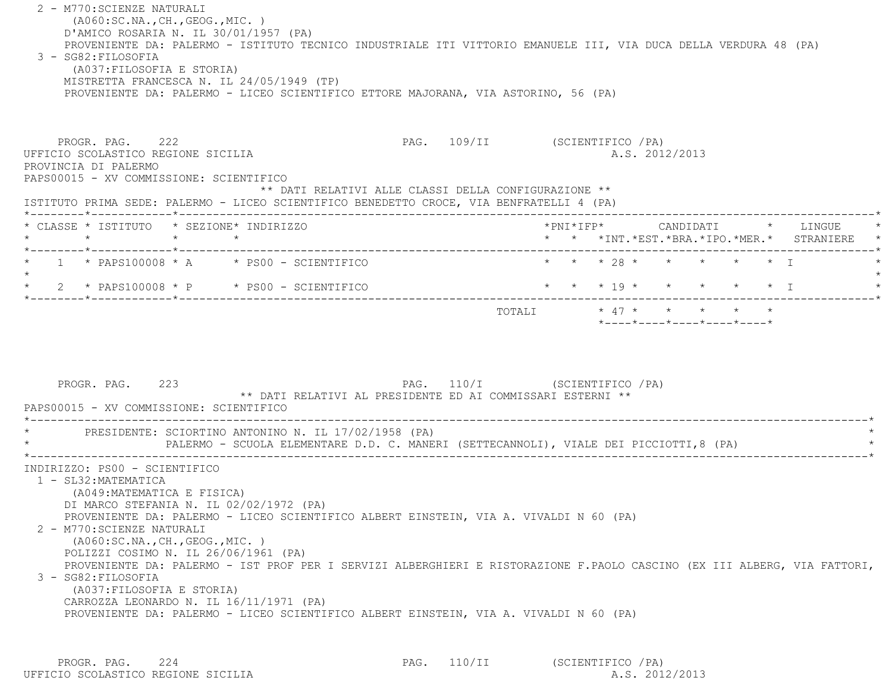2 - M770:SCIENZE NATURALI (A060:SC.NA.,CH.,GEOG.,MIC. ) D'AMICO ROSARIA N. IL 30/01/1957 (PA) PROVENIENTE DA: PALERMO - ISTITUTO TECNICO INDUSTRIALE ITI VITTORIO EMANUELE III, VIA DUCA DELLA VERDURA 48 (PA) 3 - SG82:FILOSOFIA (A037:FILOSOFIA E STORIA) MISTRETTA FRANCESCA N. IL 24/05/1949 (TP) PROVENIENTE DA: PALERMO - LICEO SCIENTIFICO ETTORE MAJORANA, VIA ASTORINO, 56 (PA) PROGR. PAG. 222 PAG. PAG. 222 PAG. 109/II (SCIENTIFICO /PA) UFFICIO SCOLASTICO REGIONE SICILIA A.S. 2012/2013 PROVINCIA DI PALERMO PAPS00015 - XV COMMISSIONE: SCIENTIFICO \*\* DATI RELATIVI ALLE CLASSI DELLA CONFIGURAZIONE \*\* ISTITUTO PRIMA SEDE: PALERMO - LICEO SCIENTIFICO BENEDETTO CROCE, VIA BENFRATELLI 4 (PA) \*--------\*------------\*-------------------------------------------------------------------------------------------------------\* \* CLASSE \* ISTITUTO \* SEZIONE\* INDIRIZZO \*PNI\*IFP\* CANDIDATI \* LINGUE \* \* \* \* \* \* \* \*INT.\*EST.\*BRA.\*IPO.\*MER.\* STRANIERE \* \*--------\*------------\*-------------------------------------------------------------------------------------------------------\*1 \* PAPS100008 \* A \* \* PS00 - SCIENTIFICO \* \* \* \* 28 \* \* \* \* \* \* \* \* I  $\star$  \* 2 \* PAPS100008 \* P \* PS00 - SCIENTIFICO \* \* \* 19 \* \* \* \* \* I \* \*--------\*------------\*-------------------------------------------------------------------------------------------------------\* TOTALI \* 47 \* \* \* \* \* \*----\*----\*----\*----\*----\*PROGR. PAG. 223 223 PAG. 110/I (SCIENTIFICO /PA) \*\* DATI RELATIVI AL PRESIDENTE ED AI COMMISSARI ESTERNI \*\* PAPS00015 - XV COMMISSIONE: SCIENTIFICO \*----------------------------------------------------------------------------------------------------------------------------\*PRESIDENTE: SCIORTINO ANTONINO N. IL 17/02/1958 (PA) PALERMO - SCUOLA ELEMENTARE D.D. C. MANERI (SETTECANNOLI), VIALE DEI PICCIOTTI,8 (PA) \*----------------------------------------------------------------------------------------------------------------------------\* INDIRIZZO: PS00 - SCIENTIFICO 1 - SL32:MATEMATICA (A049:MATEMATICA E FISICA) DI MARCO STEFANIA N. IL 02/02/1972 (PA) PROVENIENTE DA: PALERMO - LICEO SCIENTIFICO ALBERT EINSTEIN, VIA A. VIVALDI N 60 (PA) 2 - M770:SCIENZE NATURALI (A060:SC.NA.,CH.,GEOG.,MIC. ) POLIZZI COSIMO N. IL 26/06/1961 (PA) PROVENIENTE DA: PALERMO - IST PROF PER I SERVIZI ALBERGHIERI E RISTORAZIONE F.PAOLO CASCINO (EX III ALBERG, VIA FATTORI, 3 - SG82:FILOSOFIA (A037:FILOSOFIA E STORIA) CARROZZA LEONARDO N. IL 16/11/1971 (PA) PROVENIENTE DA: PALERMO - LICEO SCIENTIFICO ALBERT EINSTEIN, VIA A. VIVALDI N 60 (PA)

PROGR. PAG. 224 224 PAG. 110/II (SCIENTIFICO /PA) UFFICIO SCOLASTICO REGIONE SICILIA A.S. 2012/2013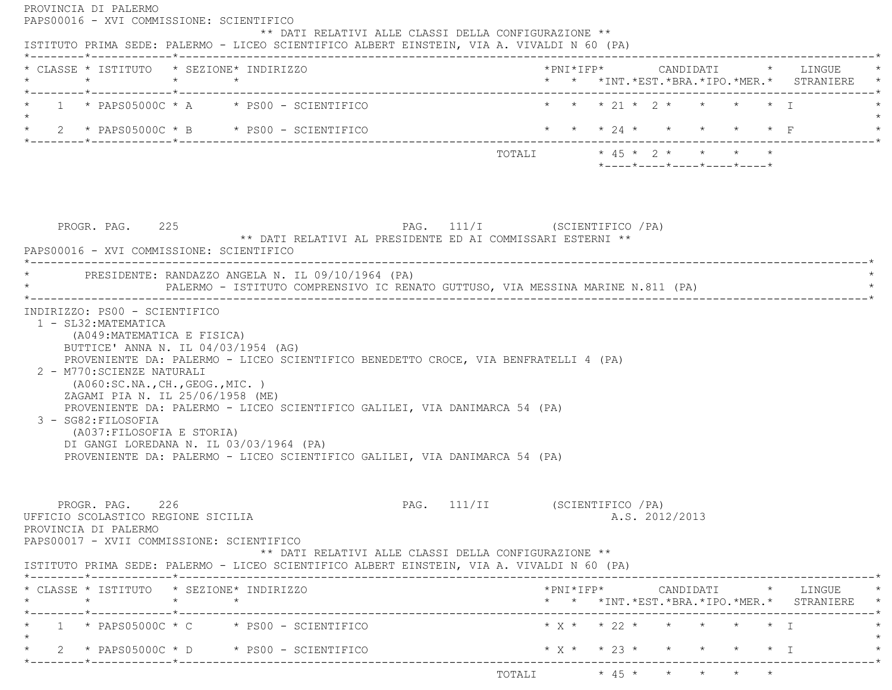| * * * 21 * 2 * * * * * I<br>1 * PAPS05000C * A * PS00 - SCIENTIFICO<br>* * * 24 * * * * * * F<br>* $2$ * PAPS05000C * B * PS00 - SCIENTIFICO<br>TOTALI * 45 * 2 * * * * *<br>$*$ - - - - $*$ - - - - $*$ - - - - $*$ - - - - $*$ - - - - $*$<br>PAG. 111/I (SCIENTIFICO / PA)<br>PROGR. PAG. 225<br>** DATI RELATIVI AL PRESIDENTE ED AI COMMISSARI ESTERNI **<br>PAPS00016 - XVI COMMISSIONE: SCIENTIFICO<br>* PRESIDENTE: RANDAZZO ANGELA N. IL 09/10/1964 (PA)<br>PALERMO - ISTITUTO COMPRENSIVO IC RENATO GUTTUSO, VIA MESSINA MARINE N.811 (PA)<br>INDIRIZZO: PS00 - SCIENTIFICO<br>1 - SL32: MATEMATICA<br>(A049: MATEMATICA E FISICA)<br>BUTTICE' ANNA N. IL 04/03/1954 (AG)<br>PROVENIENTE DA: PALERMO - LICEO SCIENTIFICO BENEDETTO CROCE, VIA BENFRATELLI 4 (PA)<br>2 - M770: SCIENZE NATURALI<br>( A060:SC.NA., CH., GEOG., MIC. )<br>ZAGAMI PIA N. IL 25/06/1958 (ME)<br>PROVENIENTE DA: PALERMO - LICEO SCIENTIFICO GALILEI, VIA DANIMARCA 54 (PA)<br>3 - SG82:FILOSOFIA<br>(A037: FILOSOFIA E STORIA)<br>DI GANGI LOREDANA N. IL 03/03/1964 (PA)<br>PROVENIENTE DA: PALERMO - LICEO SCIENTIFICO GALILEI, VIA DANIMARCA 54 (PA)<br>PROGR. PAG. 226<br>PAG. 111/II (SCIENTIFICO / PA)<br>A.S. 2012/2013<br>UFFICIO SCOLASTICO REGIONE SICILIA<br>PROVINCIA DI PALERMO<br>PAPS00017 - XVII COMMISSIONE: SCIENTIFICO<br>** DATI RELATIVI ALLE CLASSI DELLA CONFIGURAZIONE **<br>ISTITUTO PRIMA SEDE: PALERMO - LICEO SCIENTIFICO ALBERT EINSTEIN, VIA A. VIVALDI N 60 (PA)<br>* CLASSE * ISTITUTO * SEZIONE* INDIRIZZO<br>* * *INT. *EST. *BRA. *IPO. *MER. * STRANIERE *<br>------*------------*-------------<br>$1 \times$ PAPS05000C $*$ C $*$ PS00 - SCIENTIFICO<br>$*$ X $*$ $*$ 23 $*$ $*$<br>$\star$ 2 $\star$ PAPS05000C $\star$ D $\star$ PS00 - SCIENTIFICO<br>$\star$ I | * CLASSE * ISTITUTO * SEZIONE* INDIRIZZO<br>$\star$ $\star$ $\star$ | *PNI*IFP* CANDIDATI * LINGUE<br>* * *INT.*EST.*BRA.*IPO.*MER.* STRANIERE * |  |  |  |
|----------------------------------------------------------------------------------------------------------------------------------------------------------------------------------------------------------------------------------------------------------------------------------------------------------------------------------------------------------------------------------------------------------------------------------------------------------------------------------------------------------------------------------------------------------------------------------------------------------------------------------------------------------------------------------------------------------------------------------------------------------------------------------------------------------------------------------------------------------------------------------------------------------------------------------------------------------------------------------------------------------------------------------------------------------------------------------------------------------------------------------------------------------------------------------------------------------------------------------------------------------------------------------------------------------------------------------------------------------------------------------------------------------------------------------------------------------------------------------------------------------------------------------------------------------------------------------------------------------------------------------------------------------------------------------------------------------------------------------------------------------------------------------------------|---------------------------------------------------------------------|----------------------------------------------------------------------------|--|--|--|
|                                                                                                                                                                                                                                                                                                                                                                                                                                                                                                                                                                                                                                                                                                                                                                                                                                                                                                                                                                                                                                                                                                                                                                                                                                                                                                                                                                                                                                                                                                                                                                                                                                                                                                                                                                                              | *--------*------------*------------                                 |                                                                            |  |  |  |
|                                                                                                                                                                                                                                                                                                                                                                                                                                                                                                                                                                                                                                                                                                                                                                                                                                                                                                                                                                                                                                                                                                                                                                                                                                                                                                                                                                                                                                                                                                                                                                                                                                                                                                                                                                                              |                                                                     |                                                                            |  |  |  |
|                                                                                                                                                                                                                                                                                                                                                                                                                                                                                                                                                                                                                                                                                                                                                                                                                                                                                                                                                                                                                                                                                                                                                                                                                                                                                                                                                                                                                                                                                                                                                                                                                                                                                                                                                                                              |                                                                     |                                                                            |  |  |  |
|                                                                                                                                                                                                                                                                                                                                                                                                                                                                                                                                                                                                                                                                                                                                                                                                                                                                                                                                                                                                                                                                                                                                                                                                                                                                                                                                                                                                                                                                                                                                                                                                                                                                                                                                                                                              |                                                                     |                                                                            |  |  |  |
|                                                                                                                                                                                                                                                                                                                                                                                                                                                                                                                                                                                                                                                                                                                                                                                                                                                                                                                                                                                                                                                                                                                                                                                                                                                                                                                                                                                                                                                                                                                                                                                                                                                                                                                                                                                              |                                                                     |                                                                            |  |  |  |
|                                                                                                                                                                                                                                                                                                                                                                                                                                                                                                                                                                                                                                                                                                                                                                                                                                                                                                                                                                                                                                                                                                                                                                                                                                                                                                                                                                                                                                                                                                                                                                                                                                                                                                                                                                                              |                                                                     |                                                                            |  |  |  |
|                                                                                                                                                                                                                                                                                                                                                                                                                                                                                                                                                                                                                                                                                                                                                                                                                                                                                                                                                                                                                                                                                                                                                                                                                                                                                                                                                                                                                                                                                                                                                                                                                                                                                                                                                                                              |                                                                     |                                                                            |  |  |  |
|                                                                                                                                                                                                                                                                                                                                                                                                                                                                                                                                                                                                                                                                                                                                                                                                                                                                                                                                                                                                                                                                                                                                                                                                                                                                                                                                                                                                                                                                                                                                                                                                                                                                                                                                                                                              |                                                                     |                                                                            |  |  |  |
|                                                                                                                                                                                                                                                                                                                                                                                                                                                                                                                                                                                                                                                                                                                                                                                                                                                                                                                                                                                                                                                                                                                                                                                                                                                                                                                                                                                                                                                                                                                                                                                                                                                                                                                                                                                              |                                                                     |                                                                            |  |  |  |
|                                                                                                                                                                                                                                                                                                                                                                                                                                                                                                                                                                                                                                                                                                                                                                                                                                                                                                                                                                                                                                                                                                                                                                                                                                                                                                                                                                                                                                                                                                                                                                                                                                                                                                                                                                                              |                                                                     |                                                                            |  |  |  |
|                                                                                                                                                                                                                                                                                                                                                                                                                                                                                                                                                                                                                                                                                                                                                                                                                                                                                                                                                                                                                                                                                                                                                                                                                                                                                                                                                                                                                                                                                                                                                                                                                                                                                                                                                                                              |                                                                     |                                                                            |  |  |  |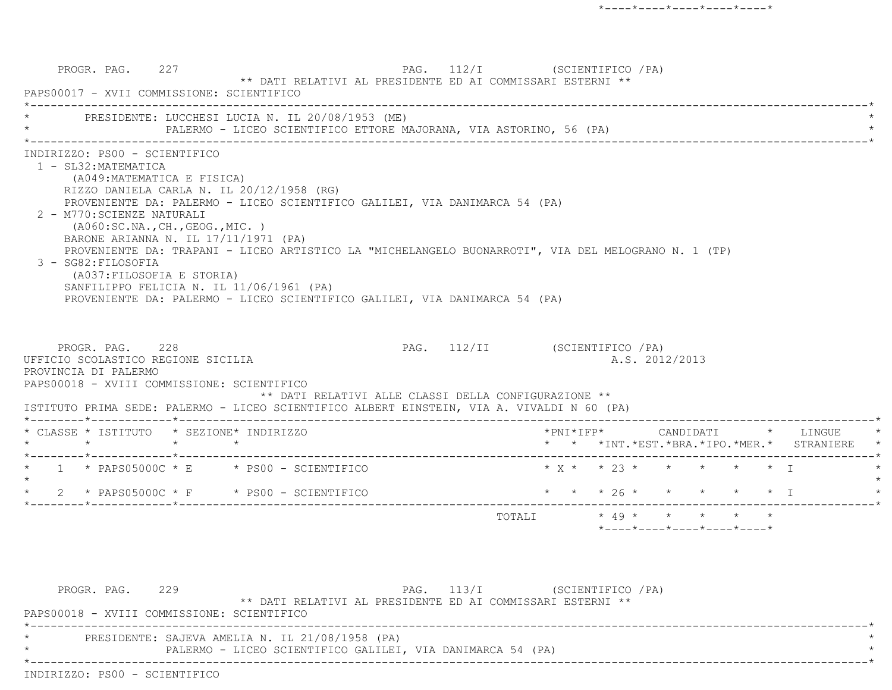PROGR. PAG. 227 PAG. 112/I (SCIENTIFICO /PA) \*\* DATI RELATIVI AL PRESIDENTE ED AI COMMISSARI ESTERNI \*\* PAPS00017 - XVII COMMISSIONE: SCIENTIFICO \*----------------------------------------------------------------------------------------------------------------------------\*PRESIDENTE: LUCCHESI LUCIA N. IL 20/08/1953 (ME) PALERMO - LICEO SCIENTIFICO ETTORE MAJORANA, VIA ASTORINO, 56 (PA) \*----------------------------------------------------------------------------------------------------------------------------\* INDIRIZZO: PS00 - SCIENTIFICO 1 - SL32:MATEMATICA (A049:MATEMATICA E FISICA) RIZZO DANIELA CARLA N. IL 20/12/1958 (RG) PROVENIENTE DA: PALERMO - LICEO SCIENTIFICO GALILEI, VIA DANIMARCA 54 (PA) 2 - M770:SCIENZE NATURALI (A060:SC.NA.,CH.,GEOG.,MIC. ) BARONE ARIANNA N. IL 17/11/1971 (PA) PROVENIENTE DA: TRAPANI - LICEO ARTISTICO LA "MICHELANGELO BUONARROTI", VIA DEL MELOGRANO N. 1 (TP) 3 - SG82:FILOSOFIA (A037:FILOSOFIA E STORIA) SANFILIPPO FELICIA N. IL 11/06/1961 (PA) PROVENIENTE DA: PALERMO - LICEO SCIENTIFICO GALILEI, VIA DANIMARCA 54 (PA) PROGR. PAG. 228 28 PAG. 112/II (SCIENTIFICO / PA) UFFICIO SCOLASTICO REGIONE SICILIA A.S. 2012/2013 PROVINCIA DI PALERMO PAPS00018 - XVIII COMMISSIONE: SCIENTIFICO \*\* DATI RELATIVI ALLE CLASSI DELLA CONFIGURAZIONE \*\* ISTITUTO PRIMA SEDE: PALERMO - LICEO SCIENTIFICO ALBERT EINSTEIN, VIA A. VIVALDI N 60 (PA) \*--------\*------------\*-------------------------------------------------------------------------------------------------------\* \* CLASSE \* ISTITUTO \* SEZIONE\* INDIRIZZO \*PNI\*IFP\* CANDIDATI \* LINGUE \* \* \* \* \* \* \* \*INT.\*EST.\*BRA.\*IPO.\*MER.\* STRANIERE \* \*--------\*------------\*-------------------------------------------------------------------------------------------------------\*1 \* PAPS05000C \* E \* PS00 - SCIENTIFICO \* \* \* \* \* \* \* \* \* \* \* \* \* I  $\star$  \* 2 \* PAPS05000C \* F \* PS00 - SCIENTIFICO \* \* \* 26 \* \* \* \* \* I \* \*--------\*------------\*-------------------------------------------------------------------------------------------------------\*TOTALI  $*$  49  $*$   $*$   $*$   $*$ \*----\*----\*----\*----\*----\*

PROGR. PAG. 229 PAG. 113/I (SCIENTIFICO / PA) \*\* DATI RELATIVI AL PRESIDENTE ED AI COMMISSARI ESTERNI \*\* PAPS00018 - XVIII COMMISSIONE: SCIENTIFICO \*----------------------------------------------------------------------------------------------------------------------------\*PRESIDENTE: SAJEVA AMELIA N. IL 21/08/1958 (PA) PALERMO - LICEO SCIENTIFICO GALILEI, VIA DANIMARCA 54 (PA) \*----------------------------------------------------------------------------------------------------------------------------\*INDIRIZZO: PS00 - SCIENTIFICO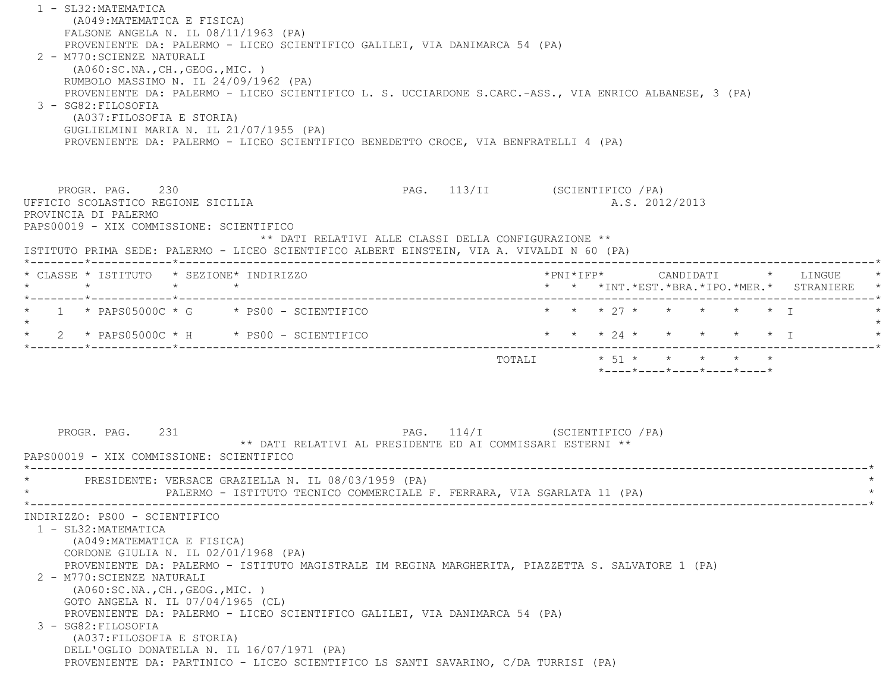1 - SL32:MATEMATICA (A049:MATEMATICA E FISICA) FALSONE ANGELA N. IL 08/11/1963 (PA) PROVENIENTE DA: PALERMO - LICEO SCIENTIFICO GALILEI, VIA DANIMARCA 54 (PA) 2 - M770:SCIENZE NATURALI (A060:SC.NA.,CH.,GEOG.,MIC. ) RUMBOLO MASSIMO N. IL 24/09/1962 (PA) PROVENIENTE DA: PALERMO - LICEO SCIENTIFICO L. S. UCCIARDONE S.CARC.-ASS., VIA ENRICO ALBANESE, 3 (PA) 3 - SG82:FILOSOFIA (A037:FILOSOFIA E STORIA) GUGLIELMINI MARIA N. IL 21/07/1955 (PA) PROVENIENTE DA: PALERMO - LICEO SCIENTIFICO BENEDETTO CROCE, VIA BENFRATELLI 4 (PA) PROGR. PAG. 230 230 PAG. 113/II (SCIENTIFICO /PA) UFFICIO SCOLASTICO REGIONE SICILIA A.S. 2012/2013 PROVINCIA DI PALERMO PAPS00019 - XIX COMMISSIONE: SCIENTIFICO \*\* DATI RELATIVI ALLE CLASSI DELLA CONFIGURAZIONE \*\* ISTITUTO PRIMA SEDE: PALERMO - LICEO SCIENTIFICO ALBERT EINSTEIN, VIA A. VIVALDI N 60 (PA) \*--------\*------------\*-------------------------------------------------------------------------------------------------------\* \* CLASSE \* ISTITUTO \* SEZIONE\* INDIRIZZO \*PNI\*IFP\* CANDIDATI \* LINGUE \* \* \* \* \* \* \* \*INT.\*EST.\*BRA.\*IPO.\*MER.\* STRANIERE \* \*--------\*------------\*-------------------------------------------------------------------------------------------------------\*1 \* PAPS05000C \* G \* PS00 - SCIENTIFICO \* \* \* \* 27 \* \* \* \* \* \* \* \* I  $\star$  \* 2 \* PAPS05000C \* H \* PS00 - SCIENTIFICO \* \* \* 24 \* \* \* \* \* I \* \*--------\*------------\*-------------------------------------------------------------------------------------------------------\*TOTALI  $\star$  51  $\star$   $\star$   $\star$   $\star$  \*----\*----\*----\*----\*----\* PROGR. PAG. 231 PAG. 114/I (SCIENTIFICO /PA) \*\* DATI RELATIVI AL PRESIDENTE ED AI COMMISSARI ESTERNI \*\* PAPS00019 - XIX COMMISSIONE: SCIENTIFICO \*----------------------------------------------------------------------------------------------------------------------------\*PRESIDENTE: VERSACE GRAZIELLA N. IL 08/03/1959 (PA) PALERMO - ISTITUTO TECNICO COMMERCIALE F. FERRARA, VIA SGARLATA 11 (PA) \*----------------------------------------------------------------------------------------------------------------------------\* INDIRIZZO: PS00 - SCIENTIFICO 1 - SL32:MATEMATICA (A049:MATEMATICA E FISICA) CORDONE GIULIA N. IL 02/01/1968 (PA) PROVENIENTE DA: PALERMO - ISTITUTO MAGISTRALE IM REGINA MARGHERITA, PIAZZETTA S. SALVATORE 1 (PA) 2 - M770:SCIENZE NATURALI (A060:SC.NA.,CH.,GEOG.,MIC. ) GOTO ANGELA N. IL 07/04/1965 (CL) PROVENIENTE DA: PALERMO - LICEO SCIENTIFICO GALILEI, VIA DANIMARCA 54 (PA) 3 - SG82:FILOSOFIA (A037:FILOSOFIA E STORIA) DELL'OGLIO DONATELLA N. IL 16/07/1971 (PA) PROVENIENTE DA: PARTINICO - LICEO SCIENTIFICO LS SANTI SAVARINO, C/DA TURRISI (PA)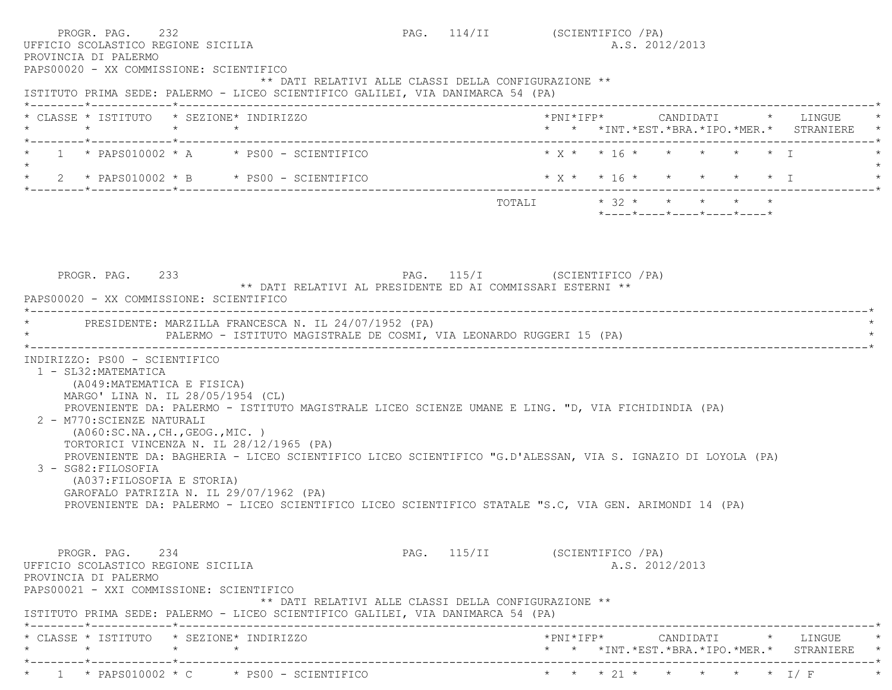| PROGR. PAG. 232<br>UFFICIO SCOLASTICO REGIONE SICILIA<br>PROVINCIA DI PALERMO<br>PAPS00020 - XX COMMISSIONE: SCIENTIFICO                                                                                                                         |                                                                                                                                                                                                                                                                                                                                                                                                                  | PAG. 114/II (SCIENTIFICO / PA) |                             | A.S. 2012/2013 |                |                                                  |                                                 |
|--------------------------------------------------------------------------------------------------------------------------------------------------------------------------------------------------------------------------------------------------|------------------------------------------------------------------------------------------------------------------------------------------------------------------------------------------------------------------------------------------------------------------------------------------------------------------------------------------------------------------------------------------------------------------|--------------------------------|-----------------------------|----------------|----------------|--------------------------------------------------|-------------------------------------------------|
|                                                                                                                                                                                                                                                  | ** DATI RELATIVI ALLE CLASSI DELLA CONFIGURAZIONE **<br>ISTITUTO PRIMA SEDE: PALERMO - LICEO SCIENTIFICO GALILEI, VIA DANIMARCA 54 (PA)                                                                                                                                                                                                                                                                          |                                |                             |                |                |                                                  |                                                 |
|                                                                                                                                                                                                                                                  | * CLASSE * ISTITUTO * SEZIONE* INDIRIZZO                                                                                                                                                                                                                                                                                                                                                                         |                                |                             |                |                |                                                  | * * *INT. *EST. *BRA. *IPO. *MER. * STRANIERE * |
|                                                                                                                                                                                                                                                  | $1 *$ PAPS010002 $*$ A $*$ PS00 - SCIENTIFICO                                                                                                                                                                                                                                                                                                                                                                    |                                |                             |                |                |                                                  |                                                 |
|                                                                                                                                                                                                                                                  | * $2$ * PAPS010002 * B * PS00 - SCIENTIFICO                                                                                                                                                                                                                                                                                                                                                                      |                                | $*$ X * * 16 * * * * * * I  |                |                |                                                  |                                                 |
|                                                                                                                                                                                                                                                  |                                                                                                                                                                                                                                                                                                                                                                                                                  |                                | TOTALI $* 32 * * * * * * *$ |                |                | $*$ ---- $*$ ---- $*$ ---- $*$ ---- $*$ ---- $*$ |                                                 |
| PROGR. PAG. 233<br>PAPS00020 - XX COMMISSIONE: SCIENTIFICO                                                                                                                                                                                       | PAG. 115/I (SCIENTIFICO / PA)<br>** DATI RELATIVI AL PRESIDENTE ED AI COMMISSARI ESTERNI **                                                                                                                                                                                                                                                                                                                      |                                |                             |                |                |                                                  |                                                 |
|                                                                                                                                                                                                                                                  | * PRESIDENTE: MARZILLA FRANCESCA N. IL 24/07/1952 (PA)<br>PALERMO - ISTITUTO MAGISTRALE DE COSMI, VIA LEONARDO RUGGERI 15 (PA)                                                                                                                                                                                                                                                                                   |                                |                             |                |                |                                                  |                                                 |
| INDIRIZZO: PS00 - SCIENTIFICO<br>1 - SL32: MATEMATICA<br>(A049: MATEMATICA E FISICA)<br>MARGO' LINA N. IL 28/05/1954 (CL)<br>2 - M770: SCIENZE NATURALI<br>(AO60:SC.NA., CH., GEOG., MIC. )<br>3 - SG82: FILOSOFIA<br>(A037: FILOSOFIA E STORIA) | PROVENIENTE DA: PALERMO - ISTITUTO MAGISTRALE LICEO SCIENZE UMANE E LING. "D, VIA FICHIDINDIA (PA)<br>TORTORICI VINCENZA N. IL 28/12/1965 (PA)<br>PROVENIENTE DA: BAGHERIA - LICEO SCIENTIFICO LICEO SCIENTIFICO "G.D'ALESSAN, VIA S. IGNAZIO DI LOYOLA (PA)<br>GAROFALO PATRIZIA N. IL 29/07/1962 (PA)<br>PROVENIENTE DA: PALERMO - LICEO SCIENTIFICO LICEO SCIENTIFICO STATALE "S.C, VIA GEN. ARIMONDI 14 (PA) |                                |                             |                |                |                                                  |                                                 |
| PROGR, PAG, 234<br>UFFICIO SCOLASTICO REGIONE SICILIA<br>PROVINCIA DI PALERMO<br>PAPS00021 - XXI COMMISSIONE: SCIENTIFICO                                                                                                                        | ** DATI RELATIVI ALLE CLASSI DELLA CONFIGURAZIONE **<br>ISTITUTO PRIMA SEDE: PALERMO - LICEO SCIENTIFICO GALILEI, VIA DANIMARCA 54 (PA)                                                                                                                                                                                                                                                                          | PAG. 115/II (SCIENTIFICO / PA) |                             |                | A.S. 2012/2013 |                                                  |                                                 |
|                                                                                                                                                                                                                                                  | * CLASSE * ISTITUTO * SEZIONE* INDIRIZZO                                                                                                                                                                                                                                                                                                                                                                         |                                |                             |                |                |                                                  | * * *INT.*EST.*BRA.*IPO.*MER.* STRANIERE *      |
|                                                                                                                                                                                                                                                  | * $1$ * PAPS010002 * C * PS00 - SCIENTIFICO                                                                                                                                                                                                                                                                                                                                                                      |                                |                             |                |                |                                                  | * * * 21 * * * * * * I/ F                       |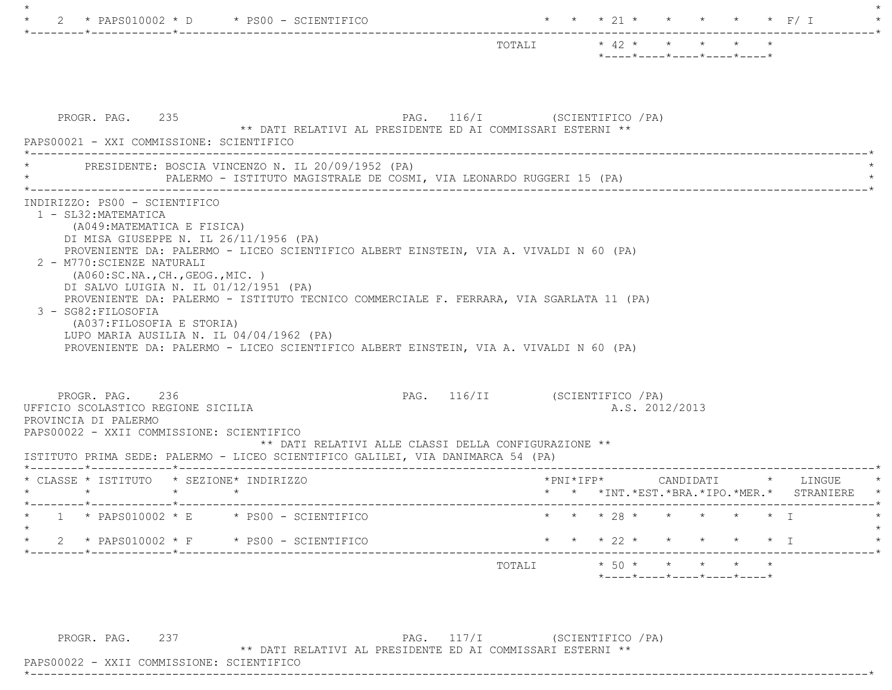| --------------                                                                                                                                                                                                                                                                                                                                                        |                                |                                                                          |  |  |                                                                                   |
|-----------------------------------------------------------------------------------------------------------------------------------------------------------------------------------------------------------------------------------------------------------------------------------------------------------------------------------------------------------------------|--------------------------------|--------------------------------------------------------------------------|--|--|-----------------------------------------------------------------------------------|
|                                                                                                                                                                                                                                                                                                                                                                       | TOTALI                         | $\star$ 42 $\star$ $\star$ $\star$ $\star$<br>*----*----*----*----*----* |  |  |                                                                                   |
|                                                                                                                                                                                                                                                                                                                                                                       |                                |                                                                          |  |  |                                                                                   |
| PROGR. PAG. 235<br>** DATI RELATIVI AL PRESIDENTE ED AI COMMISSARI ESTERNI **<br>PAPS00021 - XXI COMMISSIONE: SCIENTIFICO                                                                                                                                                                                                                                             | PAG. 116/I (SCIENTIFICO / PA)  |                                                                          |  |  |                                                                                   |
| PRESIDENTE: BOSCIA VINCENZO N. IL 20/09/1952 (PA)<br>PALERMO - ISTITUTO MAGISTRALE DE COSMI, VIA LEONARDO RUGGERI 15 (PA)                                                                                                                                                                                                                                             |                                |                                                                          |  |  |                                                                                   |
| (A049: MATEMATICA E FISICA)<br>DI MISA GIUSEPPE N. IL 26/11/1956 (PA)<br>PROVENIENTE DA: PALERMO - LICEO SCIENTIFICO ALBERT EINSTEIN, VIA A. VIVALDI N 60 (PA)<br>2 - M770: SCIENZE NATURALI<br>( A060:SC.NA., CH., GEOG., MIC. )<br>DI SALVO LUIGIA N. IL 01/12/1951 (PA)<br>PROVENIENTE DA: PALERMO - ISTITUTO TECNICO COMMERCIALE F. FERRARA, VIA SGARLATA 11 (PA) |                                |                                                                          |  |  |                                                                                   |
| 3 - SG82: FILOSOFIA<br>(A037: FILOSOFIA E STORIA)<br>LUPO MARIA AUSILIA N. IL $04/04/1962$ (PA)<br>PROVENIENTE DA: PALERMO - LICEO SCIENTIFICO ALBERT EINSTEIN, VIA A. VIVALDI N 60 (PA)                                                                                                                                                                              |                                |                                                                          |  |  |                                                                                   |
| PROGR. PAG. 236<br>** DATI RELATIVI ALLE CLASSI DELLA CONFIGURAZIONE **                                                                                                                                                                                                                                                                                               | PAG. 116/II (SCIENTIFICO / PA) | A.S. 2012/2013                                                           |  |  |                                                                                   |
| $\star$ $\qquad$ $\star$<br>$\rightarrow$                                                                                                                                                                                                                                                                                                                             |                                |                                                                          |  |  |                                                                                   |
| UFFICIO SCOLASTICO REGIONE SICILIA<br>PROVINCIA DI PALERMO<br>PAPS00022 - XXII COMMISSIONE: SCIENTIFICO<br>ISTITUTO PRIMA SEDE: PALERMO - LICEO SCIENTIFICO GALILEI, VIA DANIMARCA 54 (PA)<br>* CLASSE * ISTITUTO * SEZIONE* INDIRIZZO<br>___________________________________<br>$1 * PAPS010002 * E * PS00 - SCIENTIFICO$                                            |                                | * * * 28 * * * * * * T                                                   |  |  |                                                                                   |
| 2 * PAPS010002 * F * PS00 - SCIENTIFICO                                                                                                                                                                                                                                                                                                                               | * * * 22 * * * * * * I         |                                                                          |  |  | *PNI*IFP*     CANDIDATI    *   LINGUE<br>* * *INT.*EST.*BRA.*IPO.*MER.* STRANIERE |

 $\star$ 

PROGR. PAG. 237 PAG. 117/I (SCIENTIFICO /PA)

\*\* DATI RELATIVI AL PRESIDENTE ED AI COMMISSARI ESTERNI \*\*

 PAPS00022 - XXII COMMISSIONE: SCIENTIFICO\*----------------------------------------------------------------------------------------------------------------------------\*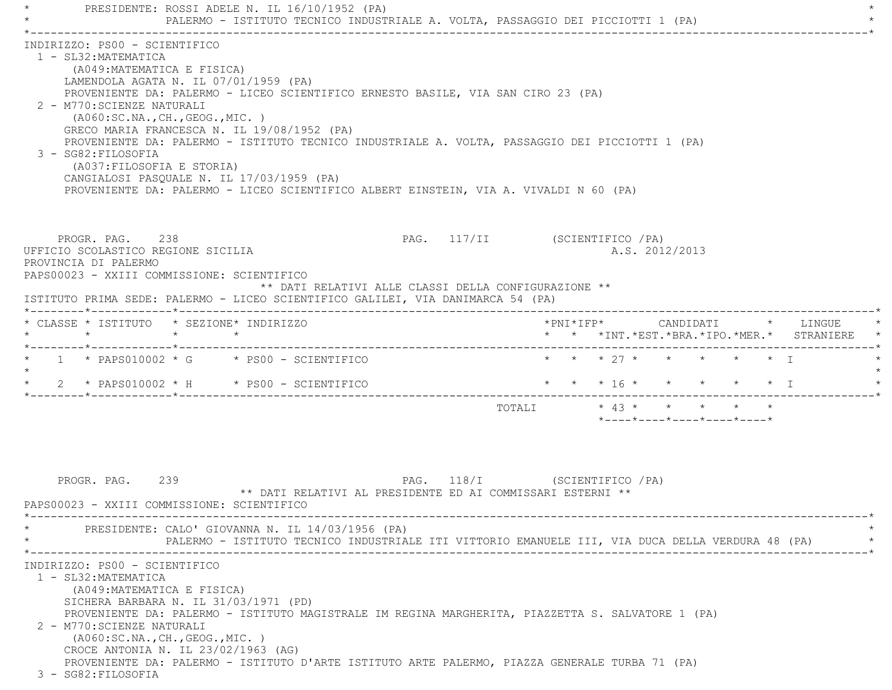PRESIDENTE: ROSSI ADELE N. IL 16/10/1952 (PA) PALERMO - ISTITUTO TECNICO INDUSTRIALE A. VOLTA, PASSAGGIO DEI PICCIOTTI 1 (PA) \*----------------------------------------------------------------------------------------------------------------------------\* INDIRIZZO: PS00 - SCIENTIFICO 1 - SL32:MATEMATICA (A049:MATEMATICA E FISICA) LAMENDOLA AGATA N. IL 07/01/1959 (PA) PROVENIENTE DA: PALERMO - LICEO SCIENTIFICO ERNESTO BASILE, VIA SAN CIRO 23 (PA) 2 - M770:SCIENZE NATURALI (A060:SC.NA.,CH.,GEOG.,MIC. ) GRECO MARIA FRANCESCA N. IL 19/08/1952 (PA) PROVENIENTE DA: PALERMO - ISTITUTO TECNICO INDUSTRIALE A. VOLTA, PASSAGGIO DEI PICCIOTTI 1 (PA) 3 - SG82:FILOSOFIA (A037:FILOSOFIA E STORIA) CANGIALOSI PASQUALE N. IL 17/03/1959 (PA) PROVENIENTE DA: PALERMO - LICEO SCIENTIFICO ALBERT EINSTEIN, VIA A. VIVALDI N 60 (PA) PROGR. PAG. 238 238 PAG. 117/II (SCIENTIFICO / PA) UFFICIO SCOLASTICO REGIONE SICILIA A.S. 2012/2013 PROVINCIA DI PALERMO PAPS00023 - XXIII COMMISSIONE: SCIENTIFICO \*\* DATI RELATIVI ALLE CLASSI DELLA CONFIGURAZIONE \*\* ISTITUTO PRIMA SEDE: PALERMO - LICEO SCIENTIFICO GALILEI, VIA DANIMARCA 54 (PA) \*--------\*------------\*-------------------------------------------------------------------------------------------------------\* \* CLASSE \* ISTITUTO \* SEZIONE\* INDIRIZZO \*PNI\*IFP\* CANDIDATI \* LINGUE \* \* \* \* \* \* \* \*INT.\*EST.\*BRA.\*IPO.\*MER.\* STRANIERE \* \*--------\*------------\*-------------------------------------------------------------------------------------------------------\*1 \* PAPS010002 \* G \* PS00 - SCIENTIFICO \* \* \* \* 27 \* \* \* \* \* \* \* I  $\star$  \* 2 \* PAPS010002 \* H \* PS00 - SCIENTIFICO \* \* \* 16 \* \* \* \* \* I \* \*--------\*------------\*-------------------------------------------------------------------------------------------------------\*TOTALI  $* 43 * * * * * * * * * *$  \*----\*----\*----\*----\*----\*PROGR. PAG. 239 239 PAG. 118/I (SCIENTIFICO / PA) \*\* DATI RELATIVI AL PRESIDENTE ED AI COMMISSARI ESTERNI \*\* PAPS00023 - XXIII COMMISSIONE: SCIENTIFICO \*----------------------------------------------------------------------------------------------------------------------------\*PRESIDENTE: CALO' GIOVANNA N. IL 14/03/1956 (PA) \* PALERMO - ISTITUTO TECNICO INDUSTRIALE ITI VITTORIO EMANUELE III, VIA DUCA DELLA VERDURA 48 (PA) \* \*----------------------------------------------------------------------------------------------------------------------------\* INDIRIZZO: PS00 - SCIENTIFICO 1 - SL32:MATEMATICA (A049:MATEMATICA E FISICA) SICHERA BARBARA N. IL 31/03/1971 (PD) PROVENIENTE DA: PALERMO - ISTITUTO MAGISTRALE IM REGINA MARGHERITA, PIAZZETTA S. SALVATORE 1 (PA) 2 - M770:SCIENZE NATURALI (A060:SC.NA.,CH.,GEOG.,MIC. ) CROCE ANTONIA N. IL 23/02/1963 (AG) PROVENIENTE DA: PALERMO - ISTITUTO D'ARTE ISTITUTO ARTE PALERMO, PIAZZA GENERALE TURBA 71 (PA) 3 - SG82:FILOSOFIA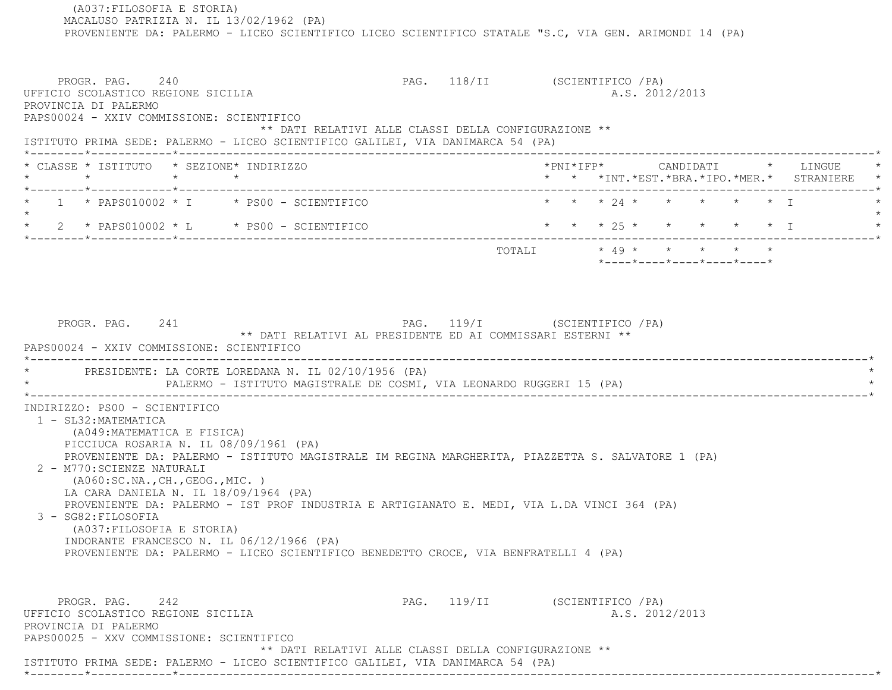(A037:FILOSOFIA E STORIA) MACALUSO PATRIZIA N. IL 13/02/1962 (PA) PROVENIENTE DA: PALERMO - LICEO SCIENTIFICO LICEO SCIENTIFICO STATALE "S.C, VIA GEN. ARIMONDI 14 (PA) PROGR. PAG. 240 PAG. 118/II (SCIENTIFICO /PA) UFFICIO SCOLASTICO REGIONE SICILIA A.S. 2012/2013 PROVINCIA DI PALERMO PAPS00024 - XXIV COMMISSIONE: SCIENTIFICO \*\* DATI RELATIVI ALLE CLASSI DELLA CONFIGURAZIONE \*\* ISTITUTO PRIMA SEDE: PALERMO - LICEO SCIENTIFICO GALILEI, VIA DANIMARCA 54 (PA) \*--------\*------------\*-------------------------------------------------------------------------------------------------------\* \* CLASSE \* ISTITUTO \* SEZIONE\* INDIRIZZO \*PNI\*IFP\* CANDIDATI \* LINGUE \* \* \* \* \* \* \* \*INT.\*EST.\*BRA.\*IPO.\*MER.\* STRANIERE \* \*--------\*------------\*-------------------------------------------------------------------------------------------------------\*1 \* PAPS010002 \* I \* PS00 - SCIENTIFICO \* \* \* \* 24 \* \* \* \* \* \* \* I  $\star$  \* 2 \* PAPS010002 \* L \* PS00 - SCIENTIFICO \* \* \* 25 \* \* \* \* \* I \* \*--------\*------------\*-------------------------------------------------------------------------------------------------------\* $\texttt{TOTAL} \qquad \qquad \star \; \; \; 49 \; \star \qquad \star \qquad \star \qquad \star \qquad \star \qquad \star$  \*----\*----\*----\*----\*----\*PROGR. PAG. 241 2008 2010 PAG. 119/I (SCIENTIFICO / PA) \*\* DATI RELATIVI AL PRESIDENTE ED AI COMMISSARI ESTERNI \*\* PAPS00024 - XXIV COMMISSIONE: SCIENTIFICO \*----------------------------------------------------------------------------------------------------------------------------\*PRESIDENTE: LA CORTE LOREDANA N. IL 02/10/1956 (PA) \* PALERMO - ISTITUTO MAGISTRALE DE COSMI, VIA LEONARDO RUGGERI 15 (PA) \* \*----------------------------------------------------------------------------------------------------------------------------\* INDIRIZZO: PS00 - SCIENTIFICO 1 - SL32:MATEMATICA (A049:MATEMATICA E FISICA) PICCIUCA ROSARIA N. IL 08/09/1961 (PA) PROVENIENTE DA: PALERMO - ISTITUTO MAGISTRALE IM REGINA MARGHERITA, PIAZZETTA S. SALVATORE 1 (PA) 2 - M770:SCIENZE NATURALI (A060:SC.NA.,CH.,GEOG.,MIC. ) LA CARA DANIELA N. IL 18/09/1964 (PA) PROVENIENTE DA: PALERMO - IST PROF INDUSTRIA E ARTIGIANATO E. MEDI, VIA L.DA VINCI 364 (PA) 3 - SG82:FILOSOFIA (A037:FILOSOFIA E STORIA) INDORANTE FRANCESCO N. IL 06/12/1966 (PA) PROVENIENTE DA: PALERMO - LICEO SCIENTIFICO BENEDETTO CROCE, VIA BENFRATELLI 4 (PA) PROGR. PAG. 242 2008 PAG. 119/II (SCIENTIFICO / PA) UFFICIO SCOLASTICO REGIONE SICILIA A.S. 2012/2013 PROVINCIA DI PALERMO PAPS00025 - XXV COMMISSIONE: SCIENTIFICO \*\* DATI RELATIVI ALLE CLASSI DELLA CONFIGURAZIONE \*\*ISTITUTO PRIMA SEDE: PALERMO - LICEO SCIENTIFICO GALILEI, VIA DANIMARCA 54 (PA)

\*--------\*------------\*-------------------------------------------------------------------------------------------------------\*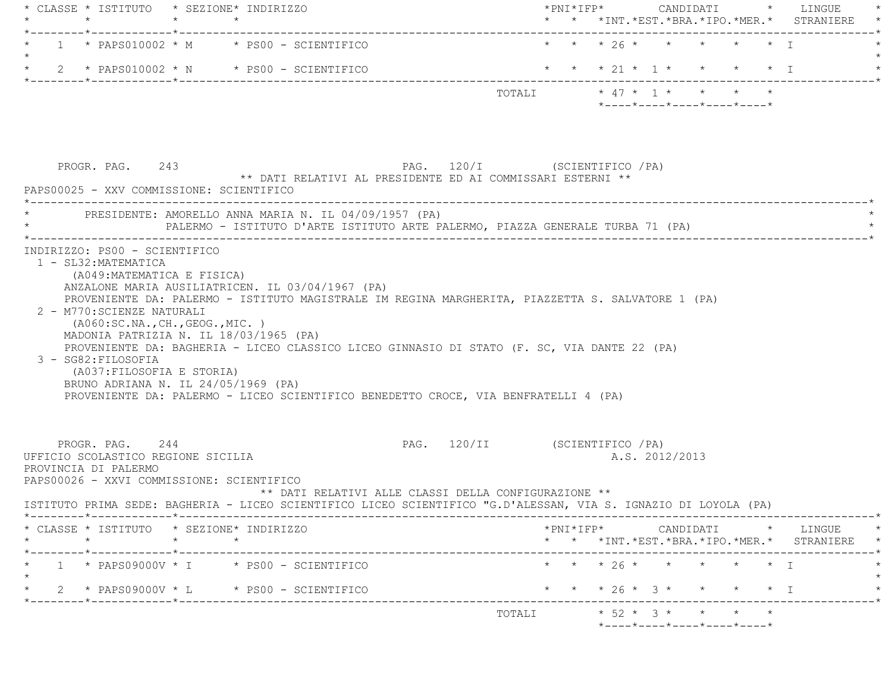| $\star$                                                                                                                                                     | $\star$         | * CLASSE * ISTITUTO * SEZIONE* INDIRIZZO<br>$\star$                                                                                                                                                                                                                                                                               |                               |        |  |                |  |  |                                                                 | * * *INT. *EST. *BRA. *IPO. *MER. * STRANIERE                   |
|-------------------------------------------------------------------------------------------------------------------------------------------------------------|-----------------|-----------------------------------------------------------------------------------------------------------------------------------------------------------------------------------------------------------------------------------------------------------------------------------------------------------------------------------|-------------------------------|--------|--|----------------|--|--|-----------------------------------------------------------------|-----------------------------------------------------------------|
|                                                                                                                                                             |                 | $1 *$ PAPS010002 * M $*$ PS00 - SCIENTIFICO                                                                                                                                                                                                                                                                                       |                               |        |  |                |  |  | * * * 26 * * * * * * I                                          |                                                                 |
|                                                                                                                                                             |                 | 2 * PAPS010002 * N * PS00 - SCIENTIFICO                                                                                                                                                                                                                                                                                           |                               |        |  |                |  |  |                                                                 | * * * 21 * 1 * * * * * 1                                        |
|                                                                                                                                                             |                 |                                                                                                                                                                                                                                                                                                                                   |                               |        |  |                |  |  | $*$ - - - - $*$ - - - - $*$ - - - - $*$ - - - - $*$ - - - - $*$ |                                                                 |
| PROGR. PAG. 243                                                                                                                                             |                 | ** DATI RELATIVI AL PRESIDENTE ED AI COMMISSARI ESTERNI **                                                                                                                                                                                                                                                                        | PAG. 120/I (SCIENTIFICO / PA) |        |  |                |  |  |                                                                 |                                                                 |
| PAPS00025 - XXV COMMISSIONE: SCIENTIFICO                                                                                                                    |                 |                                                                                                                                                                                                                                                                                                                                   |                               |        |  |                |  |  |                                                                 |                                                                 |
|                                                                                                                                                             |                 | PRESIDENTE: AMORELLO ANNA MARIA N. IL 04/09/1957 (PA)<br>PALERMO - ISTITUTO D'ARTE ISTITUTO ARTE PALERMO, PIAZZA GENERALE TURBA 71 (PA)                                                                                                                                                                                           |                               |        |  |                |  |  |                                                                 |                                                                 |
| 2 - M770: SCIENZE NATURALI<br>( A060:SC.NA., CH., GEOG., MIC. )<br>3 - SG82: FILOSOFIA<br>(A037: FILOSOFIA E STORIA)<br>BRUNO ADRIANA N. IL 24/05/1969 (PA) |                 | PROVENIENTE DA: PALERMO - ISTITUTO MAGISTRALE IM REGINA MARGHERITA, PIAZZETTA S. SALVATORE 1 (PA)<br>MADONIA PATRIZIA N. IL 18/03/1965 (PA)<br>PROVENIENTE DA: BAGHERIA - LICEO CLASSICO LICEO GINNASIO DI STATO (F. SC, VIA DANTE 22 (PA)<br>PROVENIENTE DA: PALERMO - LICEO SCIENTIFICO BENEDETTO CROCE, VIA BENFRATELLI 4 (PA) |                               |        |  |                |  |  |                                                                 |                                                                 |
| PROGR. PAG. 244<br>UFFICIO SCOLASTICO REGIONE SICILIA<br>PROVINCIA DI PALERMO<br>PAPS00026 - XXVI COMMISSIONE: SCIENTIFICO                                  |                 | ** DATI RELATIVI ALLE CLASSI DELLA CONFIGURAZIONE **<br>ISTITUTO PRIMA SEDE: BAGHERIA - LICEO SCIENTIFICO LICEO SCIENTIFICO "G.D'ALESSAN, VIA S. IGNAZIO DI LOYOLA (PA)                                                                                                                                                           | PAG. 120/II (SCIENTIFICO /PA) |        |  | A.S. 2012/2013 |  |  |                                                                 |                                                                 |
| $\star$                                                                                                                                                     | $\star$ $\star$ | CLASSE * ISTITUTO * SEZIONE* INDIRIZZO                                                                                                                                                                                                                                                                                            |                               |        |  |                |  |  |                                                                 | . - - - - - - - *<br>* * *INT.*EST.*BRA.*IPO.*MER.* STRANIERE * |
|                                                                                                                                                             |                 | $1 *$ PAPS09000V * I * PS00 - SCIENTIFICO                                                                                                                                                                                                                                                                                         |                               |        |  |                |  |  |                                                                 |                                                                 |
|                                                                                                                                                             |                 |                                                                                                                                                                                                                                                                                                                                   |                               |        |  |                |  |  | * * * 26 * * * * * * I                                          |                                                                 |
|                                                                                                                                                             |                 | 2 * PAPS09000V * L * PS00 - SCIENTIFICO                                                                                                                                                                                                                                                                                           |                               |        |  |                |  |  |                                                                 | * * * 26 * 3 * * * * * I                                        |
|                                                                                                                                                             |                 |                                                                                                                                                                                                                                                                                                                                   |                               | TOTALI |  |                |  |  | $* 52 * 3 * * * * * * *$                                        | ----------*                                                     |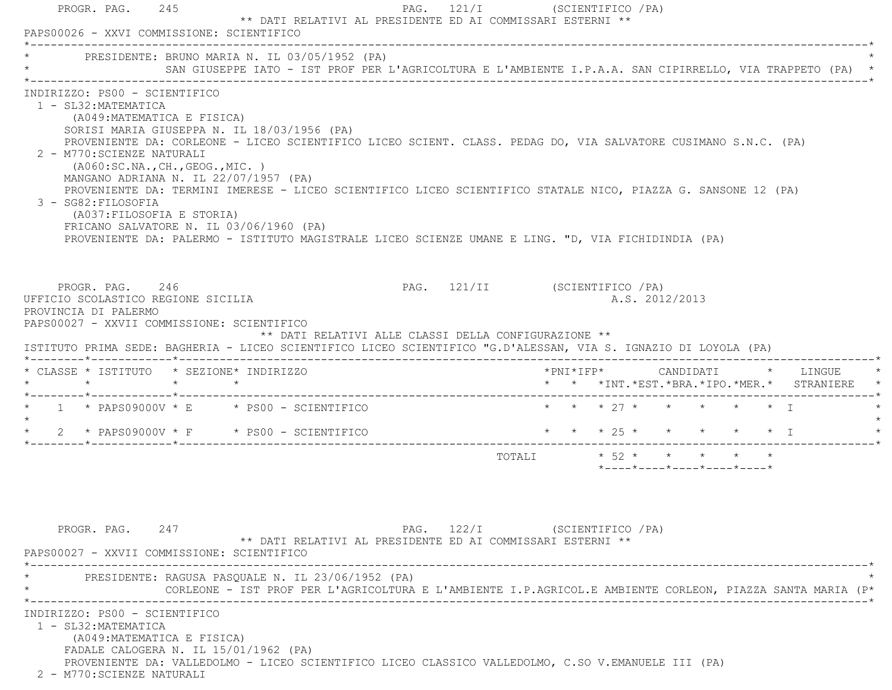| INDIRIZZO: PS00 - SCIENTIFICO                                                                                                                                                                                                                                                                                                                                                                                                                                                                                                                                                                                                                          | SAN GIUSEPPE IATO - IST PROF PER L'AGRICOLTURA E L'AMBIENTE I.P.A.A. SAN CIPIRRELLO, VIA TRAPPETO (PA) * |
|--------------------------------------------------------------------------------------------------------------------------------------------------------------------------------------------------------------------------------------------------------------------------------------------------------------------------------------------------------------------------------------------------------------------------------------------------------------------------------------------------------------------------------------------------------------------------------------------------------------------------------------------------------|----------------------------------------------------------------------------------------------------------|
| 1 - SL32: MATEMATICA<br>(A049: MATEMATICA E FISICA)<br>SORISI MARIA GIUSEPPA N. IL 18/03/1956 (PA)<br>PROVENIENTE DA: CORLEONE - LICEO SCIENTIFICO LICEO SCIENT. CLASS. PEDAG DO, VIA SALVATORE CUSIMANO S.N.C. (PA)<br>2 - M770: SCIENZE NATURALI<br>(AO60:SC.NA., CH., GEOG., MIC. )<br>MANGANO ADRIANA N. IL 22/07/1957 (PA)<br>PROVENIENTE DA: TERMINI IMERESE - LICEO SCIENTIFICO LICEO SCIENTIFICO STATALE NICO, PIAZZA G. SANSONE 12 (PA)<br>3 - SG82: FILOSOFIA<br>(A037: FILOSOFIA E STORIA)<br>FRICANO SALVATORE N. IL 03/06/1960 (PA)<br>PROVENIENTE DA: PALERMO - ISTITUTO MAGISTRALE LICEO SCIENZE UMANE E LING. "D, VIA FICHIDINDIA (PA) |                                                                                                          |
| PROGR. PAG. 246<br>UFFICIO SCOLASTICO REGIONE SICILIA<br>PROVINCIA DI PALERMO<br>PAPS00027 - XXVII COMMISSIONE: SCIENTIFICO<br>** DATI RELATIVI ALLE CLASSI DELLA CONFIGURAZIONE **<br>ISTITUTO PRIMA SEDE: BAGHERIA - LICEO SCIENTIFICO LICEO SCIENTIFICO "G.D'ALESSAN, VIA S. IGNAZIO DI LOYOLA (PA)<br>* CLASSE * ISTITUTO * SEZIONE* INDIRIZZO                                                                                                                                                                                                                                                                                                     | PAG. 121/II (SCIENTIFICO / PA)<br>A.S. 2012/2013                                                         |
|                                                                                                                                                                                                                                                                                                                                                                                                                                                                                                                                                                                                                                                        | * * *INT. *EST. *BRA. *IPO. *MER. * STRANIERE                                                            |
| $\star$ 1 $\star$ PAPS09000V $\star$ E $\star$ PS00 - SCIENTIFICO                                                                                                                                                                                                                                                                                                                                                                                                                                                                                                                                                                                      | $\star$ $\star$ $\star$ $27 \star$ $\star$ $\star$ $\star$ $\star$ $\star$ $\top$                        |
| $2 *$ PAPS09000V $*$ F $*$ PS00 - SCIENTIFICO                                                                                                                                                                                                                                                                                                                                                                                                                                                                                                                                                                                                          | * * * 25 * * * * * * I                                                                                   |
|                                                                                                                                                                                                                                                                                                                                                                                                                                                                                                                                                                                                                                                        | TOTALI * 52 * * * * * *<br>$*$ - - - - $*$ - - - - $*$ - - - - $*$ - - - - $*$ - - - - $*$               |
| PROGR. PAG. 247                                                                                                                                                                                                                                                                                                                                                                                                                                                                                                                                                                                                                                        | PAG. 122/I (SCIENTIFICO / PA)<br>** DATI RELATIVI AL PRESIDENTE ED AI COMMISSARI ESTERNI **              |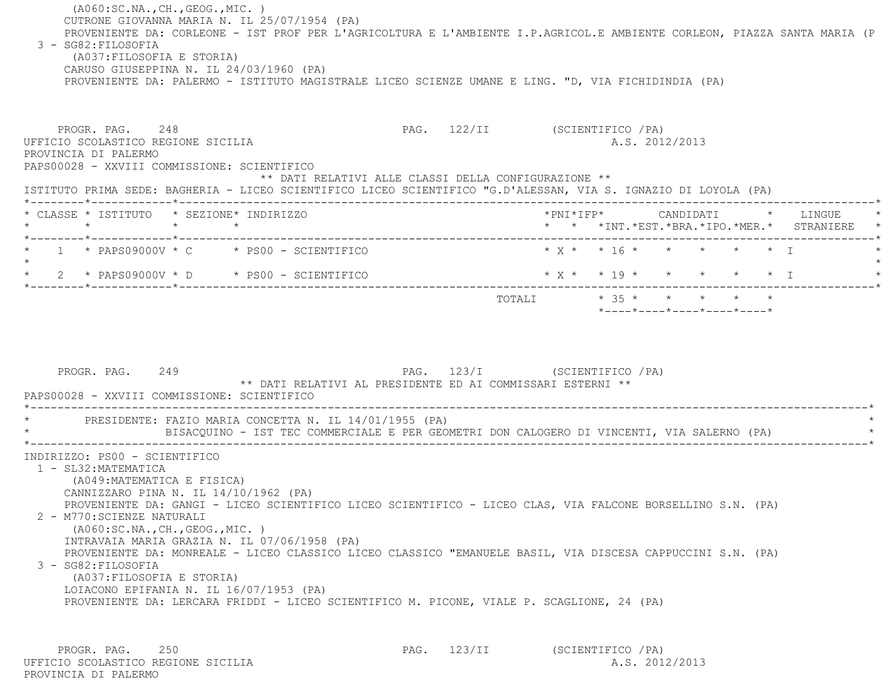(A060:SC.NA.,CH.,GEOG.,MIC. ) CUTRONE GIOVANNA MARIA N. IL 25/07/1954 (PA) PROVENIENTE DA: CORLEONE - IST PROF PER L'AGRICOLTURA E L'AMBIENTE I.P.AGRICOL.E AMBIENTE CORLEON, PIAZZA SANTA MARIA (P 3 - SG82:FILOSOFIA (A037:FILOSOFIA E STORIA) CARUSO GIUSEPPINA N. IL 24/03/1960 (PA) PROVENIENTE DA: PALERMO - ISTITUTO MAGISTRALE LICEO SCIENZE UMANE E LING. "D, VIA FICHIDINDIA (PA) PROGR. PAG. 248 2009 PAG. 122/II (SCIENTIFICO / PA) UFFICIO SCOLASTICO REGIONE SICILIA A.S. 2012/2013 PROVINCIA DI PALERMO PAPS00028 - XXVIII COMMISSIONE: SCIENTIFICO \*\* DATI RELATIVI ALLE CLASSI DELLA CONFIGURAZIONE \*\* ISTITUTO PRIMA SEDE: BAGHERIA - LICEO SCIENTIFICO LICEO SCIENTIFICO "G.D'ALESSAN, VIA S. IGNAZIO DI LOYOLA (PA) \*--------\*------------\*-------------------------------------------------------------------------------------------------------\* \* CLASSE \* ISTITUTO \* SEZIONE\* INDIRIZZO \*PNI\*IFP\* CANDIDATI \* LINGUE \* \* \* \* \* \* \* \*INT.\*EST.\*BRA.\*IPO.\*MER.\* STRANIERE \* \*--------\*------------\*-------------------------------------------------------------------------------------------------------\*1 \* PAPS09000V \* C \* PS00 - SCIENTIFICO \* \* \* \* \* \* \* \* \* \* \* \* I \* \* \* \* \* I \* \* \* \* I

 $\star$ \* 2 \* PAPS09000V \* D \* PS00 - SCIENTIFICO \* \* \* \* \* \* \* \* \* \* \* \* I \* \* \* \* \* I \* \* \* \* I \*--------\*------------\*-------------------------------------------------------------------------------------------------------\*TOTALI  $* 35 * * * * * * * * *$ \*----\*----\*----\*----\*----\*

PROGR. PAG. 249 **PAG.** 249 **PAG.** 123/I (SCIENTIFICO /PA) \*\* DATI RELATIVI AL PRESIDENTE ED AI COMMISSARI ESTERNI \*\* PAPS00028 - XXVIII COMMISSIONE: SCIENTIFICO \*----------------------------------------------------------------------------------------------------------------------------\* \* PRESIDENTE: FAZIO MARIA CONCETTA N. IL 14/01/1955 (PA) \* \* BISACQUINO - IST TEC COMMERCIALE E PER GEOMETRI DON CALOGERO DI VINCENTI, VIA SALERNO (PA) \* \*----------------------------------------------------------------------------------------------------------------------------\* INDIRIZZO: PS00 - SCIENTIFICO 1 - SL32:MATEMATICA (A049:MATEMATICA E FISICA) CANNIZZARO PINA N. IL 14/10/1962 (PA) PROVENIENTE DA: GANGI - LICEO SCIENTIFICO LICEO SCIENTIFICO - LICEO CLAS, VIA FALCONE BORSELLINO S.N. (PA) 2 - M770:SCIENZE NATURALI (A060:SC.NA.,CH.,GEOG.,MIC. ) INTRAVAIA MARIA GRAZIA N. IL 07/06/1958 (PA) PROVENIENTE DA: MONREALE - LICEO CLASSICO LICEO CLASSICO "EMANUELE BASIL, VIA DISCESA CAPPUCCINI S.N. (PA) 3 - SG82:FILOSOFIA (A037:FILOSOFIA E STORIA) LOIACONO EPIFANIA N. IL 16/07/1953 (PA) PROVENIENTE DA: LERCARA FRIDDI - LICEO SCIENTIFICO M. PICONE, VIALE P. SCAGLIONE, 24 (PA)

PROGR. PAG. 250 250 PAG. 123/II (SCIENTIFICO / PA) UFFICIO SCOLASTICO REGIONE SICILIA A.S. 2012/2013 PROVINCIA DI PALERMO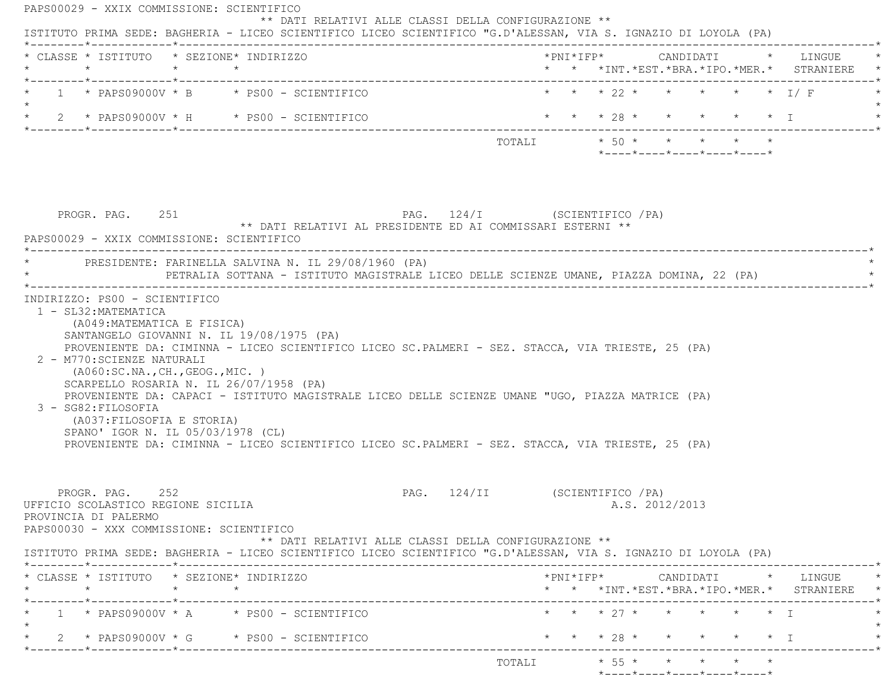| $\star$ | * CLASSE * ISTITUTO * SEZIONE* INDIRIZZO<br>$\star$ $\star$                                                               |                 |                                                                                                                                                                                                      |                                                                                        |  |  |                                                  |  | * * *INT.*EST.*BRA.*IPO.*MER.* STRANIERE                                                 |
|---------|---------------------------------------------------------------------------------------------------------------------------|-----------------|------------------------------------------------------------------------------------------------------------------------------------------------------------------------------------------------------|----------------------------------------------------------------------------------------|--|--|--------------------------------------------------|--|------------------------------------------------------------------------------------------|
|         | *--------*------------*------------                                                                                       |                 | 1 * PAPS09000V * B * PS00 - SCIENTIFICO                                                                                                                                                              |                                                                                        |  |  |                                                  |  | * * * 22 * * * * * * I/F                                                                 |
|         |                                                                                                                           |                 | * $2$ * PAPS09000V * H * PS00 - SCIENTIFICO                                                                                                                                                          | * * * 28 * * * * * * I                                                                 |  |  |                                                  |  |                                                                                          |
|         |                                                                                                                           |                 |                                                                                                                                                                                                      | TOTALI $*50 * * * * * * * *$                                                           |  |  | $*$ ---- $*$ ---- $*$ ---- $*$ ---- $*$ ---- $*$ |  |                                                                                          |
|         | PROGR. PAG. 251<br>PAPS00029 - XXIX COMMISSIONE: SCIENTIFICO                                                              |                 | PAG. 124/I (SCIENTIFICO / PA)<br>** DATI RELATIVI AL PRESIDENTE ED AI COMMISSARI ESTERNI **<br>PRESIDENTE: FARINELLA SALVINA N. IL 29/08/1960 (PA)                                                   |                                                                                        |  |  |                                                  |  |                                                                                          |
|         |                                                                                                                           |                 | PETRALIA SOTTANA - ISTITUTO MAGISTRALE LICEO DELLE SCIENZE UMANE, PIAZZA DOMINA, 22 (PA)                                                                                                             |                                                                                        |  |  |                                                  |  |                                                                                          |
|         | (A049: MATEMATICA E FISICA)<br>2 - M770: SCIENZE NATURALI<br>( A060:SC.NA., CH., GEOG., MIC. )                            |                 | SANTANGELO GIOVANNI N. IL 19/08/1975 (PA)<br>PROVENIENTE DA: CIMINNA - LICEO SCIENTIFICO LICEO SC.PALMERI - SEZ. STACCA, VIA TRIESTE, 25 (PA)<br>SCARPELLO ROSARIA N. IL 26/07/1958 (PA)             |                                                                                        |  |  |                                                  |  |                                                                                          |
|         | 3 - SG82:FILOSOFIA<br>(A037: FILOSOFIA E STORIA)<br>SPANO' IGOR N. IL 05/03/1978 (CL)                                     |                 | PROVENIENTE DA: CAPACI - ISTITUTO MAGISTRALE LICEO DELLE SCIENZE UMANE "UGO, PIAZZA MATRICE (PA)<br>PROVENIENTE DA: CIMINNA - LICEO SCIENTIFICO LICEO SC.PALMERI - SEZ. STACCA, VIA TRIESTE, 25 (PA) |                                                                                        |  |  |                                                  |  |                                                                                          |
|         | PROGR. PAG. 252<br>UFFICIO SCOLASTICO REGIONE SICILIA<br>PROVINCIA DI PALERMO<br>PAPS00030 - XXX COMMISSIONE: SCIENTIFICO |                 |                                                                                                                                                                                                      | PAG. 124/II (SCIENTIFICO / PA)<br>** DATI RELATIVI ALLE CLASSI DELLA CONFIGURAZIONE ** |  |  | A.S. 2012/2013                                   |  |                                                                                          |
|         |                                                                                                                           |                 | ISTITUTO PRIMA SEDE: BAGHERIA - LICEO SCIENTIFICO LICEO SCIENTIFICO "G.D'ALESSAN, VIA S. IGNAZIO DI LOYOLA (PA)                                                                                      |                                                                                        |  |  |                                                  |  |                                                                                          |
| $\star$ | * CLASSE * ISTITUTO * SEZIONE* INDIRIZZO<br>. _________*____________*_______                                              | $\star$ $\star$ |                                                                                                                                                                                                      |                                                                                        |  |  |                                                  |  |                                                                                          |
|         |                                                                                                                           |                 | $1 *$ PAPS09000V $*$ A $*$ PS00 - SCIENTIFICO                                                                                                                                                        | ------------------------------                                                         |  |  | * * * 27 * * * * * * T                           |  | *PNI*IFP*     CANDIDATI    *   LINGUE<br>* * *INT. *EST. *BRA. *IPO. *MER. * STRANIERE * |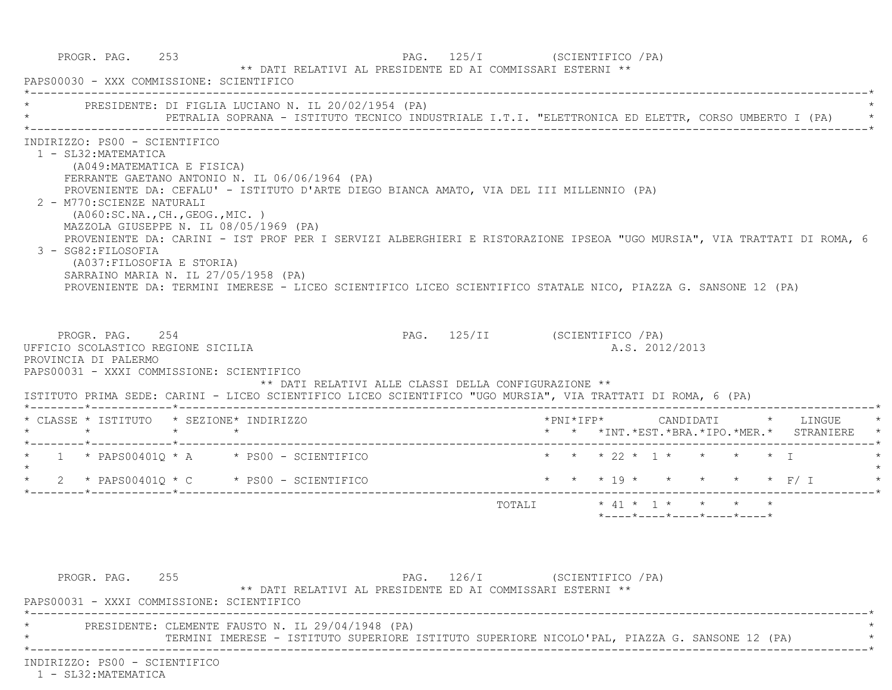|                                                                                                                                                                                                                                                    | PRESIDENTE: DI FIGLIA LUCIANO N. IL 20/02/1954 (PA)<br>PETRALIA SOPRANA - ISTITUTO TECNICO INDUSTRIALE I.T.I. "ELETTRONICA ED ELETTR, CORSO UMBERTO I (PA)                                                                                                                                                                                                                                                                       |                                |  |           |                |                                         |                                                                     |
|----------------------------------------------------------------------------------------------------------------------------------------------------------------------------------------------------------------------------------------------------|----------------------------------------------------------------------------------------------------------------------------------------------------------------------------------------------------------------------------------------------------------------------------------------------------------------------------------------------------------------------------------------------------------------------------------|--------------------------------|--|-----------|----------------|-----------------------------------------|---------------------------------------------------------------------|
| INDIRIZZO: PS00 - SCIENTIFICO<br>1 - SL32: MATEMATICA<br>(A049: MATEMATICA E FISICA)<br>2 - M770: SCIENZE NATURALI<br>(AO60:SC.NA., CH., GEOG., MIC. )<br>3 - SG82: FILOSOFIA<br>(A037:FILOSOFIA E STORIA)<br>SARRAINO MARIA N. IL 27/05/1958 (PA) | FERRANTE GAETANO ANTONIO N. IL 06/06/1964 (PA)<br>PROVENIENTE DA: CEFALU' - ISTITUTO D'ARTE DIEGO BIANCA AMATO, VIA DEL III MILLENNIO (PA)<br>MAZZOLA GIUSEPPE N. IL 08/05/1969 (PA)<br>PROVENIENTE DA: CARINI - IST PROF PER I SERVIZI ALBERGHIERI E RISTORAZIONE IPSEOA "UGO MURSIA", VIA TRATTATI DI ROMA, 6<br>PROVENIENTE DA: TERMINI IMERESE - LICEO SCIENTIFICO LICEO SCIENTIFICO STATALE NICO, PIAZZA G. SANSONE 12 (PA) |                                |  |           |                |                                         |                                                                     |
| PROGR. PAG. 254                                                                                                                                                                                                                                    |                                                                                                                                                                                                                                                                                                                                                                                                                                  | PAG. 125/II (SCIENTIFICO / PA) |  |           |                |                                         |                                                                     |
| UFFICIO SCOLASTICO REGIONE SICILIA<br>PROVINCIA DI PALERMO<br>PAPS00031 - XXXI COMMISSIONE: SCIENTIFICO                                                                                                                                            | ** DATI RELATIVI ALLE CLASSI DELLA CONFIGURAZIONE **<br>ISTITUTO PRIMA SEDE: CARINI - LICEO SCIENTIFICO LICEO SCIENTIFICO "UGO MURSIA", VIA TRATTATI DI ROMA, 6 (PA)                                                                                                                                                                                                                                                             |                                |  |           | A.S. 2012/2013 |                                         |                                                                     |
|                                                                                                                                                                                                                                                    |                                                                                                                                                                                                                                                                                                                                                                                                                                  |                                |  | *PNI*IFP* |                |                                         | CANDIDATI * LINGUE<br>* * *INT. *EST. *BRA. *IPO. *MER. * STRANIERE |
|                                                                                                                                                                                                                                                    | $*$ 1 $*$ PAPS00401Q $*$ A $*$ PS00 - SCIENTIFICO                                                                                                                                                                                                                                                                                                                                                                                |                                |  |           |                | * * * 22 * 1 * * * * * T                |                                                                     |
|                                                                                                                                                                                                                                                    | $\star$ 2 $\star$ PAPS00401Q $\star$ C $\star$ PS00 - SCIENTIFICO                                                                                                                                                                                                                                                                                                                                                                |                                |  |           |                | * * * 19 * * * * * * F/ I               |                                                                     |
| * CLASSE * ISTITUTO * SEZIONE* INDIRIZZO                                                                                                                                                                                                           |                                                                                                                                                                                                                                                                                                                                                                                                                                  |                                |  |           |                |                                         |                                                                     |
|                                                                                                                                                                                                                                                    |                                                                                                                                                                                                                                                                                                                                                                                                                                  |                                |  |           |                | $*$ ---- $*$ ---- $*$ ---- $*$ ---- $*$ |                                                                     |
|                                                                                                                                                                                                                                                    |                                                                                                                                                                                                                                                                                                                                                                                                                                  |                                |  |           |                |                                         |                                                                     |

INDIRIZZO: PS00 - SCIENTIFICO

1 - SL32:MATEMATICA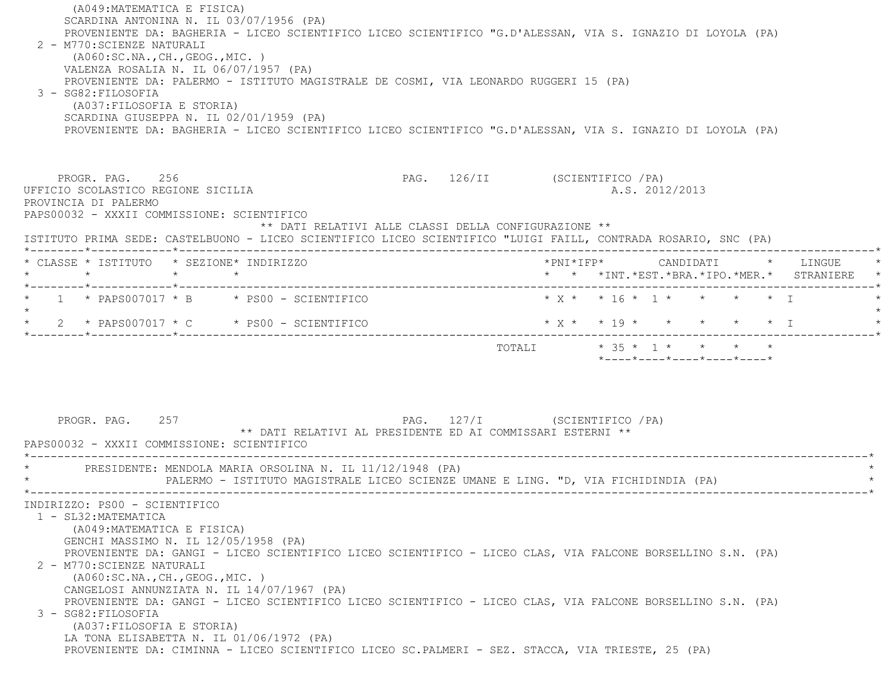(A049:MATEMATICA E FISICA) SCARDINA ANTONINA N. IL 03/07/1956 (PA) PROVENIENTE DA: BAGHERIA - LICEO SCIENTIFICO LICEO SCIENTIFICO "G.D'ALESSAN, VIA S. IGNAZIO DI LOYOLA (PA) 2 - M770:SCIENZE NATURALI (A060:SC.NA.,CH.,GEOG.,MIC. ) VALENZA ROSALIA N. IL 06/07/1957 (PA) PROVENIENTE DA: PALERMO - ISTITUTO MAGISTRALE DE COSMI, VIA LEONARDO RUGGERI 15 (PA) 3 - SG82:FILOSOFIA (A037:FILOSOFIA E STORIA) SCARDINA GIUSEPPA N. IL 02/01/1959 (PA) PROVENIENTE DA: BAGHERIA - LICEO SCIENTIFICO LICEO SCIENTIFICO "G.D'ALESSAN, VIA S. IGNAZIO DI LOYOLA (PA) PROGR. PAG. 256 256 PAG. 126/II (SCIENTIFICO / PA) UFFICIO SCOLASTICO REGIONE SICILIA A.S. 2012/2013 PROVINCIA DI PALERMO PAPS00032 - XXXII COMMISSIONE: SCIENTIFICO \*\* DATI RELATIVI ALLE CLASSI DELLA CONFIGURAZIONE \*\* ISTITUTO PRIMA SEDE: CASTELBUONO - LICEO SCIENTIFICO LICEO SCIENTIFICO "LUIGI FAILL, CONTRADA ROSARIO, SNC (PA) \*--------\*------------\*-------------------------------------------------------------------------------------------------------\* \* CLASSE \* ISTITUTO \* SEZIONE\* INDIRIZZO \*PNI\*IFP\* CANDIDATI \* LINGUE \* \* \* \* \* \* \* \*INT.\*EST.\*BRA.\*IPO.\*MER.\* STRANIERE \* \*--------\*------------\*-------------------------------------------------------------------------------------------------------\*\* 1 \* PAPS007017 \* B \* PS00 - SCIENTIFICO \* \* \* \* \* 16 \* 16 \* 1 \* \* \* \* \* T  $\star$ \* 2 \* PAPS007017 \* C \* PS00 - SCIENTIFICO \* \* \* \* \* \* \* \* \* \* \* I \* \* \* \* I \* \* \* I \*--------\*------------\*-------------------------------------------------------------------------------------------------------\*TOTALI  $* 35 * 1 * * * * * * *$  \*----\*----\*----\*----\*----\*PROGR. PAG. 257 CHENTER 257 PAG. 127/I (SCIENTIFICO / PA) \*\* DATI RELATIVI AL PRESIDENTE ED AI COMMISSARI ESTERNI \*\* PAPS00032 - XXXII COMMISSIONE: SCIENTIFICO \*----------------------------------------------------------------------------------------------------------------------------\*PRESIDENTE: MENDOLA MARIA ORSOLINA N. IL 11/12/1948 (PA) PALERMO - ISTITUTO MAGISTRALE LICEO SCIENZE UMANE E LING. "D, VIA FICHIDINDIA (PA) \*----------------------------------------------------------------------------------------------------------------------------\* INDIRIZZO: PS00 - SCIENTIFICO 1 - SL32:MATEMATICA (A049:MATEMATICA E FISICA) GENCHI MASSIMO N. IL 12/05/1958 (PA) PROVENIENTE DA: GANGI - LICEO SCIENTIFICO LICEO SCIENTIFICO - LICEO CLAS, VIA FALCONE BORSELLINO S.N. (PA) 2 - M770:SCIENZE NATURALI (A060:SC.NA.,CH.,GEOG.,MIC. ) CANGELOSI ANNUNZIATA N. IL 14/07/1967 (PA) PROVENIENTE DA: GANGI - LICEO SCIENTIFICO LICEO SCIENTIFICO - LICEO CLAS, VIA FALCONE BORSELLINO S.N. (PA) 3 - SG82:FILOSOFIA (A037:FILOSOFIA E STORIA) LA TONA ELISABETTA N. IL 01/06/1972 (PA) PROVENIENTE DA: CIMINNA - LICEO SCIENTIFICO LICEO SC.PALMERI - SEZ. STACCA, VIA TRIESTE, 25 (PA)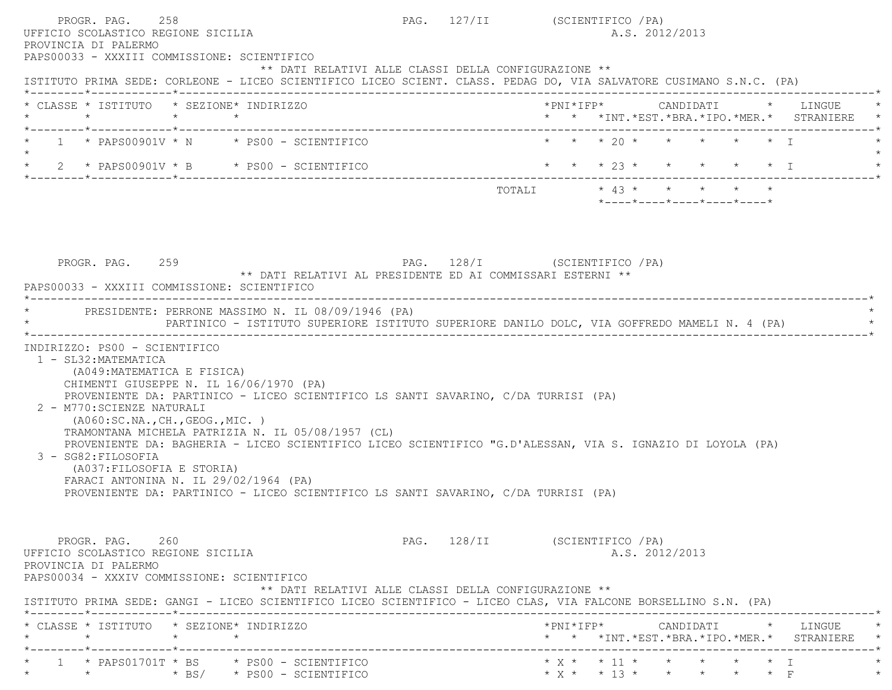| PROGR. PAG.<br>UFFICIO SCOLASTICO REGIONE SICILIA<br>PROVINCIA DI PALERMO | 258                                                                                                                                                                                   |                 |                                                                                                                                                                                                                                                                                                                                                                                                                                 |                   | PAG. 127/II (SCIENTIFICO / PA)         |                         |  | A.S. 2012/2013                                   |  |                                                                                        |
|---------------------------------------------------------------------------|---------------------------------------------------------------------------------------------------------------------------------------------------------------------------------------|-----------------|---------------------------------------------------------------------------------------------------------------------------------------------------------------------------------------------------------------------------------------------------------------------------------------------------------------------------------------------------------------------------------------------------------------------------------|-------------------|----------------------------------------|-------------------------|--|--------------------------------------------------|--|----------------------------------------------------------------------------------------|
|                                                                           |                                                                                                                                                                                       |                 | PAPS00033 - XXXIII COMMISSIONE: SCIENTIFICO<br>** DATI RELATIVI ALLE CLASSI DELLA CONFIGURAZIONE **<br>ISTITUTO PRIMA SEDE: CORLEONE - LICEO SCIENTIFICO LICEO SCIENT. CLASS. PEDAG DO, VIA SALVATORE CUSIMANO S.N.C. (PA)                                                                                                                                                                                                      |                   |                                        |                         |  |                                                  |  |                                                                                        |
| $\star$                                                                   | * CLASSE * ISTITUTO * SEZIONE* INDIRIZZO<br>*--------*------------*-------------                                                                                                      | $\star$ $\star$ |                                                                                                                                                                                                                                                                                                                                                                                                                                 |                   |                                        |                         |  |                                                  |  | *PNI*IFP*     CANDIDATI    *   LINGUE<br>* * *INT. *EST. *BRA. *IPO. *MER. * STRANIERE |
|                                                                           |                                                                                                                                                                                       |                 | $1 \times$ PAPS00901V $\times$ N $\times$ PS00 - SCIENTIFICO                                                                                                                                                                                                                                                                                                                                                                    |                   |                                        |                         |  | * * * 20 * * * * * * T                           |  |                                                                                        |
|                                                                           |                                                                                                                                                                                       |                 | $2 *$ PAPS00901V * B * PS00 - SCIENTIFICO                                                                                                                                                                                                                                                                                                                                                                                       |                   |                                        | * * * 23 * * * * * * I  |  |                                                  |  |                                                                                        |
|                                                                           |                                                                                                                                                                                       |                 |                                                                                                                                                                                                                                                                                                                                                                                                                                 |                   |                                        | TOTALI * 43 * * * * * * |  | $*$ ---- $*$ ---- $*$ ---- $*$ ---- $*$ ---- $*$ |  |                                                                                        |
|                                                                           |                                                                                                                                                                                       |                 | PAPS00033 - XXXIII COMMISSIONE: SCIENTIFICO<br>PRESIDENTE: PERRONE MASSIMO N. IL 08/09/1946 (PA)<br>PARTINICO - ISTITUTO SUPERIORE ISTITUTO SUPERIORE DANILO DOLC, VIA GOFFREDO MAMELI N. 4 (PA)                                                                                                                                                                                                                                | ----------------- |                                        |                         |  |                                                  |  |                                                                                        |
| 3 - SG82: FILOSOFIA                                                       | INDIRIZZO: PS00 - SCIENTIFICO<br>1 - SL32: MATEMATICA<br>(A049: MATEMATICA E FISICA)<br>2 - M770: SCIENZE NATURALI<br>( A060:SC.NA., CH., GEOG., MIC. )<br>(A037: FILOSOFIA E STORIA) |                 | CHIMENTI GIUSEPPE N. IL 16/06/1970 (PA)<br>PROVENIENTE DA: PARTINICO - LICEO SCIENTIFICO LS SANTI SAVARINO, C/DA TURRISI (PA)<br>TRAMONTANA MICHELA PATRIZIA N. IL 05/08/1957 (CL)<br>PROVENIENTE DA: BAGHERIA - LICEO SCIENTIFICO LICEO SCIENTIFICO "G.D'ALESSAN, VIA S. IGNAZIO DI LOYOLA (PA)<br>FARACI ANTONINA N. IL 29/02/1964 (PA)<br>PROVENIENTE DA: PARTINICO - LICEO SCIENTIFICO LS SANTI SAVARINO, C/DA TURRISI (PA) |                   |                                        |                         |  |                                                  |  |                                                                                        |
| PROVINCIA DI PALERMO                                                      | PROGR. PAG. 260<br>UFFICIO SCOLASTICO REGIONE SICILIA<br>PAPS00034 - XXXIV COMMISSIONE: SCIENTIFICO                                                                                   |                 | ** DATI RELATIVI ALLE CLASSI DELLA CONFIGURAZIONE **<br>ISTITUTO PRIMA SEDE: GANGI - LICEO SCIENTIFICO LICEO SCIENTIFICO - LICEO CLAS, VIA FALCONE BORSELLINO S.N. (PA)                                                                                                                                                                                                                                                         |                   | PAG. 128/II (SCIENTIFICO / PA)         |                         |  | A.S. 2012/2013                                   |  |                                                                                        |
| $\star$                                                                   | * CLASSE * ISTITUTO * SEZIONE* INDIRIZZO<br>*--------*------------*-------------                                                                                                      | $\star$ $\star$ |                                                                                                                                                                                                                                                                                                                                                                                                                                 |                   | -------------------------------------- |                         |  |                                                  |  | * * *INT. *EST. *BRA. *IPO. *MER. * STRANIERE                                          |
|                                                                           |                                                                                                                                                                                       |                 | 1 * PAPS01701T * BS     * PS00 - SCIENTIFICO<br>* * * * BS/ * PS00 - SCIENTIFICO                                                                                                                                                                                                                                                                                                                                                |                   |                                        |                         |  | * x * * 13 * * * * * * F                         |  |                                                                                        |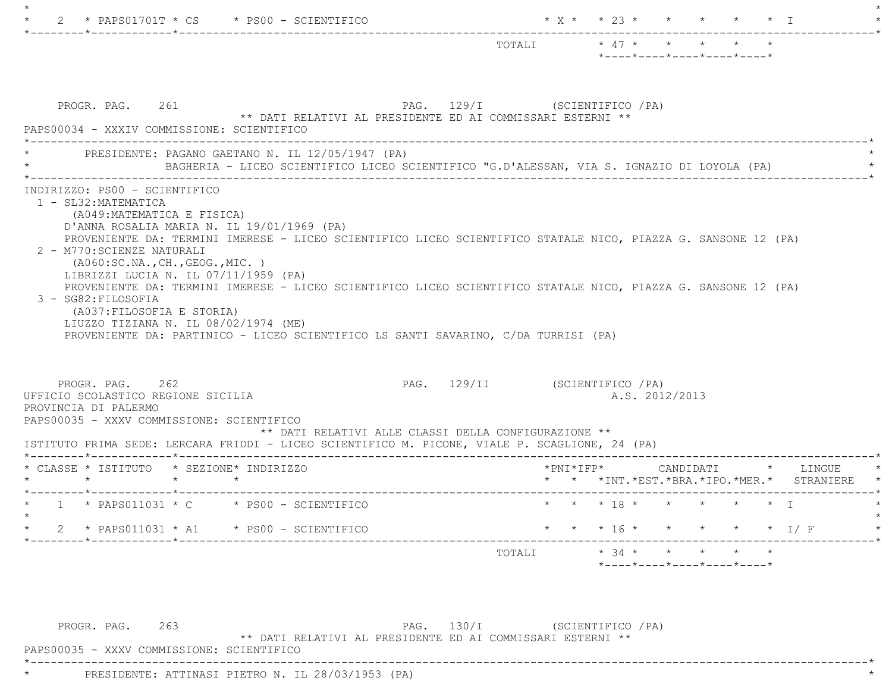|                                                                                                                                                                                                                                                                                                                                                                                                  | TOTALI * 47 * * * * * *<br>*----*----*----*----*----*                                      |
|--------------------------------------------------------------------------------------------------------------------------------------------------------------------------------------------------------------------------------------------------------------------------------------------------------------------------------------------------------------------------------------------------|--------------------------------------------------------------------------------------------|
| PROGR. PAG. 261<br>** DATI RELATIVI AL PRESIDENTE ED AI COMMISSARI ESTERNI **<br>PAPS00034 - XXXIV COMMISSIONE: SCIENTIFICO                                                                                                                                                                                                                                                                      | PAG. 129/I (SCIENTIFICO / PA)                                                              |
| PRESIDENTE: PAGANO GAETANO N. IL 12/05/1947 (PA)                                                                                                                                                                                                                                                                                                                                                 | BAGHERIA - LICEO SCIENTIFICO LICEO SCIENTIFICO "G.D'ALESSAN, VIA S. IGNAZIO DI LOYOLA (PA) |
| (A049:MATEMATICA E FISICA)<br>D'ANNA ROSALIA MARIA N. IL 19/01/1969 (PA)<br>PROVENIENTE DA: TERMINI IMERESE - LICEO SCIENTIFICO LICEO SCIENTIFICO STATALE NICO, PIAZZA G. SANSONE 12 (PA)<br>2 - M770: SCIENZE NATURALI                                                                                                                                                                          |                                                                                            |
| ( A060:SC.NA., CH., GEOG., MIC. )<br>LIBRIZZI LUCIA N. IL 07/11/1959 (PA)<br>PROVENIENTE DA: TERMINI IMERESE - LICEO SCIENTIFICO LICEO SCIENTIFICO STATALE NICO, PIAZZA G. SANSONE 12 (PA)<br>3 - SG82: FILOSOFIA<br>(A037: FILOSOFIA E STORIA)<br>LIUZZO TIZIANA N. IL 08/02/1974 (ME)<br>PROVENIENTE DA: PARTINICO - LICEO SCIENTIFICO LS SANTI SAVARINO, C/DA TURRISI (PA)<br>PROGR. PAG. 262 | PAG. 129/II (SCIENTIFICO /PA)                                                              |
| ** DATI RELATIVI ALLE CLASSI DELLA CONFIGURAZIONE **                                                                                                                                                                                                                                                                                                                                             | A.S. 2012/2013                                                                             |
| UFFICIO SCOLASTICO REGIONE SICILIA<br>PROVINCIA DI PALERMO<br>PAPS00035 - XXXV COMMISSIONE: SCIENTIFICO<br>ISTITUTO PRIMA SEDE: LERCARA FRIDDI - LICEO SCIENTIFICO M. PICONE, VIALE P. SCAGLIONE, 24 (PA)<br>* CLASSE * ISTITUTO * SEZIONE* INDIRIZZO<br>$\star$ $\star$<br>$\star$ $\star$                                                                                                      |                                                                                            |
| $\star$ 1 $\star$ PAPS011031 $\star$ C $\star$ PS00 - SCIENTIFICO                                                                                                                                                                                                                                                                                                                                | * * *INT. *EST. *BRA. *IPO. *MER. * STRANIERE<br>* * * 18 * * * * * * T                    |
| * $2$ * PAPS011031 * A1 * PS00 - SCIENTIFICO                                                                                                                                                                                                                                                                                                                                                     | * * * 16 * * * * * * 1/ F                                                                  |

PROGR. PAG. 263 PAG. 130/I (SCIENTIFICO /PA) \*\* DATI RELATIVI AL PRESIDENTE ED AI COMMISSARI ESTERNI \*\*

\*----------------------------------------------------------------------------------------------------------------------------\*

PAPS00035 - XXXV COMMISSIONE: SCIENTIFICO

\* PRESIDENTE: ATTINASI PIETRO N. IL 28/03/1953 (PA) \*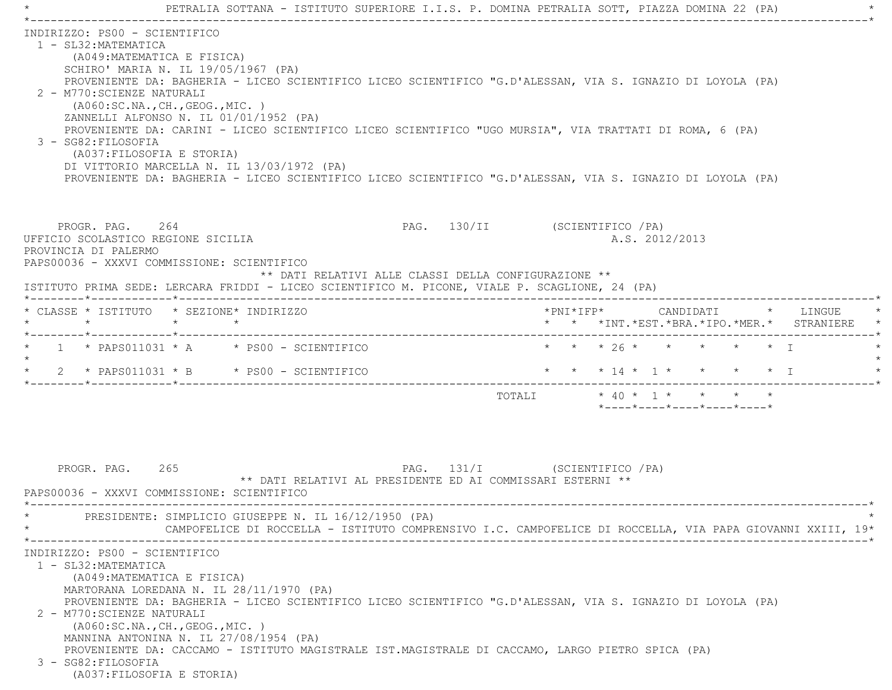|                                                                                                                                                                                                                                                                                                                                                                                                                                                                                                                                                                                                                                                                                    | PETRALIA SOTTANA - ISTITUTO SUPERIORE I.I.S. P. DOMINA PETRALIA SOTT, PIAZZA DOMINA 22 (PA)                                                |
|------------------------------------------------------------------------------------------------------------------------------------------------------------------------------------------------------------------------------------------------------------------------------------------------------------------------------------------------------------------------------------------------------------------------------------------------------------------------------------------------------------------------------------------------------------------------------------------------------------------------------------------------------------------------------------|--------------------------------------------------------------------------------------------------------------------------------------------|
| INDIRIZZO: PS00 - SCIENTIFICO<br>1 - SL32: MATEMATICA<br>(A049: MATEMATICA E FISICA)<br>SCHIRO' MARIA N. IL 19/05/1967 (PA)<br>PROVENIENTE DA: BAGHERIA - LICEO SCIENTIFICO LICEO SCIENTIFICO "G.D'ALESSAN, VIA S. IGNAZIO DI LOYOLA (PA)<br>2 - M770: SCIENZE NATURALI<br>( A060:SC.NA., CH., GEOG., MIC. )<br>ZANNELLI ALFONSO N. IL 01/01/1952 (PA)<br>PROVENIENTE DA: CARINI - LICEO SCIENTIFICO LICEO SCIENTIFICO "UGO MURSIA", VIA TRATTATI DI ROMA, 6 (PA)<br>3 - SG82: FILOSOFIA<br>(A037: FILOSOFIA E STORIA)<br>DI VITTORIO MARCELLA N. IL 13/03/1972 (PA)<br>PROVENIENTE DA: BAGHERIA - LICEO SCIENTIFICO LICEO SCIENTIFICO "G.D'ALESSAN, VIA S. IGNAZIO DI LOYOLA (PA) |                                                                                                                                            |
| PROGR. PAG. 264<br>UFFICIO SCOLASTICO REGIONE SICILIA<br>PROVINCIA DI PALERMO<br>PAPS00036 - XXXVI COMMISSIONE: SCIENTIFICO<br>** DATI RELATIVI ALLE CLASSI DELLA CONFIGURAZIONE **<br>ISTITUTO PRIMA SEDE: LERCARA FRIDDI - LICEO SCIENTIFICO M. PICONE, VIALE P. SCAGLIONE, 24 (PA)                                                                                                                                                                                                                                                                                                                                                                                              | PAG. 130/II (SCIENTIFICO / PA)<br>A.S. 2012/2013                                                                                           |
| * CLASSE * ISTITUTO * SEZIONE* INDIRIZZO<br>$\star$ $\star$ $\star$                                                                                                                                                                                                                                                                                                                                                                                                                                                                                                                                                                                                                | * * *INT.*EST.*BRA.*IPO.*MER.* STRANIERE *                                                                                                 |
| $\star$ 1 $\star$ PAPS011031 $\star$ A $\star$ PS00 - SCIENTIFICO<br>$\star$<br>$\star$<br>2 * PAPS011031 * B * PS00 - SCIENTIFICO                                                                                                                                                                                                                                                                                                                                                                                                                                                                                                                                                 | * * * 26 * * * * * * I<br>* * * 14 * 1 * * * * * I<br>$*$ ---- $*$ ---- $*$ ---- $*$ ---- $*$ ---- $*$                                     |
| PROGR. PAG. 265<br>** DATI RELATIVI AL PRESIDENTE ED AI COMMISSARI ESTERNI **<br>PAPS00036 - XXXVI COMMISSIONE: SCIENTIFICO<br>PRESIDENTE: SIMPLICIO GIUSEPPE N. IL 16/12/1950 (PA)                                                                                                                                                                                                                                                                                                                                                                                                                                                                                                | PAG. 131/I (SCIENTIFICO / PA)<br>CAMPOFELICE DI ROCCELLA - ISTITUTO COMPRENSIVO I.C. CAMPOFELICE DI ROCCELLA, VIA PAPA GIOVANNI XXIII, 19* |
| INDIRIZZO: PS00 - SCIENTIFICO<br>1 - SL32: MATEMATICA<br>(A049: MATEMATICA E FISICA)<br>MARTORANA LOREDANA N. IL 28/11/1970 (PA)<br>PROVENIENTE DA: BAGHERIA - LICEO SCIENTIFICO LICEO SCIENTIFICO "G.D'ALESSAN, VIA S. IGNAZIO DI LOYOLA (PA)<br>2 - M770: SCIENZE NATURALI<br>( A060:SC.NA., CH., GEOG., MIC. )<br>MANNINA ANTONINA N. IL 27/08/1954 (PA)<br>PROVENIENTE DA: CACCAMO - ISTITUTO MAGISTRALE IST.MAGISTRALE DI CACCAMO, LARGO PIETRO SPICA (PA)<br>3 - SG82: FILOSOFIA<br>(A037: FILOSOFIA E STORIA)                                                                                                                                                               |                                                                                                                                            |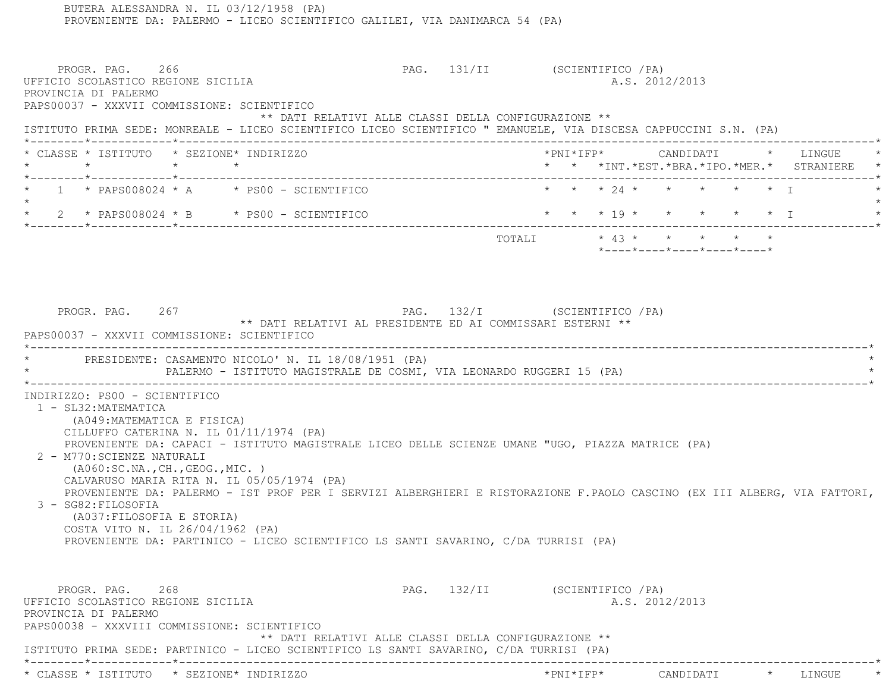BUTERA ALESSANDRA N. IL 03/12/1958 (PA) PROVENIENTE DA: PALERMO - LICEO SCIENTIFICO GALILEI, VIA DANIMARCA 54 (PA) PROGR. PAG. 266 2008 2009 PAG. 131/II (SCIENTIFICO /PA) UFFICIO SCOLASTICO REGIONE SICILIA A.S. 2012/2013 PROVINCIA DI PALERMO PAPS00037 - XXXVII COMMISSIONE: SCIENTIFICO \*\* DATI RELATIVI ALLE CLASSI DELLA CONFIGURAZIONE \*\* ISTITUTO PRIMA SEDE: MONREALE - LICEO SCIENTIFICO LICEO SCIENTIFICO " EMANUELE, VIA DISCESA CAPPUCCINI S.N. (PA) \*--------\*------------\*-------------------------------------------------------------------------------------------------------\* \* CLASSE \* ISTITUTO \* SEZIONE\* INDIRIZZO \*PNI\*IFP\* CANDIDATI \* LINGUE \* \* \* \* \* \* \* \*INT.\*EST.\*BRA.\*IPO.\*MER.\* STRANIERE \* \*--------\*------------\*-------------------------------------------------------------------------------------------------------\* $1 \times$  PAPS008024 \* A  $\longrightarrow$  PS00 - SCIENTIFICO  $\longrightarrow$  \* \* \* 24 \* \* \* \* \* \* \* \* I  $\star$  \* 2 \* PAPS008024 \* B \* PS00 - SCIENTIFICO \* \* \* 19 \* \* \* \* \* I \* \*--------\*------------\*-------------------------------------------------------------------------------------------------------\*TOTALI  $* 43 * * * * * * * * * *$  \*----\*----\*----\*----\*----\*PROGR. PAG. 267 PAG. PAG. 267 PAG. 132/I (SCIENTIFICO / PA) \*\* DATI RELATIVI AL PRESIDENTE ED AI COMMISSARI ESTERNI \*\* PAPS00037 - XXXVII COMMISSIONE: SCIENTIFICO \*----------------------------------------------------------------------------------------------------------------------------\*PRESIDENTE: CASAMENTO NICOLO' N. IL 18/08/1951 (PA) PALERMO - ISTITUTO MAGISTRALE DE COSMI, VIA LEONARDO RUGGERI 15 (PA) \*----------------------------------------------------------------------------------------------------------------------------\* INDIRIZZO: PS00 - SCIENTIFICO 1 - SL32:MATEMATICA (A049:MATEMATICA E FISICA) CILLUFFO CATERINA N. IL 01/11/1974 (PA) PROVENIENTE DA: CAPACI - ISTITUTO MAGISTRALE LICEO DELLE SCIENZE UMANE "UGO, PIAZZA MATRICE (PA) 2 - M770:SCIENZE NATURALI (A060:SC.NA.,CH.,GEOG.,MIC. ) CALVARUSO MARIA RITA N. IL 05/05/1974 (PA) PROVENIENTE DA: PALERMO - IST PROF PER I SERVIZI ALBERGHIERI E RISTORAZIONE F.PAOLO CASCINO (EX III ALBERG, VIA FATTORI, 3 - SG82:FILOSOFIA (A037:FILOSOFIA E STORIA) COSTA VITO N. IL 26/04/1962 (PA) PROVENIENTE DA: PARTINICO - LICEO SCIENTIFICO LS SANTI SAVARINO, C/DA TURRISI (PA) PROGR. PAG. 268 2008 2009 PAG. 132/II (SCIENTIFICO / PA) UFFICIO SCOLASTICO REGIONE SICILIA A.S. 2012/2013 PROVINCIA DI PALERMO PAPS00038 - XXXVIII COMMISSIONE: SCIENTIFICO \*\* DATI RELATIVI ALLE CLASSI DELLA CONFIGURAZIONE \*\*ISTITUTO PRIMA SEDE: PARTINICO - LICEO SCIENTIFICO LS SANTI SAVARINO, C/DA TURRISI (PA)

\*--------\*------------\*-------------------------------------------------------------------------------------------------------\*

\* CLASSE \* ISTITUTO \* SEZIONE\* INDIRIZZO \*PNI\*IFP\* CANDIDATI \* LINGUE \*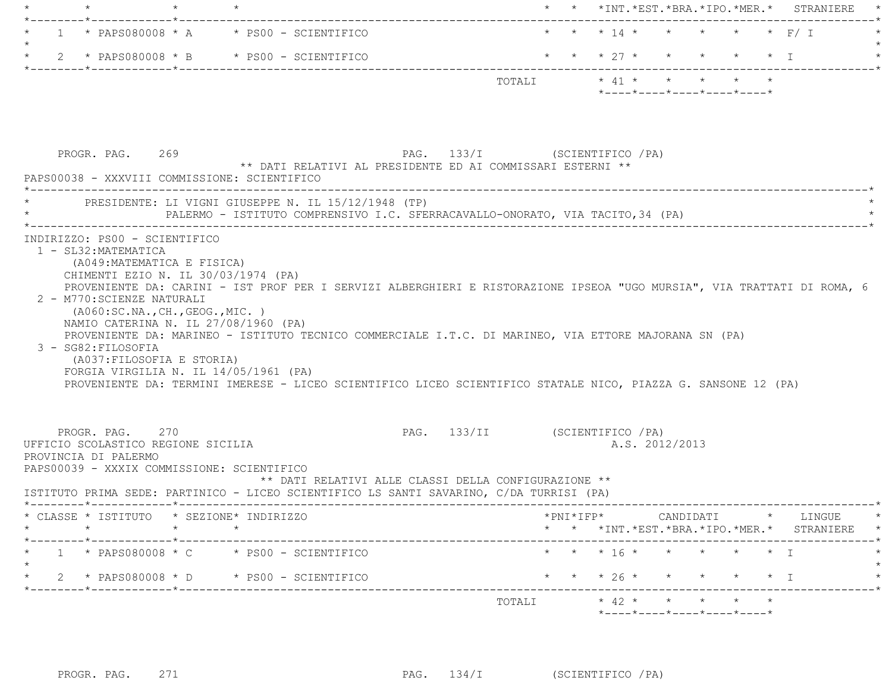| $\star$                                                                                                                                                     |         |                                                                                                                                                                                               |                                |  | * * *INT. *EST. *BRA. *IPO. *MER. * STRANIERE                                                                                                                                                                                                                                                                                                     |
|-------------------------------------------------------------------------------------------------------------------------------------------------------------|---------|-----------------------------------------------------------------------------------------------------------------------------------------------------------------------------------------------|--------------------------------|--|---------------------------------------------------------------------------------------------------------------------------------------------------------------------------------------------------------------------------------------------------------------------------------------------------------------------------------------------------|
|                                                                                                                                                             |         | $1 *$ PAPS080008 $*$ A $*$ PS00 - SCIENTIFICO                                                                                                                                                 |                                |  | * * * 14 * * * * * * F/ I                                                                                                                                                                                                                                                                                                                         |
|                                                                                                                                                             |         | 2 * PAPS080008 * B * PS00 - SCIENTIFICO                                                                                                                                                       |                                |  | * * * $27$ *<br>$\star$<br>$\star$<br>$\star$ T                                                                                                                                                                                                                                                                                                   |
|                                                                                                                                                             |         |                                                                                                                                                                                               |                                |  | TOTALI * 41 * * * * * *<br>$*$ - - - - $*$ - - - - $*$ - - - - $*$ - - - - $*$ - - - - $*$                                                                                                                                                                                                                                                        |
| PROGR. PAG. 269                                                                                                                                             |         | PAG. 133/I (SCIENTIFICO / PA)<br>** DATI RELATIVI AL PRESIDENTE ED AI COMMISSARI ESTERNI **<br>PAPS00038 - XXXVIII COMMISSIONE: SCIENTIFICO                                                   |                                |  |                                                                                                                                                                                                                                                                                                                                                   |
|                                                                                                                                                             |         | * PRESIDENTE: LI VIGNI GIUSEPPE N. IL 15/12/1948 (TP)<br>PALERMO - ISTITUTO COMPRENSIVO I.C. SFERRACAVALLO-ONORATO, VIA TACITO, 34 (PA)                                                       |                                |  |                                                                                                                                                                                                                                                                                                                                                   |
| CHIMENTI EZIO N. IL 30/03/1974 (PA)<br>2 - M770: SCIENZE NATURALI<br>( A060:SC.NA., CH., GEOG., MIC. )<br>3 - SG82: FILOSOFIA<br>(A037: FILOSOFIA E STORIA) |         | NAMIO CATERINA N. IL 27/08/1960 (PA)<br>FORGIA VIRGILIA N. IL $14/05/1961$ (PA)                                                                                                               |                                |  | PROVENIENTE DA: CARINI - IST PROF PER I SERVIZI ALBERGHIERI E RISTORAZIONE IPSEOA "UGO MURSIA", VIA TRATTATI DI ROMA, 6<br>PROVENIENTE DA: MARINEO - ISTITUTO TECNICO COMMERCIALE I.T.C. DI MARINEO, VIA ETTORE MAJORANA SN (PA)<br>PROVENIENTE DA: TERMINI IMERESE - LICEO SCIENTIFICO LICEO SCIENTIFICO STATALE NICO, PIAZZA G. SANSONE 12 (PA) |
|                                                                                                                                                             |         |                                                                                                                                                                                               |                                |  |                                                                                                                                                                                                                                                                                                                                                   |
| PROGR. PAG. 270<br>UFFICIO SCOLASTICO REGIONE SICILIA<br>PROVINCIA DI PALERMO                                                                               |         | PAPS00039 - XXXIX COMMISSIONE: SCIENTIFICO<br>** DATI RELATIVI ALLE CLASSI DELLA CONFIGURAZIONE **<br>ISTITUTO PRIMA SEDE: PARTINICO - LICEO SCIENTIFICO LS SANTI SAVARINO, C/DA TURRISI (PA) | PAG. 133/II (SCIENTIFICO / PA) |  | A.S. 2012/2013                                                                                                                                                                                                                                                                                                                                    |
|                                                                                                                                                             | $\star$ | * CLASSE * ISTITUTO * SEZIONE* INDIRIZZO<br>$\star$                                                                                                                                           |                                |  |                                                                                                                                                                                                                                                                                                                                                   |
|                                                                                                                                                             |         | $1 *$ PAPS080008 $*$ C $*$ PS00 - SCIENTIFICO                                                                                                                                                 |                                |  | * * * 16 * * * * * * I                                                                                                                                                                                                                                                                                                                            |
|                                                                                                                                                             |         | $\star$ 2 $\star$ PAPS080008 $\star$ D $\star$ PS00 - SCIENTIFICO                                                                                                                             |                                |  | * * *INT. *EST. *BRA. *IPO. *MER. * STRANIERE *<br>* * * $26$ *<br>$\star$ I                                                                                                                                                                                                                                                                      |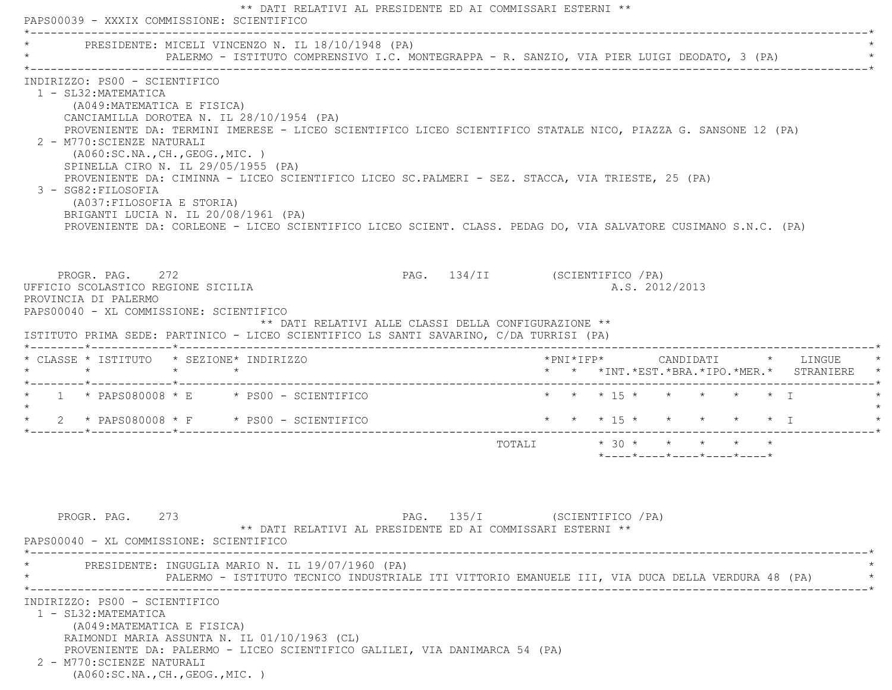\*\* DATI RELATIVI AL PRESIDENTE ED AI COMMISSARI ESTERNI \*\* PAPS00039 - XXXIX COMMISSIONE: SCIENTIFICO \*----------------------------------------------------------------------------------------------------------------------------\*PRESIDENTE: MICELI VINCENZO N. IL 18/10/1948 (PA) PALERMO - ISTITUTO COMPRENSIVO I.C. MONTEGRAPPA - R. SANZIO, VIA PIER LUIGI DEODATO, 3 (PA) \*----------------------------------------------------------------------------------------------------------------------------\* INDIRIZZO: PS00 - SCIENTIFICO 1 - SL32:MATEMATICA (A049:MATEMATICA E FISICA) CANCIAMILLA DOROTEA N. IL 28/10/1954 (PA) PROVENIENTE DA: TERMINI IMERESE - LICEO SCIENTIFICO LICEO SCIENTIFICO STATALE NICO, PIAZZA G. SANSONE 12 (PA) 2 - M770:SCIENZE NATURALI (A060:SC.NA.,CH.,GEOG.,MIC. ) SPINELLA CIRO N. IL 29/05/1955 (PA) PROVENIENTE DA: CIMINNA - LICEO SCIENTIFICO LICEO SC.PALMERI - SEZ. STACCA, VIA TRIESTE, 25 (PA) 3 - SG82:FILOSOFIA (A037:FILOSOFIA E STORIA) BRIGANTI LUCIA N. IL 20/08/1961 (PA) PROVENIENTE DA: CORLEONE - LICEO SCIENTIFICO LICEO SCIENT. CLASS. PEDAG DO, VIA SALVATORE CUSIMANO S.N.C. (PA) PROGR. PAG. 272 2008 PAG. 134/II (SCIENTIFICO /PA) UFFICIO SCOLASTICO REGIONE SICILIA A.S. 2012/2013 PROVINCIA DI PALERMO PAPS00040 - XL COMMISSIONE: SCIENTIFICO \*\* DATI RELATIVI ALLE CLASSI DELLA CONFIGURAZIONE \*\* ISTITUTO PRIMA SEDE: PARTINICO - LICEO SCIENTIFICO LS SANTI SAVARINO, C/DA TURRISI (PA) \*--------\*------------\*-------------------------------------------------------------------------------------------------------\* \* CLASSE \* ISTITUTO \* SEZIONE\* INDIRIZZO \*PNI\*IFP\* CANDIDATI \* LINGUE \* \* \* \* \* \* \* \*INT.\*EST.\*BRA.\*IPO.\*MER.\* STRANIERE \* \*--------\*------------\*-------------------------------------------------------------------------------------------------------\*1 \* PAPS080008 \* E \* PS00 - SCIENTIFICO \* \* \* \* \* 15 \* \* \* \* \* \* \* I  $\star$  \* 2 \* PAPS080008 \* F \* PS00 - SCIENTIFICO \* \* \* 15 \* \* \* \* \* I \* \*--------\*------------\*-------------------------------------------------------------------------------------------------------\*TOTALI  $\star$  30  $\star$   $\star$   $\star$   $\star$   $\star$  \*----\*----\*----\*----\*----\*PROGR. PAG. 273 2008 PAG. 135/I (SCIENTIFICO / PA) \*\* DATI RELATIVI AL PRESIDENTE ED AI COMMISSARI ESTERNI \*\* PAPS00040 - XL COMMISSIONE: SCIENTIFICO \*----------------------------------------------------------------------------------------------------------------------------\*PRESIDENTE: INGUGLIA MARIO N. IL 19/07/1960 (PA) \* PALERMO - ISTITUTO TECNICO INDUSTRIALE ITI VITTORIO EMANUELE III, VIA DUCA DELLA VERDURA 48 (PA) \* \*----------------------------------------------------------------------------------------------------------------------------\* INDIRIZZO: PS00 - SCIENTIFICO 1 - SL32:MATEMATICA (A049:MATEMATICA E FISICA) RAIMONDI MARIA ASSUNTA N. IL 01/10/1963 (CL) PROVENIENTE DA: PALERMO - LICEO SCIENTIFICO GALILEI, VIA DANIMARCA 54 (PA) 2 - M770:SCIENZE NATURALI (A060:SC.NA.,CH.,GEOG.,MIC. )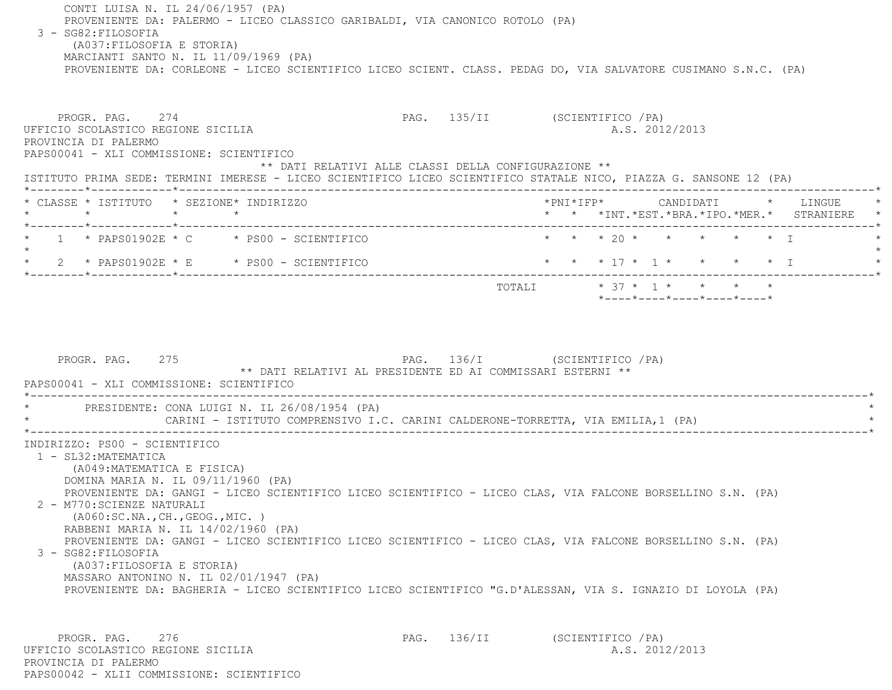CONTI LUISA N. IL 24/06/1957 (PA) PROVENIENTE DA: PALERMO - LICEO CLASSICO GARIBALDI, VIA CANONICO ROTOLO (PA) 3 - SG82:FILOSOFIA (A037:FILOSOFIA E STORIA) MARCIANTI SANTO N. IL 11/09/1969 (PA) PROVENIENTE DA: CORLEONE - LICEO SCIENTIFICO LICEO SCIENT. CLASS. PEDAG DO, VIA SALVATORE CUSIMANO S.N.C. (PA) PROGR. PAG. 274 CHARGE 274 PAG. 135/II (SCIENTIFICO / PA) UFFICIO SCOLASTICO REGIONE SICILIA A.S. 2012/2013 PROVINCIA DI PALERMO PAPS00041 - XLI COMMISSIONE: SCIENTIFICO \*\* DATI RELATIVI ALLE CLASSI DELLA CONFIGURAZIONE \*\* ISTITUTO PRIMA SEDE: TERMINI IMERESE - LICEO SCIENTIFICO LICEO SCIENTIFICO STATALE NICO, PIAZZA G. SANSONE 12 (PA) \*--------\*------------\*-------------------------------------------------------------------------------------------------------\* \* CLASSE \* ISTITUTO \* SEZIONE\* INDIRIZZO \*PNI\*IFP\* CANDIDATI \* LINGUE \* \* \* \* \* \* \* \*INT.\*EST.\*BRA.\*IPO.\*MER.\* STRANIERE \* \*--------\*------------\*-------------------------------------------------------------------------------------------------------\*1 \* PAPS01902E \* C \* PS00 - SCIENTIFICO \* \* \* \* 20 \* \* \* \* \* \* \* I  $\star$ \* 2 \* PAPS01902E \* E \* PS00 - SCIENTIFICO \* \* \* \* 17 \* 1 \* \* \* \* \* \* I \*--------\*------------\*-------------------------------------------------------------------------------------------------------\*TOTALI  $* 37 * 1 * * * * * * * *$  \*----\*----\*----\*----\*----\*PROGR. PAG. 275 275 PAG. 136/I (SCIENTIFICO / PA) \*\* DATI RELATIVI AL PRESIDENTE ED AI COMMISSARI ESTERNI \*\* PAPS00041 - XLI COMMISSIONE: SCIENTIFICO \*----------------------------------------------------------------------------------------------------------------------------\*PRESIDENTE: CONA LUIGI N. IL 26/08/1954 (PA) CARINI - ISTITUTO COMPRENSIVO I.C. CARINI CALDERONE-TORRETTA, VIA EMILIA,1 (PA) \*----------------------------------------------------------------------------------------------------------------------------\* INDIRIZZO: PS00 - SCIENTIFICO 1 - SL32:MATEMATICA (A049:MATEMATICA E FISICA) DOMINA MARIA N. IL 09/11/1960 (PA) PROVENIENTE DA: GANGI - LICEO SCIENTIFICO LICEO SCIENTIFICO - LICEO CLAS, VIA FALCONE BORSELLINO S.N. (PA) 2 - M770:SCIENZE NATURALI (A060:SC.NA.,CH.,GEOG.,MIC. ) RABBENI MARIA N. IL 14/02/1960 (PA) PROVENIENTE DA: GANGI - LICEO SCIENTIFICO LICEO SCIENTIFICO - LICEO CLAS, VIA FALCONE BORSELLINO S.N. (PA) 3 - SG82:FILOSOFIA (A037:FILOSOFIA E STORIA) MASSARO ANTONINO N. IL 02/01/1947 (PA) PROVENIENTE DA: BAGHERIA - LICEO SCIENTIFICO LICEO SCIENTIFICO "G.D'ALESSAN, VIA S. IGNAZIO DI LOYOLA (PA) PROGR. PAG. 276 276 PAG. 136/II (SCIENTIFICO / PA) UFFICIO SCOLASTICO REGIONE SICILIA A.S. 2012/2013

 PROVINCIA DI PALERMOPAPS00042 - XLII COMMISSIONE: SCIENTIFICO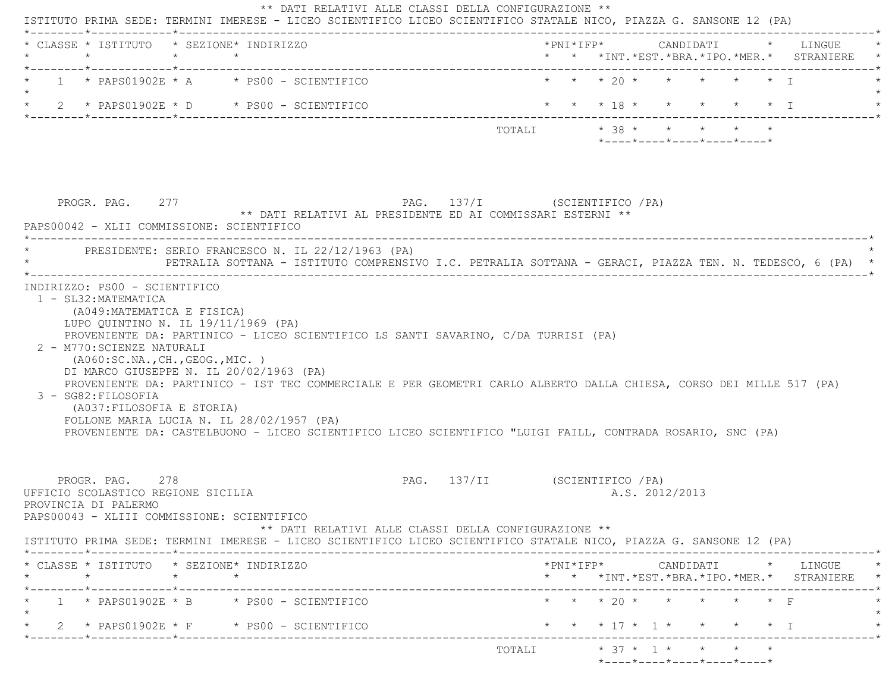|         | * CLASSE * ISTITUTO * SEZIONE* INDIRIZZO<br>$\star$                                                                                   | $\star$         | $\star$                                           |                                                                                                                                                                                                                                   |  |  |                |                                                  |  | * * *INT. *EST. *BRA. *IPO. *MER. * STRANIERE                                                                                                                         |
|---------|---------------------------------------------------------------------------------------------------------------------------------------|-----------------|---------------------------------------------------|-----------------------------------------------------------------------------------------------------------------------------------------------------------------------------------------------------------------------------------|--|--|----------------|--------------------------------------------------|--|-----------------------------------------------------------------------------------------------------------------------------------------------------------------------|
|         |                                                                                                                                       |                 | $1 * PAPS01902E * A * PS00 - SCIENTIFICO$         |                                                                                                                                                                                                                                   |  |  |                | * * * 20 * * * * * * T                           |  |                                                                                                                                                                       |
|         |                                                                                                                                       |                 | 2 * PAPS01902E * D * PS00 - SCIENTIFICO           | * * * 18 * * * * * * 1                                                                                                                                                                                                            |  |  |                |                                                  |  |                                                                                                                                                                       |
|         |                                                                                                                                       |                 |                                                   |                                                                                                                                                                                                                                   |  |  |                | $*$ ---- $*$ ---- $*$ ---- $*$ ---- $*$ ---- $*$ |  |                                                                                                                                                                       |
|         | PROGR. PAG. 277<br>PAPS00042 - XLII COMMISSIONE: SCIENTIFICO                                                                          |                 | PRESIDENTE: SERIO FRANCESCO N. IL 22/12/1963 (PA) | PAG. 137/I (SCIENTIFICO / PA)<br>** DATI RELATIVI AL PRESIDENTE ED AI COMMISSARI ESTERNI **                                                                                                                                       |  |  |                |                                                  |  |                                                                                                                                                                       |
|         |                                                                                                                                       |                 |                                                   | PETRALIA SOTTANA - ISTITUTO COMPRENSIVO I.C. PETRALIA SOTTANA - GERACI, PIAZZA TEN. N. TEDESCO, 6 (PA) *                                                                                                                          |  |  |                |                                                  |  |                                                                                                                                                                       |
|         | (A049: MATEMATICA E FISICA)<br>LUPO OUINTINO N. IL 19/11/1969 (PA)<br>2 - M770: SCIENZE NATURALI<br>( A060:SC.NA., CH., GEOG., MIC. ) |                 | DI MARCO GIUSEPPE N. IL 20/02/1963 (PA)           | PROVENIENTE DA: PARTINICO - LICEO SCIENTIFICO LS SANTI SAVARINO, C/DA TURRISI (PA)                                                                                                                                                |  |  |                |                                                  |  |                                                                                                                                                                       |
|         | 3 - SG82: FILOSOFIA<br>(A037: FILOSOFIA E STORIA)                                                                                     |                 | FOLLONE MARIA LUCIA N. IL 28/02/1957 (PA)         | PROVENIENTE DA: PARTINICO - IST TEC COMMERCIALE E PER GEOMETRI CARLO ALBERTO DALLA CHIESA, CORSO DEI MILLE 517 (PA)<br>PROVENIENTE DA: CASTELBUONO - LICEO SCIENTIFICO LICEO SCIENTIFICO "LUIGI FAILL, CONTRADA ROSARIO, SNC (PA) |  |  |                |                                                  |  |                                                                                                                                                                       |
|         | PROGR. PAG. 278<br>UFFICIO SCOLASTICO REGIONE SICILIA<br>PROVINCIA DI PALERMO<br>PAPS00043 - XLIII COMMISSIONE: SCIENTIFICO           |                 |                                                   | PAG. 137/II (SCIENTIFICO / PA)<br>** DATI RELATIVI ALLE CLASSI DELLA CONFIGURAZIONE **                                                                                                                                            |  |  | A.S. 2012/2013 |                                                  |  |                                                                                                                                                                       |
|         |                                                                                                                                       |                 |                                                   | ISTITUTO PRIMA SEDE: TERMINI IMERESE - LICEO SCIENTIFICO LICEO SCIENTIFICO STATALE NICO, PIAZZA G. SANSONE 12 (PA)                                                                                                                |  |  |                |                                                  |  |                                                                                                                                                                       |
| $\star$ | * CLASSE * ISTITUTO * SEZIONE* INDIRIZZO                                                                                              | $\star$ $\star$ |                                                   |                                                                                                                                                                                                                                   |  |  |                |                                                  |  |                                                                                                                                                                       |
|         | _______*_____________*__________                                                                                                      |                 | $1 * PAPS01902E * B * PS00 - SCIENTIFICO$         | ----------------------------------                                                                                                                                                                                                |  |  |                | * * * 20 * * * * * * F                           |  | $\text{\tt *PNI*IFP*} \qquad \qquad \text{CANDIDATI} \qquad \text{\tt *} \qquad \text{LINGUE} \qquad \text{\tt *}$<br>* * *INT. *EST. *BRA. *IPO. *MER. * STRANIERE * |
|         | *--------*------------*-----------                                                                                                    |                 | $2 *$ PAPS01902E $*$ F $*$ PS00 - SCIENTIFICO     |                                                                                                                                                                                                                                   |  |  |                | * * * 17 * 1 * * * * * I                         |  |                                                                                                                                                                       |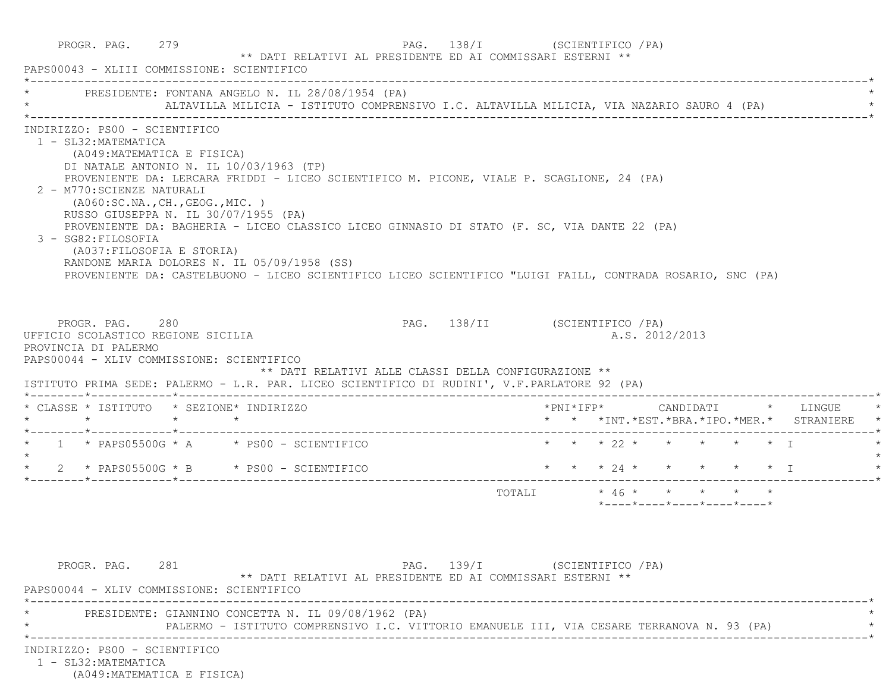| PAPS00043 - XLIII COMMISSIONE: SCIENTIFICO                                                                                                                                                                                                                                                                                                                                                                                                    | ** DATI RELATIVI AL PRESIDENTE ED AI COMMISSARI ESTERNI **                                                                                                                                                                                                                                                                                            |                                                                                        |                                               |                                                                 |  |
|-----------------------------------------------------------------------------------------------------------------------------------------------------------------------------------------------------------------------------------------------------------------------------------------------------------------------------------------------------------------------------------------------------------------------------------------------|-------------------------------------------------------------------------------------------------------------------------------------------------------------------------------------------------------------------------------------------------------------------------------------------------------------------------------------------------------|----------------------------------------------------------------------------------------|-----------------------------------------------|-----------------------------------------------------------------|--|
|                                                                                                                                                                                                                                                                                                                                                                                                                                               | PRESIDENTE: FONTANA ANGELO N. IL 28/08/1954 (PA)<br>ALTAVILLA MILICIA - ISTITUTO COMPRENSIVO I.C. ALTAVILLA MILICIA, VIA NAZARIO SAURO 4 (PA)                                                                                                                                                                                                         |                                                                                        |                                               |                                                                 |  |
| INDIRIZZO: PS00 - SCIENTIFICO<br>1 - SL32: MATEMATICA<br>(A049: MATEMATICA E FISICA)<br>DI NATALE ANTONIO N. IL 10/03/1963 (TP)<br>2 - M770: SCIENZE NATURALI<br>(AO60:SC.NA., CH., GEOG., MIC. )<br>RUSSO GIUSEPPA N. IL 30/07/1955 (PA)<br>3 - SG82: FILOSOFIA<br>(A037: FILOSOFIA E STORIA)                                                                                                                                                | PROVENIENTE DA: LERCARA FRIDDI - LICEO SCIENTIFICO M. PICONE, VIALE P. SCAGLIONE, 24 (PA)<br>PROVENIENTE DA: BAGHERIA - LICEO CLASSICO LICEO GINNASIO DI STATO (F. SC, VIA DANTE 22 (PA)<br>RANDONE MARIA DOLORES N. IL 05/09/1958 (SS)<br>PROVENIENTE DA: CASTELBUONO - LICEO SCIENTIFICO LICEO SCIENTIFICO "LUIGI FAILL, CONTRADA ROSARIO, SNC (PA) |                                                                                        |                                               |                                                                 |  |
|                                                                                                                                                                                                                                                                                                                                                                                                                                               |                                                                                                                                                                                                                                                                                                                                                       |                                                                                        |                                               |                                                                 |  |
| PROGR. PAG. 280                                                                                                                                                                                                                                                                                                                                                                                                                               |                                                                                                                                                                                                                                                                                                                                                       | PAG. 138/II (SCIENTIFICO / PA)<br>** DATI RELATIVI ALLE CLASSI DELLA CONFIGURAZIONE ** | *PNI*IFP*     CANDIDATI    *   LINGUE         | A.S. 2012/2013                                                  |  |
|                                                                                                                                                                                                                                                                                                                                                                                                                                               |                                                                                                                                                                                                                                                                                                                                                       |                                                                                        | * * *INT. *EST. *BRA. *IPO. *MER. * STRANIERE |                                                                 |  |
|                                                                                                                                                                                                                                                                                                                                                                                                                                               |                                                                                                                                                                                                                                                                                                                                                       |                                                                                        | * * * 22 * * * * * * T                        |                                                                 |  |
|                                                                                                                                                                                                                                                                                                                                                                                                                                               |                                                                                                                                                                                                                                                                                                                                                       |                                                                                        | * * * 24 * * * * * * I                        |                                                                 |  |
|                                                                                                                                                                                                                                                                                                                                                                                                                                               |                                                                                                                                                                                                                                                                                                                                                       |                                                                                        | TOTALI * 46 * * * * * *                       | $*$ - - - - $*$ - - - - $*$ - - - - $*$ - - - - $*$ - - - - $*$ |  |
| UFFICIO SCOLASTICO REGIONE SICILIA<br>PROVINCIA DI PALERMO<br>PAPS00044 - XLIV COMMISSIONE: SCIENTIFICO<br>ISTITUTO PRIMA SEDE: PALERMO - L.R. PAR. LICEO SCIENTIFICO DI RUDINI', V.F.PARLATORE 92 (PA)<br>* CLASSE * ISTITUTO * SEZIONE* INDIRIZZO<br>$*$ 1 $*$ PAPS05500G $*$ A $*$ PS00 - SCIENTIFICO<br>$\star$ 2 $\star$ PAPS05500G $\star$ B $\star$ PS00 - SCIENTIFICO<br>PROGR. PAG. 281<br>PAPS00044 - XLIV COMMISSIONE: SCIENTIFICO | ** DATI RELATIVI AL PRESIDENTE ED AI COMMISSARI ESTERNI **                                                                                                                                                                                                                                                                                            | PAG. 139/I (SCIENTIFICO / PA)                                                          |                                               |                                                                 |  |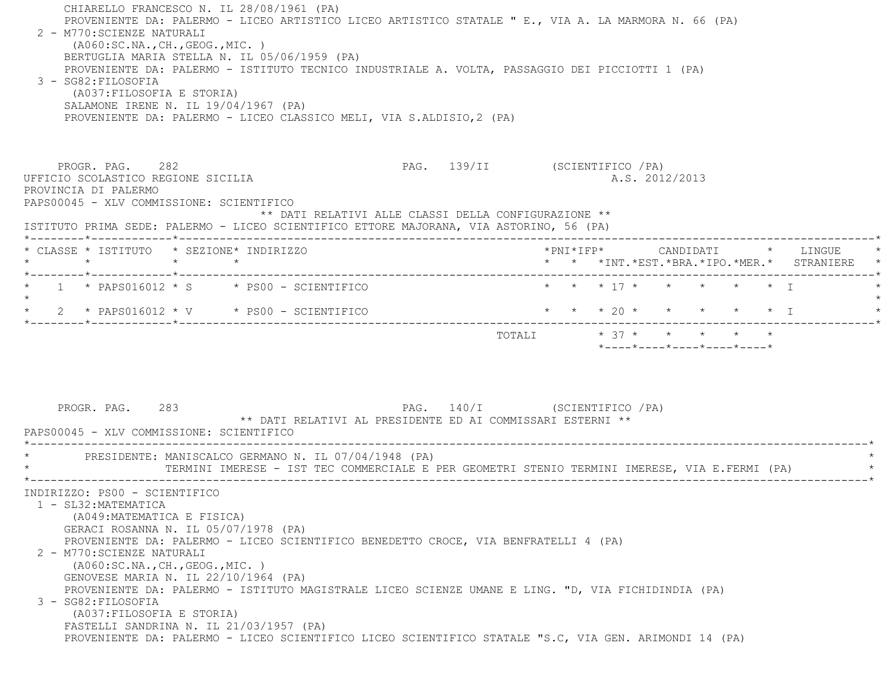CHIARELLO FRANCESCO N. IL 28/08/1961 (PA) PROVENIENTE DA: PALERMO - LICEO ARTISTICO LICEO ARTISTICO STATALE " E., VIA A. LA MARMORA N. 66 (PA) 2 - M770:SCIENZE NATURALI (A060:SC.NA.,CH.,GEOG.,MIC. ) BERTUGLIA MARIA STELLA N. IL 05/06/1959 (PA) PROVENIENTE DA: PALERMO - ISTITUTO TECNICO INDUSTRIALE A. VOLTA, PASSAGGIO DEI PICCIOTTI 1 (PA) 3 - SG82:FILOSOFIA (A037:FILOSOFIA E STORIA) SALAMONE IRENE N. IL 19/04/1967 (PA) PROVENIENTE DA: PALERMO - LICEO CLASSICO MELI, VIA S.ALDISIO,2 (PA) PROGR. PAG. 282 PAG. 139/II (SCIENTIFICO /PA) UFFICIO SCOLASTICO REGIONE SICILIA A.S. 2012/2013 PROVINCIA DI PALERMO PAPS00045 - XLV COMMISSIONE: SCIENTIFICO \*\* DATI RELATIVI ALLE CLASSI DELLA CONFIGURAZIONE \*\* ISTITUTO PRIMA SEDE: PALERMO - LICEO SCIENTIFICO ETTORE MAJORANA, VIA ASTORINO, 56 (PA) \*--------\*------------\*-------------------------------------------------------------------------------------------------------\* \* CLASSE \* ISTITUTO \* SEZIONE\* INDIRIZZO \*PNI\*IFP\* CANDIDATI \* LINGUE \* \* \* \* \* \* \* \*INT.\*EST.\*BRA.\*IPO.\*MER.\* STRANIERE \* \*--------\*------------\*-------------------------------------------------------------------------------------------------------\*1 \* PAPS016012 \* S \* PS00 - SCIENTIFICO \* \* \* \* 17 \* \* \* \* \* \* \* \* I  $\star$  \* 2 \* PAPS016012 \* V \* PS00 - SCIENTIFICO \* \* \* 20 \* \* \* \* \* I \* \*--------\*------------\*-------------------------------------------------------------------------------------------------------\*TOTALI  $* 37 * * * * * * * * *$  \*----\*----\*----\*----\*----\*PROGR. PAG. 283 283 PAG. 140/I (SCIENTIFICO / PA) \*\* DATI RELATIVI AL PRESIDENTE ED AI COMMISSARI ESTERNI \*\* PAPS00045 - XLV COMMISSIONE: SCIENTIFICO \*----------------------------------------------------------------------------------------------------------------------------\*PRESIDENTE: MANISCALCO GERMANO N. IL 07/04/1948 (PA) \* TERMINI IMERESE - IST TEC COMMERCIALE E PER GEOMETRI STENIO TERMINI IMERESE, VIA E.FERMI (PA) \* \*----------------------------------------------------------------------------------------------------------------------------\* INDIRIZZO: PS00 - SCIENTIFICO 1 - SL32:MATEMATICA (A049:MATEMATICA E FISICA) GERACI ROSANNA N. IL 05/07/1978 (PA) PROVENIENTE DA: PALERMO - LICEO SCIENTIFICO BENEDETTO CROCE, VIA BENFRATELLI 4 (PA) 2 - M770:SCIENZE NATURALI (A060:SC.NA.,CH.,GEOG.,MIC. ) GENOVESE MARIA N. IL 22/10/1964 (PA) PROVENIENTE DA: PALERMO - ISTITUTO MAGISTRALE LICEO SCIENZE UMANE E LING. "D, VIA FICHIDINDIA (PA) 3 - SG82:FILOSOFIA (A037:FILOSOFIA E STORIA) FASTELLI SANDRINA N. IL 21/03/1957 (PA) PROVENIENTE DA: PALERMO - LICEO SCIENTIFICO LICEO SCIENTIFICO STATALE "S.C, VIA GEN. ARIMONDI 14 (PA)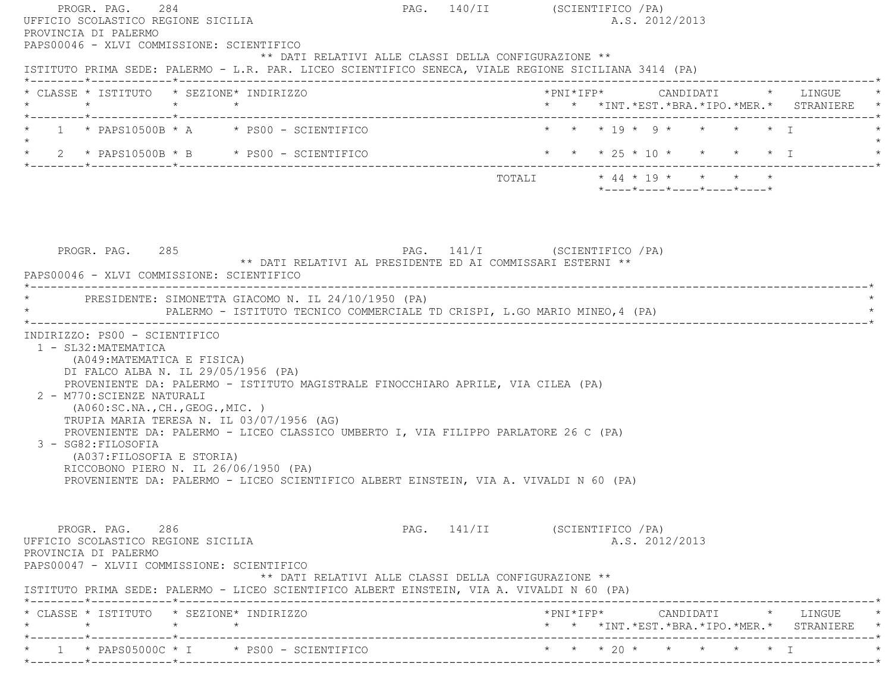| PROVINCIA DI PALERMO<br>PAPS00046 - XLVI COMMISSIONE: SCIENTIFICO                                                                                                                                                                                                                                                                                                                                                                                                             | PAG. 140/II (SCIENTIFICO / PA)<br>A.S. 2012/2013                                              |
|-------------------------------------------------------------------------------------------------------------------------------------------------------------------------------------------------------------------------------------------------------------------------------------------------------------------------------------------------------------------------------------------------------------------------------------------------------------------------------|-----------------------------------------------------------------------------------------------|
| ** DATI RELATIVI ALLE CLASSI DELLA CONFIGURAZIONE **<br>ISTITUTO PRIMA SEDE: PALERMO - L.R. PAR. LICEO SCIENTIFICO SENECA, VIALE REGIONE SICILIANA 3414 (PA)                                                                                                                                                                                                                                                                                                                  |                                                                                               |
| * CLASSE * ISTITUTO * SEZIONE* INDIRIZZO<br>$\star$ $\star$ $\star$                                                                                                                                                                                                                                                                                                                                                                                                           | *PNI*IFP*     CANDIDATI    *  LINGUE<br>* * *INT. *EST. *BRA. *IPO. *MER. * STRANIERE *       |
| $1 \times$ PAPS10500B $*$ A $*$ PS00 - SCIENTIFICO                                                                                                                                                                                                                                                                                                                                                                                                                            | * * * 19 * 9 * * * * 1                                                                        |
| * $2$ * PAPS10500B * B * PS00 - SCIENTIFICO                                                                                                                                                                                                                                                                                                                                                                                                                                   | * * * 25 * 10 * * * * * I                                                                     |
|                                                                                                                                                                                                                                                                                                                                                                                                                                                                               | TOTALI * 44 * 19 * * * * *<br>$*$ - - - - $*$ - - - - $*$ - - - - $*$ - - - - $*$ - - - - $*$ |
| PAG. 141/I (SCIENTIFICO / PA)<br>PROGR. PAG. 285<br>** DATI RELATIVI AL PRESIDENTE ED AI COMMISSARI ESTERNI **<br>PAPS00046 - XLVI COMMISSIONE: SCIENTIFICO                                                                                                                                                                                                                                                                                                                   |                                                                                               |
| * PRESIDENTE: SIMONETTA GIACOMO N. IL 24/10/1950 (PA)<br>PALERMO - ISTITUTO TECNICO COMMERCIALE TD CRISPI, L.GO MARIO MINEO, 4 (PA)                                                                                                                                                                                                                                                                                                                                           |                                                                                               |
| INDIRIZZO: PS00 - SCIENTIFICO<br>1 - SL32: MATEMATICA<br>(A049: MATEMATICA E FISICA)<br>DI FALCO ALBA N. IL 29/05/1956 (PA)                                                                                                                                                                                                                                                                                                                                                   |                                                                                               |
| PROVENIENTE DA: PALERMO - ISTITUTO MAGISTRALE FINOCCHIARO APRILE, VIA CILEA (PA)<br>2 - M770: SCIENZE NATURALI<br>(AO60:SC.NA., CH., GEOG., MIC. )<br>TRUPIA MARIA TERESA N. IL 03/07/1956 (AG)<br>PROVENIENTE DA: PALERMO - LICEO CLASSICO UMBERTO I, VIA FILIPPO PARLATORE 26 C (PA)<br>3 - SG82: FILOSOFIA<br>(A037: FILOSOFIA E STORIA)<br>RICCOBONO PIERO N. IL 26/06/1950 (PA)<br>PROVENIENTE DA: PALERMO - LICEO SCIENTIFICO ALBERT EINSTEIN, VIA A. VIVALDI N 60 (PA) |                                                                                               |
| PROGR. PAG. 286<br>UFFICIO SCOLASTICO REGIONE SICILIA<br>PROVINCIA DI PALERMO<br>PAPS00047 - XLVII COMMISSIONE: SCIENTIFICO<br>** DATI RELATIVI ALLE CLASSI DELLA CONFIGURAZIONE **<br>ISTITUTO PRIMA SEDE: PALERMO - LICEO SCIENTIFICO ALBERT EINSTEIN, VIA A. VIVALDI N 60 (PA)                                                                                                                                                                                             | PAG. 141/II (SCIENTIFICO / PA)<br>A.S. 2012/2013                                              |
| * CLASSE * ISTITUTO * SEZIONE* INDIRIZZO<br>$\star$ $\star$<br>$\star$                                                                                                                                                                                                                                                                                                                                                                                                        | * * *INT. *EST. *BRA. *IPO. *MER. * STRANIERE                                                 |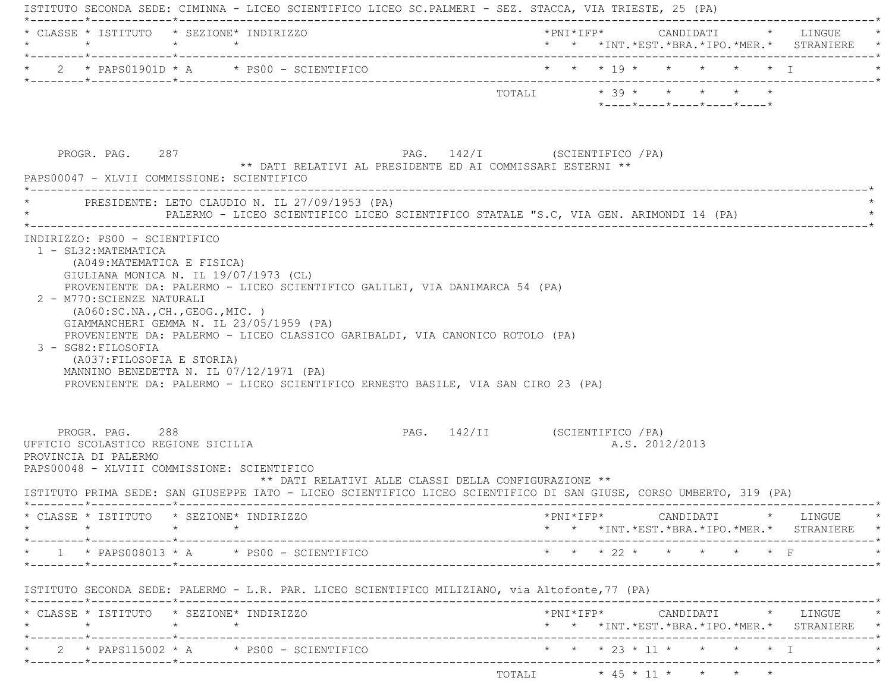| $\star$ |                                                                               | * CLASSE * ISTITUTO * SEZIONE* INDIRIZZO<br>$\star$ $\star$                                                                                                                                                 |                                                      |                                 |  |                                         |  | *PNI*IFP* CANDIDATI * LINGUE<br>* * *INT.*EST.*BRA.*IPO.*MER.* STRANIERE *                                                                         |
|---------|-------------------------------------------------------------------------------|-------------------------------------------------------------------------------------------------------------------------------------------------------------------------------------------------------------|------------------------------------------------------|---------------------------------|--|-----------------------------------------|--|----------------------------------------------------------------------------------------------------------------------------------------------------|
|         |                                                                               |                                                                                                                                                                                                             |                                                      |                                 |  |                                         |  |                                                                                                                                                    |
|         | PROGR. PAG. 287                                                               | ** DATI RELATIVI AL PRESIDENTE ED AI COMMISSARI ESTERNI **                                                                                                                                                  | PAG. 142/I (SCIENTIFICO /PA)                         | TOTALI $* 39 * * * * * * * * *$ |  | $*$ ---- $*$ ---- $*$ ---- $*$ ---- $*$ |  |                                                                                                                                                    |
|         |                                                                               | PAPS00047 - XLVII COMMISSIONE: SCIENTIFICO<br>PRESIDENTE: LETO CLAUDIO N. IL 27/09/1953 (PA)<br>PALERMO - LICEO SCIENTIFICO LICEO SCIENTIFICO STATALE "S.C, VIA GEN. ARIMONDI 14 (PA)                       |                                                      |                                 |  |                                         |  |                                                                                                                                                    |
|         | 2 - M770: SCIENZE NATURALI                                                    | ( A060:SC.NA., CH., GEOG., MIC. )<br>GIAMMANCHERI GEMMA N. IL 23/05/1959 (PA)                                                                                                                               |                                                      |                                 |  |                                         |  |                                                                                                                                                    |
|         | 3 - SG82: FILOSOFIA<br>(A037: FILOSOFIA E STORIA)                             | PROVENIENTE DA: PALERMO - LICEO CLASSICO GARIBALDI, VIA CANONICO ROTOLO (PA)<br>MANNINO BENEDETTA N. IL 07/12/1971 (PA)<br>PROVENIENTE DA: PALERMO - LICEO SCIENTIFICO ERNESTO BASILE, VIA SAN CIRO 23 (PA) |                                                      |                                 |  |                                         |  |                                                                                                                                                    |
|         | PROGR. PAG. 288<br>UFFICIO SCOLASTICO REGIONE SICILIA<br>PROVINCIA DI PALERMO | PAPS00048 - XLVIII COMMISSIONE: SCIENTIFICO                                                                                                                                                                 | ** DATI RELATIVI ALLE CLASSI DELLA CONFIGURAZIONE ** | PAG. 142/II (SCIENTIFICO / PA)  |  | A.S. 2012/2013                          |  |                                                                                                                                                    |
|         |                                                                               | ISTITUTO PRIMA SEDE: SAN GIUSEPPE IATO - LICEO SCIENTIFICO LICEO SCIENTIFICO DI SAN GIUSE, CORSO UMBERTO, 319 (PA)                                                                                          |                                                      |                                 |  |                                         |  |                                                                                                                                                    |
|         | $\star$ $\star$                                                               | * CLASSE * ISTITUTO * SEZIONE* INDIRIZZO                                                                                                                                                                    |                                                      |                                 |  |                                         |  | $*PNI*IFP* \qquad \qquad \text{CANDIDATI} \qquad \qquad * \qquad \text{LINGUE} \qquad \qquad *$<br>* * *INT. *EST. *BRA. *IPO. *MER. * STRANIERE * |
|         |                                                                               | $\star$ 1 $\star$ PAPS008013 $\star$ A $\star$ PS00 - SCIENTIFICO                                                                                                                                           |                                                      | * * * 22 * * * * * * F          |  |                                         |  |                                                                                                                                                    |
|         |                                                                               |                                                                                                                                                                                                             |                                                      |                                 |  |                                         |  |                                                                                                                                                    |
|         | $\star \qquad \qquad \star \qquad \qquad \star \qquad \qquad \star$           | ISTITUTO SECONDA SEDE: PALERMO - L.R. PAR. LICEO SCIENTIFICO MILIZIANO, via Altofonte, 77 (PA)<br>* CLASSE * ISTITUTO * SEZIONE* INDIRIZZO                                                                  |                                                      |                                 |  |                                         |  | * * *INT.*EST.*BRA.*IPO.*MER.* STRANIERE *                                                                                                         |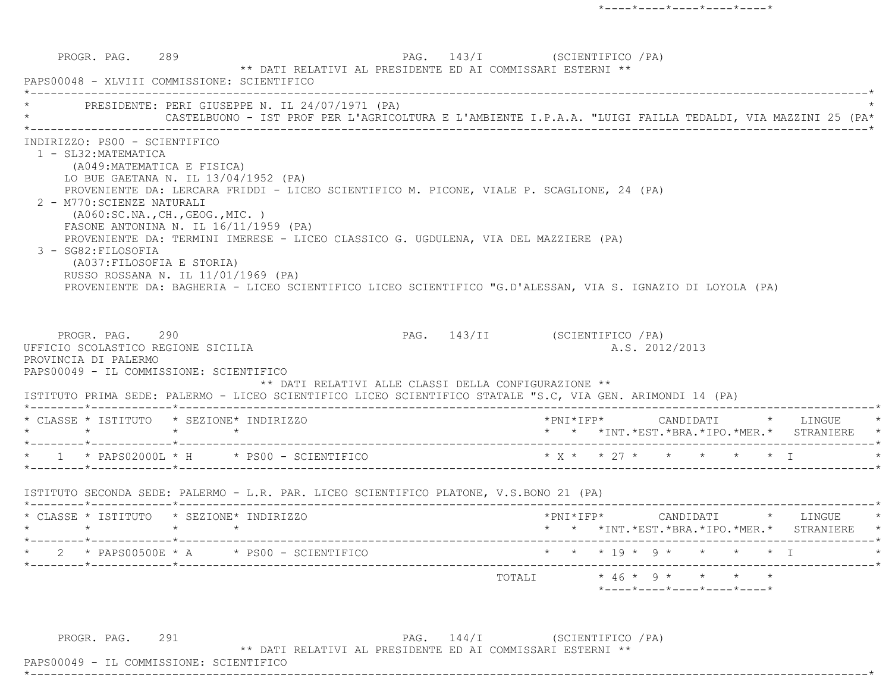PROGR. PAG. 289 289 PAG. 143/I (SCIENTIFICO / PA) \*\* DATI RELATIVI AL PRESIDENTE ED AI COMMISSARI ESTERNI \*\* PAPS00048 - XLVIII COMMISSIONE: SCIENTIFICO \*----------------------------------------------------------------------------------------------------------------------------\*PRESIDENTE: PERI GIUSEPPE N. IL 24/07/1971 (PA) \* CASTELBUONO - IST PROF PER L'AGRICOLTURA E L'AMBIENTE I.P.A.A. "LUIGI FAILLA TEDALDI, VIA MAZZINI 25 (PA\* \*----------------------------------------------------------------------------------------------------------------------------\* INDIRIZZO: PS00 - SCIENTIFICO 1 - SL32:MATEMATICA (A049:MATEMATICA E FISICA) LO BUE GAETANA N. IL 13/04/1952 (PA) PROVENIENTE DA: LERCARA FRIDDI - LICEO SCIENTIFICO M. PICONE, VIALE P. SCAGLIONE, 24 (PA) 2 - M770:SCIENZE NATURALI (A060:SC.NA.,CH.,GEOG.,MIC. ) FASONE ANTONINA N. IL 16/11/1959 (PA) PROVENIENTE DA: TERMINI IMERESE - LICEO CLASSICO G. UGDULENA, VIA DEL MAZZIERE (PA) 3 - SG82:FILOSOFIA (A037:FILOSOFIA E STORIA) RUSSO ROSSANA N. IL 11/01/1969 (PA) PROVENIENTE DA: BAGHERIA - LICEO SCIENTIFICO LICEO SCIENTIFICO "G.D'ALESSAN, VIA S. IGNAZIO DI LOYOLA (PA) PROGR. PAG. 290 200 PAG. 143/II (SCIENTIFICO / PA) UFFICIO SCOLASTICO REGIONE SICILIA A.S. 2012/2013 PROVINCIA DI PALERMO PAPS00049 - IL COMMISSIONE: SCIENTIFICO \*\* DATI RELATIVI ALLE CLASSI DELLA CONFIGURAZIONE \*\* ISTITUTO PRIMA SEDE: PALERMO - LICEO SCIENTIFICO LICEO SCIENTIFICO STATALE "S.C, VIA GEN. ARIMONDI 14 (PA) \*--------\*------------\*-------------------------------------------------------------------------------------------------------\* \* CLASSE \* ISTITUTO \* SEZIONE\* INDIRIZZO \*PNI\*IFP\* CANDIDATI \* LINGUE \* \* \* \* \* \* \* \*INT.\*EST.\*BRA.\*IPO.\*MER.\* STRANIERE \* \*--------\*------------\*-------------------------------------------------------------------------------------------------------\* $*$  1  $*$  PAPS02000L  $*$  H  $*$  PS00 - SCIENTIFICO \*--------\*------------\*-------------------------------------------------------------------------------------------------------\* ISTITUTO SECONDA SEDE: PALERMO - L.R. PAR. LICEO SCIENTIFICO PLATONE, V.S.BONO 21 (PA) \*--------\*------------\*-------------------------------------------------------------------------------------------------------\* \* CLASSE \* ISTITUTO \* SEZIONE\* INDIRIZZO \*PNI\*IFP\* CANDIDATI \* LINGUE \* \* \* \* \* \* \* \*INT.\*EST.\*BRA.\*IPO.\*MER.\* STRANIERE \* \*--------\*------------\*-------------------------------------------------------------------------------------------------------\* \* 2 \* PAPS00500E \* A \* PS00 - SCIENTIFICO \* \* \* 19 \* 9 \* \* \* \* I \* \*--------\*------------\*-------------------------------------------------------------------------------------------------------\* ${\tt TOTALI} \qquad \qquad * \;\; 46 \;\; * \;\; 9 \;\; * \qquad * \qquad * \qquad *$ \*----\*----\*----\*----\*----\*

PROGR. PAG. 291 2002 PAG. 144/I (SCIENTIFICO / PA)

\*----------------------------------------------------------------------------------------------------------------------------\*

\*\* DATI RELATIVI AL PRESIDENTE ED AI COMMISSARI ESTERNI \*\*

PAPS00049 - IL COMMISSIONE: SCIENTIFICO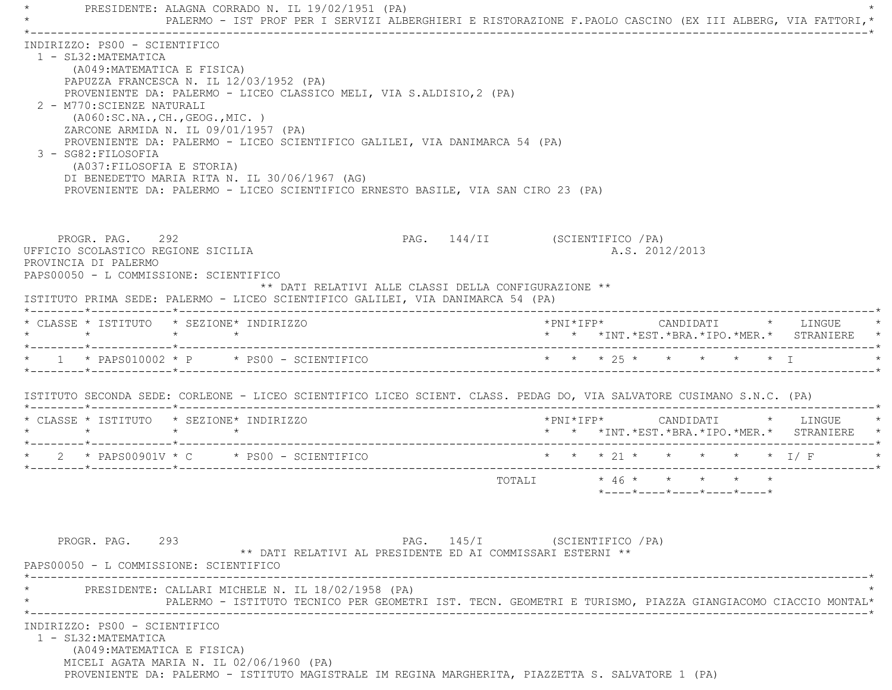\* PRESIDENTE: ALAGNA CORRADO N. IL 19/02/1951 (PA) \* \* PALERMO - IST PROF PER I SERVIZI ALBERGHIERI E RISTORAZIONE F.PAOLO CASCINO (EX III ALBERG, VIA FATTORI,\* \*----------------------------------------------------------------------------------------------------------------------------\* INDIRIZZO: PS00 - SCIENTIFICO 1 - SL32:MATEMATICA (A049:MATEMATICA E FISICA) PAPUZZA FRANCESCA N. IL 12/03/1952 (PA) PROVENIENTE DA: PALERMO - LICEO CLASSICO MELI, VIA S.ALDISIO,2 (PA) 2 - M770:SCIENZE NATURALI (A060:SC.NA.,CH.,GEOG.,MIC. ) ZARCONE ARMIDA N. IL 09/01/1957 (PA) PROVENIENTE DA: PALERMO - LICEO SCIENTIFICO GALILEI, VIA DANIMARCA 54 (PA) 3 - SG82:FILOSOFIA (A037:FILOSOFIA E STORIA) DI BENEDETTO MARIA RITA N. IL 30/06/1967 (AG) PROVENIENTE DA: PALERMO - LICEO SCIENTIFICO ERNESTO BASILE, VIA SAN CIRO 23 (PA) PROGR. PAG. 292 **PAG.** 292 **PAG.** 144/II (SCIENTIFICO /PA) UFFICIO SCOLASTICO REGIONE SICILIA A.S. 2012/2013 PROVINCIA DI PALERMO PAPS00050 - L COMMISSIONE: SCIENTIFICO \*\* DATI RELATIVI ALLE CLASSI DELLA CONFIGURAZIONE \*\* ISTITUTO PRIMA SEDE: PALERMO - LICEO SCIENTIFICO GALILEI, VIA DANIMARCA 54 (PA) \*--------\*------------\*-------------------------------------------------------------------------------------------------------\* \* CLASSE \* ISTITUTO \* SEZIONE\* INDIRIZZO \*PNI\*IFP\* CANDIDATI \* LINGUE \* \* \* \* \* \* \* \*INT.\*EST.\*BRA.\*IPO.\*MER.\* STRANIERE \* \*--------\*------------\*-------------------------------------------------------------------------------------------------------\*1 \* PAPS010002 \* P \* PS00 - SCIENTIFICO \* \* \* \* 25 \* \* \* \* \* \* \* I \*--------\*------------\*-------------------------------------------------------------------------------------------------------\* ISTITUTO SECONDA SEDE: CORLEONE - LICEO SCIENTIFICO LICEO SCIENT. CLASS. PEDAG DO, VIA SALVATORE CUSIMANO S.N.C. (PA) \*--------\*------------\*-------------------------------------------------------------------------------------------------------\* \* CLASSE \* ISTITUTO \* SEZIONE\* INDIRIZZO \*PNI\*IFP\* CANDIDATI \* LINGUE \* \* \* \* \* \* \* \*INT.\*EST.\*BRA.\*IPO.\*MER.\* STRANIERE \* \*--------\*------------\*-------------------------------------------------------------------------------------------------------\*2 \* PAPS00901V \* C \* PS00 - SCIENTIFICO \* \* \* \* 21 \* \* \* \* \* \* \* I/ F \*--------\*------------\*-------------------------------------------------------------------------------------------------------\* TOTALI \* 46 \* \* \* \* \* \*----\*----\*----\*----\*----\*PROGR. PAG. 293 293 PAG. 145/I (SCIENTIFICO / PA) \*\* DATI RELATIVI AL PRESIDENTE ED AI COMMISSARI ESTERNI \*\* PAPS00050 - L COMMISSIONE: SCIENTIFICO \*----------------------------------------------------------------------------------------------------------------------------\*PRESIDENTE: CALLARI MICHELE N. IL 18/02/1958 (PA) \* PALERMO - ISTITUTO TECNICO PER GEOMETRI IST. TECN. GEOMETRI E TURISMO, PIAZZA GIANGIACOMO CIACCIO MONTAL\* \*----------------------------------------------------------------------------------------------------------------------------\* INDIRIZZO: PS00 - SCIENTIFICO 1 - SL32:MATEMATICA (A049:MATEMATICA E FISICA) MICELI AGATA MARIA N. IL 02/06/1960 (PA) PROVENIENTE DA: PALERMO - ISTITUTO MAGISTRALE IM REGINA MARGHERITA, PIAZZETTA S. SALVATORE 1 (PA)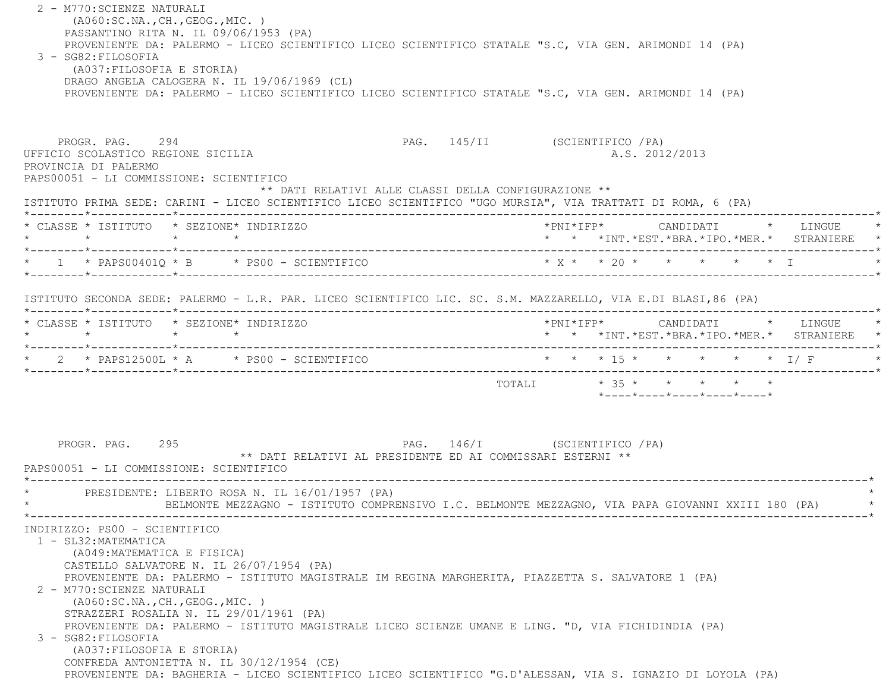2 - M770:SCIENZE NATURALI (A060:SC.NA.,CH.,GEOG.,MIC. ) PASSANTINO RITA N. IL 09/06/1953 (PA) PROVENIENTE DA: PALERMO - LICEO SCIENTIFICO LICEO SCIENTIFICO STATALE "S.C, VIA GEN. ARIMONDI 14 (PA) 3 - SG82:FILOSOFIA (A037:FILOSOFIA E STORIA) DRAGO ANGELA CALOGERA N. IL 19/06/1969 (CL) PROVENIENTE DA: PALERMO - LICEO SCIENTIFICO LICEO SCIENTIFICO STATALE "S.C, VIA GEN. ARIMONDI 14 (PA) PROGR. PAG. 294 PAG. 145/II (SCIENTIFICO /PA) UFFICIO SCOLASTICO REGIONE SICILIA A.S. 2012/2013 PROVINCIA DI PALERMO PAPS00051 - LI COMMISSIONE: SCIENTIFICO \*\* DATI RELATIVI ALLE CLASSI DELLA CONFIGURAZIONE \*\* ISTITUTO PRIMA SEDE: CARINI - LICEO SCIENTIFICO LICEO SCIENTIFICO "UGO MURSIA", VIA TRATTATI DI ROMA, 6 (PA) \*--------\*------------\*-------------------------------------------------------------------------------------------------------\* \* CLASSE \* ISTITUTO \* SEZIONE\* INDIRIZZO \*PNI\*IFP\* CANDIDATI \* LINGUE \* \* \* \* \* \* \* \*INT.\*EST.\*BRA.\*IPO.\*MER.\* STRANIERE \* \*--------\*------------\*-------------------------------------------------------------------------------------------------------\*\* 1 \* PAPS00401Q \* B \* PS00 - SCIENTIFICO \* \* \* \* 20 \* \* \* \* \* \* I \*--------\*------------\*-------------------------------------------------------------------------------------------------------\* ISTITUTO SECONDA SEDE: PALERMO - L.R. PAR. LICEO SCIENTIFICO LIC. SC. S.M. MAZZARELLO, VIA E.DI BLASI,86 (PA) \*--------\*------------\*-------------------------------------------------------------------------------------------------------\* \* CLASSE \* ISTITUTO \* SEZIONE\* INDIRIZZO \*PNI\*IFP\* CANDIDATI \* LINGUE \* \* \* \* \* \* \* \*INT.\*EST.\*BRA.\*IPO.\*MER.\* STRANIERE \* \*--------\*------------\*-------------------------------------------------------------------------------------------------------\*2 \* PAPS12500L \* A \* PS00 - SCIENTIFICO \* \* \* \* 15 \* \* \* \* \* \* \* 1/ F \*--------\*------------\*-------------------------------------------------------------------------------------------------------\* $\texttt{TOTAL} \qquad \qquad \star\quad 35\;\star\qquad \star\qquad \star\qquad \star\qquad \star\qquad \star$  \*----\*----\*----\*----\*----\*PROGR. PAG. 295 2002 PAG. 146/I (SCIENTIFICO / PA) \*\* DATI RELATIVI AL PRESIDENTE ED AI COMMISSARI ESTERNI \*\* PAPS00051 - LI COMMISSIONE: SCIENTIFICO \*----------------------------------------------------------------------------------------------------------------------------\*PRESIDENTE: LIBERTO ROSA N. IL 16/01/1957 (PA) \* BELMONTE MEZZAGNO - ISTITUTO COMPRENSIVO I.C. BELMONTE MEZZAGNO, VIA PAPA GIOVANNI XXIII 180 (PA) \* \*----------------------------------------------------------------------------------------------------------------------------\* INDIRIZZO: PS00 - SCIENTIFICO 1 - SL32:MATEMATICA (A049:MATEMATICA E FISICA) CASTELLO SALVATORE N. IL 26/07/1954 (PA) PROVENIENTE DA: PALERMO - ISTITUTO MAGISTRALE IM REGINA MARGHERITA, PIAZZETTA S. SALVATORE 1 (PA) 2 - M770:SCIENZE NATURALI (A060:SC.NA.,CH.,GEOG.,MIC. ) STRAZZERI ROSALIA N. IL 29/01/1961 (PA) PROVENIENTE DA: PALERMO - ISTITUTO MAGISTRALE LICEO SCIENZE UMANE E LING. "D, VIA FICHIDINDIA (PA) 3 - SG82:FILOSOFIA (A037:FILOSOFIA E STORIA) CONFREDA ANTONIETTA N. IL 30/12/1954 (CE) PROVENIENTE DA: BAGHERIA - LICEO SCIENTIFICO LICEO SCIENTIFICO "G.D'ALESSAN, VIA S. IGNAZIO DI LOYOLA (PA)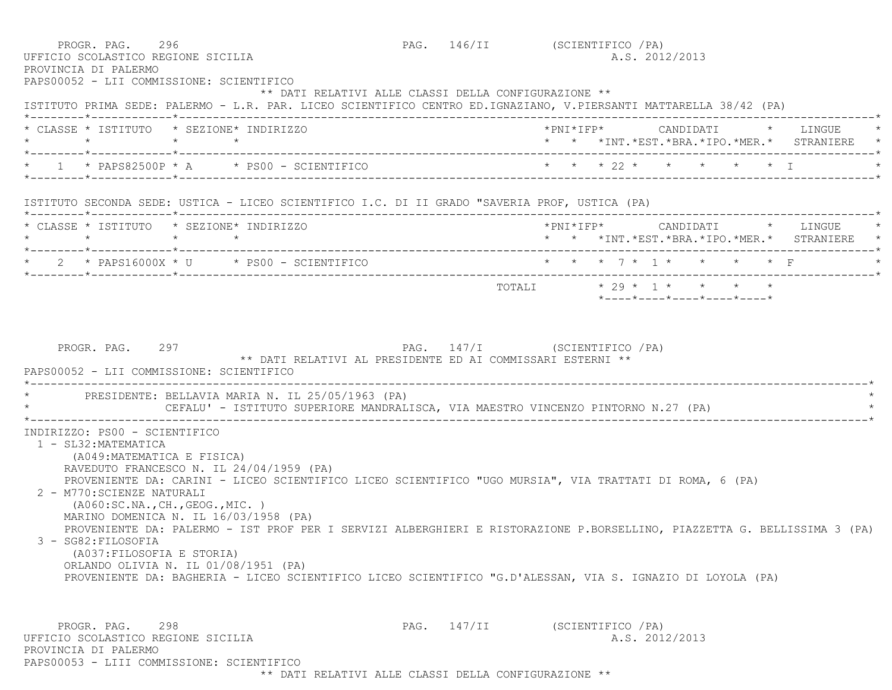| PROGR. PAG. 296<br>UFFICIO SCOLASTICO REGIONE SICILIA<br>PROVINCIA DI PALERMO                                                                                          | PAPS00052 - LII COMMISSIONE: SCIENTIFICO                                                                                                                                                                                                                                                                                                                      | PAG. 146/II (SCIENTIFICO / PA) |                        |  | A.S. 2012/2013 |                                                                 |  |                                                                                     |
|------------------------------------------------------------------------------------------------------------------------------------------------------------------------|---------------------------------------------------------------------------------------------------------------------------------------------------------------------------------------------------------------------------------------------------------------------------------------------------------------------------------------------------------------|--------------------------------|------------------------|--|----------------|-----------------------------------------------------------------|--|-------------------------------------------------------------------------------------|
|                                                                                                                                                                        | ** DATI RELATIVI ALLE CLASSI DELLA CONFIGURAZIONE **<br>ISTITUTO PRIMA SEDE: PALERMO - L.R. PAR. LICEO SCIENTIFICO CENTRO ED.IGNAZIANO, V.PIERSANTI MATTARELLA 38/42 (PA)                                                                                                                                                                                     |                                |                        |  |                |                                                                 |  |                                                                                     |
| $\star$ $\star$                                                                                                                                                        | * CLASSE * ISTITUTO * SEZIONE* INDIRIZZO<br>$\star$ $\star$                                                                                                                                                                                                                                                                                                   |                                |                        |  |                |                                                                 |  | *PNI*IFP*     CANDIDATI    *   LINGUE<br>* * *INT.*EST.*BRA.*IPO.*MER.* STRANIERE * |
|                                                                                                                                                                        | * $1$ * PAPS82500P * A * PS00 - SCIENTIFICO                                                                                                                                                                                                                                                                                                                   |                                | * * * 22 * * * * * * I |  |                |                                                                 |  |                                                                                     |
|                                                                                                                                                                        | ISTITUTO SECONDA SEDE: USTICA - LICEO SCIENTIFICO I.C. DI II GRADO "SAVERIA PROF, USTICA (PA)                                                                                                                                                                                                                                                                 |                                |                        |  |                |                                                                 |  |                                                                                     |
| $\star$                                                                                                                                                                | * CLASSE * ISTITUTO * SEZIONE* INDIRIZZO<br>$\star$ $\star$                                                                                                                                                                                                                                                                                                   |                                |                        |  |                |                                                                 |  | *PNI*IFP* CANDIDATI * LINGUE *<br>* * *INT. *EST. *BRA. *IPO. *MER. * STRANIERE *   |
|                                                                                                                                                                        |                                                                                                                                                                                                                                                                                                                                                               |                                |                        |  |                |                                                                 |  | * * * 7 * 1 * * * * * F                                                             |
|                                                                                                                                                                        |                                                                                                                                                                                                                                                                                                                                                               |                                |                        |  |                | $*$ - - - - $*$ - - - - $*$ - - - - $*$ - - - - $*$ - - - - $*$ |  |                                                                                     |
|                                                                                                                                                                        | PRESIDENTE: BELLAVIA MARIA N. IL 25/05/1963 (PA)<br>CEFALU' - ISTITUTO SUPERIORE MANDRALISCA, VIA MAESTRO VINCENZO PINTORNO N.27 (PA)                                                                                                                                                                                                                         |                                |                        |  |                |                                                                 |  |                                                                                     |
| INDIRIZZO: PS00 - SCIENTIFICO<br>1 - SL32: MATEMATICA<br>(A049: MATEMATICA E FISICA)<br>2 - M770: SCIENZE NATURALI<br>3 - SG82:FILOSOFIA<br>(A037: FILOSOFIA E STORIA) | RAVEDUTO FRANCESCO N. IL 24/04/1959 (PA)<br>PROVENIENTE DA: CARINI - LICEO SCIENTIFICO LICEO SCIENTIFICO "UGO MURSIA", VIA TRATTATI DI ROMA, 6 (PA)<br>( A060:SC.NA., CH., GEOG., MIC. )<br>MARINO DOMENICA N. IL 16/03/1958 (PA)<br>PROVENIENTE DA: PALERMO - IST PROF PER I SERVIZI ALBERGHIERI E RISTORAZIONE P.BORSELLINO, PIAZZETTA G. BELLISSIMA 3 (PA) |                                |                        |  |                |                                                                 |  |                                                                                     |
|                                                                                                                                                                        | ORLANDO OLIVIA N. IL 01/08/1951 (PA)<br>PROVENIENTE DA: BAGHERIA - LICEO SCIENTIFICO LICEO SCIENTIFICO "G.D'ALESSAN, VIA S. IGNAZIO DI LOYOLA (PA)                                                                                                                                                                                                            |                                |                        |  |                |                                                                 |  |                                                                                     |

\*\* DATI RELATIVI ALLE CLASSI DELLA CONFIGURAZIONE \*\*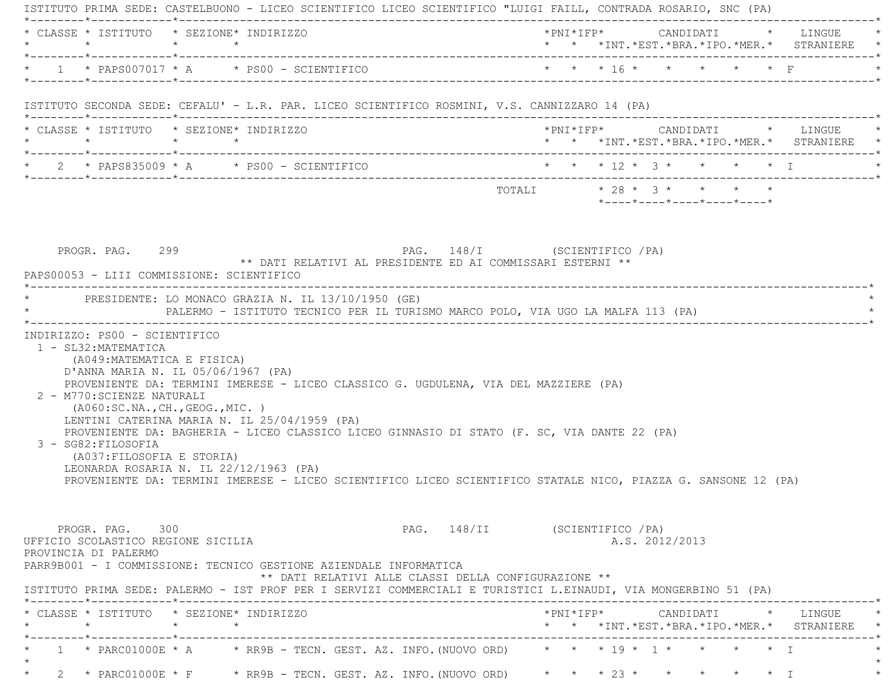| $\star$ |                                                                                 | * CLASSE * ISTITUTO * SEZIONE* INDIRIZZO<br>$\star$ $\star$                                                                                                                                                               | *PNI*IFP* CANDIDATI * LINGUE<br>* * *INT.*EST.*BRA.*IPO.*MER.* STRANIERE *                                                                                          |
|---------|---------------------------------------------------------------------------------|---------------------------------------------------------------------------------------------------------------------------------------------------------------------------------------------------------------------------|---------------------------------------------------------------------------------------------------------------------------------------------------------------------|
|         |                                                                                 | * $1$ * PAPS007017 * A * PS00 - SCIENTIFICO                                                                                                                                                                               | * * * 16 * * * * * * F                                                                                                                                              |
|         |                                                                                 | ISTITUTO SECONDA SEDE: CEFALU' - L.R. PAR. LICEO SCIENTIFICO ROSMINI, V.S. CANNIZZARO 14 (PA)                                                                                                                             |                                                                                                                                                                     |
|         | $\star$                                                                         | * CLASSE * ISTITUTO * SEZIONE* INDIRIZZO<br>$\star$ $\star$                                                                                                                                                               | * * *INT.*EST.*BRA.*IPO.*MER.* STRANIERE *                                                                                                                          |
|         |                                                                                 | $\star$ 2 $\star$ PAPS835009 $\star$ A $\star$ PS00 - SCIENTIFICO                                                                                                                                                         | * * * 12 * 3 * * * * * I                                                                                                                                            |
|         |                                                                                 |                                                                                                                                                                                                                           | *----*----*----*----*----*                                                                                                                                          |
|         |                                                                                 | PAPS00053 - LIII COMMISSIONE: SCIENTIFICO<br>* PRESIDENTE: LO MONACO GRAZIA N. IL 13/10/1950 (GE)<br>PALERMO - ISTITUTO TECNICO PER IL TURISMO MARCO POLO, VIA UGO LA MALFA 113 (PA)                                      |                                                                                                                                                                     |
|         | 1 - SL32: MATEMATICA<br>(A049: MATEMATICA E FISICA)                             | D'ANNA MARIA N. IL 05/06/1967 (PA)<br>PROVENIENTE DA: TERMINI IMERESE - LICEO CLASSICO G. UGDULENA, VIA DEL MAZZIERE (PA)                                                                                                 |                                                                                                                                                                     |
|         | 2 - M770: SCIENZE NATURALI<br>3 - SG82: FILOSOFIA<br>(A037: FILOSOFIA E STORIA) | (AO60:SC.NA., CH., GEOG., MIC. )<br>LENTINI CATERINA MARIA N. IL 25/04/1959 (PA)<br>PROVENIENTE DA: BAGHERIA - LICEO CLASSICO LICEO GINNASIO DI STATO (F. SC, VIA DANTE 22 (PA)<br>LEONARDA ROSARIA N. IL 22/12/1963 (PA) | PROVENIENTE DA: TERMINI IMERESE - LICEO SCIENTIFICO LICEO SCIENTIFICO STATALE NICO, PIAZZA G. SANSONE 12 (PA)                                                       |
|         | PROGR. PAG. 300<br>UFFICIO SCOLASTICO REGIONE SICILIA<br>PROVINCIA DI PALERMO   | PARR9B001 - I COMMISSIONE: TECNICO GESTIONE AZIENDALE INFORMATICA<br>** DATI RELATIVI ALLE CLASSI DELLA CONFIGURAZIONE **                                                                                                 | PAG. 148/II (SCIENTIFICO / PA)<br>A.S. 2012/2013<br>ISTITUTO PRIMA SEDE: PALERMO - IST PROF PER I SERVIZI COMMERCIALI E TURISTICI L.EINAUDI, VIA MONGERBINO 51 (PA) |
|         |                                                                                 | * CLASSE * ISTITUTO * SEZIONE* INDIRIZZO                                                                                                                                                                                  | * * *INT. *EST. *BRA. *IPO. *MER. * STRANIERE *                                                                                                                     |
|         |                                                                                 |                                                                                                                                                                                                                           | 1 * PARC01000E * A * RR9B - TECN. GEST. AZ. INFO. (NUOVO ORD) * * * 19 * 1 * * * * * * I                                                                            |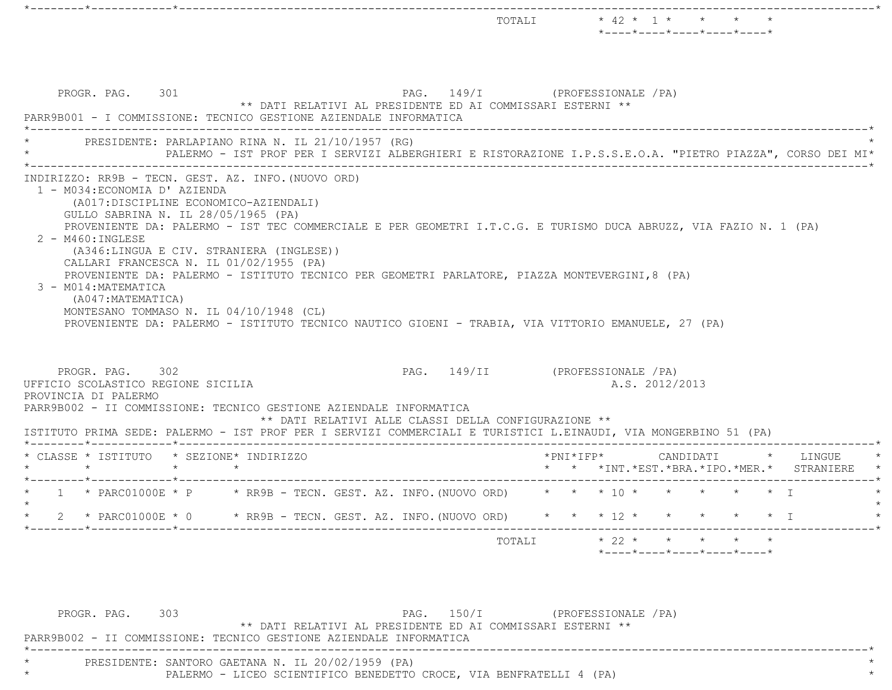|                                                                                                                                                                                                                                                                                                                                                                                                                                                                     |                 |  |                                                                                                           |  |                     |                |           | $*$ - - - - $*$ - - - - $*$ - - - - $*$ - - - - $*$ - - - - $*$ |        |
|---------------------------------------------------------------------------------------------------------------------------------------------------------------------------------------------------------------------------------------------------------------------------------------------------------------------------------------------------------------------------------------------------------------------------------------------------------------------|-----------------|--|-----------------------------------------------------------------------------------------------------------|--|---------------------|----------------|-----------|-----------------------------------------------------------------|--------|
| PROGR. PAG. 301<br>PARR9B001 - I COMMISSIONE: TECNICO GESTIONE AZIENDALE INFORMATICA                                                                                                                                                                                                                                                                                                                                                                                |                 |  | PAG. 149/I (PROFESSIONALE /PA)<br>** DATI RELATIVI AL PRESIDENTE ED AI COMMISSARI ESTERNI **              |  |                     |                |           |                                                                 |        |
| PRESIDENTE: PARLAPIANO RINA N. IL 21/10/1957 (RG)                                                                                                                                                                                                                                                                                                                                                                                                                   |                 |  | PALERMO - IST PROF PER I SERVIZI ALBERGHIERI E RISTORAZIONE I.P.S.S.E.O.A. "PIETRO PIAZZA", CORSO DEI MI* |  |                     |                |           |                                                                 |        |
| (A017:DISCIPLINE ECONOMICO-AZIENDALI)<br>GULLO SABRINA N. IL 28/05/1965 (PA)<br>PROVENIENTE DA: PALERMO - IST TEC COMMERCIALE E PER GEOMETRI I.T.C.G. E TURISMO DUCA ABRUZZ, VIA FAZIO N. 1 (PA)                                                                                                                                                                                                                                                                    |                 |  |                                                                                                           |  |                     |                |           |                                                                 |        |
| $2 - M460: INGLESE$<br>(A346:LINGUA E CIV. STRANIERA (INGLESE))<br>CALLARI FRANCESCA N. IL 01/02/1955 (PA)<br>PROVENIENTE DA: PALERMO - ISTITUTO TECNICO PER GEOMETRI PARLATORE, PIAZZA MONTEVERGINI, 8 (PA)<br>3 - M014: MATEMATICA<br>(A047:MATEMATICA)<br>MONTESANO TOMMASO N. IL 04/10/1948 (CL)<br>PROVENIENTE DA: PALERMO - ISTITUTO TECNICO NAUTICO GIOENI - TRABIA, VIA VITTORIO EMANUELE, 27 (PA)<br>PROGR. PAG. 302<br>UFFICIO SCOLASTICO REGIONE SICILIA |                 |  | PAG. 149/II (PROFESSIONALE / PA)                                                                          |  |                     | A.S. 2012/2013 |           |                                                                 |        |
| PROVINCIA DI PALERMO<br>PARR9B002 - II COMMISSIONE: TECNICO GESTIONE AZIENDALE INFORMATICA<br>ISTITUTO PRIMA SEDE: PALERMO - IST PROF PER I SERVIZI COMMERCIALI E TURISTICI L.EINAUDI, VIA MONGERBINO 51 (PA)                                                                                                                                                                                                                                                       |                 |  | ** DATI RELATIVI ALLE CLASSI DELLA CONFIGURAZIONE **                                                      |  |                     |                |           |                                                                 |        |
| * CLASSE * ISTITUTO * SEZIONE* INDIRIZZO<br>$\star$                                                                                                                                                                                                                                                                                                                                                                                                                 | $\star$ $\star$ |  |                                                                                                           |  | $*$ PNI $*$ IFP $*$ |                | CANDIDATI | * * *INT. *EST. *BRA. *IPO. *MER. * STRANIERE                   | LINGUE |
| 1 * PARC01000E * P * RR9B - TECN. GEST. AZ. INFO. (NUOVO ORD) * * * 10 * * * * * * * I                                                                                                                                                                                                                                                                                                                                                                              |                 |  |                                                                                                           |  |                     |                |           |                                                                 |        |
| 2 * PARC01000E * 0 * RR9B - TECN. GEST. AZ. INFO. (NUOVO ORD) * * * 12 * * * * * * * T<br>$\star$                                                                                                                                                                                                                                                                                                                                                                   |                 |  |                                                                                                           |  |                     |                |           |                                                                 |        |

\*--------\*------------\*-------------------------------------------------------------------------------------------------------\*

PROGR. PAG. 303 PAG. 150/I (PROFESSIONALE /PA) \*\* DATI RELATIVI AL PRESIDENTE ED AI COMMISSARI ESTERNI \*\* PARR9B002 - II COMMISSIONE: TECNICO GESTIONE AZIENDALE INFORMATICA-----------------------------------PRESIDENTE: SANTORO GAETANA N. IL 20/02/1959 (PA) PALERMO - LICEO SCIENTIFICO BENEDETTO CROCE, VIA BENFRATELLI 4 (PA)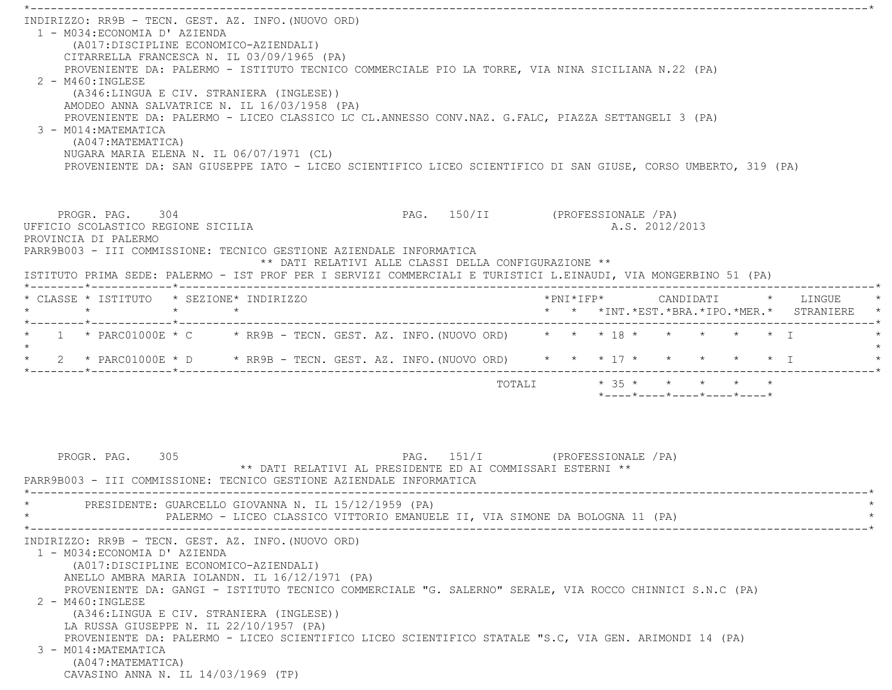\*----------------------------------------------------------------------------------------------------------------------------\* INDIRIZZO: RR9B - TECN. GEST. AZ. INFO.(NUOVO ORD) 1 - M034:ECONOMIA D' AZIENDA (A017:DISCIPLINE ECONOMICO-AZIENDALI) CITARRELLA FRANCESCA N. IL 03/09/1965 (PA) PROVENIENTE DA: PALERMO - ISTITUTO TECNICO COMMERCIALE PIO LA TORRE, VIA NINA SICILIANA N.22 (PA)  $2 - M460 \cdot INGIERSE$  (A346:LINGUA E CIV. STRANIERA (INGLESE)) AMODEO ANNA SALVATRICE N. IL 16/03/1958 (PA) PROVENIENTE DA: PALERMO - LICEO CLASSICO LC CL.ANNESSO CONV.NAZ. G.FALC, PIAZZA SETTANGELI 3 (PA) 3 - M014:MATEMATICA (A047:MATEMATICA) NUGARA MARIA ELENA N. IL 06/07/1971 (CL) PROVENIENTE DA: SAN GIUSEPPE IATO - LICEO SCIENTIFICO LICEO SCIENTIFICO DI SAN GIUSE, CORSO UMBERTO, 319 (PA) PROGR. PAG. 304 PAG. 150/II (PROFESSIONALE /PA) UFFICIO SCOLASTICO REGIONE SICILIA A.S. 2012/2013 PROVINCIA DI PALERMO PARR9B003 - III COMMISSIONE: TECNICO GESTIONE AZIENDALE INFORMATICA \*\* DATI RELATIVI ALLE CLASSI DELLA CONFIGURAZIONE \*\* ISTITUTO PRIMA SEDE: PALERMO - IST PROF PER I SERVIZI COMMERCIALI E TURISTICI L.EINAUDI, VIA MONGERBINO 51 (PA) \*--------\*------------\*-------------------------------------------------------------------------------------------------------\* \* CLASSE \* ISTITUTO \* SEZIONE\* INDIRIZZO \*PNI\*IFP\* CANDIDATI \* LINGUE \* \* \* \* \* \* \* \*INT.\*EST.\*BRA.\*IPO.\*MER.\* STRANIERE \* \*--------\*------------\*-------------------------------------------------------------------------------------------------------\*\* 1 \* PARC01000E \* C \* RR9B - TECN. GEST. AZ. INFO. (NUOVO ORD) \* \* \* 18 \* \* \* \* \* \* \* I  $\star$ \* 2 \* PARC01000E \* D \* RR9B - TECN. GEST. AZ. INFO. (NUOVO ORD) \* \* \* 17 \* \* \* \* \* \* \* T \*--------\*------------\*-------------------------------------------------------------------------------------------------------\* $\texttt{TOTAL} \qquad \qquad \star\quad 35\;\star\qquad \star\qquad \star\qquad \star\qquad \star\qquad \star$  \*----\*----\*----\*----\*----\*PROGR. PAG. 305 PAG. 151/I (PROFESSIONALE /PA) \*\* DATI RELATIVI AL PRESIDENTE ED AI COMMISSARI ESTERNI \*\* PARR9B003 - III COMMISSIONE: TECNICO GESTIONE AZIENDALE INFORMATICA \*----------------------------------------------------------------------------------------------------------------------------\*PRESIDENTE: GUARCELLO GIOVANNA N. IL 15/12/1959 (PA) PALERMO - LICEO CLASSICO VITTORIO EMANUELE II, VIA SIMONE DA BOLOGNA 11 (PA) \*----------------------------------------------------------------------------------------------------------------------------\* INDIRIZZO: RR9B - TECN. GEST. AZ. INFO.(NUOVO ORD) 1 - M034:ECONOMIA D' AZIENDA (A017:DISCIPLINE ECONOMICO-AZIENDALI) ANELLO AMBRA MARIA IOLANDN. IL 16/12/1971 (PA) PROVENIENTE DA: GANGI - ISTITUTO TECNICO COMMERCIALE "G. SALERNO" SERALE, VIA ROCCO CHINNICI S.N.C (PA) 2 - M460:INGLESE (A346:LINGUA E CIV. STRANIERA (INGLESE)) LA RUSSA GIUSEPPE N. IL 22/10/1957 (PA) PROVENIENTE DA: PALERMO - LICEO SCIENTIFICO LICEO SCIENTIFICO STATALE "S.C, VIA GEN. ARIMONDI 14 (PA) 3 - M014:MATEMATICA (A047:MATEMATICA) CAVASINO ANNA N. IL 14/03/1969 (TP)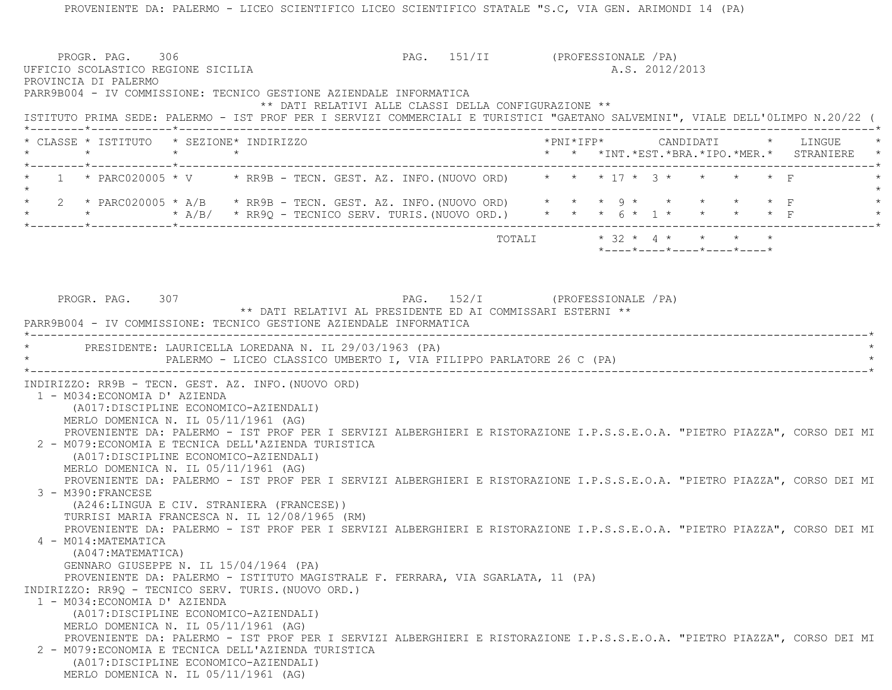|         | PROGR. PAG. 306<br>UFFICIO SCOLASTICO REGIONE SICILIA<br>PROVINCIA DI PALERMO |         |                                                                                                                                                                                                      |                                                      | PAG. 151/II (PROFESSIONALE / PA) |                           |  | A.S. 2012/2013 |                                               |  |  |
|---------|-------------------------------------------------------------------------------|---------|------------------------------------------------------------------------------------------------------------------------------------------------------------------------------------------------------|------------------------------------------------------|----------------------------------|---------------------------|--|----------------|-----------------------------------------------|--|--|
|         |                                                                               |         | PARR9B004 - IV COMMISSIONE: TECNICO GESTIONE AZIENDALE INFORMATICA<br>ISTITUTO PRIMA SEDE: PALERMO - IST PROF PER I SERVIZI COMMERCIALI E TURISTICI "GAETANO SALVEMINI", VIALE DELL'OLIMPO N.20/22 ( | ** DATI RELATIVI ALLE CLASSI DELLA CONFIGURAZIONE ** |                                  |                           |  |                |                                               |  |  |
| $\star$ |                                                                               | $\star$ | * CLASSE * ISTITUTO * SEZIONE* INDIRIZZO<br>$\star$                                                                                                                                                  |                                                      |                                  |                           |  |                | * * *INT. *EST. *BRA. *IPO. *MER. * STRANIERE |  |  |
|         | *--------*------------*--------------                                         |         | 1 * PARC020005 * V * RR9B - TECN. GEST. AZ. INFO. (NUOVO ORD) * * * 17 * 3 * * * * * F                                                                                                               |                                                      |                                  |                           |  |                |                                               |  |  |
|         |                                                                               |         | 2 * PARC020005 * A/B * RR9B - TECN. GEST. AZ. INFO. (NUOVO ORD) * * * 9 * * * * * * * F                                                                                                              |                                                      |                                  |                           |  |                |                                               |  |  |
|         |                                                                               |         |                                                                                                                                                                                                      |                                                      |                                  | TOTALI * 32 * 4 * * * * * |  |                | $*$ ---- $*$ ---- $*$ ---- $*$ ---- $*$       |  |  |
|         |                                                                               |         |                                                                                                                                                                                                      |                                                      |                                  |                           |  |                |                                               |  |  |
|         | PROGR. PAG. 307                                                               |         | ** DATI RELATIVI AL PRESIDENTE ED AI COMMISSARI ESTERNI **                                                                                                                                           |                                                      | PAG. 152/I (PROFESSIONALE /PA)   |                           |  |                |                                               |  |  |
|         |                                                                               |         | PARR9B004 - IV COMMISSIONE: TECNICO GESTIONE AZIENDALE INFORMATICA                                                                                                                                   |                                                      |                                  |                           |  |                |                                               |  |  |
|         |                                                                               |         | * PRESIDENTE: LAURICELLA LOREDANA N. IL 29/03/1963 (PA)                                                                                                                                              |                                                      |                                  |                           |  |                |                                               |  |  |
|         |                                                                               |         | PALERMO - LICEO CLASSICO UMBERTO I, VIA FILIPPO PARLATORE 26 C (PA)                                                                                                                                  |                                                      |                                  |                           |  |                |                                               |  |  |
|         |                                                                               |         | INDIRIZZO: RR9B - TECN. GEST. AZ. INFO. (NUOVO ORD)                                                                                                                                                  |                                                      |                                  |                           |  |                |                                               |  |  |
|         | 1 - M034: ECONOMIA D' AZIENDA                                                 |         | (A017:DISCIPLINE ECONOMICO-AZIENDALI)                                                                                                                                                                |                                                      |                                  |                           |  |                |                                               |  |  |
|         |                                                                               |         | MERLO DOMENICA N. IL 05/11/1961 (AG)                                                                                                                                                                 |                                                      |                                  |                           |  |                |                                               |  |  |
|         |                                                                               |         | PROVENIENTE DA: PALERMO - IST PROF PER I SERVIZI ALBERGHIERI E RISTORAZIONE I.P.S.S.E.O.A. "PIETRO PIAZZA", CORSO DEI MI<br>2 - M079: ECONOMIA E TECNICA DELL'AZIENDA TURISTICA                      |                                                      |                                  |                           |  |                |                                               |  |  |
|         |                                                                               |         | (A017: DISCIPLINE ECONOMICO-AZIENDALI)                                                                                                                                                               |                                                      |                                  |                           |  |                |                                               |  |  |
|         |                                                                               |         | MERLO DOMENICA N. IL 05/11/1961 (AG)                                                                                                                                                                 |                                                      |                                  |                           |  |                |                                               |  |  |
|         | 3 - M390: FRANCESE                                                            |         | PROVENIENTE DA: PALERMO - IST PROF PER I SERVIZI ALBERGHIERI E RISTORAZIONE I.P.S.S.E.O.A. "PIETRO PIAZZA", CORSO DEI MI                                                                             |                                                      |                                  |                           |  |                |                                               |  |  |
|         |                                                                               |         | (A246:LINGUA E CIV. STRANIERA (FRANCESE))                                                                                                                                                            |                                                      |                                  |                           |  |                |                                               |  |  |
|         |                                                                               |         | TURRISI MARIA FRANCESCA N. IL 12/08/1965 (RM)                                                                                                                                                        |                                                      |                                  |                           |  |                |                                               |  |  |
|         | 4 - M014: MATEMATICA                                                          |         | PROVENIENTE DA: PALERMO - IST PROF PER I SERVIZI ALBERGHIERI E RISTORAZIONE I.P.S.S.E.O.A. "PIETRO PIAZZA", CORSO DEI MI                                                                             |                                                      |                                  |                           |  |                |                                               |  |  |
|         | (A047: MATEMATICA)                                                            |         |                                                                                                                                                                                                      |                                                      |                                  |                           |  |                |                                               |  |  |
|         |                                                                               |         | GENNARO GIUSEPPE N. IL 15/04/1964 (PA)                                                                                                                                                               |                                                      |                                  |                           |  |                |                                               |  |  |
|         |                                                                               |         | PROVENIENTE DA: PALERMO - ISTITUTO MAGISTRALE F. FERRARA, VIA SGARLATA, 11 (PA)<br>INDIRIZZO: RR9Q - TECNICO SERV. TURIS. (NUOVO ORD.)                                                               |                                                      |                                  |                           |  |                |                                               |  |  |
|         | 1 - M034: ECONOMIA D' AZIENDA                                                 |         |                                                                                                                                                                                                      |                                                      |                                  |                           |  |                |                                               |  |  |
|         |                                                                               |         | (A017:DISCIPLINE ECONOMICO-AZIENDALI)                                                                                                                                                                |                                                      |                                  |                           |  |                |                                               |  |  |
|         |                                                                               |         | MERLO DOMENICA N. IL 05/11/1961 (AG)                                                                                                                                                                 |                                                      |                                  |                           |  |                |                                               |  |  |
|         |                                                                               |         | PROVENIENTE DA: PALERMO - IST PROF PER I SERVIZI ALBERGHIERI E RISTORAZIONE I.P.S.S.E.O.A. "PIETRO PIAZZA", CORSO DEI MI<br>2 - M079: ECONOMIA E TECNICA DELL'AZIENDA TURISTICA                      |                                                      |                                  |                           |  |                |                                               |  |  |
|         |                                                                               |         | (A017:DISCIPLINE ECONOMICO-AZIENDALI)                                                                                                                                                                |                                                      |                                  |                           |  |                |                                               |  |  |
|         |                                                                               |         | MERLO DOMENICA N. IL 05/11/1961 (AG)                                                                                                                                                                 |                                                      |                                  |                           |  |                |                                               |  |  |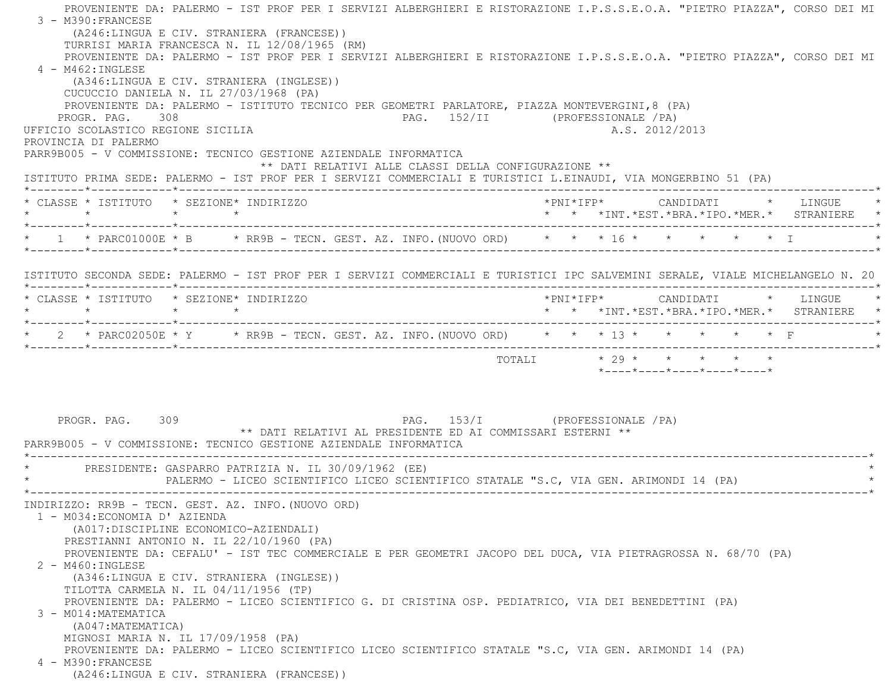PROVENIENTE DA: PALERMO - IST PROF PER I SERVIZI ALBERGHIERI E RISTORAZIONE I.P.S.S.E.O.A. "PIETRO PIAZZA", CORSO DEI MI 3 - M390:FRANCESE (A246:LINGUA E CIV. STRANIERA (FRANCESE)) TURRISI MARIA FRANCESCA N. IL 12/08/1965 (RM) PROVENIENTE DA: PALERMO - IST PROF PER I SERVIZI ALBERGHIERI E RISTORAZIONE I.P.S.S.E.O.A. "PIETRO PIAZZA", CORSO DEI MI 4 - M462:INGLESE (A346:LINGUA E CIV. STRANIERA (INGLESE)) CUCUCCIO DANIELA N. IL 27/03/1968 (PA) PROVENIENTE DA: PALERMO - ISTITUTO TECNICO PER GEOMETRI PARLATORE, PIAZZA MONTEVERGINI,8 (PA) PROGR. PAG. 308 PAG. 252/II (PROFESSIONALE /PA) UFFICIO SCOLASTICO REGIONE SICILIA A.S. 2012/2013 PROVINCIA DI PALERMO PARR9B005 - V COMMISSIONE: TECNICO GESTIONE AZIENDALE INFORMATICA \*\* DATI RELATIVI ALLE CLASSI DELLA CONFIGURAZIONE \*\* ISTITUTO PRIMA SEDE: PALERMO - IST PROF PER I SERVIZI COMMERCIALI E TURISTICI L.EINAUDI, VIA MONGERBINO 51 (PA) \*--------\*------------\*-------------------------------------------------------------------------------------------------------\* \* CLASSE \* ISTITUTO \* SEZIONE\* INDIRIZZO \*PNI\*IFP\* CANDIDATI \* LINGUE \* \* \* \* \* \* \* \*INT.\*EST.\*BRA.\*IPO.\*MER.\* STRANIERE \* \*--------\*------------\*-------------------------------------------------------------------------------------------------------\*\* 1 \* PARC01000E \* B \* RR9B - TECN. GEST. AZ. INFO. (NUOVO ORD) \* \* \* 16 \* \* \* \* \* \* \* \* I \*--------\*------------\*-------------------------------------------------------------------------------------------------------\* ISTITUTO SECONDA SEDE: PALERMO - IST PROF PER I SERVIZI COMMERCIALI E TURISTICI IPC SALVEMINI SERALE, VIALE MICHELANGELO N. 20 \*--------\*------------\*-------------------------------------------------------------------------------------------------------\* \* CLASSE \* ISTITUTO \* SEZIONE\* INDIRIZZO \*PNI\*IFP\* CANDIDATI \* LINGUE \* \* \* \* \* \* \* \*INT.\*EST.\*BRA.\*IPO.\*MER.\* STRANIERE \* \*--------\*------------\*-------------------------------------------------------------------------------------------------------\* \* 2 \* PARC02050E \* Y \* RR9B - TECN. GEST. AZ. INFO.(NUOVO ORD) \* \* \* 13 \* \* \* \* \* F \* \*--------\*------------\*-------------------------------------------------------------------------------------------------------\*TOTALI  $* 29 * * * * * * * * * *$  \*----\*----\*----\*----\*----\* PROGR. PAG. 309 PAG. 153/I (PROFESSIONALE /PA) \*\* DATI RELATIVI AL PRESIDENTE ED AI COMMISSARI ESTERNI \*\* PARR9B005 - V COMMISSIONE: TECNICO GESTIONE AZIENDALE INFORMATICA \*----------------------------------------------------------------------------------------------------------------------------\*PRESIDENTE: GASPARRO PATRIZIA N. IL 30/09/1962 (EE) PALERMO - LICEO SCIENTIFICO LICEO SCIENTIFICO STATALE "S.C, VIA GEN. ARIMONDI 14 (PA) \*----------------------------------------------------------------------------------------------------------------------------\* INDIRIZZO: RR9B - TECN. GEST. AZ. INFO.(NUOVO ORD) 1 - M034:ECONOMIA D' AZIENDA (A017:DISCIPLINE ECONOMICO-AZIENDALI) PRESTIANNI ANTONIO N. IL 22/10/1960 (PA) PROVENIENTE DA: CEFALU' - IST TEC COMMERCIALE E PER GEOMETRI JACOPO DEL DUCA, VIA PIETRAGROSSA N. 68/70 (PA) 2 - M460:INGLESE (A346:LINGUA E CIV. STRANIERA (INGLESE)) TILOTTA CARMELA N. IL 04/11/1956 (TP) PROVENIENTE DA: PALERMO - LICEO SCIENTIFICO G. DI CRISTINA OSP. PEDIATRICO, VIA DEI BENEDETTINI (PA) 3 - M014:MATEMATICA (A047:MATEMATICA) MIGNOSI MARIA N. IL 17/09/1958 (PA) PROVENIENTE DA: PALERMO - LICEO SCIENTIFICO LICEO SCIENTIFICO STATALE "S.C, VIA GEN. ARIMONDI 14 (PA) 4 - M390:FRANCESE(A246:LINGUA E CIV. STRANIERA (FRANCESE))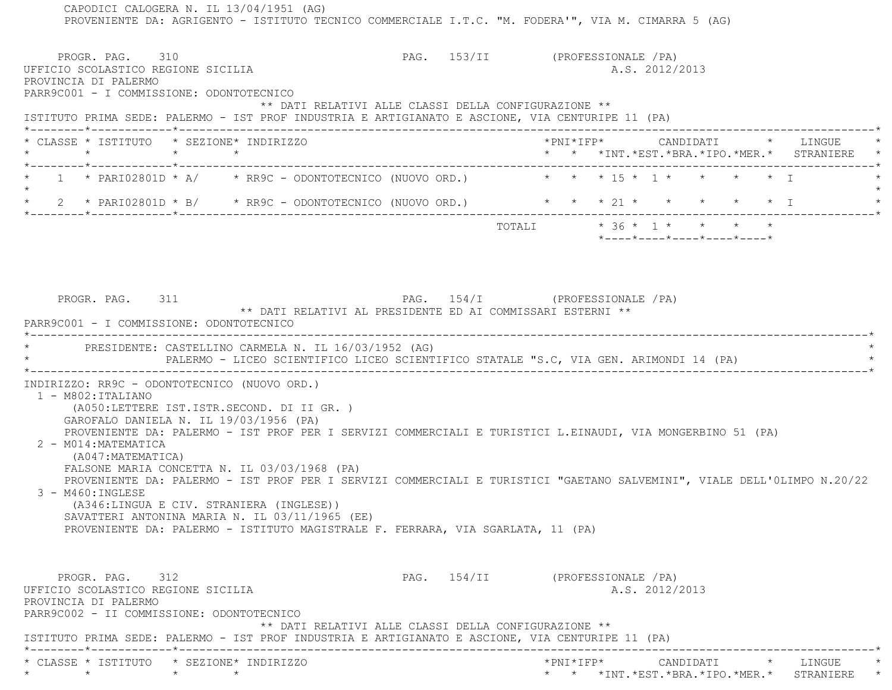CAPODICI CALOGERA N. IL 13/04/1951 (AG) PROVENIENTE DA: AGRIGENTO - ISTITUTO TECNICO COMMERCIALE I.T.C. "M. FODERA'", VIA M. CIMARRA 5 (AG) PROGR. PAG. 310 PAG. 153/II (PROFESSIONALE /PA) UFFICIO SCOLASTICO REGIONE SICILIA A.S. 2012/2013 PROVINCIA DI PALERMO PARR9C001 - I COMMISSIONE: ODONTOTECNICO \*\* DATI RELATIVI ALLE CLASSI DELLA CONFIGURAZIONE \*\* ISTITUTO PRIMA SEDE: PALERMO - IST PROF INDUSTRIA E ARTIGIANATO E ASCIONE, VIA CENTURIPE 11 (PA) \*--------\*------------\*-------------------------------------------------------------------------------------------------------\* \* CLASSE \* ISTITUTO \* SEZIONE\* INDIRIZZO \*PNI\*IFP\* CANDIDATI \* LINGUE \* \* \* \* \* \* \* \*INT.\*EST.\*BRA.\*IPO.\*MER.\* STRANIERE \* \*--------\*------------\*-------------------------------------------------------------------------------------------------------\*1 \* PARI02801D \* A/ \* RR9C - ODONTOTECNICO (NUOVO ORD.) \* \* \* 15 \* 1 \* \* \* \* \* \* T  $\star$  \* 2 \* PARI02801D \* B/ \* RR9C - ODONTOTECNICO (NUOVO ORD.) \* \* \* 21 \* \* \* \* \* I \* \*--------\*------------\*-------------------------------------------------------------------------------------------------------\*TOTALI  $* 36 * 1 * * * * * * *$  \*----\*----\*----\*----\*----\*PROGR. PAG. 311 **PAG.** 254/I (PROFESSIONALE /PA) \*\* DATI RELATIVI AL PRESIDENTE ED AI COMMISSARI ESTERNI \*\* PARR9C001 - I COMMISSIONE: ODONTOTECNICO \*----------------------------------------------------------------------------------------------------------------------------\*PRESIDENTE: CASTELLINO CARMELA N. IL 16/03/1952 (AG) PALERMO - LICEO SCIENTIFICO LICEO SCIENTIFICO STATALE "S.C, VIA GEN. ARIMONDI 14 (PA) \*----------------------------------------------------------------------------------------------------------------------------\* INDIRIZZO: RR9C - ODONTOTECNICO (NUOVO ORD.) 1 - M802:ITALIANO (A050:LETTERE IST.ISTR.SECOND. DI II GR. ) GAROFALO DANIELA N. IL 19/03/1956 (PA) PROVENIENTE DA: PALERMO - IST PROF PER I SERVIZI COMMERCIALI E TURISTICI L.EINAUDI, VIA MONGERBINO 51 (PA) 2 - M014:MATEMATICA (A047:MATEMATICA) FALSONE MARIA CONCETTA N. IL 03/03/1968 (PA) PROVENIENTE DA: PALERMO - IST PROF PER I SERVIZI COMMERCIALI E TURISTICI "GAETANO SALVEMINI", VIALE DELL'0LIMPO N.20/22 3 - M460:INGLESE (A346:LINGUA E CIV. STRANIERA (INGLESE)) SAVATTERI ANTONINA MARIA N. IL 03/11/1965 (EE) PROVENIENTE DA: PALERMO - ISTITUTO MAGISTRALE F. FERRARA, VIA SGARLATA, 11 (PA) PROGR. PAG. 312 **PAG.** 154/II (PROFESSIONALE /PA) UFFICIO SCOLASTICO REGIONE SICILIA A.S. 2012/2013 PROVINCIA DI PALERMO PARR9C002 - II COMMISSIONE: ODONTOTECNICO \*\* DATI RELATIVI ALLE CLASSI DELLA CONFIGURAZIONE \*\* ISTITUTO PRIMA SEDE: PALERMO - IST PROF INDUSTRIA E ARTIGIANATO E ASCIONE, VIA CENTURIPE 11 (PA) \*--------\*------------\*-------------------------------------------------------------------------------------------------------\* \* CLASSE \* ISTITUTO \* SEZIONE\* INDIRIZZO \*PNI\*IFP\* CANDIDATI \* LINGUE \*\* \* \* \* \* \* \*INT.\*EST.\*BRA.\*IPO.\*MER.\* STRANIERE \*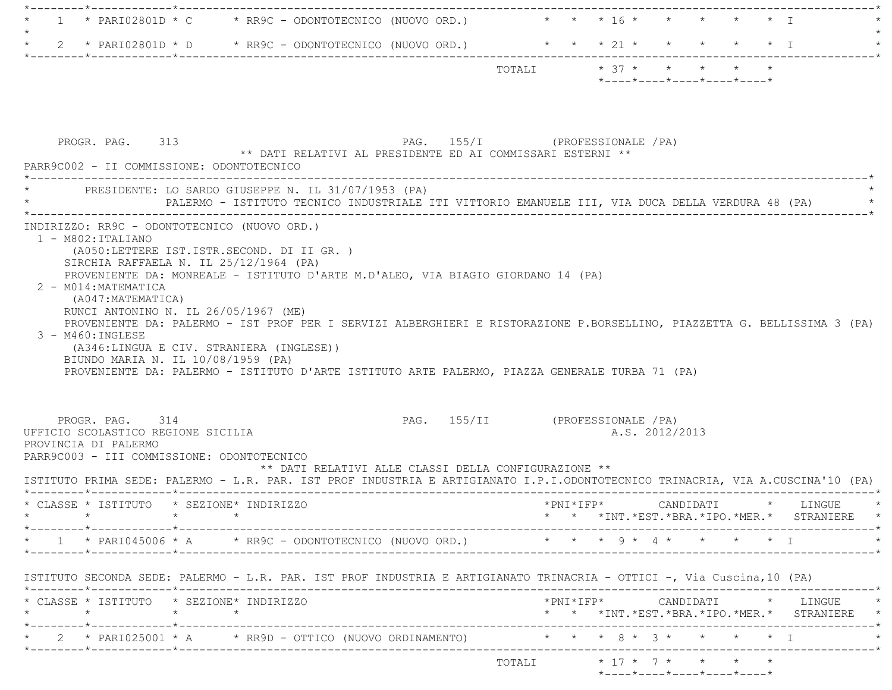|                                                                                    | * PARI02801D * C * RR9C - ODONTOTECNICO (NUOVO ORD.) * * * 16 * * * * * * * I                                            |                                  |                         |  |  |                                                  |  |  |
|------------------------------------------------------------------------------------|--------------------------------------------------------------------------------------------------------------------------|----------------------------------|-------------------------|--|--|--------------------------------------------------|--|--|
|                                                                                    | 2 * PARIO2801D * D * RR9C - ODONTOTECNICO (NUOVO ORD.) * * * 21 * * * * * * * T                                          |                                  |                         |  |  |                                                  |  |  |
|                                                                                    |                                                                                                                          |                                  |                         |  |  |                                                  |  |  |
|                                                                                    |                                                                                                                          |                                  | TOTALI * 37 * * * * * * |  |  | $*$ ---- $*$ ---- $*$ ---- $*$ ---- $*$ ---- $*$ |  |  |
|                                                                                    |                                                                                                                          |                                  |                         |  |  |                                                  |  |  |
|                                                                                    |                                                                                                                          |                                  |                         |  |  |                                                  |  |  |
|                                                                                    |                                                                                                                          |                                  |                         |  |  |                                                  |  |  |
|                                                                                    |                                                                                                                          |                                  |                         |  |  |                                                  |  |  |
| PROGR. PAG. 313                                                                    | ** DATI RELATIVI AL PRESIDENTE ED AI COMMISSARI ESTERNI **                                                               | PAG. 155/I (PROFESSIONALE / PA)  |                         |  |  |                                                  |  |  |
| PARR9C002 - II COMMISSIONE: ODONTOTECNICO                                          |                                                                                                                          |                                  |                         |  |  |                                                  |  |  |
| *------------------                                                                |                                                                                                                          |                                  |                         |  |  |                                                  |  |  |
|                                                                                    | PRESIDENTE: LO SARDO GIUSEPPE N. IL 31/07/1953 (PA)                                                                      |                                  |                         |  |  |                                                  |  |  |
|                                                                                    |                                                                                                                          |                                  |                         |  |  |                                                  |  |  |
|                                                                                    | PALERMO - ISTITUTO TECNICO INDUSTRIALE ITI VITTORIO EMANUELE III, VIA DUCA DELLA VERDURA 48 (PA)                         |                                  |                         |  |  |                                                  |  |  |
|                                                                                    |                                                                                                                          |                                  |                         |  |  |                                                  |  |  |
|                                                                                    |                                                                                                                          |                                  |                         |  |  |                                                  |  |  |
| 1 - M802: ITALIANO                                                                 |                                                                                                                          |                                  |                         |  |  |                                                  |  |  |
|                                                                                    | (A050:LETTERE IST.ISTR.SECOND. DI II GR. )                                                                               |                                  |                         |  |  |                                                  |  |  |
| SIRCHIA RAFFAELA N. IL 25/12/1964 (PA)                                             |                                                                                                                          |                                  |                         |  |  |                                                  |  |  |
|                                                                                    | PROVENIENTE DA: MONREALE - ISTITUTO D'ARTE M.D'ALEO, VIA BIAGIO GIORDANO 14 (PA)                                         |                                  |                         |  |  |                                                  |  |  |
| 2 - M014: MATEMATICA                                                               |                                                                                                                          |                                  |                         |  |  |                                                  |  |  |
| (A047: MATEMATICA)                                                                 |                                                                                                                          |                                  |                         |  |  |                                                  |  |  |
| RUNCI ANTONINO N. IL 26/05/1967 (ME)                                               |                                                                                                                          |                                  |                         |  |  |                                                  |  |  |
| 3 - M460: INGLESE                                                                  | PROVENIENTE DA: PALERMO - IST PROF PER I SERVIZI ALBERGHIERI E RISTORAZIONE P.BORSELLINO, PIAZZETTA G. BELLISSIMA 3 (PA) |                                  |                         |  |  |                                                  |  |  |
| (A346:LINGUA E CIV. STRANIERA (INGLESE))                                           |                                                                                                                          |                                  |                         |  |  |                                                  |  |  |
| INDIRIZZO: RR9C - ODONTOTECNICO (NUOVO ORD.)<br>BIUNDO MARIA N. IL 10/08/1959 (PA) |                                                                                                                          |                                  |                         |  |  |                                                  |  |  |
|                                                                                    | PROVENIENTE DA: PALERMO - ISTITUTO D'ARTE ISTITUTO ARTE PALERMO, PIAZZA GENERALE TURBA 71 (PA)                           |                                  |                         |  |  |                                                  |  |  |
|                                                                                    |                                                                                                                          |                                  |                         |  |  |                                                  |  |  |
|                                                                                    |                                                                                                                          |                                  |                         |  |  |                                                  |  |  |
| PROGR. PAG. 314                                                                    |                                                                                                                          | PAG. 155/II (PROFESSIONALE / PA) |                         |  |  |                                                  |  |  |

 PROVINCIA DI PALERMO PARR9C003 - III COMMISSIONE: ODONTOTECNICO

UFFICIO SCOLASTICO REGIONE SICILIA A.S. 2012/2013

 \*\* DATI RELATIVI ALLE CLASSI DELLA CONFIGURAZIONE \*\* ISTITUTO PRIMA SEDE: PALERMO - L.R. PAR. IST PROF INDUSTRIA E ARTIGIANATO I.P.I.ODONTOTECNICO TRINACRIA, VIA A.CUSCINA'10 (PA) \*--------\*------------\*-------------------------------------------------------------------------------------------------------\* \* CLASSE \* ISTITUTO \* SEZIONE\* INDIRIZZO \*PNI\*IFP\* CANDIDATI \* LINGUE \* \* CLASSE \* ISTITUTO \* SEZIONE\* INDIRIZZO \* \*

| <b>-</b> | RANG<br>. | ORD.)<br>LNITOVZC |  |  | $\star$ $\star$ | $\star$ |  |
|----------|-----------|-------------------|--|--|-----------------|---------|--|
|          |           |                   |  |  |                 |         |  |

ISTITUTO SECONDA SEDE: PALERMO - L.R. PAR. IST PROF INDUSTRIA E ARTIGIANATO TRINACRIA - OTTICI -, Via Cuscina,10 (PA)

|  | * CLASSE * ISTITUTO * SEZIONE* INDIRIZZO |  |                                                                                  |  |                                                                                                    | ∗PNT*TFP* |  |  | CANDIDATI                                                       |  | LINGUE                                   | $\star$ |
|--|------------------------------------------|--|----------------------------------------------------------------------------------|--|----------------------------------------------------------------------------------------------------|-----------|--|--|-----------------------------------------------------------------|--|------------------------------------------|---------|
|  |                                          |  |                                                                                  |  |                                                                                                    |           |  |  |                                                                 |  | * * *INT.*EST.*BRA.*IPO.*MER.* STRANIERE | $\star$ |
|  |                                          |  | $\star$ 2 $\star$ PARI025001 $\star$ A $\star$ RR9D - OTTICO (NUOVO ORDINAMENTO) |  | $\star$ $\star$ $\star$ $\circ$ $\circ$ $\star$ $\star$ $\star$ $\star$ $\star$ $\star$ $\uparrow$ |           |  |  |                                                                 |  |                                          |         |
|  |                                          |  |                                                                                  |  | TOTALI                                                                                             |           |  |  | $\star$ 17 $\star$ 7 $\star$ $\star$ $\star$ $\star$            |  |                                          |         |
|  |                                          |  |                                                                                  |  |                                                                                                    |           |  |  | $*$ - - - - $*$ - - - - $*$ - - - - $*$ - - - - $*$ - - - - $*$ |  |                                          |         |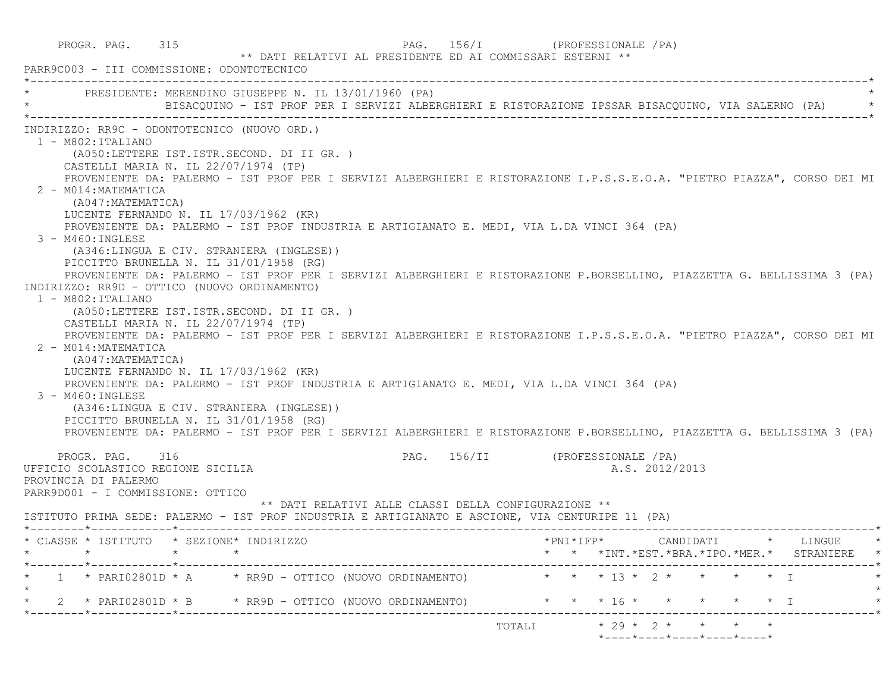PROGR. PAG. 315 PAG. 156/I (PROFESSIONALE /PA) \*\* DATI RELATIVI AL PRESIDENTE ED AI COMMISSARI ESTERNI \*\* PARR9C003 - III COMMISSIONE: ODONTOTECNICO \*----------------------------------------------------------------------------------------------------------------------------\*PRESIDENTE: MERENDINO GIUSEPPE N. IL 13/01/1960 (PA) \* BISACQUINO - IST PROF PER I SERVIZI ALBERGHIERI E RISTORAZIONE IPSSAR BISACQUINO, VIA SALERNO (PA) \* \*----------------------------------------------------------------------------------------------------------------------------\* INDIRIZZO: RR9C - ODONTOTECNICO (NUOVO ORD.) 1 - M802:ITALIANO (A050:LETTERE IST.ISTR.SECOND. DI II GR. ) CASTELLI MARIA N. IL 22/07/1974 (TP) PROVENIENTE DA: PALERMO - IST PROF PER I SERVIZI ALBERGHIERI E RISTORAZIONE I.P.S.S.E.O.A. "PIETRO PIAZZA", CORSO DEI MI 2 - M014:MATEMATICA (A047:MATEMATICA) LUCENTE FERNANDO N. IL 17/03/1962 (KR) PROVENIENTE DA: PALERMO - IST PROF INDUSTRIA E ARTIGIANATO E. MEDI, VIA L.DA VINCI 364 (PA) 3 - M460:INGLESE (A346:LINGUA E CIV. STRANIERA (INGLESE)) PICCITTO BRUNELLA N. IL 31/01/1958 (RG) PROVENIENTE DA: PALERMO - IST PROF PER I SERVIZI ALBERGHIERI E RISTORAZIONE P.BORSELLINO, PIAZZETTA G. BELLISSIMA 3 (PA) INDIRIZZO: RR9D - OTTICO (NUOVO ORDINAMENTO) 1 - M802:ITALIANO (A050:LETTERE IST.ISTR.SECOND. DI II GR. ) CASTELLI MARIA N. IL 22/07/1974 (TP) PROVENIENTE DA: PALERMO - IST PROF PER I SERVIZI ALBERGHIERI E RISTORAZIONE I.P.S.S.E.O.A. "PIETRO PIAZZA", CORSO DEI MI 2 - M014:MATEMATICA (A047:MATEMATICA) LUCENTE FERNANDO N. IL 17/03/1962 (KR) PROVENIENTE DA: PALERMO - IST PROF INDUSTRIA E ARTIGIANATO E. MEDI, VIA L.DA VINCI 364 (PA)  $3 - M460$ : INGLESE (A346:LINGUA E CIV. STRANIERA (INGLESE)) PICCITTO BRUNELLA N. IL 31/01/1958 (RG) PROVENIENTE DA: PALERMO - IST PROF PER I SERVIZI ALBERGHIERI E RISTORAZIONE P.BORSELLINO, PIAZZETTA G. BELLISSIMA 3 (PA) PROGR. PAG. 316 PAG. 156/II (PROFESSIONALE /PA) UFFICIO SCOLASTICO REGIONE SICILIA A.S. 2012/2013 PROVINCIA DI PALERMO PARR9D001 - I COMMISSIONE: OTTICO \*\* DATI RELATIVI ALLE CLASSI DELLA CONFIGURAZIONE \*\* ISTITUTO PRIMA SEDE: PALERMO - IST PROF INDUSTRIA E ARTIGIANATO E ASCIONE, VIA CENTURIPE 11 (PA) \*--------\*------------\*-------------------------------------------------------------------------------------------------------\* \* CLASSE \* ISTITUTO \* SEZIONE\* INDIRIZZO \*PNI\*IFP\* CANDIDATI \* LINGUE \* \* \* \* \* \* \* \*INT.\*EST.\*BRA.\*IPO.\*MER.\* STRANIERE \* \*--------\*------------\*-------------------------------------------------------------------------------------------------------\* $1$  \* PARI02801D \* A  $\qquad$  \* RR9D - OTTICO (NUOVO ORDINAMENTO)  $\qquad$  \* \* \* 13 \* 2 \* \* \* \* \* I  $\star$ \* 2 \* PARI02801D \* B \* RR9D - OTTICO (NUOVO ORDINAMENTO) \* \* \* \* 16 \* \* \* \* \* \* \* I \*--------\*------------\*-------------------------------------------------------------------------------------------------------\*TOTALI  $\star$  29  $\star$  2  $\star$   $\star$   $\star$   $\star$  $*$ ---- $*$ ---- $*$ ---- $*$ ---- $*$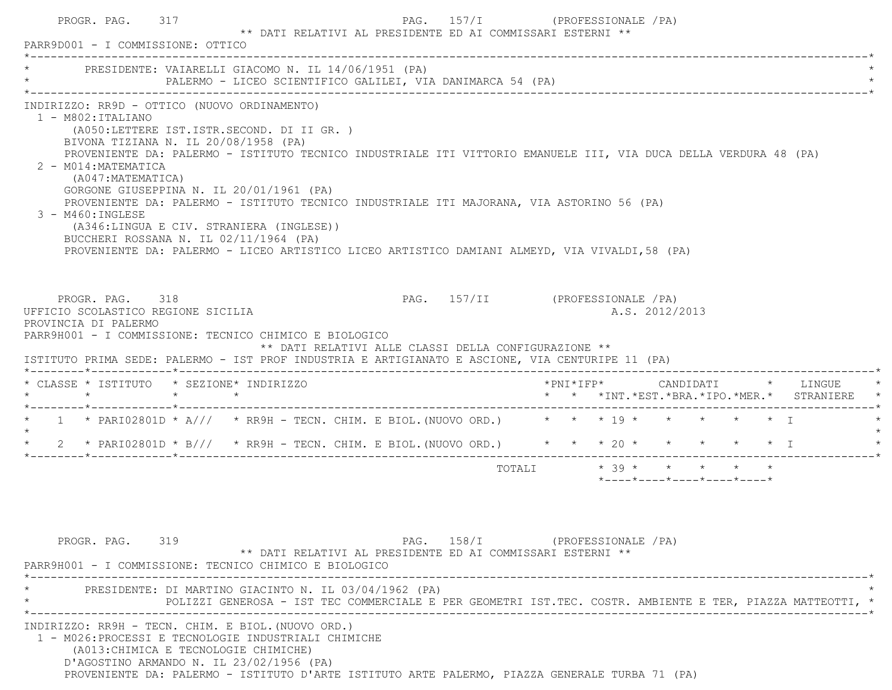| * PRESIDENTE: VAIARELLI GIACOMO N. IL 14/06/1951 (PA)                                                                                    |                                      |                                                                                                                                                                              | PALERMO - LICEO SCIENTIFICO GALILEI, VIA DANIMARCA 54 (PA)                                                                                                                                                                                                                                                      |                                  |  |                                                                             |  |                                          |
|------------------------------------------------------------------------------------------------------------------------------------------|--------------------------------------|------------------------------------------------------------------------------------------------------------------------------------------------------------------------------|-----------------------------------------------------------------------------------------------------------------------------------------------------------------------------------------------------------------------------------------------------------------------------------------------------------------|----------------------------------|--|-----------------------------------------------------------------------------|--|------------------------------------------|
| INDIRIZZO: RR9D - OTTICO (NUOVO ORDINAMENTO)<br>$1 - M802 : ITALIANO$<br>2 - M014: MATEMATICA<br>(A047: MATEMATICA)<br>3 - M460: INGLESE | BIVONA TIZIANA N. IL 20/08/1958 (PA) | (A050;LETTERE IST.ISTR.SECOND. DI II GR. )<br>GORGONE GIUSEPPINA N. IL 20/01/1961 (PA)<br>(A346:LINGUA E CIV. STRANIERA (INGLESE))<br>BUCCHERI ROSSANA N. IL 02/11/1964 (PA) | PROVENIENTE DA: PALERMO - ISTITUTO TECNICO INDUSTRIALE ITI VITTORIO EMANUELE III, VIA DUCA DELLA VERDURA 48 (PA)<br>PROVENIENTE DA: PALERMO - ISTITUTO TECNICO INDUSTRIALE ITI MAJORANA, VIA ASTORINO 56 (PA)<br>PROVENIENTE DA: PALERMO - LICEO ARTISTICO LICEO ARTISTICO DAMIANI ALMEYD, VIA VIVALDI, 58 (PA) |                                  |  |                                                                             |  |                                          |
| PROGR. PAG. 318<br>UFFICIO SCOLASTICO REGIONE SICILIA<br>PROVINCIA DI PALERMO<br>PARR9H001 - I COMMISSIONE: TECNICO CHIMICO E BIOLOGICO  |                                      |                                                                                                                                                                              | ** DATI RELATIVI ALLE CLASSI DELLA CONFIGURAZIONE **<br>ISTITUTO PRIMA SEDE: PALERMO - IST PROF INDUSTRIA E ARTIGIANATO E ASCIONE, VIA CENTURIPE 11 (PA)                                                                                                                                                        | PAG. 157/II (PROFESSIONALE / PA) |  | A.S. 2012/2013                                                              |  |                                          |
|                                                                                                                                          |                                      |                                                                                                                                                                              |                                                                                                                                                                                                                                                                                                                 |                                  |  |                                                                             |  |                                          |
|                                                                                                                                          |                                      |                                                                                                                                                                              |                                                                                                                                                                                                                                                                                                                 |                                  |  |                                                                             |  | * * *INT.*EST.*BRA.*IPO.*MER.* STRANIERE |
|                                                                                                                                          |                                      |                                                                                                                                                                              | * 1 * PARIO2801D * A/// * RR9H - TECN. CHIM. E BIOL. (NUOVO ORD.) * * * 19 * * * * * * * I                                                                                                                                                                                                                      |                                  |  |                                                                             |  |                                          |
|                                                                                                                                          |                                      |                                                                                                                                                                              | 2 * PARI02801D * B/// * RR9H - TECN. CHIM. E BIOL. (NUOVO ORD.) * * * 20 * * * * * * * T                                                                                                                                                                                                                        |                                  |  |                                                                             |  |                                          |
| * CLASSE * ISTITUTO * SEZIONE* INDIRIZZO                                                                                                 |                                      |                                                                                                                                                                              |                                                                                                                                                                                                                                                                                                                 |                                  |  | TOTALI * 39 * * * * * *<br>$*$ ---- $*$ ---- $*$ ---- $*$ ---- $*$ ---- $*$ |  |                                          |
| $\star$<br>$\star$<br>PROGR. PAG. 319<br>PARR9H001 - I COMMISSIONE: TECNICO CHIMICO E BIOLOGICO                                          |                                      |                                                                                                                                                                              | ** DATI RELATIVI AL PRESIDENTE ED AI COMMISSARI ESTERNI **                                                                                                                                                                                                                                                      | PAG. 158/I (PROFESSIONALE /PA)   |  |                                                                             |  |                                          |
|                                                                                                                                          |                                      |                                                                                                                                                                              | PRESIDENTE: DI MARTINO GIACINTO N. IL 03/04/1962 (PA)<br>POLIZZI GENEROSA - IST TEC COMMERCIALE E PER GEOMETRI IST.TEC. COSTR. AMBIENTE E TER, PIAZZA MATTEOTTI, *                                                                                                                                              |                                  |  |                                                                             |  |                                          |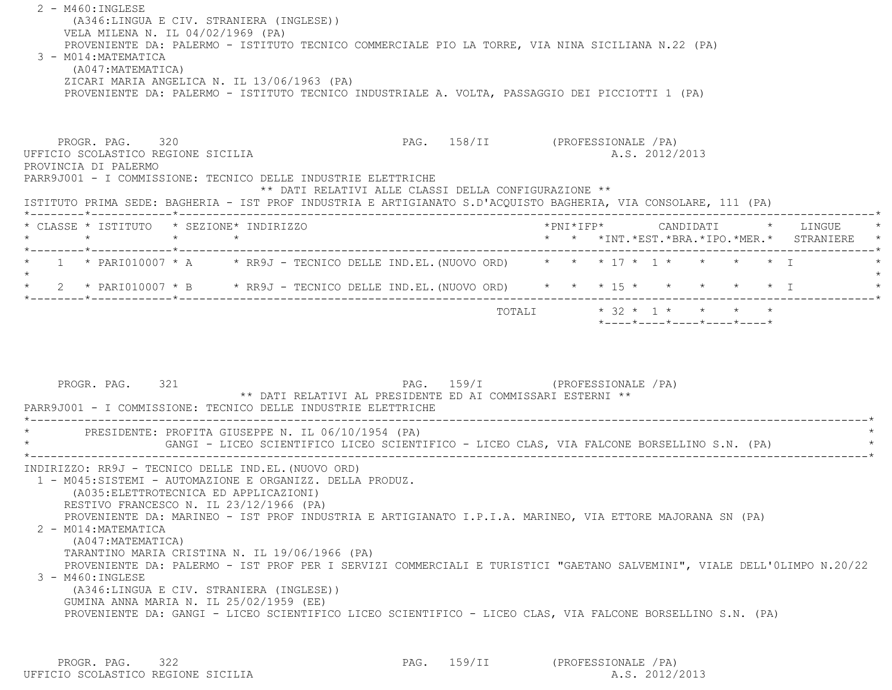2 - M460:INGLESE (A346:LINGUA E CIV. STRANIERA (INGLESE)) VELA MILENA N. IL 04/02/1969 (PA) PROVENIENTE DA: PALERMO - ISTITUTO TECNICO COMMERCIALE PIO LA TORRE, VIA NINA SICILIANA N.22 (PA) 3 - M014:MATEMATICA (A047:MATEMATICA) ZICARI MARIA ANGELICA N. IL 13/06/1963 (PA) PROVENIENTE DA: PALERMO - ISTITUTO TECNICO INDUSTRIALE A. VOLTA, PASSAGGIO DEI PICCIOTTI 1 (PA) PROGR. PAG. 320 PAG. 158/II (PROFESSIONALE /PA) UFFICIO SCOLASTICO REGIONE SICILIA A.S. 2012/2013

 PROVINCIA DI PALERMO PARR9J001 - I COMMISSIONE: TECNICO DELLE INDUSTRIE ELETTRICHE \*\* DATI RELATIVI ALLE CLASSI DELLA CONFIGURAZIONE \*\* ISTITUTO PRIMA SEDE: BAGHERIA - IST PROF INDUSTRIA E ARTIGIANATO S.D'ACQUISTO BAGHERIA, VIA CONSOLARE, 111 (PA) \*--------\*------------\*-------------------------------------------------------------------------------------------------------\* \* CLASSE \* ISTITUTO \* SEZIONE\* INDIRIZZO \*PNI\*IFP\* CANDIDATI \* LINGUE \* \* \* \* \* \* \* \*INT.\*EST.\*BRA.\*IPO.\*MER.\* STRANIERE \* \*--------\*------------\*-------------------------------------------------------------------------------------------------------\*\* 1 \* PARI010007 \* A \* RR9J - TECNICO DELLE IND.EL. (NUOVO ORD) \* \* \* 17 \* 1 \* \* \* \* \* I  $\star$  \* 2 \* PARI010007 \* B \* RR9J - TECNICO DELLE IND.EL.(NUOVO ORD) \* \* \* 15 \* \* \* \* \* I \* \*--------\*------------\*-------------------------------------------------------------------------------------------------------\*

> TOTALI \* 32 \* 1 \* \* \* \* \* \*----\*----\*----\*----\*----\*

PROGR. PAG. 321 CPROFESSIONALE (PA) \*\* DATI RELATIVI AL PRESIDENTE ED AI COMMISSARI ESTERNI \*\* PARR9J001 - I COMMISSIONE: TECNICO DELLE INDUSTRIE ELETTRICHE \*----------------------------------------------------------------------------------------------------------------------------\*PRESIDENTE: PROFITA GIUSEPPE N. IL 06/10/1954 (PA) GANGI - LICEO SCIENTIFICO LICEO SCIENTIFICO - LICEO CLAS, VIA FALCONE BORSELLINO S.N. (PA) \*----------------------------------------------------------------------------------------------------------------------------\* INDIRIZZO: RR9J - TECNICO DELLE IND.EL.(NUOVO ORD) 1 - M045:SISTEMI - AUTOMAZIONE E ORGANIZZ. DELLA PRODUZ. (A035:ELETTROTECNICA ED APPLICAZIONI) RESTIVO FRANCESCO N. IL 23/12/1966 (PA) PROVENIENTE DA: MARINEO - IST PROF INDUSTRIA E ARTIGIANATO I.P.I.A. MARINEO, VIA ETTORE MAJORANA SN (PA) 2 - M014:MATEMATICA (A047:MATEMATICA) TARANTINO MARIA CRISTINA N. IL 19/06/1966 (PA) PROVENIENTE DA: PALERMO - IST PROF PER I SERVIZI COMMERCIALI E TURISTICI "GAETANO SALVEMINI", VIALE DELL'0LIMPO N.20/22 3 - M460:INGLESE (A346:LINGUA E CIV. STRANIERA (INGLESE)) GUMINA ANNA MARIA N. IL 25/02/1959 (EE) PROVENIENTE DA: GANGI - LICEO SCIENTIFICO LICEO SCIENTIFICO - LICEO CLAS, VIA FALCONE BORSELLINO S.N. (PA)

PROGR. PAG. 322 PAG. 159/II (PROFESSIONALE /PA) UFFICIO SCOLASTICO REGIONE SICILIA A.S. 2012/2013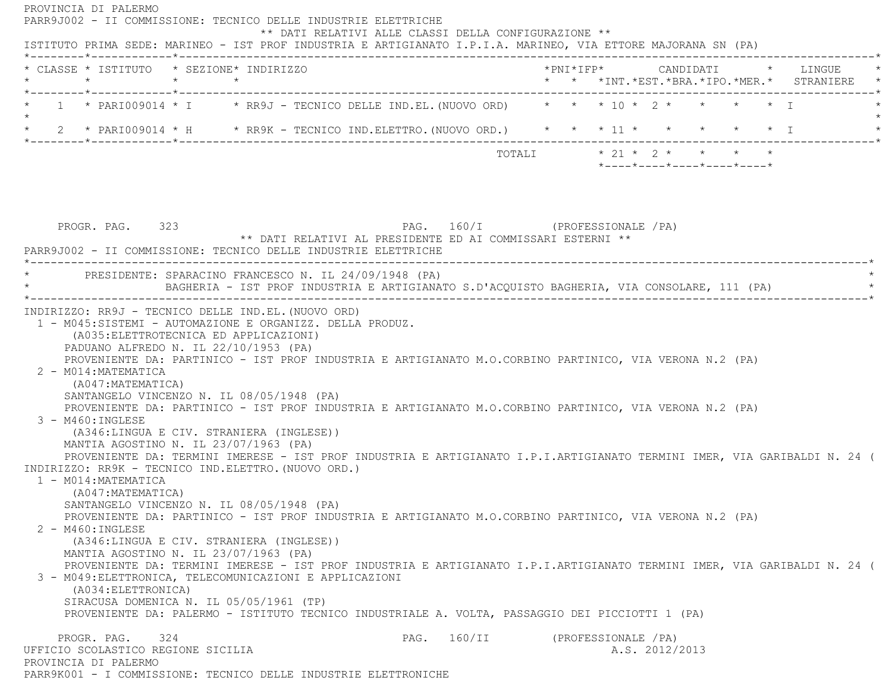PROVINCIA DI PALERMO PARR9J002 - II COMMISSIONE: TECNICO DELLE INDUSTRIE ELETTRICHE \*\* DATI RELATIVI ALLE CLASSI DELLA CONFIGURAZIONE \*\* ISTITUTO PRIMA SEDE: MARINEO - IST PROF INDUSTRIA E ARTIGIANATO I.P.I.A. MARINEO, VIA ETTORE MAJORANA SN (PA) \*--------\*------------\*-------------------------------------------------------------------------------------------------------\* \* CLASSE \* ISTITUTO \* SEZIONE\* INDIRIZZO \*PNI\*IFP\* CANDIDATI \* LINGUE \* \* \* \* \* \* \* \*INT.\*EST.\*BRA.\*IPO.\*MER.\* STRANIERE \* \*--------\*------------\*-------------------------------------------------------------------------------------------------------\*1 \* PARI009014 \* I \* RR9J - TECNICO DELLE IND.EL. (NUOVO ORD) \* \* \* 10 \* 2 \* \* \* \* \* \* I  $\star$ \* 2 \* PARI009014 \* H \* RR9K - TECNICO IND.ELETTRO.(NUOVO ORD.) \* \* \* 11 \* \* \* \* \* \* \* I \*--------\*------------\*-------------------------------------------------------------------------------------------------------\* $\texttt{TOTAL} \qquad \qquad \star \quad 21 \; \star \quad 2 \; \star \qquad \star \qquad \star \qquad \star \qquad \star$  \*----\*----\*----\*----\*----\*PROGR. PAG. 323 PAG. 160/I (PROFESSIONALE /PA) \*\* DATI RELATIVI AL PRESIDENTE ED AI COMMISSARI ESTERNI \*\* PARR9J002 - II COMMISSIONE: TECNICO DELLE INDUSTRIE ELETTRICHE \*----------------------------------------------------------------------------------------------------------------------------\*PRESIDENTE: SPARACINO FRANCESCO N. IL 24/09/1948 (PA) \* BAGHERIA - IST PROF INDUSTRIA E ARTIGIANATO S.D'ACQUISTO BAGHERIA, VIA CONSOLARE, 111 (PA) \* \*----------------------------------------------------------------------------------------------------------------------------\* INDIRIZZO: RR9J - TECNICO DELLE IND.EL.(NUOVO ORD) 1 - M045:SISTEMI - AUTOMAZIONE E ORGANIZZ. DELLA PRODUZ. (A035:ELETTROTECNICA ED APPLICAZIONI) PADUANO ALFREDO N. IL 22/10/1953 (PA) PROVENIENTE DA: PARTINICO - IST PROF INDUSTRIA E ARTIGIANATO M.O.CORBINO PARTINICO, VIA VERONA N.2 (PA) 2 - M014:MATEMATICA (A047:MATEMATICA) SANTANGELO VINCENZO N. IL 08/05/1948 (PA) PROVENIENTE DA: PARTINICO - IST PROF INDUSTRIA E ARTIGIANATO M.O.CORBINO PARTINICO, VIA VERONA N.2 (PA) 3 - M460:INGLESE (A346:LINGUA E CIV. STRANIERA (INGLESE)) MANTIA AGOSTINO N. IL 23/07/1963 (PA) PROVENIENTE DA: TERMINI IMERESE - IST PROF INDUSTRIA E ARTIGIANATO I.P.I.ARTIGIANATO TERMINI IMER, VIA GARIBALDI N. 24 ( INDIRIZZO: RR9K - TECNICO IND.ELETTRO.(NUOVO ORD.) 1 - M014:MATEMATICA (A047:MATEMATICA) SANTANGELO VINCENZO N. IL 08/05/1948 (PA) PROVENIENTE DA: PARTINICO - IST PROF INDUSTRIA E ARTIGIANATO M.O.CORBINO PARTINICO, VIA VERONA N.2 (PA) 2 - M460:INGLESE (A346:LINGUA E CIV. STRANIERA (INGLESE)) MANTIA AGOSTINO N. IL 23/07/1963 (PA) PROVENIENTE DA: TERMINI IMERESE - IST PROF INDUSTRIA E ARTIGIANATO I.P.I.ARTIGIANATO TERMINI IMER, VIA GARIBALDI N. 24 ( 3 - M049:ELETTRONICA, TELECOMUNICAZIONI E APPLICAZIONI (A034:ELETTRONICA) SIRACUSA DOMENICA N. IL 05/05/1961 (TP) PROVENIENTE DA: PALERMO - ISTITUTO TECNICO INDUSTRIALE A. VOLTA, PASSAGGIO DEI PICCIOTTI 1 (PA) PROGR. PAG. 324 Services and PAG. 160/II (PROFESSIONALE /PA) UFFICIO SCOLASTICO REGIONE SICILIA A.S. 2012/2013 PROVINCIA DI PALERMOPARR9K001 - I COMMISSIONE: TECNICO DELLE INDUSTRIE ELETTRONICHE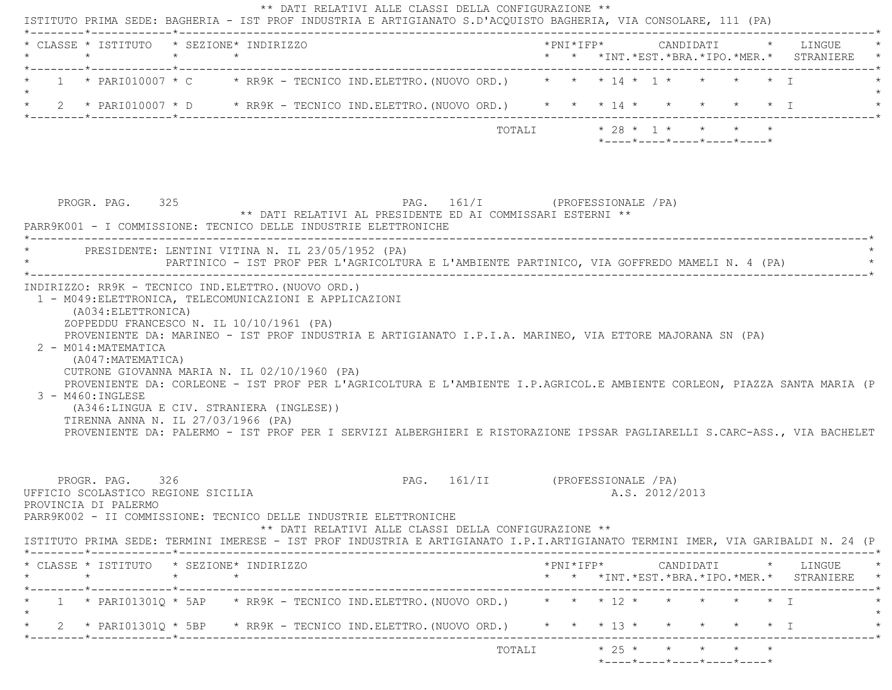| * CLASSE * ISTITUTO * SEZIONE* INDIRIZZO<br>$\star$                                                                                                                                                                                                                                                                                                                                                                                  | $\star$ $\star$ |                                                                                              |                                                      |                                  |        |  |  |                |                                                                                                                         |                   | * * *INT.*EST.*BRA.*IPO.*MER.* STRANIERE   |
|--------------------------------------------------------------------------------------------------------------------------------------------------------------------------------------------------------------------------------------------------------------------------------------------------------------------------------------------------------------------------------------------------------------------------------------|-----------------|----------------------------------------------------------------------------------------------|------------------------------------------------------|----------------------------------|--------|--|--|----------------|-------------------------------------------------------------------------------------------------------------------------|-------------------|--------------------------------------------|
| 1 * PARI010007 * C * RR9K - TECNICO IND.ELETTRO.(NUOVO ORD.) * * * 14 * 1 * *                                                                                                                                                                                                                                                                                                                                                        |                 |                                                                                              |                                                      |                                  |        |  |  |                |                                                                                                                         | $\star$ $\star$ T |                                            |
| 2 * PARI010007 * D * RR9K - TECNICO IND.ELETTRO. (NUOVO ORD.) * * * 14 * * * * * * * * T                                                                                                                                                                                                                                                                                                                                             |                 |                                                                                              |                                                      |                                  |        |  |  |                |                                                                                                                         |                   |                                            |
|                                                                                                                                                                                                                                                                                                                                                                                                                                      |                 |                                                                                              |                                                      |                                  | TOTALI |  |  |                | $\star$ 28 $\star$ 1 $\star$ $\star$ $\star$ $\star$<br>$*$ - - - - $*$ - - - - $*$ - - - - $*$ - - - - $*$ - - - - $*$ |                   |                                            |
| PROGR. PAG. 325                                                                                                                                                                                                                                                                                                                                                                                                                      |                 | ** DATI RELATIVI AL PRESIDENTE ED AI COMMISSARI ESTERNI **                                   | PAG. 161/I (PROFESSIONALE / PA)                      |                                  |        |  |  |                |                                                                                                                         |                   |                                            |
| PARR9K001 - I COMMISSIONE: TECNICO DELLE INDUSTRIE ELETTRONICHE                                                                                                                                                                                                                                                                                                                                                                      |                 |                                                                                              |                                                      |                                  |        |  |  |                |                                                                                                                         |                   |                                            |
| PRESIDENTE: LENTINI VITINA N. IL 23/05/1952 (PA)                                                                                                                                                                                                                                                                                                                                                                                     |                 | PARTINICO - IST PROF PER L'AGRICOLTURA E L'AMBIENTE PARTINICO, VIA GOFFREDO MAMELI N. 4 (PA) |                                                      |                                  |        |  |  |                |                                                                                                                         |                   |                                            |
| (A034: ELETTRONICA)<br>ZOPPEDDU FRANCESCO N. IL 10/10/1961 (PA)<br>PROVENIENTE DA: MARINEO - IST PROF INDUSTRIA E ARTIGIANATO I.P.I.A. MARINEO, VIA ETTORE MAJORANA SN (PA)<br>2 - M014: MATEMATICA                                                                                                                                                                                                                                  |                 |                                                                                              |                                                      |                                  |        |  |  |                |                                                                                                                         |                   |                                            |
| (A047: MATEMATICA)<br>CUTRONE GIOVANNA MARIA N. IL 02/10/1960 (PA)<br>PROVENIENTE DA: CORLEONE - IST PROF PER L'AGRICOLTURA E L'AMBIENTE I.P.AGRICOL.E AMBIENTE CORLEON, PIAZZA SANTA MARIA (P<br>$3 - M460$ : INGLESE<br>(A346:LINGUA E CIV. STRANIERA (INGLESE))<br>TIRENNA ANNA N. IL 27/03/1966 (PA)<br>PROVENIENTE DA: PALERMO - IST PROF PER I SERVIZI ALBERGHIERI E RISTORAZIONE IPSSAR PAGLIARELLI S.CARC-ASS., VIA BACHELET |                 |                                                                                              |                                                      |                                  |        |  |  |                |                                                                                                                         |                   |                                            |
| PROGR. PAG. 326<br>UFFICIO SCOLASTICO REGIONE SICILIA<br>PROVINCIA DI PALERMO<br>PARR9K002 - II COMMISSIONE: TECNICO DELLE INDUSTRIE ELETTRONICHE                                                                                                                                                                                                                                                                                    |                 |                                                                                              | ** DATI RELATIVI ALLE CLASSI DELLA CONFIGURAZIONE ** | PAG. 161/II (PROFESSIONALE / PA) |        |  |  | A.S. 2012/2013 |                                                                                                                         |                   |                                            |
| ISTITUTO PRIMA SEDE: TERMINI IMERESE - IST PROF INDUSTRIA E ARTIGIANATO I.P.I.ARTIGIANATO TERMINI IMER, VIA GARIBALDI N. 24 (P                                                                                                                                                                                                                                                                                                       |                 |                                                                                              |                                                      |                                  |        |  |  |                |                                                                                                                         |                   |                                            |
| * CLASSE * ISTITUTO * SEZIONE* INDIRIZZO<br>$\star$                                                                                                                                                                                                                                                                                                                                                                                  | $\star$ $\star$ |                                                                                              |                                                      |                                  |        |  |  |                |                                                                                                                         |                   |                                            |
| 1 * PARI01301Q * 5AP * RR9K - TECNICO IND.ELETTRO.(NUOVO ORD.) * * * 12 * * * * * * * *                                                                                                                                                                                                                                                                                                                                              |                 |                                                                                              |                                                      |                                  |        |  |  |                |                                                                                                                         |                   | * * *INT.*EST.*BRA.*IPO.*MER.* STRANIERE * |
| * 2 * PARI01301Q * 5BP * RR9K - TECNICO IND.ELETTRO.(NUOVO ORD.) * * * 13 * * * * * * * I                                                                                                                                                                                                                                                                                                                                            |                 |                                                                                              |                                                      |                                  |        |  |  |                |                                                                                                                         |                   |                                            |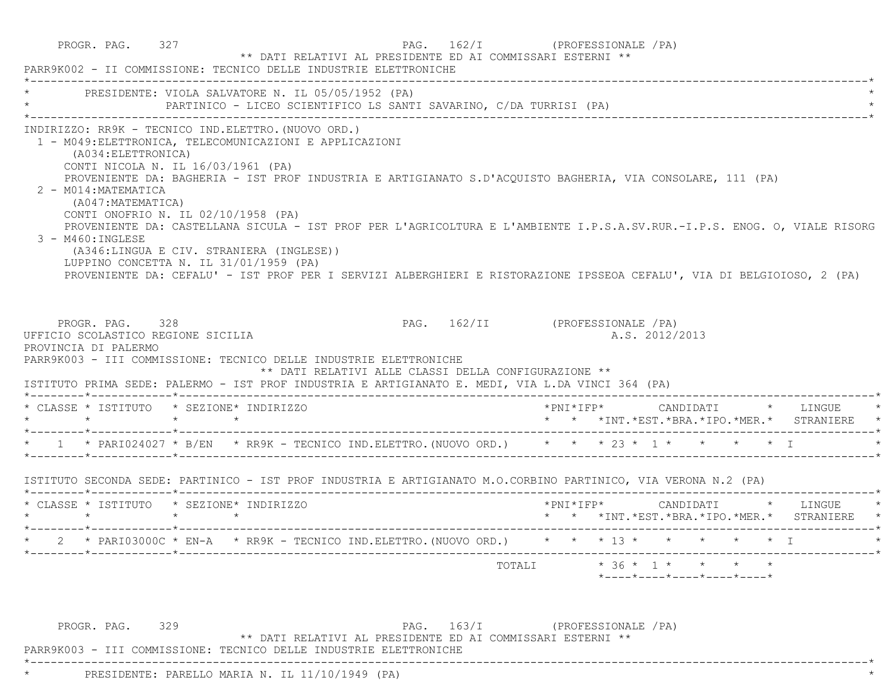|                                                                                                                                                                                                              | * PRESIDENTE: VIOLA SALVATORE N. IL 05/05/1952 (PA)                                                                                                        | PARTINICO - LICEO SCIENTIFICO LS SANTI SAVARINO, C/DA TURRISI (PA)                                                                                                                                                                     |                                                                                                                        |  |                |  |                                                                                        |
|--------------------------------------------------------------------------------------------------------------------------------------------------------------------------------------------------------------|------------------------------------------------------------------------------------------------------------------------------------------------------------|----------------------------------------------------------------------------------------------------------------------------------------------------------------------------------------------------------------------------------------|------------------------------------------------------------------------------------------------------------------------|--|----------------|--|----------------------------------------------------------------------------------------|
| (A034: ELETTRONICA)<br>CONTI NICOLA N. IL 16/03/1961 (PA)<br>2 - M014: MATEMATICA<br>(A047:MATEMATICA)<br>CONTI ONOFRIO N. IL 02/10/1958 (PA)<br>3 - M460: INGLESE<br>LUPPINO CONCETTA N. IL 31/01/1959 (PA) | INDIRIZZO: RR9K - TECNICO IND.ELETTRO. (NUOVO ORD.)<br>1 - M049: ELETTRONICA, TELECOMUNICAZIONI E APPLICAZIONI<br>(A346:LINGUA E CIV. STRANIERA (INGLESE)) | PROVENIENTE DA: BAGHERIA - IST PROF INDUSTRIA E ARTIGIANATO S.D'ACQUISTO BAGHERIA, VIA CONSOLARE, 111 (PA)<br>PROVENIENTE DA: CASTELLANA SICULA - IST PROF PER L'AGRICOLTURA E L'AMBIENTE I.P.S.A.SV.RUR.-I.P.S. ENOG. O, VIALE RISORG | PROVENIENTE DA: CEFALU' - IST PROF PER I SERVIZI ALBERGHIERI E RISTORAZIONE IPSSEOA CEFALU', VIA DI BELGIOIOSO, 2 (PA) |  |                |  |                                                                                        |
| PROGR. PAG. 328<br>UFFICIO SCOLASTICO REGIONE SICILIA<br>PROVINCIA DI PALERMO                                                                                                                                |                                                                                                                                                            | PARR9K003 - III COMMISSIONE: TECNICO DELLE INDUSTRIE ELETTRONICHE                                                                                                                                                                      | PAG. 162/II (PROFESSIONALE / PA)                                                                                       |  | A.S. 2012/2013 |  |                                                                                        |
|                                                                                                                                                                                                              |                                                                                                                                                            | ** DATI RELATIVI ALLE CLASSI DELLA CONFIGURAZIONE **<br>ISTITUTO PRIMA SEDE: PALERMO - IST PROF INDUSTRIA E ARTIGIANATO E. MEDI, VIA L.DA VINCI 364 (PA)                                                                               |                                                                                                                        |  |                |  |                                                                                        |
| * CLASSE * ISTITUTO * SEZIONE* INDIRIZZO<br>$\star \qquad \qquad \star \qquad \qquad \star \qquad \qquad \star$                                                                                              |                                                                                                                                                            |                                                                                                                                                                                                                                        |                                                                                                                        |  |                |  | *PNI*IFP*     CANDIDATI    *  LINGUE   *<br>* * *INT.*EST.*BRA.*IPO.*MER.* STRANIERE * |
|                                                                                                                                                                                                              |                                                                                                                                                            | * 1 * PARI024027 * B/EN * RR9K - TECNICO IND.ELETTRO.(NUOVO ORD.) * * * 23 * 1 * * * * * * I                                                                                                                                           |                                                                                                                        |  |                |  |                                                                                        |
|                                                                                                                                                                                                              |                                                                                                                                                            | ISTITUTO SECONDA SEDE: PARTINICO - IST PROF INDUSTRIA E ARTIGIANATO M.O.CORBINO PARTINICO, VIA VERONA N.2 (PA)                                                                                                                         |                                                                                                                        |  |                |  |                                                                                        |
| * CLASSE * ISTITUTO * SEZIONE* INDIRIZZO                                                                                                                                                                     |                                                                                                                                                            |                                                                                                                                                                                                                                        |                                                                                                                        |  |                |  | * * *INT.*EST.*BRA.*IPO.*MER.* STRANIERE *                                             |
|                                                                                                                                                                                                              |                                                                                                                                                            | * 2 * PARIO3000C * EN-A * RR9K - TECNICO IND.ELETTRO.(NUOVO ORD.) * * * 13 * * * * * * * * I                                                                                                                                           |                                                                                                                        |  |                |  |                                                                                        |

\*\* DATI RELATIVI AL PRESIDENTE ED AI COMMISSARI ESTERNI \*\*

\*----------------------------------------------------------------------------------------------------------------------------\*

PARR9K003 - III COMMISSIONE: TECNICO DELLE INDUSTRIE ELETTRONICHE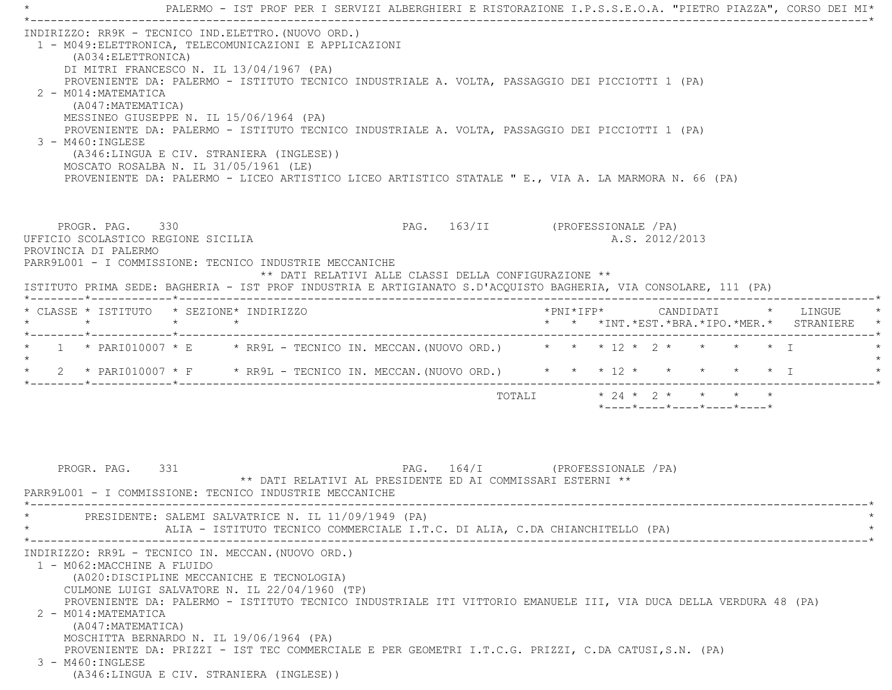\*----------------------------------------------------------------------------------------------------------------------------\* INDIRIZZO: RR9K - TECNICO IND.ELETTRO.(NUOVO ORD.) 1 - M049:ELETTRONICA, TELECOMUNICAZIONI E APPLICAZIONI (A034:ELETTRONICA) DI MITRI FRANCESCO N. IL 13/04/1967 (PA) PROVENIENTE DA: PALERMO - ISTITUTO TECNICO INDUSTRIALE A. VOLTA, PASSAGGIO DEI PICCIOTTI 1 (PA) 2 - M014:MATEMATICA (A047:MATEMATICA) MESSINEO GIUSEPPE N. IL 15/06/1964 (PA) PROVENIENTE DA: PALERMO - ISTITUTO TECNICO INDUSTRIALE A. VOLTA, PASSAGGIO DEI PICCIOTTI 1 (PA) 3 - M460:INGLESE (A346:LINGUA E CIV. STRANIERA (INGLESE)) MOSCATO ROSALBA N. IL 31/05/1961 (LE) PROVENIENTE DA: PALERMO - LICEO ARTISTICO LICEO ARTISTICO STATALE " E., VIA A. LA MARMORA N. 66 (PA) PROGR. PAG. 330 **PAG. 263/II** (PROFESSIONALE /PA) UFFICIO SCOLASTICO REGIONE SICILIA A.S. 2012/2013 PROVINCIA DI PALERMO PARR9L001 - I COMMISSIONE: TECNICO INDUSTRIE MECCANICHE \*\* DATI RELATIVI ALLE CLASSI DELLA CONFIGURAZIONE \*\* ISTITUTO PRIMA SEDE: BAGHERIA - IST PROF INDUSTRIA E ARTIGIANATO S.D'ACQUISTO BAGHERIA, VIA CONSOLARE, 111 (PA) \*--------\*------------\*-------------------------------------------------------------------------------------------------------\* \* CLASSE \* ISTITUTO \* SEZIONE\* INDIRIZZO \*PNI\*IFP\* CANDIDATI \* LINGUE \* \* \* \* \* \* \* \*INT.\*EST.\*BRA.\*IPO.\*MER.\* STRANIERE \* \*--------\*------------\*-------------------------------------------------------------------------------------------------------\* $1$  \*  $PARI010007$  \* E \* RR9L - TECNICO IN. MECCAN.(NUOVO ORD.) \* \* \* 12 \* 2 \* \* \* \* \* \* T  $\star$  \* 2 \* PARI010007 \* F \* RR9L - TECNICO IN. MECCAN.(NUOVO ORD.) \* \* \* 12 \* \* \* \* \* I \* \*--------\*------------\*-------------------------------------------------------------------------------------------------------\*TOTALI  $* 24 * 2 * * * * * * * *$  \*----\*----\*----\*----\*----\*PROGR. PAG. 331 PAG. 164/I (PROFESSIONALE /PA) \*\* DATI RELATIVI AL PRESIDENTE ED AI COMMISSARI ESTERNI \*\* PARR9L001 - I COMMISSIONE: TECNICO INDUSTRIE MECCANICHE \*----------------------------------------------------------------------------------------------------------------------------\*PRESIDENTE: SALEMI SALVATRICE N. IL 11/09/1949 (PA) ALIA - ISTITUTO TECNICO COMMERCIALE I.T.C. DI ALIA, C.DA CHIANCHITELLO (PA) \*----------------------------------------------------------------------------------------------------------------------------\* INDIRIZZO: RR9L - TECNICO IN. MECCAN.(NUOVO ORD.) 1 - M062:MACCHINE A FLUIDO (A020:DISCIPLINE MECCANICHE E TECNOLOGIA) CULMONE LUIGI SALVATORE N. IL 22/04/1960 (TP) PROVENIENTE DA: PALERMO - ISTITUTO TECNICO INDUSTRIALE ITI VITTORIO EMANUELE III, VIA DUCA DELLA VERDURA 48 (PA) 2 - M014:MATEMATICA (A047:MATEMATICA) MOSCHITTA BERNARDO N. IL 19/06/1964 (PA) PROVENIENTE DA: PRIZZI - IST TEC COMMERCIALE E PER GEOMETRI I.T.C.G. PRIZZI, C.DA CATUSI,S.N. (PA) 3 - M460:INGLESE(A346:LINGUA E CIV. STRANIERA (INGLESE))

\* PALERMO - IST PROF PER I SERVIZI ALBERGHIERI E RISTORAZIONE I.P.S.S.E.O.A. "PIETRO PIAZZA", CORSO DEI MI\*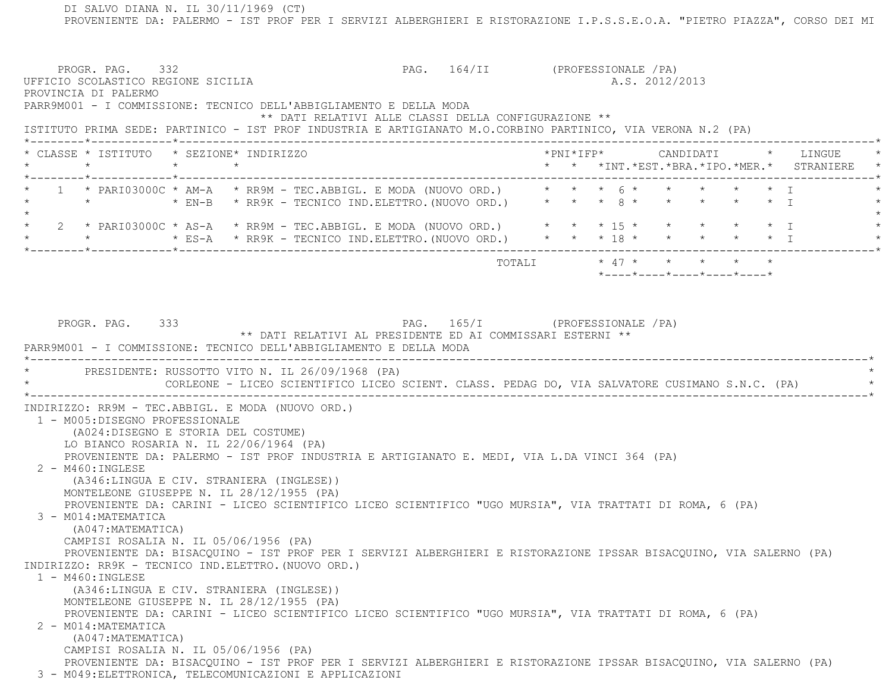DI SALVO DIANA N. IL 30/11/1969 (CT) PROVENIENTE DA: PALERMO - IST PROF PER I SERVIZI ALBERGHIERI E RISTORAZIONE I.P.S.S.E.O.A. "PIETRO PIAZZA", CORSO DEI MI PROGR. PAG. 332 PAG. 164/II (PROFESSIONALE /PA) UFFICIO SCOLASTICO REGIONE SICILIA A.S. 2012/2013 PROVINCIA DI PALERMO PARR9M001 - I COMMISSIONE: TECNICO DELL'ABBIGLIAMENTO E DELLA MODA \*\* DATI RELATIVI ALLE CLASSI DELLA CONFIGURAZIONE \*\* ISTITUTO PRIMA SEDE: PARTINICO - IST PROF INDUSTRIA E ARTIGIANATO M.O.CORBINO PARTINICO, VIA VERONA N.2 (PA) \*--------\*------------\*-------------------------------------------------------------------------------------------------------\* \* CLASSE \* ISTITUTO \* SEZIONE\* INDIRIZZO \*PNI\*IFP\* CANDIDATI \* LINGUE \* \* \* \* \* \* \* \*INT.\*EST.\*BRA.\*IPO.\*MER.\* STRANIERE \* \*--------\*------------\*-------------------------------------------------------------------------------------------------------\*1 \* PARI03000C \* AM-A \* RR9M - TEC.ABBIGL. E MODA (NUOVO ORD.) \* \* \* 6 \* \* \* \* \* \* \* \* \* T \* \*  $\star$  EN-B \* RR9K - TECNICO IND.ELETTRO. (NUOVO ORD.) \* \* \* 8 \* \* \* \* \* \* \* I  $\star$  \* 2 \* PARI03000C \* AS-A \* RR9M - TEC.ABBIGL. E MODA (NUOVO ORD.) \* \* \* 15 \* \* \* \* \* I \* \* ES-A \* RR9K - TECNICO IND.ELETTRO.(NUOVO ORD.) \* \* \* 18 \* \* \* \* \* \* \* \* I \*--------\*------------\*-------------------------------------------------------------------------------------------------------\* $\texttt{TOTALI} \qquad \qquad \star \; \; 47 \; \star \qquad \star \qquad \star \qquad \star \qquad \star \qquad \star$  \*----\*----\*----\*----\*----\*PROGR. PAG. 333 PAG. 165/I (PROFESSIONALE /PA) \*\* DATI RELATIVI AL PRESIDENTE ED AI COMMISSARI ESTERNI \*\* PARR9M001 - I COMMISSIONE: TECNICO DELL'ABBIGLIAMENTO E DELLA MODA \*----------------------------------------------------------------------------------------------------------------------------\*PRESIDENTE: RUSSOTTO VITO N. IL 26/09/1968 (PA) \* CORLEONE - LICEO SCIENTIFICO LICEO SCIENT. CLASS. PEDAG DO, VIA SALVATORE CUSIMANO S.N.C. (PA) \* \*----------------------------------------------------------------------------------------------------------------------------\* INDIRIZZO: RR9M - TEC.ABBIGL. E MODA (NUOVO ORD.) 1 - M005:DISEGNO PROFESSIONALE (A024:DISEGNO E STORIA DEL COSTUME) LO BIANCO ROSARIA N. IL 22/06/1964 (PA) PROVENIENTE DA: PALERMO - IST PROF INDUSTRIA E ARTIGIANATO E. MEDI, VIA L.DA VINCI 364 (PA) 2 - M460:INGLESE (A346:LINGUA E CIV. STRANIERA (INGLESE)) MONTELEONE GIUSEPPE N. IL 28/12/1955 (PA) PROVENIENTE DA: CARINI - LICEO SCIENTIFICO LICEO SCIENTIFICO "UGO MURSIA", VIA TRATTATI DI ROMA, 6 (PA) 3 - M014:MATEMATICA (A047:MATEMATICA) CAMPISI ROSALIA N. IL 05/06/1956 (PA) PROVENIENTE DA: BISACQUINO - IST PROF PER I SERVIZI ALBERGHIERI E RISTORAZIONE IPSSAR BISACQUINO, VIA SALERNO (PA) INDIRIZZO: RR9K - TECNICO IND.ELETTRO.(NUOVO ORD.) 1 - M460:INGLESE (A346:LINGUA E CIV. STRANIERA (INGLESE)) MONTELEONE GIUSEPPE N. IL 28/12/1955 (PA) PROVENIENTE DA: CARINI - LICEO SCIENTIFICO LICEO SCIENTIFICO "UGO MURSIA", VIA TRATTATI DI ROMA, 6 (PA) 2 - M014:MATEMATICA (A047:MATEMATICA) CAMPISI ROSALIA N. IL 05/06/1956 (PA) PROVENIENTE DA: BISACQUINO - IST PROF PER I SERVIZI ALBERGHIERI E RISTORAZIONE IPSSAR BISACQUINO, VIA SALERNO (PA) 3 - M049:ELETTRONICA, TELECOMUNICAZIONI E APPLICAZIONI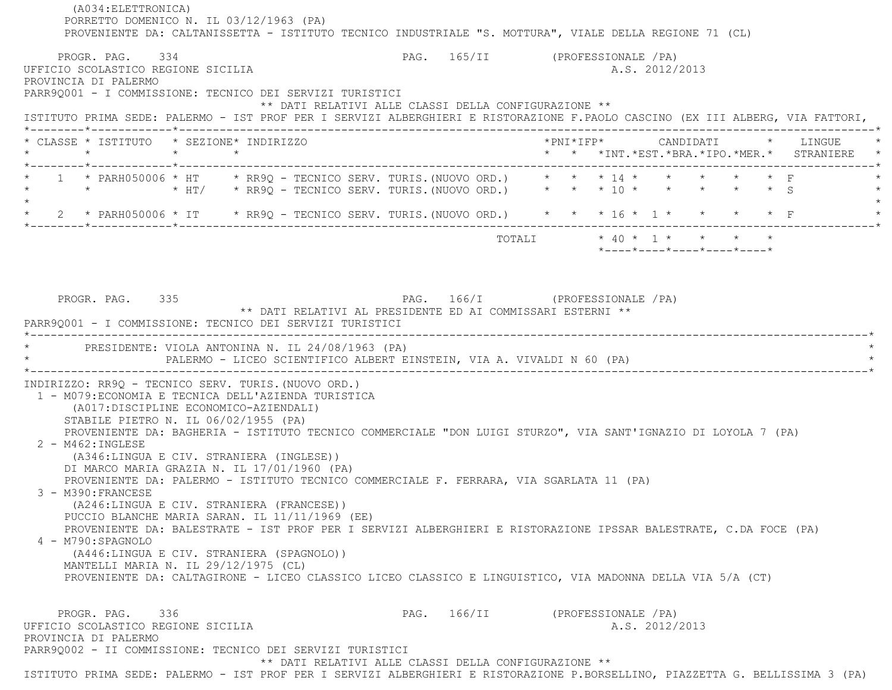(A034:ELETTRONICA) PORRETTO DOMENICO N. IL 03/12/1963 (PA) PROVENIENTE DA: CALTANISSETTA - ISTITUTO TECNICO INDUSTRIALE "S. MOTTURA", VIALE DELLA REGIONE 71 (CL) PROGR. PAG. 334 PAG. 165/II (PROFESSIONALE /PA) UFFICIO SCOLASTICO REGIONE SICILIA A.S. 2012/2013 PROVINCIA DI PALERMO PARR9Q001 - I COMMISSIONE: TECNICO DEI SERVIZI TURISTICI \*\* DATI RELATIVI ALLE CLASSI DELLA CONFIGURAZIONE \*\* ISTITUTO PRIMA SEDE: PALERMO - IST PROF PER I SERVIZI ALBERGHIERI E RISTORAZIONE F.PAOLO CASCINO (EX III ALBERG, VIA FATTORI, \*--------\*------------\*-------------------------------------------------------------------------------------------------------\* \* CLASSE \* ISTITUTO \* SEZIONE\* INDIRIZZO \*PNI\*IFP\* CANDIDATI \* LINGUE \* \* \* \* \* \* \* \*INT.\*EST.\*BRA.\*IPO.\*MER.\* STRANIERE \* \*--------\*------------\*-------------------------------------------------------------------------------------------------------\*1 \* PARH050006 \* HT \* RR9Q - TECNICO SERV. TURIS. (NUOVO ORD.) \* \* \* 14 \* \* \* \* \* \* F \* \*  $\star$  \* HT/ \* RR90 - TECNICO SERV. TURIS. (NUOVO ORD.) \* \* \* 10 \* \* \* \* \* \* \* \$ S  $\star$  \* 2 \* PARH050006 \* IT \* RR9Q - TECNICO SERV. TURIS.(NUOVO ORD.) \* \* \* 16 \* 1 \* \* \* \* F \* \*--------\*------------\*-------------------------------------------------------------------------------------------------------\*TOTALI  $* 40 * 1 * * * * * * * *$  \*----\*----\*----\*----\*----\*PROGR. PAG. 335 PAG. 166/I (PROFESSIONALE /PA) \*\* DATI RELATIVI AL PRESIDENTE ED AI COMMISSARI ESTERNI \*\* PARR9Q001 - I COMMISSIONE: TECNICO DEI SERVIZI TURISTICI \*----------------------------------------------------------------------------------------------------------------------------\*PRESIDENTE: VIOLA ANTONINA N. IL 24/08/1963 (PA) PALERMO - LICEO SCIENTIFICO ALBERT EINSTEIN, VIA A. VIVALDI N 60 (PA) \*----------------------------------------------------------------------------------------------------------------------------\* INDIRIZZO: RR9Q - TECNICO SERV. TURIS.(NUOVO ORD.) 1 - M079:ECONOMIA E TECNICA DELL'AZIENDA TURISTICA (A017:DISCIPLINE ECONOMICO-AZIENDALI) STABILE PIETRO N. IL 06/02/1955 (PA) PROVENIENTE DA: BAGHERIA - ISTITUTO TECNICO COMMERCIALE "DON LUIGI STURZO", VIA SANT'IGNAZIO DI LOYOLA 7 (PA) 2 - M462:INGLESE (A346:LINGUA E CIV. STRANIERA (INGLESE)) DI MARCO MARIA GRAZIA N. IL 17/01/1960 (PA) PROVENIENTE DA: PALERMO - ISTITUTO TECNICO COMMERCIALE F. FERRARA, VIA SGARLATA 11 (PA) 3 - M390:FRANCESE (A246:LINGUA E CIV. STRANIERA (FRANCESE)) PUCCIO BLANCHE MARIA SARAN. IL 11/11/1969 (EE) PROVENIENTE DA: BALESTRATE - IST PROF PER I SERVIZI ALBERGHIERI E RISTORAZIONE IPSSAR BALESTRATE, C.DA FOCE (PA) 4 - M790:SPAGNOLO (A446:LINGUA E CIV. STRANIERA (SPAGNOLO)) MANTELLI MARIA N. IL 29/12/1975 (CL) PROVENIENTE DA: CALTAGIRONE - LICEO CLASSICO LICEO CLASSICO E LINGUISTICO, VIA MADONNA DELLA VIA 5/A (CT) PROGR. PAG. 336 PAG. 166/II (PROFESSIONALE /PA) UFFICIO SCOLASTICO REGIONE SICILIA A.S. 2012/2013 PROVINCIA DI PALERMO PARR9Q002 - II COMMISSIONE: TECNICO DEI SERVIZI TURISTICI \*\* DATI RELATIVI ALLE CLASSI DELLA CONFIGURAZIONE \*\*

ISTITUTO PRIMA SEDE: PALERMO - IST PROF PER I SERVIZI ALBERGHIERI E RISTORAZIONE P.BORSELLINO, PIAZZETTA G. BELLISSIMA 3 (PA)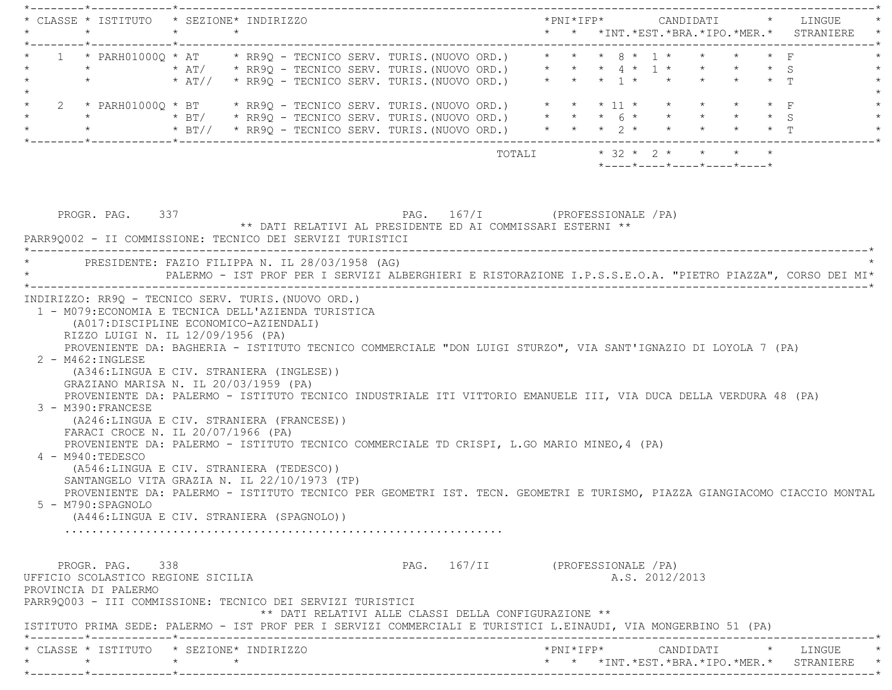| $\star$ |                                                                                      | * CLASSE * ISTITUTO * SEZIONE* INDIRIZZO<br>$\star$ $\star$                                                                                                                                                                                                                                                                                                                                                                                                                                                                                                                                                                                                                           | * * *INT.*EST.*BRA.*IPO.*MER.* STRANIERE *                                                                               |
|---------|--------------------------------------------------------------------------------------|---------------------------------------------------------------------------------------------------------------------------------------------------------------------------------------------------------------------------------------------------------------------------------------------------------------------------------------------------------------------------------------------------------------------------------------------------------------------------------------------------------------------------------------------------------------------------------------------------------------------------------------------------------------------------------------|--------------------------------------------------------------------------------------------------------------------------|
|         |                                                                                      | 1 * PARH01000Q * AT * RR9Q - TECNICO SERV. TURIS. (NUOVO ORD.) * * * 8 * 1 * * * * * F<br>*                 * AT/     * RR9Q – TECNICO SERV. TURIS.(NUOVO ORD.)       *   *   *   4   *   1  *   *   *   *   *   *   5<br>*           * AT//   * RR9Q – TECNICO SERV. TURIS.(NUOVO ORD.)     *   *   *   1 *   *   *   *                                                                                                                                                                                                                                                                                                                                                              |                                                                                                                          |
|         |                                                                                      | 2 * PARH01000Q * BT * RR9Q - TECNICO SERV. TURIS. (NUOVO ORD.) * * * 11 * * * * * * * F                                                                                                                                                                                                                                                                                                                                                                                                                                                                                                                                                                                               |                                                                                                                          |
|         |                                                                                      |                                                                                                                                                                                                                                                                                                                                                                                                                                                                                                                                                                                                                                                                                       | *----*----*----*----*----*                                                                                               |
|         | PROGR. PAG. 337                                                                      | PAG. 167/I (PROFESSIONALE / PA)<br>** DATI RELATIVI AL PRESIDENTE ED AI COMMISSARI ESTERNI **<br>PARR90002 - II COMMISSIONE: TECNICO DEI SERVIZI TURISTICI                                                                                                                                                                                                                                                                                                                                                                                                                                                                                                                            |                                                                                                                          |
|         |                                                                                      | * PRESIDENTE: FAZIO FILIPPA N. IL 28/03/1958 (AG)                                                                                                                                                                                                                                                                                                                                                                                                                                                                                                                                                                                                                                     | PALERMO - IST PROF PER I SERVIZI ALBERGHIERI E RISTORAZIONE I.P.S.S.E.O.A. "PIETRO PIAZZA", CORSO DEI MI*                |
|         | $2 - M462 : INGLESE$<br>3 - M390: FRANCESE<br>4 - M940: TEDESCO<br>5 - M790:SPAGNOLO | RIZZO LUIGI N. IL 12/09/1956 (PA)<br>PROVENIENTE DA: BAGHERIA - ISTITUTO TECNICO COMMERCIALE "DON LUIGI STURZO", VIA SANT'IGNAZIO DI LOYOLA 7 (PA)<br>(A346:LINGUA E CIV. STRANIERA (INGLESE))<br>GRAZIANO MARISA N. IL 20/03/1959 (PA)<br>PROVENIENTE DA: PALERMO - ISTITUTO TECNICO INDUSTRIALE ITI VITTORIO EMANUELE III, VIA DUCA DELLA VERDURA 48 (PA)<br>(A246:LINGUA E CIV. STRANIERA (FRANCESE))<br>FARACI CROCE N. IL 20/07/1966 (PA)<br>PROVENIENTE DA: PALERMO - ISTITUTO TECNICO COMMERCIALE TD CRISPI, L.GO MARIO MINEO, 4 (PA)<br>(A546:LINGUA E CIV. STRANIERA (TEDESCO))<br>SANTANGELO VITA GRAZIA N. IL 22/10/1973 (TP)<br>(A446:LINGUA E CIV. STRANIERA (SPAGNOLO)) | PROVENIENTE DA: PALERMO - ISTITUTO TECNICO PER GEOMETRI IST. TECN. GEOMETRI E TURISMO, PIAZZA GIANGIACOMO CIACCIO MONTAL |
|         | PROGR. PAG. 338<br>UFFICIO SCOLASTICO REGIONE SICILIA<br>PROVINCIA DI PALERMO        | PARR90003 - III COMMISSIONE: TECNICO DEI SERVIZI TURISTICI<br>** DATI RELATIVI ALLE CLASSI DELLA CONFIGURAZIONE **<br>ISTITUTO PRIMA SEDE: PALERMO - IST PROF PER I SERVIZI COMMERCIALI E TURISTICI L.EINAUDI, VIA MONGERBINO 51 (PA)                                                                                                                                                                                                                                                                                                                                                                                                                                                 | PAG. 167/II (PROFESSIONALE / PA)<br>A.S. 2012/2013                                                                       |
| $\star$ |                                                                                      | * CLASSE * ISTITUTO * SEZIONE* INDIRIZZO<br>$\star$ $\star$                                                                                                                                                                                                                                                                                                                                                                                                                                                                                                                                                                                                                           | * * *INT. *EST. *BRA. *IPO. *MER. * STRANIERE                                                                            |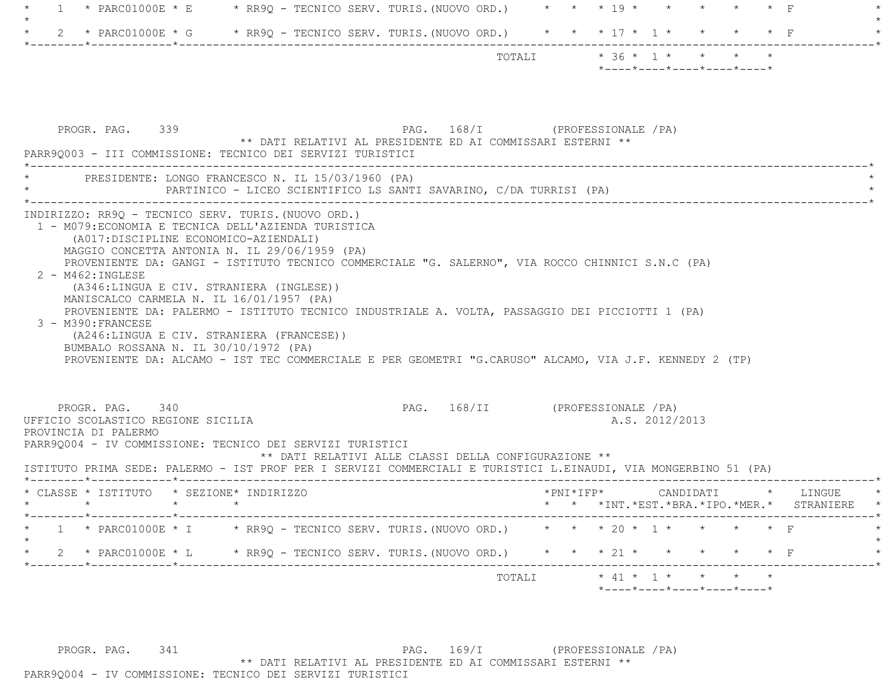| $\overline{1}$                                                                                                                                                                                                                                                                                                     | * PARC01000E * E * RR9Q - TECNICO SERV. TURIS. (NUOVO ORD.) * * * * 19 * * * * * * * F                                                                                                                                                                                                                        |                                                                                         |                                                                                             |           |
|--------------------------------------------------------------------------------------------------------------------------------------------------------------------------------------------------------------------------------------------------------------------------------------------------------------------|---------------------------------------------------------------------------------------------------------------------------------------------------------------------------------------------------------------------------------------------------------------------------------------------------------------|-----------------------------------------------------------------------------------------|---------------------------------------------------------------------------------------------|-----------|
|                                                                                                                                                                                                                                                                                                                    | * PARC01000E * G * RR9Q - TECNICO SERV. TURIS. (NUOVO ORD.) * * * 17 * 1 * * * * * F                                                                                                                                                                                                                          |                                                                                         |                                                                                             |           |
|                                                                                                                                                                                                                                                                                                                    |                                                                                                                                                                                                                                                                                                               | TOTALI                                                                                  | $* 36 * 1 * * * * * * *$<br>$*$ - - - - $*$ - - - - $*$ - - - - $*$ - - - - $*$ - - - - $*$ |           |
| PROGR. PAG. 339                                                                                                                                                                                                                                                                                                    | ** DATI RELATIVI AL PRESIDENTE ED AI COMMISSARI ESTERNI **                                                                                                                                                                                                                                                    | PAG. 168/I (PROFESSIONALE /PA)                                                          |                                                                                             |           |
| PARR90003 - III COMMISSIONE: TECNICO DEI SERVIZI TURISTICI<br>PRESIDENTE: LONGO FRANCESCO N. IL 15/03/1960 (PA)                                                                                                                                                                                                    | PARTINICO - LICEO SCIENTIFICO LS SANTI SAVARINO, C/DA TURRISI (PA)                                                                                                                                                                                                                                            |                                                                                         |                                                                                             |           |
| (A017:DISCIPLINE ECONOMICO-AZIENDALI)<br>MAGGIO CONCETTA ANTONIA N. IL 29/06/1959 (PA)<br>$2 - M462 : INGLESE$<br>(A346:LINGUA E CIV. STRANIERA (INGLESE))<br>MANISCALCO CARMELA N. IL 16/01/1957 (PA)<br>3 - M390: FRANCESE<br>(A246:LINGUA E CIV. STRANIERA (FRANCESE))<br>BUMBALO ROSSANA N. IL 30/10/1972 (PA) | PROVENIENTE DA: GANGI - ISTITUTO TECNICO COMMERCIALE "G. SALERNO", VIA ROCCO CHINNICI S.N.C (PA)<br>PROVENIENTE DA: PALERMO - ISTITUTO TECNICO INDUSTRIALE A. VOLTA, PASSAGGIO DEI PICCIOTTI 1 (PA)<br>PROVENIENTE DA: ALCAMO - IST TEC COMMERCIALE E PER GEOMETRI "G.CARUSO" ALCAMO, VIA J.F. KENNEDY 2 (TP) |                                                                                         |                                                                                             |           |
| PROGR. PAG. 340<br>UFFICIO SCOLASTICO REGIONE SICILIA<br>PROVINCIA DI PALERMO<br>PARR90004 - IV COMMISSIONE: TECNICO DEI SERVIZI TURISTICI<br>ISTITUTO PRIMA SEDE: PALERMO - IST PROF PER I SERVIZI COMMERCIALI E TURISTICI L.EINAUDI, VIA MONGERBINO 51 (PA)                                                      |                                                                                                                                                                                                                                                                                                               | PAG. 168/II (PROFESSIONALE /PA)<br>** DATI RELATIVI ALLE CLASSI DELLA CONFIGURAZIONE ** | A.S. 2012/2013                                                                              |           |
| * CLASSE * ISTITUTO * SEZIONE* INDIRIZZO                                                                                                                                                                                                                                                                           |                                                                                                                                                                                                                                                                                                               |                                                                                         | *PNI*IFP* CANDIDATI * LINGUE<br>* * *INT.*EST.*BRA.*IPO.*MER.*                              | STRANIERE |
|                                                                                                                                                                                                                                                                                                                    | 1 * PARC01000E * I * RR9Q - TECNICO SERV. TURIS. (NUOVO ORD.) * * * 20 * 1 * * * * * F                                                                                                                                                                                                                        |                                                                                         |                                                                                             |           |
|                                                                                                                                                                                                                                                                                                                    | 2 * PARC01000E * L * RR9Q - TECNICO SERV. TURIS. (NUOVO ORD.) * * * 21 * * * * * * * F                                                                                                                                                                                                                        |                                                                                         |                                                                                             | --------* |
|                                                                                                                                                                                                                                                                                                                    |                                                                                                                                                                                                                                                                                                               | TOTALI                                                                                  | $\star$ 41 $\star$ 1 $\star$ $\star$ $\star$<br>*----*----*----*----*----*                  |           |

PROGR. PAG. 341 22 PAG. 169/I (PROFESSIONALE /PA) \*\* DATI RELATIVI AL PRESIDENTE ED AI COMMISSARI ESTERNI \*\* PARR9Q004 - IV COMMISSIONE: TECNICO DEI SERVIZI TURISTICI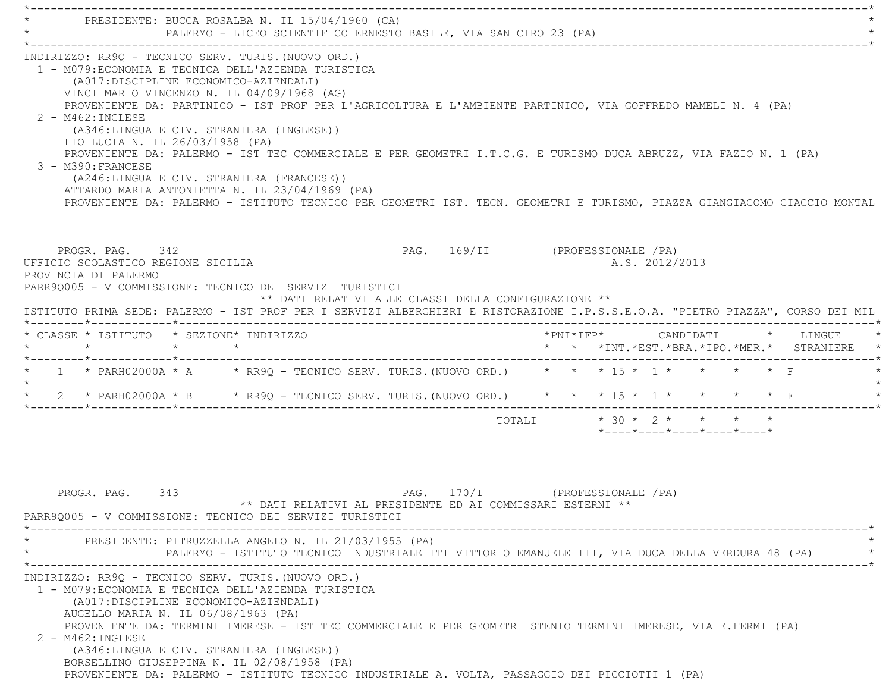\*----------------------------------------------------------------------------------------------------------------------------\*PRESIDENTE: BUCCA ROSALBA N. IL 15/04/1960 (CA) PALERMO - LICEO SCIENTIFICO ERNESTO BASILE, VIA SAN CIRO 23 (PA) \*----------------------------------------------------------------------------------------------------------------------------\* INDIRIZZO: RR9Q - TECNICO SERV. TURIS.(NUOVO ORD.) 1 - M079:ECONOMIA E TECNICA DELL'AZIENDA TURISTICA (A017:DISCIPLINE ECONOMICO-AZIENDALI) VINCI MARIO VINCENZO N. IL 04/09/1968 (AG) PROVENIENTE DA: PARTINICO - IST PROF PER L'AGRICOLTURA E L'AMBIENTE PARTINICO, VIA GOFFREDO MAMELI N. 4 (PA) 2 - M462:INGLESE (A346:LINGUA E CIV. STRANIERA (INGLESE)) LIO LUCIA N. IL 26/03/1958 (PA) PROVENIENTE DA: PALERMO - IST TEC COMMERCIALE E PER GEOMETRI I.T.C.G. E TURISMO DUCA ABRUZZ, VIA FAZIO N. 1 (PA) 3 - M390:FRANCESE (A246:LINGUA E CIV. STRANIERA (FRANCESE)) ATTARDO MARIA ANTONIETTA N. IL 23/04/1969 (PA) PROVENIENTE DA: PALERMO - ISTITUTO TECNICO PER GEOMETRI IST. TECN. GEOMETRI E TURISMO, PIAZZA GIANGIACOMO CIACCIO MONTAL PROGR. PAG. 342 PAG. 169/II (PROFESSIONALE /PA) UFFICIO SCOLASTICO REGIONE SICILIA A.S. 2012/2013 PROVINCIA DI PALERMO PARR9Q005 - V COMMISSIONE: TECNICO DEI SERVIZI TURISTICI \*\* DATI RELATIVI ALLE CLASSI DELLA CONFIGURAZIONE \*\* ISTITUTO PRIMA SEDE: PALERMO - IST PROF PER I SERVIZI ALBERGHIERI E RISTORAZIONE I.P.S.S.E.O.A. "PIETRO PIAZZA", CORSO DEI MIL \*--------\*------------\*-------------------------------------------------------------------------------------------------------\* \* CLASSE \* ISTITUTO \* SEZIONE\* INDIRIZZO \*PNI\*IFP\* CANDIDATI \* LINGUE \* \* \* \* \* \* \* \*INT.\*EST.\*BRA.\*IPO.\*MER.\* STRANIERE \* \*--------\*------------\*-------------------------------------------------------------------------------------------------------\*\* 1 \* PARH02000A \* A \* RR9Q - TECNICO SERV. TURIS. (NUOVO ORD.) \* \* \* 15 \* 1 \* \* \* \* \* F  $\star$  \* 2 \* PARH02000A \* B \* RR9Q - TECNICO SERV. TURIS.(NUOVO ORD.) \* \* \* 15 \* 1 \* \* \* \* F \* \*--------\*------------\*-------------------------------------------------------------------------------------------------------\*TOTALI  $* 30 * 2 * * * * * * *$ 

PROGR. PAG. 343 PAG. 170/I (PROFESSIONALE /PA) \*\* DATI RELATIVI AL PRESIDENTE ED AI COMMISSARI ESTERNI \*\* PARR9Q005 - V COMMISSIONE: TECNICO DEI SERVIZI TURISTICI \*----------------------------------------------------------------------------------------------------------------------------\*PRESIDENTE: PITRUZZELLA ANGELO N. IL 21/03/1955 (PA) \* PALERMO - ISTITUTO TECNICO INDUSTRIALE ITI VITTORIO EMANUELE III, VIA DUCA DELLA VERDURA 48 (PA) \* \*----------------------------------------------------------------------------------------------------------------------------\* INDIRIZZO: RR9Q - TECNICO SERV. TURIS.(NUOVO ORD.) 1 - M079:ECONOMIA E TECNICA DELL'AZIENDA TURISTICA (A017:DISCIPLINE ECONOMICO-AZIENDALI) AUGELLO MARIA N. IL 06/08/1963 (PA) PROVENIENTE DA: TERMINI IMERESE - IST TEC COMMERCIALE E PER GEOMETRI STENIO TERMINI IMERESE, VIA E.FERMI (PA) 2 - M462:INGLESE (A346:LINGUA E CIV. STRANIERA (INGLESE)) BORSELLINO GIUSEPPINA N. IL 02/08/1958 (PA) PROVENIENTE DA: PALERMO - ISTITUTO TECNICO INDUSTRIALE A. VOLTA, PASSAGGIO DEI PICCIOTTI 1 (PA)

\*----\*----\*----\*----\*----\*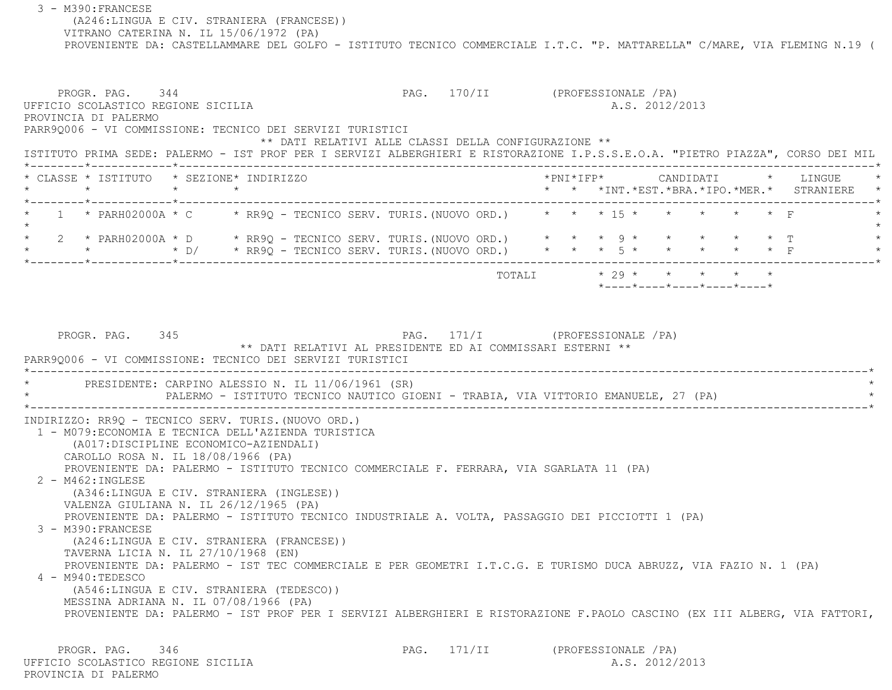3 - M390:FRANCESE (A246:LINGUA E CIV. STRANIERA (FRANCESE)) VITRANO CATERINA N. IL 15/06/1972 (PA) PROVENIENTE DA: CASTELLAMMARE DEL GOLFO - ISTITUTO TECNICO COMMERCIALE I.T.C. "P. MATTARELLA" C/MARE, VIA FLEMING N.19 ( PROGR. PAG. 344 PAG. 170/II (PROFESSIONALE /PA) UFFICIO SCOLASTICO REGIONE SICILIA A.S. 2012/2013 PROVINCIA DI PALERMO PARR9Q006 - VI COMMISSIONE: TECNICO DEI SERVIZI TURISTICI \*\* DATI RELATIVI ALLE CLASSI DELLA CONFIGURAZIONE \*\* ISTITUTO PRIMA SEDE: PALERMO - IST PROF PER I SERVIZI ALBERGHIERI E RISTORAZIONE I.P.S.S.E.O.A. "PIETRO PIAZZA", CORSO DEI MIL \*--------\*------------\*-------------------------------------------------------------------------------------------------------\* \* CLASSE \* ISTITUTO \* SEZIONE\* INDIRIZZO \*PNI\*IFP\* CANDIDATI \* LINGUE \* \* \* \* \* \* \* \*INT.\*EST.\*BRA.\*IPO.\*MER.\* STRANIERE \* \*--------\*------------\*-------------------------------------------------------------------------------------------------------\*1 \* PARH02000A \* C \* RR9Q - TECNICO SERV. TURIS.(NUOVO ORD.) \* \* \* \* 15 \* \* \* \* \* \* \* F  $\star$  \* 2 \* PARH02000A \* D \* RR9Q - TECNICO SERV. TURIS.(NUOVO ORD.) \* \* \* 9 \* \* \* \* \* T \* \* \* \* D/ \* RR9Q - TECNICO SERV. TURIS.(NUOVO ORD.) \* \* \* 5 \* \* \* \* \* F \* \*--------\*------------\*-------------------------------------------------------------------------------------------------------\*TOTALI  $* 29 * * * * * * * * * *$  \*----\*----\*----\*----\*----\*PROGR. PAG. 345 PAG. 271/I (PROFESSIONALE /PA) \*\* DATI RELATIVI AL PRESIDENTE ED AI COMMISSARI ESTERNI \*\* PARR9Q006 - VI COMMISSIONE: TECNICO DEI SERVIZI TURISTICI \*----------------------------------------------------------------------------------------------------------------------------\*PRESIDENTE: CARPINO ALESSIO N. IL 11/06/1961 (SR) PALERMO - ISTITUTO TECNICO NAUTICO GIOENI - TRABIA, VIA VITTORIO EMANUELE, 27 (PA) \*----------------------------------------------------------------------------------------------------------------------------\* INDIRIZZO: RR9Q - TECNICO SERV. TURIS.(NUOVO ORD.) 1 - M079:ECONOMIA E TECNICA DELL'AZIENDA TURISTICA (A017:DISCIPLINE ECONOMICO-AZIENDALI) CAROLLO ROSA N. IL 18/08/1966 (PA) PROVENIENTE DA: PALERMO - ISTITUTO TECNICO COMMERCIALE F. FERRARA, VIA SGARLATA 11 (PA) 2 - M462:INGLESE (A346:LINGUA E CIV. STRANIERA (INGLESE)) VALENZA GIULIANA N. IL 26/12/1965 (PA) PROVENIENTE DA: PALERMO - ISTITUTO TECNICO INDUSTRIALE A. VOLTA, PASSAGGIO DEI PICCIOTTI 1 (PA) 3 - M390:FRANCESE (A246:LINGUA E CIV. STRANIERA (FRANCESE)) TAVERNA LICIA N. IL 27/10/1968 (EN) PROVENIENTE DA: PALERMO - IST TEC COMMERCIALE E PER GEOMETRI I.T.C.G. E TURISMO DUCA ABRUZZ, VIA FAZIO N. 1 (PA) 4 - M940:TEDESCO (A546:LINGUA E CIV. STRANIERA (TEDESCO)) MESSINA ADRIANA N. IL 07/08/1966 (PA) PROVENIENTE DA: PALERMO - IST PROF PER I SERVIZI ALBERGHIERI E RISTORAZIONE F.PAOLO CASCINO (EX III ALBERG, VIA FATTORI,

PROGR. PAG. 346 PAG. PAG. 171/II (PROFESSIONALE / PA) UFFICIO SCOLASTICO REGIONE SICILIA A.S. 2012/2013 PROVINCIA DI PALERMO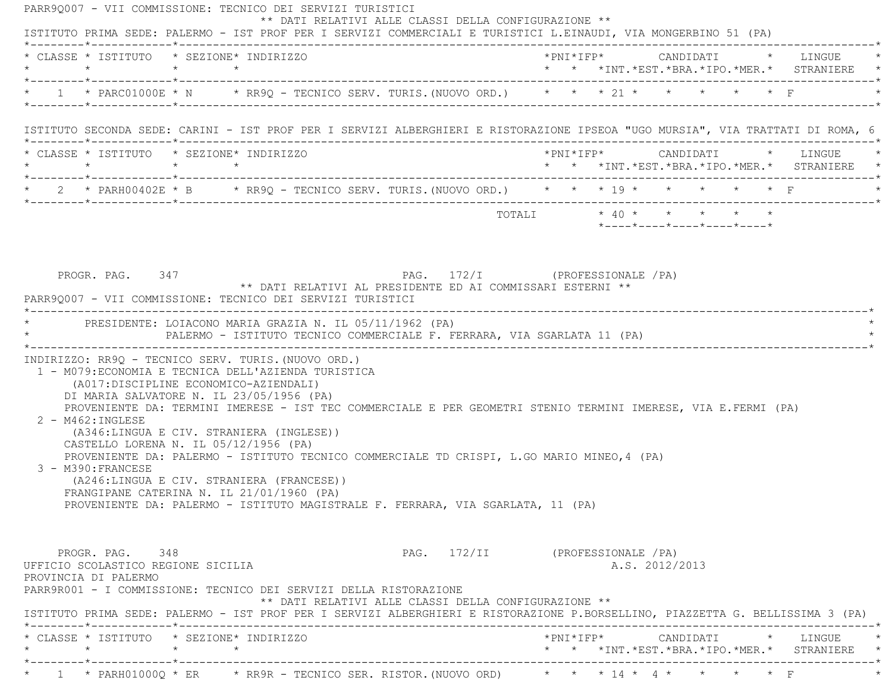PARR9Q007 - VII COMMISSIONE: TECNICO DEI SERVIZI TURISTICI \*\* DATI RELATIVI ALLE CLASSI DELLA CONFIGURAZIONE \*\* ISTITUTO PRIMA SEDE: PALERMO - IST PROF PER I SERVIZI COMMERCIALI E TURISTICI L.EINAUDI, VIA MONGERBINO 51 (PA) \*--------\*------------\*-------------------------------------------------------------------------------------------------------\* \* CLASSE \* ISTITUTO \* SEZIONE\* INDIRIZZO \*PNI\*IFP\* CANDIDATI \* LINGUE \* \* \* \* \* \* \* \*INT.\*EST.\*BRA.\*IPO.\*MER.\* STRANIERE \* \*--------\*------------\*-------------------------------------------------------------------------------------------------------\*\* 1 \* PARC01000E \* N \* RR9Q - TECNICO SERV. TURIS.(NUOVO ORD.) \* \* \* 21 \* \* \* \* \* \* \* F \*--------\*------------\*-------------------------------------------------------------------------------------------------------\* ISTITUTO SECONDA SEDE: CARINI - IST PROF PER I SERVIZI ALBERGHIERI E RISTORAZIONE IPSEOA "UGO MURSIA", VIA TRATTATI DI ROMA, 6 \*--------\*------------\*-------------------------------------------------------------------------------------------------------\* \* CLASSE \* ISTITUTO \* SEZIONE\* INDIRIZZO \*PNI\*IFP\* CANDIDATI \* LINGUE \* \* \* \* \* \* \* \*INT.\*EST.\*BRA.\*IPO.\*MER.\* STRANIERE \* \*--------\*------------\*-------------------------------------------------------------------------------------------------------\* \* 2 \* PARH00402E \* B \* RR9Q - TECNICO SERV. TURIS.(NUOVO ORD.) \* \* \* 19 \* \* \* \* \* F \* \*--------\*------------\*-------------------------------------------------------------------------------------------------------\* $\texttt{TOTAL} \qquad \qquad \star \quad 40 \; \star \qquad \star \qquad \star \qquad \star \qquad \star \qquad \star$  \*----\*----\*----\*----\*----\* PROGR. PAG. 347 PAG. 172/I (PROFESSIONALE /PA) \*\* DATI RELATIVI AL PRESIDENTE ED AI COMMISSARI ESTERNI \*\* PARR9Q007 - VII COMMISSIONE: TECNICO DEI SERVIZI TURISTICI \*----------------------------------------------------------------------------------------------------------------------------\*PRESIDENTE: LOIACONO MARIA GRAZIA N. IL 05/11/1962 (PA) PALERMO - ISTITUTO TECNICO COMMERCIALE F. FERRARA, VIA SGARLATA 11 (PA) \*----------------------------------------------------------------------------------------------------------------------------\* INDIRIZZO: RR9Q - TECNICO SERV. TURIS.(NUOVO ORD.) 1 - M079:ECONOMIA E TECNICA DELL'AZIENDA TURISTICA (A017:DISCIPLINE ECONOMICO-AZIENDALI) DI MARIA SALVATORE N. IL 23/05/1956 (PA) PROVENIENTE DA: TERMINI IMERESE - IST TEC COMMERCIALE E PER GEOMETRI STENIO TERMINI IMERESE, VIA E.FERMI (PA) 2 - M462:INGLESE (A346:LINGUA E CIV. STRANIERA (INGLESE)) CASTELLO LORENA N. IL 05/12/1956 (PA) PROVENIENTE DA: PALERMO - ISTITUTO TECNICO COMMERCIALE TD CRISPI, L.GO MARIO MINEO,4 (PA) 3 - M390:FRANCESE (A246:LINGUA E CIV. STRANIERA (FRANCESE)) FRANGIPANE CATERINA N. IL 21/01/1960 (PA) PROVENIENTE DA: PALERMO - ISTITUTO MAGISTRALE F. FERRARA, VIA SGARLATA, 11 (PA) PROGR. PAG. 348 PAG. 272/II (PROFESSIONALE /PA) UFFICIO SCOLASTICO REGIONE SICILIA A.S. 2012/2013 PROVINCIA DI PALERMO PARR9R001 - I COMMISSIONE: TECNICO DEI SERVIZI DELLA RISTORAZIONE \*\* DATI RELATIVI ALLE CLASSI DELLA CONFIGURAZIONE \*\* ISTITUTO PRIMA SEDE: PALERMO - IST PROF PER I SERVIZI ALBERGHIERI E RISTORAZIONE P.BORSELLINO, PIAZZETTA G. BELLISSIMA 3 (PA) \*--------\*------------\*-------------------------------------------------------------------------------------------------------\* \* CLASSE \* ISTITUTO \* SEZIONE\* INDIRIZZO \*PNI\*IFP\* CANDIDATI \* LINGUE \* \* \* \* \* \* \* \*INT.\*EST.\*BRA.\*IPO.\*MER.\* STRANIERE \* \*--------\*------------\*-------------------------------------------------------------------------------------------------------\*\* 1 \* PARH01000Q \* ER \* RR9R - TECNICO SER. RISTOR. (NUOVO ORD) \* \* \* 14 \* 4 \* \* \* \* \* \* F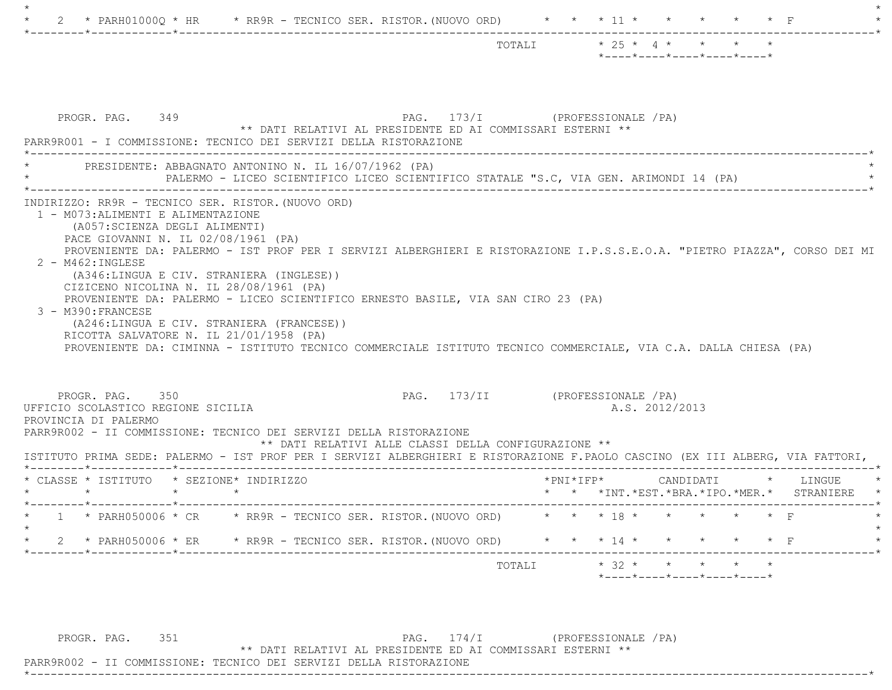| PAG. 173/I (PROFESSIONALE /PA)<br>PROGR. PAG. 349<br>** DATI RELATIVI AL PRESIDENTE ED AI COMMISSARI ESTERNI **<br>PARR9R001 - I COMMISSIONE: TECNICO DEI SERVIZI DELLA RISTORAZIONE<br>PRESIDENTE: ABBAGNATO ANTONINO N. IL 16/07/1962 (PA)<br>PALERMO - LICEO SCIENTIFICO LICEO SCIENTIFICO STATALE "S.C, VIA GEN. ARIMONDI 14 (PA)<br>INDIRIZZO: RR9R - TECNICO SER. RISTOR. (NUOVO ORD)<br>1 - M073: ALIMENTI E ALIMENTAZIONE<br>(A057:SCIENZA DEGLI ALIMENTI)<br>PACE GIOVANNI N. IL 02/08/1961 (PA)<br>PROVENIENTE DA: PALERMO - IST PROF PER I SERVIZI ALBERGHIERI E RISTORAZIONE I.P.S.S.E.O.A. "PIETRO PIAZZA", CORSO DEI MI<br>$2 - M462 : INGLESE$<br>(A346:LINGUA E CIV. STRANIERA (INGLESE))<br>CIZICENO NICOLINA N. IL 28/08/1961 (PA)<br>PROVENIENTE DA: PALERMO - LICEO SCIENTIFICO ERNESTO BASILE, VIA SAN CIRO 23 (PA)<br>3 - M390: FRANCESE<br>(A246:LINGUA E CIV. STRANIERA (FRANCESE))<br>RICOTTA SALVATORE N. IL 21/01/1958 (PA)<br>PROVENIENTE DA: CIMINNA - ISTITUTO TECNICO COMMERCIALE ISTITUTO TECNICO COMMERCIALE, VIA C.A. DALLA CHIESA (PA)<br>PROGR. PAG. 350<br>PAG. 173/II (PROFESSIONALE /PA)<br>A.S. 2012/2013<br>UFFICIO SCOLASTICO REGIONE SICILIA<br>PROVINCIA DI PALERMO<br>PARR9R002 - II COMMISSIONE: TECNICO DEI SERVIZI DELLA RISTORAZIONE<br>** DATI RELATIVI ALLE CLASSI DELLA CONFIGURAZIONE **<br>ISTITUTO PRIMA SEDE: PALERMO - IST PROF PER I SERVIZI ALBERGHIERI E RISTORAZIONE F.PAOLO CASCINO (EX III ALBERG, VIA FATTORI,<br>* CLASSE * ISTITUTO * SEZIONE* INDIRIZZO<br>*PNI*IFP* CANDIDATI * LINGUE<br>$\star$ $\star$<br>* * *INT. *EST. *BRA. *IPO. *MER. * STRANIERE<br>1 * PARH050006 * CR * RR9R - TECNICO SER. RISTOR. (NUOVO ORD) * * * 18 * * * * * * * F<br>2 * PARH050006 * ER * RR9R - TECNICO SER. RISTOR. (NUOVO ORD) * * * 14 * * * * * * * F<br>$\star$ | $* 25 * 4 * * * * *$<br>TOTALI<br>$*$ - - - - $*$ - - - - $*$ - - - - $*$ - - - - $*$ - - - - $*$ |
|-------------------------------------------------------------------------------------------------------------------------------------------------------------------------------------------------------------------------------------------------------------------------------------------------------------------------------------------------------------------------------------------------------------------------------------------------------------------------------------------------------------------------------------------------------------------------------------------------------------------------------------------------------------------------------------------------------------------------------------------------------------------------------------------------------------------------------------------------------------------------------------------------------------------------------------------------------------------------------------------------------------------------------------------------------------------------------------------------------------------------------------------------------------------------------------------------------------------------------------------------------------------------------------------------------------------------------------------------------------------------------------------------------------------------------------------------------------------------------------------------------------------------------------------------------------------------------------------------------------------------------------------------------------------------------------------------------------------------------------------------------------------------------------------------------------------------------|---------------------------------------------------------------------------------------------------|
|                                                                                                                                                                                                                                                                                                                                                                                                                                                                                                                                                                                                                                                                                                                                                                                                                                                                                                                                                                                                                                                                                                                                                                                                                                                                                                                                                                                                                                                                                                                                                                                                                                                                                                                                                                                                                               |                                                                                                   |
|                                                                                                                                                                                                                                                                                                                                                                                                                                                                                                                                                                                                                                                                                                                                                                                                                                                                                                                                                                                                                                                                                                                                                                                                                                                                                                                                                                                                                                                                                                                                                                                                                                                                                                                                                                                                                               |                                                                                                   |
|                                                                                                                                                                                                                                                                                                                                                                                                                                                                                                                                                                                                                                                                                                                                                                                                                                                                                                                                                                                                                                                                                                                                                                                                                                                                                                                                                                                                                                                                                                                                                                                                                                                                                                                                                                                                                               |                                                                                                   |
|                                                                                                                                                                                                                                                                                                                                                                                                                                                                                                                                                                                                                                                                                                                                                                                                                                                                                                                                                                                                                                                                                                                                                                                                                                                                                                                                                                                                                                                                                                                                                                                                                                                                                                                                                                                                                               |                                                                                                   |
|                                                                                                                                                                                                                                                                                                                                                                                                                                                                                                                                                                                                                                                                                                                                                                                                                                                                                                                                                                                                                                                                                                                                                                                                                                                                                                                                                                                                                                                                                                                                                                                                                                                                                                                                                                                                                               |                                                                                                   |
|                                                                                                                                                                                                                                                                                                                                                                                                                                                                                                                                                                                                                                                                                                                                                                                                                                                                                                                                                                                                                                                                                                                                                                                                                                                                                                                                                                                                                                                                                                                                                                                                                                                                                                                                                                                                                               |                                                                                                   |
|                                                                                                                                                                                                                                                                                                                                                                                                                                                                                                                                                                                                                                                                                                                                                                                                                                                                                                                                                                                                                                                                                                                                                                                                                                                                                                                                                                                                                                                                                                                                                                                                                                                                                                                                                                                                                               |                                                                                                   |

PROGR. PAG. 351 PAG. 174/I (PROFESSIONALE /PA)

\*----------------------------------------------------------------------------------------------------------------------------\*

\*\* DATI RELATIVI AL PRESIDENTE ED AI COMMISSARI ESTERNI \*\*

PARR9R002 - II COMMISSIONE: TECNICO DEI SERVIZI DELLA RISTORAZIONE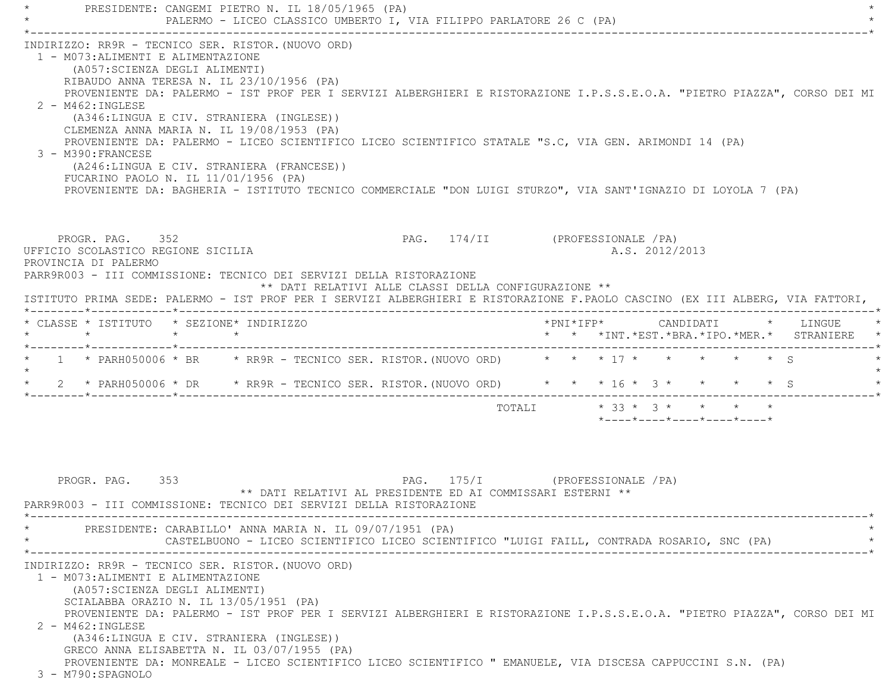PRESIDENTE: CANGEMI PIETRO N. IL 18/05/1965 (PA) PALERMO - LICEO CLASSICO UMBERTO I, VIA FILIPPO PARLATORE 26 C (PA) \*----------------------------------------------------------------------------------------------------------------------------\* INDIRIZZO: RR9R - TECNICO SER. RISTOR.(NUOVO ORD) 1 - M073:ALIMENTI E ALIMENTAZIONE (A057:SCIENZA DEGLI ALIMENTI) RIBAUDO ANNA TERESA N. IL 23/10/1956 (PA) PROVENIENTE DA: PALERMO - IST PROF PER I SERVIZI ALBERGHIERI E RISTORAZIONE I.P.S.S.E.O.A. "PIETRO PIAZZA", CORSO DEI MI 2 - M462:INGLESE (A346:LINGUA E CIV. STRANIERA (INGLESE)) CLEMENZA ANNA MARIA N. IL 19/08/1953 (PA) PROVENIENTE DA: PALERMO - LICEO SCIENTIFICO LICEO SCIENTIFICO STATALE "S.C, VIA GEN. ARIMONDI 14 (PA) 3 - M390:FRANCESE (A246:LINGUA E CIV. STRANIERA (FRANCESE)) FUCARINO PAOLO N. IL 11/01/1956 (PA) PROVENIENTE DA: BAGHERIA - ISTITUTO TECNICO COMMERCIALE "DON LUIGI STURZO", VIA SANT'IGNAZIO DI LOYOLA 7 (PA) PROGR. PAG. 352 PAG. 174/II (PROFESSIONALE /PA) UFFICIO SCOLASTICO REGIONE SICILIA A.S. 2012/2013 PROVINCIA DI PALERMO PARR9R003 - III COMMISSIONE: TECNICO DEI SERVIZI DELLA RISTORAZIONE \*\* DATI RELATIVI ALLE CLASSI DELLA CONFIGURAZIONE \*\* ISTITUTO PRIMA SEDE: PALERMO - IST PROF PER I SERVIZI ALBERGHIERI E RISTORAZIONE F.PAOLO CASCINO (EX III ALBERG, VIA FATTORI, \*--------\*------------\*-------------------------------------------------------------------------------------------------------\* \* CLASSE \* ISTITUTO \* SEZIONE\* INDIRIZZO \*PNI\*IFP\* CANDIDATI \* LINGUE \* \* \* \* \* \* \* \*INT.\*EST.\*BRA.\*IPO.\*MER.\* STRANIERE \* \*--------\*------------\*-------------------------------------------------------------------------------------------------------\*1 \* PARH050006 \* BR \* RR9R - TECNICO SER. RISTOR. (NUOVO ORD) \* \* \* 17 \* \* \* \* \* \* \* \* S  $\star$  \* 2 \* PARH050006 \* DR \* RR9R - TECNICO SER. RISTOR.(NUOVO ORD) \* \* \* 16 \* 3 \* \* \* \* S \* \*--------\*------------\*-------------------------------------------------------------------------------------------------------\* TOTALI \* 33 \* 3 \* \* \* \*\*----\*----\*----\*----\*----\*

 PROGR. PAG. 353 PAG. 175/I (PROFESSIONALE /PA) \*\* DATI RELATIVI AL PRESIDENTE ED AI COMMISSARI ESTERNI \*\* PARR9R003 - III COMMISSIONE: TECNICO DEI SERVIZI DELLA RISTORAZIONE \*----------------------------------------------------------------------------------------------------------------------------\*PRESIDENTE: CARABILLO' ANNA MARIA N. IL 09/07/1951 (PA) CASTELBUONO - LICEO SCIENTIFICO LICEO SCIENTIFICO "LUIGI FAILL, CONTRADA ROSARIO, SNC (PA) \*----------------------------------------------------------------------------------------------------------------------------\* INDIRIZZO: RR9R - TECNICO SER. RISTOR.(NUOVO ORD) 1 - M073:ALIMENTI E ALIMENTAZIONE (A057:SCIENZA DEGLI ALIMENTI) SCIALABBA ORAZIO N. IL 13/05/1951 (PA) PROVENIENTE DA: PALERMO - IST PROF PER I SERVIZI ALBERGHIERI E RISTORAZIONE I.P.S.S.E.O.A. "PIETRO PIAZZA", CORSO DEI MI 2 - M462:INGLESE (A346:LINGUA E CIV. STRANIERA (INGLESE)) GRECO ANNA ELISABETTA N. IL 03/07/1955 (PA) PROVENIENTE DA: MONREALE - LICEO SCIENTIFICO LICEO SCIENTIFICO " EMANUELE, VIA DISCESA CAPPUCCINI S.N. (PA) 3 - M790:SPAGNOLO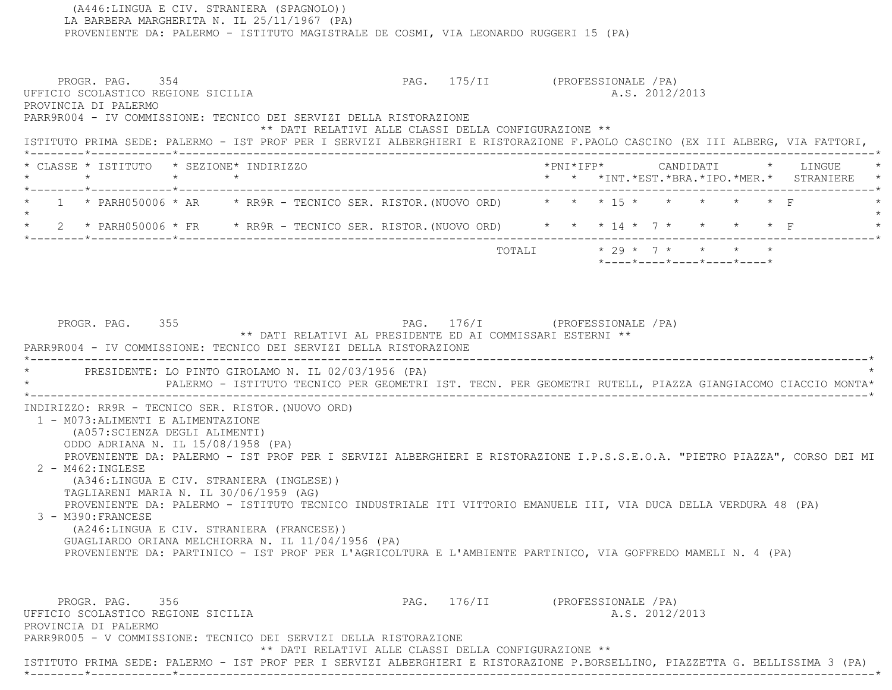LA BARBERA MARGHERITA N. IL 25/11/1967 (PA) PROVENIENTE DA: PALERMO - ISTITUTO MAGISTRALE DE COSMI, VIA LEONARDO RUGGERI 15 (PA) PROGR. PAG. 354 PAG. 175/II (PROFESSIONALE /PA) UFFICIO SCOLASTICO REGIONE SICILIA A.S. 2012/2013 PROVINCIA DI PALERMO PARR9R004 - IV COMMISSIONE: TECNICO DEI SERVIZI DELLA RISTORAZIONE \*\* DATI RELATIVI ALLE CLASSI DELLA CONFIGURAZIONE \*\* ISTITUTO PRIMA SEDE: PALERMO - IST PROF PER I SERVIZI ALBERGHIERI E RISTORAZIONE F.PAOLO CASCINO (EX III ALBERG, VIA FATTORI,  $\star$  +  $\star$  +  $\star$  +  $\star$  +  $\star$  +  $\star$  +  $\star$  +  $\star$  +  $\star$  +  $\star$  +  $\star$  +  $\star$  +  $\star$  +  $\star$  +  $\star$  +  $\star$  +  $\star$  +  $\star$  +  $\star$  +  $\star$  +  $\star$  +  $\star$  +  $\star$  +  $\star$  +  $\star$  +  $\star$  +  $\star$  +  $\star$  +  $\star$  +  $\star$  +  $\star$  +  $\star$  \* CLASSE \* ISTITUTO \* SEZIONE\* INDIRIZZO \*PNI\*IFP\* CANDIDATI \* LINGUE \* \* \* \* \* \* \* \*INT.\*EST.\*BRA.\*IPO.\*MER.\* STRANIERE \* \*--------\*------------\*-------------------------------------------------------------------------------------------------------\*1 \* PARH050006 \* AR \* RR9R - TECNICO SER. RISTOR.(NUOVO ORD) \* \* \* \* \* \* \* \* F  $\star$  \* 2 \* PARH050006 \* FR \* RR9R - TECNICO SER. RISTOR.(NUOVO ORD) \* \* \* 14 \* 7 \* \* \* \* F \* \*--------\*------------\*-------------------------------------------------------------------------------------------------------\*TOTALI  $* 29 * 7 * * * * * * * *$  \*----\*----\*----\*----\*----\*PROGR. PAG. 355 PAG. 176/I (PROFESSIONALE /PA) \*\* DATI RELATIVI AL PRESIDENTE ED AI COMMISSARI ESTERNI \*\* PARR9R004 - IV COMMISSIONE: TECNICO DEI SERVIZI DELLA RISTORAZIONE \*----------------------------------------------------------------------------------------------------------------------------\*PRESIDENTE: LO PINTO GIROLAMO N. IL 02/03/1956 (PA) \* PALERMO - ISTITUTO TECNICO PER GEOMETRI IST. TECN. PER GEOMETRI RUTELL, PIAZZA GIANGIACOMO CIACCIO MONTA\* \*----------------------------------------------------------------------------------------------------------------------------\* INDIRIZZO: RR9R - TECNICO SER. RISTOR.(NUOVO ORD) 1 - M073:ALIMENTI E ALIMENTAZIONE (A057:SCIENZA DEGLI ALIMENTI) ODDO ADRIANA N. IL 15/08/1958 (PA) PROVENIENTE DA: PALERMO - IST PROF PER I SERVIZI ALBERGHIERI E RISTORAZIONE I.P.S.S.E.O.A. "PIETRO PIAZZA", CORSO DEI MI 2 - M462:INGLESE (A346:LINGUA E CIV. STRANIERA (INGLESE)) TAGLIARENI MARIA N. IL 30/06/1959 (AG) PROVENIENTE DA: PALERMO - ISTITUTO TECNICO INDUSTRIALE ITI VITTORIO EMANUELE III, VIA DUCA DELLA VERDURA 48 (PA) 3 - M390:FRANCESE (A246:LINGUA E CIV. STRANIERA (FRANCESE)) GUAGLIARDO ORIANA MELCHIORRA N. IL 11/04/1956 (PA) PROVENIENTE DA: PARTINICO - IST PROF PER L'AGRICOLTURA E L'AMBIENTE PARTINICO, VIA GOFFREDO MAMELI N. 4 (PA) PROGR. PAG. 356 PAG. 176/II (PROFESSIONALE /PA) UFFICIO SCOLASTICO REGIONE SICILIA A.S. 2012/2013 PROVINCIA DI PALERMO PARR9R005 - V COMMISSIONE: TECNICO DEI SERVIZI DELLA RISTORAZIONE \*\* DATI RELATIVI ALLE CLASSI DELLA CONFIGURAZIONE \*\* ISTITUTO PRIMA SEDE: PALERMO - IST PROF PER I SERVIZI ALBERGHIERI E RISTORAZIONE P.BORSELLINO, PIAZZETTA G. BELLISSIMA 3 (PA) \*--------\*------------\*-------------------------------------------------------------------------------------------------------\*

(A446:LINGUA E CIV. STRANIERA (SPAGNOLO))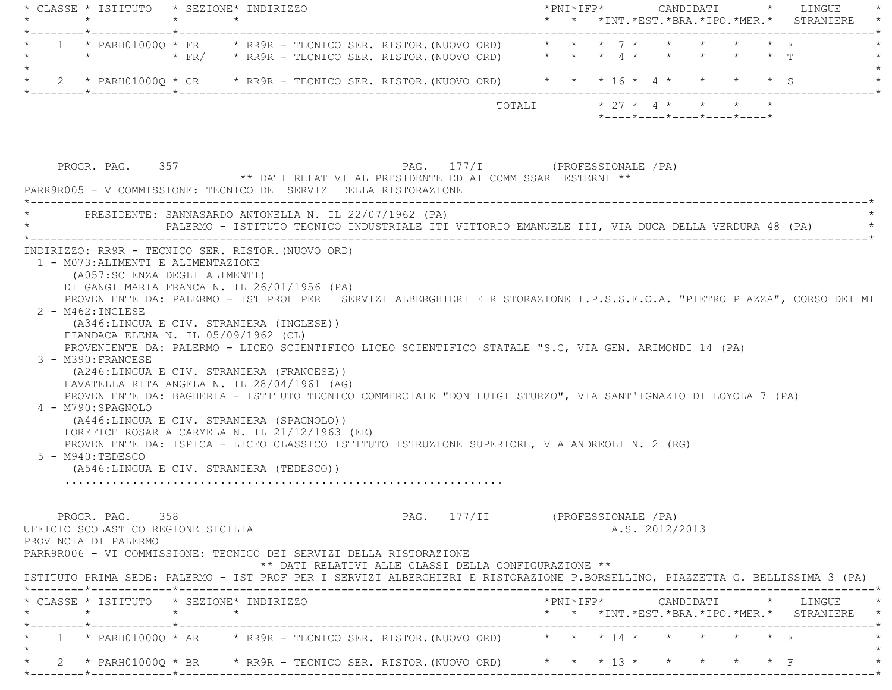|                                    | * CLASSE * ISTITUTO * SEZIONE* INDIRIZZO                                                                                      |                                  | $*$ PNI $*$ IFP $*$ |  |                |                                                                                                  | CANDIDATI * LINGUE                              |  |
|------------------------------------|-------------------------------------------------------------------------------------------------------------------------------|----------------------------------|---------------------|--|----------------|--------------------------------------------------------------------------------------------------|-------------------------------------------------|--|
| $\star$                            |                                                                                                                               |                                  |                     |  |                |                                                                                                  | * * *INT. *EST. *BRA. *IPO. *MER. * STRANIERE   |  |
|                                    | 1 * PARH01000Q * FR * RR9R - TECNICO SER. RISTOR. (NUOVO ORD) * * * 7 *                                                       |                                  |                     |  |                |                                                                                                  |                                                 |  |
|                                    | * * * FR/ * RR9R - TECNICO SER. RISTOR. (NUOVO ORD) * * * 4 * * * * * * * T                                                   |                                  |                     |  |                |                                                                                                  |                                                 |  |
|                                    |                                                                                                                               |                                  |                     |  |                |                                                                                                  |                                                 |  |
|                                    | 2 * PARH01000Q * CR * RR9R - TECNICO SER. RISTOR. (NUOVO ORD) * * * 16 * 4 * * * * * * \$ S                                   |                                  |                     |  |                |                                                                                                  |                                                 |  |
|                                    |                                                                                                                               |                                  |                     |  |                |                                                                                                  |                                                 |  |
|                                    |                                                                                                                               | TOTALI                           |                     |  |                | $\star$ 27 $\star$ 4 $\star$ $\star$ $\star$<br>$*$ ---- $*$ ---- $*$ ---- $*$ ---- $*$ ---- $*$ |                                                 |  |
|                                    |                                                                                                                               |                                  |                     |  |                |                                                                                                  |                                                 |  |
|                                    |                                                                                                                               |                                  |                     |  |                |                                                                                                  |                                                 |  |
|                                    |                                                                                                                               |                                  |                     |  |                |                                                                                                  |                                                 |  |
| PROGR. PAG. 357                    |                                                                                                                               | PAG. 177/I (PROFESSIONALE / PA)  |                     |  |                |                                                                                                  |                                                 |  |
|                                    | ** DATI RELATIVI AL PRESIDENTE ED AI COMMISSARI ESTERNI **                                                                    |                                  |                     |  |                |                                                                                                  |                                                 |  |
|                                    | PARR9R005 - V COMMISSIONE: TECNICO DEI SERVIZI DELLA RISTORAZIONE                                                             |                                  |                     |  |                |                                                                                                  |                                                 |  |
|                                    | PRESIDENTE: SANNASARDO ANTONELLA N. IL 22/07/1962 (PA)                                                                        |                                  |                     |  |                |                                                                                                  |                                                 |  |
|                                    | PALERMO - ISTITUTO TECNICO INDUSTRIALE ITI VITTORIO EMANUELE III, VIA DUCA DELLA VERDURA 48 (PA)                              |                                  |                     |  |                |                                                                                                  |                                                 |  |
|                                    |                                                                                                                               |                                  |                     |  |                |                                                                                                  |                                                 |  |
|                                    | INDIRIZZO: RR9R - TECNICO SER. RISTOR. (NUOVO ORD)                                                                            |                                  |                     |  |                |                                                                                                  |                                                 |  |
| 1 - M073: ALIMENTI E ALIMENTAZIONE |                                                                                                                               |                                  |                     |  |                |                                                                                                  |                                                 |  |
| (A057: SCIENZA DEGLI ALIMENTI)     |                                                                                                                               |                                  |                     |  |                |                                                                                                  |                                                 |  |
|                                    | DI GANGI MARIA FRANCA N. IL 26/01/1956 (PA)                                                                                   |                                  |                     |  |                |                                                                                                  |                                                 |  |
|                                    | PROVENIENTE DA: PALERMO - IST PROF PER I SERVIZI ALBERGHIERI E RISTORAZIONE I.P.S.S.E.O.A. "PIETRO PIAZZA", CORSO DEI MI      |                                  |                     |  |                |                                                                                                  |                                                 |  |
| $2 - M462 : INGLESE$               | (A346:LINGUA E CIV. STRANIERA (INGLESE))                                                                                      |                                  |                     |  |                |                                                                                                  |                                                 |  |
|                                    | FIANDACA ELENA N. IL $05/09/1962$ (CL)                                                                                        |                                  |                     |  |                |                                                                                                  |                                                 |  |
|                                    | PROVENIENTE DA: PALERMO - LICEO SCIENTIFICO LICEO SCIENTIFICO STATALE "S.C, VIA GEN. ARIMONDI 14 (PA)                         |                                  |                     |  |                |                                                                                                  |                                                 |  |
| 3 - M390: FRANCESE                 |                                                                                                                               |                                  |                     |  |                |                                                                                                  |                                                 |  |
|                                    | (A246:LINGUA E CIV. STRANIERA (FRANCESE))                                                                                     |                                  |                     |  |                |                                                                                                  |                                                 |  |
|                                    | FAVATELLA RITA ANGELA N. IL 28/04/1961 (AG)                                                                                   |                                  |                     |  |                |                                                                                                  |                                                 |  |
|                                    | PROVENIENTE DA: BAGHERIA - ISTITUTO TECNICO COMMERCIALE "DON LUIGI STURZO", VIA SANT'IGNAZIO DI LOYOLA 7 (PA)                 |                                  |                     |  |                |                                                                                                  |                                                 |  |
| 4 - M790:SPAGNOLO                  |                                                                                                                               |                                  |                     |  |                |                                                                                                  |                                                 |  |
|                                    | (A446:LINGUA E CIV. STRANIERA (SPAGNOLO))                                                                                     |                                  |                     |  |                |                                                                                                  |                                                 |  |
|                                    | LOREFICE ROSARIA CARMELA N. IL 21/12/1963 (EE)                                                                                |                                  |                     |  |                |                                                                                                  |                                                 |  |
|                                    | PROVENIENTE DA: ISPICA - LICEO CLASSICO ISTITUTO ISTRUZIONE SUPERIORE, VIA ANDREOLI N. 2 (RG)                                 |                                  |                     |  |                |                                                                                                  |                                                 |  |
| 5 - M940: TEDESCO                  | (A546:LINGUA E CIV. STRANIERA (TEDESCO))                                                                                      |                                  |                     |  |                |                                                                                                  |                                                 |  |
|                                    |                                                                                                                               |                                  |                     |  |                |                                                                                                  |                                                 |  |
|                                    |                                                                                                                               |                                  |                     |  |                |                                                                                                  |                                                 |  |
|                                    |                                                                                                                               |                                  |                     |  |                |                                                                                                  |                                                 |  |
| PROGR. PAG. 358                    |                                                                                                                               | PAG. 177/II (PROFESSIONALE / PA) |                     |  |                |                                                                                                  |                                                 |  |
| UFFICIO SCOLASTICO REGIONE SICILIA |                                                                                                                               |                                  |                     |  | A.S. 2012/2013 |                                                                                                  |                                                 |  |
| PROVINCIA DI PALERMO               |                                                                                                                               |                                  |                     |  |                |                                                                                                  |                                                 |  |
|                                    | PARR9R006 - VI COMMISSIONE: TECNICO DEI SERVIZI DELLA RISTORAZIONE                                                            |                                  |                     |  |                |                                                                                                  |                                                 |  |
|                                    | ** DATI RELATIVI ALLE CLASSI DELLA CONFIGURAZIONE **                                                                          |                                  |                     |  |                |                                                                                                  |                                                 |  |
|                                    | ISTITUTO PRIMA SEDE: PALERMO - IST PROF PER I SERVIZI ALBERGHIERI E RISTORAZIONE P.BORSELLINO, PIAZZETTA G. BELLISSIMA 3 (PA) |                                  |                     |  |                |                                                                                                  |                                                 |  |
|                                    | * CLASSE * ISTITUTO * SEZIONE* INDIRIZZO                                                                                      |                                  |                     |  |                |                                                                                                  | $*$ PNI $*$ IFP $*$ CANDIDATI $*$ LINGUE $*$    |  |
|                                    |                                                                                                                               |                                  |                     |  |                |                                                                                                  | * * *INT. *EST. *BRA. *IPO. *MER. * STRANIERE * |  |
| -----------*----------             |                                                                                                                               |                                  |                     |  |                |                                                                                                  |                                                 |  |
|                                    | 1 * PARH01000Q * AR * RR9R - TECNICO SER. RISTOR. (NUOVO ORD) * * * 14 * * * * * * * F                                        |                                  |                     |  |                |                                                                                                  |                                                 |  |
|                                    |                                                                                                                               |                                  |                     |  |                |                                                                                                  |                                                 |  |
|                                    | 2 * PARH01000Q * BR * RR9R - TECNICO SER. RISTOR. (NUOVO ORD) * * * 13 * * * * * * * F                                        |                                  |                     |  |                |                                                                                                  |                                                 |  |
|                                    |                                                                                                                               |                                  |                     |  |                |                                                                                                  |                                                 |  |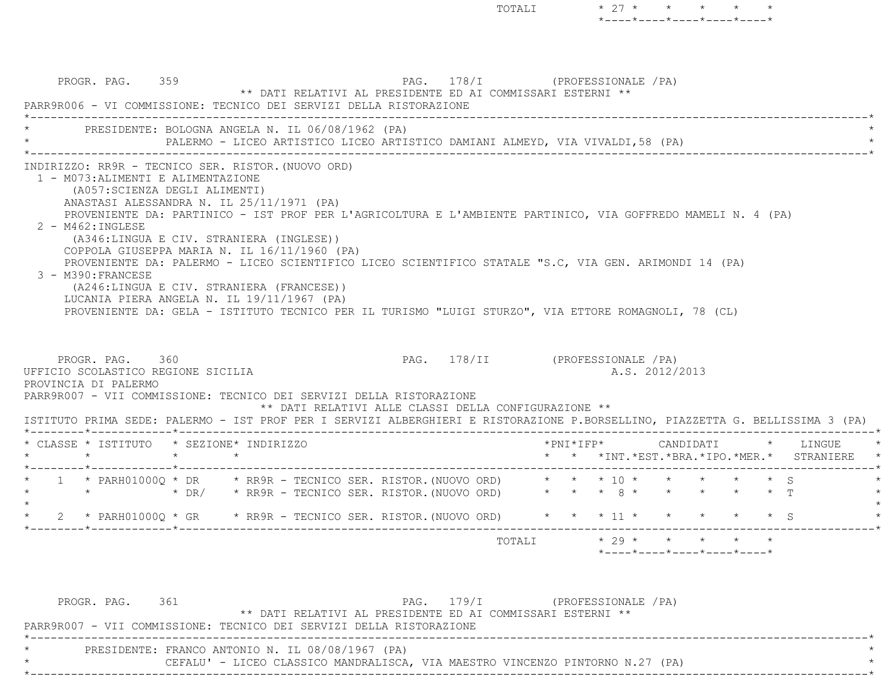| PROGR. PAG. 359<br>PARR9R006 - VI COMMISSIONE: TECNICO DEI SERVIZI DELLA RISTORAZIONE<br>PRESIDENTE: BOLOGNA ANGELA N. IL 06/08/1962 (PA)                                                                                                                                                                                                                                                                                                                                                                                                                                          |                                                                                |  |  | PAG. 178/I (PROFESSIONALE /PA)<br>** DATI RELATIVI AL PRESIDENTE ED AI COMMISSARI ESTERNI ** |  |                       |  |                |  |                                                                     |  |
|------------------------------------------------------------------------------------------------------------------------------------------------------------------------------------------------------------------------------------------------------------------------------------------------------------------------------------------------------------------------------------------------------------------------------------------------------------------------------------------------------------------------------------------------------------------------------------|--------------------------------------------------------------------------------|--|--|----------------------------------------------------------------------------------------------|--|-----------------------|--|----------------|--|---------------------------------------------------------------------|--|
|                                                                                                                                                                                                                                                                                                                                                                                                                                                                                                                                                                                    | PALERMO - LICEO ARTISTICO LICEO ARTISTICO DAMIANI ALMEYD, VIA VIVALDI, 58 (PA) |  |  |                                                                                              |  |                       |  |                |  |                                                                     |  |
| (A057: SCIENZA DEGLI ALIMENTI)<br>ANASTASI ALESSANDRA N. IL 25/11/1971 (PA)<br>PROVENIENTE DA: PARTINICO - IST PROF PER L'AGRICOLTURA E L'AMBIENTE PARTINICO, VIA GOFFREDO MAMELI N. 4 (PA)<br>$2 - M462 : INGLEX$                                                                                                                                                                                                                                                                                                                                                                 |                                                                                |  |  |                                                                                              |  |                       |  |                |  |                                                                     |  |
| (A346:LINGUA E CIV. STRANIERA (INGLESE))<br>COPPOLA GIUSEPPA MARIA N. IL 16/11/1960 (PA)<br>PROVENIENTE DA: PALERMO - LICEO SCIENTIFICO LICEO SCIENTIFICO STATALE "S.C, VIA GEN. ARIMONDI 14 (PA)<br>3 - M390: FRANCESE<br>(A246:LINGUA E CIV. STRANIERA (FRANCESE))<br>LUCANIA PIERA ANGELA N. IL 19/11/1967 (PA)<br>PROVENIENTE DA: GELA - ISTITUTO TECNICO PER IL TURISMO "LUIGI STURZO", VIA ETTORE ROMAGNOLI, 78 (CL)<br>PROGR. PAG. 360<br>UFFICIO SCOLASTICO REGIONE SICILIA<br>PROVINCIA DI PALERMO<br>PARR9R007 - VII COMMISSIONE: TECNICO DEI SERVIZI DELLA RISTORAZIONE |                                                                                |  |  | PAG. 178/II (PROFESSIONALE /PA)                                                              |  |                       |  | A.S. 2012/2013 |  |                                                                     |  |
| ISTITUTO PRIMA SEDE: PALERMO - IST PROF PER I SERVIZI ALBERGHIERI E RISTORAZIONE P.BORSELLINO, PIAZZETTA G. BELLISSIMA 3 (PA)                                                                                                                                                                                                                                                                                                                                                                                                                                                      |                                                                                |  |  | ** DATI RELATIVI ALLE CLASSI DELLA CONFIGURAZIONE **                                         |  |                       |  |                |  |                                                                     |  |
| * CLASSE * ISTITUTO * SEZIONE* INDIRIZZO                                                                                                                                                                                                                                                                                                                                                                                                                                                                                                                                           | $\star$                                                                        |  |  |                                                                                              |  | $*$ PNI $*$ I F P $*$ |  |                |  | CANDIDATI * LINGUE<br>* * *INT. *EST. *BRA. *IPO. *MER. * STRANIERE |  |
| 1 * PARH01000Q * DR * RR9R - TECNICO SER. RISTOR. (NUOVO ORD) * * * 10 * * * * * * * \$<br>* * DR/ * RR9R – TECNICO SER. RISTOR. (NUOVO ORD) * * * * 8 * * * * * * * T                                                                                                                                                                                                                                                                                                                                                                                                             |                                                                                |  |  |                                                                                              |  |                       |  |                |  |                                                                     |  |
|                                                                                                                                                                                                                                                                                                                                                                                                                                                                                                                                                                                    |                                                                                |  |  |                                                                                              |  |                       |  |                |  |                                                                     |  |

| PROGR. PAG. 361 |                                                                     |                                                                               | PAG. 179/I | (PROFESSIONALE / PA) |  |  |
|-----------------|---------------------------------------------------------------------|-------------------------------------------------------------------------------|------------|----------------------|--|--|
|                 |                                                                     | ** DATI RELATIVI AL PRESIDENTE ED AI COMMISSARI ESTERNI **                    |            |                      |  |  |
|                 | PARR9R007 - VII COMMISSIONE: TECNICO DEI SERVIZI DELLA RISTORAZIONE |                                                                               |            |                      |  |  |
|                 |                                                                     |                                                                               |            |                      |  |  |
|                 | PRESIDENTE: FRANCO ANTONIO N. IL 08/08/1967 (PA)                    |                                                                               |            |                      |  |  |
|                 |                                                                     | CEFALU' - LICEO CLASSICO MANDRALISCA, VIA MAESTRO VINCENZO PINTORNO N.27 (PA) |            |                      |  |  |
|                 |                                                                     |                                                                               |            |                      |  |  |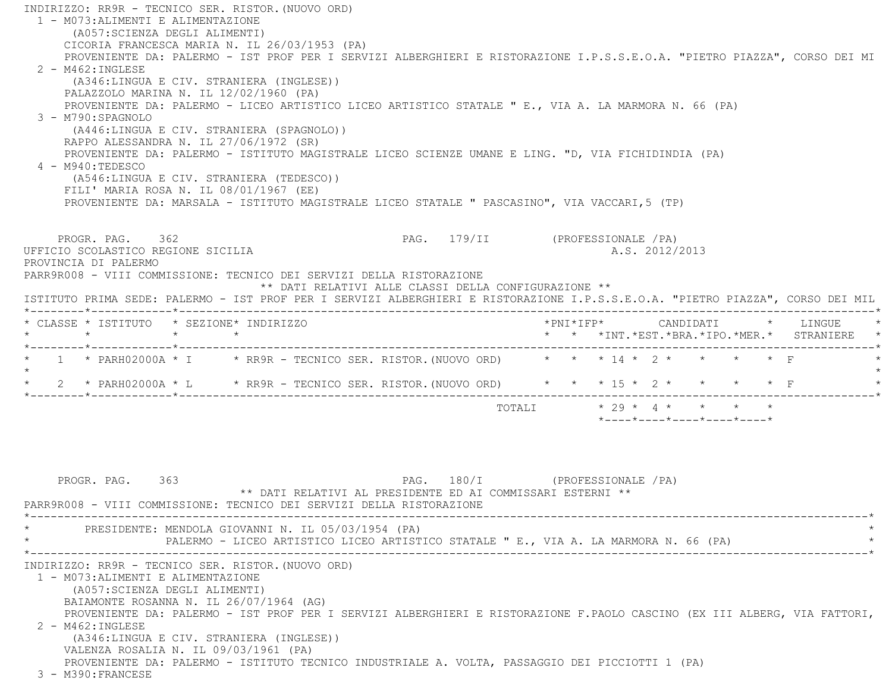INDIRIZZO: RR9R - TECNICO SER. RISTOR.(NUOVO ORD) 1 - M073:ALIMENTI E ALIMENTAZIONE (A057:SCIENZA DEGLI ALIMENTI) CICORIA FRANCESCA MARIA N. IL 26/03/1953 (PA) PROVENIENTE DA: PALERMO - IST PROF PER I SERVIZI ALBERGHIERI E RISTORAZIONE I.P.S.S.E.O.A. "PIETRO PIAZZA", CORSO DEI MI 2 - M462:INGLESE (A346:LINGUA E CIV. STRANIERA (INGLESE)) PALAZZOLO MARINA N. IL 12/02/1960 (PA) PROVENIENTE DA: PALERMO - LICEO ARTISTICO LICEO ARTISTICO STATALE " E., VIA A. LA MARMORA N. 66 (PA) 3 - M790:SPAGNOLO (A446:LINGUA E CIV. STRANIERA (SPAGNOLO)) RAPPO ALESSANDRA N. IL 27/06/1972 (SR) PROVENIENTE DA: PALERMO - ISTITUTO MAGISTRALE LICEO SCIENZE UMANE E LING. "D, VIA FICHIDINDIA (PA) 4 - M940:TEDESCO (A546:LINGUA E CIV. STRANIERA (TEDESCO)) FILI' MARIA ROSA N. IL 08/01/1967 (EE) PROVENIENTE DA: MARSALA - ISTITUTO MAGISTRALE LICEO STATALE " PASCASINO", VIA VACCARI,5 (TP) PROGR. PAG. 362 PAG. 179/II (PROFESSIONALE /PA) UFFICIO SCOLASTICO REGIONE SICILIA A.S. 2012/2013 PROVINCIA DI PALERMO PARR9R008 - VIII COMMISSIONE: TECNICO DEI SERVIZI DELLA RISTORAZIONE \*\* DATI RELATIVI ALLE CLASSI DELLA CONFIGURAZIONE \*\* ISTITUTO PRIMA SEDE: PALERMO - IST PROF PER I SERVIZI ALBERGHIERI E RISTORAZIONE I.P.S.S.E.O.A. "PIETRO PIAZZA", CORSO DEI MIL \*--------\*------------\*-------------------------------------------------------------------------------------------------------\* \* CLASSE \* ISTITUTO \* SEZIONE\* INDIRIZZO \*PNI\*IFP\* CANDIDATI \* LINGUE \* \* \* \* \* \* \* \*INT.\*EST.\*BRA.\*IPO.\*MER.\* STRANIERE \* \*--------\*------------\*-------------------------------------------------------------------------------------------------------\*1 \* PARH02000A \* I \* RR9R - TECNICO SER. RISTOR. (NUOVO ORD) \* \* \* 14 \* 2 \* \* \* \* \* F  $\star$  \* 2 \* PARH02000A \* L \* RR9R - TECNICO SER. RISTOR.(NUOVO ORD) \* \* \* 15 \* 2 \* \* \* \* F \* \*--------\*------------\*-------------------------------------------------------------------------------------------------------\*TOTALI  $\star$  29  $\star$  4  $\star$   $\star$   $\star$   $\star$  \*----\*----\*----\*----\*----\*PROGR. PAG. 363 PAG. 180/I (PROFESSIONALE /PA)

 \*\* DATI RELATIVI AL PRESIDENTE ED AI COMMISSARI ESTERNI \*\* PARR9R008 - VIII COMMISSIONE: TECNICO DEI SERVIZI DELLA RISTORAZIONE \*----------------------------------------------------------------------------------------------------------------------------\*PRESIDENTE: MENDOLA GIOVANNI N. IL 05/03/1954 (PA) PALERMO - LICEO ARTISTICO LICEO ARTISTICO STATALE " E., VIA A. LA MARMORA N. 66 (PA) \*----------------------------------------------------------------------------------------------------------------------------\* INDIRIZZO: RR9R - TECNICO SER. RISTOR.(NUOVO ORD) 1 - M073:ALIMENTI E ALIMENTAZIONE (A057:SCIENZA DEGLI ALIMENTI) BAIAMONTE ROSANNA N. IL 26/07/1964 (AG) PROVENIENTE DA: PALERMO - IST PROF PER I SERVIZI ALBERGHIERI E RISTORAZIONE F.PAOLO CASCINO (EX III ALBERG, VIA FATTORI, 2 - M462:INGLESE (A346:LINGUA E CIV. STRANIERA (INGLESE)) VALENZA ROSALIA N. IL 09/03/1961 (PA) PROVENIENTE DA: PALERMO - ISTITUTO TECNICO INDUSTRIALE A. VOLTA, PASSAGGIO DEI PICCIOTTI 1 (PA) 3 - M390:FRANCESE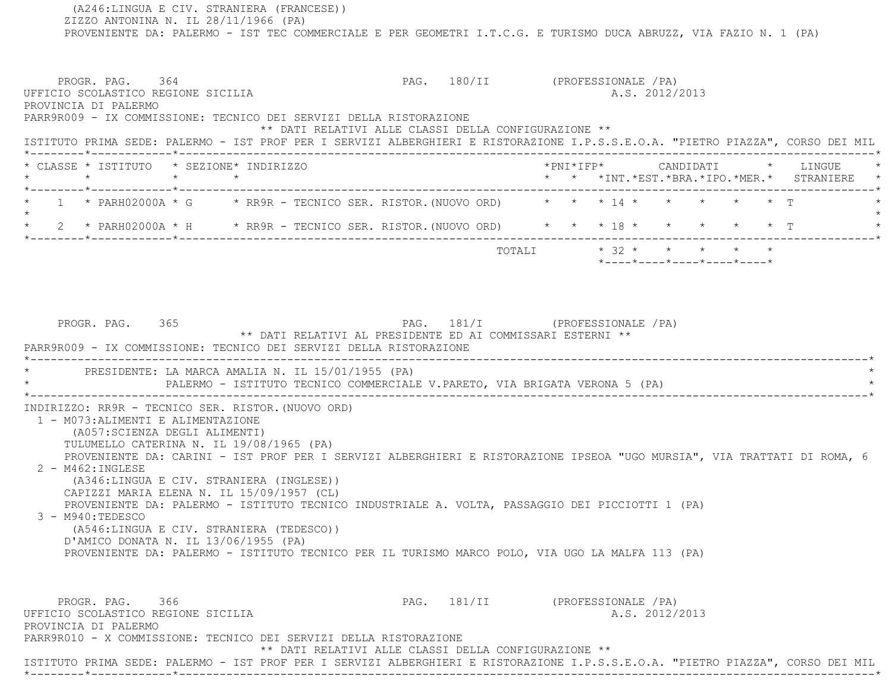(A246:LINGUA E CIV. STRANIERA (FRANCESE)) ZIZZO ANTONINA N. IL 28/11/1966 (PA) PROVENIENTE DA: PALERMO - IST TEC COMMERCIALE E PER GEOMETRI I.T.C.G. E TURISMO DUCA ABRUZZ, VIA FAZIO N. 1 (PA) PROGR. PAG. 364 PAG. 180/II (PROFESSIONALE /PA) UFFICIO SCOLASTICO REGIONE SICILIA A.S. 2012/2013 PROVINCIA DI PALERMO PARR9R009 - IX COMMISSIONE: TECNICO DEI SERVIZI DELLA RISTORAZIONE \*\* DATI RELATIVI ALLE CLASSI DELLA CONFIGURAZIONE \*\* ISTITUTO PRIMA SEDE: PALERMO - IST PROF PER I SERVIZI ALBERGHIERI E RISTORAZIONE I.P.S.S.E.O.A. "PIETRO PIAZZA", CORSO DEI MIL \*--------\*------------\*-------------------------------------------------------------------------------------------------------\* \* CLASSE \* ISTITUTO \* SEZIONE\* INDIRIZZO \*PNI\*IFP\* CANDIDATI \* LINGUE \* \* \* \* \* \* \* \*INT.\*EST.\*BRA.\*IPO.\*MER.\* STRANIERE \* \*--------\*------------\*-------------------------------------------------------------------------------------------------------\*1 \* PARH02000A \* G \* RR9R - TECNICO SER. RISTOR. (NUOVO ORD) \* \* \* 14 \* \* \* \* \* \* \* T  $\star$  \* 2 \* PARH02000A \* H \* RR9R - TECNICO SER. RISTOR.(NUOVO ORD) \* \* \* 18 \* \* \* \* \* T \* \*--------\*------------\*-------------------------------------------------------------------------------------------------------\* $\texttt{TOTAL} \qquad \qquad \star \quad 32 \qquad \star \qquad \star \qquad \star \qquad \star \qquad \star \qquad \star$  \*----\*----\*----\*----\*----\*PROGR. PAG. 365 PAG. 181/I (PROFESSIONALE /PA) \*\* DATI RELATIVI AL PRESIDENTE ED AI COMMISSARI ESTERNI \*\* PARR9R009 - IX COMMISSIONE: TECNICO DEI SERVIZI DELLA RISTORAZIONE \*----------------------------------------------------------------------------------------------------------------------------\*PRESIDENTE: LA MARCA AMALIA N. IL 15/01/1955 (PA) PALERMO - ISTITUTO TECNICO COMMERCIALE V.PARETO, VIA BRIGATA VERONA 5 (PA) \*----------------------------------------------------------------------------------------------------------------------------\* INDIRIZZO: RR9R - TECNICO SER. RISTOR.(NUOVO ORD) 1 - M073:ALIMENTI E ALIMENTAZIONE (A057:SCIENZA DEGLI ALIMENTI) TULUMELLO CATERINA N. IL 19/08/1965 (PA) PROVENIENTE DA: CARINI - IST PROF PER I SERVIZI ALBERGHIERI E RISTORAZIONE IPSEOA "UGO MURSIA", VIA TRATTATI DI ROMA, 6 2 - M462:INGLESE (A346:LINGUA E CIV. STRANIERA (INGLESE)) CAPIZZI MARIA ELENA N. IL 15/09/1957 (CL) PROVENIENTE DA: PALERMO - ISTITUTO TECNICO INDUSTRIALE A. VOLTA, PASSAGGIO DEI PICCIOTTI 1 (PA) 3 - M940:TEDESCO (A546:LINGUA E CIV. STRANIERA (TEDESCO)) D'AMICO DONATA N. IL 13/06/1955 (PA) PROVENIENTE DA: PALERMO - ISTITUTO TECNICO PER IL TURISMO MARCO POLO, VIA UGO LA MALFA 113 (PA) PROGR. PAG. 366 366 PAG. 181/II (PROFESSIONALE / PA) UFFICIO SCOLASTICO REGIONE SICILIA A.S. 2012/2013 PROVINCIA DI PALERMO PARR9R010 - X COMMISSIONE: TECNICO DEI SERVIZI DELLA RISTORAZIONE \*\* DATI RELATIVI ALLE CLASSI DELLA CONFIGURAZIONE \*\*ISTITUTO PRIMA SEDE: PALERMO - IST PROF PER I SERVIZI ALBERGHIERI E RISTORAZIONE I.P.S.S.E.O.A. "PIETRO PIAZZA", CORSO DEI MIL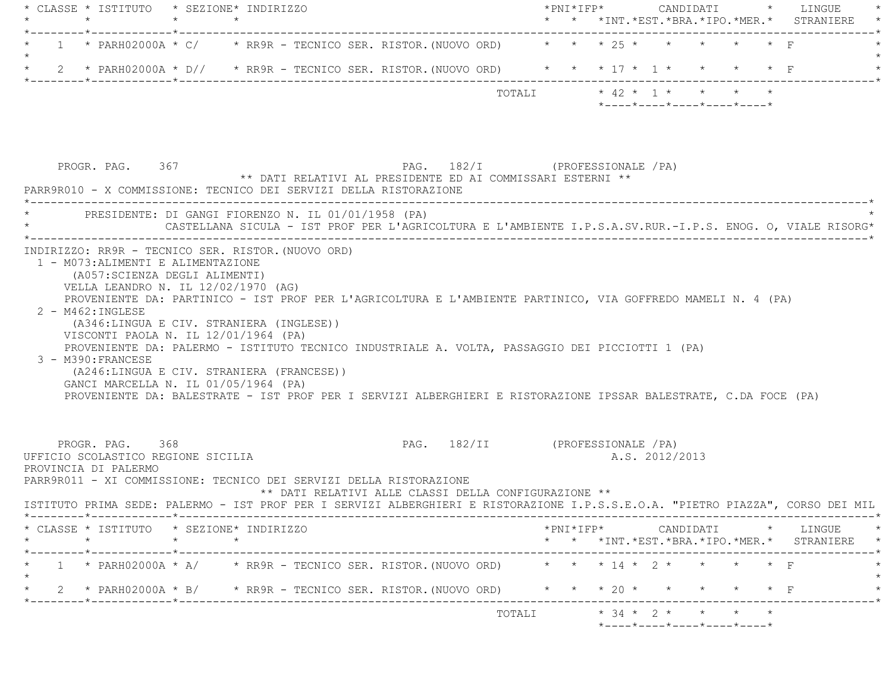|         |                                                                               | * CLASSE * ISTITUTO * SEZIONE* INDIRIZZO                                                                                                                                                                                                                                                                                                                                                                                                                                                                     |                                                                                            |  |
|---------|-------------------------------------------------------------------------------|--------------------------------------------------------------------------------------------------------------------------------------------------------------------------------------------------------------------------------------------------------------------------------------------------------------------------------------------------------------------------------------------------------------------------------------------------------------------------------------------------------------|--------------------------------------------------------------------------------------------|--|
|         | $\star$ $\star$                                                               | $\star$                                                                                                                                                                                                                                                                                                                                                                                                                                                                                                      | * * *INT. *EST. *BRA. *IPO. *MER. * STRANIERE                                              |  |
|         |                                                                               | 1 * PARH02000A * C/ * RR9R - TECNICO SER. RISTOR. (NUOVO ORD) * * * 25 * * *                                                                                                                                                                                                                                                                                                                                                                                                                                 |                                                                                            |  |
| $\star$ |                                                                               | 2 * PARH02000A * D// * RR9R - TECNICO SER. RISTOR. (NUOVO ORD) * * * 17 * 1 * * * * * F                                                                                                                                                                                                                                                                                                                                                                                                                      |                                                                                            |  |
|         |                                                                               |                                                                                                                                                                                                                                                                                                                                                                                                                                                                                                              | *----*----*----*----*----*                                                                 |  |
|         | PROGR. PAG. 367                                                               | PAG. 182/I (PROFESSIONALE /PA)<br>** DATI RELATIVI AL PRESIDENTE ED AI COMMISSARI ESTERNI **<br>PARR9R010 - X COMMISSIONE: TECNICO DEI SERVIZI DELLA RISTORAZIONE                                                                                                                                                                                                                                                                                                                                            |                                                                                            |  |
|         |                                                                               | * PRESIDENTE: DI GANGI FIORENZO N. IL 01/01/1958 (PA)<br>CASTELLANA SICULA - IST PROF PER L'AGRICOLTURA E L'AMBIENTE I.P.S.A.SV.RUR.-I.P.S. ENOG. O, VIALE RISORG*                                                                                                                                                                                                                                                                                                                                           |                                                                                            |  |
|         | $2 - M462 : INGLESE$<br>3 - M390: FRANCESE                                    | PROVENIENTE DA: PARTINICO - IST PROF PER L'AGRICOLTURA E L'AMBIENTE PARTINICO, VIA GOFFREDO MAMELI N. 4 (PA)<br>(A346:LINGUA E CIV. STRANIERA (INGLESE))<br>VISCONTI PAOLA N. IL 12/01/1964 (PA)<br>PROVENIENTE DA: PALERMO - ISTITUTO TECNICO INDUSTRIALE A. VOLTA, PASSAGGIO DEI PICCIOTTI 1 (PA)<br>(A246:LINGUA E CIV. STRANIERA (FRANCESE))<br>GANCI MARCELLA N. IL 01/05/1964 (PA)<br>PROVENIENTE DA: BALESTRATE - IST PROF PER I SERVIZI ALBERGHIERI E RISTORAZIONE IPSSAR BALESTRATE, C.DA FOCE (PA) |                                                                                            |  |
|         | PROGR. PAG. 368<br>UFFICIO SCOLASTICO REGIONE SICILIA<br>PROVINCIA DI PALERMO | PAG. 182/II (PROFESSIONALE / PA)                                                                                                                                                                                                                                                                                                                                                                                                                                                                             | A.S. 2012/2013                                                                             |  |
|         |                                                                               | PARR9R011 - XI COMMISSIONE: TECNICO DEI SERVIZI DELLA RISTORAZIONE<br>** DATI RELATIVI ALLE CLASSI DELLA CONFIGURAZIONE **<br>ISTITUTO PRIMA SEDE: PALERMO - IST PROF PER I SERVIZI ALBERGHIERI E RISTORAZIONE I.P.S.S.E.O.A. "PIETRO PIAZZA", CORSO DEI MIL                                                                                                                                                                                                                                                 |                                                                                            |  |
|         | _____*____________*________                                                   | ----------------<br>* CLASSE * ISTITUTO * SEZIONE* INDIRIZZO                                                                                                                                                                                                                                                                                                                                                                                                                                                 | $*$ PNI $*$ IFP $*$ CANDIDATI $*$ LINGUE $*$<br>* * *INT.*EST.*BRA.*IPO.*MER.* STRANIERE * |  |
|         | ------*------------*--------                                                  | 1 * PARH02000A * A/ * RR9R - TECNICO SER. RISTOR. (NUOVO ORD) * * * 14 * 2 * * * * * F                                                                                                                                                                                                                                                                                                                                                                                                                       |                                                                                            |  |
| $\star$ |                                                                               | 2 * PARH02000A * B/ * RR9R - TECNICO SER. RISTOR. (NUOVO ORD) * * * 20 * * * * * * F                                                                                                                                                                                                                                                                                                                                                                                                                         |                                                                                            |  |
|         |                                                                               |                                                                                                                                                                                                                                                                                                                                                                                                                                                                                                              |                                                                                            |  |
|         |                                                                               |                                                                                                                                                                                                                                                                                                                                                                                                                                                                                                              | *----*----*----*----*----*                                                                 |  |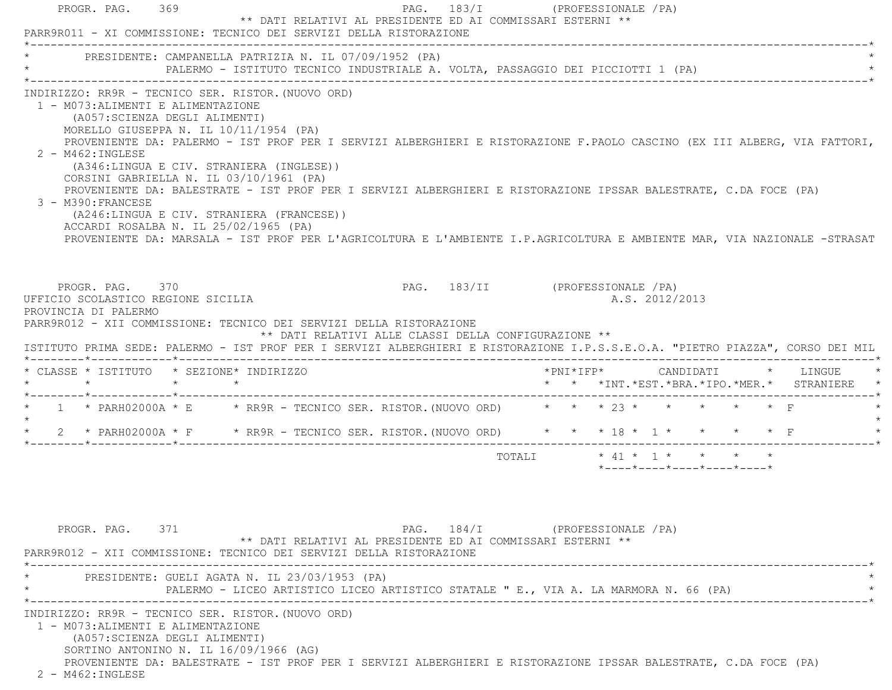| PARR9R011 - XI COMMISSIONE: TECNICO DEI SERVIZI DELLA RISTORAZIONE                                                                                                                                                                                                                     | PROGR. PAG. 369 |                                                                                                                                                                                                                                                                                                                                                                                                                                                                                                                                                                                                 | ** DATI RELATIVI AL PRESIDENTE ED AI COMMISSARI ESTERNI ** |                                 | PAG. 183/I (PROFESSIONALE / PA)               |  |  |                                                                                                          |  |  |
|----------------------------------------------------------------------------------------------------------------------------------------------------------------------------------------------------------------------------------------------------------------------------------------|-----------------|-------------------------------------------------------------------------------------------------------------------------------------------------------------------------------------------------------------------------------------------------------------------------------------------------------------------------------------------------------------------------------------------------------------------------------------------------------------------------------------------------------------------------------------------------------------------------------------------------|------------------------------------------------------------|---------------------------------|-----------------------------------------------|--|--|----------------------------------------------------------------------------------------------------------|--|--|
| * PRESIDENTE: CAMPANELLA PATRIZIA N. IL 07/09/1952 (PA)                                                                                                                                                                                                                                |                 | PALERMO - ISTITUTO TECNICO INDUSTRIALE A. VOLTA, PASSAGGIO DEI PICCIOTTI 1 (PA)                                                                                                                                                                                                                                                                                                                                                                                                                                                                                                                 |                                                            |                                 |                                               |  |  |                                                                                                          |  |  |
| INDIRIZZO: RR9R - TECNICO SER. RISTOR. (NUOVO ORD)<br>1 - M073: ALIMENTI E ALIMENTAZIONE<br>(A057: SCIENZA DEGLI ALIMENTI)<br>$2 - M462 : INGLESE$<br>3 - M390: FRANCESE                                                                                                               |                 | MORELLO GIUSEPPA N. IL 10/11/1954 (PA)<br>PROVENIENTE DA: PALERMO - IST PROF PER I SERVIZI ALBERGHIERI E RISTORAZIONE F.PAOLO CASCINO (EX III ALBERG, VIA FATTORI,<br>(A346:LINGUA E CIV. STRANIERA (INGLESE))<br>CORSINI GABRIELLA N. IL 03/10/1961 (PA)<br>PROVENIENTE DA: BALESTRATE - IST PROF PER I SERVIZI ALBERGHIERI E RISTORAZIONE IPSSAR BALESTRATE, C.DA FOCE (PA)<br>(A246:LINGUA E CIV. STRANIERA (FRANCESE))<br>ACCARDI ROSALBA N. IL 25/02/1965 (PA)<br>PROVENIENTE DA: MARSALA - IST PROF PER L'AGRICOLTURA E L'AMBIENTE I.P.AGRICOLTURA E AMBIENTE MAR, VIA NAZIONALE -STRASAT |                                                            |                                 |                                               |  |  |                                                                                                          |  |  |
| PROGR. PAG. 370<br>UFFICIO SCOLASTICO REGIONE SICILIA<br>PROVINCIA DI PALERMO<br>PARR9R012 - XII COMMISSIONE: TECNICO DEI SERVIZI DELLA RISTORAZIONE<br>ISTITUTO PRIMA SEDE: PALERMO - IST PROF PER I SERVIZI ALBERGHIERI E RISTORAZIONE I.P.S.S.E.O.A. "PIETRO PIAZZA", CORSO DEI MIL |                 |                                                                                                                                                                                                                                                                                                                                                                                                                                                                                                                                                                                                 | ** DATI RELATIVI ALLE CLASSI DELLA CONFIGURAZIONE **       | PAG. 183/II (PROFESSIONALE /PA) |                                               |  |  | A.S. 2012/2013                                                                                           |  |  |
|                                                                                                                                                                                                                                                                                        |                 | * CLASSE * ISTITUTO * SEZIONE* INDIRIZZO                                                                                                                                                                                                                                                                                                                                                                                                                                                                                                                                                        |                                                            |                                 |                                               |  |  |                                                                                                          |  |  |
|                                                                                                                                                                                                                                                                                        |                 |                                                                                                                                                                                                                                                                                                                                                                                                                                                                                                                                                                                                 |                                                            |                                 | * * *INT. *EST. *BRA. *IPO. *MER. * STRANIERE |  |  |                                                                                                          |  |  |
|                                                                                                                                                                                                                                                                                        |                 |                                                                                                                                                                                                                                                                                                                                                                                                                                                                                                                                                                                                 |                                                            |                                 |                                               |  |  |                                                                                                          |  |  |
| 2 * PARH02000A * F * RR9R - TECNICO SER. RISTOR. (NUOVO ORD) * * * 18 * 1 * * * * * F                                                                                                                                                                                                  |                 |                                                                                                                                                                                                                                                                                                                                                                                                                                                                                                                                                                                                 |                                                            |                                 |                                               |  |  |                                                                                                          |  |  |
| $\star$ $\star$ $\star$ $\star$<br>* 1 * PARH02000A * E * RR9R - TECNICO SER. RISTOR. (NUOVO ORD) * * * 23 * * * * * * * F<br>$\star$                                                                                                                                                  |                 |                                                                                                                                                                                                                                                                                                                                                                                                                                                                                                                                                                                                 |                                                            |                                 | TOTALI                                        |  |  | $\star$ 41 $\star$ 1 $\star$ $\star$ $\star$ $\star$<br>$*$ ---- $*$ ---- $*$ ---- $*$ ---- $*$ ---- $*$ |  |  |
| PROGR. PAG. 371<br>PARR9R012 - XII COMMISSIONE: TECNICO DEI SERVIZI DELLA RISTORAZIONE                                                                                                                                                                                                 |                 |                                                                                                                                                                                                                                                                                                                                                                                                                                                                                                                                                                                                 | ** DATI RELATIVI AL PRESIDENTE ED AI COMMISSARI ESTERNI ** |                                 | PAG. 184/I (PROFESSIONALE / PA)               |  |  |                                                                                                          |  |  |
|                                                                                                                                                                                                                                                                                        |                 | PRESIDENTE: GUELI AGATA N. IL 23/03/1953 (PA)<br>PALERMO - LICEO ARTISTICO LICEO ARTISTICO STATALE " E., VIA A. LA MARMORA N. 66 (PA)                                                                                                                                                                                                                                                                                                                                                                                                                                                           |                                                            |                                 |                                               |  |  |                                                                                                          |  |  |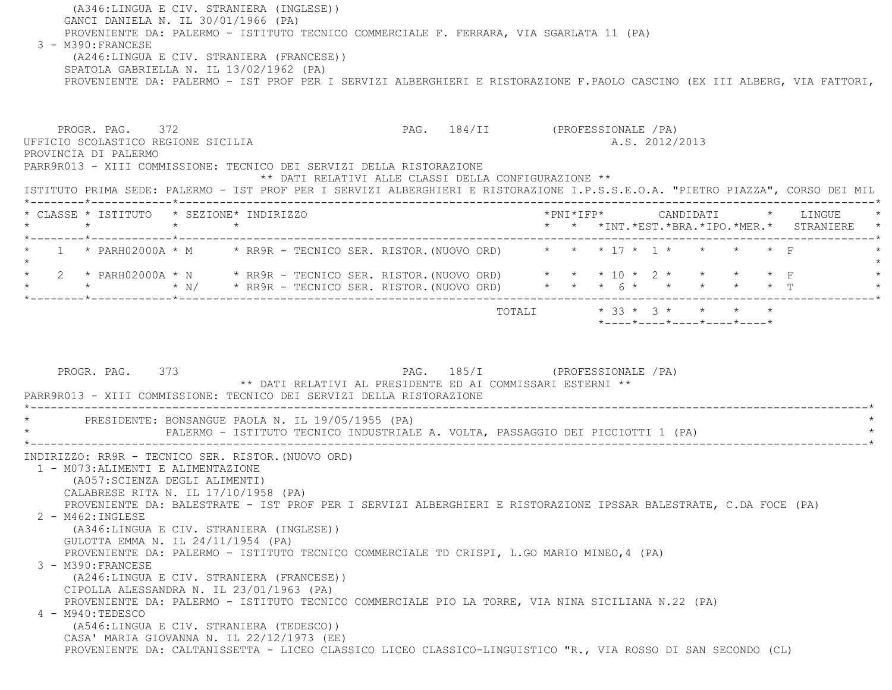(A346:LINGUA E CIV. STRANIERA (INGLESE)) GANCI DANIELA N. IL 30/01/1966 (PA) PROVENIENTE DA: PALERMO - ISTITUTO TECNICO COMMERCIALE F. FERRARA, VIA SGARLATA 11 (PA) 3 - M390:FRANCESE (A246:LINGUA E CIV. STRANIERA (FRANCESE)) SPATOLA GABRIELLA N. IL 13/02/1962 (PA) PROVENIENTE DA: PALERMO - IST PROF PER I SERVIZI ALBERGHIERI E RISTORAZIONE F.PAOLO CASCINO (EX III ALBERG, VIA FATTORI,

PROGR. PAG. 372 PAG. 184/II (PROFESSIONALE /PA) UFFICIO SCOLASTICO REGIONE SICILIA A.S. 2012/2013 PROVINCIA DI PALERMO PARR9R013 - XIII COMMISSIONE: TECNICO DEI SERVIZI DELLA RISTORAZIONE \*\* DATI RELATIVI ALLE CLASSI DELLA CONFIGURAZIONE \*\* ISTITUTO PRIMA SEDE: PALERMO - IST PROF PER I SERVIZI ALBERGHIERI E RISTORAZIONE I.P.S.S.E.O.A. "PIETRO PIAZZA", CORSO DEI MIL \*--------\*------------\*-------------------------------------------------------------------------------------------------------\* \* CLASSE \* ISTITUTO \* SEZIONE\* INDIRIZZO \*PNI\*IFP\* CANDIDATI \* LINGUE \* \* \* \* \* \* \* \*INT.\*EST.\*BRA.\*IPO.\*MER.\* STRANIERE \* \*--------\*------------\*-------------------------------------------------------------------------------------------------------\*1 \* PARH02000A \* M \* RR9R - TECNICO SER. RISTOR. (NUOVO ORD) \* \* \* 17 \* 1 \* \* \* \* \* \* F  $\star$  \* 2 \* PARH02000A \* N \* RR9R - TECNICO SER. RISTOR.(NUOVO ORD) \* \* \* 10 \* 2 \* \* \* \* F \* \* \* \* N/ \* RR9R - TECNICO SER. RISTOR.(NUOVO ORD) \* \* \* 6 \* \* \* \* \* T \* \*--------\*------------\*-------------------------------------------------------------------------------------------------------\* TOTALI \* 33 \* 3 \* \* \* \* \*----\*----\*----\*----\*----\*PROGR. PAG. 373 PAG. 185/I (PROFESSIONALE /PA) \*\* DATI RELATIVI AL PRESIDENTE ED AI COMMISSARI ESTERNI \*\* PARR9R013 - XIII COMMISSIONE: TECNICO DEI SERVIZI DELLA RISTORAZIONE \*----------------------------------------------------------------------------------------------------------------------------\*PRESIDENTE: BONSANGUE PAOLA N. IL 19/05/1955 (PA) PALERMO - ISTITUTO TECNICO INDUSTRIALE A. VOLTA, PASSAGGIO DEI PICCIOTTI 1 (PA) \*----------------------------------------------------------------------------------------------------------------------------\* INDIRIZZO: RR9R - TECNICO SER. RISTOR.(NUOVO ORD) 1 - M073:ALIMENTI E ALIMENTAZIONE (A057:SCIENZA DEGLI ALIMENTI) CALABRESE RITA N. IL 17/10/1958 (PA) PROVENIENTE DA: BALESTRATE - IST PROF PER I SERVIZI ALBERGHIERI E RISTORAZIONE IPSSAR BALESTRATE, C.DA FOCE (PA) 2 - M462:INGLESE (A346:LINGUA E CIV. STRANIERA (INGLESE)) GULOTTA EMMA N. IL 24/11/1954 (PA) PROVENIENTE DA: PALERMO - ISTITUTO TECNICO COMMERCIALE TD CRISPI, L.GO MARIO MINEO,4 (PA) 3 - M390:FRANCESE (A246:LINGUA E CIV. STRANIERA (FRANCESE)) CIPOLLA ALESSANDRA N. IL 23/01/1963 (PA) PROVENIENTE DA: PALERMO - ISTITUTO TECNICO COMMERCIALE PIO LA TORRE, VIA NINA SICILIANA N.22 (PA) 4 - M940:TEDESCO(A546:LINGUA E CIV. STRANIERA (TEDESCO))

CASA' MARIA GIOVANNA N. IL 22/12/1973 (EE)

PROVENIENTE DA: CALTANISSETTA - LICEO CLASSICO LICEO CLASSICO-LINGUISTICO "R., VIA ROSSO DI SAN SECONDO (CL)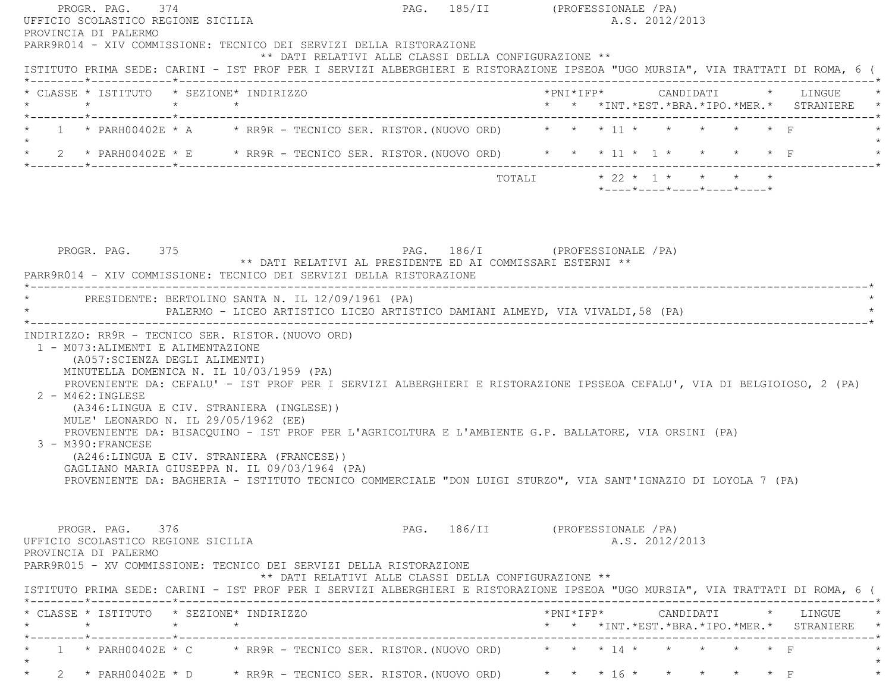| UFFICIO SCOLASTICO REGIONE SICILIA<br>PROVINCIA DI PALERMO                                                                                                                                                                                                                                                                                                                                                                                                                                                                         |                                                                                              | PAG. 185/II (PROFESSIONALE / PA)<br>A.S. 2012/2013                                                                                                                                  |
|------------------------------------------------------------------------------------------------------------------------------------------------------------------------------------------------------------------------------------------------------------------------------------------------------------------------------------------------------------------------------------------------------------------------------------------------------------------------------------------------------------------------------------|----------------------------------------------------------------------------------------------|-------------------------------------------------------------------------------------------------------------------------------------------------------------------------------------|
| PARR9R014 - XIV COMMISSIONE: TECNICO DEI SERVIZI DELLA RISTORAZIONE                                                                                                                                                                                                                                                                                                                                                                                                                                                                | ** DATI RELATIVI ALLE CLASSI DELLA CONFIGURAZIONE **                                         | ISTITUTO PRIMA SEDE: CARINI - IST PROF PER I SERVIZI ALBERGHIERI E RISTORAZIONE IPSEOA "UGO MURSIA", VIA TRATTATI DI ROMA, 6 (                                                      |
| * CLASSE * ISTITUTO * SEZIONE* INDIRIZZO<br>$\star$ $\star$<br>$\star$                                                                                                                                                                                                                                                                                                                                                                                                                                                             |                                                                                              | * * *INT.*EST.*BRA.*IPO.*MER.* STRANIERE                                                                                                                                            |
| 1 * PARH00402E * A * RR9R - TECNICO SER. RISTOR. (NUOVO ORD) * * * 11 * * * * * * * F                                                                                                                                                                                                                                                                                                                                                                                                                                              |                                                                                              |                                                                                                                                                                                     |
| * 2 * PARH00402E * E * RR9R - TECNICO SER. RISTOR. (NUOVO ORD) * * * 11 * 1 * * * * * F                                                                                                                                                                                                                                                                                                                                                                                                                                            |                                                                                              |                                                                                                                                                                                     |
|                                                                                                                                                                                                                                                                                                                                                                                                                                                                                                                                    |                                                                                              | $\star$ 22 $\star$ 1 $\star$ $\star$ $\star$ $\star$<br>TOTALI<br>$*$ ---- $*$ ---- $*$ ---- $*$ ---- $*$ ---- $*$                                                                  |
|                                                                                                                                                                                                                                                                                                                                                                                                                                                                                                                                    |                                                                                              |                                                                                                                                                                                     |
| PROGR. PAG. 375                                                                                                                                                                                                                                                                                                                                                                                                                                                                                                                    | PAG. 186/I (PROFESSIONALE /PA)<br>** DATI RELATIVI AL PRESIDENTE ED AI COMMISSARI ESTERNI ** |                                                                                                                                                                                     |
| PARR9R014 - XIV COMMISSIONE: TECNICO DEI SERVIZI DELLA RISTORAZIONE                                                                                                                                                                                                                                                                                                                                                                                                                                                                |                                                                                              |                                                                                                                                                                                     |
| PRESIDENTE: BERTOLINO SANTA N. IL 12/09/1961 (PA)                                                                                                                                                                                                                                                                                                                                                                                                                                                                                  | PALERMO - LICEO ARTISTICO LICEO ARTISTICO DAMIANI ALMEYD, VIA VIVALDI, 58 (PA)               |                                                                                                                                                                                     |
| INDIRIZZO: RR9R - TECNICO SER. RISTOR. (NUOVO ORD)<br>1 - M073: ALIMENTI E ALIMENTAZIONE                                                                                                                                                                                                                                                                                                                                                                                                                                           |                                                                                              |                                                                                                                                                                                     |
| (A057:SCIENZA DEGLI ALIMENTI)<br>MINUTELLA DOMENICA N. IL 10/03/1959 (PA)<br>$2 - M462 : INGLESE$<br>(A346:LINGUA E CIV. STRANIERA (INGLESE))<br>MULE' LEONARDO N. IL 29/05/1962 (EE)<br>PROVENIENTE DA: BISACQUINO - IST PROF PER L'AGRICOLTURA E L'AMBIENTE G.P. BALLATORE, VIA ORSINI (PA)<br>3 - M390: FRANCESE<br>(A246:LINGUA E CIV. STRANIERA (FRANCESE))<br>GAGLIANO MARIA GIUSEPPA N. IL 09/03/1964 (PA)<br>PROVENIENTE DA: BAGHERIA - ISTITUTO TECNICO COMMERCIALE "DON LUIGI STURZO", VIA SANT'IGNAZIO DI LOYOLA 7 (PA) |                                                                                              | PROVENIENTE DA: CEFALU' - IST PROF PER I SERVIZI ALBERGHIERI E RISTORAZIONE IPSSEOA CEFALU', VIA DI BELGIOIOSO, 2 (PA)                                                              |
| PROGR. PAG. 376<br>UFFICIO SCOLASTICO REGIONE SICILIA<br>PROVINCIA DI PALERMO<br>PARR9R015 - XV COMMISSIONE: TECNICO DEI SERVIZI DELLA RISTORAZIONE                                                                                                                                                                                                                                                                                                                                                                                | ** DATI RELATIVI ALLE CLASSI DELLA CONFIGURAZIONE **                                         | PAG. 186/II (PROFESSIONALE /PA)<br>A.S. 2012/2013<br>ISTITUTO PRIMA SEDE: CARINI - IST PROF PER I SERVIZI ALBERGHIERI E RISTORAZIONE IPSEOA "UGO MURSIA", VIA TRATTATI DI ROMA, 6 ( |

 \*--------\*------------\*-------------------------------------------------------------------------------------------------------\* \* 1 \* PARH00402E \* C \* RR9R - TECNICO SER. RISTOR.(NUOVO ORD) \* \* \* 14 \* \* \* \* \* F \*  $\star$  $\star$ \* 2 \* PARH00402E \* D \* RR9R - TECNICO SER. RISTOR. (NUOVO ORD) \* \* \* 16 \* \* \* \* \* \* \* F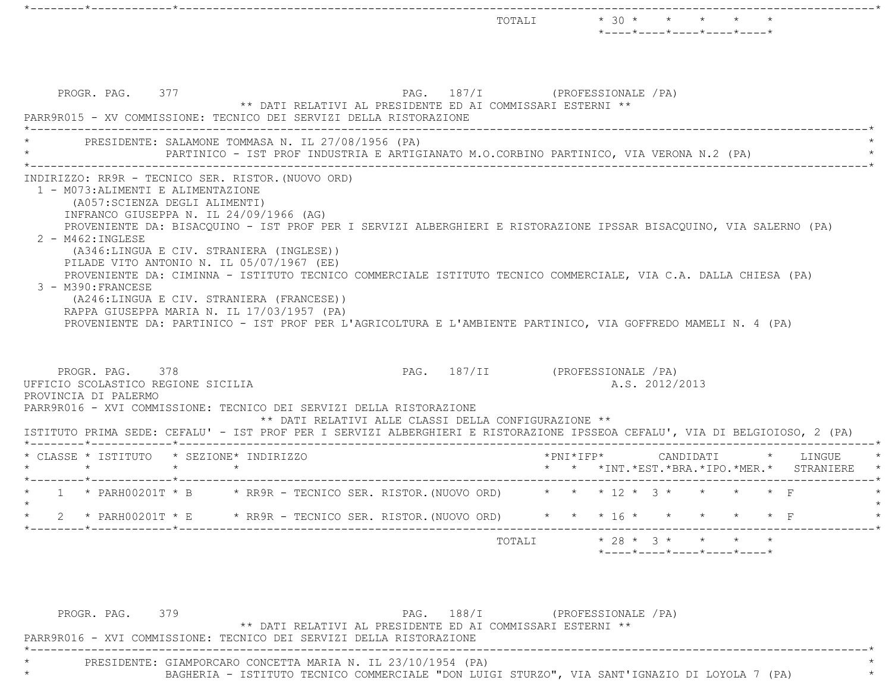|                                                                                                                    |                                                                                                                                                                                                                                                                                                                                                                                                                                                                                                                                                                                      |                                                      | TOTALI | $*$ 30 $*$<br>$*$ - - - - $*$ - - - - $*$ - - - - $*$ - - - - $*$ - - - - $*$ | $\star$ $\star$ |  |
|--------------------------------------------------------------------------------------------------------------------|--------------------------------------------------------------------------------------------------------------------------------------------------------------------------------------------------------------------------------------------------------------------------------------------------------------------------------------------------------------------------------------------------------------------------------------------------------------------------------------------------------------------------------------------------------------------------------------|------------------------------------------------------|--------|-------------------------------------------------------------------------------|-----------------|--|
| PROGR. PAG. 377                                                                                                    | ** DATI RELATIVI AL PRESIDENTE ED AI COMMISSARI ESTERNI **<br>PARR9R015 - XV COMMISSIONE: TECNICO DEI SERVIZI DELLA RISTORAZIONE                                                                                                                                                                                                                                                                                                                                                                                                                                                     |                                                      |        | PAG. 187/I (PROFESSIONALE / PA)                                               |                 |  |
|                                                                                                                    | PRESIDENTE: SALAMONE TOMMASA N. IL 27/08/1956 (PA)<br>PARTINICO - IST PROF INDUSTRIA E ARTIGIANATO M.O.CORBINO PARTINICO, VIA VERONA N.2 (PA)                                                                                                                                                                                                                                                                                                                                                                                                                                        |                                                      |        |                                                                               |                 |  |
| 1 - M073: ALIMENTI E ALIMENTAZIONE<br>(A057: SCIENZA DEGLI ALIMENTI)<br>$2 - M462 : INGLESE$<br>3 - M390: FRANCESE | INFRANCO GIUSEPPA N. IL 24/09/1966 (AG)<br>PROVENIENTE DA: BISACQUINO - IST PROF PER I SERVIZI ALBERGHIERI E RISTORAZIONE IPSSAR BISACQUINO, VIA SALERNO (PA)<br>(A346:LINGUA E CIV. STRANIERA (INGLESE))<br>PILADE VITO ANTONIO N. IL 05/07/1967 (EE)<br>PROVENIENTE DA: CIMINNA - ISTITUTO TECNICO COMMERCIALE ISTITUTO TECNICO COMMERCIALE, VIA C.A. DALLA CHIESA (PA)<br>(A246:LINGUA E CIV. STRANIERA (FRANCESE))<br>RAPPA GIUSEPPA MARIA N. IL 17/03/1957 (PA)<br>PROVENIENTE DA: PARTINICO - IST PROF PER L'AGRICOLTURA E L'AMBIENTE PARTINICO, VIA GOFFREDO MAMELI N. 4 (PA) |                                                      |        |                                                                               |                 |  |
| PROGR. PAG. 378<br>UFFICIO SCOLASTICO REGIONE SICILIA<br>PROVINCIA DI PALERMO                                      | PARR9R016 - XVI COMMISSIONE: TECNICO DEI SERVIZI DELLA RISTORAZIONE                                                                                                                                                                                                                                                                                                                                                                                                                                                                                                                  |                                                      |        | PAG. 187/II (PROFESSIONALE / PA)<br>A.S. 2012/2013                            |                 |  |
|                                                                                                                    | ISTITUTO PRIMA SEDE: CEFALU' - IST PROF PER I SERVIZI ALBERGHIERI E RISTORAZIONE IPSSEOA CEFALU', VIA DI BELGIOIOSO, 2 (PA)                                                                                                                                                                                                                                                                                                                                                                                                                                                          | ** DATI RELATIVI ALLE CLASSI DELLA CONFIGURAZIONE ** |        |                                                                               |                 |  |
| * CLASSE * ISTITUTO * SEZIONE* INDIRIZZO                                                                           | $\begin{array}{ccc} \star & \quad & \quad & \star \end{array}$                                                                                                                                                                                                                                                                                                                                                                                                                                                                                                                       |                                                      |        | *PNI*IFP* CANDIDATI * LINGUE<br>* * *INT. *EST. *BRA. *IPO. *MER. * STRANIERE |                 |  |
|                                                                                                                    |                                                                                                                                                                                                                                                                                                                                                                                                                                                                                                                                                                                      |                                                      |        |                                                                               |                 |  |
|                                                                                                                    | 1 * PARH00201T * B * RR9R - TECNICO SER. RISTOR. (NUOVO ORD) * * * 12 * 3 * *                                                                                                                                                                                                                                                                                                                                                                                                                                                                                                        |                                                      |        |                                                                               |                 |  |
|                                                                                                                    | * 2 * PARH00201T * E * RR9R - TECNICO SER. RISTOR. (NUOVO ORD) * * * 16 * * * * * * * F                                                                                                                                                                                                                                                                                                                                                                                                                                                                                              |                                                      |        |                                                                               |                 |  |

PROGR. PAG. 379 PAG. 188/I (PROFESSIONALE /PA) \*\* DATI RELATIVI AL PRESIDENTE ED AI COMMISSARI ESTERNI \*\* PARR9R016 - XVI COMMISSIONE: TECNICO DEI SERVIZI DELLA RISTORAZIONE \*----------------------------------------------------------------------------------------------------------------------------\* \* PRESIDENTE: GIAMPORCARO CONCETTA MARIA N. IL 23/10/1954 (PA) \* \* BAGHERIA - ISTITUTO TECNICO COMMERCIALE "DON LUIGI STURZO", VIA SANT'IGNAZIO DI LOYOLA 7 (PA) \*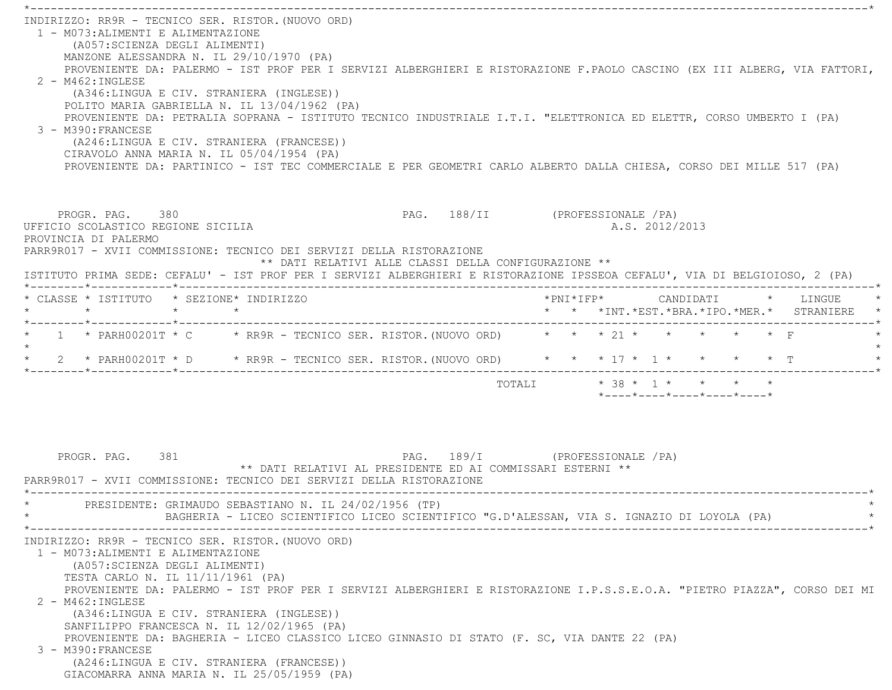\*----------------------------------------------------------------------------------------------------------------------------\* INDIRIZZO: RR9R - TECNICO SER. RISTOR.(NUOVO ORD) 1 - M073:ALIMENTI E ALIMENTAZIONE (A057:SCIENZA DEGLI ALIMENTI) MANZONE ALESSANDRA N. IL 29/10/1970 (PA) PROVENIENTE DA: PALERMO - IST PROF PER I SERVIZI ALBERGHIERI E RISTORAZIONE F.PAOLO CASCINO (EX III ALBERG, VIA FATTORI,  $2 - M462 \cdot INGIERSE$  (A346:LINGUA E CIV. STRANIERA (INGLESE)) POLITO MARIA GABRIELLA N. IL 13/04/1962 (PA) PROVENIENTE DA: PETRALIA SOPRANA - ISTITUTO TECNICO INDUSTRIALE I.T.I. "ELETTRONICA ED ELETTR, CORSO UMBERTO I (PA) 3 - M390:FRANCESE (A246:LINGUA E CIV. STRANIERA (FRANCESE)) CIRAVOLO ANNA MARIA N. IL 05/04/1954 (PA) PROVENIENTE DA: PARTINICO - IST TEC COMMERCIALE E PER GEOMETRI CARLO ALBERTO DALLA CHIESA, CORSO DEI MILLE 517 (PA) PROGR. PAG. 380 PAG. 188/II (PROFESSIONALE /PA) UFFICIO SCOLASTICO REGIONE SICILIA A.S. 2012/2013 PROVINCIA DI PALERMO PARR9R017 - XVII COMMISSIONE: TECNICO DEI SERVIZI DELLA RISTORAZIONE \*\* DATI RELATIVI ALLE CLASSI DELLA CONFIGURAZIONE \*\* ISTITUTO PRIMA SEDE: CEFALU' - IST PROF PER I SERVIZI ALBERGHIERI E RISTORAZIONE IPSSEOA CEFALU', VIA DI BELGIOIOSO, 2 (PA) \*--------\*------------\*-------------------------------------------------------------------------------------------------------\* \* CLASSE \* ISTITUTO \* SEZIONE\* INDIRIZZO \*PNI\*IFP\* CANDIDATI \* LINGUE \* \* \* \* \* \* \* \*INT.\*EST.\*BRA.\*IPO.\*MER.\* STRANIERE \* \*--------\*------------\*-------------------------------------------------------------------------------------------------------\* \* 1 \* PARH00201T \* C \* RR9R - TECNICO SER. RISTOR.(NUOVO ORD) \* \* \* 21 \* \* \* \* \* F \*  $\star$  \* 2 \* PARH00201T \* D \* RR9R - TECNICO SER. RISTOR.(NUOVO ORD) \* \* \* 17 \* 1 \* \* \* \* T \* \*--------\*------------\*-------------------------------------------------------------------------------------------------------\*TOTALI  $* 38 * 1 * * * * * * *$  \*----\*----\*----\*----\*----\*PROGR. PAG. 381 PAG. 189/I (PROFESSIONALE /PA) \*\* DATI RELATIVI AL PRESIDENTE ED AI COMMISSARI ESTERNI \*\* PARR9R017 - XVII COMMISSIONE: TECNICO DEI SERVIZI DELLA RISTORAZIONE \*----------------------------------------------------------------------------------------------------------------------------\*PRESIDENTE: GRIMAUDO SEBASTIANO N. IL 24/02/1956 (TP) BAGHERIA - LICEO SCIENTIFICO LICEO SCIENTIFICO "G.D'ALESSAN, VIA S. IGNAZIO DI LOYOLA (PA) \*----------------------------------------------------------------------------------------------------------------------------\* INDIRIZZO: RR9R - TECNICO SER. RISTOR.(NUOVO ORD) 1 - M073:ALIMENTI E ALIMENTAZIONE (A057:SCIENZA DEGLI ALIMENTI) TESTA CARLO N. IL 11/11/1961 (PA) PROVENIENTE DA: PALERMO - IST PROF PER I SERVIZI ALBERGHIERI E RISTORAZIONE I.P.S.S.E.O.A. "PIETRO PIAZZA", CORSO DEI MI 2 - M462:INGLESE (A346:LINGUA E CIV. STRANIERA (INGLESE)) SANFILIPPO FRANCESCA N. IL 12/02/1965 (PA) PROVENIENTE DA: BAGHERIA - LICEO CLASSICO LICEO GINNASIO DI STATO (F. SC, VIA DANTE 22 (PA) 3 - M390:FRANCESE (A246:LINGUA E CIV. STRANIERA (FRANCESE)) GIACOMARRA ANNA MARIA N. IL 25/05/1959 (PA)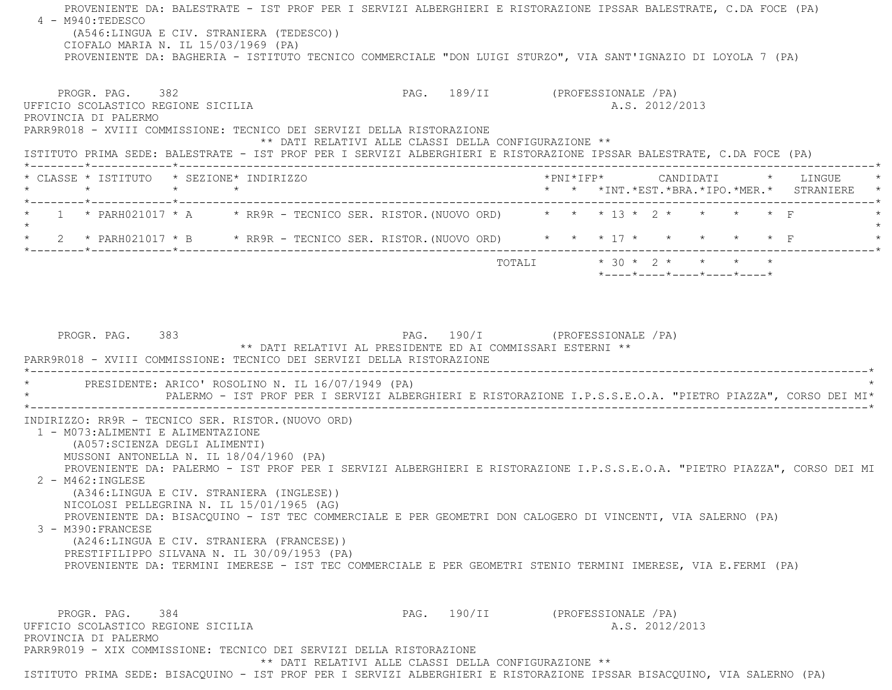PROVENIENTE DA: BALESTRATE - IST PROF PER I SERVIZI ALBERGHIERI E RISTORAZIONE IPSSAR BALESTRATE, C.DA FOCE (PA) 4 - M940:TEDESCO (A546:LINGUA E CIV. STRANIERA (TEDESCO)) CIOFALO MARIA N. IL 15/03/1969 (PA) PROVENIENTE DA: BAGHERIA - ISTITUTO TECNICO COMMERCIALE "DON LUIGI STURZO", VIA SANT'IGNAZIO DI LOYOLA 7 (PA) PROGR. PAG. 382 PAG. 189/II (PROFESSIONALE /PA) UFFICIO SCOLASTICO REGIONE SICILIA A.S. 2012/2013 PROVINCIA DI PALERMO PARR9R018 - XVIII COMMISSIONE: TECNICO DEI SERVIZI DELLA RISTORAZIONE \*\* DATI RELATIVI ALLE CLASSI DELLA CONFIGURAZIONE \*\* ISTITUTO PRIMA SEDE: BALESTRATE - IST PROF PER I SERVIZI ALBERGHIERI E RISTORAZIONE IPSSAR BALESTRATE, C.DA FOCE (PA) \*--------\*------------\*-------------------------------------------------------------------------------------------------------\* \* CLASSE \* ISTITUTO \* SEZIONE\* INDIRIZZO \*PNI\*IFP\* CANDIDATI \* LINGUE \* \* \* \* \* \* \* \*INT.\*EST.\*BRA.\*IPO.\*MER.\* STRANIERE \* \*--------\*------------\*-------------------------------------------------------------------------------------------------------\* $1 * \text{PARH021017} * A * \text{RR9R - TECNICO SER. RISTOR. (NUOVO ORD) * * * * 13 * 2 * * * * * * F$  $\star$ \* 2 \* PARH021017 \* B \* RR9R - TECNICO SER. RISTOR. (NUOVO ORD) \* \* \* 17 \* \* \* \* \* \* \* F \*--------\*------------\*-------------------------------------------------------------------------------------------------------\*TOTALI  $* 30 * 2 * * * * * * *$  \*----\*----\*----\*----\*----\*PROGR. PAG. 383 PAG. 190/I (PROFESSIONALE /PA) \*\* DATI RELATIVI AL PRESIDENTE ED AI COMMISSARI ESTERNI \*\* PARR9R018 - XVIII COMMISSIONE: TECNICO DEI SERVIZI DELLA RISTORAZIONE \*----------------------------------------------------------------------------------------------------------------------------\*PRESIDENTE: ARICO' ROSOLINO N. IL 16/07/1949 (PA) \* PALERMO - IST PROF PER I SERVIZI ALBERGHIERI E RISTORAZIONE I.P.S.S.E.O.A. "PIETRO PIAZZA", CORSO DEI MI\* \*----------------------------------------------------------------------------------------------------------------------------\* INDIRIZZO: RR9R - TECNICO SER. RISTOR.(NUOVO ORD) 1 - M073:ALIMENTI E ALIMENTAZIONE (A057:SCIENZA DEGLI ALIMENTI) MUSSONI ANTONELLA N. IL 18/04/1960 (PA) PROVENIENTE DA: PALERMO - IST PROF PER I SERVIZI ALBERGHIERI E RISTORAZIONE I.P.S.S.E.O.A. "PIETRO PIAZZA", CORSO DEI MI 2 - M462:INGLESE (A346:LINGUA E CIV. STRANIERA (INGLESE)) NICOLOSI PELLEGRINA N. IL 15/01/1965 (AG) PROVENIENTE DA: BISACQUINO - IST TEC COMMERCIALE E PER GEOMETRI DON CALOGERO DI VINCENTI, VIA SALERNO (PA) 3 - M390:FRANCESE (A246:LINGUA E CIV. STRANIERA (FRANCESE)) PRESTIFILIPPO SILVANA N. IL 30/09/1953 (PA) PROVENIENTE DA: TERMINI IMERESE - IST TEC COMMERCIALE E PER GEOMETRI STENIO TERMINI IMERESE, VIA E.FERMI (PA) PROGR. PAG. 384 384 PAG. 190/II (PROFESSIONALE /PA) UFFICIO SCOLASTICO REGIONE SICILIA A.S. 2012/2013 PROVINCIA DI PALERMO PARR9R019 - XIX COMMISSIONE: TECNICO DEI SERVIZI DELLA RISTORAZIONE\*\* DATI RELATIVI ALLE CLASSI DELLA CONFIGURAZIONE \*\*

ISTITUTO PRIMA SEDE: BISACQUINO - IST PROF PER I SERVIZI ALBERGHIERI E RISTORAZIONE IPSSAR BISACQUINO, VIA SALERNO (PA)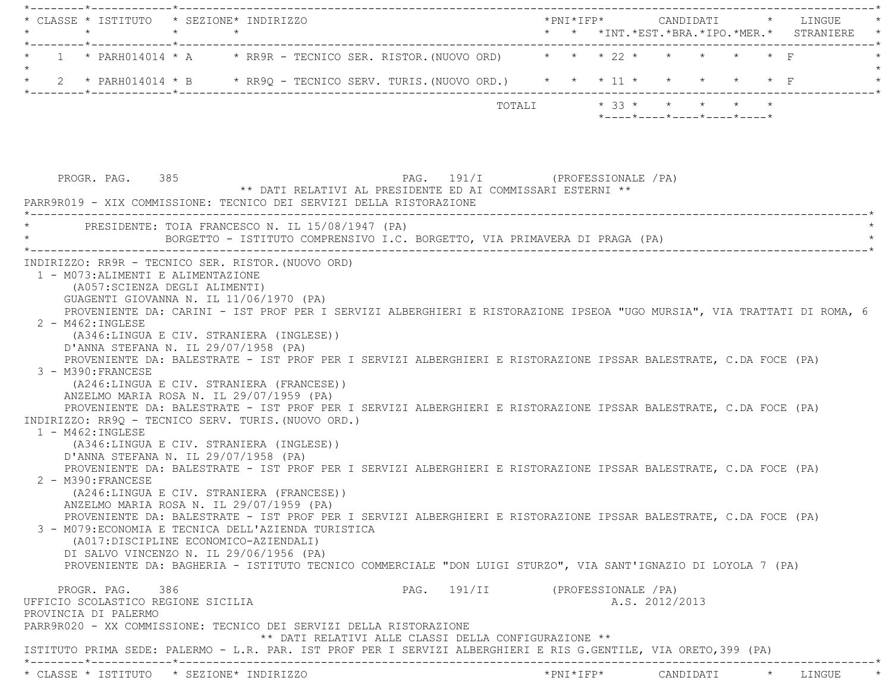| 1 * PARH014014 * A * RR9R - TECNICO SER. RISTOR. (NUOVO ORD) * * * 22 * * * * * * * F<br>* 2 * PARH014014 * B * RR9Q - TECNICO SERV. TURIS. (NUOVO ORD.) * * * 11 * * * * * * * F<br>TOTALI * 33 * * * * * *<br>$*$ ---- $*$ ---- $*$ ---- $*$ ---- $*$ ---- $*$<br>PAG. 191/I (PROFESSIONALE / PA)<br>PROGR. PAG. 385<br>** DATI RELATIVI AL PRESIDENTE ED AI COMMISSARI ESTERNI **<br>PARR9R019 - XIX COMMISSIONE: TECNICO DEI SERVIZI DELLA RISTORAZIONE<br>PRESIDENTE: TOIA FRANCESCO N. IL 15/08/1947 (PA)<br>BORGETTO - ISTITUTO COMPRENSIVO I.C. BORGETTO, VIA PRIMAVERA DI PRAGA (PA)<br>INDIRIZZO: RR9R - TECNICO SER. RISTOR. (NUOVO ORD)<br>1 - M073: ALIMENTI E ALIMENTAZIONE<br>(A057: SCIENZA DEGLI ALIMENTI)<br>GUAGENTI GIOVANNA N. IL 11/06/1970 (PA)<br>PROVENIENTE DA: CARINI - IST PROF PER I SERVIZI ALBERGHIERI E RISTORAZIONE IPSEOA "UGO MURSIA", VIA TRATTATI DI ROMA, 6<br>$2 - M462 : INGLESE$<br>(A346:LINGUA E CIV. STRANIERA (INGLESE))<br>D'ANNA STEFANA N. IL 29/07/1958 (PA)<br>PROVENIENTE DA: BALESTRATE - IST PROF PER I SERVIZI ALBERGHIERI E RISTORAZIONE IPSSAR BALESTRATE, C.DA FOCE (PA)<br>3 - M390: FRANCESE<br>(A246:LINGUA E CIV. STRANIERA (FRANCESE))<br>ANZELMO MARIA ROSA N. IL 29/07/1959 (PA)<br>PROVENIENTE DA: BALESTRATE - IST PROF PER I SERVIZI ALBERGHIERI E RISTORAZIONE IPSSAR BALESTRATE, C.DA FOCE (PA)<br>INDIRIZZO: RR9Q - TECNICO SERV. TURIS. (NUOVO ORD.)<br>$1 - M462 : INGLESE$<br>(A346:LINGUA E CIV. STRANIERA (INGLESE))<br>D'ANNA STEFANA N. IL 29/07/1958 (PA)<br>PROVENIENTE DA: BALESTRATE - IST PROF PER I SERVIZI ALBERGHIERI E RISTORAZIONE IPSSAR BALESTRATE, C.DA FOCE (PA)<br>2 - M390: FRANCESE<br>(A246:LINGUA E CIV. STRANIERA (FRANCESE))<br>ANZELMO MARIA ROSA N. IL 29/07/1959 (PA)<br>PROVENIENTE DA: BALESTRATE - IST PROF PER I SERVIZI ALBERGHIERI E RISTORAZIONE IPSSAR BALESTRATE, C.DA FOCE (PA)<br>3 - M079: ECONOMIA E TECNICA DELL'AZIENDA TURISTICA<br>(A017:DISCIPLINE ECONOMICO-AZIENDALI)<br>DI SALVO VINCENZO N. IL 29/06/1956 (PA)<br>PROVENIENTE DA: BAGHERIA - ISTITUTO TECNICO COMMERCIALE "DON LUIGI STURZO", VIA SANT'IGNAZIO DI LOYOLA 7 (PA)<br>PROGR. PAG.<br>386<br>PAG. 191/II (PROFESSIONALE / PA)<br>UFFICIO SCOLASTICO REGIONE SICILIA<br>A.S. 2012/2013<br>PROVINCIA DI PALERMO<br>PARR9R020 - XX COMMISSIONE: TECNICO DEI SERVIZI DELLA RISTORAZIONE<br>** DATI RELATIVI ALLE CLASSI DELLA CONFIGURAZIONE **<br>ISTITUTO PRIMA SEDE: PALERMO - L.R. PAR. IST PROF PER I SERVIZI ALBERGHIERI E RIS G.GENTILE, VIA ORETO, 399 (PA)<br>$*$ PNI $*$ IFP $*$<br>* CLASSE * ISTITUTO * SEZIONE* INDIRIZZO<br>$\verb CANDIDATI + \verb LINGUE $ |  | * CLASSE * ISTITUTO * SEZIONE* INDIRIZZO |  |  |  |  |  |  |  |
|----------------------------------------------------------------------------------------------------------------------------------------------------------------------------------------------------------------------------------------------------------------------------------------------------------------------------------------------------------------------------------------------------------------------------------------------------------------------------------------------------------------------------------------------------------------------------------------------------------------------------------------------------------------------------------------------------------------------------------------------------------------------------------------------------------------------------------------------------------------------------------------------------------------------------------------------------------------------------------------------------------------------------------------------------------------------------------------------------------------------------------------------------------------------------------------------------------------------------------------------------------------------------------------------------------------------------------------------------------------------------------------------------------------------------------------------------------------------------------------------------------------------------------------------------------------------------------------------------------------------------------------------------------------------------------------------------------------------------------------------------------------------------------------------------------------------------------------------------------------------------------------------------------------------------------------------------------------------------------------------------------------------------------------------------------------------------------------------------------------------------------------------------------------------------------------------------------------------------------------------------------------------------------------------------------------------------------------------------------------------------------------------------------------------------------------------------------------------------------------------------------------------------------------------------------------------------------------------------------------------------------------------------------------|--|------------------------------------------|--|--|--|--|--|--|--|
|                                                                                                                                                                                                                                                                                                                                                                                                                                                                                                                                                                                                                                                                                                                                                                                                                                                                                                                                                                                                                                                                                                                                                                                                                                                                                                                                                                                                                                                                                                                                                                                                                                                                                                                                                                                                                                                                                                                                                                                                                                                                                                                                                                                                                                                                                                                                                                                                                                                                                                                                                                                                                                                                |  |                                          |  |  |  |  |  |  |  |
|                                                                                                                                                                                                                                                                                                                                                                                                                                                                                                                                                                                                                                                                                                                                                                                                                                                                                                                                                                                                                                                                                                                                                                                                                                                                                                                                                                                                                                                                                                                                                                                                                                                                                                                                                                                                                                                                                                                                                                                                                                                                                                                                                                                                                                                                                                                                                                                                                                                                                                                                                                                                                                                                |  |                                          |  |  |  |  |  |  |  |
|                                                                                                                                                                                                                                                                                                                                                                                                                                                                                                                                                                                                                                                                                                                                                                                                                                                                                                                                                                                                                                                                                                                                                                                                                                                                                                                                                                                                                                                                                                                                                                                                                                                                                                                                                                                                                                                                                                                                                                                                                                                                                                                                                                                                                                                                                                                                                                                                                                                                                                                                                                                                                                                                |  |                                          |  |  |  |  |  |  |  |
|                                                                                                                                                                                                                                                                                                                                                                                                                                                                                                                                                                                                                                                                                                                                                                                                                                                                                                                                                                                                                                                                                                                                                                                                                                                                                                                                                                                                                                                                                                                                                                                                                                                                                                                                                                                                                                                                                                                                                                                                                                                                                                                                                                                                                                                                                                                                                                                                                                                                                                                                                                                                                                                                |  |                                          |  |  |  |  |  |  |  |
|                                                                                                                                                                                                                                                                                                                                                                                                                                                                                                                                                                                                                                                                                                                                                                                                                                                                                                                                                                                                                                                                                                                                                                                                                                                                                                                                                                                                                                                                                                                                                                                                                                                                                                                                                                                                                                                                                                                                                                                                                                                                                                                                                                                                                                                                                                                                                                                                                                                                                                                                                                                                                                                                |  |                                          |  |  |  |  |  |  |  |
|                                                                                                                                                                                                                                                                                                                                                                                                                                                                                                                                                                                                                                                                                                                                                                                                                                                                                                                                                                                                                                                                                                                                                                                                                                                                                                                                                                                                                                                                                                                                                                                                                                                                                                                                                                                                                                                                                                                                                                                                                                                                                                                                                                                                                                                                                                                                                                                                                                                                                                                                                                                                                                                                |  |                                          |  |  |  |  |  |  |  |
|                                                                                                                                                                                                                                                                                                                                                                                                                                                                                                                                                                                                                                                                                                                                                                                                                                                                                                                                                                                                                                                                                                                                                                                                                                                                                                                                                                                                                                                                                                                                                                                                                                                                                                                                                                                                                                                                                                                                                                                                                                                                                                                                                                                                                                                                                                                                                                                                                                                                                                                                                                                                                                                                |  |                                          |  |  |  |  |  |  |  |
|                                                                                                                                                                                                                                                                                                                                                                                                                                                                                                                                                                                                                                                                                                                                                                                                                                                                                                                                                                                                                                                                                                                                                                                                                                                                                                                                                                                                                                                                                                                                                                                                                                                                                                                                                                                                                                                                                                                                                                                                                                                                                                                                                                                                                                                                                                                                                                                                                                                                                                                                                                                                                                                                |  |                                          |  |  |  |  |  |  |  |
|                                                                                                                                                                                                                                                                                                                                                                                                                                                                                                                                                                                                                                                                                                                                                                                                                                                                                                                                                                                                                                                                                                                                                                                                                                                                                                                                                                                                                                                                                                                                                                                                                                                                                                                                                                                                                                                                                                                                                                                                                                                                                                                                                                                                                                                                                                                                                                                                                                                                                                                                                                                                                                                                |  |                                          |  |  |  |  |  |  |  |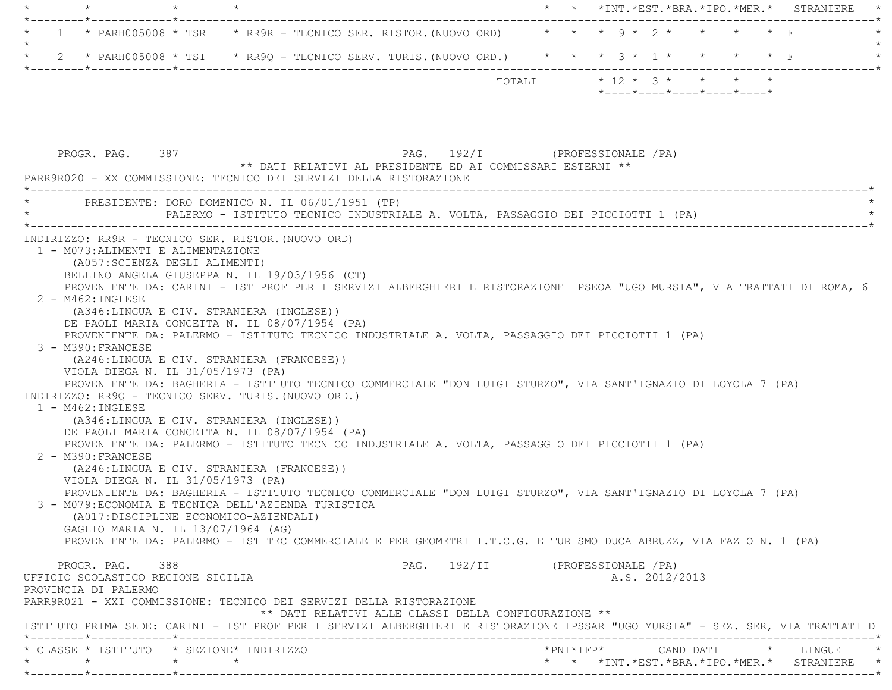|         |  |                                                 |  |                                                                                                                                          |                            |  |  | * * *INT.*EST.*BRA.*IPO.*MER.*                                   |         |         |                  | STRANIERE |
|---------|--|-------------------------------------------------|--|------------------------------------------------------------------------------------------------------------------------------------------|----------------------------|--|--|------------------------------------------------------------------|---------|---------|------------------|-----------|
| $\star$ |  |                                                 |  | $\star$ PARH005008 $\star$ TSR $\phantom{}$ * RR9R - TECNICO SER. RISTOR. (NUOVO ORD)                                                    |                            |  |  | $\star$ $\star$ $\star$ $\circ$ $\star$ $\circ$ $\star$          | $\star$ | $\star$ | $\star$ $\Gamma$ |           |
|         |  |                                                 |  | 2 * PARH005008 * TST * RR9Q - TECNICO SERV. TURIS. (NUOVO ORD.) * * * 3 * 1 *                                                            |                            |  |  |                                                                  |         |         |                  |           |
|         |  |                                                 |  |                                                                                                                                          | TOTALI                     |  |  | $* 12 * 3 * * *$<br>$*$ ---- $*$ ---- $*$ ---- $*$ ---- $*$ ---- |         |         |                  |           |
|         |  | PROGR. PAG. 387                                 |  | PAG.<br>** DATI RELATIVI AL PRESIDENTE ED AI COMMISSARI ESTERNI **<br>PARR9R020 - XX COMMISSIONE: TECNICO DEI SERVIZI DELLA RISTORAZIONE | 192/I (PROFESSIONALE / PA) |  |  |                                                                  |         |         |                  |           |
|         |  | PRESIDENTE: DORO DOMENICO N. IL 06/01/1951 (TP) |  | PALERMO - ISTITUTO TECNICO INDUSTRIALE A. VOLTA, PASSAGGIO DEI PICCIOTTI 1 (PA)                                                          |                            |  |  |                                                                  |         |         |                  |           |
|         |  |                                                 |  |                                                                                                                                          |                            |  |  |                                                                  |         |         |                  |           |

(A346:LINGUA E CIV. STRANIERA (INGLESE))

DE PAOLI MARIA CONCETTA N. IL 08/07/1954 (PA)

PROVENIENTE DA: PALERMO - ISTITUTO TECNICO INDUSTRIALE A. VOLTA, PASSAGGIO DEI PICCIOTTI 1 (PA)

3 - M390:FRANCESE

 (A246:LINGUA E CIV. STRANIERA (FRANCESE)) VIOLA DIEGA N. IL 31/05/1973 (PA)

PROVENIENTE DA: BAGHERIA - ISTITUTO TECNICO COMMERCIALE "DON LUIGI STURZO", VIA SANT'IGNAZIO DI LOYOLA 7 (PA)

INDIRIZZO: RR9Q - TECNICO SERV. TURIS.(NUOVO ORD.)

1 - M462:INGLESE

(A346:LINGUA E CIV. STRANIERA (INGLESE))

DE PAOLI MARIA CONCETTA N. IL 08/07/1954 (PA)

PROVENIENTE DA: PALERMO - ISTITUTO TECNICO INDUSTRIALE A. VOLTA, PASSAGGIO DEI PICCIOTTI 1 (PA)

 2 - M390:FRANCESE(A246:LINGUA E CIV. STRANIERA (FRANCESE))

 VIOLA DIEGA N. IL 31/05/1973 (PA) PROVENIENTE DA: BAGHERIA - ISTITUTO TECNICO COMMERCIALE "DON LUIGI STURZO", VIA SANT'IGNAZIO DI LOYOLA 7 (PA)

3 - M079:ECONOMIA E TECNICA DELL'AZIENDA TURISTICA

 (A017:DISCIPLINE ECONOMICO-AZIENDALI) GAGLIO MARIA N. IL 13/07/1964 (AG) PROVENIENTE DA: PALERMO - IST TEC COMMERCIALE E PER GEOMETRI I.T.C.G. E TURISMO DUCA ABRUZZ, VIA FAZIO N. 1 (PA)

PROGR. PAG. 388 CHARGE 2012/11 (PROFESSIONALE /PA) UFFICIO SCOLASTICO REGIONE SICILIA A.S. 2012/2013 PROVINCIA DI PALERMO PARR9R021 - XXI COMMISSIONE: TECNICO DEI SERVIZI DELLA RISTORAZIONE \*\* DATI RELATIVI ALLE CLASSI DELLA CONFIGURAZIONE \*\* ISTITUTO PRIMA SEDE: CARINI - IST PROF PER I SERVIZI ALBERGHIERI E RISTORAZIONE IPSSAR "UGO MURSIA" - SEZ. SER, VIA TRATTATI D \*--------\*------------\*-------------------------------------------------------------------------------------------------------\* \* CLASSE \* ISTITUTO \* SEZIONE\* INDIRIZZO \*PNI\*IFP\* CANDIDATI \* LINGUE \*\* \* \* \* \* \* \*INT.\*EST.\*BRA.\*IPO.\*MER.\* STRANIERE \*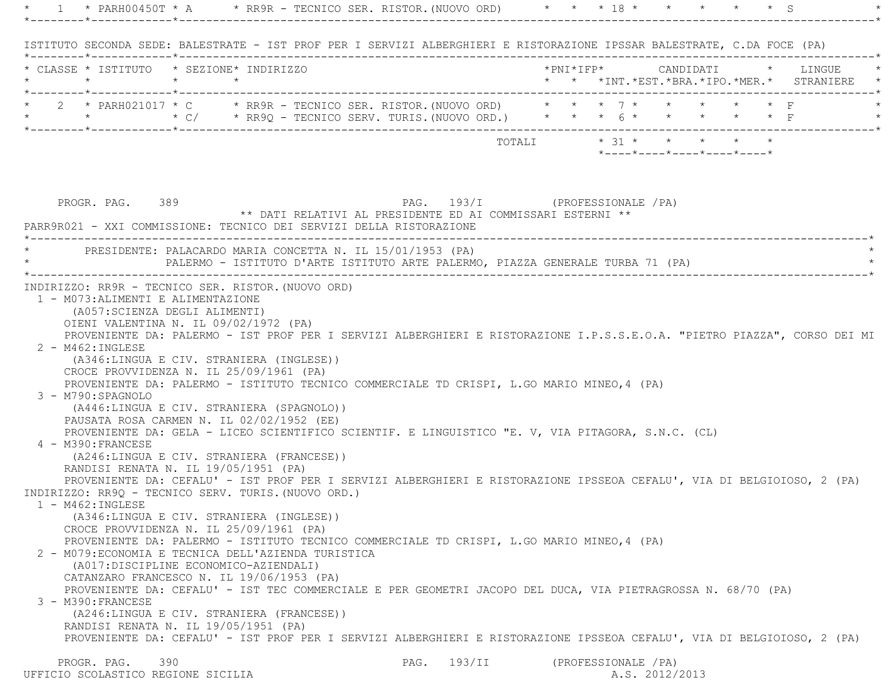|                                                                                                                                                                     | * 1 * PARH00450T * A * * RR9R - TECNICO SER. RISTOR. (NUOVO ORD) * * * 18 * * * * * * * * * S                                                                                                                                                                                                                                                                                                                                                                                                                                                                                            |                                |  |                      |                                                                                            |  |                                                                            |
|---------------------------------------------------------------------------------------------------------------------------------------------------------------------|------------------------------------------------------------------------------------------------------------------------------------------------------------------------------------------------------------------------------------------------------------------------------------------------------------------------------------------------------------------------------------------------------------------------------------------------------------------------------------------------------------------------------------------------------------------------------------------|--------------------------------|--|----------------------|--------------------------------------------------------------------------------------------|--|----------------------------------------------------------------------------|
|                                                                                                                                                                     | ISTITUTO SECONDA SEDE: BALESTRATE - IST PROF PER I SERVIZI ALBERGHIERI E RISTORAZIONE IPSSAR BALESTRATE, C.DA FOCE (PA)                                                                                                                                                                                                                                                                                                                                                                                                                                                                  |                                |  |                      |                                                                                            |  |                                                                            |
| * CLASSE * ISTITUTO * SEZIONE* INDIRIZZO                                                                                                                            |                                                                                                                                                                                                                                                                                                                                                                                                                                                                                                                                                                                          |                                |  |                      |                                                                                            |  | *PNI*IFP* CANDIDATI * LINGUE<br>* * *INT.*EST.*BRA.*IPO.*MER.* STRANIERE * |
|                                                                                                                                                                     | * 2 * PARH021017 * C * RR9R - TECNICO SER. RISTOR. (NUOVO ORD) * * * 7 * * * * * * * F<br>* * * * C/ * RR9Q - TECNICO SERV. TURIS. (NUOVO ORD.) * * * 6 * * * * * * * F                                                                                                                                                                                                                                                                                                                                                                                                                  |                                |  |                      |                                                                                            |  |                                                                            |
|                                                                                                                                                                     |                                                                                                                                                                                                                                                                                                                                                                                                                                                                                                                                                                                          |                                |  |                      | TOTALI * 31 * * * * * *<br>$*$ - - - - $*$ - - - - $*$ - - - - $*$ - - - - $*$ - - - - $*$ |  |                                                                            |
| PROGR. PAG. 389                                                                                                                                                     | ** DATI RELATIVI AL PRESIDENTE ED AI COMMISSARI ESTERNI **<br>PARR9R021 - XXI COMMISSIONE: TECNICO DEI SERVIZI DELLA RISTORAZIONE                                                                                                                                                                                                                                                                                                                                                                                                                                                        | PAG. 193/I (PROFESSIONALE /PA) |  |                      |                                                                                            |  |                                                                            |
|                                                                                                                                                                     | PRESIDENTE: PALACARDO MARIA CONCETTA N. IL 15/01/1953 (PA)<br>PALERMO - ISTITUTO D'ARTE ISTITUTO ARTE PALERMO, PIAZZA GENERALE TURBA 71 (PA)                                                                                                                                                                                                                                                                                                                                                                                                                                             |                                |  |                      |                                                                                            |  |                                                                            |
| CROCE PROVVIDENZA N. IL 25/09/1961 (PA)<br>3 - M790: SPAGNOLO<br>4 - M390: FRANCESE<br>RANDISI RENATA N. IL 19/05/1951 (PA)                                         | PROVENIENTE DA: PALERMO - ISTITUTO TECNICO COMMERCIALE TD CRISPI, L.GO MARIO MINEO, 4 (PA)<br>(A446:LINGUA E CIV. STRANIERA (SPAGNOLO))<br>PAUSATA ROSA CARMEN N. IL 02/02/1952 (EE)<br>PROVENIENTE DA: GELA - LICEO SCIENTIFICO SCIENTIF. E LINGUISTICO "E. V, VIA PITAGORA, S.N.C. (CL)<br>(A246:LINGUA E CIV. STRANIERA (FRANCESE))<br>PROVENIENTE DA: CEFALU' - IST PROF PER I SERVIZI ALBERGHIERI E RISTORAZIONE IPSSEOA CEFALU', VIA DI BELGIOIOSO, 2 (PA)                                                                                                                         |                                |  |                      |                                                                                            |  |                                                                            |
| 1 - M462:INGLESE<br>CROCE PROVVIDENZA N. IL 25/09/1961 (PA)<br>(A017: DISCIPLINE ECONOMICO-AZIENDALI)<br>3 - M390: FRANCESE<br>RANDISI RENATA N. IL 19/05/1951 (PA) | INDIRIZZO: RR9Q - TECNICO SERV. TURIS. (NUOVO ORD.)<br>(A346:LINGUA E CIV. STRANIERA (INGLESE))<br>PROVENIENTE DA: PALERMO - ISTITUTO TECNICO COMMERCIALE TD CRISPI, L.GO MARIO MINEO, 4 (PA)<br>2 - M079: ECONOMIA E TECNICA DELL'AZIENDA TURISTICA<br>CATANZARO FRANCESCO N. IL 19/06/1953 (PA)<br>PROVENIENTE DA: CEFALU' - IST TEC COMMERCIALE E PER GEOMETRI JACOPO DEL DUCA, VIA PIETRAGROSSA N. 68/70 (PA)<br>(A246:LINGUA E CIV. STRANIERA (FRANCESE))<br>PROVENIENTE DA: CEFALU' - IST PROF PER I SERVIZI ALBERGHIERI E RISTORAZIONE IPSSEOA CEFALU', VIA DI BELGIOIOSO, 2 (PA) |                                |  |                      |                                                                                            |  |                                                                            |
| PROGR. PAG.<br>390<br>UFFICIO SCOLASTICO REGIONE SICILIA                                                                                                            |                                                                                                                                                                                                                                                                                                                                                                                                                                                                                                                                                                                          | PAG. 193/II                    |  | (PROFESSIONALE / PA) | A.S. 2012/2013                                                                             |  |                                                                            |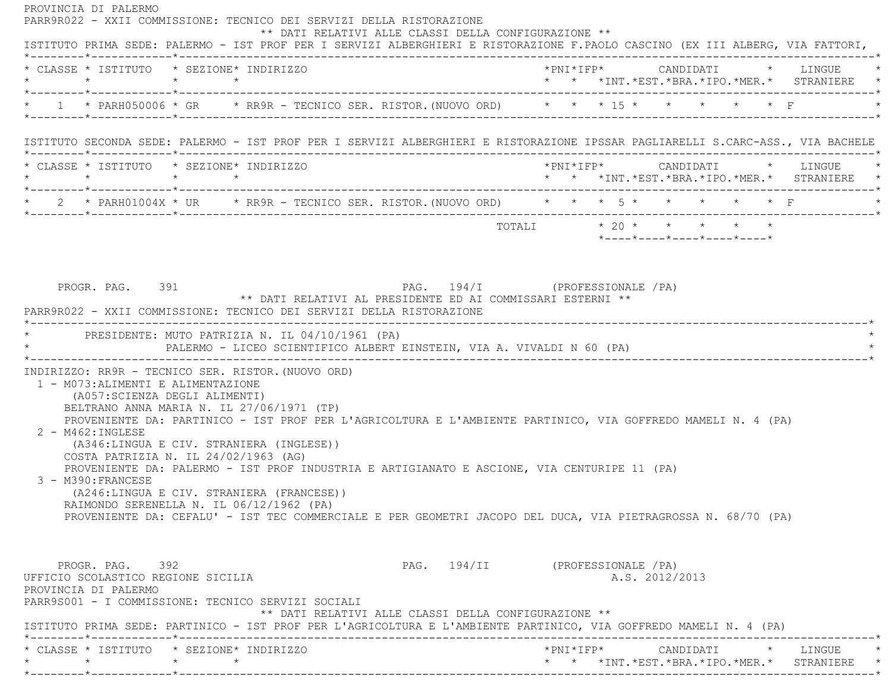PROVINCIA DI PALERMO PARR9R022 - XXII COMMISSIONE: TECNICO DEI SERVIZI DELLA RISTORAZIONE \*\* DATI RELATIVI ALLE CLASSI DELLA CONFIGURAZIONE \*\* ISTITUTO PRIMA SEDE: PALERMO - IST PROF PER I SERVIZI ALBERGHIERI E RISTORAZIONE F.PAOLO CASCINO (EX III ALBERG, VIA FATTORI, \*--------\*------------\*-------------------------------------------------------------------------------------------------------\* \* CLASSE \* ISTITUTO \* SEZIONE\* INDIRIZZO \*PNI\*IFP\* CANDIDATI \* LINGUE \* \* \* \* \* \* \* \*INT.\*EST.\*BRA.\*IPO.\*MER.\* STRANIERE \* \*--------\*------------\*-------------------------------------------------------------------------------------------------------\* \* 1 \* PARH050006 \* GR \* RR9R - TECNICO SER. RISTOR.(NUOVO ORD) \* \* \* 15 \* \* \* \* \* F \* \*--------\*------------\*-------------------------------------------------------------------------------------------------------\* ISTITUTO SECONDA SEDE: PALERMO - IST PROF PER I SERVIZI ALBERGHIERI E RISTORAZIONE IPSSAR PAGLIARELLI S.CARC-ASS., VIA BACHELE \*--------\*------------\*-------------------------------------------------------------------------------------------------------\* \* CLASSE \* ISTITUTO \* SEZIONE\* INDIRIZZO \*PNI\*IFP\* CANDIDATI \* LINGUE \* \* \* \* \* \* \* \*INT.\*EST.\*BRA.\*IPO.\*MER.\* STRANIERE \* \*--------\*------------\*-------------------------------------------------------------------------------------------------------\*\* 2 \* PARH01004X \* UR \* RR9R - TECNICO SER. RISTOR. (NUOVO ORD) \* \* \* 5 \* \* \* \* \* \* \* F \*--------\*------------\*-------------------------------------------------------------------------------------------------------\* $\texttt{TOTAL} \qquad \qquad \star \quad 20 \; \star \qquad \star \qquad \star \qquad \star \qquad \star \qquad \star$  \*----\*----\*----\*----\*----\*PROGR. PAG. 391 PROGR. PAG. 391 PAG. 194/I (PROFESSIONALE / PA) \*\* DATI RELATIVI AL PRESIDENTE ED AI COMMISSARI ESTERNI \*\* PARR9R022 - XXII COMMISSIONE: TECNICO DEI SERVIZI DELLA RISTORAZIONE \*----------------------------------------------------------------------------------------------------------------------------\*PRESIDENTE: MUTO PATRIZIA N. IL 04/10/1961 (PA) PALERMO - LICEO SCIENTIFICO ALBERT EINSTEIN, VIA A. VIVALDI N 60 (PA) \*----------------------------------------------------------------------------------------------------------------------------\* INDIRIZZO: RR9R - TECNICO SER. RISTOR.(NUOVO ORD) 1 - M073:ALIMENTI E ALIMENTAZIONE (A057:SCIENZA DEGLI ALIMENTI) BELTRANO ANNA MARIA N. IL 27/06/1971 (TP) PROVENIENTE DA: PARTINICO - IST PROF PER L'AGRICOLTURA E L'AMBIENTE PARTINICO, VIA GOFFREDO MAMELI N. 4 (PA) 2 - M462:INGLESE (A346:LINGUA E CIV. STRANIERA (INGLESE)) COSTA PATRIZIA N. IL 24/02/1963 (AG) PROVENIENTE DA: PALERMO - IST PROF INDUSTRIA E ARTIGIANATO E ASCIONE, VIA CENTURIPE 11 (PA) 3 - M390:FRANCESE (A246:LINGUA E CIV. STRANIERA (FRANCESE)) RAIMONDO SERENELLA N. IL 06/12/1962 (PA) PROVENIENTE DA: CEFALU' - IST TEC COMMERCIALE E PER GEOMETRI JACOPO DEL DUCA, VIA PIETRAGROSSA N. 68/70 (PA) PROGR. PAG. 392 SPAG. 294/II (PROFESSIONALE /PA) UFFICIO SCOLASTICO REGIONE SICILIA A.S. 2012/2013 PROVINCIA DI PALERMO PARR9S001 - I COMMISSIONE: TECNICO SERVIZI SOCIALI \*\* DATI RELATIVI ALLE CLASSI DELLA CONFIGURAZIONE \*\* ISTITUTO PRIMA SEDE: PARTINICO - IST PROF PER L'AGRICOLTURA E L'AMBIENTE PARTINICO, VIA GOFFREDO MAMELI N. 4 (PA) \*--------\*------------\*-------------------------------------------------------------------------------------------------------\* \* CLASSE \* ISTITUTO \* SEZIONE\* INDIRIZZO \*PNI\*IFP\* CANDIDATI \* LINGUE \*\* \* \* \* \* \* \*INT.\*EST.\*BRA.\*IPO.\*MER.\* STRANIERE \*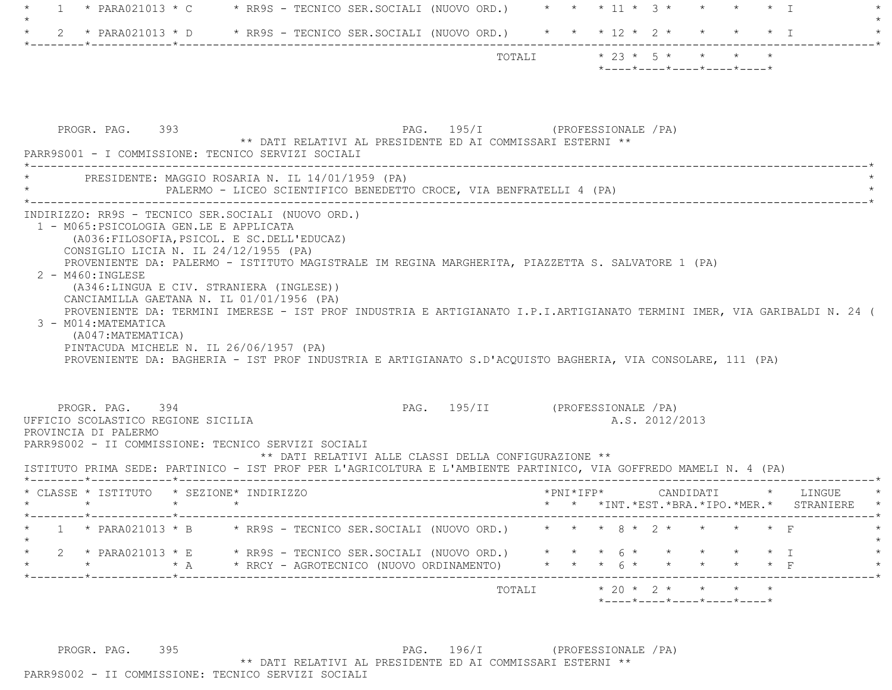| * PARA021013 * C $\rightarrow$ RR9S - TECNICO SER.SOCIALI (NUOVO ORD.) * * * 11 * 3 * * * * * * I<br>$\overline{1}$                                                                                                                                                                                                                                                                                                                                                                                                                                                                                                                                                                                                                            |                                                                                      |
|------------------------------------------------------------------------------------------------------------------------------------------------------------------------------------------------------------------------------------------------------------------------------------------------------------------------------------------------------------------------------------------------------------------------------------------------------------------------------------------------------------------------------------------------------------------------------------------------------------------------------------------------------------------------------------------------------------------------------------------------|--------------------------------------------------------------------------------------|
| 2 * PARA021013 * D * RR9S - TECNICO SER.SOCIALI (NUOVO ORD.) * * * 12 * 2 * * * * * I                                                                                                                                                                                                                                                                                                                                                                                                                                                                                                                                                                                                                                                          |                                                                                      |
|                                                                                                                                                                                                                                                                                                                                                                                                                                                                                                                                                                                                                                                                                                                                                | TOTALI * 23 * 5 * * *<br>$*$ ---- $*$ ---- $*$ ---- $*$ ---- $*$                     |
| PROGR. PAG. 393<br>** DATI RELATIVI AL PRESIDENTE ED AI COMMISSARI ESTERNI **<br>PARR9S001 - I COMMISSIONE: TECNICO SERVIZI SOCIALI                                                                                                                                                                                                                                                                                                                                                                                                                                                                                                                                                                                                            | PAG. 195/I (PROFESSIONALE / PA)                                                      |
| PRESIDENTE: MAGGIO ROSARIA N. IL 14/01/1959 (PA)<br>PALERMO - LICEO SCIENTIFICO BENEDETTO CROCE, VIA BENFRATELLI 4 (PA)                                                                                                                                                                                                                                                                                                                                                                                                                                                                                                                                                                                                                        |                                                                                      |
| INDIRIZZO: RR9S - TECNICO SER.SOCIALI (NUOVO ORD.)<br>1 - M065: PSICOLOGIA GEN.LE E APPLICATA<br>(A036: FILOSOFIA, PSICOL. E SC. DELL'EDUCAZ)<br>CONSIGLIO LICIA N. IL 24/12/1955 (PA)<br>PROVENIENTE DA: PALERMO - ISTITUTO MAGISTRALE IM REGINA MARGHERITA, PIAZZETTA S. SALVATORE 1 (PA)<br>$2 - M460$ : INGLESE<br>(A346:LINGUA E CIV. STRANIERA (INGLESE))<br>CANCIAMILLA GAETANA N. IL 01/01/1956 (PA)<br>PROVENIENTE DA: TERMINI IMERESE - IST PROF INDUSTRIA E ARTIGIANATO I.P.I.ARTIGIANATO TERMINI IMER, VIA GARIBALDI N. 24 (<br>3 - M014: MATEMATICA<br>(A047:MATEMATICA)<br>PINTACUDA MICHELE N. IL 26/06/1957 (PA)<br>PROVENIENTE DA: BAGHERIA - IST PROF INDUSTRIA E ARTIGIANATO S.D'ACQUISTO BAGHERIA, VIA CONSOLARE, 111 (PA) |                                                                                      |
| PROGR. PAG. 394<br>UFFICIO SCOLASTICO REGIONE SICILIA<br>PROVINCIA DI PALERMO<br>PARR9S002 - II COMMISSIONE: TECNICO SERVIZI SOCIALI<br>** DATI RELATIVI ALLE CLASSI DELLA CONFIGURAZIONE **<br>ISTITUTO PRIMA SEDE: PARTINICO - IST PROF PER L'AGRICOLTURA E L'AMBIENTE PARTINICO, VIA GOFFREDO MAMELI N. 4 (PA)                                                                                                                                                                                                                                                                                                                                                                                                                              | PAG. 195/II (PROFESSIONALE / PA)<br>A.S. 2012/2013                                   |
| * CLASSE * ISTITUTO * SEZIONE* INDIRIZZO                                                                                                                                                                                                                                                                                                                                                                                                                                                                                                                                                                                                                                                                                                       | *PNI*IFP*<br>CANDIDATI<br>* LINGUE<br>* * * INT. *EST. *BRA. *IPO. *MER. * STRANIERE |
| *------------*------------<br>* PARA021013 * B * RR9S - TECNICO SER.SOCIALI (NUOVO ORD.) * * * 8 * 2 * *                                                                                                                                                                                                                                                                                                                                                                                                                                                                                                                                                                                                                                       |                                                                                      |
| 2 * PARA021013 * E * RR9S - TECNICO SER.SOCIALI (NUOVO ORD.)                                                                                                                                                                                                                                                                                                                                                                                                                                                                                                                                                                                                                                                                                   | $\star$ $\star$ $\star$ $\circ$ $\star$ $\star$                                      |
| * RRCY - AGROTECNICO (NUOVO ORDINAMENTO)<br>$\star$ $\star$ A                                                                                                                                                                                                                                                                                                                                                                                                                                                                                                                                                                                                                                                                                  | * * * $6$ * * * * *<br>$\star$ F                                                     |

PROGR. PAG. 395 PAG. 196/I (PROFESSIONALE /PA) \*\* DATI RELATIVI AL PRESIDENTE ED AI COMMISSARI ESTERNI \*\* PARR9S002 - II COMMISSIONE: TECNICO SERVIZI SOCIALI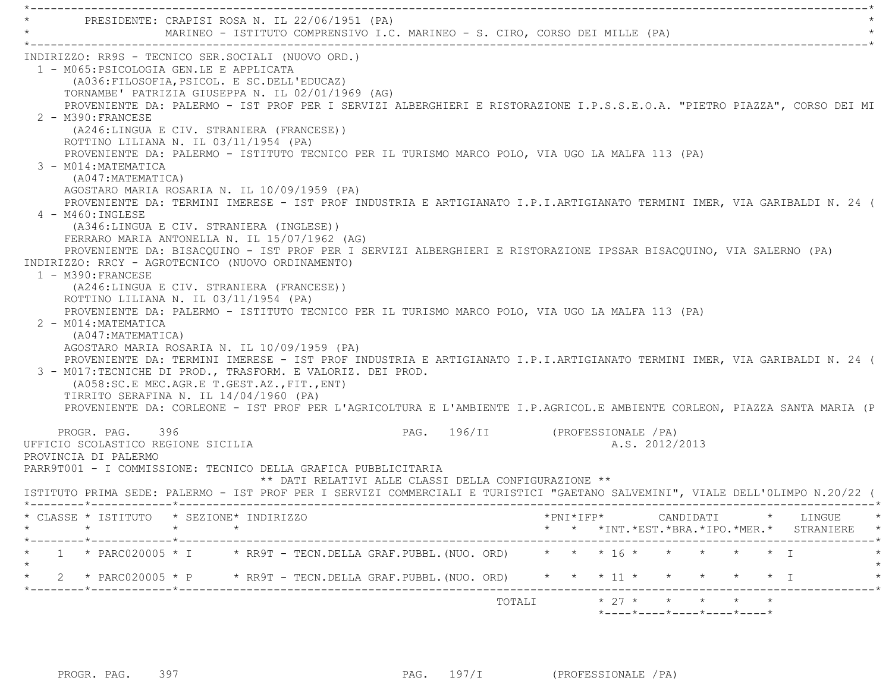| PRESIDENTE: CRAPISI ROSA N. IL 22/06/1951 (PA)                                                                                                                                                                                                                                                                                                                                                                                                                                                                                                                                                                                                                                                                                                                                                                                                                                                                                                                                                                                                                                                                                                                                                                                                                                                                                                                                                                                                                                                                                                                                                                             | MARINEO - ISTITUTO COMPRENSIVO I.C. MARINEO - S. CIRO, CORSO DEI MILLE (PA)             |        |                                                    |                                                 |  |
|----------------------------------------------------------------------------------------------------------------------------------------------------------------------------------------------------------------------------------------------------------------------------------------------------------------------------------------------------------------------------------------------------------------------------------------------------------------------------------------------------------------------------------------------------------------------------------------------------------------------------------------------------------------------------------------------------------------------------------------------------------------------------------------------------------------------------------------------------------------------------------------------------------------------------------------------------------------------------------------------------------------------------------------------------------------------------------------------------------------------------------------------------------------------------------------------------------------------------------------------------------------------------------------------------------------------------------------------------------------------------------------------------------------------------------------------------------------------------------------------------------------------------------------------------------------------------------------------------------------------------|-----------------------------------------------------------------------------------------|--------|----------------------------------------------------|-------------------------------------------------|--|
| INDIRIZZO: RR9S - TECNICO SER.SOCIALI (NUOVO ORD.)<br>1 - M065: PSICOLOGIA GEN.LE E APPLICATA<br>(A036: FILOSOFIA, PSICOL. E SC. DELL'EDUCAZ)<br>TORNAMBE' PATRIZIA GIUSEPPA N. IL 02/01/1969 (AG)<br>PROVENIENTE DA: PALERMO - IST PROF PER I SERVIZI ALBERGHIERI E RISTORAZIONE I.P.S.S.E.O.A. "PIETRO PIAZZA", CORSO DEI MI<br>2 - M390: FRANCESE<br>(A246:LINGUA E CIV. STRANIERA (FRANCESE))<br>ROTTINO LILIANA N. IL 03/11/1954 (PA)<br>PROVENIENTE DA: PALERMO - ISTITUTO TECNICO PER IL TURISMO MARCO POLO, VIA UGO LA MALFA 113 (PA)<br>3 - M014: MATEMATICA<br>(A047: MATEMATICA)<br>AGOSTARO MARIA ROSARIA N. IL 10/09/1959 (PA)<br>PROVENIENTE DA: TERMINI IMERESE - IST PROF INDUSTRIA E ARTIGIANATO I.P.I.ARTIGIANATO TERMINI IMER, VIA GARIBALDI N. 24 (<br>4 - M460: INGLESE<br>(A346:LINGUA E CIV. STRANIERA (INGLESE))<br>FERRARO MARIA ANTONELLA N. IL 15/07/1962 (AG)<br>PROVENIENTE DA: BISACQUINO - IST PROF PER I SERVIZI ALBERGHIERI E RISTORAZIONE IPSSAR BISACQUINO, VIA SALERNO (PA)<br>INDIRIZZO: RRCY - AGROTECNICO (NUOVO ORDINAMENTO)<br>1 - M390: FRANCESE<br>(A246:LINGUA E CIV. STRANIERA (FRANCESE))<br>ROTTINO LILIANA N. IL 03/11/1954 (PA)<br>PROVENIENTE DA: PALERMO - ISTITUTO TECNICO PER IL TURISMO MARCO POLO, VIA UGO LA MALFA 113 (PA)<br>2 - M014: MATEMATICA<br>(A047: MATEMATICA)<br>AGOSTARO MARIA ROSARIA N. IL 10/09/1959 (PA)<br>PROVENIENTE DA: TERMINI IMERESE - IST PROF INDUSTRIA E ARTIGIANATO I.P.I.ARTIGIANATO TERMINI IMER, VIA GARIBALDI N. 24 (<br>3 - M017:TECNICHE DI PROD., TRASFORM. E VALORIZ. DEI PROD.<br>(A058:SC.E MEC.AGR.E T.GEST.AZ., FIT., ENT) |                                                                                         |        |                                                    |                                                 |  |
| TIRRITO SERAFINA N. IL 14/04/1960 (PA)<br>PROVENIENTE DA: CORLEONE - IST PROF PER L'AGRICOLTURA E L'AMBIENTE I.P.AGRICOL.E AMBIENTE CORLEON, PIAZZA SANTA MARIA (P                                                                                                                                                                                                                                                                                                                                                                                                                                                                                                                                                                                                                                                                                                                                                                                                                                                                                                                                                                                                                                                                                                                                                                                                                                                                                                                                                                                                                                                         |                                                                                         |        |                                                    |                                                 |  |
| PROGR. PAG. 396<br>UFFICIO SCOLASTICO REGIONE SICILIA<br>PROVINCIA DI PALERMO<br>PARR9T001 - I COMMISSIONE: TECNICO DELLA GRAFICA PUBBLICITARIA<br>ISTITUTO PRIMA SEDE: PALERMO - IST PROF PER I SERVIZI COMMERCIALI E TURISTICI "GAETANO SALVEMINI", VIALE DELL'OLIMPO N.20/22 (                                                                                                                                                                                                                                                                                                                                                                                                                                                                                                                                                                                                                                                                                                                                                                                                                                                                                                                                                                                                                                                                                                                                                                                                                                                                                                                                          | PAG. 196/II (PROFESSIONALE /PA)<br>** DATI RELATIVI ALLE CLASSI DELLA CONFIGURAZIONE ** |        | A.S. 2012/2013                                     |                                                 |  |
| * CLASSE * ISTITUTO * SEZIONE* INDIRIZZO<br>$\star$<br>$\star$                                                                                                                                                                                                                                                                                                                                                                                                                                                                                                                                                                                                                                                                                                                                                                                                                                                                                                                                                                                                                                                                                                                                                                                                                                                                                                                                                                                                                                                                                                                                                             |                                                                                         |        |                                                    | * * *INT. *EST. *BRA. *IPO. *MER. * STRANIERE * |  |
| $1 * PARC020005 * I * RR9T - TECN. DELLA GRAF.PUBBL. (NUO. ORD)$                                                                                                                                                                                                                                                                                                                                                                                                                                                                                                                                                                                                                                                                                                                                                                                                                                                                                                                                                                                                                                                                                                                                                                                                                                                                                                                                                                                                                                                                                                                                                           |                                                                                         |        | * * * 16 * * * * * * 1                             |                                                 |  |
| * 2 * PARC020005 * P * RR9T - TECN.DELLA GRAF.PUBBL. (NUO. ORD)                                                                                                                                                                                                                                                                                                                                                                                                                                                                                                                                                                                                                                                                                                                                                                                                                                                                                                                                                                                                                                                                                                                                                                                                                                                                                                                                                                                                                                                                                                                                                            |                                                                                         |        | $\star$ $\star$ $\star$ 11 $\star$                 |                                                 |  |
|                                                                                                                                                                                                                                                                                                                                                                                                                                                                                                                                                                                                                                                                                                                                                                                                                                                                                                                                                                                                                                                                                                                                                                                                                                                                                                                                                                                                                                                                                                                                                                                                                            |                                                                                         | TOTALI | $* 27 * * * * * * *$<br>*----*----*----*----*----* |                                                 |  |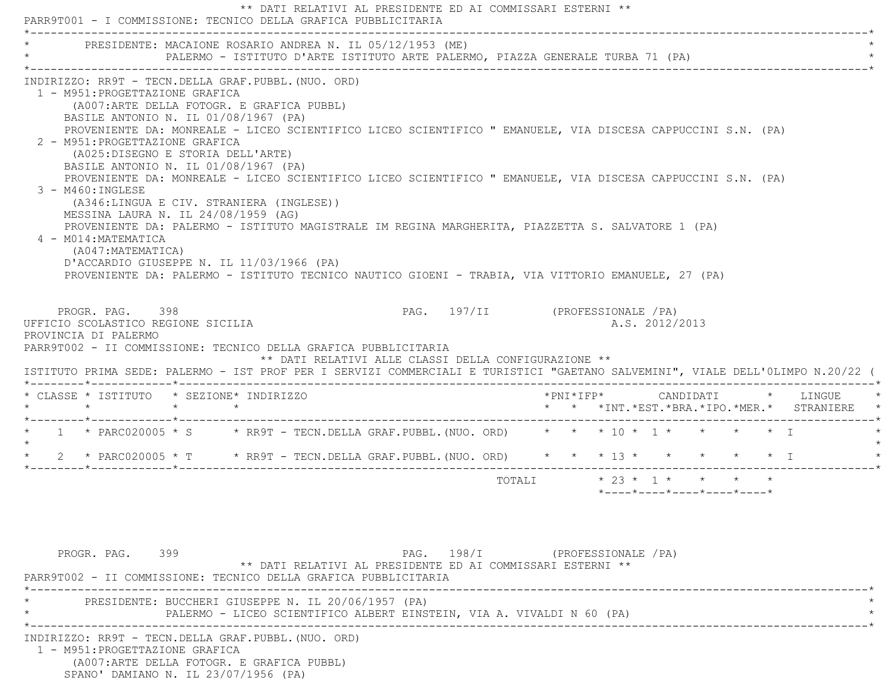|                                                                                                                                                                                                                                                                                                                                          | _________________________________<br>PRESIDENTE: MACAIONE ROSARIO ANDREA N. IL 05/12/1953 (ME) |                                                            |                                 |        |  |                                                   |  |                                            |
|------------------------------------------------------------------------------------------------------------------------------------------------------------------------------------------------------------------------------------------------------------------------------------------------------------------------------------------|------------------------------------------------------------------------------------------------|------------------------------------------------------------|---------------------------------|--------|--|---------------------------------------------------|--|--------------------------------------------|
|                                                                                                                                                                                                                                                                                                                                          | PALERMO - ISTITUTO D'ARTE ISTITUTO ARTE PALERMO, PIAZZA GENERALE TURBA 71 (PA)                 |                                                            |                                 |        |  |                                                   |  |                                            |
| INDIRIZZO: RR9T - TECN.DELLA GRAF.PUBBL. (NUO. ORD)                                                                                                                                                                                                                                                                                      |                                                                                                |                                                            |                                 |        |  |                                                   |  |                                            |
| 1 - M951: PROGETTAZIONE GRAFICA                                                                                                                                                                                                                                                                                                          | (A007: ARTE DELLA FOTOGR. E GRAFICA PUBBL)                                                     |                                                            |                                 |        |  |                                                   |  |                                            |
| BASILE ANTONIO N. IL 01/08/1967 (PA)                                                                                                                                                                                                                                                                                                     |                                                                                                |                                                            |                                 |        |  |                                                   |  |                                            |
| PROVENIENTE DA: MONREALE - LICEO SCIENTIFICO LICEO SCIENTIFICO " EMANUELE, VIA DISCESA CAPPUCCINI S.N. (PA)                                                                                                                                                                                                                              |                                                                                                |                                                            |                                 |        |  |                                                   |  |                                            |
| 2 - M951: PROGETTAZIONE GRAFICA                                                                                                                                                                                                                                                                                                          |                                                                                                |                                                            |                                 |        |  |                                                   |  |                                            |
| (A025:DISEGNO E STORIA DELL'ARTE)<br>BASILE ANTONIO N. IL 01/08/1967 (PA)                                                                                                                                                                                                                                                                |                                                                                                |                                                            |                                 |        |  |                                                   |  |                                            |
| PROVENIENTE DA: MONREALE - LICEO SCIENTIFICO LICEO SCIENTIFICO " EMANUELE, VIA DISCESA CAPPUCCINI S.N. (PA)                                                                                                                                                                                                                              |                                                                                                |                                                            |                                 |        |  |                                                   |  |                                            |
| $3 - M460$ : INGLESE                                                                                                                                                                                                                                                                                                                     |                                                                                                |                                                            |                                 |        |  |                                                   |  |                                            |
| MESSINA LAURA N. IL 24/08/1959 (AG)                                                                                                                                                                                                                                                                                                      | (A346:LINGUA E CIV. STRANIERA (INGLESE))                                                       |                                                            |                                 |        |  |                                                   |  |                                            |
| PROVENIENTE DA: PALERMO - ISTITUTO MAGISTRALE IM REGINA MARGHERITA, PIAZZETTA S. SALVATORE 1 (PA)                                                                                                                                                                                                                                        |                                                                                                |                                                            |                                 |        |  |                                                   |  |                                            |
| 4 - M014: MATEMATICA                                                                                                                                                                                                                                                                                                                     |                                                                                                |                                                            |                                 |        |  |                                                   |  |                                            |
| (A047:MATEMATICA)<br>D'ACCARDIO GIUSEPPE N. IL 11/03/1966 (PA)                                                                                                                                                                                                                                                                           |                                                                                                |                                                            |                                 |        |  |                                                   |  |                                            |
| PROVENIENTE DA: PALERMO - ISTITUTO TECNICO NAUTICO GIOENI - TRABIA, VIA VITTORIO EMANUELE, 27 (PA)                                                                                                                                                                                                                                       |                                                                                                |                                                            |                                 |        |  |                                                   |  |                                            |
|                                                                                                                                                                                                                                                                                                                                          |                                                                                                |                                                            |                                 |        |  |                                                   |  |                                            |
|                                                                                                                                                                                                                                                                                                                                          |                                                                                                |                                                            |                                 |        |  |                                                   |  |                                            |
|                                                                                                                                                                                                                                                                                                                                          |                                                                                                |                                                            |                                 |        |  |                                                   |  |                                            |
| PROGR. PAG. 398                                                                                                                                                                                                                                                                                                                          |                                                                                                |                                                            | PAG. 197/II (PROFESSIONALE /PA) |        |  |                                                   |  |                                            |
| UFFICIO SCOLASTICO REGIONE SICILIA<br>PROVINCIA DI PALERMO                                                                                                                                                                                                                                                                               |                                                                                                |                                                            |                                 |        |  | A.S. 2012/2013                                    |  |                                            |
| PARR9T002 - II COMMISSIONE: TECNICO DELLA GRAFICA PUBBLICITARIA                                                                                                                                                                                                                                                                          |                                                                                                |                                                            |                                 |        |  |                                                   |  |                                            |
|                                                                                                                                                                                                                                                                                                                                          |                                                                                                | ** DATI RELATIVI ALLE CLASSI DELLA CONFIGURAZIONE **       |                                 |        |  |                                                   |  |                                            |
|                                                                                                                                                                                                                                                                                                                                          |                                                                                                |                                                            |                                 |        |  |                                                   |  |                                            |
|                                                                                                                                                                                                                                                                                                                                          |                                                                                                |                                                            |                                 |        |  |                                                   |  | *PNI*IFP*     CANDIDATI    *   LINGUE      |
|                                                                                                                                                                                                                                                                                                                                          |                                                                                                |                                                            |                                 |        |  |                                                   |  |                                            |
|                                                                                                                                                                                                                                                                                                                                          |                                                                                                |                                                            |                                 |        |  |                                                   |  |                                            |
|                                                                                                                                                                                                                                                                                                                                          |                                                                                                |                                                            |                                 |        |  |                                                   |  | * * *INT.*EST.*BRA.*IPO.*MER.* STRANIERE * |
|                                                                                                                                                                                                                                                                                                                                          |                                                                                                |                                                            |                                 | TOTALI |  | $* 23 * 1 * * * * * * *$                          |  |                                            |
|                                                                                                                                                                                                                                                                                                                                          |                                                                                                |                                                            |                                 |        |  | $*$ ----- $*$ ---- $*$ ---- $*$ ---- $*$ ---- $*$ |  |                                            |
|                                                                                                                                                                                                                                                                                                                                          |                                                                                                |                                                            |                                 |        |  |                                                   |  |                                            |
|                                                                                                                                                                                                                                                                                                                                          |                                                                                                |                                                            |                                 |        |  |                                                   |  |                                            |
|                                                                                                                                                                                                                                                                                                                                          |                                                                                                |                                                            |                                 |        |  |                                                   |  |                                            |
| PROGR. PAG. 399                                                                                                                                                                                                                                                                                                                          |                                                                                                |                                                            | PAG. 198/I (PROFESSIONALE / PA) |        |  |                                                   |  |                                            |
|                                                                                                                                                                                                                                                                                                                                          |                                                                                                | ** DATI RELATIVI AL PRESIDENTE ED AI COMMISSARI ESTERNI ** |                                 |        |  |                                                   |  |                                            |
| ISTITUTO PRIMA SEDE: PALERMO - IST PROF PER I SERVIZI COMMERCIALI E TURISTICI "GAETANO SALVEMINI", VIALE DELL'OLIMPO N.20/22 (<br>* CLASSE * ISTITUTO * SEZIONE* INDIRIZZO<br>1 * PARC020005 * S * RR9T - TECN.DELLA GRAF.PUBBL.(NUO. ORD) * * * 10 * 1 * * * * * * I<br>PARR9T002 - II COMMISSIONE: TECNICO DELLA GRAFICA PUBBLICITARIA |                                                                                                |                                                            | ________________________        |        |  |                                                   |  |                                            |
|                                                                                                                                                                                                                                                                                                                                          | PRESIDENTE: BUCCHERI GIUSEPPE N. IL 20/06/1957 (PA)                                            |                                                            |                                 |        |  |                                                   |  |                                            |
|                                                                                                                                                                                                                                                                                                                                          | PALERMO - LICEO SCIENTIFICO ALBERT EINSTEIN, VIA A. VIVALDI N 60 (PA)                          | _______________________________                            |                                 |        |  |                                                   |  |                                            |
| INDIRIZZO: RR9T - TECN.DELLA GRAF.PUBBL. (NUO. ORD)                                                                                                                                                                                                                                                                                      |                                                                                                |                                                            |                                 |        |  |                                                   |  |                                            |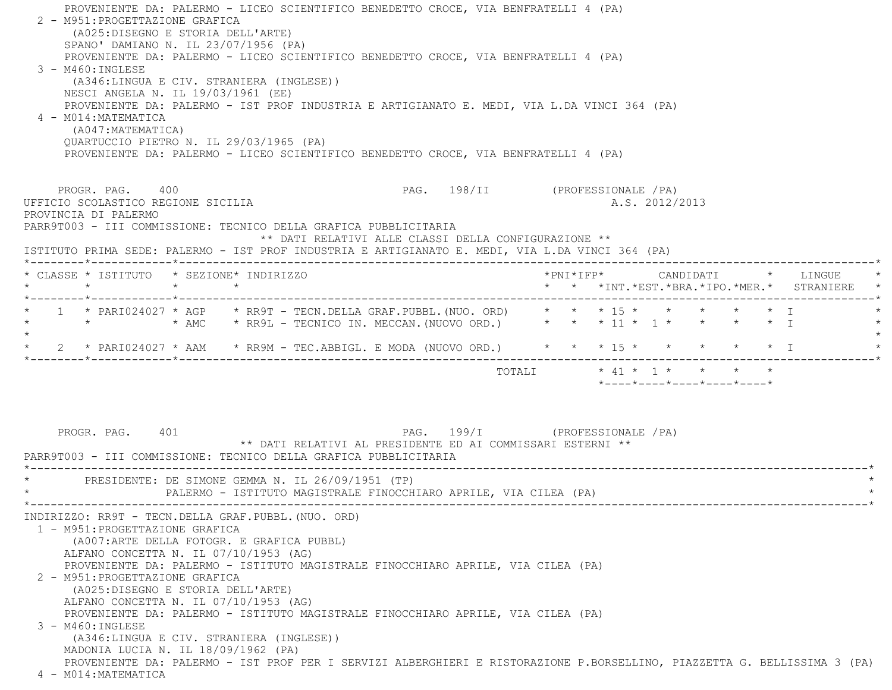| PROVENIENTE DA: PALERMO - LICEO SCIENTIFICO BENEDETTO CROCE, VIA BENFRATELLI 4 (PA)<br>2 - M951: PROGETTAZIONE GRAFICA<br>(A025:DISEGNO E STORIA DELL'ARTE)<br>SPANO' DAMIANO N. IL 23/07/1956 (PA)<br>PROVENIENTE DA: PALERMO - LICEO SCIENTIFICO BENEDETTO CROCE, VIA BENFRATELLI 4 (PA)<br>3 - M460: INGLESE<br>(A346:LINGUA E CIV. STRANIERA (INGLESE))<br>NESCI ANGELA N. IL 19/03/1961 (EE)<br>PROVENIENTE DA: PALERMO - IST PROF INDUSTRIA E ARTIGIANATO E. MEDI, VIA L.DA VINCI 364 (PA)<br>4 - M014: MATEMATICA<br>(A047: MATEMATICA)<br>QUARTUCCIO PIETRO N. IL 29/03/1965 (PA)<br>PROVENIENTE DA: PALERMO - LICEO SCIENTIFICO BENEDETTO CROCE, VIA BENFRATELLI 4 (PA)        |                                           |                                                                                              |                                 |  |  |                |                                                                 |  |                                                                                   |  |
|-----------------------------------------------------------------------------------------------------------------------------------------------------------------------------------------------------------------------------------------------------------------------------------------------------------------------------------------------------------------------------------------------------------------------------------------------------------------------------------------------------------------------------------------------------------------------------------------------------------------------------------------------------------------------------------------|-------------------------------------------|----------------------------------------------------------------------------------------------|---------------------------------|--|--|----------------|-----------------------------------------------------------------|--|-----------------------------------------------------------------------------------|--|
| PROGR. PAG. 400<br>UFFICIO SCOLASTICO REGIONE SICILIA<br>PROVINCIA DI PALERMO<br>PARR9T003 - III COMMISSIONE: TECNICO DELLA GRAFICA PUBBLICITARIA                                                                                                                                                                                                                                                                                                                                                                                                                                                                                                                                       |                                           | ** DATI RELATIVI ALLE CLASSI DELLA CONFIGURAZIONE **                                         | PAG. 198/II (PROFESSIONALE /PA) |  |  | A.S. 2012/2013 |                                                                 |  |                                                                                   |  |
| ISTITUTO PRIMA SEDE: PALERMO - IST PROF INDUSTRIA E ARTIGIANATO E. MEDI, VIA L.DA VINCI 364 (PA)                                                                                                                                                                                                                                                                                                                                                                                                                                                                                                                                                                                        |                                           |                                                                                              |                                 |  |  |                |                                                                 |  |                                                                                   |  |
| * CLASSE * ISTITUTO * SEZIONE* INDIRIZZO<br>$\star$ $\sim$                                                                                                                                                                                                                                                                                                                                                                                                                                                                                                                                                                                                                              | $\star$ $\star$                           |                                                                                              |                                 |  |  |                |                                                                 |  | *PNI*IFP*     CANDIDATI    *   LINGUE<br>* * *INT.*EST.*BRA.*IPO.*MER.* STRANIERE |  |
| 1 * PARI024027 * AGP * RR9T - TECN.DELLA GRAF.PUBBL.(NUO. ORD) * * * 15 * * * * * * * * I<br>* * * AMC * RR9L - TECNICO IN. MECCAN. (NUOVO ORD.) * * * 11 * 1 * * * * * * I<br>$\star$                                                                                                                                                                                                                                                                                                                                                                                                                                                                                                  |                                           |                                                                                              |                                 |  |  |                |                                                                 |  |                                                                                   |  |
| 2 * PARI024027 * AAM * RR9M - TEC.ABBIGL. E MODA (NUOVO ORD.) * * * 15 * * * * * * * I                                                                                                                                                                                                                                                                                                                                                                                                                                                                                                                                                                                                  |                                           |                                                                                              |                                 |  |  |                |                                                                 |  |                                                                                   |  |
| PROGR. PAG. 401                                                                                                                                                                                                                                                                                                                                                                                                                                                                                                                                                                                                                                                                         |                                           | PAG. 199/I (PROFESSIONALE /PA)<br>** DATI RELATIVI AL PRESIDENTE ED AI COMMISSARI ESTERNI ** |                                 |  |  |                | $*$ - - - - $*$ - - - - $*$ - - - - $*$ - - - - $*$ - - - - $*$ |  |                                                                                   |  |
| PARR9T003 - III COMMISSIONE: TECNICO DELLA GRAFICA PUBBLICITARIA<br>PRESIDENTE: DE SIMONE GEMMA N. IL 26/09/1951 (TP)                                                                                                                                                                                                                                                                                                                                                                                                                                                                                                                                                                   |                                           | PALERMO - ISTITUTO MAGISTRALE FINOCCHIARO APRILE, VIA CILEA (PA)                             |                                 |  |  |                |                                                                 |  |                                                                                   |  |
| INDIRIZZO: RR9T - TECN.DELLA GRAF.PUBBL. (NUO. ORD)<br>1 - M951: PROGETTAZIONE GRAFICA<br>ALFANO CONCETTA N. IL 07/10/1953 (AG)<br>PROVENIENTE DA: PALERMO - ISTITUTO MAGISTRALE FINOCCHIARO APRILE, VIA CILEA (PA)<br>2 - M951: PROGETTAZIONE GRAFICA<br>(A025:DISEGNO E STORIA DELL'ARTE)<br>ALFANO CONCETTA N. IL 07/10/1953 (AG)<br>PROVENIENTE DA: PALERMO - ISTITUTO MAGISTRALE FINOCCHIARO APRILE, VIA CILEA (PA)<br>$3 - M460$ : INGLESE<br>(A346:LINGUA E CIV. STRANIERA (INGLESE))<br>MADONIA LUCIA N. IL 18/09/1962 (PA)<br>PROVENIENTE DA: PALERMO - IST PROF PER I SERVIZI ALBERGHIERI E RISTORAZIONE P.BORSELLINO, PIAZZETTA G. BELLISSIMA 3 (PA)<br>4 - M014: MATEMATICA | (A007:ARTE DELLA FOTOGR. E GRAFICA PUBBL) |                                                                                              |                                 |  |  |                |                                                                 |  |                                                                                   |  |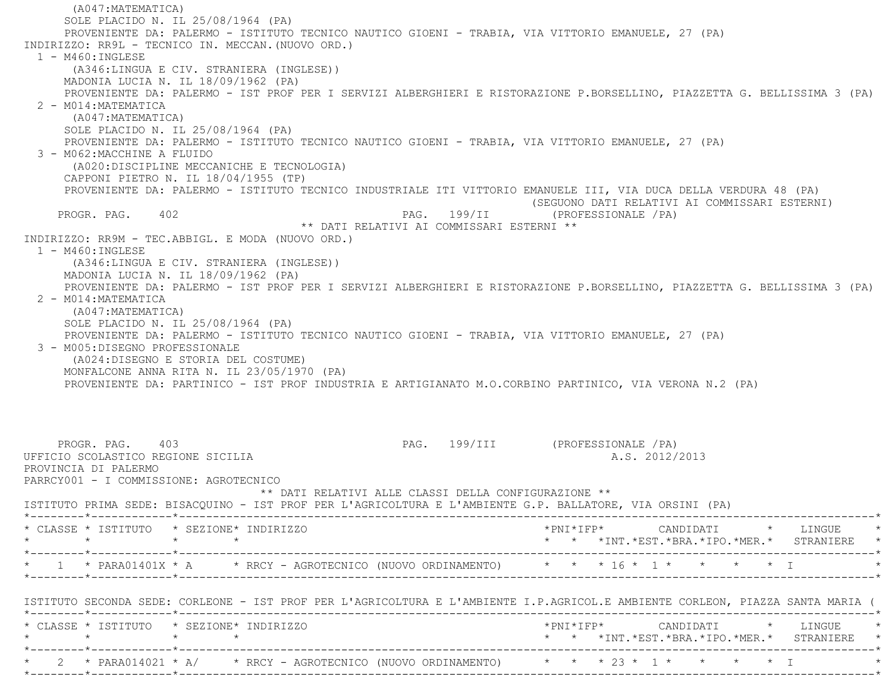(A047:MATEMATICA) SOLE PLACIDO N. IL 25/08/1964 (PA) PROVENIENTE DA: PALERMO - ISTITUTO TECNICO NAUTICO GIOENI - TRABIA, VIA VITTORIO EMANUELE, 27 (PA) INDIRIZZO: RR9L - TECNICO IN. MECCAN.(NUOVO ORD.) 1 - M460:INGLESE (A346:LINGUA E CIV. STRANIERA (INGLESE)) MADONIA LUCIA N. IL 18/09/1962 (PA) PROVENIENTE DA: PALERMO - IST PROF PER I SERVIZI ALBERGHIERI E RISTORAZIONE P.BORSELLINO, PIAZZETTA G. BELLISSIMA 3 (PA) 2 - M014:MATEMATICA (A047:MATEMATICA) SOLE PLACIDO N. IL 25/08/1964 (PA) PROVENIENTE DA: PALERMO - ISTITUTO TECNICO NAUTICO GIOENI - TRABIA, VIA VITTORIO EMANUELE, 27 (PA) 3 - M062:MACCHINE A FLUIDO (A020:DISCIPLINE MECCANICHE E TECNOLOGIA) CAPPONI PIETRO N. IL 18/04/1955 (TP) PROVENIENTE DA: PALERMO - ISTITUTO TECNICO INDUSTRIALE ITI VITTORIO EMANUELE III, VIA DUCA DELLA VERDURA 48 (PA) (SEGUONO DATI RELATIVI AI COMMISSARI ESTERNI) PROGR. PAG. 402 PAG. 199/II (PROFESSIONALE /PA) \*\* DATI RELATIVI AI COMMISSARI ESTERNI \*\* INDIRIZZO: RR9M - TEC.ABBIGL. E MODA (NUOVO ORD.) 1 - M460:INGLESE (A346:LINGUA E CIV. STRANIERA (INGLESE)) MADONIA LUCIA N. IL 18/09/1962 (PA) PROVENIENTE DA: PALERMO - IST PROF PER I SERVIZI ALBERGHIERI E RISTORAZIONE P.BORSELLINO, PIAZZETTA G. BELLISSIMA 3 (PA)  $2 - MO14$ : MATEMATICA (A047:MATEMATICA) SOLE PLACIDO N. IL 25/08/1964 (PA) PROVENIENTE DA: PALERMO - ISTITUTO TECNICO NAUTICO GIOENI - TRABIA, VIA VITTORIO EMANUELE, 27 (PA) 3 - M005:DISEGNO PROFESSIONALE (A024:DISEGNO E STORIA DEL COSTUME) MONFALCONE ANNA RITA N. IL 23/05/1970 (PA) PROVENIENTE DA: PARTINICO - IST PROF INDUSTRIA E ARTIGIANATO M.O.CORBINO PARTINICO, VIA VERONA N.2 (PA) PROGR. PAG. 403 PAG. 199/III (PROFESSIONALE /PA) UFFICIO SCOLASTICO REGIONE SICILIA A.S. 2012/2013 PROVINCIA DI PALERMO PARRCY001 - I COMMISSIONE: AGROTECNICO \*\* DATI RELATIVI ALLE CLASSI DELLA CONFIGURAZIONE \*\* ISTITUTO PRIMA SEDE: BISACQUINO - IST PROF PER L'AGRICOLTURA E L'AMBIENTE G.P. BALLATORE, VIA ORSINI (PA) \*--------\*------------\*-------------------------------------------------------------------------------------------------------\* \* CLASSE \* ISTITUTO \* SEZIONE\* INDIRIZZO \*PNI\*IFP\* CANDIDATI \* LINGUE \* \* \* \* \* \* \* \*INT.\*EST.\*BRA.\*IPO.\*MER.\* STRANIERE \* \*--------\*------------\*-------------------------------------------------------------------------------------------------------\*\* 1 \* PARA01401X \* A \* \* RRCY - AGROTECNICO (NUOVO ORDINAMENTO) \* \* \* 16 \* 1 \* \* \* \* \* \* I \*--------\*------------\*-------------------------------------------------------------------------------------------------------\* ISTITUTO SECONDA SEDE: CORLEONE - IST PROF PER L'AGRICOLTURA E L'AMBIENTE I.P.AGRICOL.E AMBIENTE CORLEON, PIAZZA SANTA MARIA ( \*--------\*------------\*-------------------------------------------------------------------------------------------------------\* \* CLASSE \* ISTITUTO \* SEZIONE\* INDIRIZZO \*PNI\*IFP\* CANDIDATI \* LINGUE \* \* \* \* \* \* \* \*INT.\*EST.\*BRA.\*IPO.\*MER.\* STRANIERE \* \*--------\*------------\*-------------------------------------------------------------------------------------------------------\*\* 2 \* PARA014021 \* A/ \* RRCY - AGROTECNICO (NUOVO ORDINAMENTO) \* \* \* \* 23 \* 1 \* \* \* \* \* \* I \*--------\*------------\*-------------------------------------------------------------------------------------------------------\*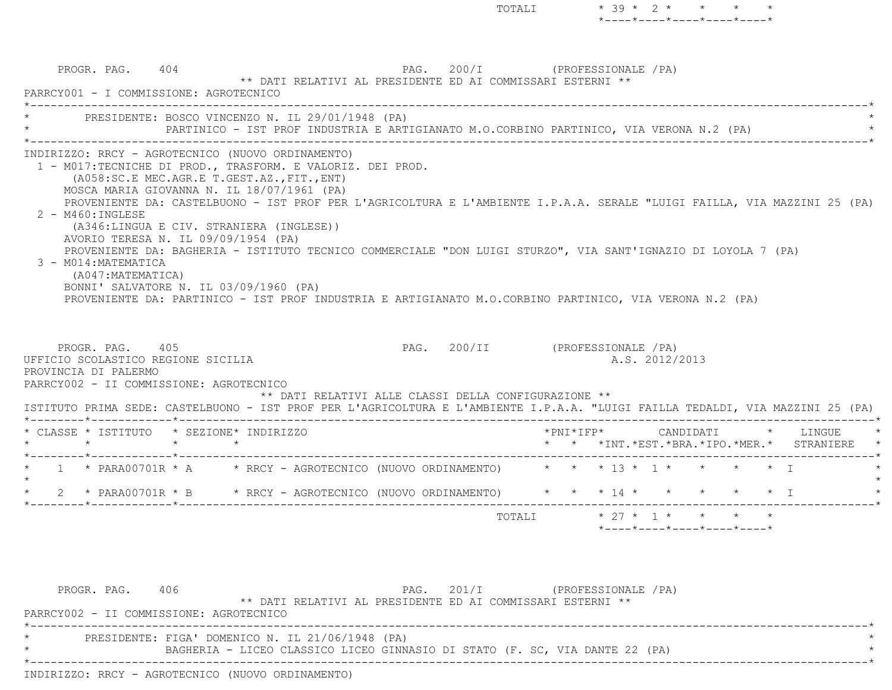|                                                                    |                                         | PARRCY001 - I COMMISSIONE: AGROTECNICO                                                                                                                                                                                 |                                                                                                                                                                                                                                                                                                                                                                                                                                                                         |                                 | ** DATI RELATIVI AL PRESIDENTE ED AI COMMISSARI ESTERNI ** |  |                |  |                                                                                      |  |
|--------------------------------------------------------------------|-----------------------------------------|------------------------------------------------------------------------------------------------------------------------------------------------------------------------------------------------------------------------|-------------------------------------------------------------------------------------------------------------------------------------------------------------------------------------------------------------------------------------------------------------------------------------------------------------------------------------------------------------------------------------------------------------------------------------------------------------------------|---------------------------------|------------------------------------------------------------|--|----------------|--|--------------------------------------------------------------------------------------|--|
|                                                                    |                                         |                                                                                                                                                                                                                        | * PRESIDENTE: BOSCO VINCENZO N. IL 29/01/1948 (PA)<br>PARTINICO - IST PROF INDUSTRIA E ARTIGIANATO M.O.CORBINO PARTINICO, VIA VERONA N.2 (PA)                                                                                                                                                                                                                                                                                                                           |                                 |                                                            |  |                |  |                                                                                      |  |
| $2 - M460$ : INGLESE<br>3 - M014: MATEMATICA<br>(A047: MATEMATICA) |                                         | (A058:SC.E MEC.AGR.E T.GEST.AZ., FIT., ENT)<br>MOSCA MARIA GIOVANNA N. IL 18/07/1961 (PA)<br>(A346:LINGUA E CIV. STRANIERA (INGLESE))<br>AVORIO TERESA N. IL 09/09/1954 (PA)<br>BONNI' SALVATORE N. IL 03/09/1960 (PA) | INDIRIZZO: RRCY - AGROTECNICO (NUOVO ORDINAMENTO)<br>1 - MO17:TECNICHE DI PROD., TRASFORM. E VALORIZ. DEI PROD.<br>PROVENIENTE DA: CASTELBUONO - IST PROF PER L'AGRICOLTURA E L'AMBIENTE I.P.A.A. SERALE "LUIGI FAILLA, VIA MAZZINI 25 (PA)<br>PROVENIENTE DA: BAGHERIA - ISTITUTO TECNICO COMMERCIALE "DON LUIGI STURZO", VIA SANT'IGNAZIO DI LOYOLA 7 (PA)<br>PROVENIENTE DA: PARTINICO - IST PROF INDUSTRIA E ARTIGIANATO M.O.CORBINO PARTINICO, VIA VERONA N.2 (PA) |                                 |                                                            |  |                |  |                                                                                      |  |
|                                                                    |                                         |                                                                                                                                                                                                                        |                                                                                                                                                                                                                                                                                                                                                                                                                                                                         |                                 |                                                            |  |                |  |                                                                                      |  |
| PROGR. PAG. 405<br>PROVINCIA DI PALERMO                            | UFFICIO SCOLASTICO REGIONE SICILIA      |                                                                                                                                                                                                                        |                                                                                                                                                                                                                                                                                                                                                                                                                                                                         | PAG. 200/II (PROFESSIONALE /PA) |                                                            |  | A.S. 2012/2013 |  |                                                                                      |  |
|                                                                    |                                         | PARRCY002 - II COMMISSIONE: AGROTECNICO                                                                                                                                                                                | ** DATI RELATIVI ALLE CLASSI DELLA CONFIGURAZIONE **<br>ISTITUTO PRIMA SEDE: CASTELBUONO - IST PROF PER L'AGRICOLTURA E L'AMBIENTE I.P.A.A. "LUIGI FAILLA TEDALDI, VIA MAZZINI 25 (PA)                                                                                                                                                                                                                                                                                  |                                 |                                                            |  |                |  |                                                                                      |  |
|                                                                    | $\star$ $\star$ $\star$ $\star$ $\star$ | * CLASSE * ISTITUTO * SEZIONE* INDIRIZZO                                                                                                                                                                               |                                                                                                                                                                                                                                                                                                                                                                                                                                                                         |                                 |                                                            |  |                |  | *PNI*IFP*     CANDIDATI    *  LINGUE   *<br>* * *INT.*EST.*BRA.*IPO.*MER.* STRANIERE |  |
|                                                                    |                                         |                                                                                                                                                                                                                        | * 1 * PARA00701R * A * RRCY - AGROTECNICO (NUOVO ORDINAMENTO) * * * 13 * 1 * * * * * I                                                                                                                                                                                                                                                                                                                                                                                  |                                 |                                                            |  |                |  |                                                                                      |  |
|                                                                    |                                         |                                                                                                                                                                                                                        | * 2 * PARA00701R * B * RRCY - AGROTECNICO (NUOVO ORDINAMENTO) * * * * 14 * * * * * * * T                                                                                                                                                                                                                                                                                                                                                                                |                                 |                                                            |  |                |  |                                                                                      |  |

PROGR. PAG. 406 PAG. 201/I (PROFESSIONALE /PA) \*\* DATI RELATIVI AL PRESIDENTE ED AI COMMISSARI ESTERNI \*\* PARRCY002 - II COMMISSIONE: AGROTECNICO \*----------------------------------------------------------------------------------------------------------------------------\*PRESIDENTE: FIGA' DOMENICO N. IL 21/06/1948 (PA) \* BAGHERIA - LICEO CLASSICO LICEO GINNASIO DI STATO (F. SC, VIA DANTE 22 (PA) \* \*----------------------------------------------------------------------------------------------------------------------------\*INDIRIZZO: RRCY - AGROTECNICO (NUOVO ORDINAMENTO)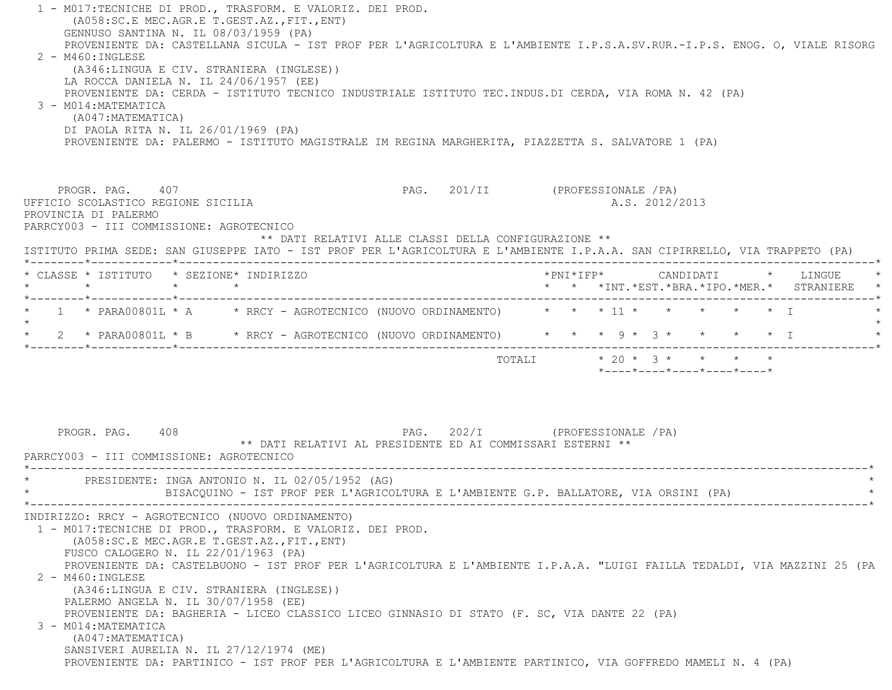1 - M017:TECNICHE DI PROD., TRASFORM. E VALORIZ. DEI PROD. (A058:SC.E MEC.AGR.E T.GEST.AZ.,FIT.,ENT) GENNUSO SANTINA N. IL 08/03/1959 (PA) PROVENIENTE DA: CASTELLANA SICULA - IST PROF PER L'AGRICOLTURA E L'AMBIENTE I.P.S.A.SV.RUR.-I.P.S. ENOG. O, VIALE RISORG 2 - M460:INGLESE (A346:LINGUA E CIV. STRANIERA (INGLESE)) LA ROCCA DANIELA N. IL 24/06/1957 (EE) PROVENIENTE DA: CERDA - ISTITUTO TECNICO INDUSTRIALE ISTITUTO TEC.INDUS.DI CERDA, VIA ROMA N. 42 (PA) 3 - M014:MATEMATICA (A047:MATEMATICA) DI PAOLA RITA N. IL 26/01/1969 (PA) PROVENIENTE DA: PALERMO - ISTITUTO MAGISTRALE IM REGINA MARGHERITA, PIAZZETTA S. SALVATORE 1 (PA) PROGR. PAG. 407 PAG. 201/II (PROFESSIONALE /PA) UFFICIO SCOLASTICO REGIONE SICILIA A.S. 2012/2013 PROVINCIA DI PALERMO PARRCY003 - III COMMISSIONE: AGROTECNICO \*\* DATI RELATIVI ALLE CLASSI DELLA CONFIGURAZIONE \*\* ISTITUTO PRIMA SEDE: SAN GIUSEPPE IATO - IST PROF PER L'AGRICOLTURA E L'AMBIENTE I.P.A.A. SAN CIPIRRELLO, VIA TRAPPETO (PA) \*--------\*------------\*-------------------------------------------------------------------------------------------------------\* \* CLASSE \* ISTITUTO \* SEZIONE\* INDIRIZZO \*PNI\*IFP\* CANDIDATI \* LINGUE \* \* \* \* \* \* \* \*INT.\*EST.\*BRA.\*IPO.\*MER.\* STRANIERE \* \*--------\*------------\*-------------------------------------------------------------------------------------------------------\*\* 1 \* PARA00801L \* A \* RRCY - AGROTECNICO (NUOVO ORDINAMENTO) \* \* \* \* 11 \* \* \* \* \* \* \* I  $\star$ \* 2 \* PARA00801L \* B \* RRCY - AGROTECNICO (NUOVO ORDINAMENTO) \* \* \* \* 9 \* 3 \* \* \* \* \* \* I \*--------\*------------\*-------------------------------------------------------------------------------------------------------\* $\texttt{TOTAL} \qquad \qquad \star \quad 20 \; \star \quad 3 \; \star \qquad \star \qquad \star \qquad \star \qquad \star$  \*----\*----\*----\*----\*----\*PROGR. PAG. 408 408 PAG. 202/I (PROFESSIONALE /PA) \*\* DATI RELATIVI AL PRESIDENTE ED AI COMMISSARI ESTERNI \*\* PARRCY003 - III COMMISSIONE: AGROTECNICO \*----------------------------------------------------------------------------------------------------------------------------\*PRESIDENTE: INGA ANTONIO N. IL 02/05/1952 (AG) BISACOUINO - IST PROF PER L'AGRICOLTURA E L'AMBIENTE G.P. BALLATORE, VIA ORSINI (PA) \*----------------------------------------------------------------------------------------------------------------------------\* INDIRIZZO: RRCY - AGROTECNICO (NUOVO ORDINAMENTO) 1 - M017:TECNICHE DI PROD., TRASFORM. E VALORIZ. DEI PROD. (A058:SC.E MEC.AGR.E T.GEST.AZ.,FIT.,ENT) FUSCO CALOGERO N. IL 22/01/1963 (PA) PROVENIENTE DA: CASTELBUONO - IST PROF PER L'AGRICOLTURA E L'AMBIENTE I.P.A.A. "LUIGI FAILLA TEDALDI, VIA MAZZINI 25 (PA 2 - M460:INGLESE (A346:LINGUA E CIV. STRANIERA (INGLESE)) PALERMO ANGELA N. IL 30/07/1958 (EE) PROVENIENTE DA: BAGHERIA - LICEO CLASSICO LICEO GINNASIO DI STATO (F. SC, VIA DANTE 22 (PA) 3 - M014:MATEMATICA (A047:MATEMATICA) SANSIVERI AURELIA N. IL 27/12/1974 (ME) PROVENIENTE DA: PARTINICO - IST PROF PER L'AGRICOLTURA E L'AMBIENTE PARTINICO, VIA GOFFREDO MAMELI N. 4 (PA)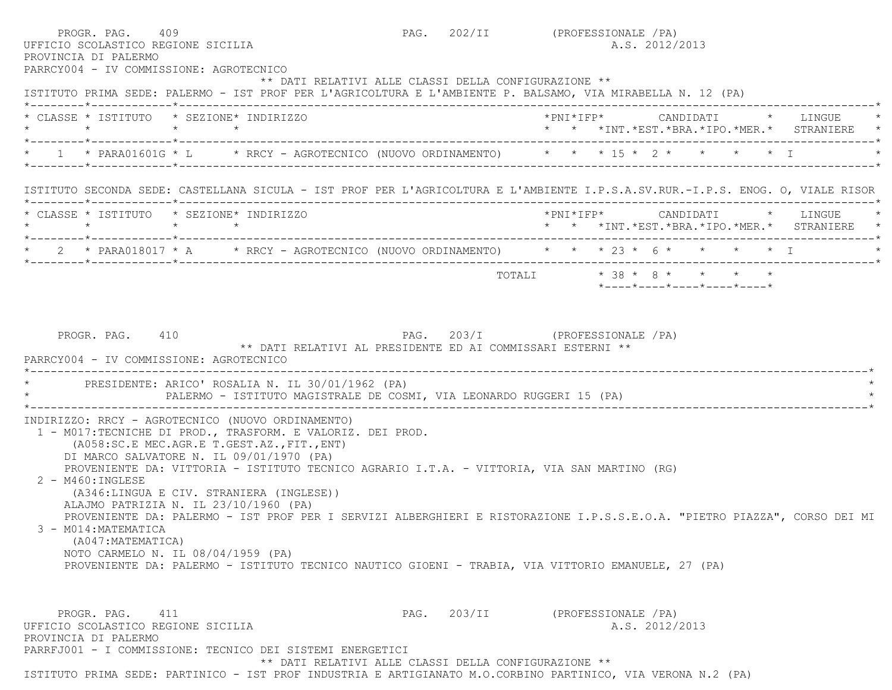| UFFICIO SCOLASTICO REGIONE SICILIA<br>PROVINCIA DI PALERMO<br>PARRCY004 - IV COMMISSIONE: AGROTECNICO | PROGR. PAG. 409                                                                                                                                                                                                                                                                                                                                                                                                                                                                                                                            |                                                                                               | PAG. 202/II (PROFESSIONALE / PA)<br>A.S. 2012/2013                                                                             |
|-------------------------------------------------------------------------------------------------------|--------------------------------------------------------------------------------------------------------------------------------------------------------------------------------------------------------------------------------------------------------------------------------------------------------------------------------------------------------------------------------------------------------------------------------------------------------------------------------------------------------------------------------------------|-----------------------------------------------------------------------------------------------|--------------------------------------------------------------------------------------------------------------------------------|
|                                                                                                       |                                                                                                                                                                                                                                                                                                                                                                                                                                                                                                                                            | ** DATI RELATIVI ALLE CLASSI DELLA CONFIGURAZIONE **                                          | ISTITUTO PRIMA SEDE: PALERMO - IST PROF PER L'AGRICOLTURA E L'AMBIENTE P. BALSAMO, VIA MIRABELLA N. 12 (PA)                    |
|                                                                                                       | * CLASSE * ISTITUTO * SEZIONE* INDIRIZZO                                                                                                                                                                                                                                                                                                                                                                                                                                                                                                   |                                                                                               | *PNI*IFP*     CANDIDATI    *   LINGUE<br>* * *INT.*EST.*BRA.*IPO.*MER.* STRANIERE                                              |
|                                                                                                       |                                                                                                                                                                                                                                                                                                                                                                                                                                                                                                                                            |                                                                                               | 1 * PARA01601G * L * RRCY - AGROTECNICO (NUOVO ORDINAMENTO) * * * 15 * 2 * * * * * T                                           |
|                                                                                                       |                                                                                                                                                                                                                                                                                                                                                                                                                                                                                                                                            |                                                                                               | ISTITUTO SECONDA SEDE: CASTELLANA SICULA - IST PROF PER L'AGRICOLTURA E L'AMBIENTE I.P.S.A.SV.RUR.-I.P.S. ENOG. O, VIALE RISOR |
|                                                                                                       | * CLASSE * ISTITUTO * SEZIONE* INDIRIZZO                                                                                                                                                                                                                                                                                                                                                                                                                                                                                                   |                                                                                               | * * *INT.*EST.*BRA.*IPO.*MER.* STRANIERE *                                                                                     |
|                                                                                                       |                                                                                                                                                                                                                                                                                                                                                                                                                                                                                                                                            |                                                                                               | * 2 * PARA018017 * A * RRCY - AGROTECNICO (NUOVO ORDINAMENTO) * * * 23 * 6 * * * * * * I                                       |
|                                                                                                       |                                                                                                                                                                                                                                                                                                                                                                                                                                                                                                                                            |                                                                                               | TOTALI * 38 * 8 * * * * *<br>$*$ - - - - $*$ - - - - $*$ - - - - $*$ - - - - $*$ - - - - $*$                                   |
| PROGR. PAG. 410<br>PARRCY004 - IV COMMISSIONE: AGROTECNICO                                            |                                                                                                                                                                                                                                                                                                                                                                                                                                                                                                                                            | PAG. 203/I (PROFESSIONALE / PA)<br>** DATI RELATIVI AL PRESIDENTE ED AI COMMISSARI ESTERNI ** |                                                                                                                                |
|                                                                                                       | PRESIDENTE: ARICO' ROSALIA N. IL 30/01/1962 (PA)<br>PALERMO - ISTITUTO MAGISTRALE DE COSMI, VIA LEONARDO RUGGERI 15 (PA)                                                                                                                                                                                                                                                                                                                                                                                                                   |                                                                                               |                                                                                                                                |
| $2 - M460$ : INGLESE<br>3 - M014: MATEMATICA<br>(A047: MATEMATICA)                                    | INDIRIZZO: RRCY - AGROTECNICO (NUOVO ORDINAMENTO)<br>1 - M017:TECNICHE DI PROD., TRASFORM. E VALORIZ. DEI PROD.<br>(A058:SC.E MEC.AGR.E T.GEST.AZ., FIT., ENT)<br>DI MARCO SALVATORE N. IL 09/01/1970 (PA)<br>PROVENIENTE DA: VITTORIA - ISTITUTO TECNICO AGRARIO I.T.A. - VITTORIA, VIA SAN MARTINO (RG)<br>(A346:LINGUA E CIV. STRANIERA (INGLESE))<br>ALAJMO PATRIZIA N. IL 23/10/1960 (PA)<br>NOTO CARMELO N. IL 08/04/1959 (PA)<br>PROVENIENTE DA: PALERMO - ISTITUTO TECNICO NAUTICO GIOENI - TRABIA, VIA VITTORIO EMANUELE, 27 (PA) |                                                                                               | PROVENIENTE DA: PALERMO - IST PROF PER I SERVIZI ALBERGHIERI E RISTORAZIONE I.P.S.S.E.O.A. "PIETRO PIAZZA", CORSO DEI MI       |

ISTITUTO PRIMA SEDE: PARTINICO - IST PROF INDUSTRIA E ARTIGIANATO M.O.CORBINO PARTINICO, VIA VERONA N.2 (PA)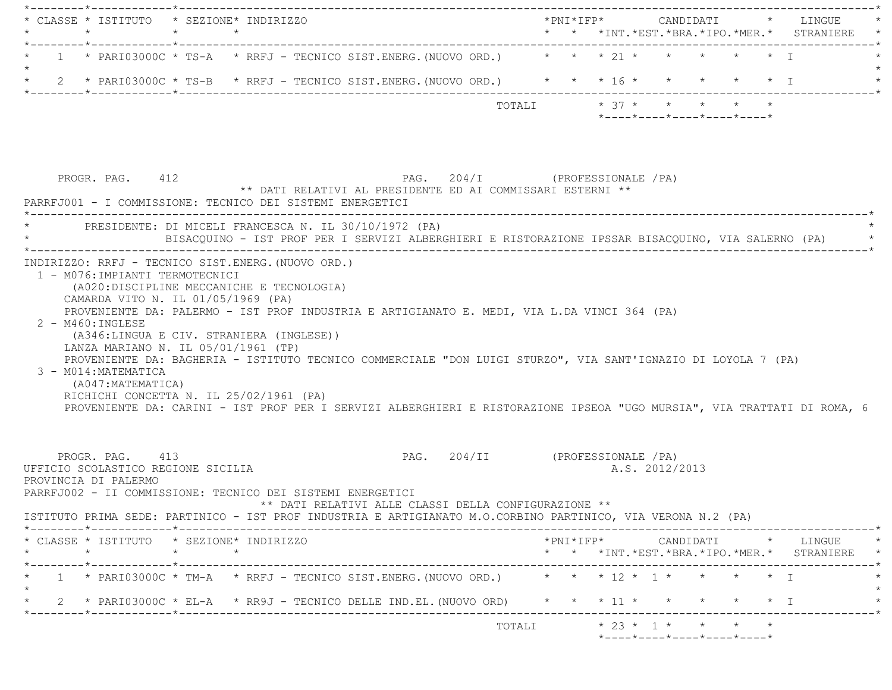| * CLASSE * ISTITUTO * SEZIONE* INDIRIZZO                                                                                                                                                                                                                                                                                                                                                                            |  |  |                                            |                                                                 |           |                                                                                                                                                                       |  |
|---------------------------------------------------------------------------------------------------------------------------------------------------------------------------------------------------------------------------------------------------------------------------------------------------------------------------------------------------------------------------------------------------------------------|--|--|--------------------------------------------|-----------------------------------------------------------------|-----------|-----------------------------------------------------------------------------------------------------------------------------------------------------------------------|--|
| 1 * PARI03000C * TS-A * RRFJ - TECNICO SIST.ENERG. (NUOVO ORD.) * * * 21 * * * * * * * *                                                                                                                                                                                                                                                                                                                            |  |  |                                            |                                                                 |           |                                                                                                                                                                       |  |
| * 2 * PARI03000C * TS-B * RRFJ - TECNICO SIST.ENERG. (NUOVO ORD.) * * * 16 * * * * * * * I                                                                                                                                                                                                                                                                                                                          |  |  |                                            |                                                                 |           |                                                                                                                                                                       |  |
| TOTALI $* 37 * * * * *$                                                                                                                                                                                                                                                                                                                                                                                             |  |  |                                            | $*$ - - - - $*$ - - - - $*$ - - - - $*$ - - - - $*$ - - - - $*$ |           |                                                                                                                                                                       |  |
| PAG. 204/I (PROFESSIONALE /PA)<br>PROGR. PAG. 412<br>** DATI RELATIVI AL PRESIDENTE ED AI COMMISSARI ESTERNI **<br>PARRFJ001 - I COMMISSIONE: TECNICO DEI SISTEMI ENERGETICI                                                                                                                                                                                                                                        |  |  |                                            |                                                                 |           |                                                                                                                                                                       |  |
| * PRESIDENTE: DI MICELI FRANCESCA N. IL 30/10/1972 (PA)<br>BISACQUINO - IST PROF PER I SERVIZI ALBERGHIERI E RISTORAZIONE IPSSAR BISACQUINO, VIA SALERNO (PA) *                                                                                                                                                                                                                                                     |  |  |                                            |                                                                 |           |                                                                                                                                                                       |  |
| PROVENIENTE DA: PALERMO - IST PROF INDUSTRIA E ARTIGIANATO E. MEDI, VIA L.DA VINCI 364 (PA)<br>2 - M460: INGLESE                                                                                                                                                                                                                                                                                                    |  |  |                                            |                                                                 |           |                                                                                                                                                                       |  |
| (A346:LINGUA E CIV. STRANIERA (INGLESE))<br>LANZA MARIANO N. IL 05/01/1961 (TP)<br>PROVENIENTE DA: BAGHERIA - ISTITUTO TECNICO COMMERCIALE "DON LUIGI STURZO", VIA SANT'IGNAZIO DI LOYOLA 7 (PA)<br>3 - M014: MATEMATICA<br>(A047:MATEMATICA)<br>RICHICHI CONCETTA N. IL 25/02/1961 (PA)<br>PROVENIENTE DA: CARINI - IST PROF PER I SERVIZI ALBERGHIERI E RISTORAZIONE IPSEOA "UGO MURSIA", VIA TRATTATI DI ROMA, 6 |  |  |                                            |                                                                 |           |                                                                                                                                                                       |  |
| PAG. 204/II (PROFESSIONALE /PA)<br>PROGR. PAG. 413<br>UFFICIO SCOLASTICO REGIONE SICILIA<br>PROVINCIA DI PALERMO<br>PARRFJ002 - II COMMISSIONE: TECNICO DEI SISTEMI ENERGETICI<br>** DATI RELATIVI ALLE CLASSI DELLA CONFIGURAZIONE **                                                                                                                                                                              |  |  | A.S. 2012/2013                             |                                                                 |           |                                                                                                                                                                       |  |
| ISTITUTO PRIMA SEDE: PARTINICO - IST PROF INDUSTRIA E ARTIGIANATO M.O.CORBINO PARTINICO, VIA VERONA N.2 (PA)                                                                                                                                                                                                                                                                                                        |  |  |                                            |                                                                 |           |                                                                                                                                                                       |  |
| * CLASSE * ISTITUTO * SEZIONE* INDIRIZZO<br>$\star$<br>$\star$<br>$\star$                                                                                                                                                                                                                                                                                                                                           |  |  |                                            |                                                                 |           | $\text{\tt *PNI*IFP*} \qquad \qquad \text{CANDIDATI} \qquad \text{\tt *} \qquad \text{LINGUE} \qquad \text{\tt *}$<br>* * *INT. *EST. *BRA. *IPO. *MER. * STRANIERE * |  |
| 1 * PARI03000C * TM-A * RRFJ - TECNICO SIST.ENERG. (NUOVO ORD.) * * * 12 * 1 * * * * * * I                                                                                                                                                                                                                                                                                                                          |  |  |                                            |                                                                 |           |                                                                                                                                                                       |  |
| 2 * PARI03000C * EL-A * RR9J - TECNICO DELLE IND.EL. (NUOVO ORD)                                                                                                                                                                                                                                                                                                                                                    |  |  | $\star$ $\star$ $\star$ 11 $\star$ $\star$ |                                                                 | $\star$ T |                                                                                                                                                                       |  |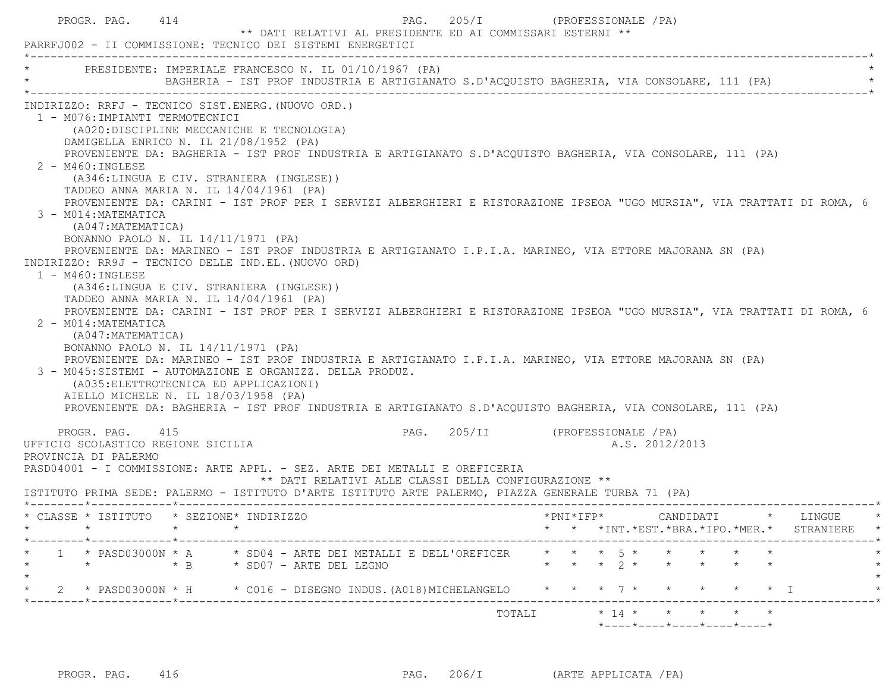| PROGR. PAG. 414                                                                                                                                                          | PARRFJ002 - II COMMISSIONE: TECNICO DEI SISTEMI ENERGETICI                                                                                                                                                                                                                                                                                                                                                                                                                                                                                                                                                                                                                                                                                                                                                                                                                                                                                                                                                                                                     | PAG. 205/I<br>** DATI RELATIVI AL PRESIDENTE ED AI COMMISSARI ESTERNI **                   | (PROFESSIONALE / PA)                                                                                                                                |                                                                                                                                                                                                                                                    |
|--------------------------------------------------------------------------------------------------------------------------------------------------------------------------|----------------------------------------------------------------------------------------------------------------------------------------------------------------------------------------------------------------------------------------------------------------------------------------------------------------------------------------------------------------------------------------------------------------------------------------------------------------------------------------------------------------------------------------------------------------------------------------------------------------------------------------------------------------------------------------------------------------------------------------------------------------------------------------------------------------------------------------------------------------------------------------------------------------------------------------------------------------------------------------------------------------------------------------------------------------|--------------------------------------------------------------------------------------------|-----------------------------------------------------------------------------------------------------------------------------------------------------|----------------------------------------------------------------------------------------------------------------------------------------------------------------------------------------------------------------------------------------------------|
|                                                                                                                                                                          | PRESIDENTE: IMPERIALE FRANCESCO N. IL 01/10/1967 (PA)                                                                                                                                                                                                                                                                                                                                                                                                                                                                                                                                                                                                                                                                                                                                                                                                                                                                                                                                                                                                          | BAGHERIA - IST PROF INDUSTRIA E ARTIGIANATO S.D'ACQUISTO BAGHERIA, VIA CONSOLARE, 111 (PA) |                                                                                                                                                     |                                                                                                                                                                                                                                                    |
| 1 - M076: IMPIANTI TERMOTECNICI<br>2 - M460: INGLESE<br>3 - M014: MATEMATICA<br>(A047: MATEMATICA)<br>$1 - M460 : INGLESE$<br>2 - M014: MATEMATICA<br>(A047: MATEMATICA) | INDIRIZZO: RRFJ - TECNICO SIST.ENERG. (NUOVO ORD.)<br>(A020:DISCIPLINE MECCANICHE E TECNOLOGIA)<br>DAMIGELLA ENRICO N. IL 21/08/1952 (PA)<br>PROVENIENTE DA: BAGHERIA - IST PROF INDUSTRIA E ARTIGIANATO S.D'ACQUISTO BAGHERIA, VIA CONSOLARE, 111 (PA)<br>(A346:LINGUA E CIV. STRANIERA (INGLESE))<br>TADDEO ANNA MARIA N. IL 14/04/1961 (PA)<br>BONANNO PAOLO N. IL 14/11/1971 (PA)<br>PROVENIENTE DA: MARINEO - IST PROF INDUSTRIA E ARTIGIANATO I.P.I.A. MARINEO, VIA ETTORE MAJORANA SN (PA)<br>INDIRIZZO: RR9J - TECNICO DELLE IND.EL. (NUOVO ORD)<br>(A346:LINGUA E CIV. STRANIERA (INGLESE))<br>TADDEO ANNA MARIA N. IL 14/04/1961 (PA)<br>BONANNO PAOLO N. IL 14/11/1971 (PA)<br>PROVENIENTE DA: MARINEO - IST PROF INDUSTRIA E ARTIGIANATO I.P.I.A. MARINEO, VIA ETTORE MAJORANA SN (PA)<br>3 - M045:SISTEMI - AUTOMAZIONE E ORGANIZZ. DELLA PRODUZ.<br>(A035: ELETTROTECNICA ED APPLICAZIONI)<br>AIELLO MICHELE N. IL 18/03/1958 (PA)<br>PROVENIENTE DA: BAGHERIA - IST PROF INDUSTRIA E ARTIGIANATO S.D'ACQUISTO BAGHERIA, VIA CONSOLARE, 111 (PA) |                                                                                            |                                                                                                                                                     | PROVENIENTE DA: CARINI - IST PROF PER I SERVIZI ALBERGHIERI E RISTORAZIONE IPSEOA "UGO MURSIA", VIA TRATTATI DI ROMA, 6<br>PROVENIENTE DA: CARINI - IST PROF PER I SERVIZI ALBERGHIERI E RISTORAZIONE IPSEOA "UGO MURSIA", VIA TRATTATI DI ROMA, 6 |
| PROGR. PAG. 415<br>UFFICIO SCOLASTICO REGIONE SICILIA<br>PROVINCIA DI PALERMO                                                                                            | PASD04001 - I COMMISSIONE: ARTE APPL. - SEZ. ARTE DEI METALLI E OREFICERIA<br>ISTITUTO PRIMA SEDE: PALERMO - ISTITUTO D'ARTE ISTITUTO ARTE PALERMO, PIAZZA GENERALE TURBA 71 (PA)                                                                                                                                                                                                                                                                                                                                                                                                                                                                                                                                                                                                                                                                                                                                                                                                                                                                              | ** DATI RELATIVI ALLE CLASSI DELLA CONFIGURAZIONE **                                       | PAG. 205/II (PROFESSIONALE / PA)<br>A.S. 2012/2013                                                                                                  |                                                                                                                                                                                                                                                    |
| $\star$                                                                                                                                                                  | * CLASSE * ISTITUTO * SEZIONE* INDIRIZZO<br>$\star$                                                                                                                                                                                                                                                                                                                                                                                                                                                                                                                                                                                                                                                                                                                                                                                                                                                                                                                                                                                                            |                                                                                            |                                                                                                                                                     | *PNI*IFP* CANDIDATI * LINGUE<br>* * *INT. *EST. *BRA. *IPO. *MER. * STRANIERE<br>$\rightarrow$                                                                                                                                                     |
|                                                                                                                                                                          | 1 * PASD03000N * A * SD04 - ARTE DEI METALLI E DELL'OREFICER<br>* B * SD07 - ARTE DEL LEGNO                                                                                                                                                                                                                                                                                                                                                                                                                                                                                                                                                                                                                                                                                                                                                                                                                                                                                                                                                                    |                                                                                            | $\star$ $\star$ $\star$ $\overline{5}$ $\star$ $\star$ $\star$ $\star$<br>$\star$ $\star$ $\star$ $\lambda$ $\star$ $\star$ $\star$ $\star$ $\star$ |                                                                                                                                                                                                                                                    |
|                                                                                                                                                                          | 2 * PASD03000N * H * C016 - DISEGNO INDUS. (A018) MICHELANGELO * * * 7 * *                                                                                                                                                                                                                                                                                                                                                                                                                                                                                                                                                                                                                                                                                                                                                                                                                                                                                                                                                                                     |                                                                                            |                                                                                                                                                     | $\star$ $\star$ $\star$ T                                                                                                                                                                                                                          |
|                                                                                                                                                                          |                                                                                                                                                                                                                                                                                                                                                                                                                                                                                                                                                                                                                                                                                                                                                                                                                                                                                                                                                                                                                                                                |                                                                                            |                                                                                                                                                     |                                                                                                                                                                                                                                                    |

PROGR. PAG. 416 PAG. 206/I (ARTE APPLICATA /PA)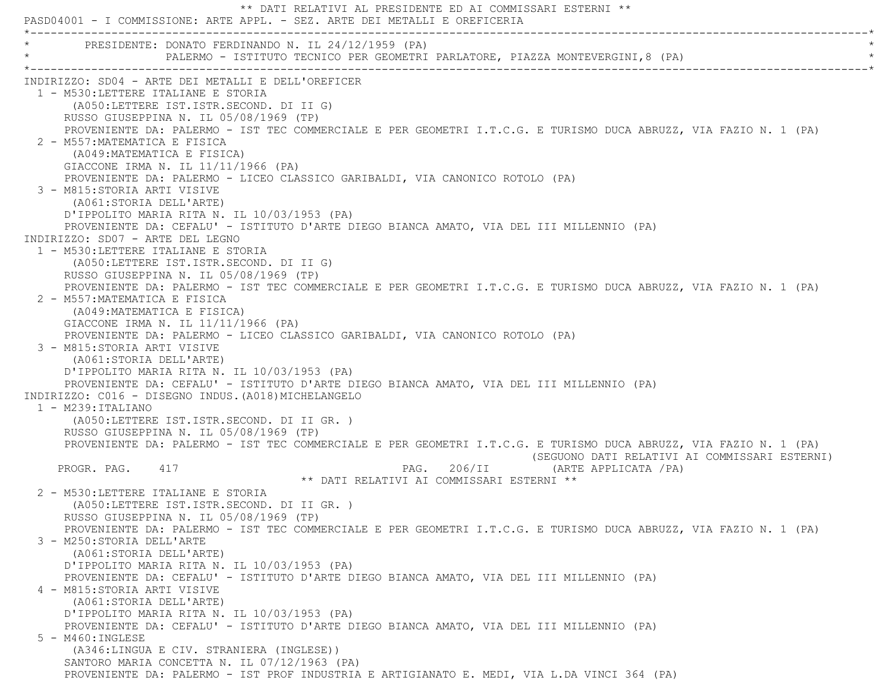\*\* DATI RELATIVI AL PRESIDENTE ED AI COMMISSARI ESTERNI \*\* PASD04001 - I COMMISSIONE: ARTE APPL. - SEZ. ARTE DEI METALLI E OREFICERIA \*----------------------------------------------------------------------------------------------------------------------------\*PRESIDENTE: DONATO FERDINANDO N. IL 24/12/1959 (PA) \* PALERMO - ISTITUTO TECNICO PER GEOMETRI PARLATORE, PIAZZA MONTEVERGINI,8 (PA) \* \*----------------------------------------------------------------------------------------------------------------------------\* INDIRIZZO: SD04 - ARTE DEI METALLI E DELL'OREFICER 1 - M530:LETTERE ITALIANE E STORIA (A050:LETTERE IST.ISTR.SECOND. DI II G) RUSSO GIUSEPPINA N. IL 05/08/1969 (TP) PROVENIENTE DA: PALERMO - IST TEC COMMERCIALE E PER GEOMETRI I.T.C.G. E TURISMO DUCA ABRUZZ, VIA FAZIO N. 1 (PA) 2 - M557:MATEMATICA E FISICA (A049:MATEMATICA E FISICA) GIACCONE IRMA N. IL 11/11/1966 (PA) PROVENIENTE DA: PALERMO - LICEO CLASSICO GARIBALDI, VIA CANONICO ROTOLO (PA) 3 - M815:STORIA ARTI VISIVE (A061:STORIA DELL'ARTE) D'IPPOLITO MARIA RITA N. IL 10/03/1953 (PA) PROVENIENTE DA: CEFALU' - ISTITUTO D'ARTE DIEGO BIANCA AMATO, VIA DEL III MILLENNIO (PA) INDIRIZZO: SD07 - ARTE DEL LEGNO 1 - M530:LETTERE ITALIANE E STORIA (A050:LETTERE IST.ISTR.SECOND. DI II G) RUSSO GIUSEPPINA N. IL 05/08/1969 (TP) PROVENIENTE DA: PALERMO - IST TEC COMMERCIALE E PER GEOMETRI I.T.C.G. E TURISMO DUCA ABRUZZ, VIA FAZIO N. 1 (PA) 2 - M557:MATEMATICA E FISICA (A049:MATEMATICA E FISICA) GIACCONE IRMA N. IL 11/11/1966 (PA) PROVENIENTE DA: PALERMO - LICEO CLASSICO GARIBALDI, VIA CANONICO ROTOLO (PA) 3 - M815:STORIA ARTI VISIVE (A061:STORIA DELL'ARTE) D'IPPOLITO MARIA RITA N. IL 10/03/1953 (PA) PROVENIENTE DA: CEFALU' - ISTITUTO D'ARTE DIEGO BIANCA AMATO, VIA DEL III MILLENNIO (PA) INDIRIZZO: C016 - DISEGNO INDUS.(A018)MICHELANGELO 1 - M239:ITALIANO (A050:LETTERE IST.ISTR.SECOND. DI II GR. ) RUSSO GIUSEPPINA N. IL 05/08/1969 (TP) PROVENIENTE DA: PALERMO - IST TEC COMMERCIALE E PER GEOMETRI I.T.C.G. E TURISMO DUCA ABRUZZ, VIA FAZIO N. 1 (PA) (SEGUONO DATI RELATIVI AI COMMISSARI ESTERNI) PROGR. PAG. 417 **PROGR. PAG. 206/II** (ARTE APPLICATA /PA) \*\* DATI RELATIVI AI COMMISSARI ESTERNI \*\* 2 - M530:LETTERE ITALIANE E STORIA (A050:LETTERE IST.ISTR.SECOND. DI II GR. ) RUSSO GIUSEPPINA N. IL 05/08/1969 (TP) PROVENIENTE DA: PALERMO - IST TEC COMMERCIALE E PER GEOMETRI I.T.C.G. E TURISMO DUCA ABRUZZ, VIA FAZIO N. 1 (PA) 3 - M250:STORIA DELL'ARTE (A061:STORIA DELL'ARTE) D'IPPOLITO MARIA RITA N. IL 10/03/1953 (PA) PROVENIENTE DA: CEFALU' - ISTITUTO D'ARTE DIEGO BIANCA AMATO, VIA DEL III MILLENNIO (PA) 4 - M815:STORIA ARTI VISIVE (A061:STORIA DELL'ARTE) D'IPPOLITO MARIA RITA N. IL 10/03/1953 (PA) PROVENIENTE DA: CEFALU' - ISTITUTO D'ARTE DIEGO BIANCA AMATO, VIA DEL III MILLENNIO (PA) 5 - M460:INGLESE (A346:LINGUA E CIV. STRANIERA (INGLESE)) SANTORO MARIA CONCETTA N. IL 07/12/1963 (PA) PROVENIENTE DA: PALERMO - IST PROF INDUSTRIA E ARTIGIANATO E. MEDI, VIA L.DA VINCI 364 (PA)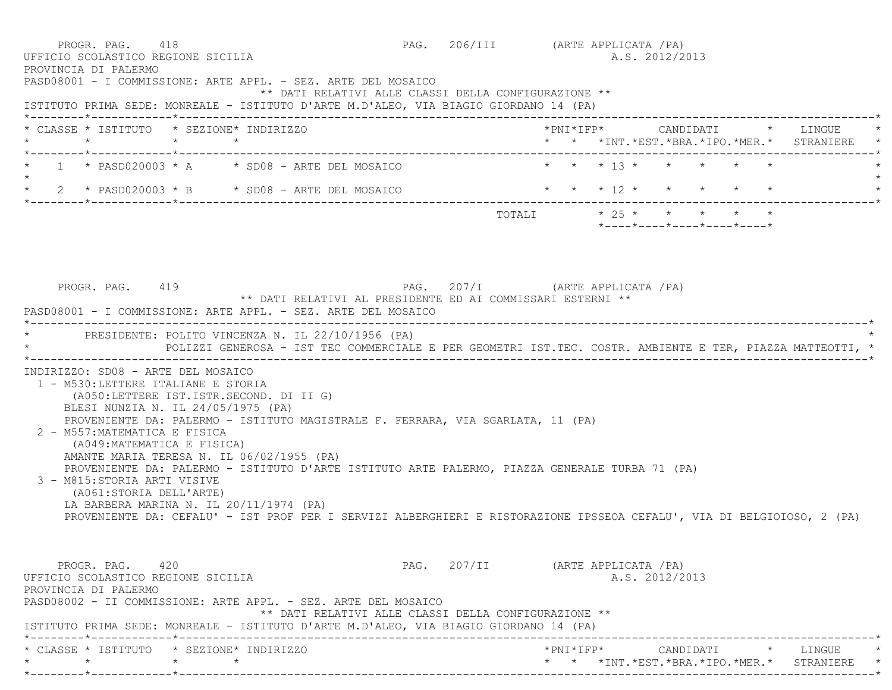PROGR. PAG. 418 PAG. 206/III (ARTE APPLICATA /PA) UFFICIO SCOLASTICO REGIONE SICILIA A.S. 2012/2013 PROVINCIA DI PALERMO PASD08001 - I COMMISSIONE: ARTE APPL. - SEZ. ARTE DEL MOSAICO \*\* DATI RELATIVI ALLE CLASSI DELLA CONFIGURAZIONE \*\* ISTITUTO PRIMA SEDE: MONREALE - ISTITUTO D'ARTE M.D'ALEO, VIA BIAGIO GIORDANO 14 (PA) \*--------\*------------\*-------------------------------------------------------------------------------------------------------\* \* CLASSE \* ISTITUTO \* SEZIONE\* INDIRIZZO \*PNI\*IFP\* CANDIDATI \* LINGUE \* \* \* \* \* \* \* \*INT.\*EST.\*BRA.\*IPO.\*MER.\* STRANIERE \* \*--------\*------------\*-------------------------------------------------------------------------------------------------------\*1 \* PASD020003 \* A \* SD08 - ARTE DEL MOSAICO \* \* \* \* 13 \* \* \* \*  $\star$ \* 2 \* PASD020003 \* B \* SD08 - ARTE DEL MOSAICO \* \* \* \* 12 \* \* \* \* \* \* \* \* \*--------\*------------\*-------------------------------------------------------------------------------------------------------\* $\texttt{TOTAL} \qquad \qquad \star \quad 25 \; \star \qquad \star \qquad \star \qquad \star \qquad \star \qquad \star$  \*----\*----\*----\*----\*----\*PROGR. PAG. 419 **PROGR. PAG. 207/I** (ARTE APPLICATA /PA) \*\* DATI RELATIVI AL PRESIDENTE ED AI COMMISSARI ESTERNI \*\* PASD08001 - I COMMISSIONE: ARTE APPL. - SEZ. ARTE DEL MOSAICO \*----------------------------------------------------------------------------------------------------------------------------\*PRESIDENTE: POLITO VINCENZA N. IL 22/10/1956 (PA) \* POLIZZI GENEROSA - IST TEC COMMERCIALE E PER GEOMETRI IST.TEC. COSTR. AMBIENTE E TER, PIAZZA MATTEOTTI, \* \*----------------------------------------------------------------------------------------------------------------------------\* INDIRIZZO: SD08 - ARTE DEL MOSAICO 1 - M530:LETTERE ITALIANE E STORIA (A050:LETTERE IST.ISTR.SECOND. DI II G) BLESI NUNZIA N. IL 24/05/1975 (PA) PROVENIENTE DA: PALERMO - ISTITUTO MAGISTRALE F. FERRARA, VIA SGARLATA, 11 (PA) 2 - M557:MATEMATICA E FISICA (A049:MATEMATICA E FISICA) AMANTE MARIA TERESA N. IL 06/02/1955 (PA) PROVENIENTE DA: PALERMO - ISTITUTO D'ARTE ISTITUTO ARTE PALERMO, PIAZZA GENERALE TURBA 71 (PA) 3 - M815:STORIA ARTI VISIVE (A061:STORIA DELL'ARTE) LA BARBERA MARINA N. IL 20/11/1974 (PA) PROVENIENTE DA: CEFALU' - IST PROF PER I SERVIZI ALBERGHIERI E RISTORAZIONE IPSSEOA CEFALU', VIA DI BELGIOIOSO, 2 (PA) PROGR. PAG. 420 PAG. 207/II (ARTE APPLICATA /PA) UFFICIO SCOLASTICO REGIONE SICILIA A.S. 2012/2013 PROVINCIA DI PALERMO PASD08002 - II COMMISSIONE: ARTE APPL. - SEZ. ARTE DEL MOSAICO \*\* DATI RELATIVI ALLE CLASSI DELLA CONFIGURAZIONE \*\* ISTITUTO PRIMA SEDE: MONREALE - ISTITUTO D'ARTE M.D'ALEO, VIA BIAGIO GIORDANO 14 (PA) \*--------\*------------\*-------------------------------------------------------------------------------------------------------\* \* CLASSE \* ISTITUTO \* SEZIONE\* INDIRIZZO \*PNI\*IFP\* CANDIDATI \* LINGUE \*\* \* \* \* \* \* \*INT.\*EST.\*BRA.\*IPO.\*MER.\* STRANIERE \*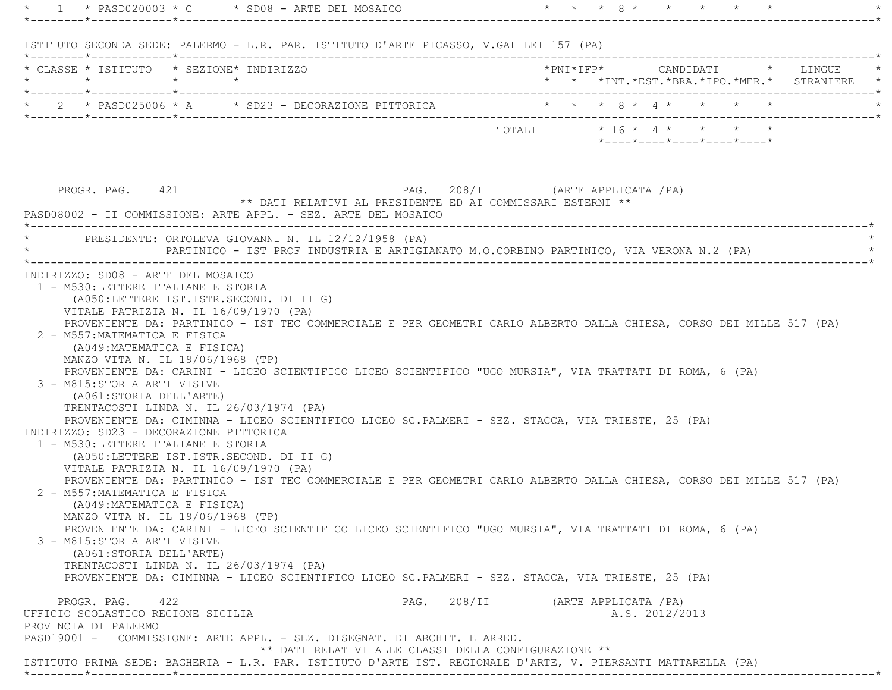\* 1 \* PASD020003 \* C \* SD08 - ARTE DEL MOSAICO \* \* \* \* \* 8 \* \* \* \* \* \* \* \* \*--------\*------------\*-------------------------------------------------------------------------------------------------------\* ISTITUTO SECONDA SEDE: PALERMO - L.R. PAR. ISTITUTO D'ARTE PICASSO, V.GALILEI 157 (PA) \*--------\*------------\*-------------------------------------------------------------------------------------------------------\* \* CLASSE \* ISTITUTO \* SEZIONE\* INDIRIZZO \*PNI\*IFP\* CANDIDATI \* LINGUE \* \* \* \* \* \* \* \*INT.\*EST.\*BRA.\*IPO.\*MER.\* STRANIERE \* \*--------\*------------\*-------------------------------------------------------------------------------------------------------\*\* 2 \* PASD025006 \* A  $\quad$  \* SD23 - DECORAZIONE PITTORICA \*--------\*------------\*-------------------------------------------------------------------------------------------------------\* TOTALI \* 16 \* 4 \* \* \* \* \*----\*----\*----\*----\*----\* PROGR. PAG. 421 PAG. 208/I (ARTE APPLICATA /PA) \*\* DATI RELATIVI AL PRESIDENTE ED AI COMMISSARI ESTERNI \*\* PASD08002 - II COMMISSIONE: ARTE APPL. - SEZ. ARTE DEL MOSAICO \*----------------------------------------------------------------------------------------------------------------------------\*PRESIDENTE: ORTOLEVA GIOVANNI N. IL 12/12/1958 (PA) \* PARTINICO - IST PROF INDUSTRIA E ARTIGIANATO M.O.CORBINO PARTINICO, VIA VERONA N.2 (PA) \* \*----------------------------------------------------------------------------------------------------------------------------\* INDIRIZZO: SD08 - ARTE DEL MOSAICO 1 - M530:LETTERE ITALIANE E STORIA (A050:LETTERE IST.ISTR.SECOND. DI II G) VITALE PATRIZIA N. IL 16/09/1970 (PA) PROVENIENTE DA: PARTINICO - IST TEC COMMERCIALE E PER GEOMETRI CARLO ALBERTO DALLA CHIESA, CORSO DEI MILLE 517 (PA) 2 - M557:MATEMATICA E FISICA (A049:MATEMATICA E FISICA) MANZO VITA N. IL 19/06/1968 (TP) PROVENIENTE DA: CARINI - LICEO SCIENTIFICO LICEO SCIENTIFICO "UGO MURSIA", VIA TRATTATI DI ROMA, 6 (PA) 3 - M815:STORIA ARTI VISIVE (A061:STORIA DELL'ARTE) TRENTACOSTI LINDA N. IL 26/03/1974 (PA) PROVENIENTE DA: CIMINNA - LICEO SCIENTIFICO LICEO SC.PALMERI - SEZ. STACCA, VIA TRIESTE, 25 (PA) INDIRIZZO: SD23 - DECORAZIONE PITTORICA 1 - M530:LETTERE ITALIANE E STORIA (A050:LETTERE IST.ISTR.SECOND. DI II G) VITALE PATRIZIA N. IL 16/09/1970 (PA) PROVENIENTE DA: PARTINICO - IST TEC COMMERCIALE E PER GEOMETRI CARLO ALBERTO DALLA CHIESA, CORSO DEI MILLE 517 (PA) 2 - M557:MATEMATICA E FISICA (A049:MATEMATICA E FISICA) MANZO VITA N. IL 19/06/1968 (TP) PROVENIENTE DA: CARINI - LICEO SCIENTIFICO LICEO SCIENTIFICO "UGO MURSIA", VIA TRATTATI DI ROMA, 6 (PA) 3 - M815:STORIA ARTI VISIVE (A061:STORIA DELL'ARTE) TRENTACOSTI LINDA N. IL 26/03/1974 (PA) PROVENIENTE DA: CIMINNA - LICEO SCIENTIFICO LICEO SC.PALMERI - SEZ. STACCA, VIA TRIESTE, 25 (PA) PROGR. PAG. 422 PAG. 208/II (ARTE APPLICATA /PA) UFFICIO SCOLASTICO REGIONE SICILIA A.S. 2012/2013 PROVINCIA DI PALERMO PASD19001 - I COMMISSIONE: ARTE APPL. - SEZ. DISEGNAT. DI ARCHIT. E ARRED. \*\* DATI RELATIVI ALLE CLASSI DELLA CONFIGURAZIONE \*\*ISTITUTO PRIMA SEDE: BAGHERIA - L.R. PAR. ISTITUTO D'ARTE IST. REGIONALE D'ARTE, V. PIERSANTI MATTARELLA (PA)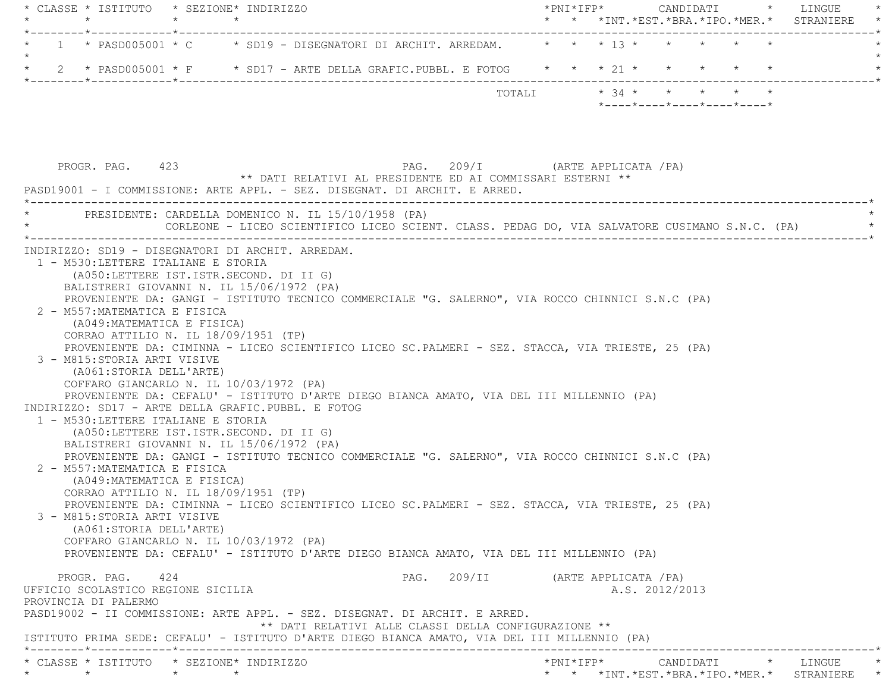| * CLASSE * ISTITUTO * SEZIONE* INDIRIZZO<br>$\star$ | $\star$         | $\star$                                                                                                                                                 |                                                      | $*$ PNI $*$ IFP $*$ |  |                | CANDIDATI * LINGUE<br>* * *INT. *EST. *BRA. *IPO. *MER. * STRANIERE | $\star$ |
|-----------------------------------------------------|-----------------|---------------------------------------------------------------------------------------------------------------------------------------------------------|------------------------------------------------------|---------------------|--|----------------|---------------------------------------------------------------------|---------|
|                                                     |                 |                                                                                                                                                         |                                                      |                     |  |                |                                                                     |         |
|                                                     |                 | 1 * PASD005001 * C * SD19 - DISEGNATORI DI ARCHIT. ARREDAM. * * * 13 * * * * * * *                                                                      |                                                      |                     |  |                |                                                                     |         |
| $\star$                                             |                 | 2 * PASD005001 * F * SD17 - ARTE DELLA GRAFIC.PUBBL. E FOTOG * * * 21 * * * * * * *                                                                     |                                                      |                     |  |                |                                                                     |         |
|                                                     |                 |                                                                                                                                                         | TOTALI                                               |                     |  |                | $* 34 * * * * * * * * *$                                            |         |
|                                                     |                 |                                                                                                                                                         |                                                      |                     |  |                | $*$ _ _ _ _ $*$ _ _ _ _ $*$ _ _ _ _ $*$ _ _ _ _ $*$ _ _ _ _ $*$     |         |
|                                                     |                 |                                                                                                                                                         |                                                      |                     |  |                |                                                                     |         |
|                                                     |                 |                                                                                                                                                         |                                                      |                     |  |                |                                                                     |         |
| PROGR. PAG. 423                                     |                 |                                                                                                                                                         | PAG. 209/I (ARTE APPLICATA /PA)                      |                     |  |                |                                                                     |         |
|                                                     |                 | ** DATI RELATIVI AL PRESIDENTE ED AI COMMISSARI ESTERNI **<br>PASD19001 - I COMMISSIONE: ARTE APPL. - SEZ. DISEGNAT. DI ARCHIT. E ARRED.                |                                                      |                     |  |                |                                                                     |         |
|                                                     |                 |                                                                                                                                                         |                                                      |                     |  |                |                                                                     |         |
|                                                     |                 | * PRESIDENTE: CARDELLA DOMENICO N. IL 15/10/1958 (PA)<br>CORLEONE - LICEO SCIENTIFICO LICEO SCIENT. CLASS. PEDAG DO, VIA SALVATORE CUSIMANO S.N.C. (PA) |                                                      |                     |  |                |                                                                     |         |
|                                                     |                 |                                                                                                                                                         |                                                      |                     |  |                |                                                                     |         |
| 1 - M530:LETTERE ITALIANE E STORIA                  |                 | INDIRIZZO: SD19 - DISEGNATORI DI ARCHIT. ARREDAM.                                                                                                       |                                                      |                     |  |                |                                                                     |         |
|                                                     |                 | (A050:LETTERE IST.ISTR.SECOND. DI II G)                                                                                                                 |                                                      |                     |  |                |                                                                     |         |
|                                                     |                 | BALISTRERI GIOVANNI N. IL 15/06/1972 (PA)                                                                                                               |                                                      |                     |  |                |                                                                     |         |
|                                                     |                 | PROVENIENTE DA: GANGI - ISTITUTO TECNICO COMMERCIALE "G. SALERNO", VIA ROCCO CHINNICI S.N.C (PA)                                                        |                                                      |                     |  |                |                                                                     |         |
| 2 - M557: MATEMATICA E FISICA                       |                 |                                                                                                                                                         |                                                      |                     |  |                |                                                                     |         |
| (A049: MATEMATICA E FISICA)                         |                 |                                                                                                                                                         |                                                      |                     |  |                |                                                                     |         |
|                                                     |                 | CORRAO ATTILIO N. IL 18/09/1951 (TP)<br>PROVENIENTE DA: CIMINNA - LICEO SCIENTIFICO LICEO SC.PALMERI - SEZ. STACCA, VIA TRIESTE, 25 (PA)                |                                                      |                     |  |                |                                                                     |         |
| 3 - M815: STORIA ARTI VISIVE                        |                 |                                                                                                                                                         |                                                      |                     |  |                |                                                                     |         |
| (A061:STORIA DELL'ARTE)                             |                 |                                                                                                                                                         |                                                      |                     |  |                |                                                                     |         |
|                                                     |                 | COFFARO GIANCARLO N. IL 10/03/1972 (PA)                                                                                                                 |                                                      |                     |  |                |                                                                     |         |
|                                                     |                 | PROVENIENTE DA: CEFALU' - ISTITUTO D'ARTE DIEGO BIANCA AMATO, VIA DEL III MILLENNIO (PA)                                                                |                                                      |                     |  |                |                                                                     |         |
|                                                     |                 | INDIRIZZO: SD17 - ARTE DELLA GRAFIC.PUBBL. E FOTOG                                                                                                      |                                                      |                     |  |                |                                                                     |         |
| 1 - M530: LETTERE ITALIANE E STORIA                 |                 |                                                                                                                                                         |                                                      |                     |  |                |                                                                     |         |
|                                                     |                 | (A050:LETTERE IST.ISTR.SECOND. DI II G)                                                                                                                 |                                                      |                     |  |                |                                                                     |         |
|                                                     |                 | BALISTRERI GIOVANNI N. IL 15/06/1972 (PA)                                                                                                               |                                                      |                     |  |                |                                                                     |         |
|                                                     |                 | PROVENIENTE DA: GANGI - ISTITUTO TECNICO COMMERCIALE "G. SALERNO", VIA ROCCO CHINNICI S.N.C (PA)                                                        |                                                      |                     |  |                |                                                                     |         |
| 2 - M557: MATEMATICA E FISICA                       |                 |                                                                                                                                                         |                                                      |                     |  |                |                                                                     |         |
| (A049: MATEMATICA E FISICA)                         |                 |                                                                                                                                                         |                                                      |                     |  |                |                                                                     |         |
|                                                     |                 | CORRAO ATTILIO N. IL 18/09/1951 (TP)                                                                                                                    |                                                      |                     |  |                |                                                                     |         |
|                                                     |                 | PROVENIENTE DA: CIMINNA - LICEO SCIENTIFICO LICEO SC.PALMERI - SEZ. STACCA, VIA TRIESTE, 25 (PA)                                                        |                                                      |                     |  |                |                                                                     |         |
| 3 - M815: STORIA ARTI VISIVE                        |                 |                                                                                                                                                         |                                                      |                     |  |                |                                                                     |         |
| (A061:STORIA DELL'ARTE)                             |                 | COFFARO GIANCARLO N. IL 10/03/1972 (PA)                                                                                                                 |                                                      |                     |  |                |                                                                     |         |
|                                                     |                 | PROVENIENTE DA: CEFALU' - ISTITUTO D'ARTE DIEGO BIANCA AMATO, VIA DEL III MILLENNIO (PA)                                                                |                                                      |                     |  |                |                                                                     |         |
|                                                     |                 |                                                                                                                                                         |                                                      |                     |  |                |                                                                     |         |
| PROGR. PAG. 424                                     |                 |                                                                                                                                                         | PAG. 209/II (ARTE APPLICATA /PA)                     |                     |  |                |                                                                     |         |
| UFFICIO SCOLASTICO REGIONE SICILIA                  |                 |                                                                                                                                                         |                                                      |                     |  | A.S. 2012/2013 |                                                                     |         |
| PROVINCIA DI PALERMO                                |                 |                                                                                                                                                         |                                                      |                     |  |                |                                                                     |         |
|                                                     |                 | PASD19002 - II COMMISSIONE: ARTE APPL. - SEZ. DISEGNAT. DI ARCHIT. E ARRED.                                                                             |                                                      |                     |  |                |                                                                     |         |
|                                                     |                 |                                                                                                                                                         | ** DATI RELATIVI ALLE CLASSI DELLA CONFIGURAZIONE ** |                     |  |                |                                                                     |         |
|                                                     |                 | ISTITUTO PRIMA SEDE: CEFALU' - ISTITUTO D'ARTE DIEGO BIANCA AMATO, VIA DEL III MILLENNIO (PA)                                                           |                                                      |                     |  |                |                                                                     |         |
| * CLASSE * ISTITUTO * SEZIONE* INDIRIZZO            |                 |                                                                                                                                                         |                                                      |                     |  |                | *PNI*IFP* CANDIDATI * LINGUE                                        |         |
| $\star$ $\star$                                     | $\star$ $\star$ |                                                                                                                                                         |                                                      |                     |  |                | * * *INT. *EST. *BRA. *IPO. *MER. * STRANIERE *                     |         |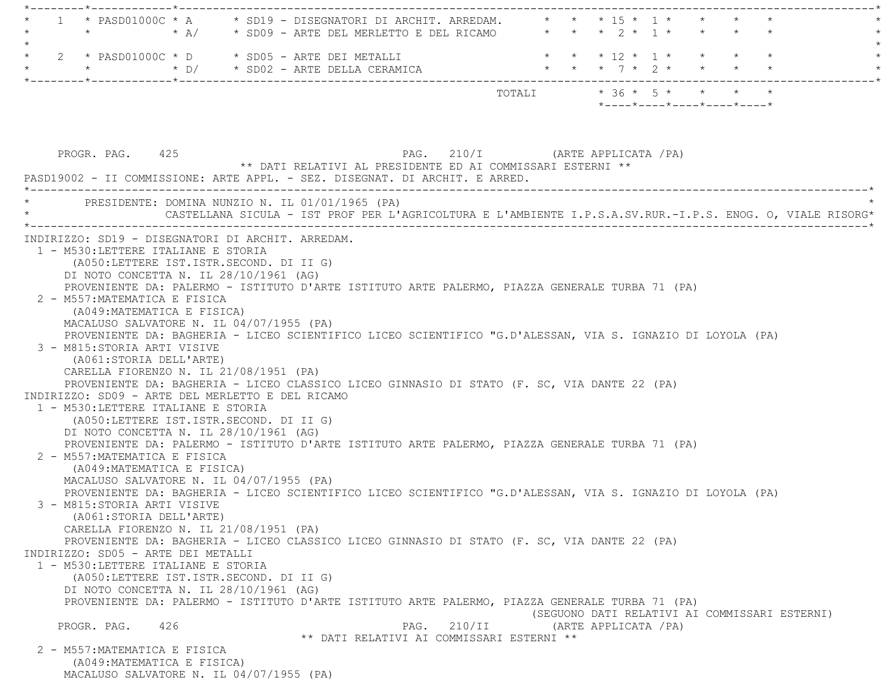\*--------\*------------\*-------------------------------------------------------------------------------------------------------\* \* 1 \* PASD01000C \* A \* SD19 - DISEGNATORI DI ARCHIT. ARREDAM. \* \* \* 15 \* 1 \* \* \* \* \* \* \* \* A/ \* SD09 - ARTE DEL MERLETTO E DEL RICAMO \* \* \* 2 \* 1 \* \* \* \* \*  $\star$  \* 2 \* PASD01000C \* D \* SD05 - ARTE DEI METALLI \* \* \* 12 \* 1 \* \* \* \* \* \* \* \* D/ \* SD02 - ARTE DELLA CERAMICA \* \* \* 7 \* 2 \* \* \* \* \* \*--------\*------------\*-------------------------------------------------------------------------------------------------------\*TOTALI  $* 36 * 5 * * * * * * * *$  \*----\*----\*----\*----\*----\*PROGR. PAG. 425 PROGR. PAG. 210/I (ARTE APPLICATA /PA) \*\* DATI RELATIVI AL PRESIDENTE ED AI COMMISSARI ESTERNI \*\* PASD19002 - II COMMISSIONE: ARTE APPL. - SEZ. DISEGNAT. DI ARCHIT. E ARRED. \*----------------------------------------------------------------------------------------------------------------------------\*PRESIDENTE: DOMINA NUNZIO N. IL 01/01/1965 (PA) \* CASTELLANA SICULA - IST PROF PER L'AGRICOLTURA E L'AMBIENTE I.P.S.A.SV.RUR.-I.P.S. ENOG. O, VIALE RISORG\* \*----------------------------------------------------------------------------------------------------------------------------\* INDIRIZZO: SD19 - DISEGNATORI DI ARCHIT. ARREDAM. 1 - M530:LETTERE ITALIANE E STORIA (A050:LETTERE IST.ISTR.SECOND. DI II G) DI NOTO CONCETTA N. IL 28/10/1961 (AG) PROVENIENTE DA: PALERMO - ISTITUTO D'ARTE ISTITUTO ARTE PALERMO, PIAZZA GENERALE TURBA 71 (PA) 2 - M557:MATEMATICA E FISICA (A049:MATEMATICA E FISICA) MACALUSO SALVATORE N. IL 04/07/1955 (PA) PROVENIENTE DA: BAGHERIA - LICEO SCIENTIFICO LICEO SCIENTIFICO "G.D'ALESSAN, VIA S. IGNAZIO DI LOYOLA (PA) 3 - M815:STORIA ARTI VISIVE (A061:STORIA DELL'ARTE) CARELLA FIORENZO N. IL 21/08/1951 (PA) PROVENIENTE DA: BAGHERIA - LICEO CLASSICO LICEO GINNASIO DI STATO (F. SC, VIA DANTE 22 (PA) INDIRIZZO: SD09 - ARTE DEL MERLETTO E DEL RICAMO 1 - M530:LETTERE ITALIANE E STORIA (A050:LETTERE IST.ISTR.SECOND. DI II G) DI NOTO CONCETTA N. IL 28/10/1961 (AG) PROVENIENTE DA: PALERMO - ISTITUTO D'ARTE ISTITUTO ARTE PALERMO, PIAZZA GENERALE TURBA 71 (PA) 2 - M557:MATEMATICA E FISICA (A049:MATEMATICA E FISICA) MACALUSO SALVATORE N. IL 04/07/1955 (PA) PROVENIENTE DA: BAGHERIA - LICEO SCIENTIFICO LICEO SCIENTIFICO "G.D'ALESSAN, VIA S. IGNAZIO DI LOYOLA (PA) 3 - M815:STORIA ARTI VISIVE (A061:STORIA DELL'ARTE) CARELLA FIORENZO N. IL 21/08/1951 (PA) PROVENIENTE DA: BAGHERIA - LICEO CLASSICO LICEO GINNASIO DI STATO (F. SC, VIA DANTE 22 (PA) INDIRIZZO: SD05 - ARTE DEI METALLI 1 - M530:LETTERE ITALIANE E STORIA (A050:LETTERE IST.ISTR.SECOND. DI II G) DI NOTO CONCETTA N. IL 28/10/1961 (AG) PROVENIENTE DA: PALERMO - ISTITUTO D'ARTE ISTITUTO ARTE PALERMO, PIAZZA GENERALE TURBA 71 (PA) (SEGUONO DATI RELATIVI AI COMMISSARI ESTERNI) PROGR. PAG. 426 PROGR. PAG. 210/II (ARTE APPLICATA /PA) \*\* DATI RELATIVI AI COMMISSARI ESTERNI \*\* 2 - M557:MATEMATICA E FISICA (A049:MATEMATICA E FISICA) MACALUSO SALVATORE N. IL 04/07/1955 (PA)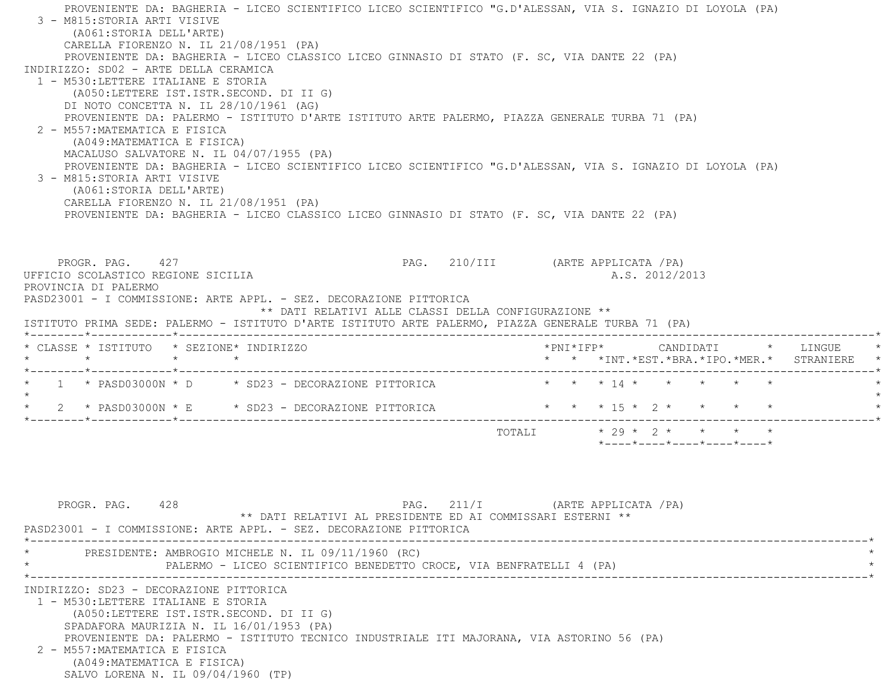PROVENIENTE DA: BAGHERIA - LICEO SCIENTIFICO LICEO SCIENTIFICO "G.D'ALESSAN, VIA S. IGNAZIO DI LOYOLA (PA) 3 - M815:STORIA ARTI VISIVE (A061:STORIA DELL'ARTE) CARELLA FIORENZO N. IL 21/08/1951 (PA) PROVENIENTE DA: BAGHERIA - LICEO CLASSICO LICEO GINNASIO DI STATO (F. SC, VIA DANTE 22 (PA) INDIRIZZO: SD02 - ARTE DELLA CERAMICA 1 - M530:LETTERE ITALIANE E STORIA (A050:LETTERE IST.ISTR.SECOND. DI II G) DI NOTO CONCETTA N. IL 28/10/1961 (AG) PROVENIENTE DA: PALERMO - ISTITUTO D'ARTE ISTITUTO ARTE PALERMO, PIAZZA GENERALE TURBA 71 (PA) 2 - M557:MATEMATICA E FISICA (A049:MATEMATICA E FISICA) MACALUSO SALVATORE N. IL 04/07/1955 (PA) PROVENIENTE DA: BAGHERIA - LICEO SCIENTIFICO LICEO SCIENTIFICO "G.D'ALESSAN, VIA S. IGNAZIO DI LOYOLA (PA) 3 - M815:STORIA ARTI VISIVE (A061:STORIA DELL'ARTE) CARELLA FIORENZO N. IL 21/08/1951 (PA) PROVENIENTE DA: BAGHERIA - LICEO CLASSICO LICEO GINNASIO DI STATO (F. SC, VIA DANTE 22 (PA) PROGR. PAG. 427 PROGR. PAG. 210/III (ARTE APPLICATA /PA) UFFICIO SCOLASTICO REGIONE SICILIA A.S. 2012/2013 PROVINCIA DI PALERMO PASD23001 - I COMMISSIONE: ARTE APPL. - SEZ. DECORAZIONE PITTORICA \*\* DATI RELATIVI ALLE CLASSI DELLA CONFIGURAZIONE \*\* ISTITUTO PRIMA SEDE: PALERMO - ISTITUTO D'ARTE ISTITUTO ARTE PALERMO, PIAZZA GENERALE TURBA 71 (PA) \*--------\*------------\*-------------------------------------------------------------------------------------------------------\* \* CLASSE \* ISTITUTO \* SEZIONE\* INDIRIZZO \*PNI\*IFP\* CANDIDATI \* LINGUE \* \* \* \* \* \* \* \*INT.\*EST.\*BRA.\*IPO.\*MER.\* STRANIERE \* \*--------\*------------\*-------------------------------------------------------------------------------------------------------\*1 \* PASD03000N \* D \* SD23 - DECORAZIONE PITTORICA  $\star$  \* \* \* 14 \* \* \* \* \* \*  $\star$ \* 2 \* PASD03000N \* E \* SD23 - DECORAZIONE PITTORICA \* \* \* \* 15 \* 2 \* \* \* \* \* \* \*--------\*------------\*-------------------------------------------------------------------------------------------------------\*TOTALI  $* 29 * 2 * * * * * * * *$ 

PROGR. PAG. 428 428 PAG. 211/I (ARTE APPLICATA / PA) \*\* DATI RELATIVI AL PRESIDENTE ED AI COMMISSARI ESTERNI \*\* PASD23001 - I COMMISSIONE: ARTE APPL. - SEZ. DECORAZIONE PITTORICA \*----------------------------------------------------------------------------------------------------------------------------\*PRESIDENTE: AMBROGIO MICHELE N. IL 09/11/1960 (RC) PALERMO - LICEO SCIENTIFICO BENEDETTO CROCE, VIA BENFRATELLI 4 (PA) \*----------------------------------------------------------------------------------------------------------------------------\* INDIRIZZO: SD23 - DECORAZIONE PITTORICA 1 - M530:LETTERE ITALIANE E STORIA (A050:LETTERE IST.ISTR.SECOND. DI II G) SPADAFORA MAURIZIA N. IL 16/01/1953 (PA) PROVENIENTE DA: PALERMO - ISTITUTO TECNICO INDUSTRIALE ITI MAJORANA, VIA ASTORINO 56 (PA) 2 - M557:MATEMATICA E FISICA (A049:MATEMATICA E FISICA) SALVO LORENA N. IL 09/04/1960 (TP)

\*----\*----\*----\*----\*----\*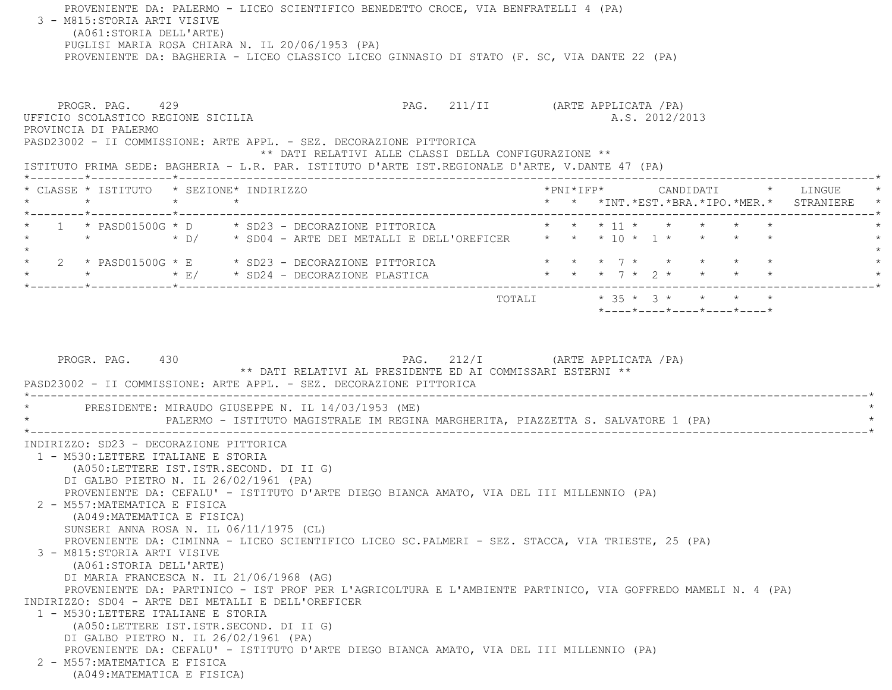PROVENIENTE DA: PALERMO - LICEO SCIENTIFICO BENEDETTO CROCE, VIA BENFRATELLI 4 (PA) 3 - M815:STORIA ARTI VISIVE (A061:STORIA DELL'ARTE) PUGLISI MARIA ROSA CHIARA N. IL 20/06/1953 (PA) PROVENIENTE DA: BAGHERIA - LICEO CLASSICO LICEO GINNASIO DI STATO (F. SC, VIA DANTE 22 (PA) PROGR. PAG. 429 PAG. 211/II (ARTE APPLICATA / PA) UFFICIO SCOLASTICO REGIONE SICILIA A.S. 2012/2013 PROVINCIA DI PALERMO PASD23002 - II COMMISSIONE: ARTE APPL. - SEZ. DECORAZIONE PITTORICA \*\* DATI RELATIVI ALLE CLASSI DELLA CONFIGURAZIONE \*\* ISTITUTO PRIMA SEDE: BAGHERIA - L.R. PAR. ISTITUTO D'ARTE IST.REGIONALE D'ARTE, V.DANTE 47 (PA) \*--------\*------------\*-------------------------------------------------------------------------------------------------------\* \* CLASSE \* ISTITUTO \* SEZIONE\* INDIRIZZO \*PNI\*IFP\* CANDIDATI \* LINGUE \* \* \* \* \* \* \* \*INT.\*EST.\*BRA.\*IPO.\*MER.\* STRANIERE \* \*--------\*------------\*-------------------------------------------------------------------------------------------------------\*1 \* PASD01500G \* D \* SD23 - DECORAZIONE PITTORICA \* \* \* \* 11 \* \* \* \* \* \* \* \*  $\star$  D/  $\star$  SD04 - ARTE DEI METALLI E DELL'OREFICER  $\star$  \* \* 10 \* 1 \* \* \* \*  $\star$ \* 2 \* PASD01500G \* E \* SD23 - DECORAZIONE PITTORICA \* \* \* \* 7 \* \* \* \* \* \* \* \* \* E/ \* SD24 - DECORAZIONE PLASTICA \* \* \* 7 \* 2 \* \* \* \* \* \*--------\*------------\*-------------------------------------------------------------------------------------------------------\*TOTALI  $* 35 * 3 * * * * * * *$  \*----\*----\*----\*----\*----\*PROGR. PAG. 430 PAG. 212/I (ARTE APPLICATA /PA) \*\* DATI RELATIVI AL PRESIDENTE ED AI COMMISSARI ESTERNI \*\* PASD23002 - II COMMISSIONE: ARTE APPL. - SEZ. DECORAZIONE PITTORICA \*----------------------------------------------------------------------------------------------------------------------------\*PRESIDENTE: MIRAUDO GIUSEPPE N. IL 14/03/1953 (ME) PALERMO - ISTITUTO MAGISTRALE IM REGINA MARGHERITA, PIAZZETTA S. SALVATORE 1 (PA) \*----------------------------------------------------------------------------------------------------------------------------\* INDIRIZZO: SD23 - DECORAZIONE PITTORICA 1 - M530:LETTERE ITALIANE E STORIA (A050:LETTERE IST.ISTR.SECOND. DI II G) DI GALBO PIETRO N. IL 26/02/1961 (PA) PROVENIENTE DA: CEFALU' - ISTITUTO D'ARTE DIEGO BIANCA AMATO, VIA DEL III MILLENNIO (PA) 2 - M557:MATEMATICA E FISICA (A049:MATEMATICA E FISICA) SUNSERI ANNA ROSA N. IL 06/11/1975 (CL) PROVENIENTE DA: CIMINNA - LICEO SCIENTIFICO LICEO SC.PALMERI - SEZ. STACCA, VIA TRIESTE, 25 (PA) 3 - M815:STORIA ARTI VISIVE (A061:STORIA DELL'ARTE) DI MARIA FRANCESCA N. IL 21/06/1968 (AG) PROVENIENTE DA: PARTINICO - IST PROF PER L'AGRICOLTURA E L'AMBIENTE PARTINICO, VIA GOFFREDO MAMELI N. 4 (PA) INDIRIZZO: SD04 - ARTE DEI METALLI E DELL'OREFICER 1 - M530:LETTERE ITALIANE E STORIA (A050:LETTERE IST.ISTR.SECOND. DI II G) DI GALBO PIETRO N. IL 26/02/1961 (PA) PROVENIENTE DA: CEFALU' - ISTITUTO D'ARTE DIEGO BIANCA AMATO, VIA DEL III MILLENNIO (PA) 2 - M557:MATEMATICA E FISICA(A049:MATEMATICA E FISICA)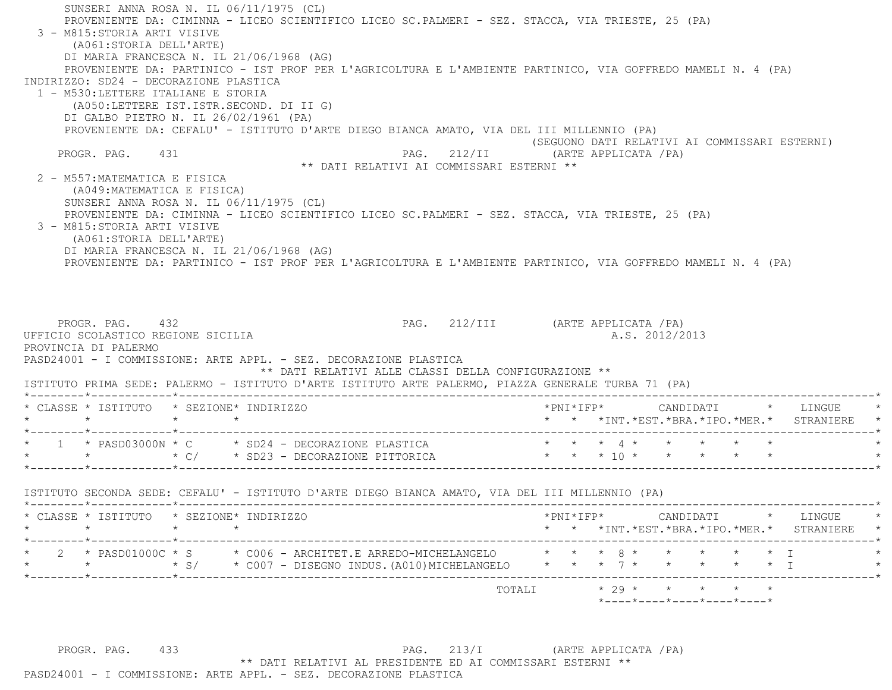SUNSERI ANNA ROSA N. IL 06/11/1975 (CL) PROVENIENTE DA: CIMINNA - LICEO SCIENTIFICO LICEO SC.PALMERI - SEZ. STACCA, VIA TRIESTE, 25 (PA) 3 - M815:STORIA ARTI VISIVE (A061:STORIA DELL'ARTE) DI MARIA FRANCESCA N. IL 21/06/1968 (AG) PROVENIENTE DA: PARTINICO - IST PROF PER L'AGRICOLTURA E L'AMBIENTE PARTINICO, VIA GOFFREDO MAMELI N. 4 (PA) INDIRIZZO: SD24 - DECORAZIONE PLASTICA 1 - M530:LETTERE ITALIANE E STORIA (A050:LETTERE IST.ISTR.SECOND. DI II G) DI GALBO PIETRO N. IL 26/02/1961 (PA) PROVENIENTE DA: CEFALU' - ISTITUTO D'ARTE DIEGO BIANCA AMATO, VIA DEL III MILLENNIO (PA) (SEGUONO DATI RELATIVI AI COMMISSARI ESTERNI) PROGR. PAG. 431 PROGR. PAG. 212/II (ARTE APPLICATA / PA) \*\* DATI RELATIVI AI COMMISSARI ESTERNI \*\* 2 - M557:MATEMATICA E FISICA (A049:MATEMATICA E FISICA) SUNSERI ANNA ROSA N. IL 06/11/1975 (CL) PROVENIENTE DA: CIMINNA - LICEO SCIENTIFICO LICEO SC.PALMERI - SEZ. STACCA, VIA TRIESTE, 25 (PA) 3 - M815:STORIA ARTI VISIVE (A061:STORIA DELL'ARTE) DI MARIA FRANCESCA N. IL 21/06/1968 (AG) PROVENIENTE DA: PARTINICO - IST PROF PER L'AGRICOLTURA E L'AMBIENTE PARTINICO, VIA GOFFREDO MAMELI N. 4 (PA) PROGR. PAG. 432 PAG. 212/III (ARTE APPLICATA / PA) UFFICIO SCOLASTICO REGIONE SICILIA A.S. 2012/2013 PROVINCIA DI PALERMO PASD24001 - I COMMISSIONE: ARTE APPL. - SEZ. DECORAZIONE PLASTICA \*\* DATI RELATIVI ALLE CLASSI DELLA CONFIGURAZIONE \*\* ISTITUTO PRIMA SEDE: PALERMO - ISTITUTO D'ARTE ISTITUTO ARTE PALERMO, PIAZZA GENERALE TURBA 71 (PA) \*--------\*------------\*-------------------------------------------------------------------------------------------------------\* \* CLASSE \* ISTITUTO \* SEZIONE\* INDIRIZZO \*PNI\*IFP\* CANDIDATI \* LINGUE \* \* \* \* \* \* \* \*INT.\*EST.\*BRA.\*IPO.\*MER.\* STRANIERE \* \*--------\*------------\*-------------------------------------------------------------------------------------------------------\* \* 1 \* PASD03000N \* C \* SD24 - DECORAZIONE PLASTICA \* \* \* 4 \* \* \* \* \* \* \* \* \* C/ \* SD23 - DECORAZIONE PITTORICA \* \* \* 10 \* \* \* \* \* \* \*--------\*------------\*-------------------------------------------------------------------------------------------------------\* ISTITUTO SECONDA SEDE: CEFALU' - ISTITUTO D'ARTE DIEGO BIANCA AMATO, VIA DEL III MILLENNIO (PA) \*--------\*------------\*-------------------------------------------------------------------------------------------------------\* \* CLASSE \* ISTITUTO \* SEZIONE\* INDIRIZZO \*PNI\*IFP\* CANDIDATI \* LINGUE \* \* \* \* \* \* \* \*INT.\*EST.\*BRA.\*IPO.\*MER.\* STRANIERE \* \*--------\*------------\*-------------------------------------------------------------------------------------------------------\* \* 2 \* PASD01000C \* S \* C006 - ARCHITET.E ARREDO-MICHELANGELO \* \* \* 8 \* \* \* \* \* I \* \* \* \* S/ \* C007 - DISEGNO INDUS.(A010)MICHELANGELO \* \* \* 7 \* \* \* \* \* I \* \*--------\*------------\*-------------------------------------------------------------------------------------------------------\*TOTALI  $* 29 * * * * * * * * *$ \*----\*----\*----\*----\*----\*

PROGR. PAG. 433 433 PAG. 213/I (ARTE APPLICATA / PA) \*\* DATI RELATIVI AL PRESIDENTE ED AI COMMISSARI ESTERNI \*\*

PASD24001 - I COMMISSIONE: ARTE APPL. - SEZ. DECORAZIONE PLASTICA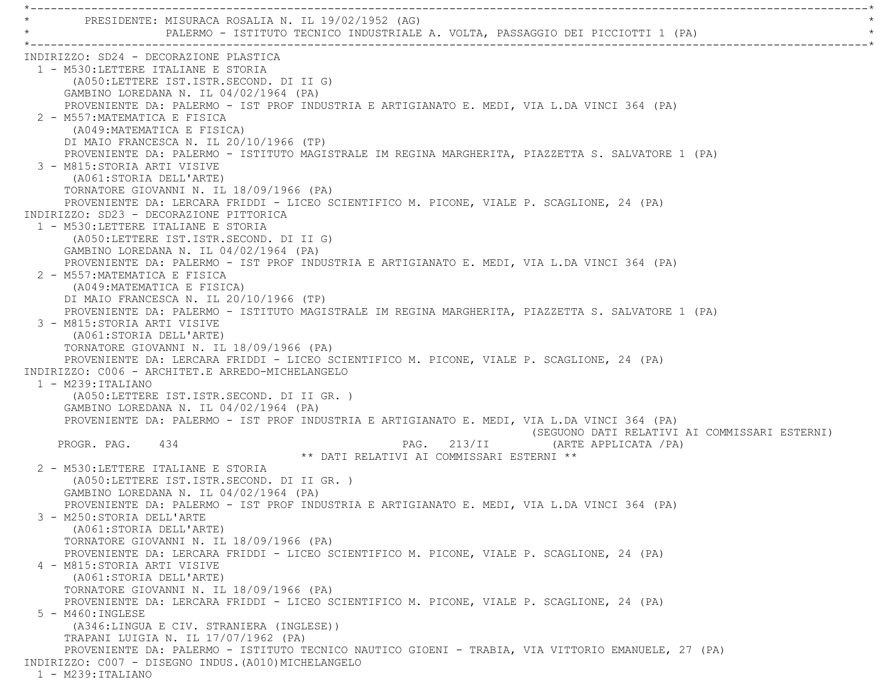\*----------------------------------------------------------------------------------------------------------------------------\*PRESIDENTE: MISURACA ROSALIA N. IL 19/02/1952 (AG) PALERMO - ISTITUTO TECNICO INDUSTRIALE A. VOLTA, PASSAGGIO DEI PICCIOTTI 1 (PA) \*----------------------------------------------------------------------------------------------------------------------------\* INDIRIZZO: SD24 - DECORAZIONE PLASTICA 1 - M530:LETTERE ITALIANE E STORIA (A050:LETTERE IST.ISTR.SECOND. DI II G) GAMBINO LOREDANA N. IL 04/02/1964 (PA) PROVENIENTE DA: PALERMO - IST PROF INDUSTRIA E ARTIGIANATO E. MEDI, VIA L.DA VINCI 364 (PA) 2 - M557:MATEMATICA E FISICA (A049:MATEMATICA E FISICA) DI MAIO FRANCESCA N. IL 20/10/1966 (TP) PROVENIENTE DA: PALERMO - ISTITUTO MAGISTRALE IM REGINA MARGHERITA, PIAZZETTA S. SALVATORE 1 (PA) 3 - M815:STORIA ARTI VISIVE (A061:STORIA DELL'ARTE) TORNATORE GIOVANNI N. IL 18/09/1966 (PA) PROVENIENTE DA: LERCARA FRIDDI - LICEO SCIENTIFICO M. PICONE, VIALE P. SCAGLIONE, 24 (PA) INDIRIZZO: SD23 - DECORAZIONE PITTORICA 1 - M530:LETTERE ITALIANE E STORIA (A050:LETTERE IST.ISTR.SECOND. DI II G) GAMBINO LOREDANA N. IL 04/02/1964 (PA) PROVENIENTE DA: PALERMO - IST PROF INDUSTRIA E ARTIGIANATO E. MEDI, VIA L.DA VINCI 364 (PA) 2 - M557:MATEMATICA E FISICA (A049:MATEMATICA E FISICA) DI MAIO FRANCESCA N. IL 20/10/1966 (TP) PROVENIENTE DA: PALERMO - ISTITUTO MAGISTRALE IM REGINA MARGHERITA, PIAZZETTA S. SALVATORE 1 (PA) 3 - M815:STORIA ARTI VISIVE (A061:STORIA DELL'ARTE) TORNATORE GIOVANNI N. IL 18/09/1966 (PA) PROVENIENTE DA: LERCARA FRIDDI - LICEO SCIENTIFICO M. PICONE, VIALE P. SCAGLIONE, 24 (PA) INDIRIZZO: C006 - ARCHITET.E ARREDO-MICHELANGELO 1 - M239:ITALIANO (A050:LETTERE IST.ISTR.SECOND. DI II GR. ) GAMBINO LOREDANA N. IL 04/02/1964 (PA) PROVENIENTE DA: PALERMO - IST PROF INDUSTRIA E ARTIGIANATO E. MEDI, VIA L.DA VINCI 364 (PA) (SEGUONO DATI RELATIVI AI COMMISSARI ESTERNI) PROGR. PAG. 434 PROGR. PAG. 213/II (ARTE APPLICATA / PA) \*\* DATI RELATIVI AI COMMISSARI ESTERNI \*\* 2 - M530:LETTERE ITALIANE E STORIA (A050:LETTERE IST.ISTR.SECOND. DI II GR. ) GAMBINO LOREDANA N. IL 04/02/1964 (PA) PROVENIENTE DA: PALERMO - IST PROF INDUSTRIA E ARTIGIANATO E. MEDI, VIA L.DA VINCI 364 (PA) 3 - M250:STORIA DELL'ARTE (A061:STORIA DELL'ARTE) TORNATORE GIOVANNI N. IL 18/09/1966 (PA) PROVENIENTE DA: LERCARA FRIDDI - LICEO SCIENTIFICO M. PICONE, VIALE P. SCAGLIONE, 24 (PA) 4 - M815:STORIA ARTI VISIVE (A061:STORIA DELL'ARTE) TORNATORE GIOVANNI N. IL 18/09/1966 (PA) PROVENIENTE DA: LERCARA FRIDDI - LICEO SCIENTIFICO M. PICONE, VIALE P. SCAGLIONE, 24 (PA) 5 - M460:INGLESE (A346:LINGUA E CIV. STRANIERA (INGLESE)) TRAPANI LUIGIA N. IL 17/07/1962 (PA) PROVENIENTE DA: PALERMO - ISTITUTO TECNICO NAUTICO GIOENI - TRABIA, VIA VITTORIO EMANUELE, 27 (PA) INDIRIZZO: C007 - DISEGNO INDUS.(A010)MICHELANGELO 1 - M239:ITALIANO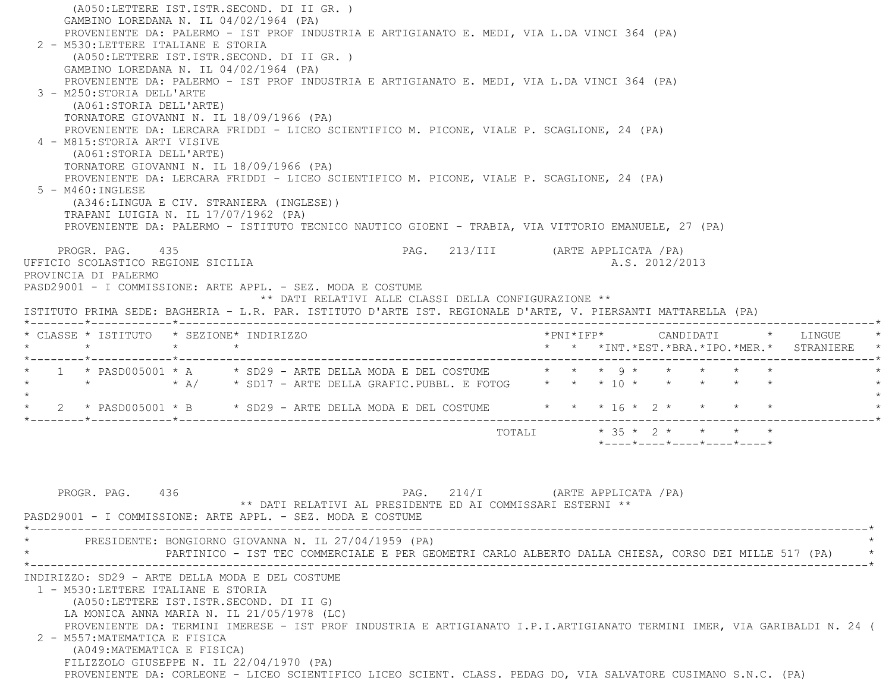(A050:LETTERE IST.ISTR.SECOND. DI II GR. ) GAMBINO LOREDANA N. IL 04/02/1964 (PA) PROVENIENTE DA: PALERMO - IST PROF INDUSTRIA E ARTIGIANATO E. MEDI, VIA L.DA VINCI 364 (PA) 2 - M530:LETTERE ITALIANE E STORIA (A050:LETTERE IST.ISTR.SECOND. DI II GR. ) GAMBINO LOREDANA N. IL 04/02/1964 (PA) PROVENIENTE DA: PALERMO - IST PROF INDUSTRIA E ARTIGIANATO E. MEDI, VIA L.DA VINCI 364 (PA) 3 - M250:STORIA DELL'ARTE (A061:STORIA DELL'ARTE) TORNATORE GIOVANNI N. IL 18/09/1966 (PA) PROVENIENTE DA: LERCARA FRIDDI - LICEO SCIENTIFICO M. PICONE, VIALE P. SCAGLIONE, 24 (PA) 4 - M815:STORIA ARTI VISIVE (A061:STORIA DELL'ARTE) TORNATORE GIOVANNI N. IL 18/09/1966 (PA) PROVENIENTE DA: LERCARA FRIDDI - LICEO SCIENTIFICO M. PICONE, VIALE P. SCAGLIONE, 24 (PA) 5 - M460:INGLESE (A346:LINGUA E CIV. STRANIERA (INGLESE)) TRAPANI LUIGIA N. IL 17/07/1962 (PA) PROVENIENTE DA: PALERMO - ISTITUTO TECNICO NAUTICO GIOENI - TRABIA, VIA VITTORIO EMANUELE, 27 (PA) PROGR. PAG. 435 PAG. 213/III (ARTE APPLICATA /PA) UFFICIO SCOLASTICO REGIONE SICILIA A.S. 2012/2013 PROVINCIA DI PALERMO PASD29001 - I COMMISSIONE: ARTE APPL. - SEZ. MODA E COSTUME \*\* DATI RELATIVI ALLE CLASSI DELLA CONFIGURAZIONE \*\* ISTITUTO PRIMA SEDE: BAGHERIA - L.R. PAR. ISTITUTO D'ARTE IST. REGIONALE D'ARTE, V. PIERSANTI MATTARELLA (PA) \*--------\*------------\*-------------------------------------------------------------------------------------------------------\* \* CLASSE \* ISTITUTO \* SEZIONE\* INDIRIZZO \*PNI\*IFP\* CANDIDATI \* LINGUE \* \* \* \* \* \* \* \*INT.\*EST.\*BRA.\*IPO.\*MER.\* STRANIERE \* \*--------\*------------\*-------------------------------------------------------------------------------------------------------\* \* 1 \* PASD005001 \* A \* SD29 - ARTE DELLA MODA E DEL COSTUME \* \* \* 9 \* \* \* \* \* \* \* \* \* A/ \* SD17 - ARTE DELLA GRAFIC.PUBBL. E FOTOG \* \* \* 10 \* \* \* \* \* \*  $\star$ 2 \* PASD005001 \* B \* SD29 - ARTE DELLA MODA E DEL COSTUME \* \* \* 16 \* 2 \* \* \* \* \* \*--------\*------------\*-------------------------------------------------------------------------------------------------------\*TOTALI \* 35 \* 2 \* \* \* \* \*----\*----\*----\*----\*----\*PROGR. PAG. 436 PAG. 214/I (ARTE APPLICATA /PA)

 \*\* DATI RELATIVI AL PRESIDENTE ED AI COMMISSARI ESTERNI \*\* PASD29001 - I COMMISSIONE: ARTE APPL. - SEZ. MODA E COSTUME \*----------------------------------------------------------------------------------------------------------------------------\*PRESIDENTE: BONGIORNO GIOVANNA N. IL 27/04/1959 (PA) \* PARTINICO - IST TEC COMMERCIALE E PER GEOMETRI CARLO ALBERTO DALLA CHIESA, CORSO DEI MILLE 517 (PA) \* \*----------------------------------------------------------------------------------------------------------------------------\* INDIRIZZO: SD29 - ARTE DELLA MODA E DEL COSTUME 1 - M530:LETTERE ITALIANE E STORIA (A050:LETTERE IST.ISTR.SECOND. DI II G) LA MONICA ANNA MARIA N. IL 21/05/1978 (LC) PROVENIENTE DA: TERMINI IMERESE - IST PROF INDUSTRIA E ARTIGIANATO I.P.I.ARTIGIANATO TERMINI IMER, VIA GARIBALDI N. 24 ( 2 - M557:MATEMATICA E FISICA (A049:MATEMATICA E FISICA) FILIZZOLO GIUSEPPE N. IL 22/04/1970 (PA) PROVENIENTE DA: CORLEONE - LICEO SCIENTIFICO LICEO SCIENT. CLASS. PEDAG DO, VIA SALVATORE CUSIMANO S.N.C. (PA)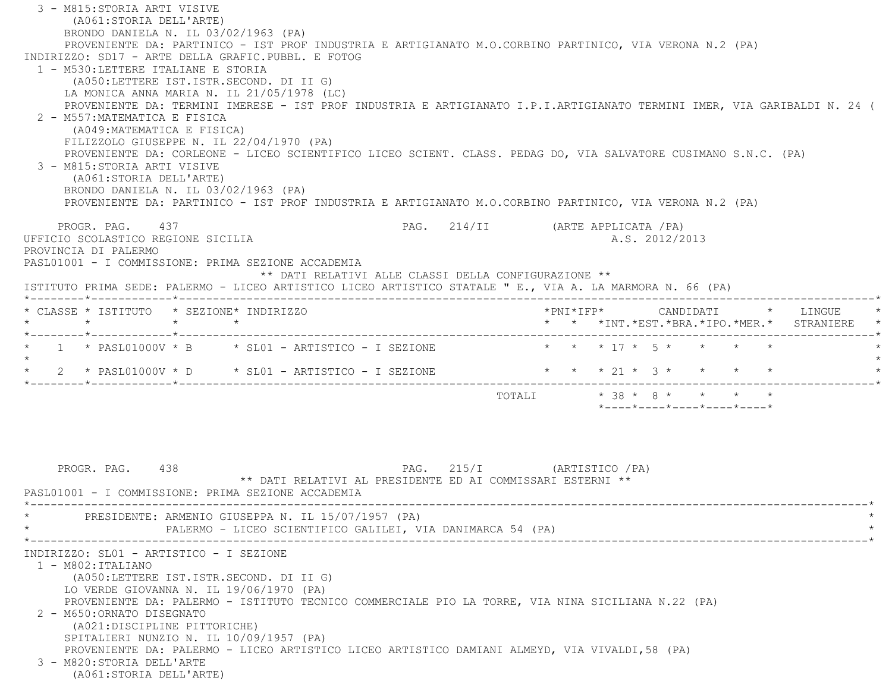3 - M815:STORIA ARTI VISIVE (A061:STORIA DELL'ARTE) BRONDO DANIELA N. IL 03/02/1963 (PA) PROVENIENTE DA: PARTINICO - IST PROF INDUSTRIA E ARTIGIANATO M.O.CORBINO PARTINICO, VIA VERONA N.2 (PA) INDIRIZZO: SD17 - ARTE DELLA GRAFIC.PUBBL. E FOTOG 1 - M530:LETTERE ITALIANE E STORIA (A050:LETTERE IST.ISTR.SECOND. DI II G) LA MONICA ANNA MARIA N. IL 21/05/1978 (LC) PROVENIENTE DA: TERMINI IMERESE - IST PROF INDUSTRIA E ARTIGIANATO I.P.I.ARTIGIANATO TERMINI IMER, VIA GARIBALDI N. 24 ( 2 - M557:MATEMATICA E FISICA (A049:MATEMATICA E FISICA) FILIZZOLO GIUSEPPE N. IL 22/04/1970 (PA) PROVENIENTE DA: CORLEONE - LICEO SCIENTIFICO LICEO SCIENT. CLASS. PEDAG DO, VIA SALVATORE CUSIMANO S.N.C. (PA) 3 - M815:STORIA ARTI VISIVE (A061:STORIA DELL'ARTE) BRONDO DANIELA N. IL 03/02/1963 (PA) PROVENIENTE DA: PARTINICO - IST PROF INDUSTRIA E ARTIGIANATO M.O.CORBINO PARTINICO, VIA VERONA N.2 (PA) PROGR. PAG. 437 PAG. 214/II (ARTE APPLICATA /PA) UFFICIO SCOLASTICO REGIONE SICILIA A.S. 2012/2013 PROVINCIA DI PALERMO PASL01001 - I COMMISSIONE: PRIMA SEZIONE ACCADEMIA \*\* DATI RELATIVI ALLE CLASSI DELLA CONFIGURAZIONE \*\* ISTITUTO PRIMA SEDE: PALERMO - LICEO ARTISTICO LICEO ARTISTICO STATALE " E., VIA A. LA MARMORA N. 66 (PA) \*--------\*------------\*-------------------------------------------------------------------------------------------------------\* \* CLASSE \* ISTITUTO \* SEZIONE\* INDIRIZZO \*PNI\*IFP\* CANDIDATI \* LINGUE \* \* \* \* \* \* \* \*INT.\*EST.\*BRA.\*IPO.\*MER.\* STRANIERE \* \*--------\*------------\*-------------------------------------------------------------------------------------------------------\* $1 * \text{ PASL01000V} * B * \text{SL01 - ARTISTICO - I SEZIONE$  \* \* \* 17 \* 5 \* \* \* \*  $\star$  \* 2 \* PASL01000V \* D \* SL01 - ARTISTICO - I SEZIONE \* \* \* 21 \* 3 \* \* \* \* \* \*--------\*------------\*-------------------------------------------------------------------------------------------------------\*TOTALI  $* 38 * 8 * * * * * * *$  \*----\*----\*----\*----\*----\*PROGR. PAG. 438 PAG. 215/I (ARTISTICO /PA) \*\* DATI RELATIVI AL PRESIDENTE ED AI COMMISSARI ESTERNI \*\* PASL01001 - I COMMISSIONE: PRIMA SEZIONE ACCADEMIA \*----------------------------------------------------------------------------------------------------------------------------\*PRESIDENTE: ARMENIO GIUSEPPA N. IL 15/07/1957 (PA) PALERMO - LICEO SCIENTIFICO GALILEI, VIA DANIMARCA 54 (PA) \*----------------------------------------------------------------------------------------------------------------------------\* INDIRIZZO: SL01 - ARTISTICO - I SEZIONE 1 - M802:ITALIANO (A050:LETTERE IST.ISTR.SECOND. DI II G) LO VERDE GIOVANNA N. IL 19/06/1970 (PA) PROVENIENTE DA: PALERMO - ISTITUTO TECNICO COMMERCIALE PIO LA TORRE, VIA NINA SICILIANA N.22 (PA) 2 - M650:ORNATO DISEGNATO (A021:DISCIPLINE PITTORICHE) SPITALIERI NUNZIO N. IL 10/09/1957 (PA) PROVENIENTE DA: PALERMO - LICEO ARTISTICO LICEO ARTISTICO DAMIANI ALMEYD, VIA VIVALDI,58 (PA) 3 - M820:STORIA DELL'ARTE(A061:STORIA DELL'ARTE)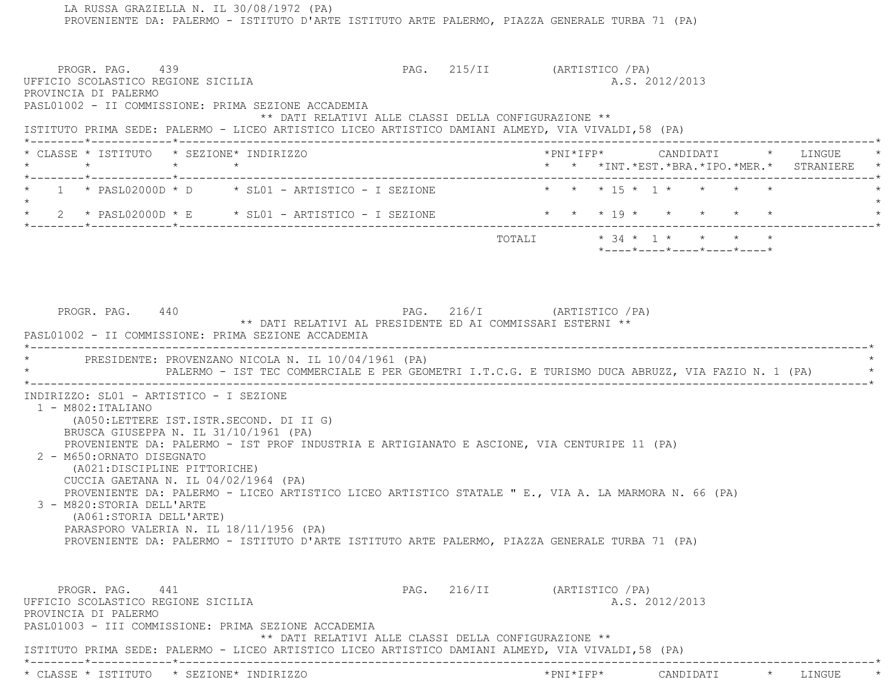PROVENIENTE DA: PALERMO - ISTITUTO D'ARTE ISTITUTO ARTE PALERMO, PIAZZA GENERALE TURBA 71 (PA) PROGR. PAG. 439 PAG. 215/II (ARTISTICO / PA) UFFICIO SCOLASTICO REGIONE SICILIA A.S. 2012/2013 PROVINCIA DI PALERMO PASL01002 - II COMMISSIONE: PRIMA SEZIONE ACCADEMIA \*\* DATI RELATIVI ALLE CLASSI DELLA CONFIGURAZIONE \*\* ISTITUTO PRIMA SEDE: PALERMO - LICEO ARTISTICO LICEO ARTISTICO DAMIANI ALMEYD, VIA VIVALDI,58 (PA) \*--------\*------------\*-------------------------------------------------------------------------------------------------------\* \* CLASSE \* ISTITUTO \* SEZIONE\* INDIRIZZO \*PNI\*IFP\* CANDIDATI \* LINGUE \* \* \* \* \* \* \* \*INT.\*EST.\*BRA.\*IPO.\*MER.\* STRANIERE \* \*--------\*------------\*-------------------------------------------------------------------------------------------------------\* $1 * \text{ PASL02000D} * D \t\t * \text{SL01 - ARTISTICO - I SEZIONE} \t\t * * * 15 * 1 * * * * * *$  $\star$  \* 2 \* PASL02000D \* E \* SL01 - ARTISTICO - I SEZIONE \* \* \* 19 \* \* \* \* \* \* \*--------\*------------\*-------------------------------------------------------------------------------------------------------\* TOTALI \* 34 \* 1 \* \* \* \* \*----\*----\*----\*----\*----\*PROGR. PAG. 440 PAG. 216/I (ARTISTICO /PA) \*\* DATI RELATIVI AL PRESIDENTE ED AI COMMISSARI ESTERNI \*\* PASL01002 - II COMMISSIONE: PRIMA SEZIONE ACCADEMIA \*----------------------------------------------------------------------------------------------------------------------------\*PRESIDENTE: PROVENZANO NICOLA N. IL 10/04/1961 (PA) \* PALERMO - IST TEC COMMERCIALE E PER GEOMETRI I.T.C.G. E TURISMO DUCA ABRUZZ, VIA FAZIO N. 1 (PA) \* \*----------------------------------------------------------------------------------------------------------------------------\* INDIRIZZO: SL01 - ARTISTICO - I SEZIONE 1 - M802:ITALIANO (A050:LETTERE IST.ISTR.SECOND. DI II G) BRUSCA GIUSEPPA N. IL 31/10/1961 (PA) PROVENIENTE DA: PALERMO - IST PROF INDUSTRIA E ARTIGIANATO E ASCIONE, VIA CENTURIPE 11 (PA) 2 - M650:ORNATO DISEGNATO (A021:DISCIPLINE PITTORICHE) CUCCIA GAETANA N. IL 04/02/1964 (PA) PROVENIENTE DA: PALERMO - LICEO ARTISTICO LICEO ARTISTICO STATALE " E., VIA A. LA MARMORA N. 66 (PA) 3 - M820:STORIA DELL'ARTE (A061:STORIA DELL'ARTE) PARASPORO VALERIA N. IL 18/11/1956 (PA) PROVENIENTE DA: PALERMO - ISTITUTO D'ARTE ISTITUTO ARTE PALERMO, PIAZZA GENERALE TURBA 71 (PA) PROGR. PAG. 441 PAG. 216/II (ARTISTICO /PA) UFFICIO SCOLASTICO REGIONE SICILIA A.S. 2012/2013 PROVINCIA DI PALERMO PASL01003 - III COMMISSIONE: PRIMA SEZIONE ACCADEMIA \*\* DATI RELATIVI ALLE CLASSI DELLA CONFIGURAZIONE \*\* ISTITUTO PRIMA SEDE: PALERMO - LICEO ARTISTICO LICEO ARTISTICO DAMIANI ALMEYD, VIA VIVALDI,58 (PA) \*--------\*------------\*-------------------------------------------------------------------------------------------------------\*\* CLASSE \* ISTITUTO \* SEZIONE\* INDIRIZZO \*PNI\*IFP\* CANDIDATI \* LINGUE \*

LA RUSSA GRAZIELLA N. IL 30/08/1972 (PA)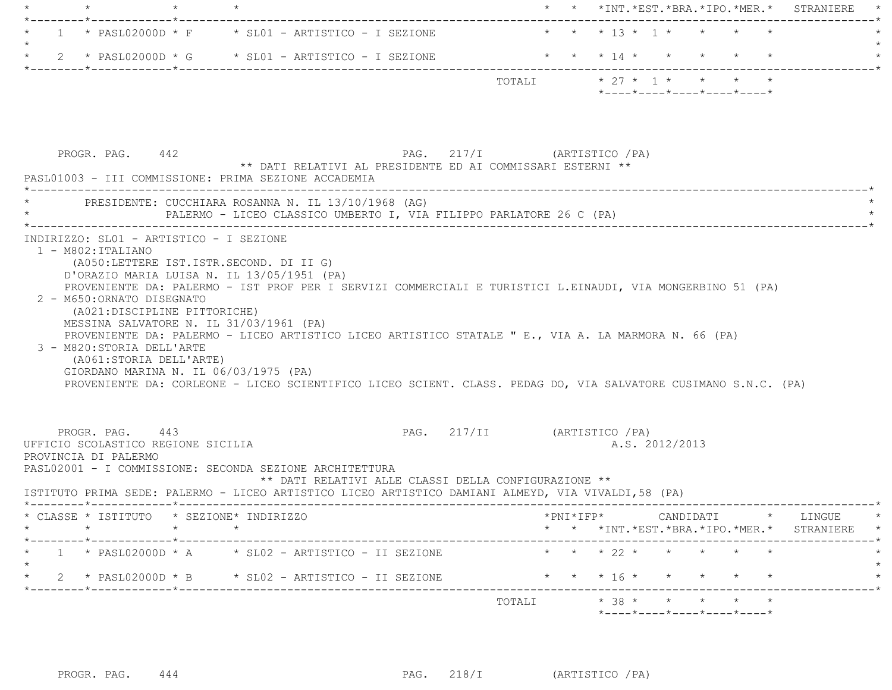|  | $\downarrow$ , and the contract of the contract of the contract of the contract of the contract of the contract of the contract of the contract of the contract of the contract of the contract of the contract of the contract of t |                                                                             |        | * * *INT.*EST.*BRA.*IPO.*MER.* STRANIERE *                                                               |  |
|--|--------------------------------------------------------------------------------------------------------------------------------------------------------------------------------------------------------------------------------------|-----------------------------------------------------------------------------|--------|----------------------------------------------------------------------------------------------------------|--|
|  |                                                                                                                                                                                                                                      | $\star$ 1 $\star$ PASL02000D $\star$ F $\star$ SL01 - ARTISTICO - I SEZIONE |        | * * * 13 * 1 * * * * *                                                                                   |  |
|  |                                                                                                                                                                                                                                      | $\star$ 2 $\star$ PASL02000D $\star$ G $\star$ SL01 - ARTISTICO - I SEZIONE |        | * * * 14 * * * * * *                                                                                     |  |
|  |                                                                                                                                                                                                                                      |                                                                             | TOTALI | $\star$ 27 $\star$ 1 $\star$ $\star$ $\star$ $\star$<br>$*$ ---- $*$ ---- $*$ ---- $*$ ---- $*$ ---- $*$ |  |

|                                                                                                                            |                                                         | PASL01003 - III COMMISSIONE: PRIMA SEZIONE ACCADEMIA                                                                             |                                                                                                                                                                                                                    |                                                                                                  |                                               |                |  |  |  |
|----------------------------------------------------------------------------------------------------------------------------|---------------------------------------------------------|----------------------------------------------------------------------------------------------------------------------------------|--------------------------------------------------------------------------------------------------------------------------------------------------------------------------------------------------------------------|--------------------------------------------------------------------------------------------------|-----------------------------------------------|----------------|--|--|--|
|                                                                                                                            |                                                         | PRESIDENTE: CUCCHIARA ROSANNA N. IL 13/10/1968 (AG)                                                                              | PALERMO - LICEO CLASSICO UMBERTO I, VIA FILIPPO PARLATORE 26 C (PA)                                                                                                                                                |                                                                                                  |                                               |                |  |  |  |
| INDIRIZZO: SL01 - ARTISTICO - I SEZIONE<br>$1 - M802:ITALIANO$<br>2 - M650: ORNATO DISEGNATO<br>3 - M820: STORIA DELL'ARTE | (A021:DISCIPLINE PITTORICHE)<br>(A061:STORIA DELL'ARTE) | (A050:LETTERE IST.ISTR.SECOND. DI II G)<br>D'ORAZIO MARIA LUISA N. IL 13/05/1951 (PA)<br>MESSINA SALVATORE N. IL 31/03/1961 (PA) | PROVENIENTE DA: PALERMO - IST PROF PER I SERVIZI COMMERCIALI E TURISTICI L.EINAUDI, VIA MONGERBINO 51 (PA)<br>PROVENIENTE DA: PALERMO - LICEO ARTISTICO LICEO ARTISTICO STATALE " E., VIA A. LA MARMORA N. 66 (PA) |                                                                                                  |                                               |                |  |  |  |
|                                                                                                                            |                                                         | GIORDANO MARINA N. IL 06/03/1975 (PA)                                                                                            | PROVENIENTE DA: CORLEONE - LICEO SCIENTIFICO LICEO SCIENT. CLASS. PEDAG DO, VIA SALVATORE CUSIMANO S.N.C. (PA)                                                                                                     |                                                                                                  |                                               |                |  |  |  |
| PROGR. PAG. 443<br>UFFICIO SCOLASTICO REGIONE SICILIA<br>PROVINCIA DI PALERMO                                              |                                                         | PASL02001 - I COMMISSIONE: SECONDA SEZIONE ARCHITETTURA                                                                          | PAG. 217/II (ARTISTICO / PA)<br>** DATI RELATIVI ALLE CLASSI DELLA CONFIGURAZIONE **<br>ISTITUTO PRIMA SEDE: PALERMO - LICEO ARTISTICO LICEO ARTISTICO DAMIANI ALMEYD, VIA VIVALDI,58 (PA)                         |                                                                                                  |                                               | A.S. 2012/2013 |  |  |  |
| * CLASSE * ISTITUTO * SEZIONE* INDIRIZZO                                                                                   |                                                         |                                                                                                                                  |                                                                                                                                                                                                                    |                                                                                                  |                                               |                |  |  |  |
|                                                                                                                            |                                                         |                                                                                                                                  |                                                                                                                                                                                                                    |                                                                                                  | * * *INT. *EST. *BRA. *IPO. *MER. * STRANIERE |                |  |  |  |
| $\star$                                                                                                                    |                                                         |                                                                                                                                  | * 1 * PASL02000D * A * SL02 - ARTISTICO - II SEZIONE * * * 22 * * * * * * *                                                                                                                                        |                                                                                                  |                                               |                |  |  |  |
|                                                                                                                            |                                                         | $2 \times$ PASL02000D $*$ B $*$ SL02 - ARTISTICO - II SEZIONE                                                                    |                                                                                                                                                                                                                    | $\star$ $\star$ $\star$ $\uparrow$ $\uparrow$ $\uparrow$ $\star$ $\star$ $\star$ $\star$ $\star$ |                                               |                |  |  |  |

\*----\*----\*----\*----\*----\*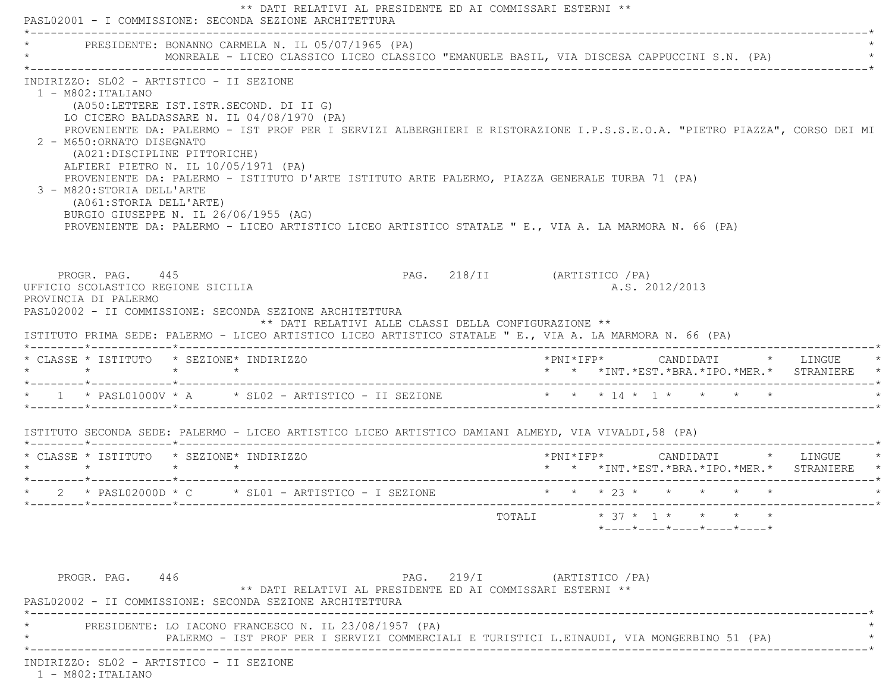| * PRESIDENTE: BONANNO CARMELA N. IL 05/07/1965 (PA)                                                                                                                                                                                                                                                                                                                                                                                                                                                                                                                                                                                                                                                      |  | MONREALE - LICEO CLASSICO LICEO CLASSICO "EMANUELE BASIL, VIA DISCESA CAPPUCCINI S.N. (PA) |                              |  |                                                |  |                                                                              |  |
|----------------------------------------------------------------------------------------------------------------------------------------------------------------------------------------------------------------------------------------------------------------------------------------------------------------------------------------------------------------------------------------------------------------------------------------------------------------------------------------------------------------------------------------------------------------------------------------------------------------------------------------------------------------------------------------------------------|--|--------------------------------------------------------------------------------------------|------------------------------|--|------------------------------------------------|--|------------------------------------------------------------------------------|--|
| INDIRIZZO: SL02 - ARTISTICO - II SEZIONE<br>$1 - M802 : ITALIANO$<br>(A050:LETTERE IST.ISTR.SECOND. DI II G)<br>LO CICERO BALDASSARE N. IL 04/08/1970 (PA)<br>PROVENIENTE DA: PALERMO - IST PROF PER I SERVIZI ALBERGHIERI E RISTORAZIONE I.P.S.S.E.O.A. "PIETRO PIAZZA", CORSO DEI MI<br>2 - M650: ORNATO DISEGNATO<br>(A021:DISCIPLINE PITTORICHE)<br>ALFIERI PIETRO N. IL 10/05/1971 (PA)<br>PROVENIENTE DA: PALERMO - ISTITUTO D'ARTE ISTITUTO ARTE PALERMO, PIAZZA GENERALE TURBA 71 (PA)<br>3 - M820: STORIA DELL'ARTE<br>(A061:STORIA DELL'ARTE)<br>BURGIO GIUSEPPE N. IL 26/06/1955 (AG)<br>PROVENIENTE DA: PALERMO - LICEO ARTISTICO LICEO ARTISTICO STATALE " E., VIA A. LA MARMORA N. 66 (PA) |  |                                                                                            |                              |  |                                                |  |                                                                              |  |
| PROGR. PAG. 445<br>UFFICIO SCOLASTICO REGIONE SICILIA<br>PROVINCIA DI PALERMO                                                                                                                                                                                                                                                                                                                                                                                                                                                                                                                                                                                                                            |  |                                                                                            | PAG. 218/II (ARTISTICO / PA) |  | A.S. 2012/2013                                 |  |                                                                              |  |
| PASL02002 - II COMMISSIONE: SECONDA SEZIONE ARCHITETTURA<br>ISTITUTO PRIMA SEDE: PALERMO - LICEO ARTISTICO LICEO ARTISTICO STATALE " E., VIA A. LA MARMORA N. 66 (PA)                                                                                                                                                                                                                                                                                                                                                                                                                                                                                                                                    |  | ** DATI RELATIVI ALLE CLASSI DELLA CONFIGURAZIONE **                                       |                              |  |                                                |  |                                                                              |  |
| * CLASSE * ISTITUTO * SEZIONE* INDIRIZZO<br>$\star$ $\star$ $\star$ $\star$                                                                                                                                                                                                                                                                                                                                                                                                                                                                                                                                                                                                                              |  |                                                                                            |                              |  |                                                |  | *PNI*IFP* CANDIDATI * LINGUE *<br>* * *INT.*EST.*BRA.*IPO.*MER.* STRANIERE * |  |
| * 1 * PASL01000V * A * SL02 - ARTISTICO - II SEZIONE * * * 14 * 1 * * * * *                                                                                                                                                                                                                                                                                                                                                                                                                                                                                                                                                                                                                              |  |                                                                                            |                              |  |                                                |  |                                                                              |  |
| ISTITUTO SECONDA SEDE: PALERMO - LICEO ARTISTICO LICEO ARTISTICO DAMIANI ALMEYD, VIA VIVALDI,58 (PA)                                                                                                                                                                                                                                                                                                                                                                                                                                                                                                                                                                                                     |  |                                                                                            |                              |  |                                                |  |                                                                              |  |
| * CLASSE * ISTITUTO * SEZIONE* INDIRIZZO<br>$\star$ $\star$ $\star$ $\star$                                                                                                                                                                                                                                                                                                                                                                                                                                                                                                                                                                                                                              |  |                                                                                            | *PNI*IFP* CANDIDATI * LINGUE |  |                                                |  | * * *INT. *EST. *BRA. *IPO. *MER. * STRANIERE *                              |  |
| * 2 * PASL02000D * C * SL01 - ARTISTICO - I SEZIONE * * * * 23 * * * * * * *                                                                                                                                                                                                                                                                                                                                                                                                                                                                                                                                                                                                                             |  |                                                                                            |                              |  |                                                |  |                                                                              |  |
|                                                                                                                                                                                                                                                                                                                                                                                                                                                                                                                                                                                                                                                                                                          |  |                                                                                            | TOTALI                       |  | $* 37 * 1 * * *$<br>*----*----*----*----*----* |  |                                                                              |  |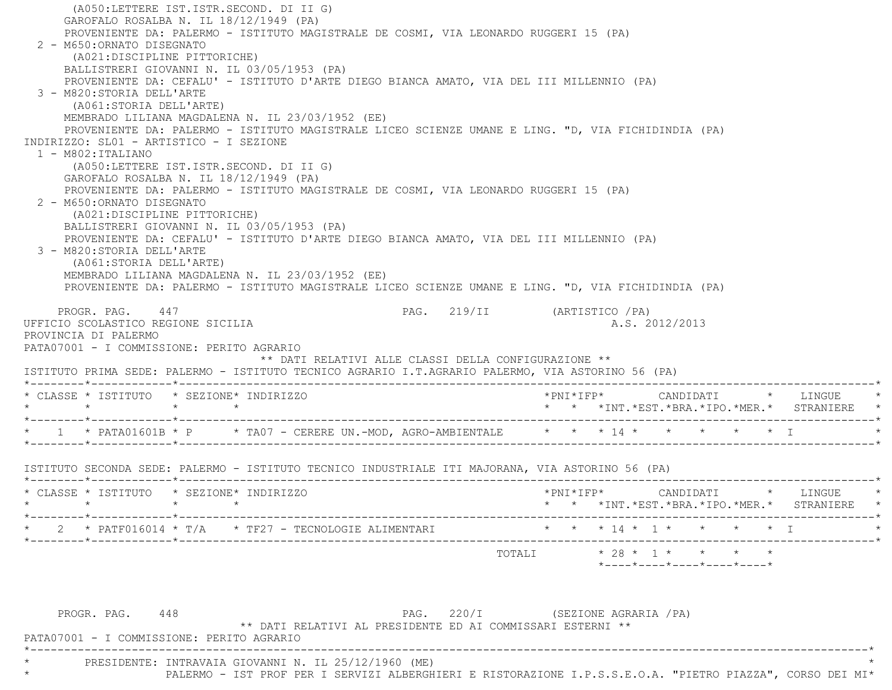(A050:LETTERE IST.ISTR.SECOND. DI II G) GAROFALO ROSALBA N. IL 18/12/1949 (PA) PROVENIENTE DA: PALERMO - ISTITUTO MAGISTRALE DE COSMI, VIA LEONARDO RUGGERI 15 (PA) 2 - M650:ORNATO DISEGNATO (A021:DISCIPLINE PITTORICHE) BALLISTRERI GIOVANNI N. IL 03/05/1953 (PA) PROVENIENTE DA: CEFALU' - ISTITUTO D'ARTE DIEGO BIANCA AMATO, VIA DEL III MILLENNIO (PA) 3 - M820:STORIA DELL'ARTE (A061:STORIA DELL'ARTE) MEMBRADO LILIANA MAGDALENA N. IL 23/03/1952 (EE) PROVENIENTE DA: PALERMO - ISTITUTO MAGISTRALE LICEO SCIENZE UMANE E LING. "D, VIA FICHIDINDIA (PA) INDIRIZZO: SL01 - ARTISTICO - I SEZIONE $1 - M802:ITALIANO$  (A050:LETTERE IST.ISTR.SECOND. DI II G) GAROFALO ROSALBA N. IL 18/12/1949 (PA) PROVENIENTE DA: PALERMO - ISTITUTO MAGISTRALE DE COSMI, VIA LEONARDO RUGGERI 15 (PA) 2 - M650:ORNATO DISEGNATO (A021:DISCIPLINE PITTORICHE) BALLISTRERI GIOVANNI N. IL 03/05/1953 (PA) PROVENIENTE DA: CEFALU' - ISTITUTO D'ARTE DIEGO BIANCA AMATO, VIA DEL III MILLENNIO (PA) 3 - M820:STORIA DELL'ARTE (A061:STORIA DELL'ARTE) MEMBRADO LILIANA MAGDALENA N. IL 23/03/1952 (EE) PROVENIENTE DA: PALERMO - ISTITUTO MAGISTRALE LICEO SCIENZE UMANE E LING. "D, VIA FICHIDINDIA (PA) PROGR. PAG. 447 PROGR. PAG. 219/II (ARTISTICO / PA) UFFICIO SCOLASTICO REGIONE SICILIA A.S. 2012/2013 PROVINCIA DI PALERMO PATA07001 - I COMMISSIONE: PERITO AGRARIO \*\* DATI RELATIVI ALLE CLASSI DELLA CONFIGURAZIONE \*\* ISTITUTO PRIMA SEDE: PALERMO - ISTITUTO TECNICO AGRARIO I.T.AGRARIO PALERMO, VIA ASTORINO 56 (PA) \*--------\*------------\*-------------------------------------------------------------------------------------------------------\* \* CLASSE \* ISTITUTO \* SEZIONE\* INDIRIZZO \*PNI\*IFP\* CANDIDATI \* LINGUE \* \* \* \* \* \* \* \*INT.\*EST.\*BRA.\*IPO.\*MER.\* STRANIERE \* \*--------\*------------\*-------------------------------------------------------------------------------------------------------\*\* 1 \* PATA01601B \* P \* TA07 - CERERE UN.-MOD, AGRO-AMBIENTALE \* \* \* 14 \* \* \* \* \* \* \* T \*--------\*------------\*-------------------------------------------------------------------------------------------------------\* ISTITUTO SECONDA SEDE: PALERMO - ISTITUTO TECNICO INDUSTRIALE ITI MAJORANA, VIA ASTORINO 56 (PA) \*--------\*------------\*-------------------------------------------------------------------------------------------------------\* \* CLASSE \* ISTITUTO \* SEZIONE\* INDIRIZZO \*PNI\*IFP\* CANDIDATI \* LINGUE \* \* \* \* \* \* \* \*INT.\*EST.\*BRA.\*IPO.\*MER.\* STRANIERE \* \*--------\*------------\*-------------------------------------------------------------------------------------------------------\* $\star$  2  $\star$  PATF016014  $\star$  T/A  $\star$  TF27 - TECNOLOGIE ALIMENTARI \*--------\*------------\*-------------------------------------------------------------------------------------------------------\*TOTALI  $\star$  28  $\star$  1  $\star$   $\star$   $\star$   $\star$  \*----\*----\*----\*----\*----\*PROGR. PAG. 448 PAG. 220/I (SEZIONE AGRARIA /PA) \*\* DATI RELATIVI AL PRESIDENTE ED AI COMMISSARI ESTERNI \*\* PATA07001 - I COMMISSIONE: PERITO AGRARIO \*----------------------------------------------------------------------------------------------------------------------------\*PRESIDENTE: INTRAVAIA GIOVANNI N. IL 25/12/1960 (ME)

\* PALERMO - IST PROF PER I SERVIZI ALBERGHIERI E RISTORAZIONE I.P.S.S.E.O.A. "PIETRO PIAZZA", CORSO DEI MI\*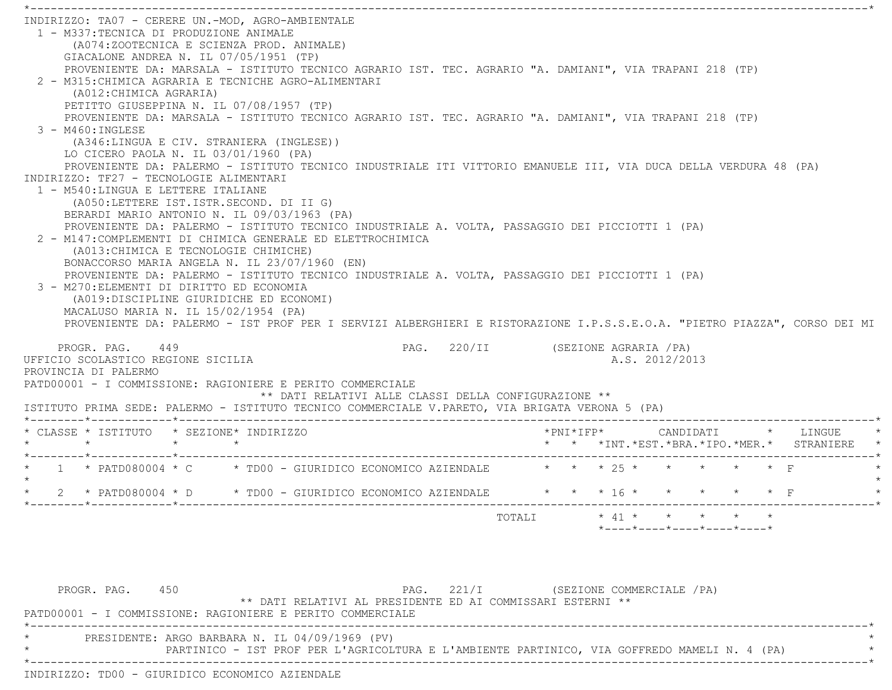\*----------------------------------------------------------------------------------------------------------------------------\* INDIRIZZO: TA07 - CERERE UN.-MOD, AGRO-AMBIENTALE 1 - M337:TECNICA DI PRODUZIONE ANIMALE (A074:ZOOTECNICA E SCIENZA PROD. ANIMALE) GIACALONE ANDREA N. IL 07/05/1951 (TP) PROVENIENTE DA: MARSALA - ISTITUTO TECNICO AGRARIO IST. TEC. AGRARIO "A. DAMIANI", VIA TRAPANI 218 (TP) 2 - M315:CHIMICA AGRARIA E TECNICHE AGRO-ALIMENTARI (A012:CHIMICA AGRARIA) PETITTO GIUSEPPINA N. IL 07/08/1957 (TP) PROVENIENTE DA: MARSALA - ISTITUTO TECNICO AGRARIO IST. TEC. AGRARIO "A. DAMIANI", VIA TRAPANI 218 (TP) 3 - M460:INGLESE (A346:LINGUA E CIV. STRANIERA (INGLESE)) LO CICERO PAOLA N. IL 03/01/1960 (PA) PROVENIENTE DA: PALERMO - ISTITUTO TECNICO INDUSTRIALE ITI VITTORIO EMANUELE III, VIA DUCA DELLA VERDURA 48 (PA) INDIRIZZO: TF27 - TECNOLOGIE ALIMENTARI 1 - M540:LINGUA E LETTERE ITALIANE (A050:LETTERE IST.ISTR.SECOND. DI II G) BERARDI MARIO ANTONIO N. IL 09/03/1963 (PA) PROVENIENTE DA: PALERMO - ISTITUTO TECNICO INDUSTRIALE A. VOLTA, PASSAGGIO DEI PICCIOTTI 1 (PA) 2 - M147:COMPLEMENTI DI CHIMICA GENERALE ED ELETTROCHIMICA (A013:CHIMICA E TECNOLOGIE CHIMICHE) BONACCORSO MARIA ANGELA N. IL 23/07/1960 (EN) PROVENIENTE DA: PALERMO - ISTITUTO TECNICO INDUSTRIALE A. VOLTA, PASSAGGIO DEI PICCIOTTI 1 (PA) 3 - M270:ELEMENTI DI DIRITTO ED ECONOMIA (A019:DISCIPLINE GIURIDICHE ED ECONOMI) MACALUSO MARIA N. IL 15/02/1954 (PA) PROVENIENTE DA: PALERMO - IST PROF PER I SERVIZI ALBERGHIERI E RISTORAZIONE I.P.S.S.E.O.A. "PIETRO PIAZZA", CORSO DEI MI PROGR. PAG. 449 **PAG.** 220/II (SEZIONE AGRARIA /PA) UFFICIO SCOLASTICO REGIONE SICILIA A.S. 2012/2013 PROVINCIA DI PALERMO PATD00001 - I COMMISSIONE: RAGIONIERE E PERITO COMMERCIALE \*\* DATI RELATIVI ALLE CLASSI DELLA CONFIGURAZIONE \*\* ISTITUTO PRIMA SEDE: PALERMO - ISTITUTO TECNICO COMMERCIALE V.PARETO, VIA BRIGATA VERONA 5 (PA) \*--------\*------------\*-------------------------------------------------------------------------------------------------------\* \* CLASSE \* ISTITUTO \* SEZIONE\* INDIRIZZO \*PNI\*IFP\* CANDIDATI \* LINGUE \* \* \* \* \* \* \* \*INT.\*EST.\*BRA.\*IPO.\*MER.\* STRANIERE \* \*--------\*------------\*-------------------------------------------------------------------------------------------------------\*1 \* PATD080004 \* C  $\rightarrow$  TD00 - GIURIDICO ECONOMICO AZIENDALE  $\rightarrow$  \* \* \* 25 \* \* \* \* \* \* F  $\star$ \* 2 \* PATD080004 \* D \* TD00 - GIURIDICO ECONOMICO AZIENDALE \* \* \* 16 \* \* \* \* \* \* F \*--------\*------------\*-------------------------------------------------------------------------------------------------------\*TOTALI  $* 41 * * * * * * * * * *$ \*----\*----\*----\*----\*----\*

PROGR. PAG. 450 PAG. 221/I (SEZIONE COMMERCIALE / PA) \*\* DATI RELATIVI AL PRESIDENTE ED AI COMMISSARI ESTERNI \*\* PATD00001 - I COMMISSIONE: RAGIONIERE E PERITO COMMERCIALE \*----------------------------------------------------------------------------------------------------------------------------\*PRESIDENTE: ARGO BARBARA N. IL 04/09/1969 (PV) \* PARTINICO - IST PROF PER L'AGRICOLTURA E L'AMBIENTE PARTINICO, VIA GOFFREDO MAMELI N. 4 (PA) \* \*----------------------------------------------------------------------------------------------------------------------------\*INDIRIZZO: TD00 - GIURIDICO ECONOMICO AZIENDALE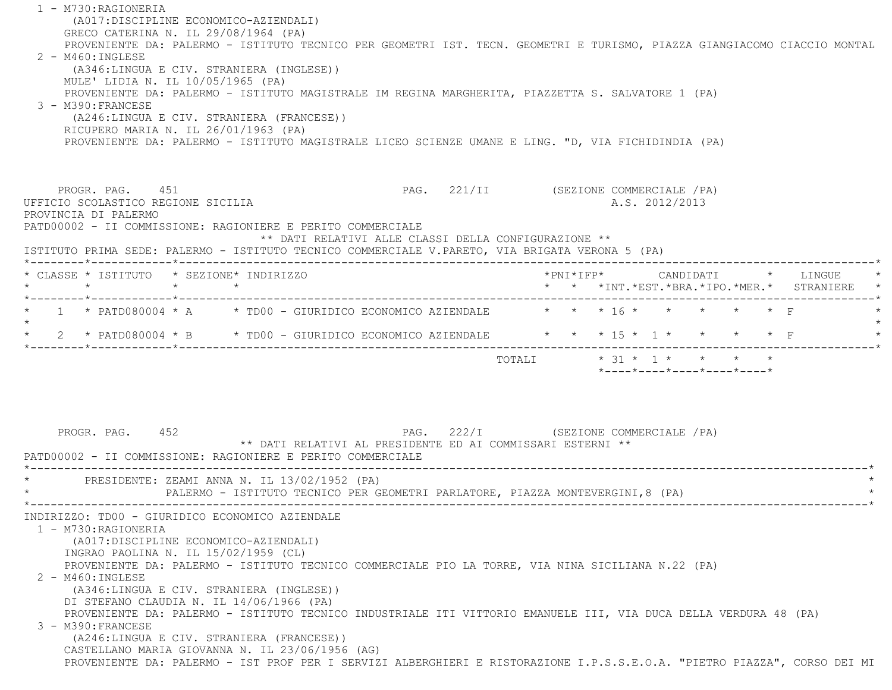1 - M730:RAGIONERIA (A017:DISCIPLINE ECONOMICO-AZIENDALI) GRECO CATERINA N. IL 29/08/1964 (PA) PROVENIENTE DA: PALERMO - ISTITUTO TECNICO PER GEOMETRI IST. TECN. GEOMETRI E TURISMO, PIAZZA GIANGIACOMO CIACCIO MONTAL 2 - M460:INGLESE (A346:LINGUA E CIV. STRANIERA (INGLESE)) MULE' LIDIA N. IL 10/05/1965 (PA) PROVENIENTE DA: PALERMO - ISTITUTO MAGISTRALE IM REGINA MARGHERITA, PIAZZETTA S. SALVATORE 1 (PA) 3 - M390:FRANCESE (A246:LINGUA E CIV. STRANIERA (FRANCESE)) RICUPERO MARIA N. IL 26/01/1963 (PA) PROVENIENTE DA: PALERMO - ISTITUTO MAGISTRALE LICEO SCIENZE UMANE E LING. "D, VIA FICHIDINDIA (PA) PROGR. PAG. 451 PAG. 221/II (SEZIONE COMMERCIALE /PA) UFFICIO SCOLASTICO REGIONE SICILIA A.S. 2012/2013 PROVINCIA DI PALERMO PATD00002 - II COMMISSIONE: RAGIONIERE E PERITO COMMERCIALE \*\* DATI RELATIVI ALLE CLASSI DELLA CONFIGURAZIONE \*\* ISTITUTO PRIMA SEDE: PALERMO - ISTITUTO TECNICO COMMERCIALE V.PARETO, VIA BRIGATA VERONA 5 (PA) \*--------\*------------\*-------------------------------------------------------------------------------------------------------\* \* CLASSE \* ISTITUTO \* SEZIONE\* INDIRIZZO \*PNI\*IFP\* CANDIDATI \* LINGUE \* \* \* \* \* \* \* \*INT.\*EST.\*BRA.\*IPO.\*MER.\* STRANIERE \* \*--------\*------------\*-------------------------------------------------------------------------------------------------------\*\* 1 \* PATD080004 \* A \* TD00 - GIURIDICO ECONOMICO AZIENDALE  $\qquad$  \* \* \* 16 \* \* \* \* \* \* F  $\star$ \* 2 \* PATD080004 \* B \* TD00 - GIURIDICO ECONOMICO AZIENDALE \* \* \* 15 \* 1 \* \* \* \* \* F \*--------\*------------\*-------------------------------------------------------------------------------------------------------\*TOTALI  $* 31 * 1 * * * * * * * *$  \*----\*----\*----\*----\*----\*PROGR. PAG. 452 PAG. 222/I (SEZIONE COMMERCIALE / PA) \*\* DATI RELATIVI AL PRESIDENTE ED AI COMMISSARI ESTERNI \*\* PATD00002 - II COMMISSIONE: RAGIONIERE E PERITO COMMERCIALE \*----------------------------------------------------------------------------------------------------------------------------\*PRESIDENTE: ZEAMI ANNA N. IL 13/02/1952 (PA) PALERMO - ISTITUTO TECNICO PER GEOMETRI PARLATORE, PIAZZA MONTEVERGINI,8 (PA) \*----------------------------------------------------------------------------------------------------------------------------\* INDIRIZZO: TD00 - GIURIDICO ECONOMICO AZIENDALE 1 - M730:RAGIONERIA (A017:DISCIPLINE ECONOMICO-AZIENDALI) INGRAO PAOLINA N. IL 15/02/1959 (CL) PROVENIENTE DA: PALERMO - ISTITUTO TECNICO COMMERCIALE PIO LA TORRE, VIA NINA SICILIANA N.22 (PA) 2 - M460:INGLESE (A346:LINGUA E CIV. STRANIERA (INGLESE)) DI STEFANO CLAUDIA N. IL 14/06/1966 (PA) PROVENIENTE DA: PALERMO - ISTITUTO TECNICO INDUSTRIALE ITI VITTORIO EMANUELE III, VIA DUCA DELLA VERDURA 48 (PA) 3 - M390:FRANCESE (A246:LINGUA E CIV. STRANIERA (FRANCESE)) CASTELLANO MARIA GIOVANNA N. IL 23/06/1956 (AG) PROVENIENTE DA: PALERMO - IST PROF PER I SERVIZI ALBERGHIERI E RISTORAZIONE I.P.S.S.E.O.A. "PIETRO PIAZZA", CORSO DEI MI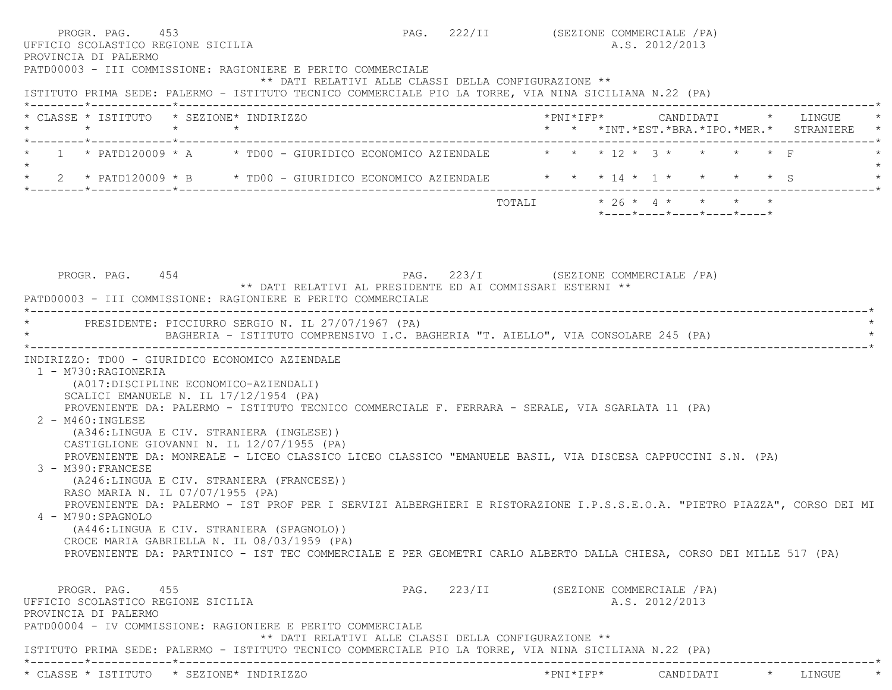| PROVINCIA DI PALERMO<br>PATD00003 - III COMMISSIONE: RAGIONIERE E PERITO COMMERCIALE                                                                                                                                                                                                                                                                                                                                                                                                                                  | PAG. 222/II (SEZIONE COMMERCIALE / PA) |  | A.S. 2012/2013 |                                                                 |                                                                          |
|-----------------------------------------------------------------------------------------------------------------------------------------------------------------------------------------------------------------------------------------------------------------------------------------------------------------------------------------------------------------------------------------------------------------------------------------------------------------------------------------------------------------------|----------------------------------------|--|----------------|-----------------------------------------------------------------|--------------------------------------------------------------------------|
| ** DATI RELATIVI ALLE CLASSI DELLA CONFIGURAZIONE **<br>ISTITUTO PRIMA SEDE: PALERMO - ISTITUTO TECNICO COMMERCIALE PIO LA TORRE, VIA NINA SICILIANA N.22 (PA)                                                                                                                                                                                                                                                                                                                                                        |                                        |  |                |                                                                 |                                                                          |
| * CLASSE * ISTITUTO * SEZIONE* INDIRIZZO<br>$\star$<br>$\star$ $\star$                                                                                                                                                                                                                                                                                                                                                                                                                                                |                                        |  |                |                                                                 | *PNI*IFP* CANDIDATI * LINGUE<br>* * *INT.*EST.*BRA.*IPO.*MER.* STRANIERE |
| 1 * PATD120009 * A * TD00 - GIURIDICO ECONOMICO AZIENDALE $\quad$ * * * 12 * 3 * * * * * F                                                                                                                                                                                                                                                                                                                                                                                                                            |                                        |  |                |                                                                 |                                                                          |
| * 2 * PATD120009 * B * TD00 - GIURIDICO ECONOMICO AZIENDALE * * * 14 * 1 * * * * * S                                                                                                                                                                                                                                                                                                                                                                                                                                  |                                        |  |                |                                                                 |                                                                          |
|                                                                                                                                                                                                                                                                                                                                                                                                                                                                                                                       |                                        |  |                | $*$ - - - - $*$ - - - - $*$ - - - - $*$ - - - - $*$ - - - - $*$ |                                                                          |
| PROGR. PAG. 454<br>** DATI RELATIVI AL PRESIDENTE ED AI COMMISSARI ESTERNI **<br>PATD00003 - III COMMISSIONE: RAGIONIERE E PERITO COMMERCIALE<br>PRESIDENTE: PICCIURRO SERGIO N. IL 27/07/1967 (PA)                                                                                                                                                                                                                                                                                                                   | PAG. 223/I (SEZIONE COMMERCIALE /PA)   |  |                |                                                                 |                                                                          |
| BAGHERIA - ISTITUTO COMPRENSIVO I.C. BAGHERIA "T. AIELLO", VIA CONSOLARE 245 (PA)                                                                                                                                                                                                                                                                                                                                                                                                                                     |                                        |  |                |                                                                 |                                                                          |
| INDIRIZZO: TD00 - GIURIDICO ECONOMICO AZIENDALE<br>1 - M730: RAGIONERIA<br>(A017: DISCIPLINE ECONOMICO-AZIENDALI)<br>SCALICI EMANUELE N. IL 17/12/1954 (PA)<br>PROVENIENTE DA: PALERMO - ISTITUTO TECNICO COMMERCIALE F. FERRARA - SERALE, VIA SGARLATA 11 (PA)<br>$2 - M460$ : INGLESE<br>(A346:LINGUA E CIV. STRANIERA (INGLESE))<br>CASTIGLIONE GIOVANNI N. IL 12/07/1955 (PA)<br>PROVENIENTE DA: MONREALE - LICEO CLASSICO LICEO CLASSICO "EMANUELE BASIL, VIA DISCESA CAPPUCCINI S.N. (PA)<br>3 - M390: FRANCESE |                                        |  |                |                                                                 |                                                                          |
| (A246:LINGUA E CIV. STRANIERA (FRANCESE))<br>RASO MARIA N. IL 07/07/1955 (PA)<br>PROVENIENTE DA: PALERMO - IST PROF PER I SERVIZI ALBERGHIERI E RISTORAZIONE I.P.S.S.E.O.A. "PIETRO PIAZZA", CORSO DEI MI<br>4 - M790:SPAGNOLO<br>(A446:LINGUA E CIV. STRANIERA (SPAGNOLO))<br>CROCE MARIA GABRIELLA N. IL 08/03/1959 (PA)<br>PROVENIENTE DA: PARTINICO - IST TEC COMMERCIALE E PER GEOMETRI CARLO ALBERTO DALLA CHIESA, CORSO DEI MILLE 517 (PA)                                                                     |                                        |  |                |                                                                 |                                                                          |
| PROGR. PAG. 455<br>UFFICIO SCOLASTICO REGIONE SICILIA<br>PROVINCIA DI PALERMO<br>PATD00004 - IV COMMISSIONE: RAGIONIERE E PERITO COMMERCIALE<br>** DATI RELATIVI ALLE CLASSI DELLA CONFIGURAZIONE **<br>ISTITUTO PRIMA SEDE: PALERMO - ISTITUTO TECNICO COMMERCIALE PIO LA TORRE, VIA NINA SICILIANA N.22 (PA)                                                                                                                                                                                                        | PAG. 223/II (SEZIONE COMMERCIALE / PA) |  | A.S. 2012/2013 |                                                                 |                                                                          |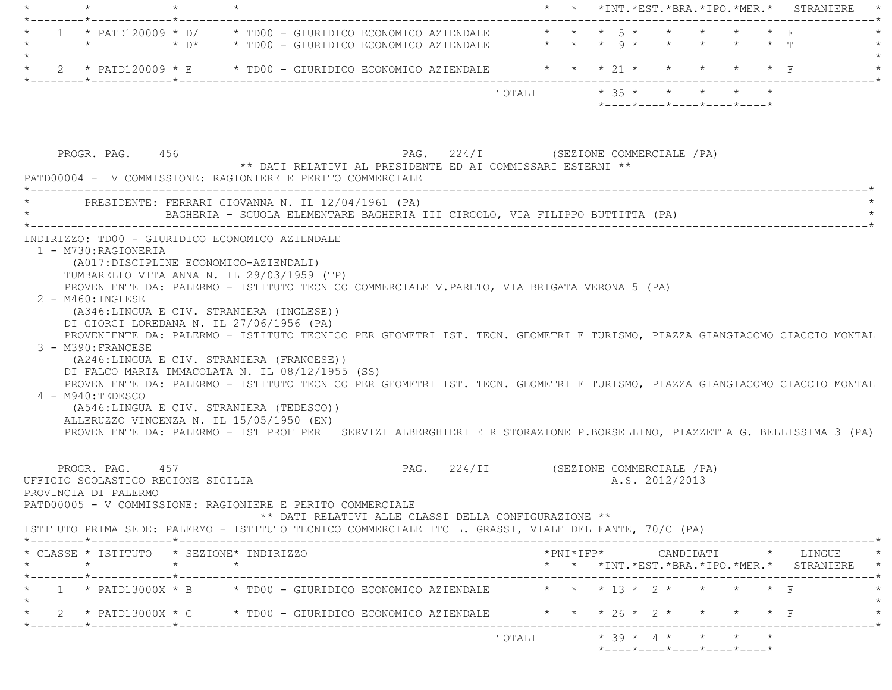|         | $\star$                                                                                                                                                                                                                                                                                                                                                                                                                                                                                                                                             | $\star$ |                                                                              |                                                      |  |                                       |                         |  |  |                |                                         |  | * * *INT. *EST. *BRA. *IPO. *MER. * STRANIERE                                                                                                                                                                                                                                                                                                                                    |
|---------|-----------------------------------------------------------------------------------------------------------------------------------------------------------------------------------------------------------------------------------------------------------------------------------------------------------------------------------------------------------------------------------------------------------------------------------------------------------------------------------------------------------------------------------------------------|---------|------------------------------------------------------------------------------|------------------------------------------------------|--|---------------------------------------|-------------------------|--|--|----------------|-----------------------------------------|--|----------------------------------------------------------------------------------------------------------------------------------------------------------------------------------------------------------------------------------------------------------------------------------------------------------------------------------------------------------------------------------|
|         | 1 * PATD120009 * D/ * TD00 - GIURIDICO ECONOMICO AZIENDALE * * * 5 * * * * * * * F<br>$\star$                                                                                                                                                                                                                                                                                                                                                                                                                                                       |         |                                                                              |                                                      |  |                                       |                         |  |  |                |                                         |  |                                                                                                                                                                                                                                                                                                                                                                                  |
| $\star$ | 2 * PATD120009 * E * TD00 - GIURIDICO ECONOMICO AZIENDALE * * * * 21 * * * * * * * F                                                                                                                                                                                                                                                                                                                                                                                                                                                                |         |                                                                              |                                                      |  |                                       |                         |  |  |                |                                         |  |                                                                                                                                                                                                                                                                                                                                                                                  |
|         |                                                                                                                                                                                                                                                                                                                                                                                                                                                                                                                                                     |         |                                                                              |                                                      |  |                                       | TOTALI * 35 * * * * * * |  |  |                | $*$ ---- $*$ ---- $*$ ---- $*$ ---- $*$ |  |                                                                                                                                                                                                                                                                                                                                                                                  |
|         | PROGR. PAG. 456<br>PATD00004 - IV COMMISSIONE: RAGIONIERE E PERITO COMMERCIALE                                                                                                                                                                                                                                                                                                                                                                                                                                                                      |         | ** DATI RELATIVI AL PRESIDENTE ED AI COMMISSARI ESTERNI **                   | PAG. 224/I (SEZIONE COMMERCIALE / PA)                |  |                                       |                         |  |  |                |                                         |  |                                                                                                                                                                                                                                                                                                                                                                                  |
|         | * PRESIDENTE: FERRARI GIOVANNA N. IL 12/04/1961 (PA)                                                                                                                                                                                                                                                                                                                                                                                                                                                                                                |         | BAGHERIA - SCUOLA ELEMENTARE BAGHERIA III CIRCOLO, VIA FILIPPO BUTTITTA (PA) |                                                      |  |                                       |                         |  |  |                |                                         |  |                                                                                                                                                                                                                                                                                                                                                                                  |
|         | (A017:DISCIPLINE ECONOMICO-AZIENDALI)<br>TUMBARELLO VITA ANNA N. IL 29/03/1959 (TP)<br>PROVENIENTE DA: PALERMO - ISTITUTO TECNICO COMMERCIALE V.PARETO, VIA BRIGATA VERONA 5 (PA)<br>2 - M460: INGLESE<br>(A346:LINGUA E CIV. STRANIERA (INGLESE))<br>DI GIORGI LOREDANA N. IL 27/06/1956 (PA)<br>3 - M390: FRANCESE<br>(A246:LINGUA E CIV. STRANIERA (FRANCESE))<br>DI FALCO MARIA IMMACOLATA N. IL 08/12/1955 (SS)<br>4 - M940:TEDESCO<br>(A546:LINGUA E CIV. STRANIERA (TEDESCO))<br>ALLERUZZO VINCENZA N. IL 15/05/1950 (EN)<br>PROGR. PAG. 457 |         |                                                                              |                                                      |  | PAG. 224/II (SEZIONE COMMERCIALE /PA) |                         |  |  |                |                                         |  | PROVENIENTE DA: PALERMO - ISTITUTO TECNICO PER GEOMETRI IST. TECN. GEOMETRI E TURISMO, PIAZZA GIANGIACOMO CIACCIO MONTAL<br>PROVENIENTE DA: PALERMO - ISTITUTO TECNICO PER GEOMETRI IST. TECN. GEOMETRI E TURISMO, PIAZZA GIANGIACOMO CIACCIO MONTAL<br>PROVENIENTE DA: PALERMO - IST PROF PER I SERVIZI ALBERGHIERI E RISTORAZIONE P.BORSELLINO, PIAZZETTA G. BELLISSIMA 3 (PA) |
|         | UFFICIO SCOLASTICO REGIONE SICILIA<br>PROVINCIA DI PALERMO<br>PATD00005 - V COMMISSIONE: RAGIONIERE E PERITO COMMERCIALE                                                                                                                                                                                                                                                                                                                                                                                                                            |         |                                                                              | ** DATI RELATIVI ALLE CLASSI DELLA CONFIGURAZIONE ** |  |                                       |                         |  |  | A.S. 2012/2013 |                                         |  |                                                                                                                                                                                                                                                                                                                                                                                  |
|         | ISTITUTO PRIMA SEDE: PALERMO - ISTITUTO TECNICO COMMERCIALE ITC L. GRASSI, VIALE DEL FANTE, 70/C (PA)                                                                                                                                                                                                                                                                                                                                                                                                                                               |         |                                                                              |                                                      |  |                                       |                         |  |  |                |                                         |  |                                                                                                                                                                                                                                                                                                                                                                                  |
|         | * CLASSE * ISTITUTO * SEZIONE* INDIRIZZO<br>$\star$                                                                                                                                                                                                                                                                                                                                                                                                                                                                                                 | $\star$ |                                                                              |                                                      |  |                                       |                         |  |  |                |                                         |  | * * *INT.*EST.*BRA.*IPO.*MER.* STRANIERE                                                                                                                                                                                                                                                                                                                                         |
|         | 1 * PATD13000X * B * TD00 - GIURIDICO ECONOMICO AZIENDALE * * * 13 * 2 * * * * * F                                                                                                                                                                                                                                                                                                                                                                                                                                                                  |         |                                                                              |                                                      |  |                                       |                         |  |  |                |                                         |  |                                                                                                                                                                                                                                                                                                                                                                                  |
|         | 2 * PATD13000X * C * TD00 - GIURIDICO ECONOMICO AZIENDALE * * * * 26 * 2 *                                                                                                                                                                                                                                                                                                                                                                                                                                                                          |         |                                                                              |                                                      |  |                                       |                         |  |  |                |                                         |  | $*$ PNI $*$ IFP $*$ CANDIDATI $*$ LINGUE $*$                                                                                                                                                                                                                                                                                                                                     |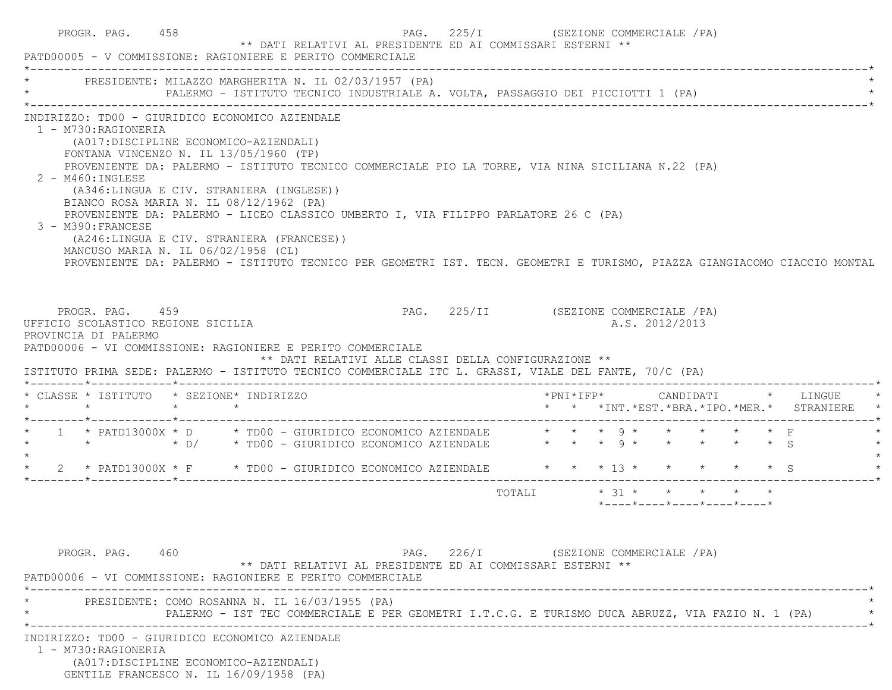|                    | PROGR. PAG. 458<br>PATD00005 - V COMMISSIONE: RAGIONIERE E PERITO COMMERCIALE                                                                                                                                                                                                                                                                                                   |  |  | ** DATI RELATIVI AL PRESIDENTE ED AI COMMISSARI ESTERNI **                                                                                                                                                                                                                                                           | PAG. 225/I (SEZIONE COMMERCIALE / PA) |        |  |  |                                                                   |  |  |                                                                               |  |
|--------------------|---------------------------------------------------------------------------------------------------------------------------------------------------------------------------------------------------------------------------------------------------------------------------------------------------------------------------------------------------------------------------------|--|--|----------------------------------------------------------------------------------------------------------------------------------------------------------------------------------------------------------------------------------------------------------------------------------------------------------------------|---------------------------------------|--------|--|--|-------------------------------------------------------------------|--|--|-------------------------------------------------------------------------------|--|
|                    |                                                                                                                                                                                                                                                                                                                                                                                 |  |  | PRESIDENTE: MILAZZO MARGHERITA N. IL 02/03/1957 (PA)<br>PALERMO - ISTITUTO TECNICO INDUSTRIALE A. VOLTA, PASSAGGIO DEI PICCIOTTI 1 (PA)                                                                                                                                                                              |                                       |        |  |  |                                                                   |  |  |                                                                               |  |
|                    | INDIRIZZO: TD00 - GIURIDICO ECONOMICO AZIENDALE<br>1 - M730:RAGIONERIA<br>(A017:DISCIPLINE ECONOMICO-AZIENDALI)<br>FONTANA VINCENZO N. IL 13/05/1960 (TP)<br>2 - M460: INGLESE<br>(A346:LINGUA E CIV. STRANIERA (INGLESE))<br>BIANCO ROSA MARIA N. IL 08/12/1962 (PA)<br>3 - M390: FRANCESE<br>(A246:LINGUA E CIV. STRANIERA (FRANCESE))<br>MANCUSO MARIA N. IL 06/02/1958 (CL) |  |  | PROVENIENTE DA: PALERMO - ISTITUTO TECNICO COMMERCIALE PIO LA TORRE, VIA NINA SICILIANA N.22 (PA)<br>PROVENIENTE DA: PALERMO - LICEO CLASSICO UMBERTO I, VIA FILIPPO PARLATORE 26 C (PA)<br>PROVENIENTE DA: PALERMO - ISTITUTO TECNICO PER GEOMETRI IST. TECN. GEOMETRI E TURISMO, PIAZZA GIANGIACOMO CIACCIO MONTAL |                                       |        |  |  |                                                                   |  |  |                                                                               |  |
|                    | PROGR. PAG. 459<br>UFFICIO SCOLASTICO REGIONE SICILIA<br>PROVINCIA DI PALERMO<br>PATD00006 - VI COMMISSIONE: RAGIONIERE E PERITO COMMERCIALE                                                                                                                                                                                                                                    |  |  | PAG. 225/II (SEZIONE COMMERCIALE /PA)                                                                                                                                                                                                                                                                                |                                       |        |  |  | A.S. 2012/2013                                                    |  |  |                                                                               |  |
|                    |                                                                                                                                                                                                                                                                                                                                                                                 |  |  | ** DATI RELATIVI ALLE CLASSI DELLA CONFIGURAZIONE **<br>ISTITUTO PRIMA SEDE: PALERMO - ISTITUTO TECNICO COMMERCIALE ITC L. GRASSI, VIALE DEL FANTE, 70/C (PA)                                                                                                                                                        |                                       |        |  |  |                                                                   |  |  |                                                                               |  |
|                    | * CLASSE * ISTITUTO * SEZIONE* INDIRIZZO<br>$\star$ $\star$ $\star$                                                                                                                                                                                                                                                                                                             |  |  |                                                                                                                                                                                                                                                                                                                      |                                       |        |  |  |                                                                   |  |  | *PNI*IFP* CANDIDATI * LINGUE<br>* * *INT. *EST. *BRA. *IPO. *MER. * STRANIERE |  |
|                    |                                                                                                                                                                                                                                                                                                                                                                                 |  |  | 1 * PATD13000X * D * TD00 - GIURIDICO ECONOMICO AZIENDALE $\quad$ * * * 9 * * * * * * F<br>* * * D/ * TD00 - GIURIDICO ECONOMICO AZIENDALE * * * 9 * * * * * * * 5                                                                                                                                                   |                                       |        |  |  |                                                                   |  |  |                                                                               |  |
|                    |                                                                                                                                                                                                                                                                                                                                                                                 |  |  | 2 * PATD13000X * F * TD00 - GIURIDICO ECONOMICO AZIENDALE * * * * 13 * * * * * * * S                                                                                                                                                                                                                                 |                                       |        |  |  |                                                                   |  |  |                                                                               |  |
| $\star$<br>$\star$ |                                                                                                                                                                                                                                                                                                                                                                                 |  |  |                                                                                                                                                                                                                                                                                                                      |                                       | TOTALI |  |  | $* 31 * * * * * * * *$<br>$*$ ---- $*$ ---- $*$ ---- $*$ ---- $*$ |  |  |                                                                               |  |
|                    | PROGR. PAG. 460                                                                                                                                                                                                                                                                                                                                                                 |  |  | ** DATI RELATIVI AL PRESIDENTE ED AI COMMISSARI ESTERNI **<br>PATD00006 - VI COMMISSIONE: RAGIONIERE E PERITO COMMERCIALE                                                                                                                                                                                            | PAG. 226/I (SEZIONE COMMERCIALE /PA)  |        |  |  |                                                                   |  |  |                                                                               |  |
|                    | PRESIDENTE: COMO ROSANNA N. IL 16/03/1955 (PA)                                                                                                                                                                                                                                                                                                                                  |  |  | PALERMO - IST TEC COMMERCIALE E PER GEOMETRI I.T.C.G. E TURISMO DUCA ABRUZZ, VIA FAZIO N. 1 (PA)                                                                                                                                                                                                                     |                                       |        |  |  |                                                                   |  |  |                                                                               |  |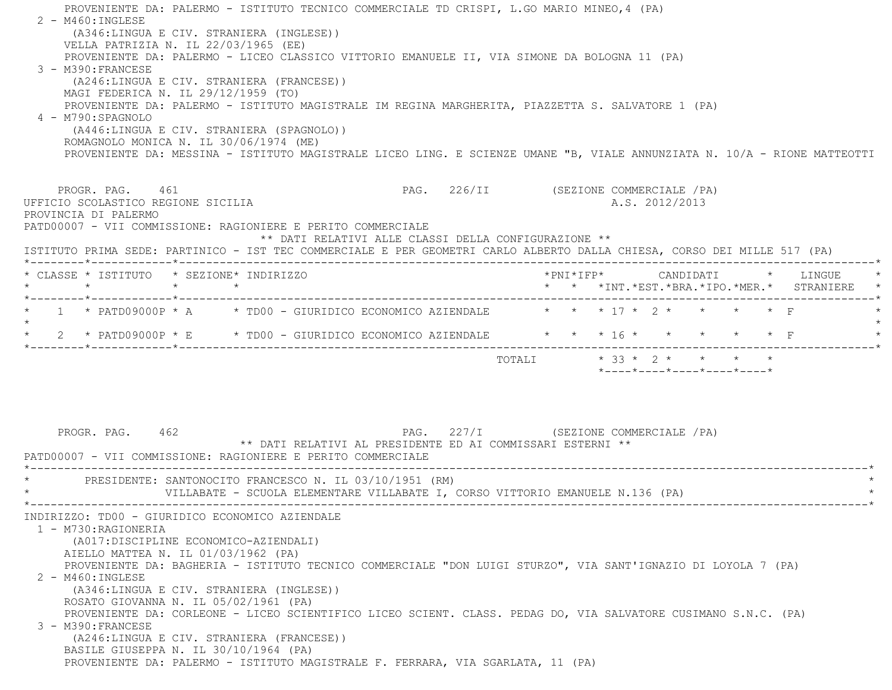PROVENIENTE DA: PALERMO - ISTITUTO TECNICO COMMERCIALE TD CRISPI, L.GO MARIO MINEO,4 (PA)  $2 - M460$ : INGLESE (A346:LINGUA E CIV. STRANIERA (INGLESE)) VELLA PATRIZIA N. IL 22/03/1965 (EE) PROVENIENTE DA: PALERMO - LICEO CLASSICO VITTORIO EMANUELE II, VIA SIMONE DA BOLOGNA 11 (PA) 3 - M390:FRANCESE (A246:LINGUA E CIV. STRANIERA (FRANCESE)) MAGI FEDERICA N. IL 29/12/1959 (TO) PROVENIENTE DA: PALERMO - ISTITUTO MAGISTRALE IM REGINA MARGHERITA, PIAZZETTA S. SALVATORE 1 (PA) 4 - M790:SPAGNOLO (A446:LINGUA E CIV. STRANIERA (SPAGNOLO)) ROMAGNOLO MONICA N. IL 30/06/1974 (ME) PROVENIENTE DA: MESSINA - ISTITUTO MAGISTRALE LICEO LING. E SCIENZE UMANE "B, VIALE ANNUNZIATA N. 10/A - RIONE MATTEOTTI PROGR. PAG. 461 PAG. 226/II (SEZIONE COMMERCIALE /PA) UFFICIO SCOLASTICO REGIONE SICILIA A.S. 2012/2013 PROVINCIA DI PALERMO PATD00007 - VII COMMISSIONE: RAGIONIERE E PERITO COMMERCIALE \*\* DATI RELATIVI ALLE CLASSI DELLA CONFIGURAZIONE \*\* ISTITUTO PRIMA SEDE: PARTINICO - IST TEC COMMERCIALE E PER GEOMETRI CARLO ALBERTO DALLA CHIESA, CORSO DEI MILLE 517 (PA) \*--------\*------------\*-------------------------------------------------------------------------------------------------------\* \* CLASSE \* ISTITUTO \* SEZIONE\* INDIRIZZO \*PNI\*IFP\* CANDIDATI \* LINGUE \* \* \* \* \* \* \* \*INT.\*EST.\*BRA.\*IPO.\*MER.\* STRANIERE \* \*--------\*------------\*-------------------------------------------------------------------------------------------------------\*\* 1 \* PATD09000P \* A  $\rightarrow$  TD00 - GIURIDICO ECONOMICO AZIENDALE  $\rightarrow$  \* \* \* 17 \* 2 \* \* \* \* \* F  $\star$ \* 2 \* PATD09000P \* E \* TD00 - GIURIDICO ECONOMICO AZIENDALE \* \* \* 16 \* \* \* \* \* \* F \*--------\*------------\*-------------------------------------------------------------------------------------------------------\* $\texttt{TOTAL} \qquad \qquad \star \quad 33 \; \star \; \; 2 \; \star \qquad \star \qquad \star \qquad \star \qquad \star$  \*----\*----\*----\*----\*----\*PROGR. PAG. 462 PAG. 227/I (SEZIONE COMMERCIALE /PA) \*\* DATI RELATIVI AL PRESIDENTE ED AI COMMISSARI ESTERNI \*\* PATD00007 - VII COMMISSIONE: RAGIONIERE E PERITO COMMERCIALE \*----------------------------------------------------------------------------------------------------------------------------\*PRESIDENTE: SANTONOCITO FRANCESCO N. IL 03/10/1951 (RM) VILLABATE - SCUOLA ELEMENTARE VILLABATE I, CORSO VITTORIO EMANUELE N.136 (PA) \*----------------------------------------------------------------------------------------------------------------------------\* INDIRIZZO: TD00 - GIURIDICO ECONOMICO AZIENDALE 1 - M730:RAGIONERIA (A017:DISCIPLINE ECONOMICO-AZIENDALI) AIELLO MATTEA N. IL 01/03/1962 (PA) PROVENIENTE DA: BAGHERIA - ISTITUTO TECNICO COMMERCIALE "DON LUIGI STURZO", VIA SANT'IGNAZIO DI LOYOLA 7 (PA) 2 - M460:INGLESE (A346:LINGUA E CIV. STRANIERA (INGLESE)) ROSATO GIOVANNA N. IL 05/02/1961 (PA) PROVENIENTE DA: CORLEONE - LICEO SCIENTIFICO LICEO SCIENT. CLASS. PEDAG DO, VIA SALVATORE CUSIMANO S.N.C. (PA) 3 - M390:FRANCESE (A246:LINGUA E CIV. STRANIERA (FRANCESE)) BASILE GIUSEPPA N. IL 30/10/1964 (PA) PROVENIENTE DA: PALERMO - ISTITUTO MAGISTRALE F. FERRARA, VIA SGARLATA, 11 (PA)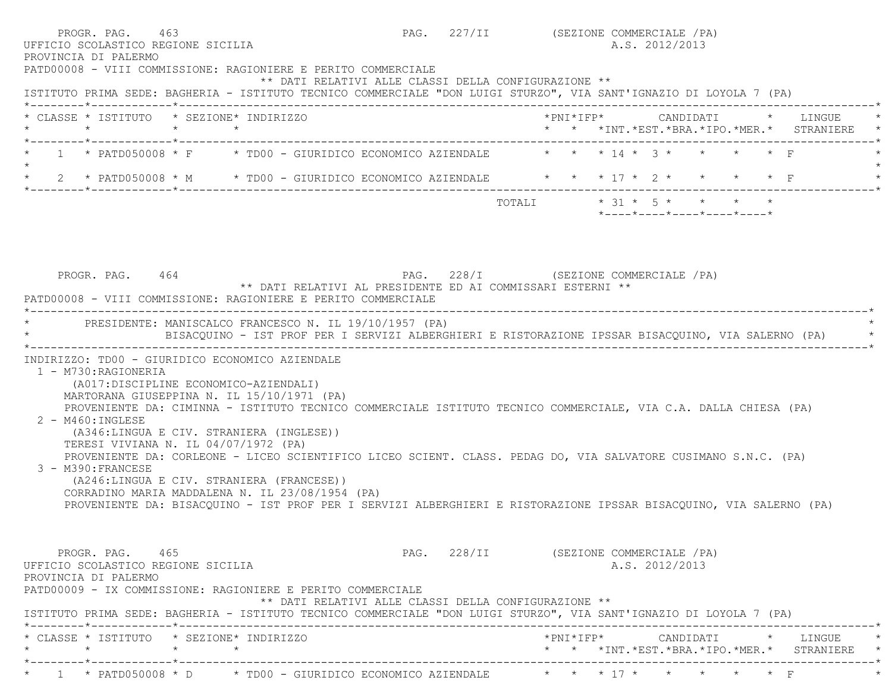|                                                                                                                                                                                                                                                                                                                                                                                                                                                                                                                                                                                                                                      | A.S. 2012/2013                                                                                     |
|--------------------------------------------------------------------------------------------------------------------------------------------------------------------------------------------------------------------------------------------------------------------------------------------------------------------------------------------------------------------------------------------------------------------------------------------------------------------------------------------------------------------------------------------------------------------------------------------------------------------------------------|----------------------------------------------------------------------------------------------------|
| PATD00008 - VIII COMMISSIONE: RAGIONIERE E PERITO COMMERCIALE<br>** DATI RELATIVI ALLE CLASSI DELLA CONFIGURAZIONE **<br>ISTITUTO PRIMA SEDE: BAGHERIA - ISTITUTO TECNICO COMMERCIALE "DON LUIGI STURZO", VIA SANT'IGNAZIO DI LOYOLA 7 (PA)                                                                                                                                                                                                                                                                                                                                                                                          |                                                                                                    |
| * CLASSE * ISTITUTO * SEZIONE* INDIRIZZO<br>$\star$<br>$\star$ $\star$<br>*--------*------------*--------------                                                                                                                                                                                                                                                                                                                                                                                                                                                                                                                      | *PNI*IFP*     CANDIDATI    *   LINGUE<br>* * *INT. *EST. *BRA. *IPO. *MER. * STRANIERE             |
| 1 * PATD050008 * F * TD00 - GIURIDICO ECONOMICO AZIENDALE * * * 14 * 3 * * * * * F<br>$\star$                                                                                                                                                                                                                                                                                                                                                                                                                                                                                                                                        |                                                                                                    |
| * 2 * PATD050008 * M * TD00 - GIURIDICO ECONOMICO AZIENDALE * * * 17 * 2 * * * * * F                                                                                                                                                                                                                                                                                                                                                                                                                                                                                                                                                 |                                                                                                    |
|                                                                                                                                                                                                                                                                                                                                                                                                                                                                                                                                                                                                                                      | TOTALI $* 31 * 5 * * * * * * *$<br>$*$ - - - - $*$ - - - - $*$ - - - - $*$ - - - - $*$ - - - - $*$ |
|                                                                                                                                                                                                                                                                                                                                                                                                                                                                                                                                                                                                                                      |                                                                                                    |
|                                                                                                                                                                                                                                                                                                                                                                                                                                                                                                                                                                                                                                      |                                                                                                    |
| PAG. 228/I (SEZIONE COMMERCIALE /PA)<br>PROGR. PAG. 464                                                                                                                                                                                                                                                                                                                                                                                                                                                                                                                                                                              |                                                                                                    |
| ** DATI RELATIVI AL PRESIDENTE ED AI COMMISSARI ESTERNI **                                                                                                                                                                                                                                                                                                                                                                                                                                                                                                                                                                           |                                                                                                    |
| PATD00008 - VIII COMMISSIONE: RAGIONIERE E PERITO COMMERCIALE                                                                                                                                                                                                                                                                                                                                                                                                                                                                                                                                                                        |                                                                                                    |
| * PRESIDENTE: MANISCALCO FRANCESCO N. IL 19/10/1957 (PA)<br>BISACQUINO - IST PROF PER I SERVIZI ALBERGHIERI E RISTORAZIONE IPSSAR BISACQUINO, VIA SALERNO (PA)                                                                                                                                                                                                                                                                                                                                                                                                                                                                       |                                                                                                    |
| 1 - M730: RAGIONERIA<br>(A017:DISCIPLINE ECONOMICO-AZIENDALI)                                                                                                                                                                                                                                                                                                                                                                                                                                                                                                                                                                        |                                                                                                    |
| MARTORANA GIUSEPPINA N. IL 15/10/1971 (PA)<br>PROVENIENTE DA: CIMINNA - ISTITUTO TECNICO COMMERCIALE ISTITUTO TECNICO COMMERCIALE, VIA C.A. DALLA CHIESA (PA)<br>2 - M460: INGLESE<br>(A346:LINGUA E CIV. STRANIERA (INGLESE))<br>TERESI VIVIANA N. IL 04/07/1972 (PA)<br>PROVENIENTE DA: CORLEONE - LICEO SCIENTIFICO LICEO SCIENT. CLASS. PEDAG DO, VIA SALVATORE CUSIMANO S.N.C. (PA)<br>3 - M390: FRANCESE<br>(A246:LINGUA E CIV. STRANIERA (FRANCESE))<br>CORRADINO MARIA MADDALENA N. IL 23/08/1954 (PA)<br>PROVENIENTE DA: BISACQUINO - IST PROF PER I SERVIZI ALBERGHIERI E RISTORAZIONE IPSSAR BISACQUINO, VIA SALERNO (PA) |                                                                                                    |
| PROGR. PAG. 465<br>** DATI RELATIVI ALLE CLASSI DELLA CONFIGURAZIONE **                                                                                                                                                                                                                                                                                                                                                                                                                                                                                                                                                              | PAG. 228/II (SEZIONE COMMERCIALE /PA)<br>A.S. 2012/2013                                            |
| UFFICIO SCOLASTICO REGIONE SICILIA<br>PROVINCIA DI PALERMO<br>PATD00009 - IX COMMISSIONE: RAGIONIERE E PERITO COMMERCIALE<br>ISTITUTO PRIMA SEDE: BAGHERIA - ISTITUTO TECNICO COMMERCIALE "DON LUIGI STURZO", VIA SANT'IGNAZIO DI LOYOLA 7 (PA)<br>* CLASSE * ISTITUTO * SEZIONE* INDIRIZZO                                                                                                                                                                                                                                                                                                                                          | *PNI*IFP*      CANDIDATI    *   LINGUE<br>* * *INT. *EST. *BRA. *IPO. *MER. * STRANIERE            |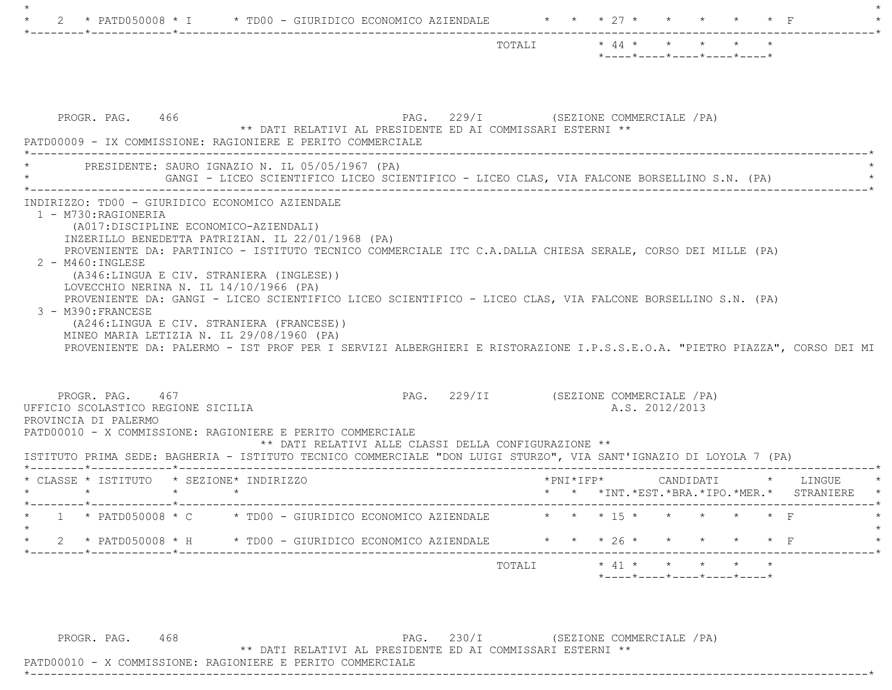|                                                                                                                                                                                                                                                                                                                                                                                                                                                                                   | $\star$ 44 $\star$ $\star$ $\star$ $\star$<br>TOTALI<br>$*$ ---- $*$ ---- $*$ ---- $*$ ---- $*$ ---- $*$ |
|-----------------------------------------------------------------------------------------------------------------------------------------------------------------------------------------------------------------------------------------------------------------------------------------------------------------------------------------------------------------------------------------------------------------------------------------------------------------------------------|----------------------------------------------------------------------------------------------------------|
| PROGR. PAG. 466<br>** DATI RELATIVI AL PRESIDENTE ED AI COMMISSARI ESTERNI **<br>PATD00009 - IX COMMISSIONE: RAGIONIERE E PERITO COMMERCIALE<br>_________________________________                                                                                                                                                                                                                                                                                                 | PAG. 229/I (SEZIONE COMMERCIALE /PA)                                                                     |
| PRESIDENTE: SAURO IGNAZIO N. IL 05/05/1967 (PA)<br>GANGI - LICEO SCIENTIFICO LICEO SCIENTIFICO - LICEO CLAS, VIA FALCONE BORSELLINO S.N. (PA)                                                                                                                                                                                                                                                                                                                                     |                                                                                                          |
| 1 - M730:RAGIONERIA<br>(A017:DISCIPLINE ECONOMICO-AZIENDALI)<br>INZERILLO BENEDETTA PATRIZIAN. IL 22/01/1968 (PA)<br>PROVENIENTE DA: PARTINICO - ISTITUTO TECNICO COMMERCIALE ITC C.A.DALLA CHIESA SERALE, CORSO DEI MILLE (PA)<br>$2 - M460$ : INGLESE<br>(A346:LINGUA E CIV. STRANIERA (INGLESE))<br>LOVECCHIO NERINA N. IL 14/10/1966 (PA)<br>PROVENIENTE DA: GANGI - LICEO SCIENTIFICO LICEO SCIENTIFICO - LICEO CLAS, VIA FALCONE BORSELLINO S.N. (PA)<br>3 - M390: FRANCESE |                                                                                                          |
| (A246:LINGUA E CIV. STRANIERA (FRANCESE))<br>MINEO MARIA LETIZIA N. IL 29/08/1960 (PA)<br>PROVENIENTE DA: PALERMO - IST PROF PER I SERVIZI ALBERGHIERI E RISTORAZIONE I.P.S.S.E.O.A. "PIETRO PIAZZA", CORSO DEI MI<br>PROGR. PAG. 467<br>UFFICIO SCOLASTICO REGIONE SICILIA                                                                                                                                                                                                       | PAG. 229/II (SEZIONE COMMERCIALE /PA)<br>A.S. 2012/2013                                                  |
| PROVINCIA DI PALERMO<br>PATD00010 - X COMMISSIONE: RAGIONIERE E PERITO COMMERCIALE<br>** DATI RELATIVI ALLE CLASSI DELLA CONFIGURAZIONE **<br>ISTITUTO PRIMA SEDE: BAGHERIA - ISTITUTO TECNICO COMMERCIALE "DON LUIGI STURZO", VIA SANT'IGNAZIO DI LOYOLA 7 (PA)                                                                                                                                                                                                                  |                                                                                                          |
| * CLASSE * ISTITUTO * SEZIONE* INDIRIZZO<br>$\star$ $\star$<br>$\star$                                                                                                                                                                                                                                                                                                                                                                                                            | $*$ PNI $*$ IFP $*$<br>CANDIDATI * LINGUE<br>* * *INT. *EST. *BRA. *IPO. *MER. * STRANIERE               |
| 1 * PATD050008 * C * TD00 - GIURIDICO ECONOMICO AZIENDALE                                                                                                                                                                                                                                                                                                                                                                                                                         | * * * 15 * * * * * * F                                                                                   |
| 2 * PATD050008 * H * TD00 - GIURIDICO ECONOMICO AZIENDALE * * * 26 * * * * * * * F<br>$\star$                                                                                                                                                                                                                                                                                                                                                                                     |                                                                                                          |

PROGR. PAG. 468 PAG. 230/I (SEZIONE COMMERCIALE / PA) \*\* DATI RELATIVI AL PRESIDENTE ED AI COMMISSARI ESTERNI \*\*

\*----------------------------------------------------------------------------------------------------------------------------\*

PATD00010 - X COMMISSIONE: RAGIONIERE E PERITO COMMERCIALE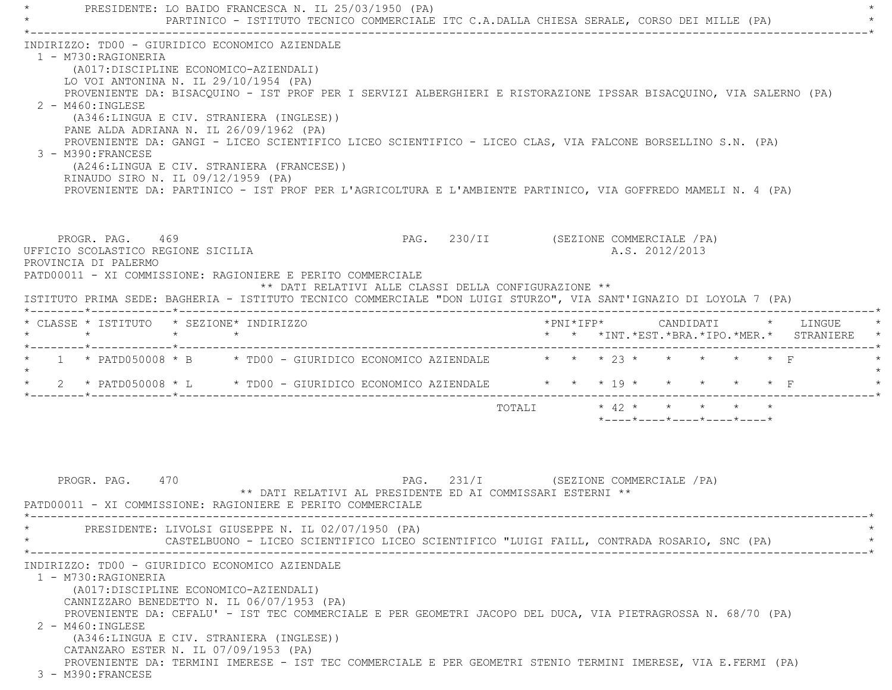PRESIDENTE: LO BAIDO FRANCESCA N. IL 25/03/1950 (PA) PARTINICO - ISTITUTO TECNICO COMMERCIALE ITC C.A.DALLA CHIESA SERALE, CORSO DEI MILLE (PA) \*----------------------------------------------------------------------------------------------------------------------------\* INDIRIZZO: TD00 - GIURIDICO ECONOMICO AZIENDALE 1 - M730:RAGIONERIA (A017:DISCIPLINE ECONOMICO-AZIENDALI) LO VOI ANTONINA N. IL 29/10/1954 (PA) PROVENIENTE DA: BISACQUINO - IST PROF PER I SERVIZI ALBERGHIERI E RISTORAZIONE IPSSAR BISACQUINO, VIA SALERNO (PA) 2 - M460:INGLESE (A346:LINGUA E CIV. STRANIERA (INGLESE)) PANE ALDA ADRIANA N. IL 26/09/1962 (PA) PROVENIENTE DA: GANGI - LICEO SCIENTIFICO LICEO SCIENTIFICO - LICEO CLAS, VIA FALCONE BORSELLINO S.N. (PA) 3 - M390:FRANCESE (A246:LINGUA E CIV. STRANIERA (FRANCESE)) RINAUDO SIRO N. IL 09/12/1959 (PA) PROVENIENTE DA: PARTINICO - IST PROF PER L'AGRICOLTURA E L'AMBIENTE PARTINICO, VIA GOFFREDO MAMELI N. 4 (PA) PROGR. PAG. 469 PAG. 230/II (SEZIONE COMMERCIALE / PA) UFFICIO SCOLASTICO REGIONE SICILIA A.S. 2012/2013 PROVINCIA DI PALERMOPATD00011 - XI COMMISSIONE: RAGIONIERE E PERITO COMMERCIALE \*\* DATI RELATIVI ALLE CLASSI DELLA CONFIGURAZIONE \*\* ISTITUTO PRIMA SEDE: BAGHERIA - ISTITUTO TECNICO COMMERCIALE "DON LUIGI STURZO", VIA SANT'IGNAZIO DI LOYOLA 7 (PA) \*--------\*------------\*-------------------------------------------------------------------------------------------------------\* \* CLASSE \* ISTITUTO \* SEZIONE\* INDIRIZZO \*PNI\*IFP\* CANDIDATI \* LINGUE \* \* \* \* \* \* \* \*INT.\*EST.\*BRA.\*IPO.\*MER.\* STRANIERE \* \*--------\*------------\*-------------------------------------------------------------------------------------------------------\*1 \* PATD050008 \* B \* TD00 - GIURIDICO ECONOMICO AZIENDALE  $\qquad$  \* \* \* 23 \* \* \* \* \* \* F  $\star$ \* 2 \* PATD050008 \* L \* TD00 - GIURIDICO ECONOMICO AZIENDALE \* \* \* 19 \* \* \* \* \* \* F \*--------\*------------\*-------------------------------------------------------------------------------------------------------\* TOTALI \* 42 \* \* \* \* \*\*----\*----\*----\*----\*----\*

PROGR. PAG. 470 PAG. 231/I (SEZIONE COMMERCIALE /PA) \*\* DATI RELATIVI AL PRESIDENTE ED AI COMMISSARI ESTERNI \*\* PATD00011 - XI COMMISSIONE: RAGIONIERE E PERITO COMMERCIALE \*----------------------------------------------------------------------------------------------------------------------------\*PRESIDENTE: LIVOLSI GIUSEPPE N. IL 02/07/1950 (PA) CASTELBUONO - LICEO SCIENTIFICO LICEO SCIENTIFICO "LUIGI FAILL, CONTRADA ROSARIO, SNC (PA) \*----------------------------------------------------------------------------------------------------------------------------\* INDIRIZZO: TD00 - GIURIDICO ECONOMICO AZIENDALE 1 - M730:RAGIONERIA (A017:DISCIPLINE ECONOMICO-AZIENDALI) CANNIZZARO BENEDETTO N. IL 06/07/1953 (PA) PROVENIENTE DA: CEFALU' - IST TEC COMMERCIALE E PER GEOMETRI JACOPO DEL DUCA, VIA PIETRAGROSSA N. 68/70 (PA) 2 - M460:INGLESE (A346:LINGUA E CIV. STRANIERA (INGLESE)) CATANZARO ESTER N. IL 07/09/1953 (PA) PROVENIENTE DA: TERMINI IMERESE - IST TEC COMMERCIALE E PER GEOMETRI STENIO TERMINI IMERESE, VIA E.FERMI (PA) 3 - M390:FRANCESE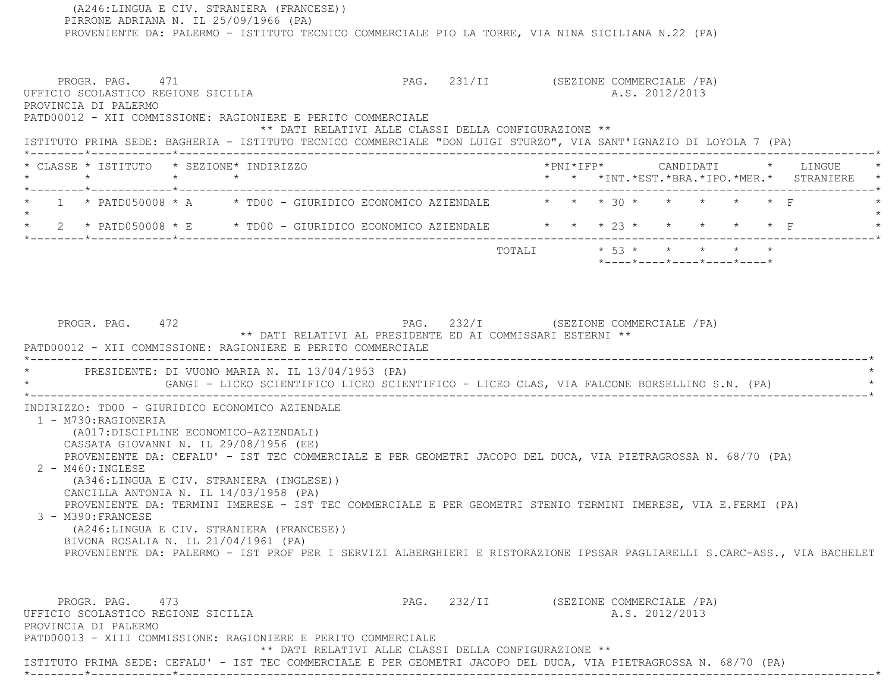(A246:LINGUA E CIV. STRANIERA (FRANCESE)) PIRRONE ADRIANA N. IL 25/09/1966 (PA) PROVENIENTE DA: PALERMO - ISTITUTO TECNICO COMMERCIALE PIO LA TORRE, VIA NINA SICILIANA N.22 (PA) PROGR. PAG. 471 CHARGE 1988. PAG. 231/II (SEZIONE COMMERCIALE / PA) UFFICIO SCOLASTICO REGIONE SICILIA and a series of the series of the series of the series of the series of the series of the series of the series of the series of the series of the series of the series of the series of the PROVINCIA DI PALERMO PATD00012 - XII COMMISSIONE: RAGIONIERE E PERITO COMMERCIALE \*\* DATI RELATIVI ALLE CLASSI DELLA CONFIGURAZIONE \*\* ISTITUTO PRIMA SEDE: BAGHERIA - ISTITUTO TECNICO COMMERCIALE "DON LUIGI STURZO", VIA SANT'IGNAZIO DI LOYOLA 7 (PA) \*--------\*------------\*-------------------------------------------------------------------------------------------------------\* \* CLASSE \* ISTITUTO \* SEZIONE\* INDIRIZZO \*PNI\*IFP\* CANDIDATI \* LINGUE \* \* \* \* \* \* \* \*INT.\*EST.\*BRA.\*IPO.\*MER.\* STRANIERE \* \*--------\*------------\*-------------------------------------------------------------------------------------------------------\*1 \* PATD050008 \* A \* TD00 - GIURIDICO ECONOMICO AZIENDALE \* \* \* \* 30 \* \* \* \* \* \* F  $\star$  \* 2 \* PATD050008 \* E \* TD00 - GIURIDICO ECONOMICO AZIENDALE \* \* \* 23 \* \* \* \* \* F \* \*--------\*------------\*-------------------------------------------------------------------------------------------------------\* $\texttt{TOTALI} \qquad \qquad \star \quad \texttt{53}\; \star \qquad \star \qquad \star \qquad \star \qquad \star \qquad \star \qquad \star$  \*----\*----\*----\*----\*----\*PROGR. PAG. 472 **PAG.** 232/I (SEZIONE COMMERCIALE /PA) \*\* DATI RELATIVI AL PRESIDENTE ED AI COMMISSARI ESTERNI \*\* PATD00012 - XII COMMISSIONE: RAGIONIERE E PERITO COMMERCIALE \*----------------------------------------------------------------------------------------------------------------------------\* \* PRESIDENTE: DI VUONO MARIA N. IL 13/04/1953 (PA) \* \* GANGI - LICEO SCIENTIFICO LICEO SCIENTIFICO - LICEO CLAS, VIA FALCONE BORSELLINO S.N. (PA) \* \*----------------------------------------------------------------------------------------------------------------------------\* INDIRIZZO: TD00 - GIURIDICO ECONOMICO AZIENDALE 1 - M730:RAGIONERIA (A017:DISCIPLINE ECONOMICO-AZIENDALI) CASSATA GIOVANNI N. IL 29/08/1956 (EE) PROVENIENTE DA: CEFALU' - IST TEC COMMERCIALE E PER GEOMETRI JACOPO DEL DUCA, VIA PIETRAGROSSA N. 68/70 (PA) 2 - M460:INGLESE (A346:LINGUA E CIV. STRANIERA (INGLESE)) CANCILLA ANTONIA N. IL 14/03/1958 (PA) PROVENIENTE DA: TERMINI IMERESE - IST TEC COMMERCIALE E PER GEOMETRI STENIO TERMINI IMERESE, VIA E.FERMI (PA) 3 - M390:FRANCESE (A246:LINGUA E CIV. STRANIERA (FRANCESE)) BIVONA ROSALIA N. IL 21/04/1961 (PA) PROVENIENTE DA: PALERMO - IST PROF PER I SERVIZI ALBERGHIERI E RISTORAZIONE IPSSAR PAGLIARELLI S.CARC-ASS., VIA BACHELET PROGR. PAG. 473 CHARGE 473 PAG. 232/II (SEZIONE COMMERCIALE / PA) UFFICIO SCOLASTICO REGIONE SICILIA A.S. 2012/2013 PROVINCIA DI PALERMO PATD00013 - XIII COMMISSIONE: RAGIONIERE E PERITO COMMERCIALE \*\* DATI RELATIVI ALLE CLASSI DELLA CONFIGURAZIONE \*\* ISTITUTO PRIMA SEDE: CEFALU' - IST TEC COMMERCIALE E PER GEOMETRI JACOPO DEL DUCA, VIA PIETRAGROSSA N. 68/70 (PA) \*--------\*------------\*-------------------------------------------------------------------------------------------------------\*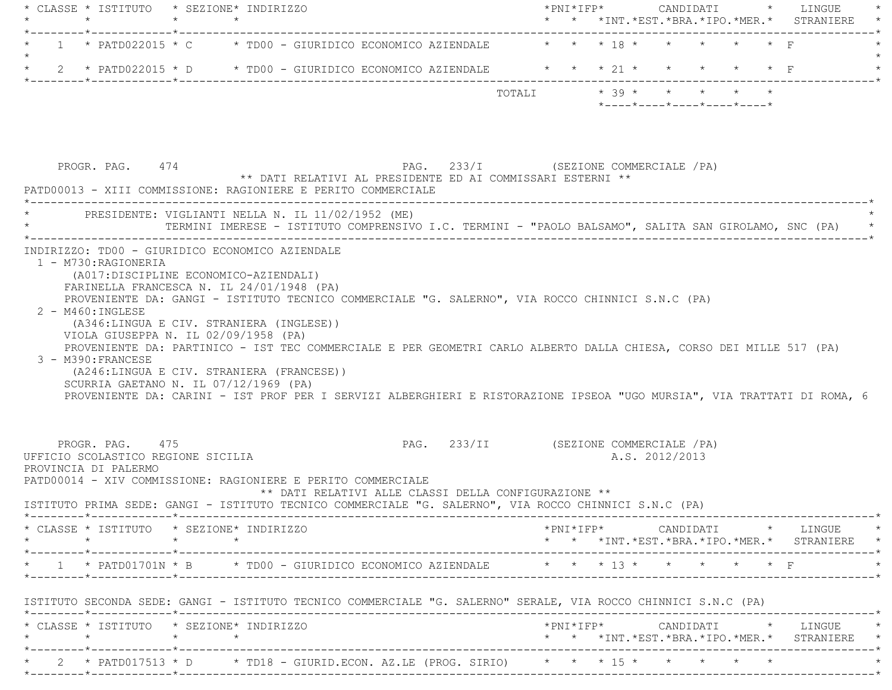| * CLASSE * ISTITUTO * SEZIONE* INDIRIZZO | $\star$                                                                       | $\star$ | $\star$                                                                                                                                                                                                                                                                                                                                                                                                                    |                                                      |                                        |                         |  |                |                                                  |  | *PNI*IFP* CANDIDATI * LINGUE<br>* * *INT. *EST. *BRA. *IPO. *MER. * STRANIERE                                                                                    |
|------------------------------------------|-------------------------------------------------------------------------------|---------|----------------------------------------------------------------------------------------------------------------------------------------------------------------------------------------------------------------------------------------------------------------------------------------------------------------------------------------------------------------------------------------------------------------------------|------------------------------------------------------|----------------------------------------|-------------------------|--|----------------|--------------------------------------------------|--|------------------------------------------------------------------------------------------------------------------------------------------------------------------|
|                                          |                                                                               |         | 1 * PATD022015 * C * TD00 - GIURIDICO ECONOMICO AZIENDALE * * * * 18 * * * * * * * F                                                                                                                                                                                                                                                                                                                                       |                                                      |                                        |                         |  |                |                                                  |  |                                                                                                                                                                  |
|                                          |                                                                               |         | 2 * PATD022015 * D * TD00 - GIURIDICO ECONOMICO AZIENDALE * * * 21 * * * * * * F                                                                                                                                                                                                                                                                                                                                           |                                                      |                                        |                         |  |                |                                                  |  |                                                                                                                                                                  |
|                                          |                                                                               |         |                                                                                                                                                                                                                                                                                                                                                                                                                            |                                                      |                                        | TOTALI * 39 * * * * * * |  |                | $*$ ---- $*$ ---- $*$ ---- $*$ ---- $*$ ---- $*$ |  |                                                                                                                                                                  |
|                                          | PROGR. PAG. 474                                                               |         | ** DATI RELATIVI AL PRESIDENTE ED AI COMMISSARI ESTERNI **<br>PATD00013 - XIII COMMISSIONE: RAGIONIERE E PERITO COMMERCIALE                                                                                                                                                                                                                                                                                                | PAG. 233/I (SEZIONE COMMERCIALE /PA)                 |                                        |                         |  |                |                                                  |  |                                                                                                                                                                  |
|                                          |                                                                               |         | _______________________________<br>PRESIDENTE: VIGLIANTI NELLA N. IL 11/02/1952 (ME)<br>TERMINI IMERESE - ISTITUTO COMPRENSIVO I.C. TERMINI - "PAOLO BALSAMO", SALITA SAN GIROLAMO, SNC (PA) *                                                                                                                                                                                                                             |                                                      |                                        |                         |  |                |                                                  |  |                                                                                                                                                                  |
|                                          |                                                                               |         | PROVENIENTE DA: GANGI - ISTITUTO TECNICO COMMERCIALE "G. SALERNO", VIA ROCCO CHINNICI S.N.C (PA)                                                                                                                                                                                                                                                                                                                           |                                                      |                                        |                         |  |                |                                                  |  |                                                                                                                                                                  |
|                                          | $2 - M460 : INGLESE$<br>3 - M390: FRANCESE                                    |         | (A346:LINGUA E CIV. STRANIERA (INGLESE))<br>VIOLA GIUSEPPA N. IL 02/09/1958 (PA)<br>PROVENIENTE DA: PARTINICO - IST TEC COMMERCIALE E PER GEOMETRI CARLO ALBERTO DALLA CHIESA, CORSO DEI MILLE 517 (PA)<br>(A246:LINGUA E CIV. STRANIERA (FRANCESE))<br>SCURRIA GAETANO N. IL $07/12/1969$ (PA)<br>PROVENIENTE DA: CARINI - IST PROF PER I SERVIZI ALBERGHIERI E RISTORAZIONE IPSEOA "UGO MURSIA", VIA TRATTATI DI ROMA, 6 |                                                      |                                        |                         |  |                |                                                  |  |                                                                                                                                                                  |
|                                          | PROGR. PAG. 475<br>UFFICIO SCOLASTICO REGIONE SICILIA<br>PROVINCIA DI PALERMO |         | PATD00014 - XIV COMMISSIONE: RAGIONIERE E PERITO COMMERCIALE<br>ISTITUTO PRIMA SEDE: GANGI - ISTITUTO TECNICO COMMERCIALE "G. SALERNO", VIA ROCCO CHINNICI S.N.C (PA)                                                                                                                                                                                                                                                      | ** DATI RELATIVI ALLE CLASSI DELLA CONFIGURAZIONE ** | PAG. 233/II (SEZIONE COMMERCIALE / PA) |                         |  | A.S. 2012/2013 |                                                  |  |                                                                                                                                                                  |
|                                          |                                                                               |         | * CLASSE * ISTITUTO * SEZIONE* INDIRIZZO                                                                                                                                                                                                                                                                                                                                                                                   |                                                      |                                        |                         |  |                |                                                  |  | $\text{\tt *PNI*IFP*} \qquad \qquad \text{CANDIDATI} \qquad \text{\tt *} \qquad \text{LINGUE} \qquad \text{\tt *}$<br>* * *INT.*EST.*BRA.*IPO.*MER.* STRANIERE * |
|                                          |                                                                               |         | * 1 * PATD01701N * B * TD00 - GIURIDICO ECONOMICO AZIENDALE * * * * 13 * * * * * * * F                                                                                                                                                                                                                                                                                                                                     |                                                      |                                        |                         |  |                |                                                  |  |                                                                                                                                                                  |
|                                          |                                                                               |         | ISTITUTO SECONDA SEDE: GANGI - ISTITUTO TECNICO COMMERCIALE "G. SALERNO" SERALE, VIA ROCCO CHINNICI S.N.C (PA)                                                                                                                                                                                                                                                                                                             |                                                      |                                        |                         |  |                |                                                  |  |                                                                                                                                                                  |
|                                          | $\star \qquad \qquad \star \qquad \qquad \star \qquad \qquad \star$           |         | * CLASSE * ISTITUTO * SEZIONE* INDIRIZZO                                                                                                                                                                                                                                                                                                                                                                                   |                                                      |                                        |                         |  |                |                                                  |  | *PNI*IFP* CANDIDATI * LINGUE *<br>* * *INT.*EST.*BRA.*IPO.*MER.* STRANIERE *                                                                                     |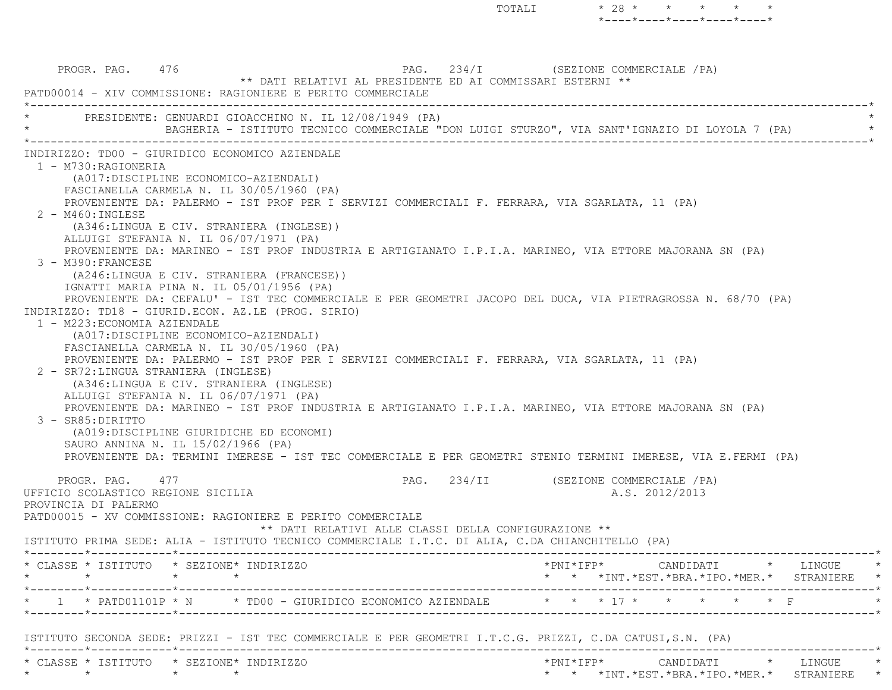\*----\*----\*----\*----\*----\*PROGR. PAG. 476 PAG. 234/I (SEZIONE COMMERCIALE /PA) \*\* DATI RELATIVI AL PRESIDENTE ED AI COMMISSARI ESTERNI \*\* PATD00014 - XIV COMMISSIONE: RAGIONIERE E PERITO COMMERCIALE \*----------------------------------------------------------------------------------------------------------------------------\*PRESIDENTE: GENUARDI GIOACCHINO N. IL 12/08/1949 (PA) \* BAGHERIA - ISTITUTO TECNICO COMMERCIALE "DON LUIGI STURZO", VIA SANT'IGNAZIO DI LOYOLA 7 (PA) \* \*----------------------------------------------------------------------------------------------------------------------------\* INDIRIZZO: TD00 - GIURIDICO ECONOMICO AZIENDALE 1 - M730:RAGIONERIA (A017:DISCIPLINE ECONOMICO-AZIENDALI) FASCIANELLA CARMELA N. IL 30/05/1960 (PA) PROVENIENTE DA: PALERMO - IST PROF PER I SERVIZI COMMERCIALI F. FERRARA, VIA SGARLATA, 11 (PA) 2 - M460:INGLESE (A346:LINGUA E CIV. STRANIERA (INGLESE)) ALLUIGI STEFANIA N. IL 06/07/1971 (PA) PROVENIENTE DA: MARINEO - IST PROF INDUSTRIA E ARTIGIANATO I.P.I.A. MARINEO, VIA ETTORE MAJORANA SN (PA) 3 - M390:FRANCESE (A246:LINGUA E CIV. STRANIERA (FRANCESE)) IGNATTI MARIA PINA N. IL 05/01/1956 (PA) PROVENIENTE DA: CEFALU' - IST TEC COMMERCIALE E PER GEOMETRI JACOPO DEL DUCA, VIA PIETRAGROSSA N. 68/70 (PA) INDIRIZZO: TD18 - GIURID.ECON. AZ.LE (PROG. SIRIO) 1 - M223:ECONOMIA AZIENDALE (A017:DISCIPLINE ECONOMICO-AZIENDALI) FASCIANELLA CARMELA N. IL 30/05/1960 (PA) PROVENIENTE DA: PALERMO - IST PROF PER I SERVIZI COMMERCIALI F. FERRARA, VIA SGARLATA, 11 (PA) 2 - SR72:LINGUA STRANIERA (INGLESE) (A346:LINGUA E CIV. STRANIERA (INGLESE) ALLUIGI STEFANIA N. IL 06/07/1971 (PA) PROVENIENTE DA: MARINEO - IST PROF INDUSTRIA E ARTIGIANATO I.P.I.A. MARINEO, VIA ETTORE MAJORANA SN (PA) 3 - SR85:DIRITTO (A019:DISCIPLINE GIURIDICHE ED ECONOMI) SAURO ANNINA N. IL 15/02/1966 (PA) PROVENIENTE DA: TERMINI IMERESE - IST TEC COMMERCIALE E PER GEOMETRI STENIO TERMINI IMERESE, VIA E.FERMI (PA) PROGR. PAG. 477 **PROGRAMERCIALE** / PAG. 234/II (SEZIONE COMMERCIALE / PA) UFFICIO SCOLASTICO REGIONE SICILIA A.S. 2012/2013 PROVINCIA DI PALERMO PATD00015 - XV COMMISSIONE: RAGIONIERE E PERITO COMMERCIALE \*\* DATI RELATIVI ALLE CLASSI DELLA CONFIGURAZIONE \*\* ISTITUTO PRIMA SEDE: ALIA - ISTITUTO TECNICO COMMERCIALE I.T.C. DI ALIA, C.DA CHIANCHITELLO (PA) \*--------\*------------\*-------------------------------------------------------------------------------------------------------\* \* CLASSE \* ISTITUTO \* SEZIONE\* INDIRIZZO \*PNI\*IFP\* CANDIDATI \* LINGUE \* \* \* \* \* \* \* \*INT.\*EST.\*BRA.\*IPO.\*MER.\* STRANIERE \* \*--------\*------------\*-------------------------------------------------------------------------------------------------------\*1 \* PATD01101P \* N \* TD00 - GIURIDICO ECONOMICO AZIENDALE \* \* \* 17 \* \* \* \* \* \* F \*--------\*------------\*-------------------------------------------------------------------------------------------------------\* ISTITUTO SECONDA SEDE: PRIZZI - IST TEC COMMERCIALE E PER GEOMETRI I.T.C.G. PRIZZI, C.DA CATUSI,S.N. (PA) \*--------\*------------\*-------------------------------------------------------------------------------------------------------\* \* CLASSE \* ISTITUTO \* SEZIONE\* INDIRIZZO \*PNI\*IFP\* CANDIDATI \* LINGUE \*\* \* \* \* \* \* \*INT.\*EST.\*BRA.\*IPO.\*MER.\* STRANIERE \*

TOTALI  $* 28 * * * * * * * *$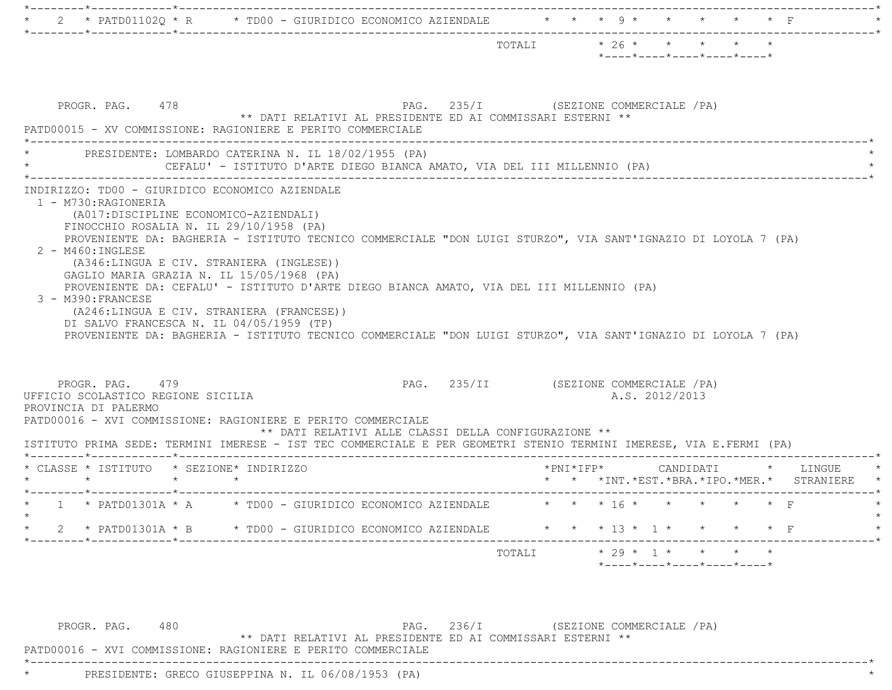|                                                                                                                                                                                                                                                                                                                                                                                                                                                                                                                                                                                                                                                                                                                          | $\star$ 26 $\star$ $\star$ $\star$ $\star$<br>TOTALI<br>$*$ ---- $*$ ---- $*$ ---- $*$ ---- $*$ |
|--------------------------------------------------------------------------------------------------------------------------------------------------------------------------------------------------------------------------------------------------------------------------------------------------------------------------------------------------------------------------------------------------------------------------------------------------------------------------------------------------------------------------------------------------------------------------------------------------------------------------------------------------------------------------------------------------------------------------|-------------------------------------------------------------------------------------------------|
| PROGR. PAG. 478<br>** DATI RELATIVI AL PRESIDENTE ED AI COMMISSARI ESTERNI **<br>PATD00015 - XV COMMISSIONE: RAGIONIERE E PERITO COMMERCIALE                                                                                                                                                                                                                                                                                                                                                                                                                                                                                                                                                                             | PAG. 235/I (SEZIONE COMMERCIALE /PA)                                                            |
| PRESIDENTE: LOMBARDO CATERINA N. IL 18/02/1955 (PA)<br>CEFALU' - ISTITUTO D'ARTE DIEGO BIANCA AMATO, VIA DEL III MILLENNIO (PA)                                                                                                                                                                                                                                                                                                                                                                                                                                                                                                                                                                                          |                                                                                                 |
| INDIRIZZO: TD00 - GIURIDICO ECONOMICO AZIENDALE<br>1 - M730:RAGIONERIA<br>(A017:DISCIPLINE ECONOMICO-AZIENDALI)<br>FINOCCHIO ROSALIA N. IL 29/10/1958 (PA)<br>PROVENIENTE DA: BAGHERIA - ISTITUTO TECNICO COMMERCIALE "DON LUIGI STURZO", VIA SANT'IGNAZIO DI LOYOLA 7 (PA)<br>$2 - M460$ : INGLESE<br>(A346:LINGUA E CIV. STRANIERA (INGLESE))<br>GAGLIO MARIA GRAZIA N. IL 15/05/1968 (PA)<br>PROVENIENTE DA: CEFALU' - ISTITUTO D'ARTE DIEGO BIANCA AMATO, VIA DEL III MILLENNIO (PA)<br>3 - M390: FRANCESE<br>(A246:LINGUA E CIV. STRANIERA (FRANCESE))<br>DI SALVO FRANCESCA N. IL 04/05/1959 (TP)<br>PROVENIENTE DA: BAGHERIA - ISTITUTO TECNICO COMMERCIALE "DON LUIGI STURZO", VIA SANT'IGNAZIO DI LOYOLA 7 (PA) |                                                                                                 |
| PROGR. PAG. 479<br>UFFICIO SCOLASTICO REGIONE SICILIA<br>PROVINCIA DI PALERMO                                                                                                                                                                                                                                                                                                                                                                                                                                                                                                                                                                                                                                            | PAG. 235/II (SEZIONE COMMERCIALE /PA)<br>A.S. 2012/2013                                         |
| PATD00016 - XVI COMMISSIONE: RAGIONIERE E PERITO COMMERCIALE<br>** DATI RELATIVI ALLE CLASSI DELLA CONFIGURAZIONE **<br>ISTITUTO PRIMA SEDE: TERMINI IMERESE - IST TEC COMMERCIALE E PER GEOMETRI STENIO TERMINI IMERESE, VIA E.FERMI (PA)                                                                                                                                                                                                                                                                                                                                                                                                                                                                               |                                                                                                 |
| * CLASSE * ISTITUTO * SEZIONE* INDIRIZZO<br>$\star$ $\star$<br>$\star$ $\star$                                                                                                                                                                                                                                                                                                                                                                                                                                                                                                                                                                                                                                           | *PNI*IFP*<br>CANDIDATI * LINGUE<br>* * *INT. *EST. *BRA. *IPO. *MER. * STRANIERE                |
| * 1 * PATD01301A * A * TD00 - GIURIDICO ECONOMICO AZIENDALE * * * 16 * * * * * * * F                                                                                                                                                                                                                                                                                                                                                                                                                                                                                                                                                                                                                                     |                                                                                                 |
| 2 * PATD01301A * B * TD00 - GIURIDICO ECONOMICO AZIENDALE * * * 13 * 1 * * * * * F                                                                                                                                                                                                                                                                                                                                                                                                                                                                                                                                                                                                                                       |                                                                                                 |
|                                                                                                                                                                                                                                                                                                                                                                                                                                                                                                                                                                                                                                                                                                                          | TOTALI * 29 * 1 * * * *<br>$*$ ---- $*$ ---- $*$ ---- $*$ ---- $*$                              |

PROGR. PAG. 480 PAG. 236/I (SEZIONE COMMERCIALE /PA)

\*\* DATI RELATIVI AL PRESIDENTE ED AI COMMISSARI ESTERNI \*\*

\*----------------------------------------------------------------------------------------------------------------------------\*

PATD00016 - XVI COMMISSIONE: RAGIONIERE E PERITO COMMERCIALE

\* PRESIDENTE: GRECO GIUSEPPINA N. IL 06/08/1953 (PA) \*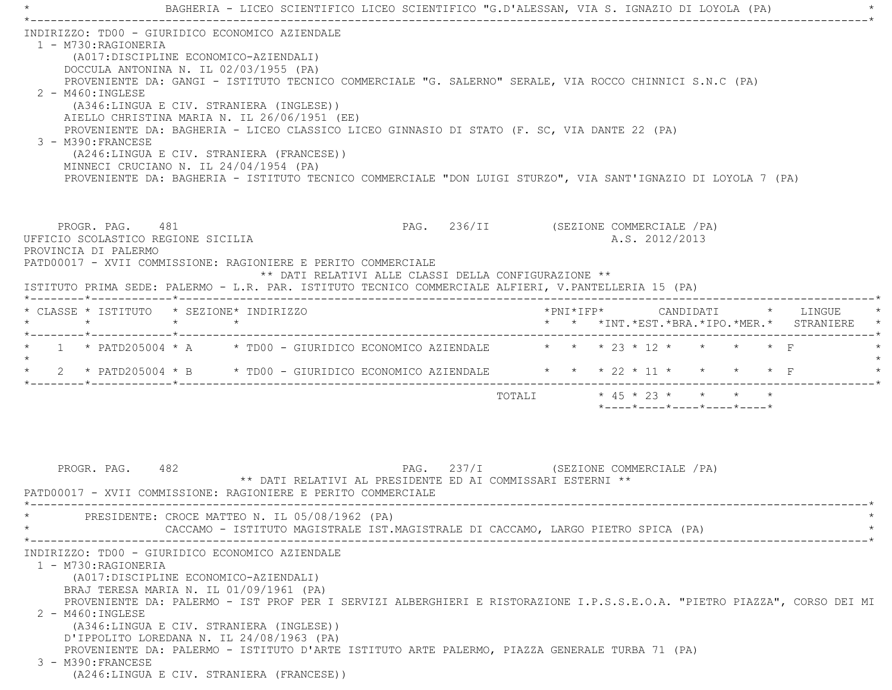\* BAGHERIA - LICEO SCIENTIFICO LICEO SCIENTIFICO "G.D'ALESSAN, VIA S. IGNAZIO DI LOYOLA (PA) \* \*----------------------------------------------------------------------------------------------------------------------------\* INDIRIZZO: TD00 - GIURIDICO ECONOMICO AZIENDALE 1 - M730:RAGIONERIA (A017:DISCIPLINE ECONOMICO-AZIENDALI) DOCCULA ANTONINA N. IL 02/03/1955 (PA) PROVENIENTE DA: GANGI - ISTITUTO TECNICO COMMERCIALE "G. SALERNO" SERALE, VIA ROCCO CHINNICI S.N.C (PA) 2 - M460:INGLESE (A346:LINGUA E CIV. STRANIERA (INGLESE)) AIELLO CHRISTINA MARIA N. IL 26/06/1951 (EE) PROVENIENTE DA: BAGHERIA - LICEO CLASSICO LICEO GINNASIO DI STATO (F. SC, VIA DANTE 22 (PA) 3 - M390:FRANCESE (A246:LINGUA E CIV. STRANIERA (FRANCESE)) MINNECI CRUCIANO N. IL 24/04/1954 (PA) PROVENIENTE DA: BAGHERIA - ISTITUTO TECNICO COMMERCIALE "DON LUIGI STURZO", VIA SANT'IGNAZIO DI LOYOLA 7 (PA) PROGR. PAG. 481 COMMERCIALE (PAG. 236/II (SEZIONE COMMERCIALE / PA) UFFICIO SCOLASTICO REGIONE SICILIA A.S. 2012/2013 PROVINCIA DI PALERMO PATD00017 - XVII COMMISSIONE: RAGIONIERE E PERITO COMMERCIALE \*\* DATI RELATIVI ALLE CLASSI DELLA CONFIGURAZIONE \*\* ISTITUTO PRIMA SEDE: PALERMO - L.R. PAR. ISTITUTO TECNICO COMMERCIALE ALFIERI, V.PANTELLERIA 15 (PA) \*--------\*------------\*-------------------------------------------------------------------------------------------------------\* \* CLASSE \* ISTITUTO \* SEZIONE\* INDIRIZZO \*PNI\*IFP\* CANDIDATI \* LINGUE \* \* \* \* \* \* \* \*INT.\*EST.\*BRA.\*IPO.\*MER.\* STRANIERE \* \*--------\*------------\*-------------------------------------------------------------------------------------------------------\*1 \* PATD205004 \* A  $\qquad$  \* TD00 - GIURIDICO ECONOMICO AZIENDALE  $\qquad$  \* \* \* 23 \* 12 \* \* \* \* \* F  $\star$ \* 2 \* PATD205004 \* B \* TD00 - GIURIDICO ECONOMICO AZIENDALE \* \* \* \* 22 \* 11 \* \* \* \* \* F \*--------\*------------\*-------------------------------------------------------------------------------------------------------\* TOTALI \* 45 \* 23 \* \* \* \* \*----\*----\*----\*----\*----\*PROGR. PAG. 482 PAG. 237/I (SEZIONE COMMERCIALE /PA) \*\* DATI RELATIVI AL PRESIDENTE ED AI COMMISSARI ESTERNI \*\* PATD00017 - XVII COMMISSIONE: RAGIONIERE E PERITO COMMERCIALE \*----------------------------------------------------------------------------------------------------------------------------\*PRESIDENTE: CROCE MATTEO N. IL 05/08/1962 (PA) CACCAMO - ISTITUTO MAGISTRALE IST.MAGISTRALE DI CACCAMO, LARGO PIETRO SPICA (PA) \*----------------------------------------------------------------------------------------------------------------------------\* INDIRIZZO: TD00 - GIURIDICO ECONOMICO AZIENDALE 1 - M730:RAGIONERIA (A017:DISCIPLINE ECONOMICO-AZIENDALI) BRAJ TERESA MARIA N. IL 01/09/1961 (PA) PROVENIENTE DA: PALERMO - IST PROF PER I SERVIZI ALBERGHIERI E RISTORAZIONE I.P.S.S.E.O.A. "PIETRO PIAZZA", CORSO DEI MI 2 - M460:INGLESE (A346:LINGUA E CIV. STRANIERA (INGLESE)) D'IPPOLITO LOREDANA N. IL 24/08/1963 (PA) PROVENIENTE DA: PALERMO - ISTITUTO D'ARTE ISTITUTO ARTE PALERMO, PIAZZA GENERALE TURBA 71 (PA) 3 - M390:FRANCESE(A246:LINGUA E CIV. STRANIERA (FRANCESE))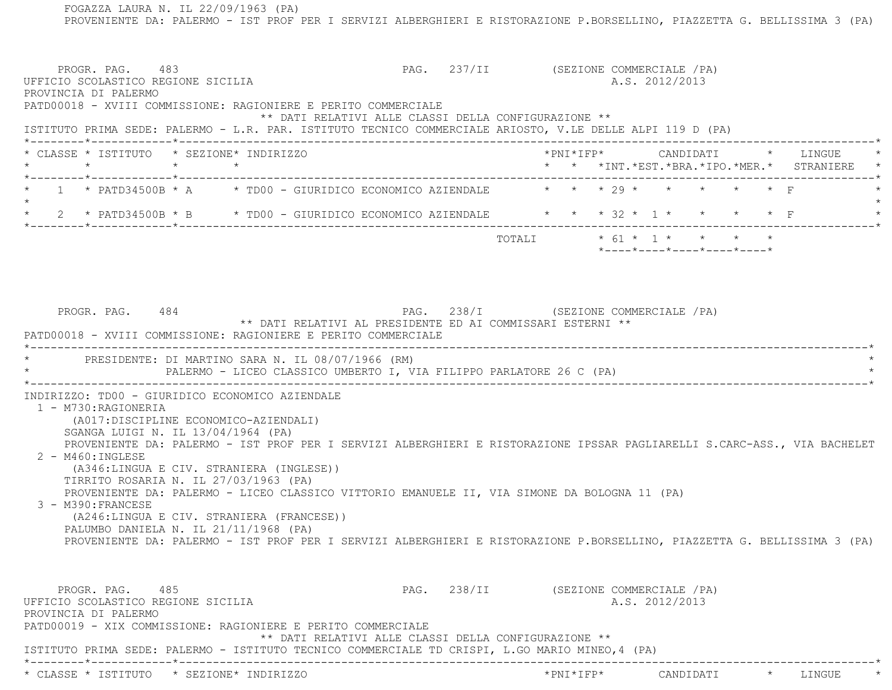FOGAZZA LAURA N. IL 22/09/1963 (PA) PROVENIENTE DA: PALERMO - IST PROF PER I SERVIZI ALBERGHIERI E RISTORAZIONE P.BORSELLINO, PIAZZETTA G. BELLISSIMA 3 (PA) PROGR. PAG. 483 ARCHIVES AND PAG. 237/II (SEZIONE COMMERCIALE / PA) UFFICIO SCOLASTICO REGIONE SICILIA A.S. 2012/2013 PROVINCIA DI PALERMO PATD00018 - XVIII COMMISSIONE: RAGIONIERE E PERITO COMMERCIALE \*\* DATI RELATIVI ALLE CLASSI DELLA CONFIGURAZIONE \*\* ISTITUTO PRIMA SEDE: PALERMO - L.R. PAR. ISTITUTO TECNICO COMMERCIALE ARIOSTO, V.LE DELLE ALPI 119 D (PA) \*--------\*------------\*-------------------------------------------------------------------------------------------------------\* \* CLASSE \* ISTITUTO \* SEZIONE\* INDIRIZZO \*PNI\*IFP\* CANDIDATI \* LINGUE \* \* \* \* \* \* \* \*INT.\*EST.\*BRA.\*IPO.\*MER.\* STRANIERE \* \*--------\*------------\*-------------------------------------------------------------------------------------------------------\*1 \* PATD34500B \* A  $\rightarrow$  TD00 - GIURIDICO ECONOMICO AZIENDALE  $\rightarrow$  \* \* \* 29 \* \* \* \* \* \* F  $\star$  \* 2 \* PATD34500B \* B \* TD00 - GIURIDICO ECONOMICO AZIENDALE \* \* \* 32 \* 1 \* \* \* \* F \* \*--------\*------------\*-------------------------------------------------------------------------------------------------------\* TOTALI \* 61 \* 1 \* \* \* \* \*----\*----\*----\*----\*----\*PROGR. PAG. 484 PROGR. PAG. 238/I (SEZIONE COMMERCIALE / PA) \*\* DATI RELATIVI AL PRESIDENTE ED AI COMMISSARI ESTERNI \*\* PATD00018 - XVIII COMMISSIONE: RAGIONIERE E PERITO COMMERCIALE \*----------------------------------------------------------------------------------------------------------------------------\*PRESIDENTE: DI MARTINO SARA N. IL 08/07/1966 (RM) PALERMO - LICEO CLASSICO UMBERTO I, VIA FILIPPO PARLATORE 26 C (PA)  $*$  INDIRIZZO: TD00 - GIURIDICO ECONOMICO AZIENDALE 1 - M730:RAGIONERIA (A017:DISCIPLINE ECONOMICO-AZIENDALI) SGANGA LUIGI N. IL 13/04/1964 (PA) PROVENIENTE DA: PALERMO - IST PROF PER I SERVIZI ALBERGHIERI E RISTORAZIONE IPSSAR PAGLIARELLI S.CARC-ASS., VIA BACHELET 2 - M460:INGLESE (A346:LINGUA E CIV. STRANIERA (INGLESE)) TIRRITO ROSARIA N. IL 27/03/1963 (PA) PROVENIENTE DA: PALERMO - LICEO CLASSICO VITTORIO EMANUELE II, VIA SIMONE DA BOLOGNA 11 (PA) 3 - M390:FRANCESE (A246:LINGUA E CIV. STRANIERA (FRANCESE)) PALUMBO DANIELA N. IL 21/11/1968 (PA) PROVENIENTE DA: PALERMO - IST PROF PER I SERVIZI ALBERGHIERI E RISTORAZIONE P.BORSELLINO, PIAZZETTA G. BELLISSIMA 3 (PA) PROGR. PAG. 485 PAG. 238/II (SEZIONE COMMERCIALE / PA) UFFICIO SCOLASTICO REGIONE SICILIA A.S. 2012/2013 PROVINCIA DI PALERMO PATD00019 - XIX COMMISSIONE: RAGIONIERE E PERITO COMMERCIALE \*\* DATI RELATIVI ALLE CLASSI DELLA CONFIGURAZIONE \*\* ISTITUTO PRIMA SEDE: PALERMO - ISTITUTO TECNICO COMMERCIALE TD CRISPI, L.GO MARIO MINEO,4 (PA) \*--------\*------------\*-------------------------------------------------------------------------------------------------------\*\* CLASSE \* ISTITUTO \* SEZIONE\* INDIRIZZO \*PNI\*IFP\* CANDIDATI \* LINGUE \*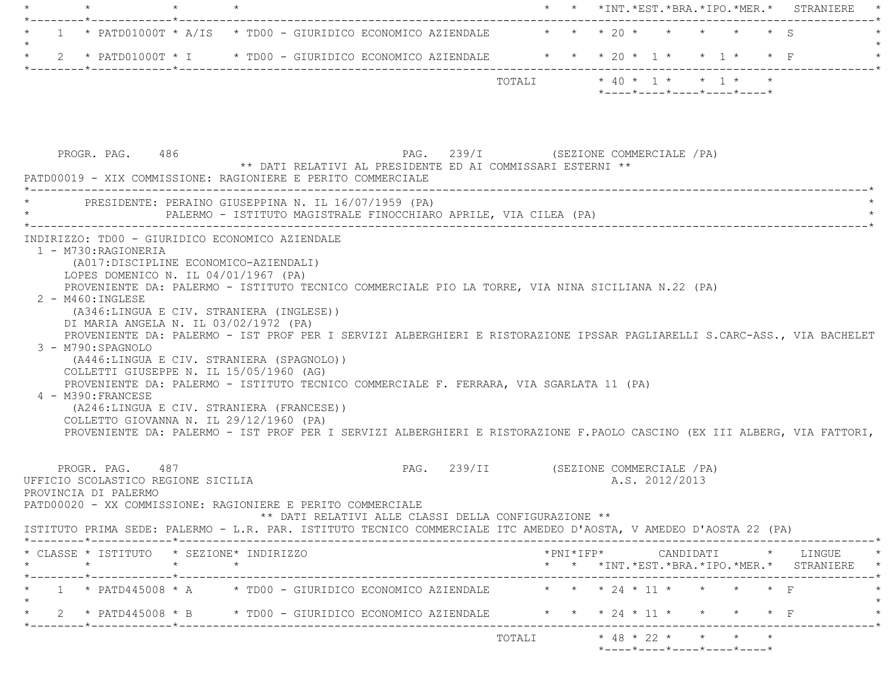|         | $\star$                                                                                                                                                                                                                                                                                                                                                                                                                                                                                                                                                                                                                                                                                                                                                                                                                                                                                                                                                        |  |                                                                  |                                       |                            |  |  |                                                                 |  | * * *INT. *EST. *BRA. *IPO. *MER. * STRANIERE   |  |
|---------|----------------------------------------------------------------------------------------------------------------------------------------------------------------------------------------------------------------------------------------------------------------------------------------------------------------------------------------------------------------------------------------------------------------------------------------------------------------------------------------------------------------------------------------------------------------------------------------------------------------------------------------------------------------------------------------------------------------------------------------------------------------------------------------------------------------------------------------------------------------------------------------------------------------------------------------------------------------|--|------------------------------------------------------------------|---------------------------------------|----------------------------|--|--|-----------------------------------------------------------------|--|-------------------------------------------------|--|
|         | * PATD01000T * $A/IS$ * TD00 - GIURIDICO ECONOMICO AZIENDALE                                                                                                                                                                                                                                                                                                                                                                                                                                                                                                                                                                                                                                                                                                                                                                                                                                                                                                   |  |                                                                  |                                       |                            |  |  | * * * 20 * * * * * * S                                          |  |                                                 |  |
| $\star$ | 2 * PATD01000T * I * TD00 - GIURIDICO ECONOMICO AZIENDALE * * * 20 * 1 * * 1 * * F                                                                                                                                                                                                                                                                                                                                                                                                                                                                                                                                                                                                                                                                                                                                                                                                                                                                             |  |                                                                  |                                       |                            |  |  |                                                                 |  |                                                 |  |
|         |                                                                                                                                                                                                                                                                                                                                                                                                                                                                                                                                                                                                                                                                                                                                                                                                                                                                                                                                                                |  |                                                                  |                                       |                            |  |  | $*$ - - - - $*$ - - - - $*$ - - - - $*$ - - - - $*$ - - - - $*$ |  |                                                 |  |
|         | PROGR. PAG. 486<br>PATD00019 - XIX COMMISSIONE: RAGIONIERE E PERITO COMMERCIALE                                                                                                                                                                                                                                                                                                                                                                                                                                                                                                                                                                                                                                                                                                                                                                                                                                                                                |  | ** DATI RELATIVI AL PRESIDENTE ED AI COMMISSARI ESTERNI **       | PAG. 239/I (SEZIONE COMMERCIALE /PA)  |                            |  |  |                                                                 |  |                                                 |  |
|         | PRESIDENTE: PERAINO GIUSEPPINA N. IL 16/07/1959 (PA)                                                                                                                                                                                                                                                                                                                                                                                                                                                                                                                                                                                                                                                                                                                                                                                                                                                                                                           |  | PALERMO - ISTITUTO MAGISTRALE FINOCCHIARO APRILE, VIA CILEA (PA) |                                       |                            |  |  |                                                                 |  |                                                 |  |
|         | 1 - M730:RAGIONERIA<br>(A017: DISCIPLINE ECONOMICO-AZIENDALI)<br>LOPES DOMENICO N. IL 04/01/1967 (PA)<br>PROVENIENTE DA: PALERMO - ISTITUTO TECNICO COMMERCIALE PIO LA TORRE, VIA NINA SICILIANA N.22 (PA)<br>$2 - M460$ : INGLESE<br>(A346:LINGUA E CIV. STRANIERA (INGLESE))<br>DI MARIA ANGELA N. IL 03/02/1972 (PA)<br>PROVENIENTE DA: PALERMO - IST PROF PER I SERVIZI ALBERGHIERI E RISTORAZIONE IPSSAR PAGLIARELLI S.CARC-ASS., VIA BACHELET<br>3 - M790:SPAGNOLO<br>(A446:LINGUA E CIV. STRANIERA (SPAGNOLO))<br>COLLETTI GIUSEPPE N. IL 15/05/1960 (AG)<br>PROVENIENTE DA: PALERMO - ISTITUTO TECNICO COMMERCIALE F. FERRARA, VIA SGARLATA 11 (PA)<br>4 - M390: FRANCESE<br>(A246:LINGUA E CIV. STRANIERA (FRANCESE))<br>COLLETTO GIOVANNA N. IL 29/12/1960 (PA)<br>PROVENIENTE DA: PALERMO - IST PROF PER I SERVIZI ALBERGHIERI E RISTORAZIONE F.PAOLO CASCINO (EX III ALBERG, VIA FATTORI,<br>PROGR. PAG. 487<br>UFFICIO SCOLASTICO REGIONE SICILIA |  |                                                                  | PAG. 239/II (SEZIONE COMMERCIALE /PA) |                            |  |  | A.S. 2012/2013                                                  |  |                                                 |  |
|         |                                                                                                                                                                                                                                                                                                                                                                                                                                                                                                                                                                                                                                                                                                                                                                                                                                                                                                                                                                |  |                                                                  |                                       |                            |  |  |                                                                 |  |                                                 |  |
|         | PROVINCIA DI PALERMO<br>PATD00020 - XX COMMISSIONE: RAGIONIERE E PERITO COMMERCIALE<br>ISTITUTO PRIMA SEDE: PALERMO - L.R. PAR. ISTITUTO TECNICO COMMERCIALE ITC AMEDEO D'AOSTA, V AMEDEO D'AOSTA 22 (PA)                                                                                                                                                                                                                                                                                                                                                                                                                                                                                                                                                                                                                                                                                                                                                      |  | ** DATI RELATIVI ALLE CLASSI DELLA CONFIGURAZIONE **             |                                       |                            |  |  |                                                                 |  |                                                 |  |
|         | * CLASSE * ISTITUTO * SEZIONE* INDIRIZZO                                                                                                                                                                                                                                                                                                                                                                                                                                                                                                                                                                                                                                                                                                                                                                                                                                                                                                                       |  |                                                                  |                                       |                            |  |  |                                                                 |  | * * *INT. *EST. *BRA. *IPO. *MER. * STRANIERE * |  |
|         | 1 * PATD445008 * A $\qquad$ * TD00 - GIURIDICO ECONOMICO AZIENDALE $\qquad$ * * * 24 * 11 * * * * * F                                                                                                                                                                                                                                                                                                                                                                                                                                                                                                                                                                                                                                                                                                                                                                                                                                                          |  |                                                                  |                                       |                            |  |  |                                                                 |  |                                                 |  |
|         | * 2 * PATD445008 * B * TD00 - GIURIDICO ECONOMICO AZIENDALE * * * 24 * 11 * * * * * F                                                                                                                                                                                                                                                                                                                                                                                                                                                                                                                                                                                                                                                                                                                                                                                                                                                                          |  |                                                                  |                                       |                            |  |  |                                                                 |  |                                                 |  |
|         | *--------*------------*---------                                                                                                                                                                                                                                                                                                                                                                                                                                                                                                                                                                                                                                                                                                                                                                                                                                                                                                                               |  |                                                                  |                                       | TOTALI * 48 * 22 * * * * * |  |  | *----*----*----*----*----*                                      |  |                                                 |  |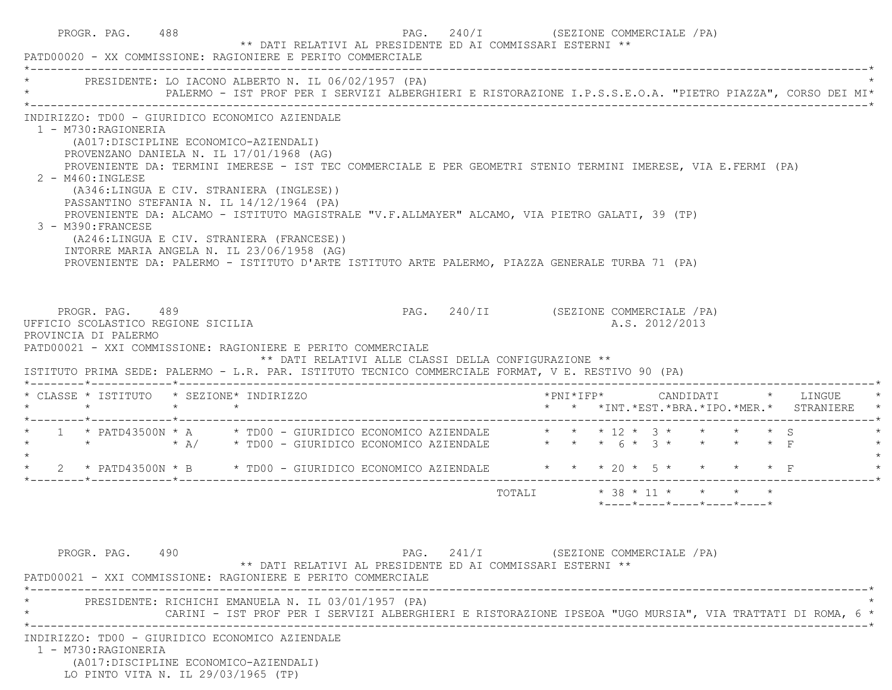| PRESIDENTE: LO IACONO ALBERTO N. IL 06/02/1957 (PA)                                                                                                                                                                                                                                                                                                                                           | PALERMO - IST PROF PER I SERVIZI ALBERGHIERI E RISTORAZIONE I.P.S.S.E.O.A. "PIETRO PIAZZA", CORSO DEI MI*                                                                                                                                                                                                         |                       |                                          |
|-----------------------------------------------------------------------------------------------------------------------------------------------------------------------------------------------------------------------------------------------------------------------------------------------------------------------------------------------------------------------------------------------|-------------------------------------------------------------------------------------------------------------------------------------------------------------------------------------------------------------------------------------------------------------------------------------------------------------------|-----------------------|------------------------------------------|
| INDIRIZZO: TD00 - GIURIDICO ECONOMICO AZIENDALE<br>1 - M730:RAGIONERIA<br>(A017:DISCIPLINE ECONOMICO-AZIENDALI)<br>PROVENZANO DANIELA N. IL 17/01/1968 (AG)<br>$2 - M460$ : INGLESE<br>(A346:LINGUA E CIV. STRANIERA (INGLESE))<br>PASSANTINO STEFANIA N. IL 14/12/1964 (PA)<br>3 - M390: FRANCESE<br>(A246:LINGUA E CIV. STRANIERA (FRANCESE))<br>INTORRE MARIA ANGELA N. IL 23/06/1958 (AG) | PROVENIENTE DA: TERMINI IMERESE - IST TEC COMMERCIALE E PER GEOMETRI STENIO TERMINI IMERESE, VIA E.FERMI (PA)<br>PROVENIENTE DA: ALCAMO - ISTITUTO MAGISTRALE "V.F.ALLMAYER" ALCAMO, VIA PIETRO GALATI, 39 (TP)<br>PROVENIENTE DA: PALERMO - ISTITUTO D'ARTE ISTITUTO ARTE PALERMO, PIAZZA GENERALE TURBA 71 (PA) |                       |                                          |
| PROGR. PAG. 489<br>UFFICIO SCOLASTICO REGIONE SICILIA<br>PROVINCIA DI PALERMO<br>PATD00021 - XXI COMMISSIONE: RAGIONIERE E PERITO COMMERCIALE                                                                                                                                                                                                                                                 | PAG. 240/II (SEZIONE COMMERCIALE /PA)                                                                                                                                                                                                                                                                             |                       | A.S. 2012/2013                           |
| * CLASSE * ISTITUTO * SEZIONE* INDIRIZZO<br>$\star$ $\star$ $\star$                                                                                                                                                                                                                                                                                                                           | ** DATI RELATIVI ALLE CLASSI DELLA CONFIGURAZIONE **<br>ISTITUTO PRIMA SEDE: PALERMO - L.R. PAR. ISTITUTO TECNICO COMMERCIALE FORMAT, V E. RESTIVO 90 (PA)                                                                                                                                                        | $*$ PNI $*$ I F P $*$ | CANDIDATI * LINGUE                       |
|                                                                                                                                                                                                                                                                                                                                                                                               | * 1 * PATD43500N * A * TD00 - GIURIDICO ECONOMICO AZIENDALE * * * 12 * 3 * * * * * \$ S<br>* * * * A/ * TD00 - GIURIDICO ECONOMICO AZIENDALE * * * 6 * 3 * * * * * F                                                                                                                                              |                       | * * *INT.*EST.*BRA.*IPO.*MER.* STRANIERE |
|                                                                                                                                                                                                                                                                                                                                                                                               | * 2 * PATD43500N * B * TD00 - GIURIDICO ECONOMICO AZIENDALE * * * 20 * 5 * * * * * F                                                                                                                                                                                                                              |                       |                                          |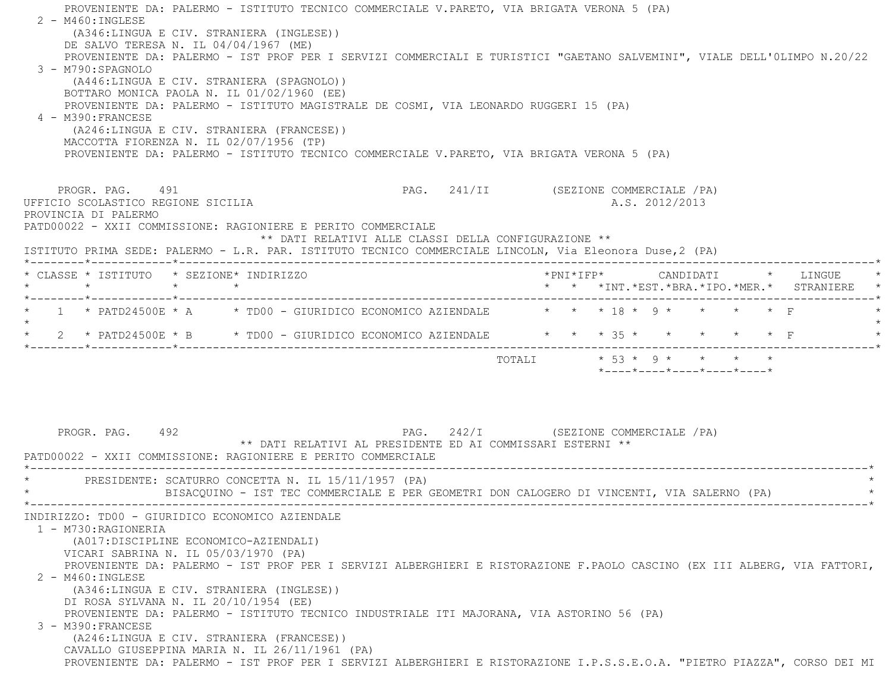PROVENIENTE DA: PALERMO - ISTITUTO TECNICO COMMERCIALE V.PARETO, VIA BRIGATA VERONA 5 (PA)  $2 - M460$ : INGLESE (A346:LINGUA E CIV. STRANIERA (INGLESE)) DE SALVO TERESA N. IL 04/04/1967 (ME) PROVENIENTE DA: PALERMO - IST PROF PER I SERVIZI COMMERCIALI E TURISTICI "GAETANO SALVEMINI", VIALE DELL'0LIMPO N.20/22 3 - M790:SPAGNOLO (A446:LINGUA E CIV. STRANIERA (SPAGNOLO)) BOTTARO MONICA PAOLA N. IL 01/02/1960 (EE) PROVENIENTE DA: PALERMO - ISTITUTO MAGISTRALE DE COSMI, VIA LEONARDO RUGGERI 15 (PA) 4 - M390:FRANCESE (A246:LINGUA E CIV. STRANIERA (FRANCESE)) MACCOTTA FIORENZA N. IL 02/07/1956 (TP) PROVENIENTE DA: PALERMO - ISTITUTO TECNICO COMMERCIALE V.PARETO, VIA BRIGATA VERONA 5 (PA) PROGR. PAG. 491 **PAG.** 241/II (SEZIONE COMMERCIALE /PA) UFFICIO SCOLASTICO REGIONE SICILIA A.S. 2012/2013 PROVINCIA DI PALERMO PATD00022 - XXII COMMISSIONE: RAGIONIERE E PERITO COMMERCIALE \*\* DATI RELATIVI ALLE CLASSI DELLA CONFIGURAZIONE \*\* ISTITUTO PRIMA SEDE: PALERMO - L.R. PAR. ISTITUTO TECNICO COMMERCIALE LINCOLN, Via Eleonora Duse,2 (PA) \*--------\*------------\*-------------------------------------------------------------------------------------------------------\* \* CLASSE \* ISTITUTO \* SEZIONE\* INDIRIZZO \*PNI\*IFP\* CANDIDATI \* LINGUE \* \* \* \* \* \* \* \*INT.\*EST.\*BRA.\*IPO.\*MER.\* STRANIERE \* \*--------\*------------\*-------------------------------------------------------------------------------------------------------\*\* 1 \* PATD24500E \* A \* TD00 - GIURIDICO ECONOMICO AZIENDALE \* \* \* 18 \* 9 \* \* \* \* \* F  $\star$ \* 2 \* PATD24500E \* B \* TD00 - GIURIDICO ECONOMICO AZIENDALE \* \* \* \* 35 \* \* \* \* \* \* \* F \*--------\*------------\*-------------------------------------------------------------------------------------------------------\*TOTALI  $* 53 * 9 * * * * * * *$  $*$ ---- $*$ ---- $*$ ---- $*$ ---- $*$ PROGR. PAG. 492 **PROGR. PAG. 242/I** (SEZIONE COMMERCIALE /PA) \*\* DATI RELATIVI AL PRESIDENTE ED AI COMMISSARI ESTERNI \*\* PATD00022 - XXII COMMISSIONE: RAGIONIERE E PERITO COMMERCIALE \*----------------------------------------------------------------------------------------------------------------------------\* \* PRESIDENTE: SCATURRO CONCETTA N. IL 15/11/1957 (PA) \* \* BISACQUINO - IST TEC COMMERCIALE E PER GEOMETRI DON CALOGERO DI VINCENTI, VIA SALERNO (PA) \* \*----------------------------------------------------------------------------------------------------------------------------\* INDIRIZZO: TD00 - GIURIDICO ECONOMICO AZIENDALE 1 - M730:RAGIONERIA (A017:DISCIPLINE ECONOMICO-AZIENDALI) VICARI SABRINA N. IL 05/03/1970 (PA) PROVENIENTE DA: PALERMO - IST PROF PER I SERVIZI ALBERGHIERI E RISTORAZIONE F.PAOLO CASCINO (EX III ALBERG, VIA FATTORI, 2 - M460:INGLESE (A346:LINGUA E CIV. STRANIERA (INGLESE)) DI ROSA SYLVANA N. IL 20/10/1954 (EE) PROVENIENTE DA: PALERMO - ISTITUTO TECNICO INDUSTRIALE ITI MAJORANA, VIA ASTORINO 56 (PA) 3 - M390:FRANCESE (A246:LINGUA E CIV. STRANIERA (FRANCESE)) CAVALLO GIUSEPPINA MARIA N. IL 26/11/1961 (PA) PROVENIENTE DA: PALERMO - IST PROF PER I SERVIZI ALBERGHIERI E RISTORAZIONE I.P.S.S.E.O.A. "PIETRO PIAZZA", CORSO DEI MI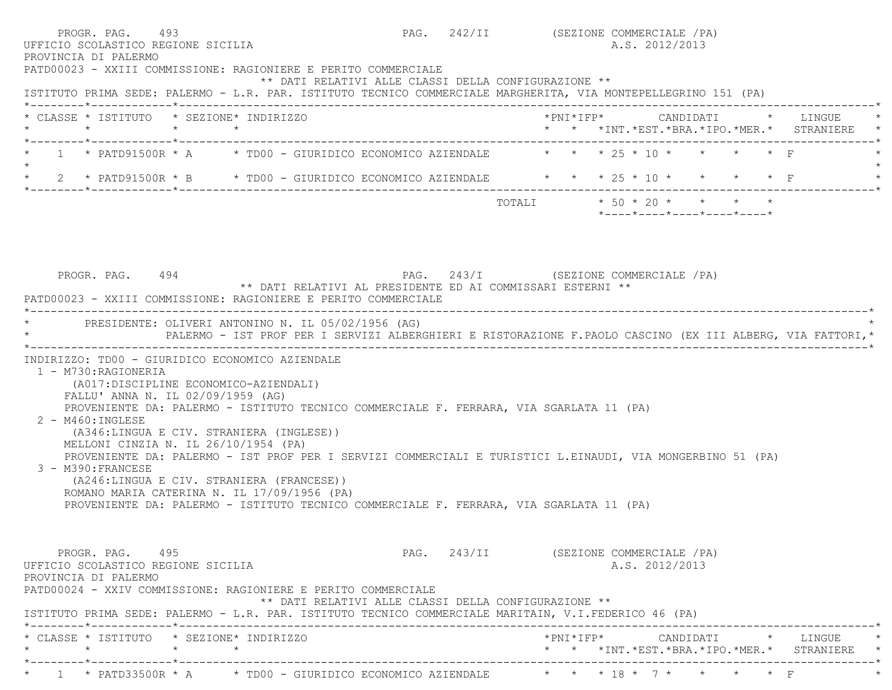| PROGR. PAG. 493<br>UFFICIO SCOLASTICO REGIONE SICILIA<br>PROVINCIA DI PALERMO                                                                                                                                                                                                                                                                                                                                                                                                                                                                                                                                                                                                         |                                                      | PAG. 242/II (SEZIONE COMMERCIALE /PA)  |  |  | A.S. 2012/2013 |                                                  |                                                                                     |  |
|---------------------------------------------------------------------------------------------------------------------------------------------------------------------------------------------------------------------------------------------------------------------------------------------------------------------------------------------------------------------------------------------------------------------------------------------------------------------------------------------------------------------------------------------------------------------------------------------------------------------------------------------------------------------------------------|------------------------------------------------------|----------------------------------------|--|--|----------------|--------------------------------------------------|-------------------------------------------------------------------------------------|--|
| PATD00023 - XXIII COMMISSIONE: RAGIONIERE E PERITO COMMERCIALE<br>ISTITUTO PRIMA SEDE: PALERMO - L.R. PAR. ISTITUTO TECNICO COMMERCIALE MARGHERITA, VIA MONTEPELLEGRINO 151 (PA)                                                                                                                                                                                                                                                                                                                                                                                                                                                                                                      | ** DATI RELATIVI ALLE CLASSI DELLA CONFIGURAZIONE ** |                                        |  |  |                |                                                  |                                                                                     |  |
| * CLASSE * ISTITUTO * SEZIONE* INDIRIZZO                                                                                                                                                                                                                                                                                                                                                                                                                                                                                                                                                                                                                                              |                                                      |                                        |  |  |                |                                                  | * * *INT. *EST. *BRA. *IPO. *MER. * STRANIERE *                                     |  |
| 1 * PATD91500R * A * TD00 - GIURIDICO ECONOMICO AZIENDALE $\qquad$ * * * 25 * 10 * * * * * F                                                                                                                                                                                                                                                                                                                                                                                                                                                                                                                                                                                          |                                                      |                                        |  |  |                |                                                  |                                                                                     |  |
| * 2 * PATD91500R * B * TD00 - GIURIDICO ECONOMICO AZIENDALE * * * 25 * 10 * *                                                                                                                                                                                                                                                                                                                                                                                                                                                                                                                                                                                                         |                                                      |                                        |  |  |                | $\star$ $\star$ F                                |                                                                                     |  |
|                                                                                                                                                                                                                                                                                                                                                                                                                                                                                                                                                                                                                                                                                       |                                                      | TOTALI * 50 * 20 * * * * *             |  |  |                | $*$ ---- $*$ ---- $*$ ---- $*$ ---- $*$ ---- $*$ |                                                                                     |  |
| PATD00023 - XXIII COMMISSIONE: RAGIONIERE E PERITO COMMERCIALE<br>* PRESIDENTE: OLIVERI ANTONINO N. IL 05/02/1956 (AG)<br>PALERMO - IST PROF PER I SERVIZI ALBERGHIERI E RISTORAZIONE F.PAOLO CASCINO (EX III ALBERG, VIA FATTORI, *                                                                                                                                                                                                                                                                                                                                                                                                                                                  |                                                      |                                        |  |  |                |                                                  |                                                                                     |  |
| INDIRIZZO: TD00 - GIURIDICO ECONOMICO AZIENDALE<br>1 - M730: RAGIONERIA<br>(A017: DISCIPLINE ECONOMICO-AZIENDALI)<br>FALLU' ANNA N. IL 02/09/1959 (AG)<br>PROVENIENTE DA: PALERMO - ISTITUTO TECNICO COMMERCIALE F. FERRARA, VIA SGARLATA 11 (PA)<br>2 - M460: INGLESE<br>(A346:LINGUA E CIV. STRANIERA (INGLESE))<br>MELLONI CINZIA N. IL 26/10/1954 (PA)<br>PROVENIENTE DA: PALERMO - IST PROF PER I SERVIZI COMMERCIALI E TURISTICI L.EINAUDI, VIA MONGERBINO 51 (PA)<br>3 - M390: FRANCESE<br>(A246:LINGUA E CIV. STRANIERA (FRANCESE))<br>ROMANO MARIA CATERINA N. IL 17/09/1956 (PA)<br>PROVENIENTE DA: PALERMO - ISTITUTO TECNICO COMMERCIALE F. FERRARA, VIA SGARLATA 11 (PA) |                                                      |                                        |  |  |                |                                                  |                                                                                     |  |
| PROGR. PAG. 495<br>UFFICIO SCOLASTICO REGIONE SICILIA<br>PROVINCIA DI PALERMO<br>PATD00024 - XXIV COMMISSIONE: RAGIONIERE E PERITO COMMERCIALE<br>ISTITUTO PRIMA SEDE: PALERMO - L.R. PAR. ISTITUTO TECNICO COMMERCIALE MARITAIN, V.I.FEDERICO 46 (PA)                                                                                                                                                                                                                                                                                                                                                                                                                                | ** DATI RELATIVI ALLE CLASSI DELLA CONFIGURAZIONE ** | PAG. 243/II (SEZIONE COMMERCIALE / PA) |  |  | A.S. 2012/2013 |                                                  |                                                                                     |  |
| * CLASSE * ISTITUTO * SEZIONE* INDIRIZZO                                                                                                                                                                                                                                                                                                                                                                                                                                                                                                                                                                                                                                              |                                                      |                                        |  |  |                |                                                  |                                                                                     |  |
|                                                                                                                                                                                                                                                                                                                                                                                                                                                                                                                                                                                                                                                                                       |                                                      |                                        |  |  |                |                                                  | *PNI*IFP*     CANDIDATI    *   LINGUE<br>* * *INT.*EST.*BRA.*IPO.*MER.* STRANIERE * |  |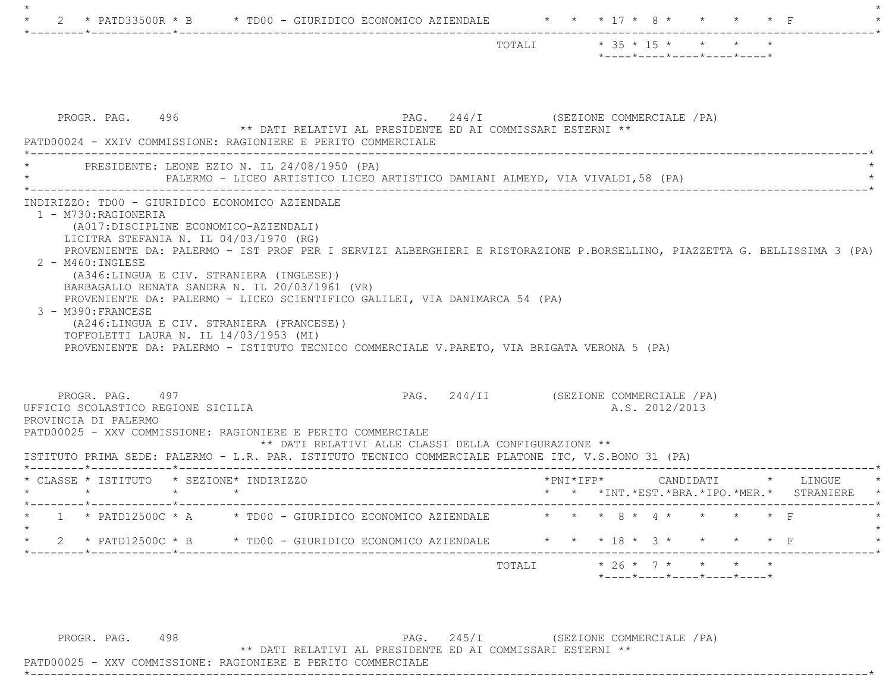|                                                                               |                                                                                                                                                                                   |                                                                                                                                                                          | TOTALI * 35 * 15 * * * *<br>$*$ ---- $*$ ---- $*$ ---- $*$ ---- $*$ ---- $*$                                             |
|-------------------------------------------------------------------------------|-----------------------------------------------------------------------------------------------------------------------------------------------------------------------------------|--------------------------------------------------------------------------------------------------------------------------------------------------------------------------|--------------------------------------------------------------------------------------------------------------------------|
| PROGR. PAG. 496                                                               | PATD00024 - XXIV COMMISSIONE: RAGIONIERE E PERITO COMMERCIALE                                                                                                                     | ** DATI RELATIVI AL PRESIDENTE ED AI COMMISSARI ESTERNI **                                                                                                               | PAG. 244/I (SEZIONE COMMERCIALE /PA)                                                                                     |
|                                                                               | PRESIDENTE: LEONE EZIO N. IL 24/08/1950 (PA)                                                                                                                                      | PALERMO - LICEO ARTISTICO LICEO ARTISTICO DAMIANI ALMEYD, VIA VIVALDI, 58 (PA)                                                                                           |                                                                                                                          |
| 2 - M460: INGLESE                                                             |                                                                                                                                                                                   |                                                                                                                                                                          | PROVENIENTE DA: PALERMO - IST PROF PER I SERVIZI ALBERGHIERI E RISTORAZIONE P.BORSELLINO, PIAZZETTA G. BELLISSIMA 3 (PA) |
| 3 - M390: FRANCESE                                                            | (A346:LINGUA E CIV. STRANIERA (INGLESE))<br>BARBAGALLO RENATA SANDRA N. IL 20/03/1961 (VR)<br>(A246:LINGUA E CIV. STRANIERA (FRANCESE))<br>TOFFOLETTI LAURA N. IL 14/03/1953 (MI) | PROVENIENTE DA: PALERMO - LICEO SCIENTIFICO GALILEI, VIA DANIMARCA 54 (PA)<br>PROVENIENTE DA: PALERMO - ISTITUTO TECNICO COMMERCIALE V.PARETO, VIA BRIGATA VERONA 5 (PA) |                                                                                                                          |
| PROGR. PAG. 497<br>UFFICIO SCOLASTICO REGIONE SICILIA<br>PROVINCIA DI PALERMO | PATD00025 - XXV COMMISSIONE: RAGIONIERE E PERITO COMMERCIALE                                                                                                                      | ** DATI RELATIVI ALLE CLASSI DELLA CONFIGURAZIONE **<br>ISTITUTO PRIMA SEDE: PALERMO - L.R. PAR. ISTITUTO TECNICO COMMERCIALE PLATONE ITC, V.S.BONO 31 (PA)              | PAG. 244/II (SEZIONE COMMERCIALE /PA)<br>A.S. 2012/2013                                                                  |
|                                                                               | * CLASSE * ISTITUTO * SEZIONE* INDIRIZZO                                                                                                                                          |                                                                                                                                                                          | $*$ PNI $*$ I F P $*$<br>CANDIDATI * LINGUE                                                                              |
|                                                                               | $\star$ $\star$                                                                                                                                                                   |                                                                                                                                                                          | * * *INT. *EST. *BRA. *IPO. *MER. * STRANIERE                                                                            |
| $\star$ $\star$                                                               |                                                                                                                                                                                   | 1 * PATD12500C * A * TD00 - GIURIDICO ECONOMICO AZIENDALE                                                                                                                | * * * 8 * 4 * * * * * F                                                                                                  |
|                                                                               |                                                                                                                                                                                   | 2 * PATD12500C * B * TD00 - GIURIDICO ECONOMICO AZIENDALE                                                                                                                | * * * 18 * 3 * *                                                                                                         |

PROGR. PAG. 498 PAG. 245/I (SEZIONE COMMERCIALE /PA)

\*\* DATI RELATIVI AL PRESIDENTE ED AI COMMISSARI ESTERNI \*\*

 PATD00025 - XXV COMMISSIONE: RAGIONIERE E PERITO COMMERCIALE\*----------------------------------------------------------------------------------------------------------------------------\*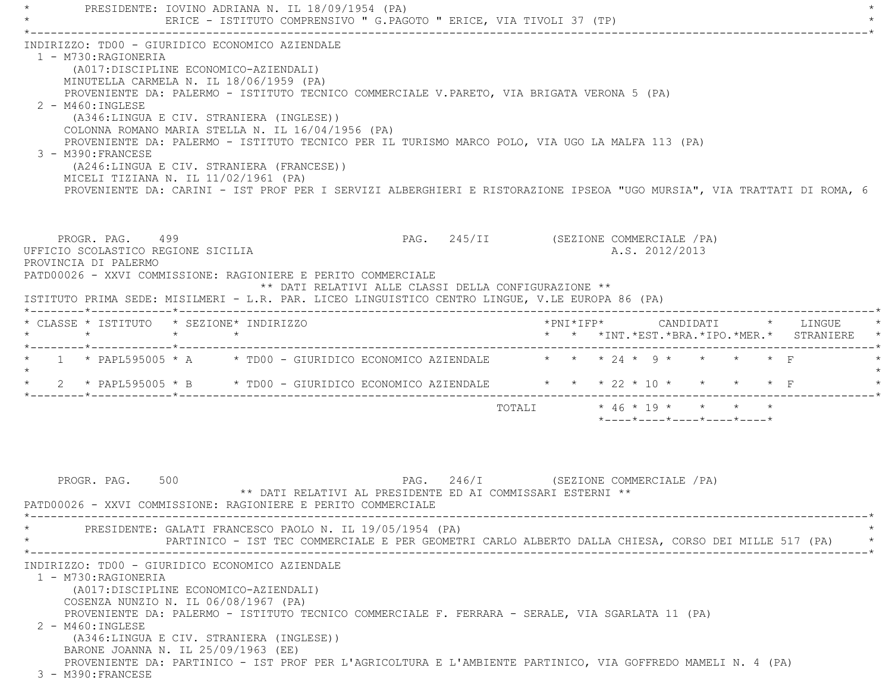PRESIDENTE: IOVINO ADRIANA N. IL 18/09/1954 (PA) ERICE - ISTITUTO COMPRENSIVO " G.PAGOTO " ERICE, VIA TIVOLI 37 (TP) \*----------------------------------------------------------------------------------------------------------------------------\* INDIRIZZO: TD00 - GIURIDICO ECONOMICO AZIENDALE 1 - M730:RAGIONERIA (A017:DISCIPLINE ECONOMICO-AZIENDALI) MINUTELLA CARMELA N. IL 18/06/1959 (PA) PROVENIENTE DA: PALERMO - ISTITUTO TECNICO COMMERCIALE V.PARETO, VIA BRIGATA VERONA 5 (PA) 2 - M460:INGLESE (A346:LINGUA E CIV. STRANIERA (INGLESE)) COLONNA ROMANO MARIA STELLA N. IL 16/04/1956 (PA) PROVENIENTE DA: PALERMO - ISTITUTO TECNICO PER IL TURISMO MARCO POLO, VIA UGO LA MALFA 113 (PA) 3 - M390:FRANCESE (A246:LINGUA E CIV. STRANIERA (FRANCESE)) MICELI TIZIANA N. IL 11/02/1961 (PA) PROVENIENTE DA: CARINI - IST PROF PER I SERVIZI ALBERGHIERI E RISTORAZIONE IPSEOA "UGO MURSIA", VIA TRATTATI DI ROMA, 6 PROGR. PAG. 499 PAG. 245/II (SEZIONE COMMERCIALE / PA) UFFICIO SCOLASTICO REGIONE SICILIA A.S. 2012/2013 PROVINCIA DI PALERMO PATD00026 - XXVI COMMISSIONE: RAGIONIERE E PERITO COMMERCIALE \*\* DATI RELATIVI ALLE CLASSI DELLA CONFIGURAZIONE \*\* ISTITUTO PRIMA SEDE: MISILMERI - L.R. PAR. LICEO LINGUISTICO CENTRO LINGUE, V.LE EUROPA 86 (PA) \*--------\*------------\*-------------------------------------------------------------------------------------------------------\* \* CLASSE \* ISTITUTO \* SEZIONE\* INDIRIZZO \*PNI\*IFP\* CANDIDATI \* LINGUE \* \* \* \* \* \* \* \*INT.\*EST.\*BRA.\*IPO.\*MER.\* STRANIERE \* \*--------\*------------\*-------------------------------------------------------------------------------------------------------\* $1 *$  PAPL595005 \* A  $*$  TD00 - GIURIDICO ECONOMICO AZIENDALE  $* * * * 24 * 9 * * * * *$  F  $\star$ \* 2 \* PAPL595005 \* B \* TD00 - GIURIDICO ECONOMICO AZIENDALE \* \* \* 22 \* 10 \* \* \* \* \* F \*--------\*------------\*-------------------------------------------------------------------------------------------------------\* TOTALI \* 46 \* 19 \* \* \* \* \*----\*----\*----\*----\*----\*PROGR. PAG. 500 STATES SOLUTION PAG. 246/I (SEZIONE COMMERCIALE / PA) \*\* DATI RELATIVI AL PRESIDENTE ED AI COMMISSARI ESTERNI \*\* PATD00026 - XXVI COMMISSIONE: RAGIONIERE E PERITO COMMERCIALE \*----------------------------------------------------------------------------------------------------------------------------\*PRESIDENTE: GALATI FRANCESCO PAOLO N. IL 19/05/1954 (PA) \* PARTINICO - IST TEC COMMERCIALE E PER GEOMETRI CARLO ALBERTO DALLA CHIESA, CORSO DEI MILLE 517 (PA) \* \*----------------------------------------------------------------------------------------------------------------------------\* INDIRIZZO: TD00 - GIURIDICO ECONOMICO AZIENDALE1 - M730:RAGIONERIA

 (A017:DISCIPLINE ECONOMICO-AZIENDALI) COSENZA NUNZIO N. IL 06/08/1967 (PA)

PROVENIENTE DA: PALERMO - ISTITUTO TECNICO COMMERCIALE F. FERRARA - SERALE, VIA SGARLATA 11 (PA)

2 - M460:INGLESE

 (A346:LINGUA E CIV. STRANIERA (INGLESE)) BARONE JOANNA N. IL 25/09/1963 (EE) PROVENIENTE DA: PARTINICO - IST PROF PER L'AGRICOLTURA E L'AMBIENTE PARTINICO, VIA GOFFREDO MAMELI N. 4 (PA) 3 - M390:FRANCESE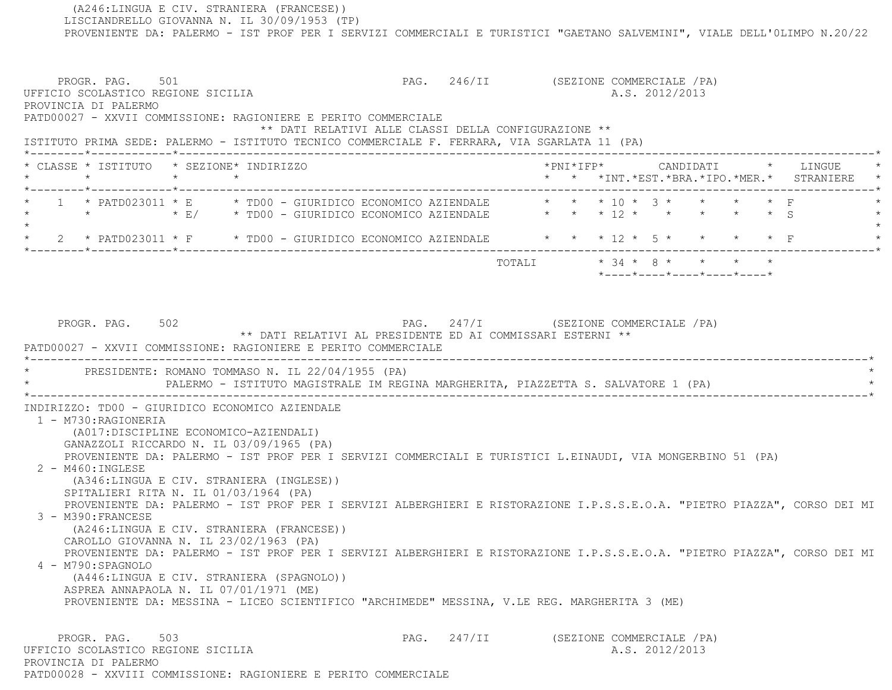(A246:LINGUA E CIV. STRANIERA (FRANCESE)) LISCIANDRELLO GIOVANNA N. IL 30/09/1953 (TP) PROVENIENTE DA: PALERMO - IST PROF PER I SERVIZI COMMERCIALI E TURISTICI "GAETANO SALVEMINI", VIALE DELL'0LIMPO N.20/22 PROGR. PAG. 501 SOURCOMERCIALE (PA) UFFICIO SCOLASTICO REGIONE SICILIA A.S. 2012/2013 PROVINCIA DI PALERMO PATD00027 - XXVII COMMISSIONE: RAGIONIERE E PERITO COMMERCIALE \*\* DATI RELATIVI ALLE CLASSI DELLA CONFIGURAZIONE \*\* ISTITUTO PRIMA SEDE: PALERMO - ISTITUTO TECNICO COMMERCIALE F. FERRARA, VIA SGARLATA 11 (PA) \*--------\*------------\*-------------------------------------------------------------------------------------------------------\* \* CLASSE \* ISTITUTO \* SEZIONE\* INDIRIZZO \*PNI\*IFP\* CANDIDATI \* LINGUE \* \* \* \* \* \* \* \*INT.\*EST.\*BRA.\*IPO.\*MER.\* STRANIERE \* \*--------\*------------\*-------------------------------------------------------------------------------------------------------\* \* 1 \* PATD023011 \* E \* TD00 - GIURIDICO ECONOMICO AZIENDALE \* \* \* 10 \* 3 \* \* \* \* F \* \* \* \* E/ \* TD00 - GIURIDICO ECONOMICO AZIENDALE \* \* \* 12 \* \* \* \* \* S \*  $\star$ 2 \* PATD023011 \* F \* TD00 - GIURIDICO ECONOMICO AZIENDALE \* \* \* 12 \* 5 \* \* \* \* \* F \*--------\*------------\*-------------------------------------------------------------------------------------------------------\*TOTALI  $* 34 * 8 * * * * * * *$  \*----\*----\*----\*----\*----\*PROGR. PAG. 502 **PAG.** 247/I (SEZIONE COMMERCIALE /PA) \*\* DATI RELATIVI AL PRESIDENTE ED AI COMMISSARI ESTERNI \*\* PATD00027 - XXVII COMMISSIONE: RAGIONIERE E PERITO COMMERCIALE \*----------------------------------------------------------------------------------------------------------------------------\*PRESIDENTE: ROMANO TOMMASO N. IL 22/04/1955 (PA) PALERMO - ISTITUTO MAGISTRALE IM REGINA MARGHERITA, PIAZZETTA S. SALVATORE 1 (PA) \*----------------------------------------------------------------------------------------------------------------------------\* INDIRIZZO: TD00 - GIURIDICO ECONOMICO AZIENDALE 1 - M730:RAGIONERIA (A017:DISCIPLINE ECONOMICO-AZIENDALI) GANAZZOLI RICCARDO N. IL 03/09/1965 (PA) PROVENIENTE DA: PALERMO - IST PROF PER I SERVIZI COMMERCIALI E TURISTICI L.EINAUDI, VIA MONGERBINO 51 (PA) 2 - M460:INGLESE (A346:LINGUA E CIV. STRANIERA (INGLESE)) SPITALIERI RITA N. IL 01/03/1964 (PA) PROVENIENTE DA: PALERMO - IST PROF PER I SERVIZI ALBERGHIERI E RISTORAZIONE I.P.S.S.E.O.A. "PIETRO PIAZZA", CORSO DEI MI 3 - M390:FRANCESE (A246:LINGUA E CIV. STRANIERA (FRANCESE)) CAROLLO GIOVANNA N. IL 23/02/1963 (PA) PROVENIENTE DA: PALERMO - IST PROF PER I SERVIZI ALBERGHIERI E RISTORAZIONE I.P.S.S.E.O.A. "PIETRO PIAZZA", CORSO DEI MI 4 - M790:SPAGNOLO (A446:LINGUA E CIV. STRANIERA (SPAGNOLO)) ASPREA ANNAPAOLA N. IL 07/01/1971 (ME) PROVENIENTE DA: MESSINA - LICEO SCIENTIFICO "ARCHIMEDE" MESSINA, V.LE REG. MARGHERITA 3 (ME) PROGR. PAG. 503 PAG. 247/II (SEZIONE COMMERCIALE / PA) UFFICIO SCOLASTICO REGIONE SICILIA A.S. 2012/2013 PROVINCIA DI PALERMOPATD00028 - XXVIII COMMISSIONE: RAGIONIERE E PERITO COMMERCIALE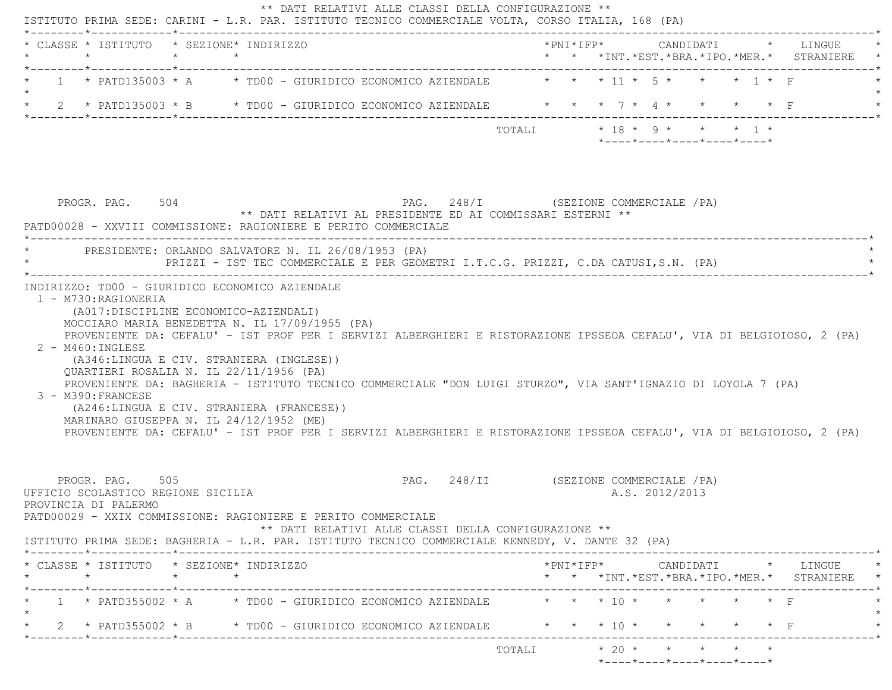| * CLASSE * ISTITUTO * SEZIONE* INDIRIZZO<br>$\star$                                                                                                                                                                                                                                                                                                                                                                                                                                                                                                                                            | $\star$ $\star$ |                                       |                                                                                     |                                        |                               |  |  |                | *PNI*IFP* CANDIDATI * LINGUE<br>* * *INT. *EST. *BRA. *IPO. *MER. * STRANIERE |  |  |
|------------------------------------------------------------------------------------------------------------------------------------------------------------------------------------------------------------------------------------------------------------------------------------------------------------------------------------------------------------------------------------------------------------------------------------------------------------------------------------------------------------------------------------------------------------------------------------------------|-----------------|---------------------------------------|-------------------------------------------------------------------------------------|----------------------------------------|-------------------------------|--|--|----------------|-------------------------------------------------------------------------------|--|--|
| 1 * PATD135003 * A * TD00 - GIURIDICO ECONOMICO AZIENDALE * * * 11 * 5 * * * 1 * F                                                                                                                                                                                                                                                                                                                                                                                                                                                                                                             |                 |                                       |                                                                                     |                                        |                               |  |  |                |                                                                               |  |  |
| 2 * PATD135003 * B * TD00 - GIURIDICO ECONOMICO AZIENDALE * * * 7 * 4 * *                                                                                                                                                                                                                                                                                                                                                                                                                                                                                                                      |                 |                                       |                                                                                     |                                        |                               |  |  |                |                                                                               |  |  |
|                                                                                                                                                                                                                                                                                                                                                                                                                                                                                                                                                                                                |                 |                                       |                                                                                     |                                        | TOTALI $* 18 * 9 * * * * 1 *$ |  |  |                | $*$ - - - - $*$ - - - - $*$ - - - - $*$ - - - - $*$ - - - - $*$               |  |  |
| PROGR. PAG. 504<br>PATD00028 - XXVIII COMMISSIONE: RAGIONIERE E PERITO COMMERCIALE                                                                                                                                                                                                                                                                                                                                                                                                                                                                                                             |                 |                                       | ** DATI RELATIVI AL PRESIDENTE ED AI COMMISSARI ESTERNI **                          | PAG. 248/I (SEZIONE COMMERCIALE /PA)   |                               |  |  |                |                                                                               |  |  |
| PRESIDENTE: ORLANDO SALVATORE N. IL 26/08/1953 (PA)                                                                                                                                                                                                                                                                                                                                                                                                                                                                                                                                            |                 |                                       | PRIZZI - IST TEC COMMERCIALE E PER GEOMETRI I.T.C.G. PRIZZI, C.DA CATUSI, S.N. (PA) |                                        |                               |  |  |                |                                                                               |  |  |
| MOCCIARO MARIA BENEDETTA N. IL 17/09/1955 (PA)                                                                                                                                                                                                                                                                                                                                                                                                                                                                                                                                                 |                 | (A017:DISCIPLINE ECONOMICO-AZIENDALI) |                                                                                     |                                        |                               |  |  |                |                                                                               |  |  |
| PROVENIENTE DA: CEFALU' - IST PROF PER I SERVIZI ALBERGHIERI E RISTORAZIONE IPSSEOA CEFALU', VIA DI BELGIOIOSO, 2 (PA)<br>$2 - M460$ : INGLESE<br>(A346:LINGUA E CIV. STRANIERA (INGLESE))<br>OUARTIERI ROSALIA N. IL 22/11/1956 (PA)<br>PROVENIENTE DA: BAGHERIA - ISTITUTO TECNICO COMMERCIALE "DON LUIGI STURZO", VIA SANT'IGNAZIO DI LOYOLA 7 (PA)<br>3 - M390: FRANCESE<br>(A246:LINGUA E CIV. STRANIERA (FRANCESE))<br>MARINARO GIUSEPPA N. IL 24/12/1952 (ME)<br>PROVENIENTE DA: CEFALU' - IST PROF PER I SERVIZI ALBERGHIERI E RISTORAZIONE IPSSEOA CEFALU', VIA DI BELGIOIOSO, 2 (PA) |                 |                                       |                                                                                     |                                        |                               |  |  |                |                                                                               |  |  |
| PROGR. PAG. 505<br>UFFICIO SCOLASTICO REGIONE SICILIA<br>PROVINCIA DI PALERMO<br>PATD00029 - XXIX COMMISSIONE: RAGIONIERE E PERITO COMMERCIALE<br>ISTITUTO PRIMA SEDE: BAGHERIA - L.R. PAR. ISTITUTO TECNICO COMMERCIALE KENNEDY, V. DANTE 32 (PA)                                                                                                                                                                                                                                                                                                                                             |                 |                                       | ** DATI RELATIVI ALLE CLASSI DELLA CONFIGURAZIONE **                                | PAG. 248/II (SEZIONE COMMERCIALE / PA) |                               |  |  | A.S. 2012/2013 |                                                                               |  |  |
| * CLASSE * ISTITUTO * SEZIONE* INDIRIZZO                                                                                                                                                                                                                                                                                                                                                                                                                                                                                                                                                       | $\star$ $\star$ |                                       |                                                                                     |                                        |                               |  |  |                | $*$ PNI $*$ IFP $*$ CANDIDATI $*$ LINGUE $*$                                  |  |  |
| $\star$                                                                                                                                                                                                                                                                                                                                                                                                                                                                                                                                                                                        |                 |                                       |                                                                                     |                                        |                               |  |  |                | * * *INT.*EST.*BRA.*IPO.*MER.* STRANIERE *                                    |  |  |
| 1 * PATD355002 * A * TD00 - GIURIDICO ECONOMICO AZIENDALE * * * 10 * * * * * * * F<br>* 2 * PATD355002 * B * TD00 - GIURIDICO ECONOMICO AZIENDALE * * * 10 * * * * * * F                                                                                                                                                                                                                                                                                                                                                                                                                       |                 |                                       |                                                                                     |                                        |                               |  |  |                |                                                                               |  |  |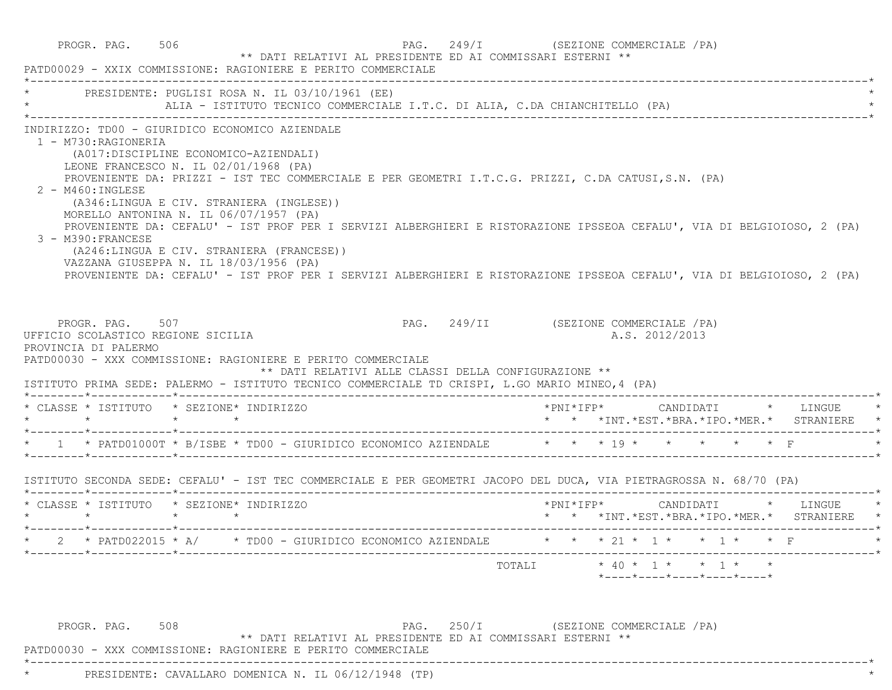| * PRESIDENTE: PUGLISI ROSA N. IL 03/10/1961 (EE)                                                                                              |                                                                                                                                                                                                                                                             |  | ALIA - ISTITUTO TECNICO COMMERCIALE I.T.C. DI ALIA, C.DA CHIANCHITELLO (PA)                                                                                                                                                                                                                                                                            |  |                |  |                                                                                     |
|-----------------------------------------------------------------------------------------------------------------------------------------------|-------------------------------------------------------------------------------------------------------------------------------------------------------------------------------------------------------------------------------------------------------------|--|--------------------------------------------------------------------------------------------------------------------------------------------------------------------------------------------------------------------------------------------------------------------------------------------------------------------------------------------------------|--|----------------|--|-------------------------------------------------------------------------------------|
| INDIRIZZO: TD00 - GIURIDICO ECONOMICO AZIENDALE<br>1 - M730:RAGIONERIA<br>$2 - M460$ : INGLESE<br>3 - M390: FRANCESE                          | (A017:DISCIPLINE ECONOMICO-AZIENDALI)<br>LEONE FRANCESCO N. IL 02/01/1968 (PA)<br>(A346:LINGUA E CIV. STRANIERA (INGLESE))<br>MORELLO ANTONINA N. IL 06/07/1957 (PA)<br>(A246:LINGUA E CIV. STRANIERA (FRANCESE))<br>VAZZANA GIUSEPPA N. IL 18/03/1956 (PA) |  | PROVENIENTE DA: PRIZZI - IST TEC COMMERCIALE E PER GEOMETRI I.T.C.G. PRIZZI, C.DA CATUSI,S.N. (PA)<br>PROVENIENTE DA: CEFALU' - IST PROF PER I SERVIZI ALBERGHIERI E RISTORAZIONE IPSSEOA CEFALU', VIA DI BELGIOIOSO, 2 (PA)<br>PROVENIENTE DA: CEFALU' - IST PROF PER I SERVIZI ALBERGHIERI E RISTORAZIONE IPSSEOA CEFALU', VIA DI BELGIOIOSO, 2 (PA) |  |                |  |                                                                                     |
| PROGR, PAG, 507<br>UFFICIO SCOLASTICO REGIONE SICILIA<br>PROVINCIA DI PALERMO<br>PATD00030 - XXX COMMISSIONE: RAGIONIERE E PERITO COMMERCIALE |                                                                                                                                                                                                                                                             |  | PAG. 249/II (SEZIONE COMMERCIALE / PA)<br>** DATI RELATIVI ALLE CLASSI DELLA CONFIGURAZIONE **                                                                                                                                                                                                                                                         |  | A.S. 2012/2013 |  |                                                                                     |
| ISTITUTO PRIMA SEDE: PALERMO - ISTITUTO TECNICO COMMERCIALE TD CRISPI, L.GO MARIO MINEO, 4 (PA)<br>* CLASSE * ISTITUTO * SEZIONE* INDIRIZZO   |                                                                                                                                                                                                                                                             |  |                                                                                                                                                                                                                                                                                                                                                        |  |                |  | * * *INT.*EST.*BRA.*IPO.*MER.* STRANIERE *                                          |
| * 1 * PATD01000T * B/ISBE * TD00 - GIURIDICO ECONOMICO AZIENDALE $\qquad$ * * * 19 * * * * * * * F                                            |                                                                                                                                                                                                                                                             |  |                                                                                                                                                                                                                                                                                                                                                        |  |                |  |                                                                                     |
| ISTITUTO SECONDA SEDE: CEFALU' - IST TEC COMMERCIALE E PER GEOMETRI JACOPO DEL DUCA, VIA PIETRAGROSSA N. 68/70 (PA)                           |                                                                                                                                                                                                                                                             |  |                                                                                                                                                                                                                                                                                                                                                        |  |                |  |                                                                                     |
| * CLASSE * ISTITUTO * SEZIONE* INDIRIZZO<br>$\star$ $\star$ $\star$ $\star$                                                                   |                                                                                                                                                                                                                                                             |  |                                                                                                                                                                                                                                                                                                                                                        |  |                |  | *PNI*IFP*     CANDIDATI    *   LINGUE<br>* * *INT.*EST.*BRA.*IPO.*MER.* STRANIERE * |
| * 2 * PATD022015 * A/ * TD00 - GIURIDICO ECONOMICO AZIENDALE * * * 21 * 1 * * 1 * * F<br>*--------*-----------*----------                     |                                                                                                                                                                                                                                                             |  |                                                                                                                                                                                                                                                                                                                                                        |  |                |  |                                                                                     |

 \*----------------------------------------------------------------------------------------------------------------------------\*\* PRESIDENTE: CAVALLARO DOMENICA N. IL 06/12/1948 (TP) \*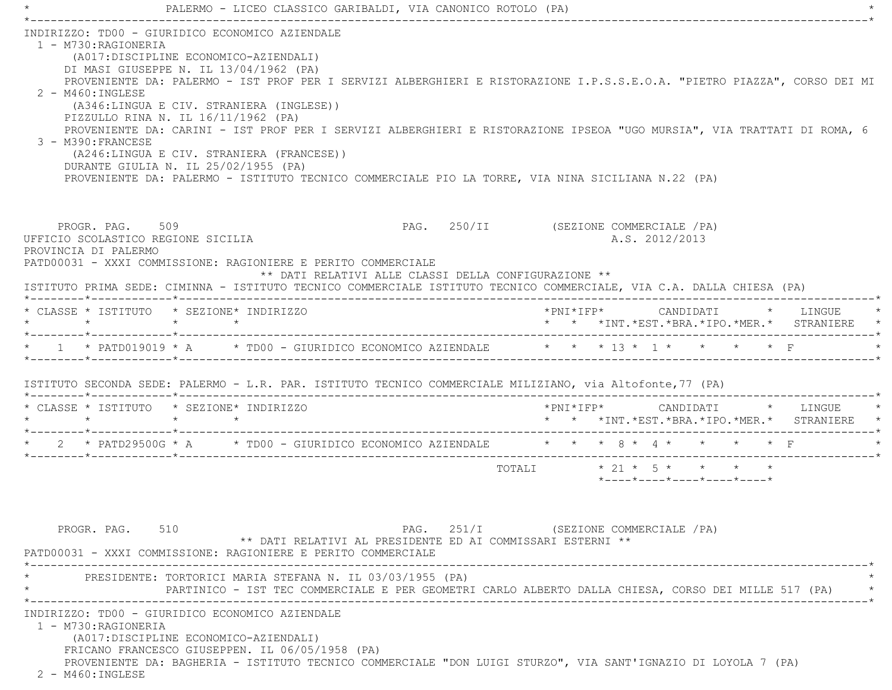|                                                                | PALERMO - LICEO CLASSICO GARIBALDI, VIA CANONICO ROTOLO (PA)                                                                                                                                                                                                                                                                                                                                                    |                                                                                                                                                                                                                                                     |
|----------------------------------------------------------------|-----------------------------------------------------------------------------------------------------------------------------------------------------------------------------------------------------------------------------------------------------------------------------------------------------------------------------------------------------------------------------------------------------------------|-----------------------------------------------------------------------------------------------------------------------------------------------------------------------------------------------------------------------------------------------------|
| 1 - M730:RAGIONERIA<br>2 - M460: INGLESE<br>3 - M390: FRANCESE | INDIRIZZO: TD00 - GIURIDICO ECONOMICO AZIENDALE<br>(A017:DISCIPLINE ECONOMICO-AZIENDALI)<br>DI MASI GIUSEPPE N. IL 13/04/1962 (PA)<br>(A346:LINGUA E CIV. STRANIERA (INGLESE))<br>PIZZULLO RINA N. IL 16/11/1962 (PA)<br>(A246:LINGUA E CIV. STRANIERA (FRANCESE))<br>DURANTE GIULIA N. IL 25/02/1955 (PA)<br>PROVENIENTE DA: PALERMO - ISTITUTO TECNICO COMMERCIALE PIO LA TORRE, VIA NINA SICILIANA N.22 (PA) | PROVENIENTE DA: PALERMO - IST PROF PER I SERVIZI ALBERGHIERI E RISTORAZIONE I.P.S.S.E.O.A. "PIETRO PIAZZA", CORSO DEI MI<br>PROVENIENTE DA: CARINI - IST PROF PER I SERVIZI ALBERGHIERI E RISTORAZIONE IPSEOA "UGO MURSIA", VIA TRATTATI DI ROMA, 6 |
| PROVINCIA DI PALERMO                                           | PROGR. PAG. 509<br>UFFICIO SCOLASTICO REGIONE SICILIA<br>PATD00031 - XXXI COMMISSIONE: RAGIONIERE E PERITO COMMERCIALE<br>** DATI RELATIVI ALLE CLASSI DELLA CONFIGURAZIONE **<br>ISTITUTO PRIMA SEDE: CIMINNA - ISTITUTO TECNICO COMMERCIALE ISTITUTO TECNICO COMMERCIALE, VIA C.A. DALLA CHIESA (PA)                                                                                                          | PAG. 250/II (SEZIONE COMMERCIALE /PA)<br>A.S. 2012/2013                                                                                                                                                                                             |
|                                                                | * CLASSE * ISTITUTO * SEZIONE* INDIRIZZO                                                                                                                                                                                                                                                                                                                                                                        | *PNI*IFP*     CANDIDATI    *   LINGUE<br>* * *INT.*EST.*BRA.*IPO.*MER.* STRANIERE                                                                                                                                                                   |
|                                                                | * 1 * PATD019019 * A * TD00 - GIURIDICO ECONOMICO AZIENDALE * * * 13 * 1 * * * * * F<br>ISTITUTO SECONDA SEDE: PALERMO - L.R. PAR. ISTITUTO TECNICO COMMERCIALE MILIZIANO, via Altofonte, 77 (PA)                                                                                                                                                                                                               |                                                                                                                                                                                                                                                     |
|                                                                | * CLASSE * ISTITUTO * SEZIONE* INDIRIZZO                                                                                                                                                                                                                                                                                                                                                                        | *PNI*IFP* CANDIDATI * LINGUE<br>* * *INT.*EST.*BRA.*IPO.*MER.* STRANIERE *                                                                                                                                                                          |
|                                                                |                                                                                                                                                                                                                                                                                                                                                                                                                 | * 2 * PATD29500G * A * TD00 - GIURIDICO ECONOMICO AZIENDALE * * * 8 * 4 * * * * * F                                                                                                                                                                 |
|                                                                |                                                                                                                                                                                                                                                                                                                                                                                                                 | TOTALI * 21 * 5 * * * * *<br>$*$ - - - - $*$ - - - - $*$ - - - - $*$ - - - - $*$ - - - - $*$                                                                                                                                                        |
| PROGR. PAG. 510                                                | ** DATI RELATIVI AL PRESIDENTE ED AI COMMISSARI ESTERNI **<br>PATD00031 - XXXI COMMISSIONE: RAGIONIERE E PERITO COMMERCIALE                                                                                                                                                                                                                                                                                     | PAG. 251/I (SEZIONE COMMERCIALE / PA)                                                                                                                                                                                                               |
|                                                                | PRESIDENTE: TORTORICI MARIA STEFANA N. IL 03/03/1955 (PA)                                                                                                                                                                                                                                                                                                                                                       | PARTINICO - IST TEC COMMERCIALE E PER GEOMETRI CARLO ALBERTO DALLA CHIESA, CORSO DEI MILLE 517 (PA)                                                                                                                                                 |
| 1 - M730:RAGIONERIA<br>2 - M460: INGLESE                       | INDIRIZZO: TD00 - GIURIDICO ECONOMICO AZIENDALE<br>(A017:DISCIPLINE ECONOMICO-AZIENDALI)<br>FRICANO FRANCESCO GIUSEPPEN. IL 06/05/1958 (PA)<br>PROVENIENTE DA: BAGHERIA - ISTITUTO TECNICO COMMERCIALE "DON LUIGI STURZO", VIA SANT'IGNAZIO DI LOYOLA 7 (PA)                                                                                                                                                    |                                                                                                                                                                                                                                                     |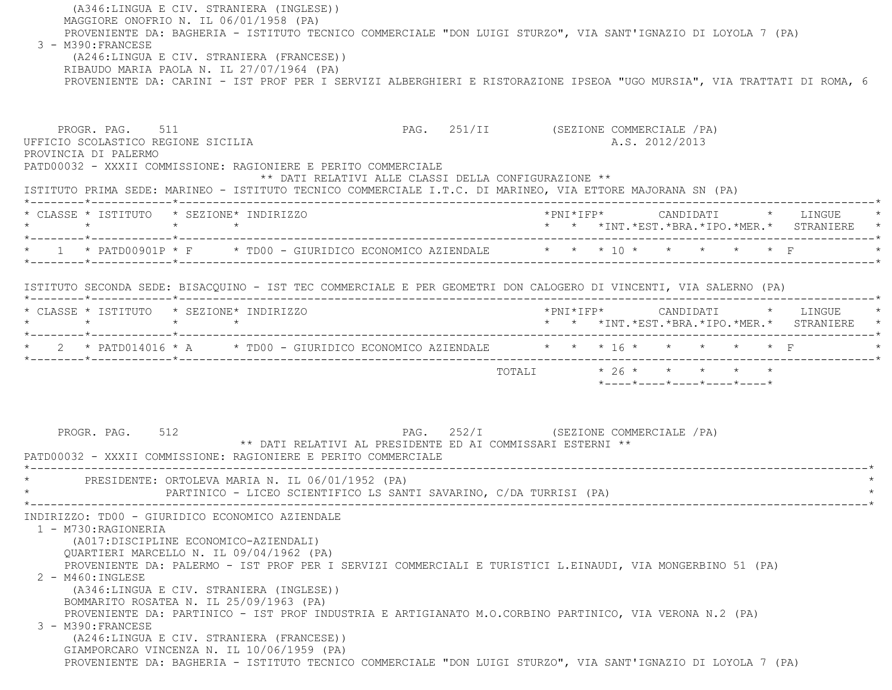(A346:LINGUA E CIV. STRANIERA (INGLESE)) MAGGIORE ONOFRIO N. IL 06/01/1958 (PA) PROVENIENTE DA: BAGHERIA - ISTITUTO TECNICO COMMERCIALE "DON LUIGI STURZO", VIA SANT'IGNAZIO DI LOYOLA 7 (PA) 3 - M390:FRANCESE (A246:LINGUA E CIV. STRANIERA (FRANCESE)) RIBAUDO MARIA PAOLA N. IL 27/07/1964 (PA) PROVENIENTE DA: CARINI - IST PROF PER I SERVIZI ALBERGHIERI E RISTORAZIONE IPSEOA "UGO MURSIA", VIA TRATTATI DI ROMA, 6 PROGR. PAG. 511 **PROGR. PAG. 251/II** (SEZIONE COMMERCIALE /PA) UFFICIO SCOLASTICO REGIONE SICILIA A.S. 2012/2013 PROVINCIA DI PALERMO PATD00032 - XXXII COMMISSIONE: RAGIONIERE E PERITO COMMERCIALE \*\* DATI RELATIVI ALLE CLASSI DELLA CONFIGURAZIONE \*\* ISTITUTO PRIMA SEDE: MARINEO - ISTITUTO TECNICO COMMERCIALE I.T.C. DI MARINEO, VIA ETTORE MAJORANA SN (PA) \*--------\*------------\*-------------------------------------------------------------------------------------------------------\* \* CLASSE \* ISTITUTO \* SEZIONE\* INDIRIZZO \*PNI\*IFP\* CANDIDATI \* LINGUE \* \* \* \* \* \* \* \*INT.\*EST.\*BRA.\*IPO.\*MER.\* STRANIERE \* \*--------\*------------\*-------------------------------------------------------------------------------------------------------\*\* 1 \* PATD00901P \* F \* TD00 - GIURIDICO ECONOMICO AZIENDALE \* \* \* 10 \* \* \* \* \* \* \* F \*--------\*------------\*-------------------------------------------------------------------------------------------------------\* ISTITUTO SECONDA SEDE: BISACQUINO - IST TEC COMMERCIALE E PER GEOMETRI DON CALOGERO DI VINCENTI, VIA SALERNO (PA) \*--------\*------------\*-------------------------------------------------------------------------------------------------------\* \* CLASSE \* ISTITUTO \* SEZIONE\* INDIRIZZO \*PNI\*IFP\* CANDIDATI \* LINGUE \* \* \* \* \* \* \* \*INT.\*EST.\*BRA.\*IPO.\*MER.\* STRANIERE \* \*--------\*------------\*-------------------------------------------------------------------------------------------------------\*\* 2 \* PATD014016 \* A \* TD00 - GIURIDICO ECONOMICO AZIENDALE \* \* \* 16 \* \* \* \* \* \* \* F \*--------\*------------\*-------------------------------------------------------------------------------------------------------\*TOTALI  $* 26 * * * * * * * * * *$  \*----\*----\*----\*----\*----\*PROGR. PAG. 512 **PAG.** 252/I (SEZIONE COMMERCIALE /PA) \*\* DATI RELATIVI AL PRESIDENTE ED AI COMMISSARI ESTERNI \*\* PATD00032 - XXXII COMMISSIONE: RAGIONIERE E PERITO COMMERCIALE \*----------------------------------------------------------------------------------------------------------------------------\*PRESIDENTE: ORTOLEVA MARIA N. IL 06/01/1952 (PA) PARTINICO - LICEO SCIENTIFICO LS SANTI SAVARINO, C/DA TURRISI (PA) \*----------------------------------------------------------------------------------------------------------------------------\* INDIRIZZO: TD00 - GIURIDICO ECONOMICO AZIENDALE 1 - M730:RAGIONERIA (A017:DISCIPLINE ECONOMICO-AZIENDALI) QUARTIERI MARCELLO N. IL 09/04/1962 (PA) PROVENIENTE DA: PALERMO - IST PROF PER I SERVIZI COMMERCIALI E TURISTICI L.EINAUDI, VIA MONGERBINO 51 (PA) 2 - M460:INGLESE (A346:LINGUA E CIV. STRANIERA (INGLESE)) BOMMARITO ROSATEA N. IL 25/09/1963 (PA) PROVENIENTE DA: PARTINICO - IST PROF INDUSTRIA E ARTIGIANATO M.O.CORBINO PARTINICO, VIA VERONA N.2 (PA) 3 - M390:FRANCESE(A246:LINGUA E CIV. STRANIERA (FRANCESE))

GIAMPORCARO VINCENZA N. IL 10/06/1959 (PA)

PROVENIENTE DA: BAGHERIA - ISTITUTO TECNICO COMMERCIALE "DON LUIGI STURZO", VIA SANT'IGNAZIO DI LOYOLA 7 (PA)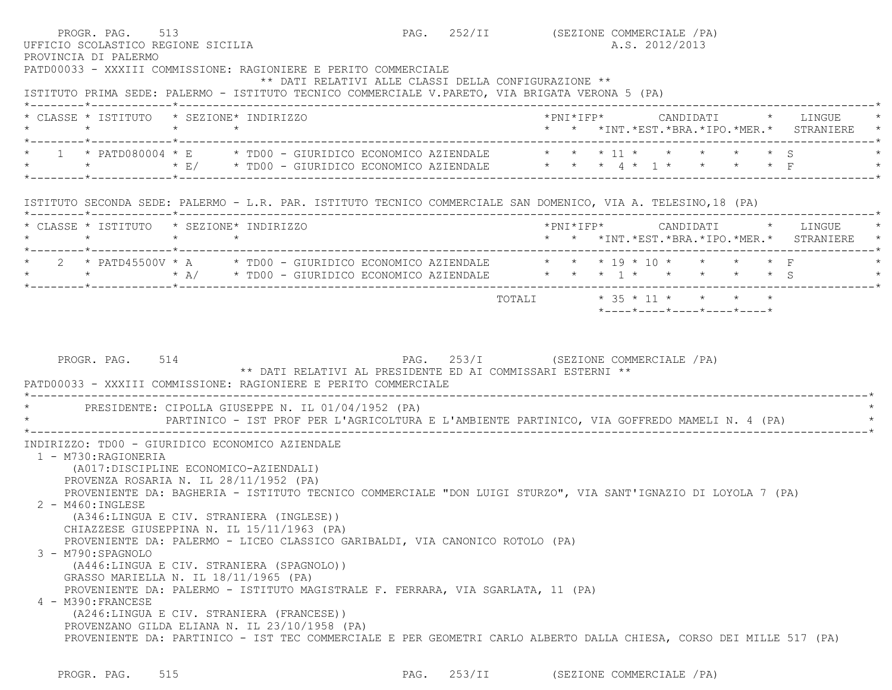|         | PROGR. PAG. 513<br>UFFICIO SCOLASTICO REGIONE SICILIA<br>PROVINCIA DI PALERMO<br>PATD00033 - XXXIII COMMISSIONE: RAGIONIERE E PERITO COMMERCIALE                                                                      |                 |  |  | PAG. 252/II (SEZIONE COMMERCIALE / PA)<br>** DATI RELATIVI ALLE CLASSI DELLA CONFIGURAZIONE **     |                            | A.S. 2012/2013 |  |                            |  |                                                                                          |
|---------|-----------------------------------------------------------------------------------------------------------------------------------------------------------------------------------------------------------------------|-----------------|--|--|----------------------------------------------------------------------------------------------------|----------------------------|----------------|--|----------------------------|--|------------------------------------------------------------------------------------------|
|         | ISTITUTO PRIMA SEDE: PALERMO - ISTITUTO TECNICO COMMERCIALE V.PARETO, VIA BRIGATA VERONA 5 (PA)<br>* CLASSE * ISTITUTO * SEZIONE* INDIRIZZO<br>$\star$ $\star$                                                        | $\star$ $\star$ |  |  |                                                                                                    |                            |                |  |                            |  | *PNI*IFP*     CANDIDATI    *   LINGUE<br>* * *INT. *EST. *BRA. *IPO. *MER. * STRANIERE * |
|         | * 1 * PATD080004 * E * TD00 - GIURIDICO ECONOMICO AZIENDALE * * * 11 * * * * * * * S<br>* * * * * E/ * TD00 - GIURIDICO ECONOMICO AZIENDALE * * * 4 * 1 * * * * * F                                                   |                 |  |  |                                                                                                    |                            |                |  |                            |  |                                                                                          |
|         | ISTITUTO SECONDA SEDE: PALERMO - L.R. PAR. ISTITUTO TECNICO COMMERCIALE SAN DOMENICO, VIA A. TELESINO, 18 (PA)                                                                                                        |                 |  |  |                                                                                                    |                            |                |  |                            |  |                                                                                          |
| $\star$ | * CLASSE * ISTITUTO * SEZIONE* INDIRIZZO                                                                                                                                                                              | $\star$ $\star$ |  |  |                                                                                                    |                            |                |  |                            |  | *PNI*IFP* CANDIDATI * LINGUE<br>* * *INT. *EST. *BRA. *IPO. *MER. * STRANIERE *          |
|         | 2 * PATD45500V * A * TD00 - GIURIDICO ECONOMICO AZIENDALE * * * 19 * 10 * * * * * F<br>* * * * * A/ * TD00 - GIURIDICO ECONOMICO AZIENDALE * * * * 1 * * * * * * * S                                                  |                 |  |  |                                                                                                    |                            |                |  |                            |  |                                                                                          |
|         |                                                                                                                                                                                                                       |                 |  |  |                                                                                                    | TOTALI * 35 * 11 * * * * * |                |  |                            |  |                                                                                          |
|         | PROGR. PAG. 514                                                                                                                                                                                                       |                 |  |  | PAG. 253/I (SEZIONE COMMERCIALE /PA)<br>** DATI RELATIVI AL PRESIDENTE ED AI COMMISSARI ESTERNI ** |                            |                |  | *----*----*----*----*----* |  |                                                                                          |
|         | PATD00033 - XXXIII COMMISSIONE: RAGIONIERE E PERITO COMMERCIALE<br>PRESIDENTE: CIPOLLA GIUSEPPE N. IL 01/04/1952 (PA)<br>PARTINICO - IST PROF PER L'AGRICOLTURA E L'AMBIENTE PARTINICO, VIA GOFFREDO MAMELI N. 4 (PA) |                 |  |  |                                                                                                    |                            |                |  |                            |  |                                                                                          |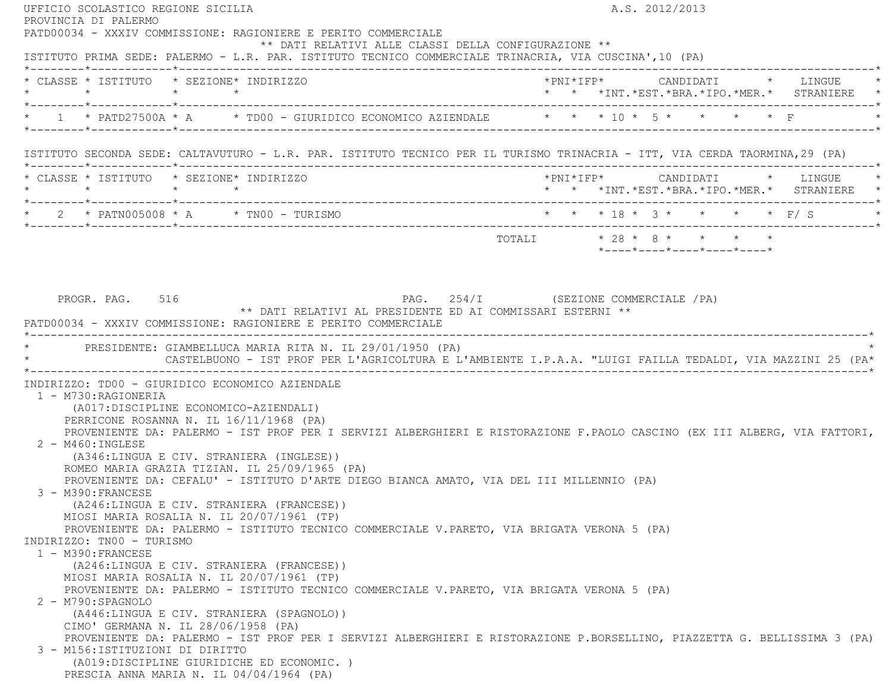UFFICIO SCOLASTICO REGIONE SICILIA A.S. 2012/2013 PROVINCIA DI PALERMO PATD00034 - XXXIV COMMISSIONE: RAGIONIERE E PERITO COMMERCIALE \*\* DATI RELATIVI ALLE CLASSI DELLA CONFIGURAZIONE \*\* ISTITUTO PRIMA SEDE: PALERMO - L.R. PAR. ISTITUTO TECNICO COMMERCIALE TRINACRIA, VIA CUSCINA',10 (PA) \*--------\*------------\*-------------------------------------------------------------------------------------------------------\* \* CLASSE \* ISTITUTO \* SEZIONE\* INDIRIZZO \*PNI\*IFP\* CANDIDATI \* LINGUE \* \* \* \* \* \* \* \*INT.\*EST.\*BRA.\*IPO.\*MER.\* STRANIERE \* \*--------\*------------\*-------------------------------------------------------------------------------------------------------\*\* 1 \* PATD27500A \* A \* TD00 - GIURIDICO ECONOMICO AZIENDALE \* \* \* 10 \* 5 \* \* \* \* \* F \*--------\*------------\*-------------------------------------------------------------------------------------------------------\* ISTITUTO SECONDA SEDE: CALTAVUTURO - L.R. PAR. ISTITUTO TECNICO PER IL TURISMO TRINACRIA - ITT, VIA CERDA TAORMINA,29 (PA) \*--------\*------------\*-------------------------------------------------------------------------------------------------------\* \* CLASSE \* ISTITUTO \* SEZIONE\* INDIRIZZO \*PNI\*IFP\* CANDIDATI \* LINGUE \* \* \* \* \* \* \* \*INT.\*EST.\*BRA.\*IPO.\*MER.\* STRANIERE \* \*--------\*------------\*-------------------------------------------------------------------------------------------------------\* \* 2 \* PATN005008 \* A \* TN00 - TURISMO \* \* \* 18 \* 3 \* \* \* \* F/ S \* \*--------\*------------\*-------------------------------------------------------------------------------------------------------\*TOTALI  $* 28 * 8 * * * * * * * *$  \*----\*----\*----\*----\*----\*PROGR. PAG. 516 **PAG.** 254/I (SEZIONE COMMERCIALE /PA) \*\* DATI RELATIVI AL PRESIDENTE ED AI COMMISSARI ESTERNI \*\* PATD00034 - XXXIV COMMISSIONE: RAGIONIERE E PERITO COMMERCIALE \*----------------------------------------------------------------------------------------------------------------------------\*PRESIDENTE: GIAMBELLUCA MARIA RITA N. IL 29/01/1950 (PA) \* CASTELBUONO - IST PROF PER L'AGRICOLTURA E L'AMBIENTE I.P.A.A. "LUIGI FAILLA TEDALDI, VIA MAZZINI 25 (PA\* \*----------------------------------------------------------------------------------------------------------------------------\* INDIRIZZO: TD00 - GIURIDICO ECONOMICO AZIENDALE 1 - M730:RAGIONERIA (A017:DISCIPLINE ECONOMICO-AZIENDALI) PERRICONE ROSANNA N. IL 16/11/1968 (PA) PROVENIENTE DA: PALERMO - IST PROF PER I SERVIZI ALBERGHIERI E RISTORAZIONE F.PAOLO CASCINO (EX III ALBERG, VIA FATTORI, 2 - M460:INGLESE (A346:LINGUA E CIV. STRANIERA (INGLESE)) ROMEO MARIA GRAZIA TIZIAN. IL 25/09/1965 (PA) PROVENIENTE DA: CEFALU' - ISTITUTO D'ARTE DIEGO BIANCA AMATO, VIA DEL III MILLENNIO (PA) 3 - M390:FRANCESE (A246:LINGUA E CIV. STRANIERA (FRANCESE)) MIOSI MARIA ROSALIA N. IL 20/07/1961 (TP) PROVENIENTE DA: PALERMO - ISTITUTO TECNICO COMMERCIALE V.PARETO, VIA BRIGATA VERONA 5 (PA) INDIRIZZO: TN00 - TURISMO 1 - M390:FRANCESE (A246:LINGUA E CIV. STRANIERA (FRANCESE)) MIOSI MARIA ROSALIA N. IL 20/07/1961 (TP) PROVENIENTE DA: PALERMO - ISTITUTO TECNICO COMMERCIALE V.PARETO, VIA BRIGATA VERONA 5 (PA) 2 - M790:SPAGNOLO (A446:LINGUA E CIV. STRANIERA (SPAGNOLO)) CIMO' GERMANA N. IL 28/06/1958 (PA) PROVENIENTE DA: PALERMO - IST PROF PER I SERVIZI ALBERGHIERI E RISTORAZIONE P.BORSELLINO, PIAZZETTA G. BELLISSIMA 3 (PA) 3 - M156:ISTITUZIONI DI DIRITTO (A019:DISCIPLINE GIURIDICHE ED ECONOMIC. ) PRESCIA ANNA MARIA N. IL 04/04/1964 (PA)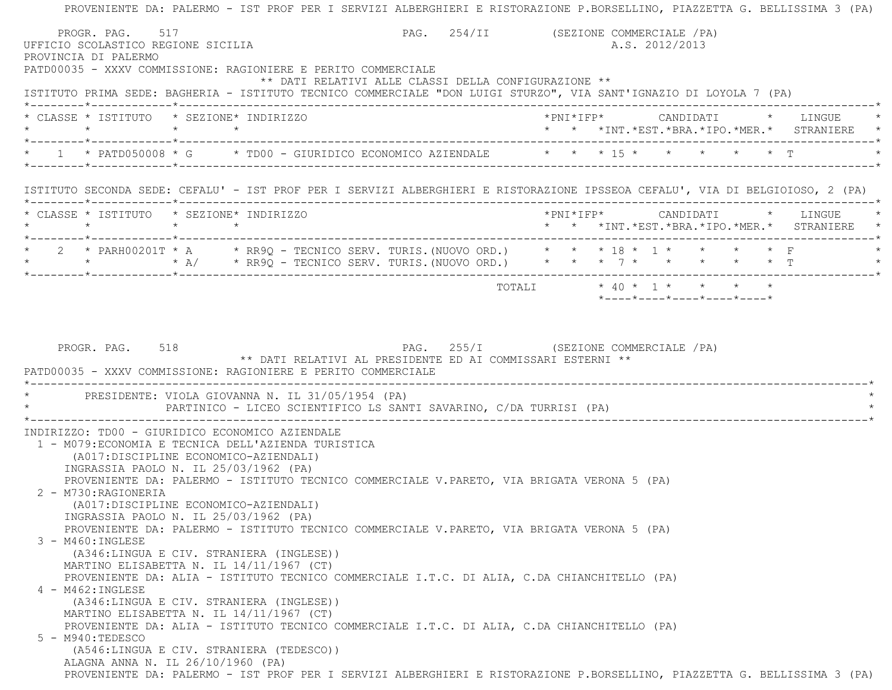PROVENIENTE DA: PALERMO - IST PROF PER I SERVIZI ALBERGHIERI E RISTORAZIONE P.BORSELLINO, PIAZZETTA G. BELLISSIMA 3 (PA) PROGR. PAG. 517 CHARGE 1988 PAG. 254/II (SEZIONE COMMERCIALE / PA) UFFICIO SCOLASTICO REGIONE SICILIA A.S. 2012/2013 PROVINCIA DI PALERMO PATD00035 - XXXV COMMISSIONE: RAGIONIERE E PERITO COMMERCIALE \*\* DATI RELATIVI ALLE CLASSI DELLA CONFIGURAZIONE \*\* ISTITUTO PRIMA SEDE: BAGHERIA - ISTITUTO TECNICO COMMERCIALE "DON LUIGI STURZO", VIA SANT'IGNAZIO DI LOYOLA 7 (PA) \*--------\*------------\*-------------------------------------------------------------------------------------------------------\* \* CLASSE \* ISTITUTO \* SEZIONE\* INDIRIZZO \*PNI\*IFP\* CANDIDATI \* LINGUE \* \* \* \* \* \* \* \*INT.\*EST.\*BRA.\*IPO.\*MER.\* STRANIERE \* \*--------\*------------\*-------------------------------------------------------------------------------------------------------\*\* 1 \* PATD050008 \* G \* TD00 - GIURIDICO ECONOMICO AZIENDALE \* \* \* 15 \* \* \* \* \* \* \* \* T \*--------\*------------\*-------------------------------------------------------------------------------------------------------\* ISTITUTO SECONDA SEDE: CEFALU' - IST PROF PER I SERVIZI ALBERGHIERI E RISTORAZIONE IPSSEOA CEFALU', VIA DI BELGIOIOSO, 2 (PA) \*--------\*------------\*-------------------------------------------------------------------------------------------------------\* \* CLASSE \* ISTITUTO \* SEZIONE\* INDIRIZZO \*PNI\*IFP\* CANDIDATI \* LINGUE \* \* \* \* \* \* \* \*INT.\*EST.\*BRA.\*IPO.\*MER.\* STRANIERE \* \*--------\*------------\*-------------------------------------------------------------------------------------------------------\* \* 2 \* PARH00201T \* A \* RR9Q - TECNICO SERV. TURIS.(NUOVO ORD.) \* \* \* 18 \* 1 \* \* \* \* F \* \* \* \* A/ \* RR9Q - TECNICO SERV. TURIS.(NUOVO ORD.) \* \* \* 7 \* \* \* \* \* T \* \*--------\*------------\*-------------------------------------------------------------------------------------------------------\* TOTALI \* 40 \* 1 \* \* \* \* \*----\*----\*----\*----\*----\*PROGR. PAG. 518 PAG. 255/I (SEZIONE COMMERCIALE / PA) \*\* DATI RELATIVI AL PRESIDENTE ED AI COMMISSARI ESTERNI \*\* PATD00035 - XXXV COMMISSIONE: RAGIONIERE E PERITO COMMERCIALE \*----------------------------------------------------------------------------------------------------------------------------\*PRESIDENTE: VIOLA GIOVANNA N. IL 31/05/1954 (PA) PARTINICO - LICEO SCIENTIFICO LS SANTI SAVARINO, C/DA TURRISI (PA) \*----------------------------------------------------------------------------------------------------------------------------\* INDIRIZZO: TD00 - GIURIDICO ECONOMICO AZIENDALE 1 - M079:ECONOMIA E TECNICA DELL'AZIENDA TURISTICA (A017:DISCIPLINE ECONOMICO-AZIENDALI) INGRASSIA PAOLO N. IL 25/03/1962 (PA) PROVENIENTE DA: PALERMO - ISTITUTO TECNICO COMMERCIALE V.PARETO, VIA BRIGATA VERONA 5 (PA) 2 - M730:RAGIONERIA (A017:DISCIPLINE ECONOMICO-AZIENDALI) INGRASSIA PAOLO N. IL 25/03/1962 (PA) PROVENIENTE DA: PALERMO - ISTITUTO TECNICO COMMERCIALE V.PARETO, VIA BRIGATA VERONA 5 (PA) 3 - M460:INGLESE (A346:LINGUA E CIV. STRANIERA (INGLESE)) MARTINO ELISABETTA N. IL 14/11/1967 (CT) PROVENIENTE DA: ALIA - ISTITUTO TECNICO COMMERCIALE I.T.C. DI ALIA, C.DA CHIANCHITELLO (PA) 4 - M462:INGLESE (A346:LINGUA E CIV. STRANIERA (INGLESE)) MARTINO ELISABETTA N. IL 14/11/1967 (CT) PROVENIENTE DA: ALIA - ISTITUTO TECNICO COMMERCIALE I.T.C. DI ALIA, C.DA CHIANCHITELLO (PA) 5 - M940:TEDESCO (A546:LINGUA E CIV. STRANIERA (TEDESCO)) ALAGNA ANNA N. IL 26/10/1960 (PA) PROVENIENTE DA: PALERMO - IST PROF PER I SERVIZI ALBERGHIERI E RISTORAZIONE P.BORSELLINO, PIAZZETTA G. BELLISSIMA 3 (PA)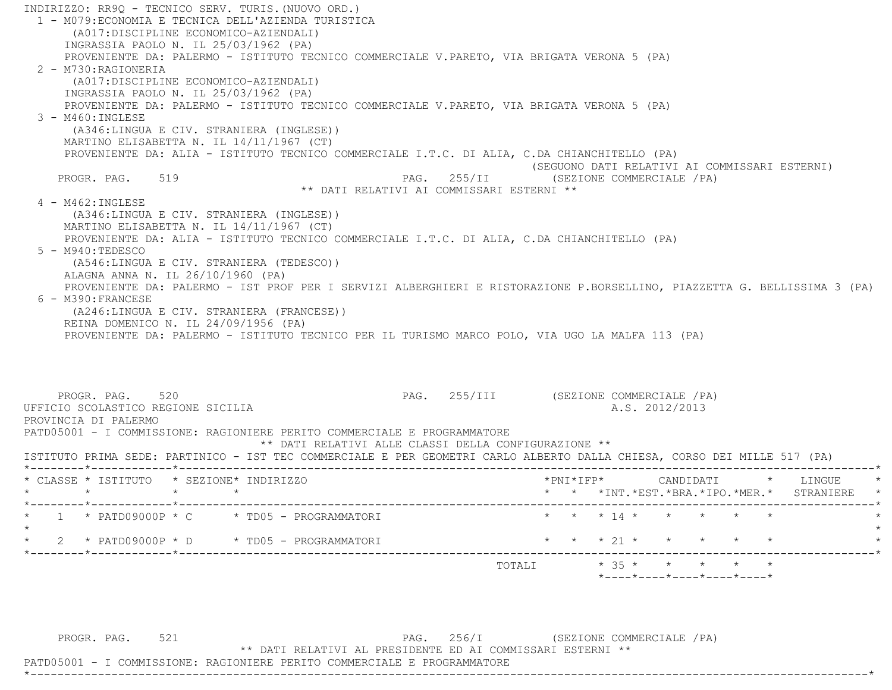INDIRIZZO: RR9Q - TECNICO SERV. TURIS.(NUOVO ORD.) 1 - M079:ECONOMIA E TECNICA DELL'AZIENDA TURISTICA (A017:DISCIPLINE ECONOMICO-AZIENDALI) INGRASSIA PAOLO N. IL 25/03/1962 (PA) PROVENIENTE DA: PALERMO - ISTITUTO TECNICO COMMERCIALE V.PARETO, VIA BRIGATA VERONA 5 (PA) 2 - M730:RAGIONERIA (A017:DISCIPLINE ECONOMICO-AZIENDALI) INGRASSIA PAOLO N. IL 25/03/1962 (PA) PROVENIENTE DA: PALERMO - ISTITUTO TECNICO COMMERCIALE V.PARETO, VIA BRIGATA VERONA 5 (PA) 3 - M460:INGLESE (A346:LINGUA E CIV. STRANIERA (INGLESE)) MARTINO ELISABETTA N. IL 14/11/1967 (CT) PROVENIENTE DA: ALIA - ISTITUTO TECNICO COMMERCIALE I.T.C. DI ALIA, C.DA CHIANCHITELLO (PA) (SEGUONO DATI RELATIVI AI COMMISSARI ESTERNI) PROGR. PAG. 519 PAG. PAG. 255/II (SEZIONE COMMERCIALE / PA) \*\* DATI RELATIVI AI COMMISSARI ESTERNI \*\* 4 - M462:INGLESE (A346:LINGUA E CIV. STRANIERA (INGLESE)) MARTINO ELISABETTA N. IL 14/11/1967 (CT) PROVENIENTE DA: ALIA - ISTITUTO TECNICO COMMERCIALE I.T.C. DI ALIA, C.DA CHIANCHITELLO (PA) 5 - M940:TEDESCO (A546:LINGUA E CIV. STRANIERA (TEDESCO)) ALAGNA ANNA N. IL 26/10/1960 (PA) PROVENIENTE DA: PALERMO - IST PROF PER I SERVIZI ALBERGHIERI E RISTORAZIONE P.BORSELLINO, PIAZZETTA G. BELLISSIMA 3 (PA) 6 - M390:FRANCESE (A246:LINGUA E CIV. STRANIERA (FRANCESE)) REINA DOMENICO N. IL 24/09/1956 (PA) PROVENIENTE DA: PALERMO - ISTITUTO TECNICO PER IL TURISMO MARCO POLO, VIA UGO LA MALFA 113 (PA) PROGR. PAG. 520 **PAG.** 255/III (SEZIONE COMMERCIALE /PA) UFFICIO SCOLASTICO REGIONE SICILIA A.S. 2012/2013 PROVINCIA DI PALERMO PATD05001 - I COMMISSIONE: RAGIONIERE PERITO COMMERCIALE E PROGRAMMATORE \*\* DATI RELATIVI ALLE CLASSI DELLA CONFIGURAZIONE \*\* ISTITUTO PRIMA SEDE: PARTINICO - IST TEC COMMERCIALE E PER GEOMETRI CARLO ALBERTO DALLA CHIESA, CORSO DEI MILLE 517 (PA) \*--------\*------------\*-------------------------------------------------------------------------------------------------------\* \* CLASSE \* ISTITUTO \* SEZIONE\* INDIRIZZO \*PNI\*IFP\* CANDIDATI \* LINGUE \* \* \* \* \* \* \* \*INT.\*EST.\*BRA.\*IPO.\*MER.\* STRANIERE \* \*--------\*------------\*-------------------------------------------------------------------------------------------------------\*\* 1 \* PATD09000P \* C \* TD05 - PROGRAMMATORI \* \* \* \* 14 \* \* \* \* \* \* \* \*  $\star$ \* 2 \* PATD09000P \* D \* TD05 - PROGRAMMATORI \* \* \* \* 21 \* \* \* \* \* \* \* \* \*--------\*------------\*-------------------------------------------------------------------------------------------------------\*TOTALI  $* 35 * * * * * * * * *$ \*----\*----\*----\*----\*----\*

\*----------------------------------------------------------------------------------------------------------------------------\*

PROGR. PAG. 521 Services and the services of the page of the services of the services of the page of the page of the page of the page of the page of the page of the page of the page of the page of the page of the page of t

\*\* DATI RELATIVI AL PRESIDENTE ED AI COMMISSARI ESTERNI \*\*

PATD05001 - I COMMISSIONE: RAGIONIERE PERITO COMMERCIALE E PROGRAMMATORE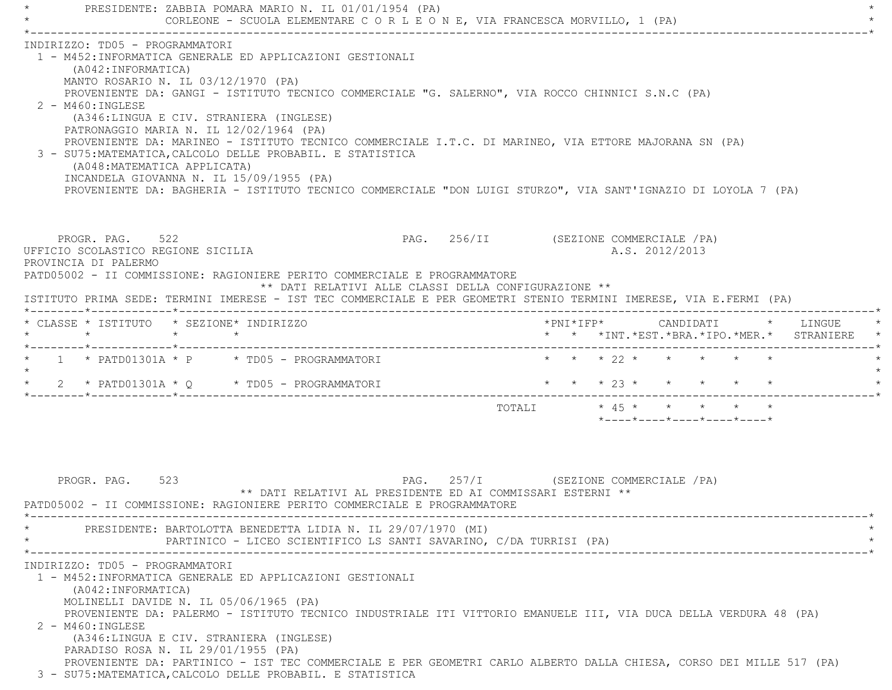\* PRESIDENTE: ZABBIA POMARA MARIO N. IL 01/01/1954 (PA) \* CORLEONE - SCUOLA ELEMENTARE C O R L E O N E, VIA FRANCESCA MORVILLO, 1 (PA) \*----------------------------------------------------------------------------------------------------------------------------\* INDIRIZZO: TD05 - PROGRAMMATORI 1 - M452:INFORMATICA GENERALE ED APPLICAZIONI GESTIONALI (A042:INFORMATICA) MANTO ROSARIO N. IL 03/12/1970 (PA) PROVENIENTE DA: GANGI - ISTITUTO TECNICO COMMERCIALE "G. SALERNO", VIA ROCCO CHINNICI S.N.C (PA) 2 - M460:INGLESE (A346:LINGUA E CIV. STRANIERA (INGLESE) PATRONAGGIO MARIA N. IL 12/02/1964 (PA) PROVENIENTE DA: MARINEO - ISTITUTO TECNICO COMMERCIALE I.T.C. DI MARINEO, VIA ETTORE MAJORANA SN (PA) 3 - SU75:MATEMATICA,CALCOLO DELLE PROBABIL. E STATISTICA (A048:MATEMATICA APPLICATA) INCANDELA GIOVANNA N. IL 15/09/1955 (PA) PROVENIENTE DA: BAGHERIA - ISTITUTO TECNICO COMMERCIALE "DON LUIGI STURZO", VIA SANT'IGNAZIO DI LOYOLA 7 (PA) PROGR. PAG. 522 PAG. 256/II (SEZIONE COMMERCIALE / PA) UFFICIO SCOLASTICO REGIONE SICILIA A.S. 2012/2013 PROVINCIA DI PALERMO PATD05002 - II COMMISSIONE: RAGIONIERE PERITO COMMERCIALE E PROGRAMMATORE \*\* DATI RELATIVI ALLE CLASSI DELLA CONFIGURAZIONE \*\* ISTITUTO PRIMA SEDE: TERMINI IMERESE - IST TEC COMMERCIALE E PER GEOMETRI STENIO TERMINI IMERESE, VIA E.FERMI (PA) \*--------\*------------\*-------------------------------------------------------------------------------------------------------\* \* CLASSE \* ISTITUTO \* SEZIONE\* INDIRIZZO \*PNI\*IFP\* CANDIDATI \* LINGUE \* \* \* \* \* \* \* \*INT.\*EST.\*BRA.\*IPO.\*MER.\* STRANIERE \* \*--------\*------------\*-------------------------------------------------------------------------------------------------------\*1 \* PATD01301A \* P \* TD05 - PROGRAMMATORI \* \* \* \* 22 \* \* \* \* \* \*  $\star$ \* 2 \* PATD01301A \* O \* TD05 - PROGRAMMATORI \* \* \* \* 23 \* \* \* \* \* \* \* \*--------\*------------\*-------------------------------------------------------------------------------------------------------\*TOTALI  $\star$  45  $\star$   $\star$   $\star$   $\star$   $\star$  \*----\*----\*----\*----\*----\*PROGR. PAG. 523 **PAG. 257/I (SEZIONE COMMERCIALE /PA)**  \*\* DATI RELATIVI AL PRESIDENTE ED AI COMMISSARI ESTERNI \*\* PATD05002 - II COMMISSIONE: RAGIONIERE PERITO COMMERCIALE E PROGRAMMATORE \*----------------------------------------------------------------------------------------------------------------------------\*PRESIDENTE: BARTOLOTTA BENEDETTA LIDIA N. IL 29/07/1970 (MI) PARTINICO - LICEO SCIENTIFICO LS SANTI SAVARINO, C/DA TURRISI (PA) \*----------------------------------------------------------------------------------------------------------------------------\* INDIRIZZO: TD05 - PROGRAMMATORI 1 - M452:INFORMATICA GENERALE ED APPLICAZIONI GESTIONALI (A042:INFORMATICA) MOLINELLI DAVIDE N. IL 05/06/1965 (PA) PROVENIENTE DA: PALERMO - ISTITUTO TECNICO INDUSTRIALE ITI VITTORIO EMANUELE III, VIA DUCA DELLA VERDURA 48 (PA) 2 - M460:INGLESE (A346:LINGUA E CIV. STRANIERA (INGLESE) PARADISO ROSA N. IL 29/01/1955 (PA) PROVENIENTE DA: PARTINICO - IST TEC COMMERCIALE E PER GEOMETRI CARLO ALBERTO DALLA CHIESA, CORSO DEI MILLE 517 (PA) 3 - SU75:MATEMATICA,CALCOLO DELLE PROBABIL. E STATISTICA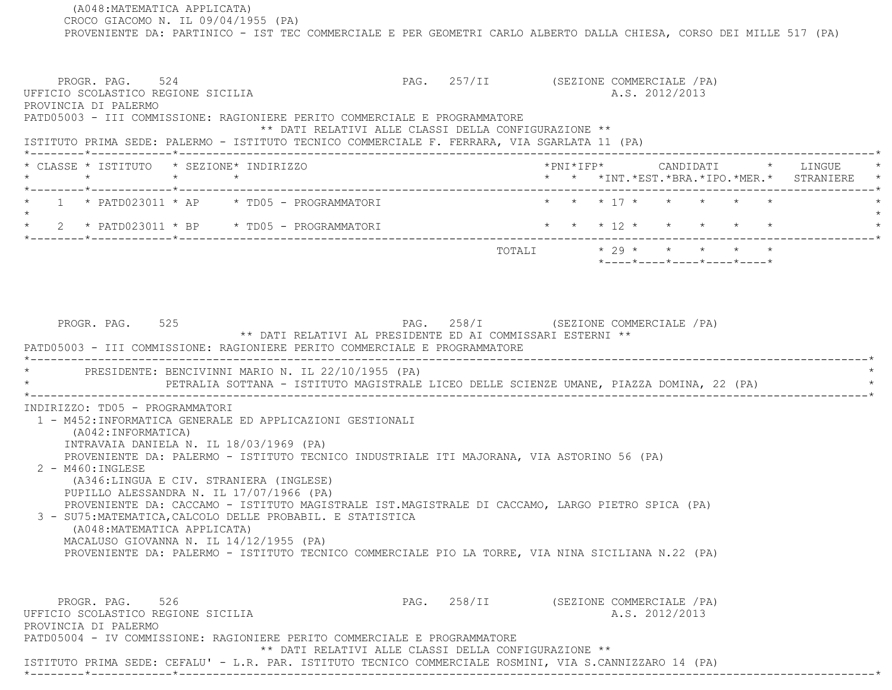(A048:MATEMATICA APPLICATA) CROCO GIACOMO N. IL 09/04/1955 (PA) PROVENIENTE DA: PARTINICO - IST TEC COMMERCIALE E PER GEOMETRI CARLO ALBERTO DALLA CHIESA, CORSO DEI MILLE 517 (PA) PROGR. PAG. 524 SALLA SERIORE COMMERCIALE (PA) UFFICIO SCOLASTICO REGIONE SICILIA A.S. 2012/2013 PROVINCIA DI PALERMO PATD05003 - III COMMISSIONE: RAGIONIERE PERITO COMMERCIALE E PROGRAMMATORE \*\* DATI RELATIVI ALLE CLASSI DELLA CONFIGURAZIONE \*\* ISTITUTO PRIMA SEDE: PALERMO - ISTITUTO TECNICO COMMERCIALE F. FERRARA, VIA SGARLATA 11 (PA) \*--------\*------------\*-------------------------------------------------------------------------------------------------------\* \* CLASSE \* ISTITUTO \* SEZIONE\* INDIRIZZO \*PNI\*IFP\* CANDIDATI \* LINGUE \* \* \* \* \* \* \* \*INT.\*EST.\*BRA.\*IPO.\*MER.\* STRANIERE \* \*--------\*------------\*-------------------------------------------------------------------------------------------------------\*1 \* PATD023011 \* AP \* TD05 - PROGRAMMATORI \* \* \* \* 17 \* \* \* \* \* \* \* \* \*  $\star$  \* 2 \* PATD023011 \* BP \* TD05 - PROGRAMMATORI \* \* \* 12 \* \* \* \* \* \* \*--------\*------------\*-------------------------------------------------------------------------------------------------------\* $\texttt{TOTALI} \qquad \qquad \star \quad 29 \; \star \qquad \star \qquad \star \qquad \star \qquad \star \qquad \star$  \*----\*----\*----\*----\*----\*PROGR. PAG. 525 PAG. 258/I (SEZIONE COMMERCIALE /PA) \*\* DATI RELATIVI AL PRESIDENTE ED AI COMMISSARI ESTERNI \*\* PATD05003 - III COMMISSIONE: RAGIONIERE PERITO COMMERCIALE E PROGRAMMATORE \*----------------------------------------------------------------------------------------------------------------------------\*PRESIDENTE: BENCIVINNI MARIO N. IL 22/10/1955 (PA) PETRALIA SOTTANA - ISTITUTO MAGISTRALE LICEO DELLE SCIENZE UMANE, PIAZZA DOMINA, 22 (PA) \*----------------------------------------------------------------------------------------------------------------------------\* INDIRIZZO: TD05 - PROGRAMMATORI 1 - M452:INFORMATICA GENERALE ED APPLICAZIONI GESTIONALI (A042:INFORMATICA) INTRAVAIA DANIELA N. IL 18/03/1969 (PA) PROVENIENTE DA: PALERMO - ISTITUTO TECNICO INDUSTRIALE ITI MAJORANA, VIA ASTORINO 56 (PA) 2 - M460:INGLESE (A346:LINGUA E CIV. STRANIERA (INGLESE) PUPILLO ALESSANDRA N. IL 17/07/1966 (PA) PROVENIENTE DA: CACCAMO - ISTITUTO MAGISTRALE IST.MAGISTRALE DI CACCAMO, LARGO PIETRO SPICA (PA) 3 - SU75:MATEMATICA,CALCOLO DELLE PROBABIL. E STATISTICA (A048:MATEMATICA APPLICATA) MACALUSO GIOVANNA N. IL 14/12/1955 (PA) PROVENIENTE DA: PALERMO - ISTITUTO TECNICO COMMERCIALE PIO LA TORRE, VIA NINA SICILIANA N.22 (PA) PROGR. PAG. 526 526 PAG. 258/II (SEZIONE COMMERCIALE / PA) UFFICIO SCOLASTICO REGIONE SICILIA A.S. 2012/2013 PROVINCIA DI PALERMO PATD05004 - IV COMMISSIONE: RAGIONIERE PERITO COMMERCIALE E PROGRAMMATORE \*\* DATI RELATIVI ALLE CLASSI DELLA CONFIGURAZIONE \*\*ISTITUTO PRIMA SEDE: CEFALU' - L.R. PAR. ISTITUTO TECNICO COMMERCIALE ROSMINI, VIA S.CANNIZZARO 14 (PA)

\*--------\*------------\*-------------------------------------------------------------------------------------------------------\*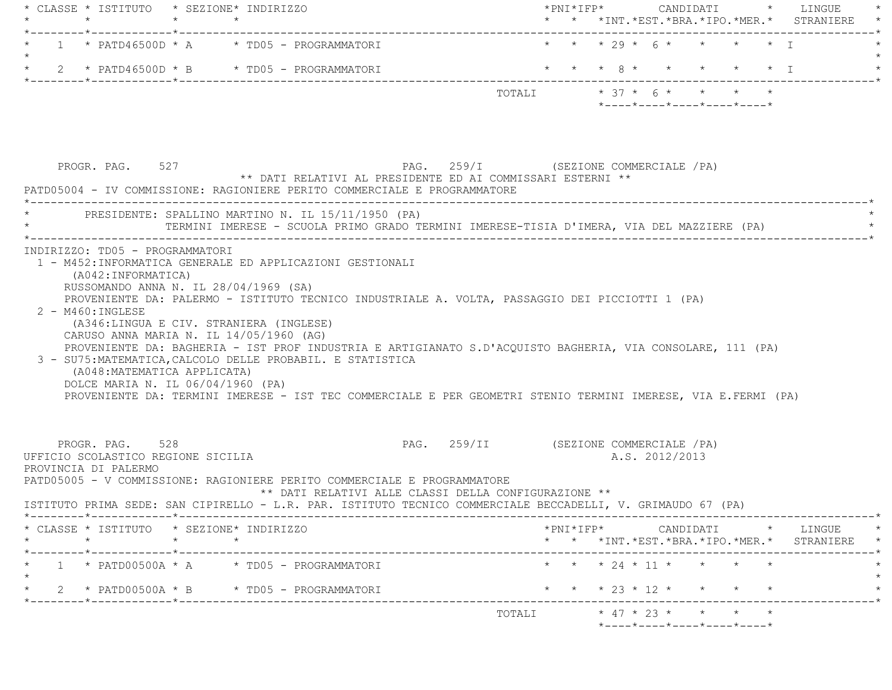| * CLASSE * ISTITUTO * SEZIONE* INDIRIZZO                                      |                                                                                                                                                                                                                                                                                                                                                                                                                                                                                                                                                                  |                                                                                            |
|-------------------------------------------------------------------------------|------------------------------------------------------------------------------------------------------------------------------------------------------------------------------------------------------------------------------------------------------------------------------------------------------------------------------------------------------------------------------------------------------------------------------------------------------------------------------------------------------------------------------------------------------------------|--------------------------------------------------------------------------------------------|
| $\star$ $\star$<br>_______*____________*________                              | $\star$                                                                                                                                                                                                                                                                                                                                                                                                                                                                                                                                                          | * * *INT. *EST. *BRA. *IPO. *MER. * STRANIERE                                              |
|                                                                               | 1 * PATD46500D * A * TD05 - PROGRAMMATORI                                                                                                                                                                                                                                                                                                                                                                                                                                                                                                                        | * * * 29 * 6 * * * * * I                                                                   |
| $\star$                                                                       | 2 * PATD46500D * B * TD05 - PROGRAMMATORI                                                                                                                                                                                                                                                                                                                                                                                                                                                                                                                        | * * * 8 * * * * * * I                                                                      |
|                                                                               |                                                                                                                                                                                                                                                                                                                                                                                                                                                                                                                                                                  | TOTALI * 37 * 6 * * * * *                                                                  |
|                                                                               |                                                                                                                                                                                                                                                                                                                                                                                                                                                                                                                                                                  | $*$ ---- $*$ ---- $*$ ---- $*$ ---- $*$ ---- $*$                                           |
| PROGR. PAG. 527                                                               | PAG. 259/I (SEZIONE COMMERCIALE /PA)                                                                                                                                                                                                                                                                                                                                                                                                                                                                                                                             |                                                                                            |
|                                                                               | ** DATI RELATIVI AL PRESIDENTE ED AI COMMISSARI ESTERNI **<br>PATD05004 - IV COMMISSIONE: RAGIONIERE PERITO COMMERCIALE E PROGRAMMATORE                                                                                                                                                                                                                                                                                                                                                                                                                          |                                                                                            |
|                                                                               | PRESIDENTE: SPALLINO MARTINO N. IL 15/11/1950 (PA)<br>TERMINI IMERESE - SCUOLA PRIMO GRADO TERMINI IMERESE-TISIA D'IMERA, VIA DEL MAZZIERE (PA)                                                                                                                                                                                                                                                                                                                                                                                                                  |                                                                                            |
| $2 - M460$ : INGLESE<br>(A048:MATEMATICA APPLICATA)                           | RUSSOMANDO ANNA N. IL 28/04/1969 (SA)<br>PROVENIENTE DA: PALERMO - ISTITUTO TECNICO INDUSTRIALE A. VOLTA, PASSAGGIO DEI PICCIOTTI 1 (PA)<br>(A346:LINGUA E CIV. STRANIERA (INGLESE)<br>CARUSO ANNA MARIA N. IL 14/05/1960 (AG)<br>PROVENIENTE DA: BAGHERIA - IST PROF INDUSTRIA E ARTIGIANATO S.D'ACQUISTO BAGHERIA, VIA CONSOLARE, 111 (PA)<br>3 - SU75: MATEMATICA, CALCOLO DELLE PROBABIL. E STATISTICA<br>DOLCE MARIA N. IL 06/04/1960 (PA)<br>PROVENIENTE DA: TERMINI IMERESE - IST TEC COMMERCIALE E PER GEOMETRI STENIO TERMINI IMERESE, VIA E.FERMI (PA) |                                                                                            |
| PROGR. PAG. 528<br>UFFICIO SCOLASTICO REGIONE SICILIA<br>PROVINCIA DI PALERMO |                                                                                                                                                                                                                                                                                                                                                                                                                                                                                                                                                                  | PAG. 259/II (SEZIONE COMMERCIALE /PA)<br>A.S. 2012/2013                                    |
|                                                                               | PATD05005 - V COMMISSIONE: RAGIONIERE PERITO COMMERCIALE E PROGRAMMATORE<br>** DATI RELATIVI ALLE CLASSI DELLA CONFIGURAZIONE **<br>ISTITUTO PRIMA SEDE: SAN CIPIRELLO - L.R. PAR. ISTITUTO TECNICO COMMERCIALE BECCADELLI, V. GRIMAUDO 67 (PA)                                                                                                                                                                                                                                                                                                                  |                                                                                            |
| CLASSE * ISTITUTO * SEZIONE* INDIRIZZO<br>$\star$                             | $\star$ $\star$                                                                                                                                                                                                                                                                                                                                                                                                                                                                                                                                                  | $*$ PNI $*$ IFP $*$ CANDIDATI $*$ LINGUE $*$<br>* * *INT.*EST.*BRA.*IPO.*MER.* STRANIERE * |
| ____*____________*______                                                      | $1 * PATDOO5O0A * A * TDO5 - PROGRAMMATORI$                                                                                                                                                                                                                                                                                                                                                                                                                                                                                                                      | * * * 24 * 11 * * * *                                                                      |
|                                                                               | 2 * PATD00500A * B * TD05 - PROGRAMMATORI                                                                                                                                                                                                                                                                                                                                                                                                                                                                                                                        | * * * 23 * 12 * * * * *                                                                    |
| *--------*------------*---------                                              |                                                                                                                                                                                                                                                                                                                                                                                                                                                                                                                                                                  | ___________ <b>*</b><br>TOTALI * 47 * 23 * * * * *                                         |
|                                                                               |                                                                                                                                                                                                                                                                                                                                                                                                                                                                                                                                                                  | $*$ - - - - $*$ - - - - $*$ - - - - $*$ - - - - $*$ - - - - $*$                            |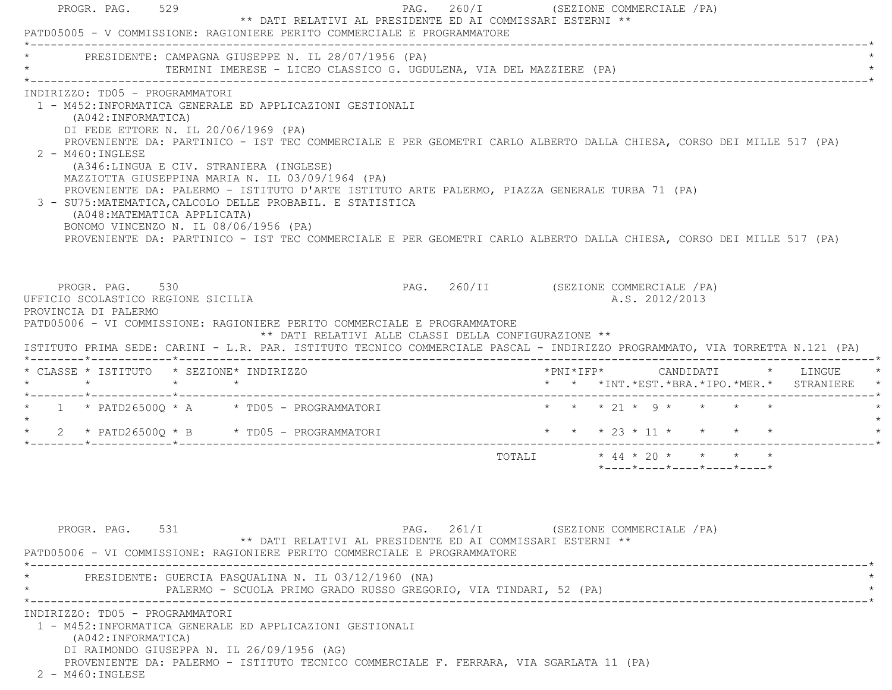| PAG. 260/I<br>PROGR. PAG. 529<br>** DATI RELATIVI AL PRESIDENTE ED AI COMMISSARI ESTERNI **<br>PATD05005 - V COMMISSIONE: RAGIONIERE PERITO COMMERCIALE E PROGRAMMATORE                                                                                                                                                                                                                                                                                                                                                                                                                                                                                                                                                                                                  | (SEZIONE COMMERCIALE / PA)                                                             |
|--------------------------------------------------------------------------------------------------------------------------------------------------------------------------------------------------------------------------------------------------------------------------------------------------------------------------------------------------------------------------------------------------------------------------------------------------------------------------------------------------------------------------------------------------------------------------------------------------------------------------------------------------------------------------------------------------------------------------------------------------------------------------|----------------------------------------------------------------------------------------|
| PRESIDENTE: CAMPAGNA GIUSEPPE N. IL 28/07/1956 (PA)<br>TERMINI IMERESE - LICEO CLASSICO G. UGDULENA, VIA DEL MAZZIERE (PA)                                                                                                                                                                                                                                                                                                                                                                                                                                                                                                                                                                                                                                               |                                                                                        |
| INDIRIZZO: TD05 - PROGRAMMATORI<br>1 - M452:INFORMATICA GENERALE ED APPLICAZIONI GESTIONALI<br>(A042: INFORMATICA)<br>DI FEDE ETTORE N. IL 20/06/1969 (PA)<br>PROVENIENTE DA: PARTINICO - IST TEC COMMERCIALE E PER GEOMETRI CARLO ALBERTO DALLA CHIESA, CORSO DEI MILLE 517 (PA)<br>$2 - M460$ : INGLESE<br>(A346:LINGUA E CIV. STRANIERA (INGLESE)<br>MAZZIOTTA GIUSEPPINA MARIA N. IL 03/09/1964 (PA)<br>PROVENIENTE DA: PALERMO - ISTITUTO D'ARTE ISTITUTO ARTE PALERMO, PIAZZA GENERALE TURBA 71 (PA)<br>3 - SU75: MATEMATICA, CALCOLO DELLE PROBABIL. E STATISTICA<br>(A048: MATEMATICA APPLICATA)<br>BONOMO VINCENZO N. IL 08/06/1956 (PA)<br>PROVENIENTE DA: PARTINICO - IST TEC COMMERCIALE E PER GEOMETRI CARLO ALBERTO DALLA CHIESA, CORSO DEI MILLE 517 (PA) |                                                                                        |
| PROGR. PAG. 530<br>UFFICIO SCOLASTICO REGIONE SICILIA<br>PROVINCIA DI PALERMO<br>PATD05006 - VI COMMISSIONE: RAGIONIERE PERITO COMMERCIALE E PROGRAMMATORE<br>** DATI RELATIVI ALLE CLASSI DELLA CONFIGURAZIONE **<br>ISTITUTO PRIMA SEDE: CARINI - L.R. PAR. ISTITUTO TECNICO COMMERCIALE PASCAL - INDIRIZZO PROGRAMMATO, VIA TORRETTA N.121 (PA)                                                                                                                                                                                                                                                                                                                                                                                                                       | PAG. 260/II (SEZIONE COMMERCIALE /PA)<br>A.S. 2012/2013                                |
| * CLASSE * ISTITUTO * SEZIONE* INDIRIZZO<br>$\star \qquad \qquad \star \qquad \qquad \star \qquad \qquad \star$                                                                                                                                                                                                                                                                                                                                                                                                                                                                                                                                                                                                                                                          | *PNI*IFP*     CANDIDATI    *   LINGUE<br>* * *INT. *EST. *BRA. *IPO. *MER. * STRANIERE |
| * $1$ * PATD26500Q * A * TD05 - PROGRAMMATORI                                                                                                                                                                                                                                                                                                                                                                                                                                                                                                                                                                                                                                                                                                                            | * * * 21 * 9 * * * * *                                                                 |
| * $2$ * PATD26500Q * B * TD05 - PROGRAMMATORI                                                                                                                                                                                                                                                                                                                                                                                                                                                                                                                                                                                                                                                                                                                            | * * * 23 * 11 * * * * *                                                                |
|                                                                                                                                                                                                                                                                                                                                                                                                                                                                                                                                                                                                                                                                                                                                                                          | TOTALI * 44 * 20 * * * * *<br>$*$ ---- $*$ ---- $*$ ---- $*$ ---- $*$ ---- $*$         |
| PROGR. PAG. 531<br>** DATI RELATIVI AL PRESIDENTE ED AI COMMISSARI ESTERNI **<br>PATD05006 - VI COMMISSIONE: RAGIONIERE PERITO COMMERCIALE E PROGRAMMATORE                                                                                                                                                                                                                                                                                                                                                                                                                                                                                                                                                                                                               | PAG. 261/I (SEZIONE COMMERCIALE /PA)                                                   |
| PRESIDENTE: GUERCIA PASQUALINA N. IL 03/12/1960 (NA)<br>PALERMO - SCUOLA PRIMO GRADO RUSSO GREGORIO, VIA TINDARI, 52 (PA)                                                                                                                                                                                                                                                                                                                                                                                                                                                                                                                                                                                                                                                |                                                                                        |
| INDIRIZZO: TD05 - PROGRAMMATORI<br>1 - M452:INFORMATICA GENERALE ED APPLICAZIONI GESTIONALI<br>(A042: INFORMATICA)<br>DI RAIMONDO GIUSEPPA N. IL 26/09/1956 (AG)<br>PROVENIENTE DA: PALERMO - ISTITUTO TECNICO COMMERCIALE F. FERRARA, VIA SGARLATA 11 (PA)<br>2 - M460: INGLESE                                                                                                                                                                                                                                                                                                                                                                                                                                                                                         |                                                                                        |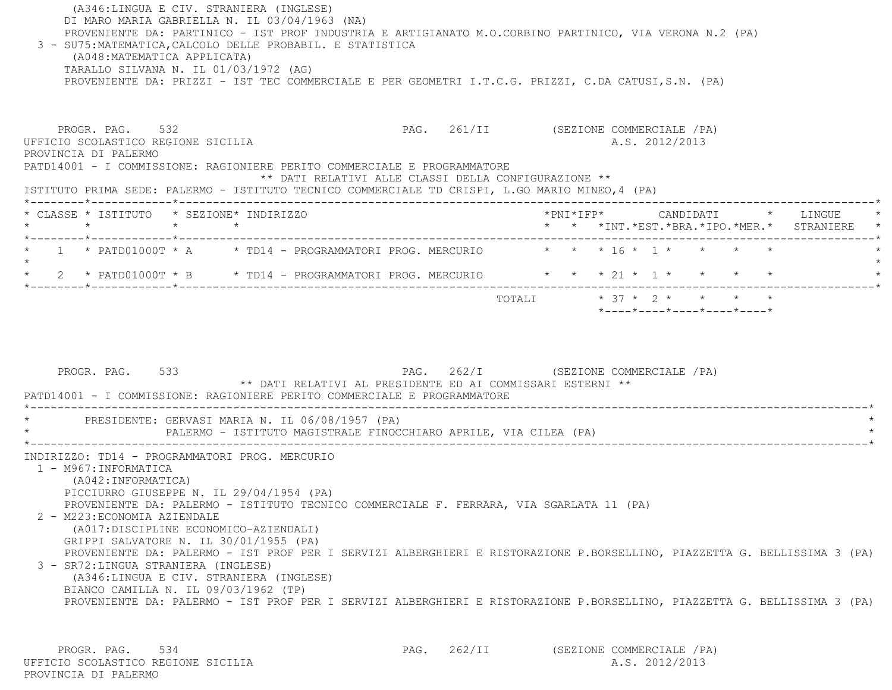(A346:LINGUA E CIV. STRANIERA (INGLESE) DI MARO MARIA GABRIELLA N. IL 03/04/1963 (NA) PROVENIENTE DA: PARTINICO - IST PROF INDUSTRIA E ARTIGIANATO M.O.CORBINO PARTINICO, VIA VERONA N.2 (PA) 3 - SU75:MATEMATICA,CALCOLO DELLE PROBABIL. E STATISTICA (A048:MATEMATICA APPLICATA) TARALLO SILVANA N. IL 01/03/1972 (AG) PROVENIENTE DA: PRIZZI - IST TEC COMMERCIALE E PER GEOMETRI I.T.C.G. PRIZZI, C.DA CATUSI,S.N. (PA)

PROGR. PAG. 532 PAG. 261/II (SEZIONE COMMERCIALE /PA) UFFICIO SCOLASTICO REGIONE SICILIA A.S. 2012/2013 PROVINCIA DI PALERMO PATD14001 - I COMMISSIONE: RAGIONIERE PERITO COMMERCIALE E PROGRAMMATORE \*\* DATI RELATIVI ALLE CLASSI DELLA CONFIGURAZIONE \*\* ISTITUTO PRIMA SEDE: PALERMO - ISTITUTO TECNICO COMMERCIALE TD CRISPI, L.GO MARIO MINEO,4 (PA) \*--------\*------------\*-------------------------------------------------------------------------------------------------------\* \* CLASSE \* ISTITUTO \* SEZIONE\* INDIRIZZO \*PNI\*IFP\* CANDIDATI \* LINGUE \* \* \* \* \* \* \* \*INT.\*EST.\*BRA.\*IPO.\*MER.\* STRANIERE \* \*--------\*------------\*-------------------------------------------------------------------------------------------------------\*1 \* PATD01000T \* A \* \* TD14 - PROGRAMMATORI PROG. MERCURIO \* \* \* 16 \* 1 \* \* \* \* \*  $\star$ \* 2 \* PATD01000T \* B \* TD14 - PROGRAMMATORI PROG. MERCURIO \* \* \* 21 \* 1 \* \* \* \* \* \*--------\*------------\*-------------------------------------------------------------------------------------------------------\*TOTALI  $* 37 * 2 * * * * * * * *$ \*----\*----\*----\*----\*----\*

PROGR. PAG. 533 PAG. 262/I (SEZIONE COMMERCIALE / PA) \*\* DATI RELATIVI AL PRESIDENTE ED AI COMMISSARI ESTERNI \*\* PATD14001 - I COMMISSIONE: RAGIONIERE PERITO COMMERCIALE E PROGRAMMATORE \*----------------------------------------------------------------------------------------------------------------------------\*PRESIDENTE: GERVASI MARIA N. IL 06/08/1957 (PA) PALERMO - ISTITUTO MAGISTRALE FINOCCHIARO APRILE, VIA CILEA (PA) \*----------------------------------------------------------------------------------------------------------------------------\* INDIRIZZO: TD14 - PROGRAMMATORI PROG. MERCURIO 1 - M967:INFORMATICA (A042:INFORMATICA) PICCIURRO GIUSEPPE N. IL 29/04/1954 (PA) PROVENIENTE DA: PALERMO - ISTITUTO TECNICO COMMERCIALE F. FERRARA, VIA SGARLATA 11 (PA) 2 - M223:ECONOMIA AZIENDALE (A017:DISCIPLINE ECONOMICO-AZIENDALI) GRIPPI SALVATORE N. IL 30/01/1955 (PA) PROVENIENTE DA: PALERMO - IST PROF PER I SERVIZI ALBERGHIERI E RISTORAZIONE P.BORSELLINO, PIAZZETTA G. BELLISSIMA 3 (PA) 3 - SR72:LINGUA STRANIERA (INGLESE) (A346:LINGUA E CIV. STRANIERA (INGLESE) BIANCO CAMILLA N. IL 09/03/1962 (TP) PROVENIENTE DA: PALERMO - IST PROF PER I SERVIZI ALBERGHIERI E RISTORAZIONE P.BORSELLINO, PIAZZETTA G. BELLISSIMA 3 (PA)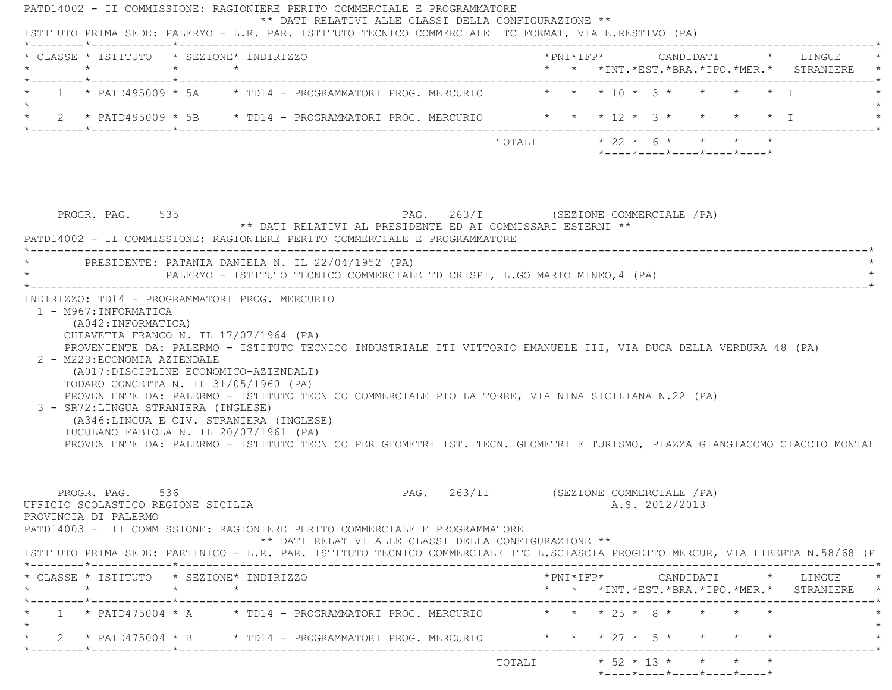| $\star$ | * CLASSE * ISTITUTO * SEZIONE* INDIRIZZO                                                                                                                                                                                                                                                                                                                                                                                                     | $\star$ $\star$ |  |                                                                                                |                           |  |  |                |                            | *PNI*IFP* CANDIDATI * LINGUE<br>* * *INT.*EST.*BRA.*IPO.*MER.* STRANIERE                   |  |
|---------|----------------------------------------------------------------------------------------------------------------------------------------------------------------------------------------------------------------------------------------------------------------------------------------------------------------------------------------------------------------------------------------------------------------------------------------------|-----------------|--|------------------------------------------------------------------------------------------------|---------------------------|--|--|----------------|----------------------------|--------------------------------------------------------------------------------------------|--|
|         | 1 * PATD495009 * 5A * TD14 - PROGRAMMATORI PROG. MERCURIO * * * 10 * 3 * * * * * * I                                                                                                                                                                                                                                                                                                                                                         |                 |  |                                                                                                |                           |  |  |                |                            |                                                                                            |  |
|         |                                                                                                                                                                                                                                                                                                                                                                                                                                              |                 |  |                                                                                                |                           |  |  |                |                            |                                                                                            |  |
|         |                                                                                                                                                                                                                                                                                                                                                                                                                                              |                 |  |                                                                                                | TOTALI * 22 * 6 * * * * * |  |  |                | *----*----*----*----*----* |                                                                                            |  |
|         | PROGR. PAG. 535                                                                                                                                                                                                                                                                                                                                                                                                                              |                 |  | PAG. 263/I (SEZIONE COMMERCIALE /PA)                                                           |                           |  |  |                |                            |                                                                                            |  |
|         | PATD14002 - II COMMISSIONE: RAGIONIERE PERITO COMMERCIALE E PROGRAMMATORE                                                                                                                                                                                                                                                                                                                                                                    |                 |  | ** DATI RELATIVI AL PRESIDENTE ED AI COMMISSARI ESTERNI **                                     |                           |  |  |                |                            |                                                                                            |  |
|         | * PRESIDENTE: PATANIA DANIELA N. IL 22/04/1952 (PA)                                                                                                                                                                                                                                                                                                                                                                                          |                 |  | PALERMO - ISTITUTO TECNICO COMMERCIALE TD CRISPI, L.GO MARIO MINEO, 4 (PA)                     |                           |  |  |                |                            |                                                                                            |  |
|         | (A042: INFORMATICA)<br>CHIAVETTA FRANCO N. IL 17/07/1964 (PA)<br>PROVENIENTE DA: PALERMO - ISTITUTO TECNICO INDUSTRIALE ITI VITTORIO EMANUELE III, VIA DUCA DELLA VERDURA 48 (PA)<br>2 - M223: ECONOMIA AZIENDALE                                                                                                                                                                                                                            |                 |  |                                                                                                |                           |  |  |                |                            |                                                                                            |  |
|         | (A017:DISCIPLINE ECONOMICO-AZIENDALI)<br>TODARO CONCETTA N. IL 31/05/1960 (PA)<br>PROVENIENTE DA: PALERMO - ISTITUTO TECNICO COMMERCIALE PIO LA TORRE, VIA NINA SICILIANA N.22 (PA)<br>3 - SR72: LINGUA STRANIERA (INGLESE)<br>(A346:LINGUA E CIV. STRANIERA (INGLESE)<br>IUCULANO FABIOLA N. IL 20/07/1961 (PA)<br>PROVENIENTE DA: PALERMO - ISTITUTO TECNICO PER GEOMETRI IST. TECN. GEOMETRI E TURISMO, PIAZZA GIANGIACOMO CIACCIO MONTAL |                 |  |                                                                                                |                           |  |  |                |                            |                                                                                            |  |
|         | PROGR. PAG. 536<br>UFFICIO SCOLASTICO REGIONE SICILIA<br>PROVINCIA DI PALERMO<br>PATD14003 - III COMMISSIONE: RAGIONIERE PERITO COMMERCIALE E PROGRAMMATORE                                                                                                                                                                                                                                                                                  |                 |  | PAG. 263/II (SEZIONE COMMERCIALE / PA)<br>** DATI RELATIVI ALLE CLASSI DELLA CONFIGURAZIONE ** |                           |  |  | A.S. 2012/2013 |                            |                                                                                            |  |
|         | ISTITUTO PRIMA SEDE: PARTINICO - L.R. PAR. ISTITUTO TECNICO COMMERCIALE ITC L.SCIASCIA PROGETTO MERCUR, VIA LIBERTA N.58/68 (P                                                                                                                                                                                                                                                                                                               |                 |  |                                                                                                |                           |  |  |                |                            |                                                                                            |  |
|         | * CLASSE * ISTITUTO * SEZIONE* INDIRIZZO<br>$\star$                                                                                                                                                                                                                                                                                                                                                                                          | $\star$         |  |                                                                                                |                           |  |  |                |                            | $*$ PNI $*$ IFP $*$ CANDIDATI $*$ LINGUE $*$<br>* * *INT.*EST.*BRA.*IPO.*MER.* STRANIERE * |  |
|         | _______*____________*______________<br>1 * PATD475004 * A * TD14 - PROGRAMMATORI PROG. MERCURIO * * * * 25 * 8 * * * *                                                                                                                                                                                                                                                                                                                       |                 |  |                                                                                                |                           |  |  |                |                            |                                                                                            |  |
|         | 2 * PATD475004 * B * TD14 - PROGRAMMATORI PROG. MERCURIO * * * * 27 * 5 * * * * *                                                                                                                                                                                                                                                                                                                                                            |                 |  |                                                                                                |                           |  |  |                |                            |                                                                                            |  |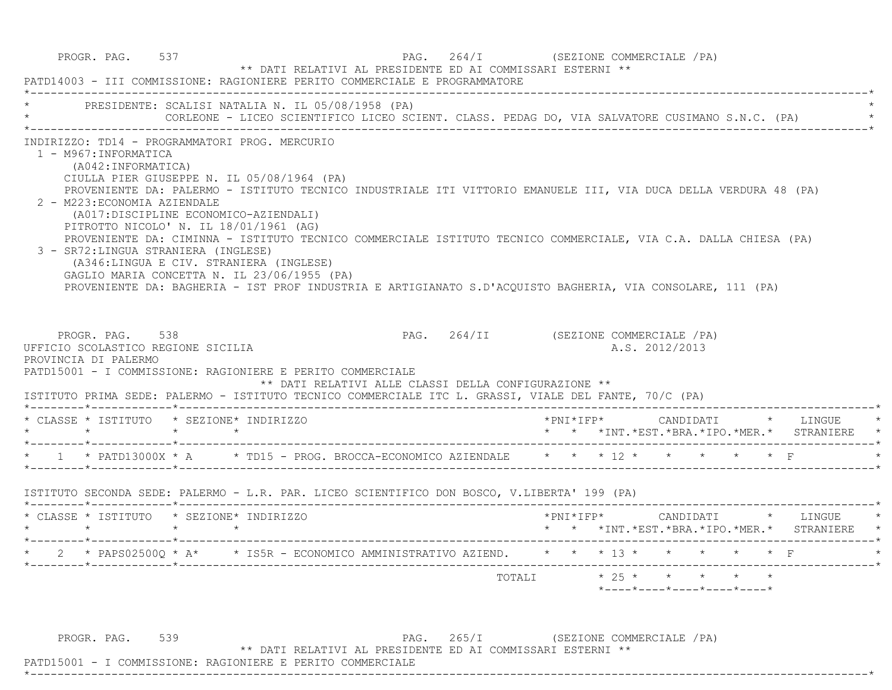|                                                                                                                                                                                                          |                          | PRESIDENTE: SCALISI NATALIA N. IL 05/08/1958 (PA)<br>CORLEONE - LICEO SCIENTIFICO LICEO SCIENT. CLASS. PEDAG DO, VIA SALVATORE CUSIMANO S.N.C. (PA)                                                                                                                                                                                                                                                                                                                                                                                         |                                       |           |                |  |                                                                          |
|----------------------------------------------------------------------------------------------------------------------------------------------------------------------------------------------------------|--------------------------|---------------------------------------------------------------------------------------------------------------------------------------------------------------------------------------------------------------------------------------------------------------------------------------------------------------------------------------------------------------------------------------------------------------------------------------------------------------------------------------------------------------------------------------------|---------------------------------------|-----------|----------------|--|--------------------------------------------------------------------------|
| 1 - M967: INFORMATICA<br>(A042: INFORMATICA)<br>2 - M223: ECONOMIA AZIENDALE<br>(A017: DISCIPLINE ECONOMICO-AZIENDALI)<br>PITROTTO NICOLO' N. IL 18/01/1961 (AG)<br>3 - SR72: LINGUA STRANIERA (INGLESE) |                          | INDIRIZZO: TD14 - PROGRAMMATORI PROG. MERCURIO<br>CIULLA PIER GIUSEPPE N. IL 05/08/1964 (PA)<br>PROVENIENTE DA: PALERMO - ISTITUTO TECNICO INDUSTRIALE ITI VITTORIO EMANUELE III, VIA DUCA DELLA VERDURA 48 (PA)<br>PROVENIENTE DA: CIMINNA - ISTITUTO TECNICO COMMERCIALE ISTITUTO TECNICO COMMERCIALE, VIA C.A. DALLA CHIESA (PA)<br>(A346:LINGUA E CIV. STRANIERA (INGLESE)<br>GAGLIO MARIA CONCETTA N. IL 23/06/1955 (PA)<br>PROVENIENTE DA: BAGHERIA - IST PROF INDUSTRIA E ARTIGIANATO S.D'ACOUISTO BAGHERIA, VIA CONSOLARE, 111 (PA) |                                       |           |                |  |                                                                          |
| PROGR. PAG. 538<br>UFFICIO SCOLASTICO REGIONE SICILIA<br>PROVINCIA DI PALERMO                                                                                                                            |                          | PATD15001 - I COMMISSIONE: RAGIONIERE E PERITO COMMERCIALE<br>** DATI RELATIVI ALLE CLASSI DELLA CONFIGURAZIONE **<br>ISTITUTO PRIMA SEDE: PALERMO - ISTITUTO TECNICO COMMERCIALE ITC L. GRASSI, VIALE DEL FANTE, 70/C (PA)                                                                                                                                                                                                                                                                                                                 | PAG. 264/II (SEZIONE COMMERCIALE /PA) |           | A.S. 2012/2013 |  |                                                                          |
| * CLASSE * ISTITUTO * SEZIONE* INDIRIZZO                                                                                                                                                                 |                          |                                                                                                                                                                                                                                                                                                                                                                                                                                                                                                                                             |                                       | *PNI*IFP* |                |  | CANDIDATI * LINGUE                                                       |
|                                                                                                                                                                                                          | $\rightarrow$            |                                                                                                                                                                                                                                                                                                                                                                                                                                                                                                                                             |                                       |           |                |  | * * *INT.*EST.*BRA.*IPO.*MER.* STRANIERE                                 |
|                                                                                                                                                                                                          |                          | * 1 * PATD13000X * A * TD15 - PROG. BROCCA-ECONOMICO AZIENDALE * * * 12 * * * * * * * F                                                                                                                                                                                                                                                                                                                                                                                                                                                     |                                       |           |                |  |                                                                          |
|                                                                                                                                                                                                          |                          | ISTITUTO SECONDA SEDE: PALERMO - L.R. PAR. LICEO SCIENTIFICO DON BOSCO, V.LIBERTA' 199 (PA)                                                                                                                                                                                                                                                                                                                                                                                                                                                 |                                       |           |                |  |                                                                          |
| * CLASSE * ISTITUTO * SEZIONE* INDIRIZZO<br>$\star$ $\star$                                                                                                                                              | $\star$<br>$\rightarrow$ |                                                                                                                                                                                                                                                                                                                                                                                                                                                                                                                                             |                                       |           |                |  | *PNI*IFP* CANDIDATI * LINGUE<br>* * *INT.*EST.*BRA.*IPO.*MER.* STRANIERE |
|                                                                                                                                                                                                          |                          | * 2 * PAPS02500Q * A* * IS5R - ECONOMICO AMMINISTRATIVO AZIEND. * * * 13 * * * * * * * F                                                                                                                                                                                                                                                                                                                                                                                                                                                    |                                       |           |                |  |                                                                          |

PROGR. PAG. 539 PAG. 265/I (SEZIONE COMMERCIALE / PA) \*\* DATI RELATIVI AL PRESIDENTE ED AI COMMISSARI ESTERNI \*\*

\*----------------------------------------------------------------------------------------------------------------------------\*

PATD15001 - I COMMISSIONE: RAGIONIERE E PERITO COMMERCIALE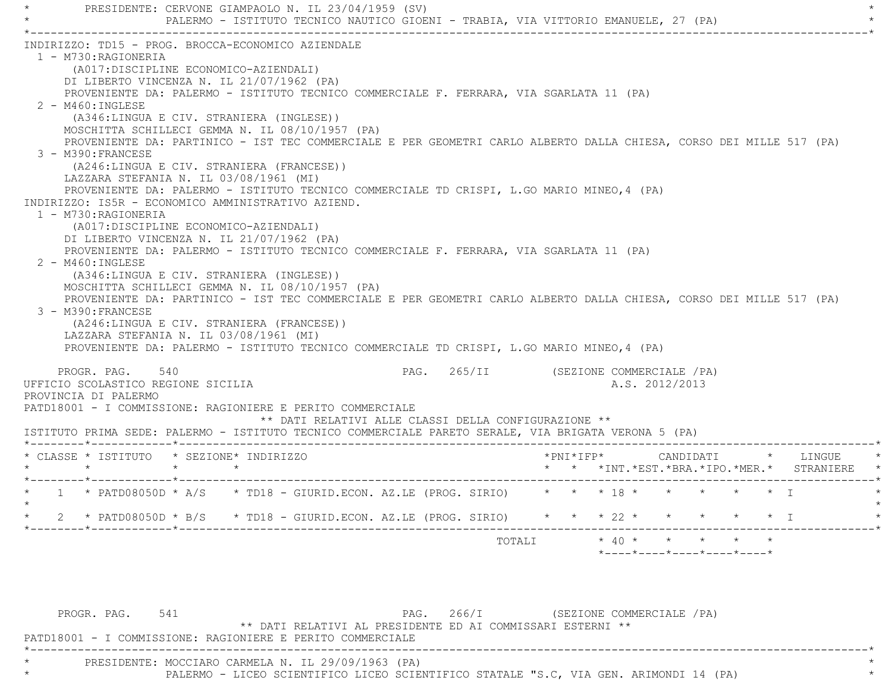PRESIDENTE: CERVONE GIAMPAOLO N. IL 23/04/1959 (SV) PALERMO - ISTITUTO TECNICO NAUTICO GIOENI - TRABIA, VIA VITTORIO EMANUELE, 27 (PA) \*----------------------------------------------------------------------------------------------------------------------------\* INDIRIZZO: TD15 - PROG. BROCCA-ECONOMICO AZIENDALE 1 - M730:RAGIONERIA (A017:DISCIPLINE ECONOMICO-AZIENDALI) DI LIBERTO VINCENZA N. IL 21/07/1962 (PA) PROVENIENTE DA: PALERMO - ISTITUTO TECNICO COMMERCIALE F. FERRARA, VIA SGARLATA 11 (PA) 2 - M460:INGLESE (A346:LINGUA E CIV. STRANIERA (INGLESE)) MOSCHITTA SCHILLECI GEMMA N. IL 08/10/1957 (PA) PROVENIENTE DA: PARTINICO - IST TEC COMMERCIALE E PER GEOMETRI CARLO ALBERTO DALLA CHIESA, CORSO DEI MILLE 517 (PA) 3 - M390:FRANCESE (A246:LINGUA E CIV. STRANIERA (FRANCESE)) LAZZARA STEFANIA N. IL 03/08/1961 (MI) PROVENIENTE DA: PALERMO - ISTITUTO TECNICO COMMERCIALE TD CRISPI, L.GO MARIO MINEO,4 (PA) INDIRIZZO: IS5R - ECONOMICO AMMINISTRATIVO AZIEND. 1 - M730:RAGIONERIA (A017:DISCIPLINE ECONOMICO-AZIENDALI) DI LIBERTO VINCENZA N. IL 21/07/1962 (PA) PROVENIENTE DA: PALERMO - ISTITUTO TECNICO COMMERCIALE F. FERRARA, VIA SGARLATA 11 (PA) 2 - M460:INGLESE (A346:LINGUA E CIV. STRANIERA (INGLESE)) MOSCHITTA SCHILLECI GEMMA N. IL 08/10/1957 (PA) PROVENIENTE DA: PARTINICO - IST TEC COMMERCIALE E PER GEOMETRI CARLO ALBERTO DALLA CHIESA, CORSO DEI MILLE 517 (PA) 3 - M390:FRANCESE (A246:LINGUA E CIV. STRANIERA (FRANCESE)) LAZZARA STEFANIA N. IL 03/08/1961 (MI) PROVENIENTE DA: PALERMO - ISTITUTO TECNICO COMMERCIALE TD CRISPI, L.GO MARIO MINEO,4 (PA) PROGR. PAG. 540 PAG. PAG. 265/II (SEZIONE COMMERCIALE / PA) UFFICIO SCOLASTICO REGIONE SICILIA A.S. 2012/2013 PROVINCIA DI PALERMO PATD18001 - I COMMISSIONE: RAGIONIERE E PERITO COMMERCIALE \*\* DATI RELATIVI ALLE CLASSI DELLA CONFIGURAZIONE \*\* ISTITUTO PRIMA SEDE: PALERMO - ISTITUTO TECNICO COMMERCIALE PARETO SERALE, VIA BRIGATA VERONA 5 (PA) \*--------\*------------\*-------------------------------------------------------------------------------------------------------\* \* CLASSE \* ISTITUTO \* SEZIONE\* INDIRIZZO \*PNI\*IFP\* CANDIDATI \* LINGUE \* \* \* \* \* \* \* \*INT.\*EST.\*BRA.\*IPO.\*MER.\* STRANIERE \* \*--------\*------------\*-------------------------------------------------------------------------------------------------------\* \* 1 \* PATD08050D \* A/S \* TD18 - GIURID.ECON. AZ.LE (PROG. SIRIO) \* \* \* 18 \* \* \* \* \* I \*  $\star$  \* 2 \* PATD08050D \* B/S \* TD18 - GIURID.ECON. AZ.LE (PROG. SIRIO) \* \* \* 22 \* \* \* \* \* I \* \*--------\*------------\*-------------------------------------------------------------------------------------------------------\* TOTALI \* 40 \* \* \* \* \*\*----\*----\*----\*----\*----\*

PROGR. PAG. 541 PAG. 266/I (SEZIONE COMMERCIALE / PA) \*\* DATI RELATIVI AL PRESIDENTE ED AI COMMISSARI ESTERNI \*\* PATD18001 - I COMMISSIONE: RAGIONIERE E PERITO COMMERCIALE \*----------------------------------------------------------------------------------------------------------------------------\* \* PRESIDENTE: MOCCIARO CARMELA N. IL 29/09/1963 (PA) \* PALERMO - LICEO SCIENTIFICO LICEO SCIENTIFICO STATALE "S.C, VIA GEN. ARIMONDI 14 (PA)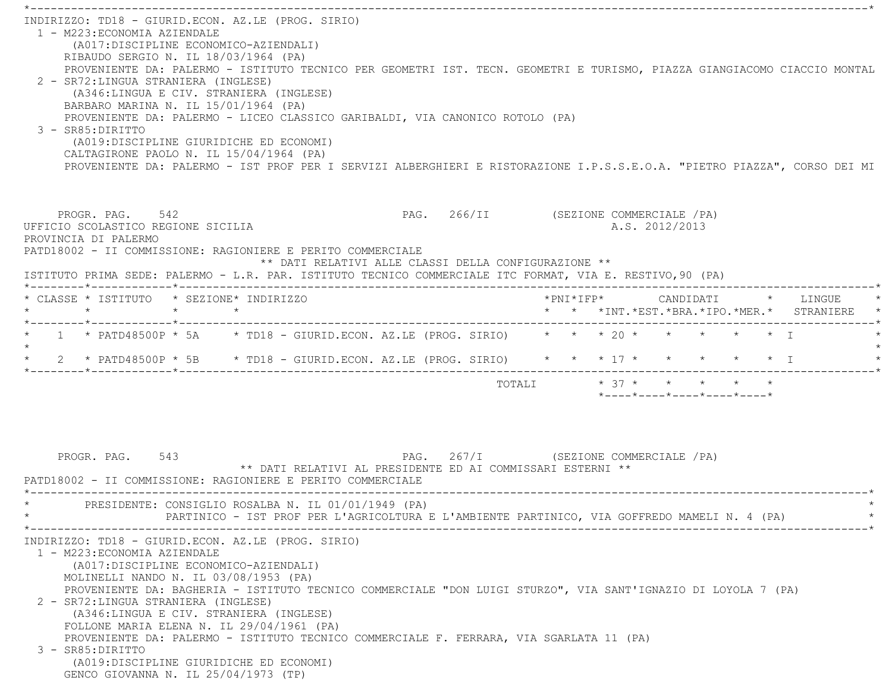| INDIRIZZO: TD18 - GIURID.ECON. AZ.LE (PROG. SIRIO)<br>1 - M223: ECONOMIA AZIENDALE<br>(A017:DISCIPLINE ECONOMICO-AZIENDALI)<br>RIBAUDO SERGIO N. IL 18/03/1964 (PA)<br>PROVENIENTE DA: PALERMO - ISTITUTO TECNICO PER GEOMETRI IST. TECN. GEOMETRI E TURISMO, PIAZZA GIANGIACOMO CIACCIO MONTAL<br>2 - SR72: LINGUA STRANIERA (INGLESE)<br>(A346:LINGUA E CIV. STRANIERA (INGLESE)<br>BARBARO MARINA N. IL 15/01/1964 (PA)<br>PROVENIENTE DA: PALERMO - LICEO CLASSICO GARIBALDI, VIA CANONICO ROTOLO (PA)<br>3 - SR85: DIRITTO<br>(A019:DISCIPLINE GIURIDICHE ED ECONOMI)<br>CALTAGIRONE PAOLO N. IL 15/04/1964 (PA)<br>PROVENIENTE DA: PALERMO - IST PROF PER I SERVIZI ALBERGHIERI E RISTORAZIONE I.P.S.S.E.O.A. "PIETRO PIAZZA", CORSO DEI MI |                                                                                                             |
|---------------------------------------------------------------------------------------------------------------------------------------------------------------------------------------------------------------------------------------------------------------------------------------------------------------------------------------------------------------------------------------------------------------------------------------------------------------------------------------------------------------------------------------------------------------------------------------------------------------------------------------------------------------------------------------------------------------------------------------------------|-------------------------------------------------------------------------------------------------------------|
| PROGR. PAG. 542<br>UFFICIO SCOLASTICO REGIONE SICILIA<br>PROVINCIA DI PALERMO<br>PATD18002 - II COMMISSIONE: RAGIONIERE E PERITO COMMERCIALE<br>** DATI RELATIVI ALLE CLASSI DELLA CONFIGURAZIONE **<br>ISTITUTO PRIMA SEDE: PALERMO - L.R. PAR. ISTITUTO TECNICO COMMERCIALE ITC FORMAT, VIA E. RESTIVO, 90 (PA)                                                                                                                                                                                                                                                                                                                                                                                                                                 | PAG. 266/II (SEZIONE COMMERCIALE /PA)<br>A.S. 2012/2013                                                     |
| * CLASSE * ISTITUTO * SEZIONE* INDIRIZZO<br>$\star$<br>$\star$ $\star$                                                                                                                                                                                                                                                                                                                                                                                                                                                                                                                                                                                                                                                                            | * * *INT. *EST. *BRA. *IPO. *MER. * STRANIERE *                                                             |
| 1 * PATD48500P * 5A * TD18 - GIURID.ECON. AZ.LE (PROG. SIRIO) * * * 20 * * * * * * *<br>* 2 * PATD48500P * 5B * TD18 - GIURID.ECON. AZ.LE (PROG. SIRIO) * * * 17 * *<br>PAG. 267/I (SEZIONE COMMERCIALE /PA)<br>PROGR. PAG. 543<br>** DATI RELATIVI AL PRESIDENTE ED AI COMMISSARI ESTERNI **<br>PATD18002 - II COMMISSIONE: RAGIONIERE E PERITO COMMERCIALE                                                                                                                                                                                                                                                                                                                                                                                      | $\star$ $\star$ T<br>TOTALI * 37 * * * *<br>$*$ - - - - $*$ - - - - $*$ - - - - $*$ - - - - $*$ - - - - $*$ |
| PRESIDENTE: CONSIGLIO ROSALBA N. IL 01/01/1949 (PA)<br>PARTINICO - IST PROF PER L'AGRICOLTURA E L'AMBIENTE PARTINICO, VIA GOFFREDO MAMELI N. 4 (PA)                                                                                                                                                                                                                                                                                                                                                                                                                                                                                                                                                                                               |                                                                                                             |
| INDIRIZZO: TD18 - GIURID.ECON. AZ.LE (PROG. SIRIO)<br>1 - M223: ECONOMIA AZIENDALE<br>(A017: DISCIPLINE ECONOMICO-AZIENDALI)<br>MOLINELLI NANDO N. IL 03/08/1953 (PA)<br>PROVENIENTE DA: BAGHERIA - ISTITUTO TECNICO COMMERCIALE "DON LUIGI STURZO", VIA SANT'IGNAZIO DI LOYOLA 7 (PA)<br>2 - SR72: LINGUA STRANIERA (INGLESE)<br>(A346:LINGUA E CIV. STRANIERA (INGLESE)<br>FOLLONE MARIA ELENA N. IL 29/04/1961 (PA)<br>PROVENIENTE DA: PALERMO - ISTITUTO TECNICO COMMERCIALE F. FERRARA, VIA SGARLATA 11 (PA)<br>3 - SR85: DIRITTO<br>(A019:DISCIPLINE GIURIDICHE ED ECONOMI)<br>GENCO GIOVANNA N. IL 25/04/1973 (TP)                                                                                                                         |                                                                                                             |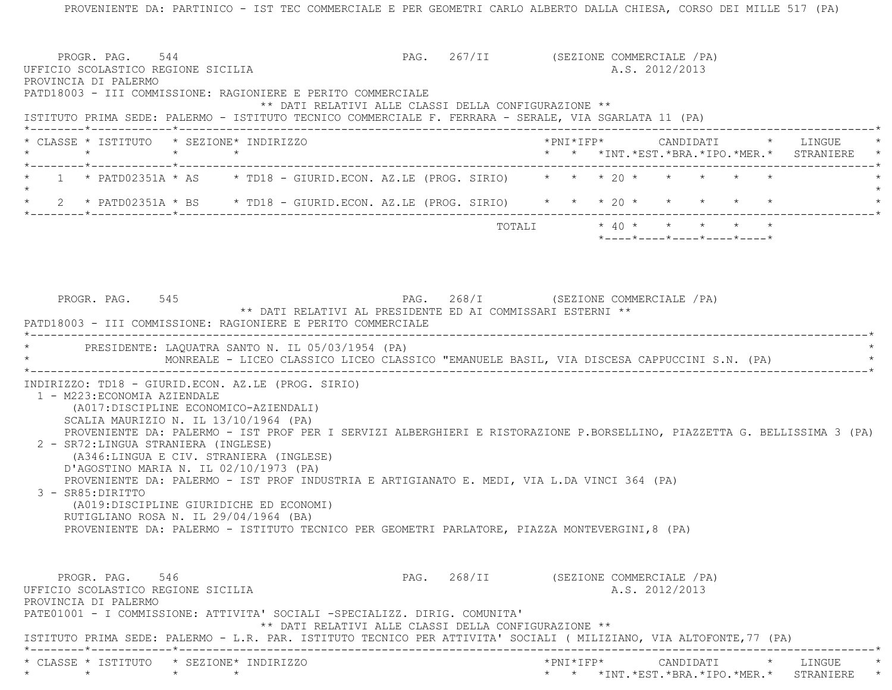PROVENIENTE DA: PARTINICO - IST TEC COMMERCIALE E PER GEOMETRI CARLO ALBERTO DALLA CHIESA, CORSO DEI MILLE 517 (PA) PROGR. PAG. 544 **PAG.** 267/II (SEZIONE COMMERCIALE /PA) UFFICIO SCOLASTICO REGIONE SICILIA A.S. 2012/2013 PROVINCIA DI PALERMO PATD18003 - III COMMISSIONE: RAGIONIERE E PERITO COMMERCIALE \*\* DATI RELATIVI ALLE CLASSI DELLA CONFIGURAZIONE \*\* ISTITUTO PRIMA SEDE: PALERMO - ISTITUTO TECNICO COMMERCIALE F. FERRARA - SERALE, VIA SGARLATA 11 (PA) \*--------\*------------\*-------------------------------------------------------------------------------------------------------\* \* CLASSE \* ISTITUTO \* SEZIONE\* INDIRIZZO \*PNI\*IFP\* CANDIDATI \* LINGUE \* \* \* \* \* \* \* \*INT.\*EST.\*BRA.\*IPO.\*MER.\* STRANIERE \* \*--------\*------------\*-------------------------------------------------------------------------------------------------------\*1 \* PATD02351A \* AS \* TD18 - GIURID.ECON. AZ.LE (PROG. SIRIO) \* \* \* \* 20 \* \* \* \* \* \*  $\star$ \* 2 \* PATD02351A \* BS \* TD18 - GIURID.ECON. AZ.LE (PROG. SIRIO) \* \* \* \* 20 \* \* \* \* \* \* \*--------\*------------\*-------------------------------------------------------------------------------------------------------\*TOTALI  $* 40 * * * * * * * * *$  \*----\*----\*----\*----\*----\*PROGR. PAG. 545 **PAG.** 268/I (SEZIONE COMMERCIALE /PA) \*\* DATI RELATIVI AL PRESIDENTE ED AI COMMISSARI ESTERNI \*\* PATD18003 - III COMMISSIONE: RAGIONIERE E PERITO COMMERCIALE \*----------------------------------------------------------------------------------------------------------------------------\*PRESIDENTE: LAQUATRA SANTO N. IL 05/03/1954 (PA) MONREALE - LICEO CLASSICO LICEO CLASSICO "EMANUELE BASIL, VIA DISCESA CAPPUCCINI S.N. (PA) \*----------------------------------------------------------------------------------------------------------------------------\* INDIRIZZO: TD18 - GIURID.ECON. AZ.LE (PROG. SIRIO) 1 - M223:ECONOMIA AZIENDALE (A017:DISCIPLINE ECONOMICO-AZIENDALI) SCALIA MAURIZIO N. IL 13/10/1964 (PA) PROVENIENTE DA: PALERMO - IST PROF PER I SERVIZI ALBERGHIERI E RISTORAZIONE P.BORSELLINO, PIAZZETTA G. BELLISSIMA 3 (PA) 2 - SR72:LINGUA STRANIERA (INGLESE) (A346:LINGUA E CIV. STRANIERA (INGLESE) D'AGOSTINO MARIA N. IL 02/10/1973 (PA) PROVENIENTE DA: PALERMO - IST PROF INDUSTRIA E ARTIGIANATO E. MEDI, VIA L.DA VINCI 364 (PA) 3 - SR85:DIRITTO (A019:DISCIPLINE GIURIDICHE ED ECONOMI) RUTIGLIANO ROSA N. IL 29/04/1964 (BA) PROVENIENTE DA: PALERMO - ISTITUTO TECNICO PER GEOMETRI PARLATORE, PIAZZA MONTEVERGINI,8 (PA) PROGR. PAG. 546 546 PAG. 268/II (SEZIONE COMMERCIALE /PA) UFFICIO SCOLASTICO REGIONE SICILIA A.S. 2012/2013 PROVINCIA DI PALERMO PATE01001 - I COMMISSIONE: ATTIVITA' SOCIALI -SPECIALIZZ. DIRIG. COMUNITA' \*\* DATI RELATIVI ALLE CLASSI DELLA CONFIGURAZIONE \*\* ISTITUTO PRIMA SEDE: PALERMO - L.R. PAR. ISTITUTO TECNICO PER ATTIVITA' SOCIALI ( MILIZIANO, VIA ALTOFONTE,77 (PA) \*--------\*------------\*-------------------------------------------------------------------------------------------------------\*\* CLASSE \* ISTITUTO \* SEZIONE\* INDIRIZZO \*PNI\*IFP\* CANDIDATI \* LINGUE \*

\* \* \* \* \* \* \*INT.\*EST.\*BRA.\*IPO.\*MER.\* STRANIERE \*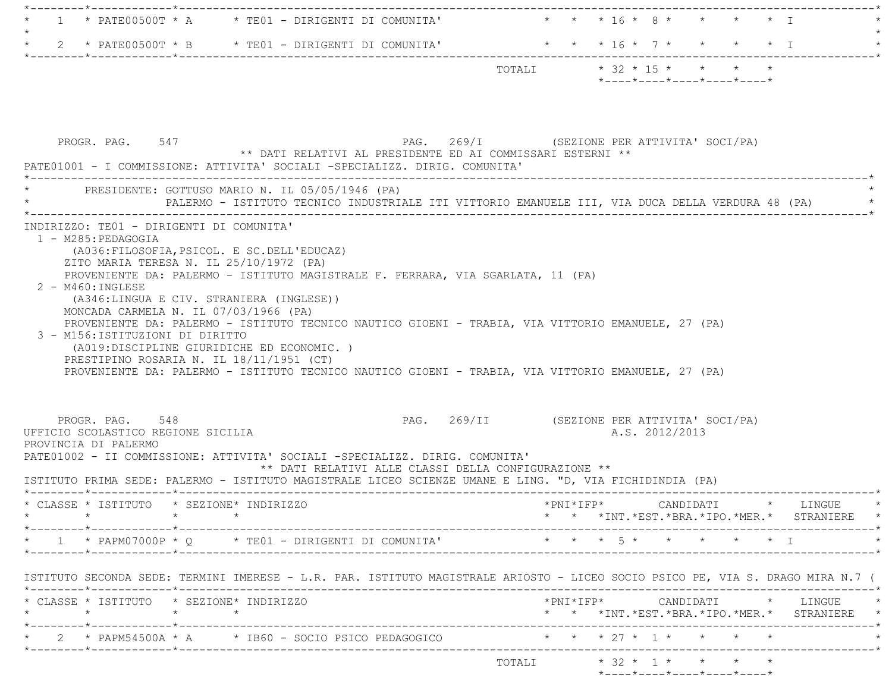|  |                                                                              |         | $\star$ - - - - $\star$ - - - - $\star$ - - - - $\star$ - - - - $\star$ - - - - $\star$ |  |  |
|--|------------------------------------------------------------------------------|---------|-----------------------------------------------------------------------------------------|--|--|
|  |                                                                              | TOTAI.T | $*$ 32 $*$ 15 $*$ $*$ $*$ $*$                                                           |  |  |
|  | $\star$ 2 $\star$ PATE00500T $\star$ B $\star$ TE01 - DIRIGENTI DI COMUNITA' |         | * * * 16 * 7 * * * * * T                                                                |  |  |
|  |                                                                              |         |                                                                                         |  |  |
|  | $\star$ 1 $\star$ PATE00500T $\star$ A $\star$ TE01 - DIRIGENTI DI COMUNITA' |         | * * * 16 * 8 * * * * * T                                                                |  |  |
|  |                                                                              |         |                                                                                         |  |  |

| PROGR. PAG. 547                                                                     |                                                                                                                                                                                                                                                                                               | ** DATI RELATIVI AL PRESIDENTE ED AI COMMISSARI ESTERNI **<br>PATE01001 - I COMMISSIONE: ATTIVITA' SOCIALI -SPECIALIZZ. DIRIG. COMUNITA'                                                                                                                                                                                                                                                                                                                                                                                                                                                                                                   | PAG. 269/I (SEZIONE PER ATTIVITA' SOCI/PA)  |  |                |                                                         |  |                                            |
|-------------------------------------------------------------------------------------|-----------------------------------------------------------------------------------------------------------------------------------------------------------------------------------------------------------------------------------------------------------------------------------------------|--------------------------------------------------------------------------------------------------------------------------------------------------------------------------------------------------------------------------------------------------------------------------------------------------------------------------------------------------------------------------------------------------------------------------------------------------------------------------------------------------------------------------------------------------------------------------------------------------------------------------------------------|---------------------------------------------|--|----------------|---------------------------------------------------------|--|--------------------------------------------|
|                                                                                     |                                                                                                                                                                                                                                                                                               | * PRESIDENTE: GOTTUSO MARIO N. IL 05/05/1946 (PA)<br>PALERMO - ISTITUTO TECNICO INDUSTRIALE ITI VITTORIO EMANUELE III, VIA DUCA DELLA VERDURA 48 (PA)                                                                                                                                                                                                                                                                                                                                                                                                                                                                                      |                                             |  |                |                                                         |  |                                            |
| 1 - M285: PEDAGOGIA<br>2 - M460: INGLESE<br>PROGR. PAG. 548<br>PROVINCIA DI PALERMO | INDIRIZZO: TE01 - DIRIGENTI DI COMUNITA'<br>ZITO MARIA TERESA N. IL 25/10/1972 (PA)<br>(A346:LINGUA E CIV. STRANIERA (INGLESE))<br>MONCADA CARMELA N. IL 07/03/1966 (PA)<br>3 - M156:ISTITUZIONI DI DIRITTO<br>PRESTIPINO ROSARIA N. IL 18/11/1951 (CT)<br>UFFICIO SCOLASTICO REGIONE SICILIA | (A036: FILOSOFIA, PSICOL. E SC. DELL'EDUCAZ)<br>PROVENIENTE DA: PALERMO - ISTITUTO MAGISTRALE F. FERRARA, VIA SGARLATA, 11 (PA)<br>PROVENIENTE DA: PALERMO - ISTITUTO TECNICO NAUTICO GIOENI - TRABIA, VIA VITTORIO EMANUELE, 27 (PA)<br>(A019:DISCIPLINE GIURIDICHE ED ECONOMIC.)<br>PROVENIENTE DA: PALERMO - ISTITUTO TECNICO NAUTICO GIOENI - TRABIA, VIA VITTORIO EMANUELE, 27 (PA)<br>PATE01002 - II COMMISSIONE: ATTIVITA' SOCIALI -SPECIALIZZ. DIRIG. COMUNITA'<br>** DATI RELATIVI ALLE CLASSI DELLA CONFIGURAZIONE **<br>ISTITUTO PRIMA SEDE: PALERMO - ISTITUTO MAGISTRALE LICEO SCIENZE UMANE E LING. "D, VIA FICHIDINDIA (PA) | PAG. 269/II (SEZIONE PER ATTIVITA' SOCI/PA) |  | A.S. 2012/2013 |                                                         |  |                                            |
|                                                                                     | * CLASSE * ISTITUTO * SEZIONE* INDIRIZZO                                                                                                                                                                                                                                                      |                                                                                                                                                                                                                                                                                                                                                                                                                                                                                                                                                                                                                                            |                                             |  |                |                                                         |  | * * *INT.*EST.*BRA.*IPO.*MER.* STRANIERE * |
|                                                                                     |                                                                                                                                                                                                                                                                                               | * 1 * PAPM07000P * Q * TE01 - DIRIGENTI DI COMUNITA' * * * * 5 * * * * * * * T                                                                                                                                                                                                                                                                                                                                                                                                                                                                                                                                                             |                                             |  |                |                                                         |  |                                            |
|                                                                                     |                                                                                                                                                                                                                                                                                               | ISTITUTO SECONDA SEDE: TERMINI IMERESE - L.R. PAR. ISTITUTO MAGISTRALE ARIOSTO - LICEO SOCIO PSICO PE, VIA S. DRAGO MIRA N.7 (                                                                                                                                                                                                                                                                                                                                                                                                                                                                                                             |                                             |  |                |                                                         |  |                                            |
|                                                                                     | * CLASSE * ISTITUTO * SEZIONE* INDIRIZZO                                                                                                                                                                                                                                                      |                                                                                                                                                                                                                                                                                                                                                                                                                                                                                                                                                                                                                                            |                                             |  |                |                                                         |  | * * *INT.*EST.*BRA.*IPO.*MER.* STRANIERE * |
|                                                                                     |                                                                                                                                                                                                                                                                                               | * 2 * PAPM54500A * A * IB60 - SOCIO PSICO PEDAGOGICO * * * * 27 * 1 * * * * *                                                                                                                                                                                                                                                                                                                                                                                                                                                                                                                                                              |                                             |  |                |                                                         |  |                                            |
|                                                                                     |                                                                                                                                                                                                                                                                                               |                                                                                                                                                                                                                                                                                                                                                                                                                                                                                                                                                                                                                                            |                                             |  |                | TOTALI * 32 * 1 * * * * *<br>*----*----*----*----*----* |  |                                            |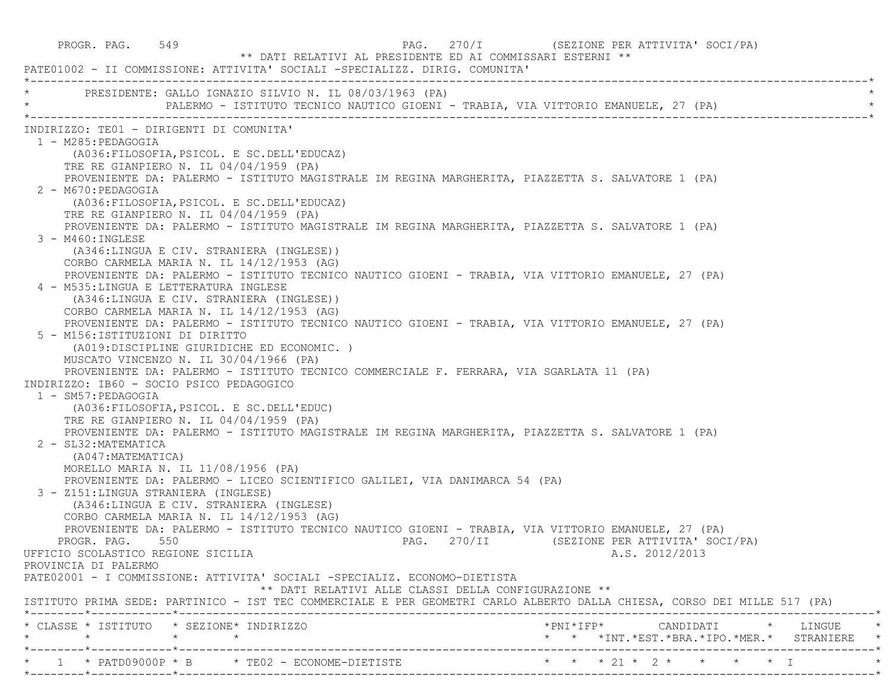PROGR. PAG. 549 **PAG.** 270/I (SEZIONE PER ATTIVITA' SOCI/PA) \*\* DATI RELATIVI AL PRESIDENTE ED AI COMMISSARI ESTERNI \*\* PATE01002 - II COMMISSIONE: ATTIVITA' SOCIALI -SPECIALIZZ. DIRIG. COMUNITA' \*----------------------------------------------------------------------------------------------------------------------------\*PRESIDENTE: GALLO IGNAZIO SILVIO N. IL 08/03/1963 (PA) PALERMO - ISTITUTO TECNICO NAUTICO GIOENI - TRABIA, VIA VITTORIO EMANUELE, 27 (PA) \*----------------------------------------------------------------------------------------------------------------------------\* INDIRIZZO: TE01 - DIRIGENTI DI COMUNITA' 1 - M285:PEDAGOGIA (A036:FILOSOFIA,PSICOL. E SC.DELL'EDUCAZ) TRE RE GIANPIERO N. IL 04/04/1959 (PA) PROVENIENTE DA: PALERMO - ISTITUTO MAGISTRALE IM REGINA MARGHERITA, PIAZZETTA S. SALVATORE 1 (PA) 2 - M670:PEDAGOGIA (A036:FILOSOFIA,PSICOL. E SC.DELL'EDUCAZ) TRE RE GIANPIERO N. IL 04/04/1959 (PA) PROVENIENTE DA: PALERMO - ISTITUTO MAGISTRALE IM REGINA MARGHERITA, PIAZZETTA S. SALVATORE 1 (PA) 3 - M460:INGLESE (A346:LINGUA E CIV. STRANIERA (INGLESE)) CORBO CARMELA MARIA N. IL 14/12/1953 (AG) PROVENIENTE DA: PALERMO - ISTITUTO TECNICO NAUTICO GIOENI - TRABIA, VIA VITTORIO EMANUELE, 27 (PA) 4 - M535:LINGUA E LETTERATURA INGLESE (A346:LINGUA E CIV. STRANIERA (INGLESE)) CORBO CARMELA MARIA N. IL 14/12/1953 (AG) PROVENIENTE DA: PALERMO - ISTITUTO TECNICO NAUTICO GIOENI - TRABIA, VIA VITTORIO EMANUELE, 27 (PA) 5 - M156:ISTITUZIONI DI DIRITTO (A019:DISCIPLINE GIURIDICHE ED ECONOMIC. ) MUSCATO VINCENZO N. IL 30/04/1966 (PA) PROVENIENTE DA: PALERMO - ISTITUTO TECNICO COMMERCIALE F. FERRARA, VIA SGARLATA 11 (PA) INDIRIZZO: IB60 - SOCIO PSICO PEDAGOGICO 1 - SM57:PEDAGOGIA (A036:FILOSOFIA,PSICOL. E SC.DELL'EDUC) TRE RE GIANPIERO N. IL 04/04/1959 (PA) PROVENIENTE DA: PALERMO - ISTITUTO MAGISTRALE IM REGINA MARGHERITA, PIAZZETTA S. SALVATORE 1 (PA) 2 - SL32:MATEMATICA (A047:MATEMATICA) MORELLO MARIA N. IL 11/08/1956 (PA) PROVENIENTE DA: PALERMO - LICEO SCIENTIFICO GALILEI, VIA DANIMARCA 54 (PA) 3 - Z151:LINGUA STRANIERA (INGLESE) (A346:LINGUA E CIV. STRANIERA (INGLESE) CORBO CARMELA MARIA N. IL 14/12/1953 (AG) PROVENIENTE DA: PALERMO - ISTITUTO TECNICO NAUTICO GIOENI - TRABIA, VIA VITTORIO EMANUELE, 27 (PA) PROGR. PAG. 550 **PAG.** 270/II (SEZIONE PER ATTIVITA' SOCI/PA) UFFICIO SCOLASTICO REGIONE SICILIA A.S. 2012/2013 PROVINCIA DI PALERMO PATE02001 - I COMMISSIONE: ATTIVITA' SOCIALI -SPECIALIZ. ECONOMO-DIETISTA \*\* DATI RELATIVI ALLE CLASSI DELLA CONFIGURAZIONE \*\* ISTITUTO PRIMA SEDE: PARTINICO - IST TEC COMMERCIALE E PER GEOMETRI CARLO ALBERTO DALLA CHIESA, CORSO DEI MILLE 517 (PA) \*--------\*------------\*-------------------------------------------------------------------------------------------------------\* \* CLASSE \* ISTITUTO \* SEZIONE\* INDIRIZZO \*PNI\*IFP\* CANDIDATI \* LINGUE \* \* \* \* \* \* \* \*INT.\*EST.\*BRA.\*IPO.\*MER.\* STRANIERE \* \*--------\*------------\*-------------------------------------------------------------------------------------------------------\*\* 1 \* PATD09000P \* B \* TE02 - ECONOME-DIETISTE \* \* \* \* 21 \* 2 \* \* \* \* \* \* I \*--------\*------------\*-------------------------------------------------------------------------------------------------------\*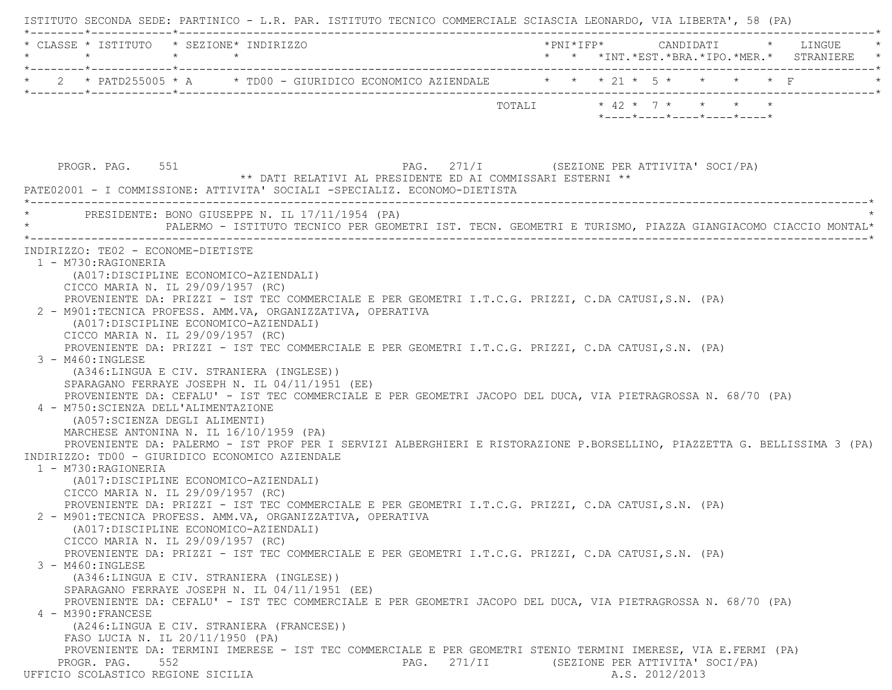| $\star$                                   | * CLASSE * ISTITUTO * SEZIONE* INDIRIZZO<br>$\star$ $\star$                                                                                                                                                                                                                                                                                                                                                                    |                                                                                                                                                                                                                                                                                                                                                                                                                                                                                                                    |                           |                            |  | * * *INT.*EST.*BRA.*IPO.*MER.* STRANIERE |
|-------------------------------------------|--------------------------------------------------------------------------------------------------------------------------------------------------------------------------------------------------------------------------------------------------------------------------------------------------------------------------------------------------------------------------------------------------------------------------------|--------------------------------------------------------------------------------------------------------------------------------------------------------------------------------------------------------------------------------------------------------------------------------------------------------------------------------------------------------------------------------------------------------------------------------------------------------------------------------------------------------------------|---------------------------|----------------------------|--|------------------------------------------|
|                                           |                                                                                                                                                                                                                                                                                                                                                                                                                                | 2 * PATD255005 * A * TD00 - GIURIDICO ECONOMICO AZIENDALE * * * 21 * 5 * * * * * F                                                                                                                                                                                                                                                                                                                                                                                                                                 |                           |                            |  |                                          |
|                                           |                                                                                                                                                                                                                                                                                                                                                                                                                                |                                                                                                                                                                                                                                                                                                                                                                                                                                                                                                                    | TOTALI * 42 * 7 * * * * * | *----*----*----*----*----* |  |                                          |
| PROGR. PAG. 551                           |                                                                                                                                                                                                                                                                                                                                                                                                                                | PAG. 271/I (SEZIONE PER ATTIVITA' SOCI/PA)<br>** DATI RELATIVI AL PRESIDENTE ED AI COMMISSARI ESTERNI **<br>PATE02001 - I COMMISSIONE: ATTIVITA' SOCIALI -SPECIALIZ. ECONOMO-DIETISTA                                                                                                                                                                                                                                                                                                                              |                           |                            |  |                                          |
|                                           |                                                                                                                                                                                                                                                                                                                                                                                                                                | PRESIDENTE: BONO GIUSEPPE N. IL 17/11/1954 (PA)<br>PALERMO - ISTITUTO TECNICO PER GEOMETRI IST. TECN. GEOMETRI E TURISMO, PIAZZA GIANGIACOMO CIACCIO MONTAL*                                                                                                                                                                                                                                                                                                                                                       |                           |                            |  |                                          |
| 3 - M460: INGLESE<br>1 - M730: RAGIONERIA | (A017:DISCIPLINE ECONOMICO-AZIENDALI)<br>CICCO MARIA N. IL 29/09/1957 (RC)<br>(A017:DISCIPLINE ECONOMICO-AZIENDALI)<br>CICCO MARIA N. IL 29/09/1957 (RC)<br>(A346:LINGUA E CIV. STRANIERA (INGLESE))<br>SPARAGANO FERRAYE JOSEPH N. IL 04/11/1951 (EE)<br>4 - M750: SCIENZA DELL'ALIMENTAZIONE<br>(A057: SCIENZA DEGLI ALIMENTI)<br>MARCHESE ANTONINA N. IL 16/10/1959 (PA)<br>INDIRIZZO: TD00 - GIURIDICO ECONOMICO AZIENDALE | PROVENIENTE DA: PRIZZI - IST TEC COMMERCIALE E PER GEOMETRI I.T.C.G. PRIZZI, C.DA CATUSI,S.N. (PA)<br>2 - M901:TECNICA PROFESS. AMM.VA, ORGANIZZATIVA, OPERATIVA<br>PROVENIENTE DA: PRIZZI - IST TEC COMMERCIALE E PER GEOMETRI I.T.C.G. PRIZZI, C.DA CATUSI,S.N. (PA)<br>PROVENIENTE DA: CEFALU' - IST TEC COMMERCIALE E PER GEOMETRI JACOPO DEL DUCA, VIA PIETRAGROSSA N. 68/70 (PA)<br>PROVENIENTE DA: PALERMO - IST PROF PER I SERVIZI ALBERGHIERI E RISTORAZIONE P.BORSELLINO, PIAZZETTA G. BELLISSIMA 3 (PA) |                           |                            |  |                                          |
| $3 - M460$ : INGLESE                      | (A017: DISCIPLINE ECONOMICO-AZIENDALI)<br>CICCO MARIA N. IL 29/09/1957 (RC)<br>(A017:DISCIPLINE ECONOMICO-AZIENDALI)<br>CICCO MARIA N. IL 29/09/1957 (RC)<br>(A346:LINGUA E CIV. STRANIERA (INGLESE))                                                                                                                                                                                                                          | PROVENIENTE DA: PRIZZI - IST TEC COMMERCIALE E PER GEOMETRI I.T.C.G. PRIZZI, C.DA CATUSI,S.N. (PA)<br>2 - M901:TECNICA PROFESS. AMM.VA, ORGANIZZATIVA, OPERATIVA<br>PROVENIENTE DA: PRIZZI - IST TEC COMMERCIALE E PER GEOMETRI I.T.C.G. PRIZZI, C.DA CATUSI,S.N. (PA)                                                                                                                                                                                                                                             |                           |                            |  |                                          |
| 4 - M390: FRANCESE                        | SPARAGANO FERRAYE JOSEPH N. IL 04/11/1951 (EE)<br>(A246:LINGUA E CIV. STRANIERA (FRANCESE))<br>FASO LUCIA N. IL 20/11/1950 (PA)                                                                                                                                                                                                                                                                                                | PROVENIENTE DA: CEFALU' - IST TEC COMMERCIALE E PER GEOMETRI JACOPO DEL DUCA, VIA PIETRAGROSSA N. 68/70 (PA)<br>PROVENIENTE DA: TERMINI IMERESE - IST TEC COMMERCIALE E PER GEOMETRI STENIO TERMINI IMERESE, VIA E.FERMI (PA)                                                                                                                                                                                                                                                                                      |                           |                            |  |                                          |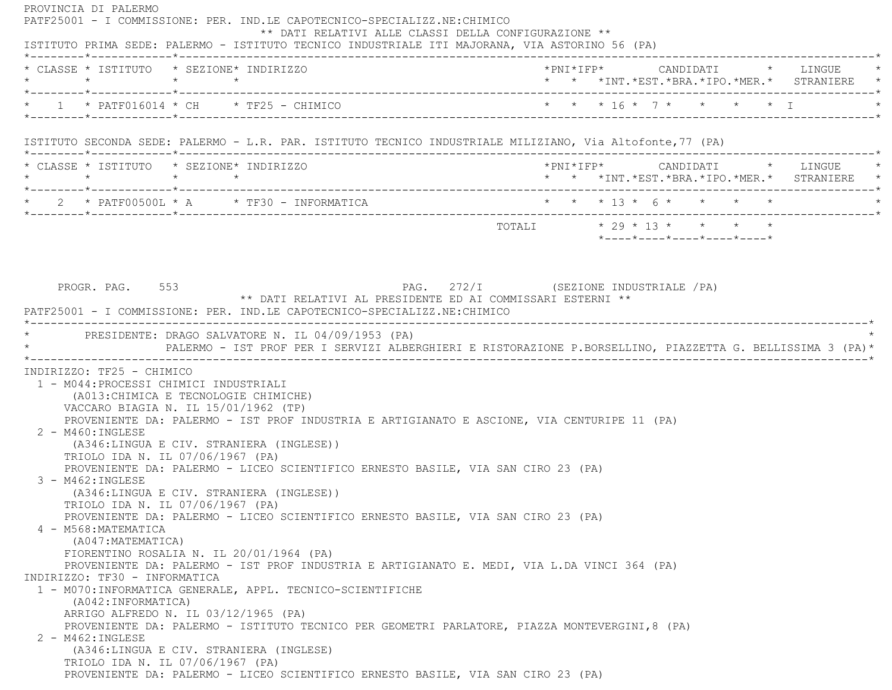PROVINCIA DI PALERMO PATF25001 - I COMMISSIONE: PER. IND.LE CAPOTECNICO-SPECIALIZZ.NE:CHIMICO \*\* DATI RELATIVI ALLE CLASSI DELLA CONFIGURAZIONE \*\* ISTITUTO PRIMA SEDE: PALERMO - ISTITUTO TECNICO INDUSTRIALE ITI MAJORANA, VIA ASTORINO 56 (PA) \*--------\*------------\*-------------------------------------------------------------------------------------------------------\* \* CLASSE \* ISTITUTO \* SEZIONE\* INDIRIZZO \*PNI\*IFP\* CANDIDATI \* LINGUE \* \* \* \* \* \* \* \*INT.\*EST.\*BRA.\*IPO.\*MER.\* STRANIERE \* \*--------\*------------\*-------------------------------------------------------------------------------------------------------\* \* 1 \* PATF016014 \* CH \* TF25 - CHIMICO \* \* \* 16 \* 7 \* \* \* \* I \* \*--------\*------------\*-------------------------------------------------------------------------------------------------------\* ISTITUTO SECONDA SEDE: PALERMO - L.R. PAR. ISTITUTO TECNICO INDUSTRIALE MILIZIANO, Via Altofonte,77 (PA) \*--------\*------------\*-------------------------------------------------------------------------------------------------------\* \* CLASSE \* ISTITUTO \* SEZIONE\* INDIRIZZO \*PNI\*IFP\* CANDIDATI \* LINGUE \* \* \* \* \* \* \* \*INT.\*EST.\*BRA.\*IPO.\*MER.\* STRANIERE \* \*--------\*------------\*-------------------------------------------------------------------------------------------------------\*2 \* PATF00500L \* A \* TF30 - INFORMATICA \* \* \* \* \* 13 \* 6 \* \* \* \* \* \* \*--------\*------------\*-------------------------------------------------------------------------------------------------------\* $\texttt{TOTAL} \qquad \qquad \star \; \; 29 \; \star \; \; 13 \; \star \qquad \star \qquad \star \qquad \star \qquad \star$  \*----\*----\*----\*----\*----\*PROGR. PAG. 553 PAG. 272/I (SEZIONE INDUSTRIALE / PA) \*\* DATI RELATIVI AL PRESIDENTE ED AI COMMISSARI ESTERNI \*\* PATF25001 - I COMMISSIONE: PER. IND.LE CAPOTECNICO-SPECIALIZZ.NE:CHIMICO \*----------------------------------------------------------------------------------------------------------------------------\*PRESIDENTE: DRAGO SALVATORE N. IL 04/09/1953 (PA) \* PALERMO - IST PROF PER I SERVIZI ALBERGHIERI E RISTORAZIONE P.BORSELLINO, PIAZZETTA G. BELLISSIMA 3 (PA)\* \*----------------------------------------------------------------------------------------------------------------------------\* INDIRIZZO: TF25 - CHIMICO 1 - M044:PROCESSI CHIMICI INDUSTRIALI (A013:CHIMICA E TECNOLOGIE CHIMICHE) VACCARO BIAGIA N. IL 15/01/1962 (TP) PROVENIENTE DA: PALERMO - IST PROF INDUSTRIA E ARTIGIANATO E ASCIONE, VIA CENTURIPE 11 (PA) 2 - M460:INGLESE (A346:LINGUA E CIV. STRANIERA (INGLESE)) TRIOLO IDA N. IL 07/06/1967 (PA) PROVENIENTE DA: PALERMO - LICEO SCIENTIFICO ERNESTO BASILE, VIA SAN CIRO 23 (PA) 3 - M462:INGLESE (A346:LINGUA E CIV. STRANIERA (INGLESE)) TRIOLO IDA N. IL 07/06/1967 (PA) PROVENIENTE DA: PALERMO - LICEO SCIENTIFICO ERNESTO BASILE, VIA SAN CIRO 23 (PA) 4 - M568:MATEMATICA (A047:MATEMATICA) FIORENTINO ROSALIA N. IL 20/01/1964 (PA) PROVENIENTE DA: PALERMO - IST PROF INDUSTRIA E ARTIGIANATO E. MEDI, VIA L.DA VINCI 364 (PA) INDIRIZZO: TF30 - INFORMATICA 1 - M070:INFORMATICA GENERALE, APPL. TECNICO-SCIENTIFICHE (A042:INFORMATICA) ARRIGO ALFREDO N. IL 03/12/1965 (PA) PROVENIENTE DA: PALERMO - ISTITUTO TECNICO PER GEOMETRI PARLATORE, PIAZZA MONTEVERGINI,8 (PA) 2 - M462:INGLESE (A346:LINGUA E CIV. STRANIERA (INGLESE) TRIOLO IDA N. IL 07/06/1967 (PA) PROVENIENTE DA: PALERMO - LICEO SCIENTIFICO ERNESTO BASILE, VIA SAN CIRO 23 (PA)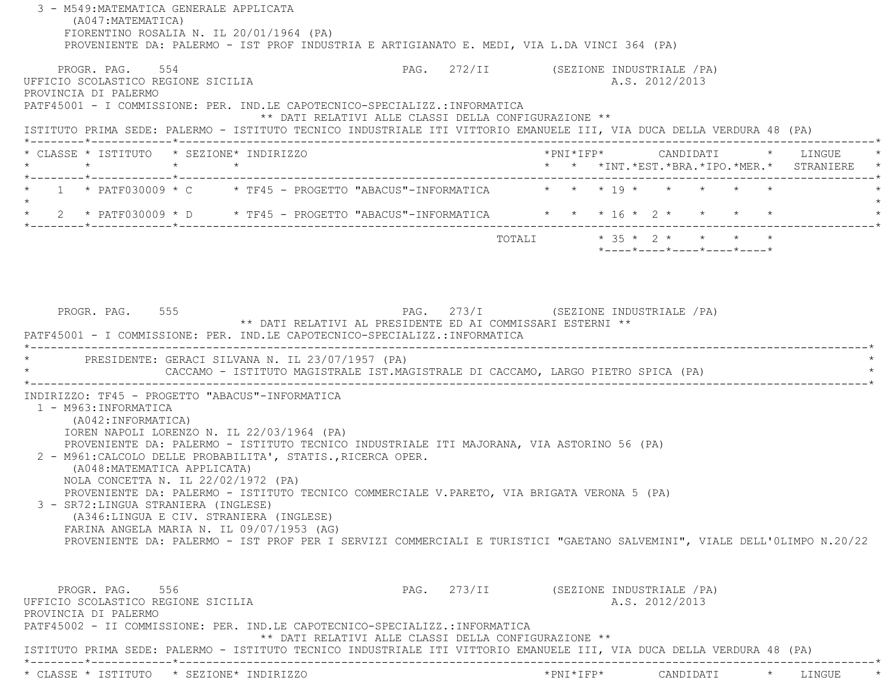3 - M549:MATEMATICA GENERALE APPLICATA (A047:MATEMATICA) FIORENTINO ROSALIA N. IL 20/01/1964 (PA) PROVENIENTE DA: PALERMO - IST PROF INDUSTRIA E ARTIGIANATO E. MEDI, VIA L.DA VINCI 364 (PA) PROGR. PAG. 554 CHARGE 1988. PAG. 272/II (SEZIONE INDUSTRIALE / PA) UFFICIO SCOLASTICO REGIONE SICILIA A.S. 2012/2013 PROVINCIA DI PALERMO PATF45001 - I COMMISSIONE: PER. IND.LE CAPOTECNICO-SPECIALIZZ.:INFORMATICA \*\* DATI RELATIVI ALLE CLASSI DELLA CONFIGURAZIONE \*\* ISTITUTO PRIMA SEDE: PALERMO - ISTITUTO TECNICO INDUSTRIALE ITI VITTORIO EMANUELE III, VIA DUCA DELLA VERDURA 48 (PA) \*--------\*------------\*-------------------------------------------------------------------------------------------------------\* \* CLASSE \* ISTITUTO \* SEZIONE\* INDIRIZZO \*PNI\*IFP\* CANDIDATI \* LINGUE \* \* \* \* \* \* \* \*INT.\*EST.\*BRA.\*IPO.\*MER.\* STRANIERE \* \*--------\*------------\*-------------------------------------------------------------------------------------------------------\*1 \* PATF030009 \* C  $*$  TF45 - PROGETTO "ABACUS"-INFORMATICA  $*$  \* \*  $*$  19 \* \* \* \* \* \*  $\star$ \* 2 \* PATF030009 \* D \* TF45 - PROGETTO "ABACUS"-INFORMATICA \* \* \* 16 \* 2 \* \* \* \* \* \*--------\*------------\*-------------------------------------------------------------------------------------------------------\*TOTALI \* 35 \* 2 \* \* \* \* \*----\*----\*----\*----\*----\*PROGR. PAG. 555 PROGR. PAG. 273/I (SEZIONE INDUSTRIALE / PA) \*\* DATI RELATIVI AL PRESIDENTE ED AI COMMISSARI ESTERNI \*\* PATF45001 - I COMMISSIONE: PER. IND.LE CAPOTECNICO-SPECIALIZZ.:INFORMATICA \*----------------------------------------------------------------------------------------------------------------------------\*PRESIDENTE: GERACI SILVANA N. IL 23/07/1957 (PA) \* CACCAMO - ISTITUTO MAGISTRALE IST.MAGISTRALE DI CACCAMO, LARGO PIETRO SPICA (PA) \* \*----------------------------------------------------------------------------------------------------------------------------\* INDIRIZZO: TF45 - PROGETTO "ABACUS"-INFORMATICA 1 - M963:INFORMATICA (A042:INFORMATICA) IOREN NAPOLI LORENZO N. IL 22/03/1964 (PA) PROVENIENTE DA: PALERMO - ISTITUTO TECNICO INDUSTRIALE ITI MAJORANA, VIA ASTORINO 56 (PA) 2 - M961:CALCOLO DELLE PROBABILITA', STATIS.,RICERCA OPER. (A048:MATEMATICA APPLICATA) NOLA CONCETTA N. IL 22/02/1972 (PA) PROVENIENTE DA: PALERMO - ISTITUTO TECNICO COMMERCIALE V.PARETO, VIA BRIGATA VERONA 5 (PA) 3 - SR72:LINGUA STRANIERA (INGLESE) (A346:LINGUA E CIV. STRANIERA (INGLESE) FARINA ANGELA MARIA N. IL 09/07/1953 (AG) PROVENIENTE DA: PALERMO - IST PROF PER I SERVIZI COMMERCIALI E TURISTICI "GAETANO SALVEMINI", VIALE DELL'0LIMPO N.20/22 PROGR. PAG. 556 6 273/II (SEZIONE INDUSTRIALE / PA) UFFICIO SCOLASTICO REGIONE SICILIA A.S. 2012/2013 PROVINCIA DI PALERMO PATF45002 - II COMMISSIONE: PER. IND.LE CAPOTECNICO-SPECIALIZZ.:INFORMATICA \*\* DATI RELATIVI ALLE CLASSI DELLA CONFIGURAZIONE \*\* ISTITUTO PRIMA SEDE: PALERMO - ISTITUTO TECNICO INDUSTRIALE ITI VITTORIO EMANUELE III, VIA DUCA DELLA VERDURA 48 (PA) \*--------\*------------\*-------------------------------------------------------------------------------------------------------\*\* CLASSE \* ISTITUTO \* SEZIONE\* INDIRIZZO \*PNI\*IFP\* CANDIDATI \* LINGUE \*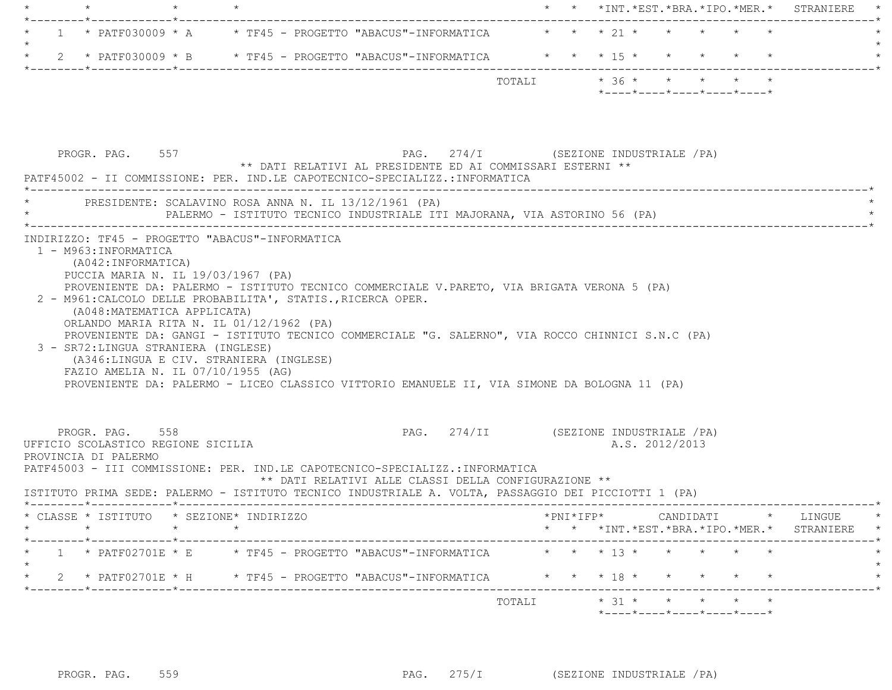|  |  |                                                                                     |        |  |                                                                               |  |  | $\star$ $\star$ $\star$ $\text{INT} \cdot \star \text{EST} \cdot \star \text{BRA} \cdot \star \text{IPO} \cdot \star \text{MER} \cdot \star$ STRANIERE $\star$ |  |
|--|--|-------------------------------------------------------------------------------------|--------|--|-------------------------------------------------------------------------------|--|--|----------------------------------------------------------------------------------------------------------------------------------------------------------------|--|
|  |  |                                                                                     |        |  |                                                                               |  |  |                                                                                                                                                                |  |
|  |  | $\star$ 1 $\star$ PATF030009 $\star$ A $\star$ TF45 - PROGETTO "ABACUS"-INFORMATICA |        |  | $\star$ $\star$ $\star$ $\frac{1}{2}$ $\star$ $\star$ $\star$ $\star$ $\star$ |  |  |                                                                                                                                                                |  |
|  |  |                                                                                     |        |  |                                                                               |  |  |                                                                                                                                                                |  |
|  |  | 2 * PATF030009 * B * TF45 - PROGETTO "ABACUS"-INFORMATICA * * * 15 * * * * * * *    |        |  |                                                                               |  |  |                                                                                                                                                                |  |
|  |  |                                                                                     |        |  |                                                                               |  |  |                                                                                                                                                                |  |
|  |  |                                                                                     | TOTALI |  | $\star$ 36 $\star$ $\star$ $\star$ $\star$ $\star$                            |  |  |                                                                                                                                                                |  |
|  |  |                                                                                     |        |  | *----*----*----*----*----*                                                    |  |  |                                                                                                                                                                |  |

| PROGR. PAG. 557                                                               | PATF45002 - II COMMISSIONE: PER. IND.LE CAPOTECNICO-SPECIALIZZ.:INFORMATICA                                                                                                                                                                                                                                                                                                                                                                                                                                                                                                                                                                                  | ** DATI RELATIVI AL PRESIDENTE ED AI COMMISSARI ESTERNI ** | PAG. 274/I (SEZIONE INDUSTRIALE /PA)                    |                                                  |  |
|-------------------------------------------------------------------------------|--------------------------------------------------------------------------------------------------------------------------------------------------------------------------------------------------------------------------------------------------------------------------------------------------------------------------------------------------------------------------------------------------------------------------------------------------------------------------------------------------------------------------------------------------------------------------------------------------------------------------------------------------------------|------------------------------------------------------------|---------------------------------------------------------|--------------------------------------------------|--|
|                                                                               | PRESIDENTE: SCALAVINO ROSA ANNA N. IL 13/12/1961 (PA)<br>PALERMO - ISTITUTO TECNICO INDUSTRIALE ITI MAJORANA, VIA ASTORINO 56 (PA)                                                                                                                                                                                                                                                                                                                                                                                                                                                                                                                           |                                                            |                                                         |                                                  |  |
| 1 - M963: INFORMATICA<br>(A042:INFORMATICA)                                   | INDIRIZZO: TF45 - PROGETTO "ABACUS"-INFORMATICA<br>PUCCIA MARIA N. IL 19/03/1967 (PA)<br>PROVENIENTE DA: PALERMO - ISTITUTO TECNICO COMMERCIALE V.PARETO, VIA BRIGATA VERONA 5 (PA)<br>2 - M961: CALCOLO DELLE PROBABILITA', STATIS., RICERCA OPER.<br>(A048: MATEMATICA APPLICATA)<br>ORLANDO MARIA RITA N. IL 01/12/1962 (PA)<br>PROVENIENTE DA: GANGI - ISTITUTO TECNICO COMMERCIALE "G. SALERNO", VIA ROCCO CHINNICI S.N.C (PA)<br>3 - SR72: LINGUA STRANIERA (INGLESE)<br>(A346:LINGUA E CIV. STRANIERA (INGLESE)<br>FAZIO AMELIA N. IL 07/10/1955 (AG)<br>PROVENIENTE DA: PALERMO - LICEO CLASSICO VITTORIO EMANUELE II, VIA SIMONE DA BOLOGNA 11 (PA) |                                                            |                                                         |                                                  |  |
| PROGR. PAG. 558<br>UFFICIO SCOLASTICO REGIONE SICILIA<br>PROVINCIA DI PALERMO | PATF45003 - III COMMISSIONE: PER. IND.LE CAPOTECNICO-SPECIALIZZ.:INFORMATICA<br>ISTITUTO PRIMA SEDE: PALERMO - ISTITUTO TECNICO INDUSTRIALE A. VOLTA, PASSAGGIO DEI PICCIOTTI 1 (PA)                                                                                                                                                                                                                                                                                                                                                                                                                                                                         | ** DATI RELATIVI ALLE CLASSI DELLA CONFIGURAZIONE **       | PAG. 274/II (SEZIONE INDUSTRIALE /PA)<br>A.S. 2012/2013 |                                                  |  |
|                                                                               | * CLASSE * ISTITUTO * SEZIONE* INDIRIZZO                                                                                                                                                                                                                                                                                                                                                                                                                                                                                                                                                                                                                     |                                                            | $*$ $\text{PNI} * \text{IFP} *$                         | CANDIDATI * LINGUE                               |  |
|                                                                               |                                                                                                                                                                                                                                                                                                                                                                                                                                                                                                                                                                                                                                                              |                                                            | * * *INT.*EST.*BRA.*IPO.*MER.* STRANIERE                |                                                  |  |
|                                                                               | * 1 * PATF02701E * E * TF45 - PROGETTO "ABACUS"-INFORMATICA * * * 13 * * * * * *                                                                                                                                                                                                                                                                                                                                                                                                                                                                                                                                                                             |                                                            |                                                         |                                                  |  |
|                                                                               | 2 * PATF02701E * H * TF45 - PROGETTO "ABACUS"-INFORMATICA * * * 18 * * * * * * *                                                                                                                                                                                                                                                                                                                                                                                                                                                                                                                                                                             |                                                            |                                                         |                                                  |  |
|                                                                               |                                                                                                                                                                                                                                                                                                                                                                                                                                                                                                                                                                                                                                                              |                                                            | TOTALI * 31 * * * * * *                                 | $*$ ---- $*$ ---- $*$ ---- $*$ ---- $*$ ---- $*$ |  |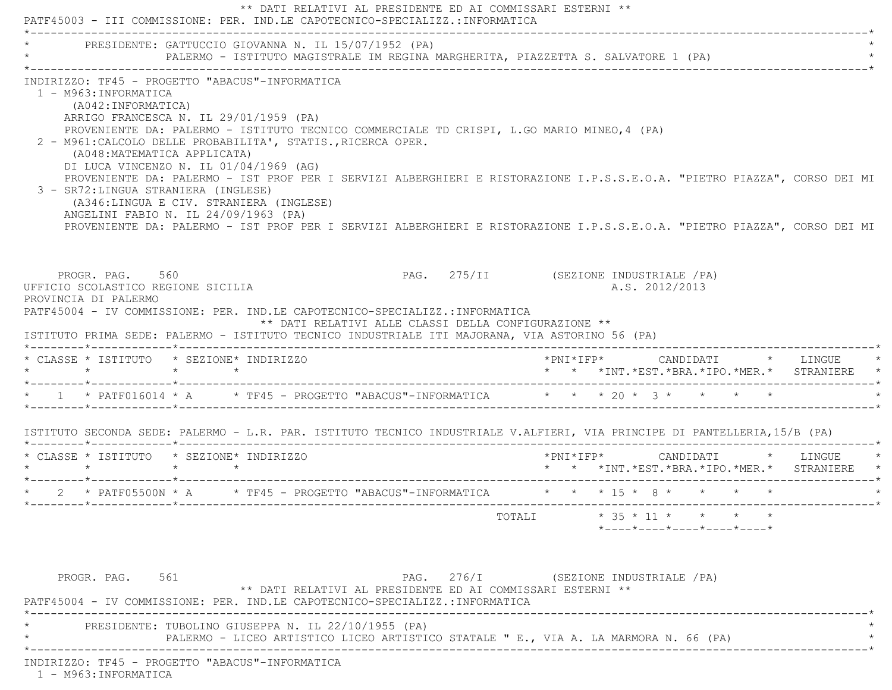|                                                                                                                                                                                                                                                  | * PRESIDENTE: GATTUCCIO GIOVANNA N. IL 15/07/1952 (PA)                                                                                                     |                                                                                                                                                                                                                                                                                                                                                    |  |                                                                                              |  |
|--------------------------------------------------------------------------------------------------------------------------------------------------------------------------------------------------------------------------------------------------|------------------------------------------------------------------------------------------------------------------------------------------------------------|----------------------------------------------------------------------------------------------------------------------------------------------------------------------------------------------------------------------------------------------------------------------------------------------------------------------------------------------------|--|----------------------------------------------------------------------------------------------|--|
| 1 - M963: INFORMATICA<br>(A042: INFORMATICA)<br>ARRIGO FRANCESCA N. IL 29/01/1959 (PA)<br>(A048: MATEMATICA APPLICATA)<br>DI LUCA VINCENZO N. IL 01/04/1969 (AG)<br>3 - SR72: LINGUA STRANIERA (INGLESE)<br>ANGELINI FABIO N. IL 24/09/1963 (PA) | INDIRIZZO: TF45 - PROGETTO "ABACUS"-INFORMATICA<br>2 - M961: CALCOLO DELLE PROBABILITA', STATIS., RICERCA OPER.<br>(A346:LINGUA E CIV. STRANIERA (INGLESE) | PROVENIENTE DA: PALERMO - ISTITUTO TECNICO COMMERCIALE TD CRISPI, L.GO MARIO MINEO, 4 (PA)<br>PROVENIENTE DA: PALERMO - IST PROF PER I SERVIZI ALBERGHIERI E RISTORAZIONE I.P.S.S.E.O.A. "PIETRO PIAZZA", CORSO DEI MI<br>PROVENIENTE DA: PALERMO - IST PROF PER I SERVIZI ALBERGHIERI E RISTORAZIONE I.P.S.S.E.O.A. "PIETRO PIAZZA", CORSO DEI MI |  |                                                                                              |  |
|                                                                                                                                                                                                                                                  |                                                                                                                                                            |                                                                                                                                                                                                                                                                                                                                                    |  |                                                                                              |  |
| PROGR. PAG. 560<br>UFFICIO SCOLASTICO REGIONE SICILIA<br>PROVINCIA DI PALERMO                                                                                                                                                                    |                                                                                                                                                            | PAG. 275/II (SEZIONE INDUSTRIALE /PA)<br>PATF45004 - IV COMMISSIONE: PER. IND.LE CAPOTECNICO-SPECIALIZZ.:INFORMATICA<br>** DATI RELATIVI ALLE CLASSI DELLA CONFIGURAZIONE **<br>ISTITUTO PRIMA SEDE: PALERMO - ISTITUTO TECNICO INDUSTRIALE ITI MAJORANA, VIA ASTORINO 56 (PA)                                                                     |  | A.S. 2012/2013                                                                               |  |
| * CLASSE * ISTITUTO * SEZIONE* INDIRIZZO                                                                                                                                                                                                         |                                                                                                                                                            |                                                                                                                                                                                                                                                                                                                                                    |  |                                                                                              |  |
|                                                                                                                                                                                                                                                  |                                                                                                                                                            |                                                                                                                                                                                                                                                                                                                                                    |  | * * *INT.*EST.*BRA.*IPO.*MER.* STRANIERE *                                                   |  |
|                                                                                                                                                                                                                                                  |                                                                                                                                                            | ISTITUTO SECONDA SEDE: PALERMO - L.R. PAR. ISTITUTO TECNICO INDUSTRIALE V.ALFIERI, VIA PRINCIPE DI PANTELLERIA, 15/B (PA)                                                                                                                                                                                                                          |  |                                                                                              |  |
| $\star$ $\star$ $\star$ $\star$                                                                                                                                                                                                                  | * CLASSE * ISTITUTO * SEZIONE* INDIRIZZO                                                                                                                   |                                                                                                                                                                                                                                                                                                                                                    |  | *PNI*IFP*      CANDIDATI    *   LINGUE   *<br>*  *  *INT.*EST.*BRA.*IPO.*MER.*  STRANIERE  * |  |
|                                                                                                                                                                                                                                                  |                                                                                                                                                            | * 2 * PATF05500N * A * TF45 - PROGETTO "ABACUS"-INFORMATICA * * * 15 * 8 * * * * * *                                                                                                                                                                                                                                                               |  |                                                                                              |  |

INDIRIZZO: TF45 - PROGETTO "ABACUS"-INFORMATICA

1 - M963:INFORMATICA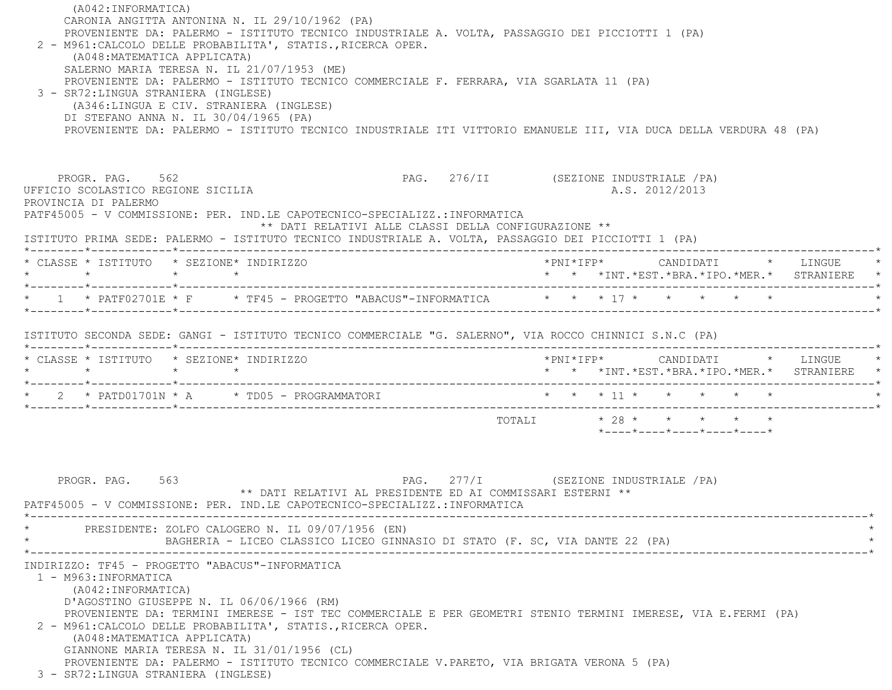| (A042: INFORMATICA)<br>CARONIA ANGITTA ANTONINA N. IL 29/10/1962 (PA)<br>PROVENIENTE DA: PALERMO - ISTITUTO TECNICO INDUSTRIALE A. VOLTA, PASSAGGIO DEI PICCIOTTI 1 (PA)<br>2 - M961: CALCOLO DELLE PROBABILITA', STATIS., RICERCA OPER.<br>(A048: MATEMATICA APPLICATA)<br>SALERNO MARIA TERESA N. IL 21/07/1953 (ME)<br>PROVENIENTE DA: PALERMO - ISTITUTO TECNICO COMMERCIALE F. FERRARA, VIA SGARLATA 11 (PA)<br>3 - SR72: LINGUA STRANIERA (INGLESE)<br>(A346:LINGUA E CIV. STRANIERA (INGLESE)<br>DI STEFANO ANNA N. IL 30/04/1965 (PA)<br>PROVENIENTE DA: PALERMO - ISTITUTO TECNICO INDUSTRIALE ITI VITTORIO EMANUELE III, VIA DUCA DELLA VERDURA 48 (PA) |                                                            |                                                                                                                                               |  |
|-------------------------------------------------------------------------------------------------------------------------------------------------------------------------------------------------------------------------------------------------------------------------------------------------------------------------------------------------------------------------------------------------------------------------------------------------------------------------------------------------------------------------------------------------------------------------------------------------------------------------------------------------------------------|------------------------------------------------------------|-----------------------------------------------------------------------------------------------------------------------------------------------|--|
| PROGR. PAG. 562<br>UFFICIO SCOLASTICO REGIONE SICILIA<br>PROVINCIA DI PALERMO<br>PATF45005 - V COMMISSIONE: PER. IND.LE CAPOTECNICO-SPECIALIZZ.: INFORMATICA<br>ISTITUTO PRIMA SEDE: PALERMO - ISTITUTO TECNICO INDUSTRIALE A. VOLTA, PASSAGGIO DEI PICCIOTTI 1 (PA)                                                                                                                                                                                                                                                                                                                                                                                              | ** DATI RELATIVI ALLE CLASSI DELLA CONFIGURAZIONE **       | PAG. 276/II (SEZIONE INDUSTRIALE /PA)<br>A.S. 2012/2013                                                                                       |  |
| * CLASSE * ISTITUTO * SEZIONE* INDIRIZZO                                                                                                                                                                                                                                                                                                                                                                                                                                                                                                                                                                                                                          |                                                            |                                                                                                                                               |  |
| * 1 * PATF02701E * F * TF45 - PROGETTO "ABACUS"-INFORMATICA * * * 17 * * * * * *                                                                                                                                                                                                                                                                                                                                                                                                                                                                                                                                                                                  |                                                            |                                                                                                                                               |  |
| * CLASSE * ISTITUTO * SEZIONE* INDIRIZZO<br>$\star$ $\star$<br>$\star$ $\star$<br>* 2 * PATD01701N * A * TD05 - PROGRAMMATORI * * * * 11 * * * * * * *                                                                                                                                                                                                                                                                                                                                                                                                                                                                                                            |                                                            | * * *INT.*EST.*BRA.*IPO.*MER.* STRANIERE *                                                                                                    |  |
|                                                                                                                                                                                                                                                                                                                                                                                                                                                                                                                                                                                                                                                                   |                                                            | $\texttt{TOTALI}\qquad \qquad \star\quad 28\ \star\qquad \star\qquad \star\qquad \star\qquad \star\qquad \star$<br>*----*----*----*----*----* |  |
| PROGR. PAG. 563<br>PATF45005 - V COMMISSIONE: PER. IND.LE CAPOTECNICO-SPECIALIZZ.: INFORMATICA                                                                                                                                                                                                                                                                                                                                                                                                                                                                                                                                                                    | ** DATI RELATIVI AL PRESIDENTE ED AI COMMISSARI ESTERNI ** | PAG. 277/I (SEZIONE INDUSTRIALE / PA)                                                                                                         |  |
| PRESIDENTE: ZOLFO CALOGERO N. IL 09/07/1956 (EN)<br>BAGHERIA - LICEO CLASSICO LICEO GINNASIO DI STATO (F. SC, VIA DANTE 22 (PA)                                                                                                                                                                                                                                                                                                                                                                                                                                                                                                                                   |                                                            |                                                                                                                                               |  |
| INDIRIZZO: TF45 - PROGETTO "ABACUS"-INFORMATICA<br>1 - M963: INFORMATICA<br>(A042: INFORMATICA)<br>D'AGOSTINO GIUSEPPE N. IL 06/06/1966 (RM)<br>PROVENIENTE DA: TERMINI IMERESE - IST TEC COMMERCIALE E PER GEOMETRI STENIO TERMINI IMERESE, VIA E.FERMI (PA)<br>2 - M961: CALCOLO DELLE PROBABILITA', STATIS., RICERCA OPER.<br>(A048: MATEMATICA APPLICATA)<br>GIANNONE MARIA TERESA N. IL 31/01/1956 (CL)<br>PROVENIENTE DA: PALERMO - ISTITUTO TECNICO COMMERCIALE V.PARETO, VIA BRIGATA VERONA 5 (PA)<br>3 - SR72: LINGUA STRANIERA (INGLESE)                                                                                                                |                                                            |                                                                                                                                               |  |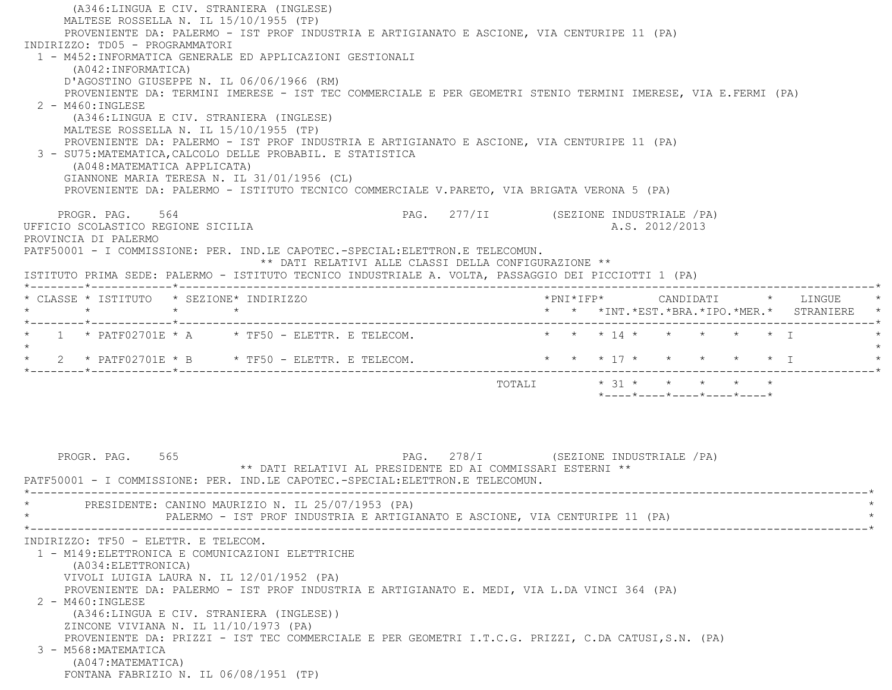(A346:LINGUA E CIV. STRANIERA (INGLESE) MALTESE ROSSELLA N. IL 15/10/1955 (TP) PROVENIENTE DA: PALERMO - IST PROF INDUSTRIA E ARTIGIANATO E ASCIONE, VIA CENTURIPE 11 (PA) INDIRIZZO: TD05 - PROGRAMMATORI 1 - M452:INFORMATICA GENERALE ED APPLICAZIONI GESTIONALI (A042:INFORMATICA) D'AGOSTINO GIUSEPPE N. IL 06/06/1966 (RM) PROVENIENTE DA: TERMINI IMERESE - IST TEC COMMERCIALE E PER GEOMETRI STENIO TERMINI IMERESE, VIA E.FERMI (PA) 2 - M460:INGLESE (A346:LINGUA E CIV. STRANIERA (INGLESE) MALTESE ROSSELLA N. IL 15/10/1955 (TP) PROVENIENTE DA: PALERMO - IST PROF INDUSTRIA E ARTIGIANATO E ASCIONE, VIA CENTURIPE 11 (PA) 3 - SU75:MATEMATICA,CALCOLO DELLE PROBABIL. E STATISTICA (A048:MATEMATICA APPLICATA) GIANNONE MARIA TERESA N. IL 31/01/1956 (CL) PROVENIENTE DA: PALERMO - ISTITUTO TECNICO COMMERCIALE V.PARETO, VIA BRIGATA VERONA 5 (PA) PROGR. PAG. 564 Services of the service of the page 277/II (SEZIONE INDUSTRIALE / PA) UFFICIO SCOLASTICO REGIONE SICILIA A.S. 2012/2013 PROVINCIA DI PALERMO PATF50001 - I COMMISSIONE: PER. IND.LE CAPOTEC.-SPECIAL:ELETTRON.E TELECOMUN. \*\* DATI RELATIVI ALLE CLASSI DELLA CONFIGURAZIONE \*\* ISTITUTO PRIMA SEDE: PALERMO - ISTITUTO TECNICO INDUSTRIALE A. VOLTA, PASSAGGIO DEI PICCIOTTI 1 (PA) \*--------\*------------\*-------------------------------------------------------------------------------------------------------\* \* CLASSE \* ISTITUTO \* SEZIONE\* INDIRIZZO \*PNI\*IFP\* CANDIDATI \* LINGUE \* \* \* \* \* \* \* \*INT.\*EST.\*BRA.\*IPO.\*MER.\* STRANIERE \* \*--------\*------------\*-------------------------------------------------------------------------------------------------------\*\*  $1$  \* PATF02701E \* A \* TF50 - ELETTR. E TELECOM. \* \* \* \* 14 \* \* \* \* \* \* \* I  $\star$  \* 2 \* PATF02701E \* B \* TF50 - ELETTR. E TELECOM. \* \* \* 17 \* \* \* \* \* I \* \*--------\*------------\*-------------------------------------------------------------------------------------------------------\*TOTALI  $* 31 * * * * * * * * *$  \*----\*----\*----\*----\*----\*PROGR. PAG. 565 681 278/I (SEZIONE INDUSTRIALE / PA) \*\* DATI RELATIVI AL PRESIDENTE ED AI COMMISSARI ESTERNI \*\* PATF50001 - I COMMISSIONE: PER. IND.LE CAPOTEC.-SPECIAL:ELETTRON.E TELECOMUN. \*----------------------------------------------------------------------------------------------------------------------------\*PRESIDENTE: CANINO MAURIZIO N. IL 25/07/1953 (PA) PALERMO - IST PROF INDUSTRIA E ARTIGIANATO E ASCIONE, VIA CENTURIPE 11 (PA) \*----------------------------------------------------------------------------------------------------------------------------\* INDIRIZZO: TF50 - ELETTR. E TELECOM. 1 - M149:ELETTRONICA E COMUNICAZIONI ELETTRICHE (A034:ELETTRONICA) VIVOLI LUIGIA LAURA N. IL 12/01/1952 (PA) PROVENIENTE DA: PALERMO - IST PROF INDUSTRIA E ARTIGIANATO E. MEDI, VIA L.DA VINCI 364 (PA) 2 - M460:INGLESE (A346:LINGUA E CIV. STRANIERA (INGLESE)) ZINCONE VIVIANA N. IL 11/10/1973 (PA) PROVENIENTE DA: PRIZZI - IST TEC COMMERCIALE E PER GEOMETRI I.T.C.G. PRIZZI, C.DA CATUSI,S.N. (PA) 3 - M568:MATEMATICA (A047:MATEMATICA) FONTANA FABRIZIO N. IL 06/08/1951 (TP)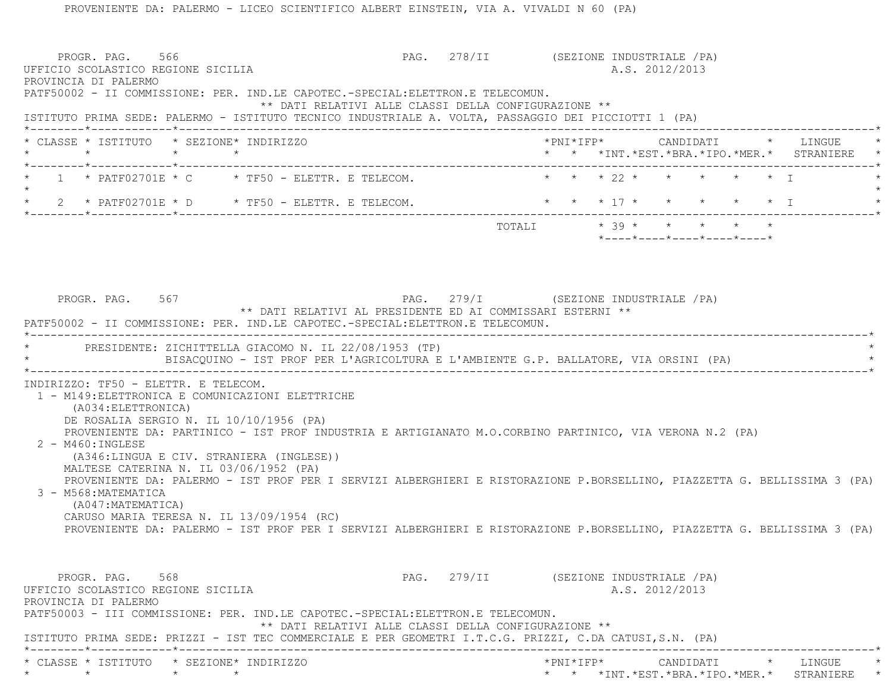PROGR. PAG. 566 PAG. 278/II (SEZIONE INDUSTRIALE /PA) UFFICIO SCOLASTICO REGIONE SICILIA A.S. 2012/2013 PROVINCIA DI PALERMO PATF50002 - II COMMISSIONE: PER. IND.LE CAPOTEC.-SPECIAL:ELETTRON.E TELECOMUN. \*\* DATI RELATIVI ALLE CLASSI DELLA CONFIGURAZIONE \*\* ISTITUTO PRIMA SEDE: PALERMO - ISTITUTO TECNICO INDUSTRIALE A. VOLTA, PASSAGGIO DEI PICCIOTTI 1 (PA) \*--------\*------------\*-------------------------------------------------------------------------------------------------------\* \* CLASSE \* ISTITUTO \* SEZIONE\* INDIRIZZO \*PNI\*IFP\* CANDIDATI \* LINGUE \* \* \* \* \* \* \* \*INT.\*EST.\*BRA.\*IPO.\*MER.\* STRANIERE \* \*--------\*------------\*-------------------------------------------------------------------------------------------------------\* \* 1 \* PATF02701E \* C \* TF50 - ELETTR. E TELECOM. \* \* \* 22 \* \* \* \* \* I \* $\star$ 2 \* PATF02701E \* D \* TF50 - ELETTR. E TELECOM. \* \* \* \* \* 7 \* \* \* \* \* \* \* I \*--------\*------------\*-------------------------------------------------------------------------------------------------------\*TOTALI  $* 39 * * * * * * * * *$  \*----\*----\*----\*----\*----\*PROGR. PAG. 567 PAG. 279/I (SEZIONE INDUSTRIALE / PA) \*\* DATI RELATIVI AL PRESIDENTE ED AI COMMISSARI ESTERNI \*\* PATF50002 - II COMMISSIONE: PER. IND.LE CAPOTEC.-SPECIAL:ELETTRON.E TELECOMUN. \*----------------------------------------------------------------------------------------------------------------------------\* \* PRESIDENTE: ZICHITTELLA GIACOMO N. IL 22/08/1953 (TP) \* BISACOUINO - IST PROF PER L'AGRICOLTURA E L'AMBIENTE G.P. BALLATORE, VIA ORSINI (PA) \*----------------------------------------------------------------------------------------------------------------------------\* INDIRIZZO: TF50 - ELETTR. E TELECOM. 1 - M149:ELETTRONICA E COMUNICAZIONI ELETTRICHE (A034:ELETTRONICA) DE ROSALIA SERGIO N. IL 10/10/1956 (PA) PROVENIENTE DA: PARTINICO - IST PROF INDUSTRIA E ARTIGIANATO M.O.CORBINO PARTINICO, VIA VERONA N.2 (PA) 2 - M460:INGLESE (A346:LINGUA E CIV. STRANIERA (INGLESE)) MALTESE CATERINA N. IL 03/06/1952 (PA) PROVENIENTE DA: PALERMO - IST PROF PER I SERVIZI ALBERGHIERI E RISTORAZIONE P.BORSELLINO, PIAZZETTA G. BELLISSIMA 3 (PA) 3 - M568:MATEMATICA (A047:MATEMATICA) CARUSO MARIA TERESA N. IL 13/09/1954 (RC) PROVENIENTE DA: PALERMO - IST PROF PER I SERVIZI ALBERGHIERI E RISTORAZIONE P.BORSELLINO, PIAZZETTA G. BELLISSIMA 3 (PA) PROGR. PAG. 568 68 279/II (SEZIONE INDUSTRIALE / PA) UFFICIO SCOLASTICO REGIONE SICILIA A.S. 2012/2013 PROVINCIA DI PALERMO PATF50003 - III COMMISSIONE: PER. IND.LE CAPOTEC.-SPECIAL:ELETTRON.E TELECOMUN. \*\* DATI RELATIVI ALLE CLASSI DELLA CONFIGURAZIONE \*\* ISTITUTO PRIMA SEDE: PRIZZI - IST TEC COMMERCIALE E PER GEOMETRI I.T.C.G. PRIZZI, C.DA CATUSI,S.N. (PA) \*--------\*------------\*-------------------------------------------------------------------------------------------------------\* \* CLASSE \* ISTITUTO \* SEZIONE\* INDIRIZZO \*PNI\*IFP\* CANDIDATI \* LINGUE \*\* \* \* \* \* \* \*INT.\*EST.\*BRA.\*IPO.\*MER.\* STRANIERE \*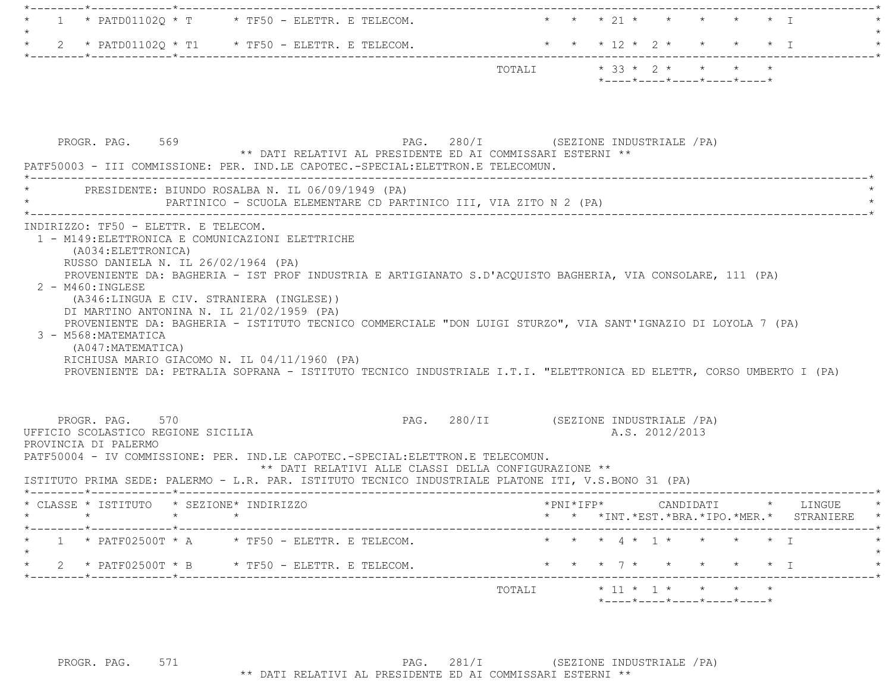|  |                                                                           |         | $*$ - - - - $*$ - - - - $*$ - - - - $*$ - - - - $*$ - - - - $*$ |  |  |  |
|--|---------------------------------------------------------------------------|---------|-----------------------------------------------------------------|--|--|--|
|  |                                                                           | TOTAI.T | $* 33 * 2 * * * * * * * *$                                      |  |  |  |
|  | $\star$ 2 $\star$ PATD011020 $\star$ T1 $\star$ TF50 - ELETTR. E TELECOM. |         | * * * 12 * 2 * * * * * T                                        |  |  |  |
|  |                                                                           |         |                                                                 |  |  |  |
|  | $\star$ 1 $\star$ PATD011020 $\star$ T $\star$ TF50 - ELETTR. E TELECOM.  |         | * * * 21 * * * * * * T                                          |  |  |  |
|  |                                                                           |         |                                                                 |  |  |  |

|                                                                                                                            | PRESIDENTE: BIUNDO ROSALBA N. IL 06/09/1949 (PA)<br>PARTINICO - SCUOLA ELEMENTARE CD PARTINICO III, VIA ZITO N 2 (PA)                                                                                                                                                                                                                                                    |                                       |                         |                |  |                                                                                        |
|----------------------------------------------------------------------------------------------------------------------------|--------------------------------------------------------------------------------------------------------------------------------------------------------------------------------------------------------------------------------------------------------------------------------------------------------------------------------------------------------------------------|---------------------------------------|-------------------------|----------------|--|----------------------------------------------------------------------------------------|
| INDIRIZZO: TF50 - ELETTR. E TELECOM.<br>(A034: ELETTRONICA)<br>RUSSO DANIELA N. IL 26/02/1964 (PA)<br>$2 - M460: INGLEXSE$ | 1 - M149: ELETTRONICA E COMUNICAZIONI ELETTRICHE<br>PROVENIENTE DA: BAGHERIA - IST PROF INDUSTRIA E ARTIGIANATO S.D'ACQUISTO BAGHERIA, VIA CONSOLARE, 111 (PA)<br>(A346:LINGUA E CIV. STRANIERA (INGLESE))<br>DI MARTINO ANTONINA N. IL 21/02/1959 (PA)<br>PROVENIENTE DA: BAGHERIA - ISTITUTO TECNICO COMMERCIALE "DON LUIGI STURZO", VIA SANT'IGNAZIO DI LOYOLA 7 (PA) |                                       |                         |                |  |                                                                                        |
| 3 - M568: MATEMATICA<br>(A047: MATEMATICA)                                                                                 | RICHIUSA MARIO GIACOMO N. IL 04/11/1960 (PA)<br>PROVENIENTE DA: PETRALIA SOPRANA - ISTITUTO TECNICO INDUSTRIALE I.T.I. "ELETTRONICA ED ELETTR, CORSO UMBERTO I (PA)                                                                                                                                                                                                      |                                       |                         |                |  |                                                                                        |
| PROGR, PAG, 570<br>UFFICIO SCOLASTICO REGIONE SICILIA<br>PROVINCIA DI PALERMO                                              | PATF50004 - IV COMMISSIONE: PER. IND.LE CAPOTEC.-SPECIAL:ELETTRON.E TELECOMUN.<br>** DATI RELATIVI ALLE CLASSI DELLA CONFIGURAZIONE **                                                                                                                                                                                                                                   | PAG. 280/II (SEZIONE INDUSTRIALE /PA) |                         | A.S. 2012/2013 |  |                                                                                        |
|                                                                                                                            | ISTITUTO PRIMA SEDE: PALERMO - L.R. PAR. ISTITUTO TECNICO INDUSTRIALE PLATONE ITI, V.S.BONO 31 (PA)                                                                                                                                                                                                                                                                      |                                       |                         |                |  |                                                                                        |
| * CLASSE * ISTITUTO * SEZIONE* INDIRIZZO                                                                                   |                                                                                                                                                                                                                                                                                                                                                                          |                                       |                         |                |  | *PNI*IFP*     CANDIDATI    *   LINGUE<br>* * *INT. *EST. *BRA. *IPO. *MER. * STRANIERE |
|                                                                                                                            | $\star$ 1 $\star$ PATF02500T $\star$ A $\star$ TF50 - ELETTR. E TELECOM.                                                                                                                                                                                                                                                                                                 |                                       | * * * 4 * 1 * * * * * T |                |  |                                                                                        |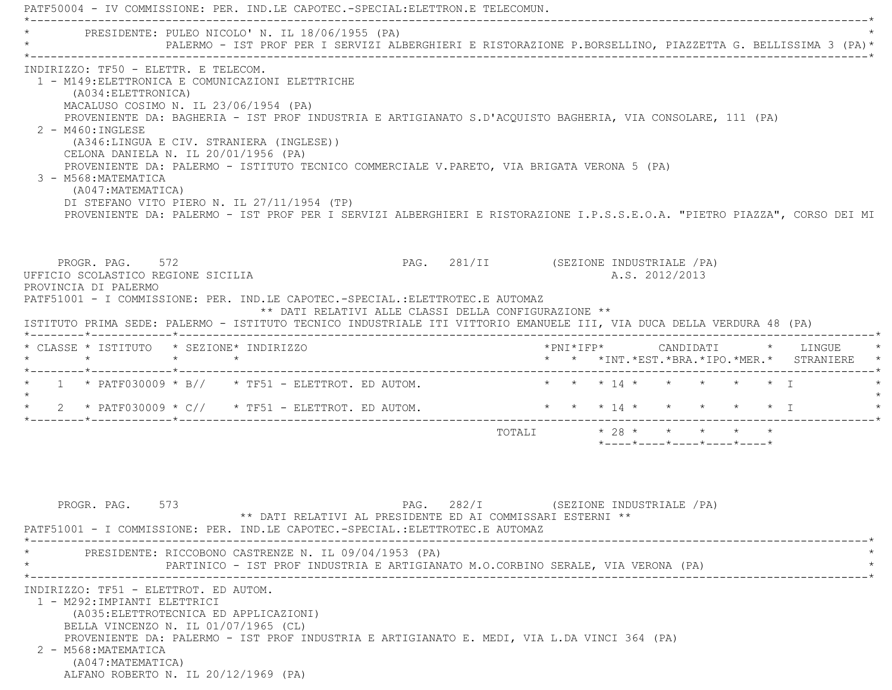PATF50004 - IV COMMISSIONE: PER. IND.LE CAPOTEC.-SPECIAL:ELETTRON.E TELECOMUN. \*----------------------------------------------------------------------------------------------------------------------------\*PRESIDENTE: PULEO NICOLO' N. IL 18/06/1955 (PA) \* PALERMO - IST PROF PER I SERVIZI ALBERGHIERI E RISTORAZIONE P.BORSELLINO, PIAZZETTA G. BELLISSIMA 3 (PA)\* \*----------------------------------------------------------------------------------------------------------------------------\* INDIRIZZO: TF50 - ELETTR. E TELECOM. 1 - M149:ELETTRONICA E COMUNICAZIONI ELETTRICHE (A034:ELETTRONICA) MACALUSO COSIMO N. IL 23/06/1954 (PA) PROVENIENTE DA: BAGHERIA - IST PROF INDUSTRIA E ARTIGIANATO S.D'ACQUISTO BAGHERIA, VIA CONSOLARE, 111 (PA) 2 - M460:INGLESE (A346:LINGUA E CIV. STRANIERA (INGLESE)) CELONA DANIELA N. IL 20/01/1956 (PA) PROVENIENTE DA: PALERMO - ISTITUTO TECNICO COMMERCIALE V.PARETO, VIA BRIGATA VERONA 5 (PA) 3 - M568:MATEMATICA (A047:MATEMATICA) DI STEFANO VITO PIERO N. IL 27/11/1954 (TP) PROVENIENTE DA: PALERMO - IST PROF PER I SERVIZI ALBERGHIERI E RISTORAZIONE I.P.S.S.E.O.A. "PIETRO PIAZZA", CORSO DEI MI PROGR. PAG. 572 **PAG. 281/II** (SEZIONE INDUSTRIALE /PA) UFFICIO SCOLASTICO REGIONE SICILIA A.S. 2012/2013 PROVINCIA DI PALERMO PATF51001 - I COMMISSIONE: PER. IND.LE CAPOTEC.-SPECIAL.:ELETTROTEC.E AUTOMAZ \*\* DATI RELATIVI ALLE CLASSI DELLA CONFIGURAZIONE \*\* ISTITUTO PRIMA SEDE: PALERMO - ISTITUTO TECNICO INDUSTRIALE ITI VITTORIO EMANUELE III, VIA DUCA DELLA VERDURA 48 (PA) \*--------\*------------\*-------------------------------------------------------------------------------------------------------\* \* CLASSE \* ISTITUTO \* SEZIONE\* INDIRIZZO \*PNI\*IFP\* CANDIDATI \* LINGUE \* \* \* \* \* \* \* \*INT.\*EST.\*BRA.\*IPO.\*MER.\* STRANIERE \* \*--------\*------------\*-------------------------------------------------------------------------------------------------------\* \* 1 \* PATF030009 \* B// \* TF51 - ELETTROT. ED AUTOM. \* \* \* 14 \* \* \* \* \* I \*  $\star$ 2 \* PATF030009 \* C// \* TF51 - ELETTROT. ED AUTOM. \* \* \* 14 \* \* \* \* \* \* \* I \*--------\*------------\*-------------------------------------------------------------------------------------------------------\*TOTALI  $* 28 * * * * * * * *$ \*----\*----\*----\*----\*----\*

PROGR. PAG. 573 PAG. 282/I (SEZIONE INDUSTRIALE / PA) \*\* DATI RELATIVI AL PRESIDENTE ED AI COMMISSARI ESTERNI \*\* PATF51001 - I COMMISSIONE: PER. IND.LE CAPOTEC.-SPECIAL.:ELETTROTEC.E AUTOMAZ \*----------------------------------------------------------------------------------------------------------------------------\*PRESIDENTE: RICCOBONO CASTRENZE N. IL 09/04/1953 (PA) PARTINICO - IST PROF INDUSTRIA E ARTIGIANATO M.O.CORBINO SERALE, VIA VERONA (PA) \*----------------------------------------------------------------------------------------------------------------------------\* INDIRIZZO: TF51 - ELETTROT. ED AUTOM. 1 - M292:IMPIANTI ELETTRICI (A035:ELETTROTECNICA ED APPLICAZIONI) BELLA VINCENZO N. IL 01/07/1965 (CL) PROVENIENTE DA: PALERMO - IST PROF INDUSTRIA E ARTIGIANATO E. MEDI, VIA L.DA VINCI 364 (PA) 2 - M568:MATEMATICA (A047:MATEMATICA) ALFANO ROBERTO N. IL 20/12/1969 (PA)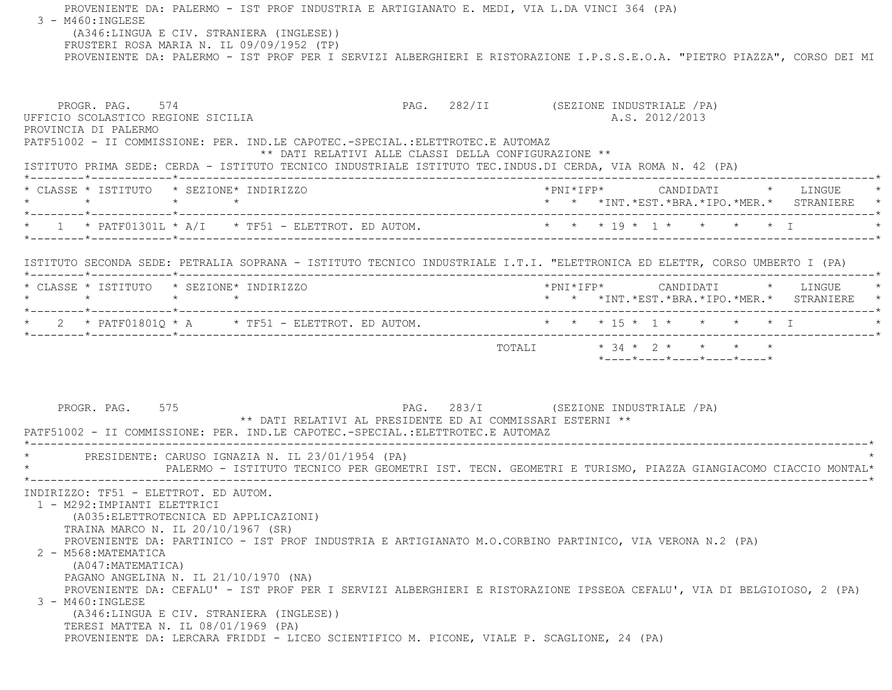PROVENIENTE DA: PALERMO - IST PROF INDUSTRIA E ARTIGIANATO E. MEDI, VIA L.DA VINCI 364 (PA) 3 - M460:INGLESE (A346:LINGUA E CIV. STRANIERA (INGLESE)) FRUSTERI ROSA MARIA N. IL 09/09/1952 (TP) PROVENIENTE DA: PALERMO - IST PROF PER I SERVIZI ALBERGHIERI E RISTORAZIONE I.P.S.S.E.O.A. "PIETRO PIAZZA", CORSO DEI MI PROGR. PAG. 574 **PROGR. PAG. 282/II** (SEZIONE INDUSTRIALE / PA) UFFICIO SCOLASTICO REGIONE SICILIA A.S. 2012/2013 PROVINCIA DI PALERMO PATF51002 - II COMMISSIONE: PER. IND.LE CAPOTEC.-SPECIAL.:ELETTROTEC.E AUTOMAZ \*\* DATI RELATIVI ALLE CLASSI DELLA CONFIGURAZIONE \*\* ISTITUTO PRIMA SEDE: CERDA - ISTITUTO TECNICO INDUSTRIALE ISTITUTO TEC.INDUS.DI CERDA, VIA ROMA N. 42 (PA) \*--------\*------------\*-------------------------------------------------------------------------------------------------------\* \* CLASSE \* ISTITUTO \* SEZIONE\* INDIRIZZO \*PNI\*IFP\* CANDIDATI \* LINGUE \* \* \* \* \* \* \* \*INT.\*EST.\*BRA.\*IPO.\*MER.\* STRANIERE \* \*--------\*------------\*-------------------------------------------------------------------------------------------------------\* $\star$  1 \* PATF01301L \* A/I \* TF51 - ELETTROT. ED AUTOM.  $\star$  \* \* \* 19 \* 1 \* \* \* \* \* I \*--------\*------------\*-------------------------------------------------------------------------------------------------------\* ISTITUTO SECONDA SEDE: PETRALIA SOPRANA - ISTITUTO TECNICO INDUSTRIALE I.T.I. "ELETTRONICA ED ELETTR, CORSO UMBERTO I (PA) \*--------\*------------\*-------------------------------------------------------------------------------------------------------\* \* CLASSE \* ISTITUTO \* SEZIONE\* INDIRIZZO \*PNI\*IFP\* CANDIDATI \* LINGUE \* \* \* \* \* \* \* \*INT.\*EST.\*BRA.\*IPO.\*MER.\* STRANIERE \* \*--------\*------------\*-------------------------------------------------------------------------------------------------------\*\* 2 \* PATF01801Q \* A \* TF51 - ELETTROT. ED AUTOM. \* \* \* \* 15 \* 1 \* \* \* \* \* \* I \* \* \* \* I \*--------\*------------\*-------------------------------------------------------------------------------------------------------\*TOTALI  $\star$  34  $\star$  2  $\star$   $\star$   $\star$   $\star$  \*----\*----\*----\*----\*----\*PROGR. PAG. 575 PAG. 283/I (SEZIONE INDUSTRIALE / PA) \*\* DATI RELATIVI AL PRESIDENTE ED AI COMMISSARI ESTERNI \*\* PATF51002 - II COMMISSIONE: PER. IND.LE CAPOTEC.-SPECIAL.:ELETTROTEC.E AUTOMAZ \*----------------------------------------------------------------------------------------------------------------------------\*PRESIDENTE: CARUSO IGNAZIA N. IL 23/01/1954 (PA) \* PALERMO - ISTITUTO TECNICO PER GEOMETRI IST. TECN. GEOMETRI E TURISMO, PIAZZA GIANGIACOMO CIACCIO MONTAL\* \*----------------------------------------------------------------------------------------------------------------------------\* INDIRIZZO: TF51 - ELETTROT. ED AUTOM. 1 - M292:IMPIANTI ELETTRICI (A035:ELETTROTECNICA ED APPLICAZIONI) TRAINA MARCO N. IL 20/10/1967 (SR) PROVENIENTE DA: PARTINICO - IST PROF INDUSTRIA E ARTIGIANATO M.O.CORBINO PARTINICO, VIA VERONA N.2 (PA) 2 - M568:MATEMATICA (A047:MATEMATICA) PAGANO ANGELINA N. IL 21/10/1970 (NA) PROVENIENTE DA: CEFALU' - IST PROF PER I SERVIZI ALBERGHIERI E RISTORAZIONE IPSSEOA CEFALU', VIA DI BELGIOIOSO, 2 (PA) 3 - M460:INGLESE (A346:LINGUA E CIV. STRANIERA (INGLESE)) TERESI MATTEA N. IL 08/01/1969 (PA) PROVENIENTE DA: LERCARA FRIDDI - LICEO SCIENTIFICO M. PICONE, VIALE P. SCAGLIONE, 24 (PA)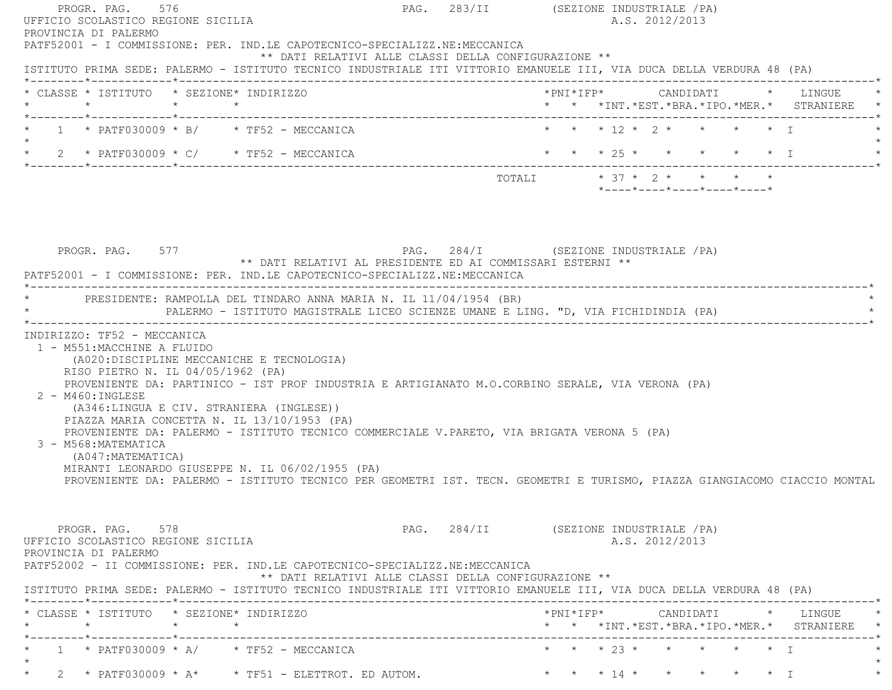| PROGR. PAG. 576<br>UFFICIO SCOLASTICO REGIONE SICILIA                                                                                                                                                                                                                                                                                                                                                                                                                                                                               |  | PAG. 283/II (SEZIONE INDUSTRIALE /PA)<br>A.S. 2012/2013                                                                  |
|-------------------------------------------------------------------------------------------------------------------------------------------------------------------------------------------------------------------------------------------------------------------------------------------------------------------------------------------------------------------------------------------------------------------------------------------------------------------------------------------------------------------------------------|--|--------------------------------------------------------------------------------------------------------------------------|
| PROVINCIA DI PALERMO<br>PATF52001 - I COMMISSIONE: PER. IND.LE CAPOTECNICO-SPECIALIZZ.NE:MECCANICA<br>** DATI RELATIVI ALLE CLASSI DELLA CONFIGURAZIONE **<br>ISTITUTO PRIMA SEDE: PALERMO - ISTITUTO TECNICO INDUSTRIALE ITI VITTORIO EMANUELE III, VIA DUCA DELLA VERDURA 48 (PA)                                                                                                                                                                                                                                                 |  |                                                                                                                          |
| * CLASSE * ISTITUTO * SEZIONE* INDIRIZZO                                                                                                                                                                                                                                                                                                                                                                                                                                                                                            |  | *PNI*IFP*      CANDIDATI    *   LINGUE                                                                                   |
| *--------*-----------*--------------                                                                                                                                                                                                                                                                                                                                                                                                                                                                                                |  | * * *INT. *EST. *BRA. *IPO. *MER. * STRANIERE *                                                                          |
| * $1$ * PATF030009 * B/ * TF52 - MECCANICA                                                                                                                                                                                                                                                                                                                                                                                                                                                                                          |  | $\star \quad \star \quad \star \quad \gamma \quad \star \quad \star \quad \star \quad \star \quad \tau$                  |
| * 2 * PATF030009 * C/ * TF52 - MECCANICA                                                                                                                                                                                                                                                                                                                                                                                                                                                                                            |  | * * * 25 * * * * * * I                                                                                                   |
|                                                                                                                                                                                                                                                                                                                                                                                                                                                                                                                                     |  | TOTALI * 37 * 2 * * * * *<br>$*$ - - - - $*$ - - - - $*$ - - - - $*$ - - - - $*$ - - - - $*$                             |
| PROGR. PAG. 577<br>** DATI RELATIVI AL PRESIDENTE ED AI COMMISSARI ESTERNI **<br>PATF52001 - I COMMISSIONE: PER. IND.LE CAPOTECNICO-SPECIALIZZ.NE:MECCANICA                                                                                                                                                                                                                                                                                                                                                                         |  | PAG. 284/I (SEZIONE INDUSTRIALE /PA)                                                                                     |
| * PRESIDENTE: RAMPOLLA DEL TINDARO ANNA MARIA N. IL 11/04/1954 (BR)                                                                                                                                                                                                                                                                                                                                                                                                                                                                 |  | PALERMO - ISTITUTO MAGISTRALE LICEO SCIENZE UMANE E LING. "D, VIA FICHIDINDIA (PA)                                       |
| 1 - M551: MACCHINE A FLUIDO<br>(A020:DISCIPLINE MECCANICHE E TECNOLOGIA)<br>RISO PIETRO N. IL 04/05/1962 (PA)<br>PROVENIENTE DA: PARTINICO - IST PROF INDUSTRIA E ARTIGIANATO M.O.CORBINO SERALE, VIA VERONA (PA)<br>$2 - M460$ : INGLESE<br>(A346:LINGUA E CIV. STRANIERA (INGLESE))<br>PIAZZA MARIA CONCETTA N. IL 13/10/1953 (PA)<br>PROVENIENTE DA: PALERMO - ISTITUTO TECNICO COMMERCIALE V.PARETO, VIA BRIGATA VERONA 5 (PA)<br>3 - M568: MATEMATICA<br>(A047: MATEMATICA)<br>MIRANTI LEONARDO GIUSEPPE N. IL 06/02/1955 (PA) |  | PROVENIENTE DA: PALERMO - ISTITUTO TECNICO PER GEOMETRI IST. TECN. GEOMETRI E TURISMO, PIAZZA GIANGIACOMO CIACCIO MONTAL |
| PROGR. PAG. 578<br>UFFICIO SCOLASTICO REGIONE SICILIA<br>PROVINCIA DI PALERMO<br>PATF52002 - II COMMISSIONE: PER. IND.LE CAPOTECNICO-SPECIALIZZ.NE:MECCANICA<br>** DATI RELATIVI ALLE CLASSI DELLA CONFIGURAZIONE **<br>ISTITUTO PRIMA SEDE: PALERMO - ISTITUTO TECNICO INDUSTRIALE ITI VITTORIO EMANUELE III, VIA DUCA DELLA VERDURA 48 (PA)                                                                                                                                                                                       |  | PAG. 284/II (SEZIONE INDUSTRIALE /PA)<br>A.S. 2012/2013                                                                  |
| * CLASSE * ISTITUTO * SEZIONE* INDIRIZZO<br>$\star$ $\star$<br>$\star$                                                                                                                                                                                                                                                                                                                                                                                                                                                              |  | * * *INT. *EST. *BRA. *IPO. *MER. * STRANIERE *                                                                          |
| $1 * PATF030009 * A/ * TF52 - MECCANICA$                                                                                                                                                                                                                                                                                                                                                                                                                                                                                            |  | * * * 23 * * * * * * I                                                                                                   |
| * 2 * PATF030009 * A* * TF51 - ELETTROT. ED AUTOM.                                                                                                                                                                                                                                                                                                                                                                                                                                                                                  |  | $\star$ $\star$ $\star$ $\uparrow$ $\uparrow$ $\star$ $\star$ $\star$ $\downarrow$ $\uparrow$                            |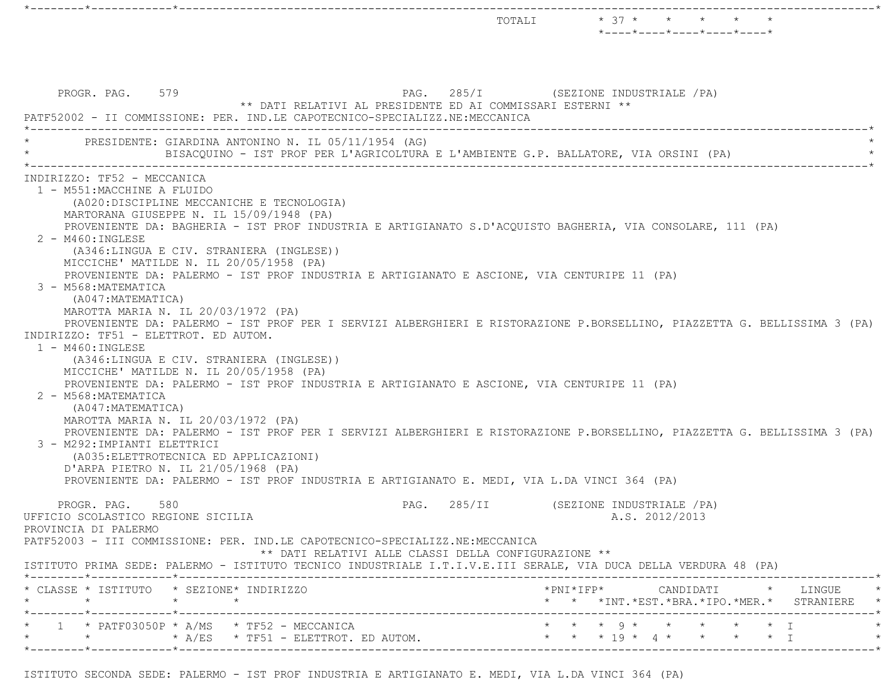$\text{TOTAL}$   $\qquad \qquad \star \quad \text{37} \; \star \quad \qquad \star \quad \qquad \star \quad \qquad \star \quad \qquad \star \quad \qquad \star$  \*----\*----\*----\*----\*----\* PROGR. PAG. 579 PAG. 285/I (SEZIONE INDUSTRIALE /PA) \*\* DATI RELATIVI AL PRESIDENTE ED AI COMMISSARI ESTERNI \*\* PATF52002 - II COMMISSIONE: PER. IND.LE CAPOTECNICO-SPECIALIZZ.NE:MECCANICA \*----------------------------------------------------------------------------------------------------------------------------\*PRESIDENTE: GIARDINA ANTONINO N. IL 05/11/1954 (AG) BISACOUINO - IST PROF PER L'AGRICOLTURA E L'AMBIENTE G.P. BALLATORE, VIA ORSINI (PA) \*----------------------------------------------------------------------------------------------------------------------------\* INDIRIZZO: TF52 - MECCANICA 1 - M551:MACCHINE A FLUIDO (A020:DISCIPLINE MECCANICHE E TECNOLOGIA) MARTORANA GIUSEPPE N. IL 15/09/1948 (PA) PROVENIENTE DA: BAGHERIA - IST PROF INDUSTRIA E ARTIGIANATO S.D'ACQUISTO BAGHERIA, VIA CONSOLARE, 111 (PA) 2 - M460:INGLESE (A346:LINGUA E CIV. STRANIERA (INGLESE)) MICCICHE' MATILDE N. IL 20/05/1958 (PA) PROVENIENTE DA: PALERMO - IST PROF INDUSTRIA E ARTIGIANATO E ASCIONE, VIA CENTURIPE 11 (PA) 3 - M568:MATEMATICA (A047:MATEMATICA) MAROTTA MARIA N. IL 20/03/1972 (PA) PROVENIENTE DA: PALERMO - IST PROF PER I SERVIZI ALBERGHIERI E RISTORAZIONE P.BORSELLINO, PIAZZETTA G. BELLISSIMA 3 (PA) INDIRIZZO: TF51 - ELETTROT. ED AUTOM. 1 - M460:INGLESE (A346:LINGUA E CIV. STRANIERA (INGLESE)) MICCICHE' MATILDE N. IL 20/05/1958 (PA) PROVENIENTE DA: PALERMO - IST PROF INDUSTRIA E ARTIGIANATO E ASCIONE, VIA CENTURIPE 11 (PA) 2 - M568:MATEMATICA (A047:MATEMATICA) MAROTTA MARIA N. IL 20/03/1972 (PA) PROVENIENTE DA: PALERMO - IST PROF PER I SERVIZI ALBERGHIERI E RISTORAZIONE P.BORSELLINO, PIAZZETTA G. BELLISSIMA 3 (PA) 3 - M292:IMPIANTI ELETTRICI (A035:ELETTROTECNICA ED APPLICAZIONI) D'ARPA PIETRO N. IL 21/05/1968 (PA) PROVENIENTE DA: PALERMO - IST PROF INDUSTRIA E ARTIGIANATO E. MEDI, VIA L.DA VINCI 364 (PA) PROGR. PAG. 580 PAG. 285/II (SEZIONE INDUSTRIALE / PA) UFFICIO SCOLASTICO REGIONE SICILIA A.S. 2012/2013 PROVINCIA DI PALERMO PATF52003 - III COMMISSIONE: PER. IND.LE CAPOTECNICO-SPECIALIZZ.NE:MECCANICA \*\* DATI RELATIVI ALLE CLASSI DELLA CONFIGURAZIONE \*\* ISTITUTO PRIMA SEDE: PALERMO - ISTITUTO TECNICO INDUSTRIALE I.T.I.V.E.III SERALE, VIA DUCA DELLA VERDURA 48 (PA) \*--------\*------------\*-------------------------------------------------------------------------------------------------------\* \* CLASSE \* ISTITUTO \* SEZIONE\* INDIRIZZO \*PNI\*IFP\* CANDIDATI \* LINGUE \* \* \* \* \* \* \* \*INT.\*EST.\*BRA.\*IPO.\*MER.\* STRANIERE \* \*--------\*------------\*-------------------------------------------------------------------------------------------------------\*1 \* PATF03050P \* A/MS \* TF52 - MECCANICA \* \* \* \* \* \* \* \* \* \* \* \* \* I \* \* \* A/ES \* TF51 - ELETTROT. ED AUTOM. \* \* \* 19 \* 4 \* \* \* \* I \* \*--------\*------------\*-------------------------------------------------------------------------------------------------------\*

\*--------\*------------\*-------------------------------------------------------------------------------------------------------\*

ISTITUTO SECONDA SEDE: PALERMO - IST PROF INDUSTRIA E ARTIGIANATO E. MEDI, VIA L.DA VINCI 364 (PA)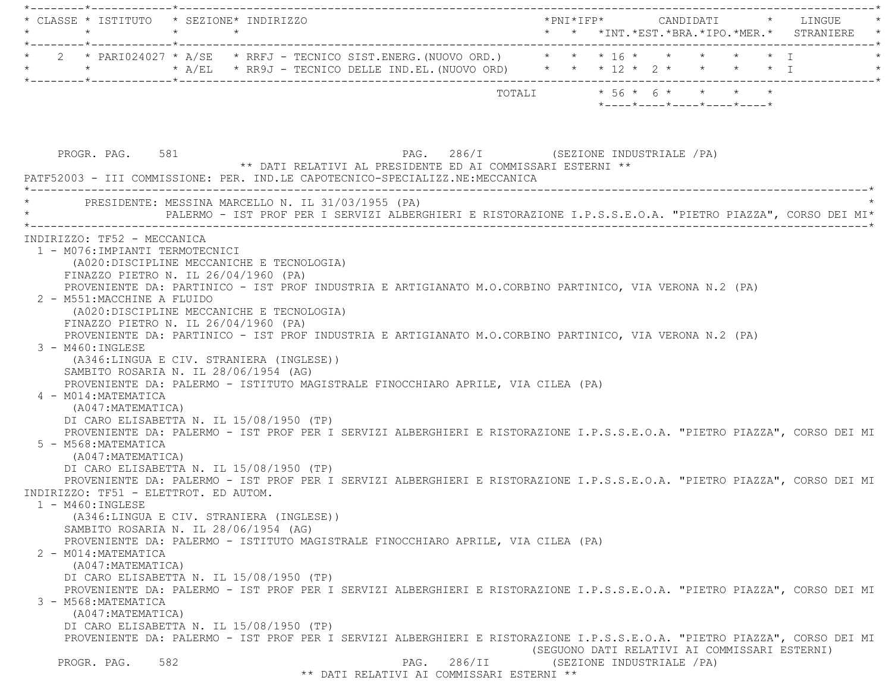|                                                                                                                                                                                                                  | * CLASSE * ISTITUTO * SEZIONE* INDIRIZZO                                                                                                                                                                                                                                                                                                                                                                                                                                                                                                                                                                                                                                                               |                                                                                                                                                                                                                                                      |
|------------------------------------------------------------------------------------------------------------------------------------------------------------------------------------------------------------------|--------------------------------------------------------------------------------------------------------------------------------------------------------------------------------------------------------------------------------------------------------------------------------------------------------------------------------------------------------------------------------------------------------------------------------------------------------------------------------------------------------------------------------------------------------------------------------------------------------------------------------------------------------------------------------------------------------|------------------------------------------------------------------------------------------------------------------------------------------------------------------------------------------------------------------------------------------------------|
|                                                                                                                                                                                                                  | * 2 * PARI024027 * A/SE * RRFJ - TECNICO SIST.ENERG. (NUOVO ORD.) * * * 16 * * * * * * * T<br>* * * * A/EL * RR9J - TECNICO DELLE IND.EL. (NUOVO ORD) * * * 12 * 2 * * * * * I                                                                                                                                                                                                                                                                                                                                                                                                                                                                                                                         |                                                                                                                                                                                                                                                      |
|                                                                                                                                                                                                                  |                                                                                                                                                                                                                                                                                                                                                                                                                                                                                                                                                                                                                                                                                                        | TOTALI * 56 * 6 * * * * *<br>$*$ - - - - $*$ - - - - $*$ - - - - $*$ - - - - $*$ - - - - $*$                                                                                                                                                         |
| PROGR. PAG. 581                                                                                                                                                                                                  | ** DATI RELATIVI AL PRESIDENTE ED AI COMMISSARI ESTERNI **<br>PATF52003 - III COMMISSIONE: PER. IND.LE CAPOTECNICO-SPECIALIZZ.NE:MECCANICA                                                                                                                                                                                                                                                                                                                                                                                                                                                                                                                                                             | PAG. 286/I (SEZIONE INDUSTRIALE /PA)                                                                                                                                                                                                                 |
|                                                                                                                                                                                                                  | PRESIDENTE: MESSINA MARCELLO N. IL 31/03/1955 (PA)                                                                                                                                                                                                                                                                                                                                                                                                                                                                                                                                                                                                                                                     | PALERMO - IST PROF PER I SERVIZI ALBERGHIERI E RISTORAZIONE I.P.S.S.E.O.A. "PIETRO PIAZZA", CORSO DEI MI*                                                                                                                                            |
| INDIRIZZO: TF52 - MECCANICA<br>1 - M076: IMPIANTI TERMOTECNICI<br>2 - M551: MACCHINE A FLUIDO<br>$3 - M460$ : INGLESE<br>4 - M014: MATEMATICA<br>(A047:MATEMATICA)<br>5 - M568: MATEMATICA<br>(A047: MATEMATICA) | (A020:DISCIPLINE MECCANICHE E TECNOLOGIA)<br>FINAZZO PIETRO N. IL 26/04/1960 (PA)<br>PROVENIENTE DA: PARTINICO - IST PROF INDUSTRIA E ARTIGIANATO M.O.CORBINO PARTINICO, VIA VERONA N.2 (PA)<br>(A020:DISCIPLINE MECCANICHE E TECNOLOGIA)<br>FINAZZO PIETRO N. IL 26/04/1960 (PA)<br>PROVENIENTE DA: PARTINICO - IST PROF INDUSTRIA E ARTIGIANATO M.O.CORBINO PARTINICO, VIA VERONA N.2 (PA)<br>(A346:LINGUA E CIV. STRANIERA (INGLESE))<br>SAMBITO ROSARIA N. IL 28/06/1954 (AG)<br>PROVENIENTE DA: PALERMO - ISTITUTO MAGISTRALE FINOCCHIARO APRILE, VIA CILEA (PA)<br>DI CARO ELISABETTA N. IL 15/08/1950 (TP)<br>DI CARO ELISABETTA N. IL 15/08/1950 (TP)<br>INDIRIZZO: TF51 - ELETTROT. ED AUTOM. | PROVENIENTE DA: PALERMO - IST PROF PER I SERVIZI ALBERGHIERI E RISTORAZIONE I.P.S.S.E.O.A. "PIETRO PIAZZA", CORSO DEI MI<br>PROVENIENTE DA: PALERMO - IST PROF PER I SERVIZI ALBERGHIERI E RISTORAZIONE I.P.S.S.E.O.A. "PIETRO PIAZZA", CORSO DEI MI |
| $1 - M460$ : INGLESE<br>2 - M014: MATEMATICA<br>(A047: MATEMATICA)<br>3 - M568: MATEMATICA<br>(A047: MATEMATICA)                                                                                                 | (A346:LINGUA E CIV. STRANIERA (INGLESE))<br>SAMBITO ROSARIA N. IL 28/06/1954 (AG)<br>PROVENIENTE DA: PALERMO - ISTITUTO MAGISTRALE FINOCCHIARO APRILE, VIA CILEA (PA)<br>DI CARO ELISABETTA N. IL 15/08/1950 (TP)                                                                                                                                                                                                                                                                                                                                                                                                                                                                                      | PROVENIENTE DA: PALERMO - IST PROF PER I SERVIZI ALBERGHIERI E RISTORAZIONE I.P.S.S.E.O.A. "PIETRO PIAZZA", CORSO DEI MI                                                                                                                             |
| 582<br>PROGR. PAG.                                                                                                                                                                                               | DI CARO ELISABETTA N. IL 15/08/1950 (TP)<br>286/II<br>PAG.                                                                                                                                                                                                                                                                                                                                                                                                                                                                                                                                                                                                                                             | PROVENIENTE DA: PALERMO - IST PROF PER I SERVIZI ALBERGHIERI E RISTORAZIONE I.P.S.S.E.O.A. "PIETRO PIAZZA", CORSO DEI MI<br>(SEGUONO DATI RELATIVI AI COMMISSARI ESTERNI)<br>(SEZIONE INDUSTRIALE / PA)                                              |

\*\* DATI RELATIVI AI COMMISSARI ESTERNI \*\*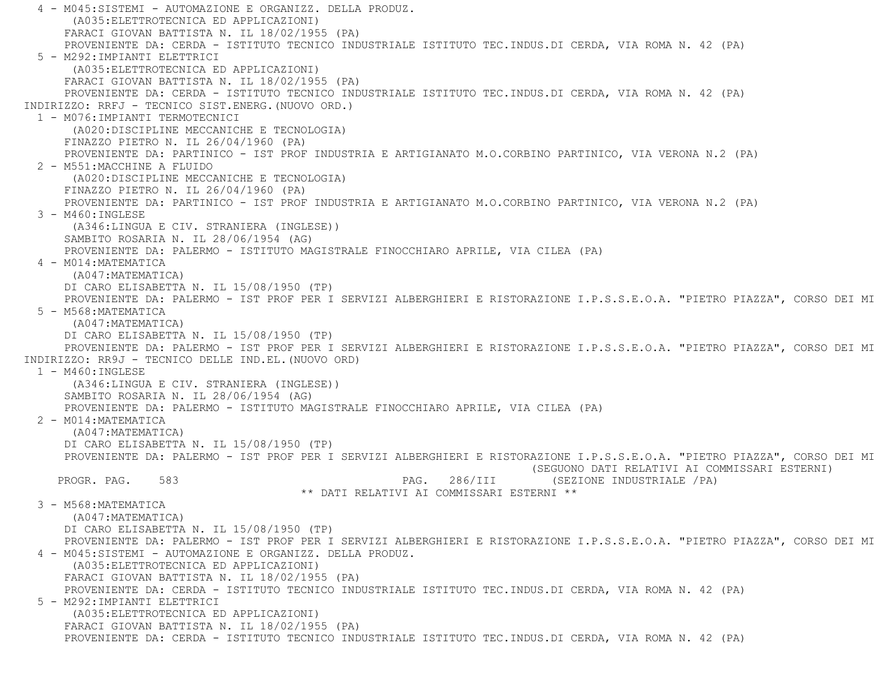4 - M045:SISTEMI - AUTOMAZIONE E ORGANIZZ. DELLA PRODUZ. (A035:ELETTROTECNICA ED APPLICAZIONI) FARACI GIOVAN BATTISTA N. IL 18/02/1955 (PA) PROVENIENTE DA: CERDA - ISTITUTO TECNICO INDUSTRIALE ISTITUTO TEC.INDUS.DI CERDA, VIA ROMA N. 42 (PA) 5 - M292:IMPIANTI ELETTRICI (A035:ELETTROTECNICA ED APPLICAZIONI) FARACI GIOVAN BATTISTA N. IL 18/02/1955 (PA) PROVENIENTE DA: CERDA - ISTITUTO TECNICO INDUSTRIALE ISTITUTO TEC.INDUS.DI CERDA, VIA ROMA N. 42 (PA) INDIRIZZO: RRFJ - TECNICO SIST.ENERG.(NUOVO ORD.) 1 - M076:IMPIANTI TERMOTECNICI (A020:DISCIPLINE MECCANICHE E TECNOLOGIA) FINAZZO PIETRO N. IL 26/04/1960 (PA) PROVENIENTE DA: PARTINICO - IST PROF INDUSTRIA E ARTIGIANATO M.O.CORBINO PARTINICO, VIA VERONA N.2 (PA) 2 - M551:MACCHINE A FLUIDO (A020:DISCIPLINE MECCANICHE E TECNOLOGIA) FINAZZO PIETRO N. IL 26/04/1960 (PA) PROVENIENTE DA: PARTINICO - IST PROF INDUSTRIA E ARTIGIANATO M.O.CORBINO PARTINICO, VIA VERONA N.2 (PA) 3 - M460:INGLESE (A346:LINGUA E CIV. STRANIERA (INGLESE)) SAMBITO ROSARIA N. IL 28/06/1954 (AG) PROVENIENTE DA: PALERMO - ISTITUTO MAGISTRALE FINOCCHIARO APRILE, VIA CILEA (PA) 4 - M014:MATEMATICA (A047:MATEMATICA) DI CARO ELISABETTA N. IL 15/08/1950 (TP) PROVENIENTE DA: PALERMO - IST PROF PER I SERVIZI ALBERGHIERI E RISTORAZIONE I.P.S.S.E.O.A. "PIETRO PIAZZA", CORSO DEI MI 5 - M568:MATEMATICA (A047:MATEMATICA) DI CARO ELISABETTA N. IL 15/08/1950 (TP) PROVENIENTE DA: PALERMO - IST PROF PER I SERVIZI ALBERGHIERI E RISTORAZIONE I.P.S.S.E.O.A. "PIETRO PIAZZA", CORSO DEI MI INDIRIZZO: RR9J - TECNICO DELLE IND.EL.(NUOVO ORD) 1 - M460:INGLESE (A346:LINGUA E CIV. STRANIERA (INGLESE)) SAMBITO ROSARIA N. IL 28/06/1954 (AG) PROVENIENTE DA: PALERMO - ISTITUTO MAGISTRALE FINOCCHIARO APRILE, VIA CILEA (PA) 2 - M014:MATEMATICA (A047:MATEMATICA) DI CARO ELISABETTA N. IL 15/08/1950 (TP) PROVENIENTE DA: PALERMO - IST PROF PER I SERVIZI ALBERGHIERI E RISTORAZIONE I.P.S.S.E.O.A. "PIETRO PIAZZA", CORSO DEI MI (SEGUONO DATI RELATIVI AI COMMISSARI ESTERNI) PAG. 286/III (SEZIONE INDUSTRIALE /PA) \*\* DATI RELATIVI AI COMMISSARI ESTERNI \*\* 3 - M568:MATEMATICA (A047:MATEMATICA) DI CARO ELISABETTA N. IL 15/08/1950 (TP) PROVENIENTE DA: PALERMO - IST PROF PER I SERVIZI ALBERGHIERI E RISTORAZIONE I.P.S.S.E.O.A. "PIETRO PIAZZA", CORSO DEI MI 4 - M045:SISTEMI - AUTOMAZIONE E ORGANIZZ. DELLA PRODUZ. (A035:ELETTROTECNICA ED APPLICAZIONI) FARACI GIOVAN BATTISTA N. IL 18/02/1955 (PA) PROVENIENTE DA: CERDA - ISTITUTO TECNICO INDUSTRIALE ISTITUTO TEC.INDUS.DI CERDA, VIA ROMA N. 42 (PA) 5 - M292:IMPIANTI ELETTRICI (A035:ELETTROTECNICA ED APPLICAZIONI) FARACI GIOVAN BATTISTA N. IL 18/02/1955 (PA) PROVENIENTE DA: CERDA - ISTITUTO TECNICO INDUSTRIALE ISTITUTO TEC.INDUS.DI CERDA, VIA ROMA N. 42 (PA)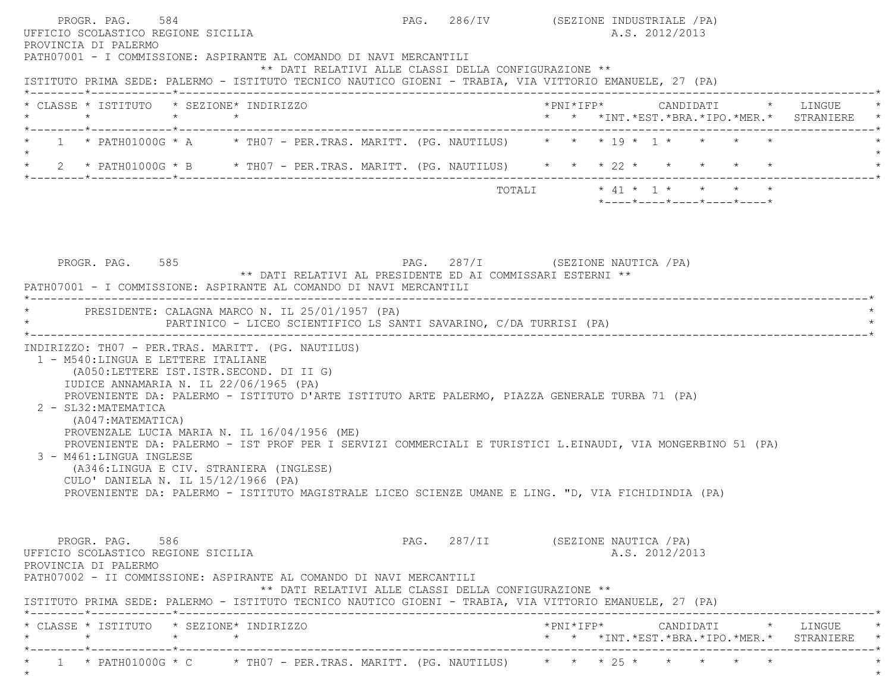|         | ISTITUTO PRIMA SEDE: PALERMO - ISTITUTO TECNICO NAUTICO GIOENI - TRABIA, VIA VITTORIO EMANUELE, 27 (PA)    |  |                                |  |                                                                    |  |  |                |                            |                                                                                        |
|---------|------------------------------------------------------------------------------------------------------------|--|--------------------------------|--|--------------------------------------------------------------------|--|--|----------------|----------------------------|----------------------------------------------------------------------------------------|
|         | * CLASSE * ISTITUTO * SEZIONE* INDIRIZZO                                                                   |  |                                |  |                                                                    |  |  |                |                            | *PNI*IFP*     CANDIDATI    *   LINGUE<br>* * *INT. *EST. *BRA. *IPO. *MER. * STRANIERE |
| $\star$ | * 1 * PATH01000G * A * TH07 - PER.TRAS. MARITT. (PG. NAUTILUS) * * * 19 * 1 * * * * *                      |  |                                |  |                                                                    |  |  |                |                            |                                                                                        |
| $\star$ | 2 * PATH01000G * B * TH07 - PER.TRAS. MARITT. (PG. NAUTILUS) * * * 22 * * * * * * *                        |  |                                |  |                                                                    |  |  |                |                            |                                                                                        |
|         |                                                                                                            |  |                                |  |                                                                    |  |  |                | *----*----*----*----*----* |                                                                                        |
|         |                                                                                                            |  |                                |  |                                                                    |  |  |                |                            |                                                                                        |
|         |                                                                                                            |  |                                |  |                                                                    |  |  |                |                            |                                                                                        |
|         |                                                                                                            |  |                                |  |                                                                    |  |  |                |                            |                                                                                        |
|         |                                                                                                            |  |                                |  |                                                                    |  |  |                |                            |                                                                                        |
|         | PROGR. PAG. 585                                                                                            |  |                                |  | PAG. 287/I (SEZIONE NAUTICA / PA)                                  |  |  |                |                            |                                                                                        |
|         | PATH07001 - I COMMISSIONE: ASPIRANTE AL COMANDO DI NAVI MERCANTILI                                         |  |                                |  | ** DATI RELATIVI AL PRESIDENTE ED AI COMMISSARI ESTERNI **         |  |  |                |                            |                                                                                        |
|         |                                                                                                            |  | ------------------------------ |  |                                                                    |  |  |                |                            |                                                                                        |
|         | * PRESIDENTE: CALAGNA MARCO N. IL 25/01/1957 (PA)                                                          |  |                                |  |                                                                    |  |  |                |                            |                                                                                        |
|         |                                                                                                            |  |                                |  | PARTINICO - LICEO SCIENTIFICO LS SANTI SAVARINO, C/DA TURRISI (PA) |  |  |                |                            |                                                                                        |
|         |                                                                                                            |  |                                |  |                                                                    |  |  |                |                            |                                                                                        |
|         | INDIRIZZO: TH07 - PER.TRAS. MARITT. (PG. NAUTILUS)                                                         |  |                                |  |                                                                    |  |  |                |                            |                                                                                        |
|         | 1 - M540: LINGUA E LETTERE ITALIANE<br>(A050:LETTERE IST.ISTR.SECOND. DI II G)                             |  |                                |  |                                                                    |  |  |                |                            |                                                                                        |
|         | IUDICE ANNAMARIA N. IL 22/06/1965 (PA)                                                                     |  |                                |  |                                                                    |  |  |                |                            |                                                                                        |
|         | PROVENIENTE DA: PALERMO - ISTITUTO D'ARTE ISTITUTO ARTE PALERMO, PIAZZA GENERALE TURBA 71 (PA)             |  |                                |  |                                                                    |  |  |                |                            |                                                                                        |
|         | 2 - SL32: MATEMATICA                                                                                       |  |                                |  |                                                                    |  |  |                |                            |                                                                                        |
|         | (A047:MATEMATICA)                                                                                          |  |                                |  |                                                                    |  |  |                |                            |                                                                                        |
|         | PROVENZALE LUCIA MARIA N. IL 16/04/1956 (ME)                                                               |  |                                |  |                                                                    |  |  |                |                            |                                                                                        |
|         | PROVENIENTE DA: PALERMO - IST PROF PER I SERVIZI COMMERCIALI E TURISTICI L.EINAUDI, VIA MONGERBINO 51 (PA) |  |                                |  |                                                                    |  |  |                |                            |                                                                                        |
|         | 3 - M461:LINGUA INGLESE<br>(A346:LINGUA E CIV. STRANIERA (INGLESE)                                         |  |                                |  |                                                                    |  |  |                |                            |                                                                                        |
|         | CULO' DANIELA N. IL 15/12/1966 (PA)                                                                        |  |                                |  |                                                                    |  |  |                |                            |                                                                                        |
|         | PROVENIENTE DA: PALERMO - ISTITUTO MAGISTRALE LICEO SCIENZE UMANE E LING. "D, VIA FICHIDINDIA (PA)         |  |                                |  |                                                                    |  |  |                |                            |                                                                                        |
|         |                                                                                                            |  |                                |  |                                                                    |  |  |                |                            |                                                                                        |
|         |                                                                                                            |  |                                |  |                                                                    |  |  |                |                            |                                                                                        |
|         |                                                                                                            |  |                                |  |                                                                    |  |  |                |                            |                                                                                        |
|         | PROGR. PAG. 586<br>UFFICIO SCOLASTICO REGIONE SICILIA                                                      |  |                                |  | PAG. 287/II (SEZIONE NAUTICA / PA)                                 |  |  | A.S. 2012/2013 |                            |                                                                                        |

 \* CLASSE \* ISTITUTO \* SEZIONE\* INDIRIZZO \*PNI\*IFP\* CANDIDATI \* LINGUE \* \* \* \* \* \* \* \*INT.\*EST.\*BRA.\*IPO.\*MER.\* STRANIERE \* \*--------\*------------\*-------------------------------------------------------------------------------------------------------\*\* 1 \* PATH01000G \* C \* TH07 - PER.TRAS. MARITT. (PG. NAUTILUS) \* \* \* 25 \* \* \* \* \* \*

 $\star$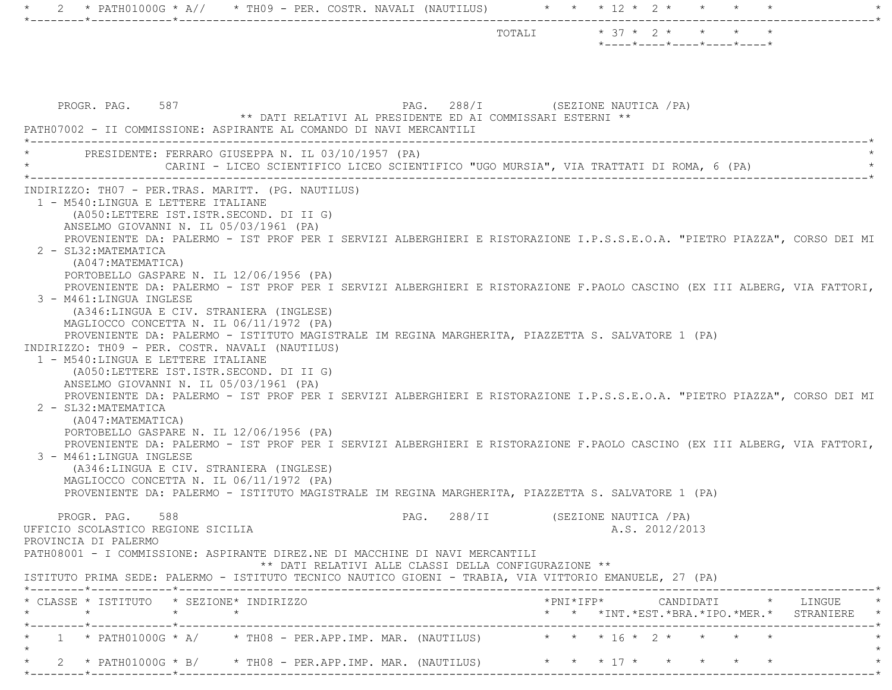|                                                                                                                                                                                                                                                                                                                                                                                                                                                                                                                                                                                                                                                                                                                                                                                                                                                                                                                                                                                                                                                                                                                                                                                                                                                                                                                                                                                                                                                                                                                                                                                                                                                                                                                                        | TOTALI * 37 * 2 * * * * *          | $*$ ---- $*$ ---- $*$ ---- $*$ ---- $*$ ---- $*$ |                |  |                                                                                                 |
|----------------------------------------------------------------------------------------------------------------------------------------------------------------------------------------------------------------------------------------------------------------------------------------------------------------------------------------------------------------------------------------------------------------------------------------------------------------------------------------------------------------------------------------------------------------------------------------------------------------------------------------------------------------------------------------------------------------------------------------------------------------------------------------------------------------------------------------------------------------------------------------------------------------------------------------------------------------------------------------------------------------------------------------------------------------------------------------------------------------------------------------------------------------------------------------------------------------------------------------------------------------------------------------------------------------------------------------------------------------------------------------------------------------------------------------------------------------------------------------------------------------------------------------------------------------------------------------------------------------------------------------------------------------------------------------------------------------------------------------|------------------------------------|--------------------------------------------------|----------------|--|-------------------------------------------------------------------------------------------------|
| PROGR. PAG. 587<br>** DATI RELATIVI AL PRESIDENTE ED AI COMMISSARI ESTERNI **<br>PATH07002 - II COMMISSIONE: ASPIRANTE AL COMANDO DI NAVI MERCANTILI                                                                                                                                                                                                                                                                                                                                                                                                                                                                                                                                                                                                                                                                                                                                                                                                                                                                                                                                                                                                                                                                                                                                                                                                                                                                                                                                                                                                                                                                                                                                                                                   | PAG. 288/I (SEZIONE NAUTICA / PA)  |                                                  |                |  |                                                                                                 |
| PRESIDENTE: FERRARO GIUSEPPA N. IL 03/10/1957 (PA)<br>CARINI - LICEO SCIENTIFICO LICEO SCIENTIFICO "UGO MURSIA", VIA TRATTATI DI ROMA, 6 (PA)                                                                                                                                                                                                                                                                                                                                                                                                                                                                                                                                                                                                                                                                                                                                                                                                                                                                                                                                                                                                                                                                                                                                                                                                                                                                                                                                                                                                                                                                                                                                                                                          |                                    |                                                  |                |  |                                                                                                 |
| INDIRIZZO: THO7 - PER.TRAS. MARITT. (PG. NAUTILUS)<br>1 - M540: LINGUA E LETTERE ITALIANE<br>(A050:LETTERE IST.ISTR.SECOND. DI II G)<br>ANSELMO GIOVANNI N. IL 05/03/1961 (PA)<br>PROVENIENTE DA: PALERMO - IST PROF PER I SERVIZI ALBERGHIERI E RISTORAZIONE I.P.S.S.E.O.A. "PIETRO PIAZZA", CORSO DEI MI<br>2 - SL32: MATEMATICA<br>(A047:MATEMATICA)<br>PORTOBELLO GASPARE N. IL 12/06/1956 (PA)<br>PROVENIENTE DA: PALERMO - IST PROF PER I SERVIZI ALBERGHIERI E RISTORAZIONE F.PAOLO CASCINO (EX III ALBERG, VIA FATTORI,<br>3 - M461:LINGUA INGLESE<br>(A346:LINGUA E CIV. STRANIERA (INGLESE)<br>MAGLIOCCO CONCETTA N. IL 06/11/1972 (PA)<br>PROVENIENTE DA: PALERMO - ISTITUTO MAGISTRALE IM REGINA MARGHERITA, PIAZZETTA S. SALVATORE 1 (PA)<br>INDIRIZZO: TH09 - PER. COSTR. NAVALI (NAUTILUS)<br>1 - M540:LINGUA E LETTERE ITALIANE<br>(A050:LETTERE IST.ISTR.SECOND. DI II G)<br>ANSELMO GIOVANNI N. IL 05/03/1961 (PA)<br>PROVENIENTE DA: PALERMO - IST PROF PER I SERVIZI ALBERGHIERI E RISTORAZIONE I.P.S.S.E.O.A. "PIETRO PIAZZA", CORSO DEI MI<br>2 - SL32: MATEMATICA<br>(A047: MATEMATICA)<br>PORTOBELLO GASPARE N. IL 12/06/1956 (PA)<br>PROVENIENTE DA: PALERMO - IST PROF PER I SERVIZI ALBERGHIERI E RISTORAZIONE F.PAOLO CASCINO (EX III ALBERG, VIA FATTORI,<br>3 - M461:LINGUA INGLESE<br>(A346:LINGUA E CIV. STRANIERA (INGLESE)<br>MAGLIOCCO CONCETTA N. IL 06/11/1972 (PA)<br>PROVENIENTE DA: PALERMO - ISTITUTO MAGISTRALE IM REGINA MARGHERITA, PIAZZETTA S. SALVATORE 1 (PA)<br>PROGR. PAG. 588<br>UFFICIO SCOLASTICO REGIONE SICILIA<br>PROVINCIA DI PALERMO<br>PATH08001 - I COMMISSIONE: ASPIRANTE DIREZ.NE DI MACCHINE DI NAVI MERCANTILI<br>** DATI RELATIVI ALLE CLASSI DELLA CONFIGURAZIONE ** | PAG. 288/II (SEZIONE NAUTICA / PA) |                                                  | A.S. 2012/2013 |  |                                                                                                 |
| ISTITUTO PRIMA SEDE: PALERMO - ISTITUTO TECNICO NAUTICO GIOENI - TRABIA, VIA VITTORIO EMANUELE, 27 (PA)                                                                                                                                                                                                                                                                                                                                                                                                                                                                                                                                                                                                                                                                                                                                                                                                                                                                                                                                                                                                                                                                                                                                                                                                                                                                                                                                                                                                                                                                                                                                                                                                                                |                                    |                                                  |                |  |                                                                                                 |
| * CLASSE * ISTITUTO * SEZIONE* INDIRIZZO                                                                                                                                                                                                                                                                                                                                                                                                                                                                                                                                                                                                                                                                                                                                                                                                                                                                                                                                                                                                                                                                                                                                                                                                                                                                                                                                                                                                                                                                                                                                                                                                                                                                                               |                                    |                                                  |                |  | $*$ PNI $*$ IFP $*$ CANDIDATI $*$ LINGUE $*$<br>* * *INT. *EST. *BRA. *IPO. *MER. * STRANIERE * |
| 1 * PATH01000G * A/ * TH08 - PER.APP.IMP. MAR. (NAUTILUS) * * * 16 * 2 * * * * *                                                                                                                                                                                                                                                                                                                                                                                                                                                                                                                                                                                                                                                                                                                                                                                                                                                                                                                                                                                                                                                                                                                                                                                                                                                                                                                                                                                                                                                                                                                                                                                                                                                       |                                    |                                                  |                |  |                                                                                                 |
| 2 * PATH01000G * B/ * TH08 - PER.APP.IMP. MAR. (NAUTILUS) * * * 17 * * * * * * *                                                                                                                                                                                                                                                                                                                                                                                                                                                                                                                                                                                                                                                                                                                                                                                                                                                                                                                                                                                                                                                                                                                                                                                                                                                                                                                                                                                                                                                                                                                                                                                                                                                       |                                    |                                                  |                |  |                                                                                                 |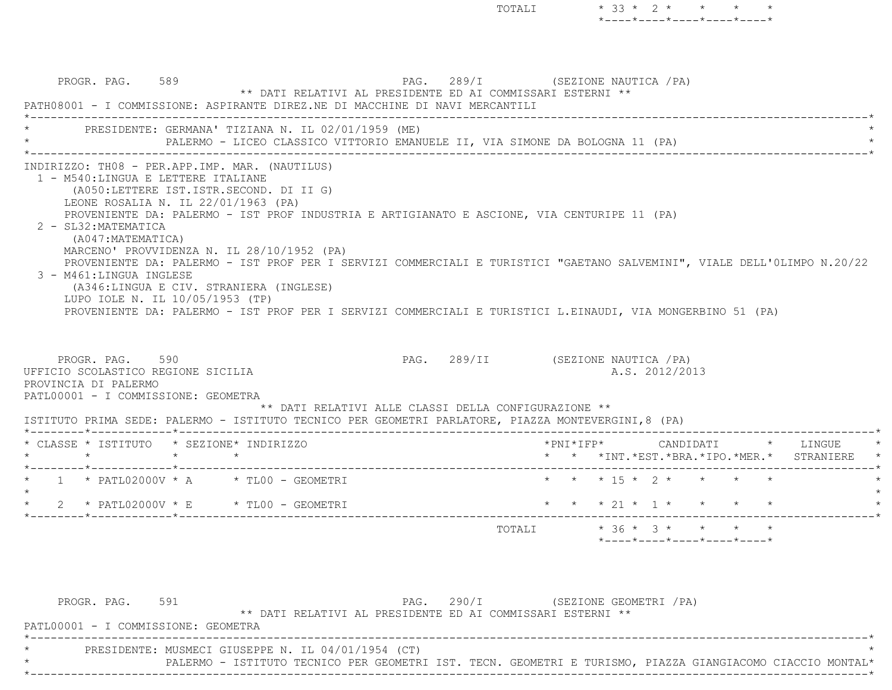\*----\*----\*----\*----\*----\*PROGR. PAG. 589 **PAG.** 289/I (SEZIONE NAUTICA /PA) \*\* DATI RELATIVI AL PRESIDENTE ED AI COMMISSARI ESTERNI \*\* PATH08001 - I COMMISSIONE: ASPIRANTE DIREZ.NE DI MACCHINE DI NAVI MERCANTILI \*----------------------------------------------------------------------------------------------------------------------------\*PRESIDENTE: GERMANA' TIZIANA N. IL 02/01/1959 (ME) PALERMO - LICEO CLASSICO VITTORIO EMANUELE II, VIA SIMONE DA BOLOGNA 11 (PA) \*----------------------------------------------------------------------------------------------------------------------------\* INDIRIZZO: TH08 - PER.APP.IMP. MAR. (NAUTILUS) 1 - M540:LINGUA E LETTERE ITALIANE (A050:LETTERE IST.ISTR.SECOND. DI II G) LEONE ROSALIA N. IL 22/01/1963 (PA) PROVENIENTE DA: PALERMO - IST PROF INDUSTRIA E ARTIGIANATO E ASCIONE, VIA CENTURIPE 11 (PA) 2 - SL32:MATEMATICA (A047:MATEMATICA) MARCENO' PROVVIDENZA N. IL 28/10/1952 (PA) PROVENIENTE DA: PALERMO - IST PROF PER I SERVIZI COMMERCIALI E TURISTICI "GAETANO SALVEMINI", VIALE DELL'0LIMPO N.20/22 3 - M461:LINGUA INGLESE (A346:LINGUA E CIV. STRANIERA (INGLESE) LUPO IOLE N. IL 10/05/1953 (TP) PROVENIENTE DA: PALERMO - IST PROF PER I SERVIZI COMMERCIALI E TURISTICI L.EINAUDI, VIA MONGERBINO 51 (PA) PROGR. PAG. 590 **PAG.** 289/II (SEZIONE NAUTICA /PA) UFFICIO SCOLASTICO REGIONE SICILIA A.S. 2012/2013 PROVINCIA DI PALERMO PATL00001 - I COMMISSIONE: GEOMETRA \*\* DATI RELATIVI ALLE CLASSI DELLA CONFIGURAZIONE \*\* ISTITUTO PRIMA SEDE: PALERMO - ISTITUTO TECNICO PER GEOMETRI PARLATORE, PIAZZA MONTEVERGINI,8 (PA) \*--------\*------------\*-------------------------------------------------------------------------------------------------------\*

TOTALI \* 33 \* 2 \* \* \* \*

|  | * CLASSE * ISTITUTO * SEZIONE* INDIRIZZO                                            |  |  |  |  |  |        | $*$ PNI $*$ IFP $*$ |  |  | CANDIDATI | $\star$ $\star$ $\star$ $\text{INT.} \star \text{EST.} \star \text{BRA.} \star \text{IPC.} \star \text{MER.} \star$ |  | LINGUE<br>STRANIERE | $\star$<br>$\star$ |
|--|-------------------------------------------------------------------------------------|--|--|--|--|--|--------|---------------------|--|--|-----------|---------------------------------------------------------------------------------------------------------------------|--|---------------------|--------------------|
|  |                                                                                     |  |  |  |  |  |        |                     |  |  |           |                                                                                                                     |  |                     |                    |
|  | $\star$ 1 $\star$ PATL02000V $\star$ A $\star$ TL00 - GEOMETRI                      |  |  |  |  |  |        |                     |  |  |           | * * * 15 * 2 * * * * *                                                                                              |  |                     |                    |
|  |                                                                                     |  |  |  |  |  |        |                     |  |  |           |                                                                                                                     |  |                     |                    |
|  | $2 \times$ PATL02000V $\times$ E $\times$ TL00 - GEOMETRI<br>-----*------------*--- |  |  |  |  |  |        |                     |  |  |           | * * * 21 * 1 * * * * *                                                                                              |  |                     |                    |
|  |                                                                                     |  |  |  |  |  | TOTALI |                     |  |  |           | $*$ 36 $*$ 3 $*$ $*$ $*$ $*$                                                                                        |  |                     |                    |
|  |                                                                                     |  |  |  |  |  |        |                     |  |  |           | $*$ - - - - $*$ - - - - $*$ - - - - $*$ - - - - $*$ - - - - $*$                                                     |  |                     |                    |

| PROGR. PAG. 591                     |                                                    | ** DATI RELATIVI AL PRESIDENTE ED AI COMMISSARI ESTERNI ** | PAG. 290/I |  | (SEZIONE GEOMETRI / PA) |                                                                                                           |
|-------------------------------------|----------------------------------------------------|------------------------------------------------------------|------------|--|-------------------------|-----------------------------------------------------------------------------------------------------------|
| PATL00001 - I COMMISSIONE: GEOMETRA |                                                    |                                                            |            |  |                         |                                                                                                           |
|                                     | PRESIDENTE: MUSMECI GIUSEPPE N. IL 04/01/1954 (CT) |                                                            |            |  |                         |                                                                                                           |
|                                     |                                                    |                                                            |            |  |                         | PALERMO - ISTITUTO TECNICO PER GEOMETRI IST. TECN. GEOMETRI E TURISMO, PIAZZA GIANGIACOMO CIACCIO MONTAL* |
|                                     |                                                    |                                                            |            |  |                         |                                                                                                           |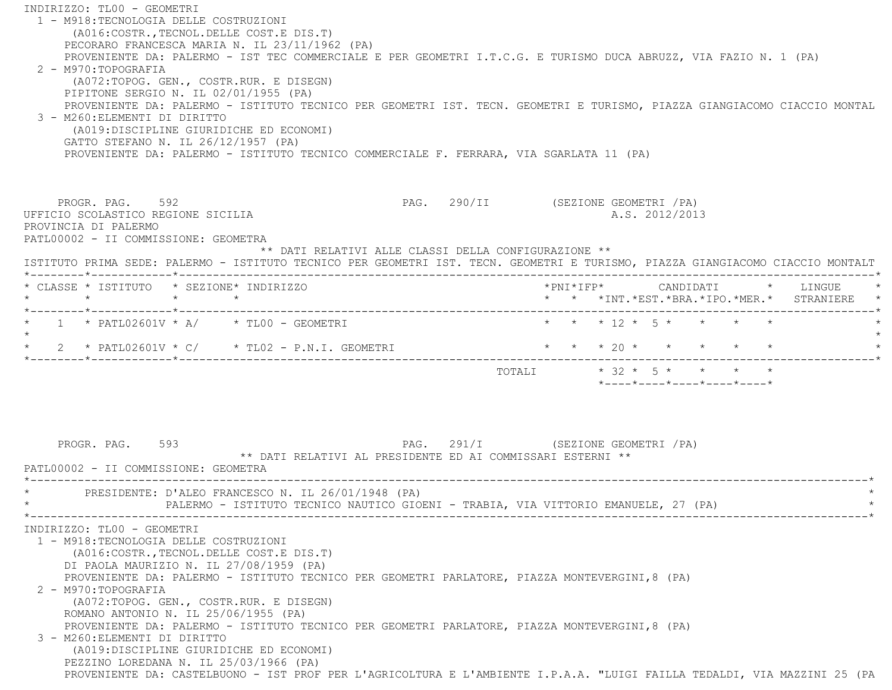INDIRIZZO: TL00 - GEOMETRI 1 - M918:TECNOLOGIA DELLE COSTRUZIONI (A016:COSTR.,TECNOL.DELLE COST.E DIS.T) PECORARO FRANCESCA MARIA N. IL 23/11/1962 (PA) PROVENIENTE DA: PALERMO - IST TEC COMMERCIALE E PER GEOMETRI I.T.C.G. E TURISMO DUCA ABRUZZ, VIA FAZIO N. 1 (PA) 2 - M970:TOPOGRAFIA (A072:TOPOG. GEN., COSTR.RUR. E DISEGN) PIPITONE SERGIO N. IL 02/01/1955 (PA) PROVENIENTE DA: PALERMO - ISTITUTO TECNICO PER GEOMETRI IST. TECN. GEOMETRI E TURISMO, PIAZZA GIANGIACOMO CIACCIO MONTAL 3 - M260:ELEMENTI DI DIRITTO (A019:DISCIPLINE GIURIDICHE ED ECONOMI) GATTO STEFANO N. IL 26/12/1957 (PA) PROVENIENTE DA: PALERMO - ISTITUTO TECNICO COMMERCIALE F. FERRARA, VIA SGARLATA 11 (PA) PROGR. PAG. 592 **PROGR. PAG. 290/II** (SEZIONE GEOMETRI / PA) UFFICIO SCOLASTICO REGIONE SICILIA A.S. 2012/2013 PROVINCIA DI PALERMO PATL00002 - II COMMISSIONE: GEOMETRA \*\* DATI RELATIVI ALLE CLASSI DELLA CONFIGURAZIONE \*\* ISTITUTO PRIMA SEDE: PALERMO - ISTITUTO TECNICO PER GEOMETRI IST. TECN. GEOMETRI E TURISMO, PIAZZA GIANGIACOMO CIACCIO MONTALT \*--------\*------------\*-------------------------------------------------------------------------------------------------------\* \* CLASSE \* ISTITUTO \* SEZIONE\* INDIRIZZO \*PNI\*IFP\* CANDIDATI \* LINGUE \* \* \* \* \* \* \* \*INT.\*EST.\*BRA.\*IPO.\*MER.\* STRANIERE \* \*--------\*------------\*-------------------------------------------------------------------------------------------------------\*\* 1 \* PATL02601V \* A/ \* TL00 - GEOMETRI \* \* \* \* \* 12 \* 5 \* \* \* \* \* \* \*  $\star$ \* 2 \* PATL02601V \* C/ \* TL02 - P.N.I. GEOMETRI \* \* \* \* 20 \* \* \* \* \* \* \* \*--------\*------------\*-------------------------------------------------------------------------------------------------------\*TOTALI  $* 32 * 5 * * * * * * * *$  \*----\*----\*----\*----\*----\*PROGR. PAG. 593 **PAG.** 291/I (SEZIONE GEOMETRI /PA) \*\* DATI RELATIVI AL PRESIDENTE ED AI COMMISSARI ESTERNI \*\* PATL00002 - II COMMISSIONE: GEOMETRA \*----------------------------------------------------------------------------------------------------------------------------\*PRESIDENTE: D'ALEO FRANCESCO N. IL 26/01/1948 (PA) PALERMO - ISTITUTO TECNICO NAUTICO GIOENI - TRABIA, VIA VITTORIO EMANUELE, 27 (PA) \*----------------------------------------------------------------------------------------------------------------------------\* INDIRIZZO: TL00 - GEOMETRI 1 - M918:TECNOLOGIA DELLE COSTRUZIONI (A016:COSTR.,TECNOL.DELLE COST.E DIS.T) DI PAOLA MAURIZIO N. IL 27/08/1959 (PA) PROVENIENTE DA: PALERMO - ISTITUTO TECNICO PER GEOMETRI PARLATORE, PIAZZA MONTEVERGINI,8 (PA) 2 - M970:TOPOGRAFIA (A072:TOPOG. GEN., COSTR.RUR. E DISEGN) ROMANO ANTONIO N. IL 25/06/1955 (PA) PROVENIENTE DA: PALERMO - ISTITUTO TECNICO PER GEOMETRI PARLATORE, PIAZZA MONTEVERGINI,8 (PA) 3 - M260:ELEMENTI DI DIRITTO (A019:DISCIPLINE GIURIDICHE ED ECONOMI) PEZZINO LOREDANA N. IL 25/03/1966 (PA) PROVENIENTE DA: CASTELBUONO - IST PROF PER L'AGRICOLTURA E L'AMBIENTE I.P.A.A. "LUIGI FAILLA TEDALDI, VIA MAZZINI 25 (PA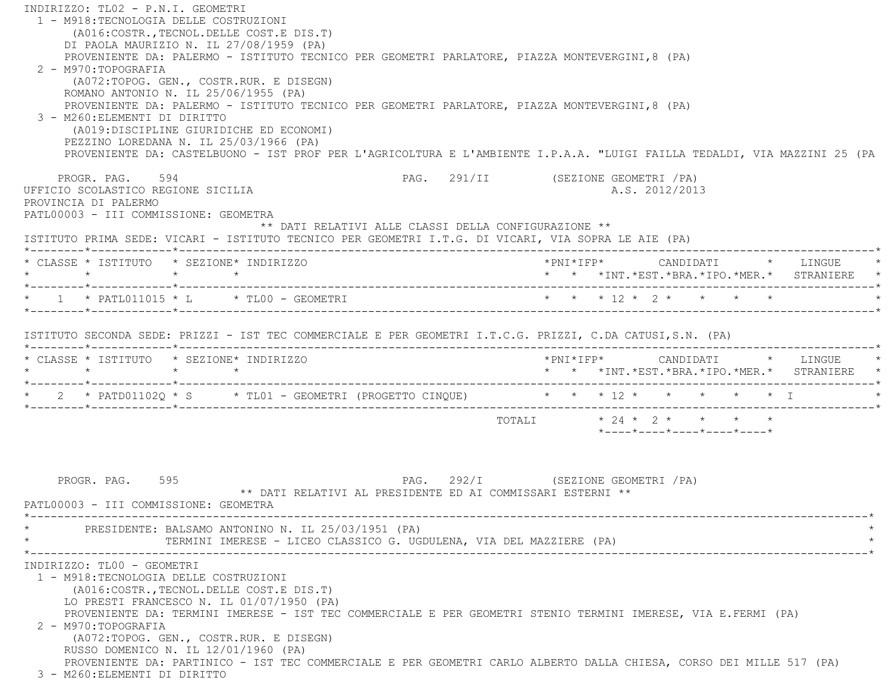INDIRIZZO: TL02 - P.N.I. GEOMETRI 1 - M918:TECNOLOGIA DELLE COSTRUZIONI (A016:COSTR.,TECNOL.DELLE COST.E DIS.T) DI PAOLA MAURIZIO N. IL 27/08/1959 (PA) PROVENIENTE DA: PALERMO - ISTITUTO TECNICO PER GEOMETRI PARLATORE, PIAZZA MONTEVERGINI,8 (PA) 2 - M970:TOPOGRAFIA (A072:TOPOG. GEN., COSTR.RUR. E DISEGN) ROMANO ANTONIO N. IL 25/06/1955 (PA) PROVENIENTE DA: PALERMO - ISTITUTO TECNICO PER GEOMETRI PARLATORE, PIAZZA MONTEVERGINI,8 (PA) 3 - M260:ELEMENTI DI DIRITTO (A019:DISCIPLINE GIURIDICHE ED ECONOMI) PEZZINO LOREDANA N. IL 25/03/1966 (PA) PROVENIENTE DA: CASTELBUONO - IST PROF PER L'AGRICOLTURA E L'AMBIENTE I.P.A.A. "LUIGI FAILLA TEDALDI, VIA MAZZINI 25 (PA PROGR. PAG. 594 SPAG. 291/II (SEZIONE GEOMETRI / PA) UFFICIO SCOLASTICO REGIONE SICILIA A.S. 2012/2013 PROVINCIA DI PALERMO PATL00003 - III COMMISSIONE: GEOMETRA \*\* DATI RELATIVI ALLE CLASSI DELLA CONFIGURAZIONE \*\* ISTITUTO PRIMA SEDE: VICARI - ISTITUTO TECNICO PER GEOMETRI I.T.G. DI VICARI, VIA SOPRA LE AIE (PA) \*--------\*------------\*-------------------------------------------------------------------------------------------------------\* \* CLASSE \* ISTITUTO \* SEZIONE\* INDIRIZZO \*PNI\*IFP\* CANDIDATI \* LINGUE \* \* \* \* \* \* \* \*INT.\*EST.\*BRA.\*IPO.\*MER.\* STRANIERE \* \*--------\*------------\*-------------------------------------------------------------------------------------------------------\*\* 1 \* PATL011015 \* L \* TL00 - GEOMETRI \* \* \* \* 12 \* 2 \* \* \* \* \* \* \*--------\*------------\*-------------------------------------------------------------------------------------------------------\* ISTITUTO SECONDA SEDE: PRIZZI - IST TEC COMMERCIALE E PER GEOMETRI I.T.C.G. PRIZZI, C.DA CATUSI,S.N. (PA) \*--------\*------------\*-------------------------------------------------------------------------------------------------------\* \* CLASSE \* ISTITUTO \* SEZIONE\* INDIRIZZO \*PNI\*IFP\* CANDIDATI \* LINGUE \* \* \* \* \* \* \* \*INT.\*EST.\*BRA.\*IPO.\*MER.\* STRANIERE \* \*--------\*------------\*-------------------------------------------------------------------------------------------------------\*\* 2 \* PATD01102Q \* S \* TL01 - GEOMETRI (PROGETTO CINQUE) \* \* \* \* 12 \* \* \* \* \* \* \* I \*--------\*------------\*-------------------------------------------------------------------------------------------------------\*TOTALI  $* 24 * 2 * * * * * * * *$  \*----\*----\*----\*----\*----\* PROGR. PAG. 595 PAG. 292/I (SEZIONE GEOMETRI /PA) \*\* DATI RELATIVI AL PRESIDENTE ED AI COMMISSARI ESTERNI \*\* PATL00003 - III COMMISSIONE: GEOMETRA \*----------------------------------------------------------------------------------------------------------------------------\*PRESIDENTE: BALSAMO ANTONINO N. IL 25/03/1951 (PA) TERMINI IMERESE - LICEO CLASSICO G. UGDULENA, VIA DEL MAZZIERE (PA) \*----------------------------------------------------------------------------------------------------------------------------\* INDIRIZZO: TL00 - GEOMETRI 1 - M918:TECNOLOGIA DELLE COSTRUZIONI (A016:COSTR.,TECNOL.DELLE COST.E DIS.T) LO PRESTI FRANCESCO N. IL 01/07/1950 (PA) PROVENIENTE DA: TERMINI IMERESE - IST TEC COMMERCIALE E PER GEOMETRI STENIO TERMINI IMERESE, VIA E.FERMI (PA) 2 - M970:TOPOGRAFIA (A072:TOPOG. GEN., COSTR.RUR. E DISEGN) RUSSO DOMENICO N. IL 12/01/1960 (PA) PROVENIENTE DA: PARTINICO - IST TEC COMMERCIALE E PER GEOMETRI CARLO ALBERTO DALLA CHIESA, CORSO DEI MILLE 517 (PA) 3 - M260:ELEMENTI DI DIRITTO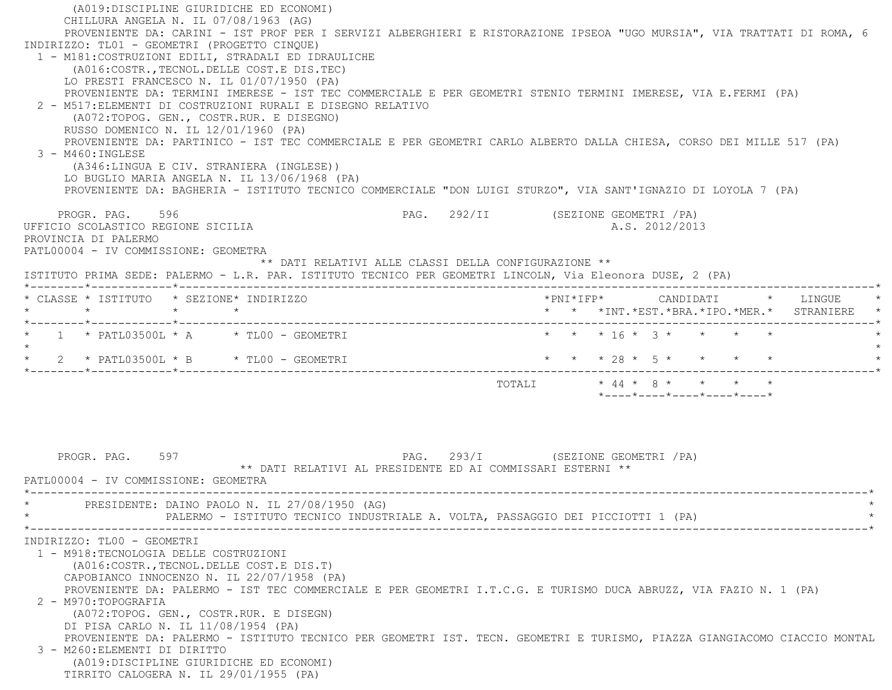(A019:DISCIPLINE GIURIDICHE ED ECONOMI) CHILLURA ANGELA N. IL 07/08/1963 (AG) PROVENIENTE DA: CARINI - IST PROF PER I SERVIZI ALBERGHIERI E RISTORAZIONE IPSEOA "UGO MURSIA", VIA TRATTATI DI ROMA, 6 INDIRIZZO: TL01 - GEOMETRI (PROGETTO CINQUE) 1 - M181:COSTRUZIONI EDILI, STRADALI ED IDRAULICHE (A016:COSTR.,TECNOL.DELLE COST.E DIS.TEC) LO PRESTI FRANCESCO N. IL 01/07/1950 (PA) PROVENIENTE DA: TERMINI IMERESE - IST TEC COMMERCIALE E PER GEOMETRI STENIO TERMINI IMERESE, VIA E.FERMI (PA) 2 - M517:ELEMENTI DI COSTRUZIONI RURALI E DISEGNO RELATIVO (A072:TOPOG. GEN., COSTR.RUR. E DISEGNO) RUSSO DOMENICO N. IL 12/01/1960 (PA) PROVENIENTE DA: PARTINICO - IST TEC COMMERCIALE E PER GEOMETRI CARLO ALBERTO DALLA CHIESA, CORSO DEI MILLE 517 (PA) 3 - M460:INGLESE (A346:LINGUA E CIV. STRANIERA (INGLESE)) LO BUGLIO MARIA ANGELA N. IL 13/06/1968 (PA) PROVENIENTE DA: BAGHERIA - ISTITUTO TECNICO COMMERCIALE "DON LUIGI STURZO", VIA SANT'IGNAZIO DI LOYOLA 7 (PA) PROGR. PAG. 596 SPAG. 292/II (SEZIONE GEOMETRI / PA) UFFICIO SCOLASTICO REGIONE SICILIA A.S. 2012/2013 PROVINCIA DI PALERMO PATL00004 - IV COMMISSIONE: GEOMETRA \*\* DATI RELATIVI ALLE CLASSI DELLA CONFIGURAZIONE \*\* ISTITUTO PRIMA SEDE: PALERMO - L.R. PAR. ISTITUTO TECNICO PER GEOMETRI LINCOLN, Via Eleonora DUSE, 2 (PA) \*--------\*------------\*-------------------------------------------------------------------------------------------------------\* \* CLASSE \* ISTITUTO \* SEZIONE\* INDIRIZZO \*PNI\*IFP\* CANDIDATI \* LINGUE \* \* \* \* \* \* \* \*INT.\*EST.\*BRA.\*IPO.\*MER.\* STRANIERE \* \*--------\*------------\*-------------------------------------------------------------------------------------------------------\* \* 1 \* PATL03500L \* A \* TL00 - GEOMETRI \* \* \* 16 \* 3 \* \* \* \* \* $\star$ \* 2 \* PATL03500L \* B \* TL00 - GEOMETRI \* \* \* \* \* 28 \* 5 \* \* \* \* \* \* \* \*--------\*------------\*-------------------------------------------------------------------------------------------------------\* TOTALI \* 44 \* 8 \* \* \* \* \*----\*----\*----\*----\*----\*PROGR. PAG. 597 **PROGR. PAG. 293/I** (SEZIONE GEOMETRI /PA) \*\* DATI RELATIVI AL PRESIDENTE ED AI COMMISSARI ESTERNI \*\* PATL00004 - IV COMMISSIONE: GEOMETRA \*----------------------------------------------------------------------------------------------------------------------------\*PRESIDENTE: DAINO PAOLO N. IL 27/08/1950 (AG) PALERMO - ISTITUTO TECNICO INDUSTRIALE A. VOLTA, PASSAGGIO DEI PICCIOTTI 1 (PA) \*----------------------------------------------------------------------------------------------------------------------------\* INDIRIZZO: TL00 - GEOMETRI 1 - M918:TECNOLOGIA DELLE COSTRUZIONI (A016:COSTR.,TECNOL.DELLE COST.E DIS.T) CAPOBIANCO INNOCENZO N. IL 22/07/1958 (PA) PROVENIENTE DA: PALERMO - IST TEC COMMERCIALE E PER GEOMETRI I.T.C.G. E TURISMO DUCA ABRUZZ, VIA FAZIO N. 1 (PA) 2 - M970:TOPOGRAFIA (A072:TOPOG. GEN., COSTR.RUR. E DISEGN) DI PISA CARLO N. IL 11/08/1954 (PA) PROVENIENTE DA: PALERMO - ISTITUTO TECNICO PER GEOMETRI IST. TECN. GEOMETRI E TURISMO, PIAZZA GIANGIACOMO CIACCIO MONTAL 3 - M260:ELEMENTI DI DIRITTO (A019:DISCIPLINE GIURIDICHE ED ECONOMI) TIRRITO CALOGERA N. IL 29/01/1955 (PA)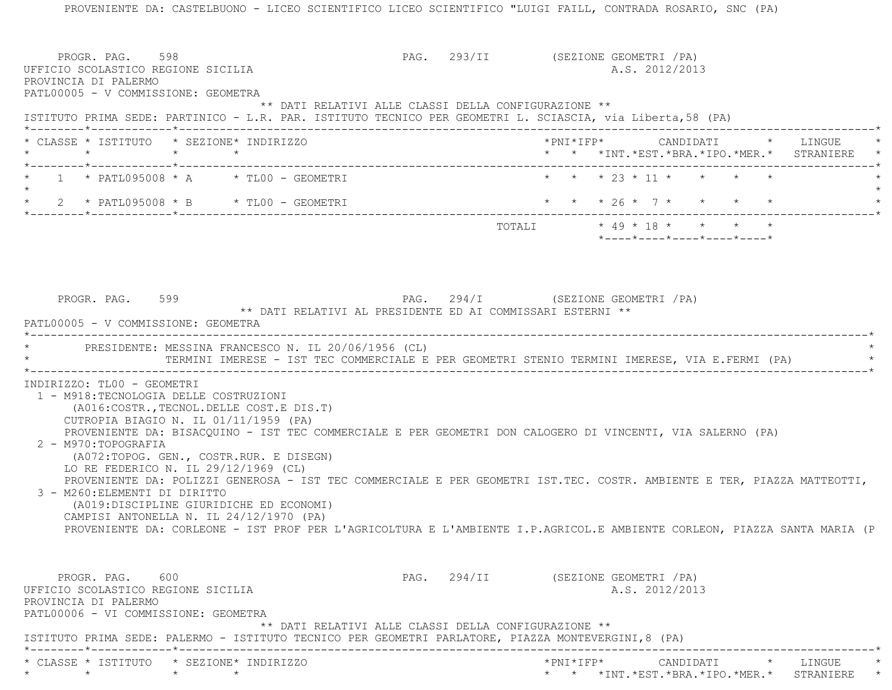PROVENIENTE DA: CASTELBUONO - LICEO SCIENTIFICO LICEO SCIENTIFICO "LUIGI FAILL, CONTRADA ROSARIO, SNC (PA) PROGR. PAG. 598 PROGR. PAG. 293/II (SEZIONE GEOMETRI / PA) UFFICIO SCOLASTICO REGIONE SICILIA A.S. 2012/2013 PROVINCIA DI PALERMO PATL00005 - V COMMISSIONE: GEOMETRA \*\* DATI RELATIVI ALLE CLASSI DELLA CONFIGURAZIONE \*\* ISTITUTO PRIMA SEDE: PARTINICO - L.R. PAR. ISTITUTO TECNICO PER GEOMETRI L. SCIASCIA, via Liberta,58 (PA) \*--------\*------------\*-------------------------------------------------------------------------------------------------------\* \* CLASSE \* ISTITUTO \* SEZIONE\* INDIRIZZO \*PNI\*IFP\* CANDIDATI \* LINGUE \* \* \* \* \* \* \* \*INT.\*EST.\*BRA.\*IPO.\*MER.\* STRANIERE \* \*--------\*------------\*-------------------------------------------------------------------------------------------------------\*1 \* PATL095008 \* A \* TL00 - GEOMETRI \* \* \* \* \* 23 \* 11 \* \* \* \* \* \*  $\star$ \* 2 \* PATL095008 \* B \* TL00 - GEOMETRI \* \* \* \* \* 26 \* 7 \* \* \* \* \* \* \* \*--------\*------------\*-------------------------------------------------------------------------------------------------------\*TOTALI \* 49 \* 18 \* \* \* \* \* \*----\*----\*----\*----\*----\*PROGR. PAG. 599 **PAG.** 294/I (SEZIONE GEOMETRI /PA) \*\* DATI RELATIVI AL PRESIDENTE ED AI COMMISSARI ESTERNI \*\* PATL00005 - V COMMISSIONE: GEOMETRA \*----------------------------------------------------------------------------------------------------------------------------\*PRESIDENTE: MESSINA FRANCESCO N. IL 20/06/1956 (CL) TERMINI IMERESE - IST TEC COMMERCIALE E PER GEOMETRI STENIO TERMINI IMERESE, VIA E.FERMI (PA) \*----------------------------------------------------------------------------------------------------------------------------\* INDIRIZZO: TL00 - GEOMETRI 1 - M918:TECNOLOGIA DELLE COSTRUZIONI (A016:COSTR.,TECNOL.DELLE COST.E DIS.T) CUTROPIA BIAGIO N. IL 01/11/1959 (PA) PROVENIENTE DA: BISACQUINO - IST TEC COMMERCIALE E PER GEOMETRI DON CALOGERO DI VINCENTI, VIA SALERNO (PA) 2 - M970:TOPOGRAFIA (A072:TOPOG. GEN., COSTR.RUR. E DISEGN) LO RE FEDERICO N. IL 29/12/1969 (CL) PROVENIENTE DA: POLIZZI GENEROSA - IST TEC COMMERCIALE E PER GEOMETRI IST.TEC. COSTR. AMBIENTE E TER, PIAZZA MATTEOTTI, 3 - M260:ELEMENTI DI DIRITTO (A019:DISCIPLINE GIURIDICHE ED ECONOMI) CAMPISI ANTONELLA N. IL 24/12/1970 (PA) PROVENIENTE DA: CORLEONE - IST PROF PER L'AGRICOLTURA E L'AMBIENTE I.P.AGRICOL.E AMBIENTE CORLEON, PIAZZA SANTA MARIA (P PROGR. PAG. 600 600 PAG. 294/II (SEZIONE GEOMETRI /PA) UFFICIO SCOLASTICO REGIONE SICILIA A.S. 2012/2013 PROVINCIA DI PALERMO PATL00006 - VI COMMISSIONE: GEOMETRA \*\* DATI RELATIVI ALLE CLASSI DELLA CONFIGURAZIONE \*\* ISTITUTO PRIMA SEDE: PALERMO - ISTITUTO TECNICO PER GEOMETRI PARLATORE, PIAZZA MONTEVERGINI,8 (PA) \*--------\*------------\*-------------------------------------------------------------------------------------------------------\* \* CLASSE \* ISTITUTO \* SEZIONE\* INDIRIZZO \*PNI\*IFP\* CANDIDATI \* LINGUE \*\* \* \* \* \* \* \*INT.\*EST.\*BRA.\*IPO.\*MER.\* STRANIERE \*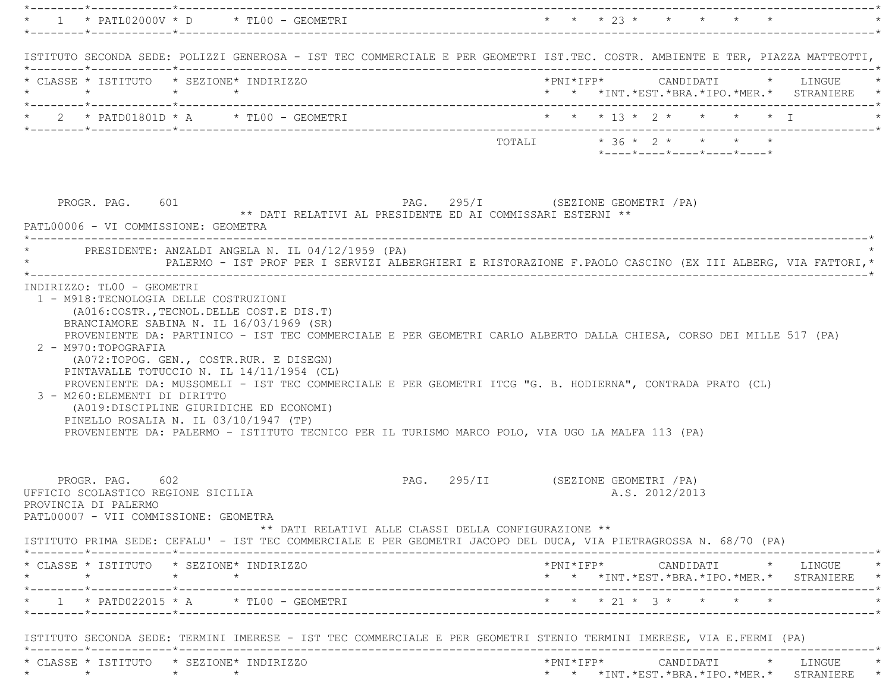|                                                                        |                                    |                                                                                                                                                                                                                                                                                                                                                 |                                                      |                                     | * * * 23 * * * * * *       |                |  |                                                                                                                                                                         |
|------------------------------------------------------------------------|------------------------------------|-------------------------------------------------------------------------------------------------------------------------------------------------------------------------------------------------------------------------------------------------------------------------------------------------------------------------------------------------|------------------------------------------------------|-------------------------------------|----------------------------|----------------|--|-------------------------------------------------------------------------------------------------------------------------------------------------------------------------|
|                                                                        |                                    | ISTITUTO SECONDA SEDE: POLIZZI GENEROSA - IST TEC COMMERCIALE E PER GEOMETRI IST.TEC. COSTR. AMBIENTE E TER, PIAZZA MATTEOTTI,                                                                                                                                                                                                                  |                                                      |                                     |                            |                |  |                                                                                                                                                                         |
| * CLASSE * ISTITUTO * SEZIONE* INDIRIZZO                               |                                    |                                                                                                                                                                                                                                                                                                                                                 |                                                      |                                     |                            |                |  | * * *INT. *EST. *BRA. *IPO. *MER. * STRANIERE *                                                                                                                         |
|                                                                        |                                    |                                                                                                                                                                                                                                                                                                                                                 |                                                      |                                     |                            |                |  |                                                                                                                                                                         |
|                                                                        |                                    |                                                                                                                                                                                                                                                                                                                                                 |                                                      | TOTALI * 36 * 2 * * * * *           |                            |                |  |                                                                                                                                                                         |
|                                                                        |                                    |                                                                                                                                                                                                                                                                                                                                                 |                                                      |                                     | *----*----*----*----*----* |                |  |                                                                                                                                                                         |
| PROGR. PAG. 601<br>PATL00006 - VI COMMISSIONE: GEOMETRA                |                                    | ** DATI RELATIVI AL PRESIDENTE ED AI COMMISSARI ESTERNI **                                                                                                                                                                                                                                                                                      |                                                      | PAG. 295/I (SEZIONE GEOMETRI / PA)  |                            |                |  |                                                                                                                                                                         |
|                                                                        |                                    | * PRESIDENTE: ANZALDI ANGELA N. IL 04/12/1959 (PA)<br>PALERMO - IST PROF PER I SERVIZI ALBERGHIERI E RISTORAZIONE F.PAOLO CASCINO (EX III ALBERG, VIA FATTORI,*                                                                                                                                                                                 |                                                      |                                     |                            |                |  |                                                                                                                                                                         |
| 3 - M260: ELEMENTI DI DIRITTO<br>PINELLO ROSALIA N. IL 03/10/1947 (TP) |                                    | (A072:TOPOG. GEN., COSTR.RUR. E DISEGN)<br>PINTAVALLE TOTUCCIO N. IL 14/11/1954 (CL)<br>PROVENIENTE DA: MUSSOMELI - IST TEC COMMERCIALE E PER GEOMETRI ITCG "G. B. HODIERNA", CONTRADA PRATO (CL)<br>(A019:DISCIPLINE GIURIDICHE ED ECONOMI)<br>PROVENIENTE DA: PALERMO - ISTITUTO TECNICO PER IL TURISMO MARCO POLO, VIA UGO LA MALFA 113 (PA) |                                                      |                                     |                            |                |  |                                                                                                                                                                         |
| PROGR. PAG. 602                                                        |                                    |                                                                                                                                                                                                                                                                                                                                                 |                                                      |                                     |                            |                |  |                                                                                                                                                                         |
| PROVINCIA DI PALERMO<br>PATL00007 - VII COMMISSIONE: GEOMETRA          | UFFICIO SCOLASTICO REGIONE SICILIA | ISTITUTO PRIMA SEDE: CEFALU' - IST TEC COMMERCIALE E PER GEOMETRI JACOPO DEL DUCA, VIA PIETRAGROSSA N. 68/70 (PA)                                                                                                                                                                                                                               | ** DATI RELATIVI ALLE CLASSI DELLA CONFIGURAZIONE ** | PAG. 295/II (SEZIONE GEOMETRI / PA) |                            | A.S. 2012/2013 |  |                                                                                                                                                                         |
| * CLASSE * ISTITUTO * SEZIONE* INDIRIZZO<br>$\star$ $\star$            | $\star$                            |                                                                                                                                                                                                                                                                                                                                                 |                                                      |                                     |                            |                |  |                                                                                                                                                                         |
|                                                                        |                                    | $1 * PATD022015 * A * TLO0 - GEOMETRY$                                                                                                                                                                                                                                                                                                          |                                                      |                                     | * * * 21 * 3 * * * * *     |                |  | $\star \texttt{PNI*IFP*} \qquad \qquad \texttt{CANDIDATI} \qquad \qquad \star \qquad \texttt{LINGUE} \qquad \qquad \star$<br>* * *INT.*EST.*BRA.*IPO.*MER.* STRANIERE * |
|                                                                        |                                    | ISTITUTO SECONDA SEDE: TERMINI IMERESE - IST TEC COMMERCIALE E PER GEOMETRI STENIO TERMINI IMERESE, VIA E.FERMI (PA)                                                                                                                                                                                                                            |                                                      |                                     |                            |                |  |                                                                                                                                                                         |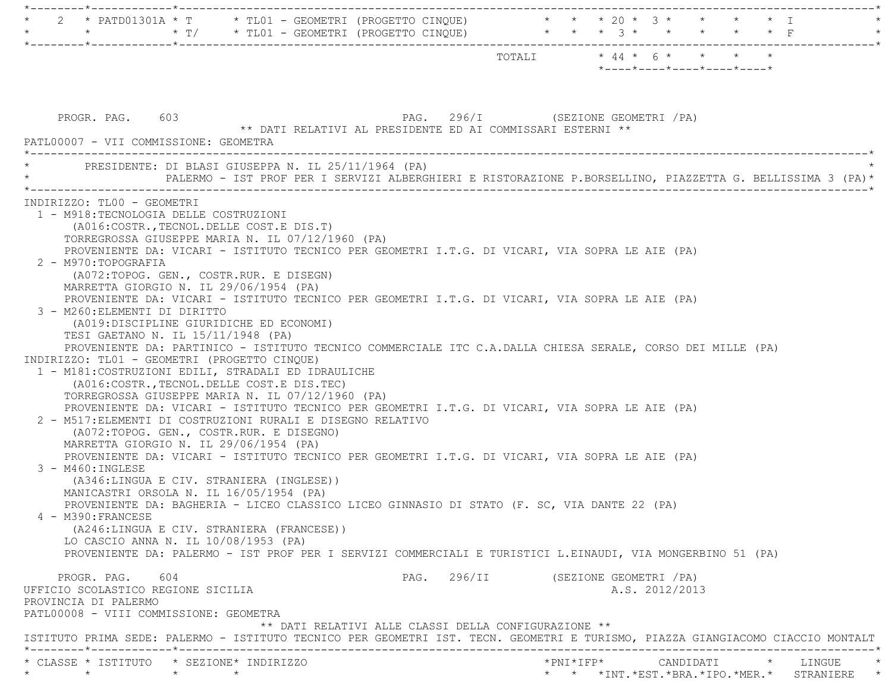|                                                                                                                                                                                                                                                                                                                                                                                                                                                                                                                                                                                                                                                                                                                                                                                                                                                                                                                                                                                                                                                                                                                                                                                                                                                                                                                                                                                                                                                                                                                                                                                                                                                                                                                                                                                          | TOTALI * 44 * 6 * * * * *<br>*----*----*----*----*----*                                                   |
|------------------------------------------------------------------------------------------------------------------------------------------------------------------------------------------------------------------------------------------------------------------------------------------------------------------------------------------------------------------------------------------------------------------------------------------------------------------------------------------------------------------------------------------------------------------------------------------------------------------------------------------------------------------------------------------------------------------------------------------------------------------------------------------------------------------------------------------------------------------------------------------------------------------------------------------------------------------------------------------------------------------------------------------------------------------------------------------------------------------------------------------------------------------------------------------------------------------------------------------------------------------------------------------------------------------------------------------------------------------------------------------------------------------------------------------------------------------------------------------------------------------------------------------------------------------------------------------------------------------------------------------------------------------------------------------------------------------------------------------------------------------------------------------|-----------------------------------------------------------------------------------------------------------|
| PROGR. PAG. 603<br>** DATI RELATIVI AL PRESIDENTE ED AI COMMISSARI ESTERNI **<br>PATL00007 - VII COMMISSIONE: GEOMETRA                                                                                                                                                                                                                                                                                                                                                                                                                                                                                                                                                                                                                                                                                                                                                                                                                                                                                                                                                                                                                                                                                                                                                                                                                                                                                                                                                                                                                                                                                                                                                                                                                                                                   | PAG. 296/I (SEZIONE GEOMETRI /PA)                                                                         |
| * PRESIDENTE: DI BLASI GIUSEPPA N. IL 25/11/1964 (PA)                                                                                                                                                                                                                                                                                                                                                                                                                                                                                                                                                                                                                                                                                                                                                                                                                                                                                                                                                                                                                                                                                                                                                                                                                                                                                                                                                                                                                                                                                                                                                                                                                                                                                                                                    | PALERMO - IST PROF PER I SERVIZI ALBERGHIERI E RISTORAZIONE P.BORSELLINO, PIAZZETTA G. BELLISSIMA 3 (PA)* |
| 1 - M918: TECNOLOGIA DELLE COSTRUZIONI<br>(A016: COSTR., TECNOL. DELLE COST. E DIS. T)<br>TORREGROSSA GIUSEPPE MARIA N. IL 07/12/1960 (PA)<br>PROVENIENTE DA: VICARI - ISTITUTO TECNICO PER GEOMETRI I.T.G. DI VICARI, VIA SOPRA LE AIE (PA)<br>2 - M970:TOPOGRAFIA<br>(A072:TOPOG. GEN., COSTR.RUR. E DISEGN)<br>MARRETTA GIORGIO N. IL 29/06/1954 (PA)<br>PROVENIENTE DA: VICARI - ISTITUTO TECNICO PER GEOMETRI I.T.G. DI VICARI, VIA SOPRA LE AIE (PA)<br>3 - M260: ELEMENTI DI DIRITTO<br>(A019:DISCIPLINE GIURIDICHE ED ECONOMI)<br>TESI GAETANO N. IL 15/11/1948 (PA)<br>PROVENIENTE DA: PARTINICO - ISTITUTO TECNICO COMMERCIALE ITC C.A.DALLA CHIESA SERALE, CORSO DEI MILLE (PA)<br>INDIRIZZO: TL01 - GEOMETRI (PROGETTO CINQUE)<br>1 - M181: COSTRUZIONI EDILI, STRADALI ED IDRAULICHE<br>(A016: COSTR., TECNOL. DELLE COST. E DIS. TEC)<br>TORREGROSSA GIUSEPPE MARIA N. IL 07/12/1960 (PA)<br>PROVENIENTE DA: VICARI - ISTITUTO TECNICO PER GEOMETRI I.T.G. DI VICARI, VIA SOPRA LE AIE (PA)<br>2 - M517: ELEMENTI DI COSTRUZIONI RURALI E DISEGNO RELATIVO<br>(A072:TOPOG. GEN., COSTR.RUR. E DISEGNO)<br>MARRETTA GIORGIO N. IL 29/06/1954 (PA)<br>PROVENIENTE DA: VICARI - ISTITUTO TECNICO PER GEOMETRI I.T.G. DI VICARI, VIA SOPRA LE AIE (PA)<br>$3 - M460$ : INGLESE<br>(A346:LINGUA E CIV. STRANIERA (INGLESE))<br>MANICASTRI ORSOLA N. IL 16/05/1954 (PA)<br>PROVENIENTE DA: BAGHERIA - LICEO CLASSICO LICEO GINNASIO DI STATO (F. SC, VIA DANTE 22 (PA)<br>4 - M390: FRANCESE<br>(A246:LINGUA E CIV. STRANIERA (FRANCESE))<br>LO CASCIO ANNA N. IL 10/08/1953 (PA)<br>PROVENIENTE DA: PALERMO - IST PROF PER I SERVIZI COMMERCIALI E TURISTICI L.EINAUDI, VIA MONGERBINO 51 (PA)<br>PROGR. PAG. 604<br>UFFICIO SCOLASTICO REGIONE SICILIA<br>PROVINCIA DI PALERMO | PAG. 296/II (SEZIONE GEOMETRI / PA)<br>A.S. 2012/2013                                                     |
| PATL00008 - VIII COMMISSIONE: GEOMETRA<br>** DATI RELATIVI ALLE CLASSI DELLA CONFIGURAZIONE **<br>ISTITUTO PRIMA SEDE: PALERMO - ISTITUTO TECNICO PER GEOMETRI IST. TECN. GEOMETRI E TURISMO, PIAZZA GIANGIACOMO CIACCIO MONTALT                                                                                                                                                                                                                                                                                                                                                                                                                                                                                                                                                                                                                                                                                                                                                                                                                                                                                                                                                                                                                                                                                                                                                                                                                                                                                                                                                                                                                                                                                                                                                         |                                                                                                           |
| * CLASSE * ISTITUTO * SEZIONE* INDIRIZZO<br>$\star$ $\star$                                                                                                                                                                                                                                                                                                                                                                                                                                                                                                                                                                                                                                                                                                                                                                                                                                                                                                                                                                                                                                                                                                                                                                                                                                                                                                                                                                                                                                                                                                                                                                                                                                                                                                                              | * * *INT.*EST.*BRA.*IPO.*MER.* STRANIERE *                                                                |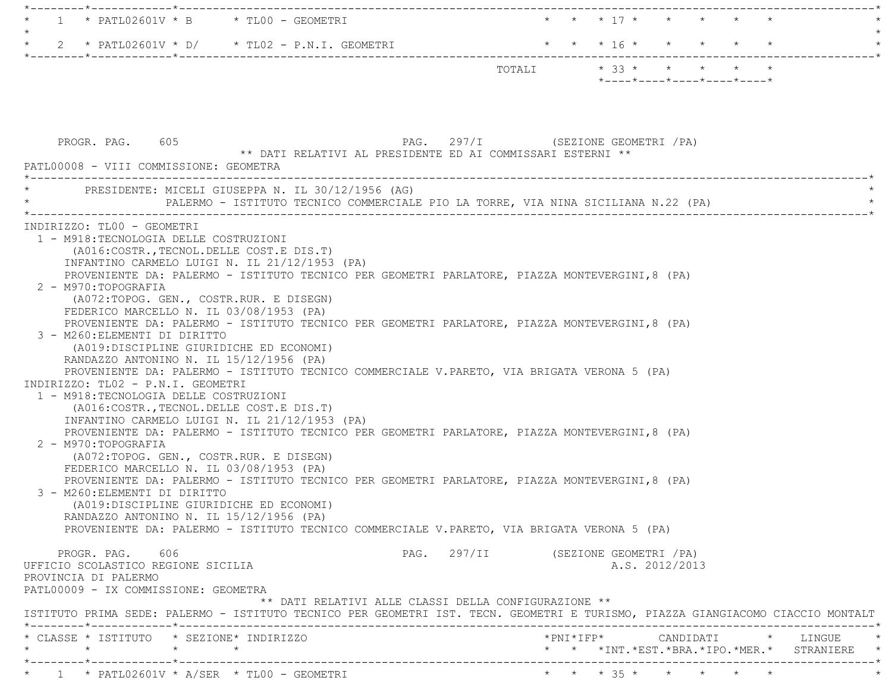| $1 * PATL02601V * B * TLO0 - GEOMETRYI$                                                                                                                                                                                                                                                                                                                                                                                                                                                                                                                                                                                                                                                                                                                                                          |                                                                                                                                                                                                                                                                                                                                                                                                                                                                                                                                                                                                  | * * * 17 * * * * * *                                                                            |  |
|--------------------------------------------------------------------------------------------------------------------------------------------------------------------------------------------------------------------------------------------------------------------------------------------------------------------------------------------------------------------------------------------------------------------------------------------------------------------------------------------------------------------------------------------------------------------------------------------------------------------------------------------------------------------------------------------------------------------------------------------------------------------------------------------------|--------------------------------------------------------------------------------------------------------------------------------------------------------------------------------------------------------------------------------------------------------------------------------------------------------------------------------------------------------------------------------------------------------------------------------------------------------------------------------------------------------------------------------------------------------------------------------------------------|-------------------------------------------------------------------------------------------------|--|
|                                                                                                                                                                                                                                                                                                                                                                                                                                                                                                                                                                                                                                                                                                                                                                                                  |                                                                                                                                                                                                                                                                                                                                                                                                                                                                                                                                                                                                  |                                                                                                 |  |
|                                                                                                                                                                                                                                                                                                                                                                                                                                                                                                                                                                                                                                                                                                                                                                                                  |                                                                                                                                                                                                                                                                                                                                                                                                                                                                                                                                                                                                  | TOTALI * 33 * * * * * *<br>$*$ ---- $*$ ---- $*$ ---- $*$ ---- $*$ ---- $*$                     |  |
|                                                                                                                                                                                                                                                                                                                                                                                                                                                                                                                                                                                                                                                                                                                                                                                                  |                                                                                                                                                                                                                                                                                                                                                                                                                                                                                                                                                                                                  |                                                                                                 |  |
| PROGR. PAG. 605<br>PATL00008 - VIII COMMISSIONE: GEOMETRA                                                                                                                                                                                                                                                                                                                                                                                                                                                                                                                                                                                                                                                                                                                                        | PAG. 297/I (SEZIONE GEOMETRI /PA)<br>** DATI RELATIVI AL PRESIDENTE ED AI COMMISSARI ESTERNI **                                                                                                                                                                                                                                                                                                                                                                                                                                                                                                  |                                                                                                 |  |
|                                                                                                                                                                                                                                                                                                                                                                                                                                                                                                                                                                                                                                                                                                                                                                                                  | PRESIDENTE: MICELI GIUSEPPA N. IL 30/12/1956 (AG)<br>PALERMO - ISTITUTO TECNICO COMMERCIALE PIO LA TORRE, VIA NINA SICILIANA N.22 (PA)                                                                                                                                                                                                                                                                                                                                                                                                                                                           |                                                                                                 |  |
| 1 - M918: TECNOLOGIA DELLE COSTRUZIONI<br>(A016:COSTR., TECNOL. DELLE COST. E DIS. T)<br>INFANTINO CARMELO LUIGI N. IL 21/12/1953 (PA)<br>2 - M970: TOPOGRAFIA<br>(A072:TOPOG. GEN., COSTR.RUR. E DISEGN)<br>FEDERICO MARCELLO N. IL 03/08/1953 (PA)<br>3 - M260: ELEMENTI DI DIRITTO<br>(A019:DISCIPLINE GIURIDICHE ED ECONOMI)<br>RANDAZZO ANTONINO N. IL 15/12/1956 (PA)<br>INDIRIZZO: TL02 - P.N.I. GEOMETRI<br>1 - M918:TECNOLOGIA DELLE COSTRUZIONI<br>(A016: COSTR., TECNOL. DELLE COST. E DIS. T)<br>INFANTINO CARMELO LUIGI N. IL 21/12/1953 (PA)<br>2 - M970: TOPOGRAFIA<br>(A072:TOPOG. GEN., COSTR.RUR. E DISEGN)<br>FEDERICO MARCELLO N. IL 03/08/1953 (PA)<br>3 - M260: ELEMENTI DI DIRITTO<br>(A019: DISCIPLINE GIURIDICHE ED ECONOMI)<br>RANDAZZO ANTONINO N. IL 15/12/1956 (PA) | PROVENIENTE DA: PALERMO - ISTITUTO TECNICO PER GEOMETRI PARLATORE, PIAZZA MONTEVERGINI, 8 (PA)<br>PROVENIENTE DA: PALERMO - ISTITUTO TECNICO PER GEOMETRI PARLATORE, PIAZZA MONTEVERGINI, 8 (PA)<br>PROVENIENTE DA: PALERMO - ISTITUTO TECNICO COMMERCIALE V.PARETO, VIA BRIGATA VERONA 5 (PA)<br>PROVENIENTE DA: PALERMO - ISTITUTO TECNICO PER GEOMETRI PARLATORE, PIAZZA MONTEVERGINI, 8 (PA)<br>PROVENIENTE DA: PALERMO - ISTITUTO TECNICO PER GEOMETRI PARLATORE, PIAZZA MONTEVERGINI, 8 (PA)<br>PROVENIENTE DA: PALERMO - ISTITUTO TECNICO COMMERCIALE V.PARETO, VIA BRIGATA VERONA 5 (PA) |                                                                                                 |  |
| PROGR. PAG. 606<br>UFFICIO SCOLASTICO REGIONE SICILIA<br>PROVINCIA DI PALERMO<br>PATL00009 - IX COMMISSIONE: GEOMETRA                                                                                                                                                                                                                                                                                                                                                                                                                                                                                                                                                                                                                                                                            | ** DATI RELATIVI ALLE CLASSI DELLA CONFIGURAZIONE **                                                                                                                                                                                                                                                                                                                                                                                                                                                                                                                                             | PAG. 297/II (SEZIONE GEOMETRI / PA)<br>A.S. 2012/2013                                           |  |
|                                                                                                                                                                                                                                                                                                                                                                                                                                                                                                                                                                                                                                                                                                                                                                                                  | ISTITUTO PRIMA SEDE: PALERMO - ISTITUTO TECNICO PER GEOMETRI IST. TECN. GEOMETRI E TURISMO, PIAZZA GIANGIACOMO CIACCIO MONTALT                                                                                                                                                                                                                                                                                                                                                                                                                                                                   |                                                                                                 |  |
| * CLASSE * ISTITUTO * SEZIONE* INDIRIZZO                                                                                                                                                                                                                                                                                                                                                                                                                                                                                                                                                                                                                                                                                                                                                         |                                                                                                                                                                                                                                                                                                                                                                                                                                                                                                                                                                                                  | $*$ PNI $*$ IFP $*$ CANDIDATI $*$ LINGUE $*$<br>* * *INT. *EST. *BRA. *IPO. *MER. * STRANIERE * |  |
| * $1$ * PATL02601V * A/SER * TL00 - GEOMETRI                                                                                                                                                                                                                                                                                                                                                                                                                                                                                                                                                                                                                                                                                                                                                     |                                                                                                                                                                                                                                                                                                                                                                                                                                                                                                                                                                                                  | * * * 35 * * * * * *                                                                            |  |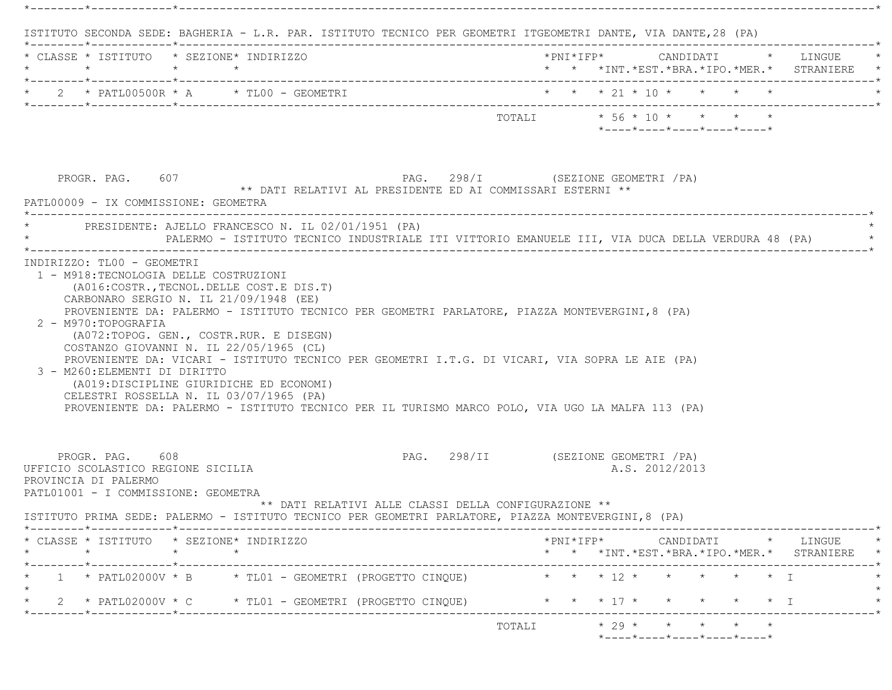|                                                                                                                      | * CLASSE * ISTITUTO * SEZIONE* INDIRIZZO                                                                                                                                                                                                                                                                                                                                      |                                     |  |                            |  | *PNI*IFP* CANDIDATI * LINGUE<br>* * *INT. *EST. *BRA. *IPO. *MER. * STRANIERE                                                                      |
|----------------------------------------------------------------------------------------------------------------------|-------------------------------------------------------------------------------------------------------------------------------------------------------------------------------------------------------------------------------------------------------------------------------------------------------------------------------------------------------------------------------|-------------------------------------|--|----------------------------|--|----------------------------------------------------------------------------------------------------------------------------------------------------|
|                                                                                                                      | 2 * PATL00500R * A * TL00 - GEOMETRI                                                                                                                                                                                                                                                                                                                                          | * * * 21 * 10 * * * * *             |  |                            |  |                                                                                                                                                    |
|                                                                                                                      |                                                                                                                                                                                                                                                                                                                                                                               |                                     |  | *----*----*----*----*----* |  |                                                                                                                                                    |
| PROGR. PAG. 607<br>PATL00009 - IX COMMISSIONE: GEOMETRA                                                              | PAG. 298/I (SEZIONE GEOMETRI / PA)<br>** DATI RELATIVI AL PRESIDENTE ED AI COMMISSARI ESTERNI **                                                                                                                                                                                                                                                                              |                                     |  |                            |  |                                                                                                                                                    |
|                                                                                                                      | * PRESIDENTE: AJELLO FRANCESCO N. IL 02/01/1951 (PA)<br>PALERMO - ISTITUTO TECNICO INDUSTRIALE ITI VITTORIO EMANUELE III, VIA DUCA DELLA VERDURA 48 (PA)                                                                                                                                                                                                                      |                                     |  |                            |  |                                                                                                                                                    |
|                                                                                                                      | CARBONARO SERGIO N. IL 21/09/1948 (EE)<br>PROVENIENTE DA: PALERMO - ISTITUTO TECNICO PER GEOMETRI PARLATORE, PIAZZA MONTEVERGINI, 8 (PA)                                                                                                                                                                                                                                      |                                     |  |                            |  |                                                                                                                                                    |
| 2 - M970: TOPOGRAFIA<br>3 - M260: ELEMENTI DI DIRITTO                                                                | (A072:TOPOG. GEN., COSTR.RUR. E DISEGN)<br>COSTANZO GIOVANNI N. IL 22/05/1965 (CL)<br>PROVENIENTE DA: VICARI - ISTITUTO TECNICO PER GEOMETRI I.T.G. DI VICARI, VIA SOPRA LE AIE (PA)<br>(A019:DISCIPLINE GIURIDICHE ED ECONOMI)<br>CELESTRI ROSSELLA N. IL 03/07/1965 (PA)<br>PROVENIENTE DA: PALERMO - ISTITUTO TECNICO PER IL TURISMO MARCO POLO, VIA UGO LA MALFA 113 (PA) |                                     |  |                            |  |                                                                                                                                                    |
| PROGR. PAG. 608<br>UFFICIO SCOLASTICO REGIONE SICILIA<br>PROVINCIA DI PALERMO<br>PATL01001 - I COMMISSIONE: GEOMETRA | ** DATI RELATIVI ALLE CLASSI DELLA CONFIGURAZIONE **<br>ISTITUTO PRIMA SEDE: PALERMO - ISTITUTO TECNICO PER GEOMETRI PARLATORE, PIAZZA MONTEVERGINI, 8 (PA)                                                                                                                                                                                                                   | PAG. 298/II (SEZIONE GEOMETRI / PA) |  | A.S. 2012/2013             |  |                                                                                                                                                    |
|                                                                                                                      | * CLASSE * ISTITUTO * SEZIONE* INDIRIZZO                                                                                                                                                                                                                                                                                                                                      |                                     |  |                            |  |                                                                                                                                                    |
|                                                                                                                      | 1 * PATL02000V * B * TL01 - GEOMETRI (PROGETTO CINQUE) * * * * 12 * * * * * * * *                                                                                                                                                                                                                                                                                             |                                     |  |                            |  | $*PNI*IFP* \qquad \qquad \text{CANDIDATI} \qquad \qquad * \qquad \text{LINGUE} \qquad \qquad *$<br>* * *INT. *EST. *BRA. *IPO. *MER. * STRANIERE * |

\*--------\*------------\*-------------------------------------------------------------------------------------------------------\*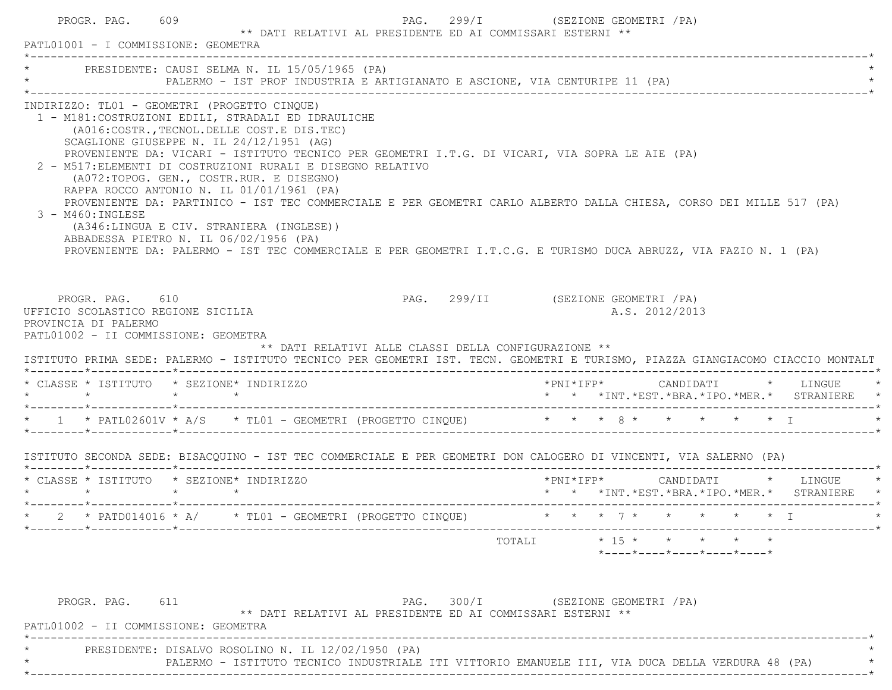| PATL01001 - I COMMISSIONE: GEOMETRA                                                                                   | PROGR. PAG. 609 |                                                                                                                                                                                                                                                                                                                                                                                                                                                                                                                                                                                                                                                                                                                                                                                            | ** DATI RELATIVI AL PRESIDENTE ED AI COMMISSARI ESTERNI ** | PAG. 299/I (SEZIONE GEOMETRI / PA)  |                                              |  |                                                                                                        |  |                                                                                        |
|-----------------------------------------------------------------------------------------------------------------------|-----------------|--------------------------------------------------------------------------------------------------------------------------------------------------------------------------------------------------------------------------------------------------------------------------------------------------------------------------------------------------------------------------------------------------------------------------------------------------------------------------------------------------------------------------------------------------------------------------------------------------------------------------------------------------------------------------------------------------------------------------------------------------------------------------------------------|------------------------------------------------------------|-------------------------------------|----------------------------------------------|--|--------------------------------------------------------------------------------------------------------|--|----------------------------------------------------------------------------------------|
|                                                                                                                       |                 | * PRESIDENTE: CAUSI SELMA N. IL 15/05/1965 (PA)<br>PALERMO - IST PROF INDUSTRIA E ARTIGIANATO E ASCIONE, VIA CENTURIPE 11 (PA)                                                                                                                                                                                                                                                                                                                                                                                                                                                                                                                                                                                                                                                             |                                                            |                                     |                                              |  |                                                                                                        |  |                                                                                        |
| 3 - M460: INGLESE                                                                                                     |                 | INDIRIZZO: TL01 - GEOMETRI (PROGETTO CINQUE)<br>1 - M181: COSTRUZIONI EDILI, STRADALI ED IDRAULICHE<br>(A016:COSTR., TECNOL. DELLE COST.E DIS. TEC)<br>SCAGLIONE GIUSEPPE N. IL 24/12/1951 (AG)<br>PROVENIENTE DA: VICARI - ISTITUTO TECNICO PER GEOMETRI I.T.G. DI VICARI, VIA SOPRA LE AIE (PA)<br>2 - M517: ELEMENTI DI COSTRUZIONI RURALI E DISEGNO RELATIVO<br>(A072:TOPOG. GEN., COSTR.RUR. E DISEGNO)<br>RAPPA ROCCO ANTONIO N. IL 01/01/1961 (PA)<br>PROVENIENTE DA: PARTINICO - IST TEC COMMERCIALE E PER GEOMETRI CARLO ALBERTO DALLA CHIESA, CORSO DEI MILLE 517 (PA)<br>(A346:LINGUA E CIV. STRANIERA (INGLESE))<br>ABBADESSA PIETRO N. IL 06/02/1956 (PA)<br>PROVENIENTE DA: PALERMO - IST TEC COMMERCIALE E PER GEOMETRI I.T.C.G. E TURISMO DUCA ABRUZZ, VIA FAZIO N. 1 (PA) |                                                            |                                     |                                              |  |                                                                                                        |  |                                                                                        |
| PROGR. PAG. 610<br>UFFICIO SCOLASTICO REGIONE SICILIA<br>PROVINCIA DI PALERMO<br>PATL01002 - II COMMISSIONE: GEOMETRA |                 | ** DATI RELATIVI ALLE CLASSI DELLA CONFIGURAZIONE **<br>ISTITUTO PRIMA SEDE: PALERMO - ISTITUTO TECNICO PER GEOMETRI IST. TECN. GEOMETRI E TURISMO, PIAZZA GIANGIACOMO CIACCIO MONTALT                                                                                                                                                                                                                                                                                                                                                                                                                                                                                                                                                                                                     |                                                            | PAG. 299/II (SEZIONE GEOMETRI / PA) |                                              |  | A.S. 2012/2013                                                                                         |  |                                                                                        |
|                                                                                                                       |                 |                                                                                                                                                                                                                                                                                                                                                                                                                                                                                                                                                                                                                                                                                                                                                                                            |                                                            |                                     |                                              |  |                                                                                                        |  |                                                                                        |
| $\star$ $\star$                                                                                                       | $\star$ $\star$ | * CLASSE * ISTITUTO * SEZIONE* INDIRIZZO                                                                                                                                                                                                                                                                                                                                                                                                                                                                                                                                                                                                                                                                                                                                                   |                                                            |                                     | $*$ PNI $*$ IFP $*$ CANDIDATI $*$ LINGUE $*$ |  |                                                                                                        |  | * * *INT.*EST.*BRA.*IPO.*MER.* STRANIERE *                                             |
|                                                                                                                       |                 | * 1 * PATL02601V * A/S * TL01 - GEOMETRI (PROGETTO CINQUE) * * * 8 * * * * * * * I                                                                                                                                                                                                                                                                                                                                                                                                                                                                                                                                                                                                                                                                                                         |                                                            |                                     |                                              |  |                                                                                                        |  |                                                                                        |
|                                                                                                                       |                 | ISTITUTO SECONDA SEDE: BISACQUINO - IST TEC COMMERCIALE E PER GEOMETRI DON CALOGERO DI VINCENTI, VIA SALERNO (PA)                                                                                                                                                                                                                                                                                                                                                                                                                                                                                                                                                                                                                                                                          |                                                            |                                     |                                              |  |                                                                                                        |  |                                                                                        |
|                                                                                                                       |                 | * CLASSE * ISTITUTO * SEZIONE* INDIRIZZO                                                                                                                                                                                                                                                                                                                                                                                                                                                                                                                                                                                                                                                                                                                                                   |                                                            |                                     |                                              |  |                                                                                                        |  | $*$ PNI $*$ IFP $*$ CANDIDATI $*$ LINGUE<br>* * *INT.*EST.*BRA.*IPO.*MER.* STRANIERE * |
|                                                                                                                       |                 | * 2 * PATD014016 * A/ * TL01 - GEOMETRI (PROGETTO CINQUE) * * * 7 * * * * * * * I                                                                                                                                                                                                                                                                                                                                                                                                                                                                                                                                                                                                                                                                                                          |                                                            |                                     |                                              |  |                                                                                                        |  |                                                                                        |
|                                                                                                                       |                 |                                                                                                                                                                                                                                                                                                                                                                                                                                                                                                                                                                                                                                                                                                                                                                                            |                                                            |                                     | TOTALI                                       |  | $\star$ 15 $\star$ $\star$ $\star$ $\star$ $\star$<br>$*$ ---- $*$ ---- $*$ ---- $*$ ---- $*$ ---- $*$ |  |                                                                                        |
| PROGR. PAG.<br>PATL01002 - II COMMISSIONE: GEOMETRA                                                                   | 611             |                                                                                                                                                                                                                                                                                                                                                                                                                                                                                                                                                                                                                                                                                                                                                                                            | ** DATI RELATIVI AL PRESIDENTE ED AI COMMISSARI ESTERNI ** | PAG.                                | 300/I (SEZIONE GEOMETRI / PA)                |  |                                                                                                        |  |                                                                                        |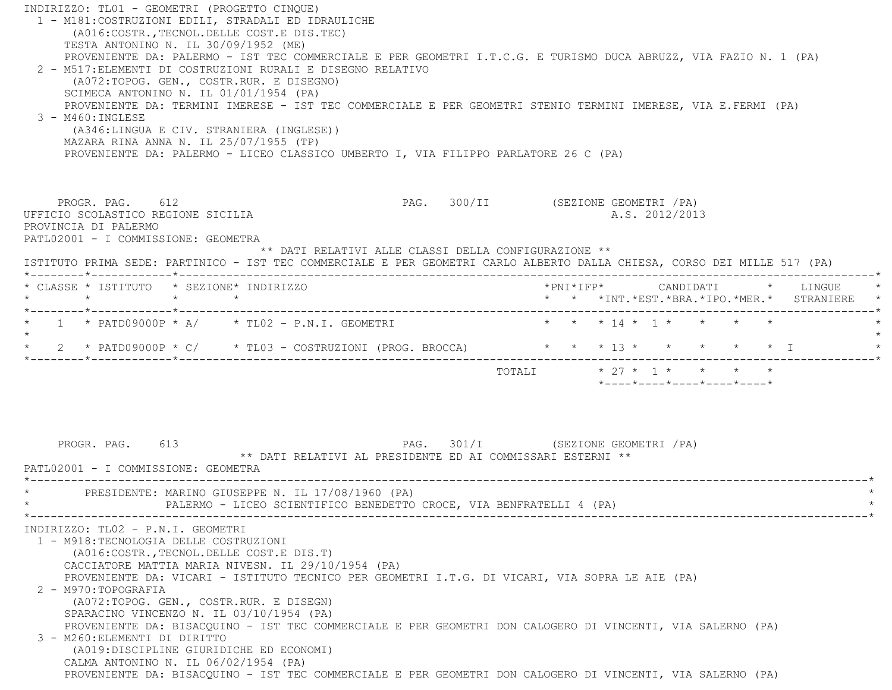| INDIRIZZO: TL01 - GEOMETRI (PROGETTO CINQUE)<br>1 - M181: COSTRUZIONI EDILI, STRADALI ED IDRAULICHE<br>(A016:COSTR., TECNOL. DELLE COST.E DIS. TEC)<br>TESTA ANTONINO N. IL 30/09/1952 (ME)<br>PROVENIENTE DA: PALERMO - IST TEC COMMERCIALE E PER GEOMETRI I.T.C.G. E TURISMO DUCA ABRUZZ, VIA FAZIO N. 1 (PA)<br>2 - M517: ELEMENTI DI COSTRUZIONI RURALI E DISEGNO RELATIVO<br>(A072:TOPOG. GEN., COSTR.RUR. E DISEGNO)<br>SCIMECA ANTONINO N. IL 01/01/1954 (PA)<br>PROVENIENTE DA: TERMINI IMERESE - IST TEC COMMERCIALE E PER GEOMETRI STENIO TERMINI IMERESE, VIA E.FERMI (PA)<br>3 - M460: INGLESE |                                                                                   |
|------------------------------------------------------------------------------------------------------------------------------------------------------------------------------------------------------------------------------------------------------------------------------------------------------------------------------------------------------------------------------------------------------------------------------------------------------------------------------------------------------------------------------------------------------------------------------------------------------------|-----------------------------------------------------------------------------------|
| (A346:LINGUA E CIV. STRANIERA (INGLESE))<br>MAZARA RINA ANNA N. IL 25/07/1955 (TP)<br>PROVENIENTE DA: PALERMO - LICEO CLASSICO UMBERTO I, VIA FILIPPO PARLATORE 26 C (PA)                                                                                                                                                                                                                                                                                                                                                                                                                                  |                                                                                   |
| PROGR. PAG. 612<br>UFFICIO SCOLASTICO REGIONE SICILIA<br>PROVINCIA DI PALERMO<br>PATL02001 - I COMMISSIONE: GEOMETRA<br>** DATI RELATIVI ALLE CLASSI DELLA CONFIGURAZIONE **                                                                                                                                                                                                                                                                                                                                                                                                                               | PAG. 300/II (SEZIONE GEOMETRI /PA)<br>A.S. 2012/2013                              |
| ISTITUTO PRIMA SEDE: PARTINICO - IST TEC COMMERCIALE E PER GEOMETRI CARLO ALBERTO DALLA CHIESA, CORSO DEI MILLE 517 (PA)                                                                                                                                                                                                                                                                                                                                                                                                                                                                                   |                                                                                   |
| * CLASSE * ISTITUTO * SEZIONE* INDIRIZZO<br>$\star$<br>$\star$<br>*--------*------------*---------                                                                                                                                                                                                                                                                                                                                                                                                                                                                                                         | *PNI*IFP*     CANDIDATI    *   LINGUE<br>* * *INT.*EST.*BRA.*IPO.*MER.* STRANIERE |
| $1 \times$ PATD09000P $*$ A/ $*$ TL02 - P.N.I. GEOMETRI<br>$\star$<br>* 2 * PATD09000P * C/ * TL03 - COSTRUZIONI (PROG. BROCCA) * * * 13 * *                                                                                                                                                                                                                                                                                                                                                                                                                                                               | * * * 14 * 1 * * * * *<br>$\star$ $\star$ $\star$ T                               |
|                                                                                                                                                                                                                                                                                                                                                                                                                                                                                                                                                                                                            | TOTALI * 27 * 1 * * * * *<br>$*$ ---- $*$ ---- $*$ ---- $*$ ---- $*$ ---- $*$     |
| PROGR. PAG. 613<br>** DATI RELATIVI AL PRESIDENTE ED AI COMMISSARI ESTERNI **<br>PATL02001 - I COMMISSIONE: GEOMETRA                                                                                                                                                                                                                                                                                                                                                                                                                                                                                       | PAG. 301/I (SEZIONE GEOMETRI / PA)                                                |
| PRESIDENTE: MARINO GIUSEPPE N. IL 17/08/1960 (PA)<br>PALERMO - LICEO SCIENTIFICO BENEDETTO CROCE, VIA BENFRATELLI 4 (PA)                                                                                                                                                                                                                                                                                                                                                                                                                                                                                   |                                                                                   |
| INDIRIZZO: TLO2 - P.N.I. GEOMETRI<br>1 - M918: TECNOLOGIA DELLE COSTRUZIONI<br>(A016: COSTR., TECNOL. DELLE COST. E DIS. T)<br>CACCIATORE MATTIA MARIA NIVESN. IL 29/10/1954 (PA)<br>PROVENIENTE DA: VICARI - ISTITUTO TECNICO PER GEOMETRI I.T.G. DI VICARI, VIA SOPRA LE AIE (PA)<br>2 - M970: TOPOGRAFIA                                                                                                                                                                                                                                                                                                |                                                                                   |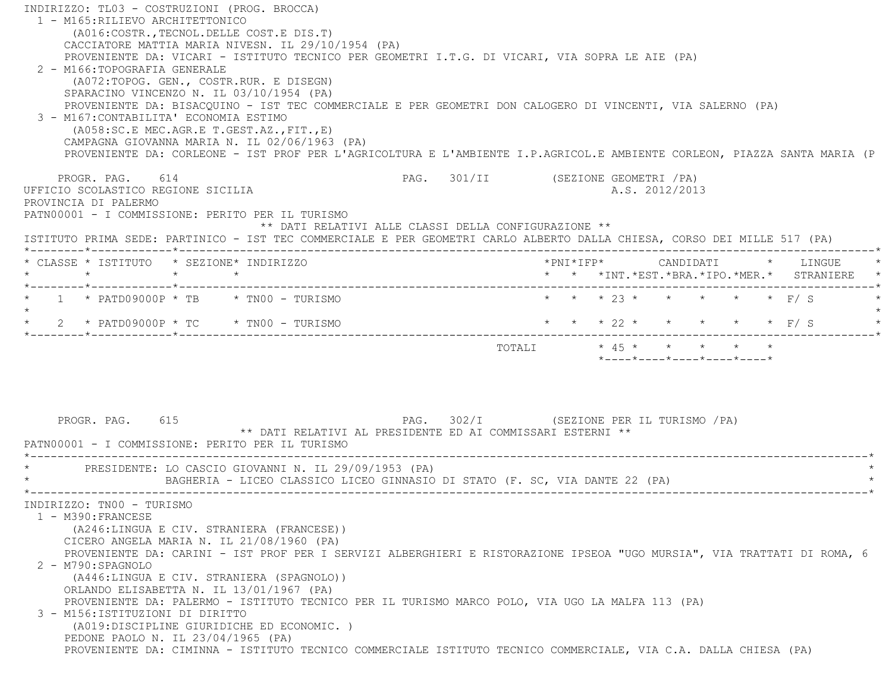INDIRIZZO: TL03 - COSTRUZIONI (PROG. BROCCA) 1 - M165:RILIEVO ARCHITETTONICO (A016:COSTR.,TECNOL.DELLE COST.E DIS.T) CACCIATORE MATTIA MARIA NIVESN. IL 29/10/1954 (PA) PROVENIENTE DA: VICARI - ISTITUTO TECNICO PER GEOMETRI I.T.G. DI VICARI, VIA SOPRA LE AIE (PA) 2 - M166:TOPOGRAFIA GENERALE (A072:TOPOG. GEN., COSTR.RUR. E DISEGN) SPARACINO VINCENZO N. IL 03/10/1954 (PA) PROVENIENTE DA: BISACQUINO - IST TEC COMMERCIALE E PER GEOMETRI DON CALOGERO DI VINCENTI, VIA SALERNO (PA) 3 - M167:CONTABILITA' ECONOMIA ESTIMO (A058:SC.E MEC.AGR.E T.GEST.AZ.,FIT.,E) CAMPAGNA GIOVANNA MARIA N. IL 02/06/1963 (PA) PROVENIENTE DA: CORLEONE - IST PROF PER L'AGRICOLTURA E L'AMBIENTE I.P.AGRICOL.E AMBIENTE CORLEON, PIAZZA SANTA MARIA (P PROGR. PAG. 614 CHARGE CHARGE PAG. 301/II (SEZIONE GEOMETRI / PA) UFFICIO SCOLASTICO REGIONE SICILIA A.S. 2012/2013 PROVINCIA DI PALERMO PATN00001 - I COMMISSIONE: PERITO PER IL TURISMO \*\* DATI RELATIVI ALLE CLASSI DELLA CONFIGURAZIONE \*\* ISTITUTO PRIMA SEDE: PARTINICO - IST TEC COMMERCIALE E PER GEOMETRI CARLO ALBERTO DALLA CHIESA, CORSO DEI MILLE 517 (PA) \*--------\*------------\*-------------------------------------------------------------------------------------------------------\* \* CLASSE \* ISTITUTO \* SEZIONE\* INDIRIZZO \*PNI\*IFP\* CANDIDATI \* LINGUE \* \* \* \* \* \* \* \*INT.\*EST.\*BRA.\*IPO.\*MER.\* STRANIERE \* \*--------\*------------\*-------------------------------------------------------------------------------------------------------\* \* 1 \* PATD09000P \* TB \* TN00 - TURISMO \* \* \* 23 \* \* \* \* \* F/ S \*  $\star$  \* 2 \* PATD09000P \* TC \* TN00 - TURISMO \* \* \* 22 \* \* \* \* \* F/ S \* \*--------\*------------\*-------------------------------------------------------------------------------------------------------\*TOTALI  $* 45 * * * * * * * * * *$  \*----\*----\*----\*----\*----\* PROGR. PAG. 615 PAG. 302/I (SEZIONE PER IL TURISMO /PA) \*\* DATI RELATIVI AL PRESIDENTE ED AI COMMISSARI ESTERNI \*\* PATN00001 - I COMMISSIONE: PERITO PER IL TURISMO \*----------------------------------------------------------------------------------------------------------------------------\*PRESIDENTE: LO CASCIO GIOVANNI N. IL 29/09/1953 (PA) BAGHERIA - LICEO CLASSICO LICEO GINNASIO DI STATO (F. SC, VIA DANTE 22 (PA) \*----------------------------------------------------------------------------------------------------------------------------\* INDIRIZZO: TN00 - TURISMO 1 - M390:FRANCESE (A246:LINGUA E CIV. STRANIERA (FRANCESE)) CICERO ANGELA MARIA N. IL 21/08/1960 (PA) PROVENIENTE DA: CARINI - IST PROF PER I SERVIZI ALBERGHIERI E RISTORAZIONE IPSEOA "UGO MURSIA", VIA TRATTATI DI ROMA, 6 2 - M790:SPAGNOLO (A446:LINGUA E CIV. STRANIERA (SPAGNOLO)) ORLANDO ELISABETTA N. IL 13/01/1967 (PA) PROVENIENTE DA: PALERMO - ISTITUTO TECNICO PER IL TURISMO MARCO POLO, VIA UGO LA MALFA 113 (PA) 3 - M156:ISTITUZIONI DI DIRITTO (A019:DISCIPLINE GIURIDICHE ED ECONOMIC. ) PEDONE PAOLO N. IL 23/04/1965 (PA) PROVENIENTE DA: CIMINNA - ISTITUTO TECNICO COMMERCIALE ISTITUTO TECNICO COMMERCIALE, VIA C.A. DALLA CHIESA (PA)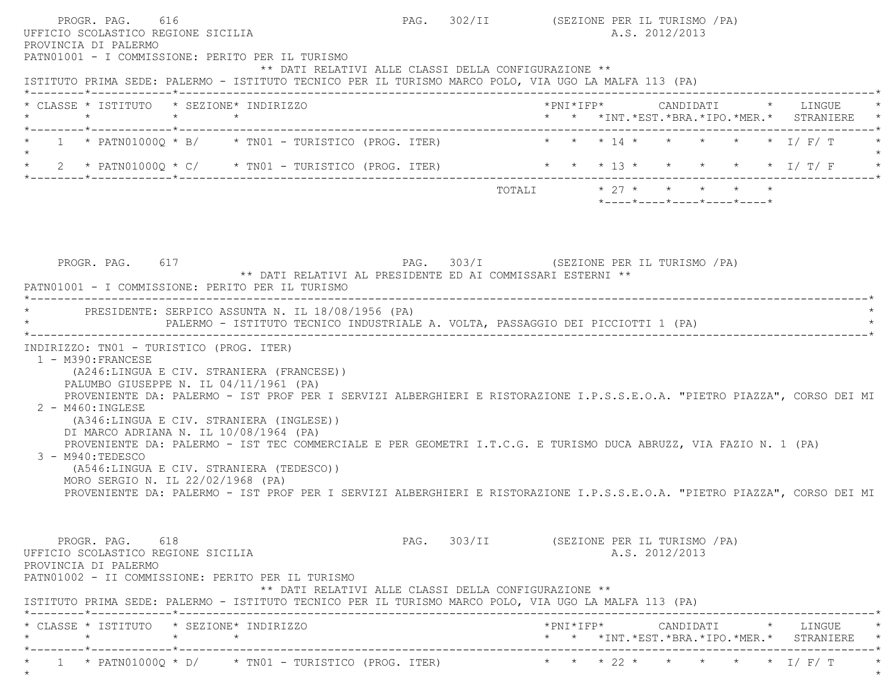PROGR. PAG. 616 CHA PAG. 302/II (SEZIONE PER IL TURISMO / PA) UFFICIO SCOLASTICO REGIONE SICILIA A.S. 2012/2013 PROVINCIA DI PALERMO PATN01001 - I COMMISSIONE: PERITO PER IL TURISMO \*\* DATI RELATIVI ALLE CLASSI DELLA CONFIGURAZIONE \*\* ISTITUTO PRIMA SEDE: PALERMO - ISTITUTO TECNICO PER IL TURISMO MARCO POLO, VIA UGO LA MALFA 113 (PA) \*--------\*------------\*-------------------------------------------------------------------------------------------------------\* \* CLASSE \* ISTITUTO \* SEZIONE\* INDIRIZZO \*PNI\*IFP\* CANDIDATI \* LINGUE \* \* \* \* \* \* \* \*INT.\*EST.\*BRA.\*IPO.\*MER.\* STRANIERE \* \*--------\*------------\*-------------------------------------------------------------------------------------------------------\*1 \* PATN010000 \* B/ \* TN01 - TURISTICO (PROG. ITER) \* \* \* 14 \* \* \* \* \* \* I/ F/ T  $\star$ \* 2 \* PATN01000Q \* C/ \* TN01 - TURISTICO (PROG. ITER) \* \* \* \* 13 \* \* \* \* \* \* \* \* I/ T/ F \*--------\*------------\*-------------------------------------------------------------------------------------------------------\*TOTALI  $* 27 * * * * * * * * * *$  \*----\*----\*----\*----\*----\*PROGR. PAG. 617 PROGR. PAG. 303/I (SEZIONE PER IL TURISMO / PA) \*\* DATI RELATIVI AL PRESIDENTE ED AI COMMISSARI ESTERNI \*\* PATN01001 - I COMMISSIONE: PERITO PER IL TURISMO \*----------------------------------------------------------------------------------------------------------------------------\*PRESIDENTE: SERPICO ASSUNTA N. IL 18/08/1956 (PA) \* PALERMO - ISTITUTO TECNICO INDUSTRIALE A. VOLTA, PASSAGGIO DEI PICCIOTTI 1 (PA) \* \*----------------------------------------------------------------------------------------------------------------------------\* INDIRIZZO: TN01 - TURISTICO (PROG. ITER) 1 - M390:FRANCESE (A246:LINGUA E CIV. STRANIERA (FRANCESE)) PALUMBO GIUSEPPE N. IL 04/11/1961 (PA) PROVENIENTE DA: PALERMO - IST PROF PER I SERVIZI ALBERGHIERI E RISTORAZIONE I.P.S.S.E.O.A. "PIETRO PIAZZA", CORSO DEI MI 2 - M460:INGLESE (A346:LINGUA E CIV. STRANIERA (INGLESE)) DI MARCO ADRIANA N. IL 10/08/1964 (PA) PROVENIENTE DA: PALERMO - IST TEC COMMERCIALE E PER GEOMETRI I.T.C.G. E TURISMO DUCA ABRUZZ, VIA FAZIO N. 1 (PA) 3 - M940:TEDESCO (A546:LINGUA E CIV. STRANIERA (TEDESCO)) MORO SERGIO N. IL 22/02/1968 (PA) PROVENIENTE DA: PALERMO - IST PROF PER I SERVIZI ALBERGHIERI E RISTORAZIONE I.P.S.S.E.O.A. "PIETRO PIAZZA", CORSO DEI MI PROGR. PAG. 618 CONSTRUCTED BAG. 303/II (SEZIONE PER IL TURISMO / PA) UFFICIO SCOLASTICO REGIONE SICILIA A.S. 2012/2013 PROVINCIA DI PALERMO PATN01002 - II COMMISSIONE: PERITO PER IL TURISMO \*\* DATI RELATIVI ALLE CLASSI DELLA CONFIGURAZIONE \*\* ISTITUTO PRIMA SEDE: PALERMO - ISTITUTO TECNICO PER IL TURISMO MARCO POLO, VIA UGO LA MALFA 113 (PA) \*--------\*------------\*-------------------------------------------------------------------------------------------------------\* \* CLASSE \* ISTITUTO \* SEZIONE\* INDIRIZZO \*PNI\*IFP\* CANDIDATI \* LINGUE \* \* \* \* \* \* \* \*INT.\*EST.\*BRA.\*IPO.\*MER.\* STRANIERE \* \*--------\*------------\*-------------------------------------------------------------------------------------------------------\*\* 1 \* PATN01000Q \* D/ \* TN01 - TURISTICO (PROG. ITER) \* \* \* 22 \* \* \* \* \* I/ F/ T \*

 $\star$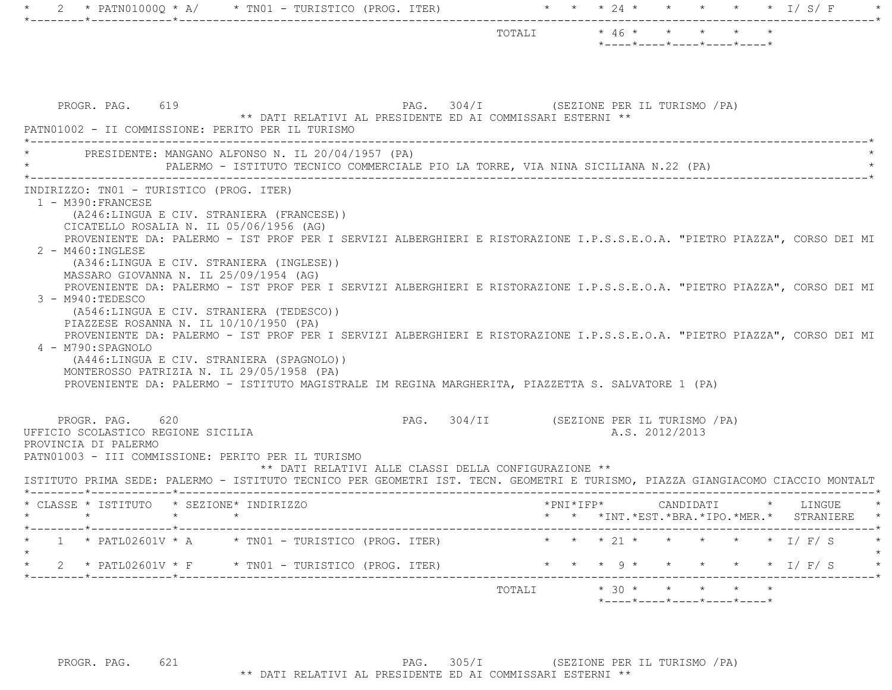| PROGR. PAG. 619<br>PAG. 304/I (SEZIONE PER IL TURISMO /PA)<br>** DATI RELATIVI AL PRESIDENTE ED AI COMMISSARI ESTERNI **<br>PATN01002 - II COMMISSIONE: PERITO PER IL TURISMO<br>PRESIDENTE: MANGANO ALFONSO N. IL 20/04/1957 (PA)                                                                                                                                                                                                                                                                                                                                                                                                                                                                                                                                                                                                                                                                                                                                                      |                     |                |           |         |                                                           |
|-----------------------------------------------------------------------------------------------------------------------------------------------------------------------------------------------------------------------------------------------------------------------------------------------------------------------------------------------------------------------------------------------------------------------------------------------------------------------------------------------------------------------------------------------------------------------------------------------------------------------------------------------------------------------------------------------------------------------------------------------------------------------------------------------------------------------------------------------------------------------------------------------------------------------------------------------------------------------------------------|---------------------|----------------|-----------|---------|-----------------------------------------------------------|
|                                                                                                                                                                                                                                                                                                                                                                                                                                                                                                                                                                                                                                                                                                                                                                                                                                                                                                                                                                                         |                     |                |           |         |                                                           |
| PALERMO - ISTITUTO TECNICO COMMERCIALE PIO LA TORRE, VIA NINA SICILIANA N.22 (PA)                                                                                                                                                                                                                                                                                                                                                                                                                                                                                                                                                                                                                                                                                                                                                                                                                                                                                                       |                     |                |           |         |                                                           |
| INDIRIZZO: TN01 - TURISTICO (PROG. ITER)<br>1 - M390: FRANCESE<br>(A246:LINGUA E CIV. STRANIERA (FRANCESE))<br>CICATELLO ROSALIA N. IL 05/06/1956 (AG)<br>PROVENIENTE DA: PALERMO - IST PROF PER I SERVIZI ALBERGHIERI E RISTORAZIONE I.P.S.S.E.O.A. "PIETRO PIAZZA", CORSO DEI MI<br>$2 - M460$ : INGLESE<br>(A346:LINGUA E CIV. STRANIERA (INGLESE))<br>MASSARO GIOVANNA N. IL 25/09/1954 (AG)<br>PROVENIENTE DA: PALERMO - IST PROF PER I SERVIZI ALBERGHIERI E RISTORAZIONE I.P.S.S.E.O.A. "PIETRO PIAZZA", CORSO DEI MI<br>3 - M940: TEDESCO<br>(A546:LINGUA E CIV. STRANIERA (TEDESCO))<br>PIAZZESE ROSANNA N. IL 10/10/1950 (PA)<br>PROVENIENTE DA: PALERMO - IST PROF PER I SERVIZI ALBERGHIERI E RISTORAZIONE I.P.S.S.E.O.A. "PIETRO PIAZZA", CORSO DEI MI<br>4 - M790:SPAGNOLO<br>(A446:LINGUA E CIV. STRANIERA (SPAGNOLO))<br>MONTEROSSO PATRIZIA N. IL 29/05/1958 (PA)<br>PROVENIENTE DA: PALERMO - ISTITUTO MAGISTRALE IM REGINA MARGHERITA, PIAZZETTA S. SALVATORE 1 (PA) |                     |                |           |         |                                                           |
| 620<br>PAG. 304/II (SEZIONE PER IL TURISMO /PA)<br>PROGR. PAG.<br>UFFICIO SCOLASTICO REGIONE SICILIA<br>PROVINCIA DI PALERMO<br>PATN01003 - III COMMISSIONE: PERITO PER IL TURISMO<br>** DATI RELATIVI ALLE CLASSI DELLA CONFIGURAZIONE **<br>ISTITUTO PRIMA SEDE: PALERMO - ISTITUTO TECNICO PER GEOMETRI IST. TECN. GEOMETRI E TURISMO, PIAZZA GIANGIACOMO CIACCIO MONTALT                                                                                                                                                                                                                                                                                                                                                                                                                                                                                                                                                                                                            |                     | A.S. 2012/2013 |           |         |                                                           |
| * CLASSE * ISTITUTO * SEZIONE* INDIRIZZO<br>$\begin{array}{ccccccccccccc} \star & & & & & & \star & & & \star & & & \star \end{array}$                                                                                                                                                                                                                                                                                                                                                                                                                                                                                                                                                                                                                                                                                                                                                                                                                                                  | $*$ PNI $*$ IFP $*$ |                | CANDIDATI | $\star$ | LINGUE<br>* * *INT. *EST. *BRA. *IPO. *MER. * STRANIERE * |
| $1 * PATL02601V * A * TN01 - TURISTICO (PROG. TTER)$                                                                                                                                                                                                                                                                                                                                                                                                                                                                                                                                                                                                                                                                                                                                                                                                                                                                                                                                    |                     |                |           |         | * * * 21 * * * * * * I/ F/ S                              |
| 2 * PATL02601V * F $\rightarrow$ TN01 - TURISTICO (PROG. ITER)                                                                                                                                                                                                                                                                                                                                                                                                                                                                                                                                                                                                                                                                                                                                                                                                                                                                                                                          |                     |                |           |         | * * * 9 * * * * * * I/ F/ S *                             |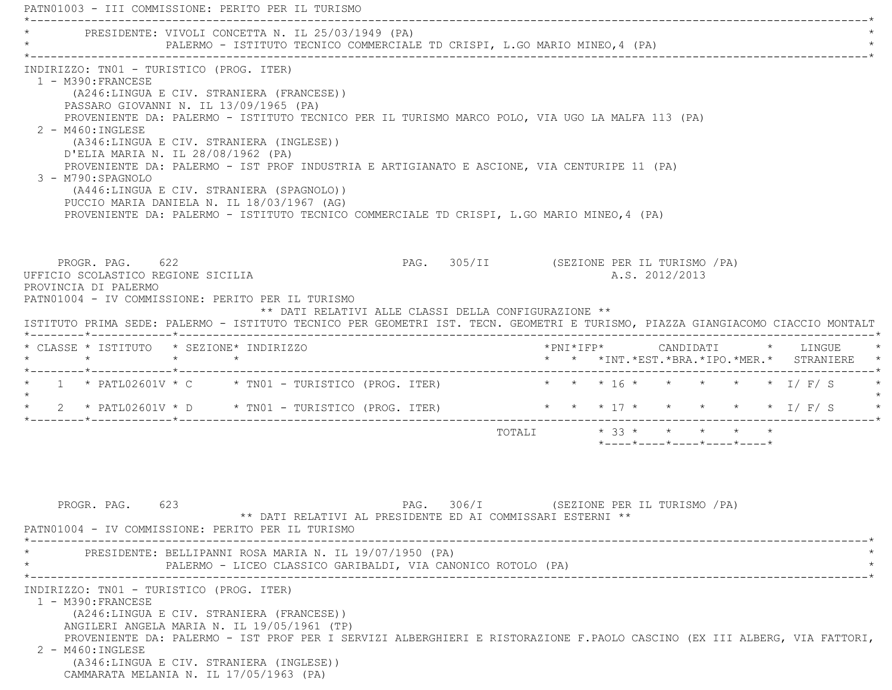PATN01003 - III COMMISSIONE: PERITO PER IL TURISMO \*----------------------------------------------------------------------------------------------------------------------------\*PRESIDENTE: VIVOLI CONCETTA N. IL 25/03/1949 (PA) PALERMO - ISTITUTO TECNICO COMMERCIALE TD CRISPI, L.GO MARIO MINEO, 4 (PA) \*----------------------------------------------------------------------------------------------------------------------------\* INDIRIZZO: TN01 - TURISTICO (PROG. ITER) 1 - M390:FRANCESE (A246:LINGUA E CIV. STRANIERA (FRANCESE)) PASSARO GIOVANNI N. IL 13/09/1965 (PA) PROVENIENTE DA: PALERMO - ISTITUTO TECNICO PER IL TURISMO MARCO POLO, VIA UGO LA MALFA 113 (PA) 2 - M460:INGLESE (A346:LINGUA E CIV. STRANIERA (INGLESE)) D'ELIA MARIA N. IL 28/08/1962 (PA) PROVENIENTE DA: PALERMO - IST PROF INDUSTRIA E ARTIGIANATO E ASCIONE, VIA CENTURIPE 11 (PA) 3 - M790:SPAGNOLO (A446:LINGUA E CIV. STRANIERA (SPAGNOLO)) PUCCIO MARIA DANIELA N. IL 18/03/1967 (AG) PROVENIENTE DA: PALERMO - ISTITUTO TECNICO COMMERCIALE TD CRISPI, L.GO MARIO MINEO,4 (PA) PROGR. PAG. 622 CHARGE PAGE 205/II (SEZIONE PER IL TURISMO / PA) UFFICIO SCOLASTICO REGIONE SICILIA A.S. 2012/2013 PROVINCIA DI PALERMO PATN01004 - IV COMMISSIONE: PERITO PER IL TURISMO \*\* DATI RELATIVI ALLE CLASSI DELLA CONFIGURAZIONE \*\* ISTITUTO PRIMA SEDE: PALERMO - ISTITUTO TECNICO PER GEOMETRI IST. TECN. GEOMETRI E TURISMO, PIAZZA GIANGIACOMO CIACCIO MONTALT \*--------\*------------\*-------------------------------------------------------------------------------------------------------\* \* CLASSE \* ISTITUTO \* SEZIONE\* INDIRIZZO \*PNI\*IFP\* CANDIDATI \* LINGUE \* \* \* \* \* \* \* \*INT.\*EST.\*BRA.\*IPO.\*MER.\* STRANIERE \* \*--------\*------------\*-------------------------------------------------------------------------------------------------------\*1 \* PATL02601V \* C \* TN01 - TURISTICO (PROG. ITER) \* \* \* \* 16 \* \* \* \* \* \* \* 1/ F/ S  $\star$ 2 \* PATL02601V \* D \* TN01 - TURISTICO (PROG. ITER) \* \* \* \* 17 \* \* \* \* \* \* \* \* I/ F/ S \*--------\*------------\*-------------------------------------------------------------------------------------------------------\*TOTALI  $* 33 * * * * * * * * * *$  \*----\*----\*----\*----\*----\*PROGR. PAG. 623 CHA PAG. 306/I (SEZIONE PER IL TURISMO / PA) \*\* DATI RELATIVI AL PRESIDENTE ED AI COMMISSARI ESTERNI \*\* PATN01004 - IV COMMISSIONE: PERITO PER IL TURISMO \*----------------------------------------------------------------------------------------------------------------------------\* \* PRESIDENTE: BELLIPANNI ROSA MARIA N. IL 19/07/1950 (PA) \* \* PALERMO - LICEO CLASSICO GARIBALDI, VIA CANONICO ROTOLO (PA) \* \*----------------------------------------------------------------------------------------------------------------------------\* INDIRIZZO: TN01 - TURISTICO (PROG. ITER) 1 - M390:FRANCESE (A246:LINGUA E CIV. STRANIERA (FRANCESE)) ANGILERI ANGELA MARIA N. IL 19/05/1961 (TP) PROVENIENTE DA: PALERMO - IST PROF PER I SERVIZI ALBERGHIERI E RISTORAZIONE F.PAOLO CASCINO (EX III ALBERG, VIA FATTORI, 2 - M460:INGLESE (A346:LINGUA E CIV. STRANIERA (INGLESE)) CAMMARATA MELANIA N. IL 17/05/1963 (PA)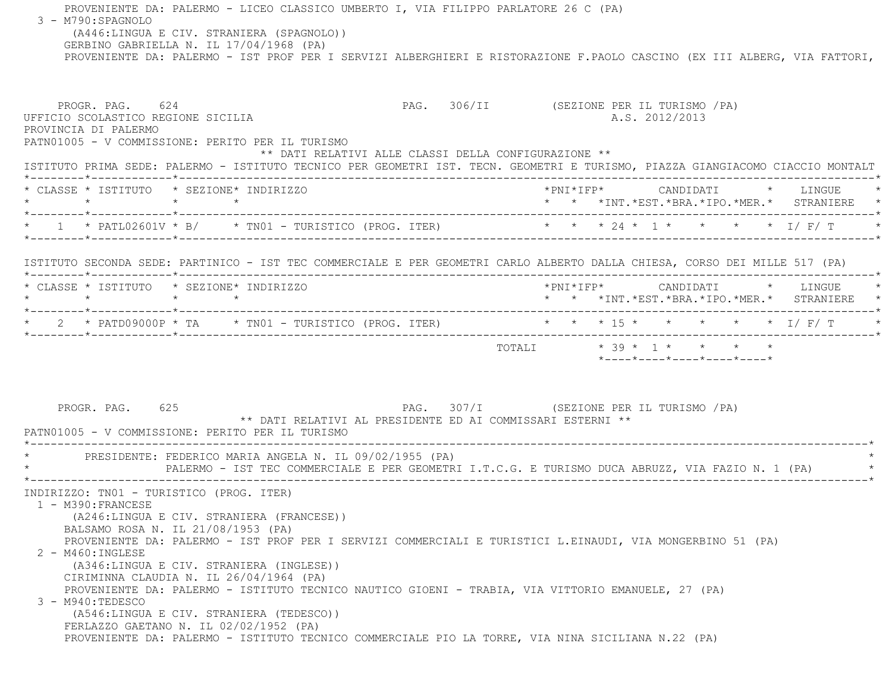PROVENIENTE DA: PALERMO - LICEO CLASSICO UMBERTO I, VIA FILIPPO PARLATORE 26 C (PA) 3 - M790:SPAGNOLO (A446:LINGUA E CIV. STRANIERA (SPAGNOLO)) GERBINO GABRIELLA N. IL 17/04/1968 (PA) PROVENIENTE DA: PALERMO - IST PROF PER I SERVIZI ALBERGHIERI E RISTORAZIONE F.PAOLO CASCINO (EX III ALBERG, VIA FATTORI, PROGR. PAG. 624 CHA PAG. 306/II (SEZIONE PER IL TURISMO / PA) UFFICIO SCOLASTICO REGIONE SICILIA A.S. 2012/2013 PROVINCIA DI PALERMO PATN01005 - V COMMISSIONE: PERITO PER IL TURISMO \*\* DATI RELATIVI ALLE CLASSI DELLA CONFIGURAZIONE \*\* ISTITUTO PRIMA SEDE: PALERMO - ISTITUTO TECNICO PER GEOMETRI IST. TECN. GEOMETRI E TURISMO, PIAZZA GIANGIACOMO CIACCIO MONTALT \*--------\*------------\*-------------------------------------------------------------------------------------------------------\* \* CLASSE \* ISTITUTO \* SEZIONE\* INDIRIZZO \*PNI\*IFP\* CANDIDATI \* LINGUE \* \* \* \* \* \* \* \*INT.\*EST.\*BRA.\*IPO.\*MER.\* STRANIERE \* \*--------\*------------\*-------------------------------------------------------------------------------------------------------\* \* 1 \* PATL02601V \* B/ \* TN01 - TURISTICO (PROG. ITER) \* \* \* 24 \* 1 \* \* \* \* I/ F/ T \* \*--------\*------------\*-------------------------------------------------------------------------------------------------------\* ISTITUTO SECONDA SEDE: PARTINICO - IST TEC COMMERCIALE E PER GEOMETRI CARLO ALBERTO DALLA CHIESA, CORSO DEI MILLE 517 (PA) \*--------\*------------\*-------------------------------------------------------------------------------------------------------\* \* CLASSE \* ISTITUTO \* SEZIONE\* INDIRIZZO \*PNI\*IFP\* CANDIDATI \* LINGUE \* \* \* \* \* \* \* \*INT.\*EST.\*BRA.\*IPO.\*MER.\* STRANIERE \* \*--------\*------------\*-------------------------------------------------------------------------------------------------------\* $\star$  2  $\star$  PATD09000P  $\star$  TA  $\star$  TN01 - TURISTICO (PROG. ITER) \*--------\*------------\*-------------------------------------------------------------------------------------------------------\*TOTALI  $\star$  39  $\star$  1  $\star$   $\star$   $\star$   $\star$  \*----\*----\*----\*----\*----\*PROGR. PAG. 625 CHA PAG. 307/I (SEZIONE PER IL TURISMO / PA) \*\* DATI RELATIVI AL PRESIDENTE ED AI COMMISSARI ESTERNI \*\* PATN01005 - V COMMISSIONE: PERITO PER IL TURISMO \*----------------------------------------------------------------------------------------------------------------------------\*PRESIDENTE: FEDERICO MARIA ANGELA N. IL 09/02/1955 (PA) PALERMO - IST TEC COMMERCIALE E PER GEOMETRI I.T.C.G. E TURISMO DUCA ABRUZZ, VIA FAZIO N. 1 (PA) \*----------------------------------------------------------------------------------------------------------------------------\* INDIRIZZO: TN01 - TURISTICO (PROG. ITER) 1 - M390:FRANCESE (A246:LINGUA E CIV. STRANIERA (FRANCESE)) BALSAMO ROSA N. IL 21/08/1953 (PA) PROVENIENTE DA: PALERMO - IST PROF PER I SERVIZI COMMERCIALI E TURISTICI L.EINAUDI, VIA MONGERBINO 51 (PA) 2 - M460:INGLESE (A346:LINGUA E CIV. STRANIERA (INGLESE)) CIRIMINNA CLAUDIA N. IL 26/04/1964 (PA) PROVENIENTE DA: PALERMO - ISTITUTO TECNICO NAUTICO GIOENI - TRABIA, VIA VITTORIO EMANUELE, 27 (PA) 3 - M940:TEDESCO (A546:LINGUA E CIV. STRANIERA (TEDESCO)) FERLAZZO GAETANO N. IL 02/02/1952 (PA) PROVENIENTE DA: PALERMO - ISTITUTO TECNICO COMMERCIALE PIO LA TORRE, VIA NINA SICILIANA N.22 (PA)